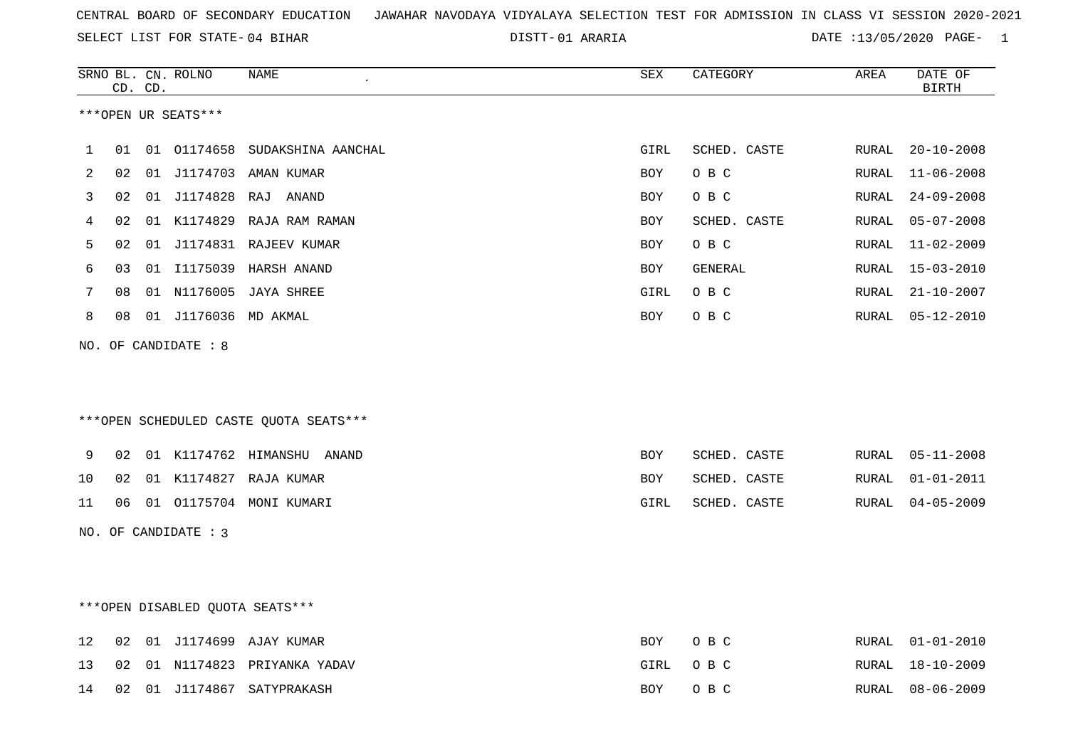01 ARARIA DATE :13/05/2020 PAGE- 1

|    |    | CD. CD. | SRNO BL. CN. ROLNO     | <b>NAME</b>                            | ${\tt SEX}$ | CATEGORY     | AREA  | DATE OF<br><b>BIRTH</b> |
|----|----|---------|------------------------|----------------------------------------|-------------|--------------|-------|-------------------------|
|    |    |         | ***OPEN UR SEATS***    |                                        |             |              |       |                         |
|    |    |         |                        |                                        |             |              |       |                         |
| 1  | 01 |         |                        | 01 01174658 SUDAKSHINA AANCHAL         | GIRL        | SCHED. CASTE | RURAL | $20 - 10 - 2008$        |
| 2  | 02 |         |                        | 01 J1174703 AMAN KUMAR                 | BOY         | O B C        | RURAL | $11 - 06 - 2008$        |
| 3  | 02 |         |                        | 01 J1174828 RAJ ANAND                  | <b>BOY</b>  | O B C        | RURAL | $24 - 09 - 2008$        |
| 4  | 02 |         |                        | 01 K1174829 RAJA RAM RAMAN             | <b>BOY</b>  | SCHED. CASTE | RURAL | $05 - 07 - 2008$        |
| 5  | 02 |         |                        | 01 J1174831 RAJEEV KUMAR               | <b>BOY</b>  | O B C        | RURAL | $11 - 02 - 2009$        |
| 6  | 03 |         | 01 I1175039            | HARSH ANAND                            | BOY         | GENERAL      | RURAL | $15 - 03 - 2010$        |
| 7  | 08 |         |                        | 01 N1176005 JAYA SHREE                 | GIRL        | O B C        | RURAL | $21 - 10 - 2007$        |
| 8  | 08 |         | 01 J1176036 MD AKMAL   |                                        | BOY         | O B C        | RURAL | $05 - 12 - 2010$        |
|    |    |         | NO. OF CANDIDATE : 8   |                                        |             |              |       |                         |
|    |    |         |                        |                                        |             |              |       |                         |
|    |    |         |                        |                                        |             |              |       |                         |
|    |    |         |                        | ***OPEN SCHEDULED CASTE QUOTA SEATS*** |             |              |       |                         |
|    |    |         |                        |                                        |             |              |       |                         |
| 9  | 02 |         |                        | 01 K1174762 HIMANSHU ANAND             | BOY         | SCHED. CASTE | RURAL | $05 - 11 - 2008$        |
| 10 | 02 |         |                        | 01 K1174827 RAJA KUMAR                 | BOY         | SCHED. CASTE | RURAL | $01 - 01 - 2011$        |
| 11 | 06 |         |                        | 01  01175704  MONI  KUMARI             | GIRL        | SCHED. CASTE | RURAL | $04 - 05 - 2009$        |
|    |    |         | NO. OF CANDIDATE : $3$ |                                        |             |              |       |                         |
|    |    |         |                        |                                        |             |              |       |                         |
|    |    |         |                        |                                        |             |              |       |                         |
|    |    |         |                        | ***OPEN DISABLED QUOTA SEATS***        |             |              |       |                         |
|    |    |         |                        |                                        |             |              |       |                         |
| 12 | 02 |         |                        | 01 J1174699 AJAY KUMAR                 | BOY         | O B C        | RURAL | $01 - 01 - 2010$        |
| 13 | 02 |         |                        | 01 N1174823 PRIYANKA YADAV             | GIRL        | O B C        | RURAL | $18 - 10 - 2009$        |
| 14 | 02 |         |                        | 01 J1174867 SATYPRAKASH                | BOY         | O B C        | RURAL | $08 - 06 - 2009$        |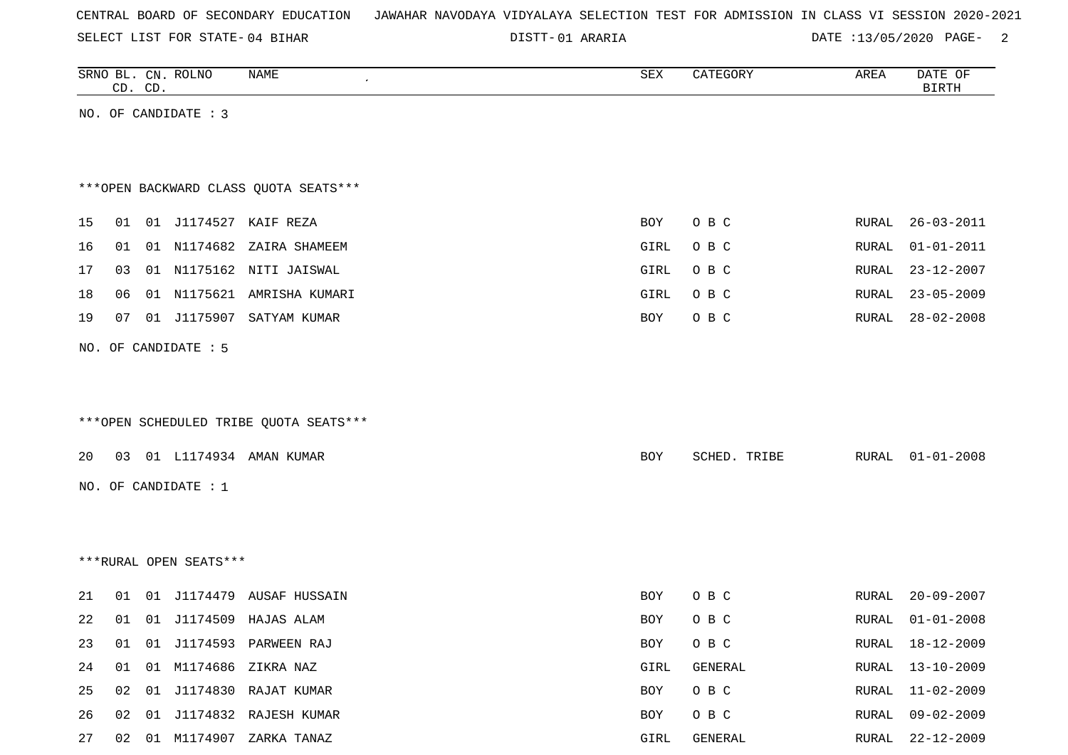| CENTRAL BOARD OF SECONDARY EDUCATION – JAWAHAR NAVODAYA VIDYALAYA SELECTION TEST FOR ADMISSION IN CLASS VI SESSION 2020-2021 |  |
|------------------------------------------------------------------------------------------------------------------------------|--|
|------------------------------------------------------------------------------------------------------------------------------|--|

01 ARARIA DATE :13/05/2020 PAGE- 2

|    | CD. CD. | SRNO BL. CN. ROLNO     | NAME                                   | SEX        | CATEGORY     | AREA  | DATE OF<br><b>BIRTH</b> |
|----|---------|------------------------|----------------------------------------|------------|--------------|-------|-------------------------|
|    |         | NO. OF CANDIDATE : 3   |                                        |            |              |       |                         |
|    |         |                        |                                        |            |              |       |                         |
|    |         |                        |                                        |            |              |       |                         |
|    |         |                        | *** OPEN BACKWARD CLASS QUOTA SEATS*** |            |              |       |                         |
| 15 |         |                        | 01 01 J1174527 KAIF REZA               | BOY        | O B C        | RURAL | $26 - 03 - 2011$        |
| 16 |         |                        | 01 01 N1174682 ZAIRA SHAMEEM           | GIRL       | O B C        | RURAL | $01 - 01 - 2011$        |
| 17 | 03      |                        | 01 N1175162 NITI JAISWAL               | GIRL       | O B C        | RURAL | $23 - 12 - 2007$        |
| 18 | 06      |                        | 01 N1175621 AMRISHA KUMARI             | GIRL       | O B C        | RURAL | $23 - 05 - 2009$        |
| 19 | 07      |                        | 01 J1175907 SATYAM KUMAR               | BOY        | O B C        | RURAL | $28 - 02 - 2008$        |
|    |         | NO. OF CANDIDATE : 5   |                                        |            |              |       |                         |
|    |         |                        |                                        |            |              |       |                         |
|    |         |                        |                                        |            |              |       |                         |
|    |         |                        | ***OPEN SCHEDULED TRIBE QUOTA SEATS*** |            |              |       |                         |
| 20 |         |                        | 03 01 L1174934 AMAN KUMAR              | BOY        | SCHED. TRIBE | RURAL | $01 - 01 - 2008$        |
|    |         | NO. OF CANDIDATE : 1   |                                        |            |              |       |                         |
|    |         |                        |                                        |            |              |       |                         |
|    |         |                        |                                        |            |              |       |                         |
|    |         | ***RURAL OPEN SEATS*** |                                        |            |              |       |                         |
|    |         |                        |                                        |            |              |       |                         |
| 21 |         |                        | 01  01  J1174479  AUSAF  HUSSAIN       | BOY        | O B C        | RURAL | $20 - 09 - 2007$        |
| 22 |         |                        | 01 01 J1174509 HAJAS ALAM              | <b>BOY</b> | O B C        | RURAL | $01 - 01 - 2008$        |
| 23 | 01      |                        | 01 J1174593 PARWEEN RAJ                | BOY        | O B C        | RURAL | 18-12-2009              |
| 24 |         |                        | 01 01 M1174686 ZIKRA NAZ               | GIRL       | GENERAL      | RURAL | $13 - 10 - 2009$        |
| 25 |         |                        | 02 01 J1174830 RAJAT KUMAR             | BOY        | O B C        | RURAL | $11 - 02 - 2009$        |
| 26 |         |                        | 02 01 J1174832 RAJESH KUMAR            | BOY        | O B C        | RURAL | $09 - 02 - 2009$        |
| 27 |         |                        | 02 01 M1174907 ZARKA TANAZ             | GIRL       | GENERAL      |       | RURAL 22-12-2009        |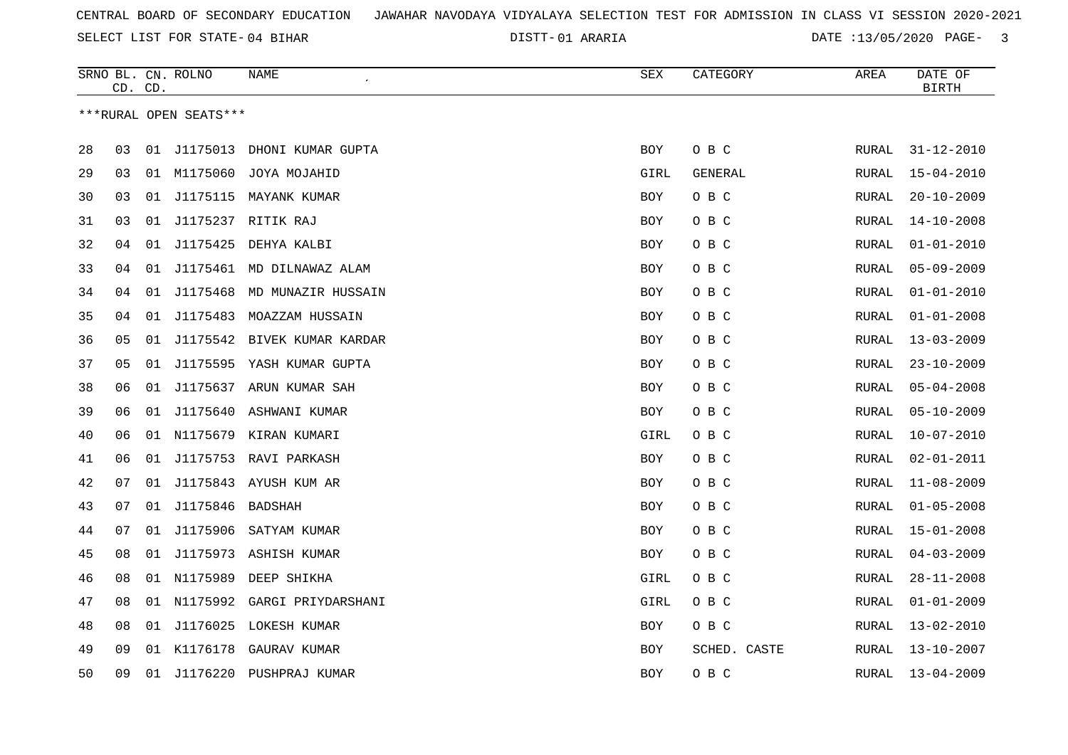01 ARARIA DATE :13/05/2020 PAGE- 3

|    |    | CD. CD. | SRNO BL. CN. ROLNO     | NAME<br>$\cdot$             | ${\tt SEX}$ | CATEGORY     | AREA         | DATE OF<br><b>BIRTH</b> |
|----|----|---------|------------------------|-----------------------------|-------------|--------------|--------------|-------------------------|
|    |    |         | ***RURAL OPEN SEATS*** |                             |             |              |              |                         |
|    |    |         |                        |                             |             |              |              |                         |
| 28 | 03 | 01      | J1175013               | DHONI KUMAR GUPTA           | <b>BOY</b>  | O B C        | RURAL        | $31 - 12 - 2010$        |
| 29 | 03 |         | 01 M1175060            | JOYA MOJAHID                | GIRL        | GENERAL      | RURAL        | $15 - 04 - 2010$        |
| 30 | 03 | 01      |                        | J1175115 MAYANK KUMAR       | BOY         | O B C        | RURAL        | $20 - 10 - 2009$        |
| 31 | 03 | 01      |                        | J1175237 RITIK RAJ          | BOY         | O B C        | RURAL        | $14 - 10 - 2008$        |
| 32 | 04 | 01      | J1175425               | DEHYA KALBI                 | <b>BOY</b>  | O B C        | RURAL        | $01 - 01 - 2010$        |
| 33 | 04 | 01      |                        | J1175461 MD DILNAWAZ ALAM   | <b>BOY</b>  | O B C        | RURAL        | $05 - 09 - 2009$        |
| 34 | 04 | 01      |                        | J1175468 MD MUNAZIR HUSSAIN | BOY         | O B C        | RURAL        | $01 - 01 - 2010$        |
| 35 | 04 | 01      |                        | J1175483 MOAZZAM HUSSAIN    | BOY         | O B C        | RURAL        | $01 - 01 - 2008$        |
| 36 | 05 | 01      |                        | J1175542 BIVEK KUMAR KARDAR | <b>BOY</b>  | O B C        | RURAL        | $13 - 03 - 2009$        |
| 37 | 05 | 01      | J1175595               | YASH KUMAR GUPTA            | BOY         | O B C        | <b>RURAL</b> | $23 - 10 - 2009$        |
| 38 | 06 | 01      |                        | J1175637 ARUN KUMAR SAH     | <b>BOY</b>  | O B C        | RURAL        | $05 - 04 - 2008$        |
| 39 | 06 | 01      |                        | J1175640 ASHWANI KUMAR      | BOY         | O B C        | RURAL        | $05 - 10 - 2009$        |
| 40 | 06 |         |                        | 01 N1175679 KIRAN KUMARI    | GIRL        | O B C        | RURAL        | $10 - 07 - 2010$        |
| 41 | 06 | 01      |                        | J1175753 RAVI PARKASH       | BOY         | O B C        | RURAL        | $02 - 01 - 2011$        |
| 42 | 07 | 01      |                        | J1175843 AYUSH KUM AR       | <b>BOY</b>  | O B C        | RURAL        | $11 - 08 - 2009$        |
| 43 | 07 | 01      | J1175846 BADSHAH       |                             | <b>BOY</b>  | O B C        | RURAL        | $01 - 05 - 2008$        |
| 44 | 07 | 01      | J1175906               | SATYAM KUMAR                | BOY         | O B C        | RURAL        | $15 - 01 - 2008$        |
| 45 | 08 | 01      |                        | J1175973 ASHISH KUMAR       | BOY         | O B C        | RURAL        | $04 - 03 - 2009$        |
| 46 | 08 | 01      | N1175989               | DEEP SHIKHA                 | GIRL        | O B C        | RURAL        | $28 - 11 - 2008$        |
| 47 | 08 |         | 01 N1175992            | GARGI PRIYDARSHANI          | GIRL        | O B C        | RURAL        | $01 - 01 - 2009$        |
| 48 | 08 | 01      | J1176025               | LOKESH KUMAR                | BOY         | O B C        | RURAL        | $13 - 02 - 2010$        |
| 49 | 09 | 01      | K1176178               | GAURAV KUMAR                | BOY         | SCHED. CASTE | RURAL        | $13 - 10 - 2007$        |
| 50 | 09 | 01      |                        | J1176220 PUSHPRAJ KUMAR     | <b>BOY</b>  | O B C        | RURAL        | $13 - 04 - 2009$        |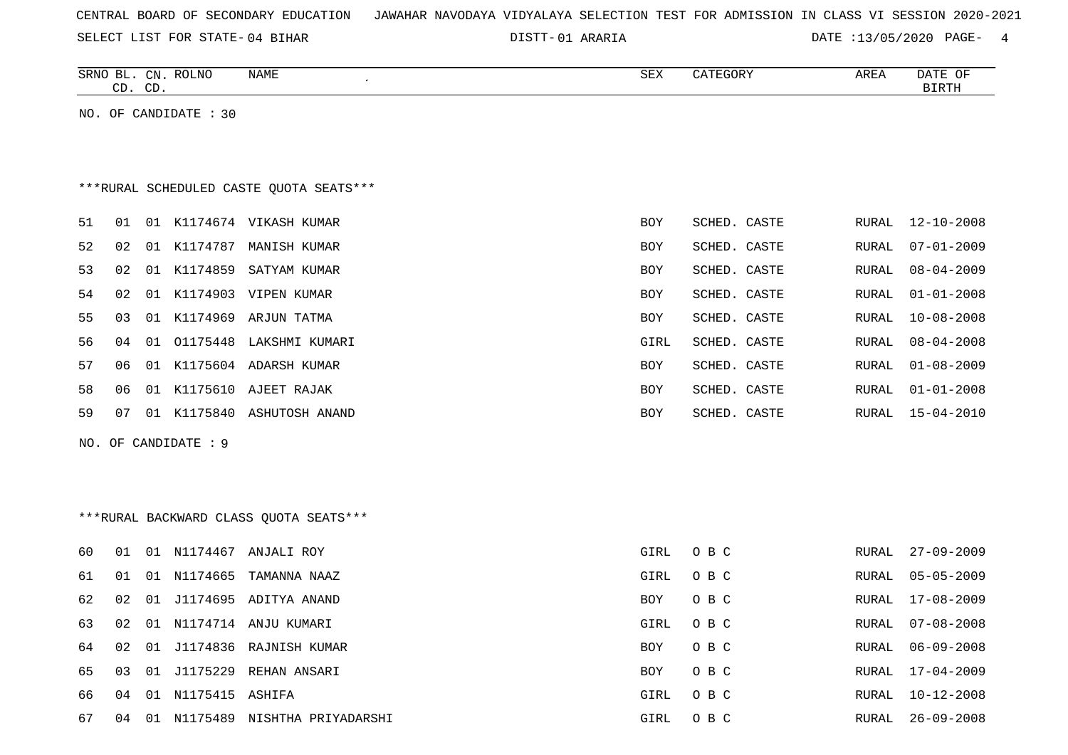|  |  |  |  | CENTRAL BOARD OF SECONDARY EDUCATION – JAWAHAR NAVODAYA VIDYALAYA SELECTION TEST FOR ADMISSION IN CLASS VI SESSION 2020-2021 |  |  |  |  |  |  |  |  |  |  |  |  |  |
|--|--|--|--|------------------------------------------------------------------------------------------------------------------------------|--|--|--|--|--|--|--|--|--|--|--|--|--|
|--|--|--|--|------------------------------------------------------------------------------------------------------------------------------|--|--|--|--|--|--|--|--|--|--|--|--|--|

| SELECT LIST FOR STATE-04 BIHAR                                              | DISTT-01 ARARIA |              |              | DATE : 13/05/2020 PAGE- 4 |
|-----------------------------------------------------------------------------|-----------------|--------------|--------------|---------------------------|
| SRNO BL. CN. ROLNO<br><b>NAME</b><br>$\mathcal{L}_{\mathcal{A}}$<br>CD. CD. | <b>SEX</b>      | CATEGORY     | AREA         | DATE OF<br><b>BIRTH</b>   |
| NO. OF CANDIDATE : 30                                                       |                 |              |              |                           |
|                                                                             |                 |              |              |                           |
|                                                                             |                 |              |              |                           |
| ***RURAL SCHEDULED CASTE OUOTA SEATS***                                     |                 |              |              |                           |
| 51<br>01 K1174674 VIKASH KUMAR<br>01                                        | BOY             | SCHED. CASTE | RURAL        | $12 - 10 - 2008$          |
| 52<br>01 K1174787 MANISH KUMAR<br>02                                        | BOY             | SCHED. CASTE | RURAL        | $07 - 01 - 2009$          |
| 53<br>02<br>01 K1174859 SATYAM KUMAR                                        | BOY             | SCHED. CASTE | <b>RURAL</b> | $08 - 04 - 2009$          |
| 54<br>01 K1174903 VIPEN KUMAR<br>02                                         | BOY             | SCHED. CASTE | RURAL        | $01 - 01 - 2008$          |
| 55<br>01 K1174969 ARJUN TATMA<br>03                                         | BOY             | SCHED. CASTE | RURAL        | $10 - 08 - 2008$          |
| 56<br>01 01175448 LAKSHMI KUMARI<br>04                                      | GIRL            | SCHED. CASTE | RURAL        | $08 - 04 - 2008$          |
| 57<br>01 K1175604 ADARSH KUMAR<br>06                                        | BOY             | SCHED. CASTE | RURAL        | $01 - 08 - 2009$          |
| 58<br>06<br>01 K1175610 AJEET RAJAK                                         | BOY             | SCHED. CASTE | RURAL        | $01 - 01 - 2008$          |
| 59<br>07<br>01 K1175840 ASHUTOSH ANAND                                      | BOY             | SCHED. CASTE |              | RURAL 15-04-2010          |
| NO. OF CANDIDATE : 9                                                        |                 |              |              |                           |
|                                                                             |                 |              |              |                           |
|                                                                             |                 |              |              |                           |
| ***RURAL BACKWARD CLASS OUOTA SEATS***                                      |                 |              |              |                           |

| 60  | . N 1 | O 1            | N1174467           | ANJALI ROY                | GIRL       | O B C | RURAL | 27-09-2009       |
|-----|-------|----------------|--------------------|---------------------------|------------|-------|-------|------------------|
| 61  | . O 1 |                | 01 N1174665        | TAMANNA NAAZ              | GIRL       | O B C | RURAL | 05-05-2009       |
| 62  | 02    |                |                    | 01 J1174695 ADITYA ANAND  | <b>BOY</b> | O B C |       | RURAL 17-08-2009 |
| 63  | 02    |                | 01 N1174714        | ANJU KUMARI               | GIRL       | O B C |       | RURAL 07-08-2008 |
| 64  | 02    |                |                    | 01 J1174836 RAJNISH KUMAR | BOY        | O B C | RURAL | 06-09-2008       |
| 65. | 03    |                | 01 J1175229        | REHAN ANSARI              | <b>BOY</b> | O B C |       | RURAL 17-04-2009 |
| 66. | 04    |                | 01 N1175415 ASHIFA |                           | GIRL       | O B C | RURAL | 10-12-2008       |
| 67  | 04    | $\overline{1}$ | N1175489           | NISHTHA PRIYADARSHI       | GIRL       | O B C | RURAL | $26 - 09 - 2008$ |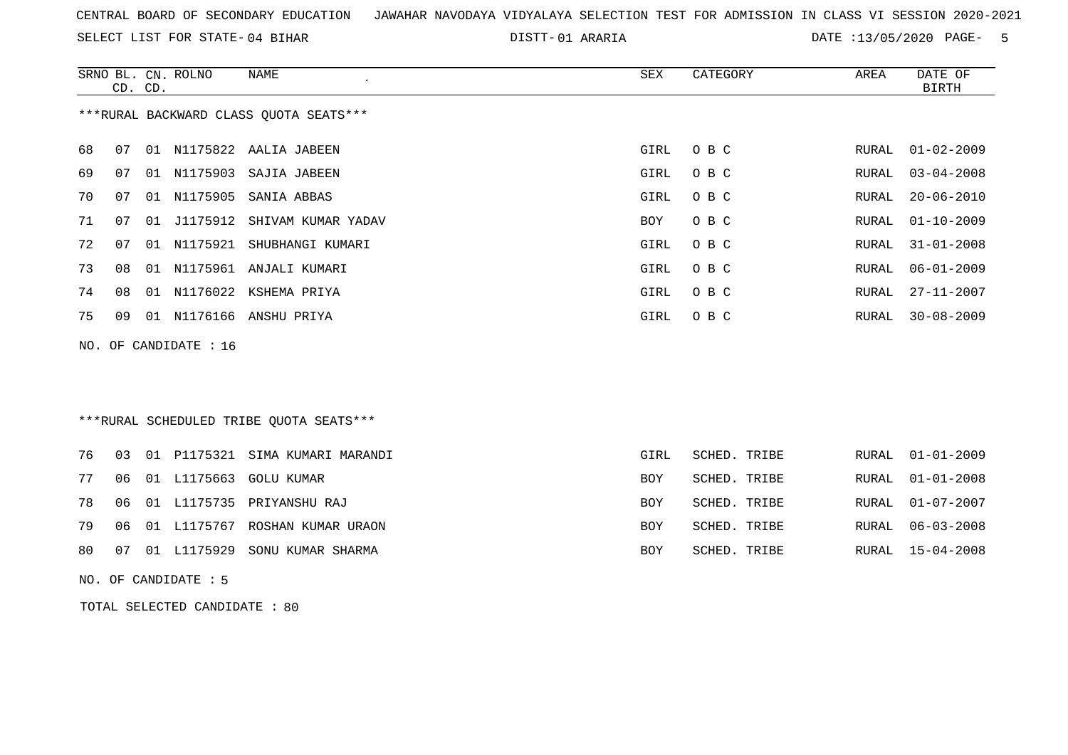SELECT LIST FOR STATE- DISTT- 04 BIHAR

01 ARARIA DATE :13/05/2020 PAGE- 5

|    | CD. CD. |    | SRNO BL. CN. ROLNO    | <b>NAME</b>                             | <b>SEX</b> | CATEGORY     | AREA  | DATE OF<br><b>BIRTH</b> |
|----|---------|----|-----------------------|-----------------------------------------|------------|--------------|-------|-------------------------|
|    |         |    |                       | *** RURAL BACKWARD CLASS QUOTA SEATS*** |            |              |       |                         |
| 68 | 07      |    |                       | 01 N1175822 AALIA JABEEN                | GIRL       | O B C        | RURAL | $01 - 02 - 2009$        |
| 69 | 07      | 01 | N1175903              | SAJIA JABEEN                            | GIRL       | O B C        | RURAL | $03 - 04 - 2008$        |
| 70 | 07      | 01 | N1175905              | SANIA ABBAS                             | GIRL       | O B C        | RURAL | $20 - 06 - 2010$        |
| 71 | 07      | 01 | J1175912              | SHIVAM KUMAR YADAV                      | BOY        | O B C        | RURAL | $01 - 10 - 2009$        |
| 72 | 07      |    |                       | 01 N1175921 SHUBHANGI KUMARI            | GIRL       | O B C        | RURAL | $31 - 01 - 2008$        |
| 73 | 08      | 01 |                       | N1175961 ANJALI KUMARI                  | GIRL       | O B C        | RURAL | $06 - 01 - 2009$        |
| 74 | 08      |    |                       | 01 N1176022 KSHEMA PRIYA                | GIRL       | O B C        | RURAL | $27 - 11 - 2007$        |
| 75 | 09      |    |                       | 01 N1176166 ANSHU PRIYA                 | GIRL       | O B C        | RURAL | $30 - 08 - 2009$        |
|    |         |    | NO. OF CANDIDATE : 16 |                                         |            |              |       |                         |
|    |         |    |                       |                                         |            |              |       |                         |
|    |         |    |                       |                                         |            |              |       |                         |
|    |         |    |                       | ***RURAL SCHEDULED TRIBE OUOTA SEATS*** |            |              |       |                         |
|    |         |    |                       |                                         |            |              |       |                         |
| 76 | 03      | 01 |                       | P1175321 SIMA KUMARI MARANDI            | GIRL       | SCHED. TRIBE | RURAL | $01 - 01 - 2009$        |
| 77 | 06      |    | 01 L1175663           | <b>GOLU KUMAR</b>                       | BOY        | SCHED. TRIBE | RURAL | $01 - 01 - 2008$        |
| 78 | 06      | 01 | L1175735              | PRIYANSHU RAJ                           | <b>BOY</b> | SCHED. TRIBE | RURAL | $01 - 07 - 2007$        |
| 79 | 06      |    |                       | 01 L1175767 ROSHAN KUMAR URAON          | <b>BOY</b> | SCHED. TRIBE | RURAL | $06 - 03 - 2008$        |
| 80 | 07      |    | 01 L1175929           | SONU KUMAR SHARMA                       | <b>BOY</b> | SCHED. TRIBE | RURAL | $15 - 04 - 2008$        |

NO. OF CANDIDATE : 5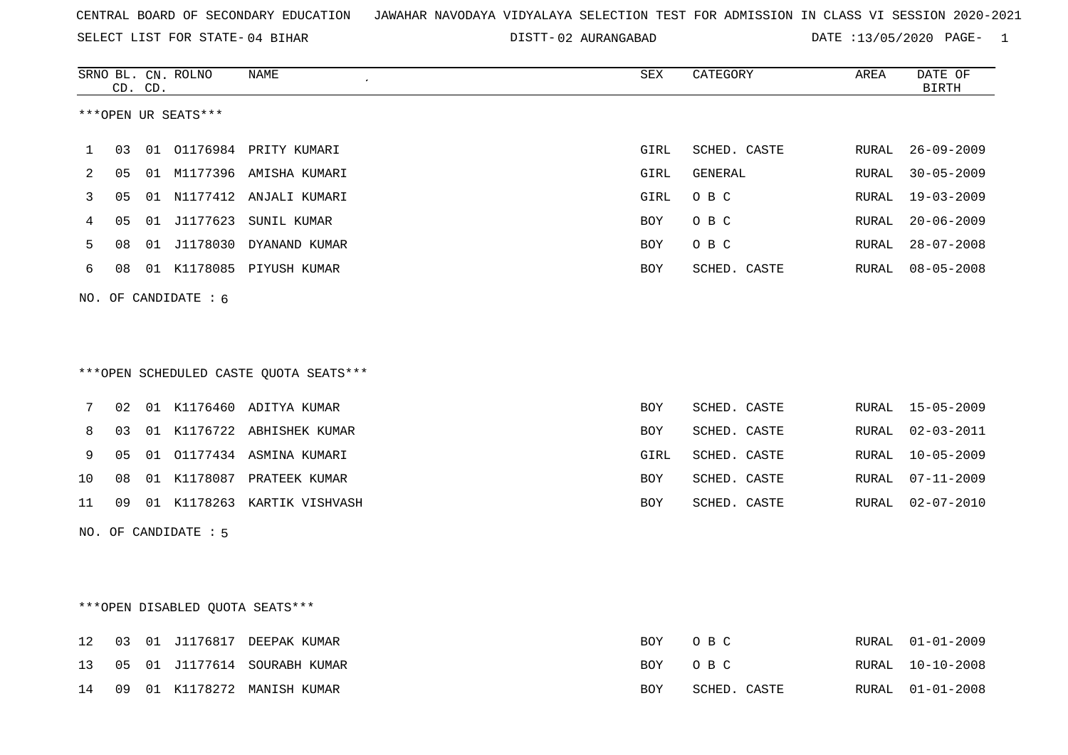SELECT LIST FOR STATE- DISTT- 04 BIHAR

DISTT-02 AURANGABAD DATE :13/05/2020 PAGE- 1

|    | CD.            | CD. | SRNO BL. CN. ROLNO               | NAME                                   | SEX        | CATEGORY     | AREA  | DATE OF<br><b>BIRTH</b> |
|----|----------------|-----|----------------------------------|----------------------------------------|------------|--------------|-------|-------------------------|
|    |                |     | ***OPEN UR SEATS***              |                                        |            |              |       |                         |
| 1  | 03             |     |                                  | 01 01176984 PRITY KUMARI               | GIRL       | SCHED. CASTE | RURAL | $26 - 09 - 2009$        |
| 2  | 0 <sub>5</sub> |     |                                  | 01 M1177396 AMISHA KUMARI              | GIRL       | GENERAL      | RURAL | $30 - 05 - 2009$        |
| 3  | 05             |     |                                  | 01 N1177412 ANJALI KUMARI              | GIRL       | O B C        | RURAL | $19 - 03 - 2009$        |
| 4  | 05             |     | 01 J1177623                      | SUNIL KUMAR                            | <b>BOY</b> | O B C        | RURAL | $20 - 06 - 2009$        |
| 5  | 08             |     |                                  | 01 J1178030 DYANAND KUMAR              | BOY        | O B C        | RURAL | $28 - 07 - 2008$        |
| 6  | 08             |     |                                  | 01 K1178085 PIYUSH KUMAR               | BOY        | SCHED. CASTE | RURAL | $08 - 05 - 2008$        |
|    |                |     | NO. OF CANDIDATE $: 6$           |                                        |            |              |       |                         |
|    |                |     |                                  |                                        |            |              |       |                         |
|    |                |     |                                  |                                        |            |              |       |                         |
|    |                |     |                                  | ***OPEN SCHEDULED CASTE QUOTA SEATS*** |            |              |       |                         |
| 7  | 02             |     |                                  | 01 K1176460 ADITYA KUMAR               | BOY        | SCHED. CASTE | RURAL | $15 - 05 - 2009$        |
| 8  | 03             |     |                                  | 01 K1176722 ABHISHEK KUMAR             | <b>BOY</b> | SCHED. CASTE | RURAL | $02 - 03 - 2011$        |
| 9  | 05             |     |                                  | 01 01177434 ASMINA KUMARI              | GIRL       | SCHED. CASTE | RURAL | $10 - 05 - 2009$        |
| 10 | 08             |     |                                  | 01 K1178087 PRATEEK KUMAR              | BOY        | SCHED. CASTE | RURAL | $07 - 11 - 2009$        |
| 11 | 09             |     |                                  | 01 K1178263 KARTIK VISHVASH            | <b>BOY</b> | SCHED. CASTE | RURAL | $02 - 07 - 2010$        |
|    |                |     | NO. OF CANDIDATE : 5             |                                        |            |              |       |                         |
|    |                |     |                                  |                                        |            |              |       |                         |
|    |                |     |                                  |                                        |            |              |       |                         |
|    |                |     | *** OPEN DISABLED QUOTA SEATS*** |                                        |            |              |       |                         |
| 12 | 03             |     |                                  | 01 J1176817 DEEPAK KUMAR               | <b>BOY</b> | O B C        | RURAL | $01 - 01 - 2009$        |
| 13 | 05             |     |                                  | 01 J1177614 SOURABH KUMAR              | BOY        | O B C        | RURAL | $10 - 10 - 2008$        |
| 14 | 09             |     |                                  | 01 K1178272 MANISH KUMAR               | BOY        | SCHED. CASTE | RURAL | $01 - 01 - 2008$        |
|    |                |     |                                  |                                        |            |              |       |                         |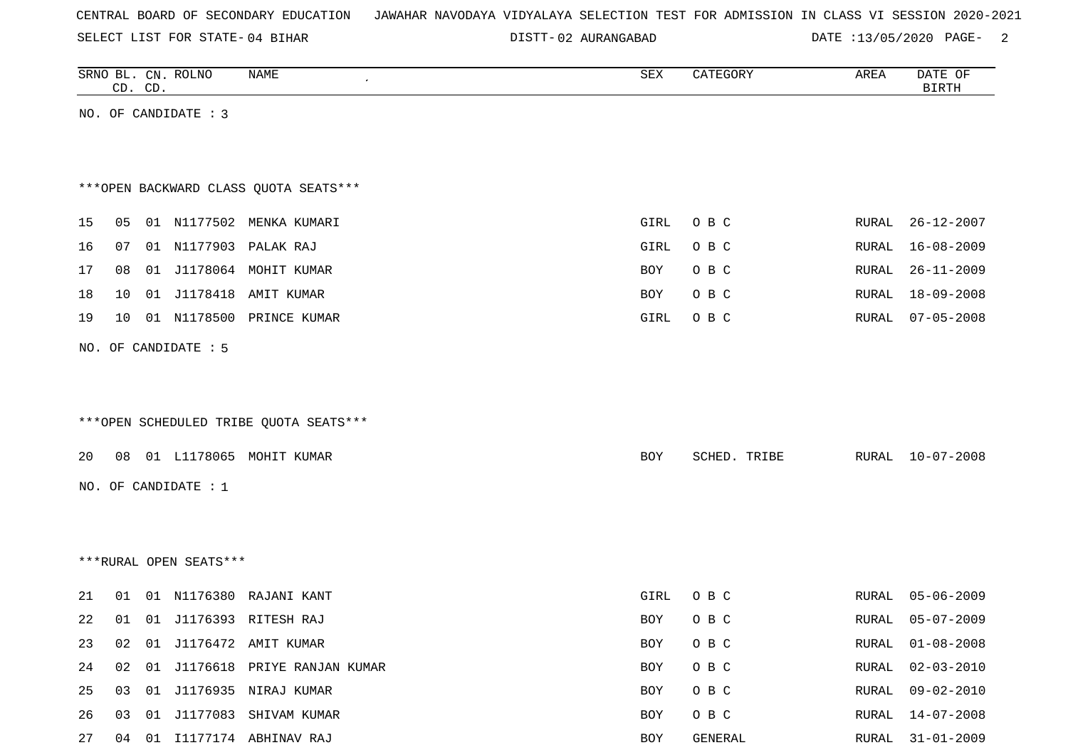SELECT LIST FOR STATE- DISTT- 04 BIHAR

02 AURANGABAD DATE :13/05/2020 PAGE- 2

|    | CD. CD. | SRNO BL. CN. ROLNO     | <b>NAME</b><br>$\pmb{\cdot}$           | ${\tt SEX}$ | CATEGORY     | AREA  | DATE OF<br><b>BIRTH</b> |
|----|---------|------------------------|----------------------------------------|-------------|--------------|-------|-------------------------|
|    |         | NO. OF CANDIDATE : 3   |                                        |             |              |       |                         |
|    |         |                        |                                        |             |              |       |                         |
|    |         |                        | *** OPEN BACKWARD CLASS QUOTA SEATS*** |             |              |       |                         |
| 15 | 05      |                        | 01 N1177502 MENKA KUMARI               | GIRL        | O B C        | RURAL | $26 - 12 - 2007$        |
| 16 | 07      |                        | 01 N1177903 PALAK RAJ                  | GIRL        | O B C        | RURAL | $16 - 08 - 2009$        |
| 17 | 08      |                        | 01 J1178064 MOHIT KUMAR                | <b>BOY</b>  | O B C        | RURAL | $26 - 11 - 2009$        |
| 18 | 10      |                        | 01 J1178418 AMIT KUMAR                 | BOY         | O B C        | RURAL | $18 - 09 - 2008$        |
| 19 | 10      |                        | 01 N1178500 PRINCE KUMAR               | GIRL        | O B C        | RURAL | $07 - 05 - 2008$        |
|    |         | NO. OF CANDIDATE : 5   |                                        |             |              |       |                         |
|    |         |                        |                                        |             |              |       |                         |
|    |         |                        |                                        |             |              |       |                         |
|    |         |                        | ***OPEN SCHEDULED TRIBE QUOTA SEATS*** |             |              |       |                         |
| 20 |         |                        | 08 01 L1178065 MOHIT KUMAR             | <b>BOY</b>  | SCHED. TRIBE |       | RURAL 10-07-2008        |
|    |         | NO. OF CANDIDATE : $1$ |                                        |             |              |       |                         |
|    |         |                        |                                        |             |              |       |                         |
|    |         |                        |                                        |             |              |       |                         |
|    |         | ***RURAL OPEN SEATS*** |                                        |             |              |       |                         |
| 21 | 01      |                        | 01 N1176380 RAJANI KANT                | GIRL        | O B C        | RURAL | $05 - 06 - 2009$        |
| 22 | 01      |                        | 01 J1176393 RITESH RAJ                 | BOY         | O B C        | RURAL | $05 - 07 - 2009$        |
| 23 |         |                        | 02 01 J1176472 AMIT KUMAR              | BOY         | O B C        | RURAL | $01 - 08 - 2008$        |
| 24 |         |                        | 02 01 J1176618 PRIYE RANJAN KUMAR      | BOY         | O B C        | RURAL | $02 - 03 - 2010$        |
| 25 |         |                        | 03 01 J1176935 NIRAJ KUMAR             | BOY         | O B C        | RURAL | $09 - 02 - 2010$        |
| 26 |         |                        | 03 01 J1177083 SHIVAM KUMAR            | BOY         | O B C        | RURAL | $14 - 07 - 2008$        |
| 27 |         |                        | 04 01 I1177174 ABHINAV RAJ             | BOY         | GENERAL      |       | RURAL 31-01-2009        |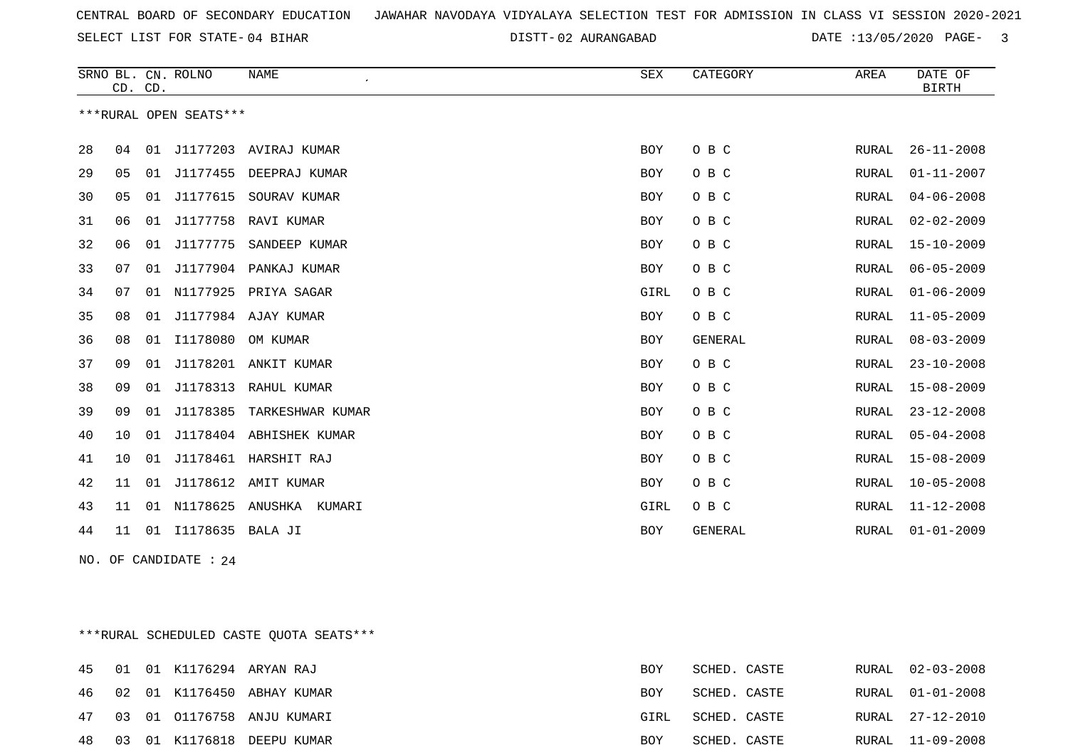DISTT-02 AURANGABAD DATE :13/05/2020 PAGE- 3

|    | CD. CD. |    | SRNO BL. CN. ROLNO     | <b>NAME</b><br>$\pmb{\cdot}$ | <b>SEX</b> | CATEGORY       | AREA  | DATE OF<br><b>BIRTH</b> |
|----|---------|----|------------------------|------------------------------|------------|----------------|-------|-------------------------|
|    |         |    | ***RURAL OPEN SEATS*** |                              |            |                |       |                         |
| 28 | 04      | 01 |                        | J1177203 AVIRAJ KUMAR        | <b>BOY</b> | O B C          | RURAL | $26 - 11 - 2008$        |
| 29 | 05      | 01 | J1177455               | DEEPRAJ KUMAR                | BOY        | O B C          | RURAL | $01 - 11 - 2007$        |
| 30 | 05      | 01 | J1177615               | SOURAV KUMAR                 | <b>BOY</b> | O B C          | RURAL | $04 - 06 - 2008$        |
| 31 | 06      | 01 | J1177758               | RAVI KUMAR                   | <b>BOY</b> | O B C          | RURAL | $02 - 02 - 2009$        |
| 32 | 06      | 01 | J1177775               | SANDEEP KUMAR                | BOY        | O B C          | RURAL | $15 - 10 - 2009$        |
| 33 | 07      | 01 | J1177904               | PANKAJ KUMAR                 | <b>BOY</b> | O B C          | RURAL | $06 - 05 - 2009$        |
| 34 | 07      | 01 | N1177925               | PRIYA SAGAR                  | GIRL       | O B C          | RURAL | $01 - 06 - 2009$        |
| 35 | 08      | 01 |                        | J1177984 AJAY KUMAR          | <b>BOY</b> | O B C          | RURAL | $11 - 05 - 2009$        |
| 36 | 08      | 01 | I1178080               | OM KUMAR                     | <b>BOY</b> | <b>GENERAL</b> | RURAL | $08 - 03 - 2009$        |
| 37 | 09      | 01 | J1178201               | ANKIT KUMAR                  | <b>BOY</b> | O B C          | RURAL | $23 - 10 - 2008$        |
| 38 | 09      | 01 | J1178313               | RAHUL KUMAR                  | <b>BOY</b> | O B C          | RURAL | $15 - 08 - 2009$        |
| 39 | 09      | 01 | J1178385               | TARKESHWAR KUMAR             | BOY        | O B C          | RURAL | $23 - 12 - 2008$        |
| 40 | 10      | 01 | J1178404               | ABHISHEK KUMAR               | <b>BOY</b> | O B C          | RURAL | $05 - 04 - 2008$        |
| 41 | 10      | 01 | J1178461               | HARSHIT RAJ                  | <b>BOY</b> | O B C          | RURAL | $15 - 08 - 2009$        |
| 42 | 11      | 01 |                        | J1178612 AMIT KUMAR          | <b>BOY</b> | O B C          | RURAL | $10 - 05 - 2008$        |
| 43 | 11      | 01 | N1178625               | ANUSHKA<br>KUMARI            | GIRL       | O B C          | RURAL | $11 - 12 - 2008$        |
| 44 | 11      | 01 | I1178635               | BALA JI                      | <b>BOY</b> | <b>GENERAL</b> | RURAL | $01 - 01 - 2009$        |

NO. OF CANDIDATE : 24

\*\*\*RURAL SCHEDULED CASTE QUOTA SEATS\*\*\*

|  |  | 45 01 01 K1176294 ARYAN RAJ   | BOY  | SCHED. CASTE |  | RURAL 02-03-2008 |
|--|--|-------------------------------|------|--------------|--|------------------|
|  |  | 46 02 01 K1176450 ABHAY KUMAR | BOY  | SCHED. CASTE |  | RURAL 01-01-2008 |
|  |  | 47 03 01 01176758 ANJU KUMARI | GIRL | SCHED. CASTE |  | RURAL 27-12-2010 |
|  |  | 48 03 01 K1176818 DEEPU KUMAR | BOY  | SCHED. CASTE |  | RURAL 11-09-2008 |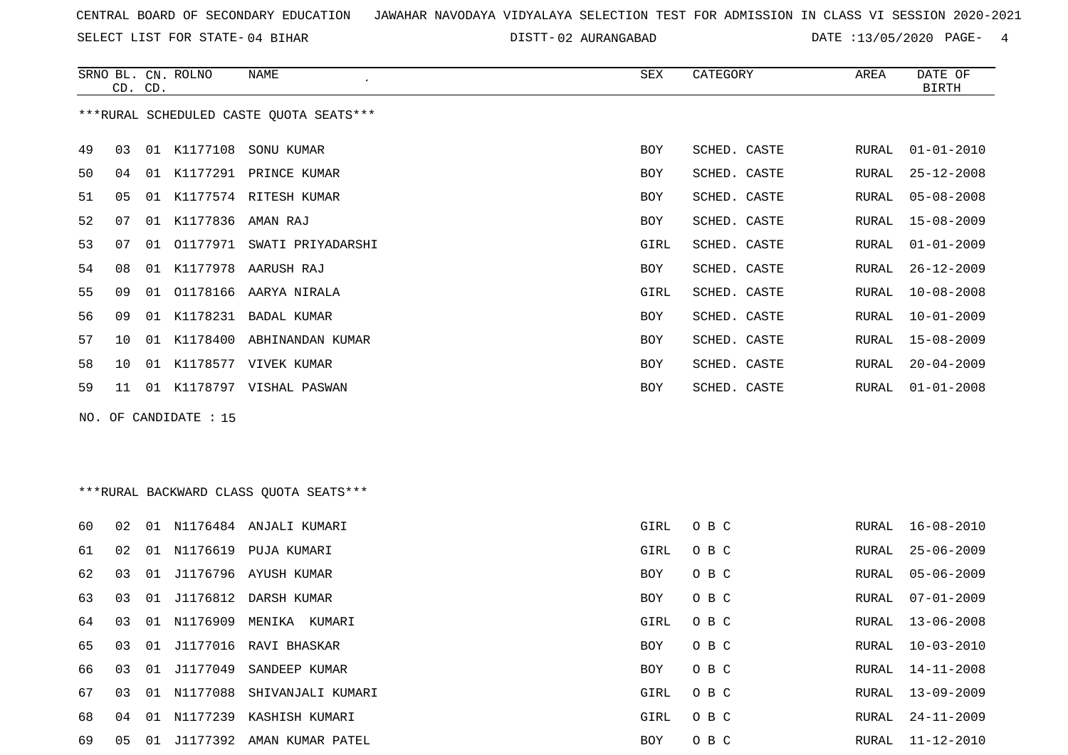SELECT LIST FOR STATE- DISTT- 04 BIHAR

DISTT-02 AURANGABAD DATE :13/05/2020 PAGE- 4

|    | CD. CD. |    | SRNO BL. CN. ROLNO    | NAME                                    | SEX        | CATEGORY     | AREA  | DATE OF<br><b>BIRTH</b> |
|----|---------|----|-----------------------|-----------------------------------------|------------|--------------|-------|-------------------------|
|    |         |    |                       | ***RURAL SCHEDULED CASTE QUOTA SEATS*** |            |              |       |                         |
| 49 | 03      |    |                       | 01 K1177108 SONU KUMAR                  | <b>BOY</b> | SCHED. CASTE | RURAL | $01 - 01 - 2010$        |
| 50 | 04      | 01 |                       | K1177291 PRINCE KUMAR                   | <b>BOY</b> | SCHED. CASTE | RURAL | $25 - 12 - 2008$        |
| 51 | 05      | 01 |                       | K1177574 RITESH KUMAR                   | <b>BOY</b> | SCHED. CASTE | RURAL | 05-08-2008              |
| 52 | 07      | 01 | K1177836              | AMAN RAJ                                | <b>BOY</b> | SCHED. CASTE | RURAL | $15 - 08 - 2009$        |
| 53 | 07      |    | 01 01177971           | SWATI PRIYADARSHI                       | GIRL       | SCHED. CASTE | RURAL | $01 - 01 - 2009$        |
| 54 | 08      | 01 |                       | K1177978 AARUSH RAJ                     | BOY        | SCHED. CASTE | RURAL | $26 - 12 - 2009$        |
| 55 | 09      | 01 |                       | 01178166 AARYA NIRALA                   | GIRL       | SCHED. CASTE | RURAL | $10 - 08 - 2008$        |
| 56 | 09      | 01 |                       | K1178231 BADAL KUMAR                    | <b>BOY</b> | SCHED. CASTE | RURAL | $10 - 01 - 2009$        |
| 57 | 10      | 01 | K1178400              | ABHINANDAN KUMAR                        | <b>BOY</b> | SCHED. CASTE | RURAL | $15 - 08 - 2009$        |
| 58 | 10      | 01 |                       | K1178577 VIVEK KUMAR                    | <b>BOY</b> | SCHED. CASTE | RURAL | $20 - 04 - 2009$        |
| 59 | 11      | 01 |                       | K1178797 VISHAL PASWAN                  | <b>BOY</b> | SCHED. CASTE | RURAL | $01 - 01 - 2008$        |
|    |         |    | NO. OF CANDIDATE : 15 |                                         |            |              |       |                         |

\*\*\*RURAL BACKWARD CLASS QUOTA SEATS\*\*\*

| 60 | 02 | 01 | N1176484    | ANJALI KUMARI                 | GIRL       | O B C | RURAL | $16 - 08 - 2010$ |
|----|----|----|-------------|-------------------------------|------------|-------|-------|------------------|
| 61 | 02 |    |             | 01 N1176619 PUJA KUMARI       | GIRL       | O B C | RURAL | 25-06-2009       |
| 62 | 03 |    |             | 01 J1176796 AYUSH KUMAR       | BOY        | O B C | RURAL | 05-06-2009       |
| 63 | 03 |    |             | 01 J1176812 DARSH KUMAR       | <b>BOY</b> | O B C | RURAL | 07-01-2009       |
| 64 | 03 |    | 01 N1176909 | MENIKA<br>KUMARI              | GIRL       | O B C | RURAL | 13-06-2008       |
| 65 | 03 |    |             | 01 J1177016 RAVI BHASKAR      | BOY        | O B C | RURAL | $10 - 03 - 2010$ |
| 66 | 03 |    |             | 01 J1177049 SANDEEP KUMAR     | BOY        | O B C | RURAL | 14-11-2008       |
| 67 | 03 |    |             | 01 N1177088 SHIVANJALI KUMARI | GIRL       | O B C | RURAL | $13 - 09 - 2009$ |
| 68 | 04 | 01 | N1177239    | KASHISH KUMARI                | GIRL       | O B C | RURAL | $24 - 11 - 2009$ |
| 69 | 05 |    |             | 01 J1177392 AMAN KUMAR PATEL  | <b>BOY</b> | O B C | RURAL | $11 - 12 - 2010$ |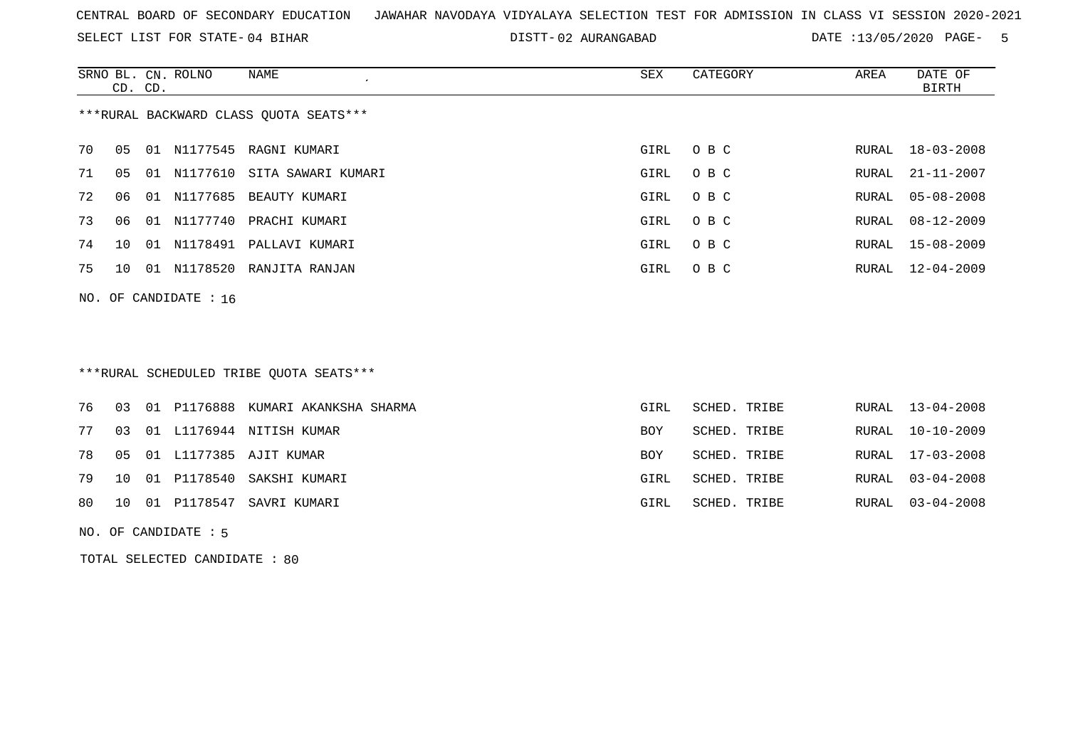SELECT LIST FOR STATE- DISTT- 04 BIHAR

02 AURANGABAD DATE :13/05/2020 PAGE- 5

|    | CD. CD. |    | SRNO BL. CN. ROLNO      | NAME                                   | SEX  | CATEGORY | AREA  | DATE OF<br>BIRTH |
|----|---------|----|-------------------------|----------------------------------------|------|----------|-------|------------------|
|    |         |    |                         | ***RURAL BACKWARD CLASS QUOTA SEATS*** |      |          |       |                  |
| 70 | 05      |    | 01 N1177545             | RAGNI KUMARI                           | GIRL | O B C    |       | RURAL 18-03-2008 |
| 71 | 05      |    |                         | 01 N1177610 SITA SAWARI KUMARI         | GIRL | O B C    |       | RURAL 21-11-2007 |
| 72 | 06      | 01 | N1177685                | BEAUTY KUMARI                          | GIRL | O B C    |       | RURAL 05-08-2008 |
| 73 | 06      | 01 |                         | N1177740 PRACHI KUMARI                 | GIRL | O B C    | RURAL | $08 - 12 - 2009$ |
| 74 | 10      |    |                         | 01 N1178491 PALLAVI KUMARI             | GIRL | O B C    |       | RURAL 15-08-2009 |
| 75 | 1 O     | 01 |                         | N1178520 RANJITA RANJAN                | GIRL | O B C    |       | RURAL 12-04-2009 |
|    |         |    | NO. OF CANDIDATE : $16$ |                                        |      |          |       |                  |

# \*\*\*RURAL SCHEDULED TRIBE QUOTA SEATS\*\*\*

|  |  | 76 03 01 P1176888 KUMARI AKANKSHA SHARMA | GIRL | SCHED. TRIBE | RURAL 13-04-2008 |
|--|--|------------------------------------------|------|--------------|------------------|
|  |  | 77 03 01 L1176944 NITISH KUMAR           | BOY  | SCHED. TRIBE | RURAL 10-10-2009 |
|  |  | 78 05 01 L1177385 AJIT KUMAR             | BOY  | SCHED. TRIBE | RURAL 17-03-2008 |
|  |  | 79 10 01 P1178540 SAKSHI KUMARI          | GIRL | SCHED. TRIBE | RURAL 03-04-2008 |
|  |  | 80   10   01   P1178547   SAVRI KUMARI   | GIRL | SCHED. TRIBE | RURAL 03-04-2008 |
|  |  |                                          |      |              |                  |

NO. OF CANDIDATE : 5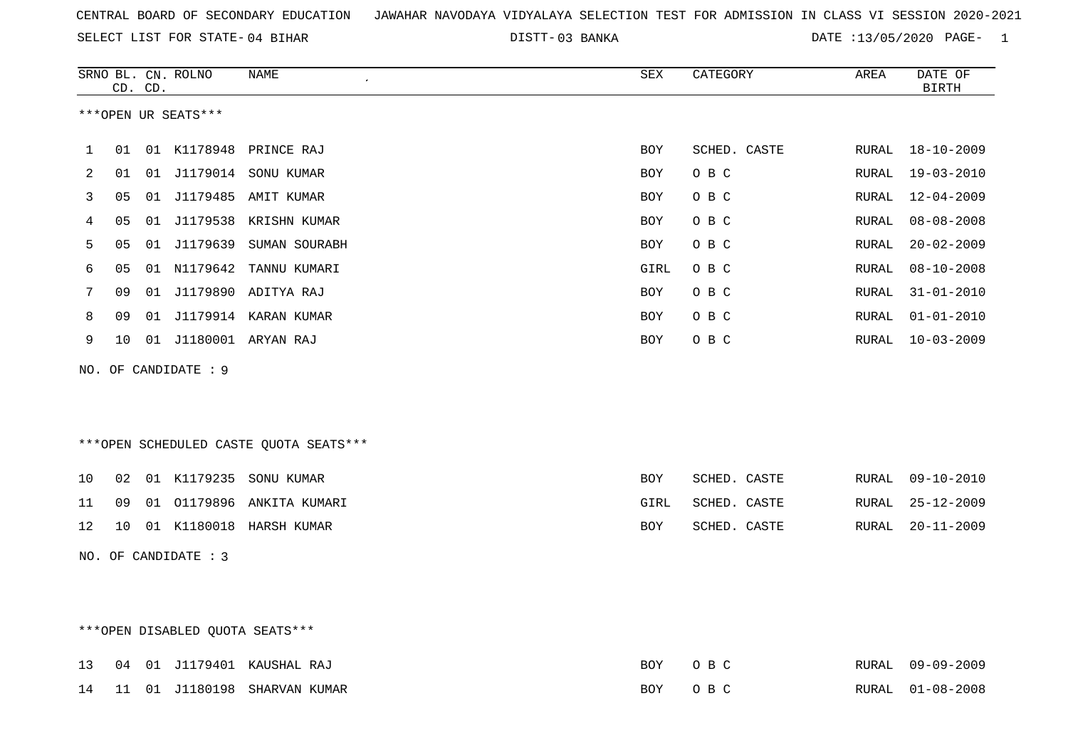03 BANKA DATE :13/05/2020 PAGE- 1

|    |    | CD. CD. | SRNO BL. CN. ROLNO              | NAME                                    | SEX        | CATEGORY     | AREA  | DATE OF<br><b>BIRTH</b> |
|----|----|---------|---------------------------------|-----------------------------------------|------------|--------------|-------|-------------------------|
|    |    |         | ***OPEN UR SEATS***             |                                         |            |              |       |                         |
| 1  | 01 |         |                                 | 01 K1178948 PRINCE RAJ                  | BOY        | SCHED. CASTE | RURAL | 18-10-2009              |
| 2  | 01 |         |                                 | 01 J1179014 SONU KUMAR                  | BOY        | O B C        | RURAL | $19 - 03 - 2010$        |
| 3  | 05 |         |                                 | 01 J1179485 AMIT KUMAR                  | BOY        | O B C        | RURAL | $12 - 04 - 2009$        |
| 4  | 05 |         |                                 | 01 J1179538 KRISHN KUMAR                | BOY        | O B C        | RURAL | $08 - 08 - 2008$        |
| 5  | 05 |         |                                 | 01 J1179639 SUMAN SOURABH               | <b>BOY</b> | O B C        | RURAL | $20 - 02 - 2009$        |
| 6  | 05 |         | 01 N1179642                     | TANNU KUMARI                            | GIRL       | O B C        | RURAL | $08 - 10 - 2008$        |
| 7  | 09 |         |                                 | 01 J1179890 ADITYA RAJ                  | BOY        | O B C        | RURAL | $31 - 01 - 2010$        |
| 8  | 09 |         |                                 | 01 J1179914 KARAN KUMAR                 | BOY        | O B C        | RURAL | $01 - 01 - 2010$        |
| 9  | 10 |         |                                 | 01 J1180001 ARYAN RAJ                   | <b>BOY</b> | O B C        | RURAL | $10 - 03 - 2009$        |
|    |    |         | NO. OF CANDIDATE : 9            |                                         |            |              |       |                         |
|    |    |         |                                 | *** OPEN SCHEDULED CASTE QUOTA SEATS*** |            |              |       |                         |
| 10 | 02 |         |                                 | 01 K1179235 SONU KUMAR                  | BOY        | SCHED. CASTE | RURAL | $09 - 10 - 2010$        |
| 11 | 09 |         |                                 | 01 01179896 ANKITA KUMARI               | GIRL       | SCHED. CASTE | RURAL | $25 - 12 - 2009$        |
| 12 |    |         |                                 | 10 01 K1180018 HARSH KUMAR              | BOY        | SCHED. CASTE | RURAL | $20 - 11 - 2009$        |
|    |    |         | NO. OF CANDIDATE : 3            |                                         |            |              |       |                         |
|    |    |         | ***OPEN DISABLED OUOTA SEATS*** |                                         |            |              |       |                         |

|  |  | 13 04 01 J1179401 KAUSHAL RAJ   | BOY OBC |  | RURAL 09-09-2009 |
|--|--|---------------------------------|---------|--|------------------|
|  |  | 14 11 01 J1180198 SHARVAN KUMAR | BOY OBC |  | RURAL 01-08-2008 |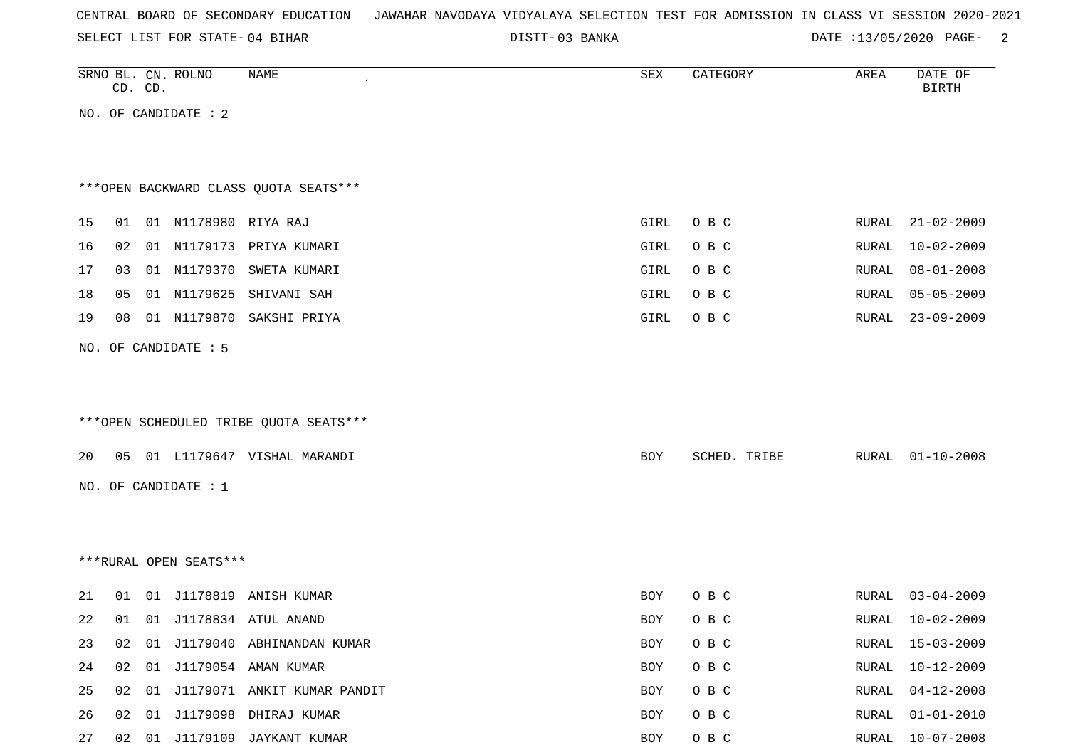| CENTRAL BOARD OF SECONDARY EDUCATION – JAWAHAR NAVODAYA VIDYALAYA SELECTION TEST FOR ADMISSION IN CLASS VI SESSION 2020-2021 |  |  |  |  |
|------------------------------------------------------------------------------------------------------------------------------|--|--|--|--|
|------------------------------------------------------------------------------------------------------------------------------|--|--|--|--|

03 BANKA DATE :13/05/2020 PAGE- 2

|    |    | CD. CD. | SRNO BL. CN. ROLNO     | NAME                                   | ${\tt SEX}$ | CATEGORY     | AREA         | DATE OF<br><b>BIRTH</b> |
|----|----|---------|------------------------|----------------------------------------|-------------|--------------|--------------|-------------------------|
|    |    |         | NO. OF CANDIDATE : 2   |                                        |             |              |              |                         |
|    |    |         |                        |                                        |             |              |              |                         |
|    |    |         |                        |                                        |             |              |              |                         |
|    |    |         |                        | *** OPEN BACKWARD CLASS QUOTA SEATS*** |             |              |              |                         |
| 15 | 01 |         | 01 N1178980 RIYA RAJ   |                                        | GIRL        | O B C        | RURAL        | $21 - 02 - 2009$        |
| 16 | 02 |         |                        | 01 N1179173 PRIYA KUMARI               | GIRL        | O B C        | <b>RURAL</b> | $10 - 02 - 2009$        |
| 17 | 03 |         |                        | 01 N1179370 SWETA KUMARI               | GIRL        | O B C        | RURAL        | $08 - 01 - 2008$        |
| 18 | 05 |         | 01 N1179625            | SHIVANI SAH                            | GIRL        | O B C        | RURAL        | $05 - 05 - 2009$        |
| 19 | 08 |         | 01 N1179870            | SAKSHI PRIYA                           | GIRL        | O B C        | RURAL        | $23 - 09 - 2009$        |
|    |    |         | NO. OF CANDIDATE : 5   |                                        |             |              |              |                         |
|    |    |         |                        |                                        |             |              |              |                         |
|    |    |         |                        |                                        |             |              |              |                         |
|    |    |         |                        | ***OPEN SCHEDULED TRIBE QUOTA SEATS*** |             |              |              |                         |
| 20 | 05 |         |                        | 01 L1179647 VISHAL MARANDI             | BOY         | SCHED. TRIBE | RURAL        | $01 - 10 - 2008$        |
|    |    |         |                        |                                        |             |              |              |                         |
|    |    |         | NO. OF CANDIDATE : 1   |                                        |             |              |              |                         |
|    |    |         |                        |                                        |             |              |              |                         |
|    |    |         |                        |                                        |             |              |              |                         |
|    |    |         | ***RURAL OPEN SEATS*** |                                        |             |              |              |                         |
| 21 | 01 |         |                        | 01 J1178819 ANISH KUMAR                | BOY         | O B C        | RURAL        | $03 - 04 - 2009$        |
| 22 | 01 |         |                        | 01 J1178834 ATUL ANAND                 | BOY         | O B C        | RURAL        | $10 - 02 - 2009$        |
| 23 | 02 |         |                        | 01 J1179040 ABHINANDAN KUMAR           | BOY         | O B C        | RURAL        | $15 - 03 - 2009$        |
| 24 | 02 |         |                        | 01 J1179054 AMAN KUMAR                 | BOY         | O B C        | <b>RURAL</b> | $10 - 12 - 2009$        |
| 25 | 02 |         |                        | 01 J1179071 ANKIT KUMAR PANDIT         | BOY         | O B C        | RURAL        | $04 - 12 - 2008$        |
| 26 | 02 |         |                        | 01 J1179098 DHIRAJ KUMAR               | BOY         | O B C        | RURAL        | $01 - 01 - 2010$        |
| 27 | 02 |         |                        | 01 J1179109 JAYKANT KUMAR              | BOY         | O B C        |              | RURAL 10-07-2008        |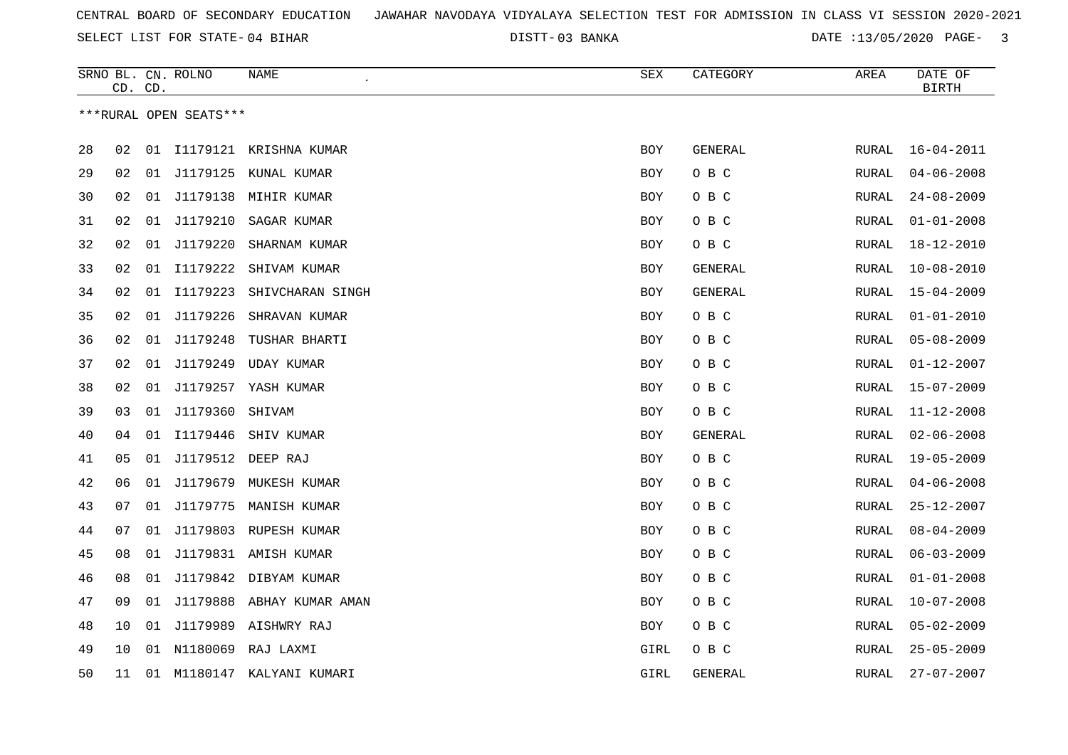03 BANKA DATE :13/05/2020 PAGE- 3

|    | CD. CD. |    | SRNO BL. CN. ROLNO     | NAME                      | SEX        | CATEGORY       | AREA         | DATE OF<br><b>BIRTH</b> |
|----|---------|----|------------------------|---------------------------|------------|----------------|--------------|-------------------------|
|    |         |    | ***RURAL OPEN SEATS*** |                           |            |                |              |                         |
|    |         |    |                        |                           |            |                |              |                         |
| 28 | 02      | 01 |                        | I1179121 KRISHNA KUMAR    | BOY        | GENERAL        | RURAL        | $16 - 04 - 2011$        |
| 29 | 02      | 01 |                        | J1179125 KUNAL KUMAR      | <b>BOY</b> | O B C          | RURAL        | $04 - 06 - 2008$        |
| 30 | 02      | 01 |                        | J1179138 MIHIR KUMAR      | <b>BOY</b> | O B C          | RURAL        | $24 - 08 - 2009$        |
| 31 | 02      | 01 | J1179210               | SAGAR KUMAR               | <b>BOY</b> | O B C          | RURAL        | $01 - 01 - 2008$        |
| 32 | 02      | 01 | J1179220               | SHARNAM KUMAR             | <b>BOY</b> | O B C          | RURAL        | $18 - 12 - 2010$        |
| 33 | 02      | 01 | I1179222               | SHIVAM KUMAR              | <b>BOY</b> | GENERAL        | RURAL        | $10 - 08 - 2010$        |
| 34 | 02      | 01 | I1179223               | SHIVCHARAN SINGH          | BOY        | GENERAL        | RURAL        | $15 - 04 - 2009$        |
| 35 | 02      | 01 | J1179226               | SHRAVAN KUMAR             | <b>BOY</b> | O B C          | RURAL        | $01 - 01 - 2010$        |
| 36 | 02      | 01 | J1179248               | TUSHAR BHARTI             | BOY        | O B C          | RURAL        | $05 - 08 - 2009$        |
| 37 | 02      | 01 | J1179249               | UDAY KUMAR                | <b>BOY</b> | O B C          | RURAL        | $01 - 12 - 2007$        |
| 38 | 02      | 01 |                        | J1179257 YASH KUMAR       | <b>BOY</b> | O B C          | RURAL        | $15 - 07 - 2009$        |
| 39 | 03      | 01 | J1179360               | SHIVAM                    | <b>BOY</b> | O B C          | RURAL        | $11 - 12 - 2008$        |
| 40 | 04      | 01 | I1179446               | SHIV KUMAR                | <b>BOY</b> | <b>GENERAL</b> | RURAL        | $02 - 06 - 2008$        |
| 41 | 05      | 01 | J1179512               | DEEP RAJ                  | BOY        | O B C          | RURAL        | $19 - 05 - 2009$        |
| 42 | 06      | 01 | J1179679               | MUKESH KUMAR              | <b>BOY</b> | O B C          | RURAL        | $04 - 06 - 2008$        |
| 43 | 07      | 01 |                        | J1179775 MANISH KUMAR     | <b>BOY</b> | O B C          | RURAL        | $25 - 12 - 2007$        |
| 44 | 07      | 01 |                        | J1179803 RUPESH KUMAR     | <b>BOY</b> | O B C          | <b>RURAL</b> | $08 - 04 - 2009$        |
| 45 | 08      | 01 |                        | J1179831 AMISH KUMAR      | BOY        | O B C          | RURAL        | $06 - 03 - 2009$        |
| 46 | 08      | 01 |                        | J1179842 DIBYAM KUMAR     | <b>BOY</b> | O B C          | RURAL        | $01 - 01 - 2008$        |
| 47 | 09      | 01 |                        | J1179888 ABHAY KUMAR AMAN | BOY        | O B C          | RURAL        | $10 - 07 - 2008$        |
| 48 | 10      | 01 | J1179989               | AISHWRY RAJ               | <b>BOY</b> | O B C          | RURAL        | $05 - 02 - 2009$        |
| 49 | 10      |    |                        | 01 N1180069 RAJ LAXMI     | GIRL       | O B C          | RURAL        | $25 - 05 - 2009$        |
| 50 | 11      | 01 |                        | M1180147 KALYANI KUMARI   | GIRL       | GENERAL        | RURAL        | $27 - 07 - 2007$        |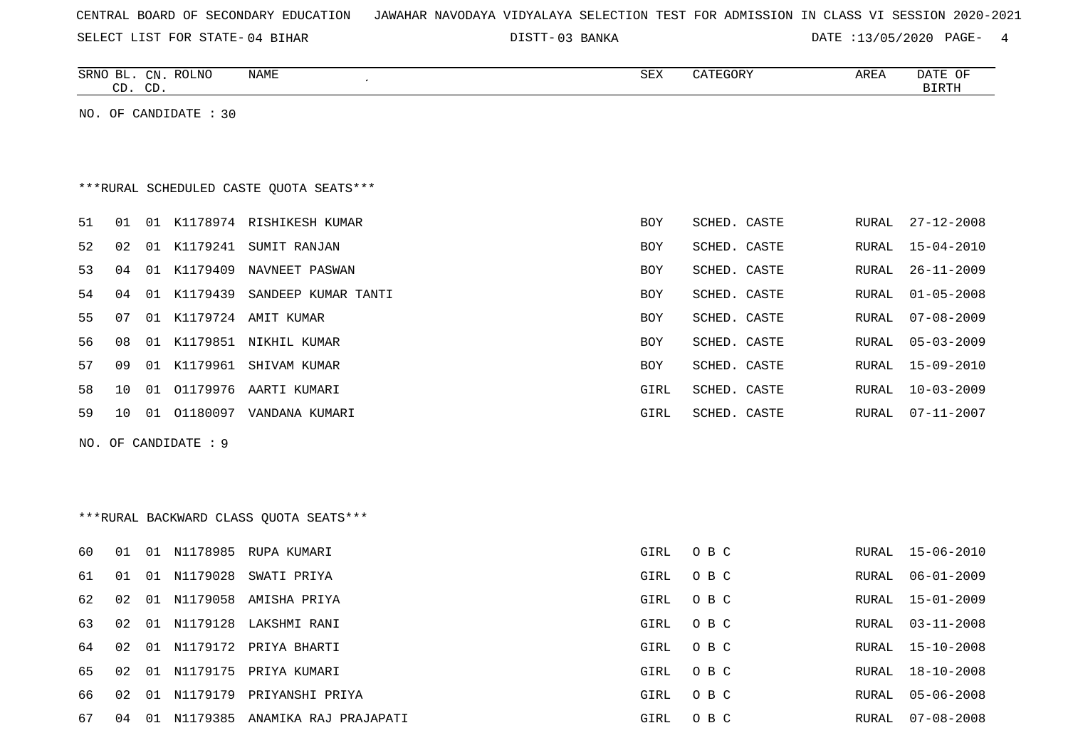| CENTRAL BOARD OF SECONDARY EDUCATION – JAWAHAR NAVODAYA VIDYALAYA SELECTION TEST FOR ADMISSION IN CLASS VI SESSION 2020-2021 |  |  |  |  |  |  |  |
|------------------------------------------------------------------------------------------------------------------------------|--|--|--|--|--|--|--|
|------------------------------------------------------------------------------------------------------------------------------|--|--|--|--|--|--|--|

03 BANKA DATE :13/05/2020 PAGE- 4

|    | CD. CD. |    | SRNO BL. CN. ROLNO    | <b>NAME</b>                             | <b>SEX</b> | CATEGORY     | AREA  | DATE OF<br><b>BIRTH</b> |
|----|---------|----|-----------------------|-----------------------------------------|------------|--------------|-------|-------------------------|
|    |         |    | NO. OF CANDIDATE : 30 |                                         |            |              |       |                         |
|    |         |    |                       |                                         |            |              |       |                         |
|    |         |    |                       |                                         |            |              |       |                         |
|    |         |    |                       | ***RURAL SCHEDULED CASTE QUOTA SEATS*** |            |              |       |                         |
| 51 | 01      |    |                       | 01 K1178974 RISHIKESH KUMAR             | BOY        | SCHED. CASTE | RURAL | $27 - 12 - 2008$        |
| 52 | 02      | 01 |                       | K1179241 SUMIT RANJAN                   | BOY        | SCHED. CASTE | RURAL | $15 - 04 - 2010$        |
| 53 | 04      |    | 01 K1179409           | NAVNEET PASWAN                          | BOY        | SCHED. CASTE | RURAL | $26 - 11 - 2009$        |
| 54 | 04      |    |                       | 01 K1179439 SANDEEP KUMAR TANTI         | BOY        | SCHED. CASTE | RURAL | $01 - 05 - 2008$        |
| 55 | 07      | 01 |                       | K1179724 AMIT KUMAR                     | BOY        | SCHED. CASTE | RURAL | $07 - 08 - 2009$        |
| 56 | 08      |    |                       | 01 K1179851 NIKHIL KUMAR                | <b>BOY</b> | SCHED. CASTE | RURAL | $05 - 03 - 2009$        |
| 57 | 09      |    |                       | 01 K1179961 SHIVAM KUMAR                | BOY        | SCHED. CASTE | RURAL | $15 - 09 - 2010$        |
| 58 | 10      | 01 |                       | 01179976 AARTI KUMARI                   | GIRL       | SCHED. CASTE | RURAL | $10 - 03 - 2009$        |
| 59 | 10      |    |                       | 01 01180097 VANDANA KUMARI              | GIRL       | SCHED. CASTE | RURAL | 07-11-2007              |
|    |         |    | NO. OF CANDIDATE : 9  |                                         |            |              |       |                         |
|    |         |    |                       |                                         |            |              |       |                         |
|    |         |    |                       |                                         |            |              |       |                         |
|    |         |    |                       | *** RURAL BACKWARD CLASS QUOTA SEATS*** |            |              |       |                         |
| 60 | 01      |    |                       | 01 N1178985 RUPA KUMARI                 | GIRL       | O B C        |       | RURAL 15-06-2010        |
| 61 | 01      |    | 01 N1179028           | SWATI PRIYA                             | GIRL       | O B C        | RURAL | $06 - 01 - 2009$        |
| 62 | 02      |    |                       | 01 N1179058 AMISHA PRIYA                | GIRL       | O B C        | RURAL | 15-01-2009              |
| 63 | 02      |    |                       | 01 N1179128 LAKSHMI RANI                | GIRL       | O B C        | RURAL | $03 - 11 - 2008$        |
| 64 | 02      |    |                       | 01 N1179172 PRIYA BHARTI                | GIRL       | O B C        | RURAL | $15 - 10 - 2008$        |
| 65 | 02      |    |                       | 01 N1179175 PRIYA KUMARI                | GIRL       | O B C        | RURAL | $18 - 10 - 2008$        |
| 66 | 02      |    |                       | 01 N1179179 PRIYANSHI PRIYA             | GIRL       | O B C        | RURAL | $05 - 06 - 2008$        |

67 04 01 N1179385 ANAMIKA RAJ PRAJAPATI GIRL O B C RURAL 07-08-2008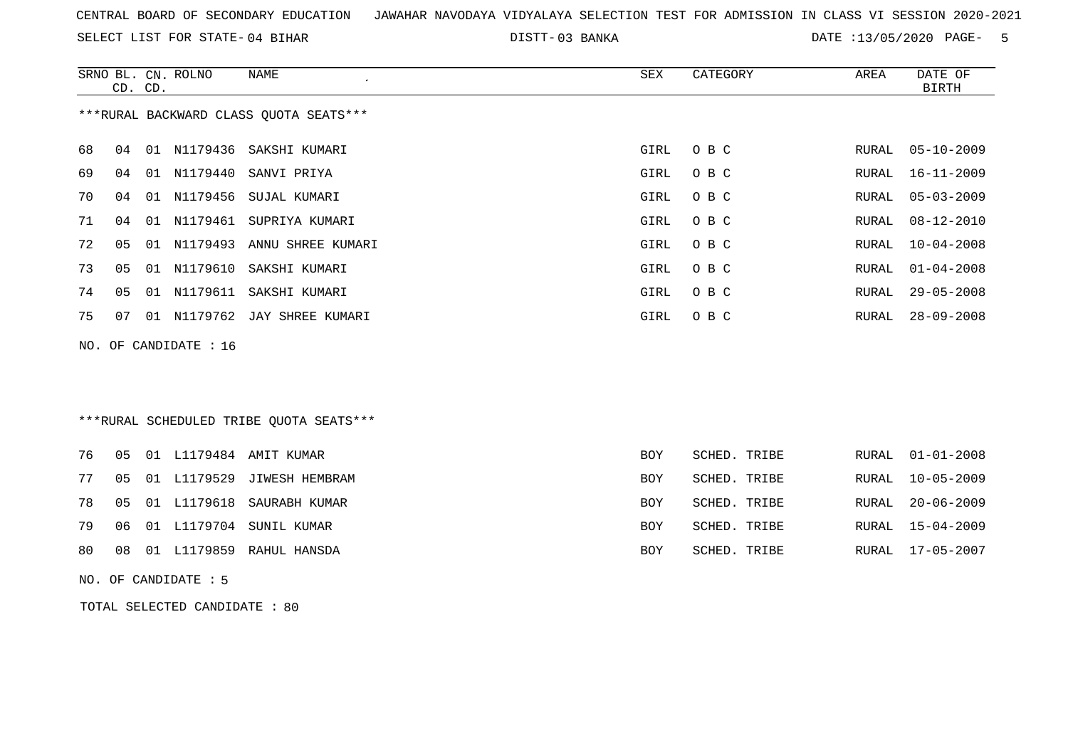SELECT LIST FOR STATE- DISTT- 04 BIHAR

03 BANKA DATE :13/05/2020 PAGE- 5

|     | CD. CD.        |    | SRNO BL. CN. ROLNO | NAME                                    | SEX  | CATEGORY | AREA  | DATE OF<br>BIRTH |  |
|-----|----------------|----|--------------------|-----------------------------------------|------|----------|-------|------------------|--|
|     |                |    |                    | *** RURAL BACKWARD CLASS QUOTA SEATS*** |      |          |       |                  |  |
| 68  | 04             |    |                    | 01 N1179436 SAKSHI KUMARI               | GIRL | O B C    | RURAL | $05 - 10 - 2009$ |  |
| 69  | 04             | 01 | N1179440           | SANVI PRIYA                             | GIRL | O B C    | RURAL | 16-11-2009       |  |
| 70  | 04             |    |                    | 01 N1179456 SUJAL KUMARI                | GIRL | O B C    | RURAL | $05 - 03 - 2009$ |  |
| 71  | 04             |    | 01 N1179461        | SUPRIYA KUMARI                          | GIRL | O B C    | RURAL | $08 - 12 - 2010$ |  |
| 72  | 05             |    |                    | 01 N1179493 ANNU SHREE KUMARI           | GIRL | O B C    | RURAL | $10 - 04 - 2008$ |  |
| 73  | 0 <sub>5</sub> |    | 01 N1179610        | SAKSHI KUMARI                           | GIRL | O B C    | RURAL | $01 - 04 - 2008$ |  |
| 74  | 05             |    |                    | 01 N1179611 SAKSHI KUMARI               | GIRL | O B C    | RURAL | $29 - 05 - 2008$ |  |
| 75  | 07             |    | 01 N1179762        | JAY SHREE KUMARI                        | GIRL | O B C    | RURAL | $28 - 09 - 2008$ |  |
| NO. |                |    | OF CANDIDATE : 16  |                                         |      |          |       |                  |  |
|     |                |    |                    |                                         |      |          |       |                  |  |
|     |                |    |                    |                                         |      |          |       |                  |  |
|     |                |    |                    | ***RURAL SCHEDULED TRIBE QUOTA SEATS*** |      |          |       |                  |  |

|  |  | 76 05 01 L1179484 AMIT KUMAR     | BOY        | SCHED. TRIBE | RURAL 01-01-2008 |
|--|--|----------------------------------|------------|--------------|------------------|
|  |  | 77 05 01 L1179529 JIWESH HEMBRAM | <b>BOY</b> | SCHED. TRIBE | RURAL 10-05-2009 |
|  |  | 78 05 01 L1179618 SAURABH KUMAR  | <b>BOY</b> | SCHED. TRIBE | RURAL 20-06-2009 |
|  |  | 79 06 01 L1179704 SUNIL KUMAR    | <b>BOY</b> | SCHED. TRIBE | RURAL 15-04-2009 |
|  |  | 80 08 01 L1179859 RAHUL HANSDA   | BOY        | SCHED. TRIBE | RURAL 17-05-2007 |
|  |  |                                  |            |              |                  |

NO. OF CANDIDATE : 5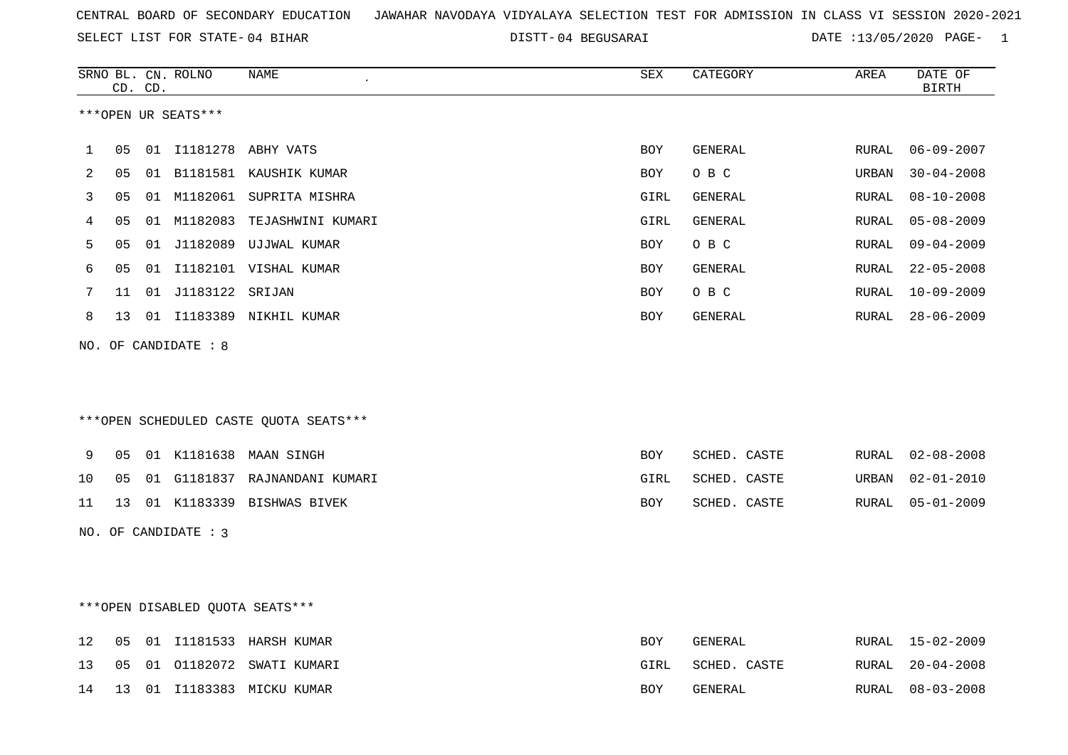SELECT LIST FOR STATE- DISTT- 04 BIHAR

04 BEGUSARAI DATE :13/05/2020 PAGE- 1

|    |    | CD. CD. | SRNO BL. CN. ROLNO   | NAME                                    | ${\tt SEX}$ | CATEGORY       | AREA  | DATE OF<br><b>BIRTH</b> |
|----|----|---------|----------------------|-----------------------------------------|-------------|----------------|-------|-------------------------|
|    |    |         | ***OPEN UR SEATS***  |                                         |             |                |       |                         |
| 1  | 05 |         |                      | 01 I1181278 ABHY VATS                   | <b>BOY</b>  | GENERAL        | RURAL | $06 - 09 - 2007$        |
| 2  | 05 |         |                      | 01 B1181581 KAUSHIK KUMAR               | <b>BOY</b>  | O B C          | URBAN | $30 - 04 - 2008$        |
| 3  | 05 |         |                      | 01 M1182061 SUPRITA MISHRA              | GIRL        | GENERAL        | RURAL | $08 - 10 - 2008$        |
| 4  | 05 |         |                      | 01 M1182083 TEJASHWINI KUMARI           | GIRL        | GENERAL        | RURAL | $05 - 08 - 2009$        |
| 5  | 05 |         |                      | 01 J1182089 UJJWAL KUMAR                | <b>BOY</b>  | O B C          | RURAL | $09 - 04 - 2009$        |
| 6  | 05 |         |                      | 01 I1182101 VISHAL KUMAR                | BOY         | <b>GENERAL</b> | RURAL | $22 - 05 - 2008$        |
| 7  | 11 |         | 01 J1183122 SRIJAN   |                                         | <b>BOY</b>  | O B C          | RURAL | $10 - 09 - 2009$        |
| 8  |    |         |                      | 13 01 I1183389 NIKHIL KUMAR             | BOY         | GENERAL        | RURAL | $28 - 06 - 2009$        |
|    |    |         | NO. OF CANDIDATE : 8 |                                         |             |                |       |                         |
|    |    |         |                      |                                         |             |                |       |                         |
|    |    |         |                      | *** OPEN SCHEDULED CASTE QUOTA SEATS*** |             |                |       |                         |
| 9  | 05 |         |                      | 01 K1181638 MAAN SINGH                  | <b>BOY</b>  | SCHED. CASTE   | RURAL | $02 - 08 - 2008$        |
| 10 | 05 |         |                      | 01 G1181837 RAJNANDANI KUMARI           | GIRL        | SCHED. CASTE   | URBAN | $02 - 01 - 2010$        |
| 11 |    |         |                      | 13 01 K1183339 BISHWAS BIVEK            | BOY         | SCHED. CASTE   | RURAL | $05 - 01 - 2009$        |
|    |    |         | NO. OF CANDIDATE : 3 |                                         |             |                |       |                         |
|    |    |         |                      |                                         |             |                |       |                         |
|    |    |         |                      |                                         |             |                |       |                         |
|    |    |         |                      | ***OPEN DISABLED QUOTA SEATS***         |             |                |       |                         |
| 12 | 05 |         |                      | 01 I1181533 HARSH KUMAR                 | BOY         | GENERAL        |       | RURAL 15-02-2009        |
| 13 |    |         |                      | 05 01 01182072 SWATI KUMARI             | GIRL        | SCHED. CASTE   | RURAL | $20 - 04 - 2008$        |

14 13 01 I1183383 MICKU KUMAR BOY GENERAL RURAL 08-03-2008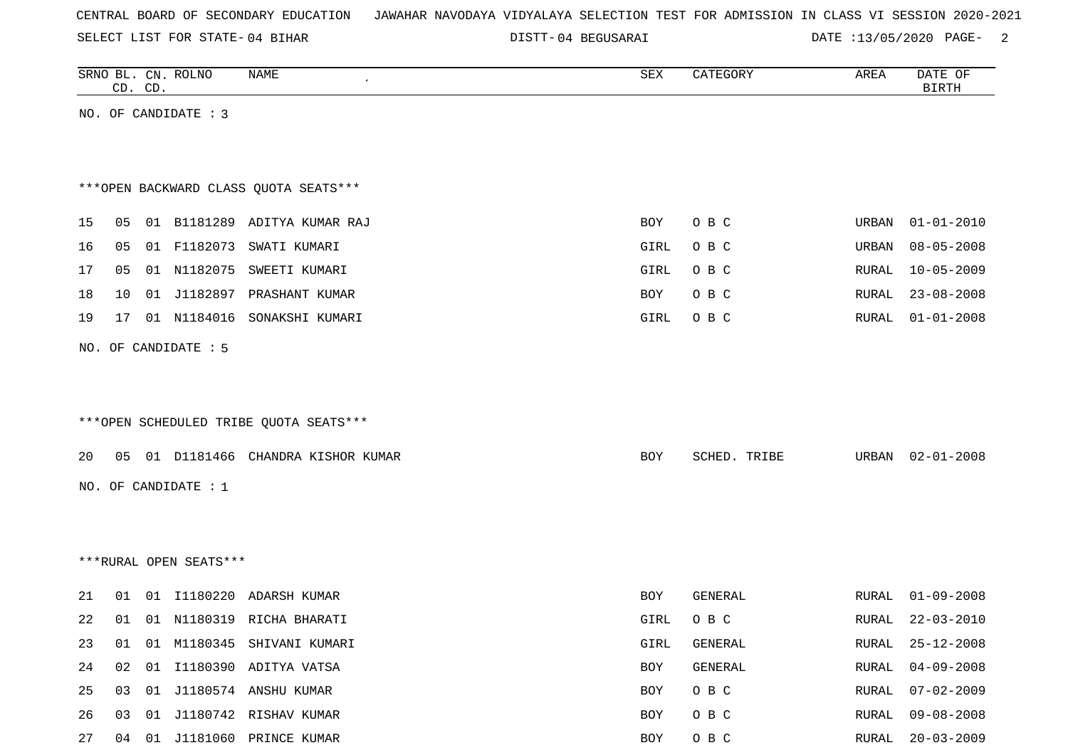SELECT LIST FOR STATE- DISTT- 04 BIHAR

04 BEGUSARAI DATE :13/05/2020 PAGE- 2

|    |    | CD. CD. | SRNO BL. CN. ROLNO     | NAME                                                | SEX  | CATEGORY       | AREA         | DATE OF<br><b>BIRTH</b> |
|----|----|---------|------------------------|-----------------------------------------------------|------|----------------|--------------|-------------------------|
|    |    |         | NO. OF CANDIDATE : 3   |                                                     |      |                |              |                         |
|    |    |         |                        |                                                     |      |                |              |                         |
|    |    |         |                        |                                                     |      |                |              |                         |
|    |    |         |                        | *** OPEN BACKWARD CLASS QUOTA SEATS***              |      |                |              |                         |
| 15 | 05 |         |                        | 01 B1181289 ADITYA KUMAR RAJ                        |      |                |              |                         |
|    |    |         |                        | SWATI KUMARI                                        | BOY  | O B C          | URBAN        | $01 - 01 - 2010$        |
| 16 | 05 |         | 01 F1182073            |                                                     | GIRL | O B C          | URBAN        | $08 - 05 - 2008$        |
| 17 | 05 |         |                        | 01 N1182075 SWEETI KUMARI                           | GIRL | O B C          | RURAL        | $10 - 05 - 2009$        |
| 18 | 10 |         |                        | 01 J1182897 PRASHANT KUMAR                          | BOY  | O B C          | RURAL        | $23 - 08 - 2008$        |
| 19 | 17 |         | 01 N1184016            | SONAKSHI KUMARI                                     | GIRL | O B C          | RURAL        | $01 - 01 - 2008$        |
|    |    |         | NO. OF CANDIDATE : 5   |                                                     |      |                |              |                         |
|    |    |         |                        |                                                     |      |                |              |                         |
|    |    |         |                        |                                                     |      |                |              |                         |
|    |    |         |                        | ***OPEN SCHEDULED TRIBE QUOTA SEATS***              |      |                |              |                         |
| 20 |    |         |                        | 05 01 D1181466 CHANDRA KISHOR KUMAR                 | BOY  | SCHED. TRIBE   | URBAN        | $02 - 01 - 2008$        |
|    |    |         |                        |                                                     |      |                |              |                         |
|    |    |         | NO. OF CANDIDATE : $1$ |                                                     |      |                |              |                         |
|    |    |         |                        |                                                     |      |                |              |                         |
|    |    |         |                        |                                                     |      |                |              |                         |
|    |    |         | ***RURAL OPEN SEATS*** |                                                     |      |                |              |                         |
| 21 | 01 |         | 01 11180220            | ADARSH KUMAR                                        | BOY  | GENERAL        | RURAL        | $01 - 09 - 2008$        |
| 22 | 01 |         |                        | 01 N1180319 RICHA BHARATI                           | GIRL | O B C          | RURAL        | $22 - 03 - 2010$        |
| 23 | 01 |         |                        | 01 M1180345 SHIVANI KUMARI                          | GIRL | GENERAL        | RURAL        | $25 - 12 - 2008$        |
| 24 | 02 |         |                        | 01 I1180390 ADITYA VATSA                            | BOY  | GENERAL        | RURAL        | $04 - 09 - 2008$        |
|    |    |         |                        |                                                     |      |                |              |                         |
| 25 | 03 |         |                        |                                                     | BOY  |                | <b>RURAL</b> | $07 - 02 - 2009$        |
| 26 | 03 |         |                        | 01 J1180574 ANSHU KUMAR<br>01 J1180742 RISHAV KUMAR | BOY  | O B C<br>O B C | RURAL        | $09 - 08 - 2008$        |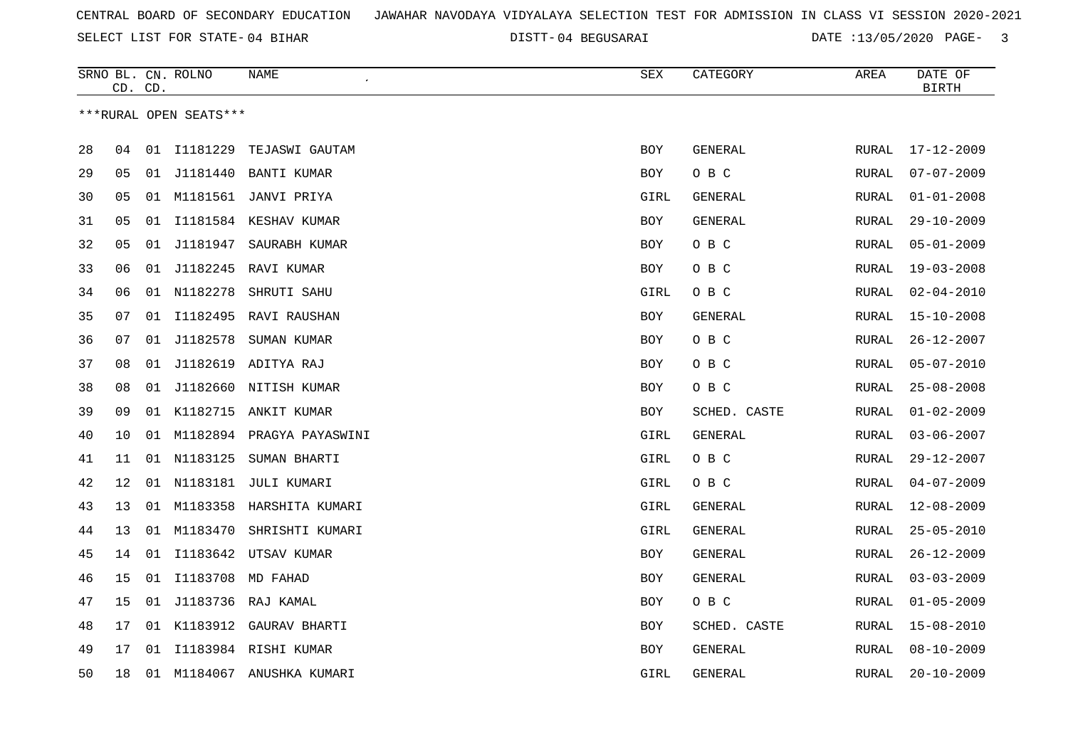SELECT LIST FOR STATE- DISTT- 04 BIHAR

04 BEGUSARAI DATE :13/05/2020 PAGE- 3

|    | CD. CD. |    | SRNO BL. CN. ROLNO     | NAME                         | SEX        | CATEGORY       | AREA          | DATE OF<br><b>BIRTH</b> |
|----|---------|----|------------------------|------------------------------|------------|----------------|---------------|-------------------------|
|    |         |    | ***RURAL OPEN SEATS*** |                              |            |                |               |                         |
| 28 | 04      |    | 01 I1181229            | TEJASWI GAUTAM               | <b>BOY</b> | GENERAL        | RURAL         | $17 - 12 - 2009$        |
| 29 | 05      |    |                        | 01 J1181440 BANTI KUMAR      | <b>BOY</b> | O B C          | RURAL         | $07 - 07 - 2009$        |
| 30 | 05      | 01 |                        | M1181561 JANVI PRIYA         | GIRL       | GENERAL        | RURAL         | $01 - 01 - 2008$        |
| 31 | 05      | 01 |                        | I1181584 KESHAV KUMAR        | <b>BOY</b> | GENERAL        | RURAL         | $29 - 10 - 2009$        |
| 32 | 05      | 01 | J1181947               | SAURABH KUMAR                | BOY        | O B C          | RURAL         | $05 - 01 - 2009$        |
| 33 | 06      | 01 | J1182245               | RAVI KUMAR                   | <b>BOY</b> | O B C          | RURAL         | $19 - 03 - 2008$        |
| 34 | 06      |    | 01 N1182278            | SHRUTI SAHU                  | GIRL       | O B C          | <b>RURAL</b>  | $02 - 04 - 2010$        |
| 35 | 07      | 01 | I1182495               | RAVI RAUSHAN                 | <b>BOY</b> | GENERAL        | <b>RURAL</b>  | $15 - 10 - 2008$        |
| 36 | 07      |    | 01 J1182578            | SUMAN KUMAR                  | BOY        | O B C          | RURAL         | $26 - 12 - 2007$        |
| 37 | 08      |    |                        | 01 J1182619 ADITYA RAJ       | BOY        | O B C          | RURAL         | $05 - 07 - 2010$        |
| 38 | 08      |    |                        | 01 J1182660 NITISH KUMAR     | <b>BOY</b> | O B C          | RURAL         | $25 - 08 - 2008$        |
| 39 | 09      |    | 01 K1182715            | ANKIT KUMAR                  | BOY        | SCHED. CASTE   | RURAL         | $01 - 02 - 2009$        |
| 40 | 10      |    |                        | 01 M1182894 PRAGYA PAYASWINI | GIRL       | GENERAL        | RURAL         | $03 - 06 - 2007$        |
| 41 | 11      | 01 | N1183125               | SUMAN BHARTI                 | GIRL       | O B C          | RURAL         | $29 - 12 - 2007$        |
| 42 | 12      |    |                        | 01 N1183181 JULI KUMARI      | GIRL       | O B C          | RURAL         | $04 - 07 - 2009$        |
| 43 | 13      | 01 | M1183358               | HARSHITA KUMARI              | GIRL       | GENERAL        | ${\tt RURAL}$ | $12 - 08 - 2009$        |
| 44 | 13      | 01 | M1183470               | SHRISHTI KUMARI              | GIRL       | GENERAL        | RURAL         | $25 - 05 - 2010$        |
| 45 | 14      |    |                        | 01 I1183642 UTSAV KUMAR      | BOY        | GENERAL        | ${\tt RURAL}$ | $26 - 12 - 2009$        |
| 46 | 15      |    | 01 I1183708            | MD FAHAD                     | <b>BOY</b> | GENERAL        | RURAL         | $03 - 03 - 2009$        |
| 47 | 15      |    |                        | 01 J1183736 RAJ KAMAL        | BOY        | O B C          | RURAL         | $01 - 05 - 2009$        |
| 48 | 17      | 01 | K1183912               | GAURAV BHARTI                | BOY        | SCHED. CASTE   | RURAL         | $15 - 08 - 2010$        |
| 49 | 17      | 01 |                        | I1183984 RISHI KUMAR         | BOY        | <b>GENERAL</b> | RURAL         | $08 - 10 - 2009$        |
| 50 | 18      |    |                        | 01 M1184067 ANUSHKA KUMARI   | GIRL       | GENERAL        | RURAL         | $20 - 10 - 2009$        |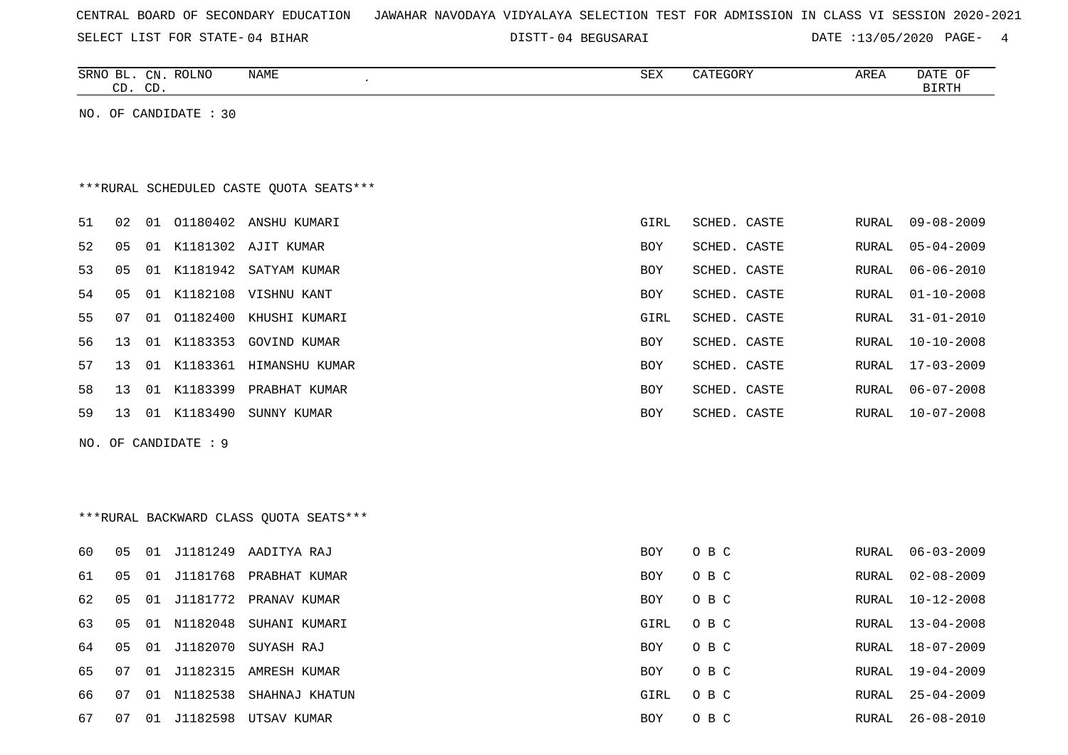SELECT LIST FOR STATE- DISTT- 04 BIHAR

04 BEGUSARAI DATE :13/05/2020 PAGE- 4

| <b>ROLNC</b><br><b>NAME</b><br>SRNO<br>CN<br>⊔כ | CDZ<br>∡∟د | ~~~~<br>EGUR) | ARE <sub>A</sub> | DATE<br>$\cap$ T<br>. |
|-------------------------------------------------|------------|---------------|------------------|-----------------------|
| $\cap$ T<br>$\sim$<br>ىت<br>ىب                  |            |               |                  | RTRTH                 |

NO. OF CANDIDATE : 30

# \*\*\*RURAL SCHEDULED CASTE QUOTA SEATS\*\*\*

| 51 | 02 | 01  | 01180402 | ANSHU KUMARI          | GIRL | SCHED. CASTE | RURAL | $09 - 08 - 2009$ |
|----|----|-----|----------|-----------------------|------|--------------|-------|------------------|
| 52 | 05 | O 1 | K1181302 | AJIT KUMAR            | BOY  | SCHED. CASTE | RURAL | 05-04-2009       |
| 53 | 05 | 01  |          | K1181942 SATYAM KUMAR | BOY  | SCHED. CASTE | RURAL | 06-06-2010       |
| 54 | 05 | 01  | K1182108 | VISHNU KANT           | BOY  | SCHED. CASTE | RURAL | 01-10-2008       |
| 55 | 07 | 01  | 01182400 | KHUSHI KUMARI         | GIRL | SCHED. CASTE | RURAL | 31-01-2010       |
| 56 | 13 | 01  | K1183353 | GOVIND KUMAR          | BOY  | SCHED. CASTE | RURAL | 10-10-2008       |
| 57 | 13 | 01  | K1183361 | HIMANSHU KUMAR        | BOY  | SCHED. CASTE | RURAL | 17-03-2009       |
| 58 | 13 | O 1 | K1183399 | PRABHAT KUMAR         | BOY  | SCHED. CASTE | RURAL | $06 - 07 - 2008$ |
| 59 | 13 | 01  | K1183490 | SUNNY KUMAR           | BOY  | SCHED. CASTE | RURAL | 10-07-2008       |
|    |    |     |          |                       |      |              |       |                  |

NO. OF CANDIDATE : 9

# \*\*\*RURAL BACKWARD CLASS QUOTA SEATS\*\*\*

| 60  | 05  | . O 1 | J1181249    | AADITYA RAJ            | BOY.       | O B C |       | RURAL 06-03-2009 |
|-----|-----|-------|-------------|------------------------|------------|-------|-------|------------------|
| 61  | 05  | - 01  |             | J1181768 PRABHAT KUMAR | BOY.       | O B C | RURAL | 02-08-2009       |
| 62  | 05  | 01    |             | J1181772 PRANAV KUMAR  | BOY        | O B C | RURAL | 10-12-2008       |
| 63  | 05  | 01    |             | N1182048 SUHANI KUMARI | GIRL       | O B C | RURAL | 13-04-2008       |
| 64  | 05  |       |             | 01 J1182070 SUYASH RAJ | BOY.       | O B C | RURAL | 18-07-2009       |
| 65  | 07  |       | 01 J1182315 | AMRESH KUMAR           | BOY.       | O B C | RURAL | 19-04-2009       |
| 66. | 07  | . N 1 | N1182538    | SHAHNAJ KHATUN         | GIRL       | O B C | RURAL | 25-04-2009       |
| 67  | -07 | 01    | J1182598    | UTSAV KUMAR            | <b>BOY</b> | O B C | RURAL | 26-08-2010       |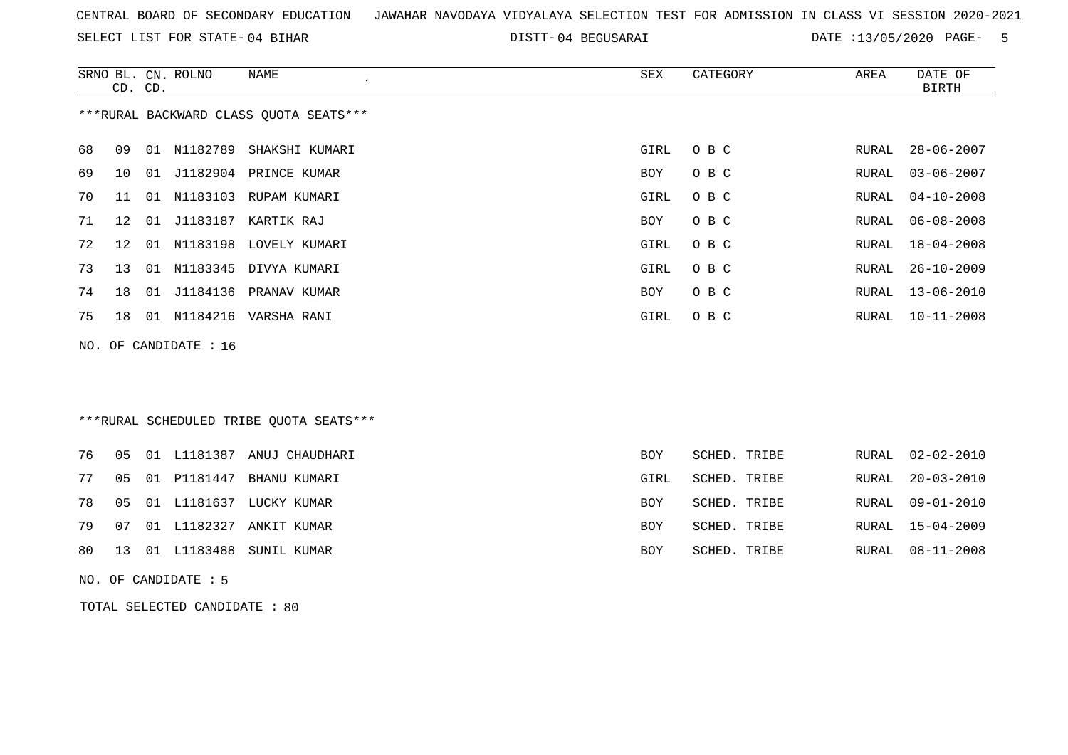SELECT LIST FOR STATE- DISTT- 04 BIHAR

04 BEGUSARAI DATE :13/05/2020 PAGE- 5

|    | CD. CD.                                 |    | SRNO BL. CN. ROLNO    | NAME<br>$\epsilon$        | SEX  | CATEGORY | AREA  | DATE OF<br>BIRTH |  |  |  |
|----|-----------------------------------------|----|-----------------------|---------------------------|------|----------|-------|------------------|--|--|--|
|    | *** RURAL BACKWARD CLASS QUOTA SEATS*** |    |                       |                           |      |          |       |                  |  |  |  |
| 68 | 09                                      | 01 | N1182789              | SHAKSHI KUMARI            | GIRL | O B C    | RURAL | $28 - 06 - 2007$ |  |  |  |
| 69 | 10 <sup>°</sup>                         |    |                       | 01 J1182904 PRINCE KUMAR  | BOY  | O B C    | RURAL | $03 - 06 - 2007$ |  |  |  |
| 70 | 11                                      | 01 | N1183103              | RUPAM KUMARI              | GIRL | O B C    | RURAL | $04 - 10 - 2008$ |  |  |  |
| 71 | $12^{\circ}$                            | 01 |                       | J1183187 KARTIK RAJ       | BOY  | O B C    | RURAL | $06 - 08 - 2008$ |  |  |  |
| 72 | $12 \,$                                 |    |                       | 01 N1183198 LOVELY KUMARI | GIRL | O B C    | RURAL | $18 - 04 - 2008$ |  |  |  |
| 73 | 13                                      | 01 | N1183345              | DIVYA KUMARI              | GIRL | O B C    | RURAL | $26 - 10 - 2009$ |  |  |  |
| 74 | 18                                      |    |                       | 01 J1184136 PRANAV KUMAR  | BOY  | O B C    | RURAL | $13 - 06 - 2010$ |  |  |  |
| 75 | 18                                      |    | 01 N1184216           | VARSHA RANI               | GIRL | O B C    | RURAL | $10 - 11 - 2008$ |  |  |  |
|    |                                         |    | NO. OF CANDIDATE : 16 |                           |      |          |       |                  |  |  |  |
|    |                                         |    |                       |                           |      |          |       |                  |  |  |  |
|    |                                         |    |                       |                           |      |          |       |                  |  |  |  |
|    | ***RURAL SCHEDULED TRIBE QUOTA SEATS*** |    |                       |                           |      |          |       |                  |  |  |  |

|  |  | 76  05  01  L1181387  ANUJ CHAUDHARI | BOY        | SCHED. TRIBE | RURAL 02-02-2010 |
|--|--|--------------------------------------|------------|--------------|------------------|
|  |  | 77 05 01 P1181447 BHANU KUMARI       | GIRL       | SCHED. TRIBE | RURAL 20-03-2010 |
|  |  | 78 05 01 L1181637 LUCKY KUMAR        | BOY.       | SCHED. TRIBE | RURAL 09-01-2010 |
|  |  | 79 07 01 L1182327 ANKIT KUMAR        | <b>BOY</b> | SCHED. TRIBE | RURAL 15-04-2009 |
|  |  | 80 13 01 L1183488 SUNIL KUMAR        | BOY        | SCHED. TRIBE | RURAL 08-11-2008 |

NO. OF CANDIDATE : 5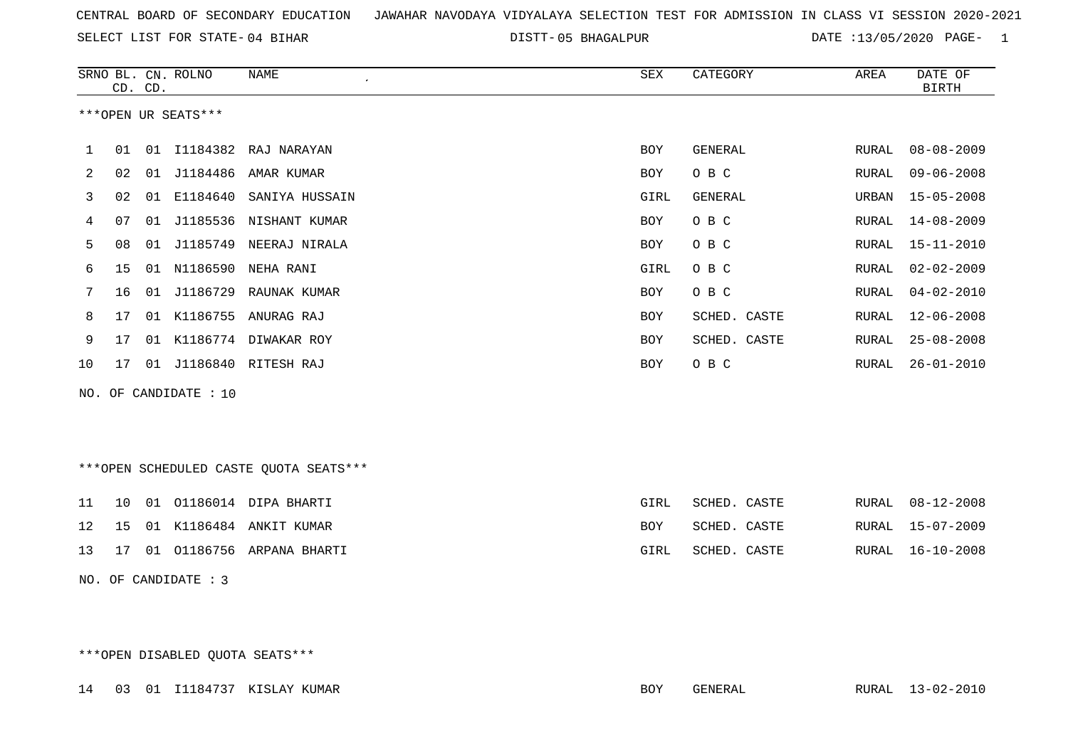SELECT LIST FOR STATE- DISTT- 04 BIHAR

05 BHAGALPUR DATE :13/05/2020 PAGE- 1

|     |    | CD. CD. | SRNO BL. CN. ROLNO  | <b>NAME</b>                            | SEX        | CATEGORY       | AREA         | DATE OF<br><b>BIRTH</b> |
|-----|----|---------|---------------------|----------------------------------------|------------|----------------|--------------|-------------------------|
|     |    |         | ***OPEN UR SEATS*** |                                        |            |                |              |                         |
| 1   | 01 | 01      |                     | I1184382 RAJ NARAYAN                   | <b>BOY</b> | GENERAL        | RURAL        | $08 - 08 - 2009$        |
| 2   | 02 | 01      | J1184486            | AMAR KUMAR                             | <b>BOY</b> | O B C          | <b>RURAL</b> | $09 - 06 - 2008$        |
| 3   | 02 | 01      | E1184640            | SANIYA HUSSAIN                         | GIRL       | <b>GENERAL</b> | URBAN        | $15 - 05 - 2008$        |
| 4   | 07 | 01      |                     | J1185536 NISHANT KUMAR                 | <b>BOY</b> | O B C          | RURAL        | $14 - 08 - 2009$        |
| 5   | 08 | 01      |                     | J1185749 NEERAJ NIRALA                 | <b>BOY</b> | O B C          | RURAL        | $15 - 11 - 2010$        |
| 6   | 15 |         |                     | 01 N1186590 NEHA RANI                  | GIRL       | O B C          | RURAL        | $02 - 02 - 2009$        |
| 7   | 16 | 01      |                     | J1186729 RAUNAK KUMAR                  | <b>BOY</b> | O B C          | RURAL        | $04 - 02 - 2010$        |
| 8   | 17 |         |                     | 01 K1186755 ANURAG RAJ                 | <b>BOY</b> | SCHED. CASTE   | <b>RURAL</b> | $12 - 06 - 2008$        |
| 9   | 17 |         |                     | 01 K1186774 DIWAKAR ROY                | <b>BOY</b> | SCHED. CASTE   | RURAL        | $25 - 08 - 2008$        |
| 10  | 17 |         |                     | 01 J1186840 RITESH RAJ                 | <b>BOY</b> | O B C          | <b>RURAL</b> | $26 - 01 - 2010$        |
| NO. |    |         | OF CANDIDATE : 10   |                                        |            |                |              |                         |
|     |    |         |                     |                                        |            |                |              |                         |
|     |    |         |                     | ***OPEN SCHEDULED CASTE QUOTA SEATS*** |            |                |              |                         |
| 11  | 10 | 01      |                     | 01186014 DIPA BHARTI                   | GIRL       | SCHED. CASTE   | RURAL        | $08 - 12 - 2008$        |
| 12  | 15 |         |                     | 01 K1186484 ANKIT KUMAR                | <b>BOY</b> | SCHED. CASTE   | RURAL        | $15 - 07 - 2009$        |
| 13  | 17 | 01      |                     | 01186756 ARPANA BHARTI                 | GIRL       | SCHED. CASTE   | RURAL        | $16 - 10 - 2008$        |

NO. OF CANDIDATE : 3

\*\*\*OPEN DISABLED QUOTA SEATS\*\*\*

14 03 01 I1184737 KISLAY KUMAR BOY GENERAL RURAL 13-02-2010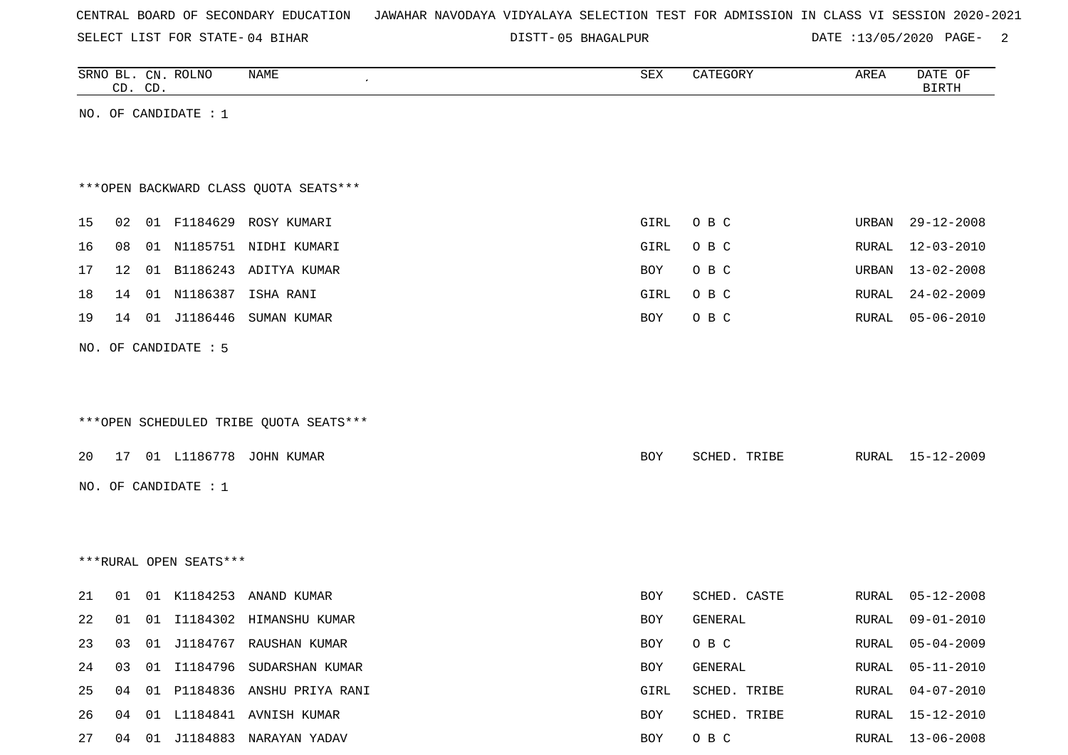SELECT LIST FOR STATE- DISTT- 04 BIHAR

05 BHAGALPUR DATE :13/05/2020 PAGE- 2

| SEX                                            | CD. CD.              |          | SRNO BL. CN. ROLNO     | <b>NAME</b>                                                                                                                                                                                       | CATEGORY                                                                             | AREA                                               | DATE OF<br><b>BIRTH</b>                                                                    |
|------------------------------------------------|----------------------|----------|------------------------|---------------------------------------------------------------------------------------------------------------------------------------------------------------------------------------------------|--------------------------------------------------------------------------------------|----------------------------------------------------|--------------------------------------------------------------------------------------------|
|                                                |                      |          | NO. OF CANDIDATE : 1   |                                                                                                                                                                                                   |                                                                                      |                                                    |                                                                                            |
|                                                |                      |          |                        |                                                                                                                                                                                                   |                                                                                      |                                                    |                                                                                            |
|                                                |                      |          |                        |                                                                                                                                                                                                   |                                                                                      |                                                    |                                                                                            |
|                                                |                      |          |                        | *** OPEN BACKWARD CLASS QUOTA SEATS***                                                                                                                                                            |                                                                                      |                                                    |                                                                                            |
| GIRL                                           | 02                   |          |                        | 01 F1184629 ROSY KUMARI                                                                                                                                                                           | O B C                                                                                | URBAN                                              | $29 - 12 - 2008$                                                                           |
|                                                | 08                   |          |                        | 01 N1185751 NIDHI KUMARI                                                                                                                                                                          |                                                                                      |                                                    |                                                                                            |
| GIRL                                           |                      |          |                        |                                                                                                                                                                                                   | O B C                                                                                | RURAL                                              | $12 - 03 - 2010$                                                                           |
| BOY                                            | 12                   |          |                        | 01 B1186243 ADITYA KUMAR                                                                                                                                                                          | O B C                                                                                |                                                    | URBAN 13-02-2008                                                                           |
| GIRL                                           | 14                   |          |                        | 01 N1186387 ISHA RANI                                                                                                                                                                             | O B C                                                                                | RURAL                                              | $24 - 02 - 2009$                                                                           |
| BOY                                            | 14                   |          | 01 J1186446            | SUMAN KUMAR                                                                                                                                                                                       | O B C                                                                                | RURAL                                              | $05 - 06 - 2010$                                                                           |
|                                                |                      |          |                        |                                                                                                                                                                                                   |                                                                                      |                                                    |                                                                                            |
|                                                |                      |          |                        |                                                                                                                                                                                                   |                                                                                      |                                                    |                                                                                            |
|                                                |                      |          |                        |                                                                                                                                                                                                   |                                                                                      |                                                    |                                                                                            |
|                                                |                      |          |                        | ***OPEN SCHEDULED TRIBE QUOTA SEATS***                                                                                                                                                            |                                                                                      |                                                    |                                                                                            |
|                                                |                      |          |                        |                                                                                                                                                                                                   |                                                                                      |                                                    |                                                                                            |
| BOY                                            | 17                   |          |                        | 01 L1186778 JOHN KUMAR                                                                                                                                                                            | SCHED. TRIBE                                                                         |                                                    | RURAL 15-12-2009                                                                           |
|                                                |                      |          | NO. OF CANDIDATE : 1   |                                                                                                                                                                                                   |                                                                                      |                                                    |                                                                                            |
|                                                |                      |          |                        |                                                                                                                                                                                                   |                                                                                      |                                                    |                                                                                            |
|                                                |                      |          |                        |                                                                                                                                                                                                   |                                                                                      |                                                    |                                                                                            |
|                                                |                      |          | ***RURAL OPEN SEATS*** |                                                                                                                                                                                                   |                                                                                      |                                                    |                                                                                            |
|                                                |                      |          |                        |                                                                                                                                                                                                   |                                                                                      |                                                    | $05 - 12 - 2008$                                                                           |
|                                                |                      |          |                        |                                                                                                                                                                                                   |                                                                                      |                                                    | $09 - 01 - 2010$                                                                           |
|                                                |                      |          |                        |                                                                                                                                                                                                   |                                                                                      |                                                    |                                                                                            |
|                                                |                      |          |                        |                                                                                                                                                                                                   |                                                                                      |                                                    |                                                                                            |
|                                                |                      |          |                        |                                                                                                                                                                                                   |                                                                                      |                                                    |                                                                                            |
|                                                |                      |          |                        |                                                                                                                                                                                                   |                                                                                      |                                                    |                                                                                            |
|                                                |                      |          |                        |                                                                                                                                                                                                   |                                                                                      |                                                    |                                                                                            |
| BOY<br>BOY<br>BOY<br>BOY<br>GIRL<br>BOY<br>BOY | 01<br>01<br>03<br>04 | 03<br>04 | 01 K1184253            | ANAND KUMAR<br>01 I1184302 HIMANSHU KUMAR<br>01 J1184767 RAUSHAN KUMAR<br>01 I1184796 SUDARSHAN KUMAR<br>01 P1184836 ANSHU PRIYA RANI<br>01 L1184841 AVNISH KUMAR<br>04 01 J1184883 NARAYAN YADAV | SCHED. CASTE<br>GENERAL<br>O B C<br>GENERAL<br>SCHED. TRIBE<br>SCHED. TRIBE<br>O B C | RURAL<br>RURAL<br>RURAL<br>RURAL<br>RURAL<br>RURAL | 05-04-2009<br>$05 - 11 - 2010$<br>$04 - 07 - 2010$<br>$15 - 12 - 2010$<br>RURAL 13-06-2008 |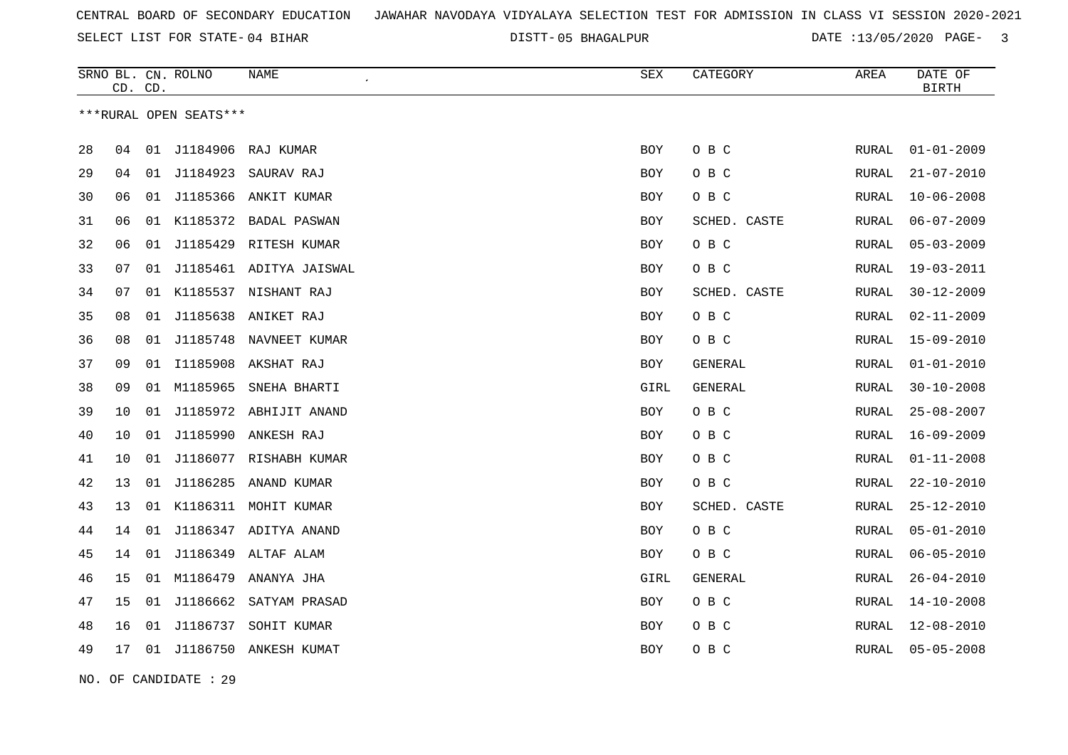05 BHAGALPUR DATE :13/05/2020 PAGE- 3

|    |    | CD. CD. | SRNO BL. CN. ROLNO     | <b>NAME</b><br>$\pmb{\cdot}$ | SEX        | CATEGORY     | AREA         | DATE OF<br><b>BIRTH</b> |
|----|----|---------|------------------------|------------------------------|------------|--------------|--------------|-------------------------|
|    |    |         | ***RURAL OPEN SEATS*** |                              |            |              |              |                         |
| 28 | 04 | 01      | J1184906               | RAJ KUMAR                    | <b>BOY</b> | O B C        | RURAL        | $01 - 01 - 2009$        |
| 29 | 04 | 01      | J1184923               | SAURAV RAJ                   | <b>BOY</b> | O B C        | <b>RURAL</b> | $21 - 07 - 2010$        |
| 30 | 06 | 01      | J1185366               | ANKIT KUMAR                  | <b>BOY</b> | O B C        | RURAL        | $10 - 06 - 2008$        |
| 31 | 06 |         |                        | 01 K1185372 BADAL PASWAN     | BOY        | SCHED. CASTE | RURAL        | $06 - 07 - 2009$        |
| 32 | 06 | 01      | J1185429               | RITESH KUMAR                 | BOY        | O B C        | RURAL        | $05 - 03 - 2009$        |
| 33 | 07 |         |                        | 01 J1185461 ADITYA JAISWAL   | BOY        | O B C        | RURAL        | $19 - 03 - 2011$        |
| 34 | 07 | 01      |                        | K1185537 NISHANT RAJ         | <b>BOY</b> | SCHED. CASTE | <b>RURAL</b> | $30 - 12 - 2009$        |
| 35 | 08 | 01      |                        | J1185638 ANIKET RAJ          | <b>BOY</b> | O B C        | RURAL        | $02 - 11 - 2009$        |
| 36 | 08 | 01      | J1185748               | NAVNEET KUMAR                | <b>BOY</b> | O B C        | RURAL        | $15 - 09 - 2010$        |
| 37 | 09 | 01      |                        | I1185908 AKSHAT RAJ          | BOY        | GENERAL      | RURAL        | $01 - 01 - 2010$        |
| 38 | 09 | 01      | M1185965               | SNEHA BHARTI                 | GIRL       | GENERAL      | RURAL        | $30 - 10 - 2008$        |
| 39 | 10 | 01      |                        | J1185972 ABHIJIT ANAND       | BOY        | O B C        | RURAL        | $25 - 08 - 2007$        |
| 40 | 10 | 01      | J1185990               | ANKESH RAJ                   | <b>BOY</b> | O B C        | RURAL        | $16 - 09 - 2009$        |
| 41 | 10 | 01      |                        | J1186077 RISHABH KUMAR       | <b>BOY</b> | O B C        | RURAL        | $01 - 11 - 2008$        |
| 42 | 13 | 01      | J1186285               | ANAND KUMAR                  | <b>BOY</b> | O B C        | RURAL        | $22 - 10 - 2010$        |
| 43 | 13 |         |                        | 01 K1186311 MOHIT KUMAR      | BOY        | SCHED. CASTE | RURAL        | $25 - 12 - 2010$        |
| 44 | 14 | 01      |                        | J1186347 ADITYA ANAND        | BOY        | O B C        | RURAL        | $05 - 01 - 2010$        |
| 45 | 14 | 01      |                        | J1186349 ALTAF ALAM          | BOY        | O B C        | RURAL        | $06 - 05 - 2010$        |
| 46 | 15 | 01      | M1186479               | ANANYA JHA                   | GIRL       | GENERAL      | RURAL        | $26 - 04 - 2010$        |
| 47 | 15 | 01      | J1186662               | SATYAM PRASAD                | <b>BOY</b> | O B C        | RURAL        | $14 - 10 - 2008$        |
| 48 | 16 | 01      | J1186737               | SOHIT KUMAR                  | BOY        | O B C        | RURAL        | $12 - 08 - 2010$        |
| 49 | 17 |         |                        | 01 J1186750 ANKESH KUMAT     | BOY        | O B C        | RURAL        | $05 - 05 - 2008$        |
|    |    |         |                        |                              |            |              |              |                         |

NO. OF CANDIDATE : 29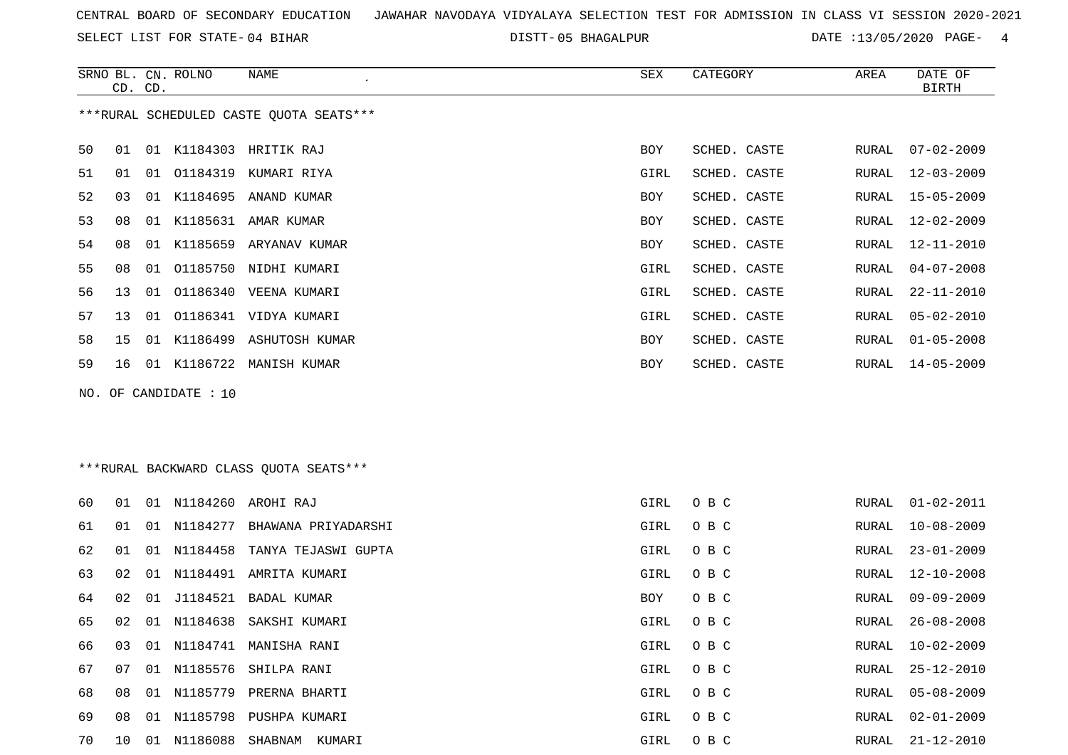SELECT LIST FOR STATE- DISTT- 04 BIHAR

05 BHAGALPUR DATE :13/05/2020 PAGE- 4

|    |    | <b>NAME</b>                                                        | <b>SEX</b>                                                                                                                                                                                                                                                                                                                                                                                                              | CATEGORY     | AREA                    | DATE OF<br><b>BIRTH</b>   |
|----|----|--------------------------------------------------------------------|-------------------------------------------------------------------------------------------------------------------------------------------------------------------------------------------------------------------------------------------------------------------------------------------------------------------------------------------------------------------------------------------------------------------------|--------------|-------------------------|---------------------------|
|    |    |                                                                    |                                                                                                                                                                                                                                                                                                                                                                                                                         |              |                         |                           |
| 01 |    |                                                                    | BOY                                                                                                                                                                                                                                                                                                                                                                                                                     | SCHED. CASTE | RURAL                   | $07 - 02 - 2009$          |
| 01 |    |                                                                    | GIRL                                                                                                                                                                                                                                                                                                                                                                                                                    | SCHED. CASTE | RURAL                   | $12 - 03 - 2009$          |
| 03 |    |                                                                    | <b>BOY</b>                                                                                                                                                                                                                                                                                                                                                                                                              | SCHED. CASTE | RURAL                   | $15 - 05 - 2009$          |
| 08 |    |                                                                    | BOY                                                                                                                                                                                                                                                                                                                                                                                                                     | SCHED. CASTE | RURAL                   | $12 - 02 - 2009$          |
| 08 | 01 |                                                                    | <b>BOY</b>                                                                                                                                                                                                                                                                                                                                                                                                              | SCHED. CASTE | RURAL                   | $12 - 11 - 2010$          |
| 08 | 01 |                                                                    | GIRL                                                                                                                                                                                                                                                                                                                                                                                                                    | SCHED. CASTE | RURAL                   | $04 - 07 - 2008$          |
| 13 | 01 |                                                                    | GIRL                                                                                                                                                                                                                                                                                                                                                                                                                    | SCHED. CASTE | <b>RURAL</b>            | $22 - 11 - 2010$          |
| 13 |    |                                                                    | GIRL                                                                                                                                                                                                                                                                                                                                                                                                                    | SCHED. CASTE | RURAL                   | $05 - 02 - 2010$          |
| 15 |    |                                                                    | <b>BOY</b>                                                                                                                                                                                                                                                                                                                                                                                                              | SCHED. CASTE | RURAL                   | $01 - 05 - 2008$          |
| 16 |    |                                                                    | BOY                                                                                                                                                                                                                                                                                                                                                                                                                     | SCHED. CASTE | RURAL                   | $14 - 05 - 2009$          |
|    |    |                                                                    |                                                                                                                                                                                                                                                                                                                                                                                                                         |              |                         |                           |
|    |    |                                                                    |                                                                                                                                                                                                                                                                                                                                                                                                                         |              |                         |                           |
|    |    |                                                                    |                                                                                                                                                                                                                                                                                                                                                                                                                         |              |                         | $01 - 02 - 2011$          |
|    |    |                                                                    |                                                                                                                                                                                                                                                                                                                                                                                                                         |              |                         |                           |
|    | 01 | SRNO BL. CN. ROLNO<br>CD. CD.<br>01<br>01<br>NO. OF CANDIDATE : 10 | ***RURAL SCHEDULED CASTE OUOTA SEATS***<br>01 K1184303 HRITIK RAJ<br>01 01184319 KUMARI RIYA<br>01 K1184695 ANAND KUMAR<br>01 K1185631 AMAR KUMAR<br>K1185659 ARYANAV KUMAR<br>O1185750 NIDHI KUMARI<br>01186340 VEENA KUMARI<br>01186341 VIDYA KUMARI<br>K1186499 ASHUTOSH KUMAR<br>01 K1186722 MANISH KUMAR<br>*** RURAL BACKWARD CLASS QUOTA SEATS***<br>01 N1184260 AROHI RAJ<br>01 01 N1184277 RHAWANA PRIYADARSHI | GIRL         | O B C<br>GTRI.<br>O B C | RURAL<br>RURAL 10-08-2009 |

| 60  | 01    |    |             | 01 N1184260 AROHI RAJ           | GIRL | O B C | RURAL | 01-02-2011       |
|-----|-------|----|-------------|---------------------------------|------|-------|-------|------------------|
| 61  | 01    |    | 01 N1184277 | BHAWANA PRIYADARSHI             | GIRL | O B C | RURAL | 10-08-2009       |
| 62  | . N 1 |    |             | 01 N1184458 TANYA TEJASWI GUPTA | GIRL | O B C | RURAL | $23 - 01 - 2009$ |
| 63  | O 2.  |    |             | 01 N1184491 AMRITA KUMARI       | GIRL | O B C |       | RURAL 12-10-2008 |
| 64  | 02    |    |             | 01 J1184521 BADAL KUMAR         | BOY  | O B C | RURAL | $09 - 09 - 2009$ |
| 65  | 02    |    | 01 N1184638 | SAKSHI KUMARI                   | GIRL | O B C | RURAL | $26 - 08 - 2008$ |
| 66. | 03    |    | 01 N1184741 | MANISHA RANI                    | GIRL | O B C | RURAL | 10-02-2009       |
| 67  | 07    |    |             | 01 N1185576 SHILPA RANI         | GIRL | O B C | RURAL | $25 - 12 - 2010$ |
| 68  | 08    |    | 01 N1185779 | PRERNA BHARTI                   | GIRL | O B C | RURAL | $05 - 08 - 2009$ |
| 69  | 08    | 01 | N1185798    | PUSHPA KUMARI                   | GIRL | O B C | RURAL | $02 - 01 - 2009$ |
| 70  | 10    | 01 | N1186088    | SHABNAM<br>KUMARI               | GIRL | O B C | RURAL | 21-12-2010       |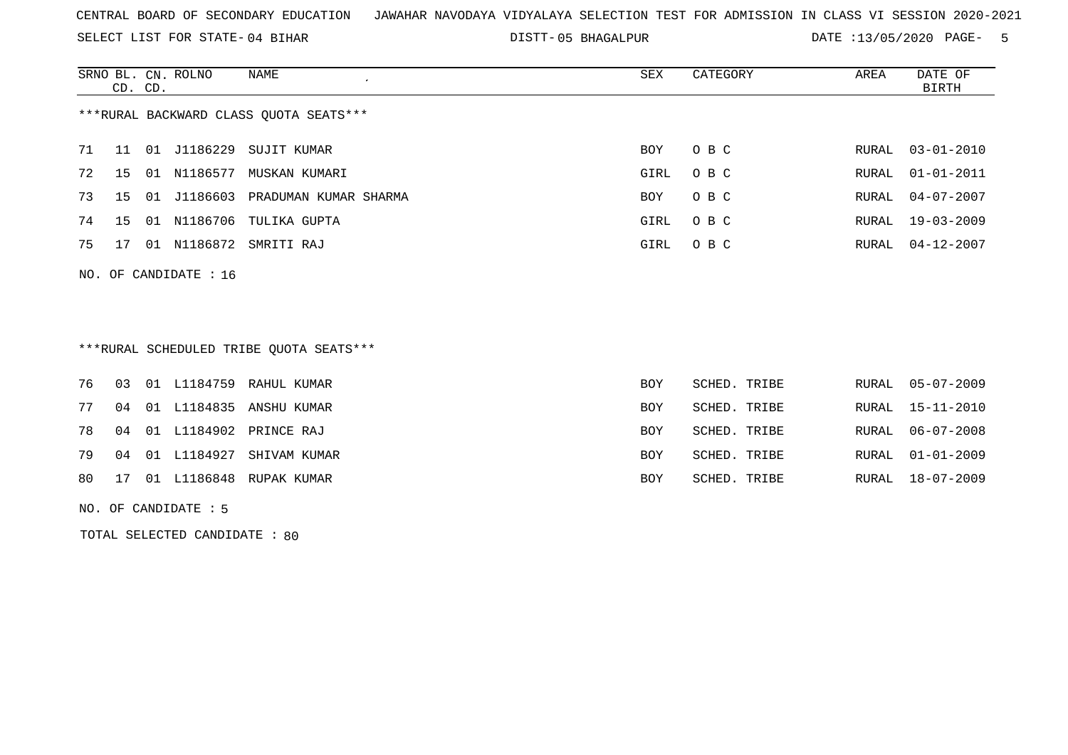SELECT LIST FOR STATE- DISTT- 04 BIHAR

05 BHAGALPUR DATE :13/05/2020 PAGE- 5

|    | CD. CD.                                |       | SRNO BL. CN. ROLNO | NAME                  | SEX  | CATEGORY | AREA | DATE OF<br>BIRTH |  |  |  |  |  |
|----|----------------------------------------|-------|--------------------|-----------------------|------|----------|------|------------------|--|--|--|--|--|
|    | ***RURAL BACKWARD CLASS OUOTA SEATS*** |       |                    |                       |      |          |      |                  |  |  |  |  |  |
| 71 | 11                                     | 01    | J1186229           | SUJIT KUMAR           | BOY  | O B C    |      | RURAL 03-01-2010 |  |  |  |  |  |
| 72 | 15                                     | 01    | N1186577           | MUSKAN KUMARI         | GIRL | O B C    |      | RURAL 01-01-2011 |  |  |  |  |  |
| 73 | 15                                     | . N 1 | J1186603           | PRADUMAN KUMAR SHARMA | BOY  | O B C    |      | RURAL 04-07-2007 |  |  |  |  |  |
| 74 | 15                                     | 01    | N1186706           | TULIKA GUPTA          | GIRL | O B C    |      | RURAL 19-03-2009 |  |  |  |  |  |
| 75 | 17                                     | 01    | N1186872           | SMRITI RAJ            | GIRL | O B C    |      | RURAL 04-12-2007 |  |  |  |  |  |
|    |                                        |       |                    |                       |      |          |      |                  |  |  |  |  |  |

NO. OF CANDIDATE : 16

# \*\*\*RURAL SCHEDULED TRIBE QUOTA SEATS\*\*\*

|  |  | 76 03 01 L1184759 RAHUL KUMAR  | BOY        | SCHED. TRIBE |  | RURAL 05-07-2009 |
|--|--|--------------------------------|------------|--------------|--|------------------|
|  |  | 77 04 01 L1184835 ANSHU KUMAR  | <b>BOY</b> | SCHED. TRIBE |  | RURAL 15-11-2010 |
|  |  | 78 04 01 L1184902 PRINCE RAJ   | <b>BOY</b> | SCHED. TRIBE |  | RURAL 06-07-2008 |
|  |  | 79 04 01 L1184927 SHIVAM KUMAR | <b>BOY</b> | SCHED. TRIBE |  | RURAL 01-01-2009 |
|  |  | 80 17 01 L1186848 RUPAK KUMAR  | <b>BOY</b> | SCHED. TRIBE |  | RURAL 18-07-2009 |
|  |  |                                |            |              |  |                  |

NO. OF CANDIDATE : 5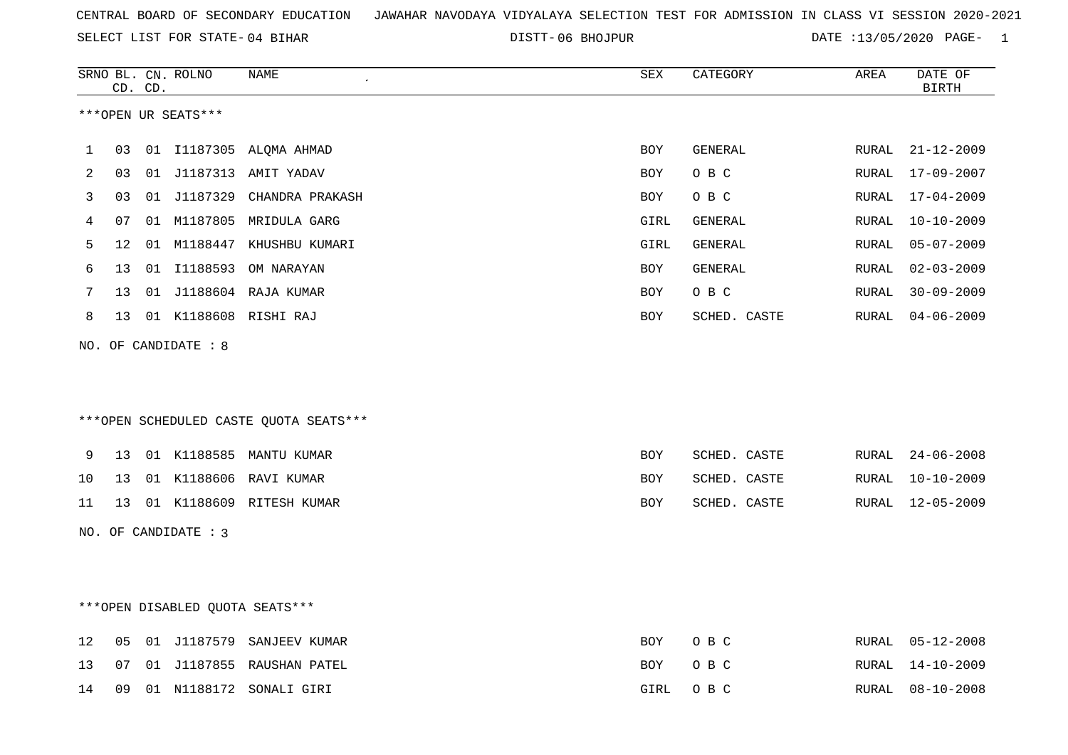06 BHOJPUR DATE :13/05/2020 PAGE- 1

|    |    | CD. CD. | SRNO BL. CN. ROLNO   | NAME                                   | SEX        | CATEGORY     | AREA  | DATE OF<br><b>BIRTH</b> |
|----|----|---------|----------------------|----------------------------------------|------------|--------------|-------|-------------------------|
|    |    |         | ***OPEN UR SEATS***  |                                        |            |              |       |                         |
| 1  | 03 |         |                      | 01 I1187305 ALQMA AHMAD                | <b>BOY</b> | GENERAL      |       | RURAL 21-12-2009        |
| 2  | 03 |         |                      | 01 J1187313 AMIT YADAV                 | <b>BOY</b> | O B C        | RURAL | 17-09-2007              |
| 3  | 03 |         |                      | 01 J1187329 CHANDRA PRAKASH            | BOY        | O B C        | RURAL | $17 - 04 - 2009$        |
| 4  | 07 |         |                      | 01 M1187805 MRIDULA GARG               | GIRL       | GENERAL      | RURAL | $10 - 10 - 2009$        |
| 5  | 12 | 01      |                      | M1188447 KHUSHBU KUMARI                | GIRL       | GENERAL      | RURAL | $05 - 07 - 2009$        |
| 6  | 13 |         |                      | 01 I1188593 OM NARAYAN                 | BOY        | GENERAL      | RURAL | $02 - 03 - 2009$        |
| 7  | 13 |         |                      | 01 J1188604 RAJA KUMAR                 | <b>BOY</b> | O B C        | RURAL | $30 - 09 - 2009$        |
| 8  | 13 |         |                      | 01 K1188608 RISHI RAJ                  | BOY        | SCHED. CASTE | RURAL | $04 - 06 - 2009$        |
|    |    |         | NO. OF CANDIDATE : 8 |                                        |            |              |       |                         |
|    |    |         |                      | ***OPEN SCHEDULED CASTE QUOTA SEATS*** |            |              |       |                         |
| 9  | 13 |         |                      | 01 K1188585 MANTU KUMAR                | BOY        | SCHED. CASTE | RURAL | $24 - 06 - 2008$        |
| 10 | 13 |         |                      | 01 K1188606 RAVI KUMAR                 | BOY        | SCHED. CASTE | RURAL | $10 - 10 - 2009$        |
| 11 | 13 |         |                      | 01 K1188609 RITESH KUMAR               | <b>BOY</b> | SCHED. CASTE | RURAL | 12-05-2009              |
|    |    |         | NO. OF CANDIDATE : 3 |                                        |            |              |       |                         |
|    |    |         |                      | ***OPEN DISABLED QUOTA SEATS***        |            |              |       |                         |
| 12 | 05 |         |                      | 01 J1187579 SANJEEV KUMAR              | BOY        | O B C        |       | RURAL 05-12-2008        |
| 13 | 07 | 01      |                      | J1187855 RAUSHAN PATEL                 | BOY        | O B C        | RURAL | $14 - 10 - 2009$        |
| 14 | 09 |         |                      | 01 N1188172 SONALI GIRI                | GIRL       | O B C        | RURAL | 08-10-2008              |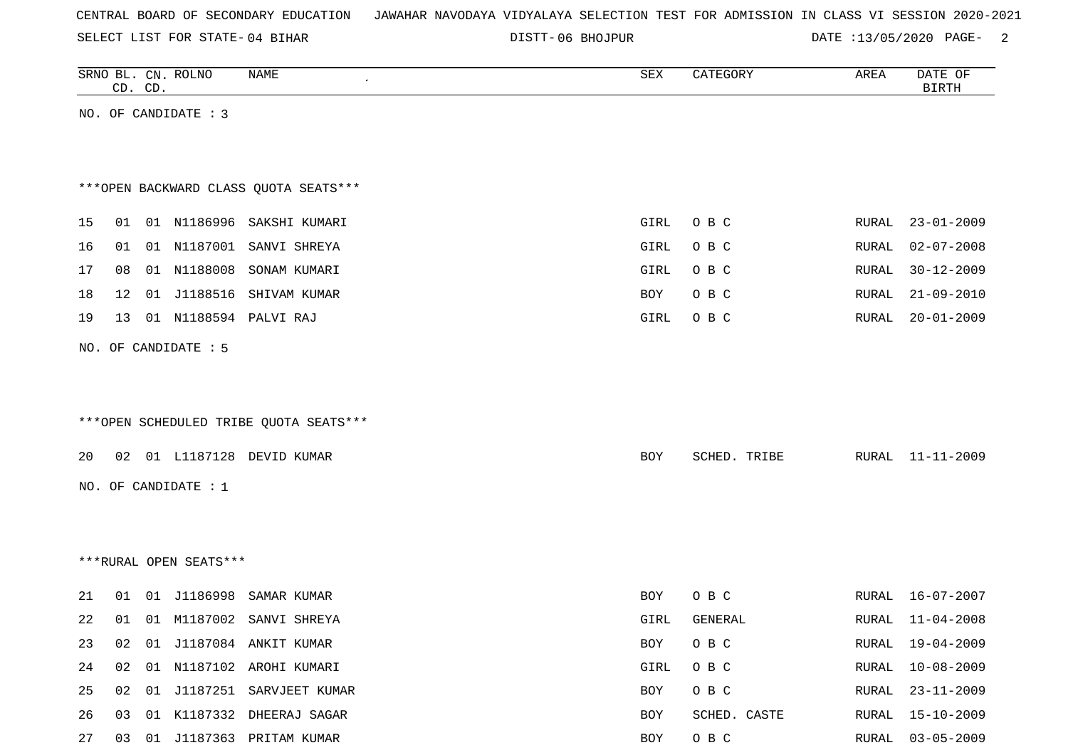SELECT LIST FOR STATE- DISTT- 04 BIHAR

06 BHOJPUR DATE :13/05/2020 PAGE- 2

|    | CD. CD. |    | SRNO BL. CN. ROLNO     | NAME                                   | SEX  | CATEGORY     | AREA  | DATE OF<br><b>BIRTH</b> |
|----|---------|----|------------------------|----------------------------------------|------|--------------|-------|-------------------------|
|    |         |    | NO. OF CANDIDATE : 3   |                                        |      |              |       |                         |
|    |         |    |                        |                                        |      |              |       |                         |
|    |         |    |                        |                                        |      |              |       |                         |
|    |         |    |                        | *** OPEN BACKWARD CLASS QUOTA SEATS*** |      |              |       |                         |
| 15 | 01      |    | 01 N1186996            | SAKSHI KUMARI                          | GIRL | O B C        | RURAL | $23 - 01 - 2009$        |
| 16 | 01      |    | 01 N1187001            | SANVI SHREYA                           | GIRL | O B C        | RURAL | $02 - 07 - 2008$        |
| 17 | 08      |    | 01 N1188008            | SONAM KUMARI                           | GIRL | O B C        | RURAL | $30 - 12 - 2009$        |
| 18 | 12      | 01 | J1188516               | SHIVAM KUMAR                           | BOY  | O B C        | RURAL | $21 - 09 - 2010$        |
| 19 | 13      |    |                        | 01 N1188594 PALVI RAJ                  | GIRL | O B C        | RURAL | $20 - 01 - 2009$        |
|    |         |    | NO. OF CANDIDATE : 5   |                                        |      |              |       |                         |
|    |         |    |                        |                                        |      |              |       |                         |
|    |         |    |                        |                                        |      |              |       |                         |
|    |         |    |                        | ***OPEN SCHEDULED TRIBE QUOTA SEATS*** |      |              |       |                         |
|    |         |    |                        |                                        |      |              |       |                         |
| 20 | 02      |    | 01 L1187128            | DEVID KUMAR                            | BOY  | SCHED. TRIBE | RURAL | $11 - 11 - 2009$        |
|    |         |    | NO. OF CANDIDATE : 1   |                                        |      |              |       |                         |
|    |         |    |                        |                                        |      |              |       |                         |
|    |         |    |                        |                                        |      |              |       |                         |
|    |         |    | ***RURAL OPEN SEATS*** |                                        |      |              |       |                         |
| 21 | 01      |    | 01 J1186998            | SAMAR KUMAR                            | BOY  | O B C        | RURAL | $16 - 07 - 2007$        |
| 22 | 01      |    | 01 M1187002            | SANVI SHREYA                           | GIRL | GENERAL      | RURAL | $11 - 04 - 2008$        |
| 23 |         |    |                        | 02 01 J1187084 ANKIT KUMAR             | BOY  | O B C        |       | RURAL 19-04-2009        |
| 24 |         |    |                        | 02 01 N1187102 AROHI KUMARI            | GIRL | O B C        | RURAL | $10 - 08 - 2009$        |
| 25 |         |    |                        | 02 01 J1187251 SARVJEET KUMAR          | BOY  | O B C        | RURAL | 23-11-2009              |
| 26 |         |    |                        | 03 01 K1187332 DHEERAJ SAGAR           | BOY  | SCHED. CASTE |       | RURAL 15-10-2009        |
| 27 |         |    |                        | 03 01 J1187363 PRITAM KUMAR            | BOY  | O B C        |       | RURAL 03-05-2009        |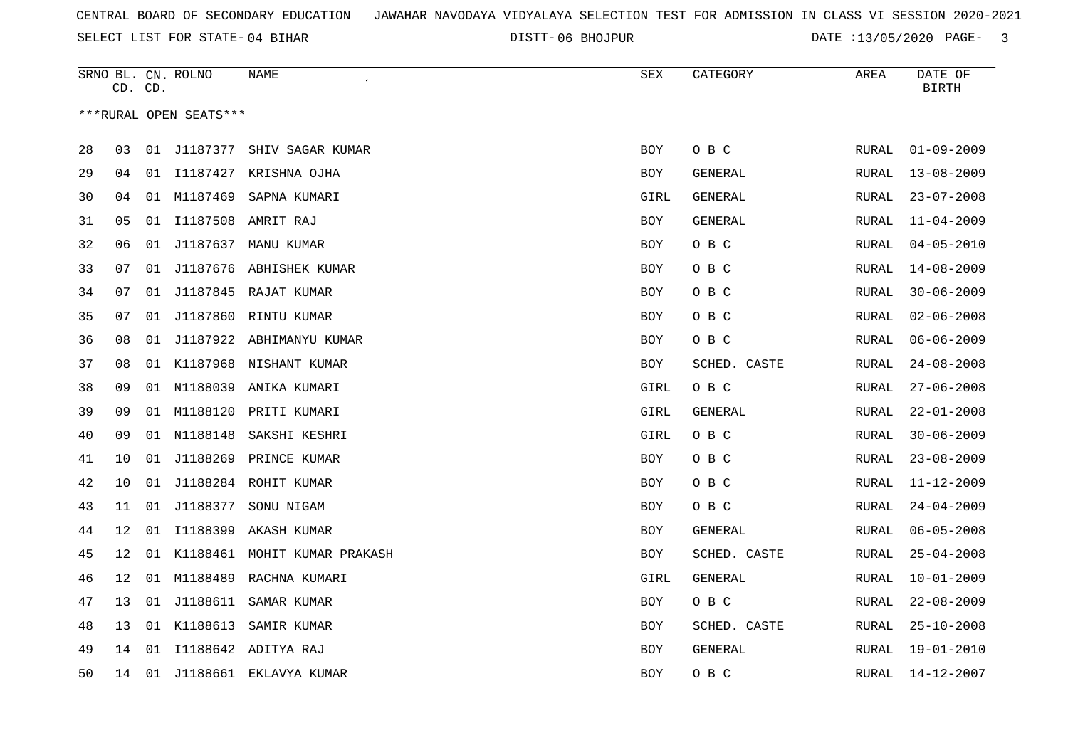06 BHOJPUR DATE :13/05/2020 PAGE- 3

|    |    | CD. CD. | SRNO BL. CN. ROLNO     | <b>NAME</b>                     | <b>SEX</b> | CATEGORY       | AREA         | DATE OF<br><b>BIRTH</b> |
|----|----|---------|------------------------|---------------------------------|------------|----------------|--------------|-------------------------|
|    |    |         | ***RURAL OPEN SEATS*** |                                 |            |                |              |                         |
| 28 | 03 |         |                        | 01 J1187377 SHIV SAGAR KUMAR    | <b>BOY</b> | O B C          | RURAL        | $01 - 09 - 2009$        |
| 29 | 04 | 01      |                        | I1187427 KRISHNA OJHA           | BOY        | GENERAL        | <b>RURAL</b> | $13 - 08 - 2009$        |
| 30 | 04 |         | 01 M1187469            | SAPNA KUMARI                    | GIRL       | GENERAL        | <b>RURAL</b> | $23 - 07 - 2008$        |
| 31 | 05 |         | 01 I1187508            | AMRIT RAJ                       | <b>BOY</b> | GENERAL        | RURAL        | $11 - 04 - 2009$        |
| 32 | 06 | 01      | J1187637               | MANU KUMAR                      | <b>BOY</b> | O B C          | RURAL        | $04 - 05 - 2010$        |
| 33 | 07 | 01      | J1187676               | ABHISHEK KUMAR                  | <b>BOY</b> | O B C          | RURAL        | $14 - 08 - 2009$        |
| 34 | 07 | 01      |                        | J1187845 RAJAT KUMAR            | <b>BOY</b> | O B C          | <b>RURAL</b> | $30 - 06 - 2009$        |
| 35 | 07 | 01      | J1187860               | RINTU KUMAR                     | <b>BOY</b> | O B C          | <b>RURAL</b> | $02 - 06 - 2008$        |
| 36 | 08 |         |                        | 01 J1187922 ABHIMANYU KUMAR     | <b>BOY</b> | O B C          | <b>RURAL</b> | $06 - 06 - 2009$        |
| 37 | 08 |         |                        | 01 K1187968 NISHANT KUMAR       | <b>BOY</b> | SCHED. CASTE   | RURAL        | $24 - 08 - 2008$        |
| 38 | 09 |         |                        | 01 N1188039 ANIKA KUMARI        | GIRL       | O B C          | RURAL        | $27 - 06 - 2008$        |
| 39 | 09 | 01      | M1188120               | PRITI KUMARI                    | GIRL       | GENERAL        | RURAL        | $22 - 01 - 2008$        |
| 40 | 09 |         | 01 N1188148            | SAKSHI KESHRI                   | GIRL       | O B C          | <b>RURAL</b> | $30 - 06 - 2009$        |
| 41 | 10 | 01      | J1188269               | PRINCE KUMAR                    | <b>BOY</b> | O B C          | <b>RURAL</b> | $23 - 08 - 2009$        |
| 42 | 10 | 01      |                        | J1188284 ROHIT KUMAR            | <b>BOY</b> | O B C          | RURAL        | $11 - 12 - 2009$        |
| 43 | 11 | 01      | J1188377               | SONU NIGAM                      | BOY        | O B C          | RURAL        | $24 - 04 - 2009$        |
| 44 | 12 | 01      | I1188399               | AKASH KUMAR                     | <b>BOY</b> | GENERAL        | RURAL        | $06 - 05 - 2008$        |
| 45 | 12 |         |                        | 01 K1188461 MOHIT KUMAR PRAKASH | BOY        | SCHED. CASTE   | <b>RURAL</b> | $25 - 04 - 2008$        |
| 46 | 12 |         | 01 M1188489            | RACHNA KUMARI                   | GIRL       | <b>GENERAL</b> | <b>RURAL</b> | $10 - 01 - 2009$        |
| 47 | 13 | 01      |                        | J1188611 SAMAR KUMAR            | <b>BOY</b> | O B C          | RURAL        | $22 - 08 - 2009$        |
| 48 | 13 | 01      | K1188613               | SAMIR KUMAR                     | <b>BOY</b> | SCHED. CASTE   | <b>RURAL</b> | $25 - 10 - 2008$        |
| 49 | 14 | 01      |                        | I1188642 ADITYA RAJ             | <b>BOY</b> | <b>GENERAL</b> | RURAL        | $19 - 01 - 2010$        |
| 50 | 14 |         |                        | 01 J1188661 EKLAVYA KUMAR       | <b>BOY</b> | O B C          | <b>RURAL</b> | 14-12-2007              |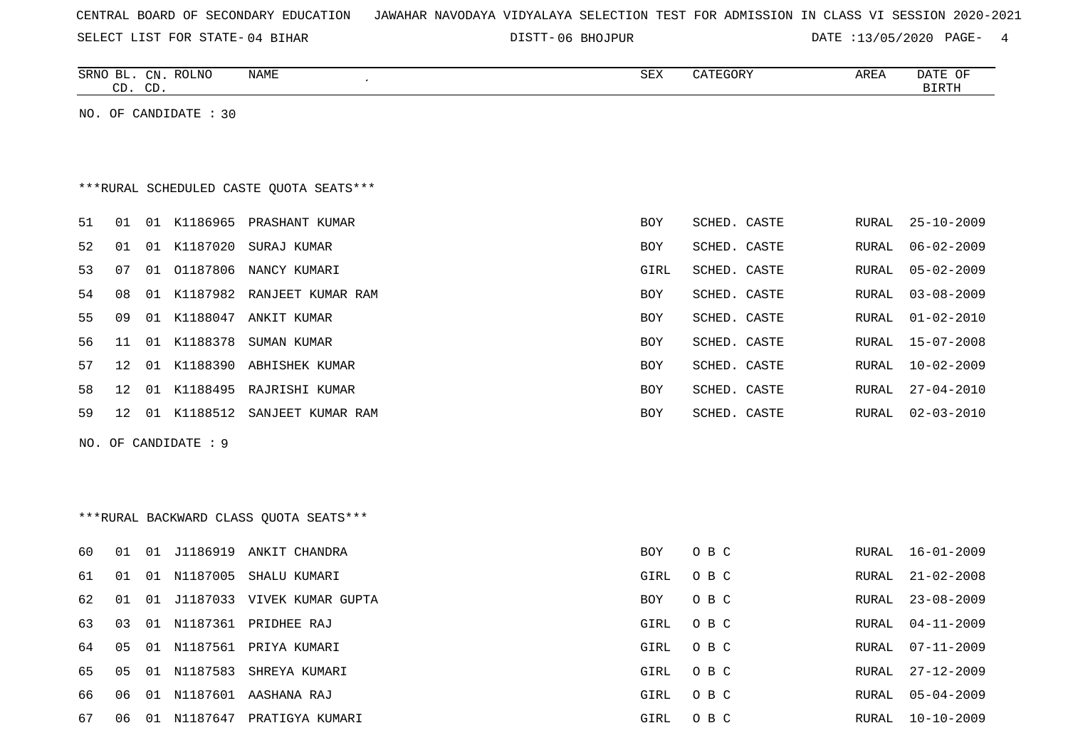| CENTRAL BOARD OF SECONDARY EDUCATION – JAWAHAR NAVODAYA VIDYALAYA SELECTION TEST FOR ADMISSION IN CLASS VI SESSION 2020-2021 |  |  |  |  |
|------------------------------------------------------------------------------------------------------------------------------|--|--|--|--|
|------------------------------------------------------------------------------------------------------------------------------|--|--|--|--|

06 BHOJPUR DATE :13/05/2020 PAGE- 4

|    | CD. CD. |    | SRNO BL. CN. ROLNO    | NAME                                    | SEX        | CATEGORY     | AREA  | DATE OF<br><b>BIRTH</b> |
|----|---------|----|-----------------------|-----------------------------------------|------------|--------------|-------|-------------------------|
|    |         |    | NO. OF CANDIDATE : 30 |                                         |            |              |       |                         |
|    |         |    |                       |                                         |            |              |       |                         |
|    |         |    |                       |                                         |            |              |       |                         |
|    |         |    |                       | ***RURAL SCHEDULED CASTE QUOTA SEATS*** |            |              |       |                         |
| 51 | 01      |    |                       | 01 K1186965 PRASHANT KUMAR              | <b>BOY</b> | SCHED. CASTE | RURAL | $25 - 10 - 2009$        |
| 52 | 01      |    | 01 K1187020           | SURAJ KUMAR                             | BOY        | SCHED. CASTE | RURAL | $06 - 02 - 2009$        |
| 53 | 07      | 01 | 01187806              | NANCY KUMARI                            | GIRL       | SCHED. CASTE | RURAL | $05 - 02 - 2009$        |
| 54 | 08      |    |                       | 01 K1187982 RANJEET KUMAR RAM           | BOY        | SCHED. CASTE | RURAL | $03 - 08 - 2009$        |
| 55 | 09      |    | 01 K1188047           | ANKIT KUMAR                             | <b>BOY</b> | SCHED. CASTE | RURAL | $01 - 02 - 2010$        |
| 56 | 11      |    | 01 K1188378           | SUMAN KUMAR                             | BOY        | SCHED. CASTE | RURAL | $15 - 07 - 2008$        |
| 57 | 12      |    |                       | 01 K1188390 ABHISHEK KUMAR              | <b>BOY</b> | SCHED. CASTE | RURAL | $10 - 02 - 2009$        |
| 58 | 12      |    |                       | 01 K1188495 RAJRISHI KUMAR              | <b>BOY</b> | SCHED. CASTE | RURAL | $27 - 04 - 2010$        |
| 59 | 12      |    |                       | 01 K1188512 SANJEET KUMAR RAM           | <b>BOY</b> | SCHED. CASTE | RURAL | $02 - 03 - 2010$        |
|    |         |    | NO. OF CANDIDATE : 9  |                                         |            |              |       |                         |
|    |         |    |                       |                                         |            |              |       |                         |
|    |         |    |                       |                                         |            |              |       |                         |
|    |         |    |                       | *** RURAL BACKWARD CLASS QUOTA SEATS*** |            |              |       |                         |
|    |         |    |                       |                                         |            |              |       |                         |
| 60 | 01      |    |                       | 01 J1186919 ANKIT CHANDRA               | BOY        | O B C        | RURAL | $16 - 01 - 2009$        |
| 61 | 01      |    |                       | 01 N1187005 SHALU KUMARI                | GIRL       | O B C        | RURAL | $21 - 02 - 2008$        |
| 62 | 01      | 01 |                       | J1187033 VIVEK KUMAR GUPTA              | BOY        | O B C        | RURAL | $23 - 08 - 2009$        |
| 63 | 03      |    |                       | 01 N1187361 PRIDHEE RAJ                 | GIRL       | O B C        | RURAL | $04 - 11 - 2009$        |
| 64 | 05      | 01 |                       | N1187561 PRIYA KUMARI                   | GIRL       | O B C        | RURAL | $07 - 11 - 2009$        |
| 65 | 05      |    |                       | 01 N1187583 SHREYA KUMARI               | GIRL       | O B C        | RURAL | $27 - 12 - 2009$        |
| 66 | 06      |    |                       | 01 N1187601 AASHANA RAJ                 | GIRL       | O B C        | RURAL | $05 - 04 - 2009$        |

67 06 01 N1187647 PRATIGYA KUMARI 67 CHRL O B C RURAL 10-10-2009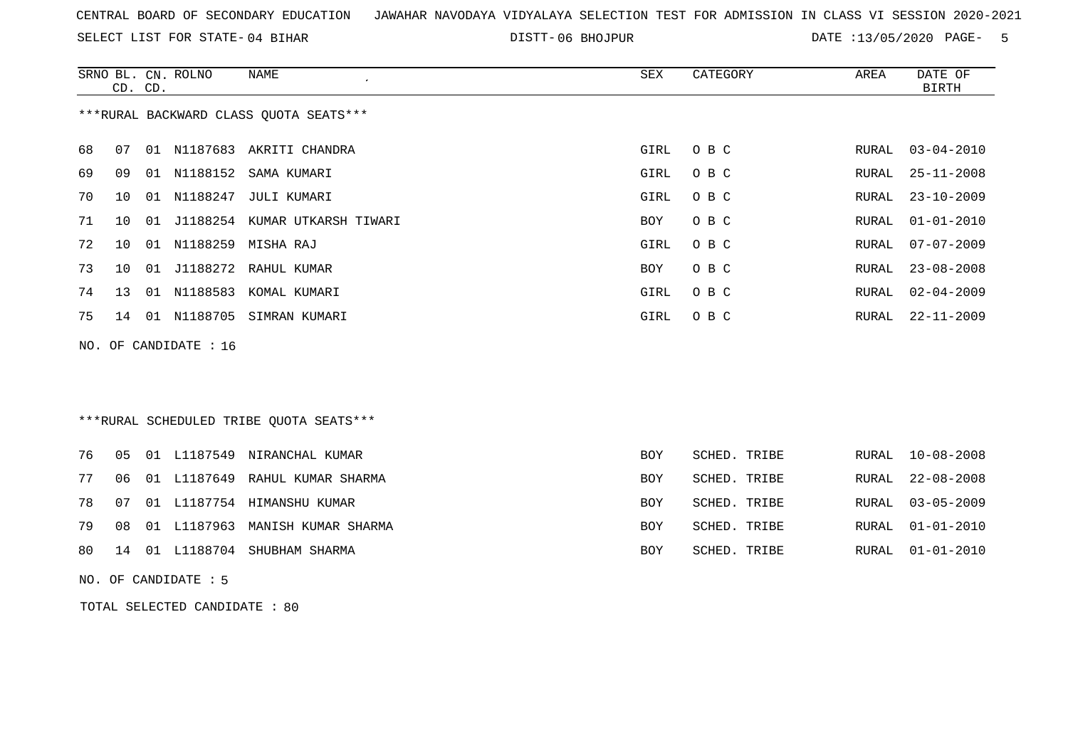SELECT LIST FOR STATE- DISTT- 04 BIHAR

06 BHOJPUR DATE :13/05/2020 PAGE- 5

|    | CD. CD. |    | SRNO BL. CN. ROLNO    | <b>NAME</b>                             | <b>SEX</b> | CATEGORY     | AREA  | DATE OF<br><b>BIRTH</b> |
|----|---------|----|-----------------------|-----------------------------------------|------------|--------------|-------|-------------------------|
|    |         |    |                       | *** RURAL BACKWARD CLASS QUOTA SEATS*** |            |              |       |                         |
| 68 | 07      |    |                       | 01 N1187683 AKRITI CHANDRA              | GIRL       | O B C        | RURAL | $03 - 04 - 2010$        |
| 69 | 09      |    |                       | 01 N1188152 SAMA KUMARI                 | GIRL       | O B C        | RURAL | $25 - 11 - 2008$        |
| 70 | 10      |    |                       | 01 N1188247 JULI KUMARI                 | GIRL       | O B C        | RURAL | $23 - 10 - 2009$        |
| 71 | 10      |    |                       | 01 J1188254 KUMAR UTKARSH TIWARI        | BOY        | O B C        | RURAL | $01 - 01 - 2010$        |
| 72 | 10      | 01 | N1188259              | MISHA RAJ                               | GIRL       | O B C        | RURAL | $07 - 07 - 2009$        |
| 73 | 10      | 01 |                       | J1188272 RAHUL KUMAR                    | BOY        | O B C        | RURAL | $23 - 08 - 2008$        |
| 74 | 13      |    | 01 N1188583           | KOMAL KUMARI                            | GIRL       | O B C        | RURAL | $02 - 04 - 2009$        |
| 75 |         |    |                       | 14 01 N1188705 SIMRAN KUMARI            | GIRL       | O B C        | RURAL | $22 - 11 - 2009$        |
|    |         |    | NO. OF CANDIDATE : 16 |                                         |            |              |       |                         |
|    |         |    |                       |                                         |            |              |       |                         |
|    |         |    |                       |                                         |            |              |       |                         |
|    |         |    |                       | ***RURAL SCHEDULED TRIBE QUOTA SEATS*** |            |              |       |                         |
| 76 | 05      |    |                       | 01 L1187549 NIRANCHAL KUMAR             | BOY        | SCHED. TRIBE | RURAL | $10 - 08 - 2008$        |
| 77 | 06      |    |                       | 01 L1187649 RAHUL KUMAR SHARMA          | BOY        | SCHED. TRIBE | RURAL | $22 - 08 - 2008$        |
| 78 | 07      |    |                       | 01 L1187754 HIMANSHU KUMAR              | BOY        | SCHED. TRIBE | RURAL | $03 - 05 - 2009$        |
| 79 | 08      |    |                       | 01 L1187963 MANISH KUMAR SHARMA         | BOY        | SCHED. TRIBE | RURAL | $01 - 01 - 2010$        |
| 80 | 14      | 01 |                       | L1188704 SHUBHAM SHARMA                 | BOY        | SCHED. TRIBE | RURAL | $01 - 01 - 2010$        |
|    |         |    |                       |                                         |            |              |       |                         |

NO. OF CANDIDATE : 5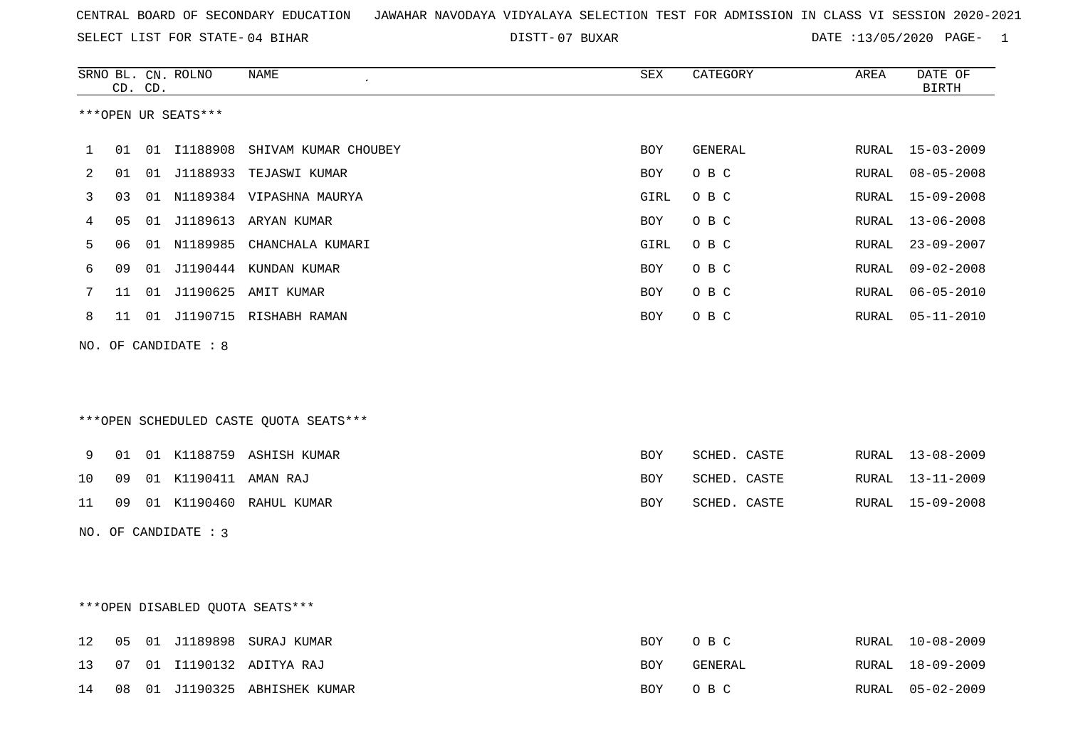07 BUXAR DATE :13/05/2020 PAGE- 1

|    |    | CD. CD. | SRNO BL. CN. ROLNO   | NAME                                   | <b>SEX</b> | CATEGORY       | AREA          | DATE OF<br><b>BIRTH</b> |
|----|----|---------|----------------------|----------------------------------------|------------|----------------|---------------|-------------------------|
|    |    |         | ***OPEN UR SEATS***  |                                        |            |                |               |                         |
| 1  | 01 |         |                      | 01 I1188908 SHIVAM KUMAR CHOUBEY       | <b>BOY</b> | GENERAL        | RURAL         | 15-03-2009              |
| 2  | 01 |         |                      | 01 J1188933 TEJASWI KUMAR              | BOY        | O B C          | RURAL         | $08 - 05 - 2008$        |
| 3  | 03 |         |                      | 01 N1189384 VIPASHNA MAURYA            | GIRL       | O B C          | RURAL         | $15 - 09 - 2008$        |
| 4  | 05 |         |                      | 01 J1189613 ARYAN KUMAR                | BOY        | O B C          | ${\tt RURAL}$ | $13 - 06 - 2008$        |
| 5  | 06 |         |                      | 01 N1189985 CHANCHALA KUMARI           | GIRL       | O B C          | RURAL         | $23 - 09 - 2007$        |
| 6  | 09 |         |                      | 01 J1190444 KUNDAN KUMAR               | BOY        | O B C          | RURAL         | $09 - 02 - 2008$        |
| 7  | 11 |         |                      | 01 J1190625 AMIT KUMAR                 | <b>BOY</b> | O B C          | RURAL         | $06 - 05 - 2010$        |
| 8  | 11 |         |                      | 01 J1190715 RISHABH RAMAN              | <b>BOY</b> | O B C          | RURAL         | $05 - 11 - 2010$        |
|    |    |         | NO. OF CANDIDATE : 8 | ***OPEN SCHEDULED CASTE QUOTA SEATS*** |            |                |               |                         |
| 9  | 01 |         |                      | 01 K1188759 ASHISH KUMAR               | BOY        | SCHED. CASTE   | RURAL         | $13 - 08 - 2009$        |
| 10 | 09 |         | 01 K1190411 AMAN RAJ |                                        | BOY        | SCHED. CASTE   | RURAL         | 13-11-2009              |
| 11 | 09 |         |                      | 01 K1190460 RAHUL KUMAR                | BOY        | SCHED. CASTE   | RURAL         | 15-09-2008              |
|    |    |         | NO. OF CANDIDATE : 3 |                                        |            |                |               |                         |
|    |    |         |                      | ***OPEN DISABLED QUOTA SEATS***        |            |                |               |                         |
| 12 | 05 |         |                      | 01 J1189898 SURAJ KUMAR                | <b>BOY</b> | O B C          | RURAL         | $10 - 08 - 2009$        |
| 13 | 07 |         |                      | 01 I1190132 ADITYA RAJ                 | <b>BOY</b> | <b>GENERAL</b> | RURAL         | $18 - 09 - 2009$        |
| 14 | 08 |         |                      | 01 J1190325 ABHISHEK KUMAR             | <b>BOY</b> | O B C          | RURAL         | $05 - 02 - 2009$        |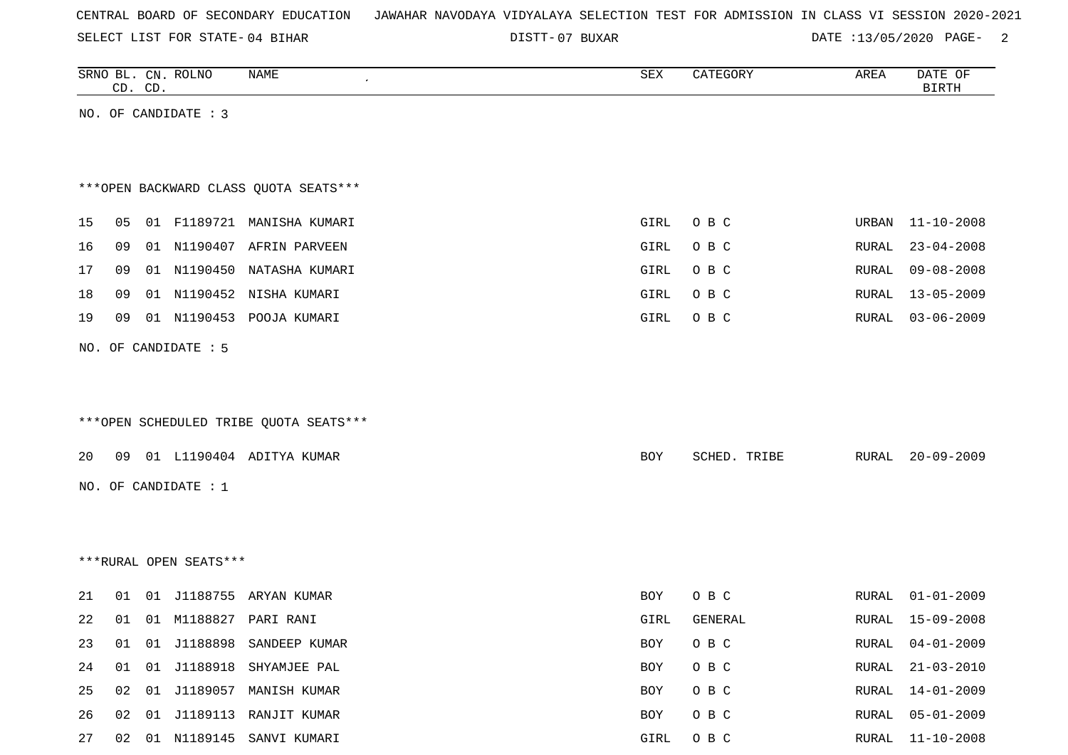|  |  |  |  | CENTRAL BOARD OF SECONDARY EDUCATION – JAWAHAR NAVODAYA VIDYALAYA SELECTION TEST FOR ADMISSION IN CLASS VI SESSION 2020-2021 |  |  |  |  |  |  |  |  |  |  |  |  |  |
|--|--|--|--|------------------------------------------------------------------------------------------------------------------------------|--|--|--|--|--|--|--|--|--|--|--|--|--|
|--|--|--|--|------------------------------------------------------------------------------------------------------------------------------|--|--|--|--|--|--|--|--|--|--|--|--|--|

07 BUXAR DATE :13/05/2020 PAGE- 2

|    |    | CD. CD. | SRNO BL. CN. ROLNO     | NAME                                   | SEX        | CATEGORY       | AREA          | DATE OF<br><b>BIRTH</b> |
|----|----|---------|------------------------|----------------------------------------|------------|----------------|---------------|-------------------------|
|    |    |         | NO. OF CANDIDATE : 3   |                                        |            |                |               |                         |
|    |    |         |                        |                                        |            |                |               |                         |
|    |    |         |                        |                                        |            |                |               |                         |
|    |    |         |                        | *** OPEN BACKWARD CLASS QUOTA SEATS*** |            |                |               |                         |
| 15 | 05 |         |                        | 01 F1189721 MANISHA KUMARI             | GIRL       | O B C          | URBAN         | $11 - 10 - 2008$        |
| 16 | 09 |         |                        | 01 N1190407 AFRIN PARVEEN              | GIRL       | O B C          | RURAL         | $23 - 04 - 2008$        |
| 17 | 09 |         |                        | 01 N1190450 NATASHA KUMARI             | GIRL       | O B C          | RURAL         | $09 - 08 - 2008$        |
| 18 | 09 |         |                        | 01 N1190452 NISHA KUMARI               | GIRL       | O B C          | RURAL         | $13 - 05 - 2009$        |
| 19 | 09 |         |                        | 01 N1190453 POOJA KUMARI               | GIRL       | O B C          | RURAL         | $03 - 06 - 2009$        |
|    |    |         | NO. OF CANDIDATE : 5   |                                        |            |                |               |                         |
|    |    |         |                        |                                        |            |                |               |                         |
|    |    |         |                        |                                        |            |                |               |                         |
|    |    |         |                        | ***OPEN SCHEDULED TRIBE QUOTA SEATS*** |            |                |               |                         |
| 20 | 09 |         |                        | 01 L1190404 ADITYA KUMAR               | BOY        | SCHED. TRIBE   | RURAL         | $20 - 09 - 2009$        |
|    |    |         | NO. OF CANDIDATE : 1   |                                        |            |                |               |                         |
|    |    |         |                        |                                        |            |                |               |                         |
|    |    |         |                        |                                        |            |                |               |                         |
|    |    |         | ***RURAL OPEN SEATS*** |                                        |            |                |               |                         |
|    |    |         |                        |                                        |            |                |               |                         |
| 21 | 01 |         |                        | 01 J1188755 ARYAN KUMAR                | BOY        | O B C          | RURAL         | $01 - 01 - 2009$        |
| 22 |    |         |                        | 01  01  M1188827  PARI RANI            | GIRL       | <b>GENERAL</b> | RURAL         | $15 - 09 - 2008$        |
| 23 | 01 |         | 01 J1188898            | SANDEEP KUMAR                          | <b>BOY</b> | O B C          | ${\tt RURAL}$ | $04 - 01 - 2009$        |
| 24 | 01 |         | 01 J1188918            | SHYAMJEE PAL                           | BOY        | O B C          | RURAL         | $21 - 03 - 2010$        |
| 25 | 02 |         |                        | 01 J1189057 MANISH KUMAR               | BOY        | O B C          | RURAL         | $14 - 01 - 2009$        |
| 26 | 02 |         |                        | 01 J1189113 RANJIT KUMAR               | BOY        | O B C          | RURAL         | $05 - 01 - 2009$        |
| 27 | 02 |         |                        | 01 N1189145 SANVI KUMARI               | GIRL       | O B C          | RURAL         | $11 - 10 - 2008$        |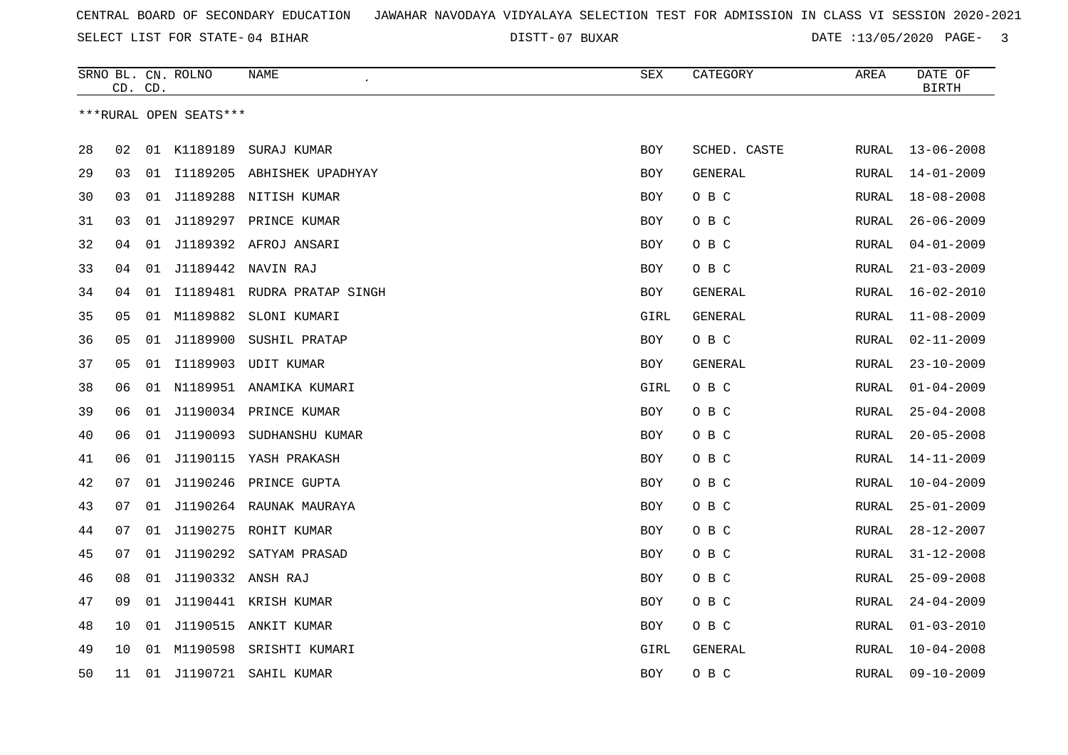07 BUXAR DATE :13/05/2020 PAGE- 3

|                        | CD. CD. |    | SRNO BL. CN. ROLNO | NAME                           | SEX        | CATEGORY     | AREA         | DATE OF<br><b>BIRTH</b> |  |  |  |
|------------------------|---------|----|--------------------|--------------------------------|------------|--------------|--------------|-------------------------|--|--|--|
| ***RURAL OPEN SEATS*** |         |    |                    |                                |            |              |              |                         |  |  |  |
|                        |         |    |                    |                                |            |              |              |                         |  |  |  |
| 28                     | 02      |    | 01 K1189189        | SURAJ KUMAR                    | <b>BOY</b> | SCHED. CASTE | RURAL        | $13 - 06 - 2008$        |  |  |  |
| 29                     | 03      |    |                    | 01 I1189205 ABHISHEK UPADHYAY  | <b>BOY</b> | GENERAL      | RURAL        | $14 - 01 - 2009$        |  |  |  |
| 30                     | 03      | 01 |                    | J1189288 NITISH KUMAR          | BOY        | O B C        | RURAL        | $18 - 08 - 2008$        |  |  |  |
| 31                     | 03      |    |                    | 01 J1189297 PRINCE KUMAR       | BOY        | O B C        | RURAL        | $26 - 06 - 2009$        |  |  |  |
| 32                     | 04      | 01 |                    | J1189392 AFROJ ANSARI          | <b>BOY</b> | O B C        | RURAL        | $04 - 01 - 2009$        |  |  |  |
| 33                     | 04      | 01 |                    | J1189442 NAVIN RAJ             | <b>BOY</b> | O B C        | RURAL        | $21 - 03 - 2009$        |  |  |  |
| 34                     | 04      |    |                    | 01 I1189481 RUDRA PRATAP SINGH | <b>BOY</b> | GENERAL      | RURAL        | $16 - 02 - 2010$        |  |  |  |
| 35                     | 05      | 01 | M1189882           | SLONI KUMARI                   | GIRL       | GENERAL      | RURAL        | $11 - 08 - 2009$        |  |  |  |
| 36                     | 05      |    |                    | 01 J1189900 SUSHIL PRATAP      | BOY        | O B C        | RURAL        | $02 - 11 - 2009$        |  |  |  |
| 37                     | 05      | 01 |                    | I1189903 UDIT KUMAR            | BOY        | GENERAL      | RURAL        | $23 - 10 - 2009$        |  |  |  |
| 38                     | 06      | 01 |                    | N1189951 ANAMIKA KUMARI        | GIRL       | O B C        | RURAL        | $01 - 04 - 2009$        |  |  |  |
| 39                     | 06      | 01 |                    | J1190034 PRINCE KUMAR          | <b>BOY</b> | O B C        | RURAL        | $25 - 04 - 2008$        |  |  |  |
| 40                     | 06      |    |                    | 01 J1190093 SUDHANSHU KUMAR    | BOY        | O B C        | RURAL        | $20 - 05 - 2008$        |  |  |  |
| 41                     | 06      | 01 |                    | J1190115 YASH PRAKASH          | BOY        | O B C        | RURAL        | $14 - 11 - 2009$        |  |  |  |
| 42                     | 07      | 01 |                    | J1190246 PRINCE GUPTA          | BOY        | O B C        | RURAL        | $10 - 04 - 2009$        |  |  |  |
| 43                     | 07      |    |                    | 01 J1190264 RAUNAK MAURAYA     | BOY        | O B C        | RURAL        | $25 - 01 - 2009$        |  |  |  |
| 44                     | 07      |    |                    | 01 J1190275 ROHIT KUMAR        | <b>BOY</b> | O B C        | RURAL        | $28 - 12 - 2007$        |  |  |  |
| 45                     | 07      |    |                    | 01 J1190292 SATYAM PRASAD      | <b>BOY</b> | O B C        | RURAL        | $31 - 12 - 2008$        |  |  |  |
| 46                     | 08      | 01 | J1190332 ANSH RAJ  |                                | <b>BOY</b> | O B C        | RURAL        | $25 - 09 - 2008$        |  |  |  |
| 47                     | 09      | 01 |                    | J1190441 KRISH KUMAR           | BOY        | O B C        | RURAL        | $24 - 04 - 2009$        |  |  |  |
| 48                     | 10      | 01 | J1190515           | ANKIT KUMAR                    | BOY        | O B C        | RURAL        | $01 - 03 - 2010$        |  |  |  |
| 49                     | 10      | 01 |                    | M1190598 SRISHTI KUMARI        | GIRL       | GENERAL      | RURAL        | $10 - 04 - 2008$        |  |  |  |
| 50                     | 11      |    | 01 J1190721        | SAHIL KUMAR                    | <b>BOY</b> | O B C        | <b>RURAL</b> | $09 - 10 - 2009$        |  |  |  |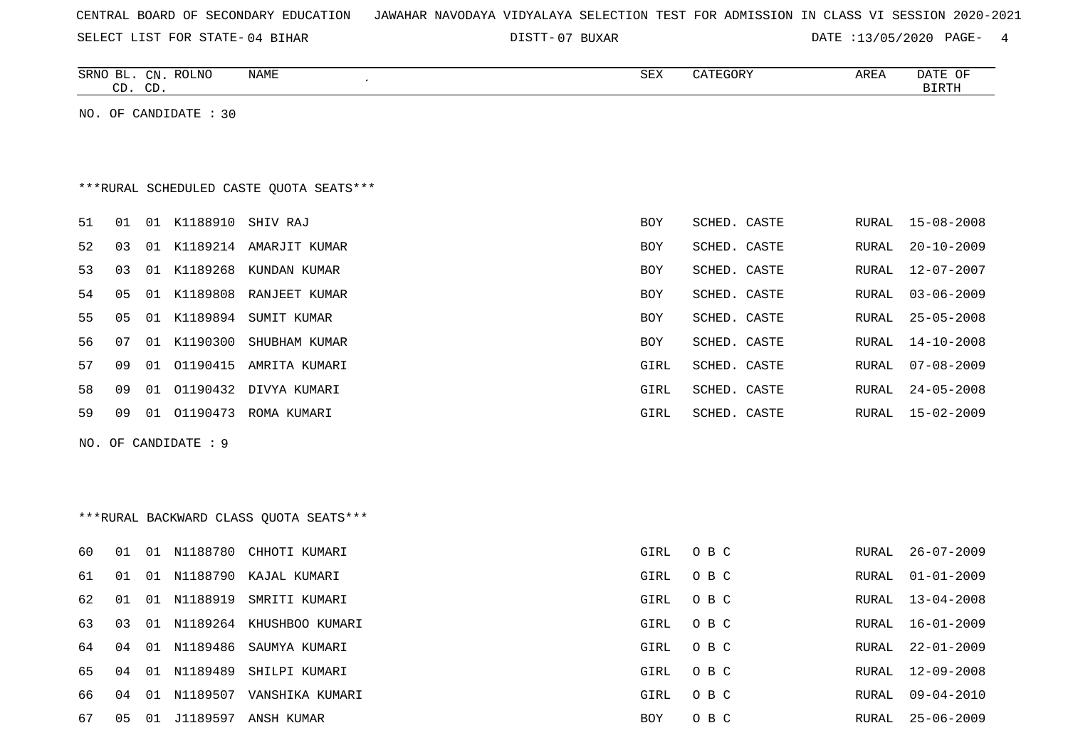| CENTRAL BOARD OF SECONDARY EDUCATION – JAWAHAR NAVODAYA VIDYALAYA SELECTION TEST FOR ADMISSION IN CLASS VI SESSION 2020-2021 |  |
|------------------------------------------------------------------------------------------------------------------------------|--|
|------------------------------------------------------------------------------------------------------------------------------|--|

07 BUXAR DATE :13/05/2020 PAGE- 4

|    |                |    | SRNO BL. CN. ROLNO      | NAME                                    | SEX        | CATEGORY     | AREA  | DATE OF          |
|----|----------------|----|-------------------------|-----------------------------------------|------------|--------------|-------|------------------|
|    | CD. CD.        |    |                         | $\epsilon$                              |            |              |       | <b>BIRTH</b>     |
|    |                |    | NO. OF CANDIDATE : $30$ |                                         |            |              |       |                  |
|    |                |    |                         | ***RURAL SCHEDULED CASTE QUOTA SEATS*** |            |              |       |                  |
| 51 | 01             |    | 01 K1188910 SHIV RAJ    |                                         | <b>BOY</b> | SCHED. CASTE | RURAL | 15-08-2008       |
| 52 | 03             |    |                         | 01 K1189214 AMARJIT KUMAR               | BOY        | SCHED. CASTE | RURAL | $20 - 10 - 2009$ |
| 53 | 03             |    | 01 K1189268             | KUNDAN KUMAR                            | <b>BOY</b> | SCHED. CASTE | RURAL | $12 - 07 - 2007$ |
| 54 | 0 <sub>5</sub> |    |                         | 01 K1189808 RANJEET KUMAR               | <b>BOY</b> | SCHED. CASTE | RURAL | $03 - 06 - 2009$ |
| 55 | 05             |    | 01 K1189894             | SUMIT KUMAR                             | BOY        | SCHED. CASTE | RURAL | $25 - 05 - 2008$ |
| 56 | 07             |    | 01 K1190300             | SHUBHAM KUMAR                           | BOY        | SCHED. CASTE | RURAL | $14 - 10 - 2008$ |
| 57 | 09             | 01 | 01190415                | AMRITA KUMARI                           | GIRL       | SCHED. CASTE | RURAL | $07 - 08 - 2009$ |
| 58 | 09             | 01 |                         | 01190432 DIVYA KUMARI                   | GIRL       | SCHED. CASTE | RURAL | 24-05-2008       |

59 09 01 O1190473 ROMA KUMARI GIRL SCHED. CASTE RURAL 15-02-2009

NO. OF CANDIDATE : 9

| ***RURAL BACKWARD CLASS OUOTA SEATS*** |  |  |
|----------------------------------------|--|--|

| 60  | O 1 | 01 | N1188780    | CHHOTI KUMARI               | GIRL       | O B C | RURAL | 26-07-2009       |
|-----|-----|----|-------------|-----------------------------|------------|-------|-------|------------------|
| 61  | -01 |    |             | 01 N1188790 KAJAL KUMARI    | GIRL       | O B C | RURAL | 01-01-2009       |
| 62  | -01 |    | 01 N1188919 | SMRITI KUMARI               | GIRL       | O B C |       | RURAL 13-04-2008 |
| 63  | 03  |    |             | 01 N1189264 KHUSHBOO KUMARI | GIRL       | O B C |       | RURAL 16-01-2009 |
| 64  | 04  |    | 01 N1189486 | SAUMYA KUMARI               | GIRL       | O B C | RURAL | 22-01-2009       |
| 65  | በ4  |    |             | 01 N1189489 SHILPI KUMARI   | GIRL       | O B C | RURAL | 12-09-2008       |
| 66. | 04  |    | 01 N1189507 | VANSHIKA KUMARI             | GIRL       | O B C | RURAL | 09-04-2010       |
| 67  | 05  | 01 | J1189597    | ANSH KUMAR                  | <b>BOY</b> | O B C |       | RURAL 25-06-2009 |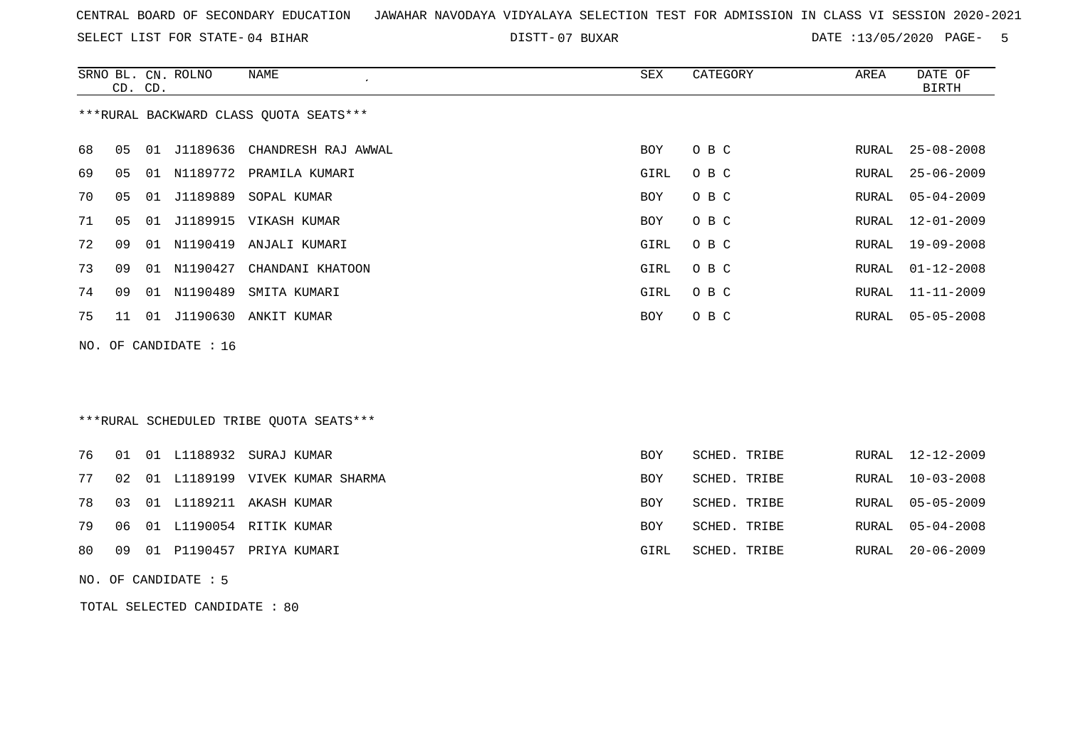SELECT LIST FOR STATE- DISTT- 04 BIHAR

DISTT-07 BUXAR DATE :13/05/2020 PAGE- 5

|                                         |                                                                                    | CD. CD. | SRNO BL. CN. ROLNO | NAME<br>$\mathcal{L}_{\mathcal{L}}$ | SEX        | CATEGORY | AREA  | DATE OF<br><b>BIRTH</b> |  |  |  |
|-----------------------------------------|------------------------------------------------------------------------------------|---------|--------------------|-------------------------------------|------------|----------|-------|-------------------------|--|--|--|
| *** RURAL BACKWARD CLASS QUOTA SEATS*** |                                                                                    |         |                    |                                     |            |          |       |                         |  |  |  |
| 68                                      | 05                                                                                 |         |                    | 01 J1189636 CHANDRESH RAJ AWWAL     | <b>BOY</b> | O B C    | RURAL | $25 - 08 - 2008$        |  |  |  |
| 69                                      | 05                                                                                 |         |                    | 01 N1189772 PRAMILA KUMARI          | GIRL       | O B C    | RURAL | $25 - 06 - 2009$        |  |  |  |
| 70                                      | 05                                                                                 | 01      | J1189889           | SOPAL KUMAR                         | <b>BOY</b> | O B C    | RURAL | $05 - 04 - 2009$        |  |  |  |
| 71                                      | 05                                                                                 |         |                    | 01 J1189915 VIKASH KUMAR            | BOY        | O B C    | RURAL | $12 - 01 - 2009$        |  |  |  |
| 72                                      | 09                                                                                 |         |                    | 01 N1190419 ANJALI KUMARI           | GIRL       | O B C    | RURAL | $19 - 09 - 2008$        |  |  |  |
| 73                                      | 09                                                                                 | 01      | N1190427           | CHANDANI KHATOON                    | GIRL       | O B C    | RURAL | $01 - 12 - 2008$        |  |  |  |
| 74                                      | 09                                                                                 | 01      | N1190489           | SMITA KUMARI                        | GIRL       | O B C    | RURAL | $11 - 11 - 2009$        |  |  |  |
| 75                                      | 11                                                                                 |         |                    | 01 J1190630 ANKIT KUMAR             | <b>BOY</b> | O B C    | RURAL | $05 - 05 - 2008$        |  |  |  |
|                                         | NO. OF CANDIDATE : 16                                                              |         |                    |                                     |            |          |       |                         |  |  |  |
|                                         |                                                                                    |         |                    |                                     |            |          |       |                         |  |  |  |
|                                         |                                                                                    |         |                    |                                     |            |          |       |                         |  |  |  |
| ***RURAL SCHEDULED TRIBE QUOTA SEATS*** |                                                                                    |         |                    |                                     |            |          |       |                         |  |  |  |
|                                         | 01 01 TJ188932 SURAJ KUMAR<br>RURAL 12-12-2009<br>76<br><b>BOY</b><br>SCHED, TRIBE |         |                    |                                     |            |          |       |                         |  |  |  |

|  |  | <u>IO OI UI DIIOOGGA BUNAU NUMAN</u> | DV 1       | OUNN. INIDE  | NUNALI 14-14-4009 |
|--|--|--------------------------------------|------------|--------------|-------------------|
|  |  | 77 02 01 L1189199 VIVEK KUMAR SHARMA | BOY        | SCHED. TRIBE | RURAL 10-03-2008  |
|  |  | 78 03 01 L1189211 AKASH KUMAR        | <b>BOY</b> | SCHED. TRIBE | RURAL 05-05-2009  |
|  |  | 79 06 01 L1190054 RITIK KUMAR        | BOY        | SCHED. TRIBE | RURAL 05-04-2008  |
|  |  | 80 09 01 P1190457 PRIYA KUMARI       | GIRL       | SCHED. TRIBE | RURAL 20-06-2009  |
|  |  |                                      |            |              |                   |

NO. OF CANDIDATE : 5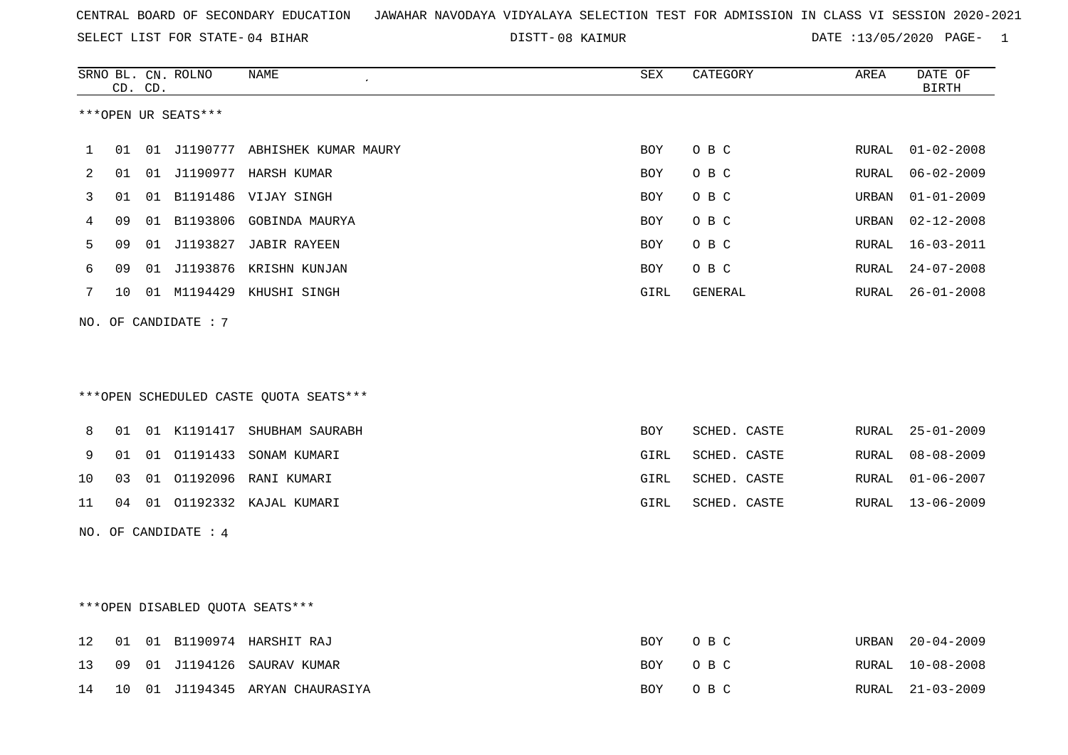08 KAIMUR DATE :13/05/2020 PAGE- 1

|                     |    | CD. CD. | SRNO BL. CN. ROLNO   | NAME                                   | SEX        | CATEGORY     | AREA  | DATE OF<br><b>BIRTH</b> |  |  |  |
|---------------------|----|---------|----------------------|----------------------------------------|------------|--------------|-------|-------------------------|--|--|--|
| ***OPEN UR SEATS*** |    |         |                      |                                        |            |              |       |                         |  |  |  |
| 1                   | 01 |         |                      | 01 J1190777 ABHISHEK KUMAR MAURY       | BOY        | O B C        | RURAL | $01 - 02 - 2008$        |  |  |  |
| 2                   | 01 |         |                      | 01 J1190977 HARSH KUMAR                | <b>BOY</b> | O B C        | RURAL | $06 - 02 - 2009$        |  |  |  |
| 3                   | 01 |         |                      | 01 B1191486 VIJAY SINGH                | <b>BOY</b> | O B C        | URBAN | $01 - 01 - 2009$        |  |  |  |
| 4                   | 09 |         | 01 B1193806          | GOBINDA MAURYA                         | <b>BOY</b> | O B C        | URBAN | $02 - 12 - 2008$        |  |  |  |
| 5                   | 09 |         |                      | 01 J1193827 JABIR RAYEEN               | <b>BOY</b> | O B C        | RURAL | $16 - 03 - 2011$        |  |  |  |
| 6                   | 09 |         |                      | 01 J1193876 KRISHN KUNJAN              | BOY        | O B C        | RURAL | $24 - 07 - 2008$        |  |  |  |
| 7                   | 10 |         |                      | 01 M1194429 KHUSHI SINGH               | GIRL       | GENERAL      | RURAL | $26 - 01 - 2008$        |  |  |  |
|                     |    |         | NO. OF CANDIDATE : 7 |                                        |            |              |       |                         |  |  |  |
|                     |    |         |                      |                                        |            |              |       |                         |  |  |  |
|                     |    |         |                      |                                        |            |              |       |                         |  |  |  |
|                     |    |         |                      | ***OPEN SCHEDULED CASTE QUOTA SEATS*** |            |              |       |                         |  |  |  |
| 8                   | 01 |         |                      | 01 K1191417 SHUBHAM SAURABH            | BOY        | SCHED. CASTE | RURAL | $25 - 01 - 2009$        |  |  |  |
| 9                   | 01 |         |                      | 01 01191433 SONAM KUMARI               | GIRL       | SCHED. CASTE | RURAL | $08 - 08 - 2009$        |  |  |  |
| 10                  | 03 |         |                      | 01 01192096 RANI KUMARI                | GIRL       | SCHED. CASTE | RURAL | $01 - 06 - 2007$        |  |  |  |
| 11                  | 04 |         |                      | 01 01192332 KAJAL KUMARI               | GIRL       | SCHED. CASTE | RURAL | $13 - 06 - 2009$        |  |  |  |
|                     |    |         | NO. OF CANDIDATE : 4 |                                        |            |              |       |                         |  |  |  |
|                     |    |         |                      |                                        |            |              |       |                         |  |  |  |
|                     |    |         |                      |                                        |            |              |       |                         |  |  |  |
|                     |    |         |                      | ***OPEN DISABLED QUOTA SEATS***        |            |              |       |                         |  |  |  |
| 12                  | 01 |         |                      | 01 B1190974 HARSHIT RAJ                | BOY        | O B C        | URBAN | $20 - 04 - 2009$        |  |  |  |
| 13                  | 09 |         |                      | 01 J1194126 SAURAV KUMAR               | BOY        | O B C        | RURAL | $10 - 08 - 2008$        |  |  |  |
| 14                  | 10 |         |                      | 01 J1194345 ARYAN CHAURASIYA           | <b>BOY</b> | O B C        | RURAL | $21 - 03 - 2009$        |  |  |  |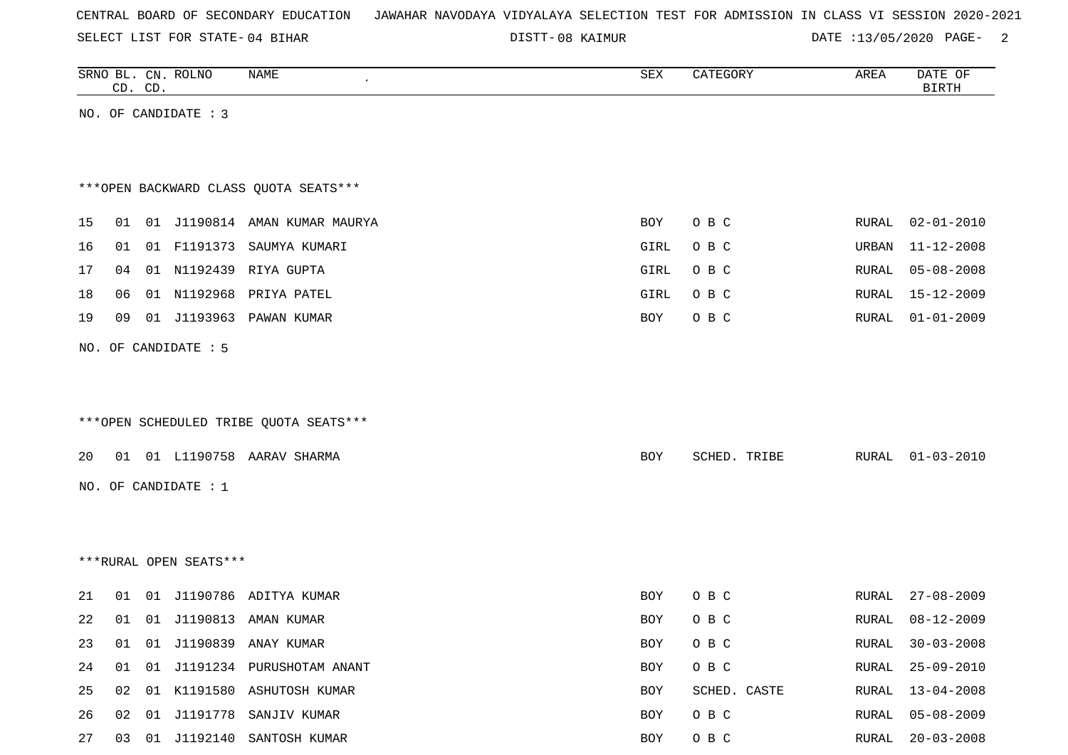SELECT LIST FOR STATE- DISTT- 04 BIHAR

08 KAIMUR DATE :13/05/2020 PAGE- 2

|    | CD. CD. |    | SRNO BL. CN. ROLNO     | NAME                                   | SEX  | CATEGORY     | AREA  | DATE OF<br><b>BIRTH</b> |
|----|---------|----|------------------------|----------------------------------------|------|--------------|-------|-------------------------|
|    |         |    | NO. OF CANDIDATE : 3   |                                        |      |              |       |                         |
|    |         |    |                        |                                        |      |              |       |                         |
|    |         |    |                        |                                        |      |              |       |                         |
|    |         |    |                        | *** OPEN BACKWARD CLASS QUOTA SEATS*** |      |              |       |                         |
| 15 | 01      |    |                        | 01 J1190814 AMAN KUMAR MAURYA          | BOY  | O B C        | RURAL | $02 - 01 - 2010$        |
| 16 | 01      |    | 01 F1191373            | SAUMYA KUMARI                          | GIRL | O B C        | URBAN | $11 - 12 - 2008$        |
| 17 | 04      |    |                        | 01 N1192439 RIYA GUPTA                 | GIRL | O B C        | RURAL | $05 - 08 - 2008$        |
| 18 | 06      |    | 01 N1192968            | PRIYA PATEL                            | GIRL | O B C        | RURAL | 15-12-2009              |
| 19 | 09      |    | 01 J1193963            | PAWAN KUMAR                            | BOY  | O B C        | RURAL | $01 - 01 - 2009$        |
|    |         |    | NO. OF CANDIDATE : 5   |                                        |      |              |       |                         |
|    |         |    |                        |                                        |      |              |       |                         |
|    |         |    |                        |                                        |      |              |       |                         |
|    |         |    |                        | ***OPEN SCHEDULED TRIBE QUOTA SEATS*** |      |              |       |                         |
| 20 |         |    |                        | 01 01 L1190758 AARAV SHARMA            | BOY  | SCHED. TRIBE | RURAL | $01 - 03 - 2010$        |
|    |         |    | NO. OF CANDIDATE : 1   |                                        |      |              |       |                         |
|    |         |    |                        |                                        |      |              |       |                         |
|    |         |    |                        |                                        |      |              |       |                         |
|    |         |    | ***RURAL OPEN SEATS*** |                                        |      |              |       |                         |
|    |         |    |                        |                                        |      |              |       |                         |
| 21 | 01      |    |                        | 01 J1190786 ADITYA KUMAR               | BOY  | O B C        | RURAL | $27 - 08 - 2009$        |
| 22 | 01      |    |                        | 01 J1190813 AMAN KUMAR                 | BOY  | O B C        | RURAL | $08 - 12 - 2009$        |
| 23 | 01      |    |                        | 01 J1190839 ANAY KUMAR                 | BOY  | O B C        | RURAL | $30 - 03 - 2008$        |
| 24 | 01      | 01 |                        | J1191234 PURUSHOTAM ANANT              | BOY  | O B C        | RURAL | $25 - 09 - 2010$        |
| 25 | 02      | 01 |                        | K1191580 ASHUTOSH KUMAR                | BOY  | SCHED. CASTE | RURAL | $13 - 04 - 2008$        |
| 26 | 02      |    |                        | 01 J1191778 SANJIV KUMAR               | BOY  | O B C        | RURAL | $05 - 08 - 2009$        |

27 03 01 J1192140 SANTOSH KUMAR BOY O B C RURAL 20-03-2008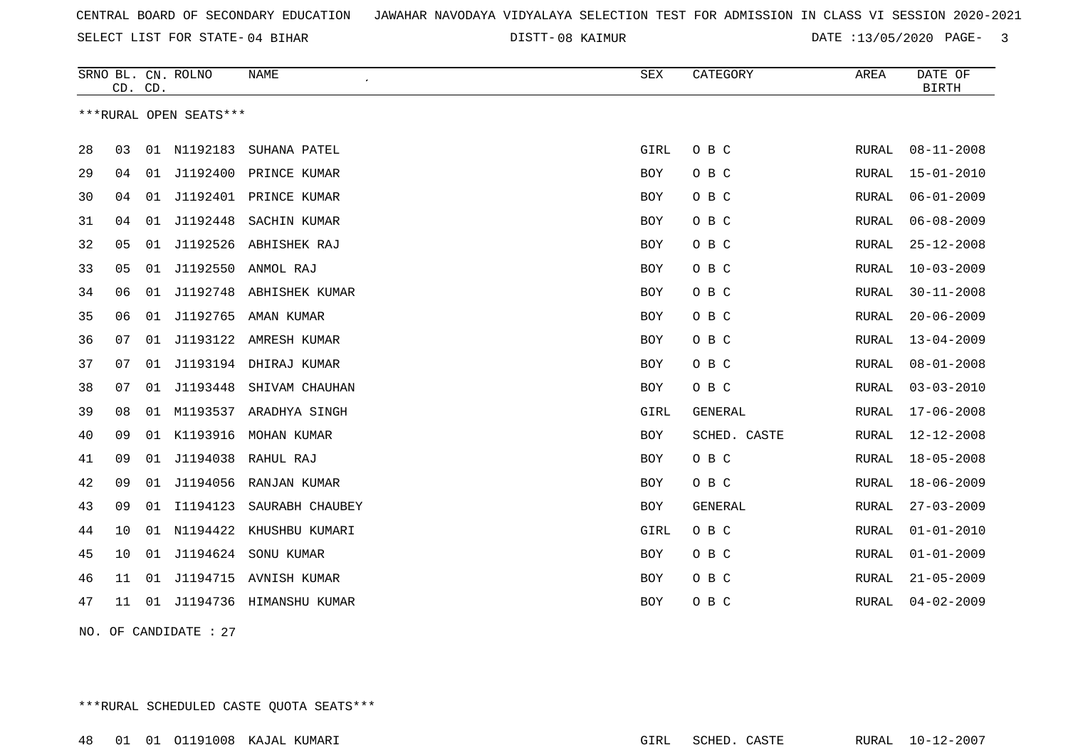08 KAIMUR DATE :13/05/2020 PAGE- 3

|    |                       | CD. CD. | SRNO BL. CN. ROLNO     | NAME                       | SEX        | CATEGORY       | AREA         | DATE OF<br><b>BIRTH</b> |  |  |
|----|-----------------------|---------|------------------------|----------------------------|------------|----------------|--------------|-------------------------|--|--|
|    |                       |         | ***RURAL OPEN SEATS*** |                            |            |                |              |                         |  |  |
| 28 | 03                    | 01      | N1192183               | SUHANA PATEL               | GIRL       | O B C          | RURAL        | $08 - 11 - 2008$        |  |  |
| 29 | 04                    | 01      | J1192400               | PRINCE KUMAR               | <b>BOY</b> | O B C          | <b>RURAL</b> | $15 - 01 - 2010$        |  |  |
| 30 | 04                    | 01      |                        | J1192401 PRINCE KUMAR      | BOY        | O B C          | RURAL        | $06 - 01 - 2009$        |  |  |
| 31 | 04                    | 01      | J1192448               | SACHIN KUMAR               | BOY        | O B C          | RURAL        | $06 - 08 - 2009$        |  |  |
| 32 | 05                    | 01      |                        | J1192526 ABHISHEK RAJ      | BOY        | O B C          | RURAL        | $25 - 12 - 2008$        |  |  |
| 33 | 05                    | 01      | J1192550               | ANMOL RAJ                  | <b>BOY</b> | O B C          | <b>RURAL</b> | $10 - 03 - 2009$        |  |  |
| 34 | 06                    | 01      | J1192748               | ABHISHEK KUMAR             | <b>BOY</b> | O B C          | RURAL        | $30 - 11 - 2008$        |  |  |
| 35 | 06                    | 01      | J1192765               | AMAN KUMAR                 | BOY        | O B C          | RURAL        | $20 - 06 - 2009$        |  |  |
| 36 | 07                    | 01      |                        | J1193122 AMRESH KUMAR      | BOY        | O B C          | RURAL        | $13 - 04 - 2009$        |  |  |
| 37 | 07                    | 01      |                        | J1193194 DHIRAJ KUMAR      | BOY        | O B C          | RURAL        | $08 - 01 - 2008$        |  |  |
| 38 | 07                    | 01      | J1193448               | SHIVAM CHAUHAN             | <b>BOY</b> | O B C          | <b>RURAL</b> | $03 - 03 - 2010$        |  |  |
| 39 | 08                    |         |                        | 01 M1193537 ARADHYA SINGH  | GIRL       | GENERAL        | RURAL        | $17 - 06 - 2008$        |  |  |
| 40 | 09                    | 01      | K1193916               | MOHAN KUMAR                | BOY        | SCHED. CASTE   | RURAL        | $12 - 12 - 2008$        |  |  |
| 41 | 09                    | 01      |                        | J1194038 RAHUL RAJ         | BOY        | O B C          | RURAL        | $18 - 05 - 2008$        |  |  |
| 42 | 09                    | 01      | J1194056               | RANJAN KUMAR               | BOY        | O B C          | RURAL        | $18 - 06 - 2009$        |  |  |
| 43 | 09                    | 01      | I1194123               | SAURABH CHAUBEY            | <b>BOY</b> | <b>GENERAL</b> | <b>RURAL</b> | $27 - 03 - 2009$        |  |  |
| 44 | 10                    |         |                        | 01 N1194422 KHUSHBU KUMARI | GIRL       | O B C          | RURAL        | $01 - 01 - 2010$        |  |  |
| 45 | 10                    | 01      | J1194624               | SONU KUMAR                 | BOY        | O B C          | RURAL        | $01 - 01 - 2009$        |  |  |
| 46 | 11                    | 01      |                        | J1194715 AVNISH KUMAR      | BOY        | O B C          | RURAL        | $21 - 05 - 2009$        |  |  |
| 47 | 11                    |         |                        | 01 J1194736 HIMANSHU KUMAR | <b>BOY</b> | O B C          | RURAL        | $04 - 02 - 2009$        |  |  |
|    | NO. OF CANDIDATE : 27 |         |                        |                            |            |                |              |                         |  |  |

\*\*\*RURAL SCHEDULED CASTE QUOTA SEATS\*\*\*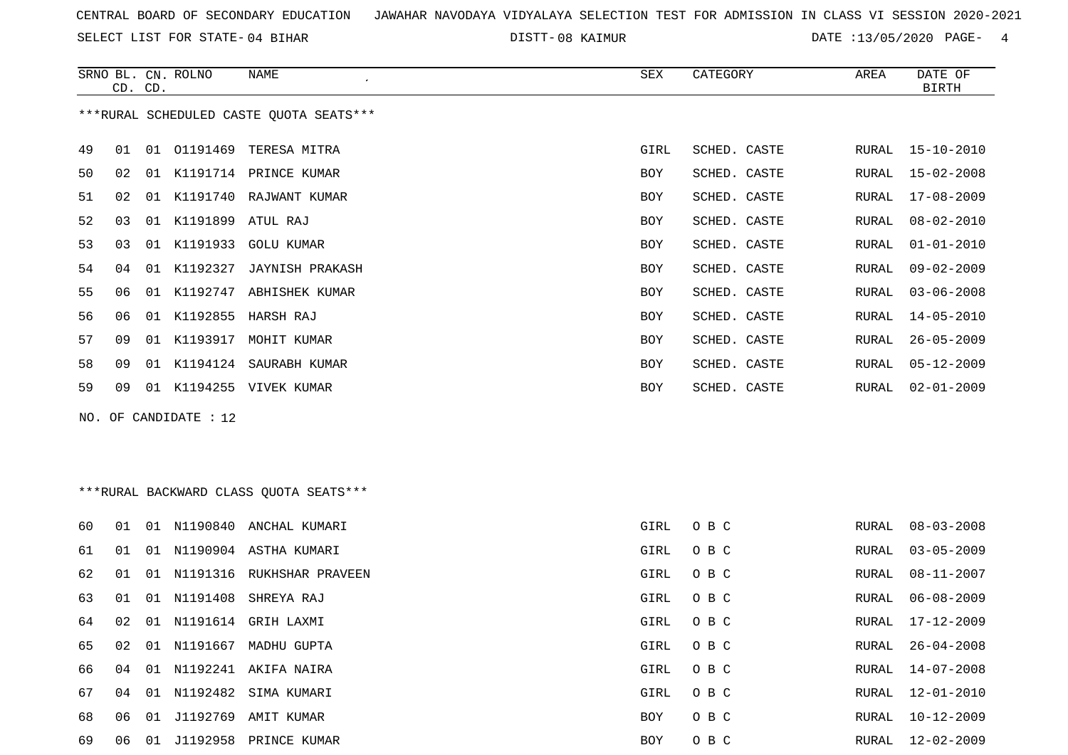SELECT LIST FOR STATE- DISTT- 04 BIHAR

DISTT-08 KAIMUR **DATE** :13/05/2020 PAGE- 4

|    |                                        | CD. CD. | SRNO BL. CN. ROLNO    | NAME                                    | SEX        | CATEGORY     | AREA  | DATE OF<br><b>BIRTH</b> |  |
|----|----------------------------------------|---------|-----------------------|-----------------------------------------|------------|--------------|-------|-------------------------|--|
|    |                                        |         |                       | ***RURAL SCHEDULED CASTE OUOTA SEATS*** |            |              |       |                         |  |
| 49 | 01                                     |         | 01 01191469           | TERESA MITRA                            | GIRL       | SCHED. CASTE | RURAL | $15 - 10 - 2010$        |  |
| 50 | 02                                     | 01      |                       | K1191714 PRINCE KUMAR                   | <b>BOY</b> | SCHED. CASTE | RURAL | $15 - 02 - 2008$        |  |
| 51 | 02                                     | 01      |                       | K1191740 RAJWANT KUMAR                  | <b>BOY</b> | SCHED. CASTE | RURAL | $17 - 08 - 2009$        |  |
| 52 | 03                                     | 01      |                       | K1191899 ATUL RAJ                       | <b>BOY</b> | SCHED. CASTE | RURAL | $08 - 02 - 2010$        |  |
| 53 | 03                                     | 01      | K1191933              | <b>GOLU KUMAR</b>                       | <b>BOY</b> | SCHED. CASTE | RURAL | $01 - 01 - 2010$        |  |
| 54 | 04                                     | 01      | K1192327              | <b>JAYNISH PRAKASH</b>                  | <b>BOY</b> | SCHED. CASTE | RURAL | $09 - 02 - 2009$        |  |
| 55 | 06                                     | 01      | K1192747              | ABHISHEK KUMAR                          | <b>BOY</b> | SCHED. CASTE | RURAL | $03 - 06 - 2008$        |  |
| 56 | 06                                     | 01      | K1192855              | HARSH RAJ                               | <b>BOY</b> | SCHED. CASTE | RURAL | $14 - 05 - 2010$        |  |
| 57 | 09                                     | 01      | K1193917              | MOHIT KUMAR                             | <b>BOY</b> | SCHED. CASTE | RURAL | $26 - 05 - 2009$        |  |
| 58 | 09                                     | 01      |                       | K1194124 SAURABH KUMAR                  | <b>BOY</b> | SCHED. CASTE | RURAL | $05 - 12 - 2009$        |  |
| 59 | 09                                     |         |                       | 01 K1194255 VIVEK KUMAR                 | <b>BOY</b> | SCHED. CASTE | RURAL | $02 - 01 - 2009$        |  |
|    |                                        |         | NO. OF CANDIDATE : 12 |                                         |            |              |       |                         |  |
|    |                                        |         |                       |                                         |            |              |       |                         |  |
|    |                                        |         |                       |                                         |            |              |       |                         |  |
|    | ***RURAL BACKWARD CLASS OUOTA SEATS*** |         |                       |                                         |            |              |       |                         |  |

| 60 | 01 | 01 | N1190840    | ANCHAL KUMARI                | GIRL | O B C |       | RURAL 08-03-2008 |
|----|----|----|-------------|------------------------------|------|-------|-------|------------------|
| 61 | 01 | 01 |             | N1190904 ASTHA KUMARI        | GIRL | O B C | RURAL | $03 - 05 - 2009$ |
| 62 | 01 |    |             | 01 N1191316 RUKHSHAR PRAVEEN | GIRL | O B C | RURAL | 08-11-2007       |
| 63 | 01 | 01 | N1191408    | SHREYA RAJ                   | GIRL | O B C | RURAL | 06-08-2009       |
| 64 | 02 | 01 |             | N1191614 GRIH LAXMI          | GIRL | O B C | RURAL | 17-12-2009       |
| 65 | 02 | 01 | N1191667    | MADHU GUPTA                  | GIRL | O B C | RURAL | 26-04-2008       |
| 66 | 04 | 01 | N1192241    | AKIFA NAIRA                  | GIRL | O B C | RURAL | 14-07-2008       |
| 67 | 04 | 01 |             | N1192482 SIMA KUMARI         | GIRL | O B C | RURAL | 12-01-2010       |
| 68 | 06 |    | 01 J1192769 | AMIT KUMAR                   | BOY  | O B C | RURAL | 10-12-2009       |
| 69 | 06 | 01 | J1192958    | PRINCE KUMAR                 | BOY  | O B C | RURAL | 12-02-2009       |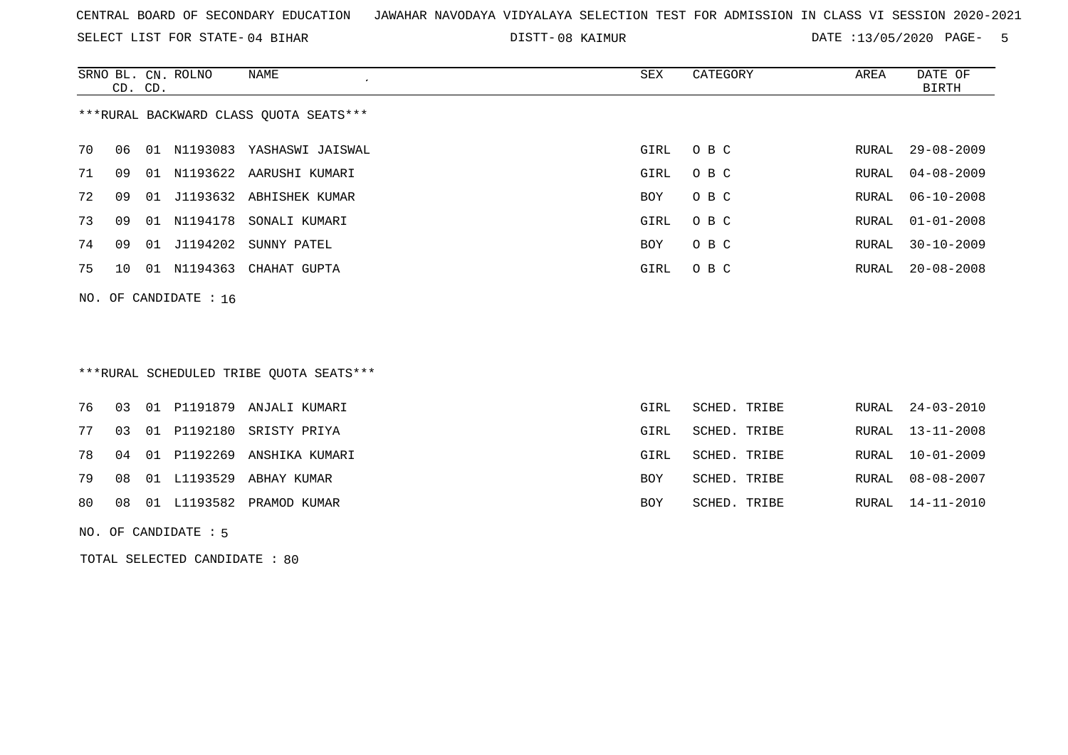SELECT LIST FOR STATE- DISTT- 04 BIHAR

08 KAIMUR DATE :13/05/2020 PAGE- 5

|                                        | CD. CD. |    | SRNO BL. CN. ROLNO | NAME                       | SEX        | CATEGORY | AREA  | DATE OF<br>BIRTH |  |
|----------------------------------------|---------|----|--------------------|----------------------------|------------|----------|-------|------------------|--|
| ***RURAL BACKWARD CLASS OUOTA SEATS*** |         |    |                    |                            |            |          |       |                  |  |
| 70                                     | 06      |    | 01 N1193083        | YASHASWI JAISWAL           | GIRL       | O B C    | RURAL | 29-08-2009       |  |
| 71                                     | O 9     |    |                    | 01 N1193622 AARUSHI KUMARI | GIRL       | O B C    | RURAL | $04 - 08 - 2009$ |  |
| 72                                     | 09      | 01 |                    | J1193632 ABHISHEK KUMAR    | <b>BOY</b> | O B C    | RURAL | $06 - 10 - 2008$ |  |
| 73                                     | 09      |    | 01 N1194178        | SONALI KUMARI              | GIRL       | O B C    | RURAL | $01 - 01 - 2008$ |  |
| 74                                     | 09      | 01 | J1194202           | SUNNY PATEL                | BOY        | O B C    | RURAL | $30 - 10 - 2009$ |  |
| 75                                     | 10      | 01 | N1194363           | CHAHAT GUPTA               | GIRL       | O B C    | RURAL | $20 - 08 - 2008$ |  |
|                                        |         |    |                    |                            |            |          |       |                  |  |

NO. OF CANDIDATE : 16

# \*\*\*RURAL SCHEDULED TRIBE QUOTA SEATS\*\*\*

|  |  | 76 03 01 P1191879 ANJALI KUMARI  | GIRL | SCHED. TRIBE | RURAL 24-03-2010 |
|--|--|----------------------------------|------|--------------|------------------|
|  |  | 77 03 01 P1192180 SRISTY PRIYA   | GIRL | SCHED. TRIBE | RURAL 13-11-2008 |
|  |  | 78 04 01 P1192269 ANSHIKA KUMARI | GIRL | SCHED. TRIBE | RURAL 10-01-2009 |
|  |  | 79 08 01 L1193529 ABHAY KUMAR    | BOY  | SCHED. TRIBE | RURAL 08-08-2007 |
|  |  | 80 08 01 L1193582 PRAMOD KUMAR   | BOY  | SCHED. TRIBE | RURAL 14-11-2010 |
|  |  |                                  |      |              |                  |

NO. OF CANDIDATE : 5

TOTAL SELECTED CANDIDATE : 80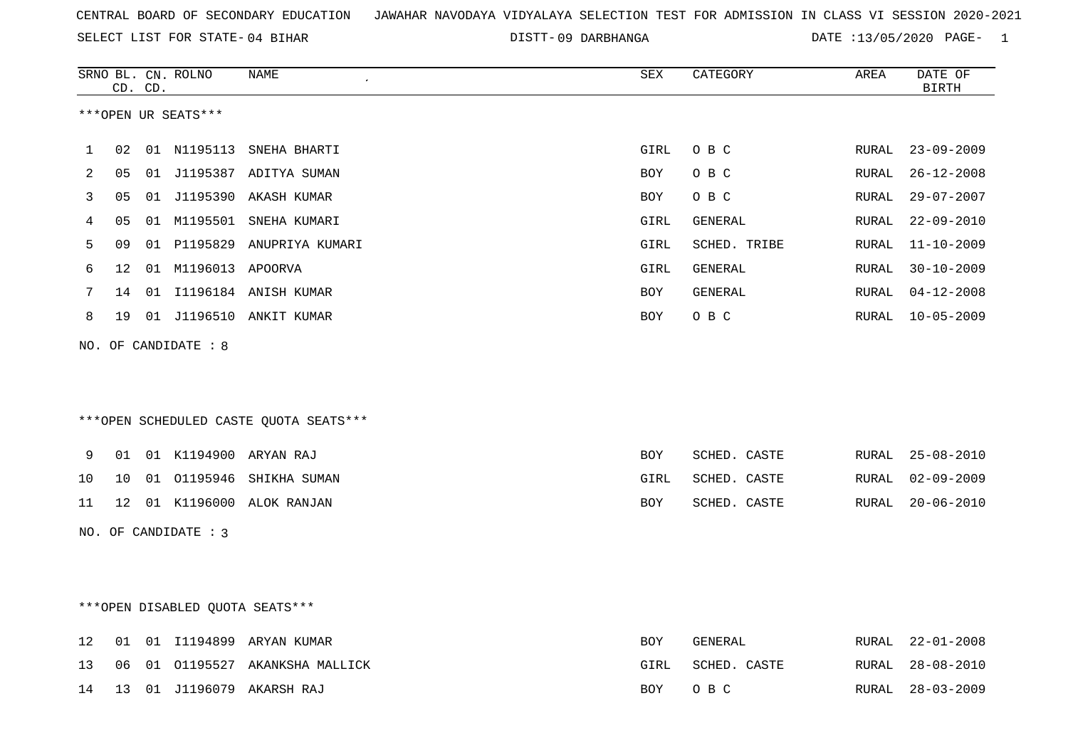DISTT-09 DARBHANGA DATE :13/05/2020 PAGE- 1

|    |    | CD. CD. | SRNO BL. CN. ROLNO   | <b>NAME</b>                            | SEX  | CATEGORY     | AREA         | DATE OF<br><b>BIRTH</b> |
|----|----|---------|----------------------|----------------------------------------|------|--------------|--------------|-------------------------|
|    |    |         | ***OPEN UR SEATS***  |                                        |      |              |              |                         |
| 1  | 02 |         | 01 N1195113          | SNEHA BHARTI                           | GIRL | O B C        | RURAL        | $23 - 09 - 2009$        |
| 2  | 05 |         |                      | 01 J1195387 ADITYA SUMAN               | BOY  | O B C        | RURAL        | $26 - 12 - 2008$        |
| 3  | 05 |         |                      | 01 J1195390 AKASH KUMAR                | BOY  | O B C        | RURAL        | $29 - 07 - 2007$        |
| 4  | 05 |         |                      | 01 M1195501 SNEHA KUMARI               | GIRL | GENERAL      | RURAL        | $22 - 09 - 2010$        |
| 5  | 09 |         |                      | 01 P1195829 ANUPRIYA KUMARI            | GIRL | SCHED. TRIBE | RURAL        | $11 - 10 - 2009$        |
| 6  | 12 |         | 01 M1196013 APOORVA  |                                        | GIRL | GENERAL      | RURAL        | $30 - 10 - 2009$        |
| 7  | 14 |         |                      | 01 I1196184 ANISH KUMAR                | BOY  | GENERAL      | RURAL        | $04 - 12 - 2008$        |
| 8  |    |         |                      | 19 01 J1196510 ANKIT KUMAR             | BOY  | O B C        | RURAL        | $10 - 05 - 2009$        |
|    |    |         | NO. OF CANDIDATE : 8 |                                        |      |              |              |                         |
|    |    |         |                      |                                        |      |              |              |                         |
|    |    |         |                      | ***OPEN SCHEDULED CASTE QUOTA SEATS*** |      |              |              |                         |
| 9  | 01 |         |                      | 01 K1194900 ARYAN RAJ                  | BOY  | SCHED. CASTE | RURAL        | $25 - 08 - 2010$        |
| 10 | 10 |         |                      | 01 01195946 SHIKHA SUMAN               | GIRL | SCHED. CASTE | <b>RURAL</b> | $02 - 09 - 2009$        |
| 11 |    |         |                      | 12 01 K1196000 ALOK RANJAN             | BOY  | SCHED. CASTE | RURAL        | $20 - 06 - 2010$        |
|    |    |         | NO. OF CANDIDATE : 3 |                                        |      |              |              |                         |
|    |    |         |                      |                                        |      |              |              |                         |
|    |    |         |                      |                                        |      |              |              |                         |
|    |    |         |                      | ***OPEN DISABLED QUOTA SEATS***        |      |              |              |                         |
| 12 |    |         |                      | 01 01 I1194899 ARYAN KUMAR             | BOY  | GENERAL      | RURAL        | $22 - 01 - 2008$        |
| 13 | 06 |         |                      | 01 01195527 AKANKSHA MALLICK           | GIRL | SCHED. CASTE | <b>RURAL</b> | $28 - 08 - 2010$        |

14 13 01 J1196079 AKARSH RAJ BOY O B C RURAL 28-03-2009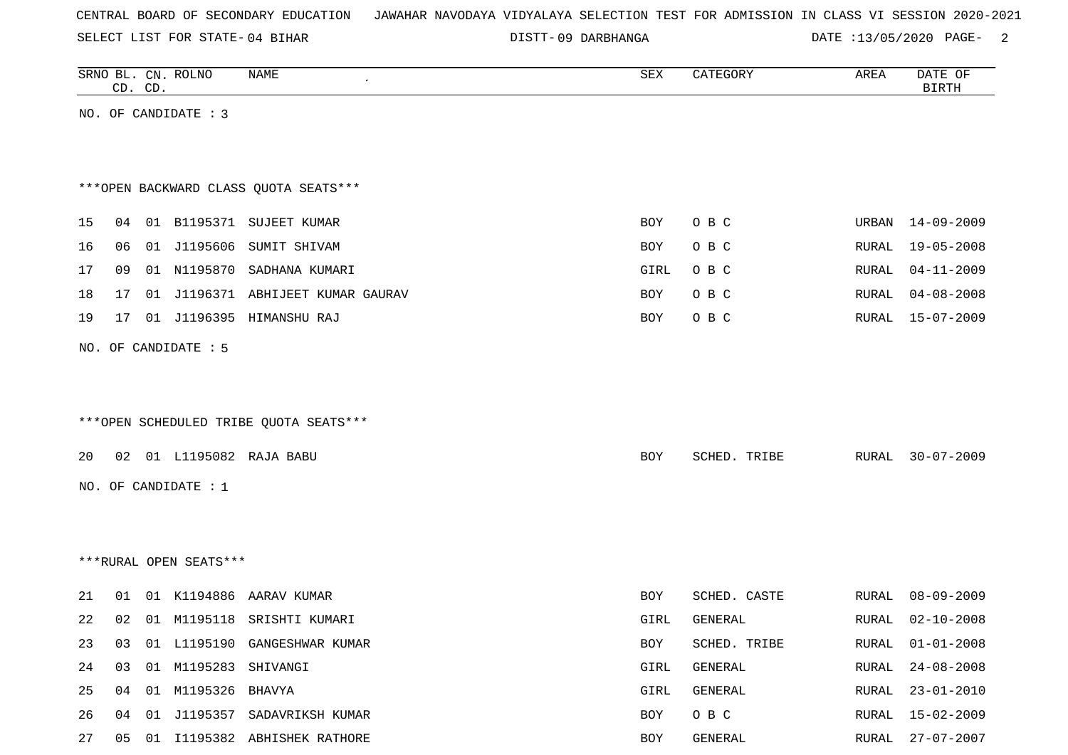SELECT LIST FOR STATE- DISTT- 04 BIHAR

09 DARBHANGA DATE :13/05/2020 PAGE- 2

|    |    | CD. CD. | SRNO BL. CN. ROLNO     | <b>NAME</b>                            | SEX  | CATEGORY     | AREA  | DATE OF<br><b>BIRTH</b> |
|----|----|---------|------------------------|----------------------------------------|------|--------------|-------|-------------------------|
|    |    |         | NO. OF CANDIDATE : 3   |                                        |      |              |       |                         |
|    |    |         |                        |                                        |      |              |       |                         |
|    |    |         |                        |                                        |      |              |       |                         |
|    |    |         |                        | *** OPEN BACKWARD CLASS QUOTA SEATS*** |      |              |       |                         |
| 15 | 04 |         |                        | 01 B1195371 SUJEET KUMAR               | BOY  | O B C        | URBAN | 14-09-2009              |
| 16 | 06 |         | 01 J1195606            | SUMIT SHIVAM                           | BOY  | O B C        | RURAL | $19 - 05 - 2008$        |
| 17 | 09 |         |                        | 01 N1195870 SADHANA KUMARI             | GIRL | O B C        | RURAL | $04 - 11 - 2009$        |
|    |    |         |                        | 01 J1196371 ABHIJEET KUMAR GAURAV      |      | O B C        | RURAL | $04 - 08 - 2008$        |
| 18 | 17 |         |                        |                                        | BOY  |              |       |                         |
| 19 | 17 |         |                        | 01 J1196395 HIMANSHU RAJ               | BOY  | O B C        | RURAL | $15 - 07 - 2009$        |
|    |    |         | NO. OF CANDIDATE : 5   |                                        |      |              |       |                         |
|    |    |         |                        |                                        |      |              |       |                         |
|    |    |         |                        |                                        |      |              |       |                         |
|    |    |         |                        | ***OPEN SCHEDULED TRIBE QUOTA SEATS*** |      |              |       |                         |
| 20 |    |         |                        | 02 01 L1195082 RAJA BABU               | BOY  | SCHED. TRIBE | RURAL | $30 - 07 - 2009$        |
|    |    |         |                        |                                        |      |              |       |                         |
|    |    |         | NO. OF CANDIDATE : 1   |                                        |      |              |       |                         |
|    |    |         |                        |                                        |      |              |       |                         |
|    |    |         |                        |                                        |      |              |       |                         |
|    |    |         | ***RURAL OPEN SEATS*** |                                        |      |              |       |                         |
| 21 | 01 |         | 01 K1194886            | AARAV KUMAR                            | BOY  | SCHED. CASTE | RURAL | $08 - 09 - 2009$        |
| 22 | 02 |         |                        | 01 M1195118 SRISHTI KUMARI             | GIRL | GENERAL      | RURAL | $02 - 10 - 2008$        |
| 23 | 03 |         |                        | 01 L1195190 GANGESHWAR KUMAR           | BOY  | SCHED. TRIBE | RURAL | $01 - 01 - 2008$        |
| 24 | 03 |         | 01 M1195283            | SHIVANGI                               | GIRL | GENERAL      | RURAL | $24 - 08 - 2008$        |
| 25 | 04 |         | 01 M1195326 BHAVYA     |                                        | GIRL | GENERAL      | RURAL | $23 - 01 - 2010$        |
| 26 | 04 | 01      |                        | J1195357 SADAVRIKSH KUMAR              | BOY  | O B C        | RURAL | $15 - 02 - 2009$        |
| 27 | 05 |         |                        | 01 I1195382 ABHISHEK RATHORE           | BOY  | GENERAL      | RURAL | 27-07-2007              |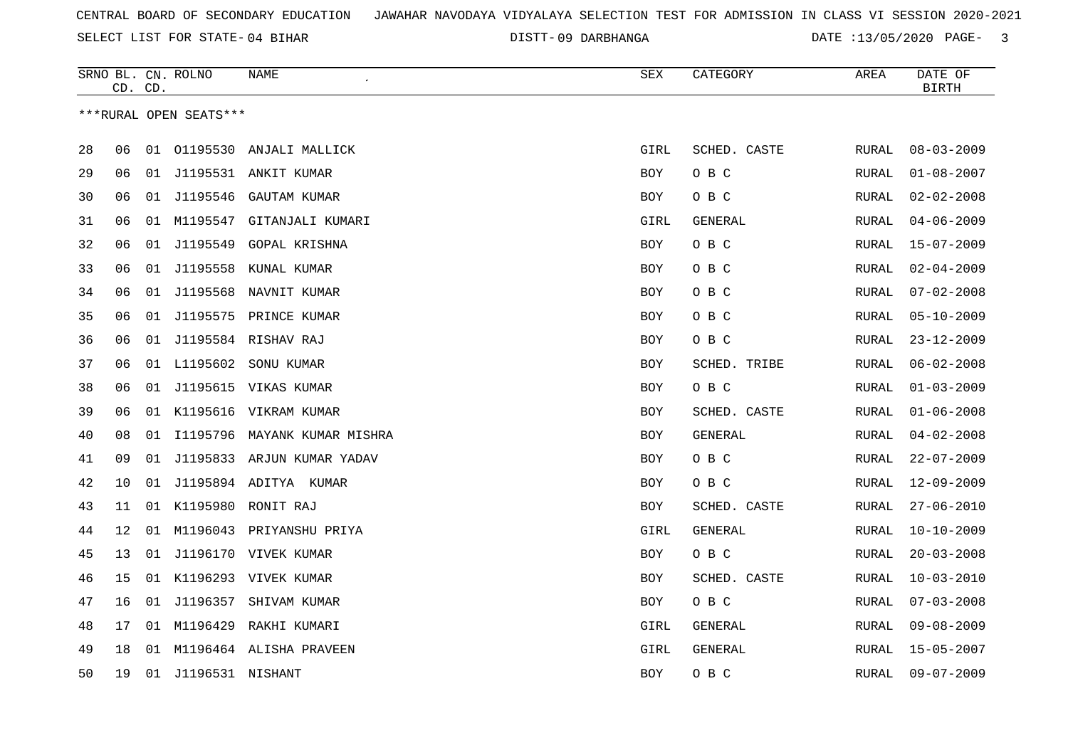09 DARBHANGA DATE :13/05/2020 PAGE- 3

|    | CD. CD. |    | SRNO BL. CN. ROLNO     | NAME                         | SEX        | CATEGORY     | AREA         | DATE OF<br><b>BIRTH</b> |
|----|---------|----|------------------------|------------------------------|------------|--------------|--------------|-------------------------|
|    |         |    | ***RURAL OPEN SEATS*** |                              |            |              |              |                         |
| 28 | 06      |    |                        | 01 01195530 ANJALI MALLICK   | GIRL       | SCHED. CASTE | RURAL        | $08 - 03 - 2009$        |
| 29 | 06      | 01 |                        | J1195531 ANKIT KUMAR         | <b>BOY</b> | O B C        | RURAL        | $01 - 08 - 2007$        |
| 30 | 06      | 01 | J1195546               | <b>GAUTAM KUMAR</b>          | BOY        | O B C        | RURAL        | $02 - 02 - 2008$        |
|    |         |    | 01 M1195547            |                              |            |              |              | $04 - 06 - 2009$        |
| 31 | 06      |    |                        | GITANJALI KUMARI             | GIRL       | GENERAL      | RURAL        |                         |
| 32 | 06      | 01 | J1195549               | GOPAL KRISHNA                | BOY        | O B C        | RURAL        | $15 - 07 - 2009$        |
| 33 | 06      | 01 | J1195558               | KUNAL KUMAR                  | BOY        | O B C        | RURAL        | $02 - 04 - 2009$        |
| 34 | 06      | 01 |                        | J1195568 NAVNIT KUMAR        | BOY        | O B C        | RURAL        | $07 - 02 - 2008$        |
| 35 | 06      | 01 |                        | J1195575 PRINCE KUMAR        | BOY        | O B C        | RURAL        | $05 - 10 - 2009$        |
| 36 | 06      |    |                        | 01 J1195584 RISHAV RAJ       | <b>BOY</b> | O B C        | RURAL        | $23 - 12 - 2009$        |
| 37 | 06      |    | 01 L1195602            | SONU KUMAR                   | <b>BOY</b> | SCHED. TRIBE | RURAL        | $06 - 02 - 2008$        |
| 38 | 06      | 01 |                        | J1195615 VIKAS KUMAR         | <b>BOY</b> | O B C        | RURAL        | $01 - 03 - 2009$        |
| 39 | 06      | 01 | K1195616               | VIKRAM KUMAR                 | <b>BOY</b> | SCHED. CASTE | <b>RURAL</b> | $01 - 06 - 2008$        |
| 40 | 08      | 01 |                        | I1195796 MAYANK KUMAR MISHRA | BOY        | GENERAL      | RURAL        | $04 - 02 - 2008$        |
| 41 | 09      | 01 |                        | J1195833 ARJUN KUMAR YADAV   | BOY        | O B C        | RURAL        | $22 - 07 - 2009$        |
| 42 | 10      | 01 |                        | J1195894 ADITYA KUMAR        | BOY        | O B C        | RURAL        | $12 - 09 - 2009$        |
| 43 | 11      | 01 |                        | K1195980 RONIT RAJ           | BOY        | SCHED. CASTE | RURAL        | $27 - 06 - 2010$        |
| 44 | 12      |    |                        | 01 M1196043 PRIYANSHU PRIYA  | GIRL       | GENERAL      | RURAL        | $10 - 10 - 2009$        |
| 45 | 13      | 01 |                        | J1196170 VIVEK KUMAR         | BOY        | O B C        | RURAL        | $20 - 03 - 2008$        |
| 46 | 15      | 01 |                        | K1196293 VIVEK KUMAR         | BOY        | SCHED. CASTE | RURAL        | $10 - 03 - 2010$        |
| 47 | 16      | 01 |                        | J1196357 SHIVAM KUMAR        | BOY        | O B C        | RURAL        | $07 - 03 - 2008$        |
| 48 | 17      | 01 | M1196429               | RAKHI KUMARI                 | GIRL       | GENERAL      | RURAL        | $09 - 08 - 2009$        |
| 49 | 18      |    |                        | 01 M1196464 ALISHA PRAVEEN   | GIRL       | GENERAL      | RURAL        | 15-05-2007              |
| 50 | 19      | 01 | J1196531 NISHANT       |                              | <b>BOY</b> | O B C        | <b>RURAL</b> | $09 - 07 - 2009$        |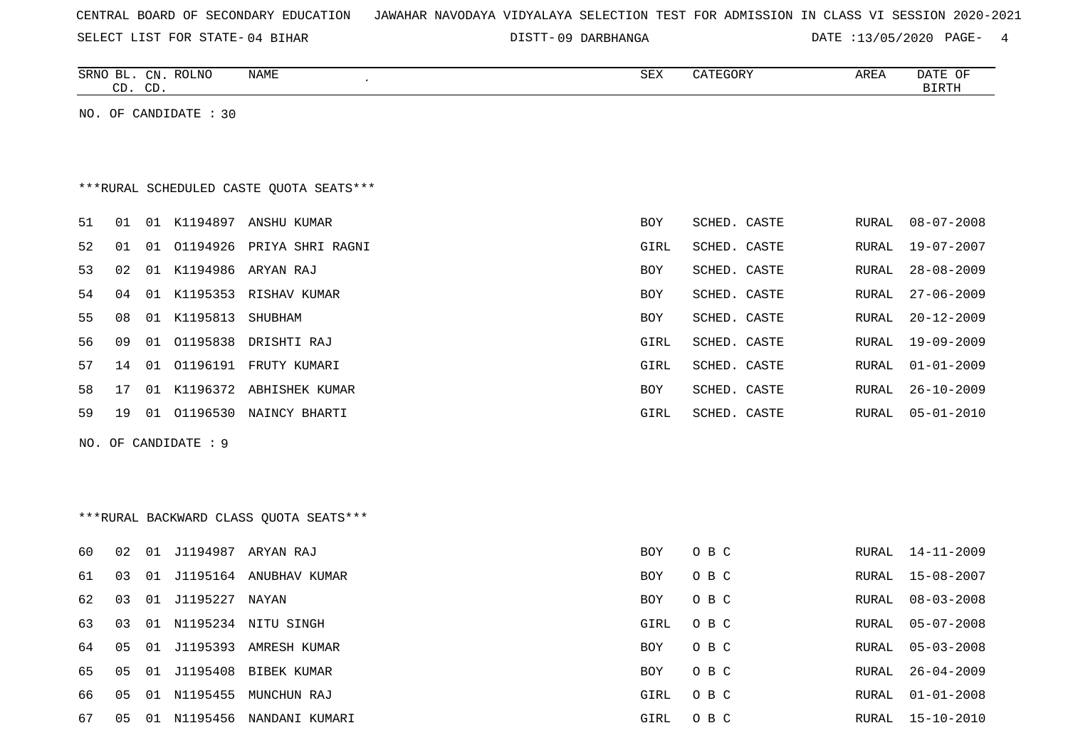SELECT LIST FOR STATE- DISTT- 04 BIHAR

09 DARBHANGA DATE :13/05/2020 PAGE- 4

| SRNO BL. CN. ROLNO<br>NAME<br>CD. CD. | SEX | CATEGORY | AREA | DATE OF<br>BIRTH |
|---------------------------------------|-----|----------|------|------------------|
| NO. OF CANDIDATE : 30                 |     |          |      |                  |
|                                       |     |          |      |                  |

# \*\*\*RURAL SCHEDULED CASTE QUOTA SEATS\*\*\*

| 51 | O 1 | . N 1 | K1194897            | ANSHU KUMAR              | BOY        | SCHED. CASTE | RURAL | $08 - 07 - 2008$ |
|----|-----|-------|---------------------|--------------------------|------------|--------------|-------|------------------|
| 52 | 01  | O 1   | 01194926            | PRIYA SHRI RAGNI         | GIRL       | SCHED. CASTE | RURAL | 19-07-2007       |
| 53 | 02  |       |                     | 01 K1194986 ARYAN RAJ    | BOY        | SCHED. CASTE | RURAL | 28-08-2009       |
| 54 | 04  |       |                     | 01 K1195353 RISHAV KUMAR | <b>BOY</b> | SCHED. CASTE | RURAL | 27-06-2009       |
| 55 | 08  |       | 01 K1195813 SHUBHAM |                          | <b>BOY</b> | SCHED. CASTE | RURAL | $20 - 12 - 2009$ |
| 56 | 09  | 01    |                     | 01195838 DRISHTI RAJ     | GIRL       | SCHED. CASTE |       | RURAL 19-09-2009 |
| 57 | 14  | 01    | 01196191            | FRUTY KUMARI             | GIRL       | SCHED. CASTE | RURAL | 01-01-2009       |
| 58 | 17  | 01    |                     | K1196372 ABHISHEK KUMAR  | BOY        | SCHED. CASTE | RURAL | $26 - 10 - 2009$ |
| 59 | 19  | 01    |                     | 01196530 NAINCY BHARTI   | GIRL       | SCHED. CASTE | RURAL | 05-01-2010       |
|    |     |       |                     |                          |            |              |       |                  |

NO. OF CANDIDATE : 9

## \*\*\*RURAL BACKWARD CLASS QUOTA SEATS\*\*\*

| 60  | 02 | - 01 |                | J1194987 ARYAN RAJ   | <b>BOY</b> | O B C | RURAL | $14 - 11 - 2009$ |
|-----|----|------|----------------|----------------------|------------|-------|-------|------------------|
| 61  | 03 | - 01 | J1195164       | ANUBHAV KUMAR        | <b>BOY</b> | O B C | RURAL | 15-08-2007       |
| 62  | 03 | 01   | J1195227 NAYAN |                      | <b>BOY</b> | O B C | RURAL | $08 - 03 - 2008$ |
| 63  | 03 | 01   |                | N1195234 NITU SINGH  | GIRL       | O B C | RURAL | $05 - 07 - 2008$ |
| 64  | 05 | - 01 | J1195393       | AMRESH KUMAR         | <b>BOY</b> | O B C | RURAL | $05 - 03 - 2008$ |
| 65. | 05 | - 01 |                | J1195408 BIBEK KUMAR | <b>BOY</b> | O B C | RURAL | 26-04-2009       |
| 66. | 05 | - 01 | N1195455       | MUNCHUN RAJ          | GIRL       | O B C | RURAL | 01-01-2008       |
| 67  | 05 | -01  | N1195456       | NANDANI KUMARI       | GIRL       | O B C | RURAL | 15-10-2010       |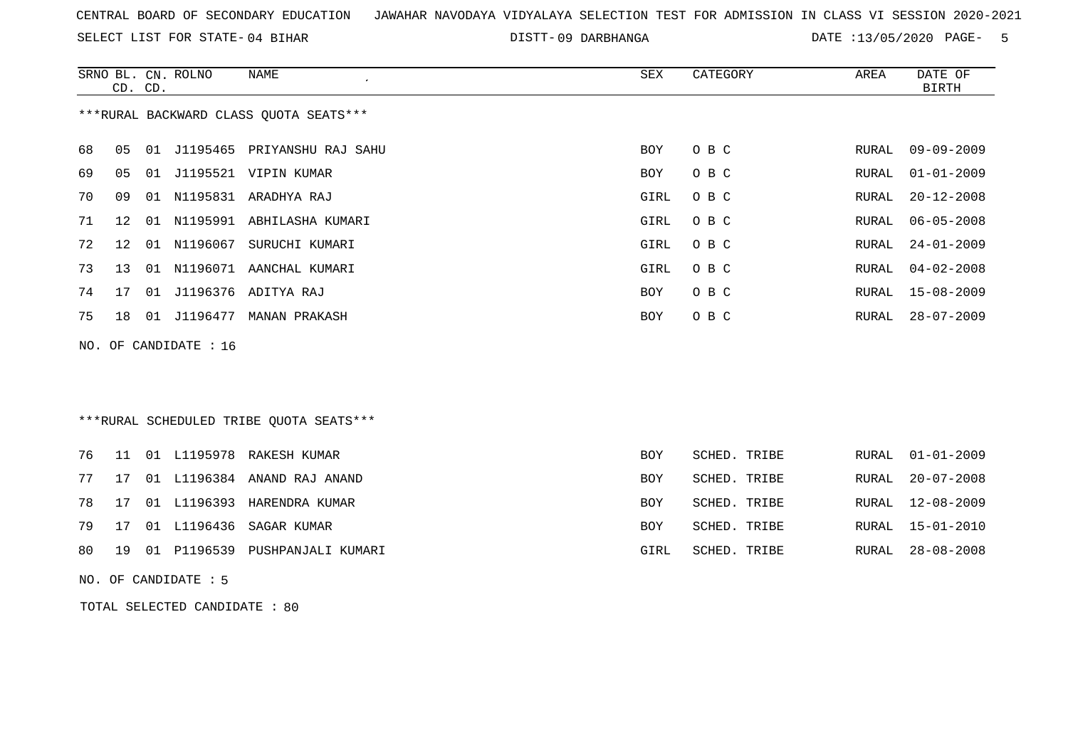SELECT LIST FOR STATE- DISTT- 04 BIHAR

09 DARBHANGA DATE :13/05/2020 PAGE- 5

|    | CD. CD.           |    | SRNO BL. CN. ROLNO    | <b>NAME</b>                             | <b>SEX</b> | CATEGORY     | AREA         | DATE OF<br><b>BIRTH</b> |
|----|-------------------|----|-----------------------|-----------------------------------------|------------|--------------|--------------|-------------------------|
|    |                   |    |                       | *** RURAL BACKWARD CLASS QUOTA SEATS*** |            |              |              |                         |
| 68 | 05                |    |                       | 01 J1195465 PRIYANSHU RAJ SAHU          | <b>BOY</b> | O B C        | RURAL        | $09 - 09 - 2009$        |
| 69 | 05                | 01 |                       | J1195521 VIPIN KUMAR                    | BOY        | O B C        | <b>RURAL</b> | $01 - 01 - 2009$        |
| 70 | 09                |    |                       | 01 N1195831 ARADHYA RAJ                 | GIRL       | O B C        | <b>RURAL</b> | $20 - 12 - 2008$        |
| 71 | $12 \overline{ }$ | 01 |                       | N1195991 ABHILASHA KUMARI               | GIRL       | O B C        | <b>RURAL</b> | $06 - 05 - 2008$        |
| 72 | 12                | 01 | N1196067              | SURUCHI KUMARI                          | GIRL       | O B C        | RURAL        | $24 - 01 - 2009$        |
| 73 | 13                |    |                       | 01 N1196071 AANCHAL KUMARI              | GIRL       | O B C        | <b>RURAL</b> | $04 - 02 - 2008$        |
| 74 | 17                |    |                       | 01 J1196376 ADITYA RAJ                  | BOY        | O B C        | <b>RURAL</b> | $15 - 08 - 2009$        |
| 75 | 18                |    |                       | 01 J1196477 MANAN PRAKASH               | BOY        | O B C        | RURAL        | $28 - 07 - 2009$        |
|    |                   |    | NO. OF CANDIDATE : 16 |                                         |            |              |              |                         |
|    |                   |    |                       | ***RURAL SCHEDULED TRIBE QUOTA SEATS*** |            |              |              |                         |
| 76 | 11                |    |                       | 01 L1195978 RAKESH KUMAR                | BOY        | SCHED. TRIBE | RURAL        | $01 - 01 - 2009$        |
| 77 | 17                |    |                       | 01 L1196384 ANAND RAJ ANAND             | BOY        | SCHED. TRIBE | <b>RURAL</b> | $20 - 07 - 2008$        |
| 78 | 17                |    |                       | 01 L1196393 HARENDRA KUMAR              | BOY        | SCHED. TRIBE | RURAL        | 12-08-2009              |
| 79 | 17                |    | 01 L1196436           | SAGAR KUMAR                             | BOY        | SCHED. TRIBE | <b>RURAL</b> | $15 - 01 - 2010$        |
| 80 | 19                | 01 | P1196539              | PUSHPANJALI KUMARI                      | GIRL       | SCHED. TRIBE | <b>RURAL</b> | $28 - 08 - 2008$        |
|    |                   |    | NO. OF CANDIDATE : 5  |                                         |            |              |              |                         |

TOTAL SELECTED CANDIDATE : 80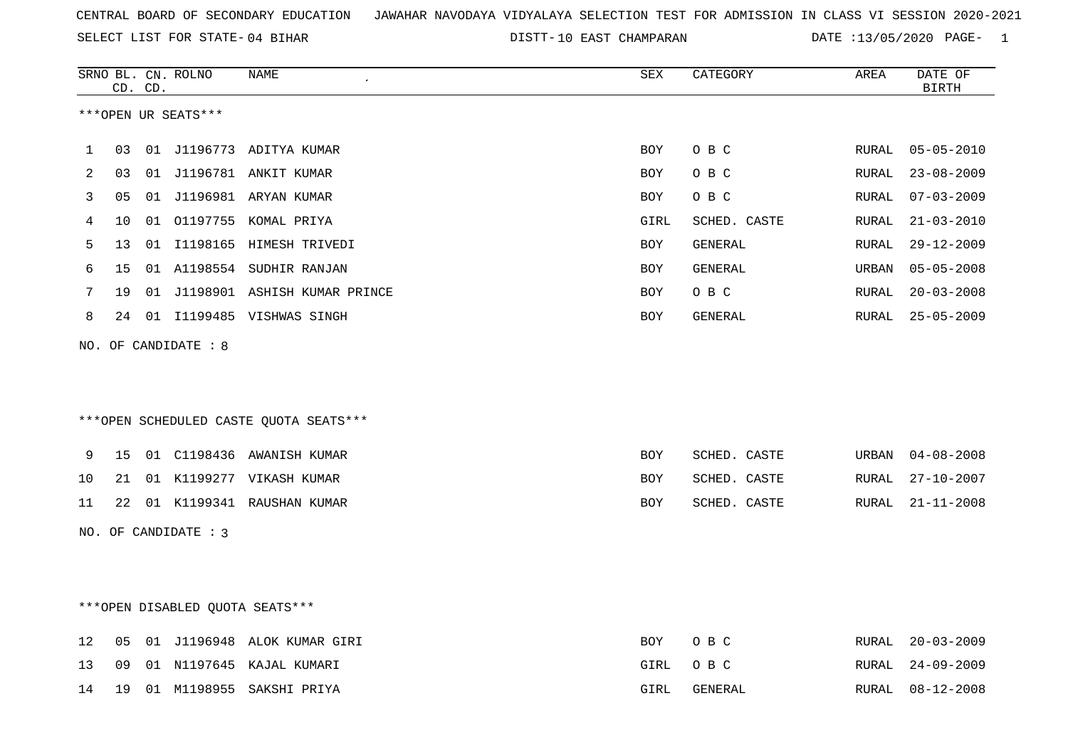|    |    | CD. CD. | SRNO BL. CN. ROLNO   | NAME                                   | ${\tt SEX}$ | CATEGORY       | AREA  | DATE OF<br>BIRTH |
|----|----|---------|----------------------|----------------------------------------|-------------|----------------|-------|------------------|
|    |    |         | ***OPEN UR SEATS***  |                                        |             |                |       |                  |
| 1  | 03 |         |                      | 01 J1196773 ADITYA KUMAR               | BOY         | O B C          | RURAL | $05 - 05 - 2010$ |
| 2  | 03 |         |                      | 01 J1196781 ANKIT KUMAR                | BOY         | O B C          | RURAL | $23 - 08 - 2009$ |
| 3  | 05 |         |                      | 01 J1196981 ARYAN KUMAR                | BOY         | O B C          | RURAL | $07 - 03 - 2009$ |
| 4  | 10 |         |                      | 01 01197755 KOMAL PRIYA                | GIRL        | SCHED. CASTE   | RURAL | $21 - 03 - 2010$ |
| 5  | 13 | 01      |                      | I1198165 HIMESH TRIVEDI                | BOY         | GENERAL        | RURAL | $29 - 12 - 2009$ |
| 6  | 15 |         |                      | 01 A1198554 SUDHIR RANJAN              | BOY         | GENERAL        | URBAN | $05 - 05 - 2008$ |
| 7  | 19 |         |                      | 01 J1198901 ASHISH KUMAR PRINCE        | BOY         | O B C          | RURAL | $20 - 03 - 2008$ |
| 8  |    |         |                      | 24 01 I1199485 VISHWAS SINGH           | BOY         | GENERAL        | RURAL | $25 - 05 - 2009$ |
|    |    |         | NO. OF CANDIDATE : 8 | ***OPEN SCHEDULED CASTE QUOTA SEATS*** |             |                |       |                  |
| 9  | 15 |         |                      | 01 C1198436 AWANISH KUMAR              | <b>BOY</b>  | SCHED. CASTE   | URBAN | $04 - 08 - 2008$ |
| 10 | 21 |         |                      | 01 K1199277 VIKASH KUMAR               | BOY         | SCHED. CASTE   | RURAL | $27 - 10 - 2007$ |
| 11 |    |         |                      | 22 01 K1199341 RAUSHAN KUMAR           | BOY         | SCHED. CASTE   | RURAL | $21 - 11 - 2008$ |
|    |    |         | NO. OF CANDIDATE : 3 |                                        |             |                |       |                  |
|    |    |         |                      | ***OPEN DISABLED QUOTA SEATS***        |             |                |       |                  |
| 12 | 05 |         |                      | 01 J1196948 ALOK KUMAR GIRI            | BOY         | O B C          | RURAL | $20 - 03 - 2009$ |
| 13 | 09 |         |                      | 01 N1197645 KAJAL KUMARI               | GIRL        | O B C          | RURAL | $24 - 09 - 2009$ |
| 14 | 19 |         |                      | 01 M1198955 SAKSHI PRIYA               | GIRL        | <b>GENERAL</b> | RURAL | $08 - 12 - 2008$ |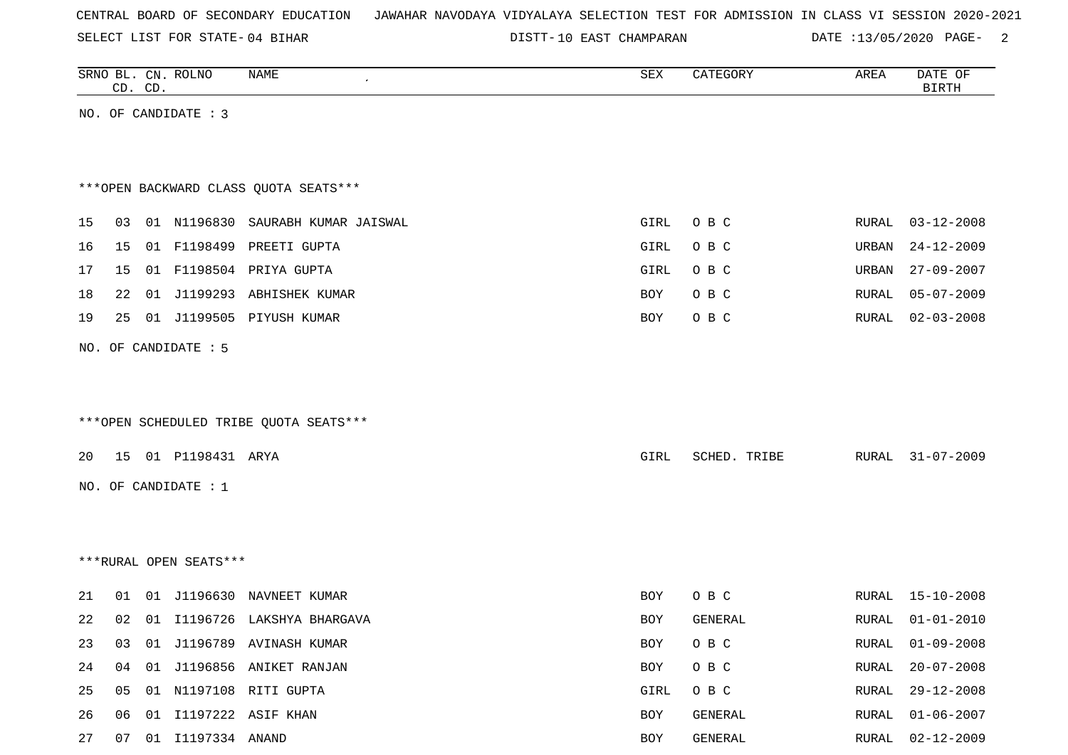SELECT LIST FOR STATE- DISTT- 04 BIHAR

|    |    | CD. CD. | SRNO BL. CN. ROLNO     | NAME                                   | SEX        | CATEGORY     | AREA         | DATE OF<br><b>BIRTH</b> |
|----|----|---------|------------------------|----------------------------------------|------------|--------------|--------------|-------------------------|
|    |    |         | NO. OF CANDIDATE : 3   |                                        |            |              |              |                         |
|    |    |         |                        |                                        |            |              |              |                         |
|    |    |         |                        |                                        |            |              |              |                         |
|    |    |         |                        | *** OPEN BACKWARD CLASS QUOTA SEATS*** |            |              |              |                         |
| 15 | 03 |         |                        | 01 N1196830 SAURABH KUMAR JAISWAL      | GIRL       | O B C        | RURAL        | $03 - 12 - 2008$        |
| 16 | 15 |         |                        | 01 F1198499 PREETI GUPTA               | GIRL       | O B C        | URBAN        | $24 - 12 - 2009$        |
| 17 | 15 |         |                        | 01 F1198504 PRIYA GUPTA                | GIRL       | O B C        | URBAN        | $27 - 09 - 2007$        |
| 18 | 22 |         |                        | 01 J1199293 ABHISHEK KUMAR             | BOY        | O B C        | RURAL        | $05 - 07 - 2009$        |
| 19 | 25 |         |                        | 01 J1199505 PIYUSH KUMAR               | BOY        | O B C        | RURAL        | $02 - 03 - 2008$        |
|    |    |         | NO. OF CANDIDATE : 5   |                                        |            |              |              |                         |
|    |    |         |                        |                                        |            |              |              |                         |
|    |    |         |                        |                                        |            |              |              |                         |
|    |    |         |                        | ***OPEN SCHEDULED TRIBE QUOTA SEATS*** |            |              |              |                         |
|    |    |         |                        |                                        |            |              |              |                         |
| 20 |    |         | 15 01 P1198431 ARYA    |                                        | GIRL       | SCHED. TRIBE | RURAL        | $31 - 07 - 2009$        |
|    |    |         | NO. OF CANDIDATE : $1$ |                                        |            |              |              |                         |
|    |    |         |                        |                                        |            |              |              |                         |
|    |    |         |                        |                                        |            |              |              |                         |
|    |    |         | ***RURAL OPEN SEATS*** |                                        |            |              |              |                         |
| 21 | 01 |         |                        | 01 J1196630 NAVNEET KUMAR              | <b>BOY</b> | O B C        |              | RURAL 15-10-2008        |
| 22 | 02 |         |                        | 01 I1196726 LAKSHYA BHARGAVA           | BOY        | GENERAL      | <b>RURAL</b> | $01 - 01 - 2010$        |
| 23 |    |         |                        | 03 01 J1196789 AVINASH KUMAR           | BOY        | O B C        | RURAL        | $01 - 09 - 2008$        |
| 24 |    |         |                        | 04 01 J1196856 ANIKET RANJAN           | BOY        | O B C        | RURAL        | $20 - 07 - 2008$        |
| 25 | 05 |         |                        | 01 N1197108 RITI GUPTA                 | GIRL       | O B C        | RURAL        | $29 - 12 - 2008$        |
| 26 |    |         |                        | 06  01  11197222  ASIF KHAN            | BOY        | GENERAL      | RURAL        | $01 - 06 - 2007$        |
| 27 | 07 |         | 01 I1197334 ANAND      |                                        | BOY        | GENERAL      | RURAL        | $02 - 12 - 2009$        |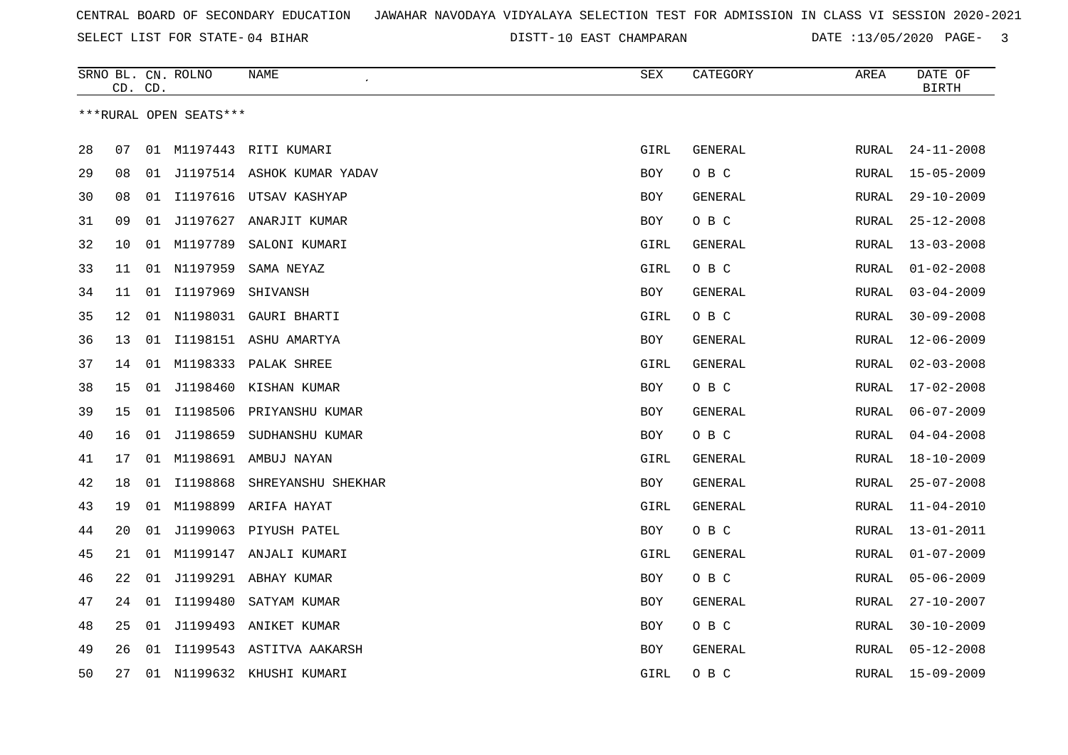SELECT LIST FOR STATE- DISTT- 04 BIHAR

|    | CD. CD. |    | SRNO BL. CN. ROLNO     | NAME                          | SEX        | CATEGORY       | AREA         | DATE OF<br><b>BIRTH</b> |
|----|---------|----|------------------------|-------------------------------|------------|----------------|--------------|-------------------------|
|    |         |    | ***RURAL OPEN SEATS*** |                               |            |                |              |                         |
| 28 | 07      |    |                        | 01 M1197443 RITI KUMARI       | GIRL       | <b>GENERAL</b> | <b>RURAL</b> | $24 - 11 - 2008$        |
| 29 | 08      |    |                        | 01 J1197514 ASHOK KUMAR YADAV | BOY        | O B C          | RURAL        | $15 - 05 - 2009$        |
| 30 | 08      | 01 | I1197616               | UTSAV KASHYAP                 | BOY        | GENERAL        | RURAL        | $29 - 10 - 2009$        |
| 31 | 09      | 01 |                        | J1197627 ANARJIT KUMAR        | <b>BOY</b> | O B C          | RURAL        | $25 - 12 - 2008$        |
| 32 | 10      | 01 | M1197789               | SALONI KUMARI                 | GIRL       | GENERAL        | RURAL        | $13 - 03 - 2008$        |
| 33 | 11      |    | 01 N1197959            | SAMA NEYAZ                    | GIRL       | O B C          | RURAL        | $01 - 02 - 2008$        |
| 34 | 11      | 01 | I1197969               | SHIVANSH                      | BOY        | GENERAL        | RURAL        | $03 - 04 - 2009$        |
| 35 | 12      | 01 | N1198031               | GAURI BHARTI                  | GIRL       | O B C          | RURAL        | $30 - 09 - 2008$        |
| 36 | 13      |    |                        | 01 I1198151 ASHU AMARTYA      | BOY        | GENERAL        | RURAL        | $12 - 06 - 2009$        |
| 37 | 14      |    |                        | 01 M1198333 PALAK SHREE       | GIRL       | GENERAL        | RURAL        | $02 - 03 - 2008$        |
| 38 | 15      |    |                        | 01 J1198460 KISHAN KUMAR      | BOY        | O B C          | <b>RURAL</b> | $17 - 02 - 2008$        |
| 39 | 15      | 01 | I1198506               | PRIYANSHU KUMAR               | <b>BOY</b> | GENERAL        | RURAL        | $06 - 07 - 2009$        |
| 40 | 16      | 01 | J1198659               | SUDHANSHU KUMAR               | BOY        | O B C          | RURAL        | $04 - 04 - 2008$        |
| 41 | 17      | 01 |                        | M1198691 AMBUJ NAYAN          | GIRL       | GENERAL        | RURAL        | $18 - 10 - 2009$        |
| 42 | 18      | 01 | I1198868               | SHREYANSHU SHEKHAR            | BOY        | GENERAL        | RURAL        | $25 - 07 - 2008$        |
| 43 | 19      | 01 | M1198899               | ARIFA HAYAT                   | GIRL       | <b>GENERAL</b> | RURAL        | $11 - 04 - 2010$        |
| 44 | 20      | 01 |                        | J1199063 PIYUSH PATEL         | BOY        | O B C          | RURAL        | $13 - 01 - 2011$        |
| 45 | 21      | 01 |                        | M1199147 ANJALI KUMARI        | GIRL       | GENERAL        | <b>RURAL</b> | $01 - 07 - 2009$        |
| 46 | 22      |    |                        | 01 J1199291 ABHAY KUMAR       | <b>BOY</b> | O B C          | RURAL        | $05 - 06 - 2009$        |
| 47 | 24      |    | 01 I1199480            | SATYAM KUMAR                  | BOY        | GENERAL        | RURAL        | $27 - 10 - 2007$        |
| 48 | 25      | 01 |                        | J1199493 ANIKET KUMAR         | BOY        | O B C          | RURAL        | $30 - 10 - 2009$        |
| 49 | 26      | 01 |                        | I1199543 ASTITVA AAKARSH      | <b>BOY</b> | GENERAL        | RURAL        | $05 - 12 - 2008$        |
| 50 | 27      |    |                        | 01 N1199632 KHUSHI KUMARI     | GIRL       | O B C          | RURAL        | $15 - 09 - 2009$        |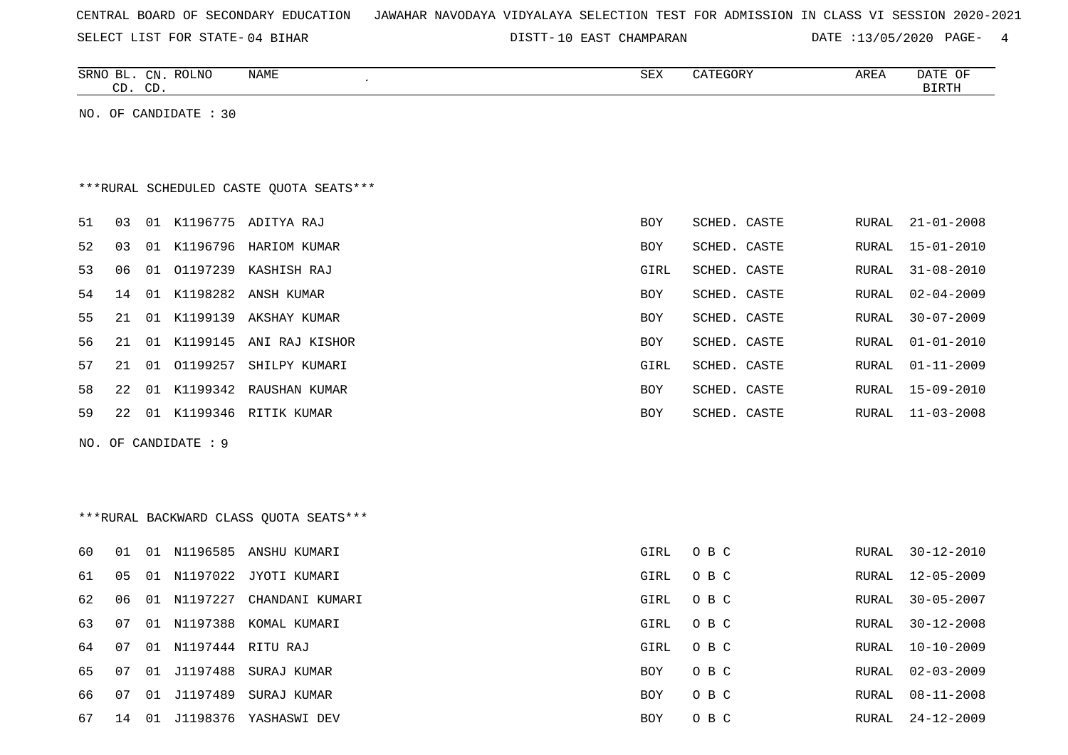|  |  |  |  | CENTRAL BOARD OF SECONDARY EDUCATION – JAWAHAR NAVODAYA VIDYALAYA SELECTION TEST FOR ADMISSION IN CLASS VI SESSION 2020-2021 |  |  |  |  |  |  |  |  |  |  |  |  |  |  |
|--|--|--|--|------------------------------------------------------------------------------------------------------------------------------|--|--|--|--|--|--|--|--|--|--|--|--|--|--|
|--|--|--|--|------------------------------------------------------------------------------------------------------------------------------|--|--|--|--|--|--|--|--|--|--|--|--|--|--|

|    |    | CD. CD. | SRNO BL. CN. ROLNO    | <b>NAME</b><br>$\overline{\phantom{a}}$  | SEX        | CATEGORY     | AREA         | DATE OF<br>$\operatorname{BIRTH}$ |
|----|----|---------|-----------------------|------------------------------------------|------------|--------------|--------------|-----------------------------------|
|    |    |         | NO. OF CANDIDATE : 30 |                                          |            |              |              |                                   |
|    |    |         |                       |                                          |            |              |              |                                   |
|    |    |         |                       |                                          |            |              |              |                                   |
|    |    |         |                       | *** RURAL SCHEDULED CASTE QUOTA SEATS*** |            |              |              |                                   |
| 51 | 03 |         |                       | 01 K1196775 ADITYA RAJ                   | <b>BOY</b> | SCHED. CASTE | <b>RURAL</b> | $21 - 01 - 2008$                  |
| 52 | 03 | 01      |                       | K1196796 HARIOM KUMAR                    | BOY        | SCHED. CASTE | <b>RURAL</b> | $15 - 01 - 2010$                  |
| 53 | 06 | 01      |                       | 01197239 KASHISH RAJ                     | GIRL       | SCHED. CASTE | RURAL        | $31 - 08 - 2010$                  |
| 54 | 14 | 01      | K1198282              | ANSH KUMAR                               | BOY        | SCHED. CASTE | RURAL        | $02 - 04 - 2009$                  |
| 55 | 21 | 01      |                       | K1199139 AKSHAY KUMAR                    | BOY        | SCHED. CASTE | RURAL        | $30 - 07 - 2009$                  |
| 56 | 21 | 01      |                       | K1199145 ANI RAJ KISHOR                  | BOY        | SCHED. CASTE | RURAL        | $01 - 01 - 2010$                  |
| 57 | 21 | 01      | 01199257              | SHILPY KUMARI                            | GIRL       | SCHED. CASTE | RURAL        | $01 - 11 - 2009$                  |
| 58 | 22 | 01      |                       | K1199342 RAUSHAN KUMAR                   | BOY        | SCHED. CASTE | RURAL        | 15-09-2010                        |
| 59 | 22 |         |                       | 01 K1199346 RITIK KUMAR                  | <b>BOY</b> | SCHED. CASTE | RURAL        | $11 - 03 - 2008$                  |
|    |    |         | NO. OF CANDIDATE : 9  |                                          |            |              |              |                                   |
|    |    |         |                       |                                          |            |              |              |                                   |
|    |    |         |                       |                                          |            |              |              |                                   |
|    |    |         |                       | *** RURAL BACKWARD CLASS QUOTA SEATS***  |            |              |              |                                   |
|    |    |         |                       |                                          |            |              |              |                                   |
| 60 | 01 |         |                       | 01 N1196585 ANSHU KUMARI                 | GIRL       | O B C        | RURAL        | $30 - 12 - 2010$                  |
| 61 | 05 | 01      | N1197022              | JYOTI KUMARI                             | GIRL       | O B C        | RURAL        | $12 - 05 - 2009$                  |
| 62 | 06 | 01      | N1197227              | CHANDANI KUMARI                          | GIRL       | O B C        | RURAL        | $30 - 05 - 2007$                  |
| 63 | 07 |         |                       | 01 N1197388 KOMAL KUMARI                 | GIRL       | O B C        | RURAL        | $30 - 12 - 2008$                  |
| 64 | 07 | 01      | N1197444 RITU RAJ     |                                          | GIRL       | O B C        | RURAL        | $10 - 10 - 2009$                  |
| 65 | 07 | 01      | J1197488              | SURAJ KUMAR                              | BOY        | O B C        | RURAL        | $02 - 03 - 2009$                  |
| 66 | 07 | 01      | J1197489              | SURAJ KUMAR                              | <b>BOY</b> | O B C        | RURAL        | $08 - 11 - 2008$                  |
| 67 | 14 | 01      |                       | J1198376 YASHASWI DEV                    | <b>BOY</b> | O B C        | <b>RURAL</b> | $24 - 12 - 2009$                  |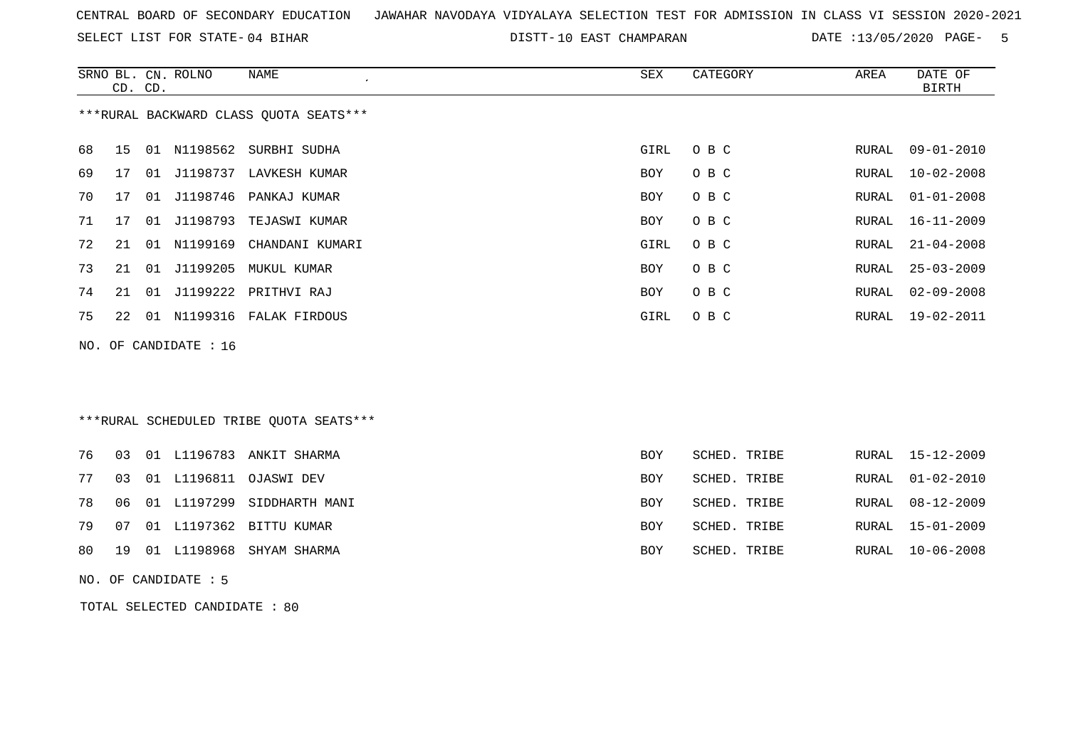SELECT LIST FOR STATE- DISTT- 04 BIHAR

DISTT-10 EAST CHAMPARAN DATE :13/05/2020 PAGE- 5

|    | CD. CD. |    | SRNO BL. CN. ROLNO    | <b>NAME</b>                             | <b>SEX</b> | CATEGORY     | AREA  | DATE OF<br><b>BIRTH</b> |
|----|---------|----|-----------------------|-----------------------------------------|------------|--------------|-------|-------------------------|
|    |         |    |                       | *** RURAL BACKWARD CLASS QUOTA SEATS*** |            |              |       |                         |
| 68 | 15      |    |                       | 01 N1198562 SURBHI SUDHA                | GIRL       | O B C        | RURAL | $09 - 01 - 2010$        |
| 69 | 17      | 01 |                       | J1198737 LAVKESH KUMAR                  | BOY        | O B C        | RURAL | $10 - 02 - 2008$        |
| 70 | 17      |    | 01 J1198746           | PANKAJ KUMAR                            | BOY        | O B C        | RURAL | $01 - 01 - 2008$        |
| 71 | 17      |    | 01 J1198793           | TEJASWI KUMAR                           | <b>BOY</b> | O B C        | RURAL | $16 - 11 - 2009$        |
| 72 | 21      | 01 | N1199169              | CHANDANI KUMARI                         | GIRL       | O B C        | RURAL | $21 - 04 - 2008$        |
| 73 | 21      | 01 | J1199205              | MUKUL KUMAR                             | <b>BOY</b> | O B C        | RURAL | $25 - 03 - 2009$        |
| 74 | 21      | 01 | J1199222              | PRITHVI RAJ                             | BOY        | O B C        | RURAL | $02 - 09 - 2008$        |
| 75 | 22      |    |                       | 01 N1199316 FALAK FIRDOUS               | GIRL       | O B C        | RURAL | 19-02-2011              |
|    |         |    | NO. OF CANDIDATE : 16 |                                         |            |              |       |                         |
|    |         |    |                       |                                         |            |              |       |                         |
|    |         |    |                       |                                         |            |              |       |                         |
|    |         |    |                       | ***RURAL SCHEDULED TRIBE OUOTA SEATS*** |            |              |       |                         |
| 76 | 03      |    |                       | 01 L1196783 ANKIT SHARMA                | BOY        | SCHED. TRIBE | RURAL | $15 - 12 - 2009$        |
| 77 | 03      |    |                       | 01 L1196811 OJASWI DEV                  | <b>BOY</b> | SCHED. TRIBE | RURAL | $01 - 02 - 2010$        |
| 78 | 06      |    | 01 L1197299           | SIDDHARTH MANI                          | <b>BOY</b> | SCHED. TRIBE | RURAL | $08 - 12 - 2009$        |
| 79 | 07      |    |                       | 01 L1197362 BITTU KUMAR                 | <b>BOY</b> | SCHED. TRIBE | RURAL | $15 - 01 - 2009$        |
| 80 | 19      | 01 | L1198968              | SHYAM SHARMA                            | <b>BOY</b> | SCHED. TRIBE | RURAL | $10 - 06 - 2008$        |
|    |         |    |                       |                                         |            |              |       |                         |

NO. OF CANDIDATE : 5

TOTAL SELECTED CANDIDATE : 80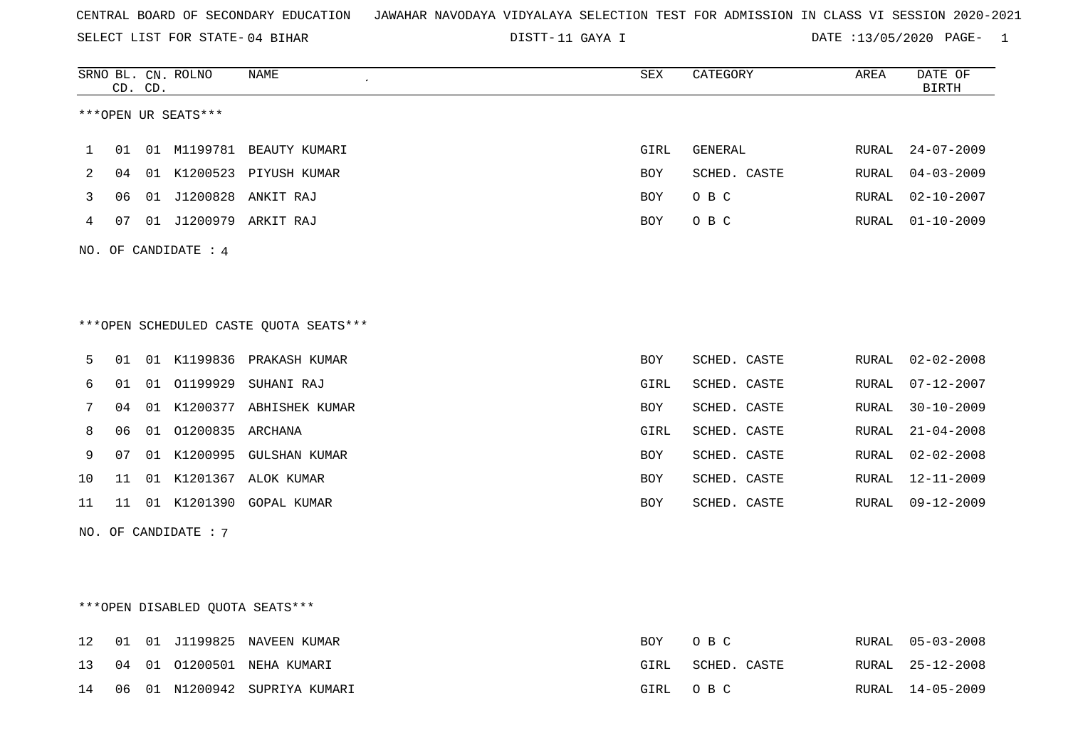SELECT LIST FOR STATE- DISTT- 04 BIHAR

DISTT-11 GAYA I DATE :13/05/2020 PAGE- 1

|     |    | CD. CD. | SRNO BL. CN. ROLNO   | <b>NAME</b>                            | <b>SEX</b> | CATEGORY     | AREA         | DATE OF<br><b>BIRTH</b> |
|-----|----|---------|----------------------|----------------------------------------|------------|--------------|--------------|-------------------------|
|     |    |         | ***OPEN UR SEATS***  |                                        |            |              |              |                         |
| 1   | 01 |         |                      | 01 M1199781 BEAUTY KUMARI              | GIRL       | GENERAL      | RURAL        | $24 - 07 - 2009$        |
| 2   | 04 | 01      |                      | K1200523 PIYUSH KUMAR                  | <b>BOY</b> | SCHED. CASTE | RURAL        | $04 - 03 - 2009$        |
| 3   | 06 | 01      | J1200828             | ANKIT RAJ                              | <b>BOY</b> | O B C        | RURAL        | $02 - 10 - 2007$        |
| 4   | 07 | 01      |                      | J1200979 ARKIT RAJ                     | <b>BOY</b> | O B C        | RURAL        | $01 - 10 - 2009$        |
| NO. |    |         | OF CANDIDATE : 4     |                                        |            |              |              |                         |
|     |    |         |                      |                                        |            |              |              |                         |
|     |    |         |                      |                                        |            |              |              |                         |
|     |    |         |                      | ***OPEN SCHEDULED CASTE QUOTA SEATS*** |            |              |              |                         |
| 5   | 01 |         |                      | 01 K1199836 PRAKASH KUMAR              | <b>BOY</b> | SCHED. CASTE | RURAL        | $02 - 02 - 2008$        |
| 6   | 01 | 01      | 01199929             | SUHANI RAJ                             | GIRL       | SCHED. CASTE | RURAL        | $07 - 12 - 2007$        |
| 7   | 04 |         |                      | 01 K1200377 ABHISHEK KUMAR             | <b>BOY</b> | SCHED. CASTE | RURAL        | $30 - 10 - 2009$        |
| 8   | 06 | 01      | 01200835 ARCHANA     |                                        | GIRL       | SCHED. CASTE | RURAL        | $21 - 04 - 2008$        |
| 9   | 07 | 01      | K1200995             | GULSHAN KUMAR                          | <b>BOY</b> | SCHED. CASTE | RURAL        | $02 - 02 - 2008$        |
| 10  | 11 | 01      |                      | K1201367 ALOK KUMAR                    | <b>BOY</b> | SCHED. CASTE | <b>RURAL</b> | $12 - 11 - 2009$        |
| 11  | 11 |         | 01 K1201390          | GOPAL KUMAR                            | <b>BOY</b> | SCHED. CASTE | RURAL        | $09 - 12 - 2009$        |
|     |    |         | NO. OF CANDIDATE : 7 |                                        |            |              |              |                         |

\*\*\*OPEN DISABLED QUOTA SEATS\*\*\*

|  |  | 12 01 01 J1199825 NAVEEN KUMAR   |      | BOY OBC      | RURAL 05-03-2008 |
|--|--|----------------------------------|------|--------------|------------------|
|  |  | 13 04 01 01200501 NEHA KUMARI    | GIRL | SCHED. CASTE | RURAL 25-12-2008 |
|  |  | 14 06 01 N1200942 SUPRIYA KUMARI |      | GIRL OBC     | RURAL 14-05-2009 |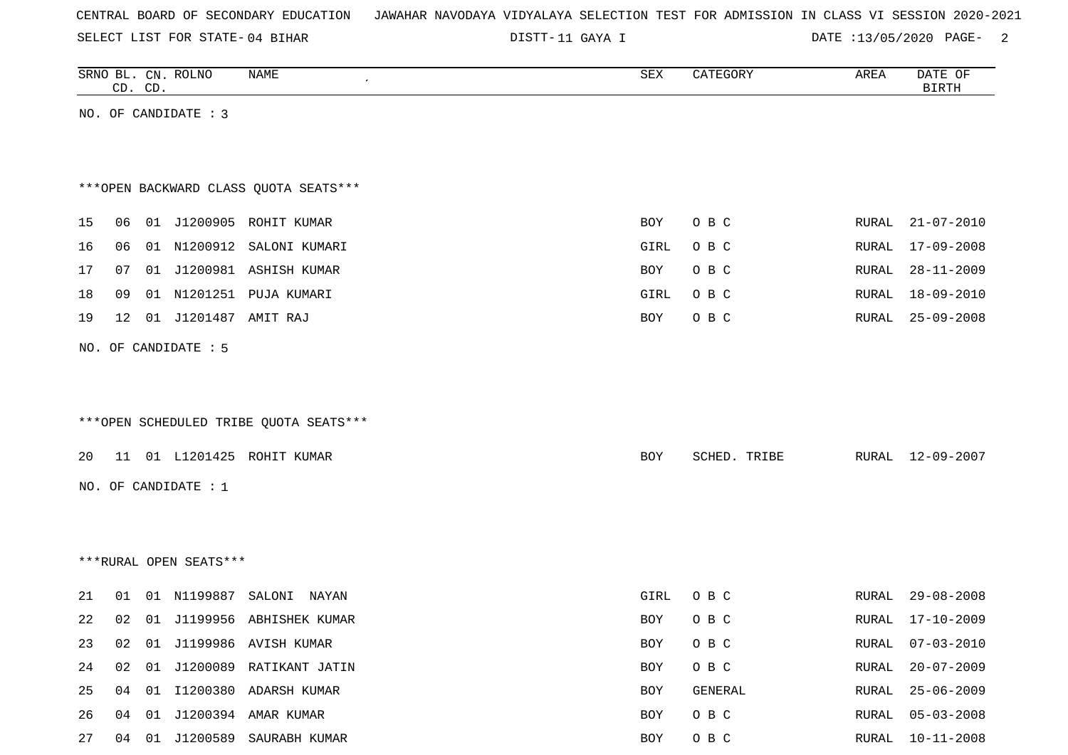|  |  |  | CENTRAL BOARD OF SECONDARY EDUCATION – JAWAHAR NAVODAYA VIDYALAYA SELECTION TEST FOR ADMISSION IN CLASS VI SESSION 2020-2021 |  |  |  |  |  |  |  |  |  |  |  |  |
|--|--|--|------------------------------------------------------------------------------------------------------------------------------|--|--|--|--|--|--|--|--|--|--|--|--|
|--|--|--|------------------------------------------------------------------------------------------------------------------------------|--|--|--|--|--|--|--|--|--|--|--|--|

DISTT-11 GAYA I DATE :13/05/2020 PAGE- 2

|    |    | CD. CD. | SRNO BL. CN. ROLNO     | NAME                                   | ${\tt SEX}$ | CATEGORY     | AREA  | DATE OF<br><b>BIRTH</b> |
|----|----|---------|------------------------|----------------------------------------|-------------|--------------|-------|-------------------------|
|    |    |         | NO. OF CANDIDATE : 3   |                                        |             |              |       |                         |
|    |    |         |                        |                                        |             |              |       |                         |
|    |    |         |                        |                                        |             |              |       |                         |
|    |    |         |                        | *** OPEN BACKWARD CLASS QUOTA SEATS*** |             |              |       |                         |
| 15 | 06 |         |                        | 01 J1200905 ROHIT KUMAR                | BOY         | O B C        | RURAL | $21 - 07 - 2010$        |
| 16 | 06 |         |                        | 01 N1200912 SALONI KUMARI              | GIRL        | O B C        | RURAL | 17-09-2008              |
| 17 | 07 | 01      |                        | J1200981 ASHISH KUMAR                  | BOY         | O B C        | RURAL | $28 - 11 - 2009$        |
| 18 | 09 |         |                        | 01 N1201251 PUJA KUMARI                | GIRL        | O B C        | RURAL | $18 - 09 - 2010$        |
| 19 | 12 |         | 01 J1201487 AMIT RAJ   |                                        | BOY         | O B C        | RURAL | $25 - 09 - 2008$        |
|    |    |         | NO. OF CANDIDATE : 5   |                                        |             |              |       |                         |
|    |    |         |                        |                                        |             |              |       |                         |
|    |    |         |                        |                                        |             |              |       |                         |
|    |    |         |                        | ***OPEN SCHEDULED TRIBE QUOTA SEATS*** |             |              |       |                         |
|    |    |         |                        |                                        |             |              |       |                         |
| 20 |    |         |                        | 11 01 L1201425 ROHIT KUMAR             | BOY         | SCHED. TRIBE |       | RURAL 12-09-2007        |
|    |    |         | NO. OF CANDIDATE : $1$ |                                        |             |              |       |                         |
|    |    |         |                        |                                        |             |              |       |                         |
|    |    |         |                        |                                        |             |              |       |                         |
|    |    |         | ***RURAL OPEN SEATS*** |                                        |             |              |       |                         |
| 21 | 01 |         | 01 N1199887            | SALONI NAYAN                           | GIRL        | O B C        | RURAL | $29 - 08 - 2008$        |
| 22 | 02 |         |                        | 01 J1199956 ABHISHEK KUMAR             | BOY         | O B C        | RURAL | $17 - 10 - 2009$        |
| 23 | 02 | 01      |                        | J1199986 AVISH KUMAR                   | BOY         | O B C        | RURAL | $07 - 03 - 2010$        |
| 24 | 02 | 01      |                        | J1200089 RATIKANT JATIN                | BOY         | O B C        | RURAL | $20 - 07 - 2009$        |
| 25 | 04 |         |                        | 01 I1200380 ADARSH KUMAR               | <b>BOY</b>  | GENERAL      | RURAL | $25 - 06 - 2009$        |
| 26 | 04 |         |                        | 01 J1200394 AMAR KUMAR                 | <b>BOY</b>  | O B C        | RURAL | $05 - 03 - 2008$        |

27 04 01 J1200589 SAURABH KUMAR **BOY** O B C RURAL 10-11-2008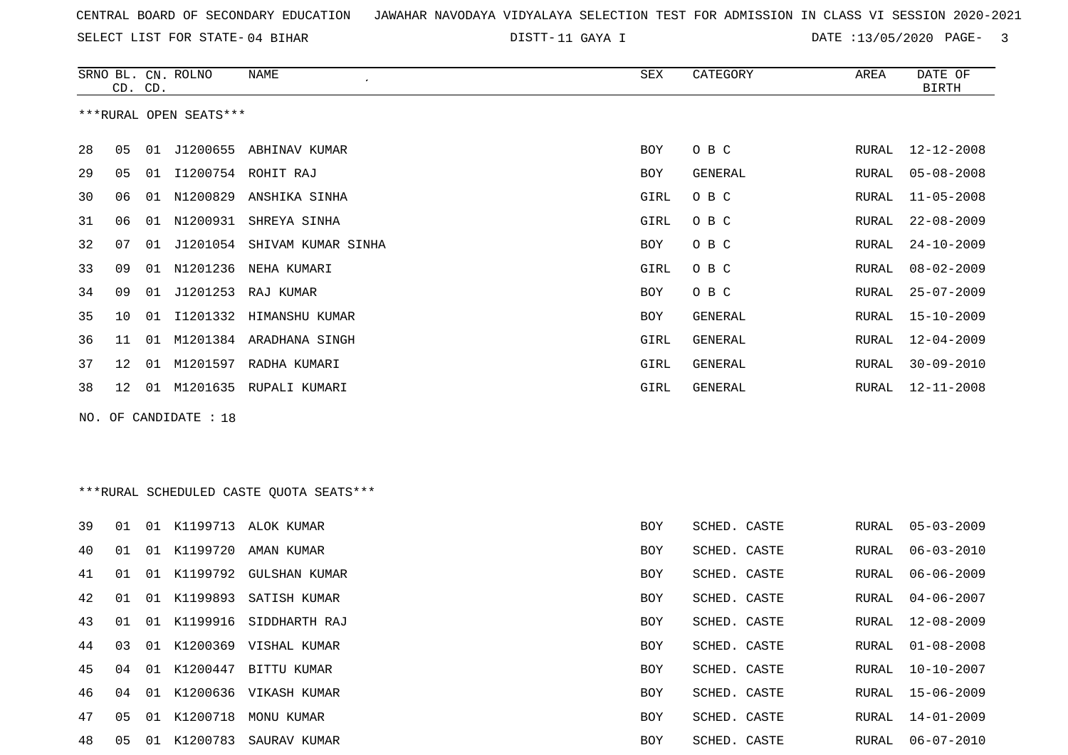DISTT-11 GAYA I DATE :13/05/2020 PAGE- 3

RURAL 15-06-2009

RURAL 14-01-2009

|    |                 | CD. CD. | SRNO BL. CN. ROLNO     | NAME                                    | <b>SEX</b> | CATEGORY     | AREA  | DATE OF<br><b>BIRTH</b> |
|----|-----------------|---------|------------------------|-----------------------------------------|------------|--------------|-------|-------------------------|
|    |                 |         | ***RURAL OPEN SEATS*** |                                         |            |              |       |                         |
| 28 | 05              |         |                        | 01 J1200655 ABHINAV KUMAR               | BOY        | O B C        | RURAL | $12 - 12 - 2008$        |
| 29 | 05              | 01      |                        | I1200754 ROHIT RAJ                      | BOY        | GENERAL      | RURAL | $05 - 08 - 2008$        |
| 30 | 06              |         |                        | 01 N1200829 ANSHIKA SINHA               | GIRL       | O B C        | RURAL | $11 - 05 - 2008$        |
| 31 | 06              |         |                        | 01 N1200931 SHREYA SINHA                | GIRL       | O B C        | RURAL | $22 - 08 - 2009$        |
| 32 | 07              |         |                        | 01 J1201054 SHIVAM KUMAR SINHA          | BOY        | O B C        | RURAL | $24 - 10 - 2009$        |
| 33 | 09              |         |                        | 01 N1201236 NEHA KUMARI                 | GIRL       | O B C        | RURAL | $08 - 02 - 2009$        |
| 34 | 09              |         |                        | 01 J1201253 RAJ KUMAR                   | BOY        | O B C        | RURAL | $25 - 07 - 2009$        |
| 35 | 10              | 01      |                        | I1201332 HIMANSHU KUMAR                 | BOY        | GENERAL      | RURAL | $15 - 10 - 2009$        |
| 36 | 11              |         |                        | 01 M1201384 ARADHANA SINGH              | GIRL       | GENERAL      | RURAL | $12 - 04 - 2009$        |
| 37 | 12              | 01      |                        | M1201597 RADHA KUMARI                   | GIRL       | GENERAL      | RURAL | $30 - 09 - 2010$        |
| 38 | 12 <sup>°</sup> |         |                        | 01 M1201635 RUPALI KUMARI               | GIRL       | GENERAL      | RURAL | $12 - 11 - 2008$        |
|    |                 |         | NO. OF CANDIDATE : 18  |                                         |            |              |       |                         |
|    |                 |         |                        |                                         |            |              |       |                         |
|    |                 |         |                        |                                         |            |              |       |                         |
|    |                 |         |                        | ***RURAL SCHEDULED CASTE OUOTA SEATS*** |            |              |       |                         |
| 39 | 01              |         |                        | 01 K1199713 ALOK KUMAR                  | <b>BOY</b> | SCHED. CASTE | RURAL | $05 - 03 - 2009$        |
| 40 | 01              |         | 01 K1199720            | AMAN KUMAR                              | <b>BOY</b> | SCHED. CASTE | RURAL | $06 - 03 - 2010$        |
| 41 | 01              |         |                        | 01 K1199792 GULSHAN KUMAR               | <b>BOY</b> | SCHED. CASTE | RURAL | $06 - 06 - 2009$        |
| 42 | 01              |         | 01 K1199893            | SATISH KUMAR                            | <b>BOY</b> | SCHED. CASTE | RURAL | $04 - 06 - 2007$        |
| 43 | 01              |         | 01 K1199916            | SIDDHARTH RAJ                           | <b>BOY</b> | SCHED. CASTE | RURAL | $12 - 08 - 2009$        |
| 44 | 03              |         |                        | 01 K1200369 VISHAL KUMAR                | <b>BOY</b> | SCHED. CASTE | RURAL | $01 - 08 - 2008$        |

45 04 01 K1200447 BITTU KUMAR BOY SCHED. CASTE RURAL 10-10-2007

48 05 01 K1200783 SAURAV KUMAR BOY SCHED. CASTE RURAL 06-07-2010

 $46$  04 01 K1200636 VIKASH KUMAR BOY SCHED. CASTE

 $47$  05 01 K1200718 MONU KUMAR BOY SCHED. CASTE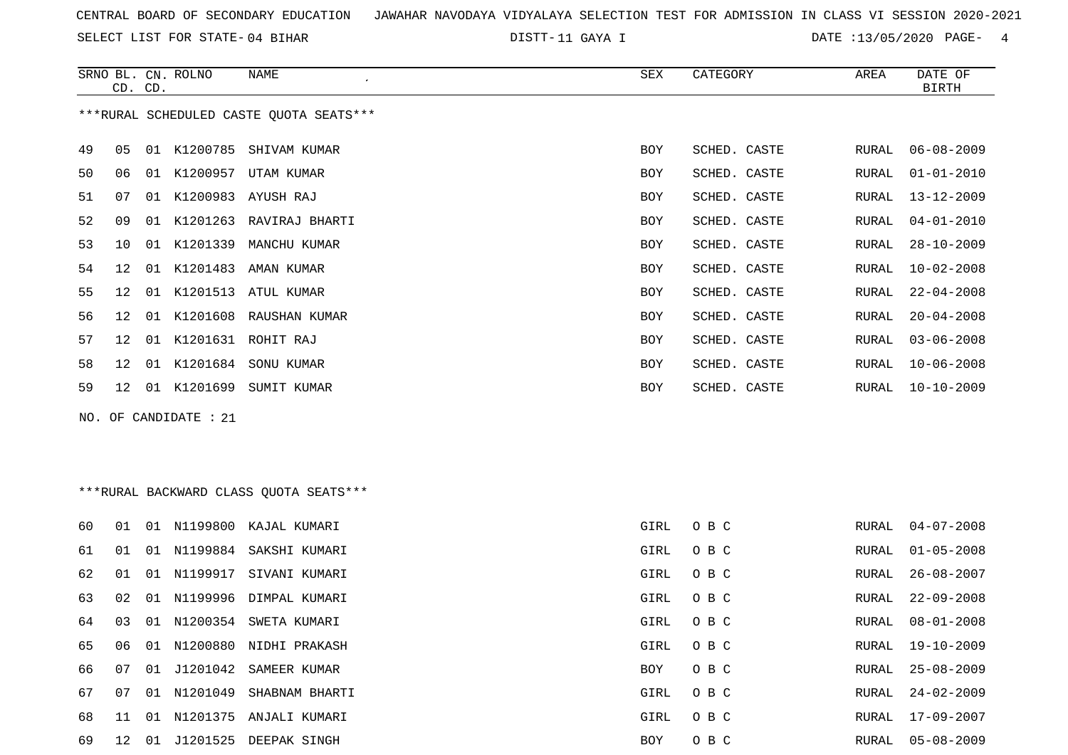SELECT LIST FOR STATE- DISTT- 04 BIHAR

DISTT-11 GAYA I DATE :13/05/2020 PAGE- 4

|    |    | CD. CD. | SRNO BL. CN. ROLNO | NAME                                    | SEX        | CATEGORY     | AREA  | DATE OF<br><b>BIRTH</b> |
|----|----|---------|--------------------|-----------------------------------------|------------|--------------|-------|-------------------------|
|    |    |         |                    | ***RURAL SCHEDULED CASTE QUOTA SEATS*** |            |              |       |                         |
| 49 | 05 |         |                    | 01 K1200785 SHIVAM KUMAR                | <b>BOY</b> | SCHED. CASTE | RURAL | $06 - 08 - 2009$        |
| 50 | 06 | 01      | K1200957           | UTAM KUMAR                              | <b>BOY</b> | SCHED. CASTE | RURAL | $01 - 01 - 2010$        |
| 51 | 07 | 01      |                    | K1200983 AYUSH RAJ                      | <b>BOY</b> | SCHED. CASTE | RURAL | $13 - 12 - 2009$        |
| 52 | 09 | 01      |                    | K1201263 RAVIRAJ BHARTI                 | <b>BOY</b> | SCHED. CASTE | RURAL | $04 - 01 - 2010$        |
| 53 | 10 |         | 01 K1201339        | MANCHU KUMAR                            | <b>BOY</b> | SCHED. CASTE | RURAL | $28 - 10 - 2009$        |
| 54 | 12 |         |                    | 01 K1201483 AMAN KUMAR                  | <b>BOY</b> | SCHED. CASTE | RURAL | $10 - 02 - 2008$        |
| 55 | 12 | 01      |                    | K1201513 ATUL KUMAR                     | <b>BOY</b> | SCHED. CASTE | RURAL | $22 - 04 - 2008$        |
| 56 | 12 |         |                    | 01 K1201608 RAUSHAN KUMAR               | <b>BOY</b> | SCHED. CASTE | RURAL | $20 - 04 - 2008$        |
| 57 | 12 | 01      |                    | K1201631 ROHIT RAJ                      | <b>BOY</b> | SCHED. CASTE | RURAL | $03 - 06 - 2008$        |
| 58 | 12 | 01      | K1201684           | SONU KUMAR                              | <b>BOY</b> | SCHED. CASTE | RURAL | $10 - 06 - 2008$        |
| 59 | 12 | 01      | K1201699           | SUMIT KUMAR                             | <b>BOY</b> | SCHED. CASTE | RURAL | $10 - 10 - 2009$        |
|    |    |         |                    |                                         |            |              |       |                         |

NO. OF CANDIDATE : 21

# \*\*\*RURAL BACKWARD CLASS QUOTA SEATS\*\*\*

| 60 | . N 1 | O 1   | N1199800    | KAJAL KUMARI              | GIRL | O B C | RURAL | $04 - 07 - 2008$ |
|----|-------|-------|-------------|---------------------------|------|-------|-------|------------------|
| 61 | 01    | . O 1 | N1199884    | SAKSHI KUMARI             | GIRL | O B C | RURAL | $01 - 05 - 2008$ |
| 62 | 01    |       | 01 N1199917 | SIVANI KUMARI             | GIRL | O B C | RURAL | 26-08-2007       |
| 63 | 02    |       |             | 01 N1199996 DIMPAL KUMARI | GIRL | O B C | RURAL | 22-09-2008       |
| 64 | 03    | 01    | N1200354    | SWETA KUMARI              | GIRL | O B C | RURAL | 08-01-2008       |
| 65 | 06    | 01    | N1200880    | NIDHI PRAKASH             | GIRL | O B C | RURAL | 19-10-2009       |
| 66 | 07    | 01    |             | J1201042 SAMEER KUMAR     | BOY  | O B C | RURAL | $25 - 08 - 2009$ |
| 67 | 07    |       | 01 N1201049 | SHABNAM BHARTI            | GIRL | O B C | RURAL | $24 - 02 - 2009$ |
| 68 | -11   | O 1   | N1201375    | ANJALI KUMARI             | GIRL | O B C | RURAL | 17-09-2007       |
| 69 | 12.   | -01   | J1201525    | DEEPAK SINGH              | BOY  | O B C | RURAL | 05-08-2009       |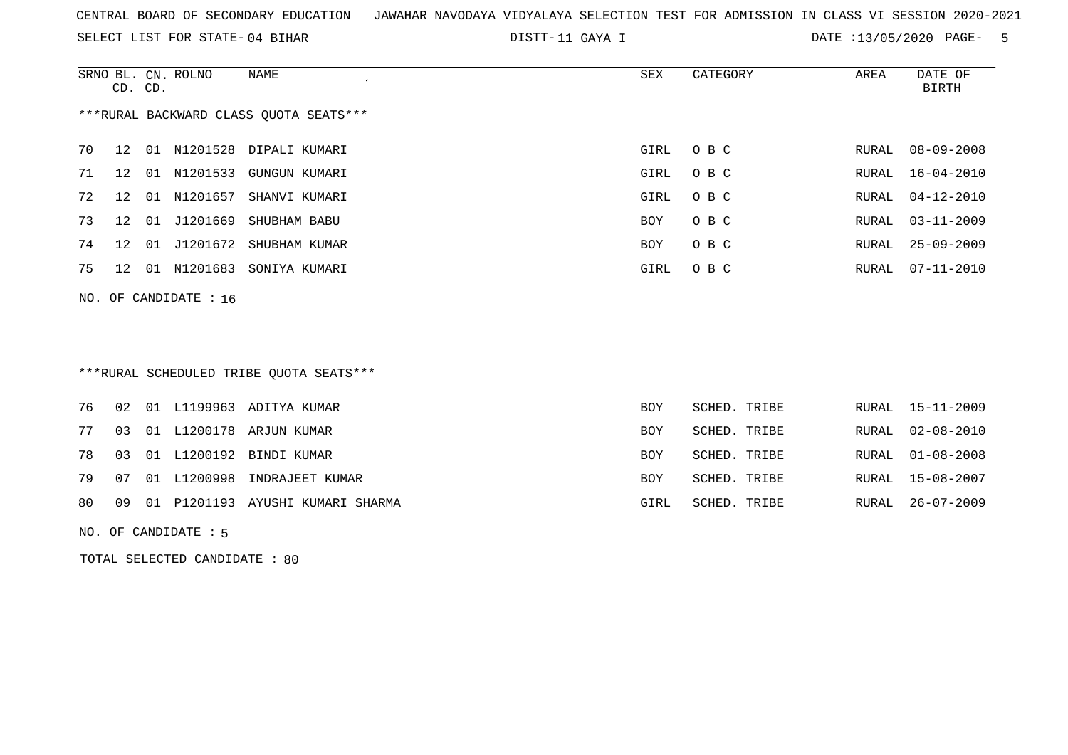SELECT LIST FOR STATE- DISTT- 04 BIHAR

DISTT-11 GAYA I DATE :13/05/2020 PAGE- 5

|    | CD. CD.                                |    | SRNO BL. CN. ROLNO | NAME                      | SEX  | CATEGORY | AREA  | DATE OF<br>BIRTH |  |  |
|----|----------------------------------------|----|--------------------|---------------------------|------|----------|-------|------------------|--|--|
|    | ***RURAL BACKWARD CLASS OUOTA SEATS*** |    |                    |                           |      |          |       |                  |  |  |
| 70 | 12                                     |    |                    | 01 N1201528 DIPALI KUMARI | GIRL | O B C    | RURAL | 08-09-2008       |  |  |
| 71 | 12                                     |    |                    | 01 N1201533 GUNGUN KUMARI | GIRL | O B C    | RURAL | 16-04-2010       |  |  |
| 72 | 12                                     |    |                    | 01 N1201657 SHANVI KUMARI | GIRL | O B C    | RURAL | 04-12-2010       |  |  |
| 73 | 12                                     | 01 |                    | J1201669 SHUBHAM BABU     | BOY  | O B C    | RURAL | 03-11-2009       |  |  |
| 74 | 12                                     | 01 |                    | J1201672 SHUBHAM KUMAR    | BOY  | O B C    | RURAL | $25 - 09 - 2009$ |  |  |
| 75 | 12                                     |    |                    | 01 N1201683 SONIYA KUMARI | GIRL | O B C    | RURAL | 07-11-2010       |  |  |
|    | NO. OF CANDIDATE : $16$                |    |                    |                           |      |          |       |                  |  |  |
|    |                                        |    |                    |                           |      |          |       |                  |  |  |

\*\*\*RURAL SCHEDULED TRIBE QUOTA SEATS\*\*\*

| RURAL 15-11-2009 |
|------------------|
| RURAL 02-08-2010 |
| RURAL 01-08-2008 |
| RURAL 15-08-2007 |
| RURAL 26-07-2009 |
|                  |

NO. OF CANDIDATE : 5

TOTAL SELECTED CANDIDATE : 80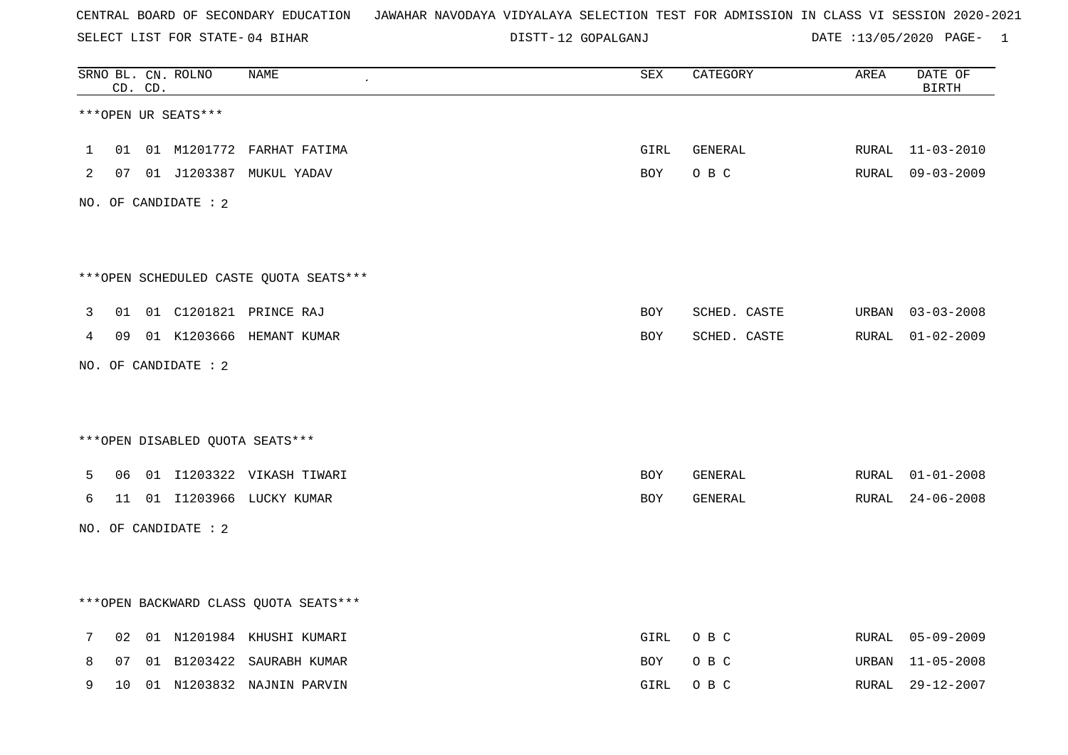SELECT LIST FOR STATE- DISTT- 04 BIHAR

12 GOPALGANJ DATE :13/05/2020 PAGE- 1

|   |    | CD. CD. | SRNO BL. CN. ROLNO   | NAME                                   | SEX  | CATEGORY     | AREA  | DATE OF<br><b>BIRTH</b> |
|---|----|---------|----------------------|----------------------------------------|------|--------------|-------|-------------------------|
|   |    |         | ***OPEN UR SEATS***  |                                        |      |              |       |                         |
| 1 | 01 |         |                      | 01 M1201772 FARHAT FATIMA              | GIRL | GENERAL      | RURAL | $11 - 03 - 2010$        |
| 2 |    |         |                      | 07 01 J1203387 MUKUL YADAV             | BOY  | O B C        | RURAL | 09-03-2009              |
|   |    |         | NO. OF CANDIDATE : 2 |                                        |      |              |       |                         |
|   |    |         |                      |                                        |      |              |       |                         |
|   |    |         |                      | ***OPEN SCHEDULED CASTE QUOTA SEATS*** |      |              |       |                         |
| 3 | 01 |         |                      | 01 C1201821 PRINCE RAJ                 | BOY  | SCHED. CASTE | URBAN | $03 - 03 - 2008$        |
| 4 | 09 |         |                      | 01 K1203666 HEMANT KUMAR               | BOY  | SCHED. CASTE | RURAL | $01 - 02 - 2009$        |
|   |    |         | NO. OF CANDIDATE : 2 |                                        |      |              |       |                         |
|   |    |         |                      |                                        |      |              |       |                         |
|   |    |         |                      | ***OPEN DISABLED QUOTA SEATS***        |      |              |       |                         |
| 5 | 06 |         |                      | 01 I1203322 VIKASH TIWARI              | BOY  | GENERAL      | RURAL | $01 - 01 - 2008$        |
| 6 |    |         |                      | 11 01 I1203966 LUCKY KUMAR             | BOY  | GENERAL      | RURAL | $24 - 06 - 2008$        |
|   |    |         | NO. OF CANDIDATE : 2 |                                        |      |              |       |                         |
|   |    |         |                      |                                        |      |              |       |                         |
|   |    |         |                      | *** OPEN BACKWARD CLASS QUOTA SEATS*** |      |              |       |                         |
| 7 | 02 |         |                      | 01 N1201984 KHUSHI KUMARI              | GIRL | O B C        | RURAL | 05-09-2009              |
| 8 | 07 |         |                      | 01 B1203422 SAURABH KUMAR              | BOY  | O B C        | URBAN | $11 - 05 - 2008$        |
| 9 | 10 |         |                      | 01 N1203832 NAJNIN PARVIN              | GIRL | O B C        | RURAL | 29-12-2007              |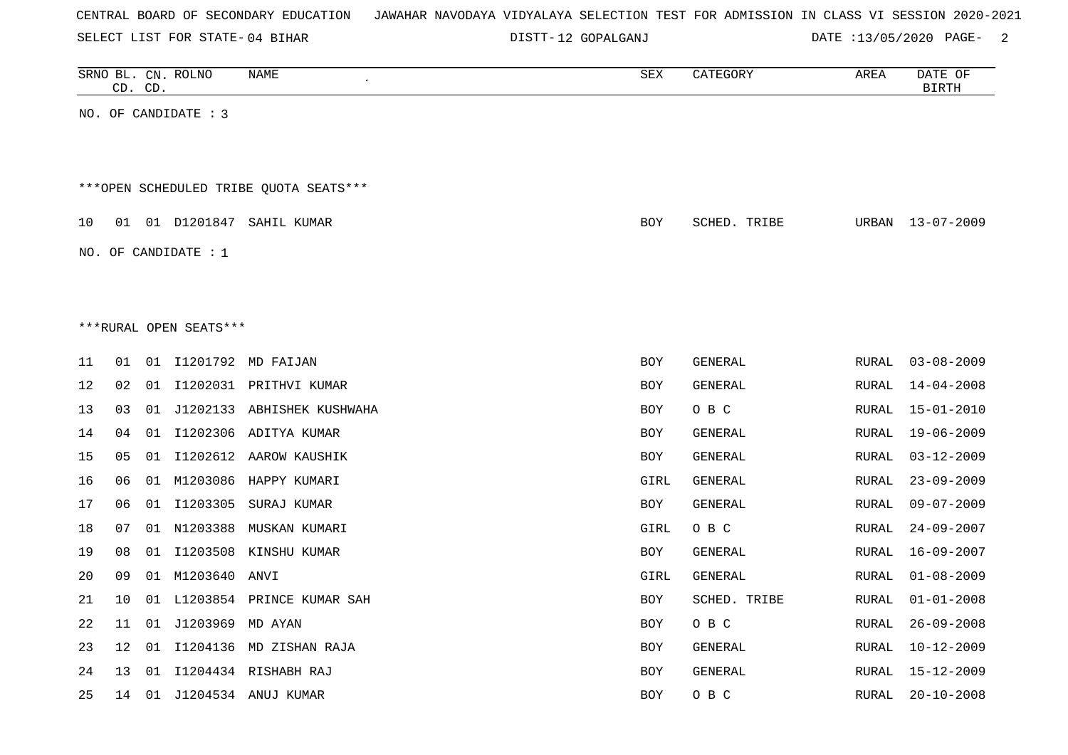| CENTRAL BOARD OF SECONDARY EDUCATION – JAWAHAR NAVODAYA VIDYALAYA SELECTION TEST FOR ADMISSION IN CLASS VI SESSION 2020-2021 |  |
|------------------------------------------------------------------------------------------------------------------------------|--|
|------------------------------------------------------------------------------------------------------------------------------|--|

DISTT-12 GOPALGANJ DATE :13/05/2020 PAGE- 2

|      |    | CD. CD. | SRNO BL. CN. ROLNO     | NAME                                   | SEX        | CATEGORY     | AREA          | DATE OF<br><b>BIRTH</b> |
|------|----|---------|------------------------|----------------------------------------|------------|--------------|---------------|-------------------------|
|      |    |         | NO. OF CANDIDATE : 3   |                                        |            |              |               |                         |
|      |    |         |                        |                                        |            |              |               |                         |
|      |    |         |                        | ***OPEN SCHEDULED TRIBE QUOTA SEATS*** |            |              |               |                         |
| 10   |    |         |                        | 01 01 D1201847 SAHIL KUMAR             | <b>BOY</b> | SCHED. TRIBE | URBAN         | 13-07-2009              |
|      |    |         | NO. OF CANDIDATE : $1$ |                                        |            |              |               |                         |
|      |    |         |                        |                                        |            |              |               |                         |
|      |    |         | ***RURAL OPEN SEATS*** |                                        |            |              |               |                         |
|      |    |         |                        |                                        |            |              |               |                         |
| 11   | 01 |         |                        | 01 I1201792 MD FAIJAN                  | <b>BOY</b> | GENERAL      | RURAL         | $03 - 08 - 2009$        |
| 12   | 02 |         |                        | 01 I1202031 PRITHVI KUMAR              | <b>BOY</b> | GENERAL      | RURAL         | $14 - 04 - 2008$        |
| 13   | 03 | 01      |                        | J1202133 ABHISHEK KUSHWAHA             | <b>BOY</b> | O B C        | RURAL         | $15 - 01 - 2010$        |
| 14   | 04 | 01      |                        | I1202306 ADITYA KUMAR                  | <b>BOY</b> | GENERAL      | RURAL         | $19 - 06 - 2009$        |
| 15   | 05 | 01      |                        | I1202612 AAROW KAUSHIK                 | BOY        | GENERAL      | RURAL         | $03 - 12 - 2009$        |
| 16   | 06 |         |                        | 01 M1203086 HAPPY KUMARI               | GIRL       | GENERAL      | RURAL         | $23 - 09 - 2009$        |
| $17$ | 06 |         |                        | 01 I1203305 SURAJ KUMAR                | <b>BOY</b> | GENERAL      | RURAL         | $09 - 07 - 2009$        |
| 18   | 07 |         | 01 N1203388            | MUSKAN KUMARI                          | GIRL       | O B C        | RURAL         | $24 - 09 - 2007$        |
| 19   | 08 |         |                        | 01 I1203508 KINSHU KUMAR               | <b>BOY</b> | GENERAL      | RURAL         | $16 - 09 - 2007$        |
| 20   | 09 |         | 01 M1203640 ANVI       |                                        | GIRL       | GENERAL      | <b>RURAL</b>  | $01 - 08 - 2009$        |
| 21   | 10 | 01      |                        | L1203854 PRINCE KUMAR SAH              | <b>BOY</b> | SCHED. TRIBE | RURAL         | $01 - 01 - 2008$        |
| 22   | 11 |         | 01 J1203969 MD AYAN    |                                        | <b>BOY</b> | O B C        | RURAL         | $26 - 09 - 2008$        |
| 23   | 12 | 01      |                        | I1204136 MD ZISHAN RAJA                | <b>BOY</b> | GENERAL      | RURAL         | $10 - 12 - 2009$        |
| 24   | 13 | 01      |                        | I1204434 RISHABH RAJ                   | <b>BOY</b> | GENERAL      | RURAL         | $15 - 12 - 2009$        |
| 25   | 14 |         |                        | 01 J1204534 ANUJ KUMAR                 | <b>BOY</b> | O B C        | ${\tt RURAL}$ | $20 - 10 - 2008$        |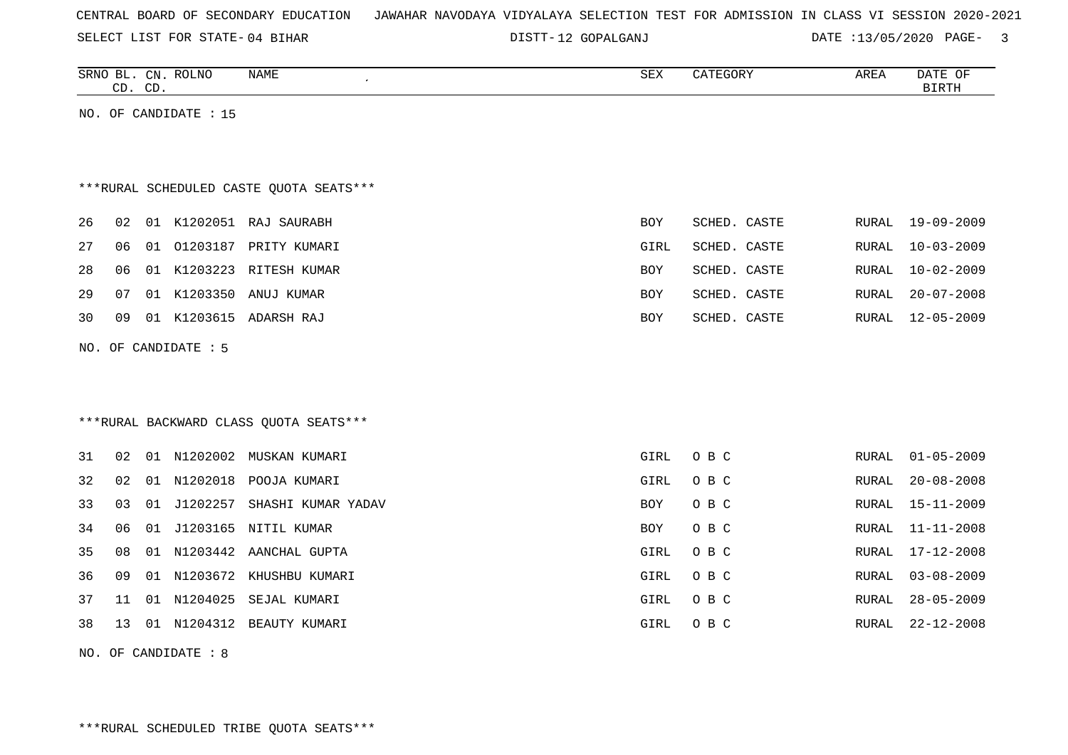SELECT LIST FOR STATE- DISTT- 04 BIHAR

12 GOPALGANJ DATE :13/05/2020 PAGE- 3

| SRNO BL. CN. ROLNO<br>NAME<br>CD. CD. | SEX | CATEGORY | AREA | DATE OF<br><b>BIRTH</b> |
|---------------------------------------|-----|----------|------|-------------------------|
| NO. OF<br>CANDIDATE : 15              |     |          |      |                         |

# \*\*\*RURAL SCHEDULED CASTE QUOTA SEATS\*\*\*

|  |  | 26 02 01 K1202051 RAJ SAURABH          | BOY  | SCHED. CASTE |  | RURAL 19-09-2009 |
|--|--|----------------------------------------|------|--------------|--|------------------|
|  |  | 27   06   01   01203187   PRITY KUMARI | GIRL | SCHED. CASTE |  | RURAL 10-03-2009 |
|  |  | 28 06 01 K1203223 RITESH KUMAR         | BOY  | SCHED. CASTE |  | RURAL 10-02-2009 |
|  |  | 29 07 01 K1203350 ANUJ KUMAR           | BOY  | SCHED. CASTE |  | RURAL 20-07-2008 |
|  |  | 30 09 01 K1203615 ADARSH RAJ           | BOY  | SCHED. CASTE |  | RURAL 12-05-2009 |
|  |  |                                        |      |              |  |                  |

NO. OF CANDIDATE : 5

## \*\*\*RURAL BACKWARD CLASS QUOTA SEATS\*\*\*

| 31 | 02    | 01  | N1202002    | MUSKAN KUMARI      | GIRL       | O B C | RURAL | $01 - 05 - 2009$ |
|----|-------|-----|-------------|--------------------|------------|-------|-------|------------------|
| 32 | 02    | 01  | N1202018    | POOJA KUMARI       | GIRL       | O B C | RURAL | $20 - 08 - 2008$ |
| 33 | 03    |     | 01 J1202257 | SHASHI KUMAR YADAV | BOY        | O B C | RURAL | 15-11-2009       |
| 34 | 06    |     | 01 J1203165 | NITIL KUMAR        | <b>BOY</b> | O B C | RURAL | 11-11-2008       |
| 35 | 08    | 01  | N1203442    | AANCHAL GUPTA      | GIRL       | O B C | RURAL | 17-12-2008       |
| 36 | 09    | 01  | N1203672    | KHUSHBU KUMARI     | GIRL       | O B C | RURAL | $03 - 08 - 2009$ |
| 37 | -11   | 01  | N1204025    | SEJAL KUMARI       | GIRL       | O B C | RURAL | $28 - 05 - 2009$ |
| 38 | ่ 1 3 | -01 | N1204312    | BEAUTY KUMARI      | GIRL       | O B C | RURAL | 22-12-2008       |

NO. OF CANDIDATE : 8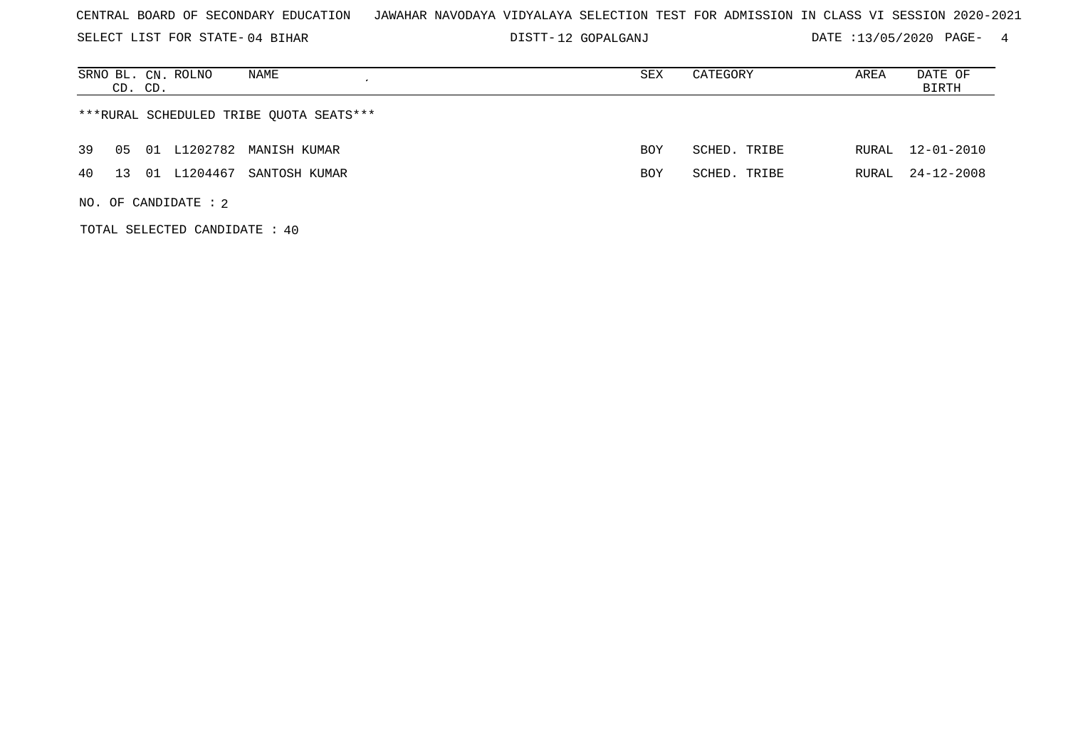SELECT LIST FOR STATE- DISTT- 04 BIHAR

12 GOPALGANJ DATE :13/05/2020 PAGE- 4

| SRNO BL. CN. ROLNO<br>NAME<br>CD. CD.       | SEX        | CATEGORY     | AREA  | DATE OF<br>BIRTH |  |  |  |  |  |  |
|---------------------------------------------|------------|--------------|-------|------------------|--|--|--|--|--|--|
| ***RURAL SCHEDULED TRIBE QUOTA SEATS***     |            |              |       |                  |  |  |  |  |  |  |
| 01 L1202782 MANISH KUMAR<br>39<br>05        | <b>BOY</b> | SCHED. TRIBE | RURAL | 12-01-2010       |  |  |  |  |  |  |
| L1204467<br>40<br>01<br>SANTOSH KUMAR<br>13 | <b>BOY</b> | SCHED. TRIBE | RURAL | 24-12-2008       |  |  |  |  |  |  |
| NO. OF CANDIDATE : $2$                      |            |              |       |                  |  |  |  |  |  |  |

TOTAL SELECTED CANDIDATE : 40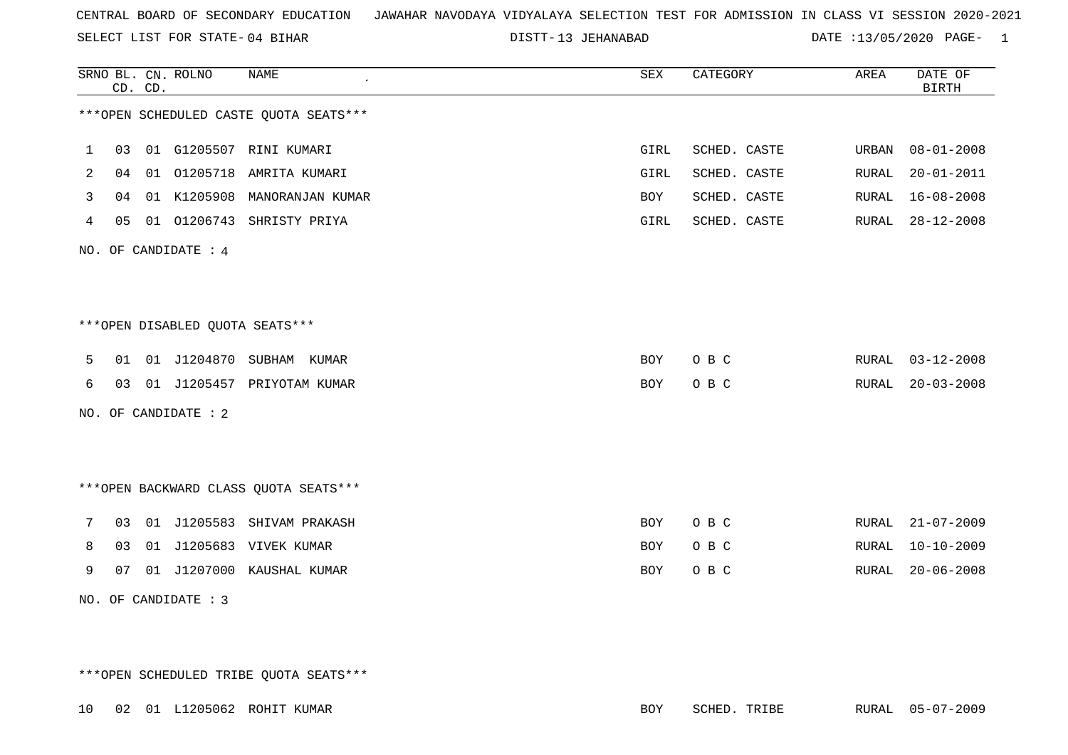SELECT LIST FOR STATE- DISTT- 04 BIHAR

13 JEHANABAD DATE :13/05/2020 PAGE- 1

|   |                      | CD. CD. | SRNO BL. CN. ROLNO               | <b>NAME</b>                              | ${\tt SEX}$ | CATEGORY     | AREA  | DATE OF<br><b>BIRTH</b> |  |  |
|---|----------------------|---------|----------------------------------|------------------------------------------|-------------|--------------|-------|-------------------------|--|--|
|   |                      |         |                                  | *** OPEN SCHEDULED CASTE QUOTA SEATS *** |             |              |       |                         |  |  |
| 1 | 03                   |         | 01 G1205507                      | RINI KUMARI                              | GIRL        | SCHED. CASTE | URBAN | $08 - 01 - 2008$        |  |  |
| 2 | 04                   | 01      | 01205718                         | AMRITA KUMARI                            | GIRL        | SCHED. CASTE | RURAL | $20 - 01 - 2011$        |  |  |
| 3 | 04                   | 01      | K1205908                         | MANORANJAN KUMAR                         | BOY         | SCHED. CASTE | RURAL | $16 - 08 - 2008$        |  |  |
| 4 | 05                   |         |                                  | 01 01206743 SHRISTY PRIYA                | GIRL        | SCHED. CASTE | RURAL | $28 - 12 - 2008$        |  |  |
|   | NO. OF CANDIDATE : 4 |         |                                  |                                          |             |              |       |                         |  |  |
|   |                      |         |                                  |                                          |             |              |       |                         |  |  |
|   |                      |         |                                  |                                          |             |              |       |                         |  |  |
|   |                      |         | *** OPEN DISABLED QUOTA SEATS*** |                                          |             |              |       |                         |  |  |
| 5 | 01                   |         |                                  | 01 J1204870 SUBHAM KUMAR                 | BOY         | O B C        | RURAL | $03 - 12 - 2008$        |  |  |
| 6 | 03                   |         |                                  | 01 J1205457 PRIYOTAM KUMAR               | BOY         | O B C        | RURAL | $20 - 03 - 2008$        |  |  |
|   |                      |         | NO. OF CANDIDATE : 2             |                                          |             |              |       |                         |  |  |
|   |                      |         |                                  |                                          |             |              |       |                         |  |  |
|   |                      |         |                                  |                                          |             |              |       |                         |  |  |
|   |                      |         |                                  | *** OPEN BACKWARD CLASS QUOTA SEATS ***  |             |              |       |                         |  |  |
| 7 | 03                   | 01      |                                  | J1205583 SHIVAM PRAKASH                  | BOY         | O B C        | RURAL | $21 - 07 - 2009$        |  |  |
| 8 | 03                   | 01      |                                  | J1205683 VIVEK KUMAR                     | <b>BOY</b>  | O B C        | RURAL | $10 - 10 - 2009$        |  |  |
| 9 | 07                   | 01      |                                  | J1207000 KAUSHAL KUMAR                   | <b>BOY</b>  | O B C        | RURAL | $20 - 06 - 2008$        |  |  |
|   |                      |         | NO. OF CANDIDATE : 3             |                                          |             |              |       |                         |  |  |

\*\*\*OPEN SCHEDULED TRIBE QUOTA SEATS\*\*\*

10 02 01 L1205062 ROHIT KUMAR BOY SCHED. TRIBE RURAL 05-07-2009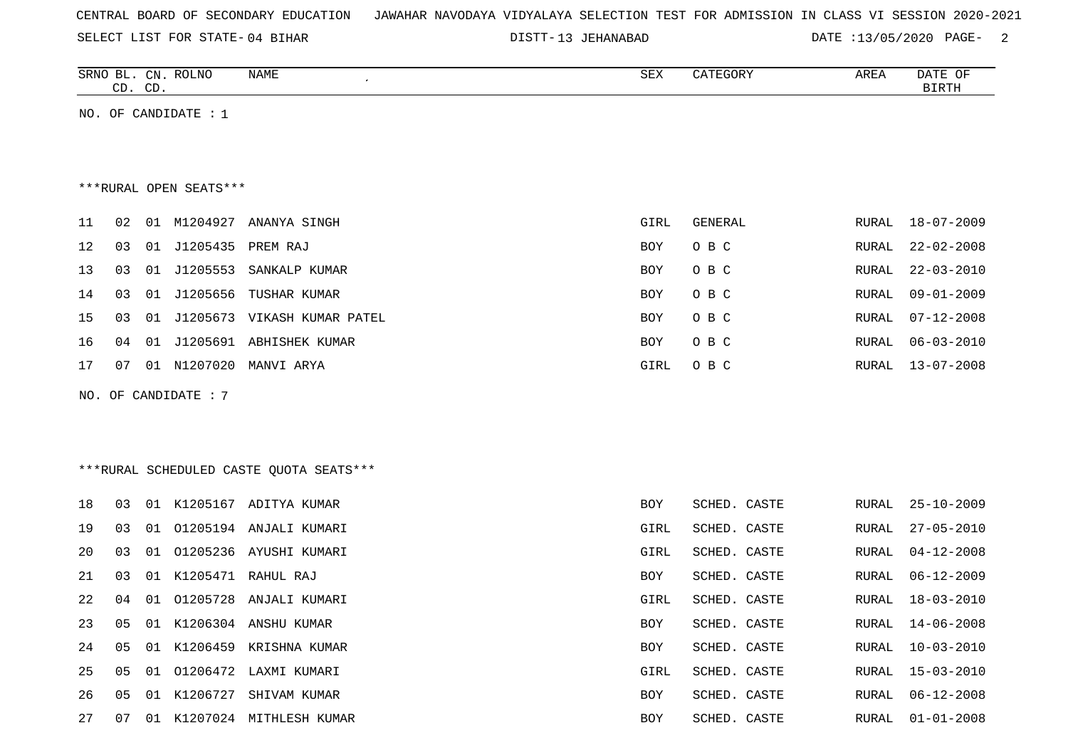|  |  |  | CENTRAL BOARD OF SECONDARY EDUCATION – JAWAHAR NAVODAYA VIDYALAYA SELECTION TEST FOR ADMISSION IN CLASS VI SESSION 2020-2021 |  |  |  |  |  |  |  |  |  |  |  |  |  |  |  |
|--|--|--|------------------------------------------------------------------------------------------------------------------------------|--|--|--|--|--|--|--|--|--|--|--|--|--|--|--|
|--|--|--|------------------------------------------------------------------------------------------------------------------------------|--|--|--|--|--|--|--|--|--|--|--|--|--|--|--|

13 JEHANABAD DATE :13/05/2020 PAGE- 2

| SRNO<br>ىدە | CΝ | ROLNO | NAME | $\cap$<br>つロマ | $\alpha$<br>$\cdot$ $\sim$<br>$\overline{\phantom{a}}$<br>. | <b>AREA</b><br>$\overline{\phantom{a}}$ | DATE<br>− ∪.⊬ |
|-------------|----|-------|------|---------------|-------------------------------------------------------------|-----------------------------------------|---------------|
| $\sim$<br>ັ | CD |       |      |               |                                                             |                                         | $ -$<br>. ت   |

NO. OF CANDIDATE : 1

#### \*\*\*RURAL OPEN SEATS\*\*\*

| 11 | 02 | 01  | M1204927 | ANANYA SINGH          | GIRL       | GENERAL | RURAL | 18-07-2009 |
|----|----|-----|----------|-----------------------|------------|---------|-------|------------|
| 12 | 03 | 01  | J1205435 | PREM RAJ              | <b>BOY</b> | O B C   | RURAL | 22-02-2008 |
| 13 | 03 | 01  | J1205553 | SANKALP KUMAR         | <b>BOY</b> | O B C   | RURAL | 22-03-2010 |
| 14 | 03 | 01  |          | J1205656 TUSHAR KUMAR | BOY        | O B C   | RURAL | 09-01-2009 |
| 15 | 03 | 01  | J1205673 | VIKASH KUMAR PATEL    | <b>BOY</b> | O B C   | RURAL | 07-12-2008 |
| 16 | 04 | 01  | J1205691 | ABHISHEK KUMAR        | <b>BOY</b> | O B C   | RURAL | 06-03-2010 |
| 17 | 07 | O 1 | N1207020 | MANVI ARYA            | GIRL       | O B C   | RURAL | 13-07-2008 |

NO. OF CANDIDATE : 7

# \*\*\*RURAL SCHEDULED CASTE QUOTA SEATS\*\*\*

| 18 | 03  |    |          | 01 K1205167 ADITYA KUMAR  | BOY        | SCHED. CASTE |       | RURAL 25-10-2009 |
|----|-----|----|----------|---------------------------|------------|--------------|-------|------------------|
| 19 | 03  |    |          | 01 01205194 ANJALI KUMARI | GIRL       | SCHED. CASTE | RURAL | $27 - 05 - 2010$ |
| 20 | 0.3 |    |          | 01 01205236 AYUSHI KUMARI | GIRL       | SCHED. CASTE | RURAL | $04 - 12 - 2008$ |
| 21 | 03  |    |          | 01 K1205471 RAHUL RAJ     | BOY        | SCHED. CASTE |       | RURAL 06-12-2009 |
| 22 | 04  |    |          | 01 01205728 ANJALI KUMARI | GIRL       | SCHED. CASTE | RURAL | $18 - 03 - 2010$ |
| 23 | 05  |    |          | 01 K1206304 ANSHU KUMAR   | <b>BOY</b> | SCHED. CASTE | RURAL | 14-06-2008       |
| 24 | 05  |    |          | 01 K1206459 KRISHNA KUMAR | <b>BOY</b> | SCHED. CASTE | RURAL | $10 - 03 - 2010$ |
| 25 | 05  |    |          | 01 01206472 LAXMI KUMARI  | GIRL       | SCHED. CASTE | RURAL | 15-03-2010       |
| 26 | 05  | 01 | K1206727 | SHIVAM KUMAR              | <b>BOY</b> | SCHED. CASTE | RURAL | $06 - 12 - 2008$ |
| 27 | 07  | 01 |          | K1207024 MITHLESH KUMAR   | <b>BOY</b> | SCHED. CASTE | RURAL | $01 - 01 - 2008$ |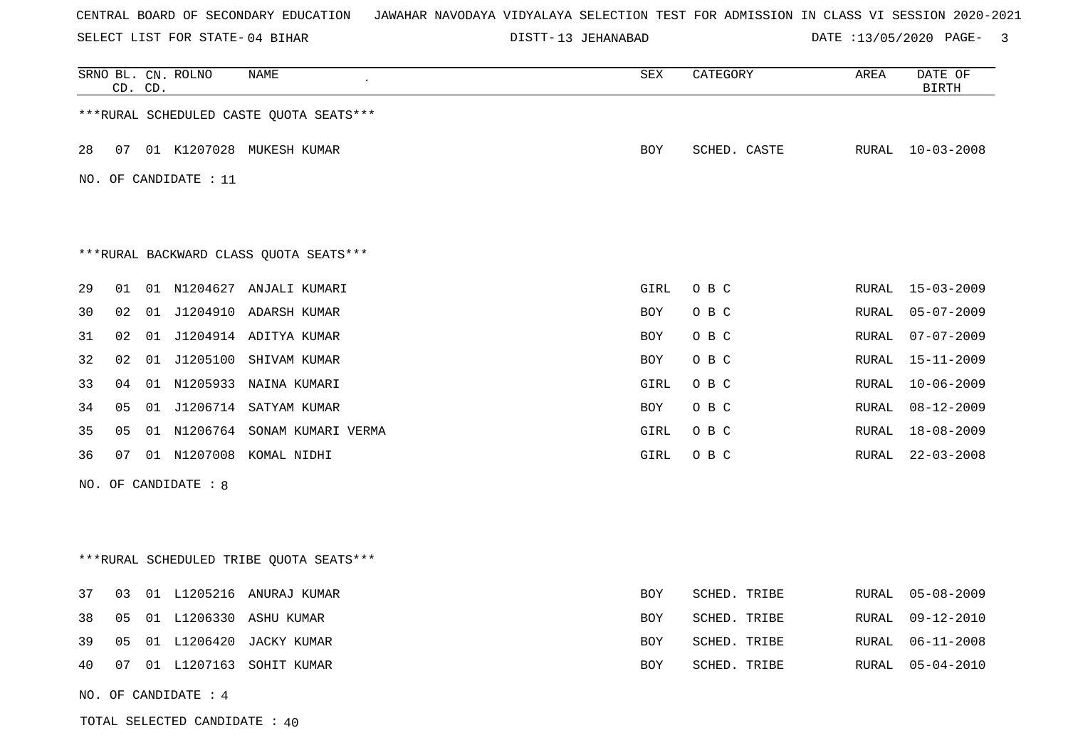SELECT LIST FOR STATE- DISTT- 04 BIHAR

TOTAL SELECTED CANDIDATE : 40

13 JEHANABAD DATE :13/05/2020 PAGE- 3

|    | CD. CD. |    | SRNO BL. CN. ROLNO    | NAME                                     | SEX        | CATEGORY     | AREA  | DATE OF<br><b>BIRTH</b> |
|----|---------|----|-----------------------|------------------------------------------|------------|--------------|-------|-------------------------|
|    |         |    |                       | *** RURAL SCHEDULED CASTE QUOTA SEATS*** |            |              |       |                         |
| 28 | 07      |    |                       | 01 K1207028 MUKESH KUMAR                 | BOY        | SCHED. CASTE |       | RURAL 10-03-2008        |
|    |         |    | NO. OF CANDIDATE : 11 |                                          |            |              |       |                         |
|    |         |    |                       |                                          |            |              |       |                         |
|    |         |    |                       | ***RURAL BACKWARD CLASS QUOTA SEATS***   |            |              |       |                         |
| 29 | 01      |    |                       | 01 N1204627 ANJALI KUMARI                | GIRL       | O B C        |       | RURAL 15-03-2009        |
| 30 | 02      |    |                       | 01 J1204910 ADARSH KUMAR                 | BOY        | O B C        | RURAL | $05 - 07 - 2009$        |
| 31 | 02      |    |                       | 01 J1204914 ADITYA KUMAR                 | <b>BOY</b> | O B C        | RURAL | $07 - 07 - 2009$        |
| 32 | 02      | 01 | J1205100              | SHIVAM KUMAR                             | <b>BOY</b> | O B C        | RURAL | $15 - 11 - 2009$        |
| 33 | 04      |    |                       | 01 N1205933 NAINA KUMARI                 | GIRL       | O B C        | RURAL | $10 - 06 - 2009$        |
| 34 | 05      |    |                       | 01 J1206714 SATYAM KUMAR                 | BOY        | O B C        | RURAL | 08-12-2009              |
| 35 | 05      |    |                       | 01 N1206764 SONAM KUMARI VERMA           | GIRL       | O B C        | RURAL | 18-08-2009              |
| 36 | 07      |    |                       | 01 N1207008 KOMAL NIDHI                  | GIRL       | O B C        | RURAL | $22 - 03 - 2008$        |
|    |         |    | NO. OF CANDIDATE : 8  |                                          |            |              |       |                         |
|    |         |    |                       |                                          |            |              |       |                         |
|    |         |    |                       | ***RURAL SCHEDULED TRIBE QUOTA SEATS***  |            |              |       |                         |
| 37 | 03      |    |                       | 01 L1205216 ANURAJ KUMAR                 | BOY        | SCHED. TRIBE | RURAL | $05 - 08 - 2009$        |
| 38 | 05      |    |                       | 01 L1206330 ASHU KUMAR                   | <b>BOY</b> | SCHED. TRIBE | RURAL | $09 - 12 - 2010$        |
| 39 | 05      |    |                       | 01 L1206420 JACKY KUMAR                  | BOY        | SCHED. TRIBE | RURAL | $06 - 11 - 2008$        |
| 40 | 07      |    |                       | 01 L1207163 SOHIT KUMAR                  | BOY        | SCHED. TRIBE | RURAL | $05 - 04 - 2010$        |
|    |         |    | NO. OF CANDIDATE : 4  |                                          |            |              |       |                         |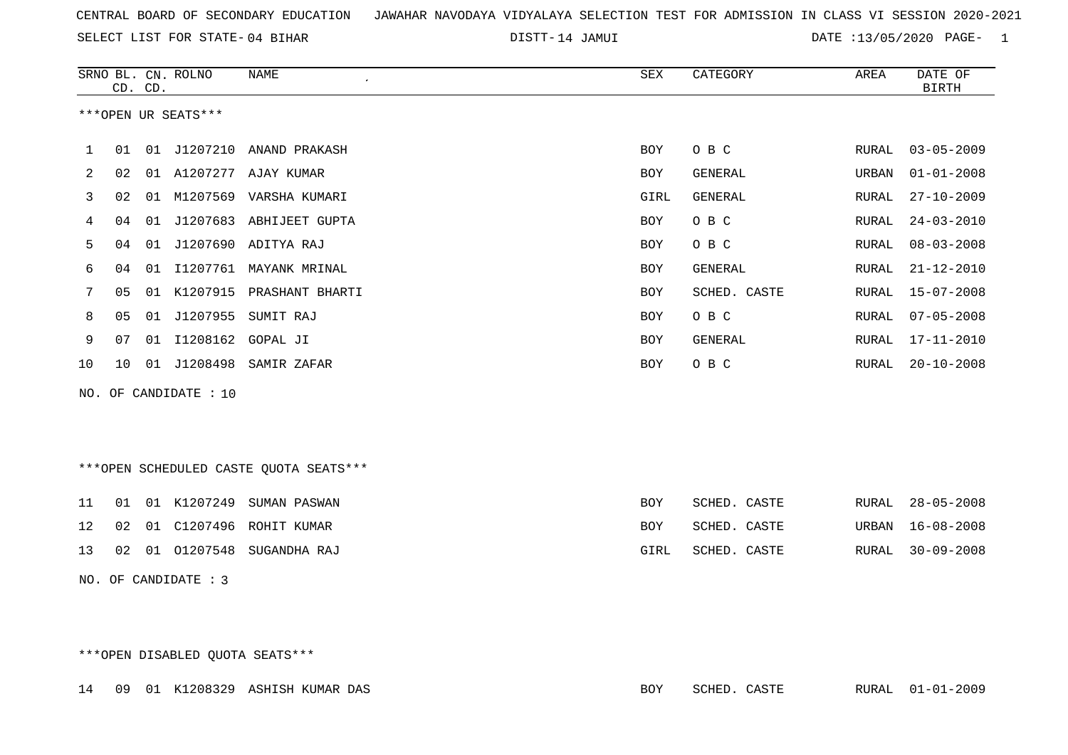|  |  |  |  | CENTRAL BOARD OF SECONDARY EDUCATION – JAWAHAR NAVODAYA VIDYALAYA SELECTION TEST FOR ADMISSION IN CLASS VI SESSION 2020-2021 |  |  |  |  |  |  |  |  |  |  |  |  |  |  |
|--|--|--|--|------------------------------------------------------------------------------------------------------------------------------|--|--|--|--|--|--|--|--|--|--|--|--|--|--|
|--|--|--|--|------------------------------------------------------------------------------------------------------------------------------|--|--|--|--|--|--|--|--|--|--|--|--|--|--|

DISTT-14 JAMUI 2001 2002 DATE :13/05/2020 PAGE- 1

|    |    | CD. CD. | SRNO BL. CN. ROLNO    | NAME<br>$\mathcal{L}_{\mathcal{A}}$ | SEX        | CATEGORY     | AREA  | DATE OF<br><b>BIRTH</b> |
|----|----|---------|-----------------------|-------------------------------------|------------|--------------|-------|-------------------------|
|    |    |         | ***OPEN UR SEATS***   |                                     |            |              |       |                         |
| 1  | 01 | 01      | J1207210              | ANAND PRAKASH                       | <b>BOY</b> | O B C        | RURAL | $03 - 05 - 2009$        |
| 2  | 02 |         |                       | 01 A1207277 AJAY KUMAR              | <b>BOY</b> | GENERAL      | URBAN | $01 - 01 - 2008$        |
| 3  | 02 | 01      |                       | M1207569 VARSHA KUMARI              | GIRL       | GENERAL      | RURAL | $27 - 10 - 2009$        |
| 4  | 04 | 01      |                       | J1207683 ABHIJEET GUPTA             | <b>BOY</b> | O B C        | RURAL | $24 - 03 - 2010$        |
| 5  | 04 | 01      |                       | J1207690 ADITYA RAJ                 | <b>BOY</b> | O B C        | RURAL | $08 - 03 - 2008$        |
| 6  | 04 | 01      | I1207761              | MAYANK MRINAL                       | <b>BOY</b> | GENERAL      | RURAL | $21 - 12 - 2010$        |
| 7  | 05 |         |                       | 01 K1207915 PRASHANT BHARTI         | <b>BOY</b> | SCHED. CASTE | RURAL | $15 - 07 - 2008$        |
| 8  | 05 | 01      | J1207955              | SUMIT RAJ                           | <b>BOY</b> | O B C        | RURAL | $07 - 05 - 2008$        |
| 9  | 07 | 01      | I1208162 GOPAL JI     |                                     | <b>BOY</b> | GENERAL      | RURAL | $17 - 11 - 2010$        |
| 10 | 10 | 01      | J1208498              | SAMIR ZAFAR                         | <b>BOY</b> | O B C        | RURAL | $20 - 10 - 2008$        |
|    |    |         | NO. OF CANDIDATE : 10 |                                     |            |              |       |                         |
|    |    |         |                       |                                     |            |              |       |                         |
|    |    |         |                       |                                     |            |              |       |                         |

\*\*\*OPEN SCHEDULED CASTE QUOTA SEATS\*\*\*

|  |  | 11 01 01 K1207249 SUMAN PASWAN | BOY  | SCHED. CASTE |  | RURAL 28-05-2008 |
|--|--|--------------------------------|------|--------------|--|------------------|
|  |  | 12 02 01 C1207496 ROHIT KUMAR  | BOY  | SCHED. CASTE |  | URBAN 16-08-2008 |
|  |  | 13 02 01 01207548 SUGANDHA RAJ | GIRL | SCHED. CASTE |  | RURAL 30-09-2008 |

NO. OF CANDIDATE : 3

\*\*\*OPEN DISABLED QUOTA SEATS\*\*\*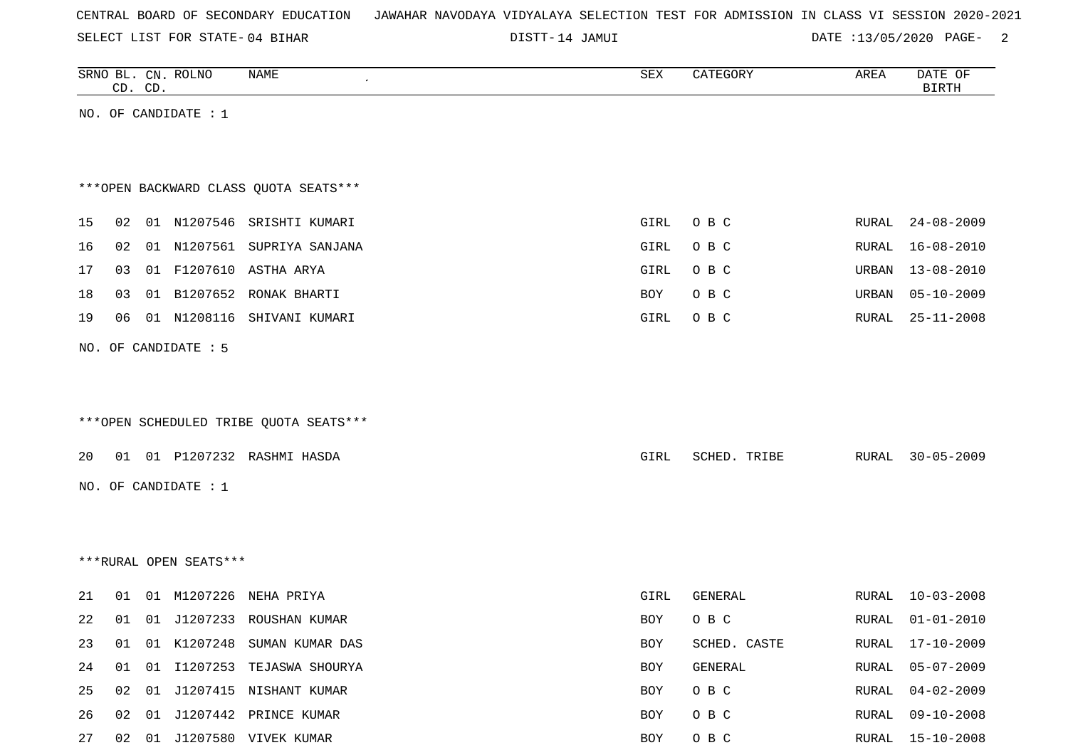|  |  |  |  | CENTRAL BOARD OF SECONDARY EDUCATION – JAWAHAR NAVODAYA VIDYALAYA SELECTION TEST FOR ADMISSION IN CLASS VI SESSION 2020-2021 |  |  |  |  |  |  |  |  |  |  |  |  |  |
|--|--|--|--|------------------------------------------------------------------------------------------------------------------------------|--|--|--|--|--|--|--|--|--|--|--|--|--|
|--|--|--|--|------------------------------------------------------------------------------------------------------------------------------|--|--|--|--|--|--|--|--|--|--|--|--|--|

DISTT-14 JAMUI DATE :13/05/2020 PAGE- 2

|    |    | CD. CD. | SRNO BL. CN. ROLNO     | NAME                                   | SEX        | CATEGORY       | AREA         | DATE OF<br>$\operatorname{BIRTH}$ |
|----|----|---------|------------------------|----------------------------------------|------------|----------------|--------------|-----------------------------------|
|    |    |         | NO. OF CANDIDATE : $1$ |                                        |            |                |              |                                   |
|    |    |         |                        |                                        |            |                |              |                                   |
|    |    |         |                        |                                        |            |                |              |                                   |
|    |    |         |                        | *** OPEN BACKWARD CLASS QUOTA SEATS*** |            |                |              |                                   |
| 15 | 02 |         |                        | 01 N1207546 SRISHTI KUMARI             | GIRL       | O B C          | RURAL        | $24 - 08 - 2009$                  |
| 16 | 02 |         |                        | 01 N1207561 SUPRIYA SANJANA            | GIRL       | O B C          | <b>RURAL</b> | $16 - 08 - 2010$                  |
| 17 | 03 |         |                        | 01 F1207610 ASTHA ARYA                 | GIRL       | O B C          | URBAN        | $13 - 08 - 2010$                  |
| 18 | 03 |         |                        | 01 B1207652 RONAK BHARTI               | BOY        | O B C          | URBAN        | $05 - 10 - 2009$                  |
| 19 | 06 |         |                        | 01 N1208116 SHIVANI KUMARI             | GIRL       | O B C          | <b>RURAL</b> | $25 - 11 - 2008$                  |
|    |    |         | NO. OF CANDIDATE : 5   |                                        |            |                |              |                                   |
|    |    |         |                        |                                        |            |                |              |                                   |
|    |    |         |                        |                                        |            |                |              |                                   |
|    |    |         |                        | ***OPEN SCHEDULED TRIBE QUOTA SEATS*** |            |                |              |                                   |
| 20 |    |         |                        | 01 01 P1207232 RASHMI HASDA            | GIRL       | SCHED. TRIBE   | RURAL        | $30 - 05 - 2009$                  |
|    |    |         | NO. OF CANDIDATE : $1$ |                                        |            |                |              |                                   |
|    |    |         |                        |                                        |            |                |              |                                   |
|    |    |         |                        |                                        |            |                |              |                                   |
|    |    |         | ***RURAL OPEN SEATS*** |                                        |            |                |              |                                   |
| 21 | 01 |         |                        | 01 M1207226 NEHA PRIYA                 | GIRL       | GENERAL        | <b>RURAL</b> | $10 - 03 - 2008$                  |
| 22 | 01 |         |                        | 01 J1207233 ROUSHAN KUMAR              | BOY        | O B C          | RURAL        | $01 - 01 - 2010$                  |
| 23 | 01 |         |                        | 01 K1207248 SUMAN KUMAR DAS            | BOY        | SCHED. CASTE   | RURAL        | 17-10-2009                        |
| 24 | 01 |         |                        | 01 I1207253 TEJASWA SHOURYA            | <b>BOY</b> | <b>GENERAL</b> | RURAL        | $05 - 07 - 2009$                  |
| 25 | 02 |         |                        | 01 J1207415 NISHANT KUMAR              | <b>BOY</b> | O B C          | <b>RURAL</b> | $04 - 02 - 2009$                  |

26 02 01 J1207442 PRINCE KUMAR BOY O B C RURAL 09-10-2008 27 02 01 J1207580 VIVEK KUMAR 2008 EXAMPLE ROY O B C RURAL 15-10-2008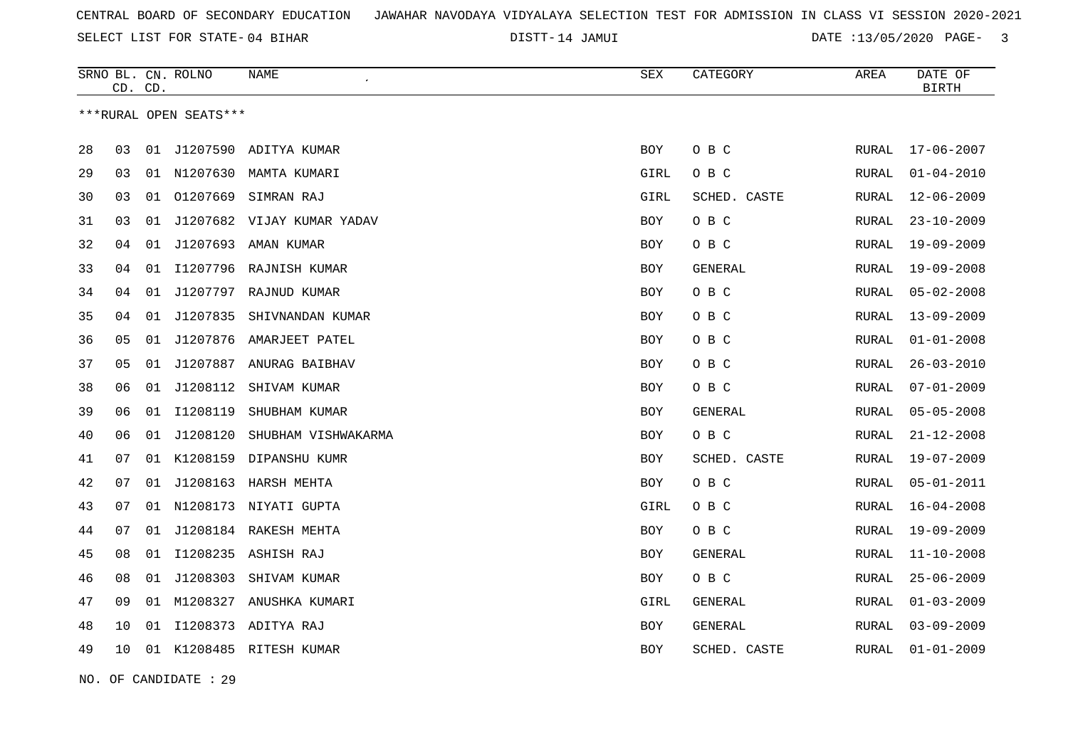DISTT-14 JAMUI DATE :13/05/2020 PAGE- 3

|    | CD. CD. |    | SRNO BL. CN. ROLNO     | NAME                       | <b>SEX</b> | CATEGORY     | AREA         | DATE OF<br><b>BIRTH</b> |
|----|---------|----|------------------------|----------------------------|------------|--------------|--------------|-------------------------|
|    |         |    | ***RURAL OPEN SEATS*** |                            |            |              |              |                         |
| 28 | 03      | 01 |                        | J1207590 ADITYA KUMAR      | <b>BOY</b> | O B C        | RURAL        | $17 - 06 - 2007$        |
| 29 | 03      |    | 01 N1207630            | MAMTA KUMARI               | GIRL       | O B C        | RURAL        | $01 - 04 - 2010$        |
| 30 | 03      | 01 | 01207669               | SIMRAN RAJ                 | GIRL       | SCHED. CASTE | RURAL        | $12 - 06 - 2009$        |
| 31 | 03      | 01 |                        | J1207682 VIJAY KUMAR YADAV | <b>BOY</b> | O B C        | RURAL        | $23 - 10 - 2009$        |
| 32 | 04      | 01 |                        | J1207693 AMAN KUMAR        | BOY        | O B C        | RURAL        | $19 - 09 - 2009$        |
| 33 | 04      |    |                        | 01 I1207796 RAJNISH KUMAR  | <b>BOY</b> | GENERAL      | RURAL        | $19 - 09 - 2008$        |
| 34 | 04      | 01 | J1207797               | RAJNUD KUMAR               | BOY        | O B C        | RURAL        | $05 - 02 - 2008$        |
| 35 | 04      | 01 | J1207835               | SHIVNANDAN KUMAR           | <b>BOY</b> | O B C        | <b>RURAL</b> | $13 - 09 - 2009$        |
| 36 | 05      | 01 |                        | J1207876 AMARJEET PATEL    | <b>BOY</b> | O B C        | RURAL        | $01 - 01 - 2008$        |
| 37 | 05      | 01 |                        | J1207887 ANURAG BAIBHAV    | BOY        | O B C        | RURAL        | $26 - 03 - 2010$        |
| 38 | 06      | 01 | J1208112               | SHIVAM KUMAR               | <b>BOY</b> | O B C        | <b>RURAL</b> | $07 - 01 - 2009$        |
| 39 | 06      | 01 | I1208119               | SHUBHAM KUMAR              | BOY        | GENERAL      | RURAL        | $05 - 05 - 2008$        |
| 40 | 06      | 01 | J1208120               | SHUBHAM VISHWAKARMA        | <b>BOY</b> | O B C        | <b>RURAL</b> | $21 - 12 - 2008$        |
| 41 | 07      | 01 | K1208159               | DIPANSHU KUMR              | BOY        | SCHED. CASTE | RURAL        | $19 - 07 - 2009$        |
| 42 | 07      | 01 | J1208163               | HARSH MEHTA                | <b>BOY</b> | O B C        | <b>RURAL</b> | $05 - 01 - 2011$        |
| 43 | 07      | 01 |                        | N1208173 NIYATI GUPTA      | GIRL       | O B C        | RURAL        | $16 - 04 - 2008$        |
| 44 | 07      | 01 |                        | J1208184 RAKESH MEHTA      | BOY        | O B C        | RURAL        | $19 - 09 - 2009$        |
| 45 | 08      | 01 |                        | I1208235 ASHISH RAJ        | BOY        | GENERAL      | RURAL        | $11 - 10 - 2008$        |
| 46 | 08      | 01 | J1208303               | SHIVAM KUMAR               | BOY        | O B C        | RURAL        | $25 - 06 - 2009$        |
| 47 | 09      |    |                        | 01 M1208327 ANUSHKA KUMARI | GIRL       | GENERAL      | <b>RURAL</b> | $01 - 03 - 2009$        |
| 48 | 10      | 01 | I1208373               | ADITYA RAJ                 | BOY        | GENERAL      | RURAL        | $03 - 09 - 2009$        |
| 49 | 10      |    |                        | 01 K1208485 RITESH KUMAR   | <b>BOY</b> | SCHED. CASTE | RURAL        | $01 - 01 - 2009$        |

NO. OF CANDIDATE : 29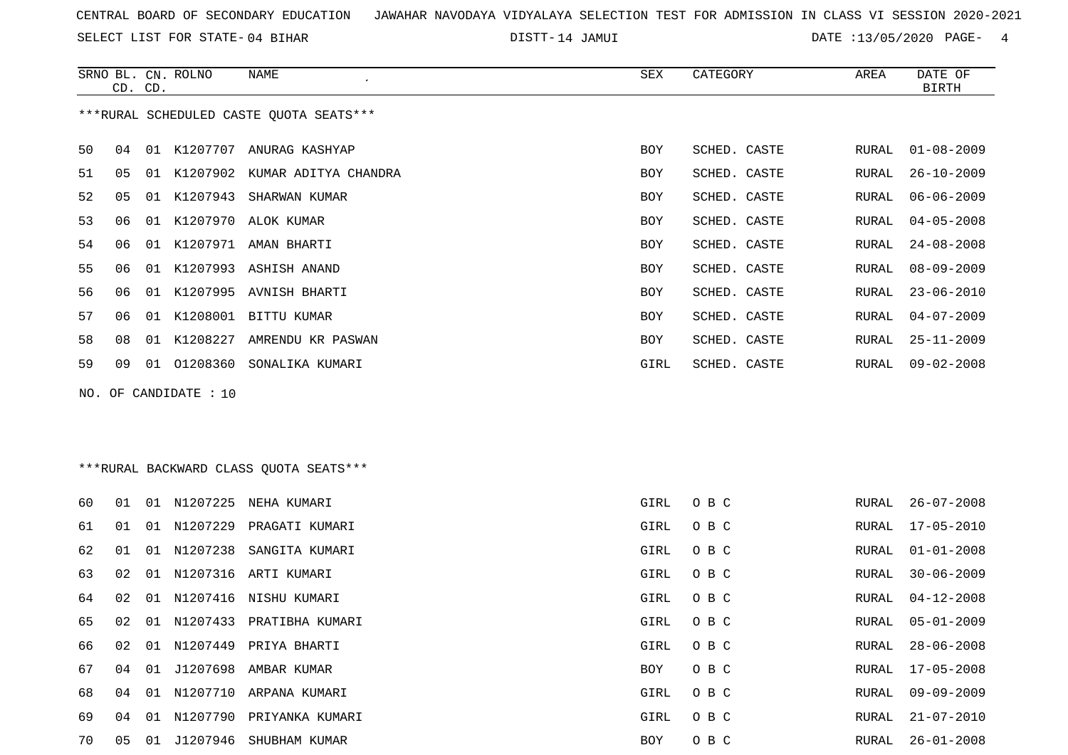SELECT LIST FOR STATE- DISTT- 04 BIHAR

DISTT-14 JAMUI DATE :13/05/2020 PAGE- 4

|    | CD. CD. |    | SRNO BL. CN. ROLNO | NAME                                    | SEX        | CATEGORY     | AREA  | DATE OF<br>BIRTH |
|----|---------|----|--------------------|-----------------------------------------|------------|--------------|-------|------------------|
|    |         |    |                    | ***RURAL SCHEDULED CASTE OUOTA SEATS*** |            |              |       |                  |
| 50 | 04      | 01 | K1207707           | ANURAG KASHYAP                          | <b>BOY</b> | SCHED. CASTE | RURAL | $01 - 08 - 2009$ |
| 51 | 05      | 01 | K1207902           | KUMAR ADITYA CHANDRA                    | BOY        | SCHED. CASTE | RURAL | $26 - 10 - 2009$ |
| 52 | 05      | 01 | K1207943           | SHARWAN KUMAR                           | BOY        | SCHED. CASTE | RURAL | $06 - 06 - 2009$ |
| 53 | 06      | 01 | K1207970           | ALOK KUMAR                              | BOY        | SCHED. CASTE | RURAL | $04 - 05 - 2008$ |
| 54 | 06      | 01 | K1207971           | AMAN BHARTI                             | BOY        | SCHED. CASTE | RURAL | $24 - 08 - 2008$ |
| 55 | 06      | 01 |                    | K1207993 ASHISH ANAND                   | BOY        | SCHED. CASTE | RURAL | $08 - 09 - 2009$ |
| 56 | 06      | 01 | K1207995           | AVNISH BHARTI                           | BOY        | SCHED. CASTE | RURAL | $23 - 06 - 2010$ |
| 57 | 06      | 01 |                    | K1208001 BITTU KUMAR                    | <b>BOY</b> | SCHED. CASTE | RURAL | $04 - 07 - 2009$ |
| 58 | 08      | 01 | K1208227           | AMRENDU KR PASWAN                       | <b>BOY</b> | SCHED. CASTE | RURAL | $25 - 11 - 2009$ |
| 59 | 09      | 01 | 01208360           | SONALIKA KUMARI                         | GIRL       | SCHED. CASTE | RURAL | $09 - 02 - 2008$ |
|    |         |    |                    |                                         |            |              |       |                  |

NO. OF CANDIDATE : 10

# \*\*\*RURAL BACKWARD CLASS QUOTA SEATS\*\*\*

| 60 | 01   | 01 | N1207225    | NEHA KUMARI              | GIRL | O B C | RURAL | $26 - 07 - 2008$ |
|----|------|----|-------------|--------------------------|------|-------|-------|------------------|
| 61 | 01   | 01 | N1207229    | PRAGATI KUMARI           | GIRL | O B C | RURAL | 17-05-2010       |
| 62 | 01   |    | 01 N1207238 | SANGITA KUMARI           | GIRL | O B C | RURAL | 01-01-2008       |
| 63 | 02.  | 01 |             | N1207316 ARTI KUMARI     | GIRL | O B C | RURAL | $30 - 06 - 2009$ |
| 64 | 02   |    |             | 01 N1207416 NISHU KUMARI | GIRL | O B C | RURAL | 04-12-2008       |
| 65 | O 2. | 01 |             | N1207433 PRATIBHA KUMARI | GIRL | O B C | RURAL | 05-01-2009       |
| 66 | 02   |    |             | 01 N1207449 PRIYA BHARTI | GIRL | O B C |       | RURAL 28-06-2008 |
| 67 | 04   |    |             | 01 J1207698 AMBAR KUMAR  | BOY  | O B C | RURAL | $17 - 05 - 2008$ |
| 68 | 04   | 01 |             | N1207710 ARPANA KUMARI   | GIRL | O B C | RURAL | 09-09-2009       |
| 69 | 04   | 01 | N1207790    | PRIYANKA KUMARI          | GIRL | O B C | RURAL | $21 - 07 - 2010$ |
| 70 | 05   | 01 | J1207946    | SHUBHAM KUMAR            | BOY  | O B C | RURAL | $26 - 01 - 2008$ |
|    |      |    |             |                          |      |       |       |                  |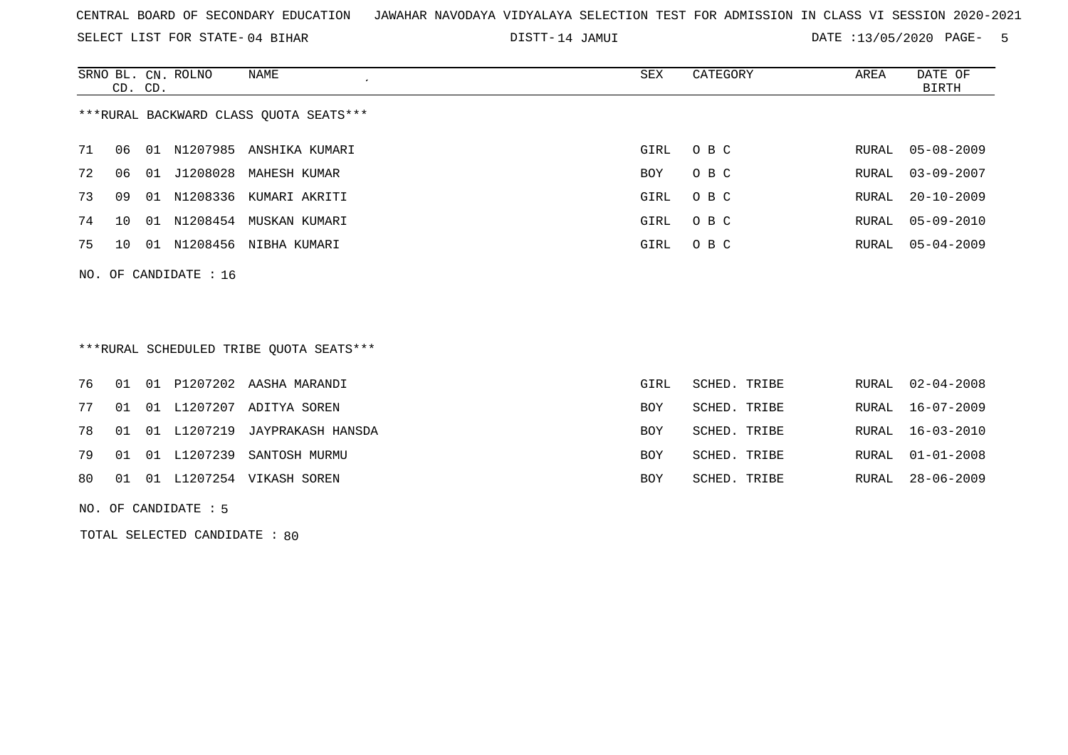SELECT LIST FOR STATE- DISTT- 04 BIHAR

DISTT-14 JAMUI 2000 DATE :13/05/2020 PAGE- 5

|    | CD. CD.                                |    | SRNO BL. CN. ROLNO | NAME<br>$\overline{ }$ | SEX  | CATEGORY | AREA  | DATE OF<br>BIRTH |  |  |
|----|----------------------------------------|----|--------------------|------------------------|------|----------|-------|------------------|--|--|
|    | ***RURAL BACKWARD CLASS OUOTA SEATS*** |    |                    |                        |      |          |       |                  |  |  |
| 71 | 06                                     | 01 | N1207985           | ANSHIKA KUMARI         | GIRL | O B C    |       | RURAL 05-08-2009 |  |  |
| 72 | 06                                     | 01 | J1208028           | MAHESH KUMAR           | BOY  | O B C    |       | RURAL 03-09-2007 |  |  |
| 73 | 09                                     | 01 | N1208336           | KUMARI AKRITI          | GIRL | O B C    |       | RURAL 20-10-2009 |  |  |
| 74 | 10                                     | 01 | N1208454           | MUSKAN KUMARI          | GIRL | O B C    | RURAL | 05-09-2010       |  |  |
| 75 | 1 Q                                    | 01 |                    | N1208456 NIBHA KUMARI  | GIRL | O B C    |       | RURAL 05-04-2009 |  |  |
|    | NO. OF CANDIDATE : $16$                |    |                    |                        |      |          |       |                  |  |  |

## \*\*\*RURAL SCHEDULED TRIBE QUOTA SEATS\*\*\*

|  |  | 76 01 01 P1207202 AASHA MARANDI     | GIRL       | SCHED. TRIBE | RURAL 02-04-2008 |
|--|--|-------------------------------------|------------|--------------|------------------|
|  |  | 77 01 01 L1207207 ADITYA SOREN      | <b>BOY</b> | SCHED. TRIBE | RURAL 16-07-2009 |
|  |  | 78 01 01 L1207219 JAYPRAKASH HANSDA | <b>BOY</b> | SCHED. TRIBE | RURAL 16-03-2010 |
|  |  | 79 01 01 L1207239 SANTOSH MURMU     | <b>BOY</b> | SCHED. TRIBE | RURAL 01-01-2008 |
|  |  | 80 01 01 L1207254 VIKASH SOREN      | <b>BOY</b> | SCHED. TRIBE | RURAL 28-06-2009 |
|  |  |                                     |            |              |                  |

NO. OF CANDIDATE : 5

TOTAL SELECTED CANDIDATE : 80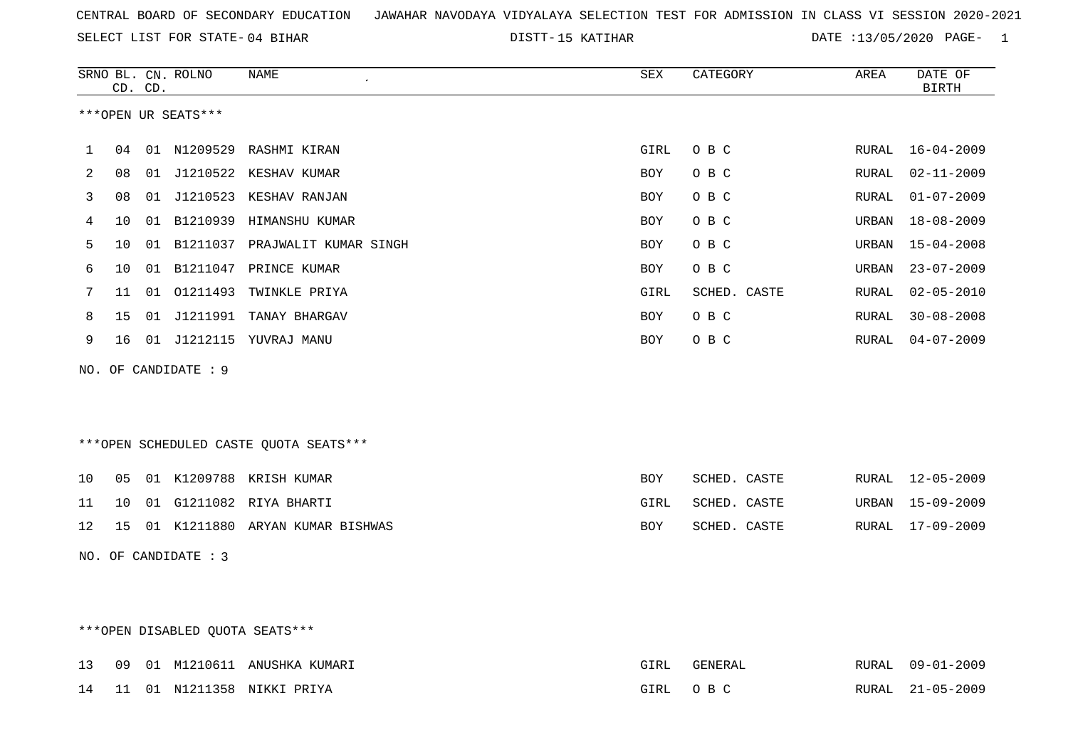15 KATIHAR DATE :13/05/2020 PAGE- 1

|     |                     | CD. CD. | SRNO BL. CN. ROLNO   | <b>NAME</b>                            | ${\tt SEX}$ | CATEGORY     | AREA         | DATE OF<br><b>BIRTH</b> |  |  |
|-----|---------------------|---------|----------------------|----------------------------------------|-------------|--------------|--------------|-------------------------|--|--|
|     | ***OPEN UR SEATS*** |         |                      |                                        |             |              |              |                         |  |  |
|     |                     |         |                      |                                        |             |              |              |                         |  |  |
| 1   | 04                  |         |                      | 01 N1209529 RASHMI KIRAN               | GIRL        | O B C        | RURAL        | $16 - 04 - 2009$        |  |  |
| 2   | 08                  |         |                      | 01 J1210522 KESHAV KUMAR               | <b>BOY</b>  | O B C        | RURAL        | $02 - 11 - 2009$        |  |  |
| 3   | 08                  |         |                      | 01 J1210523 KESHAV RANJAN              | BOY         | O B C        | RURAL        | $01 - 07 - 2009$        |  |  |
| 4   | 10                  | 01      | B1210939             | HIMANSHU KUMAR                         | <b>BOY</b>  | O B C        | URBAN        | $18 - 08 - 2009$        |  |  |
| 5   | 10                  |         |                      | 01 B1211037 PRAJWALIT KUMAR SINGH      | BOY         | O B C        | URBAN        | $15 - 04 - 2008$        |  |  |
| 6   | 10                  |         |                      | 01 B1211047 PRINCE KUMAR               | BOY         | O B C        | URBAN        | $23 - 07 - 2009$        |  |  |
| 7   | 11                  | 01      | 01211493             | TWINKLE PRIYA                          | GIRL        | SCHED. CASTE | <b>RURAL</b> | $02 - 05 - 2010$        |  |  |
| 8   | 15                  |         |                      | 01 J1211991 TANAY BHARGAV              | BOY         | O B C        | RURAL        | $30 - 08 - 2008$        |  |  |
| 9   | 16                  |         |                      | 01 J1212115 YUVRAJ MANU                | <b>BOY</b>  | O B C        | RURAL        | $04 - 07 - 2009$        |  |  |
| NO. |                     |         | OF CANDIDATE : 9     |                                        |             |              |              |                         |  |  |
|     |                     |         |                      |                                        |             |              |              |                         |  |  |
|     |                     |         |                      |                                        |             |              |              |                         |  |  |
|     |                     |         |                      |                                        |             |              |              |                         |  |  |
|     |                     |         |                      | ***OPEN SCHEDULED CASTE QUOTA SEATS*** |             |              |              |                         |  |  |
| 10  | 05                  |         |                      | 01 K1209788 KRISH KUMAR                | <b>BOY</b>  | SCHED. CASTE | RURAL        | 12-05-2009              |  |  |
| 11  | 10                  |         |                      | 01 G1211082 RIYA BHARTI                | GIRL        | SCHED. CASTE | URBAN        | $15 - 09 - 2009$        |  |  |
| 12  | 15                  |         |                      | 01 K1211880 ARYAN KUMAR BISHWAS        | BOY         | SCHED. CASTE | RURAL        | $17 - 09 - 2009$        |  |  |
|     |                     |         | NO. OF CANDIDATE : 3 |                                        |             |              |              |                         |  |  |
|     |                     |         |                      |                                        |             |              |              |                         |  |  |

## \*\*\*OPEN DISABLED QUOTA SEATS\*\*\*

|  |  | 13 09 01 M1210611 ANUSHKA KUMARI |       | FENERAL | <b>RURAL</b> | $09 - 01 - 2009$ |
|--|--|----------------------------------|-------|---------|--------------|------------------|
|  |  | 14 11 01 N1211358 NIKKI PRIYA    | GTRI. | O R C   | RURAL        | 21-05-2009       |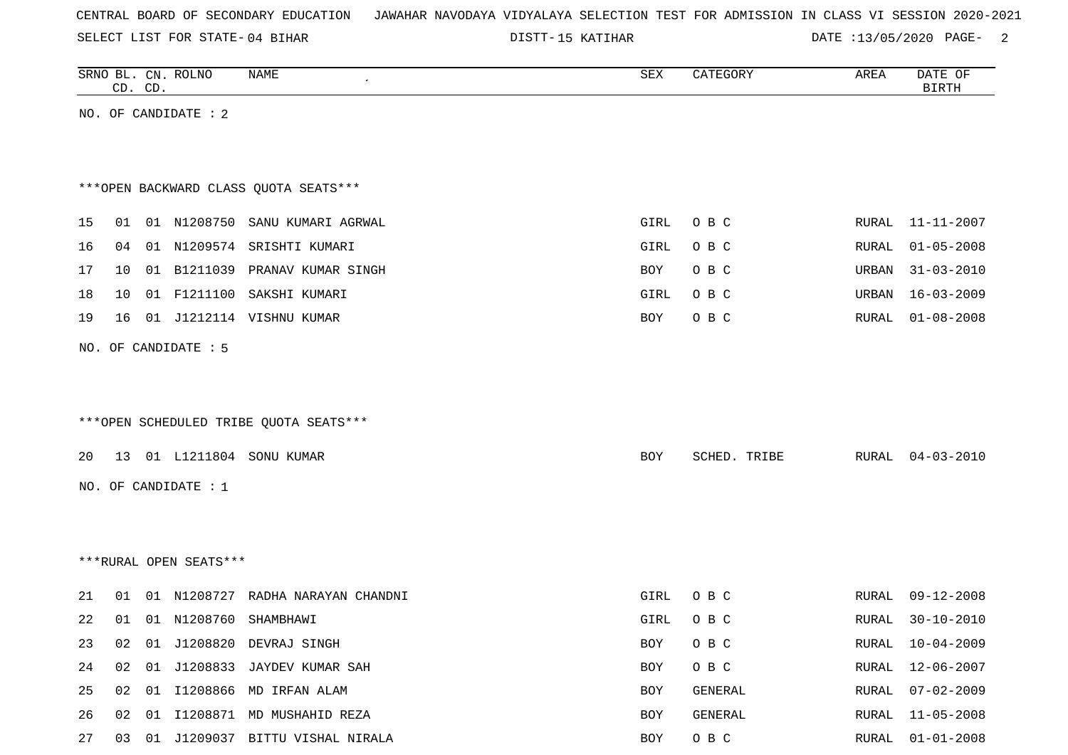SELECT LIST FOR STATE- DISTT- 04 BIHAR

15 KATIHAR DATE :13/05/2020 PAGE- 2

|    | CD. CD. |    | SRNO BL. CN. ROLNO     | NAME                                   | SEX        | CATEGORY     | AREA  | DATE OF<br><b>BIRTH</b> |
|----|---------|----|------------------------|----------------------------------------|------------|--------------|-------|-------------------------|
|    |         |    | NO. OF CANDIDATE : 2   |                                        |            |              |       |                         |
|    |         |    |                        |                                        |            |              |       |                         |
|    |         |    |                        |                                        |            |              |       |                         |
|    |         |    |                        | *** OPEN BACKWARD CLASS QUOTA SEATS*** |            |              |       |                         |
| 15 | 01      |    |                        | 01 N1208750 SANU KUMARI AGRWAL         | GIRL       | O B C        | RURAL | 11-11-2007              |
| 16 | 04      |    |                        | 01 N1209574 SRISHTI KUMARI             | GIRL       | O B C        | RURAL | $01 - 05 - 2008$        |
| 17 | 10      |    |                        | 01 B1211039 PRANAV KUMAR SINGH         | <b>BOY</b> | O B C        | URBAN | $31 - 03 - 2010$        |
| 18 | 10      | 01 | F1211100               | SAKSHI KUMARI                          | GIRL       | O B C        | URBAN | $16 - 03 - 2009$        |
| 19 | 16      |    |                        | 01 J1212114 VISHNU KUMAR               | BOY        | O B C        | RURAL | $01 - 08 - 2008$        |
|    |         |    |                        |                                        |            |              |       |                         |
|    |         |    | NO. OF CANDIDATE : 5   |                                        |            |              |       |                         |
|    |         |    |                        |                                        |            |              |       |                         |
|    |         |    |                        |                                        |            |              |       |                         |
|    |         |    |                        | ***OPEN SCHEDULED TRIBE QUOTA SEATS*** |            |              |       |                         |
| 20 |         |    |                        | 13 01 L1211804 SONU KUMAR              | BOY        | SCHED. TRIBE | RURAL | $04 - 03 - 2010$        |
|    |         |    | NO. OF CANDIDATE : 1   |                                        |            |              |       |                         |
|    |         |    |                        |                                        |            |              |       |                         |
|    |         |    |                        |                                        |            |              |       |                         |
|    |         |    | ***RURAL OPEN SEATS*** |                                        |            |              |       |                         |
|    |         |    |                        |                                        |            |              |       |                         |
| 21 | 01      |    |                        | 01 N1208727 RADHA NARAYAN CHANDNI      | GIRL       | O B C        | RURAL | $09 - 12 - 2008$        |
| 22 | 01      |    |                        | 01 N1208760 SHAMBHAWI                  | GIRL       | O B C        | RURAL | $30 - 10 - 2010$        |
| 23 |         |    |                        | 02 01 J1208820 DEVRAJ SINGH            | BOY        | O B C        |       | RURAL 10-04-2009        |
| 24 | 02      |    |                        | 01 J1208833 JAYDEV KUMAR SAH           | BOY        | O B C        | RURAL | $12 - 06 - 2007$        |
| 25 |         |    |                        | 02 01 I1208866 MD IRFAN ALAM           | BOY        | GENERAL      | RURAL | $07 - 02 - 2009$        |
| 26 |         |    |                        | 02 01 I1208871 MD MUSHAHID REZA        | BOY        | GENERAL      | RURAL | $11 - 05 - 2008$        |
| 27 |         |    |                        | 03 01 J1209037 BITTU VISHAL NIRALA     | BOY        | O B C        | RURAL | $01 - 01 - 2008$        |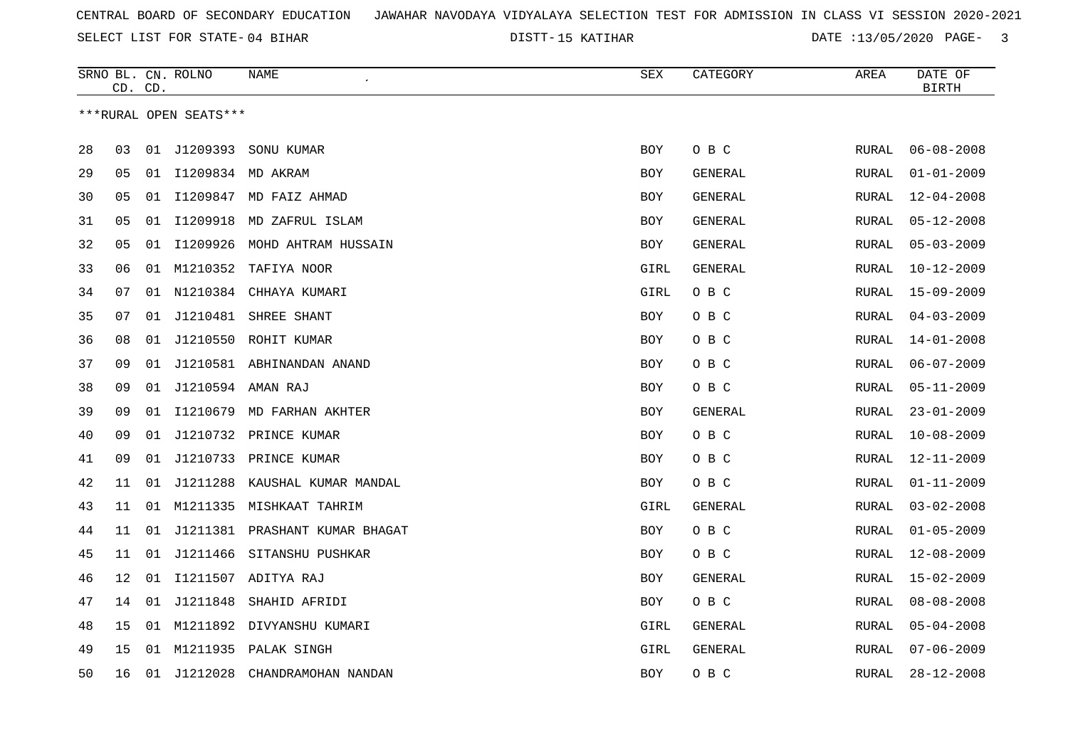15 KATIHAR DATE :13/05/2020 PAGE- 3

|    |                        | CD. CD. | SRNO BL. CN. ROLNO | NAME                           | SEX        | CATEGORY       | AREA         | DATE OF<br><b>BIRTH</b> |  |  |  |
|----|------------------------|---------|--------------------|--------------------------------|------------|----------------|--------------|-------------------------|--|--|--|
|    | ***RURAL OPEN SEATS*** |         |                    |                                |            |                |              |                         |  |  |  |
| 28 | 03                     |         | 01 J1209393        | SONU KUMAR                     | BOY        | O B C          | <b>RURAL</b> | $06 - 08 - 2008$        |  |  |  |
| 29 | 05                     | 01      |                    | I1209834 MD AKRAM              | BOY        | GENERAL        | RURAL        | $01 - 01 - 2009$        |  |  |  |
| 30 | 05                     | 01      |                    | I1209847 MD FAIZ AHMAD         | BOY        | GENERAL        | RURAL        | $12 - 04 - 2008$        |  |  |  |
| 31 | 05                     | 01      |                    | I1209918 MD ZAFRUL ISLAM       | BOY        | GENERAL        | RURAL        | $05 - 12 - 2008$        |  |  |  |
| 32 | 05                     | 01      | I1209926           | MOHD AHTRAM HUSSAIN            | <b>BOY</b> | <b>GENERAL</b> | <b>RURAL</b> | $05 - 03 - 2009$        |  |  |  |
| 33 | 06                     | 01      | M1210352           | TAFIYA NOOR                    | GIRL       | GENERAL        | RURAL        | $10 - 12 - 2009$        |  |  |  |
| 34 | 07                     | 01      | N1210384           | CHHAYA KUMARI                  | GIRL       | O B C          | <b>RURAL</b> | $15 - 09 - 2009$        |  |  |  |
| 35 | 07                     | 01      | J1210481           | SHREE SHANT                    | BOY        | O B C          | RURAL        | $04 - 03 - 2009$        |  |  |  |
| 36 | 08                     |         |                    | 01 J1210550 ROHIT KUMAR        | BOY        | O B C          | RURAL        | $14 - 01 - 2008$        |  |  |  |
| 37 | 09                     | 01      |                    | J1210581 ABHINANDAN ANAND      | <b>BOY</b> | O B C          | RURAL        | $06 - 07 - 2009$        |  |  |  |
| 38 | 09                     | 01      |                    | J1210594 AMAN RAJ              | BOY        | O B C          | RURAL        | $05 - 11 - 2009$        |  |  |  |
| 39 | 09                     | 01      |                    | I1210679 MD FARHAN AKHTER      | BOY        | GENERAL        | RURAL        | $23 - 01 - 2009$        |  |  |  |
| 40 | 09                     | 01      |                    | J1210732 PRINCE KUMAR          | BOY        | O B C          | RURAL        | $10 - 08 - 2009$        |  |  |  |
| 41 | 09                     | 01      |                    | J1210733 PRINCE KUMAR          | <b>BOY</b> | O B C          | <b>RURAL</b> | $12 - 11 - 2009$        |  |  |  |
| 42 | 11                     | 01      | J1211288           | KAUSHAL KUMAR MANDAL           | BOY        | O B C          | <b>RURAL</b> | $01 - 11 - 2009$        |  |  |  |
| 43 | 11                     | 01      |                    | M1211335 MISHKAAT TAHRIM       | GIRL       | <b>GENERAL</b> | <b>RURAL</b> | $03 - 02 - 2008$        |  |  |  |
| 44 | 11                     | 01      |                    | J1211381 PRASHANT KUMAR BHAGAT | BOY        | O B C          | RURAL        | $01 - 05 - 2009$        |  |  |  |
| 45 | 11                     |         |                    | 01 J1211466 SITANSHU PUSHKAR   | <b>BOY</b> | O B C          | RURAL        | $12 - 08 - 2009$        |  |  |  |
| 46 | 12                     | 01      |                    | I1211507 ADITYA RAJ            | <b>BOY</b> | GENERAL        | RURAL        | $15 - 02 - 2009$        |  |  |  |
| 47 | 14                     | 01      | J1211848           | SHAHID AFRIDI                  | <b>BOY</b> | O B C          | RURAL        | $08 - 08 - 2008$        |  |  |  |
| 48 | 15                     | 01      | M1211892           | DIVYANSHU KUMARI               | GIRL       | GENERAL        | RURAL        | $05 - 04 - 2008$        |  |  |  |
| 49 | 15                     |         |                    | 01 M1211935 PALAK SINGH        | GIRL       | GENERAL        | RURAL        | $07 - 06 - 2009$        |  |  |  |
| 50 | 16                     |         | 01 J1212028        | CHANDRAMOHAN NANDAN            | <b>BOY</b> | O B C          | <b>RURAL</b> | $28 - 12 - 2008$        |  |  |  |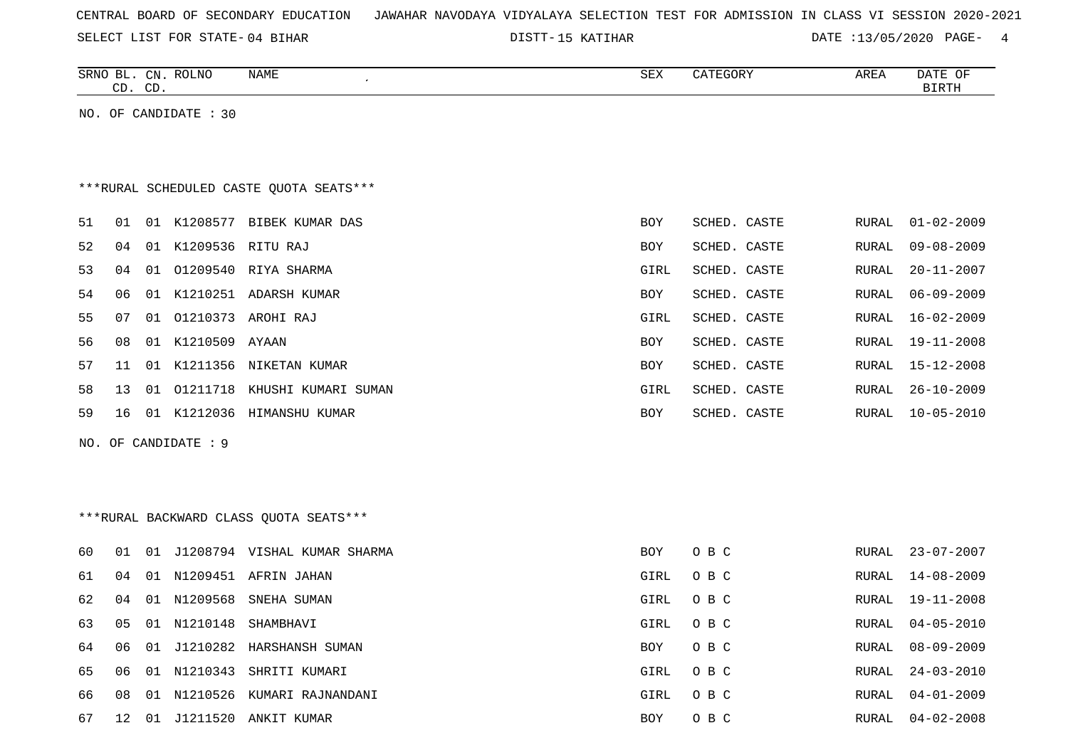| CENTRAL BOARD OF SECONDARY EDUCATION – JAWAHAR NAVODAYA VIDYALAYA SELECTION TEST FOR ADMISSION IN CLASS VI SESSION 2020-2021 |  |
|------------------------------------------------------------------------------------------------------------------------------|--|
|------------------------------------------------------------------------------------------------------------------------------|--|

DISTT-15 KATIHAR DATE :13/05/2020 PAGE- 4

|                                         |    | CD. CD. | SRNO BL. CN. ROLNO   | NAME                                   | SEX        | CATEGORY     | AREA  | DATE OF<br><b>BIRTH</b> |  |  |
|-----------------------------------------|----|---------|----------------------|----------------------------------------|------------|--------------|-------|-------------------------|--|--|
| NO. OF CANDIDATE : 30                   |    |         |                      |                                        |            |              |       |                         |  |  |
|                                         |    |         |                      |                                        |            |              |       |                         |  |  |
|                                         |    |         |                      |                                        |            |              |       |                         |  |  |
| ***RURAL SCHEDULED CASTE QUOTA SEATS*** |    |         |                      |                                        |            |              |       |                         |  |  |
| 51                                      | 01 |         |                      | 01 K1208577 BIBEK KUMAR DAS            | <b>BOY</b> | SCHED. CASTE | RURAL | $01 - 02 - 2009$        |  |  |
| 52                                      | 04 | 01      | K1209536 RITU RAJ    |                                        | <b>BOY</b> | SCHED. CASTE | RURAL | $09 - 08 - 2009$        |  |  |
| 53                                      | 04 |         |                      | 01 01209540 RIYA SHARMA                | GIRL       | SCHED. CASTE | RURAL | $20 - 11 - 2007$        |  |  |
| 54                                      | 06 |         |                      | 01 K1210251 ADARSH KUMAR               | <b>BOY</b> | SCHED. CASTE | RURAL | $06 - 09 - 2009$        |  |  |
| 55                                      | 07 |         |                      | 01 01210373 AROHI RAJ                  | GIRL       | SCHED. CASTE | RURAL | $16 - 02 - 2009$        |  |  |
| 56                                      | 08 |         | 01 K1210509 AYAAN    |                                        | <b>BOY</b> | SCHED. CASTE | RURAL | $19 - 11 - 2008$        |  |  |
| 57                                      | 11 | 01      |                      | K1211356 NIKETAN KUMAR                 | BOY        | SCHED. CASTE | RURAL | $15 - 12 - 2008$        |  |  |
| 58                                      | 13 |         | 01 01211718          | KHUSHI KUMARI SUMAN                    | GIRL       | SCHED. CASTE | RURAL | $26 - 10 - 2009$        |  |  |
| 59                                      | 16 |         |                      | 01 K1212036 HIMANSHU KUMAR             | BOY        | SCHED. CASTE | RURAL | $10 - 05 - 2010$        |  |  |
|                                         |    |         | NO. OF CANDIDATE : 9 |                                        |            |              |       |                         |  |  |
|                                         |    |         |                      |                                        |            |              |       |                         |  |  |
|                                         |    |         |                      |                                        |            |              |       |                         |  |  |
|                                         |    |         |                      | ***RURAL BACKWARD CLASS QUOTA SEATS*** |            |              |       |                         |  |  |
|                                         |    |         |                      |                                        |            |              |       |                         |  |  |
| 60                                      | 01 |         |                      | 01 J1208794 VISHAL KUMAR SHARMA        | BOY        | O B C        | RURAL | $23 - 07 - 2007$        |  |  |
| 61                                      | 04 | 01      |                      | N1209451 AFRIN JAHAN                   | GIRL       | O B C        | RURAL | $14 - 08 - 2009$        |  |  |
| 62                                      | 04 |         | 01 N1209568          | SNEHA SUMAN                            | GIRL       | O B C        | RURAL | $19 - 11 - 2008$        |  |  |
| 63                                      | 05 |         | 01 N1210148          | SHAMBHAVI                              | GIRL       | O B C        | RURAL | $04 - 05 - 2010$        |  |  |
| 64                                      | 06 | 01      | J1210282             | HARSHANSH SUMAN                        | BOY        | O B C        | RURAL | $08 - 09 - 2009$        |  |  |
| 65                                      | 06 |         |                      | 01 N1210343 SHRITI KUMARI              | GIRL       | O B C        | RURAL | $24 - 03 - 2010$        |  |  |
| 66                                      | 08 | 01      | N1210526             | KUMARI RAJNANDANI                      | GIRL       | O B C        | RURAL | $04 - 01 - 2009$        |  |  |
| 67                                      | 12 | 01      | J1211520             | ANKIT KUMAR                            | <b>BOY</b> | O B C        | RURAL | $04 - 02 - 2008$        |  |  |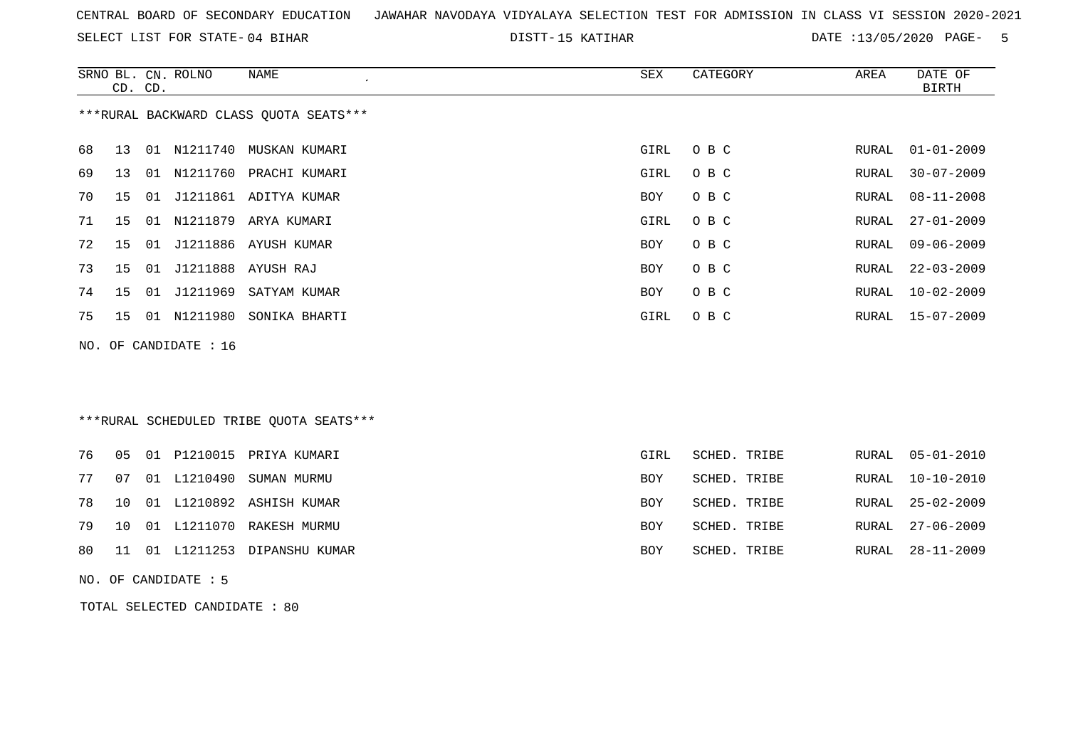SELECT LIST FOR STATE- DISTT- 04 BIHAR

15 KATIHAR DATE :13/05/2020 PAGE- 5

|    |                                         | CD. CD. | SRNO BL. CN. ROLNO | <b>NAME</b><br>$\epsilon$               | SEX  | CATEGORY     | AREA  | DATE OF<br>BIRTH |  |
|----|-----------------------------------------|---------|--------------------|-----------------------------------------|------|--------------|-------|------------------|--|
|    |                                         |         |                    | *** RURAL BACKWARD CLASS QUOTA SEATS*** |      |              |       |                  |  |
| 68 | 13                                      |         |                    | 01 N1211740 MUSKAN KUMARI               | GIRL | O B C        | RURAL | $01 - 01 - 2009$ |  |
| 69 | 13                                      | 01      | N1211760           | PRACHI KUMARI                           | GIRL | O B C        | RURAL | $30 - 07 - 2009$ |  |
| 70 | 15                                      | 01      |                    | J1211861 ADITYA KUMAR                   | BOY  | O B C        | RURAL | $08 - 11 - 2008$ |  |
| 71 | 15                                      |         |                    | 01 N1211879 ARYA KUMARI                 | GIRL | O B C        | RURAL | $27 - 01 - 2009$ |  |
| 72 | 15                                      |         |                    | 01 J1211886 AYUSH KUMAR                 | BOY  | O B C        | RURAL | $09 - 06 - 2009$ |  |
| 73 | 15                                      | 01      |                    | J1211888 AYUSH RAJ                      | BOY  | O B C        | RURAL | $22 - 03 - 2009$ |  |
| 74 | 15                                      | 01      | J1211969           | SATYAM KUMAR                            | BOY  | O B C        | RURAL | $10 - 02 - 2009$ |  |
| 75 | 15                                      |         | 01 N1211980        | SONIKA BHARTI                           | GIRL | O B C        | RURAL | $15 - 07 - 2009$ |  |
|    | NO. OF CANDIDATE : 16                   |         |                    |                                         |      |              |       |                  |  |
|    | ***RURAL SCHEDULED TRIBE OUOTA SEATS*** |         |                    |                                         |      |              |       |                  |  |
| 76 | 05                                      |         | 01 P1210015        | PRIYA KUMARI                            | GIRL | SCHED. TRIBE | RURAL | $05 - 01 - 2010$ |  |

 07 01 L1210490 SUMAN MURMU BOY SCHED. TRIBE RURAL 10-10-2010 10 01 L1210892 ASHISH KUMAR BOY SCHED. TRIBE RURAL 25-02-2009 10 01 L1211070 RAKESH MURMU BOY SCHED. TRIBE RURAL 27-06-2009 11 01 L1211253 DIPANSHU KUMAR BOY SCHED. TRIBE RURAL 28-11-2009

TOTAL SELECTED CANDIDATE : 80

NO. OF CANDIDATE : 5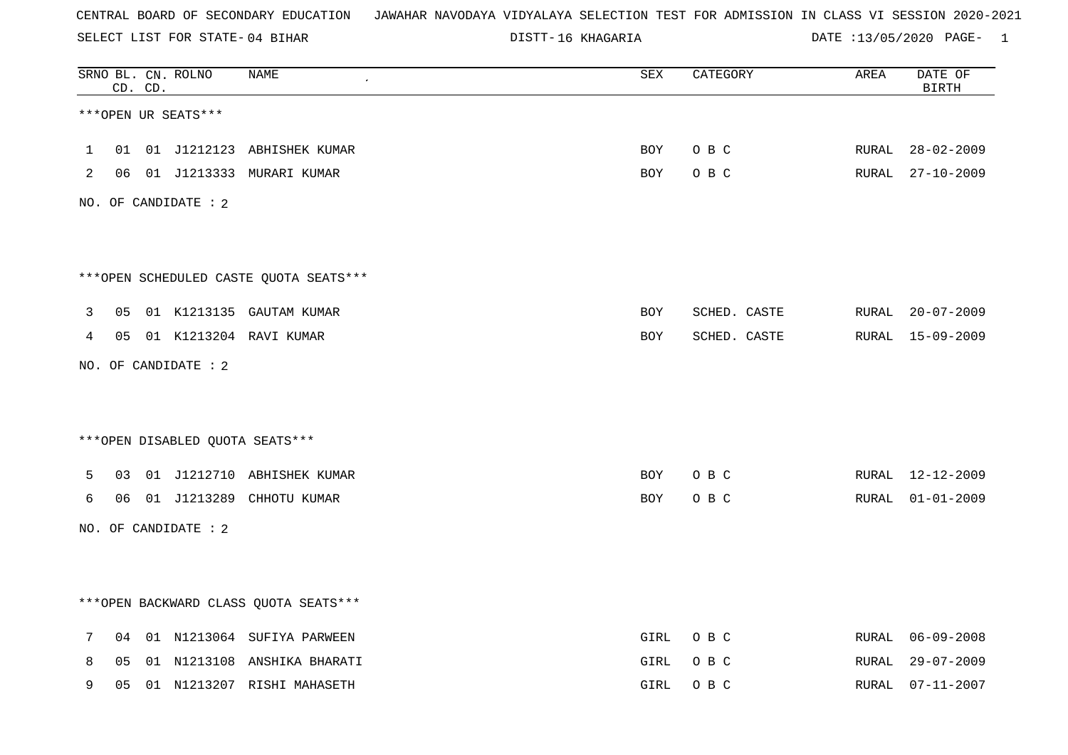SELECT LIST FOR STATE- DISTT- 04 BIHAR

16 KHAGARIA DATE :13/05/2020 PAGE- 1

|             |    | CD. CD. | SRNO BL. CN. ROLNO   | <b>NAME</b>                            | $\overline{\mathtt{SEX}}$ | CATEGORY     | AREA  | DATE OF<br><b>BIRTH</b> |
|-------------|----|---------|----------------------|----------------------------------------|---------------------------|--------------|-------|-------------------------|
|             |    |         | ***OPEN UR SEATS***  |                                        |                           |              |       |                         |
| $\mathbf 1$ | 01 |         |                      | 01 J1212123 ABHISHEK KUMAR             | <b>BOY</b>                | O B C        | RURAL | $28 - 02 - 2009$        |
| 2           | 06 |         |                      | 01 J1213333 MURARI KUMAR               | BOY                       | O B C        | RURAL | 27-10-2009              |
|             |    |         | NO. OF CANDIDATE : 2 |                                        |                           |              |       |                         |
|             |    |         |                      |                                        |                           |              |       |                         |
|             |    |         |                      | ***OPEN SCHEDULED CASTE QUOTA SEATS*** |                           |              |       |                         |
| 3           | 05 |         |                      | 01 K1213135 GAUTAM KUMAR               | BOY                       | SCHED. CASTE |       | RURAL 20-07-2009        |
| 4           | 05 |         |                      | 01 K1213204 RAVI KUMAR                 | BOY                       | SCHED. CASTE |       | RURAL 15-09-2009        |
|             |    |         | NO. OF CANDIDATE : 2 |                                        |                           |              |       |                         |
|             |    |         |                      |                                        |                           |              |       |                         |
|             |    |         |                      | *** OPEN DISABLED QUOTA SEATS***       |                           |              |       |                         |
| 5           | 03 |         |                      | 01 J1212710 ABHISHEK KUMAR             | BOY                       | O B C        | RURAL | 12-12-2009              |
| 6           | 06 |         |                      | 01 J1213289 CHHOTU KUMAR               | BOY                       | O B C        | RURAL | $01 - 01 - 2009$        |
|             |    |         | NO. OF CANDIDATE : 2 |                                        |                           |              |       |                         |
|             |    |         |                      |                                        |                           |              |       |                         |
|             |    |         |                      | *** OPEN BACKWARD CLASS QUOTA SEATS*** |                           |              |       |                         |
| 7           | 04 |         |                      | 01 N1213064 SUFIYA PARWEEN             | GIRL                      | O B C        | RURAL | 06-09-2008              |
| 8           | 05 |         |                      | 01 N1213108 ANSHIKA BHARATI            | GIRL                      | O B C        | RURAL | $29 - 07 - 2009$        |
| 9           | 05 |         |                      | 01 N1213207 RISHI MAHASETH             | GIRL                      | O B C        | RURAL | $07 - 11 - 2007$        |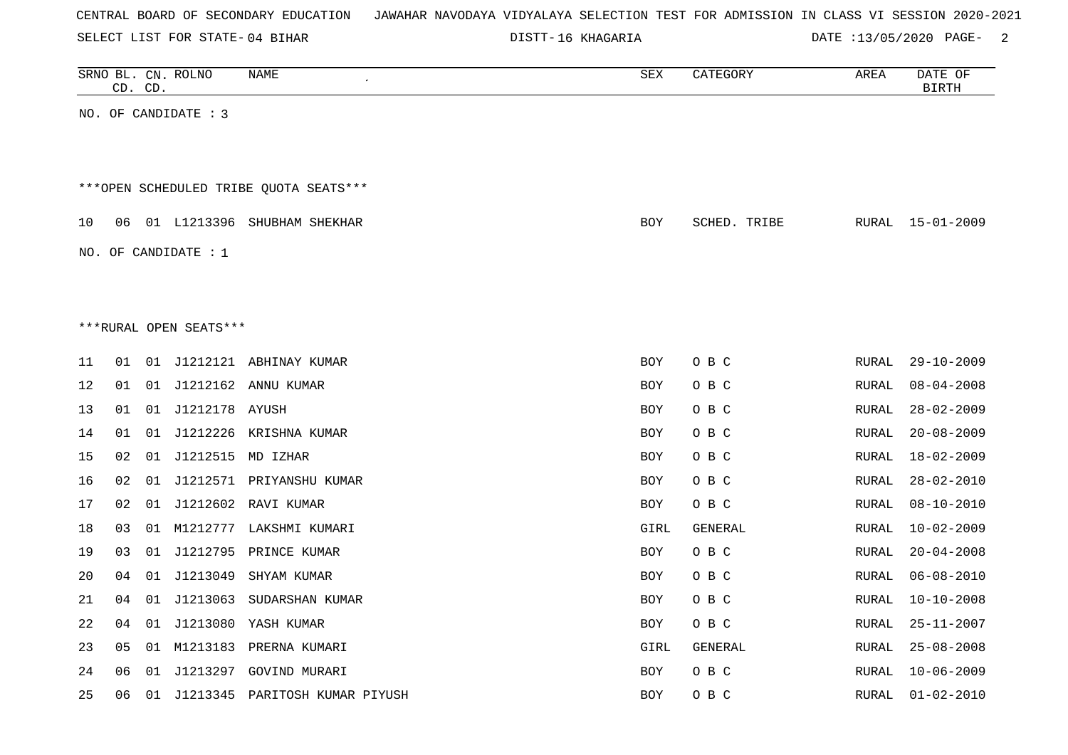| CENTRAL BOARD OF SECONDARY EDUCATION – JAWAHAR NAVODAYA VIDYALAYA SELECTION TEST FOR ADMISSION IN CLASS VI SESSION 2020-2021 |
|------------------------------------------------------------------------------------------------------------------------------|
|------------------------------------------------------------------------------------------------------------------------------|

16 KHAGARIA DATE :13/05/2020 PAGE- 2

|    |    | CD. CD. | SRNO BL. CN. ROLNO     | NAME<br>$\epsilon$                     | SEX        | CATEGORY       | AREA         | DATE OF<br><b>BIRTH</b> |
|----|----|---------|------------------------|----------------------------------------|------------|----------------|--------------|-------------------------|
|    |    |         | NO. OF CANDIDATE : 3   |                                        |            |                |              |                         |
|    |    |         |                        |                                        |            |                |              |                         |
|    |    |         |                        |                                        |            |                |              |                         |
|    |    |         |                        | ***OPEN SCHEDULED TRIBE OUOTA SEATS*** |            |                |              |                         |
| 10 |    |         |                        | 06 01 L1213396 SHUBHAM SHEKHAR         | <b>BOY</b> | SCHED. TRIBE   | RURAL        | 15-01-2009              |
|    |    |         | NO. OF CANDIDATE : $1$ |                                        |            |                |              |                         |
|    |    |         |                        |                                        |            |                |              |                         |
|    |    |         |                        |                                        |            |                |              |                         |
|    |    |         | ***RURAL OPEN SEATS*** |                                        |            |                |              |                         |
| 11 | 01 |         |                        | 01 J1212121 ABHINAY KUMAR              | <b>BOY</b> | O B C          | RURAL        | $29 - 10 - 2009$        |
| 12 | 01 |         |                        | 01 J1212162 ANNU KUMAR                 | <b>BOY</b> | O B C          | <b>RURAL</b> | $08 - 04 - 2008$        |
| 13 | 01 |         | 01 J1212178 AYUSH      |                                        | <b>BOY</b> | O B C          | RURAL        | $28 - 02 - 2009$        |
| 14 | 01 |         |                        | 01 J1212226 KRISHNA KUMAR              | <b>BOY</b> | O B C          | RURAL        | $20 - 08 - 2009$        |
| 15 | 02 |         | 01 J1212515 MD IZHAR   |                                        | <b>BOY</b> | O B C          | <b>RURAL</b> | $18 - 02 - 2009$        |
| 16 | 02 |         |                        | 01 J1212571 PRIYANSHU KUMAR            | <b>BOY</b> | O B C          | RURAL        | $28 - 02 - 2010$        |
| 17 | 02 |         |                        | 01 J1212602 RAVI KUMAR                 | <b>BOY</b> | O B C          | RURAL        | $08 - 10 - 2010$        |
| 18 | 03 |         |                        | 01 M1212777 LAKSHMI KUMARI             | GIRL       | <b>GENERAL</b> | RURAL        | $10 - 02 - 2009$        |
| 19 | 03 |         |                        | 01 J1212795 PRINCE KUMAR               | <b>BOY</b> | O B C          | <b>RURAL</b> | $20 - 04 - 2008$        |
| 20 | 04 |         | 01 J1213049            | SHYAM KUMAR                            | <b>BOY</b> | O B C          | RURAL        | $06 - 08 - 2010$        |
| 21 | 04 |         |                        | 01 J1213063 SUDARSHAN KUMAR            | <b>BOY</b> | O B C          | RURAL        | $10 - 10 - 2008$        |
| 22 | 04 |         |                        | 01 J1213080 YASH KUMAR                 | <b>BOY</b> | O B C          | RURAL        | $25 - 11 - 2007$        |
| 23 | 05 |         |                        | 01 M1213183 PRERNA KUMARI              | GIRL       | GENERAL        | RURAL        | $25 - 08 - 2008$        |
| 24 | 06 |         |                        | 01 J1213297 GOVIND MURARI              | <b>BOY</b> | O B C          | RURAL        | $10 - 06 - 2009$        |
| 25 | 06 |         |                        | 01 J1213345 PARITOSH KUMAR PIYUSH      | <b>BOY</b> | O B C          | RURAL        | $01 - 02 - 2010$        |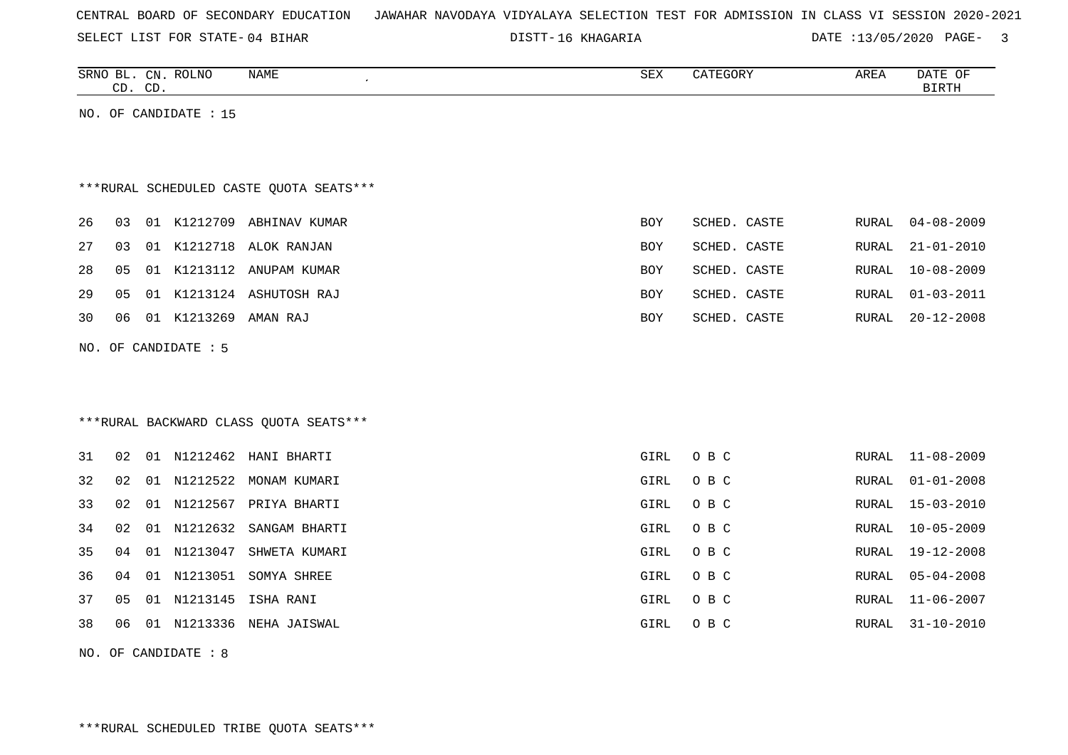|  |  |  | CENTRAL BOARD OF SECONDARY EDUCATION – JAWAHAR NAVODAYA VIDYALAYA SELECTION TEST FOR ADMISSION IN CLASS VI SESSION 2020-2021 |  |  |  |  |  |  |  |  |  |  |  |  |  |  |  |
|--|--|--|------------------------------------------------------------------------------------------------------------------------------|--|--|--|--|--|--|--|--|--|--|--|--|--|--|--|
|--|--|--|------------------------------------------------------------------------------------------------------------------------------|--|--|--|--|--|--|--|--|--|--|--|--|--|--|--|

16 KHAGARIA DATE :13/05/2020 PAGE- 3

| NAME<br>SRNO BL. CN. ROLNO<br>$\cdot$<br>CD. CD. | SEX | CATEGORY     | AREA  | DATE OF<br>BIRTH |
|--------------------------------------------------|-----|--------------|-------|------------------|
|                                                  |     |              |       |                  |
| NO. OF CANDIDATE : 15                            |     |              |       |                  |
|                                                  |     |              |       |                  |
|                                                  |     |              |       |                  |
| ***RURAL SCHEDULED CASTE QUOTA SEATS***          |     |              |       |                  |
|                                                  |     |              |       |                  |
| 01 K1212709 ABHINAV KUMAR<br>26<br>03            | BOY | SCHED. CASTE | RURAL | $04 - 08 - 2009$ |
| 01 K1212718 ALOK RANJAN<br>27<br>03              | BOY | SCHED. CASTE | RURAL | $21 - 01 - 2010$ |
| 28<br>01 K1213112 ANUPAM KUMAR<br>05             | BOY | SCHED. CASTE | RURAL | $10 - 08 - 2009$ |
| 01 K1213124 ASHUTOSH RAJ<br>29<br>05             | BOY | SCHED. CASTE | RURAL | 01-03-2011       |
| 01 K1213269 AMAN RAJ<br>06<br>30                 | BOY | SCHED. CASTE | RURAL | $20 - 12 - 2008$ |
|                                                  |     |              |       |                  |
| NO. OF CANDIDATE $: 5$                           |     |              |       |                  |

# \*\*\*RURAL BACKWARD CLASS QUOTA SEATS\*\*\*

| 31 | 02 <sub>o</sub> | 01 | N1212462    | HANI BHARTI   | GIRL | O B C | RURAL | 11-08-2009       |
|----|-----------------|----|-------------|---------------|------|-------|-------|------------------|
| 32 | 02              | 01 | N1212522    | MONAM KUMARI  | GIRL | O B C | RURAL | $01 - 01 - 2008$ |
| 33 | 02              |    | 01 N1212567 | PRIYA BHARTI  | GIRL | O B C |       | RURAL 15-03-2010 |
| 34 | 02              | 01 | N1212632    | SANGAM BHARTI | GIRL | O B C | RURAL | 10-05-2009       |
| 35 | 04              |    | 01 N1213047 | SHWETA KUMARI | GIRL | O B C | RURAL | 19-12-2008       |
| 36 | 04              | 01 | N1213051    | SOMYA SHREE   | GIRL | O B C | RURAL | $05 - 04 - 2008$ |
| 37 | 05              |    | 01 N1213145 | ISHA RANI     | GIRL | O B C | RURAL | 11-06-2007       |
| 38 | 06              | 01 | N1213336    | NEHA JAISWAL  | GIRL | O B C | RURAL | $31 - 10 - 2010$ |

NO. OF CANDIDATE : 8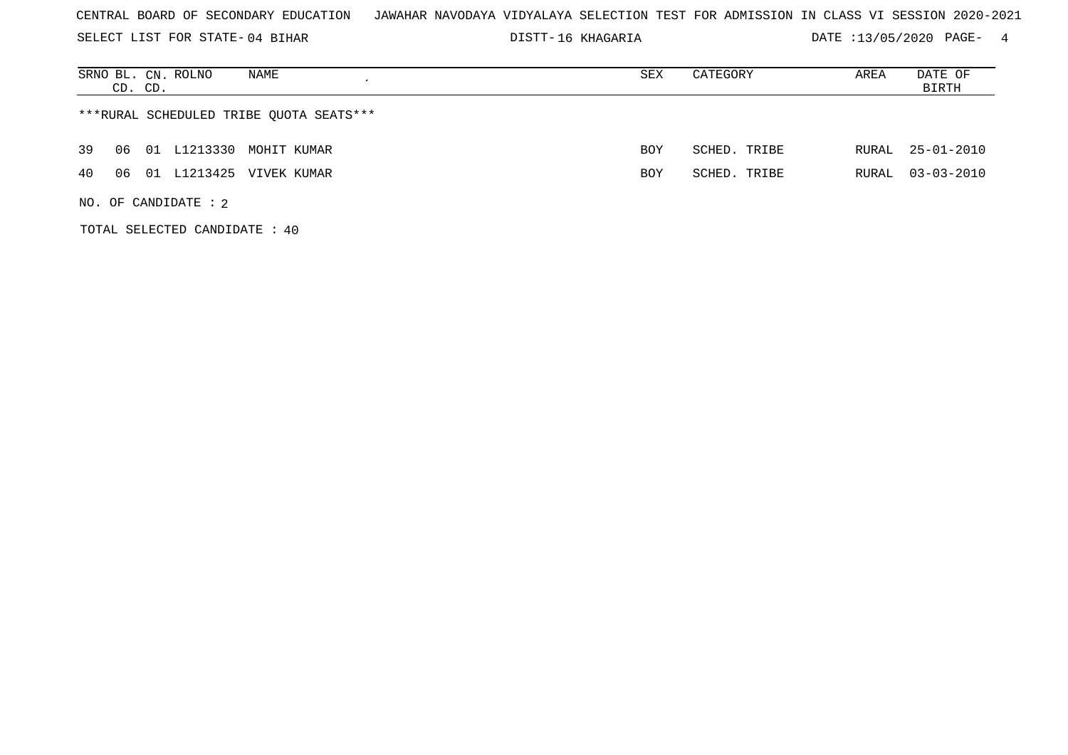SELECT LIST FOR STATE- DISTT- 04 BIHAR

16 KHAGARIA DATE :13/05/2020 PAGE- 4

| SRNO BL. CN. ROLNO<br>NAME<br>CD. CD.   | SEX        | CATEGORY     | AREA  | DATE OF<br>BIRTH |  |  |  |  |  |  |  |
|-----------------------------------------|------------|--------------|-------|------------------|--|--|--|--|--|--|--|
| ***RURAL SCHEDULED TRIBE OUOTA SEATS*** |            |              |       |                  |  |  |  |  |  |  |  |
| 01 L1213330 MOHIT KUMAR<br>39<br>06     | <b>BOY</b> | SCHED. TRIBE |       | RURAL 25-01-2010 |  |  |  |  |  |  |  |
| 01 L1213425 VIVEK KUMAR<br>40<br>06     | <b>BOY</b> | SCHED. TRIBE | RURAL | $03 - 03 - 2010$ |  |  |  |  |  |  |  |
| NO. OF CANDIDATE : $2$                  |            |              |       |                  |  |  |  |  |  |  |  |

TOTAL SELECTED CANDIDATE : 40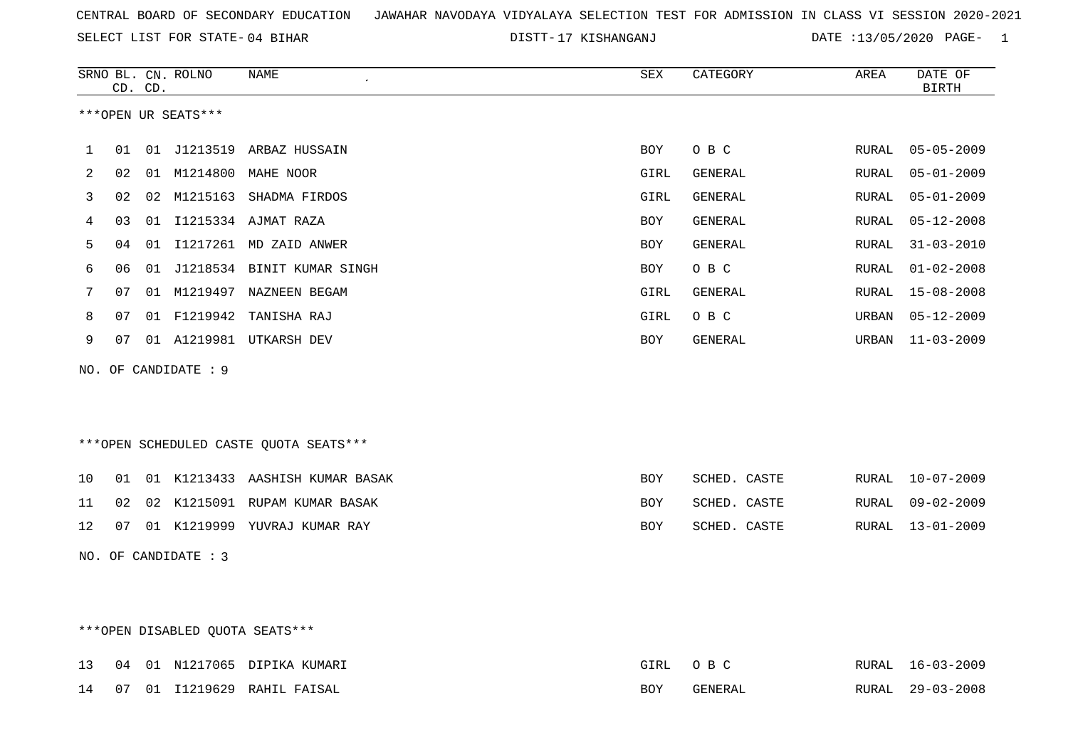SELECT LIST FOR STATE- DISTT- 04 BIHAR

17 KISHANGANJ DATE :13/05/2020 PAGE- 1

|     |    | CD. CD. | SRNO BL. CN. ROLNO   | NAME                                   | SEX        | CATEGORY       | AREA          | DATE OF<br><b>BIRTH</b> |
|-----|----|---------|----------------------|----------------------------------------|------------|----------------|---------------|-------------------------|
|     |    |         | ***OPEN UR SEATS***  |                                        |            |                |               |                         |
| 1   | 01 |         |                      | 01 J1213519 ARBAZ HUSSAIN              | BOY        | O B C          | RURAL         | $05 - 05 - 2009$        |
| 2   | 02 |         |                      | 01 M1214800 MAHE NOOR                  | GIRL       | <b>GENERAL</b> | RURAL         | $05 - 01 - 2009$        |
| 3   | 02 | 02      | M1215163             | SHADMA FIRDOS                          | GIRL       | GENERAL        | ${\tt RURAL}$ | $05 - 01 - 2009$        |
| 4   | 03 | 01      |                      | I1215334 AJMAT RAZA                    | BOY        | GENERAL        | RURAL         | $05 - 12 - 2008$        |
| 5   | 04 | 01      |                      | I1217261 MD ZAID ANWER                 | BOY        | GENERAL        | RURAL         | $31 - 03 - 2010$        |
| 6   | 06 | 01      |                      | J1218534 BINIT KUMAR SINGH             | BOY        | O B C          | RURAL         | $01 - 02 - 2008$        |
| 7   | 07 |         | 01 M1219497          | NAZNEEN BEGAM                          | GIRL       | GENERAL        | RURAL         | $15 - 08 - 2008$        |
| 8   | 07 |         |                      | 01 F1219942 TANISHA RAJ                | GIRL       | O B C          | URBAN         | $05 - 12 - 2009$        |
| 9   | 07 |         |                      | 01 A1219981 UTKARSH DEV                | BOY        | GENERAL        | URBAN         | $11 - 03 - 2009$        |
| NO. |    |         | OF CANDIDATE : 9     |                                        |            |                |               |                         |
|     |    |         |                      | ***OPEN SCHEDULED CASTE QUOTA SEATS*** |            |                |               |                         |
| 10  | 01 |         |                      | 01 K1213433 AASHISH KUMAR BASAK        | <b>BOY</b> | SCHED. CASTE   | RURAL         | $10 - 07 - 2009$        |
| 11  | 02 | 02      |                      | K1215091 RUPAM KUMAR BASAK             | BOY        | SCHED. CASTE   | RURAL         | $09 - 02 - 2009$        |
| 12  | 07 |         |                      | 01 K1219999 YUVRAJ KUMAR RAY           | <b>BOY</b> | SCHED. CASTE   | RURAL         | $13 - 01 - 2009$        |
|     |    |         | NO. OF CANDIDATE : 3 |                                        |            |                |               |                         |

# \*\*\*OPEN DISABLED QUOTA SEATS\*\*\*

|  |  | 13 04 01 N1217065 DIPIKA KUMARI | GIRL OBC |         | RURAL 16-03-2009 |
|--|--|---------------------------------|----------|---------|------------------|
|  |  | 14 07 01 I1219629 RAHIL FAISAL  | BOY      | GENERAL | RURAL 29-03-2008 |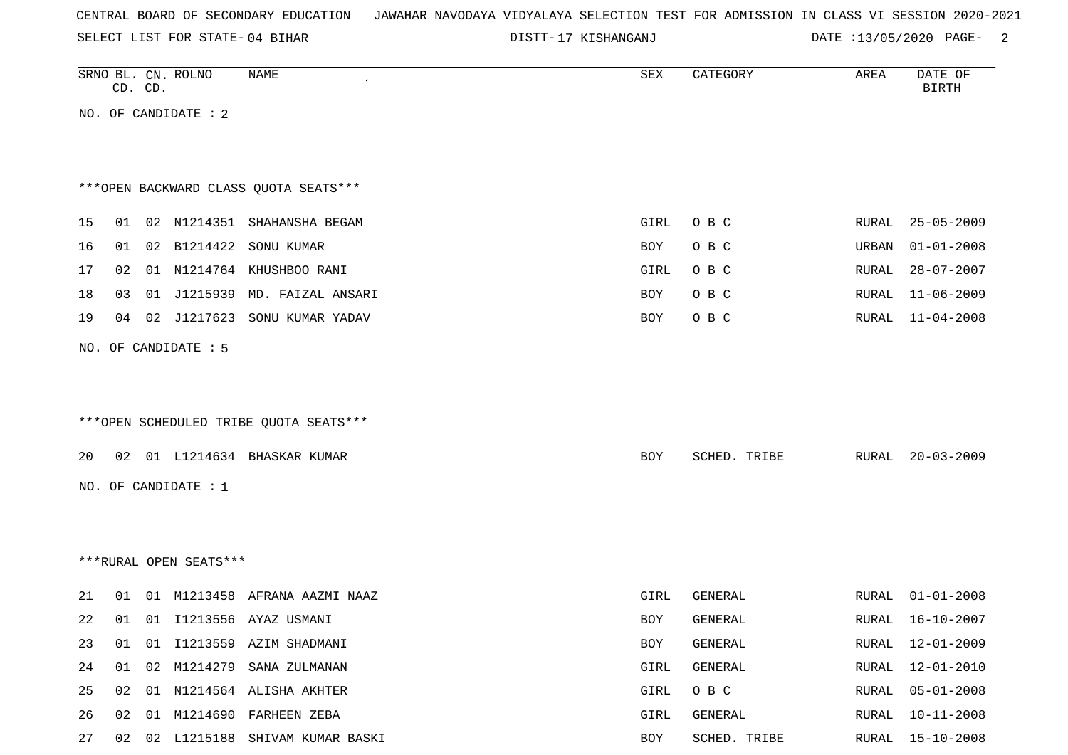SELECT LIST FOR STATE- DISTT- 04 BIHAR

17 KISHANGANJ DATE :13/05/2020 PAGE- 2

|    |    | CD. CD. | SRNO BL. CN. ROLNO     | <b>NAME</b>                            | SEX  | CATEGORY       | AREA  | DATE OF<br><b>BIRTH</b> |
|----|----|---------|------------------------|----------------------------------------|------|----------------|-------|-------------------------|
|    |    |         | NO. OF CANDIDATE : 2   |                                        |      |                |       |                         |
|    |    |         |                        |                                        |      |                |       |                         |
|    |    |         |                        |                                        |      |                |       |                         |
|    |    |         |                        | *** OPEN BACKWARD CLASS QUOTA SEATS*** |      |                |       |                         |
| 15 | 01 |         |                        | 02 N1214351 SHAHANSHA BEGAM            | GIRL | O B C          | RURAL | $25 - 05 - 2009$        |
| 16 | 01 |         | 02 B1214422            | SONU KUMAR                             | BOY  | O B C          | URBAN | $01 - 01 - 2008$        |
| 17 | 02 |         |                        | 01 N1214764 KHUSHBOO RANI              | GIRL | O B C          | RURAL | $28 - 07 - 2007$        |
| 18 | 03 |         | 01 J1215939            | MD. FAIZAL ANSARI                      | BOY  | O B C          | RURAL | $11 - 06 - 2009$        |
| 19 | 04 | 02      | J1217623               | SONU KUMAR YADAV                       | BOY  | O B C          | RURAL | $11 - 04 - 2008$        |
|    |    |         |                        |                                        |      |                |       |                         |
|    |    |         | NO. OF CANDIDATE : 5   |                                        |      |                |       |                         |
|    |    |         |                        |                                        |      |                |       |                         |
|    |    |         |                        | ***OPEN SCHEDULED TRIBE QUOTA SEATS*** |      |                |       |                         |
|    |    |         |                        |                                        |      |                |       |                         |
| 20 |    |         |                        | 02 01 L1214634 BHASKAR KUMAR           | BOY  | SCHED. TRIBE   | RURAL | $20 - 03 - 2009$        |
|    |    |         | NO. OF CANDIDATE : 1   |                                        |      |                |       |                         |
|    |    |         |                        |                                        |      |                |       |                         |
|    |    |         |                        |                                        |      |                |       |                         |
|    |    |         | ***RURAL OPEN SEATS*** |                                        |      |                |       |                         |
|    |    |         |                        |                                        |      |                |       |                         |
| 21 | 01 |         |                        | 01 M1213458 AFRANA AAZMI NAAZ          | GIRL | <b>GENERAL</b> | RURAL | $01 - 01 - 2008$        |
| 22 |    |         |                        | 01  01  11213556  AYAZ  USMANI         | BOY  | GENERAL        |       | RURAL 16-10-2007        |
| 23 | 01 |         |                        | 01 I1213559 AZIM SHADMANI              | BOY  | GENERAL        |       | RURAL 12-01-2009        |
| 24 | 01 | 02      | M1214279               | SANA ZULMANAN                          | GIRL | GENERAL        | RURAL | 12-01-2010              |
| 25 | 02 |         |                        | 01 N1214564 ALISHA AKHTER              | GIRL | O B C          | RURAL | $05 - 01 - 2008$        |
| 26 | 02 |         |                        | 01 M1214690 FARHEEN ZEBA               | GIRL | GENERAL        | RURAL | $10 - 11 - 2008$        |
| 27 | 02 |         |                        | 02 L1215188 SHIVAM KUMAR BASKI         | BOY  | SCHED. TRIBE   | RURAL | $15 - 10 - 2008$        |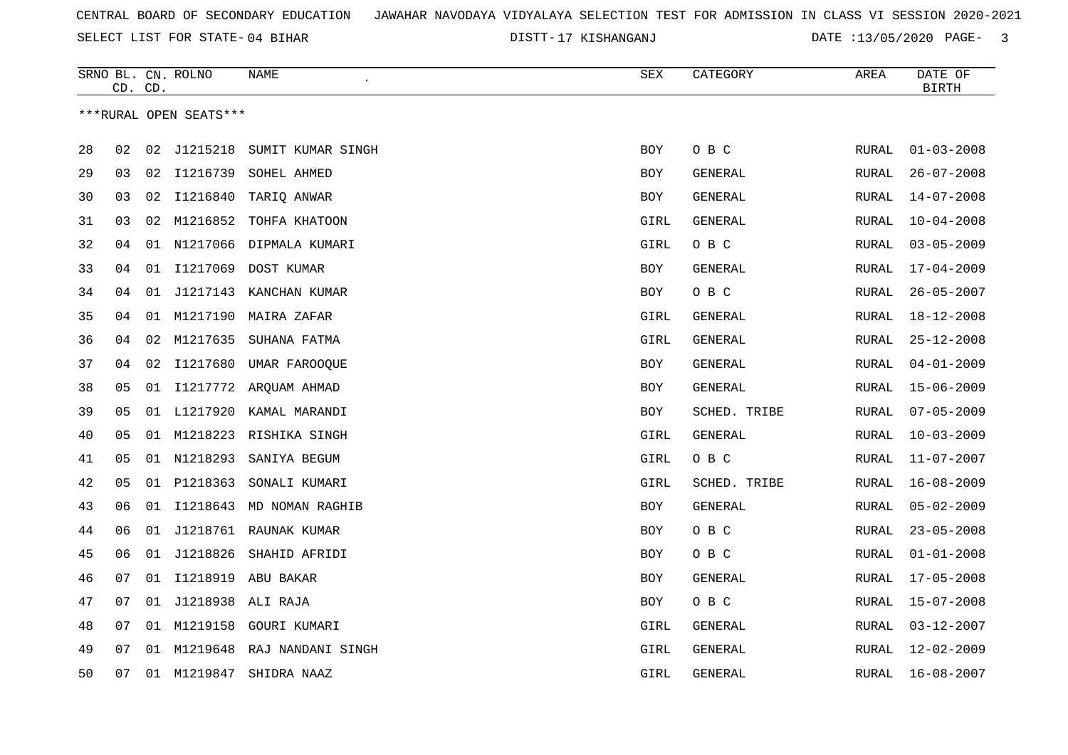SELECT LIST FOR STATE- DISTT- 04 BIHAR

17 KISHANGANJ DATE :13/05/2020 PAGE- 3

|    | CD. CD. |    | SRNO BL. CN. ROLNO     | NAME                     | SEX        | CATEGORY       | AREA         | DATE OF<br><b>BIRTH</b> |
|----|---------|----|------------------------|--------------------------|------------|----------------|--------------|-------------------------|
|    |         |    | ***RURAL OPEN SEATS*** |                          |            |                |              |                         |
| 28 | 02      | 02 | J1215218               | SUMIT KUMAR SINGH        | <b>BOY</b> | O B C          | <b>RURAL</b> | $01 - 03 - 2008$        |
| 29 | 03      | 02 | I1216739               | SOHEL AHMED              | <b>BOY</b> | GENERAL        | RURAL        | $26 - 07 - 2008$        |
| 30 | 03      | 02 | I1216840               | TARIQ ANWAR              | BOY        | GENERAL        | RURAL        | $14 - 07 - 2008$        |
| 31 | 03      | 02 | M1216852               | TOHFA KHATOON            | GIRL       | GENERAL        | RURAL        | $10 - 04 - 2008$        |
| 32 | 04      |    | 01 N1217066            | DIPMALA KUMARI           | GIRL       | O B C          | RURAL        | $03 - 05 - 2009$        |
| 33 | 04      | 01 | I1217069               | DOST KUMAR               | BOY        | GENERAL        | RURAL        | $17 - 04 - 2009$        |
| 34 | 04      | 01 | J1217143               | KANCHAN KUMAR            | BOY        | O B C          | RURAL        | $26 - 05 - 2007$        |
| 35 | 04      | 01 | M1217190               | MAIRA ZAFAR              | GIRL       | GENERAL        | RURAL        | $18 - 12 - 2008$        |
| 36 | 04      |    | 02 M1217635            | SUHANA FATMA             | GIRL       | GENERAL        | RURAL        | $25 - 12 - 2008$        |
| 37 | 04      | 02 | I1217680               | UMAR FAROOQUE            | BOY        | GENERAL        | RURAL        | $04 - 01 - 2009$        |
| 38 | 05      |    |                        | 01 I1217772 ARQUAM AHMAD | <b>BOY</b> | GENERAL        | RURAL        | $15 - 06 - 2009$        |
| 39 | 05      | 01 | L1217920               | KAMAL MARANDI            | BOY        | SCHED. TRIBE   | RURAL        | $07 - 05 - 2009$        |
| 40 | 05      | 01 |                        | M1218223 RISHIKA SINGH   | GIRL       | <b>GENERAL</b> | RURAL        | $10 - 03 - 2009$        |
| 41 | 05      |    | 01 N1218293            | SANIYA BEGUM             | GIRL       | O B C          | RURAL        | $11 - 07 - 2007$        |
| 42 | 05      |    | 01 P1218363            | SONALI KUMARI            | GIRL       | SCHED. TRIBE   | RURAL        | $16 - 08 - 2009$        |
| 43 | 06      | 01 |                        | I1218643 MD NOMAN RAGHIB | BOY        | GENERAL        | RURAL        | $05 - 02 - 2009$        |
| 44 | 06      | 01 |                        | J1218761 RAUNAK KUMAR    | BOY        | O B C          | RURAL        | $23 - 05 - 2008$        |
| 45 | 06      | 01 | J1218826               | SHAHID AFRIDI            | <b>BOY</b> | O B C          | <b>RURAL</b> | $01 - 01 - 2008$        |
| 46 | 07      |    |                        | 01 I1218919 ABU BAKAR    | <b>BOY</b> | GENERAL        | RURAL        | $17 - 05 - 2008$        |
| 47 | 07      |    | 01 J1218938 ALI RAJA   |                          | BOY        | O B C          | <b>RURAL</b> | $15 - 07 - 2008$        |
| 48 | 07      | 01 | M1219158               | GOURI KUMARI             | GIRL       | GENERAL        | RURAL        | $03 - 12 - 2007$        |
| 49 | 07      | 01 | M1219648               | RAJ NANDANI SINGH        | GIRL       | GENERAL        | RURAL        | $12 - 02 - 2009$        |
| 50 | 07      | 01 | M1219847               | SHIDRA NAAZ              | GIRL       | GENERAL        | RURAL        | $16 - 08 - 2007$        |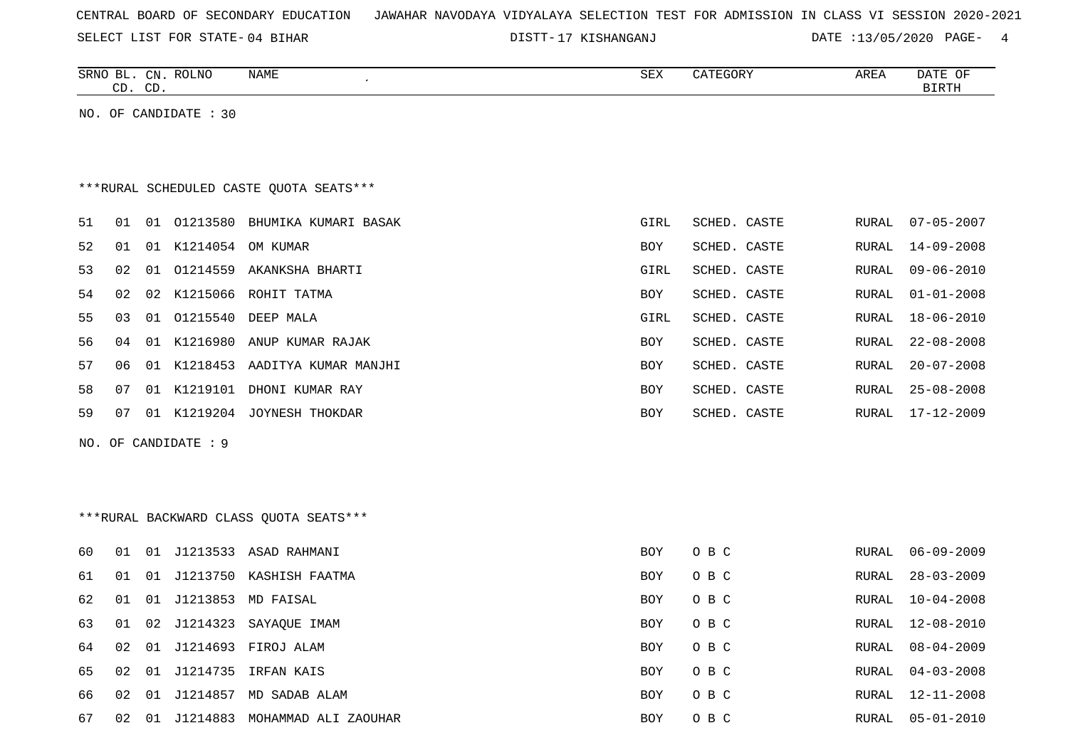SELECT LIST FOR STATE- DISTT- 04 BIHAR

17 KISHANGANJ DATE :13/05/2020 PAGE- 4

|    |    | CD. CD. | SRNO BL. CN. ROLNO    | NAME                                     | SEX        | CATEGORY     | AREA         | DATE OF<br><b>BIRTH</b> |
|----|----|---------|-----------------------|------------------------------------------|------------|--------------|--------------|-------------------------|
|    |    |         | NO. OF CANDIDATE : 30 |                                          |            |              |              |                         |
|    |    |         |                       |                                          |            |              |              |                         |
|    |    |         |                       |                                          |            |              |              |                         |
|    |    |         |                       | *** RURAL SCHEDULED CASTE QUOTA SEATS*** |            |              |              |                         |
| 51 | 01 |         |                       | 01 01213580 BHUMIKA KUMARI BASAK         | GIRL       | SCHED. CASTE | RURAL        | $07 - 05 - 2007$        |
| 52 | 01 | 01      |                       | K1214054 OM KUMAR                        | BOY        | SCHED. CASTE | RURAL        | $14 - 09 - 2008$        |
| 53 | 02 | 01      |                       | 01214559 AKANKSHA BHARTI                 | GIRL       | SCHED. CASTE | RURAL        | $09 - 06 - 2010$        |
| 54 | 02 | 02      |                       | K1215066 ROHIT TATMA                     | BOY        | SCHED. CASTE | RURAL        | $01 - 01 - 2008$        |
| 55 | 03 | 01      | 01215540              | DEEP MALA                                | GIRL       | SCHED. CASTE | RURAL        | $18 - 06 - 2010$        |
| 56 | 04 | 01      |                       | K1216980 ANUP KUMAR RAJAK                | BOY        | SCHED. CASTE | RURAL        | $22 - 08 - 2008$        |
| 57 | 06 | 01      |                       | K1218453 AADITYA KUMAR MANJHI            | <b>BOY</b> | SCHED. CASTE | RURAL        | $20 - 07 - 2008$        |
| 58 | 07 |         |                       | 01 K1219101 DHONI KUMAR RAY              | <b>BOY</b> | SCHED. CASTE | RURAL        | $25 - 08 - 2008$        |
| 59 | 07 |         |                       | 01 K1219204 JOYNESH THOKDAR              | BOY        | SCHED. CASTE | RURAL        | $17 - 12 - 2009$        |
|    |    |         | NO. OF CANDIDATE : 9  |                                          |            |              |              |                         |
|    |    |         |                       |                                          |            |              |              |                         |
|    |    |         |                       |                                          |            |              |              |                         |
|    |    |         |                       | *** RURAL BACKWARD CLASS QUOTA SEATS***  |            |              |              |                         |
| 60 | 01 | 01      |                       | J1213533 ASAD RAHMANI                    | BOY        | O B C        | RURAL        | $06 - 09 - 2009$        |
| 61 | 01 | 01      |                       | J1213750 KASHISH FAATMA                  | <b>BOY</b> | O B C        | <b>RURAL</b> | $28 - 03 - 2009$        |
| 62 | 01 | 01      |                       | J1213853 MD FAISAL                       | BOY        | O B C        | RURAL        | $10 - 04 - 2008$        |
| 63 | 01 | 02      |                       | J1214323 SAYAQUE IMAM                    | <b>BOY</b> | O B C        | RURAL        | $12 - 08 - 2010$        |
| 64 | 02 | 01      |                       | J1214693 FIROJ ALAM                      | BOY        | O B C        | <b>RURAL</b> | $08 - 04 - 2009$        |
| 65 | 02 | 01      | J1214735              | IRFAN KAIS                               | <b>BOY</b> | O B C        | RURAL        | $04 - 03 - 2008$        |
| 66 | 02 | 01      |                       | J1214857 MD SADAB ALAM                   | BOY        | O B C        | RURAL        | $12 - 11 - 2008$        |
| 67 | 02 | 01      |                       | J1214883 MOHAMMAD ALI ZAOUHAR            | <b>BOY</b> | O B C        | RURAL        | $05 - 01 - 2010$        |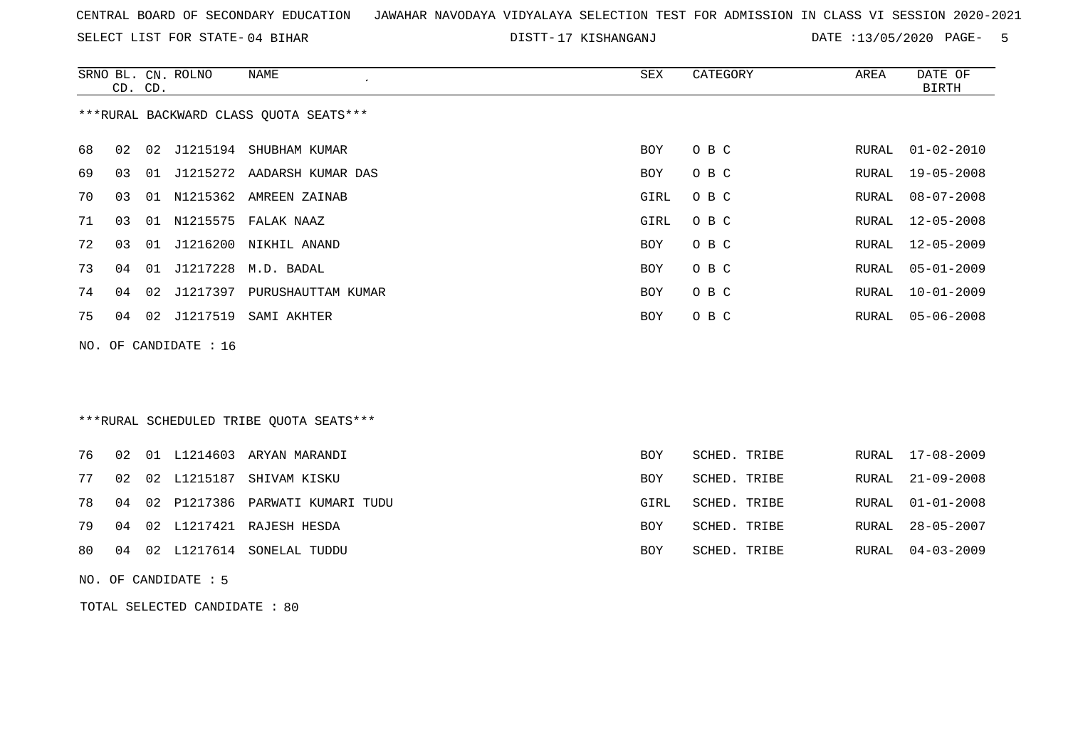SELECT LIST FOR STATE- DISTT- 04 BIHAR

17 KISHANGANJ DATE :13/05/2020 PAGE- 5

|    | CD. CD. |    | SRNO BL. CN. ROLNO    | <b>NAME</b>                             | SEX        | CATEGORY     | AREA         | DATE OF<br><b>BIRTH</b> |
|----|---------|----|-----------------------|-----------------------------------------|------------|--------------|--------------|-------------------------|
|    |         |    |                       | *** RURAL BACKWARD CLASS QUOTA SEATS*** |            |              |              |                         |
| 68 | 02      |    |                       | 02 J1215194 SHUBHAM KUMAR               | BOY        | O B C        | RURAL        | $01 - 02 - 2010$        |
| 69 | 03      | 01 |                       | J1215272 AADARSH KUMAR DAS              | BOY        | O B C        | RURAL        | $19 - 05 - 2008$        |
| 70 | 03      |    |                       | 01 N1215362 AMREEN ZAINAB               | GIRL       | O B C        | RURAL        | $08 - 07 - 2008$        |
| 71 | 03      | 01 | N1215575              | FALAK NAAZ                              | GIRL       | O B C        | RURAL        | $12 - 05 - 2008$        |
| 72 | 03      | 01 | J1216200              | NIKHIL ANAND                            | BOY        | O B C        | RURAL        | $12 - 05 - 2009$        |
| 73 | 04      | 01 |                       | J1217228 M.D. BADAL                     | <b>BOY</b> | O B C        | RURAL        | $05 - 01 - 2009$        |
| 74 | 04      | 02 | J1217397              | PURUSHAUTTAM KUMAR                      | BOY        | O B C        | RURAL        | $10 - 01 - 2009$        |
| 75 | 04      | 02 | J1217519              | SAMI AKHTER                             | BOY        | O B C        | RURAL        | $05 - 06 - 2008$        |
|    |         |    | NO. OF CANDIDATE : 16 |                                         |            |              |              |                         |
|    |         |    |                       | ***RURAL SCHEDULED TRIBE QUOTA SEATS*** |            |              |              |                         |
| 76 | 02      |    | 01 L1214603           | ARYAN MARANDI                           | <b>BOY</b> | SCHED. TRIBE | RURAL        | $17 - 08 - 2009$        |
| 77 | 02      | 02 | L1215187              | SHIVAM KISKU                            | <b>BOY</b> | SCHED. TRIBE | RURAL        | $21 - 09 - 2008$        |
| 78 | 04      | 02 |                       | P1217386 PARWATI KUMARI TUDU            | GIRL       | SCHED. TRIBE | RURAL        | $01 - 01 - 2008$        |
| 79 | 04      |    |                       | 02 L1217421 RAJESH HESDA                | BOY        | SCHED. TRIBE | <b>RURAL</b> | $28 - 05 - 2007$        |
| 80 | 04      | 02 |                       | L1217614 SONELAL TUDDU                  | BOY        | SCHED. TRIBE | RURAL        | $04 - 03 - 2009$        |
|    |         |    | NO. OF CANDIDATE : 5  |                                         |            |              |              |                         |

TOTAL SELECTED CANDIDATE : 80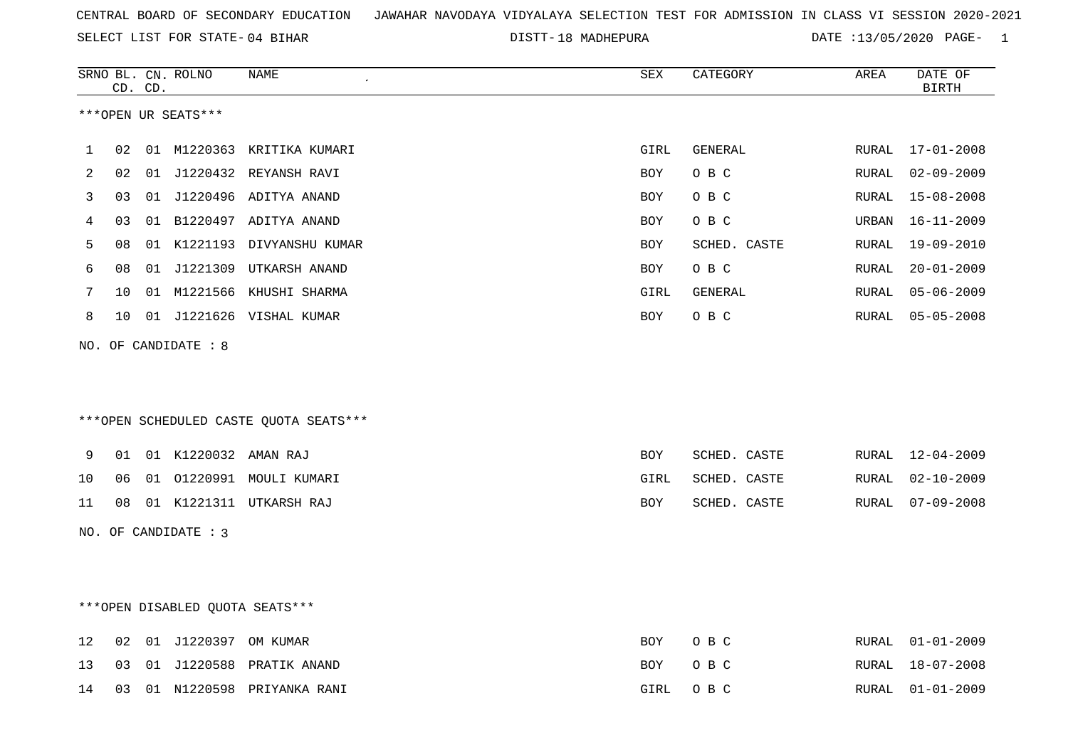SELECT LIST FOR STATE- DISTT- 04 BIHAR

DISTT-18 MADHEPURA **DATE** :13/05/2020 PAGE- 1

|    |    | CD. CD. | SRNO BL. CN. ROLNO   | NAME                                   | ${\tt SEX}$ | CATEGORY     | AREA  | DATE OF<br>BIRTH |
|----|----|---------|----------------------|----------------------------------------|-------------|--------------|-------|------------------|
|    |    |         | ***OPEN UR SEATS***  |                                        |             |              |       |                  |
| 1  | 02 |         |                      | 01 M1220363 KRITIKA KUMARI             | GIRL        | GENERAL      |       | RURAL 17-01-2008 |
| 2  | 02 |         |                      | 01 J1220432 REYANSH RAVI               | <b>BOY</b>  | O B C        | RURAL | $02 - 09 - 2009$ |
| 3  | 03 |         |                      | 01 J1220496 ADITYA ANAND               | BOY         | O B C        | RURAL | $15 - 08 - 2008$ |
| 4  | 03 |         |                      | 01 B1220497 ADITYA ANAND               | BOY         | O B C        | URBAN | 16-11-2009       |
| 5  | 08 |         |                      | 01 K1221193 DIVYANSHU KUMAR            | BOY         | SCHED. CASTE | RURAL | 19-09-2010       |
| 6  | 08 |         |                      | 01 J1221309 UTKARSH ANAND              | <b>BOY</b>  | O B C        | RURAL | $20 - 01 - 2009$ |
| 7  | 10 |         |                      | 01 M1221566 KHUSHI SHARMA              | GIRL        | GENERAL      | RURAL | $05 - 06 - 2009$ |
| 8  | 10 |         |                      | 01 J1221626 VISHAL KUMAR               | BOY         | O B C        | RURAL | $05 - 05 - 2008$ |
|    |    |         | NO. OF CANDIDATE : 8 |                                        |             |              |       |                  |
|    |    |         |                      | ***OPEN SCHEDULED CASTE QUOTA SEATS*** |             |              |       |                  |
| 9  | 01 |         | 01 K1220032 AMAN RAJ |                                        | <b>BOY</b>  | SCHED. CASTE |       | RURAL 12-04-2009 |
| 10 | 06 |         |                      | 01 01220991 MOULI KUMARI               | GIRL        | SCHED. CASTE | RURAL | $02 - 10 - 2009$ |
| 11 | 08 |         |                      | 01 K1221311 UTKARSH RAJ                | BOY         | SCHED. CASTE | RURAL | $07 - 09 - 2008$ |
|    |    |         | NO. OF CANDIDATE : 3 |                                        |             |              |       |                  |
|    |    |         |                      | ***OPEN DISABLED OUOTA SEATS***        |             |              |       |                  |
| 12 | 02 |         | 01 J1220397 OM KUMAR |                                        | <b>BOY</b>  | O B C        | RURAL | $01 - 01 - 2009$ |
| 13 | 03 |         |                      | 01 J1220588 PRATIK ANAND               | <b>BOY</b>  | O B C        | RURAL | $18 - 07 - 2008$ |
| 14 | 03 |         |                      | 01 N1220598 PRIYANKA RANI              | GIRL        | O B C        | RURAL | $01 - 01 - 2009$ |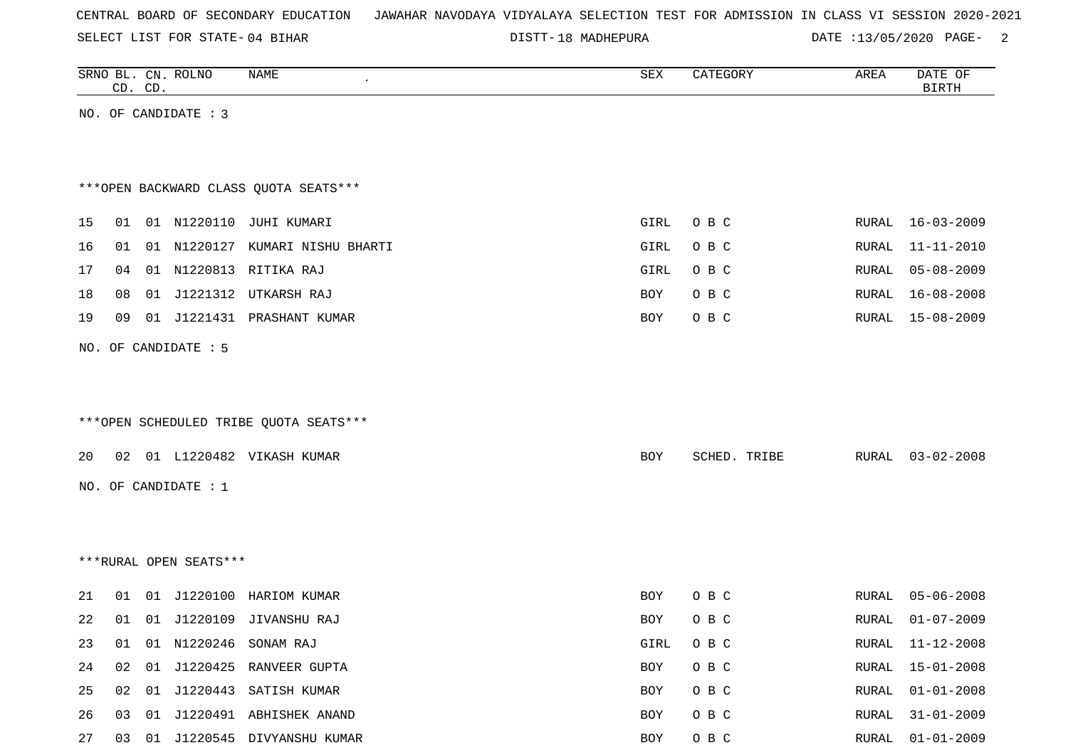SELECT LIST FOR STATE- DISTT- 04 BIHAR

DISTT-18 MADHEPURA DATE :13/05/2020 PAGE- 2

|    |    | CD. CD. | SRNO BL. CN. ROLNO     | <b>NAME</b>                            | ${\tt SEX}$ | CATEGORY     | AREA  | DATE OF<br><b>BIRTH</b> |
|----|----|---------|------------------------|----------------------------------------|-------------|--------------|-------|-------------------------|
|    |    |         | NO. OF CANDIDATE : 3   |                                        |             |              |       |                         |
|    |    |         |                        |                                        |             |              |       |                         |
|    |    |         |                        |                                        |             |              |       |                         |
|    |    |         |                        | *** OPEN BACKWARD CLASS QUOTA SEATS*** |             |              |       |                         |
| 15 |    |         |                        | 01  01  N1220110  JUHI  KUMARI         | GIRL        | O B C        |       | RURAL 16-03-2009        |
| 16 |    |         |                        | 01 01 N1220127 KUMARI NISHU BHARTI     | GIRL        | O B C        | RURAL | $11 - 11 - 2010$        |
| 17 | 04 |         |                        | 01 N1220813 RITIKA RAJ                 | GIRL        | O B C        | RURAL | $05 - 08 - 2009$        |
| 18 | 08 |         | 01 J1221312            | UTKARSH RAJ                            | BOY         | O B C        | RURAL | $16 - 08 - 2008$        |
| 19 | 09 |         |                        | 01 J1221431 PRASHANT KUMAR             | BOY         | O B C        | RURAL | 15-08-2009              |
|    |    |         | NO. OF CANDIDATE : 5   |                                        |             |              |       |                         |
|    |    |         |                        |                                        |             |              |       |                         |
|    |    |         |                        |                                        |             |              |       |                         |
|    |    |         |                        | ***OPEN SCHEDULED TRIBE QUOTA SEATS*** |             |              |       |                         |
| 20 |    |         |                        | 02 01 L1220482 VIKASH KUMAR            | BOY         | SCHED. TRIBE | RURAL | $03 - 02 - 2008$        |
|    |    |         | NO. OF CANDIDATE : $1$ |                                        |             |              |       |                         |
|    |    |         |                        |                                        |             |              |       |                         |
|    |    |         |                        |                                        |             |              |       |                         |
|    |    |         | ***RURAL OPEN SEATS*** |                                        |             |              |       |                         |
| 21 | 01 |         |                        | 01 J1220100 HARIOM KUMAR               | BOY         | O B C        | RURAL | $05 - 06 - 2008$        |
| 22 |    |         |                        | 01 01 J1220109 JIVANSHU RAJ            | BOY         | O B C        | RURAL | $01 - 07 - 2009$        |
| 23 | 01 |         |                        | 01 N1220246 SONAM RAJ                  | GIRL        | O B C        |       | RURAL 11-12-2008        |
| 24 | 02 | 01      |                        | J1220425 RANVEER GUPTA                 | BOY         | O B C        | RURAL | $15 - 01 - 2008$        |
| 25 |    |         |                        | 02 01 J1220443 SATISH KUMAR            | BOY         | O B C        | RURAL | $01 - 01 - 2008$        |
| 26 |    |         |                        | 03 01 J1220491 ABHISHEK ANAND          | BOY         | $O$ B $C$    | RURAL | $31 - 01 - 2009$        |
| 27 |    |         |                        | 03 01 J1220545 DIVYANSHU KUMAR         | BOY         | $O$ B $C$    | RURAL | $01 - 01 - 2009$        |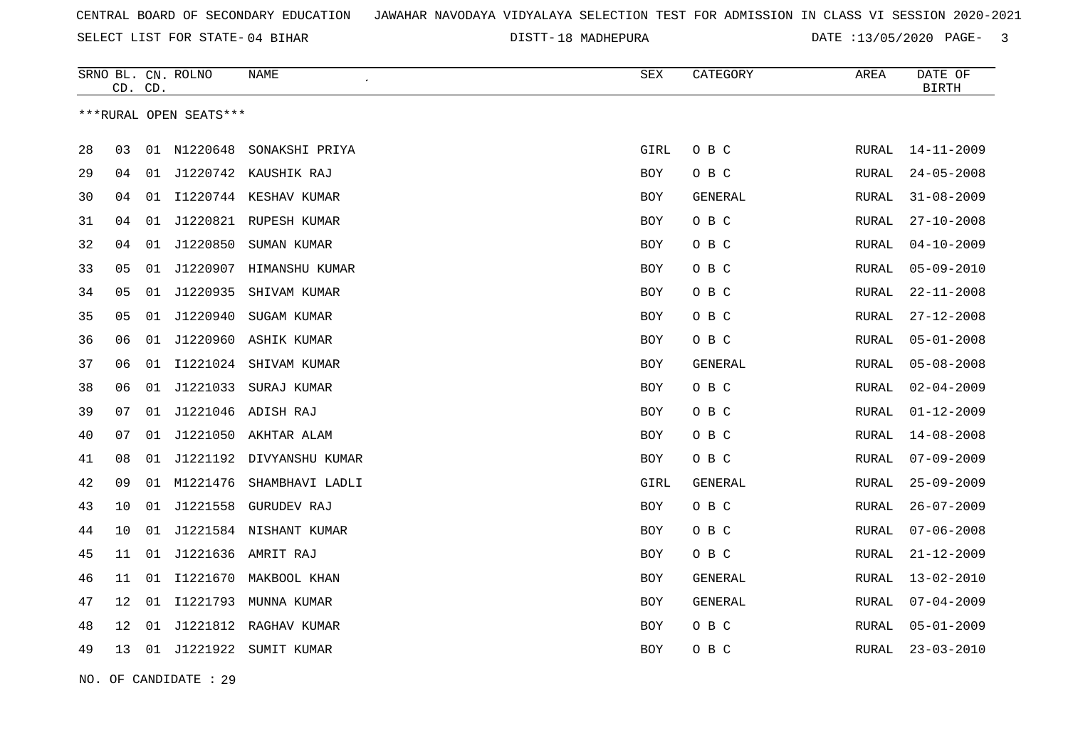18 MADHEPURA DATE :13/05/2020 PAGE- 3

| ***RURAL OPEN SEATS***<br>28<br>03<br>01 N1220648<br>SONAKSHI PRIYA<br>GIRL<br>O B C<br>RURAL<br>$14 - 11 - 2009$<br>29<br>O B C<br>$24 - 05 - 2008$<br>04<br>01 J1220742 KAUSHIK RAJ<br>BOY<br>RURAL<br>I1220744 KESHAV KUMAR<br>30<br>04<br>GENERAL<br>$31 - 08 - 2009$<br>01<br>BOY<br>RURAL<br>31<br>01 J1220821 RUPESH KUMAR<br>O B C<br>$27 - 10 - 2008$<br>04<br>BOY<br>RURAL<br>32<br>J1220850<br>$04 - 10 - 2009$<br>04<br>SUMAN KUMAR<br>O B C<br>01<br>BOY<br>RURAL<br>33<br>05<br>01 J1220907 HIMANSHU KUMAR<br>O B C<br>$05 - 09 - 2010$<br>BOY<br>RURAL<br>J1220935<br>34<br>05<br>SHIVAM KUMAR<br><b>BOY</b><br>O B C<br><b>RURAL</b><br>$22 - 11 - 2008$<br>01<br>35<br>05<br>01 J1220940<br>SUGAM KUMAR<br>O B C<br>$27 - 12 - 2008$<br><b>BOY</b><br>RURAL<br>J1220960 ASHIK KUMAR<br>$05 - 01 - 2008$<br>36<br>06<br>01<br><b>BOY</b><br>O B C<br><b>RURAL</b><br>37<br>I1221024 SHIVAM KUMAR<br>06<br>01<br><b>BOY</b><br>GENERAL<br>RURAL<br>$05 - 08 - 2008$<br>J1221033<br>O B C<br>$02 - 04 - 2009$<br>38<br>06<br>01<br>SURAJ KUMAR<br><b>BOY</b><br><b>RURAL</b><br>39<br>07<br>J1221046 ADISH RAJ<br>O B C<br>$01 - 12 - 2009$<br>01<br>BOY<br>RURAL<br>J1221050 AKHTAR ALAM<br>40<br>07<br>01<br>O B C<br>$14 - 08 - 2008$<br>BOY<br>RURAL<br>J1221192 DIVYANSHU KUMAR<br>O B C<br>41<br>08<br>01<br>$07 - 09 - 2009$<br>BOY<br>RURAL<br>42<br>M1221476<br>09<br>SHAMBHAVI LADLI<br>GIRL<br>GENERAL<br>$25 - 09 - 2009$<br>01<br>RURAL<br>43<br>J1221558<br><b>GURUDEV RAJ</b><br>O B C<br>$26 - 07 - 2009$<br>10<br>01<br><b>BOY</b><br><b>RURAL</b><br>J1221584 NISHANT KUMAR<br>O B C<br>$07 - 06 - 2008$<br>44<br>10<br>01<br><b>BOY</b><br><b>RURAL</b> |
|------------------------------------------------------------------------------------------------------------------------------------------------------------------------------------------------------------------------------------------------------------------------------------------------------------------------------------------------------------------------------------------------------------------------------------------------------------------------------------------------------------------------------------------------------------------------------------------------------------------------------------------------------------------------------------------------------------------------------------------------------------------------------------------------------------------------------------------------------------------------------------------------------------------------------------------------------------------------------------------------------------------------------------------------------------------------------------------------------------------------------------------------------------------------------------------------------------------------------------------------------------------------------------------------------------------------------------------------------------------------------------------------------------------------------------------------------------------------------------------------------------------------------------------------------------------------------------------------------------------------------------------------------------------------------------------|
|                                                                                                                                                                                                                                                                                                                                                                                                                                                                                                                                                                                                                                                                                                                                                                                                                                                                                                                                                                                                                                                                                                                                                                                                                                                                                                                                                                                                                                                                                                                                                                                                                                                                                          |
|                                                                                                                                                                                                                                                                                                                                                                                                                                                                                                                                                                                                                                                                                                                                                                                                                                                                                                                                                                                                                                                                                                                                                                                                                                                                                                                                                                                                                                                                                                                                                                                                                                                                                          |
|                                                                                                                                                                                                                                                                                                                                                                                                                                                                                                                                                                                                                                                                                                                                                                                                                                                                                                                                                                                                                                                                                                                                                                                                                                                                                                                                                                                                                                                                                                                                                                                                                                                                                          |
|                                                                                                                                                                                                                                                                                                                                                                                                                                                                                                                                                                                                                                                                                                                                                                                                                                                                                                                                                                                                                                                                                                                                                                                                                                                                                                                                                                                                                                                                                                                                                                                                                                                                                          |
|                                                                                                                                                                                                                                                                                                                                                                                                                                                                                                                                                                                                                                                                                                                                                                                                                                                                                                                                                                                                                                                                                                                                                                                                                                                                                                                                                                                                                                                                                                                                                                                                                                                                                          |
|                                                                                                                                                                                                                                                                                                                                                                                                                                                                                                                                                                                                                                                                                                                                                                                                                                                                                                                                                                                                                                                                                                                                                                                                                                                                                                                                                                                                                                                                                                                                                                                                                                                                                          |
|                                                                                                                                                                                                                                                                                                                                                                                                                                                                                                                                                                                                                                                                                                                                                                                                                                                                                                                                                                                                                                                                                                                                                                                                                                                                                                                                                                                                                                                                                                                                                                                                                                                                                          |
|                                                                                                                                                                                                                                                                                                                                                                                                                                                                                                                                                                                                                                                                                                                                                                                                                                                                                                                                                                                                                                                                                                                                                                                                                                                                                                                                                                                                                                                                                                                                                                                                                                                                                          |
|                                                                                                                                                                                                                                                                                                                                                                                                                                                                                                                                                                                                                                                                                                                                                                                                                                                                                                                                                                                                                                                                                                                                                                                                                                                                                                                                                                                                                                                                                                                                                                                                                                                                                          |
|                                                                                                                                                                                                                                                                                                                                                                                                                                                                                                                                                                                                                                                                                                                                                                                                                                                                                                                                                                                                                                                                                                                                                                                                                                                                                                                                                                                                                                                                                                                                                                                                                                                                                          |
|                                                                                                                                                                                                                                                                                                                                                                                                                                                                                                                                                                                                                                                                                                                                                                                                                                                                                                                                                                                                                                                                                                                                                                                                                                                                                                                                                                                                                                                                                                                                                                                                                                                                                          |
|                                                                                                                                                                                                                                                                                                                                                                                                                                                                                                                                                                                                                                                                                                                                                                                                                                                                                                                                                                                                                                                                                                                                                                                                                                                                                                                                                                                                                                                                                                                                                                                                                                                                                          |
|                                                                                                                                                                                                                                                                                                                                                                                                                                                                                                                                                                                                                                                                                                                                                                                                                                                                                                                                                                                                                                                                                                                                                                                                                                                                                                                                                                                                                                                                                                                                                                                                                                                                                          |
|                                                                                                                                                                                                                                                                                                                                                                                                                                                                                                                                                                                                                                                                                                                                                                                                                                                                                                                                                                                                                                                                                                                                                                                                                                                                                                                                                                                                                                                                                                                                                                                                                                                                                          |
|                                                                                                                                                                                                                                                                                                                                                                                                                                                                                                                                                                                                                                                                                                                                                                                                                                                                                                                                                                                                                                                                                                                                                                                                                                                                                                                                                                                                                                                                                                                                                                                                                                                                                          |
|                                                                                                                                                                                                                                                                                                                                                                                                                                                                                                                                                                                                                                                                                                                                                                                                                                                                                                                                                                                                                                                                                                                                                                                                                                                                                                                                                                                                                                                                                                                                                                                                                                                                                          |
|                                                                                                                                                                                                                                                                                                                                                                                                                                                                                                                                                                                                                                                                                                                                                                                                                                                                                                                                                                                                                                                                                                                                                                                                                                                                                                                                                                                                                                                                                                                                                                                                                                                                                          |
|                                                                                                                                                                                                                                                                                                                                                                                                                                                                                                                                                                                                                                                                                                                                                                                                                                                                                                                                                                                                                                                                                                                                                                                                                                                                                                                                                                                                                                                                                                                                                                                                                                                                                          |
|                                                                                                                                                                                                                                                                                                                                                                                                                                                                                                                                                                                                                                                                                                                                                                                                                                                                                                                                                                                                                                                                                                                                                                                                                                                                                                                                                                                                                                                                                                                                                                                                                                                                                          |
| J1221636 AMRIT RAJ<br>O B C<br>$21 - 12 - 2009$<br>45<br>11<br>01<br><b>BOY</b><br>RURAL                                                                                                                                                                                                                                                                                                                                                                                                                                                                                                                                                                                                                                                                                                                                                                                                                                                                                                                                                                                                                                                                                                                                                                                                                                                                                                                                                                                                                                                                                                                                                                                                 |
| 46<br>11<br>01<br>I1221670<br>MAKBOOL KHAN<br>GENERAL<br>$13 - 02 - 2010$<br>BOY<br>RURAL                                                                                                                                                                                                                                                                                                                                                                                                                                                                                                                                                                                                                                                                                                                                                                                                                                                                                                                                                                                                                                                                                                                                                                                                                                                                                                                                                                                                                                                                                                                                                                                                |
| I1221793<br>47<br>12<br>01<br>MUNNA KUMAR<br><b>BOY</b><br><b>GENERAL</b><br>RURAL<br>$07 - 04 - 2009$                                                                                                                                                                                                                                                                                                                                                                                                                                                                                                                                                                                                                                                                                                                                                                                                                                                                                                                                                                                                                                                                                                                                                                                                                                                                                                                                                                                                                                                                                                                                                                                   |
| J1221812 RAGHAV KUMAR<br>$05 - 01 - 2009$<br>48<br>12<br>01<br>O B C<br>BOY<br>RURAL                                                                                                                                                                                                                                                                                                                                                                                                                                                                                                                                                                                                                                                                                                                                                                                                                                                                                                                                                                                                                                                                                                                                                                                                                                                                                                                                                                                                                                                                                                                                                                                                     |
| 49<br>13<br>01 J1221922<br>SUMIT KUMAR<br>BOY<br>O B C<br>RURAL<br>$23 - 03 - 2010$                                                                                                                                                                                                                                                                                                                                                                                                                                                                                                                                                                                                                                                                                                                                                                                                                                                                                                                                                                                                                                                                                                                                                                                                                                                                                                                                                                                                                                                                                                                                                                                                      |

NO. OF CANDIDATE : 29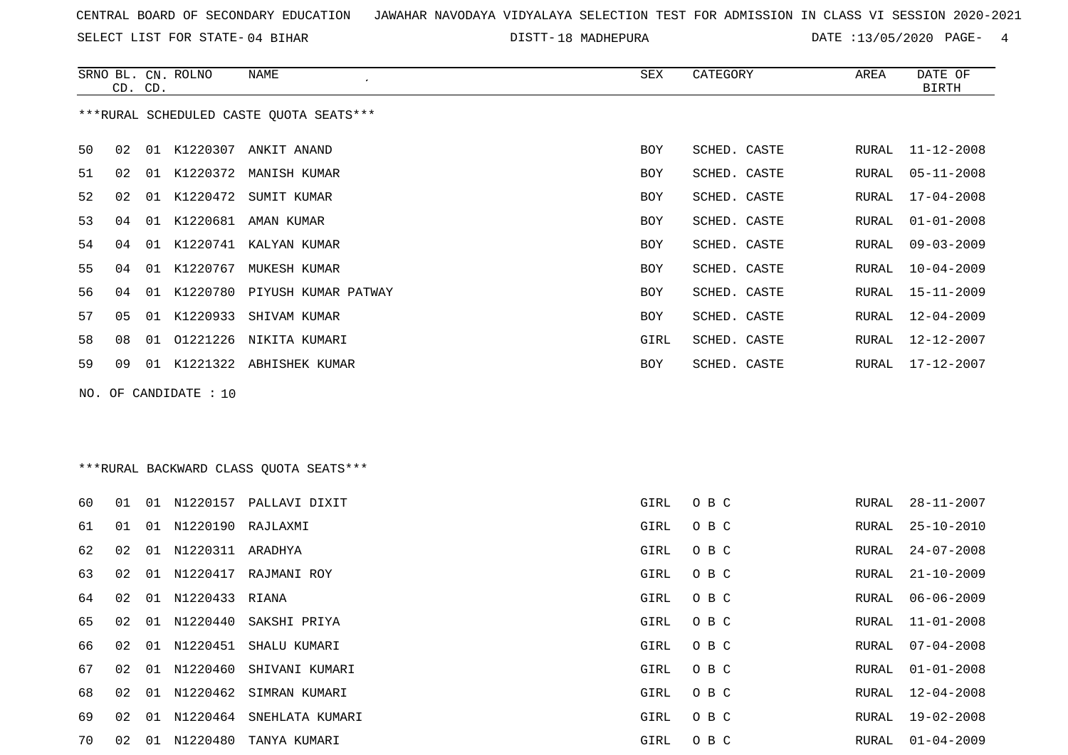SELECT LIST FOR STATE- DISTT- 04 BIHAR

DISTT-18 MADHEPURA **DATE** :13/05/2020 PAGE- 4

|    | CD. CD. |    | SRNO BL. CN. ROLNO | NAME                                    | SEX        | CATEGORY     | AREA  | DATE OF<br>BIRTH |
|----|---------|----|--------------------|-----------------------------------------|------------|--------------|-------|------------------|
|    |         |    |                    | ***RURAL SCHEDULED CASTE OUOTA SEATS*** |            |              |       |                  |
| 50 | 02      | 01 | K1220307           | ANKIT ANAND                             | BOY        | SCHED. CASTE |       | RURAL 11-12-2008 |
| 51 | 02      | 01 |                    | K1220372 MANISH KUMAR                   | BOY        | SCHED. CASTE | RURAL | 05-11-2008       |
| 52 | 02      | 01 | K1220472           | SUMIT KUMAR                             | BOY        | SCHED. CASTE | RURAL | $17 - 04 - 2008$ |
| 53 | 04      | 01 | K1220681           | AMAN KUMAR                              | BOY        | SCHED. CASTE | RURAL | $01 - 01 - 2008$ |
| 54 | 04      | 01 | K1220741           | KALYAN KUMAR                            | BOY        | SCHED. CASTE | RURAL | $09 - 03 - 2009$ |
| 55 | 04      | 01 | K1220767           | MUKESH KUMAR                            | BOY        | SCHED. CASTE | RURAL | $10 - 04 - 2009$ |
| 56 | 04      | 01 |                    | K1220780 PIYUSH KUMAR PATWAY            | BOY        | SCHED. CASTE | RURAL | 15-11-2009       |
| 57 | 05      | 01 | K1220933           | SHIVAM KUMAR                            | <b>BOY</b> | SCHED. CASTE | RURAL | $12 - 04 - 2009$ |
| 58 | 08      | 01 | 01221226           | NIKITA KUMARI                           | GIRL       | SCHED. CASTE | RURAL | 12-12-2007       |
| 59 | 09      | 01 | K1221322           | ABHISHEK KUMAR                          | BOY        | SCHED. CASTE | RURAL | 17-12-2007       |
|    |         |    |                    |                                         |            |              |       |                  |

NO. OF CANDIDATE : 10

\*\*\*RURAL BACKWARD CLASS QUOTA SEATS\*\*\*

| 60 | 01  |    |                      | 01 N1220157 PALLAVI DIXIT  | GIRL | O B C | RURAL | 28-11-2007 |
|----|-----|----|----------------------|----------------------------|------|-------|-------|------------|
| 61 | O 1 |    | 01 N1220190 RAJLAXMI |                            | GIRL | O B C | RURAL | 25-10-2010 |
| 62 | 02  |    | 01 N1220311 ARADHYA  |                            | GIRL | O B C | RURAL | 24-07-2008 |
| 63 | 02  |    | 01 N1220417          | RAJMANI ROY                | GIRL | O B C | RURAL | 21-10-2009 |
| 64 | 02  |    | 01 N1220433 RIANA    |                            | GIRL | O B C | RURAL | 06-06-2009 |
| 65 | 02  |    |                      | 01 N1220440 SAKSHI PRIYA   | GIRL | O B C | RURAL | 11-01-2008 |
| 66 | 02  |    |                      | 01 N1220451 SHALU KUMARI   | GIRL | O B C | RURAL | 07-04-2008 |
| 67 | 02  |    |                      | 01 N1220460 SHIVANI KUMARI | GIRL | O B C | RURAL | 01-01-2008 |
| 68 | 02  | 01 |                      | N1220462 SIMRAN KUMARI     | GIRL | O B C | RURAL | 12-04-2008 |
| 69 | 02  | 01 | N1220464             | SNEHLATA KUMARI            | GIRL | O B C | RURAL | 19-02-2008 |
| 70 | 02  | 01 | N1220480             | TANYA KUMARI               | GIRL | O B C | RURAL | 01-04-2009 |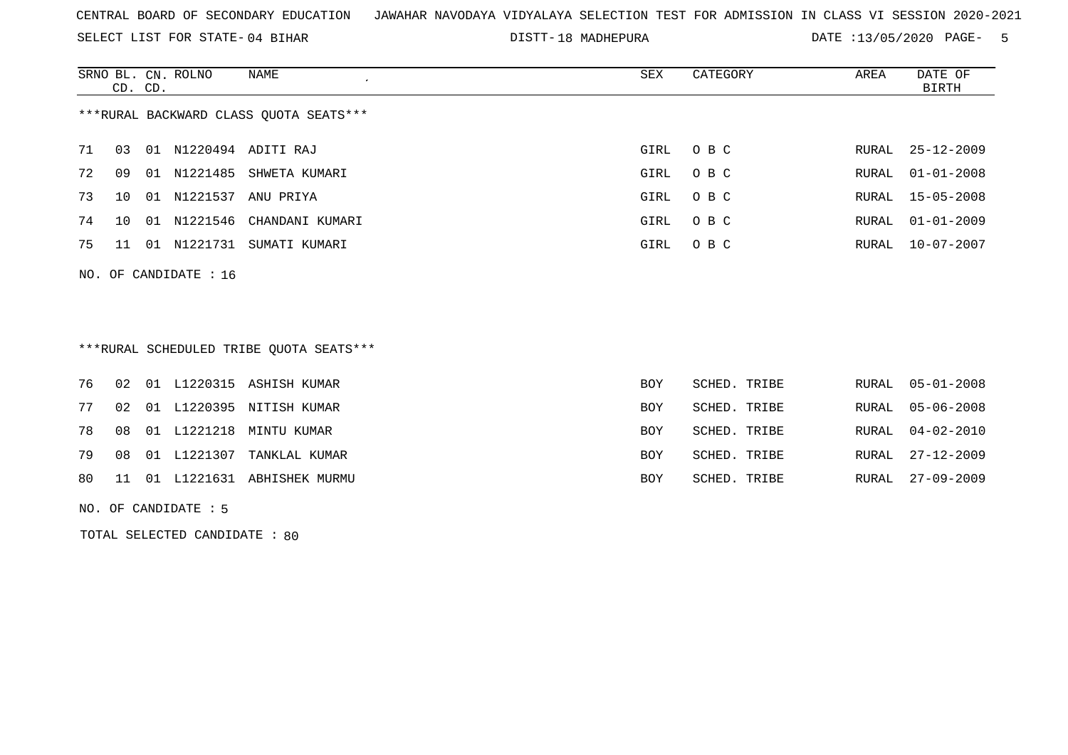SELECT LIST FOR STATE- DISTT- 04 BIHAR

DISTT-18 MADHEPURA DATE :13/05/2020 PAGE- 5

|    | CD. CD.         |     | SRNO BL. CN. ROLNO | NAME                                   | SEX  | CATEGORY | AREA  | DATE OF<br>BIRTH |
|----|-----------------|-----|--------------------|----------------------------------------|------|----------|-------|------------------|
|    |                 |     |                    | ***RURAL BACKWARD CLASS QUOTA SEATS*** |      |          |       |                  |
| 71 | 03              | 01  |                    | N1220494 ADITI RAJ                     | GIRL | $O$ B C  |       | RURAL 25-12-2009 |
| 72 | 09              | 01  | N1221485           | SHWETA KUMARI                          | GIRL | O B C    | RURAL | $01 - 01 - 2008$ |
| 73 | 10 <sup>1</sup> | 01  | N1221537           | ANU PRIYA                              | GIRL | O B C    |       | RURAL 15-05-2008 |
| 74 | 10 <sup>1</sup> | -01 | N1221546           | CHANDANI KUMARI                        | GIRL | O B C    | RURAL | $01 - 01 - 2009$ |
| 75 | 11              | 01  | N1221731           | SUMATI KUMARI                          | GIRL | O B C    | RURAL | $10 - 07 - 2007$ |
|    |                 |     |                    |                                        |      |          |       |                  |

# \*\*\*RURAL SCHEDULED TRIBE QUOTA SEATS\*\*\*

|  |  | 76 02 01 L1220315 ASHISH KUMAR   | <b>BOY</b> | SCHED. TRIBE | RURAL 05-01-2008 |
|--|--|----------------------------------|------------|--------------|------------------|
|  |  | 77 02 01 L1220395 NITISH KUMAR   | BOY        | SCHED. TRIBE | RURAL 05-06-2008 |
|  |  | 78 08 01 L1221218 MINTU KUMAR    | BOY        | SCHED. TRIBE | RURAL 04-02-2010 |
|  |  | 79 08 01 L1221307 TANKLAL KUMAR  | BOY        | SCHED. TRIBE | RURAL 27-12-2009 |
|  |  | 80 11 01 L1221631 ABHISHEK MURMU | BOY        | SCHED. TRIBE | RURAL 27-09-2009 |
|  |  |                                  |            |              |                  |

NO. OF CANDIDATE : 5

NO. OF CANDIDATE : 16

TOTAL SELECTED CANDIDATE : 80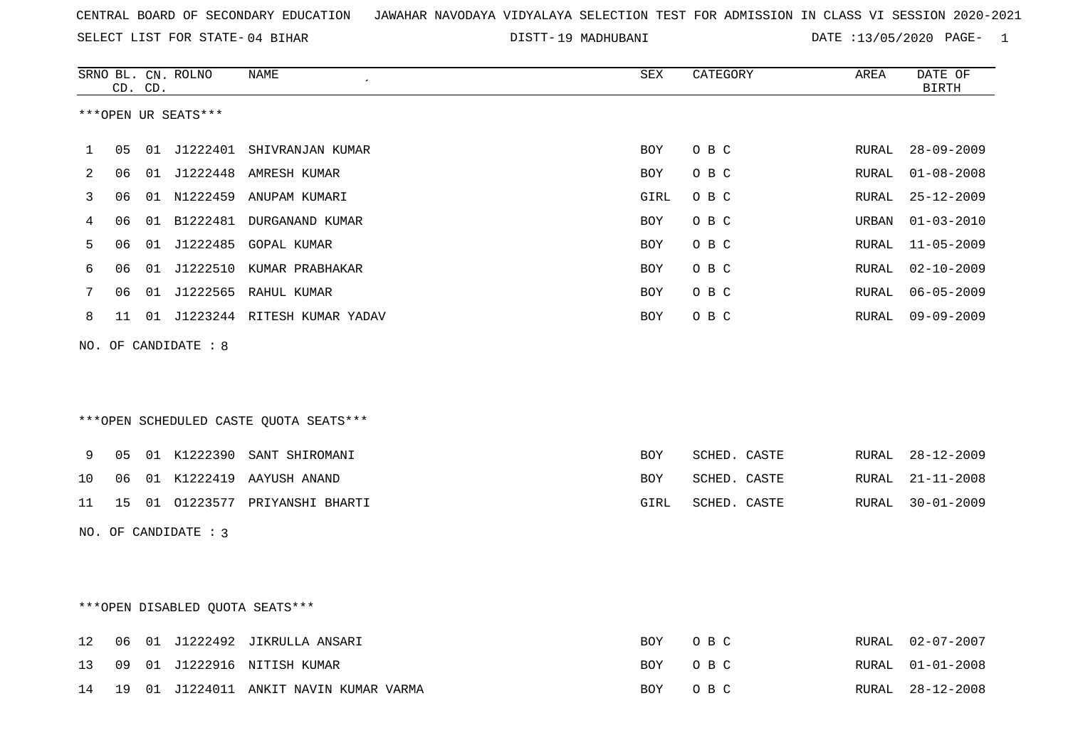19 MADHUBANI DATE :13/05/2020 PAGE- 1

|    |    | CD. CD. | SRNO BL. CN. ROLNO     | <b>NAME</b>                            | <b>SEX</b>  | CATEGORY     | AREA  | DATE OF<br><b>BIRTH</b> |
|----|----|---------|------------------------|----------------------------------------|-------------|--------------|-------|-------------------------|
|    |    |         | ***OPEN UR SEATS***    |                                        |             |              |       |                         |
| 1  | 05 |         |                        | 01 J1222401 SHIVRANJAN KUMAR           | <b>BOY</b>  | O B C        | RURAL | $28 - 09 - 2009$        |
| 2  | 06 |         |                        | 01 J1222448 AMRESH KUMAR               | <b>BOY</b>  | O B C        | RURAL | $01 - 08 - 2008$        |
| 3  | 06 |         |                        | 01 N1222459 ANUPAM KUMARI              | <b>GIRL</b> | O B C        | RURAL | $25 - 12 - 2009$        |
| 4  | 06 |         |                        | 01 B1222481 DURGANAND KUMAR            | <b>BOY</b>  | O B C        | URBAN | $01 - 03 - 2010$        |
| 5  | 06 |         |                        | 01 J1222485 GOPAL KUMAR                | <b>BOY</b>  | O B C        | RURAL | $11 - 05 - 2009$        |
| 6  | 06 |         |                        | 01 J1222510 KUMAR PRABHAKAR            | <b>BOY</b>  | O B C        | RURAL | $02 - 10 - 2009$        |
| 7  | 06 |         |                        | 01 J1222565 RAHUL KUMAR                | <b>BOY</b>  | O B C        | RURAL | $06 - 05 - 2009$        |
| 8  | 11 |         |                        | 01 J1223244 RITESH KUMAR YADAV         | <b>BOY</b>  | O B C        | RURAL | $09 - 09 - 2009$        |
|    |    |         | NO. OF CANDIDATE : 8   |                                        |             |              |       |                         |
|    |    |         |                        |                                        |             |              |       |                         |
|    |    |         |                        | ***OPEN SCHEDULED CASTE QUOTA SEATS*** |             |              |       |                         |
| 9  | 05 |         | 01 K1222390            | SANT SHIROMANI                         | <b>BOY</b>  | SCHED. CASTE | RURAL | $28 - 12 - 2009$        |
| 10 | 06 |         |                        | 01 K1222419 AAYUSH ANAND               | BOY         | SCHED. CASTE | RURAL | $21 - 11 - 2008$        |
| 11 | 15 |         |                        | 01 01223577 PRIYANSHI BHARTI           | GIRL        | SCHED. CASTE | RURAL | $30 - 01 - 2009$        |
|    |    |         | NO. OF CANDIDATE : $3$ |                                        |             |              |       |                         |
|    |    |         |                        |                                        |             |              |       |                         |
|    |    |         |                        |                                        |             |              |       |                         |
|    |    |         |                        | *** OPEN DISABLED QUOTA SEATS***       |             |              |       |                         |
| 12 | 06 |         |                        | 01 J1222492 JIKRULLA ANSARI            | <b>BOY</b>  | O B C        | RURAL | $02 - 07 - 2007$        |
| 13 | 09 |         |                        | 01 J1222916 NITISH KUMAR               | BOY         | O B C        | RURAL | $01 - 01 - 2008$        |
| 14 | 19 |         |                        | 01 J1224011 ANKIT NAVIN KUMAR VARMA    | BOY         | O B C        | RURAL | $28 - 12 - 2008$        |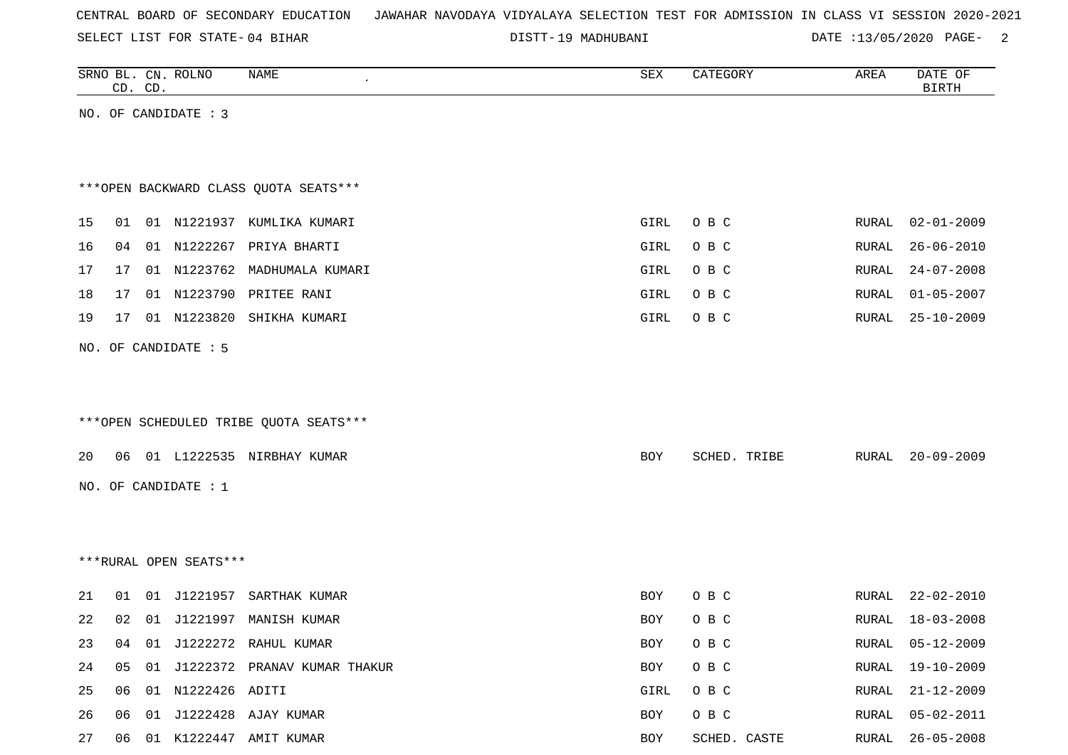SELECT LIST FOR STATE- DISTT- 04 BIHAR

19 MADHUBANI DATE :13/05/2020 PAGE- 2

|    |    | CD. CD. | SRNO BL. CN. ROLNO      | NAME                                   | SEX        | CATEGORY     | AREA  | DATE OF<br><b>BIRTH</b> |
|----|----|---------|-------------------------|----------------------------------------|------------|--------------|-------|-------------------------|
|    |    |         | NO. OF CANDIDATE : 3    |                                        |            |              |       |                         |
|    |    |         |                         |                                        |            |              |       |                         |
|    |    |         |                         |                                        |            |              |       |                         |
|    |    |         |                         | *** OPEN BACKWARD CLASS QUOTA SEATS*** |            |              |       |                         |
| 15 |    |         |                         | 01 01 N1221937 KUMLIKA KUMARI          | GIRL       | O B C        | RURAL | $02 - 01 - 2009$        |
| 16 | 04 |         |                         | 01 N1222267 PRIYA BHARTI               | GIRL       | O B C        | RURAL | $26 - 06 - 2010$        |
| 17 | 17 |         |                         | 01 N1223762 MADHUMALA KUMARI           | GIRL       | O B C        | RURAL | $24 - 07 - 2008$        |
| 18 | 17 |         |                         | 01 N1223790 PRITEE RANI                | GIRL       | O B C        | RURAL | $01 - 05 - 2007$        |
| 19 | 17 |         |                         | 01 N1223820 SHIKHA KUMARI              | GIRL       | O B C        | RURAL | $25 - 10 - 2009$        |
|    |    |         | NO. OF CANDIDATE : 5    |                                        |            |              |       |                         |
|    |    |         |                         |                                        |            |              |       |                         |
|    |    |         |                         |                                        |            |              |       |                         |
|    |    |         |                         | ***OPEN SCHEDULED TRIBE QUOTA SEATS*** |            |              |       |                         |
| 20 |    |         |                         | 06 01 L1222535 NIRBHAY KUMAR           | BOY        | SCHED. TRIBE | RURAL | $20 - 09 - 2009$        |
|    |    |         |                         |                                        |            |              |       |                         |
|    |    |         | NO. OF CANDIDATE : 1    |                                        |            |              |       |                         |
|    |    |         |                         |                                        |            |              |       |                         |
|    |    |         |                         |                                        |            |              |       |                         |
|    |    |         | ***RURAL OPEN SEATS***  |                                        |            |              |       |                         |
| 21 | 01 |         |                         | 01 J1221957 SARTHAK KUMAR              | BOY        | O B C        | RURAL | $22 - 02 - 2010$        |
| 22 | 02 |         |                         | 01 J1221997 MANISH KUMAR               | <b>BOY</b> | O B C        | RURAL | $18 - 03 - 2008$        |
| 23 |    |         |                         | 04 01 J1222272 RAHUL KUMAR             | BOY        | O B C        | RURAL | $05 - 12 - 2009$        |
| 24 |    |         |                         | 05 01 J1222372 PRANAV KUMAR THAKUR     | BOY        | O B C        | RURAL | 19-10-2009              |
| 25 |    |         | 06  01  N1222426  ADITI |                                        | GIRL       | O B C        | RURAL | $21 - 12 - 2009$        |
| 26 |    |         |                         | 06 01 J1222428 AJAY KUMAR              | BOY        | O B C        |       | RURAL 05-02-2011        |

27 06 01 K1222447 AMIT KUMAR **BOY** SCHED. CASTE RURAL 26-05-2008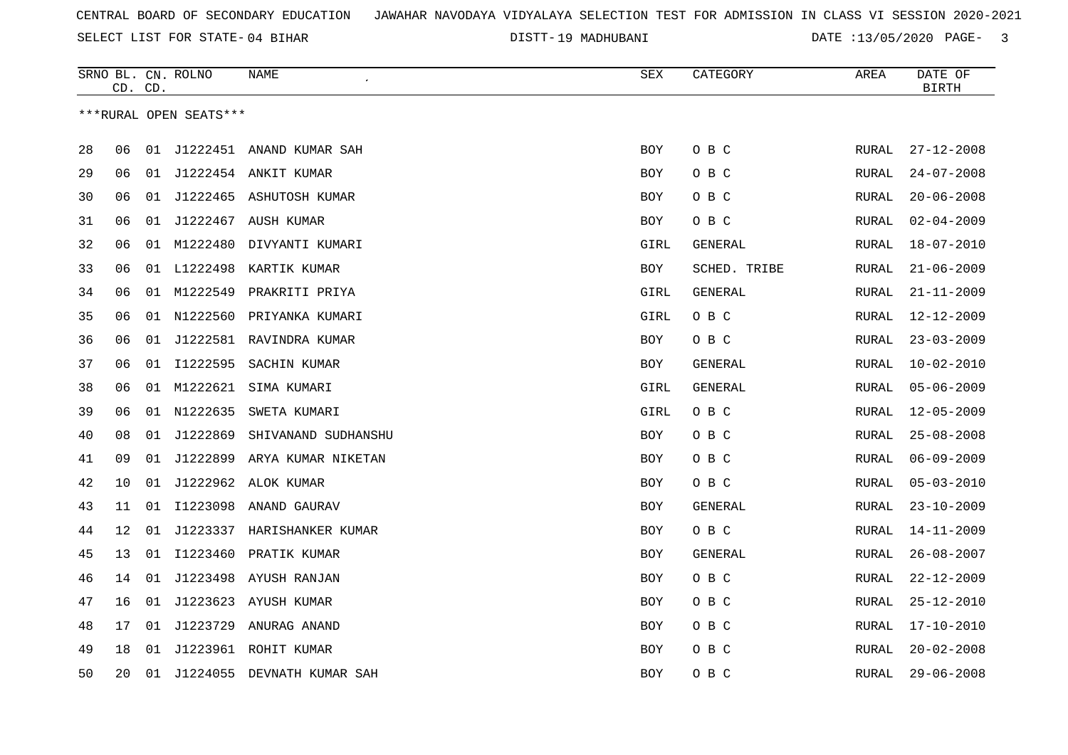SELECT LIST FOR STATE- DISTT- 04 BIHAR

19 MADHUBANI DATE :13/05/2020 PAGE- 3

|    | CD. CD. |    | SRNO BL. CN. ROLNO     | NAME                        | <b>SEX</b> | CATEGORY     | AREA         | DATE OF<br><b>BIRTH</b> |
|----|---------|----|------------------------|-----------------------------|------------|--------------|--------------|-------------------------|
|    |         |    | ***RURAL OPEN SEATS*** |                             |            |              |              |                         |
|    |         |    |                        |                             |            |              |              |                         |
| 28 | 06      | 01 |                        | J1222451 ANAND KUMAR SAH    | <b>BOY</b> | O B C        | RURAL        | $27 - 12 - 2008$        |
| 29 | 06      | 01 |                        | J1222454 ANKIT KUMAR        | BOY        | O B C        | RURAL        | $24 - 07 - 2008$        |
| 30 | 06      | 01 |                        | J1222465 ASHUTOSH KUMAR     | BOY        | O B C        | RURAL        | $20 - 06 - 2008$        |
| 31 | 06      | 01 |                        | J1222467 AUSH KUMAR         | BOY        | O B C        | RURAL        | $02 - 04 - 2009$        |
| 32 | 06      |    | 01 M1222480            | DIVYANTI KUMARI             | GIRL       | GENERAL      | RURAL        | $18 - 07 - 2010$        |
| 33 | 06      |    | 01 L1222498            | KARTIK KUMAR                | <b>BOY</b> | SCHED. TRIBE | RURAL        | $21 - 06 - 2009$        |
| 34 | 06      |    | 01 M1222549            | PRAKRITI PRIYA              | GIRL       | GENERAL      | RURAL        | $21 - 11 - 2009$        |
| 35 | 06      |    |                        | 01 N1222560 PRIYANKA KUMARI | GIRL       | O B C        | RURAL        | $12 - 12 - 2009$        |
| 36 | 06      | 01 |                        | J1222581 RAVINDRA KUMAR     | BOY        | O B C        | RURAL        | $23 - 03 - 2009$        |
| 37 | 06      | 01 | I1222595               | SACHIN KUMAR                | <b>BOY</b> | GENERAL      | RURAL        | $10 - 02 - 2010$        |
| 38 | 06      | 01 | M1222621               | SIMA KUMARI                 | GIRL       | GENERAL      | RURAL        | $05 - 06 - 2009$        |
| 39 | 06      | 01 | N1222635               | SWETA KUMARI                | GIRL       | O B C        | RURAL        | $12 - 05 - 2009$        |
| 40 | 08      | 01 | J1222869               | SHIVANAND SUDHANSHU         | BOY        | O B C        | RURAL        | $25 - 08 - 2008$        |
| 41 | 09      | 01 | J1222899               | ARYA KUMAR NIKETAN          | <b>BOY</b> | O B C        | RURAL        | $06 - 09 - 2009$        |
| 42 | 10      | 01 | J1222962               | ALOK KUMAR                  | BOY        | O B C        | RURAL        | $05 - 03 - 2010$        |
| 43 | 11      | 01 |                        | I1223098 ANAND GAURAV       | <b>BOY</b> | GENERAL      | RURAL        | $23 - 10 - 2009$        |
| 44 | 12      | 01 | J1223337               | HARISHANKER KUMAR           | BOY        | O B C        | RURAL        | $14 - 11 - 2009$        |
| 45 | 13      |    |                        | 01 I1223460 PRATIK KUMAR    | BOY        | GENERAL      | RURAL        | $26 - 08 - 2007$        |
| 46 | 14      | 01 |                        | J1223498 AYUSH RANJAN       | <b>BOY</b> | O B C        | RURAL        | $22 - 12 - 2009$        |
| 47 | 16      | 01 |                        | J1223623 AYUSH KUMAR        | BOY        | O B C        | RURAL        | $25 - 12 - 2010$        |
| 48 | 17      | 01 | J1223729               | ANURAG ANAND                | BOY        | O B C        | RURAL        | $17 - 10 - 2010$        |
| 49 | 18      | 01 |                        | J1223961 ROHIT KUMAR        | BOY        | O B C        | RURAL        | $20 - 02 - 2008$        |
| 50 | 20      | 01 |                        | J1224055 DEVNATH KUMAR SAH  | <b>BOY</b> | O B C        | <b>RURAL</b> | $29 - 06 - 2008$        |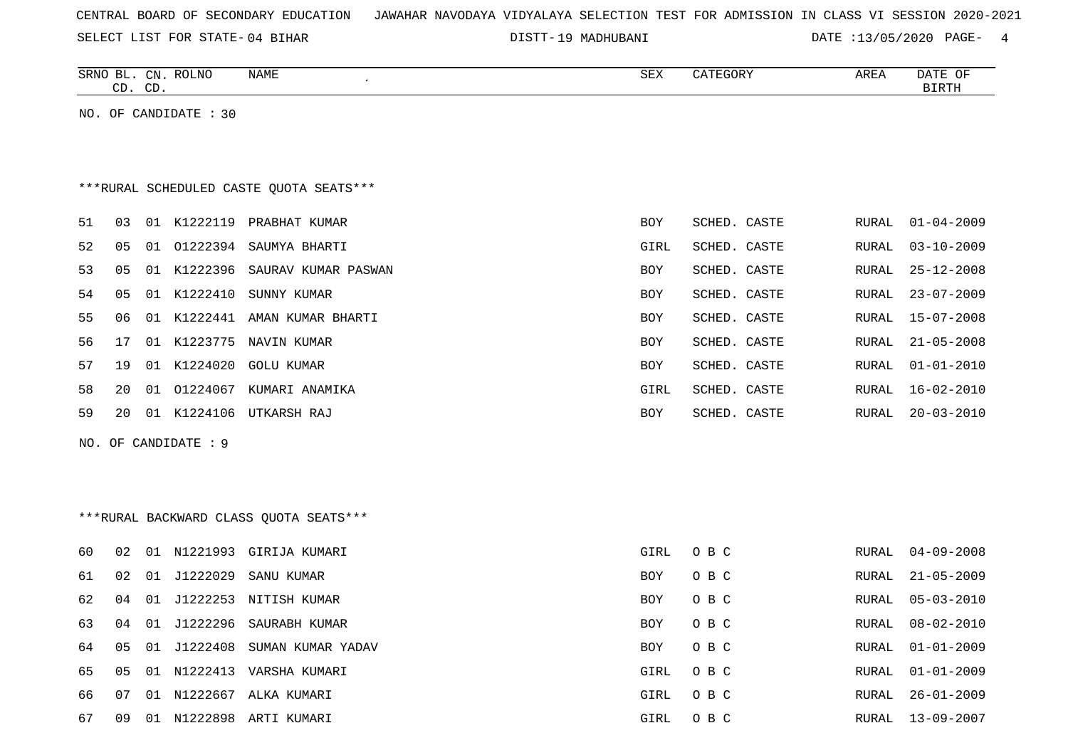SELECT LIST FOR STATE- DISTT- 04 BIHAR

DISTT-19 MADHUBANI DATE :13/05/2020 PAGE- 4

|    |    | CD. CD. | SRNO BL. CN. ROLNO    | NAME                                    | ${\tt SEX}$ | CATEGORY     | AREA         | DATE OF<br>$\operatorname{BIRTH}$ |
|----|----|---------|-----------------------|-----------------------------------------|-------------|--------------|--------------|-----------------------------------|
|    |    |         | NO. OF CANDIDATE : 30 |                                         |             |              |              |                                   |
|    |    |         |                       |                                         |             |              |              |                                   |
|    |    |         |                       |                                         |             |              |              |                                   |
|    |    |         |                       | ***RURAL SCHEDULED CASTE QUOTA SEATS*** |             |              |              |                                   |
| 51 | 03 |         |                       | 01 K1222119 PRABHAT KUMAR               | BOY         | SCHED. CASTE | RURAL        | $01 - 04 - 2009$                  |
| 52 | 05 |         |                       | 01 01222394 SAUMYA BHARTI               | GIRL        | SCHED. CASTE | <b>RURAL</b> | $03 - 10 - 2009$                  |
| 53 | 05 |         |                       | 01 K1222396 SAURAV KUMAR PASWAN         | BOY         | SCHED. CASTE | <b>RURAL</b> | $25 - 12 - 2008$                  |
| 54 | 05 |         | 01 K1222410           | SUNNY KUMAR                             | BOY         | SCHED. CASTE | RURAL        | $23 - 07 - 2009$                  |
| 55 | 06 |         |                       | 01 K1222441 AMAN KUMAR BHARTI           | BOY         | SCHED. CASTE | RURAL        | $15 - 07 - 2008$                  |
| 56 | 17 |         |                       | 01 K1223775 NAVIN KUMAR                 | <b>BOY</b>  | SCHED. CASTE | <b>RURAL</b> | $21 - 05 - 2008$                  |
| 57 | 19 |         |                       | 01 K1224020 GOLU KUMAR                  | BOY         | SCHED. CASTE | <b>RURAL</b> | $01 - 01 - 2010$                  |
| 58 | 20 |         |                       | 01 01224067 KUMARI ANAMIKA              | GIRL        | SCHED. CASTE | <b>RURAL</b> | $16 - 02 - 2010$                  |
| 59 | 20 |         |                       | 01 K1224106 UTKARSH RAJ                 | BOY         | SCHED. CASTE | RURAL        | $20 - 03 - 2010$                  |
|    |    |         | NO. OF CANDIDATE : 9  |                                         |             |              |              |                                   |
|    |    |         |                       |                                         |             |              |              |                                   |
|    |    |         |                       |                                         |             |              |              |                                   |
|    |    |         |                       | ***RURAL BACKWARD CLASS QUOTA SEATS***  |             |              |              |                                   |
| 60 | 02 |         |                       | 01 N1221993 GIRIJA KUMARI               | GIRL        | O B C        | <b>RURAL</b> | $04 - 09 - 2008$                  |
| 61 | 02 | 01      | J1222029              | SANU KUMAR                              | <b>BOY</b>  | O B C        | RURAL        | $21 - 05 - 2009$                  |
| 62 | 04 |         |                       | 01 J1222253 NITISH KUMAR                | <b>BOY</b>  | O B C        | <b>RURAL</b> | $05 - 03 - 2010$                  |
| 63 | 04 |         |                       | 01 J1222296 SAURABH KUMAR               | <b>BOY</b>  | O B C        | <b>RURAL</b> | $08 - 02 - 2010$                  |
| 64 | 05 |         | 01 J1222408           | SUMAN KUMAR YADAV                       | BOY         | O B C        | <b>RURAL</b> | $01 - 01 - 2009$                  |
| 65 | 05 |         |                       | 01 N1222413 VARSHA KUMARI               | GIRL        | O B C        | RURAL        | $01 - 01 - 2009$                  |
| 66 | 07 |         |                       | 01 N1222667 ALKA KUMARI                 | GIRL        | O B C        | <b>RURAL</b> | $26 - 01 - 2009$                  |
| 67 | 09 |         |                       | 01 N1222898 ARTI KUMARI                 | GIRL        | O B C        |              | RURAL 13-09-2007                  |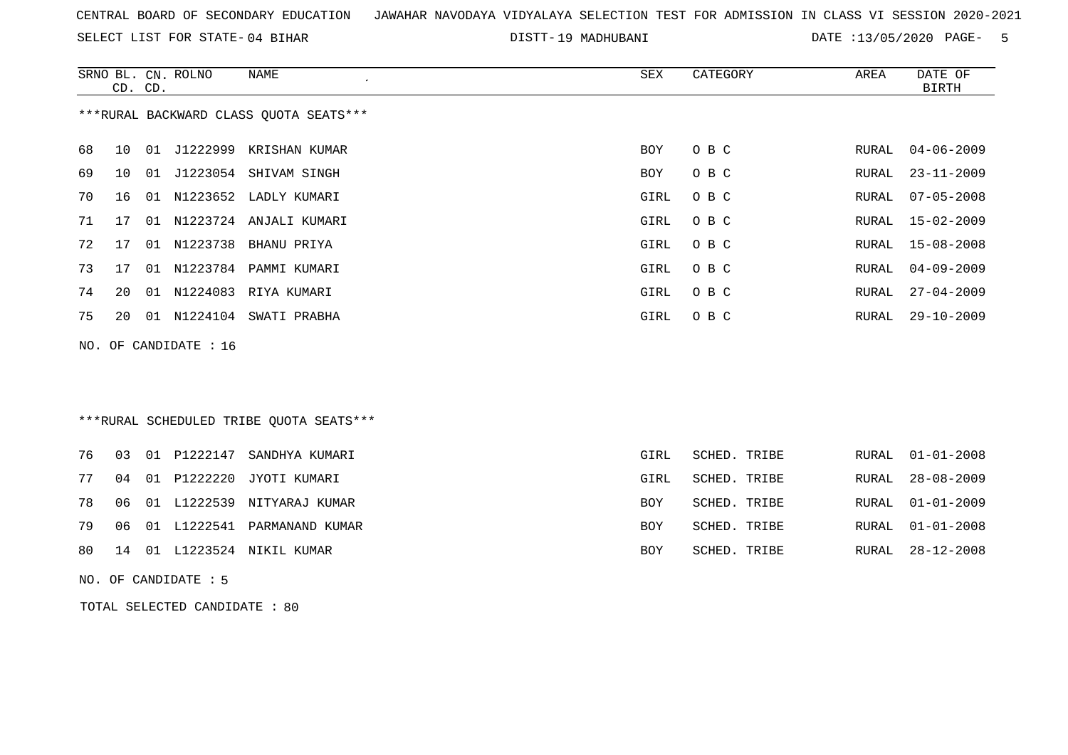SELECT LIST FOR STATE- DISTT- 04 BIHAR

19 MADHUBANI DATE :13/05/2020 PAGE- 5

|     |    | CD. CD. | SRNO BL. CN. ROLNO | <b>NAME</b><br>$\cdot$                  | <b>SEX</b> | CATEGORY     | AREA  | DATE OF<br><b>BIRTH</b> |
|-----|----|---------|--------------------|-----------------------------------------|------------|--------------|-------|-------------------------|
|     |    |         |                    | *** RURAL BACKWARD CLASS QUOTA SEATS*** |            |              |       |                         |
| 68  | 10 |         |                    | 01 J1222999 KRISHAN KUMAR               | <b>BOY</b> | O B C        | RURAL | $04 - 06 - 2009$        |
| 69  | 10 |         |                    | 01 J1223054 SHIVAM SINGH                | <b>BOY</b> | O B C        | RURAL | $23 - 11 - 2009$        |
| 70  | 16 | 01      |                    | N1223652 LADLY KUMARI                   | GIRL       | O B C        | RURAL | $07 - 05 - 2008$        |
| 71  | 17 | 01      |                    | N1223724 ANJALI KUMARI                  | GIRL       | O B C        | RURAL | $15 - 02 - 2009$        |
| 72  | 17 | 01      | N1223738           | BHANU PRIYA                             | GIRL       | O B C        | RURAL | $15 - 08 - 2008$        |
| 73  | 17 |         | 01 N1223784        | PAMMI KUMARI                            | GIRL       | O B C        | RURAL | $04 - 09 - 2009$        |
| 74  | 20 | 01      | N1224083           | RIYA KUMARI                             | GIRL       | O B C        | RURAL | $27 - 04 - 2009$        |
| 75  | 20 | 01      |                    | N1224104 SWATI PRABHA                   | GIRL       | O B C        | RURAL | $29 - 10 - 2009$        |
| NO. |    |         | OF CANDIDATE : 16  |                                         |            |              |       |                         |
|     |    |         |                    |                                         |            |              |       |                         |
|     |    |         |                    |                                         |            |              |       |                         |
|     |    |         |                    | ***RURAL SCHEDULED TRIBE QUOTA SEATS*** |            |              |       |                         |
| 76  | 03 | 01      | P1222147           | SANDHYA KUMARI                          | GIRL       | SCHED. TRIBE | RURAL | $01 - 01 - 2008$        |
| 77  | 04 | 01      | P1222220           | JYOTI KUMARI                            | GIRL       | SCHED. TRIBE | RURAL | $28 - 08 - 2009$        |
| 78  | 06 |         | 01 L1222539        | NITYARAJ KUMAR                          | <b>BOY</b> | SCHED. TRIBE | RURAL | $01 - 01 - 2009$        |
| 79  | 06 |         |                    | 01 L1222541 PARMANAND KUMAR             | BOY        | SCHED. TRIBE | RURAL | $01 - 01 - 2008$        |

80 14 01 L1223524 NIKIL KUMAR BOY SCHED. TRIBE RURAL 28-12-2008

NO. OF CANDIDATE : 5

TOTAL SELECTED CANDIDATE : 80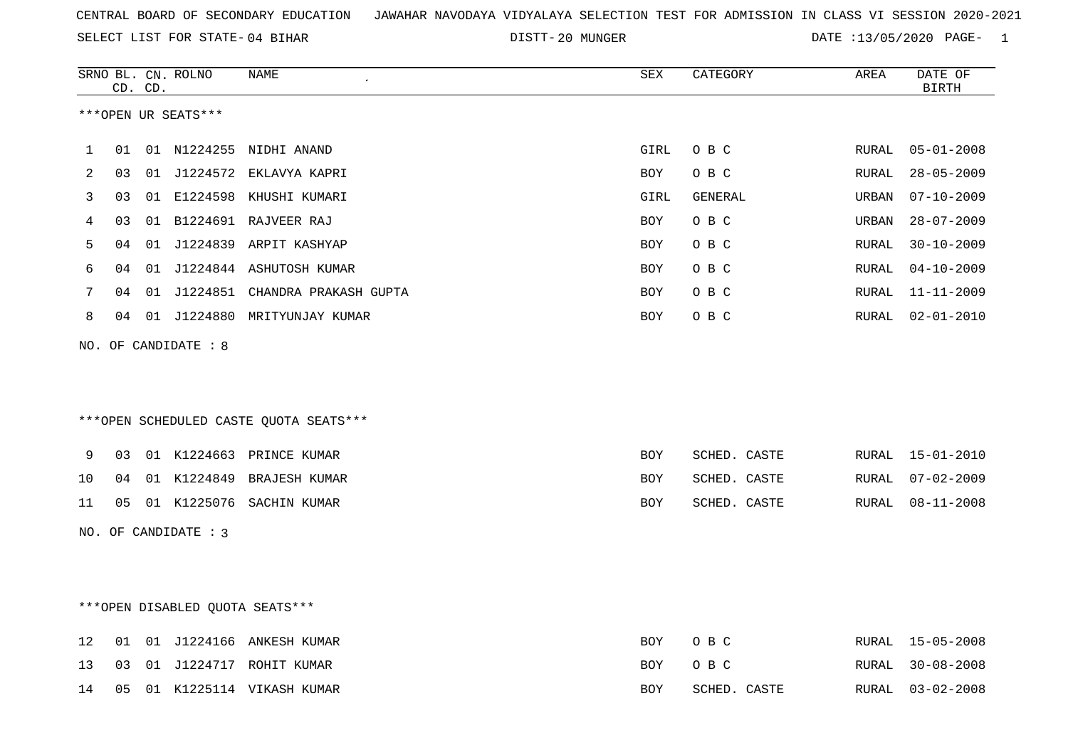20 MUNGER DATE :13/05/2020 PAGE- 1

|    |    | CD. CD. | SRNO BL. CN. ROLNO     | NAME                                     | ${\tt SEX}$ | CATEGORY     | AREA          | DATE OF<br><b>BIRTH</b> |
|----|----|---------|------------------------|------------------------------------------|-------------|--------------|---------------|-------------------------|
|    |    |         | ***OPEN UR SEATS***    |                                          |             |              |               |                         |
| 1  | 01 |         |                        | 01 N1224255 NIDHI ANAND                  | GIRL        | O B C        | RURAL         | $05 - 01 - 2008$        |
| 2  | 03 |         |                        | 01 J1224572 EKLAVYA KAPRI                | <b>BOY</b>  | O B C        | ${\tt RURAL}$ | $28 - 05 - 2009$        |
| 3  | 03 |         |                        | 01 E1224598 KHUSHI KUMARI                | GIRL        | GENERAL      | URBAN         | $07 - 10 - 2009$        |
| 4  | 03 |         |                        | 01 B1224691 RAJVEER RAJ                  | BOY         | O B C        | URBAN         | $28 - 07 - 2009$        |
| 5  | 04 |         |                        | 01 J1224839 ARPIT KASHYAP                | <b>BOY</b>  | O B C        | RURAL         | $30 - 10 - 2009$        |
| 6  | 04 |         |                        | 01 J1224844 ASHUTOSH KUMAR               | <b>BOY</b>  | O B C        | RURAL         | $04 - 10 - 2009$        |
| 7  | 04 |         |                        | 01 J1224851 CHANDRA PRAKASH GUPTA        | BOY         | O B C        | RURAL         | $11 - 11 - 2009$        |
| 8  | 04 |         |                        | 01 J1224880 MRITYUNJAY KUMAR             | BOY         | O B C        | RURAL         | $02 - 01 - 2010$        |
|    |    |         | NO. OF CANDIDATE : 8   |                                          |             |              |               |                         |
|    |    |         |                        |                                          |             |              |               |                         |
|    |    |         |                        |                                          |             |              |               |                         |
|    |    |         |                        | *** OPEN SCHEDULED CASTE QUOTA SEATS *** |             |              |               |                         |
| 9  | 03 |         |                        | 01 K1224663 PRINCE KUMAR                 | <b>BOY</b>  | SCHED. CASTE | RURAL         | 15-01-2010              |
| 10 | 04 |         |                        | 01 K1224849 BRAJESH KUMAR                | <b>BOY</b>  | SCHED. CASTE | RURAL         | $07 - 02 - 2009$        |
| 11 | 05 |         |                        | 01 K1225076 SACHIN KUMAR                 | BOY         | SCHED. CASTE | RURAL         | $08 - 11 - 2008$        |
|    |    |         | NO. OF CANDIDATE : $3$ |                                          |             |              |               |                         |
|    |    |         |                        |                                          |             |              |               |                         |
|    |    |         |                        |                                          |             |              |               |                         |
|    |    |         |                        | ***OPEN DISABLED QUOTA SEATS***          |             |              |               |                         |
| 12 | 01 |         |                        | 01 J1224166 ANKESH KUMAR                 | <b>BOY</b>  | O B C        |               | RURAL 15-05-2008        |
| 13 | 03 |         |                        | 01 J1224717 ROHIT KUMAR                  | BOY         | O B C        | RURAL         | $30 - 08 - 2008$        |
| 14 | 05 |         |                        | 01 K1225114 VIKASH KUMAR                 | BOY         | SCHED. CASTE | RURAL         | $03 - 02 - 2008$        |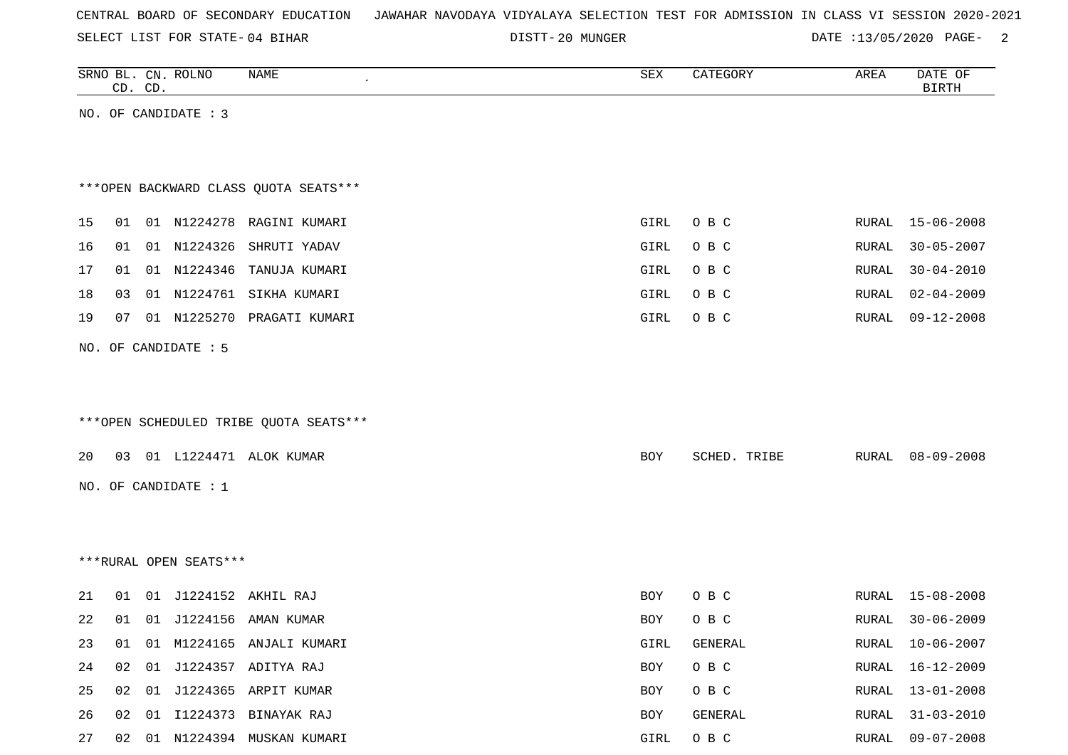|  |  |  |  | CENTRAL BOARD OF SECONDARY EDUCATION – JAWAHAR NAVODAYA VIDYALAYA SELECTION TEST FOR ADMISSION IN CLASS VI SESSION 2020-2021 |  |  |  |  |  |  |  |  |  |  |  |  |  |
|--|--|--|--|------------------------------------------------------------------------------------------------------------------------------|--|--|--|--|--|--|--|--|--|--|--|--|--|
|--|--|--|--|------------------------------------------------------------------------------------------------------------------------------|--|--|--|--|--|--|--|--|--|--|--|--|--|

DISTT-20 MUNGER DATE :13/05/2020 PAGE- 2

|    | CD. CD. | SRNO BL. CN. ROLNO     | NAME                                   | SEX        | CATEGORY     | AREA  | DATE OF<br><b>BIRTH</b> |
|----|---------|------------------------|----------------------------------------|------------|--------------|-------|-------------------------|
|    |         | NO. OF CANDIDATE : 3   |                                        |            |              |       |                         |
|    |         |                        |                                        |            |              |       |                         |
|    |         |                        |                                        |            |              |       |                         |
|    |         |                        | *** OPEN BACKWARD CLASS QUOTA SEATS*** |            |              |       |                         |
| 15 | 01      |                        | 01 N1224278 RAGINI KUMARI              | GIRL       | O B C        | RURAL | $15 - 06 - 2008$        |
| 16 | 01      | 01 N1224326            | SHRUTI YADAV                           | GIRL       | O B C        | RURAL | $30 - 05 - 2007$        |
| 17 | 01      | 01 N1224346            | TANUJA KUMARI                          | GIRL       | O B C        | RURAL | $30 - 04 - 2010$        |
| 18 | 03      |                        | 01 N1224761 SIKHA KUMARI               | GIRL       | O B C        | RURAL | $02 - 04 - 2009$        |
| 19 | 07      | 01 N1225270            | PRAGATI KUMARI                         | GIRL       | O B C        | RURAL | $09 - 12 - 2008$        |
|    |         | NO. OF CANDIDATE : 5   |                                        |            |              |       |                         |
|    |         |                        |                                        |            |              |       |                         |
|    |         |                        |                                        |            |              |       |                         |
|    |         |                        | ***OPEN SCHEDULED TRIBE QUOTA SEATS*** |            |              |       |                         |
|    |         |                        |                                        |            |              |       |                         |
| 20 |         |                        | 03 01 L1224471 ALOK KUMAR              | BOY        | SCHED. TRIBE | RURAL | $08 - 09 - 2008$        |
|    |         | NO. OF CANDIDATE : 1   |                                        |            |              |       |                         |
|    |         |                        |                                        |            |              |       |                         |
|    |         |                        |                                        |            |              |       |                         |
|    |         | ***RURAL OPEN SEATS*** |                                        |            |              |       |                         |
| 21 | 01      |                        | 01 J1224152 AKHIL RAJ                  | BOY        | O B C        | RURAL | 15-08-2008              |
| 22 |         |                        | 01 01 J1224156 AMAN KUMAR              | <b>BOY</b> | O B C        | RURAL | $30 - 06 - 2009$        |
| 23 | 01      |                        | 01 M1224165 ANJALI KUMARI              | GIRL       | GENERAL      | RURAL | $10 - 06 - 2007$        |
| 24 | 02      |                        | 01 J1224357 ADITYA RAJ                 | BOY        | O B C        | RURAL | $16 - 12 - 2009$        |
| 25 | 02      |                        | 01 J1224365 ARPIT KUMAR                | BOY        | O B C        | RURAL | $13 - 01 - 2008$        |
| 26 | 02      |                        | 01 I1224373 BINAYAK RAJ                | BOY        | GENERAL      | RURAL | $31 - 03 - 2010$        |
| 27 |         |                        | 02 01 N1224394 MUSKAN KUMARI           | GIRL       | $O$ B $C$    | RURAL | $09 - 07 - 2008$        |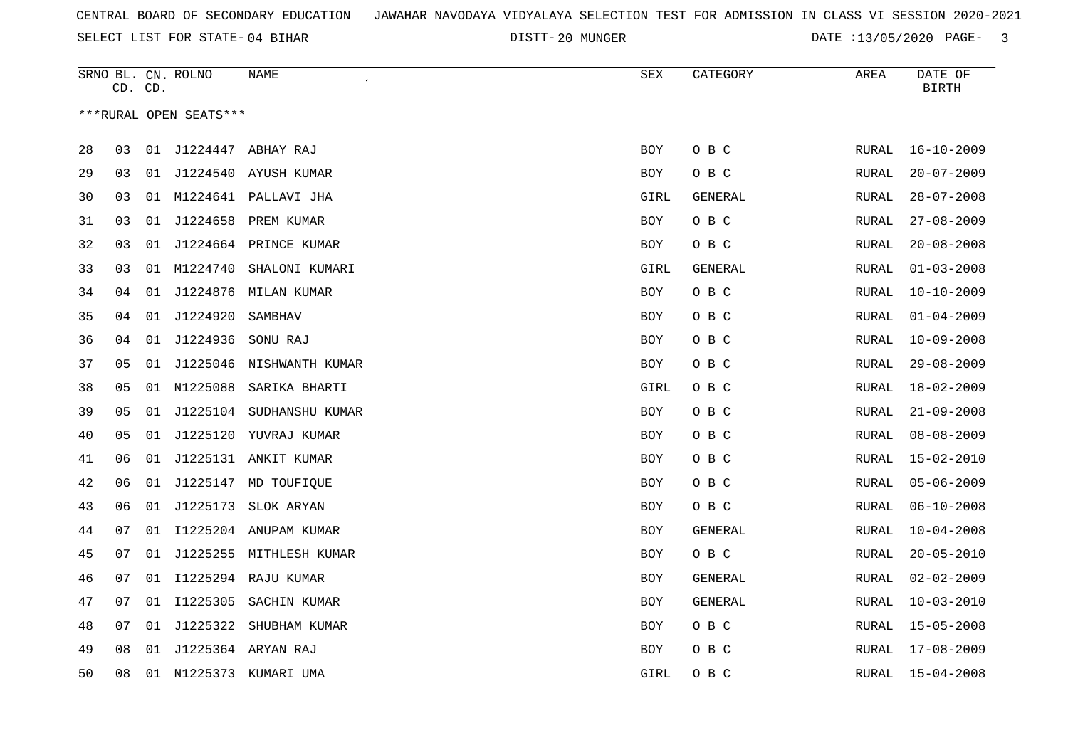20 MUNGER DATE :13/05/2020 PAGE- 3

|    | CD. CD. |    | SRNO BL. CN. ROLNO     | NAME<br>$\pmb{\cdot}$   | <b>SEX</b> | CATEGORY       | AREA         | DATE OF<br><b>BIRTH</b> |
|----|---------|----|------------------------|-------------------------|------------|----------------|--------------|-------------------------|
|    |         |    | ***RURAL OPEN SEATS*** |                         |            |                |              |                         |
|    |         |    |                        |                         |            |                |              |                         |
| 28 | 03      |    |                        | 01 J1224447 ABHAY RAJ   | BOY        | O B C          | RURAL        | $16 - 10 - 2009$        |
| 29 | 03      |    |                        | 01 J1224540 AYUSH KUMAR | BOY        | O B C          | RURAL        | $20 - 07 - 2009$        |
| 30 | 03      |    |                        | 01 M1224641 PALLAVI JHA | GIRL       | GENERAL        | RURAL        | $28 - 07 - 2008$        |
| 31 | 03      |    |                        | 01 J1224658 PREM KUMAR  | <b>BOY</b> | O B C          | RURAL        | $27 - 08 - 2009$        |
| 32 | 03      | 01 |                        | J1224664 PRINCE KUMAR   | BOY        | O B C          | RURAL        | $20 - 08 - 2008$        |
| 33 | 03      | 01 | M1224740               | SHALONI KUMARI          | GIRL       | <b>GENERAL</b> | <b>RURAL</b> | $01 - 03 - 2008$        |
| 34 | 04      |    |                        | 01 J1224876 MILAN KUMAR | <b>BOY</b> | O B C          | <b>RURAL</b> | $10 - 10 - 2009$        |
| 35 | 04      |    | 01 J1224920            | SAMBHAV                 | <b>BOY</b> | O B C          | <b>RURAL</b> | $01 - 04 - 2009$        |
| 36 | 04      | 01 | J1224936               | SONU RAJ                | <b>BOY</b> | O B C          | RURAL        | $10 - 09 - 2008$        |
| 37 | 05      | 01 | J1225046               | NISHWANTH KUMAR         | <b>BOY</b> | O B C          | RURAL        | $29 - 08 - 2009$        |
| 38 | 05      |    | 01 N1225088            | SARIKA BHARTI           | GIRL       | O B C          | RURAL        | $18 - 02 - 2009$        |
| 39 | 05      | 01 | J1225104               | SUDHANSHU KUMAR         | <b>BOY</b> | O B C          | RURAL        | $21 - 09 - 2008$        |
| 40 | 05      | 01 |                        | J1225120 YUVRAJ KUMAR   | <b>BOY</b> | O B C          | RURAL        | $08 - 08 - 2009$        |
| 41 | 06      | 01 |                        | J1225131 ANKIT KUMAR    | BOY        | O B C          | RURAL        | $15 - 02 - 2010$        |
| 42 | 06      | 01 | J1225147               | MD TOUFIQUE             | <b>BOY</b> | O B C          | <b>RURAL</b> | $05 - 06 - 2009$        |
| 43 | 06      |    |                        | 01 J1225173 SLOK ARYAN  | BOY        | O B C          | RURAL        | $06 - 10 - 2008$        |
| 44 | 07      | 01 |                        | I1225204 ANUPAM KUMAR   | <b>BOY</b> | <b>GENERAL</b> | RURAL        | $10 - 04 - 2008$        |
| 45 | 07      | 01 |                        | J1225255 MITHLESH KUMAR | BOY        | O B C          | RURAL        | $20 - 05 - 2010$        |
| 46 | 07      | 01 |                        | I1225294 RAJU KUMAR     | <b>BOY</b> | GENERAL        | <b>RURAL</b> | $02 - 02 - 2009$        |
| 47 | 07      | 01 | I1225305               | SACHIN KUMAR            | <b>BOY</b> | GENERAL        | RURAL        | $10 - 03 - 2010$        |
| 48 | 07      | 01 | J1225322               | SHUBHAM KUMAR           | <b>BOY</b> | O B C          | RURAL        | $15 - 05 - 2008$        |
| 49 | 08      |    |                        | 01 J1225364 ARYAN RAJ   | <b>BOY</b> | O B C          | RURAL        | $17 - 08 - 2009$        |
| 50 | 08      |    |                        | 01 N1225373 KUMARI UMA  | GIRL       | O B C          | RURAL        | $15 - 04 - 2008$        |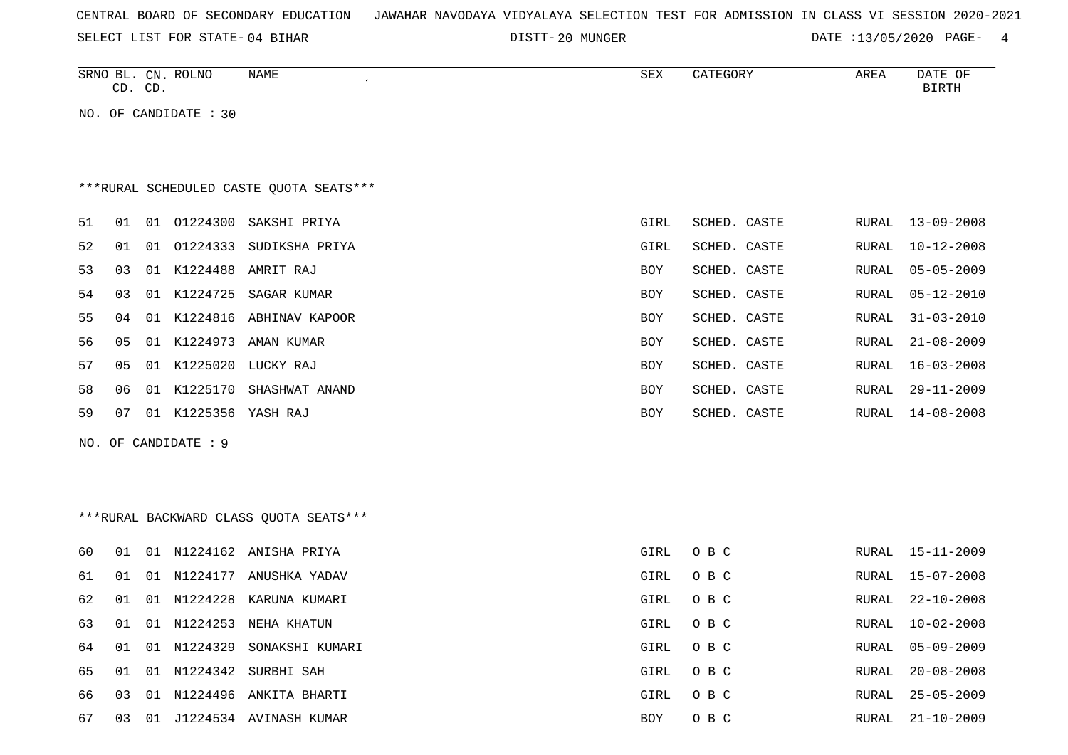|  |  |  |  | CENTRAL BOARD OF SECONDARY EDUCATION – JAWAHAR NAVODAYA VIDYALAYA SELECTION TEST FOR ADMISSION IN CLASS VI SESSION 2020-2021 |  |  |  |  |  |  |  |  |  |
|--|--|--|--|------------------------------------------------------------------------------------------------------------------------------|--|--|--|--|--|--|--|--|--|
|--|--|--|--|------------------------------------------------------------------------------------------------------------------------------|--|--|--|--|--|--|--|--|--|

DISTT-20 MUNGER **DATE** :13/05/2020 PAGE- 4

| SRNO<br>ᆸ    | CN          | PQTNT<br>OLINU: | NAME | SEX | <b>AREI</b><br>$\cdots$ | DA mr<br>DА |
|--------------|-------------|-----------------|------|-----|-------------------------|-------------|
| $\sim$<br>سد | $\cap$<br>ັ |                 |      |     |                         |             |
|              |             |                 |      |     |                         |             |

NO. OF CANDIDATE : 30

# \*\*\*RURAL SCHEDULED CASTE QUOTA SEATS\*\*\*

| 51 | 01 | O 1   | 01224300 | SAKSHI PRIYA   | GIRL       | SCHED. CASTE | RURAL | $13 - 09 - 2008$ |
|----|----|-------|----------|----------------|------------|--------------|-------|------------------|
| 52 | 01 | 01    | 01224333 | SUDIKSHA PRIYA | GIRL       | SCHED. CASTE | RURAL | $10 - 12 - 2008$ |
| 53 | 03 | 01    | K1224488 | AMRIT RAJ      | <b>BOY</b> | SCHED. CASTE |       | RURAL 05-05-2009 |
| 54 | 03 | 01    | K1224725 | SAGAR KUMAR    | <b>BOY</b> | SCHED. CASTE |       | RURAL 05-12-2010 |
| 55 | 04 | 01    | K1224816 | ABHINAV KAPOOR | BOY        | SCHED. CASTE | RURAL | 31-03-2010       |
| 56 | 05 | 0 1   | K1224973 | AMAN KUMAR     | BOY        | SCHED. CASTE | RURAL | 21-08-2009       |
| 57 | 05 | 01    | K1225020 | LUCKY RAJ      | <b>BOY</b> | SCHED. CASTE | RURAL | $16 - 03 - 2008$ |
| 58 | 06 | . O 1 | K1225170 | SHASHWAT ANAND | <b>BOY</b> | SCHED. CASTE | RURAL | $29 - 11 - 2009$ |
| 59 | 07 | 01    | K1225356 | YASH RAJ       | <b>BOY</b> | SCHED. CASTE | RURAL | $14 - 08 - 2008$ |
|    |    |       |          |                |            |              |       |                  |

NO. OF CANDIDATE : 9

# \*\*\*RURAL BACKWARD CLASS QUOTA SEATS\*\*\*

| 60  | O 1 |    |             | 01 N1224162 ANISHA PRIYA  | GIRL | O B C |       | RURAL 15-11-2009 |
|-----|-----|----|-------------|---------------------------|------|-------|-------|------------------|
| 61  | 01  |    | 01 N1224177 | ANUSHKA YADAV             | GIRL | O B C |       | RURAL 15-07-2008 |
| 62. | 01  |    |             | 01 N1224228 KARUNA KUMARI | GIRL | O B C |       | RURAL 22-10-2008 |
| 63  | 01  |    | 01 N1224253 | NEHA KHATUN               | GIRL | O B C |       | RURAL 10-02-2008 |
| 64  | 01  |    | 01 N1224329 | SONAKSHI KUMARI           | GIRL | O B C |       | RURAL 05-09-2009 |
| 65  | 01  |    |             | 01 N1224342 SURBHI SAH    | GIRL | O B C |       | RURAL 20-08-2008 |
| 66. | 03  |    |             | 01 N1224496 ANKITA BHARTI | GIRL | O B C | RURAL | 25-05-2009       |
| 67  | 03  | 01 |             | J1224534 AVINASH KUMAR    | BOY  | O B C | RURAL | $21 - 10 - 2009$ |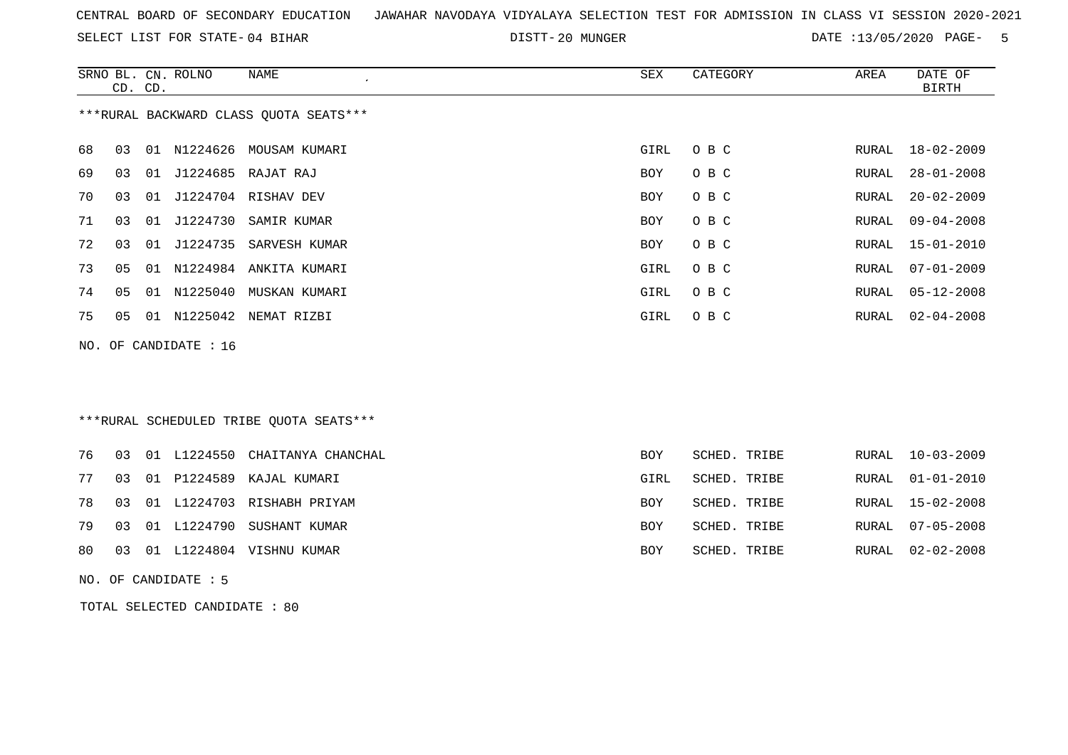SELECT LIST FOR STATE- DISTT- 04 BIHAR

DISTT-20 MUNGER DATE :13/05/2020 PAGE- 5

|    |    | CD. CD. | SRNO BL. CN. ROLNO    | NAME<br>$\epsilon$                      | SEX        | CATEGORY     | AREA  | DATE OF<br><b>BIRTH</b> |
|----|----|---------|-----------------------|-----------------------------------------|------------|--------------|-------|-------------------------|
|    |    |         |                       | *** RURAL BACKWARD CLASS QUOTA SEATS*** |            |              |       |                         |
| 68 | 03 |         |                       | 01 N1224626 MOUSAM KUMARI               | GIRL       | O B C        | RURAL | 18-02-2009              |
| 69 | 03 |         |                       | 01 J1224685 RAJAT RAJ                   | <b>BOY</b> | O B C        | RURAL | $28 - 01 - 2008$        |
| 70 | 03 | 01      |                       | J1224704 RISHAV DEV                     | <b>BOY</b> | O B C        | RURAL | $20 - 02 - 2009$        |
| 71 | 03 |         | 01 J1224730           | SAMIR KUMAR                             | <b>BOY</b> | O B C        | RURAL | $09 - 04 - 2008$        |
| 72 | 03 |         |                       | 01 J1224735 SARVESH KUMAR               | <b>BOY</b> | O B C        | RURAL | $15 - 01 - 2010$        |
| 73 | 05 |         |                       | 01 N1224984 ANKITA KUMARI               | GIRL       | O B C        | RURAL | $07 - 01 - 2009$        |
| 74 | 05 | 01      | N1225040              | MUSKAN KUMARI                           | GIRL       | O B C        | RURAL | $05 - 12 - 2008$        |
| 75 | 05 |         |                       | 01 N1225042 NEMAT RIZBI                 | GIRL       | O B C        | RURAL | $02 - 04 - 2008$        |
|    |    |         | NO. OF CANDIDATE : 16 |                                         |            |              |       |                         |
|    |    |         |                       |                                         |            |              |       |                         |
|    |    |         |                       |                                         |            |              |       |                         |
|    |    |         |                       | ***RURAL SCHEDULED TRIBE QUOTA SEATS*** |            |              |       |                         |
| 76 | 03 |         | 01 L1224550           | CHAITANYA CHANCHAL                      | <b>BOY</b> | SCHED. TRIBE | RURAL | $10 - 03 - 2009$        |

|  |  | 76 03 01 L1224550 CHAITANYA CHANCHAL | BOY        | SCHED. TRIBE |  | RURAL 10-03-2009 |
|--|--|--------------------------------------|------------|--------------|--|------------------|
|  |  | 77 03 01 P1224589 KAJAL KUMARI       | GIRL       | SCHED. TRIBE |  | RURAL 01-01-2010 |
|  |  | 78 03 01 L1224703 RISHABH PRIYAM     | <b>BOY</b> | SCHED. TRIBE |  | RURAL 15-02-2008 |
|  |  | 79 03 01 L1224790 SUSHANT KUMAR      | BOY        | SCHED. TRIBE |  | RURAL 07-05-2008 |
|  |  | 80 03 01 L1224804 VISHNU KUMAR       | BOY        | SCHED. TRIBE |  | RURAL 02-02-2008 |

NO. OF CANDIDATE : 5

TOTAL SELECTED CANDIDATE : 80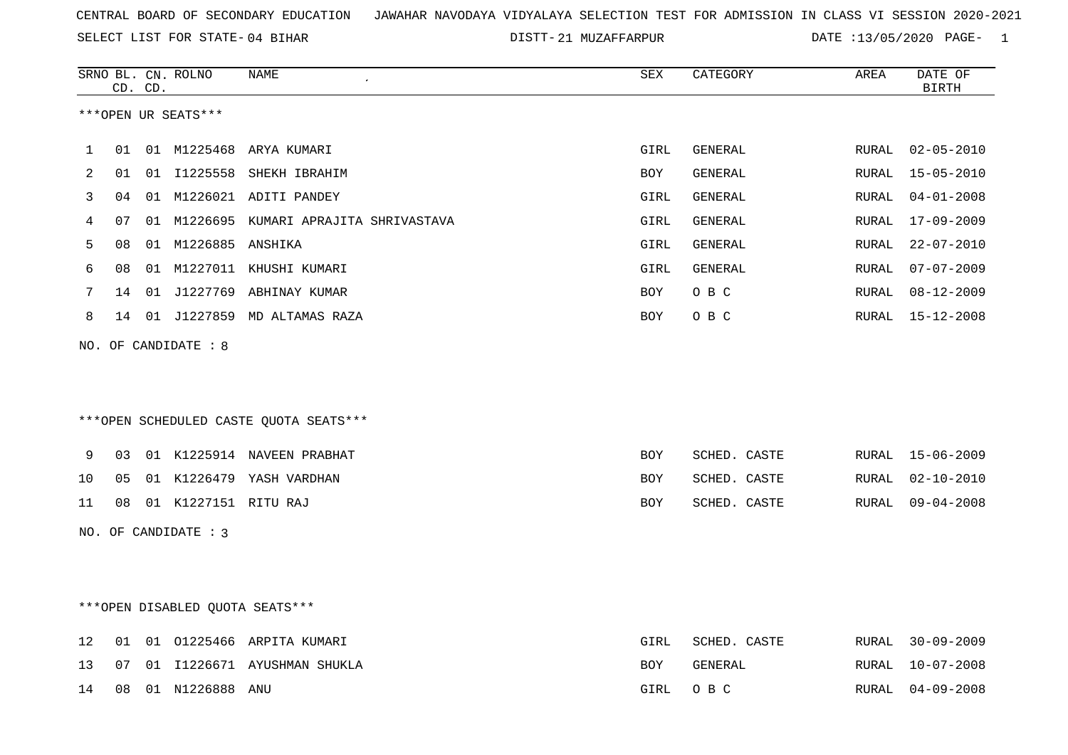SELECT LIST FOR STATE- DISTT- 04 BIHAR

|    |    | CD. CD. | SRNO BL. CN. ROLNO      | <b>NAME</b>                             | SEX        | CATEGORY       | AREA  | DATE OF<br><b>BIRTH</b> |
|----|----|---------|-------------------------|-----------------------------------------|------------|----------------|-------|-------------------------|
|    |    |         | ***OPEN UR SEATS***     |                                         |            |                |       |                         |
| 1  | 01 |         | 01 M1225468             | ARYA KUMARI                             | GIRL       | GENERAL        |       | RURAL 02-05-2010        |
| 2  | 01 |         |                         | 01 I1225558 SHEKH IBRAHIM               | BOY        | GENERAL        | RURAL | 15-05-2010              |
| 3  | 04 |         |                         | 01 M1226021 ADITI PANDEY                | GIRL       | <b>GENERAL</b> | RURAL | $04 - 01 - 2008$        |
| 4  | 07 |         |                         | 01 M1226695 KUMARI APRAJITA SHRIVASTAVA | GIRL       | GENERAL        | RURAL | 17-09-2009              |
| 5  | 08 |         | 01 M1226885 ANSHIKA     |                                         | GIRL       | GENERAL        | RURAL | $22 - 07 - 2010$        |
| 6  | 08 |         |                         | 01 M1227011 KHUSHI KUMARI               | GIRL       | GENERAL        | RURAL | $07 - 07 - 2009$        |
| 7  |    |         |                         | 14 01 J1227769 ABHINAY KUMAR            | <b>BOY</b> | O B C          |       | RURAL 08-12-2009        |
| 8  |    |         |                         | 14 01 J1227859 MD ALTAMAS RAZA          | BOY        | O B C          |       | RURAL 15-12-2008        |
|    |    |         | NO. OF CANDIDATE : 8    | ***OPEN SCHEDULED CASTE QUOTA SEATS***  |            |                |       |                         |
| 9  |    |         |                         | 03 01 K1225914 NAVEEN PRABHAT           | BOY        | SCHED. CASTE   |       | RURAL 15-06-2009        |
| 10 | 05 |         |                         | 01 K1226479 YASH VARDHAN                | <b>BOY</b> | SCHED. CASTE   | RURAL | $02 - 10 - 2010$        |
| 11 |    |         | 08 01 K1227151 RITU RAJ |                                         | <b>BOY</b> | SCHED. CASTE   |       | RURAL 09-04-2008        |
|    |    |         | NO. OF CANDIDATE : 3    |                                         |            |                |       |                         |
|    |    |         |                         | ***OPEN DISABLED OUOTA SEATS***         |            |                |       |                         |
| 12 | 01 |         |                         | 01 01225466 ARPITA KUMARI               | GIRL       | SCHED. CASTE   | RURAL | $30 - 09 - 2009$        |
| 13 | 07 |         |                         | 01 I1226671 AYUSHMAN SHUKLA             | BOY        | GENERAL        | RURAL | $10 - 07 - 2008$        |
| 14 | 08 |         | 01 N1226888 ANU         |                                         | GIRL       | O B C          | RURAL | $04 - 09 - 2008$        |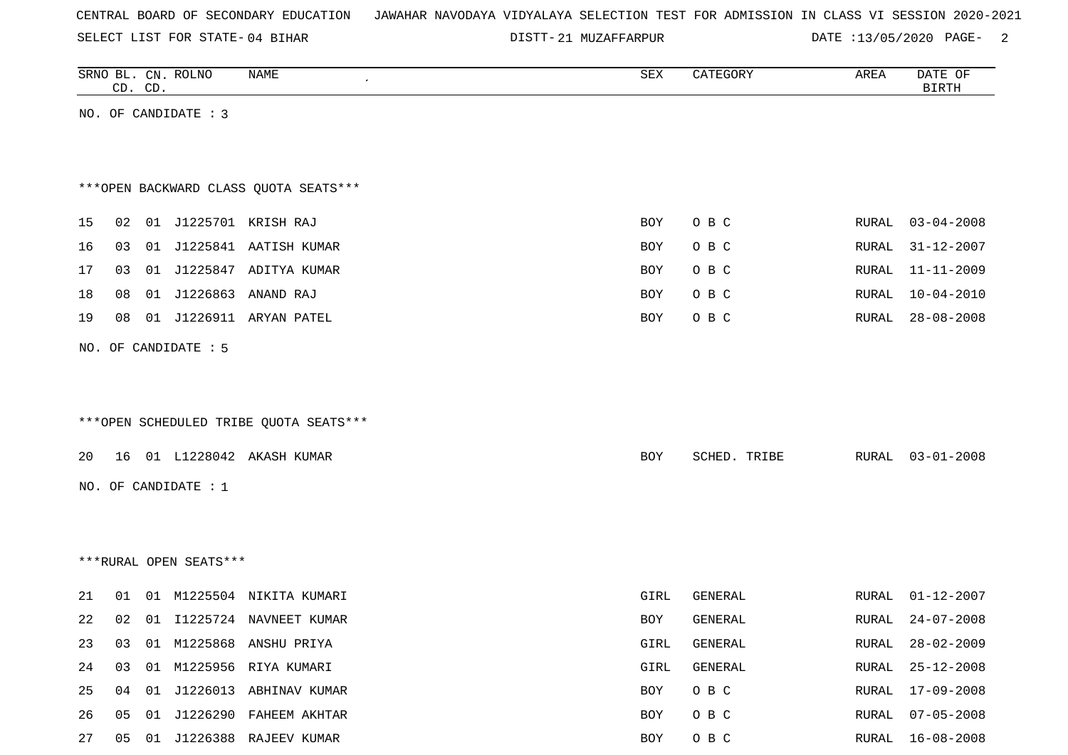SELECT LIST FOR STATE- DISTT- 04 BIHAR

|    |    | CD. CD. | SRNO BL. CN. ROLNO     | NAME                                   | SEX        | CATEGORY     | AREA         | DATE OF<br><b>BIRTH</b> |
|----|----|---------|------------------------|----------------------------------------|------------|--------------|--------------|-------------------------|
|    |    |         | NO. OF CANDIDATE : 3   |                                        |            |              |              |                         |
|    |    |         |                        |                                        |            |              |              |                         |
|    |    |         |                        |                                        |            |              |              |                         |
|    |    |         |                        | *** OPEN BACKWARD CLASS QUOTA SEATS*** |            |              |              |                         |
| 15 | 02 |         |                        | 01 J1225701 KRISH RAJ                  | BOY        | O B C        | RURAL        | $03 - 04 - 2008$        |
|    |    |         |                        |                                        |            |              |              |                         |
| 16 | 03 | 01      |                        | J1225841 AATISH KUMAR                  | <b>BOY</b> | O B C        | RURAL        | $31 - 12 - 2007$        |
| 17 | 03 |         |                        | 01 J1225847 ADITYA KUMAR               | BOY        | O B C        | RURAL        | $11 - 11 - 2009$        |
| 18 | 08 |         |                        | 01 J1226863 ANAND RAJ                  | <b>BOY</b> | O B C        | RURAL        | $10 - 04 - 2010$        |
| 19 | 08 |         |                        | 01 J1226911 ARYAN PATEL                | <b>BOY</b> | O B C        | RURAL        | $28 - 08 - 2008$        |
|    |    |         | NO. OF CANDIDATE : 5   |                                        |            |              |              |                         |
|    |    |         |                        |                                        |            |              |              |                         |
|    |    |         |                        |                                        |            |              |              |                         |
|    |    |         |                        | ***OPEN SCHEDULED TRIBE QUOTA SEATS*** |            |              |              |                         |
| 20 | 16 |         |                        | 01 L1228042 AKASH KUMAR                | BOY        | SCHED. TRIBE | RURAL        | $03 - 01 - 2008$        |
|    |    |         |                        |                                        |            |              |              |                         |
|    |    |         | NO. OF CANDIDATE : 1   |                                        |            |              |              |                         |
|    |    |         |                        |                                        |            |              |              |                         |
|    |    |         |                        |                                        |            |              |              |                         |
|    |    |         | ***RURAL OPEN SEATS*** |                                        |            |              |              |                         |
| 21 | 01 |         |                        | 01 M1225504 NIKITA KUMARI              | GIRL       | GENERAL      | RURAL        | $01 - 12 - 2007$        |
| 22 | 02 | 01      |                        | 11225724 NAVNEET KUMAR                 | <b>BOY</b> | GENERAL      | RURAL        | $24 - 07 - 2008$        |
| 23 | 03 |         |                        | 01 M1225868 ANSHU PRIYA                | GIRL       | GENERAL      | RURAL        | $28 - 02 - 2009$        |
| 24 | 03 |         |                        | 01 M1225956 RIYA KUMARI                | GIRL       | GENERAL      | RURAL        | $25 - 12 - 2008$        |
| 25 | 04 | 01      |                        | J1226013 ABHINAV KUMAR                 | BOY        | O B C        | <b>RURAL</b> | $17 - 09 - 2008$        |
| 26 | 05 | 01      |                        | J1226290 FAHEEM AKHTAR                 | BOY        | O B C        | RURAL        | $07 - 05 - 2008$        |
| 27 | 05 |         |                        | 01 J1226388 RAJEEV KUMAR               | BOY        | O B C        | RURAL        | $16 - 08 - 2008$        |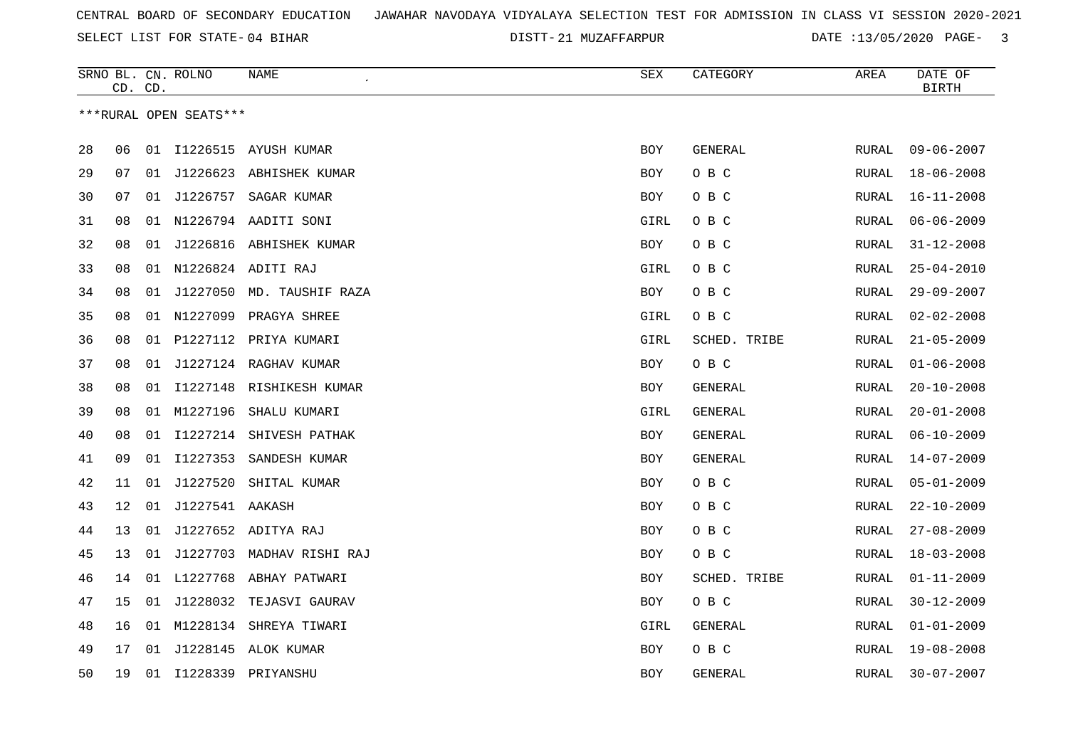SELECT LIST FOR STATE- DISTT- 04 BIHAR

|    |    | CD. CD. | SRNO BL. CN. ROLNO     | NAME                       | <b>SEX</b> | CATEGORY     | AREA         | DATE OF<br><b>BIRTH</b> |
|----|----|---------|------------------------|----------------------------|------------|--------------|--------------|-------------------------|
|    |    |         | ***RURAL OPEN SEATS*** |                            |            |              |              |                         |
| 28 | 06 |         |                        | 01 I1226515 AYUSH KUMAR    | <b>BOY</b> | GENERAL      | RURAL        | $09 - 06 - 2007$        |
| 29 | 07 | 01      |                        | J1226623 ABHISHEK KUMAR    | BOY        | O B C        | RURAL        | $18 - 06 - 2008$        |
| 30 | 07 | 01      | J1226757               | SAGAR KUMAR                | BOY        | O B C        | RURAL        | $16 - 11 - 2008$        |
| 31 | 08 |         |                        | 01 N1226794 AADITI SONI    | GIRL       | O B C        | RURAL        | $06 - 06 - 2009$        |
| 32 | 08 | 01      |                        | J1226816 ABHISHEK KUMAR    | <b>BOY</b> | O B C        | RURAL        | $31 - 12 - 2008$        |
| 33 | 08 |         |                        | 01 N1226824 ADITI RAJ      | GIRL       | O B C        | RURAL        | $25 - 04 - 2010$        |
| 34 | 08 | 01      |                        | J1227050 MD. TAUSHIF RAZA  | <b>BOY</b> | O B C        | RURAL        | $29 - 09 - 2007$        |
| 35 | 08 | 01      |                        | N1227099 PRAGYA SHREE      | GIRL       | O B C        | RURAL        | $02 - 02 - 2008$        |
| 36 | 08 |         |                        | 01 P1227112 PRIYA KUMARI   | GIRL       | SCHED. TRIBE | RURAL        | $21 - 05 - 2009$        |
| 37 | 08 | 01      |                        | J1227124 RAGHAV KUMAR      | BOY        | O B C        | RURAL        | $01 - 06 - 2008$        |
| 38 | 08 | 01      |                        | I1227148 RISHIKESH KUMAR   | BOY        | GENERAL      | RURAL        | $20 - 10 - 2008$        |
| 39 | 08 |         | 01 M1227196            | SHALU KUMARI               | GIRL       | GENERAL      | <b>RURAL</b> | $20 - 01 - 2008$        |
| 40 | 08 | 01      |                        | I1227214 SHIVESH PATHAK    | BOY        | GENERAL      | RURAL        | $06 - 10 - 2009$        |
| 41 | 09 | 01      | I1227353               | SANDESH KUMAR              | <b>BOY</b> | GENERAL      | RURAL        | $14 - 07 - 2009$        |
| 42 | 11 | 01      | J1227520               | SHITAL KUMAR               | BOY        | O B C        | RURAL        | $05 - 01 - 2009$        |
| 43 | 12 | 01      | J1227541 AAKASH        |                            | BOY        | O B C        | RURAL        | $22 - 10 - 2009$        |
| 44 | 13 | 01      |                        | J1227652 ADITYA RAJ        | BOY        | O B C        | RURAL        | $27 - 08 - 2009$        |
| 45 | 13 | 01      |                        | J1227703 MADHAV RISHI RAJ  | <b>BOY</b> | O B C        | RURAL        | $18 - 03 - 2008$        |
| 46 | 14 |         |                        | 01 L1227768 ABHAY PATWARI  | <b>BOY</b> | SCHED. TRIBE | RURAL        | $01 - 11 - 2009$        |
| 47 | 15 |         |                        | 01 J1228032 TEJASVI GAURAV | <b>BOY</b> | O B C        | RURAL        | $30 - 12 - 2009$        |
| 48 | 16 |         |                        | 01 M1228134 SHREYA TIWARI  | GIRL       | GENERAL      | RURAL        | $01 - 01 - 2009$        |
| 49 | 17 | 01      |                        | J1228145 ALOK KUMAR        | <b>BOY</b> | O B C        | RURAL        | $19 - 08 - 2008$        |
| 50 | 19 |         | 01 I1228339            | PRIYANSHU                  | <b>BOY</b> | GENERAL      | RURAL        | $30 - 07 - 2007$        |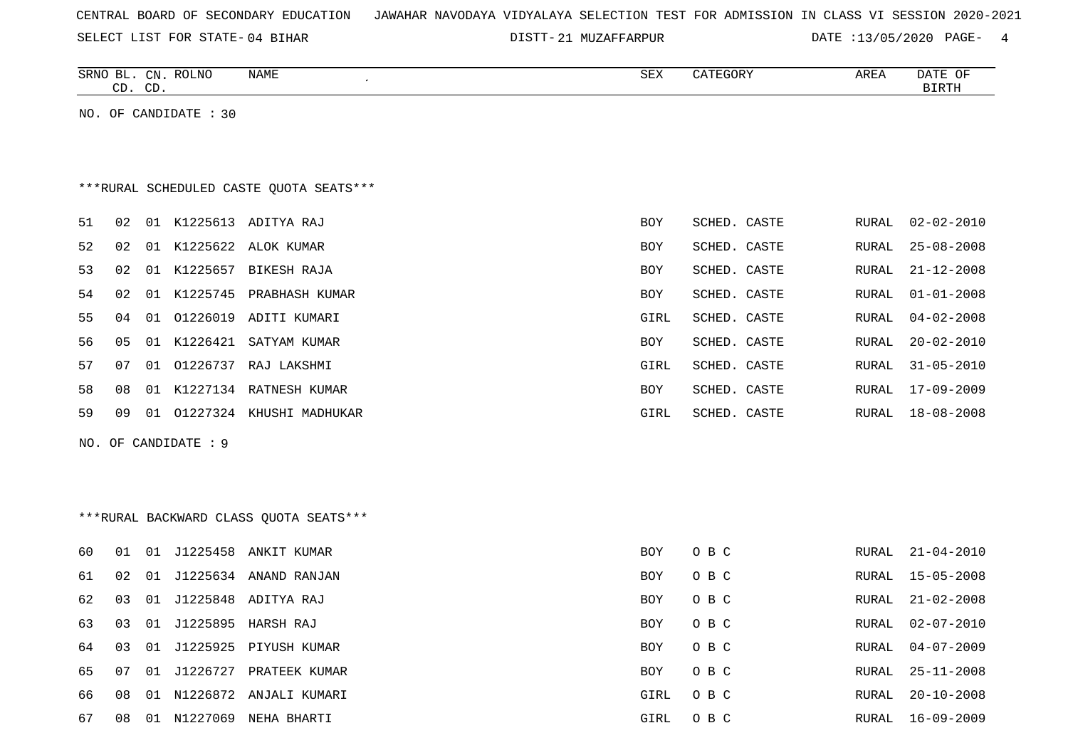|  |  |  |  | CENTRAL BOARD OF SECONDARY EDUCATION – JAWAHAR NAVODAYA VIDYALAYA SELECTION TEST FOR ADMISSION IN CLASS VI SESSION 2020-2021 |  |  |  |  |  |  |  |  |  |  |  |  |  |  |
|--|--|--|--|------------------------------------------------------------------------------------------------------------------------------|--|--|--|--|--|--|--|--|--|--|--|--|--|--|
|--|--|--|--|------------------------------------------------------------------------------------------------------------------------------|--|--|--|--|--|--|--|--|--|--|--|--|--|--|

|    |    | CD. CD. | SRNO BL. CN. ROLNO    | NAME                                     | SEX        | CATEGORY     | AREA         | DATE OF<br><b>BIRTH</b> |
|----|----|---------|-----------------------|------------------------------------------|------------|--------------|--------------|-------------------------|
|    |    |         | NO. OF CANDIDATE : 30 |                                          |            |              |              |                         |
|    |    |         |                       |                                          |            |              |              |                         |
|    |    |         |                       | *** RURAL SCHEDULED CASTE QUOTA SEATS*** |            |              |              |                         |
| 51 | 02 |         |                       | 01 K1225613 ADITYA RAJ                   | <b>BOY</b> | SCHED. CASTE | RURAL        | 02-02-2010              |
| 52 | 02 |         | 01 K1225622           | ALOK KUMAR                               | BOY        | SCHED. CASTE | RURAL        | $25 - 08 - 2008$        |
| 53 | 02 |         |                       | 01 K1225657 BIKESH RAJA                  | BOY        | SCHED. CASTE | RURAL        | $21 - 12 - 2008$        |
| 54 | 02 | 01      |                       | K1225745 PRABHASH KUMAR                  | BOY        | SCHED. CASTE | RURAL        | $01 - 01 - 2008$        |
| 55 | 04 |         | 01 01226019           | ADITI KUMARI                             | GIRL       | SCHED. CASTE | RURAL        | $04 - 02 - 2008$        |
| 56 | 05 | 01      | K1226421              | SATYAM KUMAR                             | BOY        | SCHED. CASTE | RURAL        | $20 - 02 - 2010$        |
| 57 | 07 | 01      |                       | 01226737 RAJ LAKSHMI                     | GIRL       | SCHED. CASTE | RURAL        | $31 - 05 - 2010$        |
| 58 | 08 |         |                       | 01 K1227134 RATNESH KUMAR                | BOY        | SCHED. CASTE | RURAL        | 17-09-2009              |
| 59 | 09 |         |                       | 01 01227324 KHUSHI MADHUKAR              | GIRL       | SCHED. CASTE | RURAL        | $18 - 08 - 2008$        |
|    |    |         | NO. OF CANDIDATE : 9  |                                          |            |              |              |                         |
|    |    |         |                       |                                          |            |              |              |                         |
|    |    |         |                       |                                          |            |              |              |                         |
|    |    |         |                       | *** RURAL BACKWARD CLASS QUOTA SEATS***  |            |              |              |                         |
| 60 | 01 | 01      |                       | J1225458 ANKIT KUMAR                     | <b>BOY</b> | O B C        | RURAL        | $21 - 04 - 2010$        |
| 61 | 02 | 01      |                       | J1225634 ANAND RANJAN                    | <b>BOY</b> | O B C        | RURAL        | $15 - 05 - 2008$        |
| 62 | 03 | 01      |                       | J1225848 ADITYA RAJ                      | <b>BOY</b> | O B C        | RURAL        | $21 - 02 - 2008$        |
| 63 | 03 | 01      |                       | J1225895 HARSH RAJ                       | <b>BOY</b> | O B C        | <b>RURAL</b> | $02 - 07 - 2010$        |
| 64 | 03 | 01      | J1225925              | PIYUSH KUMAR                             | <b>BOY</b> | O B C        | RURAL        | $04 - 07 - 2009$        |
| 65 | 07 | 01      | J1226727              | PRATEEK KUMAR                            | BOY        | O B C        | RURAL        | $25 - 11 - 2008$        |
| 66 | 08 |         |                       | 01 N1226872 ANJALI KUMARI                | GIRL       | O B C        | RURAL        | $20 - 10 - 2008$        |
| 67 | 08 |         |                       | 01 N1227069 NEHA BHARTI                  | GIRL       | O B C        | RURAL        | $16 - 09 - 2009$        |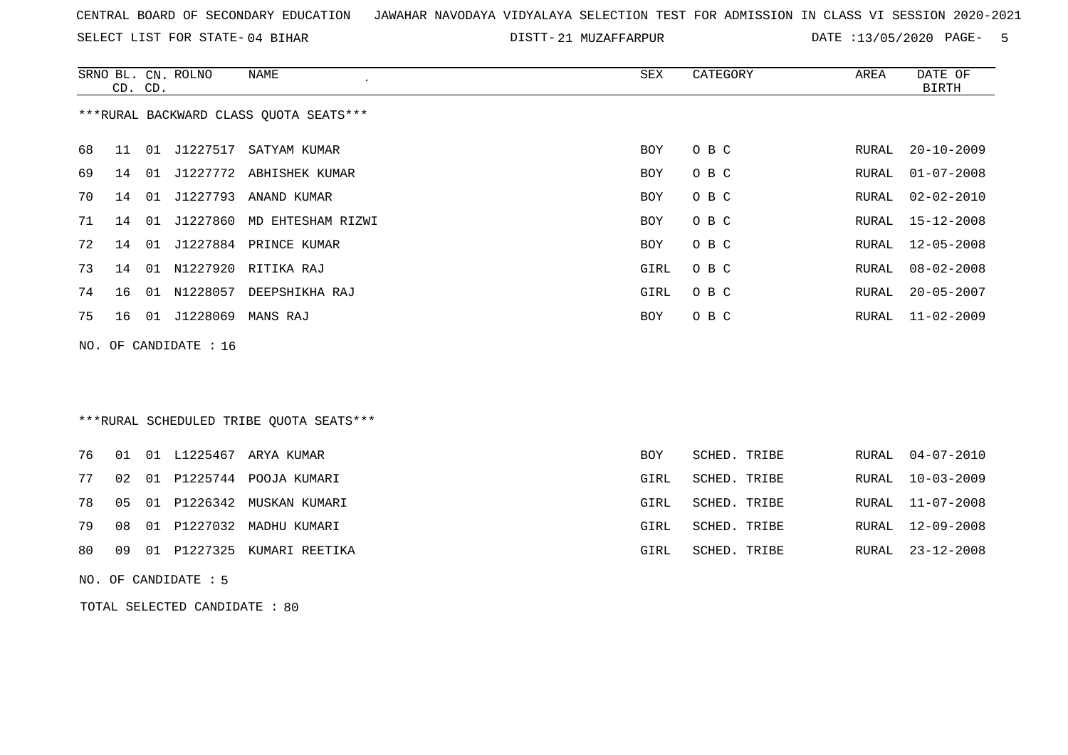SELECT LIST FOR STATE- DISTT- 04 BIHAR

DISTT-21 MUZAFFARPUR DATE :13/05/2020 PAGE- 5

|    | CD. CD. |    | SRNO BL. CN. ROLNO    | <b>NAME</b>                              | <b>SEX</b>  | CATEGORY     | AREA         | DATE OF<br><b>BIRTH</b> |
|----|---------|----|-----------------------|------------------------------------------|-------------|--------------|--------------|-------------------------|
|    |         |    |                       | *** RURAL BACKWARD CLASS QUOTA SEATS***  |             |              |              |                         |
| 68 | 11      |    | 01 J1227517           | SATYAM KUMAR                             | <b>BOY</b>  | O B C        | RURAL        | $20 - 10 - 2009$        |
| 69 | 14      | 01 |                       | J1227772 ABHISHEK KUMAR                  | <b>BOY</b>  | O B C        | RURAL        | $01 - 07 - 2008$        |
| 70 | 14      | 01 |                       | J1227793 ANAND KUMAR                     | <b>BOY</b>  | O B C        | RURAL        | $02 - 02 - 2010$        |
| 71 | 14      | 01 | J1227860              | MD EHTESHAM RIZWI                        | <b>BOY</b>  | O B C        | <b>RURAL</b> | $15 - 12 - 2008$        |
| 72 | 14      |    |                       | 01 J1227884 PRINCE KUMAR                 | <b>BOY</b>  | O B C        | <b>RURAL</b> | $12 - 05 - 2008$        |
| 73 | 14      |    |                       | 01 N1227920 RITIKA RAJ                   | GIRL        | O B C        | RURAL        | $08 - 02 - 2008$        |
| 74 | 16      |    | 01 N1228057           | DEEPSHIKHA RAJ                           | GIRL        | O B C        | RURAL        | $20 - 05 - 2007$        |
| 75 | 16      |    | 01 J1228069           | MANS RAJ                                 | <b>BOY</b>  | O B C        | RURAL        | $11 - 02 - 2009$        |
|    |         |    | NO. OF CANDIDATE : 16 |                                          |             |              |              |                         |
|    |         |    |                       |                                          |             |              |              |                         |
|    |         |    |                       |                                          |             |              |              |                         |
|    |         |    |                       | *** RURAL SCHEDULED TRIBE QUOTA SEATS*** |             |              |              |                         |
| 76 | 01      |    |                       | 01 L1225467 ARYA KUMAR                   | <b>BOY</b>  | SCHED. TRIBE | <b>RURAL</b> | $04 - 07 - 2010$        |
| 77 | 02      |    |                       | 01 P1225744 POOJA KUMARI                 | GIRL        | SCHED. TRIBE | RURAL        | $10 - 03 - 2009$        |
| 78 | 05      | 01 |                       | P1226342 MUSKAN KUMARI                   | GIRL        | SCHED. TRIBE | <b>RURAL</b> | $11 - 07 - 2008$        |
| 79 | 08      |    |                       | 01 P1227032 MADHU KUMARI                 | <b>GIRL</b> | SCHED. TRIBE | <b>RURAL</b> | $12 - 09 - 2008$        |
| 80 | 09      |    | 01 P1227325           | KUMARI REETIKA                           | GIRL        | SCHED. TRIBE | RURAL        | $23 - 12 - 2008$        |

NO. OF CANDIDATE : 5

TOTAL SELECTED CANDIDATE : 80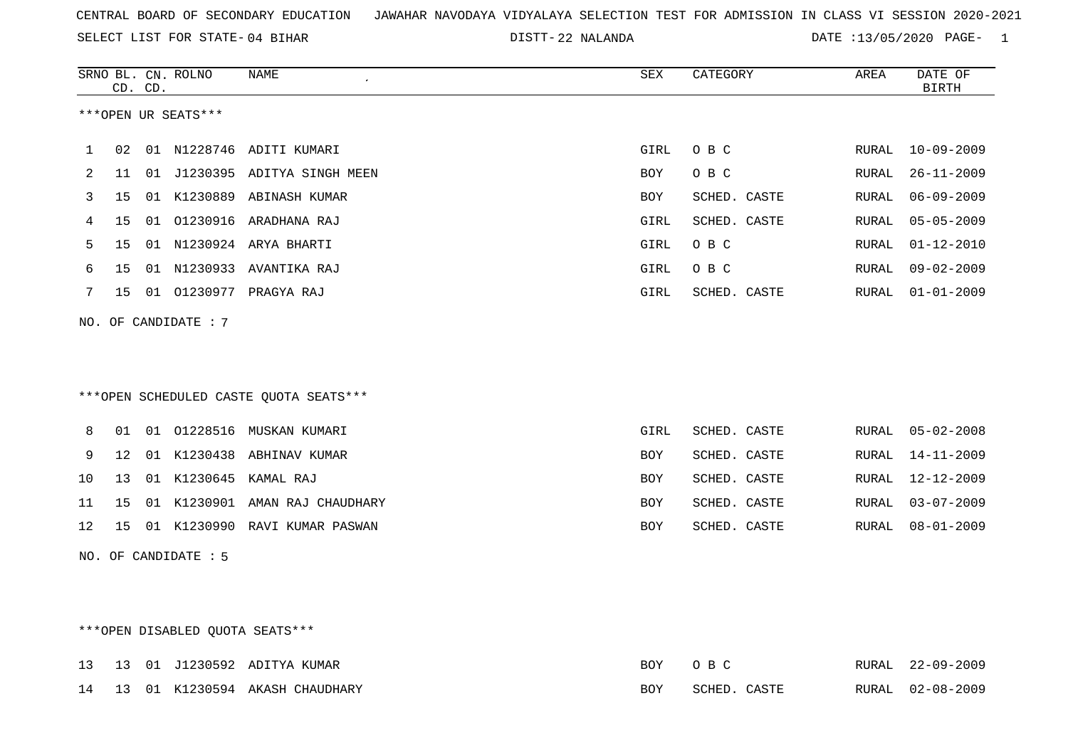22 NALANDA DATE :13/05/2020 PAGE- 1

|    |    | CD. CD. | SRNO BL. CN. ROLNO   | <b>NAME</b><br>$\pmb{\cdot}$            | ${\tt SEX}$ | CATEGORY     | AREA  | DATE OF<br><b>BIRTH</b> |
|----|----|---------|----------------------|-----------------------------------------|-------------|--------------|-------|-------------------------|
|    |    |         | ***OPEN UR SEATS***  |                                         |             |              |       |                         |
| 1  | 02 |         |                      | 01 N1228746 ADITI KUMARI                | GIRL        | O B C        | RURAL | $10 - 09 - 2009$        |
| 2  | 11 |         |                      | 01 J1230395 ADITYA SINGH MEEN           | BOY         | O B C        | RURAL | $26 - 11 - 2009$        |
| 3  | 15 |         |                      | 01 K1230889 ABINASH KUMAR               | <b>BOY</b>  | SCHED. CASTE | RURAL | $06 - 09 - 2009$        |
| 4  | 15 |         |                      | 01 01230916 ARADHANA RAJ                | GIRL        | SCHED. CASTE | RURAL | $05 - 05 - 2009$        |
| 5  | 15 |         |                      | 01 N1230924 ARYA BHARTI                 | GIRL        | O B C        | RURAL | $01 - 12 - 2010$        |
| 6  | 15 |         |                      | 01 N1230933 AVANTIKA RAJ                | GIRL        | O B C        | RURAL | $09 - 02 - 2009$        |
| 7  | 15 |         |                      | 01 01230977 PRAGYA RAJ                  | GIRL        | SCHED. CASTE | RURAL | $01 - 01 - 2009$        |
|    |    |         | NO. OF CANDIDATE : 7 |                                         |             |              |       |                         |
|    |    |         |                      |                                         |             |              |       |                         |
|    |    |         |                      | *** OPEN SCHEDULED CASTE QUOTA SEATS*** |             |              |       |                         |
| 8  | 01 |         |                      | 01 01228516 MUSKAN KUMARI               | GIRL        | SCHED. CASTE | RURAL | $05 - 02 - 2008$        |
| 9  | 12 |         |                      | 01 K1230438 ABHINAV KUMAR               | BOY         | SCHED. CASTE | RURAL | $14 - 11 - 2009$        |
| 10 | 13 |         |                      | 01 K1230645 KAMAL RAJ                   | BOY         | SCHED. CASTE | RURAL | $12 - 12 - 2009$        |
| 11 | 15 |         |                      | 01 K1230901 AMAN RAJ CHAUDHARY          | BOY         | SCHED. CASTE | RURAL | $03 - 07 - 2009$        |
| 12 | 15 |         | 01 K1230990          | RAVI KUMAR PASWAN                       | BOY         | SCHED. CASTE | RURAL | $08 - 01 - 2009$        |
|    |    |         | NO. OF CANDIDATE : 5 |                                         |             |              |       |                         |
|    |    |         |                      |                                         |             |              |       |                         |
|    |    |         |                      |                                         |             |              |       |                         |
|    |    |         |                      | ***OPEN DISABLED OUOTA SEATS***         |             |              |       |                         |

|  |  | 13 13 01 J1230592 ADITYA KUMAR    | BOY | $\bigcirc$ BC | RURAL 22-09-2009 |
|--|--|-----------------------------------|-----|---------------|------------------|
|  |  | 14 13 01 K1230594 AKASH CHAUDHARY | BOY | SCHED. CASTE  | RURAL 02-08-2009 |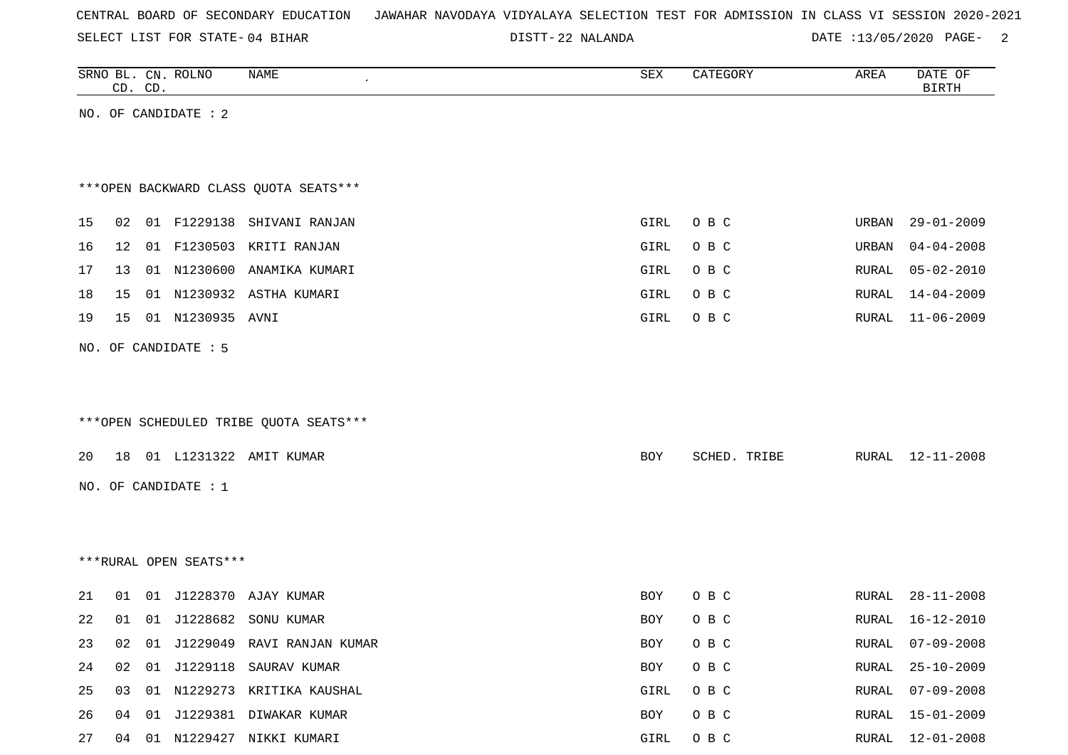SELECT LIST FOR STATE- DISTT- 04 BIHAR

22 NALANDA DATE :13/05/2020 PAGE- 2

|    | CD. CD. | SRNO BL. CN. ROLNO     | NAME                                   | SEX        | CATEGORY     | AREA  | DATE OF<br><b>BIRTH</b> |
|----|---------|------------------------|----------------------------------------|------------|--------------|-------|-------------------------|
|    |         | NO. OF CANDIDATE : 2   |                                        |            |              |       |                         |
|    |         |                        |                                        |            |              |       |                         |
|    |         |                        | *** OPEN BACKWARD CLASS QUOTA SEATS*** |            |              |       |                         |
| 15 |         |                        | 02 01 F1229138 SHIVANI RANJAN          | GIRL       | O B C        |       | URBAN 29-01-2009        |
| 16 | 12      |                        | 01 F1230503 KRITI RANJAN               | GIRL       | O B C        | URBAN | $04 - 04 - 2008$        |
| 17 | 13      |                        | 01 N1230600 ANAMIKA KUMARI             | GIRL       | O B C        | RURAL | $05 - 02 - 2010$        |
| 18 | 15      |                        | 01 N1230932 ASTHA KUMARI               | GIRL       | O B C        | RURAL | 14-04-2009              |
| 19 | 15      | 01 N1230935 AVNI       |                                        | GIRL       | O B C        | RURAL | $11 - 06 - 2009$        |
|    |         | NO. OF CANDIDATE : 5   |                                        |            |              |       |                         |
|    |         |                        |                                        |            |              |       |                         |
|    |         |                        |                                        |            |              |       |                         |
|    |         |                        | ***OPEN SCHEDULED TRIBE QUOTA SEATS*** |            |              |       |                         |
| 20 |         |                        | 18 01 L1231322 AMIT KUMAR              | BOY        | SCHED. TRIBE |       | RURAL 12-11-2008        |
|    |         | NO. OF CANDIDATE : 1   |                                        |            |              |       |                         |
|    |         |                        |                                        |            |              |       |                         |
|    |         |                        |                                        |            |              |       |                         |
|    |         | ***RURAL OPEN SEATS*** |                                        |            |              |       |                         |
| 21 | 01      |                        | 01 J1228370 AJAY KUMAR                 | <b>BOY</b> | O B C        | RURAL | $28 - 11 - 2008$        |
| 22 | 01      | 01 J1228682            | SONU KUMAR                             | BOY        | O B C        | RURAL | 16-12-2010              |
| 23 |         |                        | 02 01 J1229049 RAVI RANJAN KUMAR       | BOY        | O B C        |       | RURAL 07-09-2008        |
| 24 |         |                        | 02 01 J1229118 SAURAV KUMAR            | BOY        | O B C        | RURAL | $25 - 10 - 2009$        |
| 25 | 03      |                        | 01 N1229273 KRITIKA KAUSHAL            | GIRL       | O B C        | RURAL | $07 - 09 - 2008$        |
| 26 |         |                        | 04 01 J1229381 DIWAKAR KUMAR           | BOY        | O B C        |       | RURAL 15-01-2009        |

27 04 01 N1229427 NIKKI KUMARI GIRL O B C RURAL 12-01-2008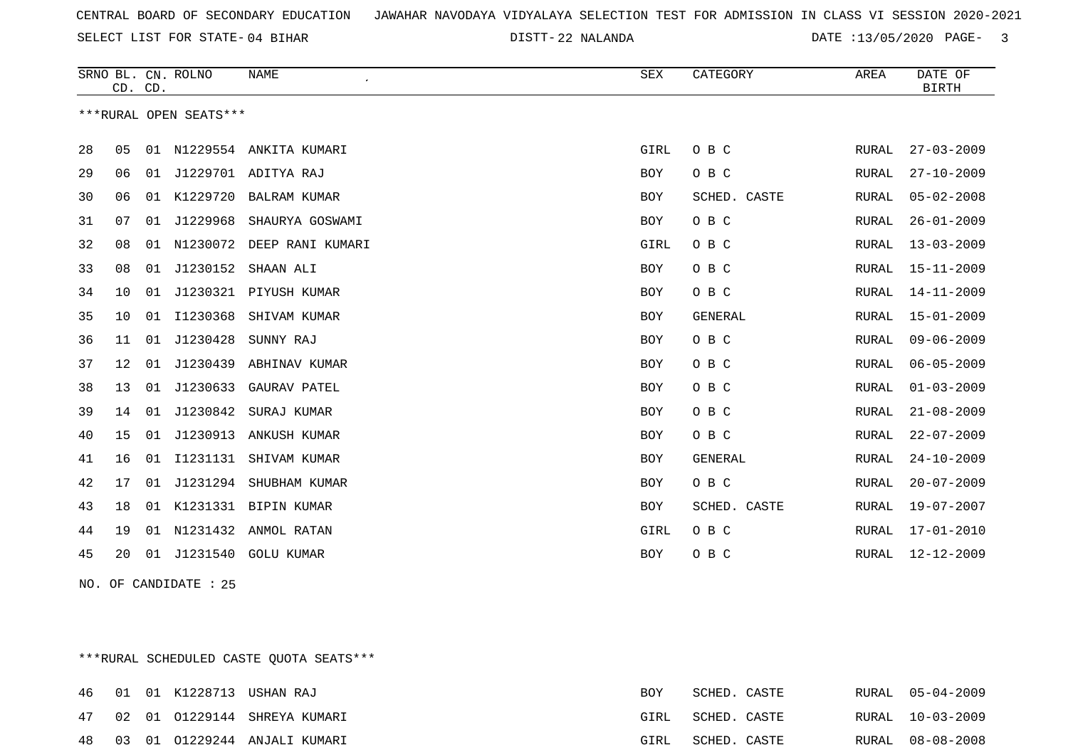22 NALANDA DATE :13/05/2020 PAGE- 3

|    | CD. CD. |    | SRNO BL. CN. ROLNO     | <b>NAME</b>               | ${\tt SEX}$ | CATEGORY       | AREA  | DATE OF<br><b>BIRTH</b> |
|----|---------|----|------------------------|---------------------------|-------------|----------------|-------|-------------------------|
|    |         |    | ***RURAL OPEN SEATS*** |                           |             |                |       |                         |
| 28 | 05      |    |                        | 01 N1229554 ANKITA KUMARI | GIRL        | O B C          | RURAL | $27 - 03 - 2009$        |
| 29 | 06      | 01 |                        | J1229701 ADITYA RAJ       | <b>BOY</b>  | O B C          | RURAL | $27 - 10 - 2009$        |
| 30 | 06      |    |                        | 01 K1229720 BALRAM KUMAR  | <b>BOY</b>  | SCHED. CASTE   | RURAL | $05 - 02 - 2008$        |
| 31 | 07      | 01 | J1229968               | SHAURYA GOSWAMI           | <b>BOY</b>  | O B C          | RURAL | $26 - 01 - 2009$        |
| 32 | 08      | 01 | N1230072               | DEEP RANI KUMARI          | GIRL        | O B C          | RURAL | $13 - 03 - 2009$        |
| 33 | 08      | 01 | J1230152               | SHAAN ALI                 | <b>BOY</b>  | O B C          | RURAL | $15 - 11 - 2009$        |
| 34 | 10      | 01 |                        | J1230321 PIYUSH KUMAR     | <b>BOY</b>  | O B C          | RURAL | 14-11-2009              |
| 35 | 10      | 01 | I1230368               | SHIVAM KUMAR              | <b>BOY</b>  | <b>GENERAL</b> | RURAL | $15 - 01 - 2009$        |
| 36 | 11      | 01 | J1230428               | SUNNY RAJ                 | <b>BOY</b>  | O B C          | RURAL | $09 - 06 - 2009$        |
| 37 | 12      | 01 | J1230439               | ABHINAV KUMAR             | <b>BOY</b>  | O B C          | RURAL | $06 - 05 - 2009$        |
| 38 | 13      | 01 | J1230633               | GAURAV PATEL              | <b>BOY</b>  | O B C          | RURAL | $01 - 03 - 2009$        |
| 39 | 14      | 01 | J1230842               | SURAJ KUMAR               | <b>BOY</b>  | O B C          | RURAL | $21 - 08 - 2009$        |
| 40 | 15      | 01 | J1230913               | ANKUSH KUMAR              | <b>BOY</b>  | O B C          | RURAL | $22 - 07 - 2009$        |
| 41 | 16      | 01 | I1231131               | SHIVAM KUMAR              | <b>BOY</b>  | <b>GENERAL</b> | RURAL | $24 - 10 - 2009$        |
| 42 | 17      | 01 | J1231294               | SHUBHAM KUMAR             | <b>BOY</b>  | O B C          | RURAL | $20 - 07 - 2009$        |
| 43 | 18      | 01 |                        | K1231331 BIPIN KUMAR      | <b>BOY</b>  | SCHED. CASTE   | RURAL | 19-07-2007              |
| 44 | 19      | 01 | N1231432               | ANMOL RATAN               | GIRL        | O B C          | RURAL | $17 - 01 - 2010$        |
| 45 | 20      | 01 | J1231540               | <b>GOLU KUMAR</b>         | <b>BOY</b>  | O B C          | RURAL | $12 - 12 - 2009$        |

NO. OF CANDIDATE : 25

\*\*\*RURAL SCHEDULED CASTE QUOTA SEATS\*\*\*

|     |  | 46 01 01 K1228713 USHAN RAJ  | BOY  | SCHED. CASTE |  | RURAL 05-04-2009 |
|-----|--|------------------------------|------|--------------|--|------------------|
| 47  |  | 02 01 01229144 SHREYA KUMARI | GIRL | SCHED. CASTE |  | RURAL 10-03-2009 |
| 48. |  | 03 01 01229244 ANJALI KUMARI | GIRL | SCHED. CASTE |  | RURAL 08-08-2008 |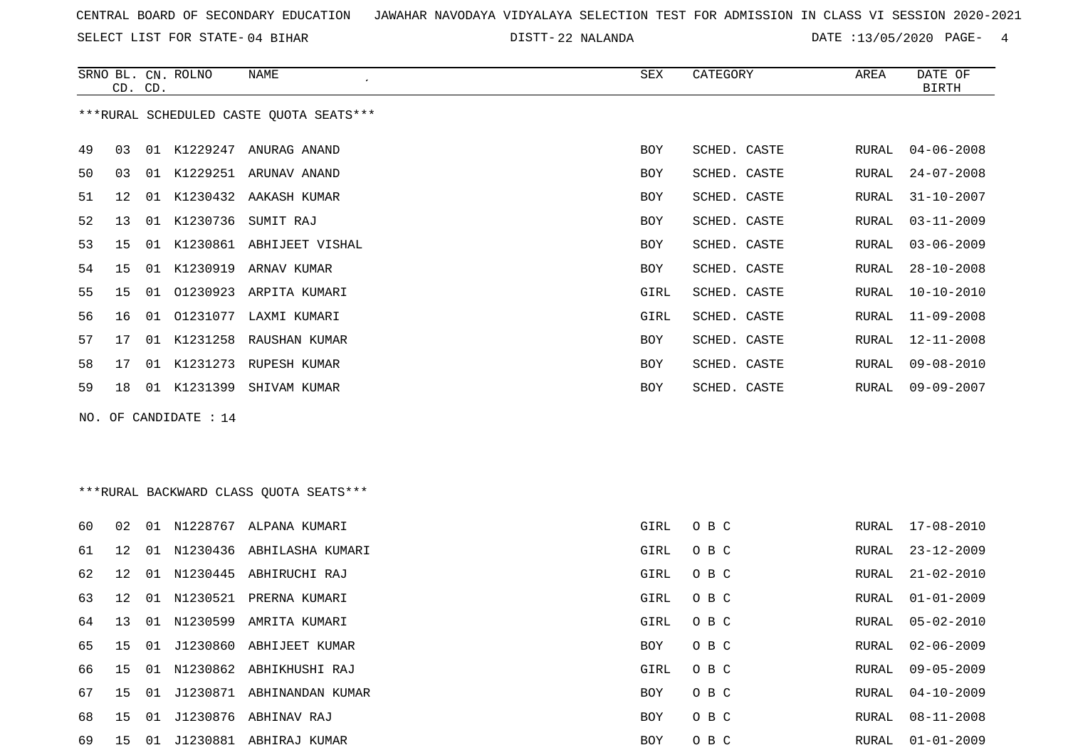SELECT LIST FOR STATE- DISTT- 04 BIHAR

22 NALANDA DATE :13/05/2020 PAGE- 4

RURAL 04-10-2009

RURAL 08-11-2008

|    |    | CD. CD. | SRNO BL. CN. ROLNO    | NAME                                    | SEX  | CATEGORY     | AREA  | DATE OF<br><b>BIRTH</b> |
|----|----|---------|-----------------------|-----------------------------------------|------|--------------|-------|-------------------------|
|    |    |         |                       | ***RURAL SCHEDULED CASTE QUOTA SEATS*** |      |              |       |                         |
| 49 | 03 |         |                       | 01 K1229247 ANURAG ANAND                | BOY  | SCHED. CASTE | RURAL | $04 - 06 - 2008$        |
| 50 | 03 |         |                       | 01 K1229251 ARUNAV ANAND                | BOY  | SCHED. CASTE | RURAL | $24 - 07 - 2008$        |
| 51 | 12 |         |                       | 01 K1230432 AAKASH KUMAR                | BOY  | SCHED. CASTE | RURAL | $31 - 10 - 2007$        |
| 52 | 13 |         |                       | 01 K1230736 SUMIT RAJ                   | BOY  | SCHED. CASTE | RURAL | $03 - 11 - 2009$        |
| 53 | 15 |         |                       | 01 K1230861 ABHIJEET VISHAL             | BOY  | SCHED. CASTE | RURAL | $03 - 06 - 2009$        |
| 54 | 15 |         |                       | 01 K1230919 ARNAV KUMAR                 | BOY  | SCHED. CASTE | RURAL | $28 - 10 - 2008$        |
| 55 | 15 |         |                       | 01 01230923 ARPITA KUMARI               | GIRL | SCHED. CASTE | RURAL | $10 - 10 - 2010$        |
| 56 | 16 |         |                       | 01 01231077 LAXMI KUMARI                | GIRL | SCHED. CASTE | RURAL | 11-09-2008              |
| 57 | 17 |         |                       | 01 K1231258 RAUSHAN KUMAR               | BOY  | SCHED. CASTE | RURAL | 12-11-2008              |
| 58 | 17 |         |                       | 01 K1231273 RUPESH KUMAR                | BOY  | SCHED. CASTE | RURAL | $09 - 08 - 2010$        |
| 59 | 18 |         |                       | 01 K1231399 SHIVAM KUMAR                | BOY  | SCHED. CASTE | RURAL | $09 - 09 - 2007$        |
|    |    |         | NO. OF CANDIDATE : 14 |                                         |      |              |       |                         |
|    |    |         |                       |                                         |      |              |       |                         |
|    |    |         |                       |                                         |      |              |       |                         |
|    |    |         |                       | ***RURAL BACKWARD CLASS OUOTA SEATS***  |      |              |       |                         |
| 60 | 02 |         |                       | 01 N1228767 ALPANA KUMARI               | GIRL | O B C        | RURAL | 17-08-2010              |
| 61 | 12 |         |                       | 01 N1230436 ABHILASHA KUMARI            | GIRL | O B C        | RURAL | $23 - 12 - 2009$        |
| 62 | 12 |         |                       | 01 N1230445 ABHIRUCHI RAJ               | GIRL | O B C        | RURAL | $21 - 02 - 2010$        |
| 63 | 12 |         |                       | 01 N1230521 PRERNA KUMARI               | GIRL | O B C        | RURAL | $01 - 01 - 2009$        |
| 64 | 13 |         |                       | 01 N1230599 AMRITA KUMARI               | GIRL | O B C        | RURAL | $05 - 02 - 2010$        |
| 65 | 15 |         |                       | 01 J1230860 ABHIJEET KUMAR              | BOY  | O B C        | RURAL | $02 - 06 - 2009$        |
| 66 | 15 |         |                       | 01 N1230862 ABHIKHUSHI RAJ              | GIRL | O B C        | RURAL | $09 - 05 - 2009$        |

67 15 01 J1230871 ABHINANDAN KUMAR BOY O B C

68 15 01 J1230876 ABHINAV RAJ BOY O B C RURAL 08-11-2008

69 15 01 J1230881 ABHIRAJ KUMAR BOY O B C RURAL 01-01-2009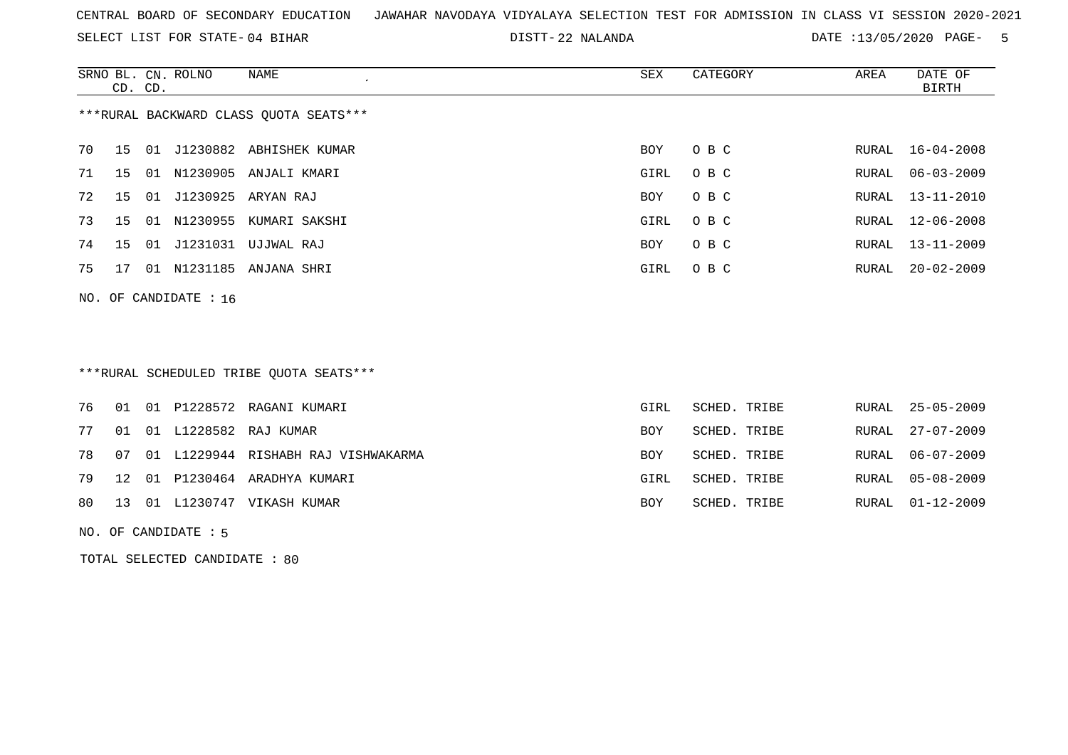SELECT LIST FOR STATE- DISTT- 04 BIHAR

22 NALANDA DATE :13/05/2020 PAGE- 5

|    | CD. CD. |    | SRNO BL. CN. ROLNO      | NAME                                   | SEX  | CATEGORY | AREA  | DATE OF<br>BIRTH |
|----|---------|----|-------------------------|----------------------------------------|------|----------|-------|------------------|
|    |         |    |                         | ***RURAL BACKWARD CLASS QUOTA SEATS*** |      |          |       |                  |
| 70 | 15      | 01 |                         | J1230882 ABHISHEK KUMAR                | BOY  | O B C    |       | RURAL 16-04-2008 |
| 71 | 15      |    |                         | 01 N1230905 ANJALI KMARI               | GIRL | O B C    | RURAL | 06-03-2009       |
| 72 | 15      | 01 | J1230925                | ARYAN RAJ                              | BOY  | O B C    |       | RURAL 13-11-2010 |
| 73 | 15      |    |                         | 01 N1230955 KUMARI SAKSHI              | GIRL | O B C    |       | RURAL 12-06-2008 |
| 74 | 15      | 01 | J1231031                | UJJWAL RAJ                             | BOY  | O B C    | RURAL | $13 - 11 - 2009$ |
| 75 | 17      |    | 01 N1231185             | ANJANA SHRI                            | GIRL | O B C    | RURAL | $20 - 02 - 2009$ |
|    |         |    | NO. OF CANDIDATE $: 16$ |                                        |      |          |       |                  |

\*\*\*RURAL SCHEDULED TRIBE QUOTA SEATS\*\*\*

|  |  | 76 01 01 P1228572 RAGANI KUMARI           | GIRL       | SCHED. TRIBE |  | RURAL 25-05-2009 |
|--|--|-------------------------------------------|------------|--------------|--|------------------|
|  |  | 77 01 01 L1228582 RAJ KUMAR               | <b>BOY</b> | SCHED. TRIBE |  | RURAL 27-07-2009 |
|  |  | 78 07 01 L1229944 RISHABH RAJ VISHWAKARMA | <b>BOY</b> | SCHED. TRIBE |  | RURAL 06-07-2009 |
|  |  | 79 12 01 P1230464 ARADHYA KUMARI          | GIRL       | SCHED. TRIBE |  | RURAL 05-08-2009 |
|  |  | 80 13 01 L1230747 VIKASH KUMAR            | BOY        | SCHED. TRIBE |  | RURAL 01-12-2009 |

NO. OF CANDIDATE : 5

TOTAL SELECTED CANDIDATE : 80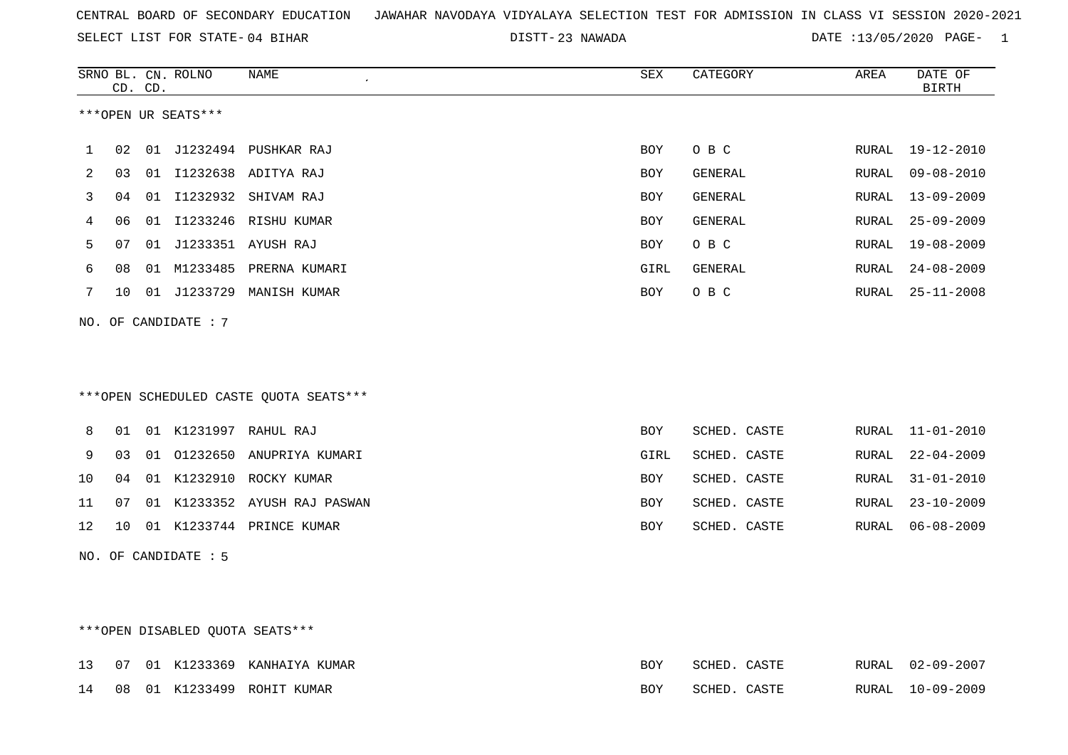23 NAWADA DATE :13/05/2020 PAGE- 1

|     |    | CD. CD. | SRNO BL. CN. ROLNO   | <b>NAME</b><br>$\epsilon$              | <b>SEX</b> | CATEGORY       | AREA         | DATE OF<br><b>BIRTH</b> |
|-----|----|---------|----------------------|----------------------------------------|------------|----------------|--------------|-------------------------|
|     |    |         | ***OPEN UR SEATS***  |                                        |            |                |              |                         |
| 1   | 02 |         |                      | 01 J1232494 PUSHKAR RAJ                | <b>BOY</b> | O B C          | RURAL        | $19 - 12 - 2010$        |
| 2   | 03 |         |                      | 01 I1232638 ADITYA RAJ                 | <b>BOY</b> | <b>GENERAL</b> | RURAL        | $09 - 08 - 2010$        |
| 3   | 04 |         |                      | 01 I1232932 SHIVAM RAJ                 | <b>BOY</b> | <b>GENERAL</b> | RURAL        | $13 - 09 - 2009$        |
| 4   | 06 | 01      |                      | I1233246 RISHU KUMAR                   | <b>BOY</b> | GENERAL        | RURAL        | $25 - 09 - 2009$        |
| 5   | 07 | 01      |                      | J1233351 AYUSH RAJ                     | <b>BOY</b> | O B C          | RURAL        | $19 - 08 - 2009$        |
| 6   | 08 |         |                      | 01 M1233485 PRERNA KUMARI              | GIRL       | GENERAL        | RURAL        | $24 - 08 - 2009$        |
| 7   | 10 |         | 01 J1233729          | MANISH KUMAR                           | BOY        | O B C          | RURAL        | $25 - 11 - 2008$        |
|     |    |         | NO. OF CANDIDATE : 7 |                                        |            |                |              |                         |
|     |    |         |                      | ***OPEN SCHEDULED CASTE QUOTA SEATS*** |            |                |              |                         |
| 8   | 01 |         |                      | 01 K1231997 RAHUL RAJ                  | <b>BOY</b> | SCHED. CASTE   | RURAL        | $11 - 01 - 2010$        |
| 9   | 03 | 01      | 01232650             | ANUPRIYA KUMARI                        | GIRL       | SCHED. CASTE   | <b>RURAL</b> | $22 - 04 - 2009$        |
| 10  | 04 |         |                      | 01 K1232910 ROCKY KUMAR                | <b>BOY</b> | SCHED. CASTE   | RURAL        | $31 - 01 - 2010$        |
| 11  | 07 |         |                      | 01 K1233352 AYUSH RAJ PASWAN           | BOY        | SCHED. CASTE   | RURAL        | $23 - 10 - 2009$        |
| 12  | 10 |         |                      | 01 K1233744 PRINCE KUMAR               | <b>BOY</b> | SCHED. CASTE   | RURAL        | $06 - 08 - 2009$        |
| NO. |    |         | OF CANDIDATE : 5     |                                        |            |                |              |                         |

# \*\*\*OPEN DISABLED QUOTA SEATS\*\*\*

|  |  | 13 07 01 K1233369 KANHAIYA KUMAR | <b>BOY</b> | SCHED. CASTE |  | RURAL 02-09-2007 |
|--|--|----------------------------------|------------|--------------|--|------------------|
|  |  | 14 08 01 K1233499 ROHIT KUMAR    | <b>BOY</b> | SCHED. CASTE |  | RURAL 10-09-2009 |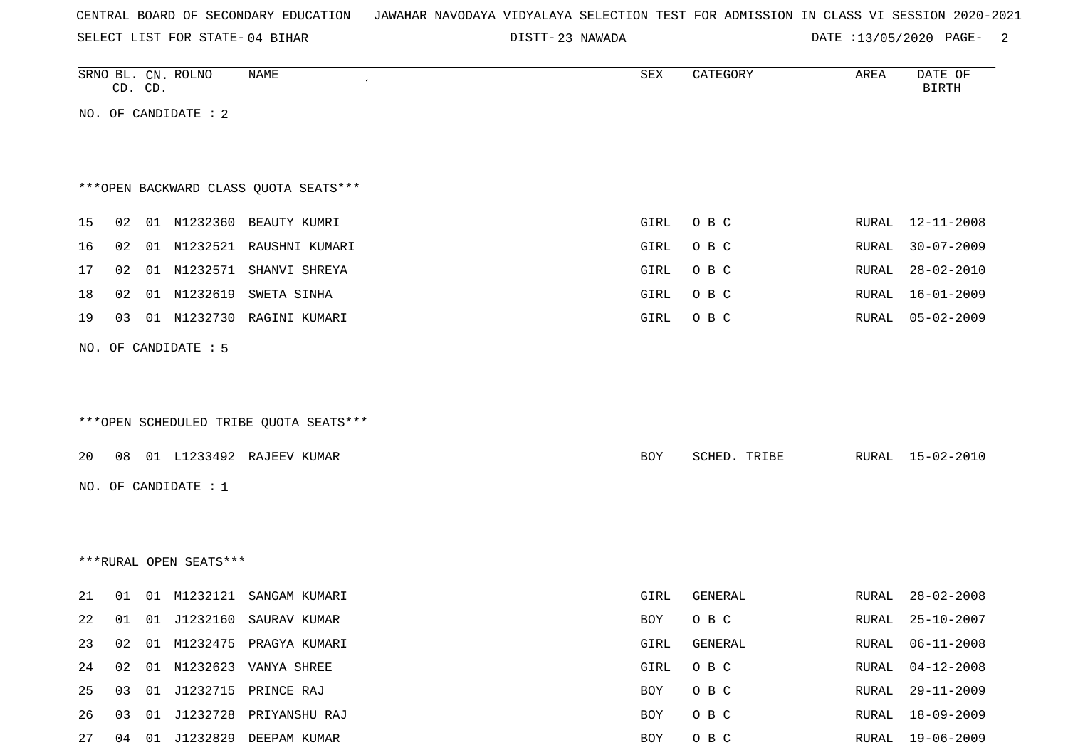|  |  |  |  | CENTRAL BOARD OF SECONDARY EDUCATION – JAWAHAR NAVODAYA VIDYALAYA SELECTION TEST FOR ADMISSION IN CLASS VI SESSION 2020-2021 |  |  |  |  |  |  |  |  |  |  |  |  |  |
|--|--|--|--|------------------------------------------------------------------------------------------------------------------------------|--|--|--|--|--|--|--|--|--|--|--|--|--|
|--|--|--|--|------------------------------------------------------------------------------------------------------------------------------|--|--|--|--|--|--|--|--|--|--|--|--|--|

DISTT-23 NAWADA 20020 DATE :13/05/2020 PAGE-

|    |    | CD. CD. | SRNO BL. CN. ROLNO     | NAME                                   | SEX        | CATEGORY     | AREA  | DATE OF<br><b>BIRTH</b> |
|----|----|---------|------------------------|----------------------------------------|------------|--------------|-------|-------------------------|
|    |    |         | NO. OF CANDIDATE : 2   |                                        |            |              |       |                         |
|    |    |         |                        |                                        |            |              |       |                         |
|    |    |         |                        |                                        |            |              |       |                         |
|    |    |         |                        | *** OPEN BACKWARD CLASS QUOTA SEATS*** |            |              |       |                         |
| 15 | 02 |         |                        | 01 N1232360 BEAUTY KUMRI               | GIRL       | O B C        | RURAL | 12-11-2008              |
| 16 | 02 |         | 01 N1232521            | RAUSHNI KUMARI                         | GIRL       | O B C        | RURAL | $30 - 07 - 2009$        |
| 17 | 02 |         |                        | 01 N1232571 SHANVI SHREYA              | GIRL       | O B C        | RURAL | $28 - 02 - 2010$        |
| 18 | 02 |         | 01 N1232619            | SWETA SINHA                            | GIRL       | O B C        | RURAL | $16 - 01 - 2009$        |
| 19 | 03 |         | 01 N1232730            | RAGINI KUMARI                          | GIRL       | O B C        | RURAL | $05 - 02 - 2009$        |
|    |    |         | NO. OF CANDIDATE : 5   |                                        |            |              |       |                         |
|    |    |         |                        |                                        |            |              |       |                         |
|    |    |         |                        |                                        |            |              |       |                         |
|    |    |         |                        | ***OPEN SCHEDULED TRIBE QUOTA SEATS*** |            |              |       |                         |
|    |    |         |                        |                                        |            |              |       |                         |
| 20 | 08 |         |                        | 01 L1233492 RAJEEV KUMAR               | <b>BOY</b> | SCHED. TRIBE |       | RURAL 15-02-2010        |
|    |    |         | NO. OF CANDIDATE : $1$ |                                        |            |              |       |                         |
|    |    |         |                        |                                        |            |              |       |                         |
|    |    |         |                        |                                        |            |              |       |                         |
|    |    |         | ***RURAL OPEN SEATS*** |                                        |            |              |       |                         |
| 21 | 01 |         | 01 M1232121            | SANGAM KUMARI                          | GIRL       | GENERAL      | RURAL | $28 - 02 - 2008$        |
| 22 | 01 |         |                        | 01 J1232160 SAURAV KUMAR               | <b>BOY</b> | O B C        | RURAL | $25 - 10 - 2007$        |
| 23 | 02 |         |                        | 01 M1232475 PRAGYA KUMARI              | GIRL       | GENERAL      | RURAL | $06 - 11 - 2008$        |
| 24 | 02 | 01      |                        | N1232623 VANYA SHREE                   | GIRL       | $O$ B $C$    | RURAL | $04 - 12 - 2008$        |
| 25 | 03 |         |                        | 01 J1232715 PRINCE RAJ                 | BOY        | O B C        | RURAL | $29 - 11 - 2009$        |
| 26 | 03 |         |                        | 01 J1232728 PRIYANSHU RAJ              | BOY        | O B C        | RURAL | $18 - 09 - 2009$        |
| 27 | 04 |         |                        | 01 J1232829 DEEPAM KUMAR               | BOY        | O B C        | RURAL | $19 - 06 - 2009$        |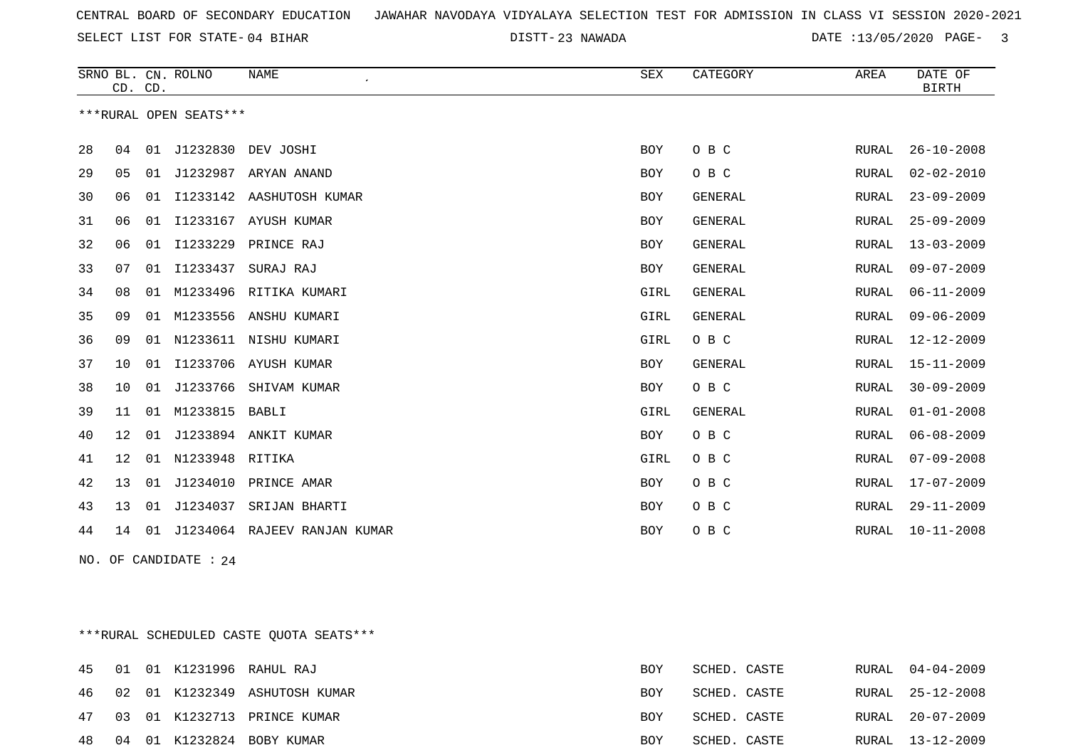23 NAWADA DATE :13/05/2020 PAGE- 3

|    | CD. CD. |    | SRNO BL. CN. ROLNO     | <b>NAME</b><br>$\epsilon$ | <b>SEX</b> | CATEGORY       | AREA         | DATE OF<br><b>BIRTH</b> |
|----|---------|----|------------------------|---------------------------|------------|----------------|--------------|-------------------------|
|    |         |    | ***RURAL OPEN SEATS*** |                           |            |                |              |                         |
| 28 | 04      | 01 | J1232830               | DEV JOSHI                 | <b>BOY</b> | O B C          | RURAL        | $26 - 10 - 2008$        |
| 29 | 05      | 01 | J1232987               | ARYAN ANAND               | BOY        | O B C          | RURAL        | $02 - 02 - 2010$        |
| 30 | 06      | 01 | I1233142               | AASHUTOSH KUMAR           | <b>BOY</b> | <b>GENERAL</b> | <b>RURAL</b> | $23 - 09 - 2009$        |
| 31 | 06      | 01 | I1233167               | AYUSH KUMAR               | BOY        | GENERAL        | RURAL        | $25 - 09 - 2009$        |
| 32 | 06      | 01 | I1233229               | PRINCE RAJ                | <b>BOY</b> | GENERAL        | RURAL        | $13 - 03 - 2009$        |
| 33 | 07      | 01 | I1233437               | SURAJ RAJ                 | <b>BOY</b> | <b>GENERAL</b> | <b>RURAL</b> | $09 - 07 - 2009$        |
| 34 | 08      | 01 | M1233496               | RITIKA KUMARI             | GIRL       | GENERAL        | RURAL        | $06 - 11 - 2009$        |
| 35 | 09      | 01 | M1233556               | ANSHU KUMARI              | GIRL       | <b>GENERAL</b> | RURAL        | $09 - 06 - 2009$        |
| 36 | 09      | 01 | N1233611               | NISHU KUMARI              | GIRL       | O B C          | RURAL        | $12 - 12 - 2009$        |
| 37 | 10      | 01 | I1233706               | AYUSH KUMAR               | BOY        | <b>GENERAL</b> | RURAL        | $15 - 11 - 2009$        |
| 38 | 10      | 01 | J1233766               | SHIVAM KUMAR              | BOY        | O B C          | <b>RURAL</b> | $30 - 09 - 2009$        |
| 39 | 11      | 01 | M1233815               | BABLI                     | GIRL       | GENERAL        | RURAL        | $01 - 01 - 2008$        |
| 40 | 12      | 01 |                        | J1233894 ANKIT KUMAR      | BOY        | O B C          | RURAL        | $06 - 08 - 2009$        |
| 41 | 12      | 01 | N1233948               | RITIKA                    | GIRL       | O B C          | RURAL        | $07 - 09 - 2008$        |
| 42 | 13      | 01 | J1234010               | PRINCE AMAR               | BOY        | O B C          | RURAL        | $17 - 07 - 2009$        |
| 43 | 13      | 01 | J1234037               | SRIJAN BHARTI             | BOY        | O B C          | <b>RURAL</b> | $29 - 11 - 2009$        |
| 44 | 14      | 01 | J1234064               | RAJEEV RANJAN KUMAR       | BOY        | O B C          | RURAL        | $10 - 11 - 2008$        |

NO. OF CANDIDATE : 24

\*\*\*RURAL SCHEDULED CASTE QUOTA SEATS\*\*\*

|  |  | 45 01 01 K1231996 RAHUL RAJ      | BOY | SCHED. CASTE | RURAL 04-04-2009 |
|--|--|----------------------------------|-----|--------------|------------------|
|  |  | 46 02 01 K1232349 ASHUTOSH KUMAR | BOY | SCHED. CASTE | RURAL 25-12-2008 |
|  |  | 47 03 01 K1232713 PRINCE KUMAR   | BOY | SCHED. CASTE | RURAL 20-07-2009 |
|  |  | 48 04 01 K1232824 BOBY KUMAR     | BOY | SCHED. CASTE | RURAL 13-12-2009 |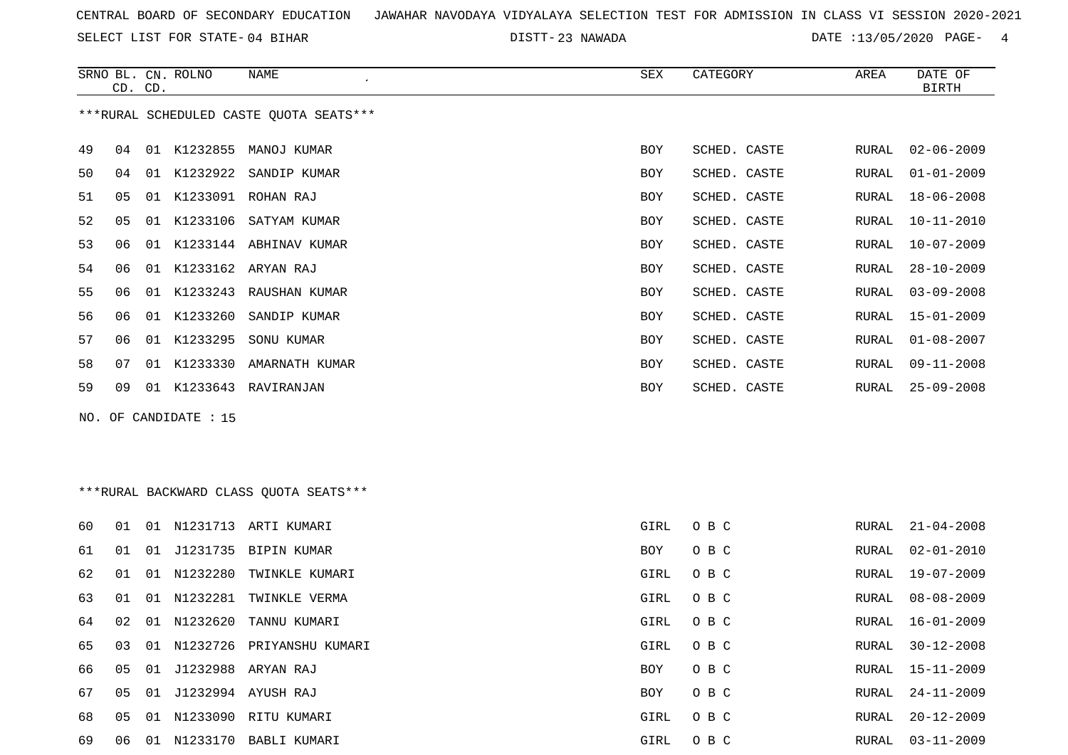SELECT LIST FOR STATE- DISTT- 04 BIHAR

23 NAWADA DATE :13/05/2020 PAGE- 4

|    |                | CD. CD. | SRNO BL. CN. ROLNO    | NAME                                    | SEX        | CATEGORY     | AREA  | DATE OF<br><b>BIRTH</b> |
|----|----------------|---------|-----------------------|-----------------------------------------|------------|--------------|-------|-------------------------|
|    |                |         |                       | ***RURAL SCHEDULED CASTE QUOTA SEATS*** |            |              |       |                         |
| 49 | 04             |         |                       | 01 K1232855 MANOJ KUMAR                 | <b>BOY</b> | SCHED. CASTE | RURAL | $02 - 06 - 2009$        |
| 50 | 04             |         |                       | 01 K1232922 SANDIP KUMAR                | <b>BOY</b> | SCHED. CASTE | RURAL | $01 - 01 - 2009$        |
| 51 | 05             |         |                       | 01 K1233091 ROHAN RAJ                   | <b>BOY</b> | SCHED. CASTE | RURAL | $18 - 06 - 2008$        |
| 52 | 0 <sub>5</sub> |         |                       | 01 K1233106 SATYAM KUMAR                | BOY        | SCHED. CASTE | RURAL | $10 - 11 - 2010$        |
| 53 | 06             |         |                       | 01 K1233144 ABHINAV KUMAR               | BOY        | SCHED. CASTE | RURAL | $10 - 07 - 2009$        |
| 54 | 06             |         |                       | 01 K1233162 ARYAN RAJ                   | BOY        | SCHED. CASTE | RURAL | $28 - 10 - 2009$        |
| 55 | 06             |         |                       | 01 K1233243 RAUSHAN KUMAR               | BOY        | SCHED. CASTE | RURAL | $03 - 09 - 2008$        |
| 56 | 06             | 01      | K1233260              | SANDIP KUMAR                            | <b>BOY</b> | SCHED. CASTE | RURAL | $15 - 01 - 2009$        |
| 57 | 06             |         |                       | 01 K1233295 SONU KUMAR                  | <b>BOY</b> | SCHED. CASTE | RURAL | $01 - 08 - 2007$        |
| 58 | 07             |         |                       | 01 K1233330 AMARNATH KUMAR              | <b>BOY</b> | SCHED. CASTE | RURAL | $09 - 11 - 2008$        |
| 59 | 09             |         |                       | 01 K1233643 RAVIRANJAN                  | <b>BOY</b> | SCHED. CASTE | RURAL | $25 - 09 - 2008$        |
|    |                |         | NO. OF CANDIDATE : 15 |                                         |            |              |       |                         |

## \*\*\*RURAL BACKWARD CLASS QUOTA SEATS\*\*\*

| 60 | 01    | O 1 | N1231713    | ARTI KUMARI           | GIRL | O B C | RURAL | 21-04-2008       |
|----|-------|-----|-------------|-----------------------|------|-------|-------|------------------|
| 61 | . N 1 | 01  | J1231735    | BIPIN KUMAR           | BOY  | O B C | RURAL | $02 - 01 - 2010$ |
| 62 | 01    |     | 01 N1232280 | TWINKLE KUMARI        | GIRL | O B C | RURAL | 19-07-2009       |
| 63 | 01    |     | 01 N1232281 | TWINKLE VERMA         | GIRL | O B C | RURAL | 08-08-2009       |
| 64 | 02    |     | 01 N1232620 | TANNU KUMARI          | GIRL | O B C | RURAL | 16-01-2009       |
| 65 | 03    |     | 01 N1232726 | PRIYANSHU KUMARI      | GIRL | O B C | RURAL | $30 - 12 - 2008$ |
| 66 | 05    |     |             | 01 J1232988 ARYAN RAJ | BOY  | O B C | RURAL | 15-11-2009       |
| 67 | 05    |     |             | 01 J1232994 AYUSH RAJ | BOY  | O B C | RURAL | 24-11-2009       |
| 68 | 05    |     | 01 N1233090 | RITU KUMARI           | GIRL | O B C | RURAL | $20 - 12 - 2009$ |
| 69 | 06    | 01  | N1233170    | BABLI KUMARI          | GIRL | O B C | RURAL | $03 - 11 - 2009$ |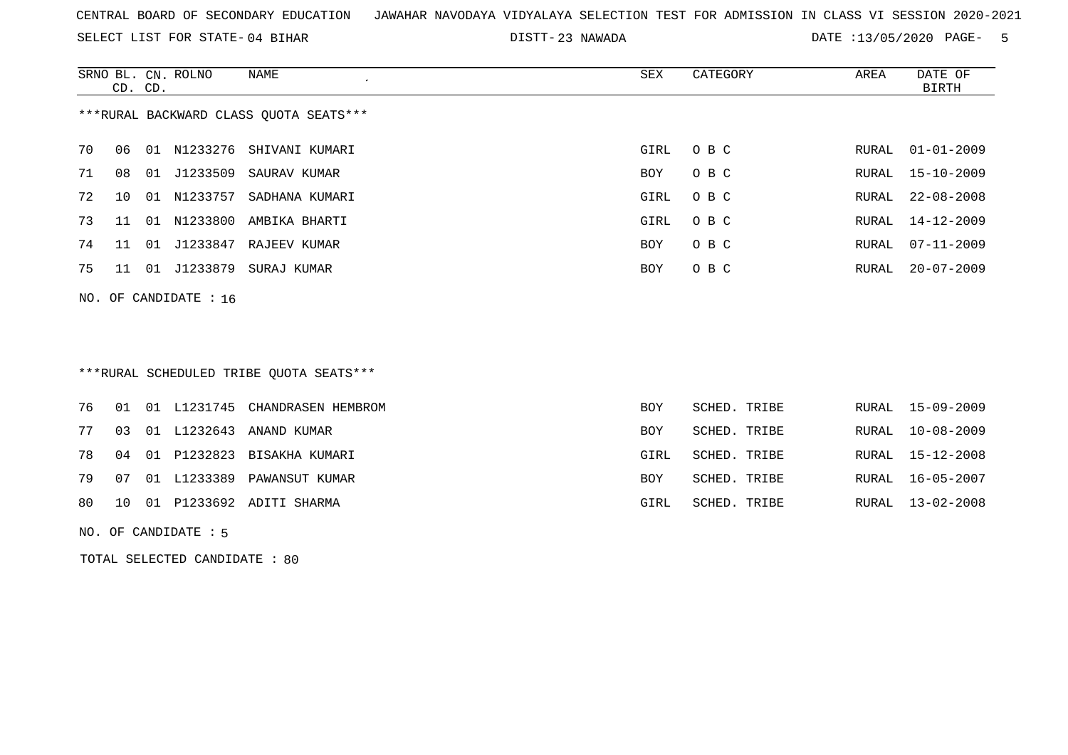SELECT LIST FOR STATE- DISTT- 04 BIHAR

23 NAWADA DATE :13/05/2020 PAGE- 5

|                                        |    |         | SRNO BL. CN. ROLNO      | NAME                                    | SEX  | CATEGORY | AREA  | DATE OF          |  |  |
|----------------------------------------|----|---------|-------------------------|-----------------------------------------|------|----------|-------|------------------|--|--|
|                                        |    | CD. CD. |                         |                                         |      |          |       | BIRTH            |  |  |
| ***RURAL BACKWARD CLASS QUOTA SEATS*** |    |         |                         |                                         |      |          |       |                  |  |  |
|                                        |    |         |                         |                                         |      |          |       |                  |  |  |
| 70                                     | 06 |         |                         | 01 N1233276 SHIVANI KUMARI              | GIRL | O B C    | RURAL | $01 - 01 - 2009$ |  |  |
| 71                                     | 08 | 01      |                         | J1233509 SAURAV KUMAR                   | BOY  | O B C    | RURAL | 15-10-2009       |  |  |
| 72                                     | 10 |         |                         | 01 N1233757 SADHANA KUMARI              | GIRL | O B C    | RURAL | $22 - 08 - 2008$ |  |  |
| 73                                     | 11 | 01      |                         | N1233800 AMBIKA BHARTI                  | GIRL | O B C    | RURAL | 14-12-2009       |  |  |
| 74                                     | 11 | 01      |                         | J1233847 RAJEEV KUMAR                   | BOY  | O B C    | RURAL | $07 - 11 - 2009$ |  |  |
| 75                                     | 11 | 01      | J1233879                | SURAJ KUMAR                             | BOY  | O B C    | RURAL | $20 - 07 - 2009$ |  |  |
|                                        |    |         | NO. OF CANDIDATE : $16$ |                                         |      |          |       |                  |  |  |
|                                        |    |         |                         |                                         |      |          |       |                  |  |  |
|                                        |    |         |                         |                                         |      |          |       |                  |  |  |
|                                        |    |         |                         |                                         |      |          |       |                  |  |  |
|                                        |    |         |                         | ***RURAL SCHEDULED TRIBE QUOTA SEATS*** |      |          |       |                  |  |  |

|  |  | 76 01 01 L1231745 CHANDRASEN HEMBROM | <b>BOY</b> | SCHED. TRIBE |  | RURAL 15-09-2009 |
|--|--|--------------------------------------|------------|--------------|--|------------------|
|  |  | 77 03 01 L1232643 ANAND KUMAR        | BOY        | SCHED. TRIBE |  | RURAL 10-08-2009 |
|  |  | 78 04 01 P1232823 BISAKHA KUMARI     | GIRL       | SCHED. TRIBE |  | RURAL 15-12-2008 |
|  |  | 79 07 01 L1233389 PAWANSUT KUMAR     | <b>BOY</b> | SCHED. TRIBE |  | RURAL 16-05-2007 |
|  |  | 80 10 01 P1233692 ADITI SHARMA       | GIRL       | SCHED. TRIBE |  | RURAL 13-02-2008 |
|  |  |                                      |            |              |  |                  |

NO. OF CANDIDATE : 5

TOTAL SELECTED CANDIDATE : 80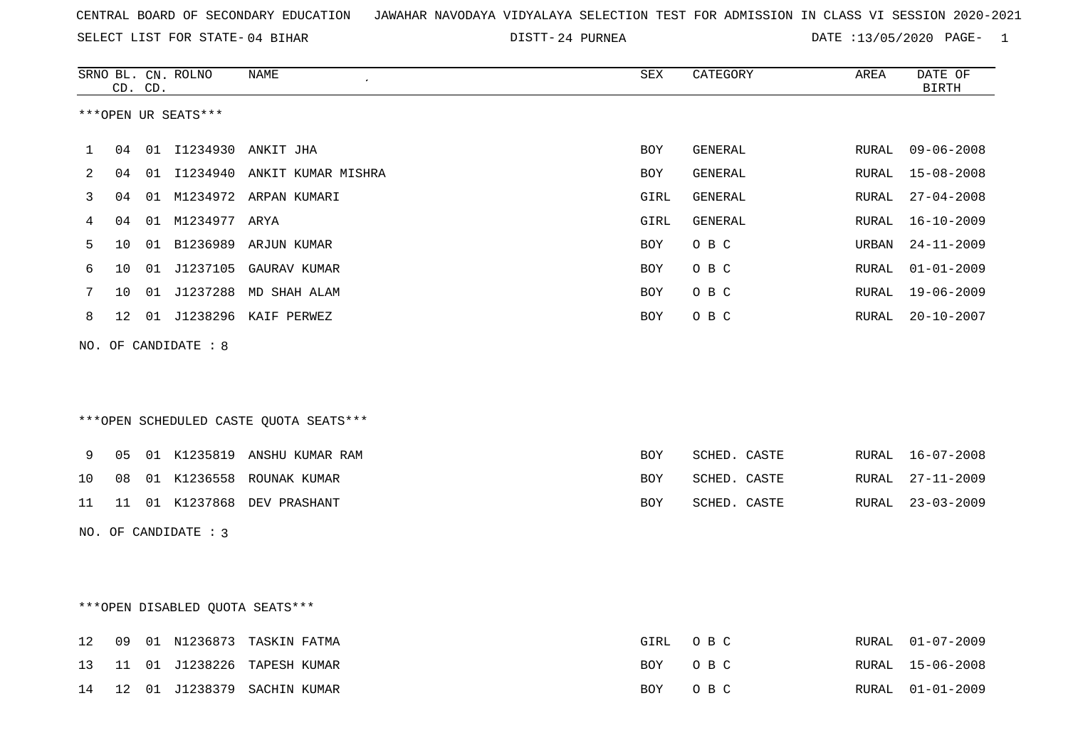24 PURNEA DATE :13/05/2020 PAGE- 1

|    | CD.             | CD. | SRNO BL. CN. ROLNO   | <b>NAME</b>                            | SEX        | CATEGORY       | AREA  | DATE OF<br><b>BIRTH</b> |
|----|-----------------|-----|----------------------|----------------------------------------|------------|----------------|-------|-------------------------|
|    |                 |     | ***OPEN UR SEATS***  |                                        |            |                |       |                         |
| 1  | 04              |     |                      | 01 I1234930 ANKIT JHA                  | BOY        | <b>GENERAL</b> | RURAL | $09 - 06 - 2008$        |
| 2  | 04              |     |                      | 01 I1234940 ANKIT KUMAR MISHRA         | <b>BOY</b> | GENERAL        | RURAL | $15 - 08 - 2008$        |
| 3  | 04              |     |                      | 01 M1234972 ARPAN KUMARI               | GIRL       | <b>GENERAL</b> | RURAL | $27 - 04 - 2008$        |
| 4  | 04              |     | 01 M1234977 ARYA     |                                        | GIRL       | <b>GENERAL</b> | RURAL | $16 - 10 - 2009$        |
| 5  | 10              |     |                      | 01 B1236989 ARJUN KUMAR                | <b>BOY</b> | O B C          | URBAN | $24 - 11 - 2009$        |
| 6  | 10              |     |                      | 01 J1237105 GAURAV KUMAR               | <b>BOY</b> | O B C          | RURAL | $01 - 01 - 2009$        |
| 7  | 10              |     |                      | 01 J1237288 MD SHAH ALAM               | BOY        | O B C          | RURAL | $19 - 06 - 2009$        |
| 8  | 12 <sup>°</sup> |     |                      | 01 J1238296 KAIF PERWEZ                | BOY        | O B C          | RURAL | $20 - 10 - 2007$        |
|    |                 |     |                      | ***OPEN SCHEDULED CASTE QUOTA SEATS*** |            |                |       |                         |
| 9  | 05              |     |                      | 01 K1235819 ANSHU KUMAR RAM            | <b>BOY</b> | SCHED. CASTE   | RURAL | $16 - 07 - 2008$        |
| 10 | 08              |     |                      | 01 K1236558 ROUNAK KUMAR               | <b>BOY</b> | SCHED. CASTE   | RURAL | $27 - 11 - 2009$        |
| 11 | 11              |     |                      | 01 K1237868 DEV PRASHANT               | <b>BOY</b> | SCHED. CASTE   | RURAL | $23 - 03 - 2009$        |
|    |                 |     | NO. OF CANDIDATE : 3 |                                        |            |                |       |                         |
|    |                 |     |                      | ***OPEN DISABLED QUOTA SEATS***        |            |                |       |                         |
| 12 | 09              |     |                      | 01 N1236873 TASKIN FATMA               | GIRL       | O B C          | RURAL | $01 - 07 - 2009$        |
| 13 | 11              |     | 01 J1238226          | TAPESH KUMAR                           | <b>BOY</b> | O B C          | RURAL | $15 - 06 - 2008$        |
| 14 | 12              |     |                      | 01 J1238379 SACHIN KUMAR               | <b>BOY</b> | O B C          | RURAL | $01 - 01 - 2009$        |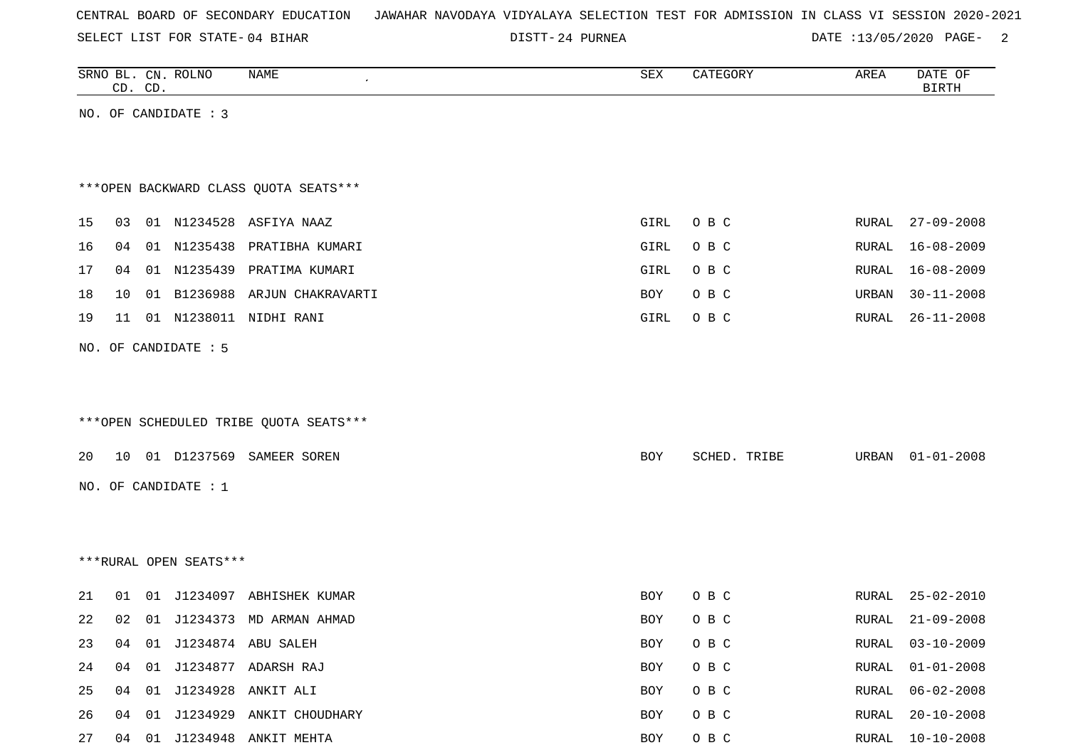SELECT LIST FOR STATE- DISTT- 04 BIHAR

24 PURNEA DATE :13/05/2020 PAGE- 2

|    | CD. CD. | SRNO BL. CN. ROLNO     | <b>NAME</b>                            | SEX  | CATEGORY     | AREA  | DATE OF<br><b>BIRTH</b> |
|----|---------|------------------------|----------------------------------------|------|--------------|-------|-------------------------|
|    |         | NO. OF CANDIDATE : 3   |                                        |      |              |       |                         |
|    |         |                        |                                        |      |              |       |                         |
|    |         |                        |                                        |      |              |       |                         |
|    |         |                        | *** OPEN BACKWARD CLASS QUOTA SEATS*** |      |              |       |                         |
| 15 | 03      |                        | 01 N1234528 ASFIYA NAAZ                | GIRL | O B C        | RURAL | $27 - 09 - 2008$        |
| 16 | 04      | 01 N1235438            | PRATIBHA KUMARI                        | GIRL | O B C        | RURAL | $16 - 08 - 2009$        |
| 17 | 04      |                        | 01 N1235439 PRATIMA KUMARI             | GIRL | O B C        | RURAL | $16 - 08 - 2009$        |
| 18 | 10      |                        | 01 B1236988 ARJUN CHAKRAVARTI          | BOY  | O B C        | URBAN | $30 - 11 - 2008$        |
| 19 | 11      |                        | 01 N1238011 NIDHI RANI                 | GIRL | O B C        | RURAL | $26 - 11 - 2008$        |
|    |         | NO. OF CANDIDATE : 5   |                                        |      |              |       |                         |
|    |         |                        |                                        |      |              |       |                         |
|    |         |                        |                                        |      |              |       |                         |
|    |         |                        | ***OPEN SCHEDULED TRIBE QUOTA SEATS*** |      |              |       |                         |
| 20 |         |                        | 10 01 D1237569 SAMEER SOREN            | BOY  | SCHED. TRIBE | URBAN | $01 - 01 - 2008$        |
|    |         |                        |                                        |      |              |       |                         |
|    |         | NO. OF CANDIDATE : 1   |                                        |      |              |       |                         |
|    |         |                        |                                        |      |              |       |                         |
|    |         |                        |                                        |      |              |       |                         |
|    |         | ***RURAL OPEN SEATS*** |                                        |      |              |       |                         |
| 21 | 01      |                        | 01 J1234097 ABHISHEK KUMAR             | BOY  | O B C        | RURAL | $25 - 02 - 2010$        |
| 22 | 02      |                        | 01 J1234373 MD ARMAN AHMAD             | BOY  | O B C        | RURAL | $21 - 09 - 2008$        |
| 23 |         |                        | 04 01 J1234874 ABU SALEH               | BOY  | O B C        | RURAL | $03 - 10 - 2009$        |
| 24 | 04      |                        | 01 J1234877 ADARSH RAJ                 | BOY  | O B C        | RURAL | $01 - 01 - 2008$        |
| 25 | 04      |                        | 01 J1234928 ANKIT ALI                  | BOY  | O B C        | RURAL | $06 - 02 - 2008$        |
| 26 | 04      |                        | 01 J1234929 ANKIT CHOUDHARY            | BOY  | O B C        | RURAL | $20 - 10 - 2008$        |

27 04 01 J1234948 ANKIT MEHTA **BOY** O B C RURAL 10-10-2008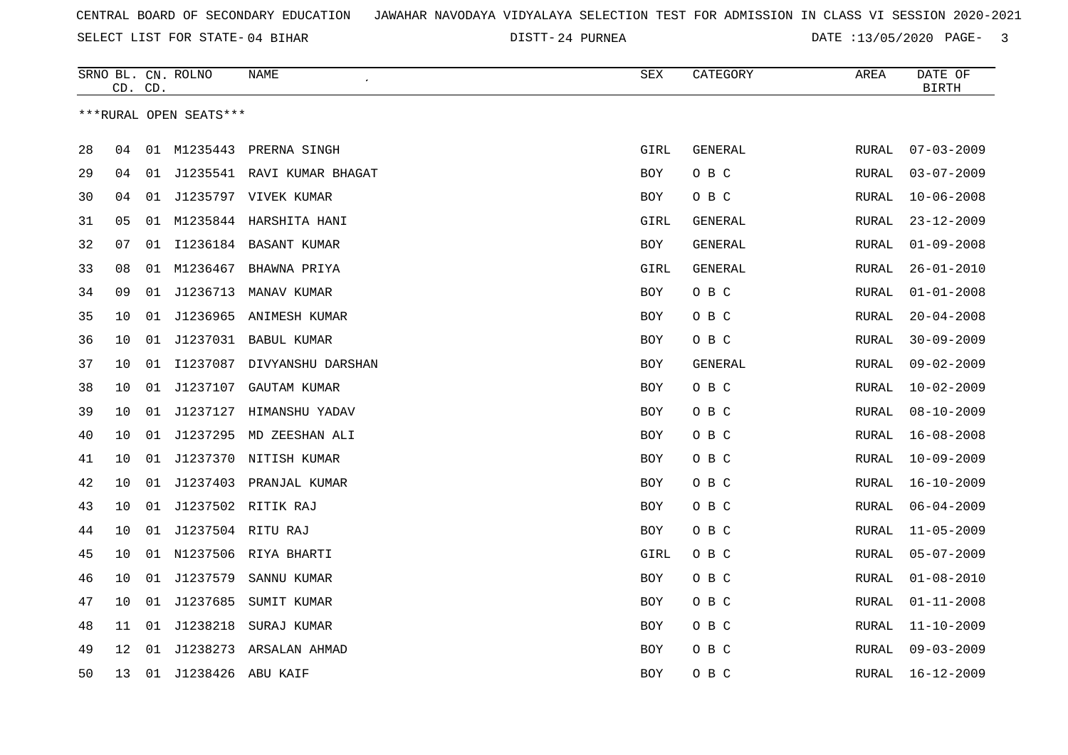24 PURNEA DATE :13/05/2020 PAGE- 3

|    |    | CD. CD. | SRNO BL. CN. ROLNO     | NAME<br>$\pmb{\cdot}$         | ${\tt SEX}$ | CATEGORY       | AREA         | DATE OF<br><b>BIRTH</b> |
|----|----|---------|------------------------|-------------------------------|-------------|----------------|--------------|-------------------------|
|    |    |         | ***RURAL OPEN SEATS*** |                               |             |                |              |                         |
| 28 | 04 |         |                        | 01 M1235443 PRERNA SINGH      | GIRL        | GENERAL        | RURAL        | $07 - 03 - 2009$        |
| 29 | 04 |         |                        | 01 J1235541 RAVI KUMAR BHAGAT | BOY         | O B C          | RURAL        | $03 - 07 - 2009$        |
| 30 | 04 | 01      |                        | J1235797 VIVEK KUMAR          | <b>BOY</b>  | O B C          | RURAL        | $10 - 06 - 2008$        |
| 31 | 05 | 01      |                        | M1235844 HARSHITA HANI        | GIRL        | GENERAL        | RURAL        | $23 - 12 - 2009$        |
| 32 | 07 | 01      |                        | I1236184 BASANT KUMAR         | BOY         | GENERAL        | RURAL        | $01 - 09 - 2008$        |
| 33 | 08 | 01      | M1236467               | BHAWNA PRIYA                  | GIRL        | <b>GENERAL</b> | RURAL        | $26 - 01 - 2010$        |
| 34 | 09 |         |                        | 01 J1236713 MANAV KUMAR       | <b>BOY</b>  | O B C          | RURAL        | $01 - 01 - 2008$        |
| 35 | 10 | 01      |                        | J1236965 ANIMESH KUMAR        | BOY         | O B C          | RURAL        | $20 - 04 - 2008$        |
| 36 | 10 |         |                        | 01 J1237031 BABUL KUMAR       | <b>BOY</b>  | O B C          | <b>RURAL</b> | $30 - 09 - 2009$        |
| 37 | 10 | 01      |                        | I1237087 DIVYANSHU DARSHAN    | BOY         | GENERAL        | RURAL        | $09 - 02 - 2009$        |
| 38 | 10 | 01      | J1237107               | GAUTAM KUMAR                  | BOY         | O B C          | RURAL        | $10 - 02 - 2009$        |
| 39 |    |         | J1237127               | HIMANSHU YADAV                |             | O B C          |              | $08 - 10 - 2009$        |
|    | 10 | 01      |                        |                               | <b>BOY</b>  |                | <b>RURAL</b> |                         |
| 40 | 10 | 01      |                        | J1237295 MD ZEESHAN ALI       | BOY         | O B C          | RURAL        | $16 - 08 - 2008$        |
| 41 | 10 | 01      |                        | J1237370 NITISH KUMAR         | BOY         | O B C          | RURAL        | $10 - 09 - 2009$        |
| 42 | 10 |         |                        | 01 J1237403 PRANJAL KUMAR     | <b>BOY</b>  | O B C          | RURAL        | $16 - 10 - 2009$        |
| 43 | 10 | 01      |                        | J1237502 RITIK RAJ            | BOY         | O B C          | <b>RURAL</b> | $06 - 04 - 2009$        |
| 44 | 10 |         | 01 J1237504 RITU RAJ   |                               | BOY         | O B C          | RURAL        | $11 - 05 - 2009$        |
| 45 | 10 |         |                        | 01 N1237506 RIYA BHARTI       | GIRL        | O B C          | RURAL        | $05 - 07 - 2009$        |
| 46 | 10 |         | 01 J1237579            | SANNU KUMAR                   | <b>BOY</b>  | O B C          | RURAL        | $01 - 08 - 2010$        |
| 47 | 10 |         | 01 J1237685            | SUMIT KUMAR                   | BOY         | O B C          | RURAL        | $01 - 11 - 2008$        |
| 48 | 11 | 01      | J1238218               | SURAJ KUMAR                   | <b>BOY</b>  | O B C          | RURAL        | $11 - 10 - 2009$        |
| 49 | 12 | 01      |                        | J1238273 ARSALAN AHMAD        | <b>BOY</b>  | O B C          | RURAL        | $09 - 03 - 2009$        |
| 50 | 13 |         | 01 J1238426 ABU KAIF   |                               | BOY         | O B C          | RURAL        | $16 - 12 - 2009$        |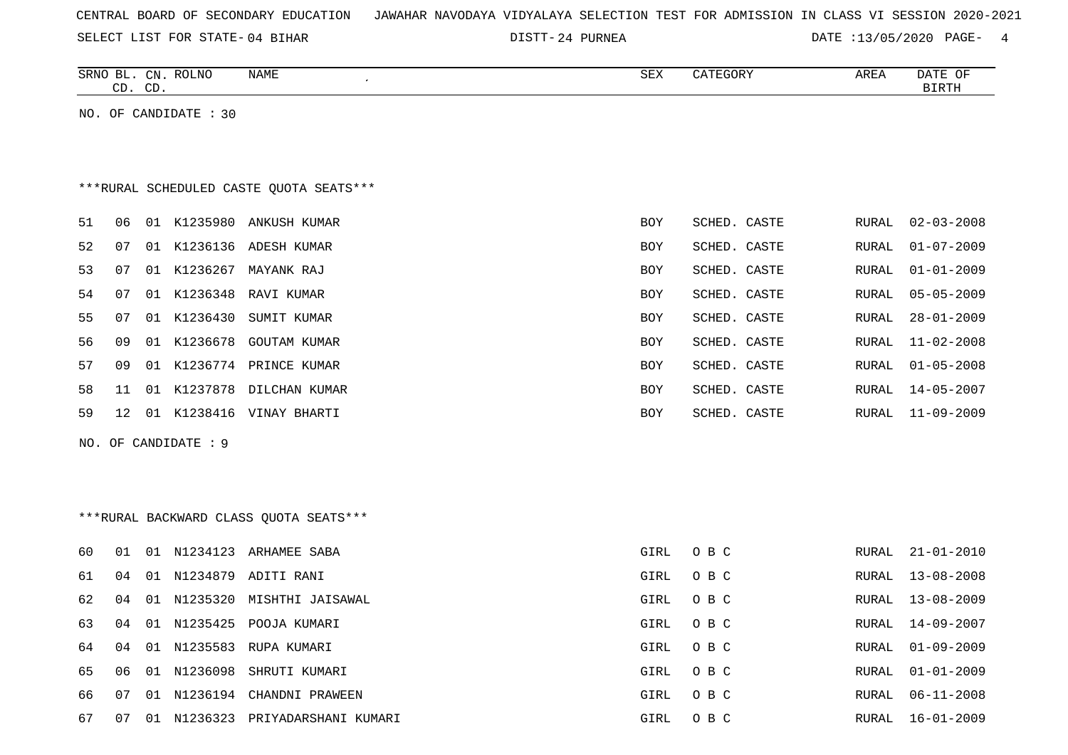|  |  | CENTRAL BOARD OF SECONDARY EDUCATION – JAWAHAR NAVODAYA VIDYALAYA SELECTION TEST FOR ADMISSION IN CLASS VI SESSION 2020-2021 |  |  |  |  |  |  |  |  |  |  |  |  |  |
|--|--|------------------------------------------------------------------------------------------------------------------------------|--|--|--|--|--|--|--|--|--|--|--|--|--|
|--|--|------------------------------------------------------------------------------------------------------------------------------|--|--|--|--|--|--|--|--|--|--|--|--|--|

DISTT-24 PURNEA 2008 2010 DATE :13/05/2020 PAGE-

|    | CD. CD. | SRNO BL. CN. ROLNO    | NAME                                    | SEX        | CATEGORY     | AREA         | DATE OF<br>$\operatorname{BIRTH}$ |
|----|---------|-----------------------|-----------------------------------------|------------|--------------|--------------|-----------------------------------|
|    |         | NO. OF CANDIDATE : 30 |                                         |            |              |              |                                   |
|    |         |                       |                                         |            |              |              |                                   |
|    |         |                       |                                         |            |              |              |                                   |
|    |         |                       | ***RURAL SCHEDULED CASTE QUOTA SEATS*** |            |              |              |                                   |
| 51 | 06      |                       | 01 K1235980 ANKUSH KUMAR                | BOY        | SCHED. CASTE | RURAL        | $02 - 03 - 2008$                  |
| 52 | 07      | 01                    | K1236136 ADESH KUMAR                    | <b>BOY</b> | SCHED. CASTE | RURAL        | $01 - 07 - 2009$                  |
| 53 | 07      |                       | 01 K1236267 MAYANK RAJ                  | <b>BOY</b> | SCHED. CASTE | RURAL        | $01 - 01 - 2009$                  |
| 54 | 07      | K1236348<br>01        | RAVI KUMAR                              | <b>BOY</b> | SCHED. CASTE | RURAL        | $05 - 05 - 2009$                  |
| 55 | 07      | 01 K1236430           | SUMIT KUMAR                             | BOY        | SCHED. CASTE | RURAL        | $28 - 01 - 2009$                  |
| 56 | 09      | 01 K1236678           | <b>GOUTAM KUMAR</b>                     | BOY        | SCHED. CASTE | RURAL        | $11 - 02 - 2008$                  |
| 57 | 09      | 01                    | K1236774 PRINCE KUMAR                   | <b>BOY</b> | SCHED. CASTE | RURAL        | $01 - 05 - 2008$                  |
| 58 | 11      |                       | 01 K1237878 DILCHAN KUMAR               | <b>BOY</b> | SCHED. CASTE | RURAL        | $14 - 05 - 2007$                  |
| 59 | 12      |                       | 01 K1238416 VINAY BHARTI                | <b>BOY</b> | SCHED. CASTE | RURAL        | $11 - 09 - 2009$                  |
|    |         | NO. OF CANDIDATE : 9  |                                         |            |              |              |                                   |
|    |         |                       |                                         |            |              |              |                                   |
|    |         |                       |                                         |            |              |              |                                   |
|    |         |                       | ***RURAL BACKWARD CLASS QUOTA SEATS***  |            |              |              |                                   |
| 60 | 01      |                       | 01 N1234123 ARHAMEE SABA                | GIRL       | O B C        | RURAL        | $21 - 01 - 2010$                  |
| 61 | 04      |                       | 01 N1234879 ADITI RANI                  | GIRL       | O B C        | RURAL        | $13 - 08 - 2008$                  |
| 62 | 04      |                       | 01 N1235320 MISHTHI JAISAWAL            | GIRL       | O B C        | RURAL        | $13 - 08 - 2009$                  |
| 63 | 04      |                       | 01 N1235425 POOJA KUMARI                | GIRL       | O B C        | RURAL        | 14-09-2007                        |
| 64 | 04      | N1235583<br>01        | RUPA KUMARI                             | GIRL       | O B C        | RURAL        | $01 - 09 - 2009$                  |
| 65 | 06      | 01 N1236098           | SHRUTI KUMARI                           | GIRL       | O B C        | RURAL        | $01 - 01 - 2009$                  |
| 66 | 07      |                       | 01 N1236194 CHANDNI PRAWEEN             | GIRL       | O B C        | <b>RURAL</b> | $06 - 11 - 2008$                  |
| 67 | 07      |                       | 01 N1236323 PRIYADARSHANI KUMARI        | GIRL       | O B C        |              | RURAL 16-01-2009                  |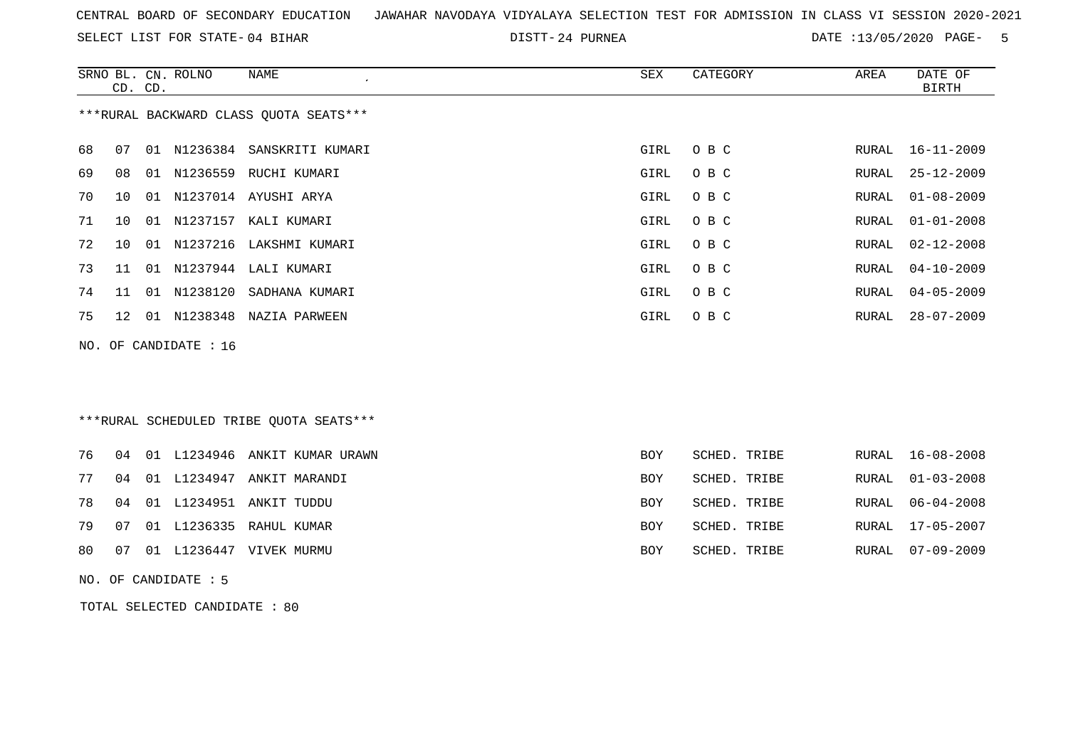SELECT LIST FOR STATE- DISTT- 04 BIHAR

24 PURNEA DATE :13/05/2020 PAGE- 5

|     |    | CD. CD. | SRNO BL. CN. ROLNO | NAME<br>$\epsilon$                      | <b>SEX</b>  | CATEGORY     | AREA  | DATE OF<br><b>BIRTH</b> |
|-----|----|---------|--------------------|-----------------------------------------|-------------|--------------|-------|-------------------------|
|     |    |         |                    | *** RURAL BACKWARD CLASS QUOTA SEATS*** |             |              |       |                         |
| 68  | 07 |         |                    | 01 N1236384 SANSKRITI KUMARI            | GIRL        | O B C        | RURAL | $16 - 11 - 2009$        |
| 69  | 08 |         |                    | 01 N1236559 RUCHI KUMARI                | GIRL        | O B C        | RURAL | $25 - 12 - 2009$        |
| 70  | 10 | 01      |                    | N1237014 AYUSHI ARYA                    | <b>GIRL</b> | O B C        | RURAL | $01 - 08 - 2009$        |
| 71  | 10 |         |                    | 01 N1237157 KALI KUMARI                 | <b>GIRL</b> | O B C        | RURAL | $01 - 01 - 2008$        |
| 72  | 10 |         |                    | 01 N1237216 LAKSHMI KUMARI              | <b>GIRL</b> | O B C        | RURAL | $02 - 12 - 2008$        |
| 73  | 11 |         |                    | 01 N1237944 LALI KUMARI                 | GIRL        | O B C        | RURAL | $04 - 10 - 2009$        |
| 74  | 11 |         | 01 N1238120        | SADHANA KUMARI                          | <b>GIRL</b> | O B C        | RURAL | $04 - 05 - 2009$        |
| 75  | 12 |         |                    | 01 N1238348 NAZIA PARWEEN               | <b>GIRL</b> | O B C        | RURAL | $28 - 07 - 2009$        |
| NO. |    |         | OF CANDIDATE : 16  |                                         |             |              |       |                         |
|     |    |         |                    |                                         |             |              |       |                         |
|     |    |         |                    |                                         |             |              |       |                         |
|     |    |         |                    | ***RURAL SCHEDULED TRIBE QUOTA SEATS*** |             |              |       |                         |
| 76  | 04 |         |                    | 01 L1234946 ANKIT KUMAR URAWN           | <b>BOY</b>  | SCHED. TRIBE | RURAL | $16 - 08 - 2008$        |
| 77  | 04 | 01      | L1234947           | ANKIT MARANDI                           | <b>BOY</b>  | SCHED. TRIBE | RURAL | $01 - 03 - 2008$        |
| 78  | 04 |         |                    | 01 L1234951 ANKIT TUDDU                 | <b>BOY</b>  | SCHED. TRIBE | RURAL | $06 - 04 - 2008$        |
| 79  | 07 |         |                    | 01 L1236335 RAHUL KUMAR                 | <b>BOY</b>  | SCHED. TRIBE | RURAL | $17 - 05 - 2007$        |

80 07 01 L1236447 VIVEK MURMU BOY SCHED. TRIBE RURAL 07-09-2009

NO. OF CANDIDATE : 5

TOTAL SELECTED CANDIDATE : 80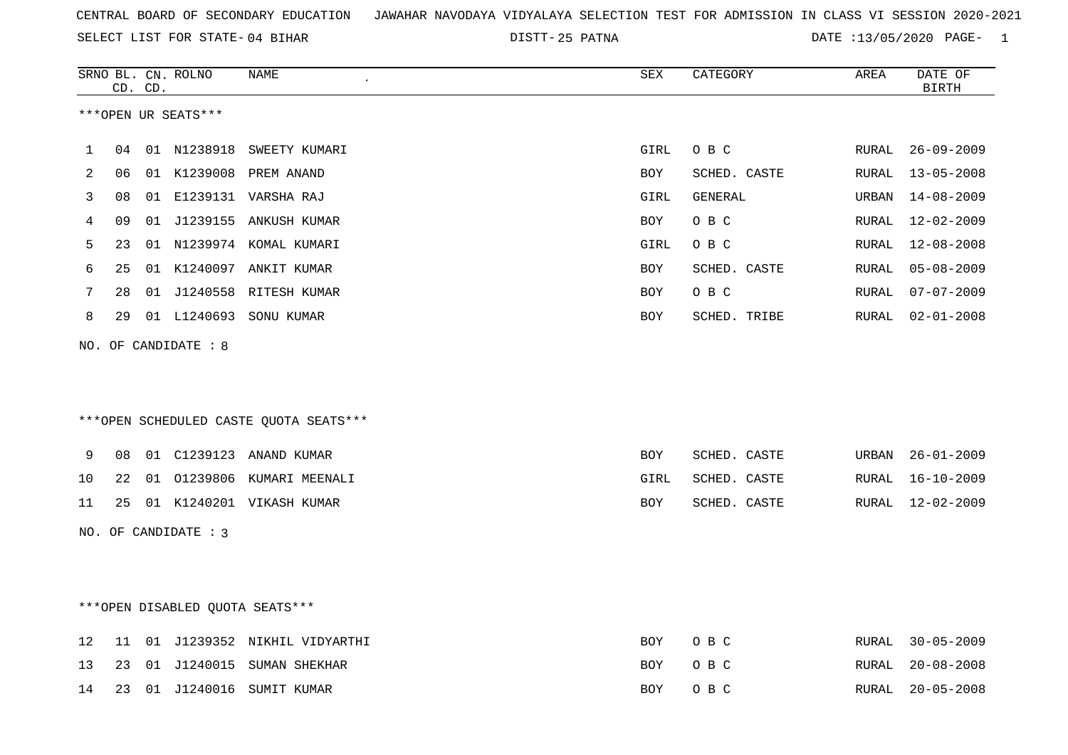25 PATNA DATE :13/05/2020 PAGE- 1

|    |    | CD. CD. | SRNO BL. CN. ROLNO   | NAME                                   | SEX         | CATEGORY     | AREA  | DATE OF<br><b>BIRTH</b> |
|----|----|---------|----------------------|----------------------------------------|-------------|--------------|-------|-------------------------|
|    |    |         | ***OPEN UR SEATS***  |                                        |             |              |       |                         |
|    |    |         |                      |                                        |             |              |       |                         |
| 1  | 04 |         | 01 N1238918          | SWEETY KUMARI                          | GIRL        | O B C        | RURAL | $26 - 09 - 2009$        |
| 2  | 06 |         |                      | 01 K1239008 PREM ANAND                 | BOY         | SCHED. CASTE | RURAL | $13 - 05 - 2008$        |
| 3  | 08 |         |                      | 01 E1239131 VARSHA RAJ                 | <b>GIRL</b> | GENERAL      | URBAN | $14 - 08 - 2009$        |
| 4  | 09 |         |                      | 01 J1239155 ANKUSH KUMAR               | <b>BOY</b>  | O B C        | RURAL | $12 - 02 - 2009$        |
| 5  | 23 |         |                      | 01 N1239974 KOMAL KUMARI               | GIRL        | O B C        | RURAL | $12 - 08 - 2008$        |
| 6  | 25 |         |                      | 01 K1240097 ANKIT KUMAR                | <b>BOY</b>  | SCHED. CASTE | RURAL | $05 - 08 - 2009$        |
| 7  | 28 |         |                      | 01 J1240558 RITESH KUMAR               | <b>BOY</b>  | O B C        | RURAL | $07 - 07 - 2009$        |
| 8  | 29 |         |                      | 01 L1240693 SONU KUMAR                 | BOY         | SCHED. TRIBE | RURAL | $02 - 01 - 2008$        |
|    |    |         | NO. OF CANDIDATE : 8 |                                        |             |              |       |                         |
|    |    |         |                      |                                        |             |              |       |                         |
|    |    |         |                      |                                        |             |              |       |                         |
|    |    |         |                      | ***OPEN SCHEDULED CASTE QUOTA SEATS*** |             |              |       |                         |
|    |    |         |                      |                                        |             |              |       |                         |
| 9  | 08 |         |                      |                                        | BOY         | SCHED. CASTE | URBAN | $26 - 01 - 2009$        |
| 10 | 22 |         |                      | 01 01239806 KUMARI MEENALI             | GIRL        | SCHED. CASTE | RURAL | $16 - 10 - 2009$        |
| 11 | 25 |         |                      | 01 K1240201 VIKASH KUMAR               | BOY         | SCHED. CASTE | RURAL | 12-02-2009              |
|    |    |         | NO. OF CANDIDATE : 3 |                                        |             |              |       |                         |
|    |    |         |                      |                                        |             |              |       |                         |
|    |    |         |                      |                                        |             |              |       |                         |
|    |    |         |                      |                                        |             |              |       |                         |
|    |    |         |                      | ***OPEN DISABLED QUOTA SEATS***        |             |              |       |                         |
| 12 | 11 |         |                      | 01 J1239352 NIKHIL VIDYARTHI           | BOY         | O B C        | RURAL | $30 - 05 - 2009$        |
| 13 | 23 |         |                      | 01 J1240015 SUMAN SHEKHAR              | <b>BOY</b>  | O B C        | RURAL | $20 - 08 - 2008$        |
| 14 | 23 |         |                      | 01 J1240016 SUMIT KUMAR                | <b>BOY</b>  | O B C        | RURAL | $20 - 05 - 2008$        |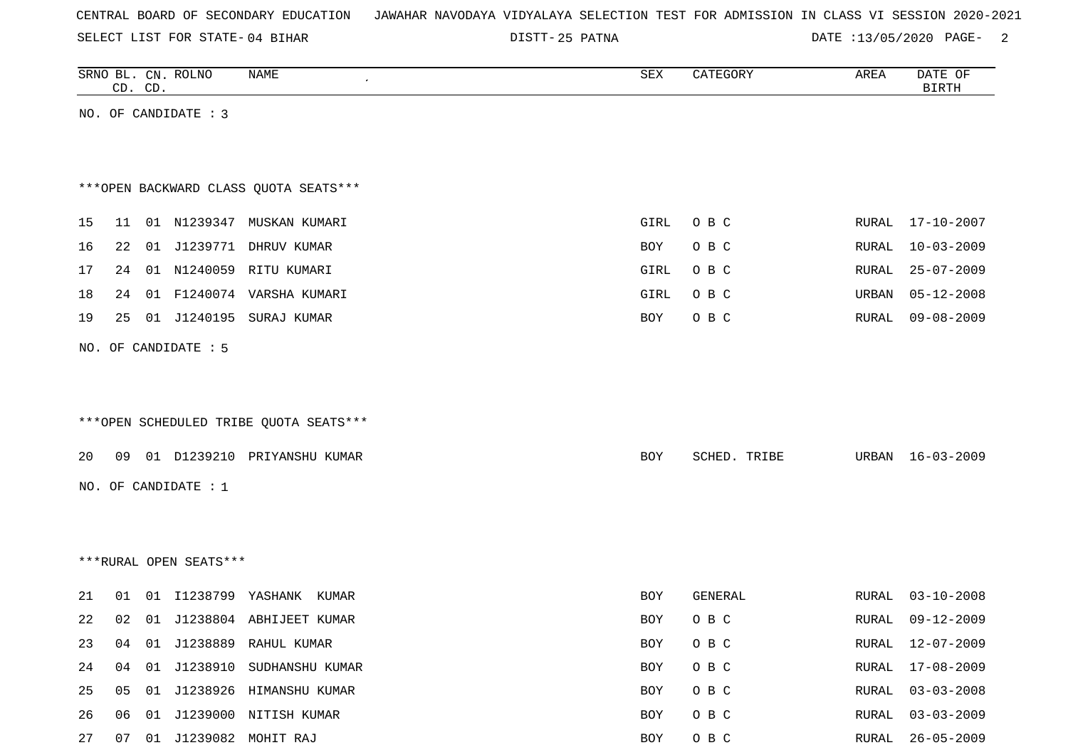| CENTRAL BOARD OF SECONDARY EDUCATION – JAWAHAR NAVODAYA VIDYALAYA SELECTION TEST FOR ADMISSION IN CLASS VI SESSION 2020-2021 |  |  |
|------------------------------------------------------------------------------------------------------------------------------|--|--|
|------------------------------------------------------------------------------------------------------------------------------|--|--|

DISTT-25 PATNA 2000 2000 2000 DATE :13/05/2020 PAGE-

|    | CD. CD. | SRNO BL. CN. ROLNO     | NAME                                   | SEX        | CATEGORY     | AREA         | DATE OF<br><b>BIRTH</b> |
|----|---------|------------------------|----------------------------------------|------------|--------------|--------------|-------------------------|
|    |         | NO. OF CANDIDATE : 3   |                                        |            |              |              |                         |
|    |         |                        |                                        |            |              |              |                         |
|    |         |                        |                                        |            |              |              |                         |
|    |         |                        | *** OPEN BACKWARD CLASS QUOTA SEATS*** |            |              |              |                         |
| 15 | 11      |                        | 01 N1239347 MUSKAN KUMARI              | GIRL       | O B C        | RURAL        | 17-10-2007              |
| 16 | 22      |                        | 01 J1239771 DHRUV KUMAR                | BOY        | O B C        | <b>RURAL</b> | $10 - 03 - 2009$        |
| 17 | 24      |                        | 01 N1240059 RITU KUMARI                | GIRL       | O B C        | RURAL        | $25 - 07 - 2009$        |
| 18 | 24      |                        | 01 F1240074 VARSHA KUMARI              | GIRL       | O B C        | URBAN        | $05 - 12 - 2008$        |
| 19 | 25      |                        | 01 J1240195 SURAJ KUMAR                | BOY        | O B C        | RURAL        | $09 - 08 - 2009$        |
|    |         | NO. OF CANDIDATE : 5   |                                        |            |              |              |                         |
|    |         |                        |                                        |            |              |              |                         |
|    |         |                        |                                        |            |              |              |                         |
|    |         |                        | ***OPEN SCHEDULED TRIBE QUOTA SEATS*** |            |              |              |                         |
| 20 | 09      |                        | 01 D1239210 PRIYANSHU KUMAR            | BOY        | SCHED. TRIBE | URBAN        | 16-03-2009              |
|    |         |                        |                                        |            |              |              |                         |
|    |         | NO. OF CANDIDATE : 1   |                                        |            |              |              |                         |
|    |         |                        |                                        |            |              |              |                         |
|    |         |                        |                                        |            |              |              |                         |
|    |         | ***RURAL OPEN SEATS*** |                                        |            |              |              |                         |
| 21 | 01      | 01 I1238799 YASHANK    | KUMAR                                  | BOY        | GENERAL      | RURAL        | $03 - 10 - 2008$        |
| 22 | 02      |                        | 01 J1238804 ABHIJEET KUMAR             | <b>BOY</b> | O B C        | RURAL        | $09 - 12 - 2009$        |
| 23 | 04      |                        | 01 J1238889 RAHUL KUMAR                | BOY        | O B C        | RURAL        | 12-07-2009              |
| 24 | 04      |                        | 01 J1238910 SUDHANSHU KUMAR            | BOY        | O B C        | <b>RURAL</b> | $17 - 08 - 2009$        |
| 25 | 05      |                        | 01 J1238926 HIMANSHU KUMAR             | BOY        | O B C        | RURAL        | $03 - 03 - 2008$        |
| 26 | 06      |                        | 01 J1239000 NITISH KUMAR               | BOY        | O B C        | RURAL        | $03 - 03 - 2009$        |
| 27 | 07      |                        | 01 J1239082 MOHIT RAJ                  | BOY        | O B C        | <b>RURAL</b> | 26-05-2009              |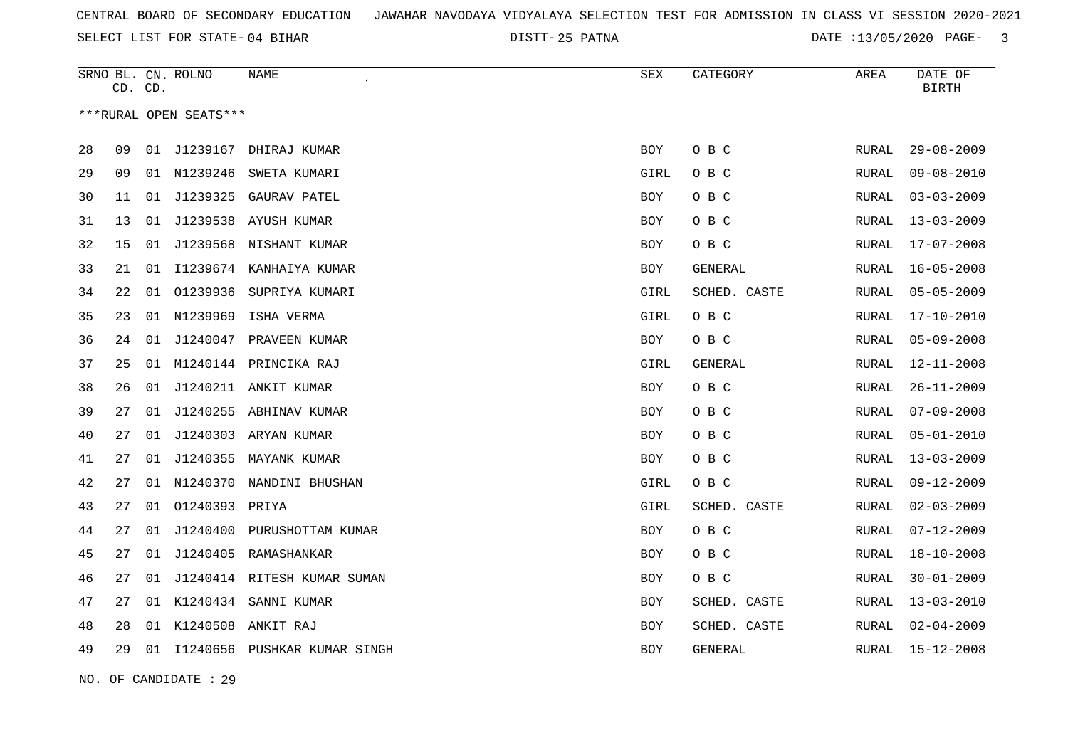25 PATNA DATE :13/05/2020 PAGE- 3

|    | CD. CD. |    | SRNO BL. CN. ROLNO     | <b>NAME</b>                     | ${\tt SEX}$ | CATEGORY     | AREA         | DATE OF<br><b>BIRTH</b> |
|----|---------|----|------------------------|---------------------------------|-------------|--------------|--------------|-------------------------|
|    |         |    | ***RURAL OPEN SEATS*** |                                 |             |              |              |                         |
| 28 | 09      |    | 01 J1239167            | DHIRAJ KUMAR                    | <b>BOY</b>  | O B C        | RURAL        | $29 - 08 - 2009$        |
| 29 | 09      |    | 01 N1239246            | SWETA KUMARI                    | GIRL        | O B C        | RURAL        | $09 - 08 - 2010$        |
| 30 | 11      | 01 | J1239325               | GAURAV PATEL                    | BOY         | O B C        | <b>RURAL</b> | $03 - 03 - 2009$        |
| 31 | 13      | 01 |                        | J1239538 AYUSH KUMAR            | BOY         | O B C        | RURAL        | $13 - 03 - 2009$        |
| 32 | 15      | 01 |                        | J1239568 NISHANT KUMAR          | BOY         | O B C        | RURAL        | $17 - 07 - 2008$        |
| 33 | 21      |    |                        | 01 I1239674 KANHAIYA KUMAR      | BOY         | GENERAL      | RURAL        | $16 - 05 - 2008$        |
| 34 | 22      | 01 | 01239936               | SUPRIYA KUMARI                  | GIRL        | SCHED. CASTE | RURAL        | $05 - 05 - 2009$        |
| 35 | 23      |    |                        | 01 N1239969 ISHA VERMA          | GIRL        | O B C        | <b>RURAL</b> | $17 - 10 - 2010$        |
| 36 | 24      | 01 |                        | J1240047 PRAVEEN KUMAR          | <b>BOY</b>  | O B C        | RURAL        | $05 - 09 - 2008$        |
| 37 | 25      |    |                        | 01 M1240144 PRINCIKA RAJ        | GIRL        | GENERAL      | <b>RURAL</b> | $12 - 11 - 2008$        |
| 38 | 26      | 01 | J1240211               | ANKIT KUMAR                     | <b>BOY</b>  | O B C        | <b>RURAL</b> | $26 - 11 - 2009$        |
| 39 | 27      | 01 |                        | J1240255 ABHINAV KUMAR          | BOY         | O B C        | RURAL        | $07 - 09 - 2008$        |
| 40 | 27      | 01 |                        | J1240303 ARYAN KUMAR            | <b>BOY</b>  | O B C        | <b>RURAL</b> | $05 - 01 - 2010$        |
| 41 | 27      | 01 |                        | J1240355 MAYANK KUMAR           | BOY         | O B C        | RURAL        | $13 - 03 - 2009$        |
| 42 | 27      | 01 | N1240370               | NANDINI BHUSHAN                 | GIRL        | O B C        | <b>RURAL</b> | $09 - 12 - 2009$        |
| 43 | 27      | 01 | 01240393 PRIYA         |                                 | GIRL        | SCHED. CASTE | RURAL        | $02 - 03 - 2009$        |
| 44 | 27      | 01 |                        | J1240400 PURUSHOTTAM KUMAR      | <b>BOY</b>  | O B C        | RURAL        | $07 - 12 - 2009$        |
| 45 | 27      | 01 |                        | J1240405 RAMASHANKAR            | <b>BOY</b>  | O B C        | RURAL        | $18 - 10 - 2008$        |
| 46 | 27      | 01 |                        | J1240414 RITESH KUMAR SUMAN     | <b>BOY</b>  | O B C        | RURAL        | $30 - 01 - 2009$        |
| 47 | 27      | 01 |                        | K1240434 SANNI KUMAR            | BOY         | SCHED. CASTE | RURAL        | $13 - 03 - 2010$        |
| 48 | 28      | 01 | K1240508               | ANKIT RAJ                       | <b>BOY</b>  | SCHED. CASTE | RURAL        | $02 - 04 - 2009$        |
| 49 | 29      |    |                        | 01 I1240656 PUSHKAR KUMAR SINGH | BOY         | GENERAL      | RURAL        | $15 - 12 - 2008$        |
|    |         |    |                        |                                 |             |              |              |                         |

NO. OF CANDIDATE : 29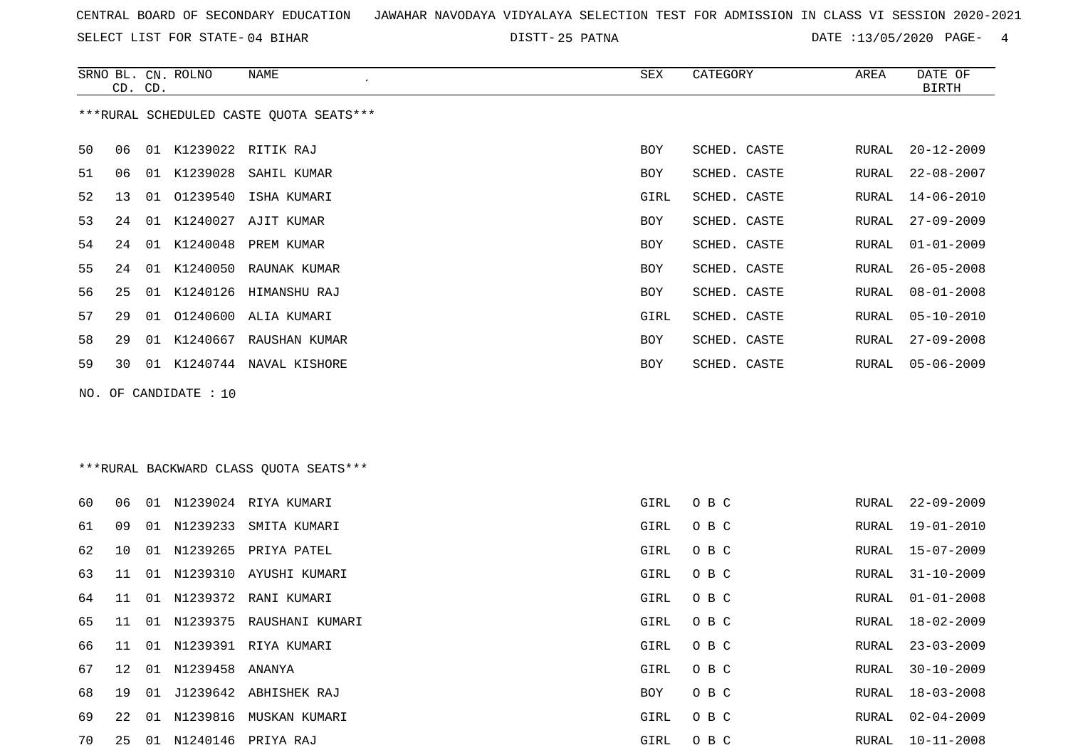SELECT LIST FOR STATE- DISTT- 04 BIHAR

25 PATNA DATE :13/05/2020 PAGE- 4

|     | CD. CD. |    | SRNO BL. CN. ROLNO | NAME<br>$\cdot$                         | ${\tt SEX}$ | CATEGORY     | AREA  | DATE OF<br><b>BIRTH</b> |
|-----|---------|----|--------------------|-----------------------------------------|-------------|--------------|-------|-------------------------|
|     |         |    |                    | ***RURAL SCHEDULED CASTE QUOTA SEATS*** |             |              |       |                         |
| 50  | 06      |    |                    | 01 K1239022 RITIK RAJ                   | BOY         | SCHED. CASTE | RURAL | $20 - 12 - 2009$        |
| 51  | 06      |    |                    | 01 K1239028 SAHIL KUMAR                 | BOY         | SCHED. CASTE | RURAL | $22 - 08 - 2007$        |
| 52  | 13      | 01 |                    | 01239540 ISHA KUMARI                    | GIRL        | SCHED. CASTE | RURAL | $14 - 06 - 2010$        |
| 53  | 24      |    |                    | 01 K1240027 AJIT KUMAR                  | BOY         | SCHED. CASTE | RURAL | $27 - 09 - 2009$        |
| 54  | 24      |    | 01 K1240048        | PREM KUMAR                              | <b>BOY</b>  | SCHED. CASTE | RURAL | $01 - 01 - 2009$        |
| 55  | 24      |    |                    | 01 K1240050 RAUNAK KUMAR                | <b>BOY</b>  | SCHED. CASTE | RURAL | $26 - 05 - 2008$        |
| 56  | 25      |    |                    | 01 K1240126 HIMANSHU RAJ                | <b>BOY</b>  | SCHED. CASTE | RURAL | $08 - 01 - 2008$        |
| 57  | 29      |    |                    | 01 01240600 ALIA KUMARI                 | GIRL        | SCHED. CASTE | RURAL | $05 - 10 - 2010$        |
| 58  | 29      |    |                    | 01 K1240667 RAUSHAN KUMAR               | BOY         | SCHED. CASTE | RURAL | $27 - 09 - 2008$        |
| 59  | 30      |    |                    | 01 K1240744 NAVAL KISHORE               | BOY         | SCHED. CASTE | RURAL | $05 - 06 - 2009$        |
| NO. |         |    | OF CANDIDATE : 10  |                                         |             |              |       |                         |
|     |         |    |                    |                                         |             |              |       |                         |
|     |         |    |                    |                                         |             |              |       |                         |
|     |         |    |                    | *** RURAL BACKWARD CLASS QUOTA SEATS*** |             |              |       |                         |
|     |         |    |                    |                                         |             |              |       |                         |
| 60  | 06      |    |                    | 01 N1239024 RIYA KUMARI                 | GIRL        | O B C        | RURAL | $22 - 09 - 2009$        |
| 61  | 09      |    |                    | 01 N1239233 SMITA KUMARI                | GIRL        | O B C        | RURAL | $19 - 01 - 2010$        |
| 62  | 10      |    |                    | 01 N1239265 PRIYA PATEL                 | GIRL        | O B C        | RURAL | $15 - 07 - 2009$        |
| 63  | 11      |    |                    | 01 N1239310 AYUSHI KUMARI               | GIRL        | O B C        | RURAL | $31 - 10 - 2009$        |
| 64  | 11      |    |                    | 01 N1239372 RANI KUMARI                 | GIRL        | O B C        | RURAL | $01 - 01 - 2008$        |
| 65  | 11      |    |                    | 01 N1239375 RAUSHANI KUMARI             | GIRL        | O B C        | RURAL | 18-02-2009              |

66 11 01 N1239391 RIYA KUMARI GIRL O B C

67 12 01 N1239458 ANANYA GIRL O B C

68 19 01 J1239642 ABHISHEK RAJ BOY O B C 69 22 01 N1239816 MUSKAN KUMARI GIRL O B C RURAL 02-04-2009

70 25 01 N1240146 PRIYA RAJ GIRL O B C RURAL 10-11-2008

|  | KUKAL LOTUZTZUUY |
|--|------------------|
|  | RURAL 23-03-2009 |
|  | RURAL 30-10-2009 |
|  | RURAL 18-03-2008 |
|  | RURAL 02-04-2009 |
|  |                  |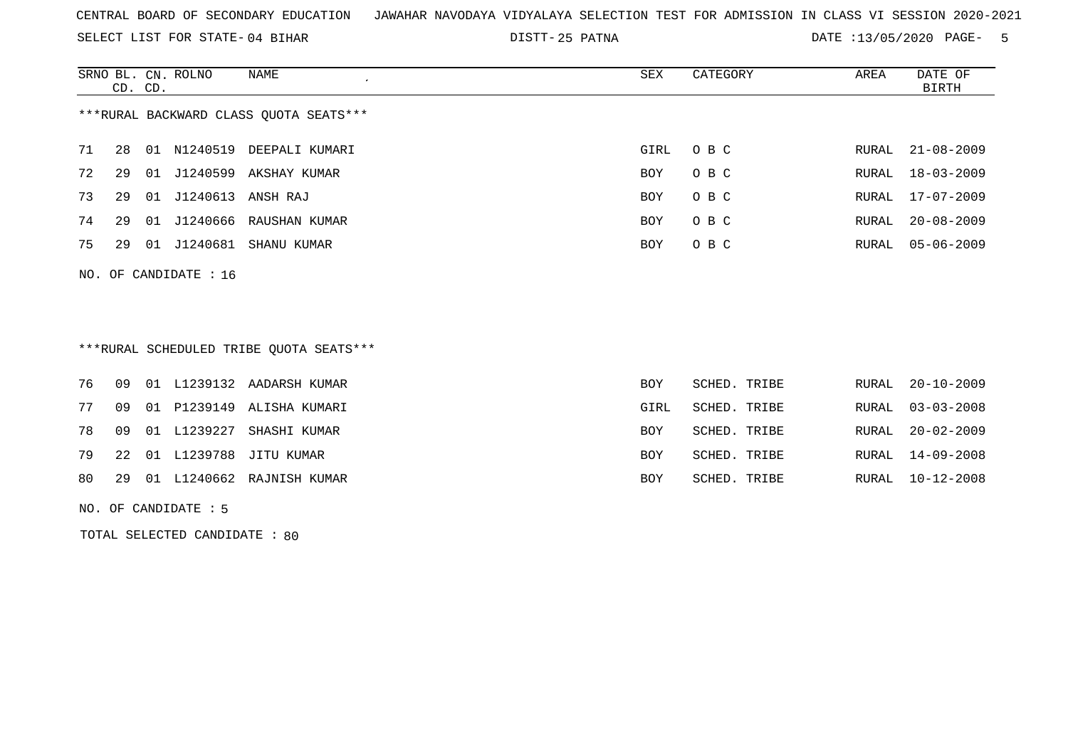SELECT LIST FOR STATE- DISTT- 04 BIHAR

25 PATNA DATE :13/05/2020 PAGE- 5

|                                        | CD. CD. |       | SRNO BL. CN. ROLNO | NAME           | SEX        | CATEGORY | AREA  | DATE OF<br>BIRTH |  |  |
|----------------------------------------|---------|-------|--------------------|----------------|------------|----------|-------|------------------|--|--|
| ***RURAL BACKWARD CLASS OUOTA SEATS*** |         |       |                    |                |            |          |       |                  |  |  |
| 71                                     | 28      | 01    | N1240519           | DEEPALI KUMARI | GIRL       | O B C    |       | RURAL 21-08-2009 |  |  |
| 72                                     | 29      |       | 01 J1240599        | AKSHAY KUMAR   | <b>BOY</b> | O B C    |       | RURAL 18-03-2009 |  |  |
| 73                                     | 29      | 01    | J1240613           | ANSH RAJ       | <b>BOY</b> | O B C    | RURAL | $17 - 07 - 2009$ |  |  |
| 74                                     | 29      | 01    | J1240666           | RAUSHAN KUMAR  | <b>BOY</b> | O B C    | RURAL | $20 - 08 - 2009$ |  |  |
| 75                                     | 29      | . N 1 | J1240681           | SHANU KUMAR    | <b>BOY</b> | O B C    |       | RURAL 05-06-2009 |  |  |
|                                        |         |       |                    |                |            |          |       |                  |  |  |

NO. OF CANDIDATE : 16

## \*\*\*RURAL SCHEDULED TRIBE QUOTA SEATS\*\*\*

|    |  |                      | 76 09 01 L1239132 AADARSH KUMAR | <b>BOY</b> | SCHED. TRIBE |  | RURAL 20-10-2009 |
|----|--|----------------------|---------------------------------|------------|--------------|--|------------------|
| 77 |  |                      | 09 01 P1239149 ALISHA KUMARI    | GIRL       | SCHED. TRIBE |  | RURAL 03-03-2008 |
|    |  | 78  09  01  L1239227 | SHASHI KUMAR                    | BOY        | SCHED. TRIBE |  | RURAL 20-02-2009 |
|    |  |                      | 79 22 01 L1239788 JITU KUMAR    | <b>BOY</b> | SCHED. TRIBE |  | RURAL 14-09-2008 |
|    |  |                      | 80 29 01 L1240662 RAJNISH KUMAR | BOY        | SCHED. TRIBE |  | RURAL 10-12-2008 |

NO. OF CANDIDATE : 5

TOTAL SELECTED CANDIDATE : 80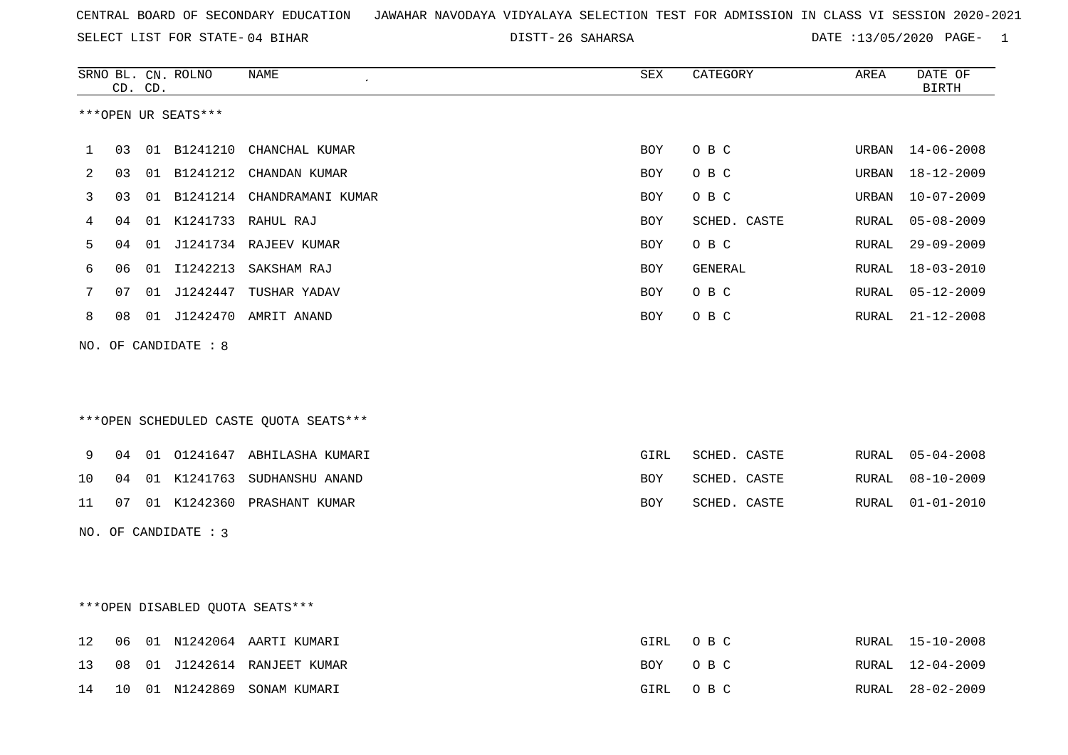26 SAHARSA DATE :13/05/2020 PAGE- 1

|    |    | CD. CD. | SRNO BL. CN. ROLNO   | NAME                                   | SEX   | CATEGORY       | AREA  | DATE OF<br><b>BIRTH</b> |
|----|----|---------|----------------------|----------------------------------------|-------|----------------|-------|-------------------------|
|    |    |         | ***OPEN UR SEATS***  |                                        |       |                |       |                         |
|    |    |         |                      |                                        |       |                |       |                         |
| 1  | 03 |         |                      | 01 B1241210 CHANCHAL KUMAR             | BOY   | O B C          | URBAN | $14 - 06 - 2008$        |
| 2  | 03 |         |                      | 01 B1241212 CHANDAN KUMAR              | BOY   | O B C          | URBAN | 18-12-2009              |
| 3  | 03 |         |                      | 01 B1241214 CHANDRAMANI KUMAR          | BOY   | O B C          | URBAN | $10 - 07 - 2009$        |
| 4  | 04 |         |                      | 01 K1241733 RAHUL RAJ                  | BOY   | SCHED. CASTE   | RURAL | $05 - 08 - 2009$        |
| 5  | 04 |         |                      | 01 J1241734 RAJEEV KUMAR               | BOY   | O B C          | RURAL | $29 - 09 - 2009$        |
| 6  | 06 |         |                      | 01 I1242213 SAKSHAM RAJ                | BOY   | <b>GENERAL</b> | RURAL | $18 - 03 - 2010$        |
| 7  | 07 |         |                      | 01 J1242447 TUSHAR YADAV               | BOY   | O B C          | RURAL | $05 - 12 - 2009$        |
| 8  | 08 |         |                      | 01 J1242470 AMRIT ANAND                | BOY   | O B C          | RURAL | $21 - 12 - 2008$        |
|    |    |         | NO. OF CANDIDATE : 8 |                                        |       |                |       |                         |
|    |    |         |                      |                                        |       |                |       |                         |
|    |    |         |                      |                                        |       |                |       |                         |
|    |    |         |                      | ***OPEN SCHEDULED CASTE QUOTA SEATS*** |       |                |       |                         |
|    |    |         |                      |                                        |       |                |       |                         |
| 9  | 04 |         |                      | 01 01241647 ABHILASHA KUMARI           | GIRL  | SCHED. CASTE   | RURAL | $05 - 04 - 2008$        |
| 10 | 04 |         |                      | 01 K1241763 SUDHANSHU ANAND            | BOY   | SCHED. CASTE   | RURAL | $08 - 10 - 2009$        |
| 11 | 07 |         |                      | 01 K1242360 PRASHANT KUMAR             | BOY   | SCHED. CASTE   | RURAL | $01 - 01 - 2010$        |
|    |    |         | NO. OF CANDIDATE : 3 |                                        |       |                |       |                         |
|    |    |         |                      |                                        |       |                |       |                         |
|    |    |         |                      |                                        |       |                |       |                         |
|    |    |         |                      | ***OPEN DISABLED OUOTA SEATS***        |       |                |       |                         |
| 12 | 06 |         |                      | 01 N1242064 AARTI KUMARI               | GIRL  | O B C          | RURAL | 15-10-2008              |
| 13 | 08 |         |                      | 01 J1242614 RANJEET KUMAR              | BOY   | O B C          | RURAL | 12-04-2009              |
| 14 |    |         |                      | 10 01 N1242869 SONAM KIIMART           | GTRI. | O B C          |       | RURAL 28-02-2009        |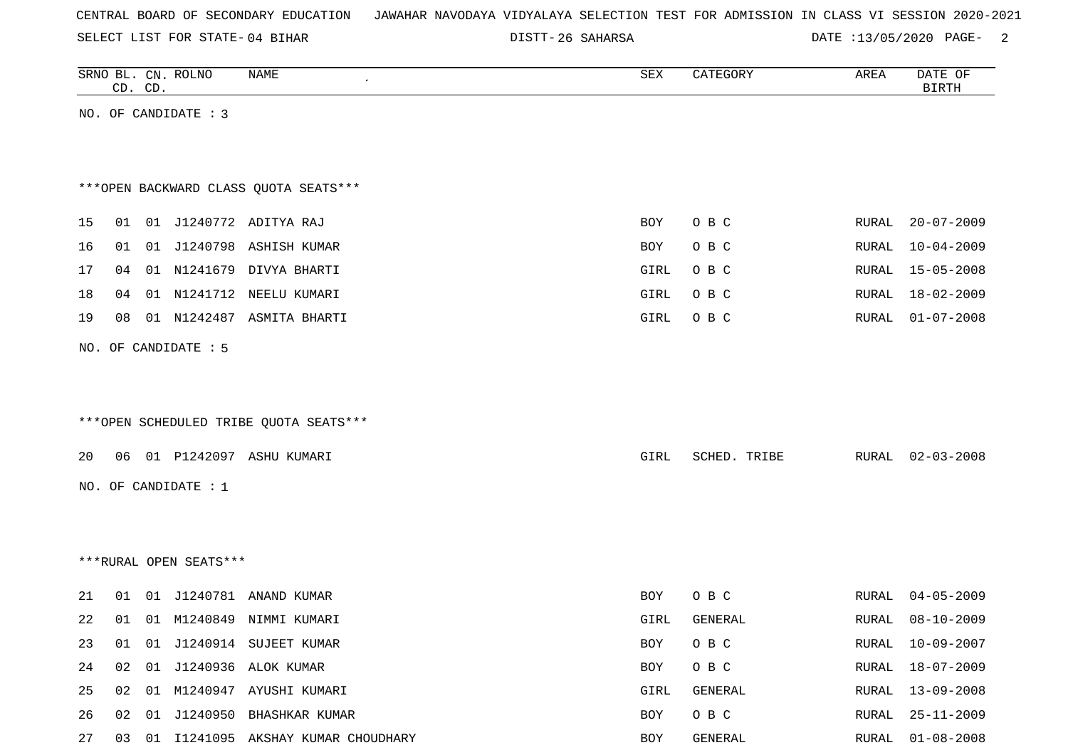| CENTRAL BOARD OF SECONDARY EDUCATION – JAWAHAR NAVODAYA VIDYALAYA SELECTION TEST FOR ADMISSION IN CLASS VI SESSION 2020-2021 |  |  |  |  |  |
|------------------------------------------------------------------------------------------------------------------------------|--|--|--|--|--|
|------------------------------------------------------------------------------------------------------------------------------|--|--|--|--|--|

DISTT-26 SAHARSA 2007 DATE :13/05/2020 PAGE- 2

|    |    | CD. CD. | SRNO BL. CN. ROLNO     | NAME<br>$\cdot$                        | SEX         | CATEGORY       | AREA  | DATE OF<br><b>BIRTH</b> |
|----|----|---------|------------------------|----------------------------------------|-------------|----------------|-------|-------------------------|
|    |    |         | NO. OF CANDIDATE : 3   |                                        |             |                |       |                         |
|    |    |         |                        |                                        |             |                |       |                         |
|    |    |         |                        |                                        |             |                |       |                         |
|    |    |         |                        | *** OPEN BACKWARD CLASS QUOTA SEATS*** |             |                |       |                         |
| 15 |    |         |                        | 01 01 J1240772 ADITYA RAJ              | BOY         | O B C          | RURAL | $20 - 07 - 2009$        |
| 16 | 01 |         |                        | 01 J1240798 ASHISH KUMAR               | BOY         | O B C          | RURAL | $10 - 04 - 2009$        |
| 17 | 04 |         |                        | 01 N1241679 DIVYA BHARTI               | GIRL        | O B C          | RURAL | $15 - 05 - 2008$        |
| 18 | 04 |         |                        | 01 N1241712 NEELU KUMARI               | <b>GIRL</b> | O B C          | RURAL | $18 - 02 - 2009$        |
| 19 | 08 |         |                        | 01 N1242487 ASMITA BHARTI              | GIRL        | O B C          | RURAL | $01 - 07 - 2008$        |
|    |    |         | NO. OF CANDIDATE : 5   |                                        |             |                |       |                         |
|    |    |         |                        |                                        |             |                |       |                         |
|    |    |         |                        |                                        |             |                |       |                         |
|    |    |         |                        | ***OPEN SCHEDULED TRIBE QUOTA SEATS*** |             |                |       |                         |
| 20 | 06 |         |                        | 01 P1242097 ASHU KUMARI                | GIRL        | SCHED. TRIBE   | RURAL | $02 - 03 - 2008$        |
|    |    |         | NO. OF CANDIDATE : 1   |                                        |             |                |       |                         |
|    |    |         |                        |                                        |             |                |       |                         |
|    |    |         |                        |                                        |             |                |       |                         |
|    |    |         | ***RURAL OPEN SEATS*** |                                        |             |                |       |                         |
|    |    |         |                        |                                        |             |                |       |                         |
| 21 | 01 |         |                        | 01 J1240781 ANAND KUMAR                | <b>BOY</b>  | O B C          | RURAL | $04 - 05 - 2009$        |
| 22 | 01 |         |                        | 01 M1240849 NIMMI KUMARI               | GIRL        | <b>GENERAL</b> | RURAL | $08 - 10 - 2009$        |
| 23 | 01 |         |                        | 01 J1240914 SUJEET KUMAR               | BOY         | O B C          |       | RURAL 10-09-2007        |
| 24 |    |         |                        | 02 01 J1240936 ALOK KUMAR              | BOY         | O B C          |       | RURAL 18-07-2009        |
| 25 |    |         |                        | 02 01 M1240947 AYUSHI KUMARI           | GIRL        | GENERAL        |       | RURAL 13-09-2008        |
| 26 | 02 |         |                        | 01 J1240950 BHASHKAR KUMAR             | BOY         | O B C          | RURAL | 25-11-2009              |
| 27 |    |         |                        | 03 01 I1241095 AKSHAY KUMAR CHOUDHARY  | BOY         | GENERAL        |       | RURAL 01-08-2008        |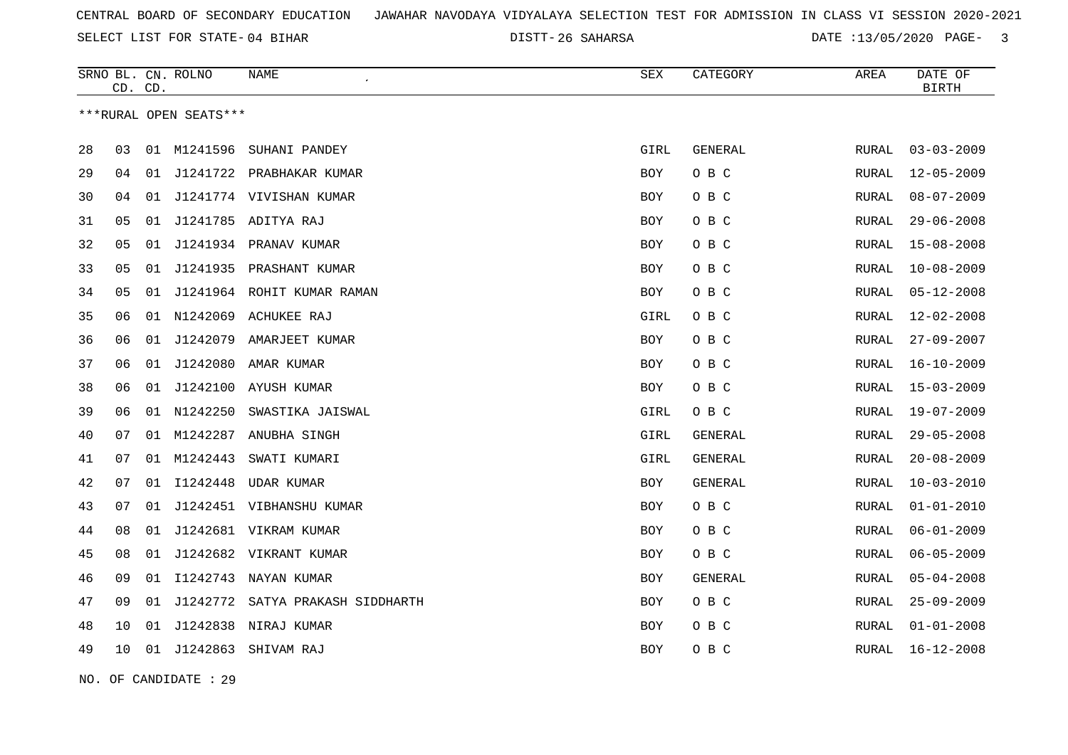26 SAHARSA DATE :13/05/2020 PAGE- 3

|    | CD. CD. |    | SRNO BL. CN. ROLNO     | NAME                       | <b>SEX</b> | CATEGORY       | AREA         | DATE OF<br><b>BIRTH</b> |
|----|---------|----|------------------------|----------------------------|------------|----------------|--------------|-------------------------|
|    |         |    | ***RURAL OPEN SEATS*** |                            |            |                |              |                         |
| 28 | 03      | 01 | M1241596               | SUHANI PANDEY              | GIRL       | <b>GENERAL</b> | <b>RURAL</b> | $03 - 03 - 2009$        |
| 29 | 04      | 01 |                        | J1241722 PRABHAKAR KUMAR   | <b>BOY</b> | O B C          | <b>RURAL</b> | $12 - 05 - 2009$        |
| 30 | 04      | 01 |                        | J1241774 VIVISHAN KUMAR    | BOY        | O B C          | RURAL        | $08 - 07 - 2009$        |
| 31 | 05      | 01 |                        | J1241785 ADITYA RAJ        | <b>BOY</b> | O B C          | RURAL        | $29 - 06 - 2008$        |
| 32 | 05      | 01 |                        | J1241934 PRANAV KUMAR      | <b>BOY</b> | O B C          | RURAL        | $15 - 08 - 2008$        |
| 33 | 05      | 01 |                        | J1241935 PRASHANT KUMAR    | <b>BOY</b> | O B C          | RURAL        | $10 - 08 - 2009$        |
| 34 | 05      | 01 |                        | J1241964 ROHIT KUMAR RAMAN | <b>BOY</b> | O B C          | <b>RURAL</b> | $05 - 12 - 2008$        |
| 35 | 06      |    |                        | 01 N1242069 ACHUKEE RAJ    | GIRL       | O B C          | RURAL        | $12 - 02 - 2008$        |
| 36 | 06      | 01 | J1242079               | AMARJEET KUMAR             | <b>BOY</b> | O B C          | RURAL        | $27 - 09 - 2007$        |
| 37 | 06      | 01 |                        | J1242080 AMAR KUMAR        | BOY        | O B C          | RURAL        | $16 - 10 - 2009$        |
| 38 | 06      | 01 | J1242100               | AYUSH KUMAR                | <b>BOY</b> | O B C          | <b>RURAL</b> | $15 - 03 - 2009$        |
| 39 | 06      |    | 01 N1242250            | SWASTIKA JAISWAL           | GIRL       | O B C          | RURAL        | $19 - 07 - 2009$        |
| 40 | 07      | 01 | M1242287               | ANUBHA SINGH               | GIRL       | GENERAL        | RURAL        | $29 - 05 - 2008$        |
| 41 | 07      | 01 | M1242443               | SWATI KUMARI               | GIRL       | GENERAL        | RURAL        | $20 - 08 - 2009$        |
| 42 | 07      | 01 | I1242448               | UDAR KUMAR                 | BOY        | GENERAL        | RURAL        | $10 - 03 - 2010$        |
| 43 | 07      | 01 |                        | J1242451 VIBHANSHU KUMAR   | <b>BOY</b> | O B C          | <b>RURAL</b> | $01 - 01 - 2010$        |
| 44 | 08      | 01 |                        | J1242681 VIKRAM KUMAR      | <b>BOY</b> | O B C          | RURAL        | $06 - 01 - 2009$        |
| 45 | 08      | 01 |                        | J1242682 VIKRANT KUMAR     | <b>BOY</b> | O B C          | RURAL        | $06 - 05 - 2009$        |
| 46 | 09      | 01 | I1242743               | NAYAN KUMAR                | <b>BOY</b> | GENERAL        | <b>RURAL</b> | $05 - 04 - 2008$        |
| 47 | 09      | 01 | J1242772               | SATYA PRAKASH SIDDHARTH    | BOY        | O B C          | RURAL        | $25 - 09 - 2009$        |
| 48 | 10      | 01 |                        | J1242838 NIRAJ KUMAR       | <b>BOY</b> | O B C          | RURAL        | $01 - 01 - 2008$        |
| 49 | 10      | 01 | J1242863               | SHIVAM RAJ                 | <b>BOY</b> | O B C          | RURAL        | $16 - 12 - 2008$        |

NO. OF CANDIDATE : 29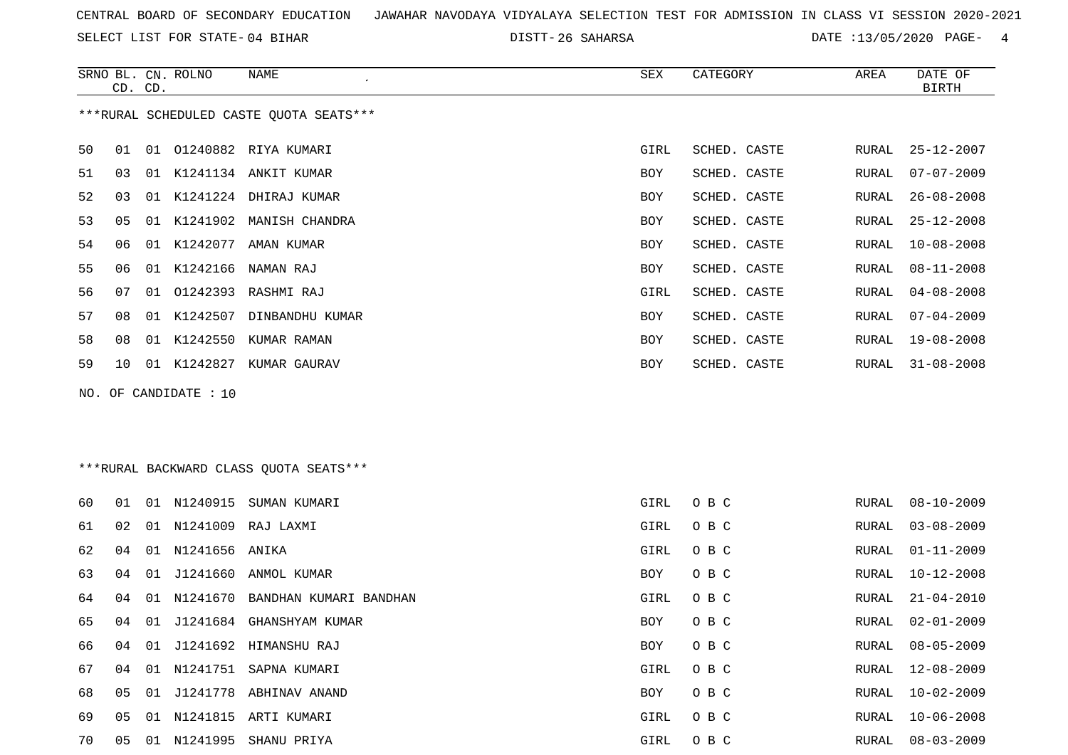SELECT LIST FOR STATE- DISTT- 04 BIHAR

26 SAHARSA DATE :13/05/2020 PAGE- 4

RURAL 10-02-2009

|    | CD. CD. |    | SRNO BL. CN. ROLNO    | NAME                                    | SEX        | CATEGORY     | AREA  | DATE OF<br><b>BIRTH</b> |
|----|---------|----|-----------------------|-----------------------------------------|------------|--------------|-------|-------------------------|
|    |         |    |                       | ***RURAL SCHEDULED CASTE QUOTA SEATS*** |            |              |       |                         |
| 50 | 01      |    |                       | 01 01240882 RIYA KUMARI                 | GIRL       | SCHED. CASTE | RURAL | $25 - 12 - 2007$        |
| 51 | 03      |    |                       | 01 K1241134 ANKIT KUMAR                 | BOY        | SCHED. CASTE | RURAL | $07 - 07 - 2009$        |
| 52 | 03      |    |                       | 01 K1241224 DHIRAJ KUMAR                | <b>BOY</b> | SCHED. CASTE | RURAL | $26 - 08 - 2008$        |
| 53 | 05      |    | 01 K1241902           | MANISH CHANDRA                          | <b>BOY</b> | SCHED. CASTE | RURAL | $25 - 12 - 2008$        |
| 54 | 06      |    |                       | 01 K1242077 AMAN KUMAR                  | <b>BOY</b> | SCHED. CASTE | RURAL | $10 - 08 - 2008$        |
| 55 | 06      | 01 | K1242166              | NAMAN RAJ                               | BOY        | SCHED. CASTE | RURAL | $08 - 11 - 2008$        |
| 56 | 07      |    |                       | 01 01242393 RASHMI RAJ                  | GIRL       | SCHED. CASTE | RURAL | $04 - 08 - 2008$        |
| 57 | 08      |    |                       | 01 K1242507 DINBANDHU KUMAR             | BOY        | SCHED. CASTE | RURAL | $07 - 04 - 2009$        |
| 58 | 08      |    | 01 K1242550           | KUMAR RAMAN                             | BOY        | SCHED. CASTE | RURAL | $19 - 08 - 2008$        |
| 59 | 10      |    |                       | 01 K1242827 KUMAR GAURAV                | <b>BOY</b> | SCHED. CASTE | RURAL | $31 - 08 - 2008$        |
|    |         |    | NO. OF CANDIDATE : 10 |                                         |            |              |       |                         |
|    |         |    |                       |                                         |            |              |       |                         |
|    |         |    |                       |                                         |            |              |       |                         |
|    |         |    |                       | *** RURAL BACKWARD CLASS QUOTA SEATS*** |            |              |       |                         |
| 60 | 01      |    |                       | 01 N1240915 SUMAN KUMARI                | GIRL       | O B C        | RURAL | $08 - 10 - 2009$        |
| 61 | 02      |    |                       | 01 N1241009 RAJ LAXMI                   | GIRL       | O B C        | RURAL | $03 - 08 - 2009$        |
| 62 | 04      |    | 01 N1241656 ANIKA     |                                         | GIRL       | O B C        | RURAL | $01 - 11 - 2009$        |
| 63 | 04      |    |                       | 01 J1241660 ANMOL KUMAR                 | BOY        | O B C        | RURAL | $10 - 12 - 2008$        |
| 64 | 04      |    | 01 N1241670           | BANDHAN KUMARI BANDHAN                  | GIRL       | O B C        | RURAL | $21 - 04 - 2010$        |
| 65 | 04      | 01 |                       | J1241684 GHANSHYAM KUMAR                | <b>BOY</b> | O B C        | RURAL | $02 - 01 - 2009$        |
| 66 | 04      |    |                       | 01 J1241692 HIMANSHU RAJ                | <b>BOY</b> | O B C        | RURAL | $08 - 05 - 2009$        |

04 01 N1241751 SAPNA KUMARI GIRL O B C RURAL 12-08-2009

 05 01 N1241815 ARTI KUMARI GIRL O B C RURAL 10-06-2008 05 01 N1241995 SHANU PRIYA GIRL O B C RURAL 08-03-2009

05 01 J1241778 ABHINAV ANAND BOY O B C RURAL 10-02-2009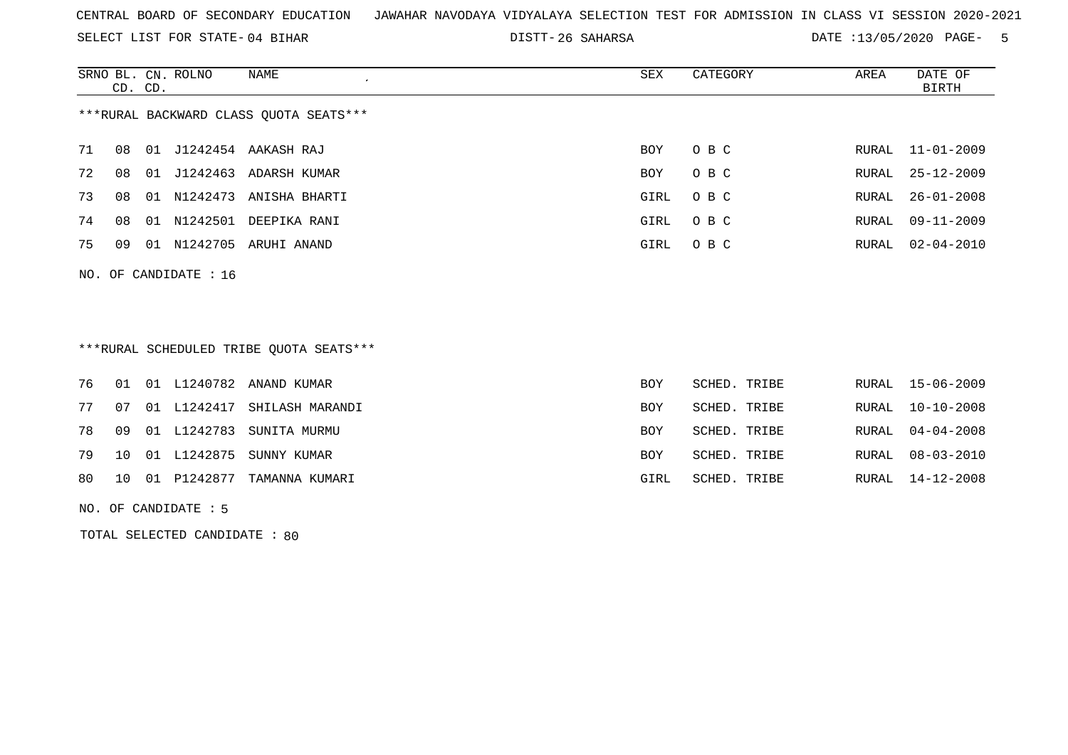SELECT LIST FOR STATE- DISTT- 04 BIHAR

26 SAHARSA DATE :13/05/2020 PAGE- 5

|                                        | CD. CD. |    | SRNO BL. CN. ROLNO      | NAME<br>$\epsilon$        | SEX  | CATEGORY | AREA  | DATE OF<br>BIRTH |
|----------------------------------------|---------|----|-------------------------|---------------------------|------|----------|-------|------------------|
| ***RURAL BACKWARD CLASS QUOTA SEATS*** |         |    |                         |                           |      |          |       |                  |
| 71                                     | 08      | 01 |                         | J1242454 AAKASH RAJ       | BOY  | O B C    | RURAL | 11-01-2009       |
| 72                                     | 08      | 01 | J1242463                | ADARSH KUMAR              | BOY  | O B C    | RURAL | $25 - 12 - 2009$ |
| 73                                     | 08      |    |                         | 01 N1242473 ANISHA BHARTI | GIRL | O B C    |       | RURAL 26-01-2008 |
| 74                                     | 08      |    |                         | 01 N1242501 DEEPIKA RANI  | GIRL | O B C    | RURAL | 09-11-2009       |
| 75                                     | 09      |    | 01 N1242705             | ARUHI ANAND               | GIRL | O B C    | RURAL | 02-04-2010       |
|                                        |         |    | NO. OF CANDIDATE : $16$ |                           |      |          |       |                  |

\*\*\*RURAL SCHEDULED TRIBE QUOTA SEATS\*\*\*

|  |  | 76 01 01 L1240782 ANAND KUMAR            | BOY  | SCHED. TRIBE | RURAL 15-06-2009 |
|--|--|------------------------------------------|------|--------------|------------------|
|  |  | 77 07 01 L1242417 SHILASH MARANDI        | BOY. | SCHED. TRIBE | RURAL 10-10-2008 |
|  |  | 78 09 01 L1242783 SUNITA MURMU           | BOY. | SCHED. TRIBE | RURAL 04-04-2008 |
|  |  | 79 10 01 L1242875 SUNNY KUMAR            | BOY. | SCHED. TRIBE | RURAL 08-03-2010 |
|  |  | 80   10   01   P1242877   TAMANNA KUMARI | GIRL | SCHED. TRIBE | RURAL 14-12-2008 |

NO. OF CANDIDATE : 5

TOTAL SELECTED CANDIDATE : 80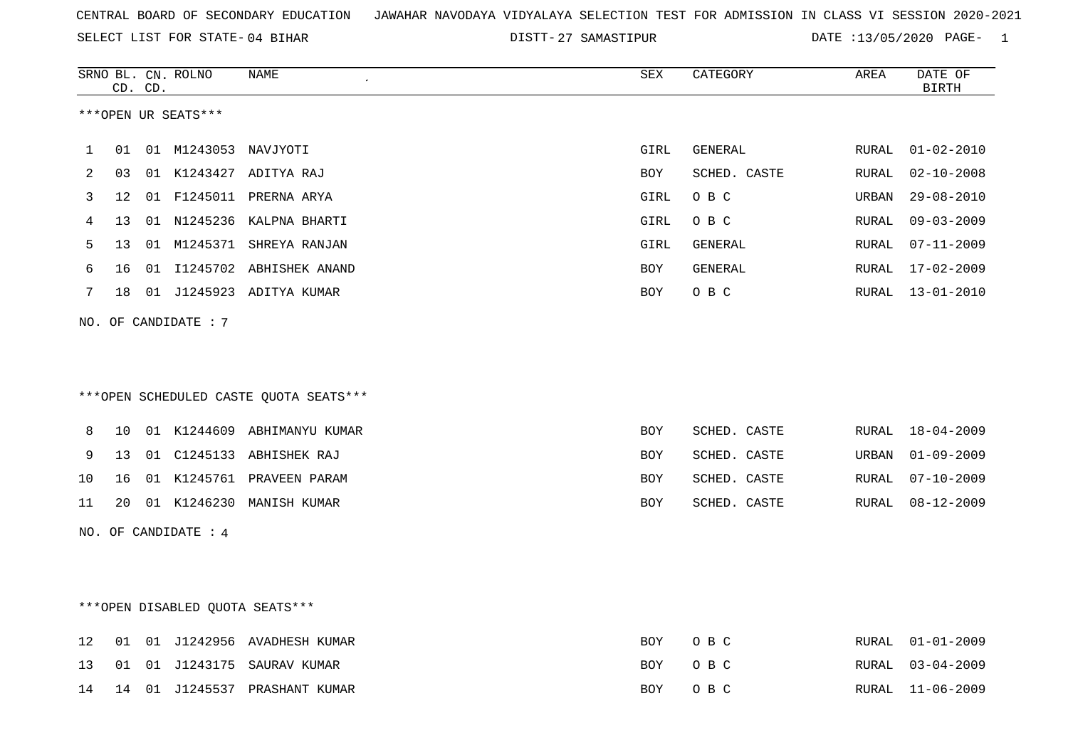SELECT LIST FOR STATE- DISTT- 04 BIHAR

DISTT-27 SAMASTIPUR DATE :13/05/2020 PAGE- 1

|     | CD. | CD. | SRNO BL. CN. ROLNO   | NAME                                   | SEX        | CATEGORY     | AREA  | DATE OF<br><b>BIRTH</b> |
|-----|-----|-----|----------------------|----------------------------------------|------------|--------------|-------|-------------------------|
|     |     |     | ***OPEN UR SEATS***  |                                        |            |              |       |                         |
| 1   | 01  |     | 01 M1243053 NAVJYOTI |                                        | GIRL       | GENERAL      | RURAL | $01 - 02 - 2010$        |
| 2   | 03  |     |                      | 01 K1243427 ADITYA RAJ                 | BOY        | SCHED. CASTE | RURAL | $02 - 10 - 2008$        |
| 3   | 12  | 01  |                      | F1245011 PRERNA ARYA                   | GIRL       | O B C        | URBAN | $29 - 08 - 2010$        |
| 4   | 13  |     | 01 N1245236          | KALPNA BHARTI                          | GIRL       | O B C        | RURAL | $09 - 03 - 2009$        |
| 5   | 13  | 01  |                      | M1245371 SHREYA RANJAN                 | GIRL       | GENERAL      | RURAL | $07 - 11 - 2009$        |
| 6   | 16  | 01  |                      | I1245702 ABHISHEK ANAND                | BOY        | GENERAL      | RURAL | $17 - 02 - 2009$        |
| 7   | 18  |     |                      | 01 J1245923 ADITYA KUMAR               | BOY        | O B C        | RURAL | $13 - 01 - 2010$        |
|     |     |     | NO. OF CANDIDATE : 7 | ***OPEN SCHEDULED CASTE QUOTA SEATS*** |            |              |       |                         |
|     |     |     |                      |                                        |            |              |       |                         |
| 8   | 10  |     | 01 K1244609          | ABHIMANYU KUMAR                        | <b>BOY</b> | SCHED. CASTE | RURAL | $18 - 04 - 2009$        |
| 9   | 13  | 01  |                      | C1245133 ABHISHEK RAJ                  | BOY        | SCHED. CASTE | URBAN | $01 - 09 - 2009$        |
| 10  | 16  |     |                      | 01 K1245761 PRAVEEN PARAM              | BOY        | SCHED. CASTE | RURAL | $07 - 10 - 2009$        |
| 11  | 20  |     |                      | 01 K1246230 MANISH KUMAR               | BOY        | SCHED. CASTE | RURAL | $08 - 12 - 2009$        |
| NO. |     |     | OF CANDIDATE : 4     |                                        |            |              |       |                         |
|     |     |     |                      | ***OPEN DISABLED QUOTA SEATS***        |            |              |       |                         |
| 12  | 01  |     |                      | 01 J1242956 AVADHESH KUMAR             | BOY        | O B C        | RURAL | $01 - 01 - 2009$        |
| 13  | 01  | 01  | J1243175             | SAURAV KUMAR                           | <b>BOY</b> | O B C        | RURAL | $03 - 04 - 2009$        |
| 14  | 14  |     |                      | 01 J1245537 PRASHANT KUMAR             | BOY        | O B C        | RURAL | $11 - 06 - 2009$        |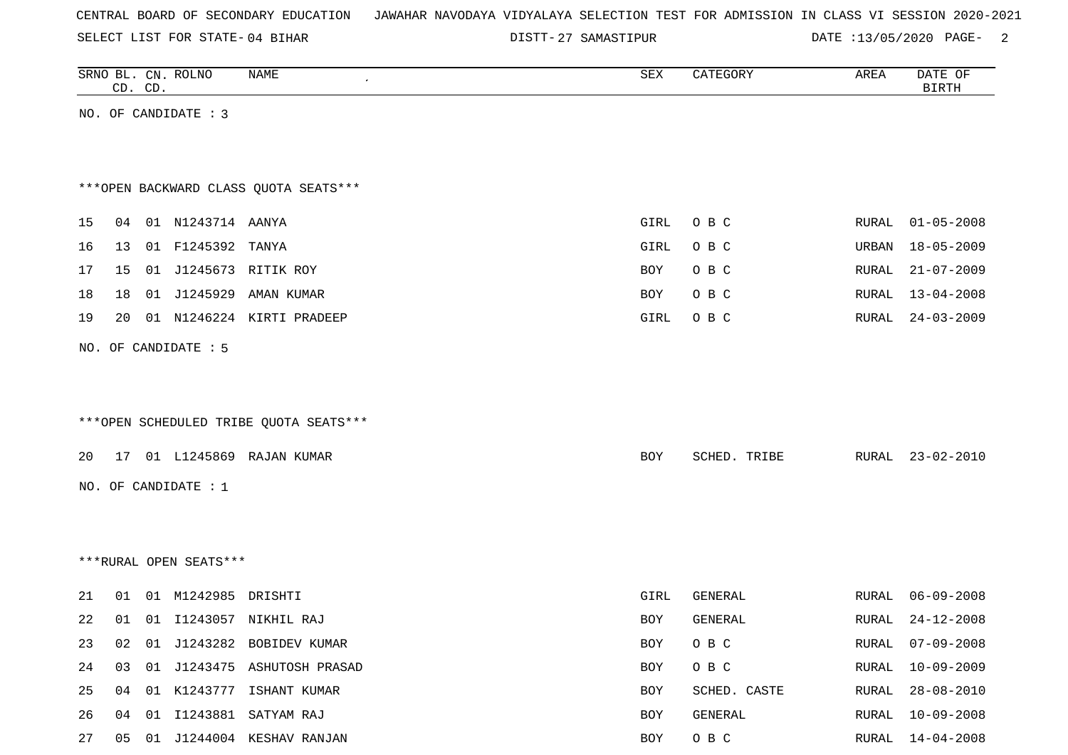| CENTRAL BOARD OF SECONDARY EDUCATION – JAWAHAR NAVODAYA VIDYALAYA SELECTION TEST FOR ADMISSION IN CLASS VI SESSION 2020-2021 |  |  |  |  |
|------------------------------------------------------------------------------------------------------------------------------|--|--|--|--|
|------------------------------------------------------------------------------------------------------------------------------|--|--|--|--|

DISTT-27 SAMASTIPUR DATE :13/05/2020 PAGE- 2

|    |    | CD. CD. | SRNO BL. CN. ROLNO     | NAME                                   | SEX  | CATEGORY     | AREA  | DATE OF<br><b>BIRTH</b> |
|----|----|---------|------------------------|----------------------------------------|------|--------------|-------|-------------------------|
|    |    |         | NO. OF CANDIDATE : 3   |                                        |      |              |       |                         |
|    |    |         |                        |                                        |      |              |       |                         |
|    |    |         |                        |                                        |      |              |       |                         |
|    |    |         |                        | *** OPEN BACKWARD CLASS QUOTA SEATS*** |      |              |       |                         |
| 15 | 04 |         | 01 N1243714 AANYA      |                                        | GIRL | O B C        | RURAL | $01 - 05 - 2008$        |
| 16 | 13 |         | 01 F1245392            | TANYA                                  | GIRL | O B C        | URBAN | $18 - 05 - 2009$        |
| 17 | 15 |         |                        | 01 J1245673 RITIK ROY                  | BOY  | O B C        | RURAL | $21 - 07 - 2009$        |
| 18 | 18 |         | 01 J1245929            | AMAN KUMAR                             | BOY  | O B C        | RURAL | $13 - 04 - 2008$        |
| 19 | 20 |         |                        | 01 N1246224 KIRTI PRADEEP              | GIRL | O B C        | RURAL | $24 - 03 - 2009$        |
|    |    |         | NO. OF CANDIDATE : 5   |                                        |      |              |       |                         |
|    |    |         |                        |                                        |      |              |       |                         |
|    |    |         |                        |                                        |      |              |       |                         |
|    |    |         |                        | ***OPEN SCHEDULED TRIBE QUOTA SEATS*** |      |              |       |                         |
| 20 | 17 |         |                        | 01 L1245869 RAJAN KUMAR                | BOY  | SCHED. TRIBE | RURAL | $23 - 02 - 2010$        |
|    |    |         |                        |                                        |      |              |       |                         |
|    |    |         | NO. OF CANDIDATE : 1   |                                        |      |              |       |                         |
|    |    |         |                        |                                        |      |              |       |                         |
|    |    |         |                        |                                        |      |              |       |                         |
|    |    |         | ***RURAL OPEN SEATS*** |                                        |      |              |       |                         |
| 21 | 01 |         | 01 M1242985            | DRISHTI                                | GIRL | GENERAL      | RURAL | $06 - 09 - 2008$        |
| 22 | 01 |         |                        | 01 I1243057 NIKHIL RAJ                 | BOY  | GENERAL      | RURAL | $24 - 12 - 2008$        |
| 23 | 02 |         |                        | 01 J1243282 BOBIDEV KUMAR              | BOY  | O B C        | RURAL | $07 - 09 - 2008$        |
| 24 | 03 |         |                        | 01 J1243475 ASHUTOSH PRASAD            | BOY  | O B C        | RURAL | $10 - 09 - 2009$        |
| 25 | 04 |         |                        | 01 K1243777 ISHANT KUMAR               | BOY  | SCHED. CASTE | RURAL | $28 - 08 - 2010$        |
| 26 | 04 |         |                        | 01 I1243881 SATYAM RAJ                 | BOY  | GENERAL      | RURAL | $10 - 09 - 2008$        |
| 27 |    |         |                        | 05 01 J1244004 KESHAV RANJAN           | BOY  | O B C        |       | RURAL 14-04-2008        |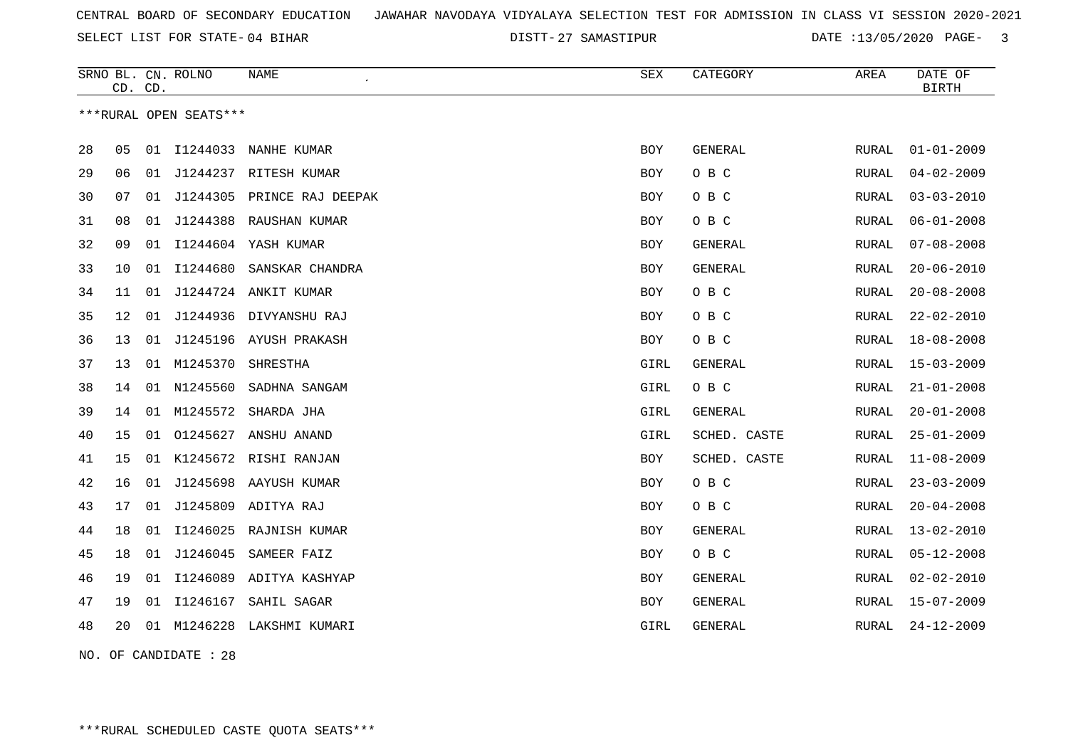DISTT-27 SAMASTIPUR DATE :13/05/2020 PAGE- 3

|    | CD. CD. |    | SRNO BL. CN. ROLNO     | NAME                       | <b>SEX</b> | CATEGORY       | AREA         | DATE OF<br><b>BIRTH</b> |
|----|---------|----|------------------------|----------------------------|------------|----------------|--------------|-------------------------|
|    |         |    | ***RURAL OPEN SEATS*** |                            |            |                |              |                         |
| 28 | 05      | 01 | I1244033               | NANHE KUMAR                | <b>BOY</b> | <b>GENERAL</b> | RURAL        | $01 - 01 - 2009$        |
| 29 | 06      | 01 |                        | J1244237 RITESH KUMAR      | <b>BOY</b> | O B C          | RURAL        | $04 - 02 - 2009$        |
| 30 | 07      | 01 |                        | J1244305 PRINCE RAJ DEEPAK | BOY        | O B C          | RURAL        | $03 - 03 - 2010$        |
| 31 | 08      | 01 |                        | J1244388 RAUSHAN KUMAR     | <b>BOY</b> | O B C          | <b>RURAL</b> | $06 - 01 - 2008$        |
| 32 | 09      | 01 |                        | I1244604 YASH KUMAR        | BOY        | <b>GENERAL</b> | RURAL        | $07 - 08 - 2008$        |
| 33 | 10      | 01 | I1244680               | SANSKAR CHANDRA            | <b>BOY</b> | <b>GENERAL</b> | RURAL        | $20 - 06 - 2010$        |
| 34 | 11      | 01 |                        | J1244724 ANKIT KUMAR       | <b>BOY</b> | O B C          | RURAL        | $20 - 08 - 2008$        |
| 35 | 12      |    |                        | 01 J1244936 DIVYANSHU RAJ  | <b>BOY</b> | O B C          | <b>RURAL</b> | $22 - 02 - 2010$        |
| 36 | 13      |    |                        | 01 J1245196 AYUSH PRAKASH  | BOY        | O B C          | RURAL        | $18 - 08 - 2008$        |
| 37 | 13      |    | 01 M1245370            | SHRESTHA                   | GIRL       | GENERAL        | RURAL        | $15 - 03 - 2009$        |
| 38 | 14      | 01 | N1245560               | SADHNA SANGAM              | GIRL       | O B C          | <b>RURAL</b> | $21 - 01 - 2008$        |
| 39 | 14      | 01 | M1245572               | SHARDA JHA                 | GIRL       | GENERAL        | RURAL        | $20 - 01 - 2008$        |
| 40 | 15      | 01 | 01245627               | ANSHU ANAND                | GIRL       | SCHED. CASTE   | RURAL        | $25 - 01 - 2009$        |
| 41 | 15      |    |                        | 01 K1245672 RISHI RANJAN   | <b>BOY</b> | SCHED. CASTE   | RURAL        | $11 - 08 - 2009$        |
| 42 | 16      | 01 |                        | J1245698 AAYUSH KUMAR      | <b>BOY</b> | O B C          | <b>RURAL</b> | $23 - 03 - 2009$        |
| 43 | 17      |    |                        | 01 J1245809 ADITYA RAJ     | <b>BOY</b> | O B C          | RURAL        | $20 - 04 - 2008$        |
| 44 | 18      | 01 | I1246025               | RAJNISH KUMAR              | <b>BOY</b> | GENERAL        | <b>RURAL</b> | $13 - 02 - 2010$        |
| 45 | 18      | 01 | J1246045               | SAMEER FAIZ                | BOY        | O B C          | RURAL        | $05 - 12 - 2008$        |
| 46 | 19      | 01 | I1246089               | ADITYA KASHYAP             | <b>BOY</b> | GENERAL        | RURAL        | $02 - 02 - 2010$        |
| 47 | 19      | 01 | I1246167               | SAHIL SAGAR                | <b>BOY</b> | GENERAL        | RURAL        | $15 - 07 - 2009$        |
| 48 | 20      |    | 01 M1246228            | LAKSHMI KUMARI             | GIRL       | GENERAL        | RURAL        | $24 - 12 - 2009$        |
|    |         |    |                        |                            |            |                |              |                         |

NO. OF CANDIDATE : 28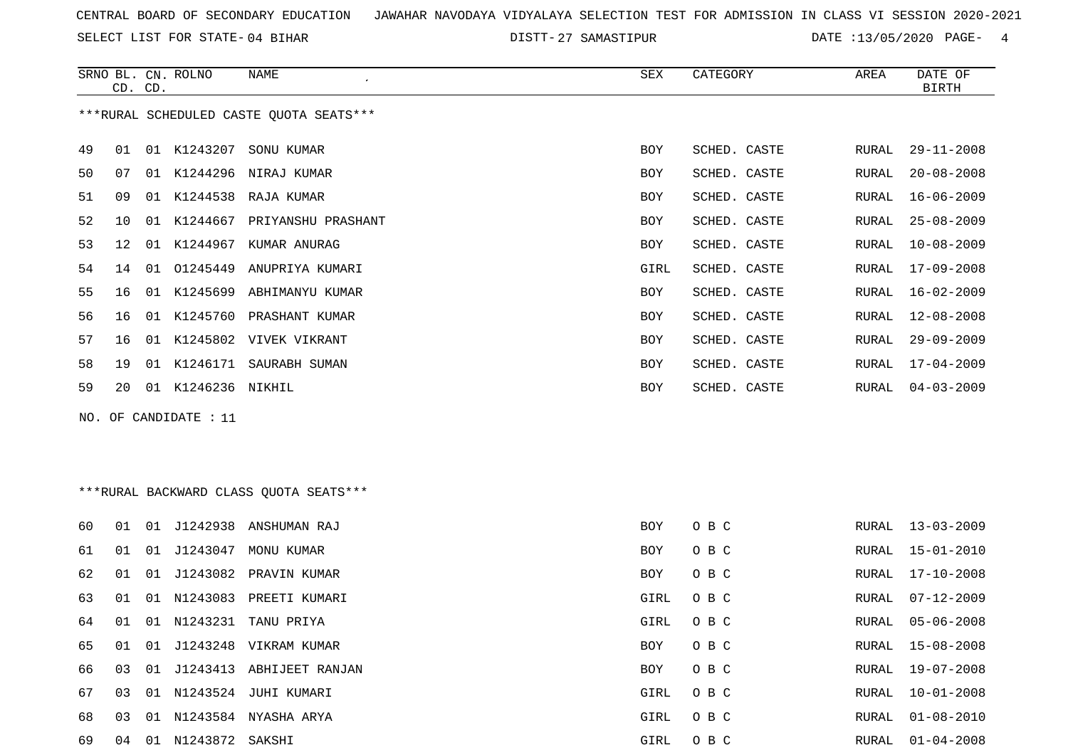SELECT LIST FOR STATE- DISTT- 04 BIHAR

DISTT-27 SAMASTIPUR DATE :13/05/2020 PAGE- 4

|    |                                         | CD. CD. | SRNO BL. CN. ROLNO | NAME<br>$\epsilon$          | SEX        | CATEGORY     | AREA  | DATE OF<br><b>BIRTH</b> |  |  |  |
|----|-----------------------------------------|---------|--------------------|-----------------------------|------------|--------------|-------|-------------------------|--|--|--|
|    | ***RURAL SCHEDULED CASTE OUOTA SEATS*** |         |                    |                             |            |              |       |                         |  |  |  |
| 49 | 01                                      |         | 01 K1243207        | SONU KUMAR                  | <b>BOY</b> | SCHED. CASTE | RURAL | $29 - 11 - 2008$        |  |  |  |
| 50 | 07                                      |         |                    | 01 K1244296 NIRAJ KUMAR     | BOY        | SCHED. CASTE | RURAL | $20 - 08 - 2008$        |  |  |  |
| 51 | 09                                      | 01      | K1244538           | RAJA KUMAR                  | <b>BOY</b> | SCHED. CASTE | RURAL | $16 - 06 - 2009$        |  |  |  |
| 52 | 10                                      |         | 01 K1244667        | PRIYANSHU PRASHANT          | <b>BOY</b> | SCHED. CASTE | RURAL | 25-08-2009              |  |  |  |
| 53 | 12                                      | 01      | K1244967           | KUMAR ANURAG                | <b>BOY</b> | SCHED. CASTE | RURAL | $10 - 08 - 2009$        |  |  |  |
| 54 | 14                                      | 01      | 01245449           | ANUPRIYA KUMARI             | GIRL       | SCHED. CASTE | RURAL | 17-09-2008              |  |  |  |
| 55 | 16                                      |         |                    | 01 K1245699 ABHIMANYU KUMAR | <b>BOY</b> | SCHED. CASTE | RURAL | 16-02-2009              |  |  |  |
| 56 | 16                                      | 01      |                    | K1245760 PRASHANT KUMAR     | <b>BOY</b> | SCHED. CASTE | RURAL | $12 - 08 - 2008$        |  |  |  |
| 57 | 16                                      |         |                    | 01 K1245802 VIVEK VIKRANT   | <b>BOY</b> | SCHED. CASTE | RURAL | $29 - 09 - 2009$        |  |  |  |
| 58 | 19                                      | 01      | K1246171           | SAURABH SUMAN               | <b>BOY</b> | SCHED. CASTE | RURAL | $17 - 04 - 2009$        |  |  |  |
| 59 | 20                                      |         | 01 K1246236 NIKHIL |                             | <b>BOY</b> | SCHED. CASTE | RURAL | $04 - 03 - 2009$        |  |  |  |

NO. OF CANDIDATE : 11

# \*\*\*RURAL BACKWARD CLASS QUOTA SEATS\*\*\*

| 60 | 01 | 01 | J1242938        | ANSHUMAN RAJ          | BOY  | O B C | RURAL | $13 - 03 - 2009$ |
|----|----|----|-----------------|-----------------------|------|-------|-------|------------------|
| 61 | 01 | 01 | J1243047        | MONU KUMAR            | BOY  | O B C |       | RURAL 15-01-2010 |
| 62 | 01 | 01 |                 | J1243082 PRAVIN KUMAR | BOY  | O B C | RURAL | $17 - 10 - 2008$ |
| 63 | 01 | 01 | N1243083        | PREETI KUMARI         | GIRL | O B C | RURAL | 07-12-2009       |
| 64 | 01 | 01 | N1243231        | TANU PRIYA            | GIRL | O B C | RURAL | 05-06-2008       |
| 65 | 01 | 01 |                 | J1243248 VIKRAM KUMAR | BOY  | O B C |       | RURAL 15-08-2008 |
| 66 | 03 | 01 | J1243413        | ABHIJEET RANJAN       | BOY  | O B C | RURAL | 19-07-2008       |
| 67 | 03 | 01 | N1243524        | JUHI KUMARI           | GIRL | O B C | RURAL | $10 - 01 - 2008$ |
| 68 | 03 | 01 | N1243584        | NYASHA ARYA           | GIRL | O B C | RURAL | $01 - 08 - 2010$ |
| 69 | 04 | 01 | N1243872 SAKSHI |                       | GIRL | O B C | RURAL | $01 - 04 - 2008$ |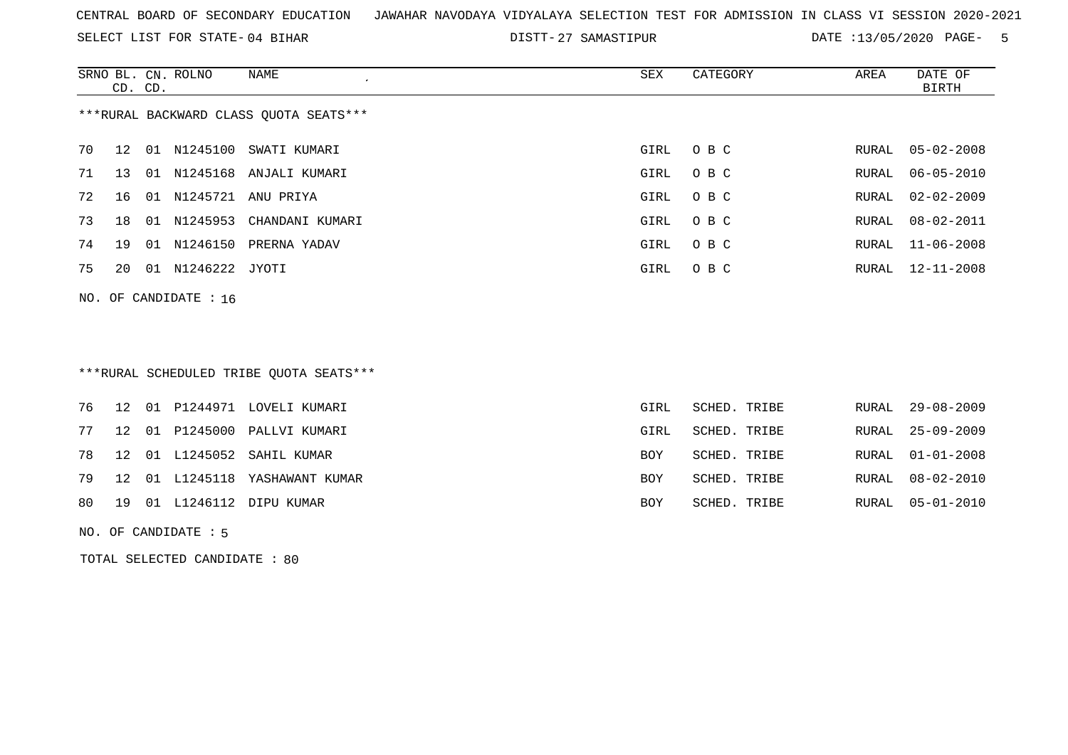SELECT LIST FOR STATE- DISTT- 04 BIHAR

DISTT-27 SAMASTIPUR DATE :13/05/2020 PAGE- 5

|                                        | CD. CD.         |    | SRNO BL. CN. ROLNO | NAME<br>$\lambda$      | SEX  | CATEGORY | AREA  | DATE OF<br>BIRTH |  |
|----------------------------------------|-----------------|----|--------------------|------------------------|------|----------|-------|------------------|--|
| ***RURAL BACKWARD CLASS OUOTA SEATS*** |                 |    |                    |                        |      |          |       |                  |  |
| 70                                     | 12              | 01 |                    | N1245100 SWATI KUMARI  | GIRL | O B C    |       | RURAL 05-02-2008 |  |
| 71                                     | 13 <sup>1</sup> | 01 |                    | N1245168 ANJALI KUMARI | GIRL | O B C    | RURAL | $06 - 05 - 2010$ |  |
| 72                                     | 16              | 01 | N1245721           | ANU PRIYA              | GIRL | O B C    | RURAL | 02-02-2009       |  |
| 73                                     | 18              | 01 | N1245953           | CHANDANI KUMARI        | GIRL | O B C    | RURAL | 08-02-2011       |  |
| 74                                     | 19              | 01 | N1246150           | PRERNA YADAV           | GIRL | O B C    |       | RURAL 11-06-2008 |  |
| 75                                     | 20              | 01 | N1246222 JYOTI     |                        | GIRL | O B C    |       | RURAL 12-11-2008 |  |
|                                        |                 |    |                    |                        |      |          |       |                  |  |

NO. OF CANDIDATE : 16

## \*\*\*RURAL SCHEDULED TRIBE QUOTA SEATS\*\*\*

|  |  | 76 12 01 P1244971 LOVELI KUMARI   | GIRL | SCHED. TRIBE | RURAL 29-08-2009 |
|--|--|-----------------------------------|------|--------------|------------------|
|  |  | 77 12 01 P1245000 PALLVI KUMARI   | GIRL | SCHED. TRIBE | RURAL 25-09-2009 |
|  |  | 78 12 01 L1245052 SAHIL KUMAR     | BOY  | SCHED. TRIBE | RURAL 01-01-2008 |
|  |  | 79 12 01 L1245118 YASHAWANT KUMAR | BOY  | SCHED. TRIBE | RURAL 08-02-2010 |
|  |  | 80 19 01 L1246112 DIPU KUMAR      | BOY  | SCHED. TRIBE | RURAL 05-01-2010 |
|  |  |                                   |      |              |                  |

#### NO. OF CANDIDATE : 5

TOTAL SELECTED CANDIDATE : 80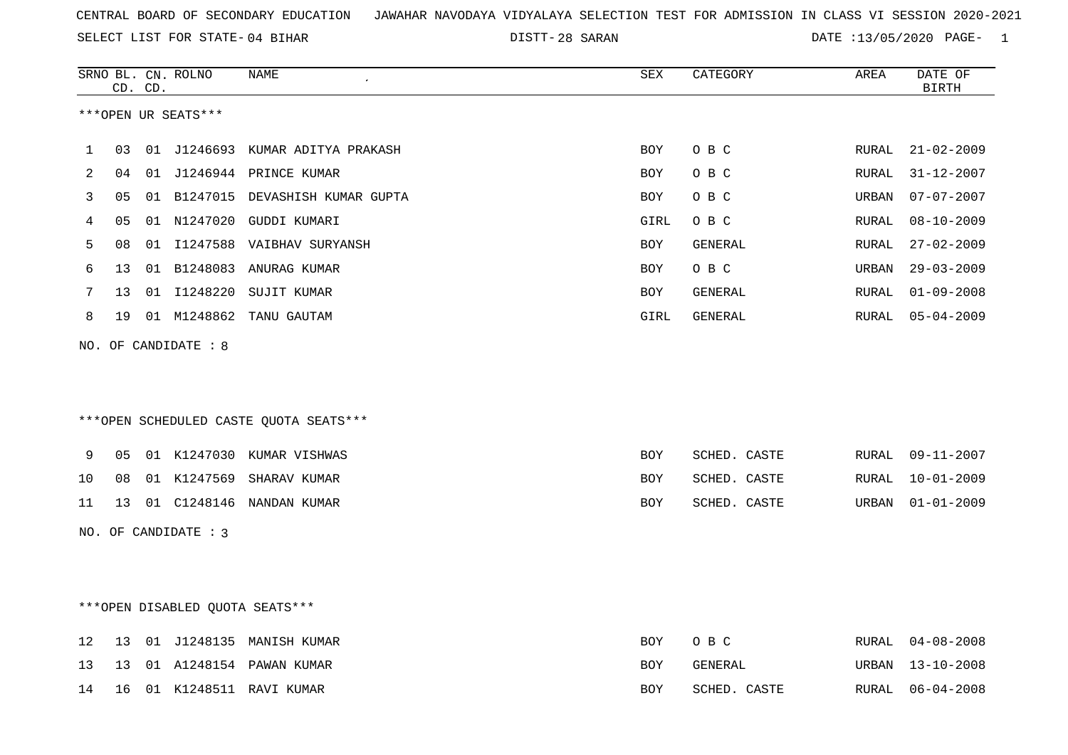28 SARAN DATE :13/05/2020 PAGE- 1

|     | CD. CD. | SRNO BL. CN. ROLNO   | NAME                                   | SEX        | CATEGORY     | AREA  | DATE OF<br><b>BIRTH</b> |
|-----|---------|----------------------|----------------------------------------|------------|--------------|-------|-------------------------|
|     |         | ***OPEN UR SEATS***  |                                        |            |              |       |                         |
| 1   | 03      |                      | 01 J1246693 KUMAR ADITYA PRAKASH       | BOY        | O B C        | RURAL | $21 - 02 - 2009$        |
| 2   | 04      |                      | 01 J1246944 PRINCE KUMAR               | <b>BOY</b> | O B C        | RURAL | $31 - 12 - 2007$        |
| 3   | 05      |                      | 01 B1247015 DEVASHISH KUMAR GUPTA      | <b>BOY</b> | O B C        | URBAN | $07 - 07 - 2007$        |
| 4   | 05      |                      | 01 N1247020 GUDDI KUMARI               | GIRL       | O B C        | RURAL | $08 - 10 - 2009$        |
| 5   | 08      |                      | 01 I1247588 VAIBHAV SURYANSH           | BOY        | GENERAL      | RURAL | $27 - 02 - 2009$        |
| 6   | 13      |                      | 01 B1248083 ANURAG KUMAR               | BOY        | O B C        | URBAN | $29 - 03 - 2009$        |
| 7   | 13      |                      | 01 I1248220 SUJIT KUMAR                | BOY        | GENERAL      | RURAL | $01 - 09 - 2008$        |
| 8   | 19      |                      | 01 M1248862 TANU GAUTAM                | GIRL       | GENERAL      | RURAL | $05 - 04 - 2009$        |
| NO. |         | OF CANDIDATE : 8     | ***OPEN SCHEDULED CASTE QUOTA SEATS*** |            |              |       |                         |
| 9   | 05      |                      | 01 K1247030 KUMAR VISHWAS              | <b>BOY</b> | SCHED. CASTE | RURAL | $09 - 11 - 2007$        |
| 10  | 08      |                      | 01 K1247569 SHARAV KUMAR               | <b>BOY</b> | SCHED. CASTE | RURAL | $10 - 01 - 2009$        |
| 11  | 13      |                      | 01 C1248146 NANDAN KUMAR               | <b>BOY</b> | SCHED. CASTE | URBAN | $01 - 01 - 2009$        |
|     |         | NO. OF CANDIDATE : 3 |                                        |            |              |       |                         |
|     |         |                      | ***OPEN DISABLED OUOTA SEATS***        |            |              |       |                         |
| 12  | 13      |                      | 01 J1248135 MANISH KUMAR               | <b>BOY</b> | O B C        | RURAL | $04 - 08 - 2008$        |
| 13  | 13      |                      | 01 A1248154 PAWAN KUMAR                | BOY        | GENERAL      | URBAN | $13 - 10 - 2008$        |
| 14  | 16      |                      | 01 K1248511 RAVI KUMAR                 | <b>BOY</b> | SCHED. CASTE | RURAL | $06 - 04 - 2008$        |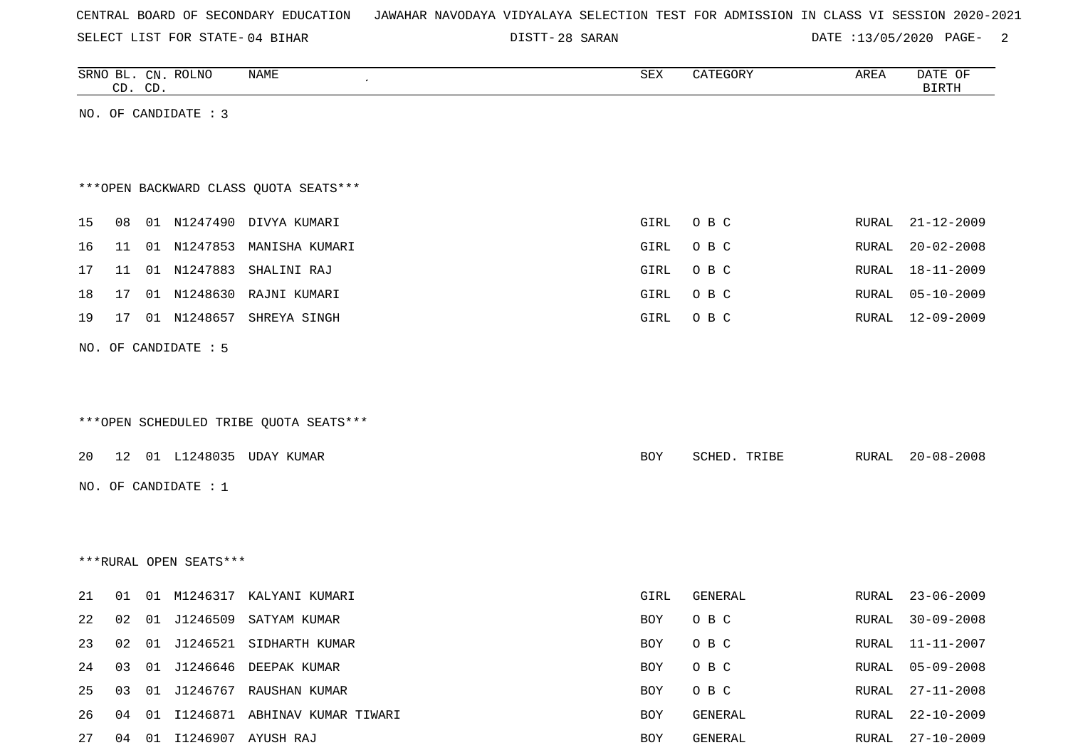| CENTRAL BOARD OF SECONDARY EDUCATION – JAWAHAR NAVODAYA VIDYALAYA SELECTION TEST FOR ADMISSION IN CLASS VI SESSION 2020-2021 |  |
|------------------------------------------------------------------------------------------------------------------------------|--|
|------------------------------------------------------------------------------------------------------------------------------|--|

DISTT-28 SARAN DATE :13/05/2020 PAGE- 2

|    |    | CD. CD. | SRNO BL. CN. ROLNO     | NAME                                   | ${\tt SEX}$ | CATEGORY     | AREA  | DATE OF<br><b>BIRTH</b> |
|----|----|---------|------------------------|----------------------------------------|-------------|--------------|-------|-------------------------|
|    |    |         | NO. OF CANDIDATE : 3   |                                        |             |              |       |                         |
|    |    |         |                        |                                        |             |              |       |                         |
|    |    |         |                        |                                        |             |              |       |                         |
|    |    |         |                        | *** OPEN BACKWARD CLASS QUOTA SEATS*** |             |              |       |                         |
|    |    |         |                        |                                        |             |              |       |                         |
| 15 | 08 |         |                        | 01 N1247490 DIVYA KUMARI               | GIRL        | O B C        | RURAL | $21 - 12 - 2009$        |
| 16 | 11 |         | 01 N1247853            | MANISHA KUMARI                         | GIRL        | O B C        | RURAL | $20 - 02 - 2008$        |
| 17 | 11 |         |                        | 01 N1247883 SHALINI RAJ                | GIRL        | O B C        | RURAL | 18-11-2009              |
| 18 | 17 |         | 01 N1248630            | RAJNI KUMARI                           | GIRL        | O B C        | RURAL | $05 - 10 - 2009$        |
| 19 | 17 |         | 01 N1248657            | SHREYA SINGH                           | GIRL        | O B C        | RURAL | $12 - 09 - 2009$        |
|    |    |         | NO. OF CANDIDATE : 5   |                                        |             |              |       |                         |
|    |    |         |                        |                                        |             |              |       |                         |
|    |    |         |                        |                                        |             |              |       |                         |
|    |    |         |                        | ***OPEN SCHEDULED TRIBE QUOTA SEATS*** |             |              |       |                         |
|    |    |         |                        |                                        |             |              |       |                         |
| 20 |    |         |                        | 12 01 L1248035 UDAY KUMAR              | BOY         | SCHED. TRIBE | RURAL | $20 - 08 - 2008$        |
|    |    |         | NO. OF CANDIDATE : 1   |                                        |             |              |       |                         |
|    |    |         |                        |                                        |             |              |       |                         |
|    |    |         |                        |                                        |             |              |       |                         |
|    |    |         | ***RURAL OPEN SEATS*** |                                        |             |              |       |                         |
|    |    |         |                        |                                        |             |              |       |                         |
| 21 | 01 |         |                        | 01 M1246317 KALYANI KUMARI             | GIRL        | GENERAL      | RURAL | $23 - 06 - 2009$        |
| 22 | 02 |         |                        | 01 J1246509 SATYAM KUMAR               | BOY         | O B C        | RURAL | $30 - 09 - 2008$        |
| 23 | 02 |         |                        | 01 J1246521 SIDHARTH KUMAR             | BOY         | O B C        | RURAL | $11 - 11 - 2007$        |
| 24 | 03 | 01      |                        | J1246646 DEEPAK KUMAR                  | BOY         | O B C        | RURAL | $05 - 09 - 2008$        |
| 25 | 03 |         |                        | 01 J1246767 RAUSHAN KUMAR              | BOY         | O B C        | RURAL | $27 - 11 - 2008$        |
| 26 | 04 | 01      |                        | I1246871 ABHINAV KUMAR TIWARI          | BOY         | GENERAL      | RURAL | $22 - 10 - 2009$        |
| 27 |    |         |                        | 04 01 I1246907 AYUSH RAJ               | BOY         | GENERAL      | RURAL | $27 - 10 - 2009$        |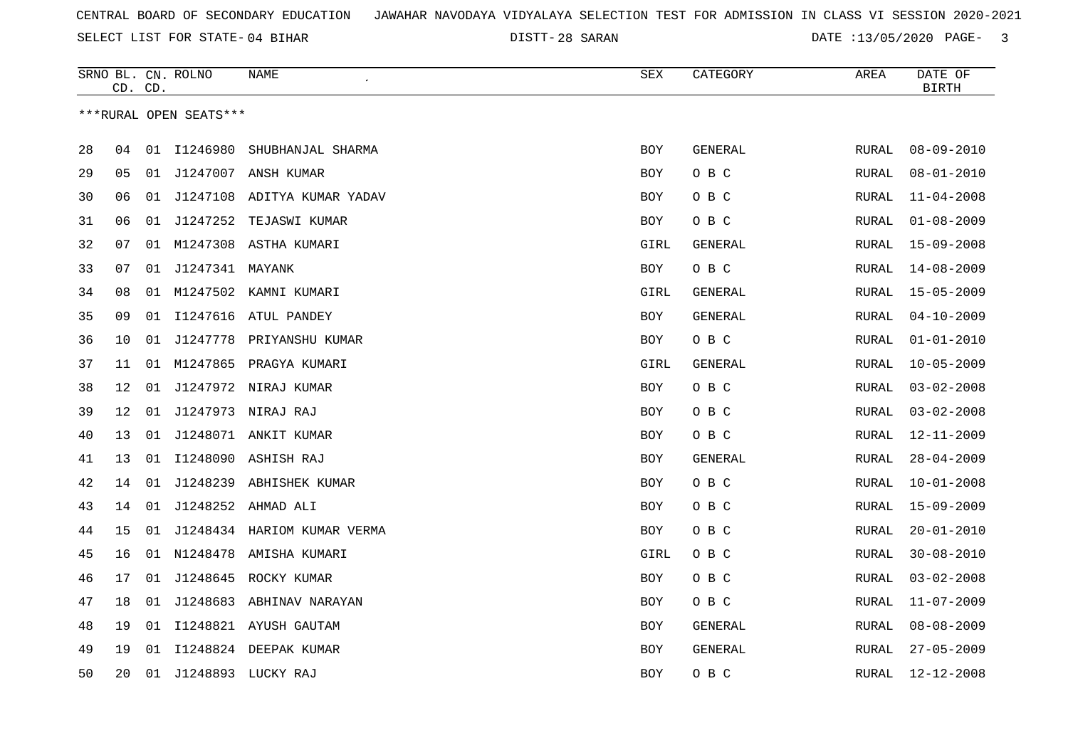28 SARAN DATE :13/05/2020 PAGE- 3

|    |    | CD. CD. | SRNO BL. CN. ROLNO     | NAME<br>$\epsilon$          | SEX        | CATEGORY       | AREA         | DATE OF<br><b>BIRTH</b> |
|----|----|---------|------------------------|-----------------------------|------------|----------------|--------------|-------------------------|
|    |    |         | ***RURAL OPEN SEATS*** |                             |            |                |              |                         |
|    |    |         |                        |                             |            |                |              |                         |
| 28 | 04 |         | 01 11246980            | SHUBHANJAL SHARMA           | <b>BOY</b> | GENERAL        | RURAL        | $08 - 09 - 2010$        |
| 29 | 05 |         |                        | 01 J1247007 ANSH KUMAR      | BOY        | O B C          | RURAL        | $08 - 01 - 2010$        |
| 30 | 06 | 01      |                        | J1247108 ADITYA KUMAR YADAV | <b>BOY</b> | O B C          | RURAL        | $11 - 04 - 2008$        |
| 31 | 06 | 01      | J1247252               | TEJASWI KUMAR               | BOY        | O B C          | RURAL        | $01 - 08 - 2009$        |
| 32 | 07 | 01      |                        | M1247308 ASTHA KUMARI       | GIRL       | GENERAL        | <b>RURAL</b> | $15 - 09 - 2008$        |
| 33 | 07 |         | 01 J1247341 MAYANK     |                             | <b>BOY</b> | O B C          | RURAL        | $14 - 08 - 2009$        |
| 34 | 08 |         |                        | 01 M1247502 KAMNI KUMARI    | GIRL       | GENERAL        | RURAL        | $15 - 05 - 2009$        |
| 35 | 09 | 01      | I1247616               | ATUL PANDEY                 | <b>BOY</b> | GENERAL        | RURAL        | $04 - 10 - 2009$        |
| 36 | 10 | 01      |                        | J1247778 PRIYANSHU KUMAR    | <b>BOY</b> | O B C          | RURAL        | $01 - 01 - 2010$        |
| 37 | 11 | 01      | M1247865               | PRAGYA KUMARI               | GIRL       | GENERAL        | RURAL        | $10 - 05 - 2009$        |
| 38 | 12 | 01      |                        | J1247972 NIRAJ KUMAR        | <b>BOY</b> | O B C          | RURAL        | $03 - 02 - 2008$        |
| 39 | 12 | 01      |                        | J1247973 NIRAJ RAJ          | BOY        | O B C          | RURAL        | $03 - 02 - 2008$        |
| 40 | 13 |         |                        | 01 J1248071 ANKIT KUMAR     | BOY        | O B C          | RURAL        | $12 - 11 - 2009$        |
| 41 | 13 | 01      |                        | I1248090 ASHISH RAJ         | <b>BOY</b> | <b>GENERAL</b> | RURAL        | $28 - 04 - 2009$        |
| 42 | 14 | 01      |                        | J1248239 ABHISHEK KUMAR     | <b>BOY</b> | O B C          | RURAL        | $10 - 01 - 2008$        |
| 43 | 14 |         |                        | 01 J1248252 AHMAD ALI       | BOY        | O B C          | RURAL        | $15 - 09 - 2009$        |
| 44 | 15 | 01      |                        | J1248434 HARIOM KUMAR VERMA | BOY        | O B C          | RURAL        | $20 - 01 - 2010$        |
| 45 | 16 |         |                        | 01 N1248478 AMISHA KUMARI   | GIRL       | O B C          | RURAL        | $30 - 08 - 2010$        |
| 46 | 17 | 01      |                        | J1248645 ROCKY KUMAR        | <b>BOY</b> | O B C          | RURAL        | $03 - 02 - 2008$        |
| 47 | 18 | 01      |                        | J1248683 ABHINAV NARAYAN    | <b>BOY</b> | O B C          | RURAL        | $11 - 07 - 2009$        |
| 48 | 19 | 01      |                        | I1248821 AYUSH GAUTAM       | BOY        | GENERAL        | RURAL        | $08 - 08 - 2009$        |
| 49 | 19 | 01      |                        | I1248824 DEEPAK KUMAR       | BOY        | GENERAL        | RURAL        | $27 - 05 - 2009$        |
| 50 | 20 | 01      |                        | J1248893 LUCKY RAJ          | <b>BOY</b> | O B C          | RURAL        | $12 - 12 - 2008$        |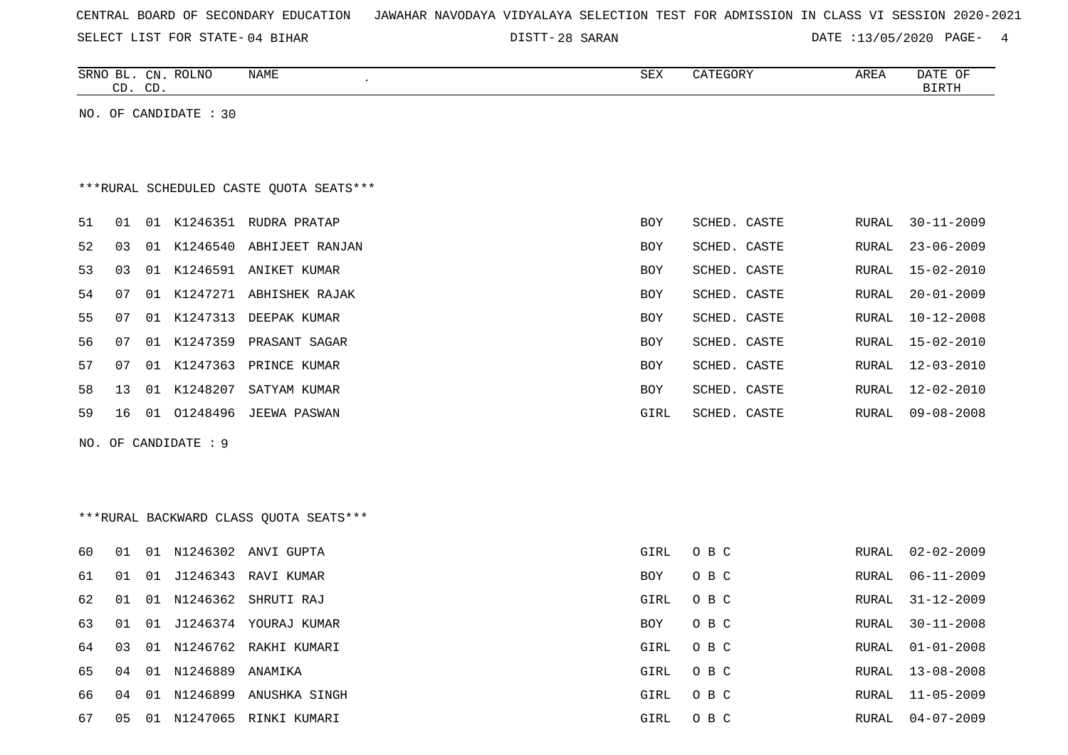|  |  |  |  | CENTRAL BOARD OF SECONDARY EDUCATION – JAWAHAR NAVODAYA VIDYALAYA SELECTION TEST FOR ADMISSION IN CLASS VI SESSION 2020-2021 |  |  |  |  |  |  |  |  |  |  |  |  |  |  |
|--|--|--|--|------------------------------------------------------------------------------------------------------------------------------|--|--|--|--|--|--|--|--|--|--|--|--|--|--|
|--|--|--|--|------------------------------------------------------------------------------------------------------------------------------|--|--|--|--|--|--|--|--|--|--|--|--|--|--|

28 SARAN DATE :13/05/2020 PAGE- 4

RURAL 31-12-2009

RURAL 30-11-2008

RURAL 01-01-2008

RURAL 13-08-2008

|    |         | UNITED TON DININ UT DINAN |                                         | ודבע בער די בידע |             |              | PHILE 7370372020 LINE |                         |
|----|---------|---------------------------|-----------------------------------------|------------------|-------------|--------------|-----------------------|-------------------------|
|    | CD. CD. | SRNO BL. CN. ROLNO        | NAME<br>$\epsilon$                      |                  | SEX         | CATEGORY     | AREA                  | DATE OF<br><b>BIRTH</b> |
|    |         | NO. OF CANDIDATE : 30     |                                         |                  |             |              |                       |                         |
|    |         |                           | ***RURAL SCHEDULED CASTE QUOTA SEATS*** |                  |             |              |                       |                         |
| 51 | 01      |                           | 01 K1246351 RUDRA PRATAP                |                  | <b>BOY</b>  | SCHED. CASTE | RURAL                 | $30 - 11 - 2009$        |
| 52 | 03      |                           | 01 K1246540 ABHIJEET RANJAN             |                  | <b>BOY</b>  | SCHED. CASTE | RURAL                 | $23 - 06 - 2009$        |
| 53 | 03      |                           | 01 K1246591 ANIKET KUMAR                |                  | <b>BOY</b>  | SCHED. CASTE | RURAL                 | 15-02-2010              |
| 54 | 07      |                           | 01 K1247271 ABHISHEK RAJAK              |                  | <b>BOY</b>  | SCHED. CASTE | RURAL                 | $20 - 01 - 2009$        |
| 55 | 07      |                           | 01 K1247313 DEEPAK KUMAR                |                  | <b>BOY</b>  | SCHED. CASTE | RURAL                 | $10 - 12 - 2008$        |
| 56 | 07      |                           | 01 K1247359 PRASANT SAGAR               |                  | <b>BOY</b>  | SCHED. CASTE | RURAL                 | 15-02-2010              |
| 57 | 07      |                           | 01 K1247363 PRINCE KUMAR                |                  | BOY         | SCHED. CASTE | RURAL                 | $12 - 03 - 2010$        |
| 58 | 13      | 01 K1248207               | SATYAM KUMAR                            |                  | BOY         | SCHED. CASTE | RURAL                 | $12 - 02 - 2010$        |
| 59 | 16      |                           | 01 01248496 JEEWA PASWAN                |                  | <b>GIRL</b> | SCHED. CASTE | RURAL                 | $09 - 08 - 2008$        |
|    |         | NO. OF CANDIDATE : 9      |                                         |                  |             |              |                       |                         |
|    |         |                           |                                         |                  |             |              |                       |                         |
|    |         |                           |                                         |                  |             |              |                       |                         |
|    |         |                           | *** RURAL BACKWARD CLASS QUOTA SEATS*** |                  |             |              |                       |                         |
| 60 | 01      |                           | 01 N1246302 ANVI GUPTA                  |                  | GIRL        | O B C        |                       | RURAL 02-02-2009        |
| 61 | 01      |                           | 01 J1246343 RAVI KUMAR                  |                  | BOY         | O B C        | RURAL                 | $06 - 11 - 2009$        |

|  |  | 66  04  01  N1246899  ANUSHKA SINGH | GIRL OBC |  | RURAL 11-05-2009 |
|--|--|-------------------------------------|----------|--|------------------|
|  |  | 67  05  01  N1247065  RINKI KUMARI  | GIRL OBC |  | RURAL 04-07-2009 |

64 03 01 N1246762 RAKHI KUMARI GIRL O B C

62 01 01 N1246362 SHRUTI RAJ GIRL O B C GIRL O B C

63 01 01 J1246374 YOURAJ KUMAR BOY O B C

65 04 01 N1246889 ANAMIKA GIRL O B C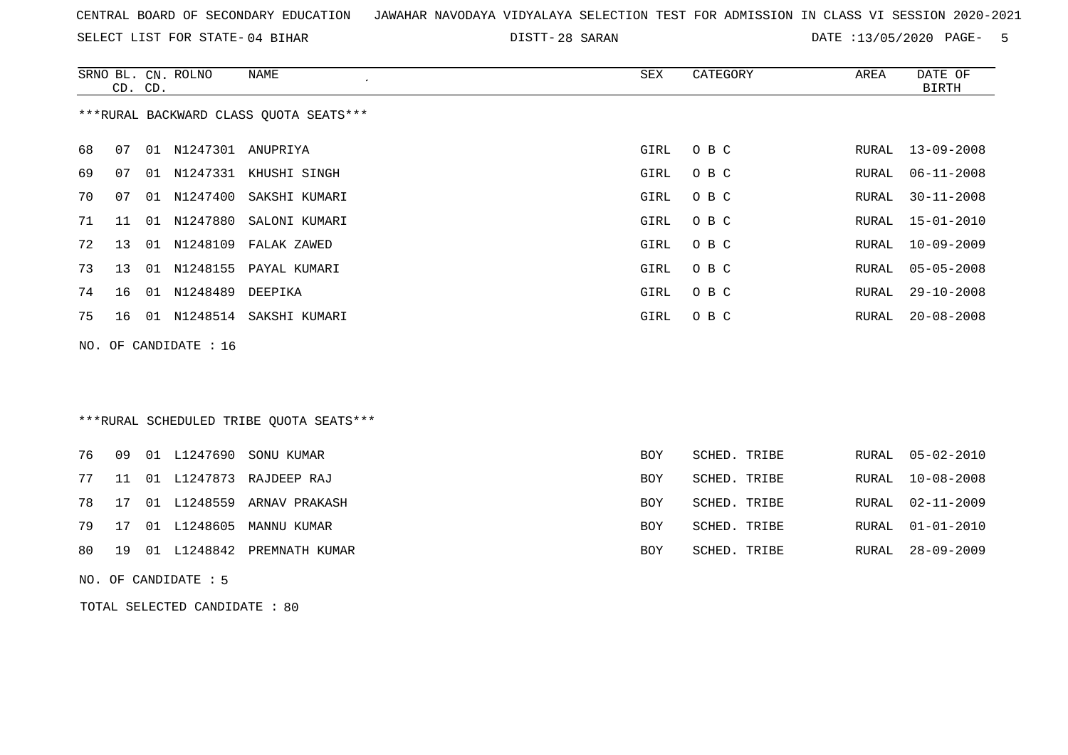SELECT LIST FOR STATE- DISTT- 04 BIHAR

28 SARAN DATE :13/05/2020 PAGE- 5

|    | CD. CD. |    | SRNO BL. CN. ROLNO    | <b>NAME</b><br>$\epsilon$               | <b>SEX</b> | CATEGORY     | AREA  | DATE OF<br><b>BIRTH</b> |
|----|---------|----|-----------------------|-----------------------------------------|------------|--------------|-------|-------------------------|
|    |         |    |                       | *** RURAL BACKWARD CLASS QUOTA SEATS*** |            |              |       |                         |
| 68 | 07      |    | 01 N1247301 ANUPRIYA  |                                         | GIRL       | O B C        | RURAL | $13 - 09 - 2008$        |
| 69 | 07      |    |                       | 01 N1247331 KHUSHI SINGH                | GIRL       | O B C        | RURAL | $06 - 11 - 2008$        |
| 70 | 07      |    | 01 N1247400           | SAKSHI KUMARI                           | GIRL       | O B C        | RURAL | $30 - 11 - 2008$        |
| 71 | 11      |    | 01 N1247880           | SALONI KUMARI                           | GIRL       | O B C        | RURAL | $15 - 01 - 2010$        |
| 72 | 13      | 01 | N1248109              | FALAK ZAWED                             | GIRL       | O B C        | RURAL | $10 - 09 - 2009$        |
| 73 | 13      |    | 01 N1248155           | PAYAL KUMARI                            | GIRL       | O B C        | RURAL | $05 - 05 - 2008$        |
| 74 | 16      |    | 01 N1248489           | DEEPIKA                                 | GIRL       | O B C        | RURAL | $29 - 10 - 2008$        |
| 75 | 16      |    | 01 N1248514           | SAKSHI KUMARI                           | GIRL       | O B C        | RURAL | $20 - 08 - 2008$        |
|    |         |    | NO. OF CANDIDATE : 16 |                                         |            |              |       |                         |
|    |         |    |                       |                                         |            |              |       |                         |
|    |         |    |                       |                                         |            |              |       |                         |
|    |         |    |                       | ***RURAL SCHEDULED TRIBE OUOTA SEATS*** |            |              |       |                         |
|    |         |    |                       |                                         |            |              |       |                         |
| 76 | 09      |    | 01 L1247690           | SONU KUMAR                              | <b>BOY</b> | SCHED. TRIBE | RURAL | $05 - 02 - 2010$        |
| 77 | 11      |    | 01 L1247873           | RAJDEEP RAJ                             | BOY        | SCHED. TRIBE | RURAL | $10 - 08 - 2008$        |
| 78 | 17      |    | 01 L1248559           | ARNAV PRAKASH                           | <b>BOY</b> | SCHED. TRIBE | RURAL | $02 - 11 - 2009$        |
| 79 | 17      |    |                       | 01 L1248605 MANNU KUMAR                 | <b>BOY</b> | SCHED. TRIBE | RURAL | $01 - 01 - 2010$        |

80 19 01 L1248842 PREMNATH KUMAR BOY SCHED. TRIBE RURAL 28-09-2009

NO. OF CANDIDATE : 5

TOTAL SELECTED CANDIDATE : 80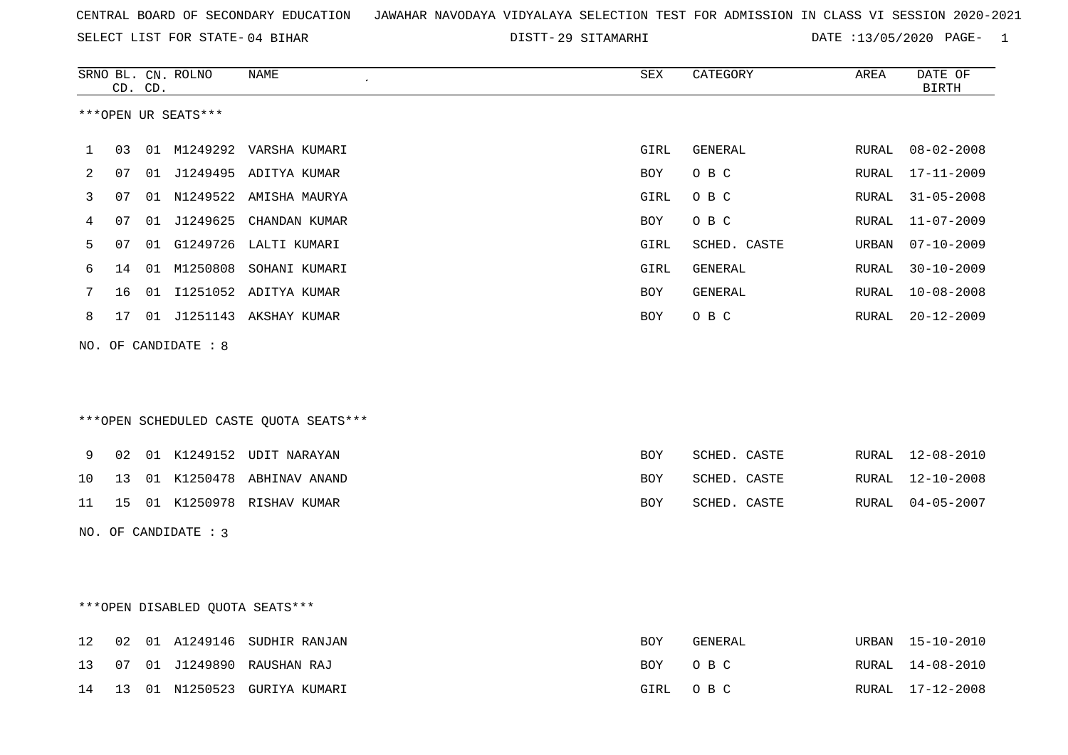SELECT LIST FOR STATE- DISTT- 04 BIHAR

29 SITAMARHI DATE :13/05/2020 PAGE- 1

|    |    | CD. CD. | SRNO BL. CN. ROLNO              | NAME                                   | SEX        | CATEGORY     | AREA  | DATE OF<br><b>BIRTH</b> |
|----|----|---------|---------------------------------|----------------------------------------|------------|--------------|-------|-------------------------|
|    |    |         | ***OPEN UR SEATS***             |                                        |            |              |       |                         |
| 1  | 03 |         |                                 | 01 M1249292 VARSHA KUMARI              | GIRL       | GENERAL      | RURAL | 08-02-2008              |
| 2  | 07 |         |                                 | 01 J1249495 ADITYA KUMAR               | BOY        | O B C        | RURAL | $17 - 11 - 2009$        |
| 3  | 07 |         |                                 | 01 N1249522 AMISHA MAURYA              | GIRL       | O B C        | RURAL | $31 - 05 - 2008$        |
| 4  | 07 | 01      | J1249625                        | CHANDAN KUMAR                          | BOY        | O B C        | RURAL | $11 - 07 - 2009$        |
| 5  | 07 |         | 01 G1249726                     | LALTI KUMARI                           | GIRL       | SCHED. CASTE | URBAN | $07 - 10 - 2009$        |
| 6  | 14 |         |                                 | 01 M1250808 SOHANI KUMARI              | GIRL       | GENERAL      | RURAL | $30 - 10 - 2009$        |
| 7  | 16 |         |                                 | 01 I1251052 ADITYA KUMAR               | BOY        | GENERAL      | RURAL | $10 - 08 - 2008$        |
| 8  |    |         |                                 | 17 01 J1251143 AKSHAY KUMAR            | <b>BOY</b> | O B C        | RURAL | $20 - 12 - 2009$        |
|    |    |         | NO. OF CANDIDATE : 8            |                                        |            |              |       |                         |
|    |    |         |                                 |                                        |            |              |       |                         |
|    |    |         |                                 | ***OPEN SCHEDULED CASTE QUOTA SEATS*** |            |              |       |                         |
| 9  |    |         |                                 | 02 01 K1249152 UDIT NARAYAN            | <b>BOY</b> | SCHED. CASTE |       | RURAL 12-08-2010        |
| 10 | 13 |         |                                 | 01 K1250478 ABHINAV ANAND              | BOY        | SCHED. CASTE | RURAL | 12-10-2008              |
| 11 | 15 |         |                                 | 01 K1250978 RISHAV KUMAR               | BOY        | SCHED. CASTE | RURAL | $04 - 05 - 2007$        |
|    |    |         | NO. OF CANDIDATE : 3            |                                        |            |              |       |                         |
|    |    |         |                                 |                                        |            |              |       |                         |
|    |    |         |                                 |                                        |            |              |       |                         |
|    |    |         | ***OPEN DISABLED QUOTA SEATS*** |                                        |            |              |       |                         |
| 12 | 02 |         |                                 | 01 A1249146 SUDHIR RANJAN              | <b>BOY</b> | GENERAL      | URBAN | 15-10-2010              |
| 13 | 07 |         | 01 J1249890                     | RAUSHAN RAJ                            | <b>BOY</b> | O B C        | RURAL | 14-08-2010              |

14 13 01 N1250523 GURIYA KUMARI GIRL O B C RURAL 17-12-2008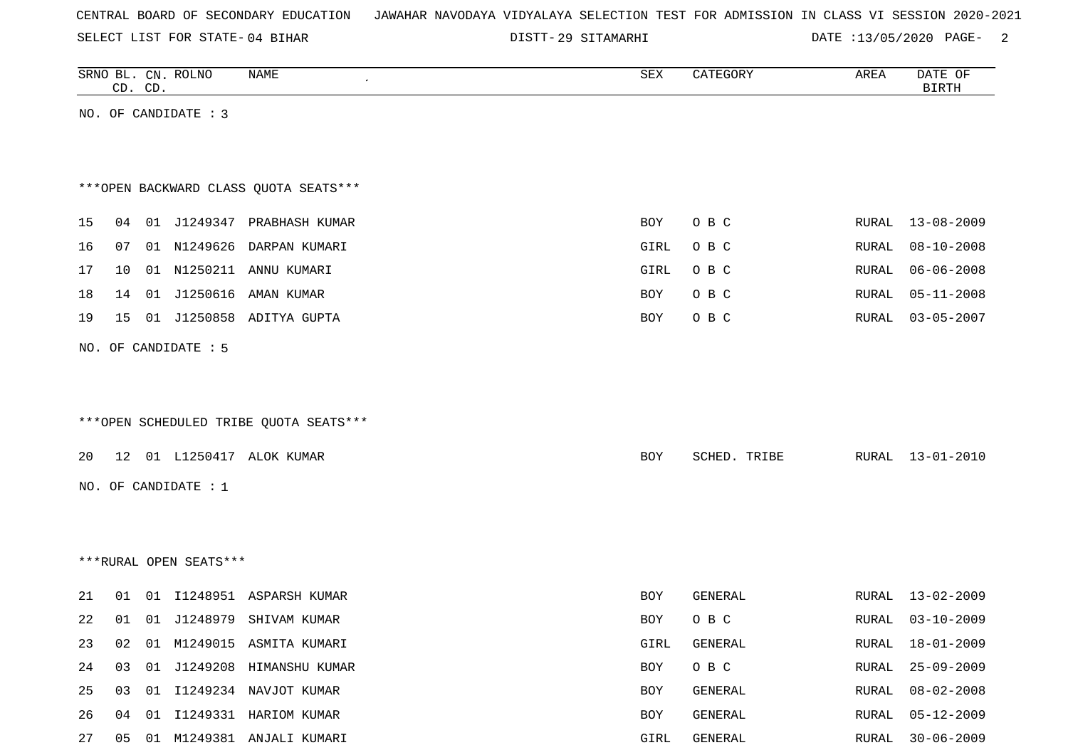SELECT LIST FOR STATE- DISTT- 04 BIHAR

29 SITAMARHI DATE :13/05/2020 PAGE- 2

|    | CD. CD. |    | SRNO BL. CN. ROLNO     | NAME                                   | SEX  | CATEGORY     | AREA  | DATE OF<br><b>BIRTH</b> |
|----|---------|----|------------------------|----------------------------------------|------|--------------|-------|-------------------------|
|    |         |    | NO. OF CANDIDATE : 3   |                                        |      |              |       |                         |
|    |         |    |                        |                                        |      |              |       |                         |
|    |         |    |                        |                                        |      |              |       |                         |
|    |         |    |                        | *** OPEN BACKWARD CLASS QUOTA SEATS*** |      |              |       |                         |
|    |         |    |                        |                                        |      |              | RURAL |                         |
| 15 | 04      |    |                        | 01 J1249347 PRABHASH KUMAR             | BOY  | O B C        |       | $13 - 08 - 2009$        |
| 16 | 07      |    | 01 N1249626            | DARPAN KUMARI                          | GIRL | O B C        | RURAL | $08 - 10 - 2008$        |
| 17 | 10      |    |                        | 01 N1250211 ANNU KUMARI                | GIRL | O B C        | RURAL | $06 - 06 - 2008$        |
| 18 | 14      | 01 | J1250616               | AMAN KUMAR                             | BOY  | O B C        | RURAL | $05 - 11 - 2008$        |
| 19 | 15      |    |                        | 01 J1250858 ADITYA GUPTA               | BOY  | O B C        | RURAL | $03 - 05 - 2007$        |
|    |         |    | NO. OF CANDIDATE : 5   |                                        |      |              |       |                         |
|    |         |    |                        |                                        |      |              |       |                         |
|    |         |    |                        |                                        |      |              |       |                         |
|    |         |    |                        | ***OPEN SCHEDULED TRIBE QUOTA SEATS*** |      |              |       |                         |
|    |         |    |                        |                                        |      |              |       |                         |
| 20 |         |    |                        | 12 01 L1250417 ALOK KUMAR              | BOY  | SCHED. TRIBE | RURAL | $13 - 01 - 2010$        |
|    |         |    | NO. OF CANDIDATE : 1   |                                        |      |              |       |                         |
|    |         |    |                        |                                        |      |              |       |                         |
|    |         |    |                        |                                        |      |              |       |                         |
|    |         |    | ***RURAL OPEN SEATS*** |                                        |      |              |       |                         |
|    |         |    |                        |                                        |      |              |       |                         |
| 21 | 01      | 01 |                        | I1248951 ASPARSH KUMAR                 | BOY  | GENERAL      | RURAL | $13 - 02 - 2009$        |
| 22 | 01      |    |                        | 01 J1248979 SHIVAM KUMAR               | BOY  | O B C        | RURAL | $03 - 10 - 2009$        |
| 23 | 02      |    |                        | 01 M1249015 ASMITA KUMARI              | GIRL | GENERAL      | RURAL | $18 - 01 - 2009$        |
| 24 | 03      | 01 |                        | J1249208 HIMANSHU KUMAR                | BOY  | O B C        | RURAL | $25 - 09 - 2009$        |
| 25 | 03      | 01 |                        | I1249234 NAVJOT KUMAR                  | BOY  | GENERAL      | RURAL | $08 - 02 - 2008$        |
| 26 | 04      | 01 |                        | I1249331 HARIOM KUMAR                  | BOY  | GENERAL      | RURAL | $05 - 12 - 2009$        |
| 27 |         |    |                        | 05 01 M1249381 ANJALI KUMARI           | GIRL | GENERAL      |       | RURAL 30-06-2009        |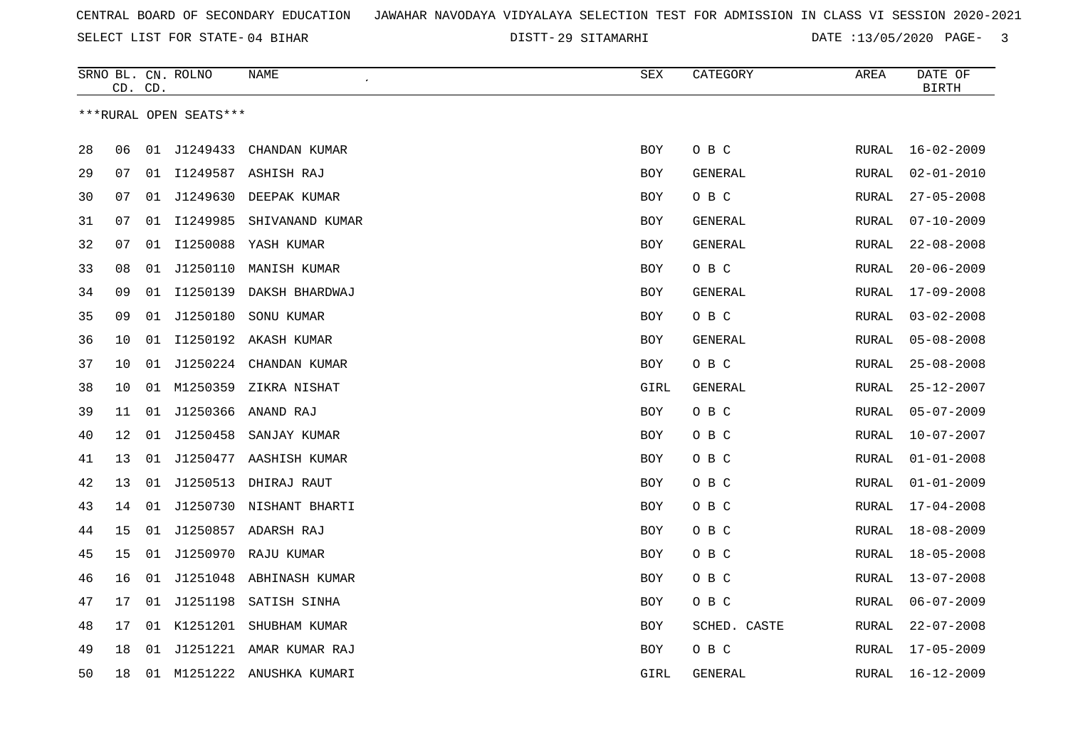29 SITAMARHI DATE :13/05/2020 PAGE- 3

|    | CD. CD. |    | SRNO BL. CN. ROLNO     | NAME                       | <b>SEX</b> | CATEGORY       | AREA         | DATE OF<br><b>BIRTH</b> |
|----|---------|----|------------------------|----------------------------|------------|----------------|--------------|-------------------------|
|    |         |    | ***RURAL OPEN SEATS*** |                            |            |                |              |                         |
|    |         |    |                        |                            |            |                |              |                         |
| 28 | 06      |    | 01 J1249433            | CHANDAN KUMAR              | <b>BOY</b> | O B C          | RURAL        | $16 - 02 - 2009$        |
| 29 | 07      |    |                        | 01 I1249587 ASHISH RAJ     | <b>BOY</b> | GENERAL        | RURAL        | $02 - 01 - 2010$        |
| 30 | 07      | 01 | J1249630               | DEEPAK KUMAR               | <b>BOY</b> | O B C          | RURAL        | $27 - 05 - 2008$        |
| 31 | 07      | 01 | I1249985               | SHIVANAND KUMAR            | <b>BOY</b> | GENERAL        | RURAL        | $07 - 10 - 2009$        |
| 32 | 07      | 01 | I1250088               | YASH KUMAR                 | <b>BOY</b> | <b>GENERAL</b> | RURAL        | $22 - 08 - 2008$        |
| 33 | 08      | 01 | J1250110               | MANISH KUMAR               | BOY        | O B C          | RURAL        | $20 - 06 - 2009$        |
| 34 | 09      |    | 01 11250139            | DAKSH BHARDWAJ             | <b>BOY</b> | GENERAL        | RURAL        | $17 - 09 - 2008$        |
| 35 | 09      |    | 01 J1250180            | SONU KUMAR                 | <b>BOY</b> | O B C          | RURAL        | $03 - 02 - 2008$        |
| 36 | 10      |    |                        | 01 I1250192 AKASH KUMAR    | <b>BOY</b> | <b>GENERAL</b> | RURAL        | $05 - 08 - 2008$        |
| 37 | 10      | 01 | J1250224               | CHANDAN KUMAR              | BOY        | O B C          | RURAL        | $25 - 08 - 2008$        |
| 38 | 10      | 01 | M1250359               | ZIKRA NISHAT               | GIRL       | GENERAL        | RURAL        | $25 - 12 - 2007$        |
| 39 | 11      | 01 | J1250366               | ANAND RAJ                  | BOY        | O B C          | RURAL        | $05 - 07 - 2009$        |
| 40 | 12      |    | 01 J1250458            | SANJAY KUMAR               | BOY        | O B C          | RURAL        | $10 - 07 - 2007$        |
| 41 | 13      | 01 |                        | J1250477 AASHISH KUMAR     | <b>BOY</b> | O B C          | RURAL        | $01 - 01 - 2008$        |
| 42 | 13      | 01 | J1250513               | DHIRAJ RAUT                | <b>BOY</b> | O B C          | RURAL        | $01 - 01 - 2009$        |
| 43 | 14      | 01 |                        | J1250730 NISHANT BHARTI    | <b>BOY</b> | O B C          | RURAL        | $17 - 04 - 2008$        |
| 44 | 15      |    |                        | 01 J1250857 ADARSH RAJ     | BOY        | O B C          | RURAL        | $18 - 08 - 2009$        |
| 45 | 15      |    |                        | 01 J1250970 RAJU KUMAR     | <b>BOY</b> | O B C          | <b>RURAL</b> | $18 - 05 - 2008$        |
| 46 | 16      | 01 | J1251048               | ABHINASH KUMAR             | BOY        | O B C          | RURAL        | $13 - 07 - 2008$        |
| 47 | 17      | 01 | J1251198               | SATISH SINHA               | <b>BOY</b> | O B C          | RURAL        | $06 - 07 - 2009$        |
| 48 | 17      | 01 | K1251201               | SHUBHAM KUMAR              | <b>BOY</b> | SCHED. CASTE   | RURAL        | $22 - 07 - 2008$        |
| 49 | 18      | 01 |                        | J1251221 AMAR KUMAR RAJ    | BOY        | O B C          | RURAL        | $17 - 05 - 2009$        |
| 50 | 18      |    |                        | 01 M1251222 ANUSHKA KUMARI | GIRL       | GENERAL        | RURAL        | $16 - 12 - 2009$        |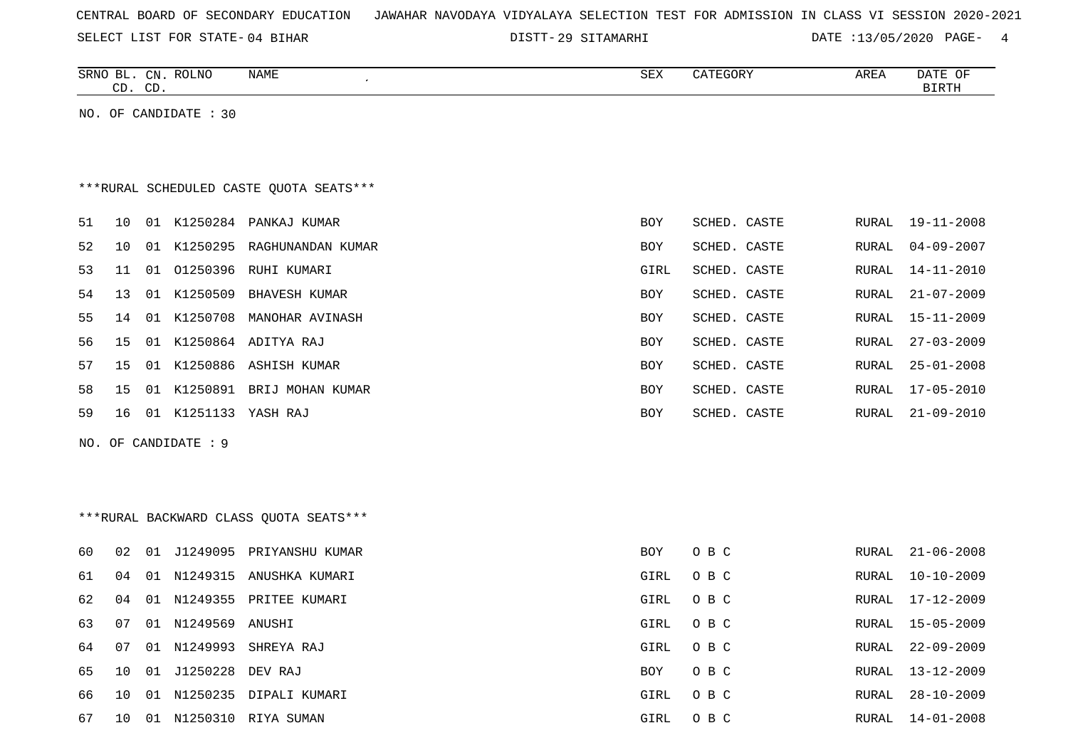SELECT LIST FOR STATE- DISTT- 04 BIHAR

29 SITAMARHI DATE :13/05/2020 PAGE- 4

|    |    | CD. CD. | SRNO BL. CN. ROLNO    | NAME                                     | ${\tt SEX}$ | CATEGORY     | AREA         | DATE OF<br><b>BIRTH</b> |
|----|----|---------|-----------------------|------------------------------------------|-------------|--------------|--------------|-------------------------|
|    |    |         | NO. OF CANDIDATE : 30 |                                          |             |              |              |                         |
|    |    |         |                       |                                          |             |              |              |                         |
|    |    |         |                       |                                          |             |              |              |                         |
|    |    |         |                       | *** RURAL SCHEDULED CASTE QUOTA SEATS*** |             |              |              |                         |
| 51 | 10 |         |                       | 01 K1250284 PANKAJ KUMAR                 | BOY         | SCHED. CASTE | RURAL        | 19-11-2008              |
| 52 | 10 |         |                       | 01 K1250295 RAGHUNANDAN KUMAR            | BOY         | SCHED. CASTE | RURAL        | $04 - 09 - 2007$        |
| 53 | 11 |         |                       | 01 01250396 RUHI KUMARI                  | GIRL        | SCHED. CASTE | RURAL        | $14 - 11 - 2010$        |
| 54 | 13 |         | 01 K1250509           | <b>BHAVESH KUMAR</b>                     | BOY         | SCHED. CASTE | RURAL        | $21 - 07 - 2009$        |
| 55 | 14 |         |                       | 01 K1250708 MANOHAR AVINASH              | BOY         | SCHED. CASTE | RURAL        | $15 - 11 - 2009$        |
| 56 | 15 |         |                       | 01 K1250864 ADITYA RAJ                   | BOY         | SCHED. CASTE | <b>RURAL</b> | $27 - 03 - 2009$        |
| 57 | 15 |         |                       | 01 K1250886 ASHISH KUMAR                 | BOY         | SCHED. CASTE | RURAL        | $25 - 01 - 2008$        |
| 58 | 15 |         |                       | 01 K1250891 BRIJ MOHAN KUMAR             | BOY         | SCHED. CASTE | <b>RURAL</b> | $17 - 05 - 2010$        |
| 59 | 16 |         | 01 K1251133 YASH RAJ  |                                          | BOY         | SCHED. CASTE | RURAL        | $21 - 09 - 2010$        |
|    |    |         | NO. OF CANDIDATE : 9  |                                          |             |              |              |                         |
|    |    |         |                       |                                          |             |              |              |                         |
|    |    |         |                       |                                          |             |              |              |                         |
|    |    |         |                       | ***RURAL BACKWARD CLASS QUOTA SEATS***   |             |              |              |                         |
| 60 | 02 |         |                       | 01 J1249095 PRIYANSHU KUMAR              | BOY         | O B C        | RURAL        | $21 - 06 - 2008$        |
| 61 | 04 |         |                       | 01 N1249315 ANUSHKA KUMARI               | GIRL        | O B C        | RURAL        | $10 - 10 - 2009$        |
| 62 | 04 |         |                       | 01 N1249355 PRITEE KUMARI                | GIRL        | O B C        | RURAL        | $17 - 12 - 2009$        |
| 63 | 07 |         | 01 N1249569 ANUSHI    |                                          | GIRL        | O B C        | <b>RURAL</b> | $15 - 05 - 2009$        |
| 64 | 07 |         | 01 N1249993           | SHREYA RAJ                               | GIRL        | O B C        | RURAL        | $22 - 09 - 2009$        |
| 65 | 10 |         | 01 J1250228 DEV RAJ   |                                          | BOY         | O B C        | RURAL        | $13 - 12 - 2009$        |
| 66 | 10 |         |                       | 01 N1250235 DIPALI KUMARI                | GIRL        | O B C        | RURAL        | $28 - 10 - 2009$        |
| 67 | 10 |         |                       | 01 N1250310 RIYA SUMAN                   | GIRL        | O B C        | RURAL        | $14 - 01 - 2008$        |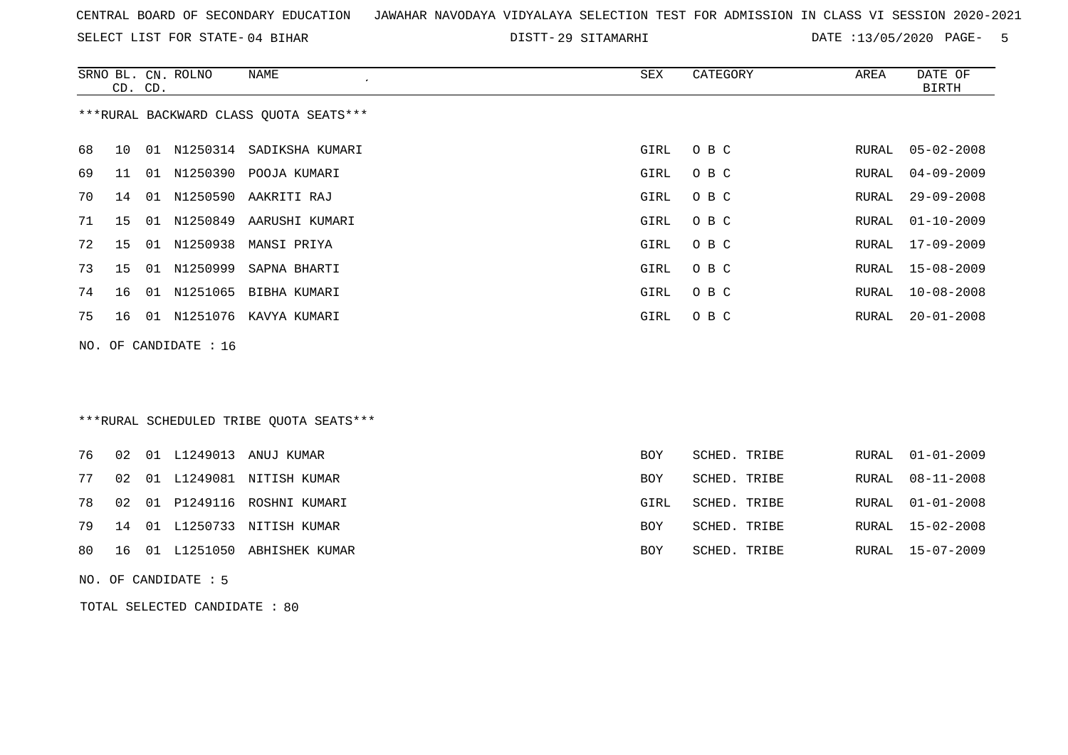SELECT LIST FOR STATE- DISTT- 04 BIHAR

29 SITAMARHI DATE :13/05/2020 PAGE- 5

|    | CD. CD. |    | SRNO BL. CN. ROLNO    | <b>NAME</b>                             | <b>SEX</b> | CATEGORY     | AREA          | DATE OF<br><b>BIRTH</b> |
|----|---------|----|-----------------------|-----------------------------------------|------------|--------------|---------------|-------------------------|
|    |         |    |                       | *** RURAL BACKWARD CLASS QUOTA SEATS*** |            |              |               |                         |
| 68 | 10      |    | 01 N1250314           | SADIKSHA KUMARI                         | GIRL       | O B C        | RURAL         | $05 - 02 - 2008$        |
| 69 | 11      | 01 | N1250390              | POOJA KUMARI                            | GIRL       | O B C        | RURAL         | $04 - 09 - 2009$        |
| 70 | 14      |    | 01 N1250590           | AAKRITI RAJ                             | GIRL       | O B C        | RURAL         | $29 - 09 - 2008$        |
| 71 | 15      | 01 | N1250849              | AARUSHI KUMARI                          | GIRL       | O B C        | RURAL         | $01 - 10 - 2009$        |
| 72 | 15      | 01 | N1250938              | MANSI PRIYA                             | GIRL       | O B C        | RURAL         | $17 - 09 - 2009$        |
| 73 | 15      |    | 01 N1250999           | SAPNA BHARTI                            | GIRL       | O B C        | RURAL         | $15 - 08 - 2009$        |
| 74 | 16      |    | 01 N1251065           | BIBHA KUMARI                            | GIRL       | O B C        | RURAL         | $10 - 08 - 2008$        |
| 75 | 16      |    |                       | 01 N1251076 KAVYA KUMARI                | GIRL       | O B C        | <b>RURAL</b>  | $20 - 01 - 2008$        |
|    |         |    | NO. OF CANDIDATE : 16 |                                         |            |              |               |                         |
|    |         |    |                       |                                         |            |              |               |                         |
|    |         |    |                       |                                         |            |              |               |                         |
|    |         |    |                       | ***RURAL SCHEDULED TRIBE QUOTA SEATS*** |            |              |               |                         |
|    |         |    |                       |                                         |            |              |               |                         |
| 76 | 02      |    | 01 L1249013           | ANUJ KUMAR                              | BOY        | SCHED. TRIBE | RURAL         | $01 - 01 - 2009$        |
| 77 | 02      |    |                       | 01 L1249081 NITISH KUMAR                | BOY        | SCHED. TRIBE | RURAL         | $08 - 11 - 2008$        |
| 78 | 02      | 01 |                       | P1249116 ROSHNI KUMARI                  | GIRL       | SCHED. TRIBE | RURAL         | $01 - 01 - 2008$        |
| 79 | 14      |    |                       | 01 L1250733 NITISH KUMAR                | BOY        | SCHED. TRIBE | <b>RURAL</b>  | $15 - 02 - 2008$        |
| 80 | 16      |    |                       | 01 L1251050 ABHISHEK KUMAR              | <b>BOY</b> | SCHED. TRIBE | ${\tt RURAL}$ | $15 - 07 - 2009$        |

NO. OF CANDIDATE : 5

TOTAL SELECTED CANDIDATE : 80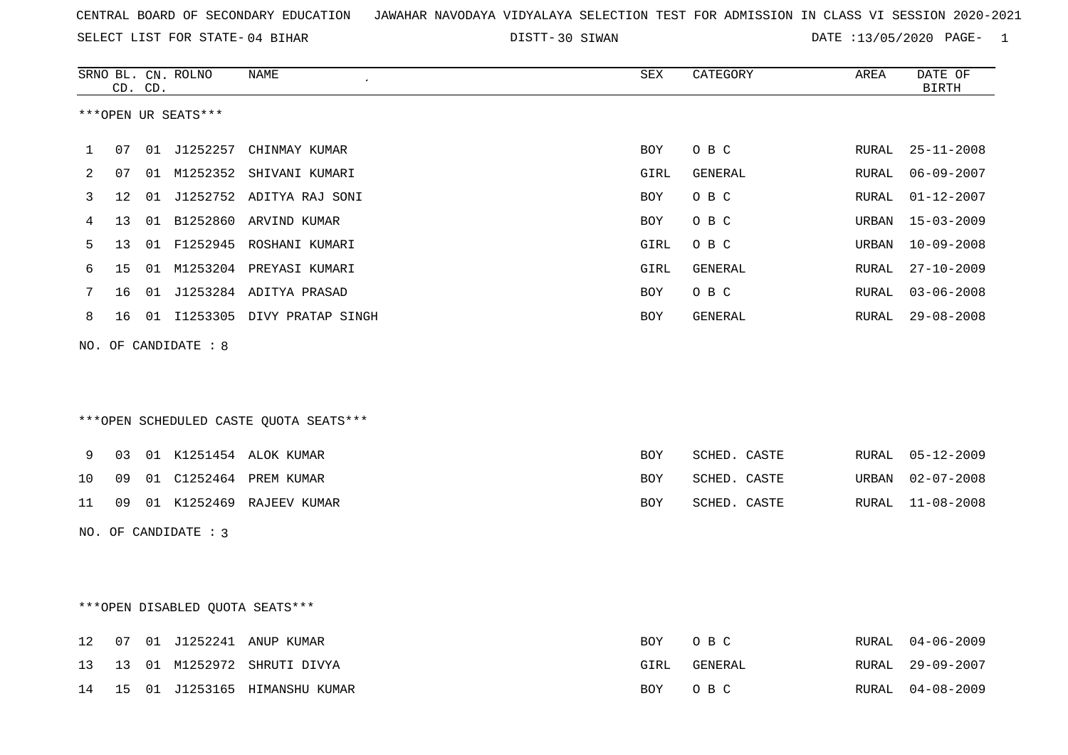30 SIWAN DATE :13/05/2020 PAGE- 1

|    |                   | CD. CD. | SRNO BL. CN. ROLNO   | NAME                                   | SEX        | CATEGORY     | AREA          | DATE OF<br><b>BIRTH</b> |
|----|-------------------|---------|----------------------|----------------------------------------|------------|--------------|---------------|-------------------------|
|    |                   |         | ***OPEN UR SEATS***  |                                        |            |              |               |                         |
| 1  | 07                |         | 01 J1252257          | CHINMAY KUMAR                          | <b>BOY</b> | O B C        | RURAL         | $25 - 11 - 2008$        |
| 2  | 07                |         |                      | 01 M1252352 SHIVANI KUMARI             | GIRL       | GENERAL      | RURAL         | $06 - 09 - 2007$        |
| 3  | $12 \overline{ }$ |         |                      | 01 J1252752 ADITYA RAJ SONI            | <b>BOY</b> | O B C        | RURAL         | $01 - 12 - 2007$        |
| 4  | 13                |         |                      | 01 B1252860 ARVIND KUMAR               | <b>BOY</b> | O B C        | URBAN         | $15 - 03 - 2009$        |
| 5  | 13                |         |                      | 01 F1252945 ROSHANI KUMARI             | GIRL       | O B C        | URBAN         | $10 - 09 - 2008$        |
| 6  | 15                |         |                      | 01 M1253204 PREYASI KUMARI             | GIRL       | GENERAL      | ${\tt RURAL}$ | $27 - 10 - 2009$        |
| 7  | 16                |         |                      | 01 J1253284 ADITYA PRASAD              | BOY        | O B C        | RURAL         | $03 - 06 - 2008$        |
| 8  |                   |         |                      | 16 01 I1253305 DIVY PRATAP SINGH       | BOY        | GENERAL      | RURAL         | $29 - 08 - 2008$        |
|    |                   |         | NO. OF CANDIDATE : 8 |                                        |            |              |               |                         |
|    |                   |         |                      |                                        |            |              |               |                         |
|    |                   |         |                      |                                        |            |              |               |                         |
|    |                   |         |                      | ***OPEN SCHEDULED CASTE QUOTA SEATS*** |            |              |               |                         |
| 9  | 03                |         |                      | 01 K1251454 ALOK KUMAR                 | <b>BOY</b> | SCHED. CASTE | RURAL         | 05-12-2009              |
| 10 | 09                |         |                      | 01 C1252464 PREM KUMAR                 | <b>BOY</b> | SCHED. CASTE | URBAN         | $02 - 07 - 2008$        |
| 11 | 09                |         |                      | 01 K1252469 RAJEEV KUMAR               | <b>BOY</b> | SCHED. CASTE | RURAL         | $11 - 08 - 2008$        |
|    |                   |         | NO. OF CANDIDATE : 3 |                                        |            |              |               |                         |
|    |                   |         |                      |                                        |            |              |               |                         |
|    |                   |         |                      |                                        |            |              |               |                         |
|    |                   |         |                      | ***OPEN DISABLED QUOTA SEATS***        |            |              |               |                         |
| 12 | 07                |         |                      | 01 J1252241 ANUP KUMAR                 | <b>BOY</b> | O B C        | RURAL         | $04 - 06 - 2009$        |
| 13 | 13                |         |                      | 01 M1252972 SHRUTI DIVYA               | GIRL       | GENERAL      | RURAL         | $29 - 09 - 2007$        |
| 14 |                   |         |                      | 15 01 J1253165 HIMANSHU KUMAR          | BOY        | O B C        | RURAL         | $04 - 08 - 2009$        |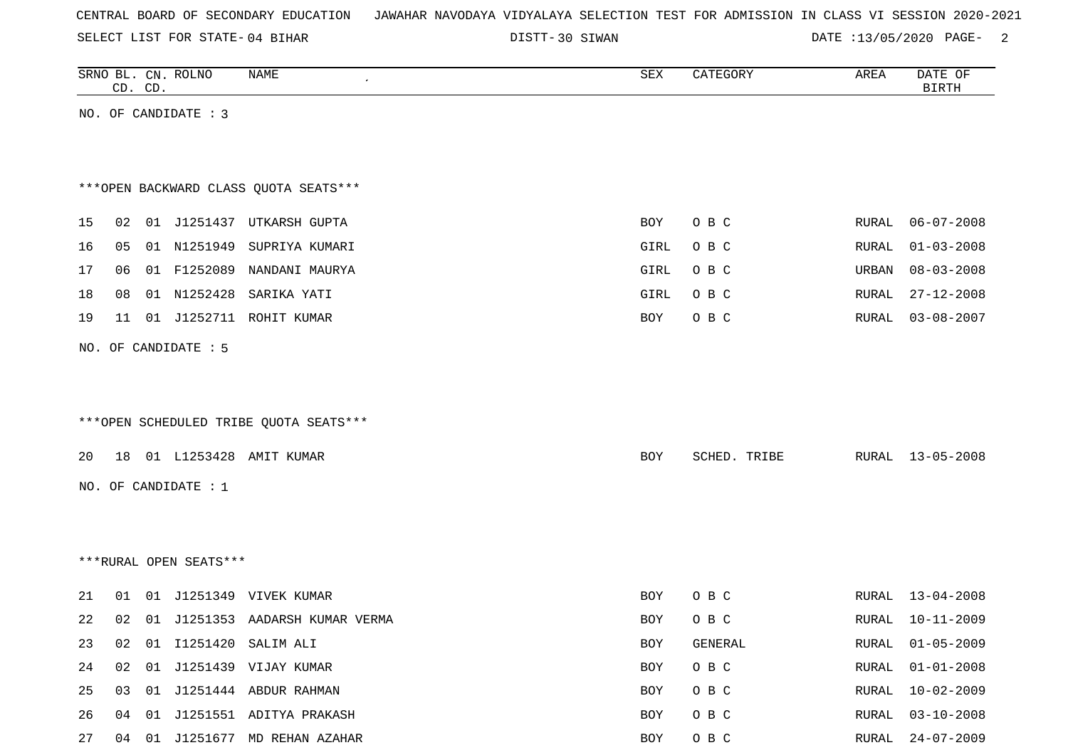|  |  |  |  | CENTRAL BOARD OF SECONDARY EDUCATION – JAWAHAR NAVODAYA VIDYALAYA SELECTION TEST FOR ADMISSION IN CLASS VI SESSION 2020-2021 |  |  |  |  |  |  |  |  |  |  |  |  |  |
|--|--|--|--|------------------------------------------------------------------------------------------------------------------------------|--|--|--|--|--|--|--|--|--|--|--|--|--|
|--|--|--|--|------------------------------------------------------------------------------------------------------------------------------|--|--|--|--|--|--|--|--|--|--|--|--|--|

DISTT-30 SIWAN  $\overline{DATE}$  :13/05/2020 PAGE- 2

|                        | CD. CD. |    | SRNO BL. CN. ROLNO     | NAME                                   | SEX        | CATEGORY     | AREA  | DATE OF<br><b>BIRTH</b> |  |  |  |
|------------------------|---------|----|------------------------|----------------------------------------|------------|--------------|-------|-------------------------|--|--|--|
| NO. OF CANDIDATE : 3   |         |    |                        |                                        |            |              |       |                         |  |  |  |
|                        |         |    |                        |                                        |            |              |       |                         |  |  |  |
|                        |         |    |                        |                                        |            |              |       |                         |  |  |  |
|                        |         |    |                        | *** OPEN BACKWARD CLASS QUOTA SEATS*** |            |              |       |                         |  |  |  |
| 15                     | 02      |    |                        | 01 J1251437 UTKARSH GUPTA              | <b>BOY</b> | O B C        | RURAL | $06 - 07 - 2008$        |  |  |  |
| 16                     | 05      |    | 01 N1251949            | SUPRIYA KUMARI                         | GIRL       | O B C        | RURAL | $01 - 03 - 2008$        |  |  |  |
| 17                     | 06      |    |                        | 01 F1252089 NANDANI MAURYA             | GIRL       | O B C        | URBAN | $08 - 03 - 2008$        |  |  |  |
| 18                     | 08      |    | 01 N1252428            | SARIKA YATI                            | GIRL       | O B C        | RURAL | $27 - 12 - 2008$        |  |  |  |
| 19                     | 11      |    | 01 J1252711            | ROHIT KUMAR                            | BOY        | O B C        | RURAL | $03 - 08 - 2007$        |  |  |  |
|                        |         |    | NO. OF CANDIDATE : 5   |                                        |            |              |       |                         |  |  |  |
|                        |         |    |                        |                                        |            |              |       |                         |  |  |  |
|                        |         |    |                        |                                        |            |              |       |                         |  |  |  |
|                        |         |    |                        | ***OPEN SCHEDULED TRIBE QUOTA SEATS*** |            |              |       |                         |  |  |  |
| 20                     | 18      |    |                        | 01 L1253428 AMIT KUMAR                 | BOY        | SCHED. TRIBE | RURAL | $13 - 05 - 2008$        |  |  |  |
|                        |         |    |                        |                                        |            |              |       |                         |  |  |  |
|                        |         |    | NO. OF CANDIDATE : $1$ |                                        |            |              |       |                         |  |  |  |
|                        |         |    |                        |                                        |            |              |       |                         |  |  |  |
|                        |         |    |                        |                                        |            |              |       |                         |  |  |  |
| ***RURAL OPEN SEATS*** |         |    |                        |                                        |            |              |       |                         |  |  |  |
| 21                     | 01      |    |                        | 01 J1251349 VIVEK KUMAR                | BOY        | O B C        | RURAL | $13 - 04 - 2008$        |  |  |  |
| 22                     | 02      |    |                        | 01 J1251353 AADARSH KUMAR VERMA        | BOY        | O B C        | RURAL | $10 - 11 - 2009$        |  |  |  |
| 23                     | 02      |    |                        | 01 I1251420 SALIM ALI                  | BOY        | GENERAL      | RURAL | $01 - 05 - 2009$        |  |  |  |
| 24                     | 02      | 01 |                        | J1251439 VIJAY KUMAR                   | BOY        | $O$ B $C$    | RURAL | $01 - 01 - 2008$        |  |  |  |
| 25                     | 03      | 01 |                        | J1251444 ABDUR RAHMAN                  | BOY        | O B C        | RURAL | $10 - 02 - 2009$        |  |  |  |
| 26                     | 04      |    |                        | 01 J1251551 ADITYA PRAKASH             | BOY        | O B C        | RURAL | $03 - 10 - 2008$        |  |  |  |

27 04 01 J1251677 MD REHAN AZAHAR **BOY O B C** RURAL 24-07-2009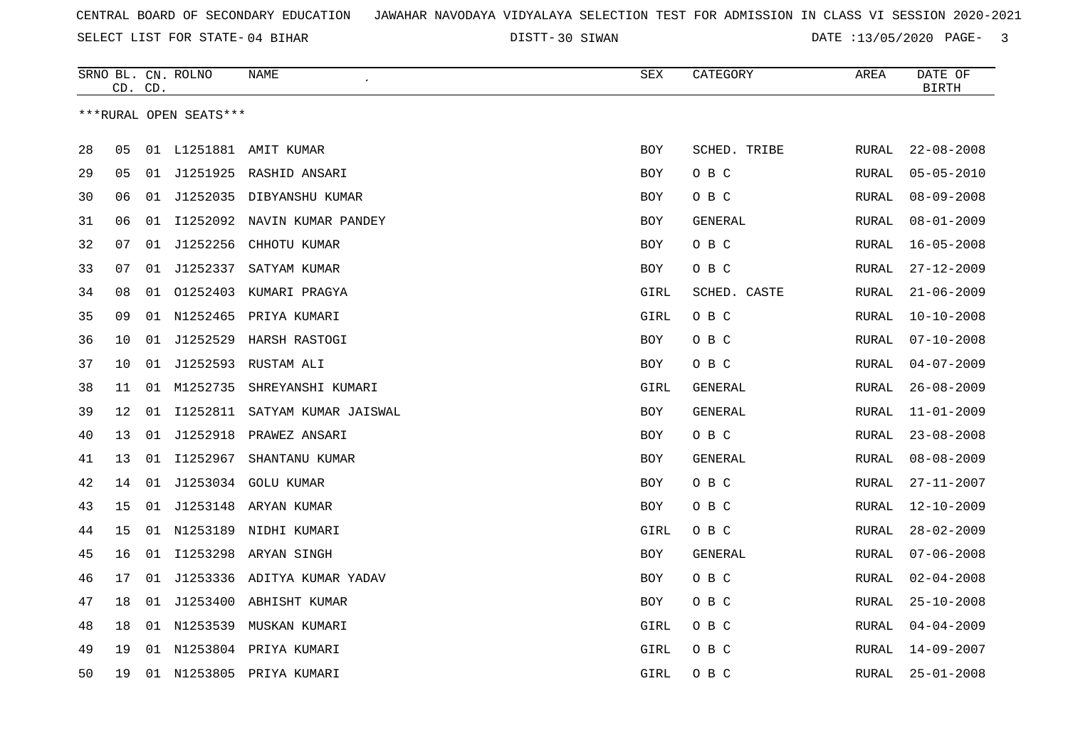DISTT-30 SIWAN  $\overline{DATE}$  :13/05/2020 PAGE- 3

|    |    | CD. CD. | SRNO BL. CN. ROLNO     | NAME                           | <b>SEX</b> | CATEGORY       | AREA  | DATE OF<br>BIRTH |
|----|----|---------|------------------------|--------------------------------|------------|----------------|-------|------------------|
|    |    |         | ***RURAL OPEN SEATS*** |                                |            |                |       |                  |
|    |    |         |                        |                                |            |                |       |                  |
| 28 | 05 |         |                        | 01 L1251881 AMIT KUMAR         | BOY        | SCHED. TRIBE   | RURAL | $22 - 08 - 2008$ |
| 29 | 05 |         |                        | 01 J1251925 RASHID ANSARI      | <b>BOY</b> | O B C          | RURAL | $05 - 05 - 2010$ |
| 30 | 06 | 01      |                        | J1252035 DIBYANSHU KUMAR       | BOY        | O B C          | RURAL | $08 - 09 - 2008$ |
| 31 | 06 |         |                        | 01 I1252092 NAVIN KUMAR PANDEY | BOY        | GENERAL        | RURAL | $08 - 01 - 2009$ |
| 32 | 07 |         | 01 J1252256            | CHHOTU KUMAR                   | BOY        | O B C          | RURAL | $16 - 05 - 2008$ |
| 33 | 07 | 01      | J1252337               | SATYAM KUMAR                   | BOY        | O B C          | RURAL | $27 - 12 - 2009$ |
| 34 | 08 |         |                        | 01 01252403 KUMARI PRAGYA      | GIRL       | SCHED. CASTE   | RURAL | $21 - 06 - 2009$ |
| 35 | 09 |         |                        | 01 N1252465 PRIYA KUMARI       | GIRL       | O B C          | RURAL | $10 - 10 - 2008$ |
| 36 | 10 |         |                        | 01 J1252529 HARSH RASTOGI      | BOY        | O B C          | RURAL | $07 - 10 - 2008$ |
| 37 | 10 | 01      |                        | J1252593 RUSTAM ALI            | BOY        | овс            | RURAL | $04 - 07 - 2009$ |
| 38 | 11 | 01      | M1252735               | SHREYANSHI KUMARI              | GIRL       | GENERAL        | RURAL | $26 - 08 - 2009$ |
| 39 | 12 | 01      | I1252811               | SATYAM KUMAR JAISWAL           | BOY        | <b>GENERAL</b> | RURAL | $11 - 01 - 2009$ |
| 40 | 13 | 01      | J1252918               | PRAWEZ ANSARI                  | BOY        | O B C          | RURAL | $23 - 08 - 2008$ |
| 41 | 13 | 01      | I1252967               | SHANTANU KUMAR                 | BOY        | GENERAL        | RURAL | $08 - 08 - 2009$ |
| 42 | 14 | 01      | J1253034               | <b>GOLU KUMAR</b>              | BOY        | O B C          | RURAL | $27 - 11 - 2007$ |
| 43 | 15 |         |                        | 01 J1253148 ARYAN KUMAR        | BOY        | O B C          | RURAL | $12 - 10 - 2009$ |
| 44 | 15 |         |                        | 01 N1253189 NIDHI KUMARI       | GIRL       | O B C          | RURAL | $28 - 02 - 2009$ |
| 45 | 16 |         |                        | 01 I1253298 ARYAN SINGH        | BOY        | GENERAL        | RURAL | $07 - 06 - 2008$ |
| 46 | 17 | 01      |                        | J1253336 ADITYA KUMAR YADAV    | BOY        | O B C          | RURAL | $02 - 04 - 2008$ |
| 47 | 18 |         |                        | 01 J1253400 ABHISHT KUMAR      | <b>BOY</b> | O B C          | RURAL | $25 - 10 - 2008$ |
| 48 | 18 |         | 01 N1253539            | MUSKAN KUMARI                  | GIRL       | O B C          | RURAL | $04 - 04 - 2009$ |
| 49 | 19 |         |                        | 01 N1253804 PRIYA KUMARI       | GIRL       | O B C          | RURAL | $14 - 09 - 2007$ |
| 50 | 19 |         |                        | 01 N1253805 PRIYA KUMARI       | GIRL       | O B C          | RURAL | $25 - 01 - 2008$ |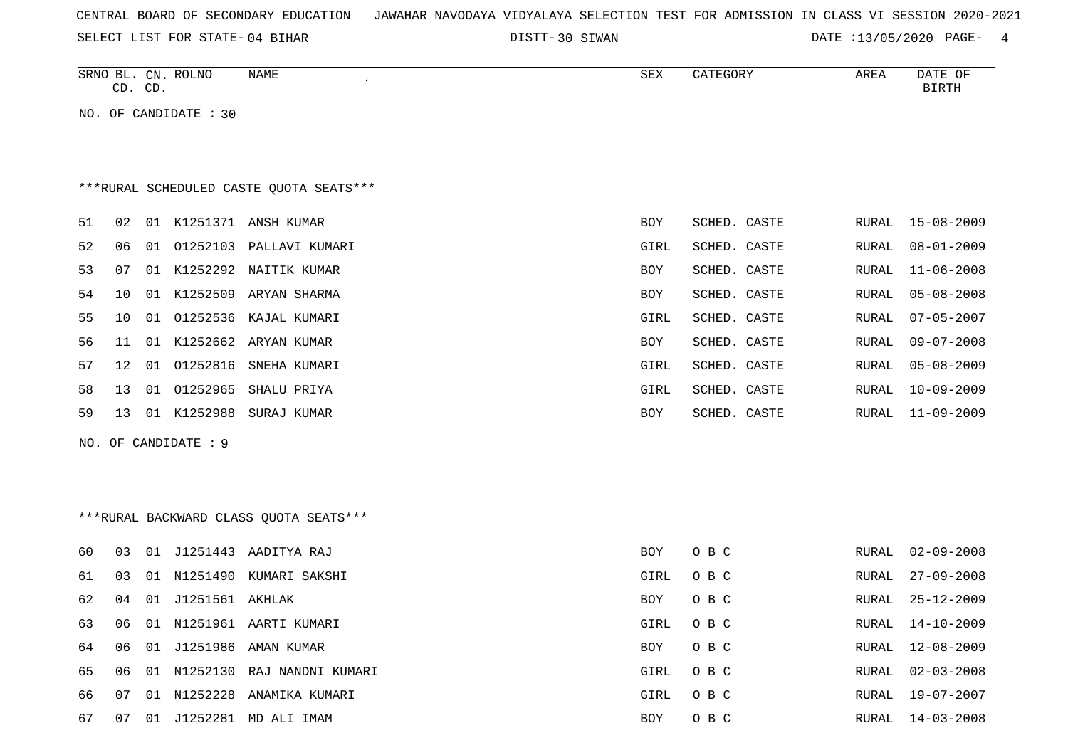| CENTRAL BOARD OF SECONDARY EDUCATION – JAWAHAR NAVODAYA VIDYALAYA SELECTION TEST FOR ADMISSION IN CLASS VI SESSION 2020-2021 |  |  |  |  |
|------------------------------------------------------------------------------------------------------------------------------|--|--|--|--|
|------------------------------------------------------------------------------------------------------------------------------|--|--|--|--|

DISTT-30 SIWAN DATE :13/05/2020 PAGE- 4

| SRNO<br>ВL<br>$\sim$<br>سـ | $\cap$<br>، ۱۳ ب<br>$\sim$<br>ىب | <b>ROLNO</b> | <b>NAME</b> | CDW<br>つロマ | $\alpha$ <sub>n</sub> $\beta$ $\alpha$ | AREA | OF<br><b>DATF</b><br>$n + num$ |
|----------------------------|----------------------------------|--------------|-------------|------------|----------------------------------------|------|--------------------------------|
|                            |                                  |              |             |            |                                        |      |                                |

NO. OF CANDIDATE : 30

## \*\*\*RURAL SCHEDULED CASTE QUOTA SEATS\*\*\*

| 51   | 0.2   | 01 | K1251371    | ANSH KUMAR                 | BOY        | SCHED. CASTE |       | RURAL 15-08-2009 |
|------|-------|----|-------------|----------------------------|------------|--------------|-------|------------------|
| 52   | 06 01 |    | 01252103    | PALLAVI KUMARI             | GIRL       | SCHED. CASTE | RURAL | $08 - 01 - 2009$ |
| 53   | 07    |    |             | 01 K1252292 NAITIK KUMAR   | BOY        | SCHED. CASTE |       | RURAL 11-06-2008 |
| 54   | 1 O   |    | 01 K1252509 | ARYAN SHARMA               | <b>BOY</b> | SCHED. CASTE |       | RURAL 05-08-2008 |
| 55   | 1 O   |    |             | 01 01252536 KAJAL KUMARI   | GIRL       | SCHED. CASTE |       | RURAL 07-05-2007 |
| 56 - |       |    |             | 11 01 K1252662 ARYAN KUMAR | <b>BOY</b> | SCHED, CASTE |       | RURAL 09-07-2008 |
| 57   | 12 01 |    | 01252816    | SNEHA KUMARI               | GIRL       | SCHED. CASTE |       | RURAL 05-08-2009 |
| 58   | 13    | 01 | 01252965    | SHALU PRIYA                | GIRL       | SCHED. CASTE | RURAL | $10 - 09 - 2009$ |
| 59   | 13    |    | 01 K1252988 | SURAJ KUMAR                | BOY        | SCHED. CASTE |       | RURAL 11-09-2009 |
|      |       |    |             |                            |            |              |       |                  |

NO. OF CANDIDATE : 9

## \*\*\*RURAL BACKWARD CLASS QUOTA SEATS\*\*\*

| 60  | 03  | -01   |                 | J1251443 AADITYA RAJ          | BOY        | O B C | RURAL | 02-09-2008       |
|-----|-----|-------|-----------------|-------------------------------|------------|-------|-------|------------------|
| 61  | 03  | 01    |                 | . N1251490 KUMARI SAKSHI      | GIRL       | O B C | RURAL | $27 - 09 - 2008$ |
| 62  | 04  | - 01  | J1251561 AKHLAK |                               | <b>BOY</b> | O B C |       | RURAL 25-12-2009 |
| 63  | 06  |       |                 | 01 N1251961 AARTI KUMARI      | GIRL       | O B C | RURAL | 14-10-2009       |
| 64  | 06  | 01    |                 | J1251986 AMAN KUMAR           | <b>BOY</b> | O B C | RURAL | 12-08-2009       |
| 65  | 06. |       |                 | 01 N1252130 RAJ NANDNI KUMARI | GIRL       | O B C | RURAL | 02-03-2008       |
| 66. | 07  | . O 1 | N1252228        | ANAMIKA KUMARI                | GIRL       | O B C | RURAL | 19-07-2007       |
| 67  | -07 | 01    | J1252281        | MD ALI IMAM                   | BOY        | O B C | RURAL | 14-03-2008       |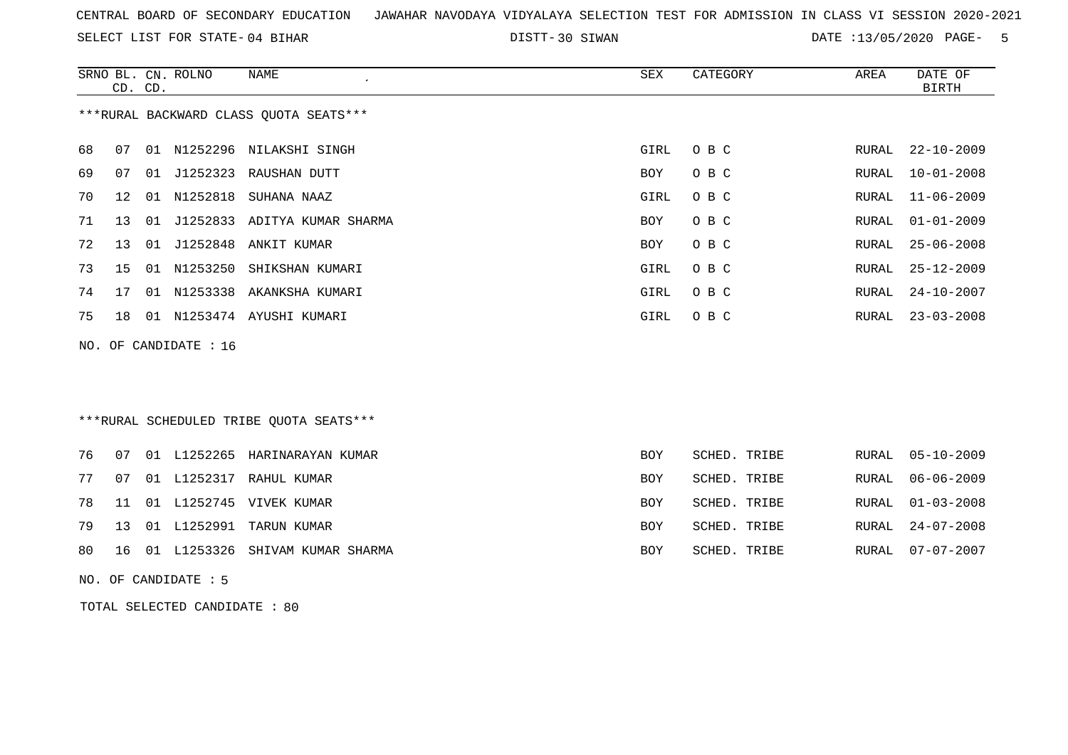SELECT LIST FOR STATE- DISTT- 04 BIHAR

DISTT-30 SIWAN  $\overline{D}$  DATE :13/05/2020 PAGE- 5

|    | CD. CD. |    | SRNO BL. CN. ROLNO    | <b>NAME</b>                             | SEX        | CATEGORY     | AREA         | DATE OF<br><b>BIRTH</b> |
|----|---------|----|-----------------------|-----------------------------------------|------------|--------------|--------------|-------------------------|
|    |         |    |                       | *** RURAL BACKWARD CLASS QUOTA SEATS*** |            |              |              |                         |
| 68 | 07      | 01 | N1252296              | NILAKSHI SINGH                          | GIRL       | O B C        | RURAL        | $22 - 10 - 2009$        |
| 69 | 07      | 01 | J1252323              | RAUSHAN DUTT                            | <b>BOY</b> | O B C        | <b>RURAL</b> | $10 - 01 - 2008$        |
| 70 | 12      | 01 | N1252818              | SUHANA NAAZ                             | GIRL       | O B C        | RURAL        | $11 - 06 - 2009$        |
| 71 | 13      | 01 | J1252833              | ADITYA KUMAR SHARMA                     | <b>BOY</b> | O B C        | RURAL        | $01 - 01 - 2009$        |
| 72 | 13      | 01 | J1252848              | ANKIT KUMAR                             | <b>BOY</b> | O B C        | RURAL        | $25 - 06 - 2008$        |
| 73 | 15      | 01 | N1253250              | SHIKSHAN KUMARI                         | GIRL       | O B C        | RURAL        | $25 - 12 - 2009$        |
| 74 | 17      |    | 01 N1253338           | AKANKSHA KUMARI                         | GIRL       | O B C        | RURAL        | $24 - 10 - 2007$        |
| 75 | 18      |    |                       | 01 N1253474 AYUSHI KUMARI               | GIRL       | O B C        | RURAL        | $23 - 03 - 2008$        |
|    |         |    | NO. OF CANDIDATE : 16 |                                         |            |              |              |                         |
|    |         |    |                       |                                         |            |              |              |                         |
|    |         |    |                       | ***RURAL SCHEDULED TRIBE QUOTA SEATS*** |            |              |              |                         |
| 76 | 07      |    | 01 L1252265           | HARINARAYAN KUMAR                       | <b>BOY</b> | SCHED. TRIBE | RURAL        | $05 - 10 - 2009$        |
| 77 | 07      |    | 01 L1252317           | RAHUL KUMAR                             | <b>BOY</b> | SCHED. TRIBE | RURAL        | $06 - 06 - 2009$        |
| 78 | 11      | 01 | L1252745              | VIVEK KUMAR                             | <b>BOY</b> | SCHED. TRIBE | <b>RURAL</b> | $01 - 03 - 2008$        |
| 79 | 13      |    | 01 L1252991           | TARUN KUMAR                             | <b>BOY</b> | SCHED. TRIBE | RURAL        | $24 - 07 - 2008$        |
| 80 | 16      | 01 | L1253326              | SHIVAM KUMAR SHARMA                     | <b>BOY</b> | SCHED. TRIBE | RURAL        | $07 - 07 - 2007$        |

NO. OF CANDIDATE : 5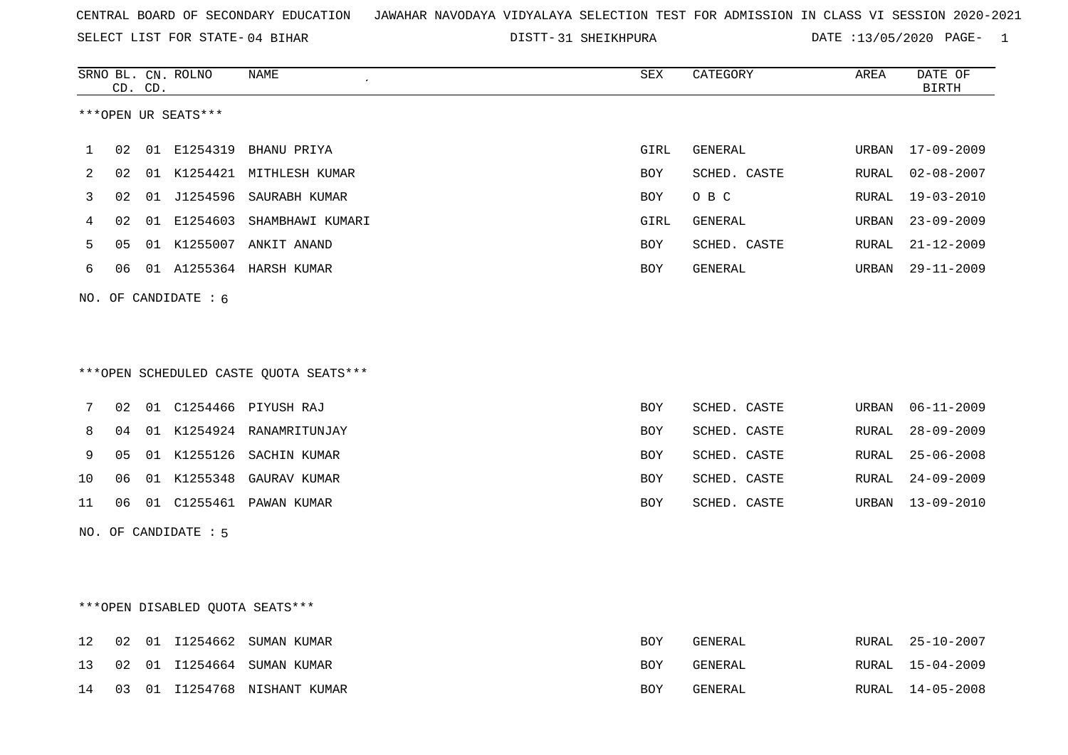SELECT LIST FOR STATE- DISTT- 04 BIHAR

31 SHEIKHPURA DATE :13/05/2020 PAGE- 1

|                   |    | CD. CD. | SRNO BL. CN. ROLNO   | <b>NAME</b>                             | <b>SEX</b> | CATEGORY     | AREA          | DATE OF<br><b>BIRTH</b> |
|-------------------|----|---------|----------------------|-----------------------------------------|------------|--------------|---------------|-------------------------|
|                   |    |         | ***OPEN UR SEATS***  |                                         |            |              |               |                         |
| 1                 | 02 |         |                      | 01 E1254319 BHANU PRIYA                 | GIRL       | GENERAL      | URBAN         | 17-09-2009              |
| 2                 | 02 |         |                      | 01 K1254421 MITHLESH KUMAR              | BOY        | SCHED. CASTE | RURAL         | $02 - 08 - 2007$        |
| 3                 | 02 |         | 01 J1254596          | SAURABH KUMAR                           | <b>BOY</b> | O B C        | RURAL         | $19 - 03 - 2010$        |
| 4                 | 02 |         | 01 E1254603          | SHAMBHAWI KUMARI                        | GIRL       | GENERAL      | URBAN         | $23 - 09 - 2009$        |
| 5                 | 05 |         |                      | 01 K1255007 ANKIT ANAND                 | BOY        | SCHED. CASTE | RURAL         | $21 - 12 - 2009$        |
| 6                 | 06 |         |                      | 01 A1255364 HARSH KUMAR                 | BOY        | GENERAL      | URBAN         | $29 - 11 - 2009$        |
|                   |    |         | NO. OF CANDIDATE : 6 |                                         |            |              |               |                         |
|                   |    |         |                      |                                         |            |              |               |                         |
|                   |    |         |                      |                                         |            |              |               |                         |
|                   |    |         |                      | *** OPEN SCHEDULED CASTE QUOTA SEATS*** |            |              |               |                         |
| 7                 | 02 |         |                      | 01 C1254466 PIYUSH RAJ                  | <b>BOY</b> | SCHED. CASTE | URBAN         | $06 - 11 - 2009$        |
| 8                 | 04 |         |                      | 01 K1254924 RANAMRITUNJAY               | <b>BOY</b> | SCHED. CASTE | RURAL         | $28 - 09 - 2009$        |
| 9                 | 05 |         |                      | 01 K1255126 SACHIN KUMAR                | BOY        | SCHED. CASTE | ${\tt RURAL}$ | $25 - 06 - 2008$        |
| 10                | 06 |         | 01 K1255348          | GAURAV KUMAR                            | BOY        | SCHED. CASTE | RURAL         | $24 - 09 - 2009$        |
| 11                | 06 |         |                      |                                         | <b>BOY</b> | SCHED. CASTE | URBAN         | $13 - 09 - 2010$        |
|                   |    |         | NO. OF CANDIDATE : 5 |                                         |            |              |               |                         |
|                   |    |         |                      |                                         |            |              |               |                         |
|                   |    |         |                      |                                         |            |              |               |                         |
|                   |    |         |                      | ***OPEN DISABLED QUOTA SEATS***         |            |              |               |                         |
| $12 \overline{ }$ | 02 |         | 01 I1254662          | SUMAN KUMAR                             | <b>BOY</b> | GENERAL      | RURAL         | $25 - 10 - 2007$        |
| 13                | 02 |         |                      | 01 I1254664 SUMAN KUMAR                 | <b>BOY</b> | GENERAL      | RURAL         | $15 - 04 - 2009$        |
| 14                | 03 |         |                      | 01 I1254768 NISHANT KUMAR               | <b>BOY</b> | GENERAL      |               | RURAL 14-05-2008        |
|                   |    |         |                      |                                         |            |              |               |                         |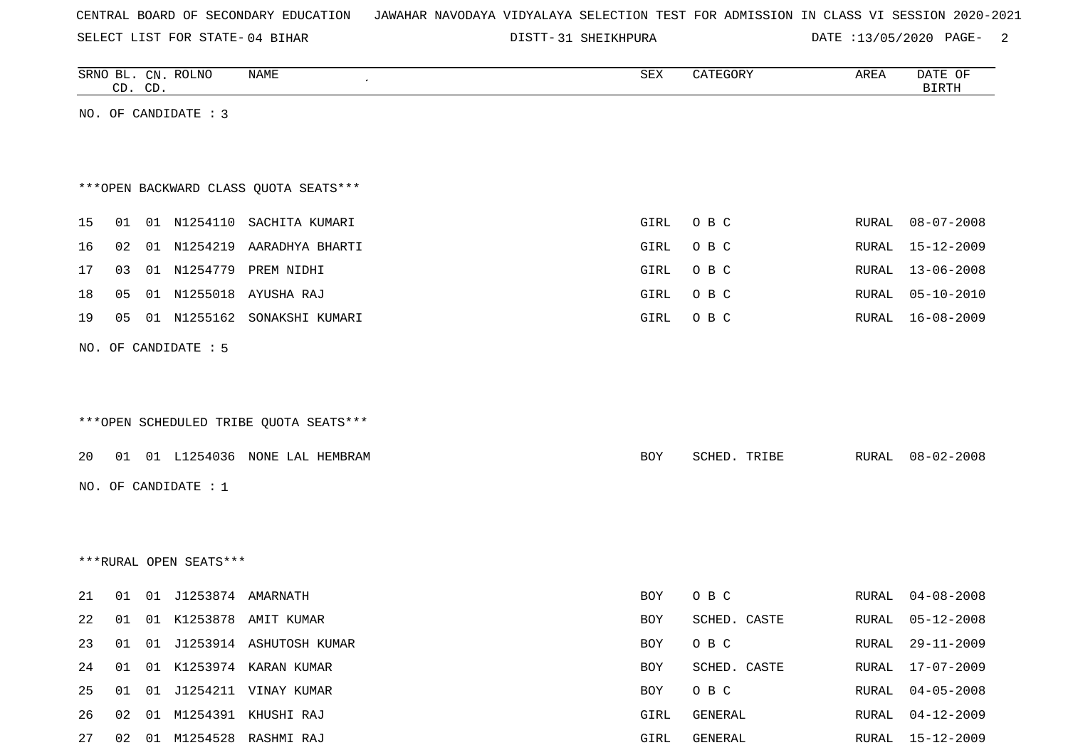SELECT LIST FOR STATE- DISTT- 04 BIHAR

DISTT-31 SHEIKHPURA DATE :13/05/2020 PAGE- 2

|    |    | CD. CD. | SRNO BL. CN. ROLNO     | <b>NAME</b>                            | SEX  | CATEGORY     | AREA  | DATE OF<br><b>BIRTH</b> |
|----|----|---------|------------------------|----------------------------------------|------|--------------|-------|-------------------------|
|    |    |         | NO. OF CANDIDATE : 3   |                                        |      |              |       |                         |
|    |    |         |                        |                                        |      |              |       |                         |
|    |    |         |                        |                                        |      |              |       |                         |
|    |    |         |                        | *** OPEN BACKWARD CLASS QUOTA SEATS*** |      |              |       |                         |
| 15 | 01 |         |                        | 01 N1254110 SACHITA KUMARI             | GIRL | O B C        | RURAL | $08 - 07 - 2008$        |
| 16 | 02 |         | 01 N1254219            | AARADHYA BHARTI                        | GIRL | O B C        | RURAL | $15 - 12 - 2009$        |
| 17 | 03 |         |                        | 01 N1254779 PREM NIDHI                 | GIRL | O B C        | RURAL | 13-06-2008              |
| 18 | 05 | 01      | N1255018               | AYUSHA RAJ                             | GIRL | O B C        | RURAL | $05 - 10 - 2010$        |
| 19 | 05 |         | 01 N1255162            | SONAKSHI KUMARI                        | GIRL | O B C        | RURAL | $16 - 08 - 2009$        |
|    |    |         | NO. OF CANDIDATE : 5   |                                        |      |              |       |                         |
|    |    |         |                        |                                        |      |              |       |                         |
|    |    |         |                        |                                        |      |              |       |                         |
|    |    |         |                        | ***OPEN SCHEDULED TRIBE QUOTA SEATS*** |      |              |       |                         |
| 20 |    |         |                        | 01 01 L1254036 NONE LAL HEMBRAM        | BOY  | SCHED. TRIBE | RURAL | $08 - 02 - 2008$        |
|    |    |         | NO. OF CANDIDATE : 1   |                                        |      |              |       |                         |
|    |    |         |                        |                                        |      |              |       |                         |
|    |    |         |                        |                                        |      |              |       |                         |
|    |    |         |                        |                                        |      |              |       |                         |
|    |    |         | ***RURAL OPEN SEATS*** |                                        |      |              |       |                         |
| 21 | 01 |         | 01 J1253874 AMARNATH   |                                        | BOY  | O B C        | RURAL | $04 - 08 - 2008$        |
| 22 | 01 |         |                        | 01 K1253878 AMIT KUMAR                 | BOY  | SCHED. CASTE | RURAL | $05 - 12 - 2008$        |
| 23 |    |         |                        | 01 01 J1253914 ASHUTOSH KUMAR          | BOY  | O B C        |       | RURAL 29-11-2009        |
| 24 | 01 |         |                        | 01 K1253974 KARAN KUMAR                | BOY  | SCHED. CASTE |       | RURAL 17-07-2009        |
| 25 |    |         |                        | 01 01 J1254211 VINAY KUMAR             | BOY  | O B C        | RURAL | $04 - 05 - 2008$        |
| 26 |    |         |                        | 02 01 M1254391 KHUSHI RAJ              | GIRL | GENERAL      |       | RURAL 04-12-2009        |
| 27 |    |         |                        | 02 01 M1254528 RASHMI RAJ              | GIRL | GENERAL      |       | RURAL 15-12-2009        |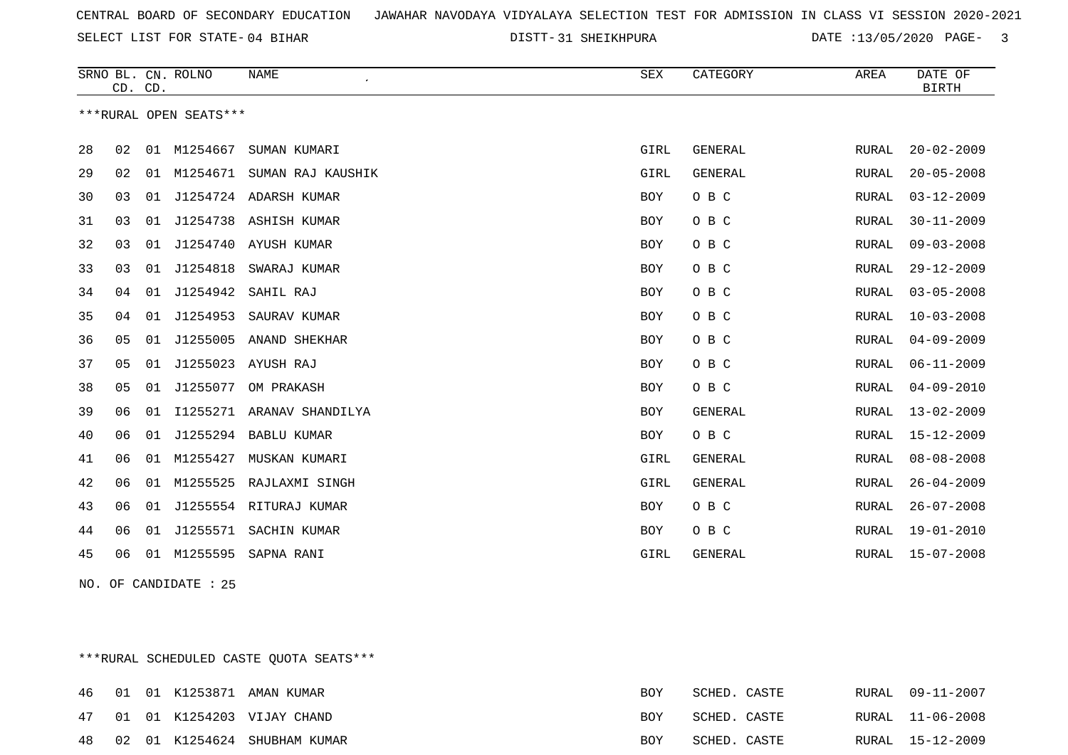SELECT LIST FOR STATE- DISTT- 04 BIHAR

31 SHEIKHPURA DATE :13/05/2020 PAGE- 3

|    | CD. CD. |    | SRNO BL. CN. ROLNO     | <b>NAME</b>            | ${\tt SEX}$ | CATEGORY       | AREA         | DATE OF<br><b>BIRTH</b> |
|----|---------|----|------------------------|------------------------|-------------|----------------|--------------|-------------------------|
|    |         |    | ***RURAL OPEN SEATS*** |                        |             |                |              |                         |
| 28 | 02      | 01 | M1254667               | SUMAN KUMARI           | GIRL        | <b>GENERAL</b> | RURAL        | $20 - 02 - 2009$        |
| 29 | 02      | 01 | M1254671               | SUMAN RAJ KAUSHIK      | GIRL        | <b>GENERAL</b> | RURAL        | $20 - 05 - 2008$        |
| 30 | 03      | 01 |                        | J1254724 ADARSH KUMAR  | BOY         | O B C          | RURAL        | $03 - 12 - 2009$        |
| 31 | 03      | 01 |                        | J1254738 ASHISH KUMAR  | BOY         | O B C          | RURAL        | $30 - 11 - 2009$        |
| 32 | 03      | 01 | J1254740               | AYUSH KUMAR            | BOY         | O B C          | RURAL        | $09 - 03 - 2008$        |
| 33 | 03      | 01 | J1254818               | SWARAJ KUMAR           | BOY         | O B C          | RURAL        | $29 - 12 - 2009$        |
| 34 | 04      | 01 | J1254942               | SAHIL RAJ              | BOY         | O B C          | RURAL        | $03 - 05 - 2008$        |
| 35 | 04      | 01 | J1254953               | SAURAV KUMAR           | BOY         | O B C          | RURAL        | $10 - 03 - 2008$        |
| 36 | 05      | 01 | J1255005               | ANAND SHEKHAR          | BOY         | O B C          | RURAL        | $04 - 09 - 2009$        |
| 37 | 05      | 01 | J1255023               | AYUSH RAJ              | BOY         | O B C          | RURAL        | $06 - 11 - 2009$        |
| 38 | 05      | 01 | J1255077               | OM PRAKASH             | <b>BOY</b>  | O B C          | <b>RURAL</b> | $04 - 09 - 2010$        |
| 39 | 06      | 01 | I1255271               | ARANAV SHANDILYA       | BOY         | GENERAL        | RURAL        | $13 - 02 - 2009$        |
| 40 | 06      | 01 | J1255294               | <b>BABLU KUMAR</b>     | <b>BOY</b>  | O B C          | <b>RURAL</b> | $15 - 12 - 2009$        |
| 41 | 06      | 01 | M1255427               | MUSKAN KUMARI          | GIRL        | <b>GENERAL</b> | RURAL        | $08 - 08 - 2008$        |
| 42 | 06      | 01 | M1255525               | RAJLAXMI SINGH         | GIRL        | <b>GENERAL</b> | <b>RURAL</b> | $26 - 04 - 2009$        |
| 43 | 06      | 01 |                        | J1255554 RITURAJ KUMAR | BOY         | O B C          | RURAL        | $26 - 07 - 2008$        |
| 44 | 06      | 01 | J1255571               | SACHIN KUMAR           | BOY         | O B C          | RURAL        | $19 - 01 - 2010$        |
| 45 | 06      | 01 | M1255595               | SAPNA RANI             | GIRL        | <b>GENERAL</b> | RURAL        | $15 - 07 - 2008$        |

NO. OF CANDIDATE : 25

\*\*\*RURAL SCHEDULED CASTE QUOTA SEATS\*\*\*

| 46 |  | 01 01 K1253871 AMAN KUMAR    | <b>BOY</b> | SCHED. CASTE | RURAL 09-11-2007 |
|----|--|------------------------------|------------|--------------|------------------|
| 47 |  | 01 01 K1254203 VIJAY CHAND   | <b>BOY</b> | SCHED. CASTE | RURAL 11-06-2008 |
| 48 |  | 02 01 K1254624 SHUBHAM KUMAR | <b>ROY</b> | SCHED. CASTE | RURAL 15-12-2009 |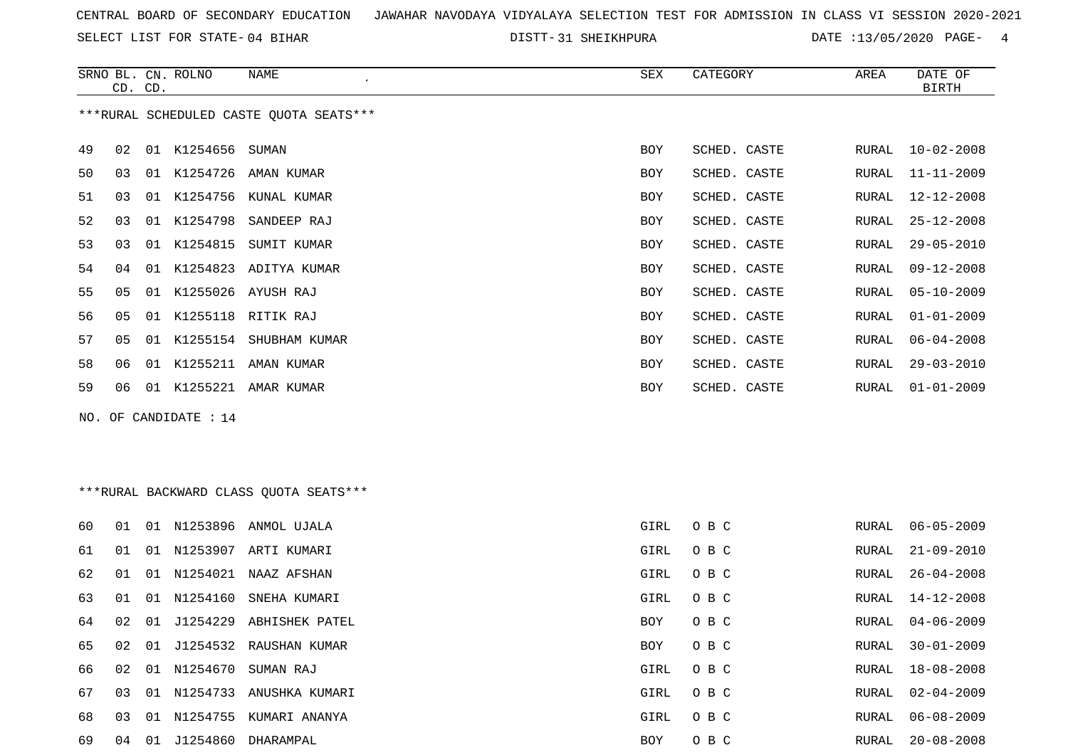SELECT LIST FOR STATE- DISTT- 04 BIHAR

DISTT-31 SHEIKHPURA DATE :13/05/2020 PAGE- 4

|    | CD. CD.        |    | SRNO BL. CN. ROLNO | NAME                                    | SEX        | CATEGORY     | AREA  | DATE OF<br>BIRTH |
|----|----------------|----|--------------------|-----------------------------------------|------------|--------------|-------|------------------|
|    |                |    |                    | ***RURAL SCHEDULED CASTE QUOTA SEATS*** |            |              |       |                  |
| 49 | 02             | 01 | K1254656           | SUMAN                                   | BOY        | SCHED. CASTE | RURAL | $10 - 02 - 2008$ |
| 50 | 03             | 01 | K1254726           | AMAN KUMAR                              | <b>BOY</b> | SCHED. CASTE | RURAL | $11 - 11 - 2009$ |
| 51 | 03             | 01 |                    | K1254756 KUNAL KUMAR                    | <b>BOY</b> | SCHED. CASTE | RURAL | 12-12-2008       |
| 52 | 03             | 01 | K1254798           | SANDEEP RAJ                             | <b>BOY</b> | SCHED. CASTE | RURAL | 25-12-2008       |
| 53 | 03             | 01 | K1254815           | SUMIT KUMAR                             | <b>BOY</b> | SCHED. CASTE | RURAL | $29 - 05 - 2010$ |
| 54 | 04             | 01 |                    | K1254823 ADITYA KUMAR                   | <b>BOY</b> | SCHED. CASTE | RURAL | $09 - 12 - 2008$ |
| 55 | 05             | 01 |                    | K1255026 AYUSH RAJ                      | <b>BOY</b> | SCHED. CASTE | RURAL | $05 - 10 - 2009$ |
| 56 | 05             | 01 |                    | K1255118 RITIK RAJ                      | <b>BOY</b> | SCHED. CASTE | RURAL | $01 - 01 - 2009$ |
| 57 | 0 <sub>5</sub> | 01 |                    | K1255154 SHUBHAM KUMAR                  | <b>BOY</b> | SCHED. CASTE | RURAL | $06 - 04 - 2008$ |
| 58 | 06             | 01 | K1255211           | AMAN KUMAR                              | <b>BOY</b> | SCHED. CASTE | RURAL | $29 - 03 - 2010$ |
| 59 | 06             | 01 |                    | K1255221 AMAR KUMAR                     | <b>BOY</b> | SCHED. CASTE | RURAL | $01 - 01 - 2009$ |
|    |                |    |                    |                                         |            |              |       |                  |

NO. OF CANDIDATE : 14

### \*\*\*RURAL BACKWARD CLASS QUOTA SEATS\*\*\*

| 60 | 01 | 01 | N1253896 | ANMOL UJALA    | GIRL | O B C | RURAL | $06 - 05 - 2009$ |
|----|----|----|----------|----------------|------|-------|-------|------------------|
| 61 | 01 | 01 | N1253907 | ARTI KUMARI    | GIRL | O B C | RURAL | $21 - 09 - 2010$ |
| 62 | 01 | 01 | N1254021 | NAAZ AFSHAN    | GIRL | O B C | RURAL | 26-04-2008       |
| 63 | 01 | 01 | N1254160 | SNEHA KUMARI   | GIRL | O B C | RURAL | 14-12-2008       |
| 64 | 02 | 01 | J1254229 | ABHISHEK PATEL | BOY  | O B C | RURAL | $04 - 06 - 2009$ |
| 65 | 02 | 01 | J1254532 | RAUSHAN KUMAR  | BOY  | O B C | RURAL | $30 - 01 - 2009$ |
| 66 | 02 | 01 | N1254670 | SUMAN RAJ      | GIRL | O B C | RURAL | $18 - 08 - 2008$ |
| 67 | 03 | 01 | N1254733 | ANUSHKA KUMARI | GIRL | O B C | RURAL | $02 - 04 - 2009$ |
| 68 | 03 | 01 | N1254755 | KUMARI ANANYA  | GIRL | O B C | RURAL | 06-08-2009       |
| 69 | 04 | 01 | J1254860 | DHARAMPAL      | BOY  | O B C | RURAL | $20 - 08 - 2008$ |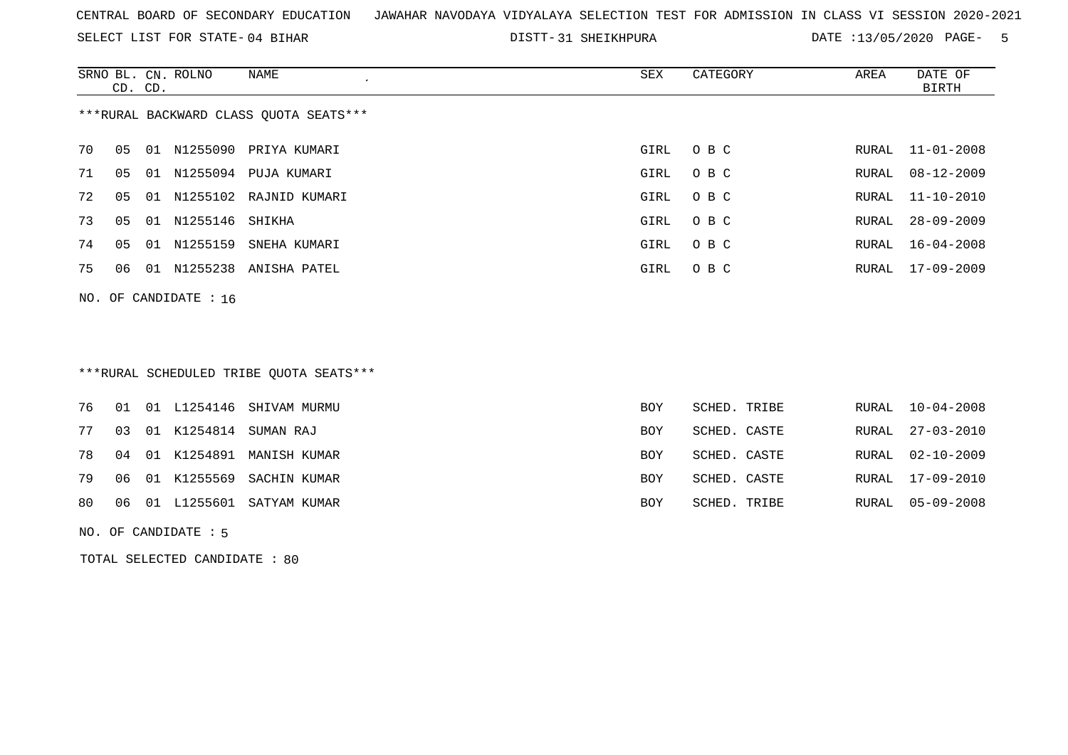SELECT LIST FOR STATE- DISTT- 04 BIHAR

DISTT-31 SHEIKHPURA DATE :13/05/2020 PAGE- 5

|    |                                        | CD. CD. | SRNO BL. CN. ROLNO | NAME<br>$\lambda$      | SEX  | CATEGORY | AREA  | DATE OF<br>BIRTH |
|----|----------------------------------------|---------|--------------------|------------------------|------|----------|-------|------------------|
|    | ***RURAL BACKWARD CLASS QUOTA SEATS*** |         |                    |                        |      |          |       |                  |
| 70 | 05                                     | 01      | N1255090           | PRIYA KUMARI           | GIRL | O B C    |       | RURAL 11-01-2008 |
| 71 | 05                                     | 01      | N1255094           | PUJA KUMARI            | GIRL | O B C    | RURAL | 08-12-2009       |
| 72 | 05                                     | 01      |                    | N1255102 RAJNID KUMARI | GIRL | O B C    |       | RURAL 11-10-2010 |
| 73 | 05                                     | 01      | N1255146 SHIKHA    |                        | GIRL | O B C    | RURAL | $28 - 09 - 2009$ |
| 74 | 05                                     | 01      | N1255159           | SNEHA KUMARI           | GIRL | O B C    | RURAL | $16 - 04 - 2008$ |
| 75 | 06                                     | 01      | N1255238           | ANISHA PATEL           | GIRL | O B C    |       | RURAL 17-09-2009 |
|    | NO. OF CANDIDATE : $16$                |         |                    |                        |      |          |       |                  |

### \*\*\*RURAL SCHEDULED TRIBE QUOTA SEATS\*\*\*

|  |  | 76 01 01 L1254146 SHIVAM MURMU | <b>BOY</b> | SCHED. TRIBE | RURAL 10-04-2008 |
|--|--|--------------------------------|------------|--------------|------------------|
|  |  | 77 03 01 K1254814 SUMAN RAJ    | <b>BOY</b> | SCHED. CASTE | RURAL 27-03-2010 |
|  |  | 78 04 01 K1254891 MANISH KUMAR | BOY        | SCHED. CASTE | RURAL 02-10-2009 |
|  |  | 79 06 01 K1255569 SACHIN KUMAR | BOY        | SCHED. CASTE | RURAL 17-09-2010 |
|  |  | 80 06 01 L1255601 SATYAM KUMAR | BOY        | SCHED. TRIBE | RURAL 05-09-2008 |
|  |  |                                |            |              |                  |

NO. OF CANDIDATE : 5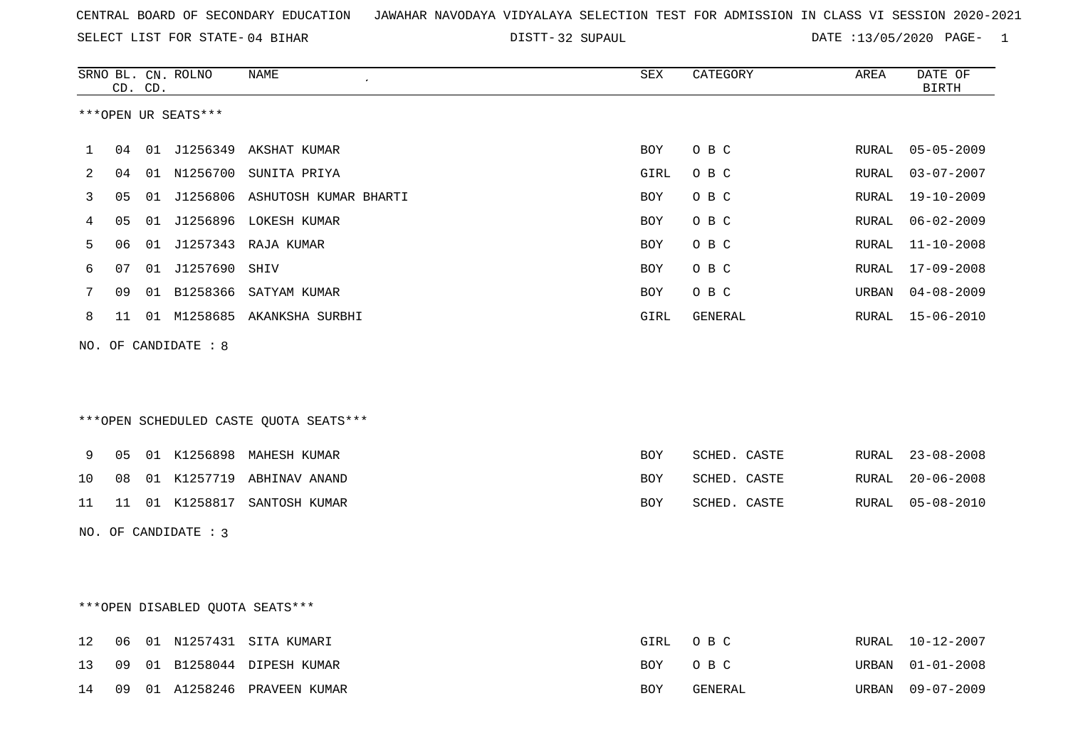32 SUPAUL DATE :13/05/2020 PAGE- 1

|    |    | CD. CD. | SRNO BL. CN. ROLNO   | <b>NAME</b>                            | <b>SEX</b> | CATEGORY     | AREA          | DATE OF<br><b>BIRTH</b> |
|----|----|---------|----------------------|----------------------------------------|------------|--------------|---------------|-------------------------|
|    |    |         | ***OPEN UR SEATS***  |                                        |            |              |               |                         |
| 1  | 04 |         |                      | 01 J1256349 AKSHAT KUMAR               | BOY        | O B C        | RURAL         | $05 - 05 - 2009$        |
| 2  | 04 |         |                      | 01 N1256700 SUNITA PRIYA               | GIRL       | O B C        | RURAL         | $03 - 07 - 2007$        |
| 3  | 05 |         |                      | 01 J1256806 ASHUTOSH KUMAR BHARTI      | BOY        | O B C        | RURAL         | 19-10-2009              |
| 4  | 05 |         |                      | 01 J1256896 LOKESH KUMAR               | BOY        | O B C        | RURAL         | $06 - 02 - 2009$        |
| 5  | 06 |         |                      | 01 J1257343 RAJA KUMAR                 | BOY        | O B C        | RURAL         | $11 - 10 - 2008$        |
| 6  | 07 |         | 01 J1257690 SHIV     |                                        | BOY        | O B C        | RURAL         | $17 - 09 - 2008$        |
| 7  | 09 |         |                      | 01 B1258366 SATYAM KUMAR               | BOY        | O B C        | URBAN         | $04 - 08 - 2009$        |
| 8  | 11 |         |                      | 01 M1258685 AKANKSHA SURBHI            | GIRL       | GENERAL      | RURAL         | 15-06-2010              |
|    |    |         | NO. OF CANDIDATE : 8 |                                        |            |              |               |                         |
|    |    |         |                      |                                        |            |              |               |                         |
|    |    |         |                      |                                        |            |              |               |                         |
|    |    |         |                      | ***OPEN SCHEDULED CASTE QUOTA SEATS*** |            |              |               |                         |
| 9  | 05 |         |                      | 01 K1256898 MAHESH KUMAR               | BOY        | SCHED. CASTE | RURAL         | $23 - 08 - 2008$        |
| 10 | 08 |         |                      | 01 K1257719 ABHINAV ANAND              | BOY        | SCHED. CASTE | ${\tt RURAL}$ | $20 - 06 - 2008$        |
| 11 | 11 |         |                      | 01 K1258817 SANTOSH KUMAR              | BOY        | SCHED. CASTE | RURAL         | $05 - 08 - 2010$        |
|    |    |         | NO. OF CANDIDATE : 3 |                                        |            |              |               |                         |
|    |    |         |                      |                                        |            |              |               |                         |
|    |    |         |                      |                                        |            |              |               |                         |
|    |    |         |                      | ***OPEN DISABLED OUOTA SEATS***        |            |              |               |                         |
| 12 | 06 |         |                      | 01 N1257431 SITA KUMARI                | GIRL       | O B C        | RURAL         | $10 - 12 - 2007$        |
| 13 | 09 |         |                      | 01 B1258044 DIPESH KUMAR               | BOY        | O B C        | URBAN         | $01 - 01 - 2008$        |
| 14 | 09 |         |                      | 01 A1258246 PRAVEEN KUMAR              | BOY        | GENERAL      | URBAN         | $09 - 07 - 2009$        |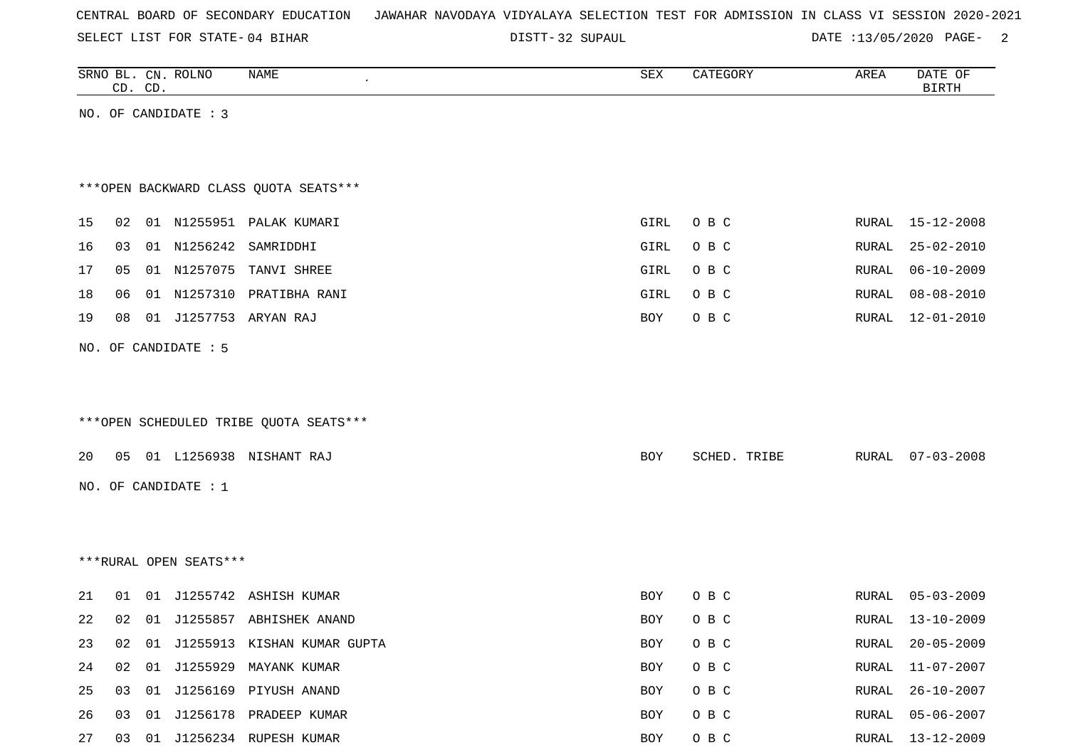| CENTRAL BOARD OF SECONDARY EDUCATION – JAWAHAR NAVODAYA VIDYALAYA SELECTION TEST FOR ADMISSION IN CLASS VI SESSION 2020-2021 |  |  |  |  |  |  |  |  |  |  |  |  |  |  |  |  |  |
|------------------------------------------------------------------------------------------------------------------------------|--|--|--|--|--|--|--|--|--|--|--|--|--|--|--|--|--|
|------------------------------------------------------------------------------------------------------------------------------|--|--|--|--|--|--|--|--|--|--|--|--|--|--|--|--|--|

DISTT-32 SUPAUL 20020 PAGE- 2

|    |    | CD. CD. | SRNO BL. CN. ROLNO     | <b>NAME</b>                            | SEX        | CATEGORY     | AREA         | DATE OF<br><b>BIRTH</b> |
|----|----|---------|------------------------|----------------------------------------|------------|--------------|--------------|-------------------------|
|    |    |         | NO. OF CANDIDATE : 3   |                                        |            |              |              |                         |
|    |    |         |                        |                                        |            |              |              |                         |
|    |    |         |                        |                                        |            |              |              |                         |
|    |    |         |                        | *** OPEN BACKWARD CLASS OUOTA SEATS*** |            |              |              |                         |
| 15 | 02 |         |                        | 01 N1255951 PALAK KUMARI               | GIRL       | O B C        | RURAL        | $15 - 12 - 2008$        |
| 16 | 03 |         | 01 N1256242            | SAMRIDDHI                              | GIRL       | O B C        | <b>RURAL</b> | $25 - 02 - 2010$        |
| 17 | 05 |         |                        | 01 N1257075 TANVI SHREE                | GIRL       | O B C        | RURAL        | $06 - 10 - 2009$        |
| 18 | 06 |         |                        | 01 N1257310 PRATIBHA RANI              | GIRL       | O B C        | RURAL        | $08 - 08 - 2010$        |
| 19 | 08 |         |                        | 01 J1257753 ARYAN RAJ                  | <b>BOY</b> | O B C        | RURAL        | 12-01-2010              |
|    |    |         | NO. OF CANDIDATE : 5   |                                        |            |              |              |                         |
|    |    |         |                        |                                        |            |              |              |                         |
|    |    |         |                        |                                        |            |              |              |                         |
|    |    |         |                        | ***OPEN SCHEDULED TRIBE QUOTA SEATS*** |            |              |              |                         |
| 20 | 05 |         |                        | 01 L1256938 NISHANT RAJ                | <b>BOY</b> | SCHED. TRIBE | RURAL        | $07 - 03 - 2008$        |
|    |    |         |                        |                                        |            |              |              |                         |
|    |    |         | NO. OF CANDIDATE : 1   |                                        |            |              |              |                         |
|    |    |         |                        |                                        |            |              |              |                         |
|    |    |         |                        |                                        |            |              |              |                         |
|    |    |         | ***RURAL OPEN SEATS*** |                                        |            |              |              |                         |
| 21 | 01 |         |                        | 01 J1255742 ASHISH KUMAR               | BOY        | O B C        | RURAL        | $05 - 03 - 2009$        |
| 22 | 02 |         |                        | 01 J1255857 ABHISHEK ANAND             | <b>BOY</b> | O B C        | <b>RURAL</b> | $13 - 10 - 2009$        |
| 23 | 02 |         |                        | 01 J1255913 KISHAN KUMAR GUPTA         | <b>BOY</b> | O B C        | <b>RURAL</b> | $20 - 05 - 2009$        |
| 24 | 02 |         | 01 J1255929            | MAYANK KUMAR                           | <b>BOY</b> | O B C        | RURAL        | $11 - 07 - 2007$        |
| 25 | 03 |         |                        | 01 J1256169 PIYUSH ANAND               | BOY        | O B C        | RURAL        | $26 - 10 - 2007$        |
| 26 | 03 |         |                        | 01 J1256178 PRADEEP KUMAR              | <b>BOY</b> | O B C        | RURAL        | $05 - 06 - 2007$        |

27 03 01 J1256234 RUPESH KUMAR 2009 BOY O B C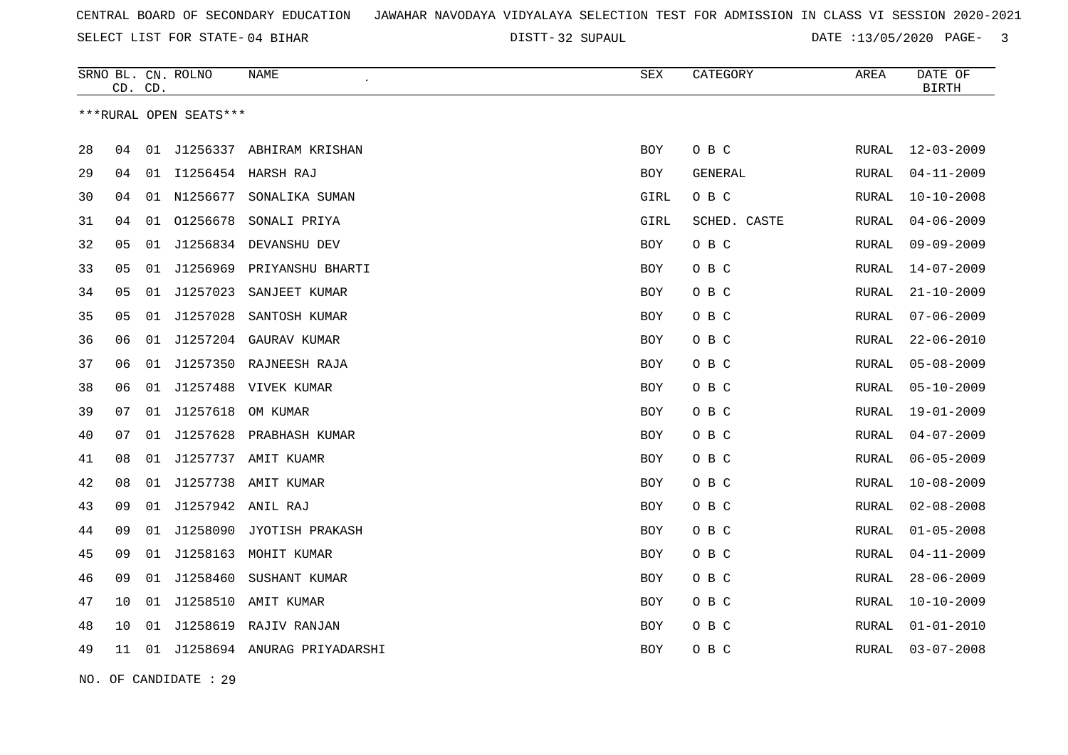SELECT LIST FOR STATE- DISTT- 04 BIHAR

32 SUPAUL DATE :13/05/2020 PAGE- 3

|    | CD. CD. |    | SRNO BL. CN. ROLNO     | <b>NAME</b>                  | ${\tt SEX}$ | CATEGORY     | AREA         | DATE OF<br><b>BIRTH</b> |
|----|---------|----|------------------------|------------------------------|-------------|--------------|--------------|-------------------------|
|    |         |    | ***RURAL OPEN SEATS*** |                              |             |              |              |                         |
| 28 | 04      | 01 | J1256337               | ABHIRAM KRISHAN              | <b>BOY</b>  | O B C        | <b>RURAL</b> | $12 - 03 - 2009$        |
| 29 | 04      | 01 |                        | I1256454 HARSH RAJ           | <b>BOY</b>  | GENERAL      | <b>RURAL</b> | $04 - 11 - 2009$        |
| 30 | 04      | 01 | N1256677               | SONALIKA SUMAN               | GIRL        | $O$ B $C$    | <b>RURAL</b> | $10 - 10 - 2008$        |
| 31 | 04      | 01 | 01256678               | SONALI PRIYA                 | GIRL        | SCHED. CASTE | RURAL        | $04 - 06 - 2009$        |
| 32 | 05      | 01 | J1256834               | DEVANSHU DEV                 | BOY         | O B C        | RURAL        | $09 - 09 - 2009$        |
| 33 | 05      |    |                        | 01 J1256969 PRIYANSHU BHARTI | <b>BOY</b>  | O B C        | <b>RURAL</b> | $14 - 07 - 2009$        |
| 34 | 05      | 01 | J1257023               | SANJEET KUMAR                | BOY         | O B C        | RURAL        | $21 - 10 - 2009$        |
| 35 | 05      | 01 | J1257028               | SANTOSH KUMAR                | BOY         | O B C        | RURAL        | $07 - 06 - 2009$        |
| 36 | 06      | 01 | J1257204               | GAURAV KUMAR                 | <b>BOY</b>  | O B C        | RURAL        | $22 - 06 - 2010$        |
| 37 | 06      | 01 | J1257350               | RAJNEESH RAJA                | BOY         | O B C        | RURAL        | $05 - 08 - 2009$        |
| 38 | 06      | 01 | J1257488               | VIVEK KUMAR                  | <b>BOY</b>  | O B C        | <b>RURAL</b> | $05 - 10 - 2009$        |
| 39 | 07      | 01 | J1257618               | OM KUMAR                     | <b>BOY</b>  | O B C        | <b>RURAL</b> | $19 - 01 - 2009$        |
| 40 | 07      | 01 | J1257628               | PRABHASH KUMAR               | BOY         | O B C        | RURAL        | $04 - 07 - 2009$        |
| 41 | 08      | 01 |                        | J1257737 AMIT KUAMR          | BOY         | O B C        | RURAL        | $06 - 05 - 2009$        |
| 42 | 08      | 01 | J1257738               | AMIT KUMAR                   | <b>BOY</b>  | O B C        | <b>RURAL</b> | $10 - 08 - 2009$        |
| 43 | 09      |    | 01 J1257942 ANIL RAJ   |                              | <b>BOY</b>  | O B C        | RURAL        | $02 - 08 - 2008$        |
| 44 | 09      | 01 | J1258090               | JYOTISH PRAKASH              | <b>BOY</b>  | O B C        | <b>RURAL</b> | $01 - 05 - 2008$        |
| 45 | 09      | 01 | J1258163               | MOHIT KUMAR                  | <b>BOY</b>  | O B C        | <b>RURAL</b> | $04 - 11 - 2009$        |
| 46 | 09      | 01 | J1258460               | SUSHANT KUMAR                | BOY         | O B C        | RURAL        | $28 - 06 - 2009$        |
| 47 | 10      | 01 |                        | J1258510 AMIT KUMAR          | <b>BOY</b>  | O B C        | RURAL        | $10 - 10 - 2009$        |
| 48 | 10      | 01 | J1258619               | RAJIV RANJAN                 | BOY         | O B C        | RURAL        | $01 - 01 - 2010$        |
| 49 | 11      | 01 |                        | J1258694 ANURAG PRIYADARSHI  | BOY         | O B C        | RURAL        | $03 - 07 - 2008$        |

NO. OF CANDIDATE : 29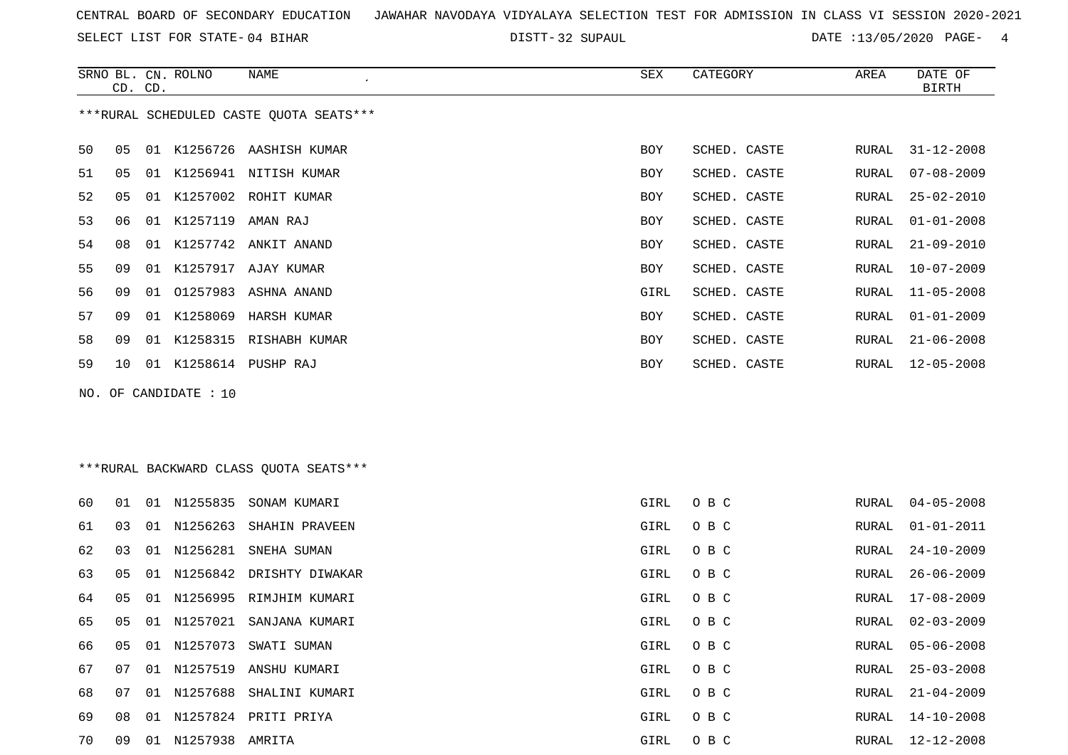SELECT LIST FOR STATE- DISTT- 04 BIHAR

DISTT-32 SUPAUL 2020 PATE :13/05/2020 PAGE- 4

|    |    | CD. CD. | SRNO BL. CN. ROLNO    | NAME                                    | SEX        | CATEGORY     | AREA  | DATE OF<br><b>BIRTH</b> |
|----|----|---------|-----------------------|-----------------------------------------|------------|--------------|-------|-------------------------|
|    |    |         |                       | ***RURAL SCHEDULED CASTE QUOTA SEATS*** |            |              |       |                         |
| 50 | 05 |         |                       | 01 K1256726 AASHISH KUMAR               | BOY        | SCHED. CASTE | RURAL | $31 - 12 - 2008$        |
| 51 | 05 |         |                       | 01 K1256941 NITISH KUMAR                | BOY        | SCHED. CASTE | RURAL | 07-08-2009              |
| 52 | 05 |         |                       | 01 K1257002 ROHIT KUMAR                 | BOY        | SCHED. CASTE | RURAL | $25 - 02 - 2010$        |
| 53 | 06 | 01      | K1257119              | AMAN RAJ                                | <b>BOY</b> | SCHED. CASTE | RURAL | $01 - 01 - 2008$        |
| 54 | 08 | 01      |                       | K1257742 ANKIT ANAND                    | BOY        | SCHED. CASTE | RURAL | $21 - 09 - 2010$        |
| 55 | 09 |         |                       | 01 K1257917 AJAY KUMAR                  | <b>BOY</b> | SCHED. CASTE | RURAL | $10 - 07 - 2009$        |
| 56 | 09 | 01      |                       | 01257983 ASHNA ANAND                    | GIRL       | SCHED. CASTE | RURAL | $11 - 05 - 2008$        |
| 57 | 09 | 01      |                       | K1258069 HARSH KUMAR                    | <b>BOY</b> | SCHED. CASTE | RURAL | $01 - 01 - 2009$        |
| 58 | 09 |         |                       | 01 K1258315 RISHABH KUMAR               | <b>BOY</b> | SCHED. CASTE | RURAL | $21 - 06 - 2008$        |
| 59 | 10 |         |                       | 01 K1258614 PUSHP RAJ                   | <b>BOY</b> | SCHED. CASTE | RURAL | $12 - 05 - 2008$        |
|    |    |         | NO. OF CANDIDATE : 10 |                                         |            |              |       |                         |

\*\*\*RURAL BACKWARD CLASS QUOTA SEATS\*\*\*

| 60 | 01 | 01 | N1255835        | SONAM KUMARI                | GIRL | O B C | RURAL | 04-05-2008       |
|----|----|----|-----------------|-----------------------------|------|-------|-------|------------------|
| 61 | 03 | 01 |                 | N1256263 SHAHIN PRAVEEN     | GIRL | O B C | RURAL | 01-01-2011       |
| 62 | 03 |    |                 | 01 N1256281 SNEHA SUMAN     | GIRL | O B C | RURAL | 24-10-2009       |
| 63 | 05 |    |                 | 01 N1256842 DRISHTY DIWAKAR | GIRL | O B C | RURAL | 26-06-2009       |
| 64 | 05 |    |                 | 01 N1256995 RIMJHIM KUMARI  | GIRL | O B C | RURAL | 17-08-2009       |
| 65 | 05 | 01 | N1257021        | SANJANA KUMARI              | GIRL | O B C | RURAL | $02 - 03 - 2009$ |
| 66 | 05 |    | 01 N1257073     | SWATI SUMAN                 | GIRL | O B C |       | RURAL 05-06-2008 |
| 67 | 07 | 01 | N1257519        | ANSHU KUMARI                | GIRL | O B C | RURAL | $25 - 03 - 2008$ |
| 68 | 07 |    |                 | 01 N1257688 SHALINI KUMARI  | GIRL | O B C | RURAL | 21-04-2009       |
| 69 | 08 | 01 |                 | N1257824 PRITI PRIYA        | GIRL | O B C | RURAL | 14-10-2008       |
| 70 | 09 | 01 | N1257938 AMRITA |                             | GIRL | O B C | RURAL | 12-12-2008       |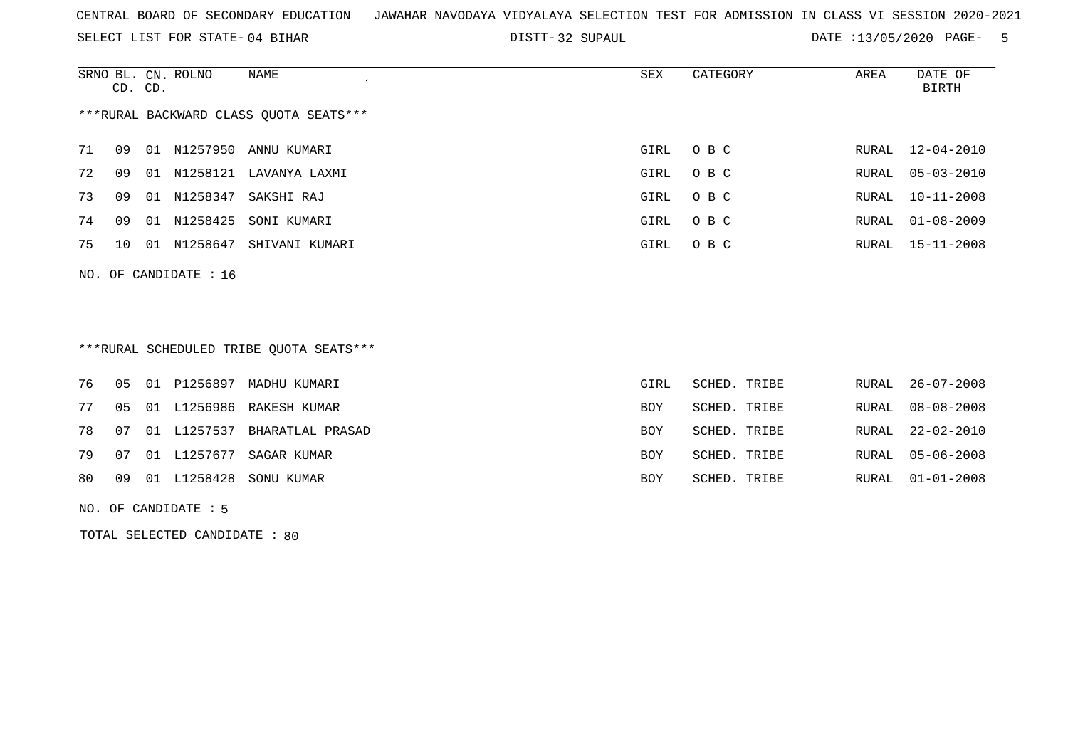SELECT LIST FOR STATE- DISTT- 04 BIHAR

32 SUPAUL DATE :13/05/2020 PAGE- 5

|                                        | CD. CD. |       | SRNO BL. CN. ROLNO | NAME<br>$\cdot$ | SEX  | CATEGORY | AREA  | DATE OF<br>BIRTH |
|----------------------------------------|---------|-------|--------------------|-----------------|------|----------|-------|------------------|
| ***RURAL BACKWARD CLASS OUOTA SEATS*** |         |       |                    |                 |      |          |       |                  |
| 71                                     | 09      | O 1   | N1257950           | ANNU KUMARI     | GIRL | O B C    | RURAL | 12-04-2010       |
| 72                                     | 09      | 01    | N1258121           | LAVANYA LAXMI   | GIRL | $O$ B C  | RURAL | $05 - 03 - 2010$ |
| 73                                     | 09      | . N 1 | N1258347           | SAKSHI RAJ      | GIRL | O B C    | RURAL | $10 - 11 - 2008$ |
| 74                                     | 09      | 01    | N1258425           | SONI KUMARI     | GIRL | O B C    | RURAL | $01 - 08 - 2009$ |
| 75                                     | 10      | 01    | N1258647           | SHIVANI KUMARI  | GIRL | O B C    |       | RURAL 15-11-2008 |

### \*\*\*RURAL SCHEDULED TRIBE QUOTA SEATS\*\*\*

|  |  | 76   05   01   P1256897   MADHU   KUMARI | GIRL       | SCHED. TRIBE | RURAL 26-07-2008 |
|--|--|------------------------------------------|------------|--------------|------------------|
|  |  | 77 05 01 L1256986 RAKESH KUMAR           | BOY        | SCHED. TRIBE | RURAL 08-08-2008 |
|  |  | 78 07 01 L1257537 BHARATLAL PRASAD       | <b>BOY</b> | SCHED. TRIBE | RURAL 22-02-2010 |
|  |  | 79 07 01 L1257677 SAGAR KUMAR            | <b>BOY</b> | SCHED. TRIBE | RURAL 05-06-2008 |
|  |  | 80 09 01 L1258428 SONU KUMAR             | BOY        | SCHED. TRIBE | RURAL 01-01-2008 |

NO. OF CANDIDATE : 5

NO. OF CANDIDATE : 16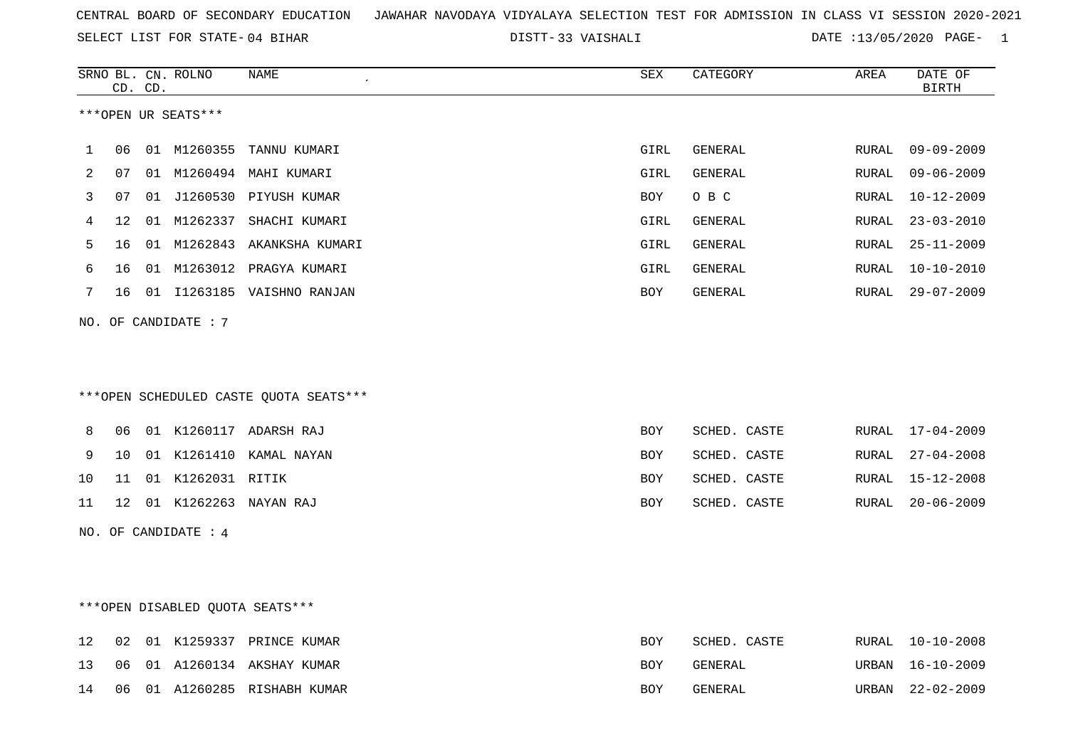SELECT LIST FOR STATE- DISTT- 04 BIHAR

33 VAISHALI DATE :13/05/2020 PAGE- 1

|     |    | CD. CD. | SRNO BL. CN. ROLNO   | NAME                                   | <b>SEX</b> | CATEGORY     | AREA  | DATE OF<br><b>BIRTH</b> |
|-----|----|---------|----------------------|----------------------------------------|------------|--------------|-------|-------------------------|
|     |    |         | ***OPEN UR SEATS***  |                                        |            |              |       |                         |
| 1   | 06 |         |                      | 01 M1260355 TANNU KUMARI               | GIRL       | GENERAL      | RURAL | 09-09-2009              |
| 2   | 07 |         |                      | 01 M1260494 MAHI KUMARI                | GIRL       | GENERAL      | RURAL | $09 - 06 - 2009$        |
| 3   | 07 |         |                      | 01 J1260530 PIYUSH KUMAR               | BOY        | O B C        | RURAL | $10 - 12 - 2009$        |
| 4   | 12 |         |                      | 01 M1262337 SHACHI KUMARI              | GIRL       | GENERAL      | RURAL | $23 - 03 - 2010$        |
| 5   | 16 |         |                      | 01 M1262843 AKANKSHA KUMARI            | GIRL       | GENERAL      | RURAL | $25 - 11 - 2009$        |
| 6   | 16 | 01      |                      | M1263012 PRAGYA KUMARI                 | GIRL       | GENERAL      | RURAL | $10 - 10 - 2010$        |
| 7   | 16 |         |                      | 01 I1263185 VAISHNO RANJAN             | BOY        | GENERAL      | RURAL | $29 - 07 - 2009$        |
| NO. |    |         | OF CANDIDATE: 7      |                                        |            |              |       |                         |
|     |    |         |                      | ***OPEN SCHEDULED CASTE QUOTA SEATS*** |            |              |       |                         |
|     |    |         |                      |                                        |            |              |       |                         |
| 8   | 06 |         |                      | 01 K1260117 ADARSH RAJ                 | BOY        | SCHED. CASTE |       | RURAL 17-04-2009        |
| 9   | 10 |         |                      | 01 K1261410 KAMAL NAYAN                | BOY        | SCHED. CASTE | RURAL | $27 - 04 - 2008$        |
| 10  | 11 |         | 01 K1262031 RITIK    |                                        | <b>BOY</b> | SCHED. CASTE | RURAL | $15 - 12 - 2008$        |
| 11  | 12 |         |                      | 01 K1262263 NAYAN RAJ                  | BOY        | SCHED. CASTE | RURAL | $20 - 06 - 2009$        |
|     |    |         | NO. OF CANDIDATE : 4 |                                        |            |              |       |                         |
|     |    |         |                      |                                        |            |              |       |                         |
|     |    |         |                      | *** OPEN DISABLED QUOTA SEATS***       |            |              |       |                         |
| 12  | 02 |         |                      | 01 K1259337 PRINCE KUMAR               | BOY        | SCHED. CASTE | RURAL | $10 - 10 - 2008$        |
| 13  | 06 |         |                      | 01 A1260134 AKSHAY KUMAR               | BOY        | GENERAL      | URBAN | $16 - 10 - 2009$        |
| 14  | 06 |         |                      | 01 A1260285 RISHABH KUMAR              | <b>BOY</b> | GENERAL      | URBAN | $22 - 02 - 2009$        |
|     |    |         |                      |                                        |            |              |       |                         |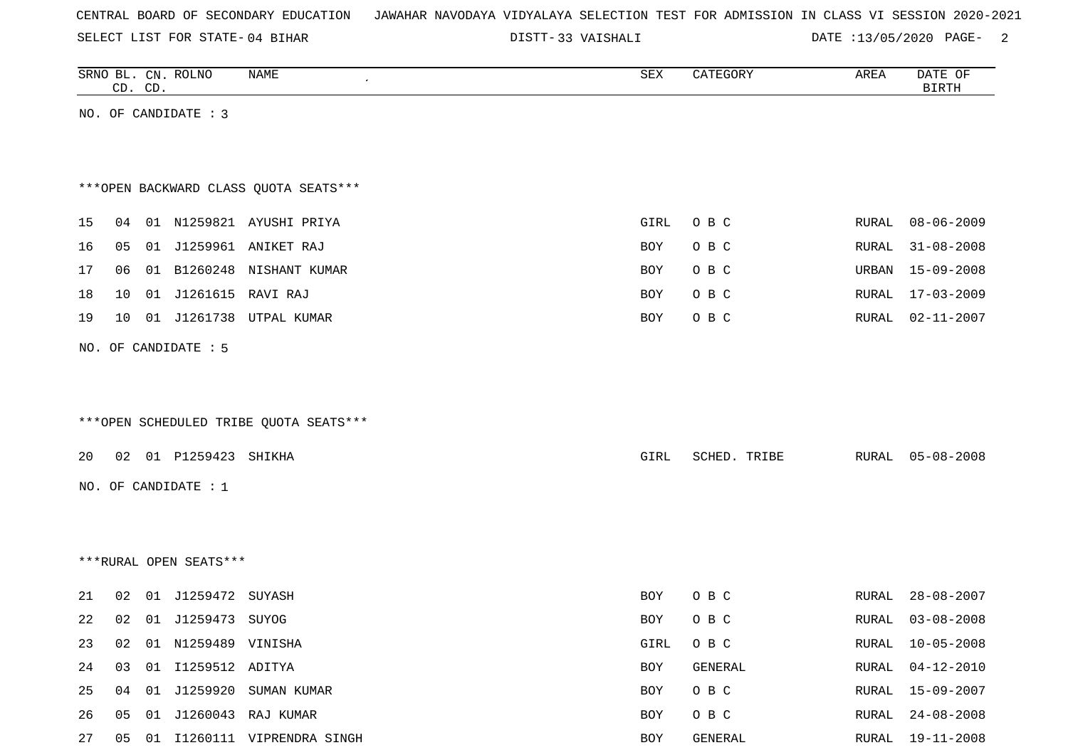SELECT LIST FOR STATE- DISTT- 04 BIHAR

33 VAISHALI DATE :13/05/2020 PAGE- 2

|    |    | CD. CD. | SRNO BL. CN. ROLNO     | NAME                                   | ${\tt SEX}$ | CATEGORY     | AREA  | DATE OF<br><b>BIRTH</b> |
|----|----|---------|------------------------|----------------------------------------|-------------|--------------|-------|-------------------------|
|    |    |         | NO. OF CANDIDATE : 3   |                                        |             |              |       |                         |
|    |    |         |                        |                                        |             |              |       |                         |
|    |    |         |                        |                                        |             |              |       |                         |
|    |    |         |                        | *** OPEN BACKWARD CLASS QUOTA SEATS*** |             |              |       |                         |
| 15 | 04 |         |                        | 01 N1259821 AYUSHI PRIYA               | GIRL        | O B C        | RURAL | $08 - 06 - 2009$        |
| 16 | 05 | 01      |                        | J1259961 ANIKET RAJ                    |             |              |       | $31 - 08 - 2008$        |
|    |    |         |                        |                                        | BOY         | O B C        | RURAL |                         |
| 17 | 06 |         |                        | 01 B1260248 NISHANT KUMAR              | BOY         | O B C        | URBAN | 15-09-2008              |
| 18 | 10 | 01      | J1261615 RAVI RAJ      |                                        | BOY         | O B C        | RURAL | 17-03-2009              |
| 19 | 10 |         | 01 J1261738            | UTPAL KUMAR                            | BOY         | O B C        | RURAL | $02 - 11 - 2007$        |
|    |    |         | NO. OF CANDIDATE : 5   |                                        |             |              |       |                         |
|    |    |         |                        |                                        |             |              |       |                         |
|    |    |         |                        |                                        |             |              |       |                         |
|    |    |         |                        | ***OPEN SCHEDULED TRIBE QUOTA SEATS*** |             |              |       |                         |
|    |    |         |                        |                                        |             |              |       |                         |
| 20 |    |         | 02 01 P1259423         | SHIKHA                                 | GIRL        | SCHED. TRIBE | RURAL | $05 - 08 - 2008$        |
|    |    |         | NO. OF CANDIDATE : $1$ |                                        |             |              |       |                         |
|    |    |         |                        |                                        |             |              |       |                         |
|    |    |         |                        |                                        |             |              |       |                         |
|    |    |         | ***RURAL OPEN SEATS*** |                                        |             |              |       |                         |
|    |    |         |                        |                                        |             |              |       |                         |
| 21 | 02 | 01      | J1259472 SUYASH        |                                        | BOY         | O B C        | RURAL | $28 - 08 - 2007$        |
| 22 | 02 |         | 01 J1259473 SUYOG      |                                        | BOY         | O B C        | RURAL | $03 - 08 - 2008$        |
| 23 | 02 |         | 01 N1259489 VINISHA    |                                        | GIRL        | O B C        |       | RURAL 10-05-2008        |
| 24 | 03 |         | 01 I1259512 ADITYA     |                                        | BOY         | GENERAL      | RURAL | $04 - 12 - 2010$        |
| 25 | 04 | 01      |                        | J1259920 SUMAN KUMAR                   | BOY         | O B C        | RURAL | 15-09-2007              |
| 26 | 05 | 01      |                        | J1260043 RAJ KUMAR                     | BOY         | O B C        | RURAL | $24 - 08 - 2008$        |
| 27 |    |         |                        | 05 01 I1260111 VIPRENDRA SINGH         | BOY         | GENERAL      |       | RURAL 19-11-2008        |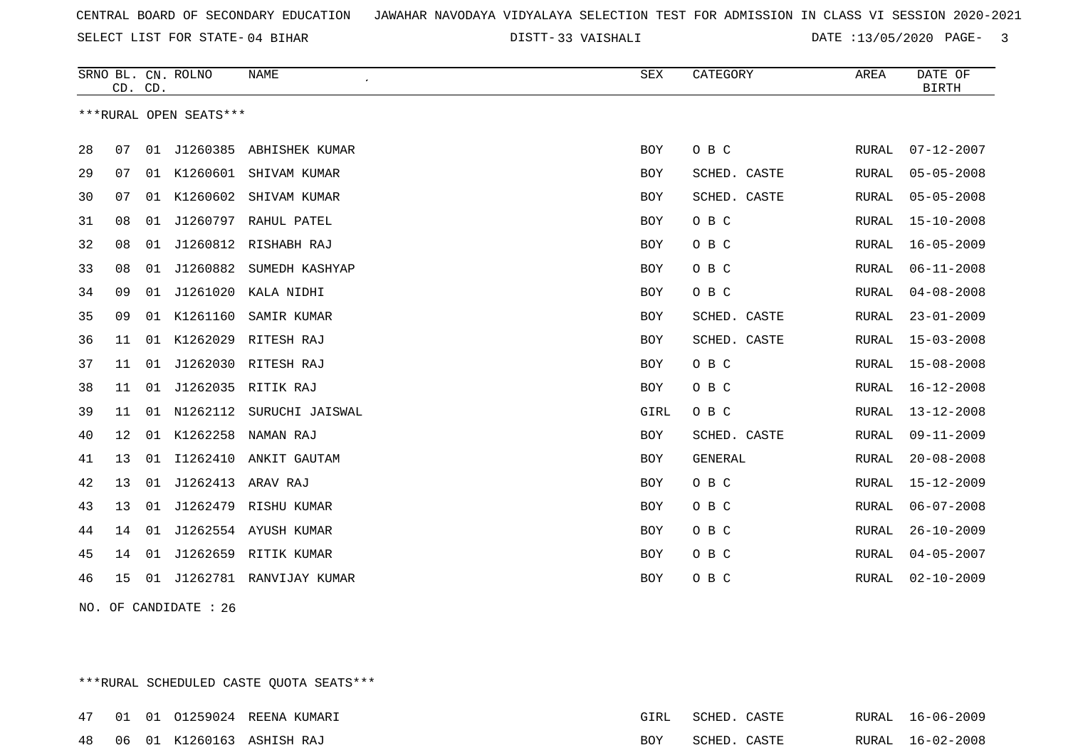33 VAISHALI DATE :13/05/2020 PAGE- 3

|    | CD. CD. |    | SRNO BL. CN. ROLNO     | <b>NAME</b>                | <b>SEX</b> | CATEGORY       | AREA         | DATE OF<br><b>BIRTH</b> |
|----|---------|----|------------------------|----------------------------|------------|----------------|--------------|-------------------------|
|    |         |    | ***RURAL OPEN SEATS*** |                            |            |                |              |                         |
|    |         |    |                        |                            |            |                |              |                         |
| 28 | 07      |    |                        | 01 J1260385 ABHISHEK KUMAR | <b>BOY</b> | O B C          | RURAL        | $07 - 12 - 2007$        |
| 29 | 07      |    |                        | 01 K1260601 SHIVAM KUMAR   | <b>BOY</b> | SCHED. CASTE   | RURAL        | $05 - 05 - 2008$        |
| 30 | 07      | 01 | K1260602               | SHIVAM KUMAR               | <b>BOY</b> | SCHED. CASTE   | <b>RURAL</b> | $05 - 05 - 2008$        |
| 31 | 08      | 01 |                        | J1260797 RAHUL PATEL       | <b>BOY</b> | O B C          | RURAL        | $15 - 10 - 2008$        |
| 32 | 08      | 01 |                        | J1260812 RISHABH RAJ       | <b>BOY</b> | O B C          | RURAL        | $16 - 05 - 2009$        |
| 33 | 08      | 01 | J1260882               | SUMEDH KASHYAP             | <b>BOY</b> | O B C          | RURAL        | $06 - 11 - 2008$        |
| 34 | 09      | 01 | J1261020               | KALA NIDHI                 | BOY        | O B C          | RURAL        | $04 - 08 - 2008$        |
| 35 | 09      |    | 01 K1261160            | SAMIR KUMAR                | <b>BOY</b> | SCHED. CASTE   | RURAL        | $23 - 01 - 2009$        |
| 36 | 11      |    | 01 K1262029            | RITESH RAJ                 | <b>BOY</b> | SCHED. CASTE   | RURAL        | $15 - 03 - 2008$        |
| 37 | 11      | 01 |                        | J1262030 RITESH RAJ        | BOY        | O B C          | RURAL        | $15 - 08 - 2008$        |
| 38 | 11      |    |                        | 01 J1262035 RITIK RAJ      | <b>BOY</b> | O B C          | RURAL        | $16 - 12 - 2008$        |
| 39 | 11      |    | 01 N1262112            | SURUCHI JAISWAL            | GIRL       | O B C          | RURAL        | $13 - 12 - 2008$        |
| 40 | 12      | 01 | K1262258               | NAMAN RAJ                  | <b>BOY</b> | SCHED. CASTE   | <b>RURAL</b> | $09 - 11 - 2009$        |
| 41 | 13      |    |                        | 01 I1262410 ANKIT GAUTAM   | <b>BOY</b> | <b>GENERAL</b> | RURAL        | $20 - 08 - 2008$        |
| 42 | 13      | 01 | J1262413               | ARAV RAJ                   | <b>BOY</b> | O B C          | RURAL        | $15 - 12 - 2009$        |
| 43 | 13      | 01 | J1262479               | RISHU KUMAR                | <b>BOY</b> | O B C          | RURAL        | $06 - 07 - 2008$        |
| 44 | 14      |    |                        | 01 J1262554 AYUSH KUMAR    | <b>BOY</b> | O B C          | RURAL        | $26 - 10 - 2009$        |
| 45 | 14      | 01 |                        | J1262659 RITIK KUMAR       | <b>BOY</b> | O B C          | RURAL        | $04 - 05 - 2007$        |
| 46 | 15      | 01 |                        | J1262781 RANVIJAY KUMAR    | <b>BOY</b> | O B C          | RURAL        | $02 - 10 - 2009$        |
|    |         |    |                        |                            |            |                |              |                         |

NO. OF CANDIDATE : 26

\*\*\*RURAL SCHEDULED CASTE QUOTA SEATS\*\*\*

|  |  | 47 01 01 01259024 REENA KUMARI     | GIRL | SCHED. CASTE |  | RURAL 16-06-2009 |
|--|--|------------------------------------|------|--------------|--|------------------|
|  |  | 48   06   01  K1260163  ASHISH RAJ | BOY  | SCHED. CASTE |  | RURAL 16-02-2008 |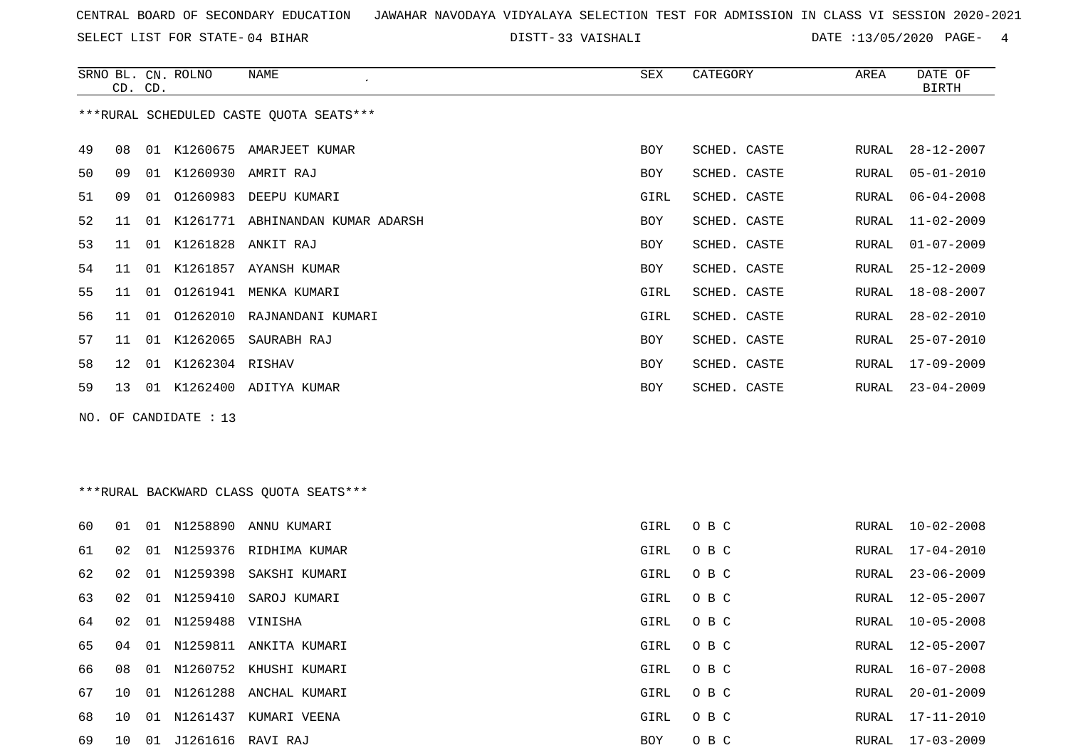SELECT LIST FOR STATE- DISTT- 04 BIHAR

33 VAISHALI DATE :13/05/2020 PAGE- 4

|     | CD. CD. |    | SRNO BL. CN. ROLNO | NAME                                    | SEX        | CATEGORY     | AREA  | DATE OF<br>BIRTH |
|-----|---------|----|--------------------|-----------------------------------------|------------|--------------|-------|------------------|
|     |         |    |                    | ***RURAL SCHEDULED CASTE OUOTA SEATS*** |            |              |       |                  |
| 49  | 08      | 01 | K1260675           | AMARJEET KUMAR                          | <b>BOY</b> | SCHED. CASTE | RURAL | $28 - 12 - 2007$ |
| 50  | 09      |    | 01 K1260930        | AMRIT RAJ                               | <b>BOY</b> | SCHED. CASTE | RURAL | $05 - 01 - 2010$ |
| 51  | 09      | 01 | 01260983           | DEEPU KUMARI                            | GIRL       | SCHED. CASTE | RURAL | $06 - 04 - 2008$ |
| 52  | 11      | 01 | K1261771           | ABHINANDAN KUMAR ADARSH                 | BOY        | SCHED. CASTE | RURAL | $11 - 02 - 2009$ |
| 53  | 11      |    |                    | 01 K1261828 ANKIT RAJ                   | BOY        | SCHED. CASTE | RURAL | $01 - 07 - 2009$ |
| 54  | 11      | 01 | K1261857           | AYANSH KUMAR                            | <b>BOY</b> | SCHED. CASTE | RURAL | $25 - 12 - 2009$ |
| 55  | 11      | 01 | 01261941           | MENKA KUMARI                            | GIRL       | SCHED. CASTE | RURAL | $18 - 08 - 2007$ |
| 56. | 11      |    |                    | 01 01262010 RAJNANDANI KUMARI           | GIRL       | SCHED. CASTE | RURAL | $28 - 02 - 2010$ |
| 57  | 11      | 01 | K1262065           | SAURABH RAJ                             | BOY        | SCHED. CASTE | RURAL | $25 - 07 - 2010$ |
| 58  | 12      |    | 01 K1262304 RISHAV |                                         | <b>BOY</b> | SCHED. CASTE | RURAL | 17-09-2009       |
| 59  | 13      | 01 | K1262400           | ADITYA KUMAR                            | <b>BOY</b> | SCHED. CASTE | RURAL | $23 - 04 - 2009$ |

NO. OF CANDIDATE : 13

## \*\*\*RURAL BACKWARD CLASS QUOTA SEATS\*\*\*

| 60 | O 1          | 01 |                     | N1258890 ANNU KUMARI      | GIRL | O B C | RURAL | $10 - 02 - 2008$ |
|----|--------------|----|---------------------|---------------------------|------|-------|-------|------------------|
| 61 | 02           |    | 01 N1259376         | RIDHIMA KUMAR             | GIRL | O B C | RURAL | $17 - 04 - 2010$ |
| 62 | 02           | 01 |                     | N1259398 SAKSHI KUMARI    | GIRL | O B C | RURAL | 23-06-2009       |
| 63 | 02           |    |                     | 01 N1259410 SAROJ KUMARI  | GIRL | O B C | RURAL | $12 - 05 - 2007$ |
| 64 | 02           |    | 01 N1259488 VINISHA |                           | GIRL | O B C | RURAL | $10 - 05 - 2008$ |
| 65 | 04           |    |                     | 01 N1259811 ANKITA KUMARI | GIRL | O B C | RURAL | 12-05-2007       |
| 66 | 08           |    |                     | 01 N1260752 KHUSHI KUMARI | GIRL | O B C | RURAL | 16-07-2008       |
| 67 | 1 O          | 01 | N1261288            | ANCHAL KUMARI             | GIRL | O B C | RURAL | $20 - 01 - 2009$ |
| 68 | 10           |    | 01 N1261437         | KUMARI VEENA              | GIRL | O B C | RURAL | 17-11-2010       |
| 69 | $10^{\circ}$ | 01 | J1261616            | RAVI RAJ                  | BOY  | O B C | RURAL | 17-03-2009       |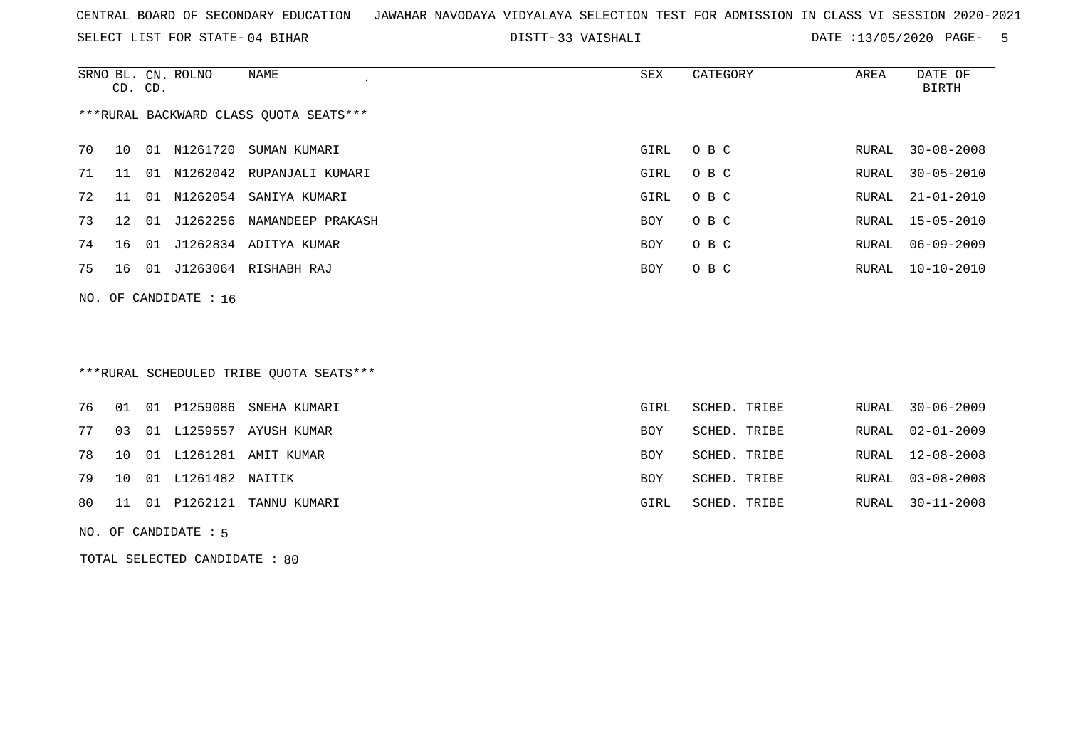SELECT LIST FOR STATE- DISTT- 04 BIHAR

33 VAISHALI DATE :13/05/2020 PAGE- 5

|    | CD. CD.         |       | SRNO BL. CN. ROLNO | NAME                                   | SEX        | CATEGORY | AREA  | DATE OF<br>BIRTH |
|----|-----------------|-------|--------------------|----------------------------------------|------------|----------|-------|------------------|
|    |                 |       |                    | ***RURAL BACKWARD CLASS OUOTA SEATS*** |            |          |       |                  |
| 70 | 10              | 01    | N1261720           | SUMAN KUMARI                           | GIRL       | O B C    | RURAL | $30 - 08 - 2008$ |
| 71 | 11              | . N 1 | N1262042           | RUPANJALI KUMARI                       | GIRL       | O B C    | RURAL | $30 - 05 - 2010$ |
| 72 | 11              | O 1   | N1262054           | SANIYA KUMARI                          | GIRL       | O B C    | RURAL | $21 - 01 - 2010$ |
| 73 | 12 <sub>1</sub> | 01    | J1262256           | NAMANDEEP PRAKASH                      | <b>BOY</b> | O B C    |       | RURAL 15-05-2010 |
| 74 | 16              | 01    |                    | J1262834 ADITYA KUMAR                  | BOY        | O B C    | RURAL | 06-09-2009       |
| 75 | 16              | 01    |                    | J1263064 RISHABH RAJ                   | BOY        | O B C    |       | RURAL 10-10-2010 |
|    |                 |       |                    |                                        |            |          |       |                  |

NO. OF CANDIDATE : 16

### \*\*\*RURAL SCHEDULED TRIBE QUOTA SEATS\*\*\*

|  |                          | 76 01 01 P1259086 SNEHA KUMARI | GIRL       | SCHED. TRIBE |  | RURAL 30-06-2009 |
|--|--------------------------|--------------------------------|------------|--------------|--|------------------|
|  |                          | 77 03 01 L1259557 AYUSH KUMAR  | <b>BOY</b> | SCHED. TRIBE |  | RURAL 02-01-2009 |
|  |                          | 78 10 01 L1261281 AMIT KUMAR   | BOY        | SCHED. TRIBE |  | RURAL 12-08-2008 |
|  | 79 10 01 L1261482 NAITIK |                                | <b>BOY</b> | SCHED. TRIBE |  | RURAL 03-08-2008 |
|  |                          | 80 11 01 P1262121 TANNU KUMARI | GIRL       | SCHED. TRIBE |  | RURAL 30-11-2008 |
|  |                          |                                |            |              |  |                  |

NO. OF CANDIDATE : 5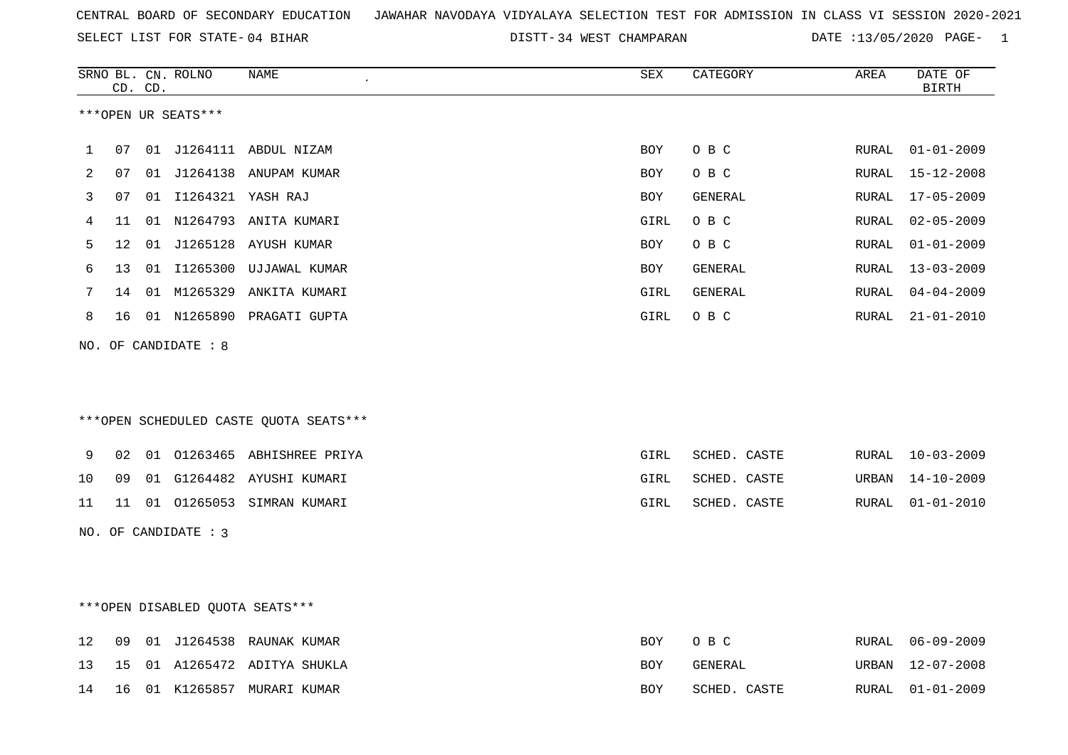DISTT-34 WEST CHAMPARAN DATE :13/05/2020 PAGE- 1

|    | CD. CD. |    | SRNO BL. CN. ROLNO   | NAME                                   | ${\tt SEX}$ | CATEGORY     | AREA  | DATE OF<br><b>BIRTH</b> |
|----|---------|----|----------------------|----------------------------------------|-------------|--------------|-------|-------------------------|
|    |         |    | ***OPEN UR SEATS***  |                                        |             |              |       |                         |
| 1  | 07      | 01 | J1264111             | ABDUL NIZAM                            | <b>BOY</b>  | O B C        | RURAL | $01 - 01 - 2009$        |
| 2  | 07      | 01 |                      | J1264138 ANUPAM KUMAR                  | BOY         | O B C        | RURAL | $15 - 12 - 2008$        |
| 3  | 07      |    | 01 I1264321 YASH RAJ |                                        | BOY         | GENERAL      | RURAL | $17 - 05 - 2009$        |
| 4  | 11      |    |                      | 01 N1264793 ANITA KUMARI               | GIRL        | O B C        | RURAL | $02 - 05 - 2009$        |
| 5  | 12      | 01 |                      | J1265128 AYUSH KUMAR                   | <b>BOY</b>  | O B C        | RURAL | $01 - 01 - 2009$        |
| 6  | 13      | 01 |                      | I1265300 UJJAWAL KUMAR                 | BOY         | GENERAL      | RURAL | $13 - 03 - 2009$        |
| 7  | 14      | 01 |                      | M1265329 ANKITA KUMARI                 | GIRL        | GENERAL      | RURAL | $04 - 04 - 2009$        |
| 8  | 16      |    |                      | 01 N1265890 PRAGATI GUPTA              | GIRL        | O B C        | RURAL | $21 - 01 - 2010$        |
|    |         |    | NO. OF CANDIDATE : 8 |                                        |             |              |       |                         |
|    |         |    |                      | ***OPEN SCHEDULED CASTE QUOTA SEATS*** |             |              |       |                         |
| 9  | 02      |    |                      | 01 01263465 ABHISHREE PRIYA            | GIRL        | SCHED. CASTE | RURAL | $10 - 03 - 2009$        |
| 10 | 09      | 01 |                      | G1264482 AYUSHI KUMARI                 | GIRL        | SCHED. CASTE | URBAN | $14 - 10 - 2009$        |
| 11 | 11      |    |                      | 01 01265053 SIMRAN KUMARI              | GIRL        | SCHED. CASTE | RURAL | $01 - 01 - 2010$        |
|    |         |    | NO. OF CANDIDATE : 3 |                                        |             |              |       |                         |
|    |         |    |                      |                                        |             |              |       |                         |
|    |         |    |                      |                                        |             |              |       |                         |
|    |         |    |                      | ***OPEN DISABLED QUOTA SEATS***        |             |              |       |                         |
| 12 | 09      |    |                      | 01 J1264538 RAUNAK KUMAR               | BOY         | O B C        | RURAL | $06 - 09 - 2009$        |
| 13 | 15      |    |                      | 01 A1265472 ADITYA SHUKLA              | BOY         | GENERAL      | URBAN | $12 - 07 - 2008$        |

14 16 01 K1265857 MURARI KUMAR BOY SCHED. CASTE RURAL 01-01-2009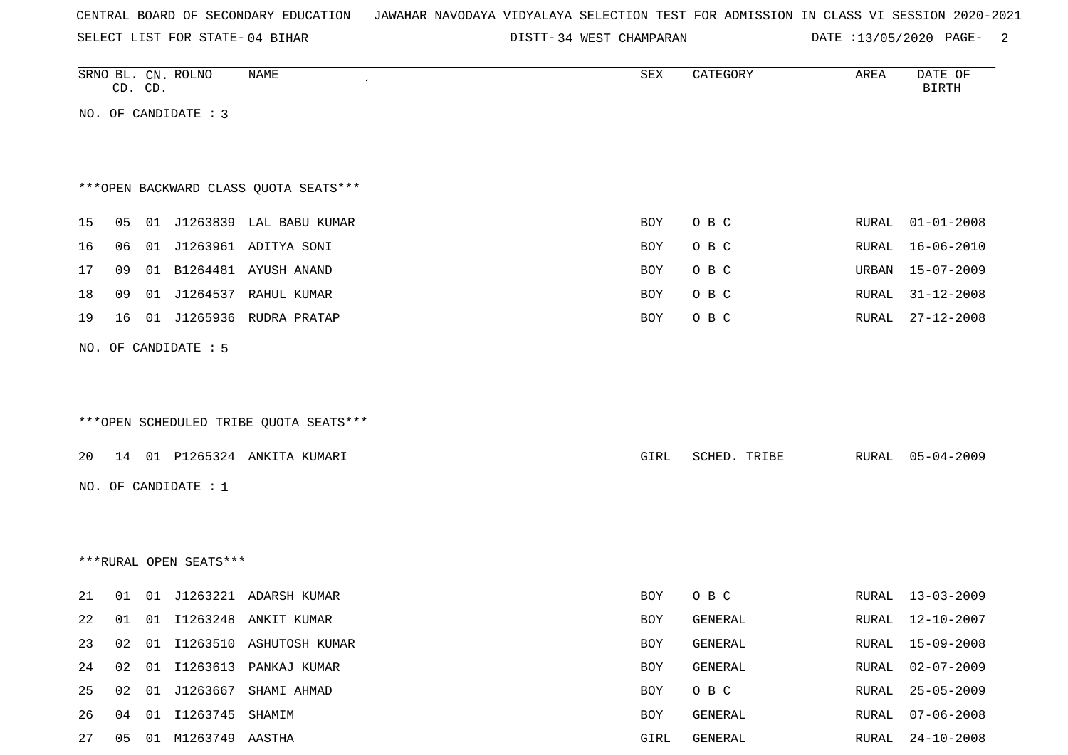|  |  |  |  | CENTRAL BOARD OF SECONDARY EDUCATION – JAWAHAR NAVODAYA VIDYALAYA SELECTION TEST FOR ADMISSION IN CLASS VI SESSION 2020-2021 |  |  |  |  |  |  |  |  |  |  |  |  |  |
|--|--|--|--|------------------------------------------------------------------------------------------------------------------------------|--|--|--|--|--|--|--|--|--|--|--|--|--|
|--|--|--|--|------------------------------------------------------------------------------------------------------------------------------|--|--|--|--|--|--|--|--|--|--|--|--|--|

DISTT-34 WEST CHAMPARAN DATE :13/05/2020 PAGE- 2

| DATE OF<br><b>BIRTH</b> |
|-------------------------|
|                         |
|                         |
|                         |
|                         |
|                         |
| $01 - 01 - 2008$        |
| $16 - 06 - 2010$        |
| 15-07-2009              |
| $31 - 12 - 2008$        |
| $27 - 12 - 2008$        |
|                         |
|                         |
|                         |
|                         |
| $05 - 04 - 2009$        |
|                         |
|                         |
|                         |
|                         |
|                         |
| 13-03-2009              |
| 12-10-2007              |
| 15-09-2008              |
| $02 - 07 - 2009$        |
| $25 - 05 - 2009$        |
| $07 - 06 - 2008$        |
| $24 - 10 - 2008$        |
|                         |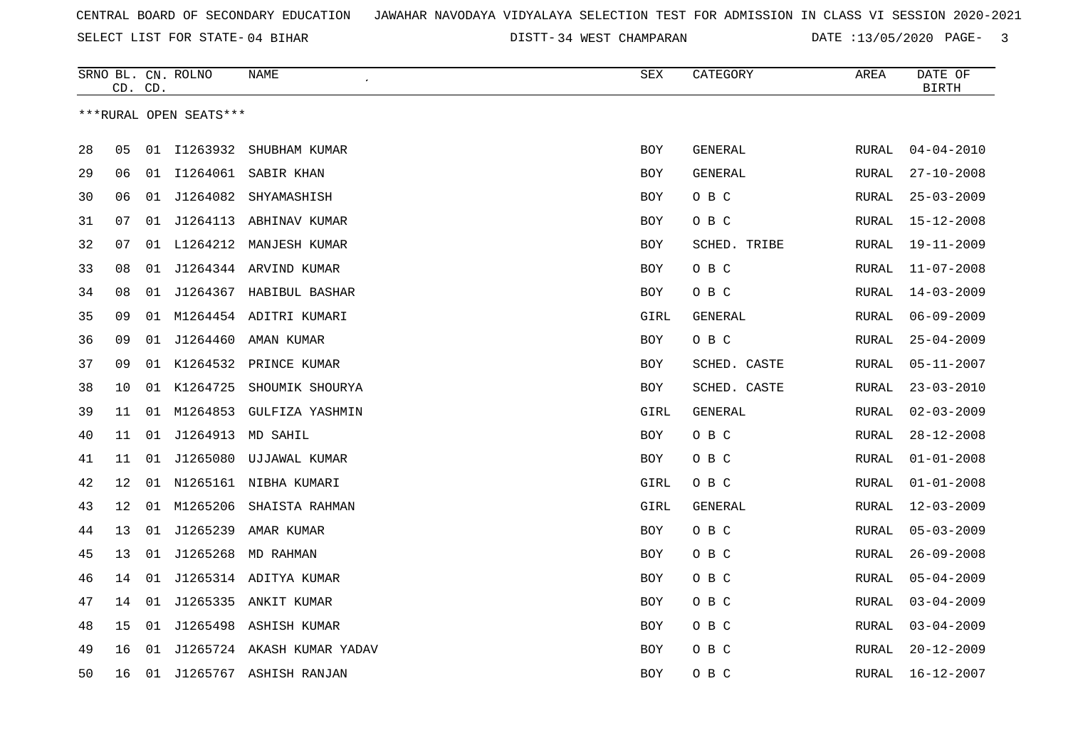SELECT LIST FOR STATE- DISTT- 04 BIHAR

DISTT-34 WEST CHAMPARAN DATE :13/05/2020 PAGE- 3

|    | CD. CD. |    | SRNO BL. CN. ROLNO     | NAME                       | SEX        | CATEGORY     | AREA  | DATE OF<br><b>BIRTH</b> |
|----|---------|----|------------------------|----------------------------|------------|--------------|-------|-------------------------|
|    |         |    | ***RURAL OPEN SEATS*** |                            |            |              |       |                         |
| 28 | 05      |    | 01 I1263932            | SHUBHAM KUMAR              | BOY        | GENERAL      | RURAL | $04 - 04 - 2010$        |
| 29 | 06      |    |                        | 01 I1264061 SABIR KHAN     | <b>BOY</b> | GENERAL      | RURAL | $27 - 10 - 2008$        |
| 30 | 06      | 01 | J1264082               | SHYAMASHISH                | BOY        | O B C        | RURAL | $25 - 03 - 2009$        |
| 31 | 07      | 01 |                        | J1264113 ABHINAV KUMAR     | <b>BOY</b> | O B C        | RURAL | $15 - 12 - 2008$        |
| 32 | 07      | 01 |                        | L1264212 MANJESH KUMAR     | <b>BOY</b> | SCHED. TRIBE | RURAL | $19 - 11 - 2009$        |
| 33 | 08      | 01 |                        | J1264344 ARVIND KUMAR      | BOY        | O B C        | RURAL | $11 - 07 - 2008$        |
| 34 | 08      | 01 |                        | J1264367 HABIBUL BASHAR    | BOY        | O B C        | RURAL | $14 - 03 - 2009$        |
| 35 | 09      |    |                        | 01 M1264454 ADITRI KUMARI  | GIRL       | GENERAL      | RURAL | $06 - 09 - 2009$        |
| 36 | 09      | 01 |                        | J1264460 AMAN KUMAR        | BOY        | O B C        | RURAL | $25 - 04 - 2009$        |
| 37 | 09      |    |                        | 01 K1264532 PRINCE KUMAR   | BOY        | SCHED. CASTE | RURAL | $05 - 11 - 2007$        |
| 38 | 10      |    | 01 K1264725            | SHOUMIK SHOURYA            | <b>BOY</b> | SCHED. CASTE | RURAL | $23 - 03 - 2010$        |
| 39 | 11      | 01 | M1264853               | GULFIZA YASHMIN            | GIRL       | GENERAL      | RURAL | $02 - 03 - 2009$        |
| 40 | 11      | 01 |                        | J1264913 MD SAHIL          | BOY        | O B C        | RURAL | $28 - 12 - 2008$        |
| 41 | 11      | 01 |                        | J1265080 UJJAWAL KUMAR     | BOY        | O B C        | RURAL | $01 - 01 - 2008$        |
| 42 | 12      |    |                        | 01 N1265161 NIBHA KUMARI   | GIRL       | O B C        | RURAL | $01 - 01 - 2008$        |
| 43 | 12      |    | 01 M1265206            | SHAISTA RAHMAN             | GIRL       | GENERAL      | RURAL | $12 - 03 - 2009$        |
| 44 | 13      | 01 | J1265239               | AMAR KUMAR                 | BOY        | O B C        | RURAL | $05 - 03 - 2009$        |
| 45 | 13      | 01 |                        | J1265268 MD RAHMAN         | BOY        | O B C        | RURAL | $26 - 09 - 2008$        |
| 46 | 14      | 01 |                        | J1265314 ADITYA KUMAR      | BOY        | O B C        | RURAL | $05 - 04 - 2009$        |
| 47 | 14      | 01 |                        | J1265335 ANKIT KUMAR       | <b>BOY</b> | O B C        | RURAL | $03 - 04 - 2009$        |
| 48 | 15      | 01 | J1265498               | ASHISH KUMAR               | BOY        | O B C        | RURAL | $03 - 04 - 2009$        |
| 49 | 16      | 01 |                        | J1265724 AKASH KUMAR YADAV | <b>BOY</b> | O B C        | RURAL | $20 - 12 - 2009$        |
| 50 | 16      | 01 |                        | J1265767 ASHISH RANJAN     | <b>BOY</b> | овс          | RURAL | $16 - 12 - 2007$        |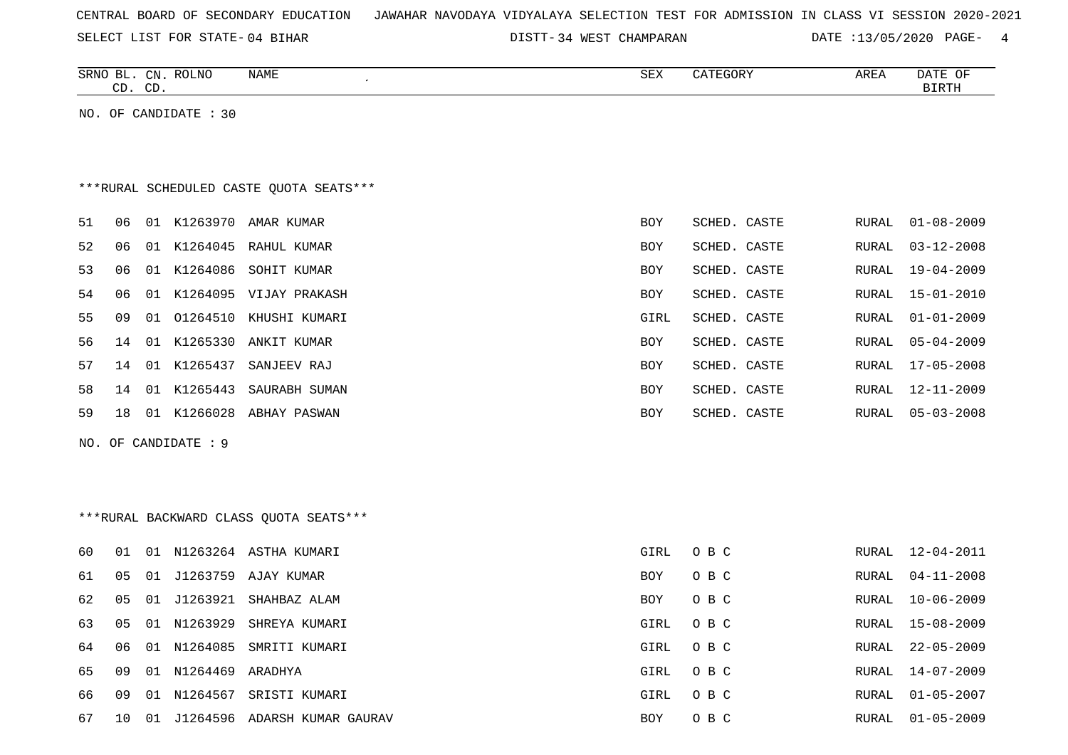|  |  |  |  | CENTRAL BOARD OF SECONDARY EDUCATION – JAWAHAR NAVODAYA VIDYALAYA SELECTION TEST FOR ADMISSION IN CLASS VI SESSION 2020-2021 |  |  |  |  |  |  |  |  |  |  |  |  |  |
|--|--|--|--|------------------------------------------------------------------------------------------------------------------------------|--|--|--|--|--|--|--|--|--|--|--|--|--|
|--|--|--|--|------------------------------------------------------------------------------------------------------------------------------|--|--|--|--|--|--|--|--|--|--|--|--|--|

DISTT-34 WEST CHAMPARAN DATE :13/05/2020 PAGE- 4

|    | CD. | CD. | SRNO BL. CN. ROLNO    | NAME                                    | SEX        | CATEGORY     | AREA  | DATE OF<br><b>BIRTH</b> |
|----|-----|-----|-----------------------|-----------------------------------------|------------|--------------|-------|-------------------------|
|    |     |     | NO. OF CANDIDATE : 30 |                                         |            |              |       |                         |
|    |     |     |                       |                                         |            |              |       |                         |
|    |     |     |                       | ***RURAL SCHEDULED CASTE OUOTA SEATS*** |            |              |       |                         |
| 51 | 06  |     |                       | 01 K1263970 AMAR KUMAR                  | <b>BOY</b> | SCHED. CASTE | RURAL | $01 - 08 - 2009$        |
| 52 | 06  | 01  |                       | K1264045 RAHUL KUMAR                    | <b>BOY</b> | SCHED. CASTE | RURAL | $03 - 12 - 2008$        |
| 53 | 06  |     | 01 K1264086           | SOHIT KUMAR                             | <b>BOY</b> | SCHED. CASTE | RURAL | $19 - 04 - 2009$        |
| 54 | 06  |     |                       | 01 K1264095 VIJAY PRAKASH               | <b>BOY</b> | SCHED. CASTE | RURAL | $15 - 01 - 2010$        |
| 55 | 09  |     | 01 01264510           | KHUSHI KUMARI                           | GIRL       | SCHED. CASTE | RURAL | $01 - 01 - 2009$        |
| 56 | 14  |     |                       | 01 K1265330 ANKIT KUMAR                 | <b>BOY</b> | SCHED. CASTE | RURAL | $05 - 04 - 2009$        |
| 57 | 14  |     | 01 K1265437           | SANJEEV RAJ                             | BOY        | SCHED. CASTE | RURAL | $17 - 05 - 2008$        |
| 58 | 14  |     |                       | 01 K1265443 SAURABH SUMAN               | BOY        | SCHED. CASTE | RURAL | 12-11-2009              |
| 59 | 18  |     |                       | 01 K1266028 ABHAY PASWAN                | <b>BOY</b> | SCHED. CASTE | RURAL | $05 - 03 - 2008$        |
|    |     |     | NO. OF CANDIDATE : 9  |                                         |            |              |       |                         |
|    |     |     |                       |                                         |            |              |       |                         |
|    |     |     |                       |                                         |            |              |       |                         |
|    |     |     |                       | *** RURAL BACKWARD CLASS QUOTA SEATS*** |            |              |       |                         |
| 60 | 01  |     |                       | 01 N1263264 ASTHA KUMARI                | GIRL       | O B C        | RURAL | $12 - 04 - 2011$        |
| 61 | 05  | 01  |                       | J1263759 AJAY KUMAR                     | <b>BOY</b> | O B C        | RURAL | $04 - 11 - 2008$        |
| 62 | 05  | 01  | J1263921              | SHAHBAZ ALAM                            | <b>BOY</b> | O B C        | RURAL | $10 - 06 - 2009$        |
| 63 | 05  |     |                       | 01 N1263929 SHREYA KUMARI               | GIRL       | O B C        | RURAL | $15 - 08 - 2009$        |
| 64 | 06  | 01  | N1264085              | SMRITI KUMARI                           | GIRL       | O B C        | RURAL | $22 - 05 - 2009$        |
| 65 | 09  |     | 01 N1264469 ARADHYA   |                                         | GIRL       | O B C        | RURAL | $14 - 07 - 2009$        |
| 66 | 09  |     |                       | 01 N1264567 SRISTI KUMARI               | GIRL       | O B C        | RURAL | $01 - 05 - 2007$        |
| 67 | 10  |     |                       | 01 J1264596 ADARSH KUMAR GAURAV         | <b>BOY</b> | O B C        | RURAL | $01 - 05 - 2009$        |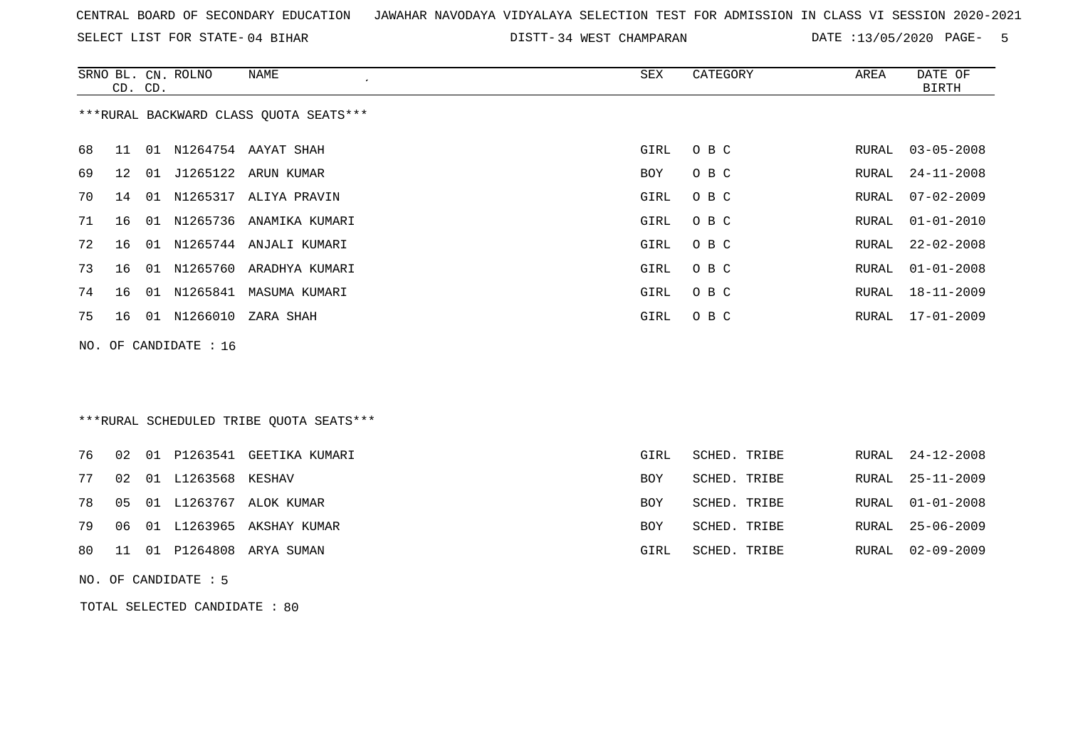SELECT LIST FOR STATE- DISTT- 04 BIHAR

DISTT-34 WEST CHAMPARAN DATE :13/05/2020 PAGE- 5

|    | CD. CD. | SRNO BL. CN. ROLNO    | <b>NAME</b><br>$\epsilon$                | SEX        | CATEGORY     | AREA         | DATE OF<br><b>BIRTH</b> |
|----|---------|-----------------------|------------------------------------------|------------|--------------|--------------|-------------------------|
|    |         |                       | *** RURAL BACKWARD CLASS QUOTA SEATS***  |            |              |              |                         |
| 68 | 11      |                       | 01 N1264754 AAYAT SHAH                   | GIRL       | O B C        | RURAL        | $03 - 05 - 2008$        |
| 69 | 12      |                       | 01 J1265122 ARUN KUMAR                   | <b>BOY</b> | O B C        | RURAL        | $24 - 11 - 2008$        |
| 70 | 14      |                       | 01 N1265317 ALIYA PRAVIN                 | GIRL       | O B C        | <b>RURAL</b> | $07 - 02 - 2009$        |
| 71 | 16      |                       | 01 N1265736 ANAMIKA KUMARI               | GIRL       | O B C        | RURAL        | $01 - 01 - 2010$        |
| 72 | 16      |                       | 01 N1265744 ANJALI KUMARI                | GIRL       | O B C        | RURAL        | $22 - 02 - 2008$        |
| 73 | 16      |                       | 01 N1265760 ARADHYA KUMARI               | GIRL       | O B C        | RURAL        | $01 - 01 - 2008$        |
| 74 | 16      |                       | 01 N1265841 MASUMA KUMARI                | GIRL       | O B C        | RURAL        | $18 - 11 - 2009$        |
| 75 | 16      | 01 N1266010           | ZARA SHAH                                | GIRL       | O B C        | RURAL        | $17 - 01 - 2009$        |
|    |         | NO. OF CANDIDATE : 16 |                                          |            |              |              |                         |
|    |         |                       |                                          |            |              |              |                         |
|    |         |                       |                                          |            |              |              |                         |
|    |         |                       | *** RURAL SCHEDULED TRIBE QUOTA SEATS*** |            |              |              |                         |
| 76 | 02      |                       | 01 P1263541 GEETIKA KUMARI               | GIRL       | SCHED. TRIBE | RURAL        | $24 - 12 - 2008$        |
| 77 | 02      | 01 L1263568 KESHAV    |                                          | BOY        | SCHED. TRIBE | RURAL        | $25 - 11 - 2009$        |
| 78 | 05      |                       | 01 L1263767 ALOK KUMAR                   | BOY        | SCHED. TRIBE | RURAL        | $01 - 01 - 2008$        |
| 79 | 06      |                       | 01 L1263965 AKSHAY KUMAR                 | BOY        | SCHED. TRIBE | RURAL        | $25 - 06 - 2009$        |
| 80 | 11      |                       | 01 P1264808 ARYA SUMAN                   | GIRL       | SCHED. TRIBE | RURAL        | $02 - 09 - 2009$        |
|    |         | NO. OF CANDIDATE : 5  |                                          |            |              |              |                         |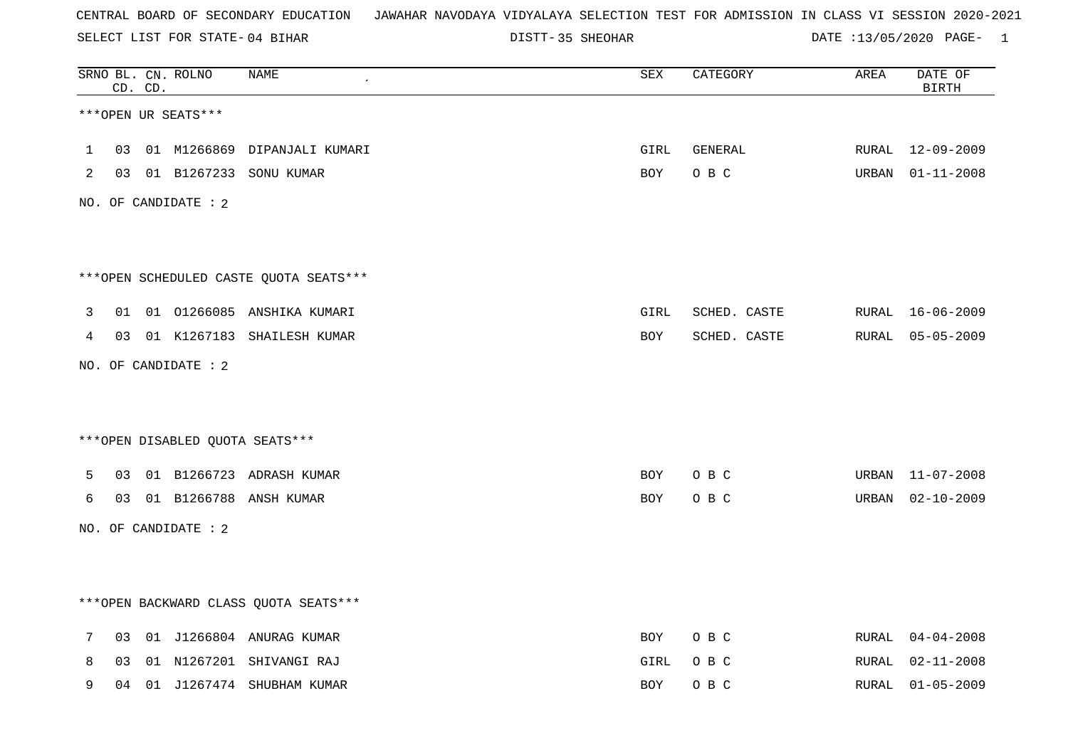SELECT LIST FOR STATE- DISTT- 04 BIHAR

DISTT-35 SHEOHAR DATE :13/05/2020 PAGE- 1

|              |    | CD. CD. | SRNO BL. CN. ROLNO   | <b>NAME</b>                            | ${\tt SEX}$ | CATEGORY     | AREA  | DATE OF<br><b>BIRTH</b> |
|--------------|----|---------|----------------------|----------------------------------------|-------------|--------------|-------|-------------------------|
|              |    |         | ***OPEN UR SEATS***  |                                        |             |              |       |                         |
| $\mathbf{1}$ | 03 |         | 01 M1266869          | DIPANJALI KUMARI                       | GIRL        | GENERAL      | RURAL | 12-09-2009              |
| 2            | 03 |         |                      | 01 B1267233 SONU KUMAR                 | BOY         | O B C        | URBAN | $01 - 11 - 2008$        |
|              |    |         | NO. OF CANDIDATE : 2 |                                        |             |              |       |                         |
|              |    |         |                      |                                        |             |              |       |                         |
|              |    |         |                      | ***OPEN SCHEDULED CASTE QUOTA SEATS*** |             |              |       |                         |
| 3            | 01 |         |                      | 01 01266085 ANSHIKA KUMARI             | GIRL        | SCHED. CASTE |       | RURAL 16-06-2009        |
| 4            | 03 |         |                      | 01 K1267183 SHAILESH KUMAR             | BOY         | SCHED. CASTE | RURAL | $05 - 05 - 2009$        |
|              |    |         | NO. OF CANDIDATE : 2 |                                        |             |              |       |                         |
|              |    |         |                      |                                        |             |              |       |                         |
|              |    |         |                      | ***OPEN DISABLED QUOTA SEATS***        |             |              |       |                         |
| 5            | 03 |         |                      | 01 B1266723 ADRASH KUMAR               | <b>BOY</b>  | O B C        | URBAN | 11-07-2008              |
| 6            | 03 |         |                      | 01 B1266788 ANSH KUMAR                 | BOY         | O B C        | URBAN | $02 - 10 - 2009$        |
|              |    |         | NO. OF CANDIDATE : 2 |                                        |             |              |       |                         |
|              |    |         |                      |                                        |             |              |       |                         |
|              |    |         |                      | *** OPEN BACKWARD CLASS QUOTA SEATS*** |             |              |       |                         |
| 7            | 03 |         |                      | 01 J1266804 ANURAG KUMAR               | BOY         | O B C        | RURAL | $04 - 04 - 2008$        |
| 8            | 03 |         |                      | 01 N1267201 SHIVANGI RAJ               | GIRL        | O B C        | RURAL | $02 - 11 - 2008$        |
| 9            | 04 |         |                      | 01 J1267474 SHUBHAM KUMAR              | BOY         | O B C        | RURAL | $01 - 05 - 2009$        |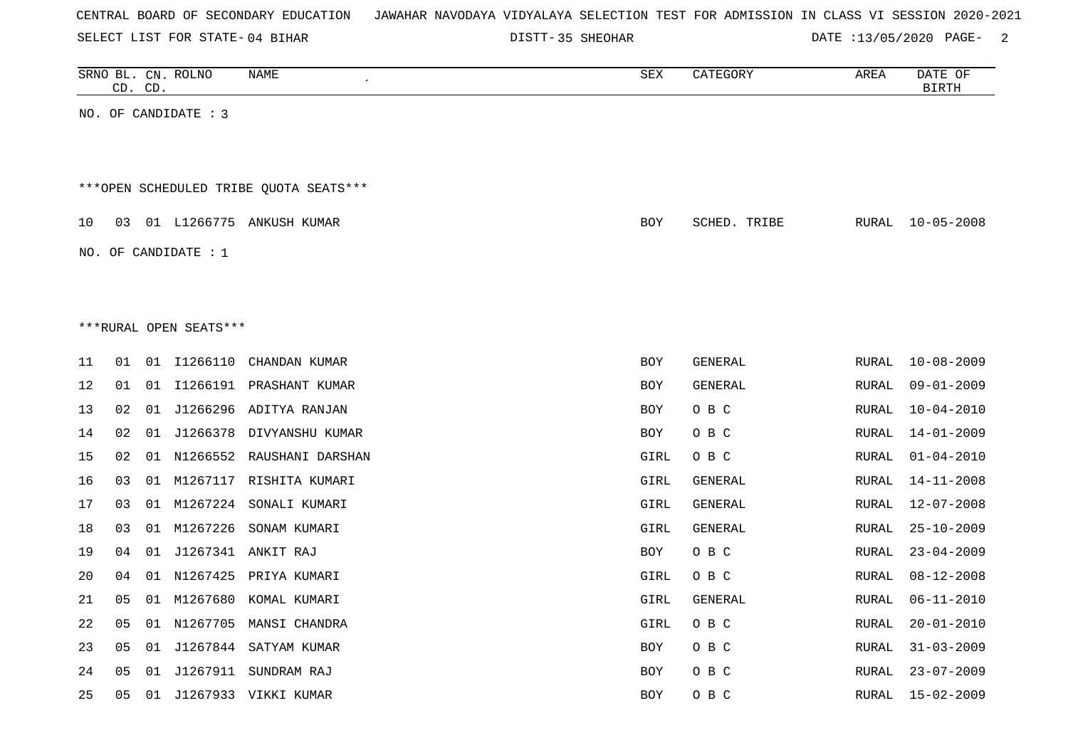| CENTRAL BOARD OF SECONDARY EDUCATION – JAWAHAR NAVODAYA VIDYALAYA SELECTION TEST FOR ADMISSION IN CLASS VI SESSION 2020-2021 |  |
|------------------------------------------------------------------------------------------------------------------------------|--|
|------------------------------------------------------------------------------------------------------------------------------|--|

DISTT-35 SHEOHAR **DATE** :13/05/2020 PAGE- 2

|    | CD. | CD. | SRNO BL. CN. ROLNO     | NAME                                   | SEX        | CATEGORY       | AREA         | DATE OF<br><b>BIRTH</b> |
|----|-----|-----|------------------------|----------------------------------------|------------|----------------|--------------|-------------------------|
|    |     |     | NO. OF CANDIDATE : 3   |                                        |            |                |              |                         |
|    |     |     |                        |                                        |            |                |              |                         |
|    |     |     |                        |                                        |            |                |              |                         |
|    |     |     |                        | ***OPEN SCHEDULED TRIBE QUOTA SEATS*** |            |                |              |                         |
| 10 | 03  |     |                        | 01 L1266775 ANKUSH KUMAR               | <b>BOY</b> | SCHED. TRIBE   | RURAL        | $10 - 05 - 2008$        |
|    |     |     | NO. OF CANDIDATE : $1$ |                                        |            |                |              |                         |
|    |     |     |                        |                                        |            |                |              |                         |
|    |     |     |                        |                                        |            |                |              |                         |
|    |     |     | ***RURAL OPEN SEATS*** |                                        |            |                |              |                         |
| 11 | 01  |     | 01 11266110            | CHANDAN KUMAR                          | BOY        | GENERAL        | RURAL        | $10 - 08 - 2009$        |
| 12 | 01  | 01  |                        | I1266191 PRASHANT KUMAR                | <b>BOY</b> | GENERAL        | <b>RURAL</b> | $09 - 01 - 2009$        |
| 13 | 02  |     |                        | 01 J1266296 ADITYA RANJAN              | BOY        | O B C          | RURAL        | $10 - 04 - 2010$        |
| 14 | 02  |     |                        | 01 J1266378 DIVYANSHU KUMAR            | BOY        | O B C          | <b>RURAL</b> | $14 - 01 - 2009$        |
| 15 | 02  | 01  |                        | N1266552 RAUSHANI DARSHAN              | GIRL       | O B C          | RURAL        | $01 - 04 - 2010$        |
| 16 | 03  |     |                        | 01 M1267117 RISHITA KUMARI             | GIRL       | GENERAL        | <b>RURAL</b> | $14 - 11 - 2008$        |
| 17 | 03  | 01  | M1267224               | SONALI KUMARI                          | GIRL       | <b>GENERAL</b> | <b>RURAL</b> | $12 - 07 - 2008$        |
| 18 | 03  |     | 01 M1267226            | SONAM KUMARI                           | GIRL       | GENERAL        | <b>RURAL</b> | $25 - 10 - 2009$        |
| 19 | 04  |     |                        | 01 J1267341 ANKIT RAJ                  | BOY        | O B C          | <b>RURAL</b> | $23 - 04 - 2009$        |
| 20 | 04  | 01  | N1267425               | PRIYA KUMARI                           | GIRL       | O B C          | RURAL        | $08 - 12 - 2008$        |
| 21 | 05  |     |                        | 01 M1267680 KOMAL KUMARI               | GIRL       | GENERAL        | RURAL        | $06 - 11 - 2010$        |
| 22 | 05  | 01  | N1267705               | MANSI CHANDRA                          | GIRL       | O B C          | <b>RURAL</b> | $20 - 01 - 2010$        |
| 23 | 05  |     |                        | 01 J1267844 SATYAM KUMAR               | BOY        | O B C          | RURAL        | $31 - 03 - 2009$        |
| 24 | 05  |     |                        | 01 J1267911 SUNDRAM RAJ                | BOY        | O B C          | RURAL        | $23 - 07 - 2009$        |
| 25 | 05  |     |                        | 01 J1267933 VIKKI KUMAR                | <b>BOY</b> | O B C          | RURAL        | $15 - 02 - 2009$        |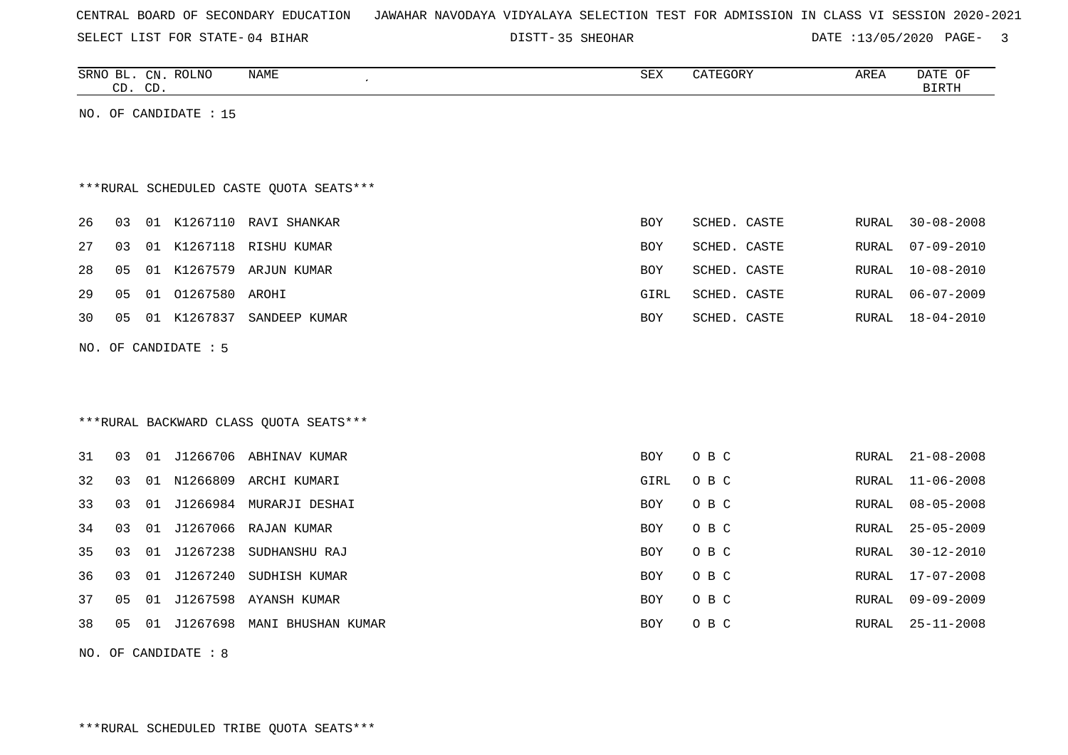|  |  |  | CENTRAL BOARD OF SECONDARY EDUCATION – JAWAHAR NAVODAYA VIDYALAYA SELECTION TEST FOR ADMISSION IN CLASS VI SESSION 2020-2021 |  |  |  |  |  |  |  |  |  |  |  |  |  |  |  |
|--|--|--|------------------------------------------------------------------------------------------------------------------------------|--|--|--|--|--|--|--|--|--|--|--|--|--|--|--|
|--|--|--|------------------------------------------------------------------------------------------------------------------------------|--|--|--|--|--|--|--|--|--|--|--|--|--|--|--|

DISTT-35 SHEOHAR DATE :13/05/2020 PAGE- 3

|    | CD. CD. |    | SRNO BL. CN. ROLNO    | NAME                                    | SEX        | CATEGORY     | AREA  | DATE OF<br><b>BIRTH</b> |
|----|---------|----|-----------------------|-----------------------------------------|------------|--------------|-------|-------------------------|
|    |         |    | NO. OF CANDIDATE : 15 |                                         |            |              |       |                         |
|    |         |    |                       |                                         |            |              |       |                         |
|    |         |    |                       | ***RURAL SCHEDULED CASTE OUOTA SEATS*** |            |              |       |                         |
| 26 | 03      |    |                       | 01 K1267110 RAVI SHANKAR                | <b>BOY</b> | SCHED. CASTE | RURAL | $30 - 08 - 2008$        |
| 27 | 03      |    |                       | 01 K1267118 RISHU KUMAR                 | BOY        | SCHED. CASTE | RURAL | $07 - 09 - 2010$        |
| 28 | 05      | 01 |                       | K1267579 ARJUN KUMAR                    | <b>BOY</b> | SCHED. CASTE | RURAL | $10 - 08 - 2010$        |
| 29 | 05      | 01 | 01267580              | AROHI                                   | GIRL       | SCHED. CASTE | RURAL | $06 - 07 - 2009$        |
| 30 | 05      |    | 01 K1267837           | SANDEEP KUMAR                           | <b>BOY</b> | SCHED. CASTE | RURAL | $18 - 04 - 2010$        |
|    |         |    | NO. OF CANDIDATE : 5  |                                         |            |              |       |                         |
|    |         |    |                       |                                         |            |              |       |                         |
|    |         |    |                       |                                         |            |              |       |                         |
|    |         |    |                       | *** RURAL BACKWARD CLASS QUOTA SEATS*** |            |              |       |                         |
| 31 | 03      |    |                       | 01 J1266706 ABHINAV KUMAR               | BOY.       | O B C        | RURAL | $21 - 08 - 2008$        |
| 32 | 03      | 01 |                       | N1266809 ARCHI KUMARI                   | GIRL       | O B C        | RURAL | $11 - 06 - 2008$        |
| 33 | 03      | 01 |                       | J1266984 MURARJI DESHAI                 | <b>BOY</b> | O B C        | RURAL | $08 - 05 - 2008$        |
| 34 | 03      | 01 |                       | J1267066 RAJAN KUMAR                    | BOY        | O B C        | RURAL | $25 - 05 - 2009$        |
| 35 | 03      | 01 | J1267238              | SUDHANSHU RAJ                           | <b>BOY</b> | O B C        | RURAL | $30 - 12 - 2010$        |
|    |         |    |                       |                                         |            |              |       |                         |
| 36 | 03      | 01 | J1267240              | SUDHISH KUMAR                           | <b>BOY</b> | O B C        | RURAL | $17 - 07 - 2008$        |
| 37 | 05      | 01 | J1267598              | AYANSH KUMAR                            | <b>BOY</b> | O B C        | RURAL | $09 - 09 - 2009$        |
| 38 | 05      | 01 |                       | J1267698 MANI BHUSHAN KUMAR             | <b>BOY</b> | O B C        | RURAL | $25 - 11 - 2008$        |

NO. OF CANDIDATE : 8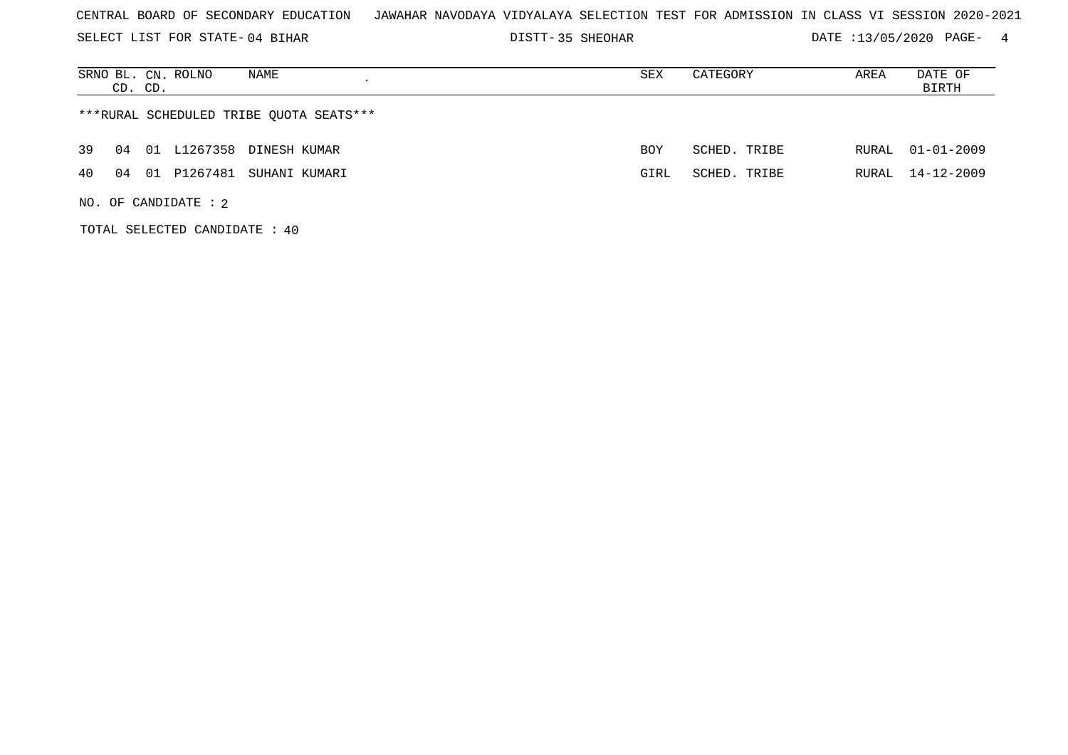SELECT LIST FOR STATE- DISTT- 04 BIHAR

DISTT-35 SHEOHAR 2020 DATE :13/05/2020 PAGE- 4

| NAME<br>SRNO BL. CN. ROLNO<br>CD. CD.       | SEX        | CATEGORY     | AREA  | DATE OF<br>BIRTH |
|---------------------------------------------|------------|--------------|-------|------------------|
| ***RURAL SCHEDULED TRIBE QUOTA SEATS***     |            |              |       |                  |
| L1267358 DINESH KUMAR<br>39<br>04<br>01     | <b>BOY</b> | SCHED. TRIBE | RURAL | $01 - 01 - 2009$ |
| P1267481<br>40<br>SUHANI KUMARI<br>04<br>01 | GIRL       | SCHED. TRIBE | RURAL | 14-12-2009       |
| NO. OF CANDIDATE : $2$                      |            |              |       |                  |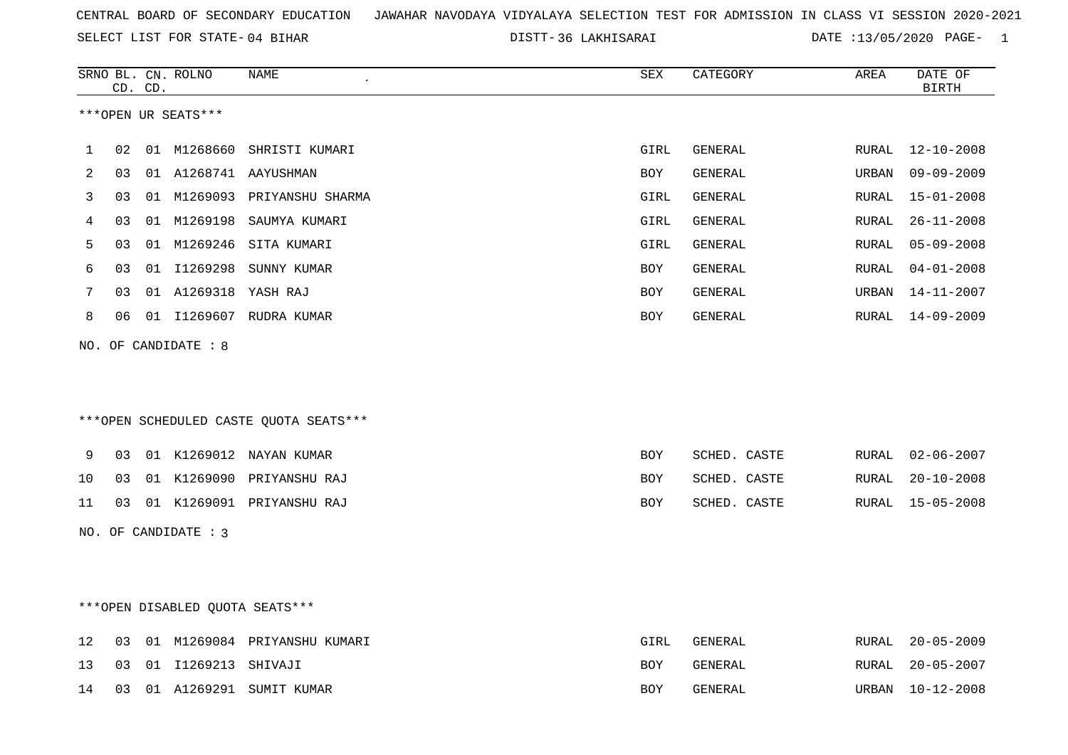SELECT LIST FOR STATE- DISTT- 04 BIHAR

|              |    | CD. CD. | SRNO BL. CN. ROLNO   | <b>NAME</b>                            | <b>SEX</b>  | CATEGORY       | AREA  | DATE OF<br><b>BIRTH</b> |
|--------------|----|---------|----------------------|----------------------------------------|-------------|----------------|-------|-------------------------|
|              |    |         | ***OPEN UR SEATS***  |                                        |             |                |       |                         |
| $\mathbf{1}$ | 02 |         | 01 M1268660          | SHRISTI KUMARI                         | <b>GIRL</b> | GENERAL        | RURAL | 12-10-2008              |
| 2            | 03 |         |                      | 01 A1268741 AAYUSHMAN                  | BOY         | <b>GENERAL</b> | URBAN | $09 - 09 - 2009$        |
| 3            | 03 |         |                      | 01 M1269093 PRIYANSHU SHARMA           | GIRL        | GENERAL        | RURAL | $15 - 01 - 2008$        |
| 4            | 03 |         |                      | 01 M1269198 SAUMYA KUMARI              | GIRL        | GENERAL        | RURAL | $26 - 11 - 2008$        |
| 5            | 03 |         | 01 M1269246          | SITA KUMARI                            | GIRL        | GENERAL        | RURAL | $05 - 09 - 2008$        |
| 6            | 03 |         |                      | 01 I1269298 SUNNY KUMAR                | <b>BOY</b>  | <b>GENERAL</b> | RURAL | $04 - 01 - 2008$        |
| 7            | 03 |         | 01 A1269318 YASH RAJ |                                        | <b>BOY</b>  | GENERAL        | URBAN | 14-11-2007              |
| 8            | 06 |         |                      | 01 I1269607 RUDRA KUMAR                | BOY         | GENERAL        | RURAL | $14 - 09 - 2009$        |
|              |    |         | NO. OF CANDIDATE : 8 | ***OPEN SCHEDULED CASTE QUOTA SEATS*** |             |                |       |                         |
| 9            |    |         |                      | 03 01 K1269012 NAYAN KUMAR             | BOY         | SCHED. CASTE   |       | RURAL 02-06-2007        |
| 10           | 03 |         |                      | 01 K1269090 PRIYANSHU RAJ              | <b>BOY</b>  | SCHED. CASTE   | RURAL | $20 - 10 - 2008$        |
| 11           |    |         |                      | 03 01 K1269091 PRIYANSHU RAJ           | BOY         | SCHED. CASTE   |       | RURAL 15-05-2008        |
|              |    |         | NO. OF CANDIDATE : 3 |                                        |             |                |       |                         |
|              |    |         |                      | ***OPEN DISABLED QUOTA SEATS***        |             |                |       |                         |
| 12           | 03 |         |                      | 01 M1269084 PRIYANSHU KUMARI           | GIRL        | GENERAL        | RURAL | $20 - 05 - 2009$        |
| 13           | 03 |         | 01 I1269213 SHIVAJI  |                                        | BOY         | GENERAL        | RURAL | $20 - 05 - 2007$        |
| 14           | 03 |         |                      | 01 A1269291 SUMIT KUMAR                | BOY         | <b>GENERAL</b> | URBAN | $10 - 12 - 2008$        |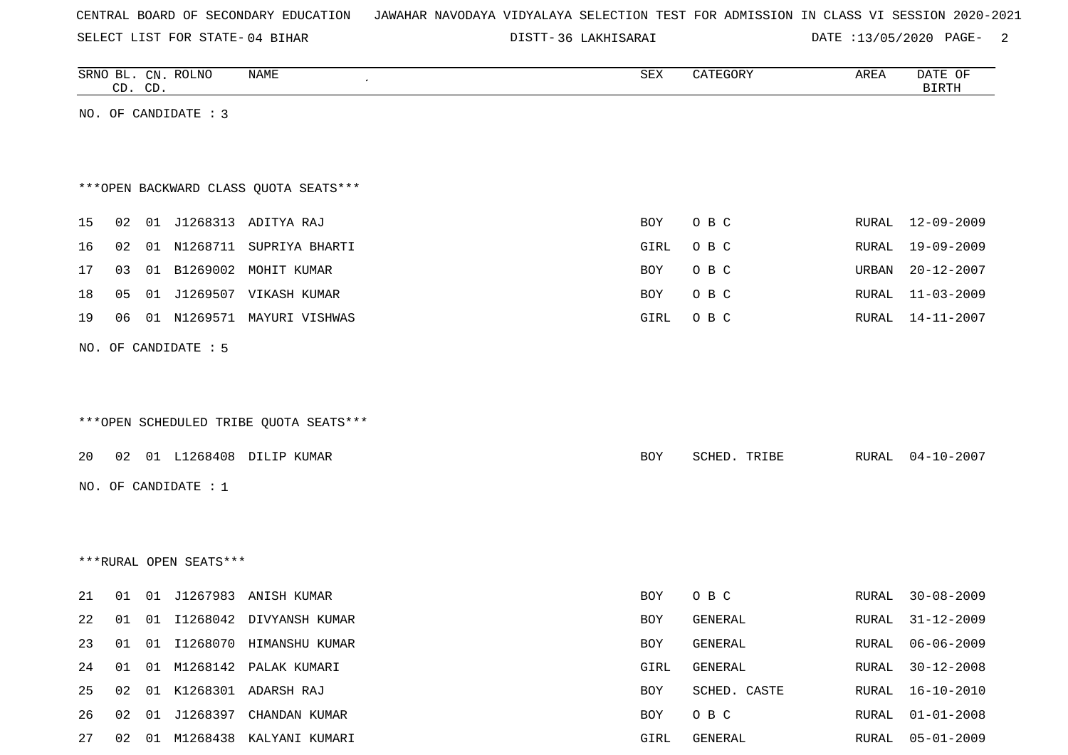SELECT LIST FOR STATE- DISTT- 04 BIHAR

|    |    | CD. CD. | SRNO BL. CN. ROLNO     | NAME                                    | SEX  | CATEGORY     | AREA  | DATE OF<br><b>BIRTH</b> |
|----|----|---------|------------------------|-----------------------------------------|------|--------------|-------|-------------------------|
|    |    |         | NO. OF CANDIDATE : 3   |                                         |      |              |       |                         |
|    |    |         |                        |                                         |      |              |       |                         |
|    |    |         |                        |                                         |      |              |       |                         |
|    |    |         |                        | *** OPEN BACKWARD CLASS QUOTA SEATS***  |      |              |       |                         |
| 15 |    |         |                        | 02 01 J1268313 ADITYA RAJ               | BOY  | O B C        |       | RURAL 12-09-2009        |
| 16 | 02 |         |                        | 01 N1268711 SUPRIYA BHARTI              | GIRL | O B C        | RURAL | $19 - 09 - 2009$        |
| 17 | 03 |         |                        | 01 B1269002 MOHIT KUMAR                 | BOY  | O B C        | URBAN | $20 - 12 - 2007$        |
| 18 | 05 |         |                        | 01 J1269507 VIKASH KUMAR                | BOY  | O B C        | RURAL | $11 - 03 - 2009$        |
| 19 | 06 |         |                        | 01 N1269571 MAYURI VISHWAS              | GIRL | O B C        | RURAL | $14 - 11 - 2007$        |
|    |    |         | NO. OF CANDIDATE : 5   |                                         |      |              |       |                         |
|    |    |         |                        |                                         |      |              |       |                         |
|    |    |         |                        |                                         |      |              |       |                         |
|    |    |         |                        | *** OPEN SCHEDULED TRIBE QUOTA SEATS*** |      |              |       |                         |
|    |    |         |                        |                                         |      |              |       |                         |
| 20 |    |         |                        | 02 01 L1268408 DILIP KUMAR              | BOY  | SCHED. TRIBE | RURAL | $04 - 10 - 2007$        |
|    |    |         | NO. OF CANDIDATE : $1$ |                                         |      |              |       |                         |
|    |    |         |                        |                                         |      |              |       |                         |
|    |    |         |                        |                                         |      |              |       |                         |
|    |    |         | ***RURAL OPEN SEATS*** |                                         |      |              |       |                         |
| 21 |    |         |                        | 01 01 J1267983 ANISH KUMAR              | BOY  | O B C        | RURAL | $30 - 08 - 2009$        |
| 22 | 01 | 01      | I1268042               | DIVYANSH KUMAR                          | BOY  | GENERAL      | RURAL | $31 - 12 - 2009$        |
| 23 |    |         |                        | 01 01 I1268070 HIMANSHU KUMAR           | BOY  | GENERAL      |       | RURAL 06-06-2009        |
| 24 |    |         |                        | 01 01 M1268142 PALAK KUMARI             | GIRL | GENERAL      | RURAL | $30 - 12 - 2008$        |
| 25 |    |         |                        | 02 01 K1268301 ADARSH RAJ               | BOY  | SCHED. CASTE | RURAL | $16 - 10 - 2010$        |
| 26 |    |         |                        | 02 01 J1268397 CHANDAN KUMAR            | BOY  | O B C        | RURAL | $01 - 01 - 2008$        |
| 27 |    |         |                        | 02 01 M1268438 KALYANI KUMARI           | GIRL | GENERAL      |       | RURAL 05-01-2009        |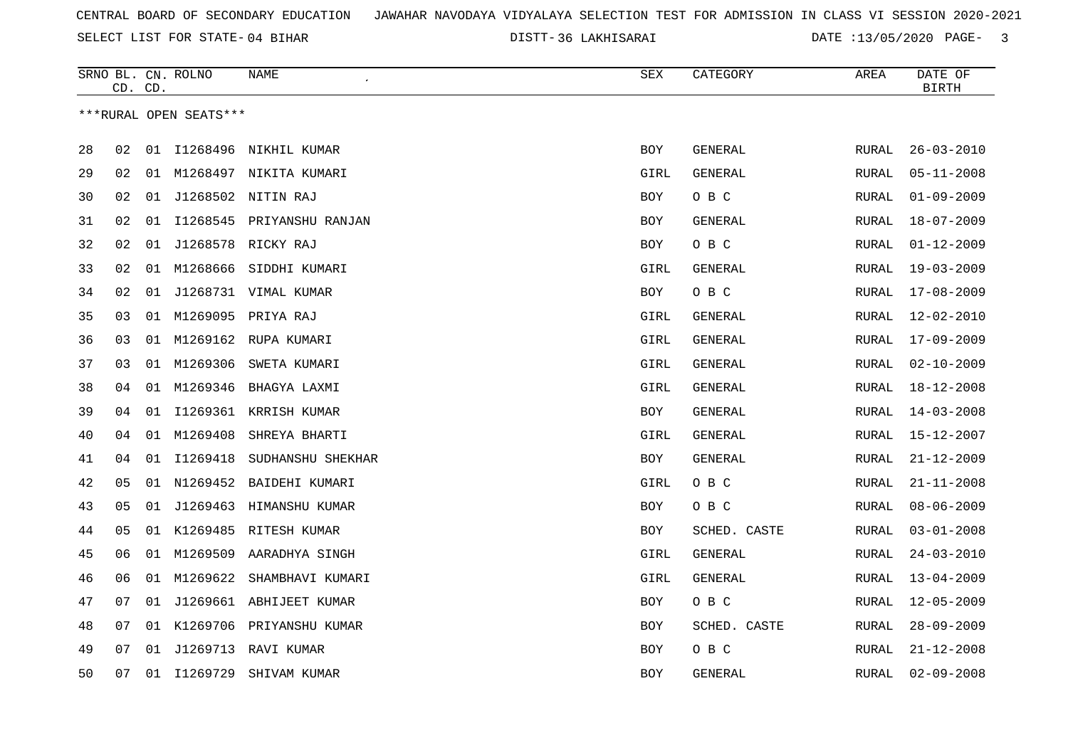SELECT LIST FOR STATE- DISTT- 04 BIHAR

|    | CD. CD. |    | SRNO BL. CN. ROLNO     | NAME                        | SEX        | CATEGORY       | AREA  | DATE OF<br><b>BIRTH</b> |
|----|---------|----|------------------------|-----------------------------|------------|----------------|-------|-------------------------|
|    |         |    | ***RURAL OPEN SEATS*** |                             |            |                |       |                         |
| 28 | 02      |    |                        | 01 I1268496 NIKHIL KUMAR    | <b>BOY</b> | GENERAL        | RURAL | $26 - 03 - 2010$        |
| 29 | 02      |    |                        | 01 M1268497 NIKITA KUMARI   | GIRL       | <b>GENERAL</b> | RURAL | $05 - 11 - 2008$        |
| 30 | 02      | 01 |                        | J1268502 NITIN RAJ          | BOY        | O B C          | RURAL | $01 - 09 - 2009$        |
| 31 | 02      | 01 |                        | I1268545 PRIYANSHU RANJAN   | BOY        | GENERAL        | RURAL | $18 - 07 - 2009$        |
| 32 | 02      | 01 |                        | J1268578 RICKY RAJ          | <b>BOY</b> | O B C          | RURAL | $01 - 12 - 2009$        |
| 33 | 02      |    |                        | 01 M1268666 SIDDHI KUMARI   | GIRL       | GENERAL        | RURAL | $19 - 03 - 2009$        |
| 34 | 02      | 01 |                        | J1268731 VIMAL KUMAR        | BOY        | O B C          | RURAL | $17 - 08 - 2009$        |
| 35 | 03      | 01 |                        | M1269095 PRIYA RAJ          | GIRL       | GENERAL        | RURAL | $12 - 02 - 2010$        |
| 36 | 03      |    |                        | 01 M1269162 RUPA KUMARI     | GIRL       | GENERAL        | RURAL | 17-09-2009              |
| 37 | 03      | 01 |                        | M1269306 SWETA KUMARI       | GIRL       | GENERAL        | RURAL | $02 - 10 - 2009$        |
| 38 | 04      | 01 | M1269346               | BHAGYA LAXMI                | GIRL       | GENERAL        | RURAL | 18-12-2008              |
| 39 | 04      | 01 | I1269361               | KRRISH KUMAR                | BOY        | GENERAL        | RURAL | $14 - 03 - 2008$        |
| 40 | 04      | 01 | M1269408               | SHREYA BHARTI               | GIRL       | GENERAL        | RURAL | 15-12-2007              |
| 41 | 04      | 01 | I1269418               | SUDHANSHU SHEKHAR           | BOY        | GENERAL        | RURAL | $21 - 12 - 2009$        |
| 42 | 05      |    |                        | 01 N1269452 BAIDEHI KUMARI  | GIRL       | O B C          | RURAL | $21 - 11 - 2008$        |
| 43 | 05      | 01 |                        | J1269463 HIMANSHU KUMAR     | BOY        | O B C          | RURAL | $08 - 06 - 2009$        |
| 44 | 05      |    |                        | 01 K1269485 RITESH KUMAR    | BOY        | SCHED. CASTE   | RURAL | $03 - 01 - 2008$        |
| 45 | 06      |    |                        | 01 M1269509 AARADHYA SINGH  | GIRL       | GENERAL        | RURAL | $24 - 03 - 2010$        |
| 46 | 06      |    | 01 M1269622            | SHAMBHAVI KUMARI            | GIRL       | GENERAL        | RURAL | $13 - 04 - 2009$        |
| 47 | 07      |    |                        | 01 J1269661 ABHIJEET KUMAR  | <b>BOY</b> | O B C          | RURAL | $12 - 05 - 2009$        |
| 48 | 07      |    |                        | 01 K1269706 PRIYANSHU KUMAR | BOY        | SCHED. CASTE   | RURAL | $28 - 09 - 2009$        |
| 49 | 07      | 01 |                        | J1269713 RAVI KUMAR         | <b>BOY</b> | O B C          | RURAL | $21 - 12 - 2008$        |
| 50 | 07      |    | 01 I1269729            | SHIVAM KUMAR                | <b>BOY</b> | GENERAL        | RURAL | $02 - 09 - 2008$        |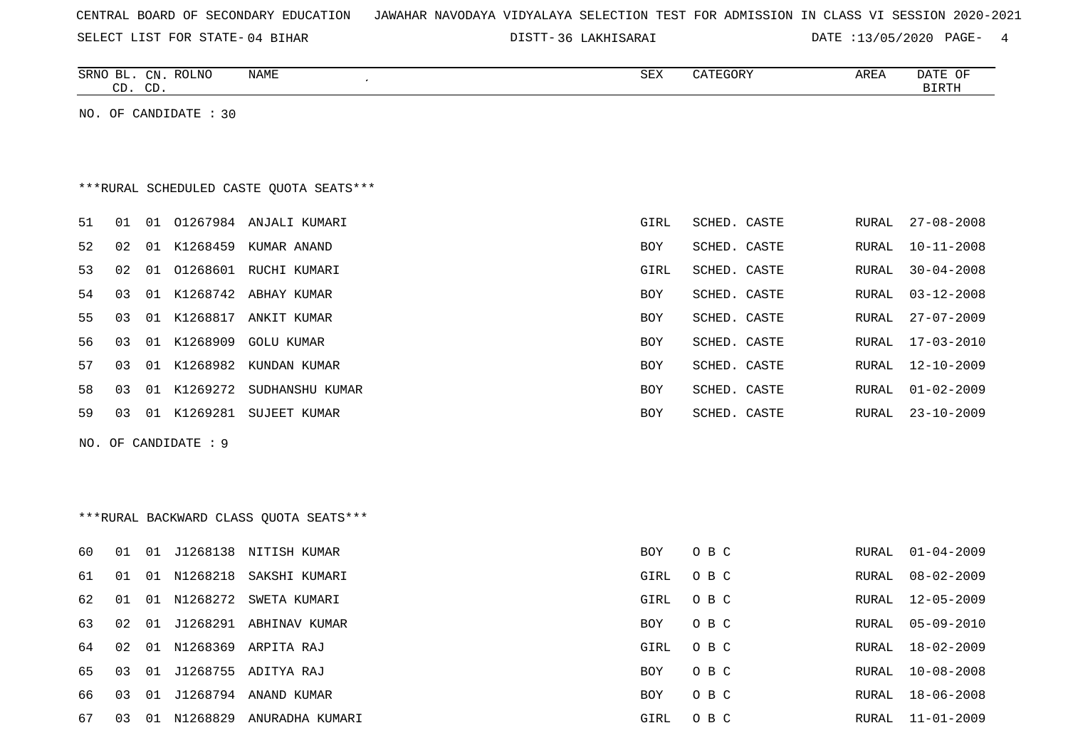| CENTRAL BOARD OF SECONDARY EDUCATION – JAWAHAR NAVODAYA VIDYALAYA SELECTION TEST FOR ADMISSION IN CLASS VI SESSION 2020-2021 |
|------------------------------------------------------------------------------------------------------------------------------|
|------------------------------------------------------------------------------------------------------------------------------|

|     | CD. CD. |    | SRNO BL. CN. ROLNO    | NAME<br>$\pmb{\cdot}$                   | SEX         | CATEGORY     | AREA         | DATE OF<br><b>BIRTH</b> |
|-----|---------|----|-----------------------|-----------------------------------------|-------------|--------------|--------------|-------------------------|
|     |         |    | NO. OF CANDIDATE : 30 |                                         |             |              |              |                         |
|     |         |    |                       |                                         |             |              |              |                         |
|     |         |    |                       |                                         |             |              |              |                         |
|     |         |    |                       | ***RURAL SCHEDULED CASTE QUOTA SEATS*** |             |              |              |                         |
| 51  | 01      |    |                       | 01 01267984 ANJALI KUMARI               | GIRL        | SCHED. CASTE | RURAL        | $27 - 08 - 2008$        |
| 52  | 02      |    |                       | 01 K1268459 KUMAR ANAND                 | BOY         | SCHED. CASTE | <b>RURAL</b> | $10 - 11 - 2008$        |
| 53  | 02      |    |                       | 01 01268601 RUCHI KUMARI                | GIRL        | SCHED. CASTE | <b>RURAL</b> | $30 - 04 - 2008$        |
| 54  | 03      |    |                       | 01 K1268742 ABHAY KUMAR                 | BOY         | SCHED. CASTE | RURAL        | $03 - 12 - 2008$        |
| 55  | 03      |    |                       | 01 K1268817 ANKIT KUMAR                 | BOY         | SCHED. CASTE | RURAL        | $27 - 07 - 2009$        |
| 56  | 03      |    | 01 K1268909           | <b>GOLU KUMAR</b>                       | BOY         | SCHED. CASTE | RURAL        | $17 - 03 - 2010$        |
| 57  | 03      |    |                       | 01 K1268982 KUNDAN KUMAR                | <b>BOY</b>  | SCHED. CASTE | RURAL        | $12 - 10 - 2009$        |
| 58  | 03      |    | 01 K1269272           | SUDHANSHU KUMAR                         | BOY         | SCHED. CASTE | RURAL        | $01 - 02 - 2009$        |
| 59  | 03      |    |                       | 01 K1269281 SUJEET KUMAR                | BOY         | SCHED. CASTE | RURAL        | $23 - 10 - 2009$        |
| NO. |         |    | OF CANDIDATE : 9      |                                         |             |              |              |                         |
|     |         |    |                       |                                         |             |              |              |                         |
|     |         |    |                       |                                         |             |              |              |                         |
|     |         |    |                       | ***RURAL BACKWARD CLASS OUOTA SEATS***  |             |              |              |                         |
| 60  | 01      |    |                       | 01 J1268138 NITISH KUMAR                | <b>BOY</b>  | O B C        | RURAL        | $01 - 04 - 2009$        |
| 61  | 01      |    | 01 N1268218           | SAKSHI KUMARI                           | <b>GIRL</b> | O B C        | <b>RURAL</b> | $08 - 02 - 2009$        |
| 62  | 01      |    | 01 N1268272           | SWETA KUMARI                            | GIRL        | O B C        | <b>RURAL</b> | $12 - 05 - 2009$        |
| 63  | 02      |    |                       | 01 J1268291 ABHINAV KUMAR               | BOY         | O B C        | RURAL        | $05 - 09 - 2010$        |
| 64  | 02      |    |                       | 01 N1268369 ARPITA RAJ                  | GIRL        | O B C        | RURAL        | $18 - 02 - 2009$        |
| 65  | 03      | 01 |                       | J1268755 ADITYA RAJ                     | BOY         | O B C        | RURAL        | $10 - 08 - 2008$        |
| 66  | 03      |    |                       | 01 J1268794 ANAND KUMAR                 | BOY         | O B C        | <b>RURAL</b> | $18 - 06 - 2008$        |
| 67  | 03      |    |                       | 01 N1268829 ANURADHA KUMARI             | <b>GIRL</b> | O B C        | <b>RURAL</b> | $11 - 01 - 2009$        |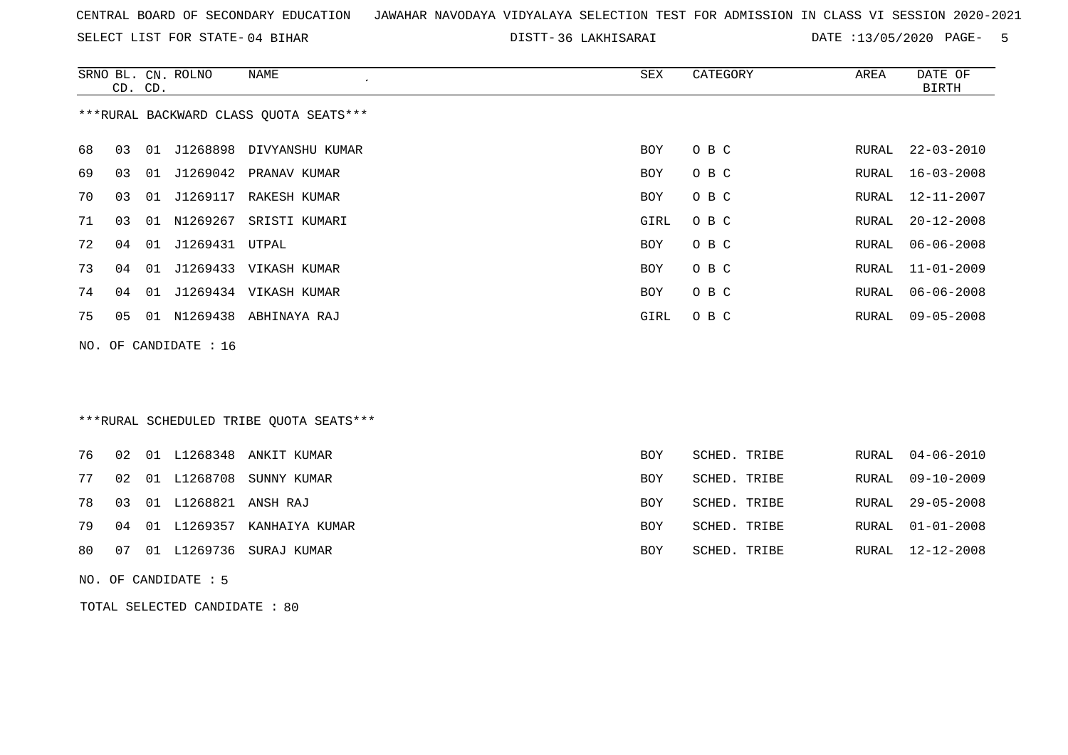SELECT LIST FOR STATE- DISTT- 04 BIHAR

36 LAKHISARAI DATE :13/05/2020 PAGE- 5

|    | CD. CD. |    | SRNO BL. CN. ROLNO    | <b>NAME</b>                             | <b>SEX</b> | CATEGORY     | AREA  | DATE OF<br><b>BIRTH</b> |
|----|---------|----|-----------------------|-----------------------------------------|------------|--------------|-------|-------------------------|
|    |         |    |                       | *** RURAL BACKWARD CLASS QUOTA SEATS*** |            |              |       |                         |
| 68 | 03      | 01 | J1268898              | DIVYANSHU KUMAR                         | BOY        | O B C        | RURAL | $22 - 03 - 2010$        |
| 69 | 03      | 01 | J1269042              | PRANAV KUMAR                            | <b>BOY</b> | O B C        | RURAL | $16 - 03 - 2008$        |
| 70 | 03      | 01 | J1269117              | RAKESH KUMAR                            | <b>BOY</b> | O B C        | RURAL | $12 - 11 - 2007$        |
| 71 | 03      | 01 | N1269267              | SRISTI KUMARI                           | GIRL       | O B C        | RURAL | $20 - 12 - 2008$        |
| 72 | 04      | 01 | J1269431              | UTPAL                                   | BOY        | O B C        | RURAL | $06 - 06 - 2008$        |
| 73 | 04      | 01 |                       | J1269433 VIKASH KUMAR                   | BOY        | O B C        | RURAL | $11 - 01 - 2009$        |
| 74 | 04      | 01 |                       | J1269434 VIKASH KUMAR                   | BOY        | O B C        | RURAL | $06 - 06 - 2008$        |
| 75 | 05      |    |                       | 01 N1269438 ABHINAYA RAJ                | GIRL       | O B C        | RURAL | $09 - 05 - 2008$        |
|    |         |    | NO. OF CANDIDATE : 16 |                                         |            |              |       |                         |
|    |         |    |                       |                                         |            |              |       |                         |
|    |         |    |                       |                                         |            |              |       |                         |
|    |         |    |                       | ***RURAL SCHEDULED TRIBE OUOTA SEATS*** |            |              |       |                         |
| 76 | 02      |    | 01 L1268348           | ANKIT KUMAR                             | <b>BOY</b> | SCHED. TRIBE | RURAL | $04 - 06 - 2010$        |
| 77 | 02      |    | 01 L1268708           | SUNNY KUMAR                             | <b>BOY</b> | SCHED. TRIBE | RURAL | $09 - 10 - 2009$        |
| 78 | 03      |    | 01 L1268821           | ANSH RAJ                                | <b>BOY</b> | SCHED. TRIBE | RURAL | $29 - 05 - 2008$        |
| 79 | 04      | 01 | L1269357              | KANHAIYA KUMAR                          | <b>BOY</b> | SCHED. TRIBE | RURAL | $01 - 01 - 2008$        |
| 80 | 07      |    |                       | 01 L1269736 SURAJ KUMAR                 | BOY        | SCHED. TRIBE | RURAL | $12 - 12 - 2008$        |
|    |         |    |                       |                                         |            |              |       |                         |

NO. OF CANDIDATE : 5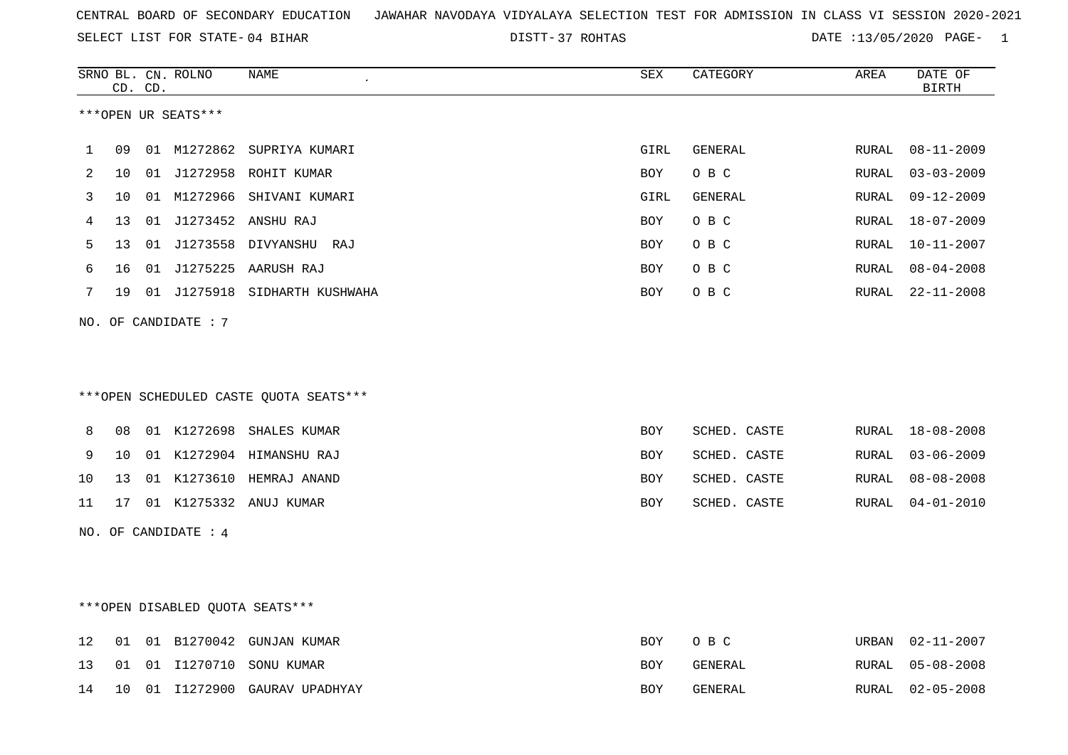SELECT LIST FOR STATE- DISTT- 04 BIHAR

DISTT-37 ROHTAS **DATE** :13/05/2020 PAGE- 1

|    |    | CD. CD. | SRNO BL. CN. ROLNO              | NAME                                   | SEX        | CATEGORY     | AREA         | DATE OF<br><b>BIRTH</b> |
|----|----|---------|---------------------------------|----------------------------------------|------------|--------------|--------------|-------------------------|
|    |    |         | ***OPEN UR SEATS***             |                                        |            |              |              |                         |
| 1  | 09 |         |                                 | 01 M1272862 SUPRIYA KUMARI             | GIRL       | GENERAL      | RURAL        | 08-11-2009              |
| 2  | 10 |         |                                 | 01 J1272958 ROHIT KUMAR                | BOY        | O B C        | RURAL        | $03 - 03 - 2009$        |
| 3  | 10 |         |                                 | 01 M1272966 SHIVANI KUMARI             | GIRL       | GENERAL      | RURAL        | $09 - 12 - 2009$        |
| 4  | 13 | 01      |                                 | J1273452 ANSHU RAJ                     | BOY        | O B C        | RURAL        | 18-07-2009              |
| 5  | 13 |         |                                 | 01 J1273558 DIVYANSHU RAJ              | BOY        | O B C        | RURAL        | $10 - 11 - 2007$        |
| 6  | 16 |         |                                 | 01 J1275225 AARUSH RAJ                 | <b>BOY</b> | O B C        | RURAL        | $08 - 04 - 2008$        |
| 7  | 19 |         |                                 | 01 J1275918 SIDHARTH KUSHWAHA          | <b>BOY</b> | O B C        | RURAL        | $22 - 11 - 2008$        |
|    |    |         | NO. OF CANDIDATE: 7             |                                        |            |              |              |                         |
|    |    |         |                                 |                                        |            |              |              |                         |
|    |    |         |                                 |                                        |            |              |              |                         |
|    |    |         |                                 | ***OPEN SCHEDULED CASTE QUOTA SEATS*** |            |              |              |                         |
| 8  | 08 |         |                                 | 01 K1272698 SHALES KUMAR               | <b>BOY</b> | SCHED. CASTE | RURAL        | $18 - 08 - 2008$        |
| 9  | 10 |         |                                 | 01 K1272904 HIMANSHU RAJ               | BOY        | SCHED. CASTE | RURAL        | $03 - 06 - 2009$        |
| 10 | 13 |         |                                 | 01 K1273610 HEMRAJ ANAND               | BOY        | SCHED. CASTE | <b>RURAL</b> | $08 - 08 - 2008$        |
| 11 | 17 |         |                                 | 01 K1275332 ANUJ KUMAR                 | BOY        | SCHED. CASTE | RURAL        | $04 - 01 - 2010$        |
|    |    |         | NO. OF CANDIDATE : 4            |                                        |            |              |              |                         |
|    |    |         |                                 |                                        |            |              |              |                         |
|    |    |         |                                 |                                        |            |              |              |                         |
|    |    |         | ***OPEN DISABLED QUOTA SEATS*** |                                        |            |              |              |                         |
| 12 | 01 |         |                                 | 01 B1270042 GUNJAN KUMAR               | BOY        | O B C        | URBAN        | $02 - 11 - 2007$        |
| 13 | 01 |         |                                 | 01 I1270710 SONU KUMAR                 | BOY        | GENERAL      | RURAL        | $05 - 08 - 2008$        |
| 14 | 10 |         |                                 | 01 I1272900 GAURAV UPADHYAY            | BOY        | GENERAL      | RURAL        | $02 - 05 - 2008$        |
|    |    |         |                                 |                                        |            |              |              |                         |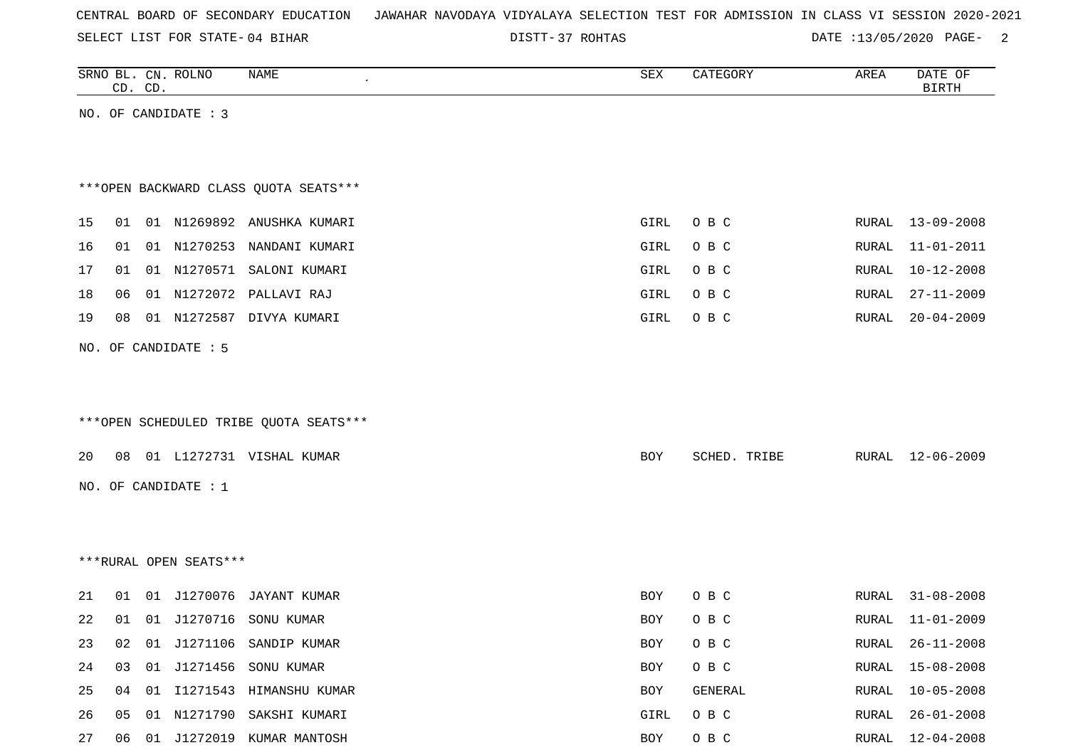| CENTRAL BOARD OF SECONDARY EDUCATION – JAWAHAR NAVODAYA VIDYALAYA SELECTION TEST FOR ADMISSION IN CLASS VI SESSION 2020-2021 |  |  |  |  |
|------------------------------------------------------------------------------------------------------------------------------|--|--|--|--|
|------------------------------------------------------------------------------------------------------------------------------|--|--|--|--|

DISTT-37 ROHTAS DATE :13/05/2020 PAGE- 2

|    |    | CD. CD. | SRNO BL. CN. ROLNO     | <b>NAME</b>                            | ${\tt SEX}$ | CATEGORY     | AREA         | DATE OF<br><b>BIRTH</b> |
|----|----|---------|------------------------|----------------------------------------|-------------|--------------|--------------|-------------------------|
|    |    |         | NO. OF CANDIDATE : 3   |                                        |             |              |              |                         |
|    |    |         |                        |                                        |             |              |              |                         |
|    |    |         |                        |                                        |             |              |              |                         |
|    |    |         |                        | *** OPEN BACKWARD CLASS QUOTA SEATS*** |             |              |              |                         |
| 15 | 01 |         |                        | 01 N1269892 ANUSHKA KUMARI             | GIRL        | O B C        | RURAL        | $13 - 09 - 2008$        |
| 16 | 01 |         |                        | 01 N1270253 NANDANI KUMARI             | GIRL        | O B C        | RURAL        | $11 - 01 - 2011$        |
| 17 | 01 |         |                        | 01 N1270571 SALONI KUMARI              | GIRL        | O B C        | RURAL        | $10 - 12 - 2008$        |
| 18 | 06 |         |                        | 01 N1272072 PALLAVI RAJ                | GIRL        | O B C        | RURAL        | $27 - 11 - 2009$        |
| 19 | 08 |         |                        | 01 N1272587 DIVYA KUMARI               | GIRL        | O B C        | RURAL        | $20 - 04 - 2009$        |
|    |    |         |                        |                                        |             |              |              |                         |
|    |    |         | NO. OF CANDIDATE : 5   |                                        |             |              |              |                         |
|    |    |         |                        |                                        |             |              |              |                         |
|    |    |         |                        | ***OPEN SCHEDULED TRIBE QUOTA SEATS*** |             |              |              |                         |
|    |    |         |                        |                                        |             |              |              |                         |
| 20 | 08 |         |                        | 01 L1272731 VISHAL KUMAR               | BOY         | SCHED. TRIBE | RURAL        | 12-06-2009              |
|    |    |         | NO. OF CANDIDATE : 1   |                                        |             |              |              |                         |
|    |    |         |                        |                                        |             |              |              |                         |
|    |    |         |                        |                                        |             |              |              |                         |
|    |    |         | ***RURAL OPEN SEATS*** |                                        |             |              |              |                         |
|    |    |         |                        |                                        |             |              |              |                         |
| 21 | 01 |         |                        | 01 J1270076 JAYANT KUMAR               | BOY         | O B C        | RURAL        | $31 - 08 - 2008$        |
| 22 | 01 |         |                        | 01 J1270716 SONU KUMAR                 | BOY         | O B C        | RURAL        | $11 - 01 - 2009$        |
| 23 | 02 |         |                        | 01 J1271106 SANDIP KUMAR               | BOY         | O B C        | RURAL        | $26 - 11 - 2008$        |
| 24 | 03 |         |                        | 01 J1271456 SONU KUMAR                 | BOY         | O B C        | <b>RURAL</b> | $15 - 08 - 2008$        |
| 25 | 04 |         |                        | 01 I1271543 HIMANSHU KUMAR             | BOY         | GENERAL      | RURAL        | $10 - 05 - 2008$        |
| 26 | 05 |         |                        | 01 N1271790 SAKSHI KUMARI              | GIRL        | $O$ B $C$    | RURAL        | $26 - 01 - 2008$        |
| 27 |    |         |                        | 06 01 J1272019 KUMAR MANTOSH           | BOY         | O B C        | RURAL        | $12 - 04 - 2008$        |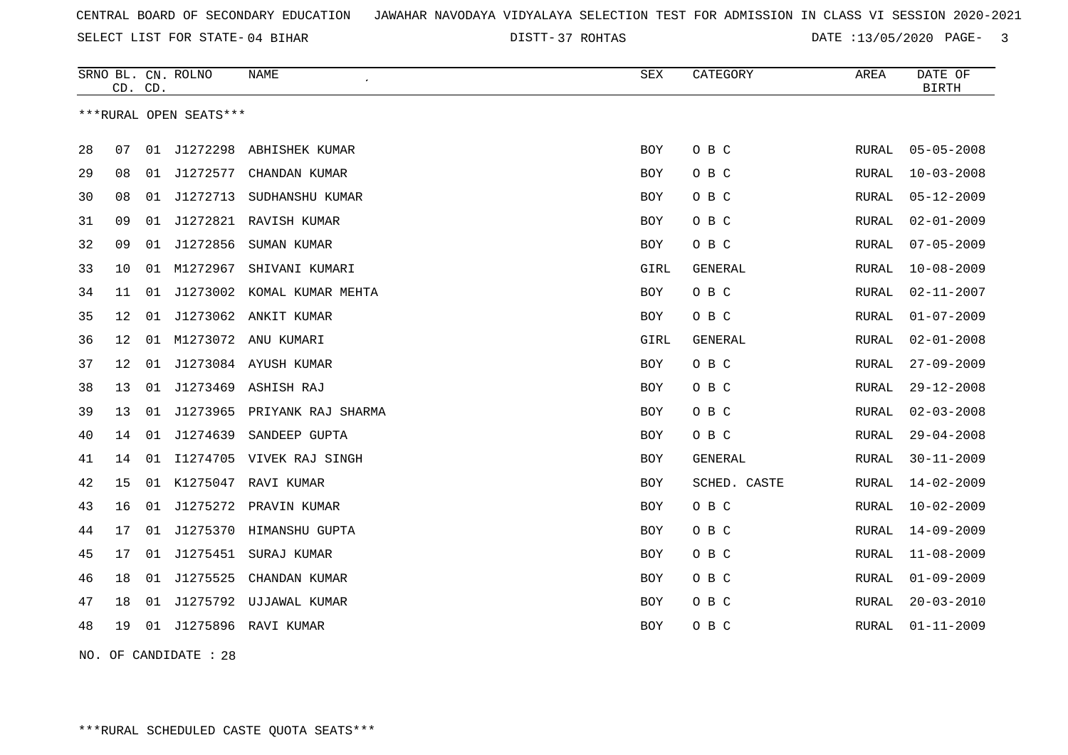37 ROHTAS DATE :13/05/2020 PAGE- 3

|    | CD. CD.                |    | SRNO BL. CN. ROLNO | <b>NAME</b>                 | <b>SEX</b> | CATEGORY       | AREA  | DATE OF<br><b>BIRTH</b> |  |  |
|----|------------------------|----|--------------------|-----------------------------|------------|----------------|-------|-------------------------|--|--|
|    | ***RURAL OPEN SEATS*** |    |                    |                             |            |                |       |                         |  |  |
| 28 | 07                     | 01 | J1272298           | ABHISHEK KUMAR              | <b>BOY</b> | O B C          | RURAL | $05 - 05 - 2008$        |  |  |
| 29 | 08                     | 01 | J1272577           | CHANDAN KUMAR               | BOY        | O B C          | RURAL | $10 - 03 - 2008$        |  |  |
| 30 | 08                     | 01 |                    | J1272713 SUDHANSHU KUMAR    | BOY        | O B C          | RURAL | $05 - 12 - 2009$        |  |  |
| 31 | 09                     | 01 |                    | J1272821 RAVISH KUMAR       | BOY        | O B C          | RURAL | $02 - 01 - 2009$        |  |  |
| 32 | 09                     | 01 | J1272856           | SUMAN KUMAR                 | BOY        | O B C          | RURAL | $07 - 05 - 2009$        |  |  |
| 33 | 10                     | 01 | M1272967           | SHIVANI KUMARI              | GIRL       | GENERAL        | RURAL | $10 - 08 - 2009$        |  |  |
| 34 | 11                     | 01 |                    | J1273002 KOMAL KUMAR MEHTA  | BOY        | O B C          | RURAL | $02 - 11 - 2007$        |  |  |
| 35 | 12 <sub>1</sub>        | 01 |                    | J1273062 ANKIT KUMAR        | BOY        | O B C          | RURAL | $01 - 07 - 2009$        |  |  |
| 36 | 12 <sub>1</sub>        |    |                    | 01 M1273072 ANU KUMARI      | GIRL       | <b>GENERAL</b> | RURAL | $02 - 01 - 2008$        |  |  |
| 37 | 12 <sub>1</sub>        | 01 |                    | J1273084 AYUSH KUMAR        | BOY        | O B C          | RURAL | $27 - 09 - 2009$        |  |  |
| 38 | 13                     | 01 |                    | J1273469 ASHISH RAJ         | BOY        | O B C          | RURAL | $29 - 12 - 2008$        |  |  |
| 39 | 13                     | 01 |                    | J1273965 PRIYANK RAJ SHARMA | <b>BOY</b> | O B C          | RURAL | $02 - 03 - 2008$        |  |  |
| 40 | 14                     | 01 | J1274639           | SANDEEP GUPTA               | BOY        | O B C          | RURAL | $29 - 04 - 2008$        |  |  |
| 41 | 14                     | 01 |                    | I1274705 VIVEK RAJ SINGH    | BOY        | GENERAL        | RURAL | $30 - 11 - 2009$        |  |  |
| 42 | 15                     | 01 | K1275047           | RAVI KUMAR                  | BOY        | SCHED. CASTE   | RURAL | $14 - 02 - 2009$        |  |  |
| 43 | 16                     | 01 |                    | J1275272 PRAVIN KUMAR       | BOY        | O B C          | RURAL | $10 - 02 - 2009$        |  |  |
| 44 | 17                     | 01 | J1275370           | HIMANSHU GUPTA              | <b>BOY</b> | O B C          | RURAL | $14 - 09 - 2009$        |  |  |
| 45 | 17                     | 01 | J1275451           | SURAJ KUMAR                 | BOY        | O B C          | RURAL | $11 - 08 - 2009$        |  |  |
| 46 | 18                     | 01 | J1275525           | CHANDAN KUMAR               | <b>BOY</b> | O B C          | RURAL | $01 - 09 - 2009$        |  |  |
| 47 | 18                     |    |                    | 01 J1275792 UJJAWAL KUMAR   | BOY        | O B C          | RURAL | $20 - 03 - 2010$        |  |  |
| 48 | 19                     |    |                    | 01 J1275896 RAVI KUMAR      | BOY        | O B C          | RURAL | $01 - 11 - 2009$        |  |  |
|    |                        |    |                    |                             |            |                |       |                         |  |  |

NO. OF CANDIDATE : 28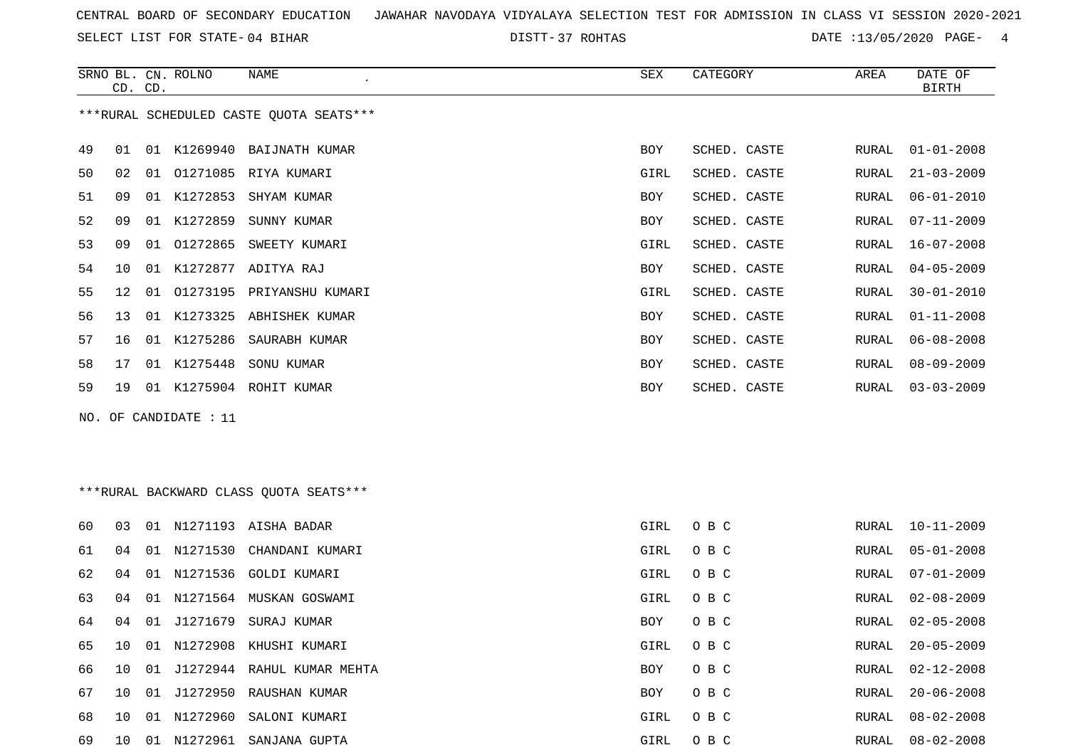SELECT LIST FOR STATE- DISTT- 04 BIHAR

DISTT-37 ROHTAS **DATE** :13/05/2020 PAGE- 4

|    | CD. CD.                                 |    | SRNO BL. CN. ROLNO    | <b>NAME</b><br>$\cdot$                  | <b>SEX</b> | CATEGORY     | AREA         | DATE OF<br><b>BIRTH</b> |  |  |
|----|-----------------------------------------|----|-----------------------|-----------------------------------------|------------|--------------|--------------|-------------------------|--|--|
|    |                                         |    |                       | ***RURAL SCHEDULED CASTE QUOTA SEATS*** |            |              |              |                         |  |  |
| 49 | 01                                      |    |                       | 01 K1269940 BAIJNATH KUMAR              | <b>BOY</b> | SCHED. CASTE | RURAL        | $01 - 01 - 2008$        |  |  |
| 50 | 02                                      |    |                       | 01 01271085 RIYA KUMARI                 | GIRL       | SCHED. CASTE | RURAL        | $21 - 03 - 2009$        |  |  |
| 51 | 09                                      |    | 01 K1272853           | SHYAM KUMAR                             | BOY        | SCHED. CASTE | RURAL        | $06 - 01 - 2010$        |  |  |
| 52 | 09                                      |    | 01 K1272859           | SUNNY KUMAR                             | <b>BOY</b> | SCHED. CASTE | RURAL        | $07 - 11 - 2009$        |  |  |
| 53 | 09                                      | 01 | 01272865              | SWEETY KUMARI                           | GIRL       | SCHED. CASTE | <b>RURAL</b> | $16 - 07 - 2008$        |  |  |
| 54 | 10                                      | 01 | K1272877              | ADITYA RAJ                              | BOY        | SCHED. CASTE | <b>RURAL</b> | $04 - 05 - 2009$        |  |  |
| 55 | 12                                      | 01 | 01273195              | PRIYANSHU KUMARI                        | GIRL       | SCHED. CASTE | <b>RURAL</b> | $30 - 01 - 2010$        |  |  |
| 56 | 13                                      |    |                       | 01 K1273325 ABHISHEK KUMAR              | <b>BOY</b> | SCHED. CASTE | RURAL        | $01 - 11 - 2008$        |  |  |
| 57 | 16                                      |    | 01 K1275286           | SAURABH KUMAR                           | <b>BOY</b> | SCHED. CASTE | RURAL        | $06 - 08 - 2008$        |  |  |
| 58 | 17                                      |    | 01 K1275448           | SONU KUMAR                              | <b>BOY</b> | SCHED. CASTE | RURAL        | $08 - 09 - 2009$        |  |  |
| 59 | 19                                      |    |                       | 01 K1275904 ROHIT KUMAR                 | <b>BOY</b> | SCHED. CASTE | RURAL        | $03 - 03 - 2009$        |  |  |
|    |                                         |    | NO. OF CANDIDATE : 11 |                                         |            |              |              |                         |  |  |
|    |                                         |    |                       |                                         |            |              |              |                         |  |  |
|    |                                         |    |                       |                                         |            |              |              |                         |  |  |
|    | *** RURAL BACKWARD CLASS QUOTA SEATS*** |    |                       |                                         |            |              |              |                         |  |  |
| 60 | 03                                      |    |                       | 01 N1271193 AISHA BADAR                 | GIRL       | O B C        | RURAL        | 10-11-2009              |  |  |

| 05-01-2008<br>01 N1271530 CHANDANI KUMARI<br>61<br>04<br>O B C<br>GIRL<br>RURAL<br>62<br>N1271536<br>07-01-2009<br>O B C<br>04<br>GOLDI KUMARI<br>GIRL<br>01<br>RURAL<br>02-08-2009<br>63<br>N1271564<br>O B C<br>04<br>MUSKAN GOSWAMI<br>01<br>GIRL<br>RURAL<br>J1271679<br>O B C<br>$02 - 05 - 2008$<br>64<br>04<br>01<br>SURAJ KUMAR<br><b>BOY</b><br>RURAL<br>N1272908<br>$20 - 05 - 2009$<br>O B C<br>65<br>01<br>KHUSHI KUMARI<br>GIRL<br>RURAL<br>10<br>J1272944<br>$02 - 12 - 2008$<br>O B C<br>66<br>RAHUL KUMAR MEHTA<br>1 O<br>. N 1<br>BOY<br>RURAL<br>$20 - 06 - 2008$<br>J1272950<br>O B C<br>67<br>01<br>RAUSHAN KUMAR<br>1 O<br><b>BOY</b><br>RURAL<br>N1272960<br>68<br>$08 - 02 - 2008$<br>O B C<br>SALONI KUMARI<br>GIRL<br>RURAL<br>1 O<br>01<br>N1272961<br>$08 - 02 - 2008$<br>69<br>O B C<br>SANJANA GUPTA<br>GIRL<br>RURAL<br>10<br>-01 |  |  |  |  |  |
|-----------------------------------------------------------------------------------------------------------------------------------------------------------------------------------------------------------------------------------------------------------------------------------------------------------------------------------------------------------------------------------------------------------------------------------------------------------------------------------------------------------------------------------------------------------------------------------------------------------------------------------------------------------------------------------------------------------------------------------------------------------------------------------------------------------------------------------------------------------------|--|--|--|--|--|
|                                                                                                                                                                                                                                                                                                                                                                                                                                                                                                                                                                                                                                                                                                                                                                                                                                                                 |  |  |  |  |  |
|                                                                                                                                                                                                                                                                                                                                                                                                                                                                                                                                                                                                                                                                                                                                                                                                                                                                 |  |  |  |  |  |
|                                                                                                                                                                                                                                                                                                                                                                                                                                                                                                                                                                                                                                                                                                                                                                                                                                                                 |  |  |  |  |  |
|                                                                                                                                                                                                                                                                                                                                                                                                                                                                                                                                                                                                                                                                                                                                                                                                                                                                 |  |  |  |  |  |
|                                                                                                                                                                                                                                                                                                                                                                                                                                                                                                                                                                                                                                                                                                                                                                                                                                                                 |  |  |  |  |  |
|                                                                                                                                                                                                                                                                                                                                                                                                                                                                                                                                                                                                                                                                                                                                                                                                                                                                 |  |  |  |  |  |
|                                                                                                                                                                                                                                                                                                                                                                                                                                                                                                                                                                                                                                                                                                                                                                                                                                                                 |  |  |  |  |  |
|                                                                                                                                                                                                                                                                                                                                                                                                                                                                                                                                                                                                                                                                                                                                                                                                                                                                 |  |  |  |  |  |
|                                                                                                                                                                                                                                                                                                                                                                                                                                                                                                                                                                                                                                                                                                                                                                                                                                                                 |  |  |  |  |  |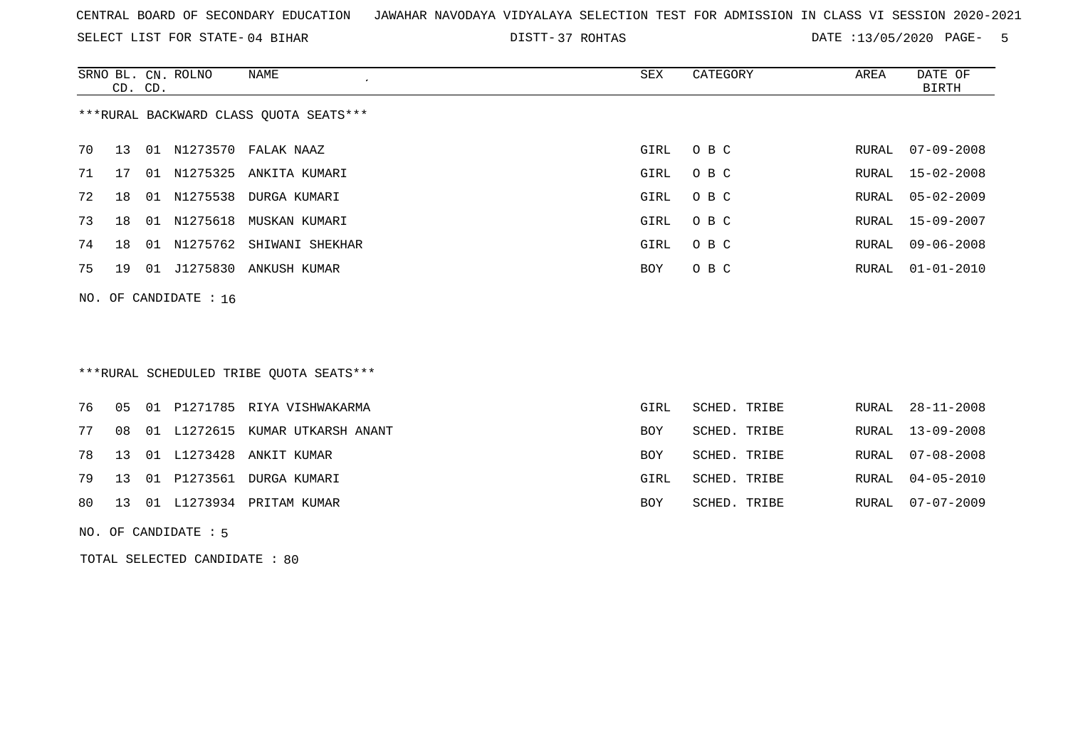SELECT LIST FOR STATE- DISTT- 04 BIHAR

37 ROHTAS DATE :13/05/2020 PAGE- 5

|                                        | CD. CD.                 |    | SRNO BL. CN. ROLNO | NAME                     | SEX  | CATEGORY | AREA  | DATE OF<br>BIRTH |  |  |
|----------------------------------------|-------------------------|----|--------------------|--------------------------|------|----------|-------|------------------|--|--|
| ***RURAL BACKWARD CLASS QUOTA SEATS*** |                         |    |                    |                          |      |          |       |                  |  |  |
| 70                                     | 13                      | 01 |                    | N1273570 FALAK NAAZ      | GIRL | O B C    |       | RURAL 07-09-2008 |  |  |
| 71                                     | 17                      | 01 |                    | N1275325 ANKITA KUMARI   | GIRL | O B C    |       | RURAL 15-02-2008 |  |  |
| 72                                     | 18                      |    |                    | 01 N1275538 DURGA KUMARI | GIRL | O B C    |       | RURAL 05-02-2009 |  |  |
| 73                                     | 18                      | 01 | N1275618           | MUSKAN KUMARI            | GIRL | O B C    | RURAL | 15-09-2007       |  |  |
| 74                                     | 18                      | 01 |                    | N1275762 SHIWANI SHEKHAR | GIRL | O B C    | RURAL | $09 - 06 - 2008$ |  |  |
| 75                                     | 19                      |    | 01 J1275830        | ANKUSH KUMAR             | BOY  | O B C    | RURAL | 01-01-2010       |  |  |
|                                        | NO. OF CANDIDATE : $16$ |    |                    |                          |      |          |       |                  |  |  |

# \*\*\*RURAL SCHEDULED TRIBE QUOTA SEATS\*\*\*

|  |  | 76 05 01 P1271785 RIYA VISHWAKARMA    | GIRL       | SCHED. TRIBE | RURAL 28-11-2008 |
|--|--|---------------------------------------|------------|--------------|------------------|
|  |  | 77 08 01 L1272615 KUMAR UTKARSH ANANT | <b>BOY</b> | SCHED. TRIBE | RURAL 13-09-2008 |
|  |  | 78 13 01 L1273428 ANKIT KUMAR         | <b>BOY</b> | SCHED. TRIBE | RURAL 07-08-2008 |
|  |  | 79 13 01 P1273561 DURGA KUMARI        | GIRL       | SCHED. TRIBE | RURAL 04-05-2010 |
|  |  | 80 13 01 L1273934 PRITAM KUMAR        | <b>BOY</b> | SCHED. TRIBE | RURAL 07-07-2009 |
|  |  |                                       |            |              |                  |

NO. OF CANDIDATE : 5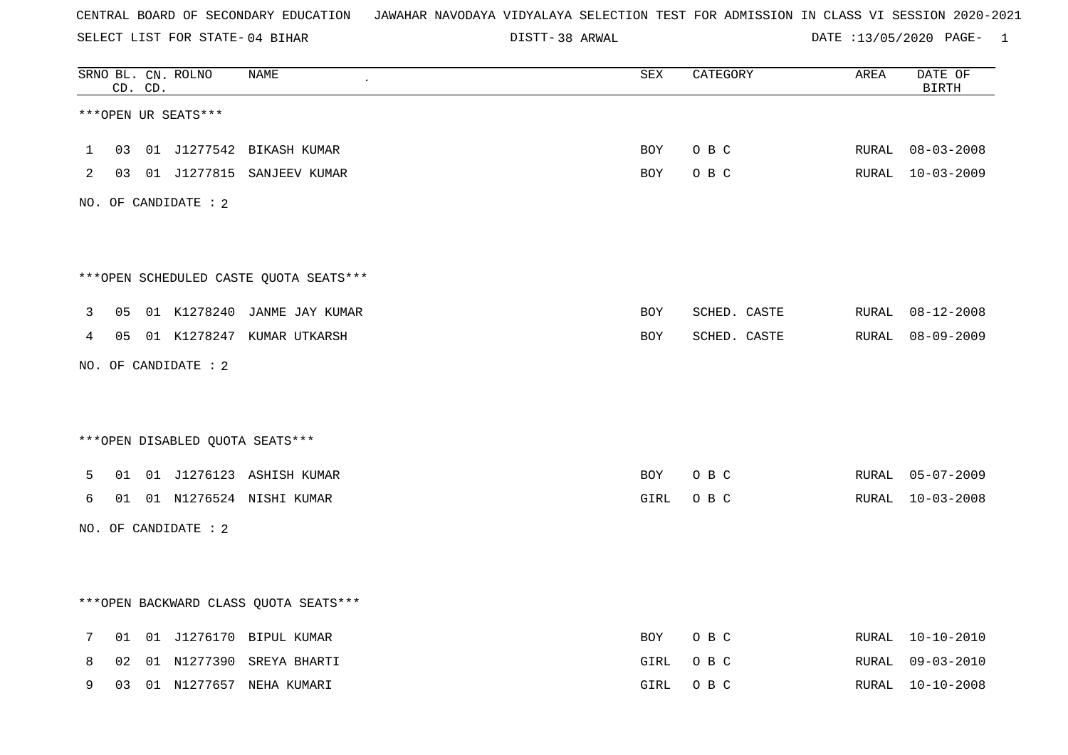SELECT LIST FOR STATE- DISTT- 04 BIHAR

DISTT-38 ARWAL 2008 2020 DATE :13/05/2020 PAGE- 1

|              |    | CD. CD. | SRNO BL. CN. ROLNO   | <b>NAME</b>                            | SEX        | CATEGORY     | AREA         | DATE OF<br><b>BIRTH</b> |
|--------------|----|---------|----------------------|----------------------------------------|------------|--------------|--------------|-------------------------|
|              |    |         | ***OPEN UR SEATS***  |                                        |            |              |              |                         |
| $\mathbf{1}$ | 03 |         |                      | 01 J1277542 BIKASH KUMAR               | <b>BOY</b> | O B C        | RURAL        | $08 - 03 - 2008$        |
| 2            | 03 |         |                      | 01 J1277815 SANJEEV KUMAR              | <b>BOY</b> | O B C        |              | RURAL 10-03-2009        |
|              |    |         | NO. OF CANDIDATE : 2 |                                        |            |              |              |                         |
|              |    |         |                      |                                        |            |              |              |                         |
|              |    |         |                      | ***OPEN SCHEDULED CASTE QUOTA SEATS*** |            |              |              |                         |
| 3            | 05 |         |                      | 01 K1278240 JANME JAY KUMAR            | <b>BOY</b> | SCHED. CASTE |              | RURAL 08-12-2008        |
| 4            |    |         |                      | 05 01 K1278247 KUMAR UTKARSH           | BOY        | SCHED. CASTE | RURAL        | $08 - 09 - 2009$        |
|              |    |         | NO. OF CANDIDATE : 2 |                                        |            |              |              |                         |
|              |    |         |                      |                                        |            |              |              |                         |
|              |    |         |                      | *** OPEN DISABLED QUOTA SEATS***       |            |              |              |                         |
| 5            | 01 |         |                      | 01 J1276123 ASHISH KUMAR               | BOY        | O B C        |              | RURAL 05-07-2009        |
| 6            | 01 |         |                      | 01 N1276524 NISHI KUMAR                | GIRL       | O B C        | RURAL        | $10 - 03 - 2008$        |
|              |    |         | NO. OF CANDIDATE : 2 |                                        |            |              |              |                         |
|              |    |         |                      |                                        |            |              |              |                         |
|              |    |         |                      | *** OPEN BACKWARD CLASS QUOTA SEATS*** |            |              |              |                         |
| 7            | 01 |         |                      | 01 J1276170 BIPUL KUMAR                | BOY        | O B C        | <b>RURAL</b> | $10 - 10 - 2010$        |
| 8            | 02 |         | 01 N1277390          | SREYA BHARTI                           | GIRL       | O B C        | RURAL        | 09-03-2010              |
| 9            | 03 |         |                      | 01 N1277657 NEHA KUMARI                | GIRL       | O B C        | RURAL        | $10 - 10 - 2008$        |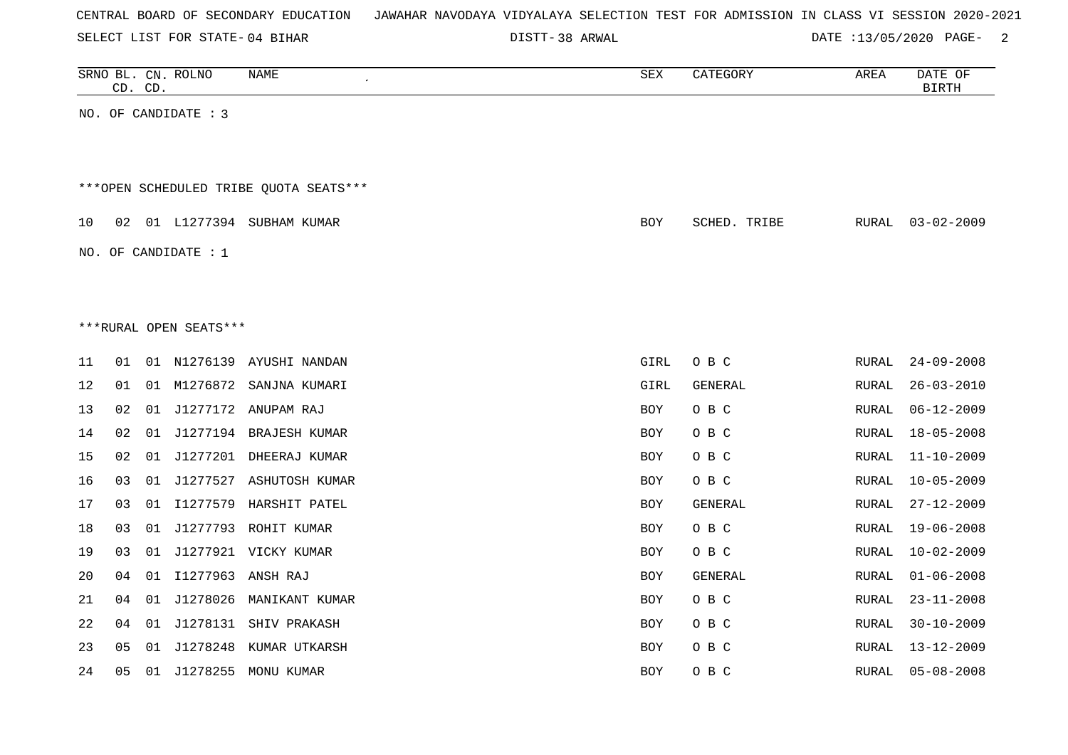| CENTRAL BOARD OF SECONDARY EDUCATION – JAWAHAR NAVODAYA VIDYALAYA SELECTION TEST FOR ADMISSION IN CLASS VI SESSION 2020-2021 |  |
|------------------------------------------------------------------------------------------------------------------------------|--|
|------------------------------------------------------------------------------------------------------------------------------|--|

SELECT LIST FOR STATE- DISTT- 04 BIHAR

DISTT-38 ARWAL 2008 CONTERCT 2018 DATE :13/05/2020 PAGE-

|    | CD. CD. | SRNO BL. CN. ROLNO     | NAME                                   | SEX        | CATEGORY       | AREA         | DATE OF<br><b>BIRTH</b> |
|----|---------|------------------------|----------------------------------------|------------|----------------|--------------|-------------------------|
|    |         | NO. OF CANDIDATE : 3   |                                        |            |                |              |                         |
|    |         |                        |                                        |            |                |              |                         |
|    |         |                        |                                        |            |                |              |                         |
|    |         |                        | ***OPEN SCHEDULED TRIBE QUOTA SEATS*** |            |                |              |                         |
| 10 | 02      |                        | 01 L1277394 SUBHAM KUMAR               | <b>BOY</b> | SCHED. TRIBE   | RURAL        | $03 - 02 - 2009$        |
|    |         | NO. OF CANDIDATE : $1$ |                                        |            |                |              |                         |
|    |         |                        |                                        |            |                |              |                         |
|    |         |                        |                                        |            |                |              |                         |
|    |         | ***RURAL OPEN SEATS*** |                                        |            |                |              |                         |
| 11 | 01      |                        | 01 N1276139 AYUSHI NANDAN              | GIRL       | O B C          | RURAL        | $24 - 09 - 2008$        |
| 12 | 01      |                        | 01 M1276872 SANJNA KUMARI              | GIRL       | GENERAL        | RURAL        | $26 - 03 - 2010$        |
| 13 | 02      |                        | 01 J1277172 ANUPAM RAJ                 | <b>BOY</b> | O B C          | RURAL        | $06 - 12 - 2009$        |
| 14 | 02      |                        | 01 J1277194 BRAJESH KUMAR              | <b>BOY</b> | O B C          | RURAL        | $18 - 05 - 2008$        |
| 15 | 02      |                        | 01 J1277201 DHEERAJ KUMAR              | <b>BOY</b> | O B C          | RURAL        | $11 - 10 - 2009$        |
| 16 | 03      |                        | 01 J1277527 ASHUTOSH KUMAR             | <b>BOY</b> | O B C          | RURAL        | $10 - 05 - 2009$        |
| 17 | 03      |                        | 01 I1277579 HARSHIT PATEL              | <b>BOY</b> | GENERAL        | RURAL        | $27 - 12 - 2009$        |
| 18 | 03      |                        | 01 J1277793 ROHIT KUMAR                | <b>BOY</b> | O B C          | RURAL        | $19 - 06 - 2008$        |
| 19 | 03      |                        | 01 J1277921 VICKY KUMAR                | <b>BOY</b> | O B C          | RURAL        | $10 - 02 - 2009$        |
| 20 | 04      | 01 I1277963 ANSH RAJ   |                                        | <b>BOY</b> | <b>GENERAL</b> | <b>RURAL</b> | $01 - 06 - 2008$        |
| 21 | 04      |                        | 01 J1278026 MANIKANT KUMAR             | <b>BOY</b> | O B C          | RURAL        | $23 - 11 - 2008$        |
| 22 | 04      |                        | 01 J1278131 SHIV PRAKASH               | <b>BOY</b> | O B C          | RURAL        | $30 - 10 - 2009$        |
| 23 | 05      |                        | 01 J1278248 KUMAR UTKARSH              | <b>BOY</b> | O B C          | RURAL        | 13-12-2009              |
| 24 | 05      |                        | 01 J1278255 MONU KUMAR                 | <b>BOY</b> | O B C          | RURAL        | $05 - 08 - 2008$        |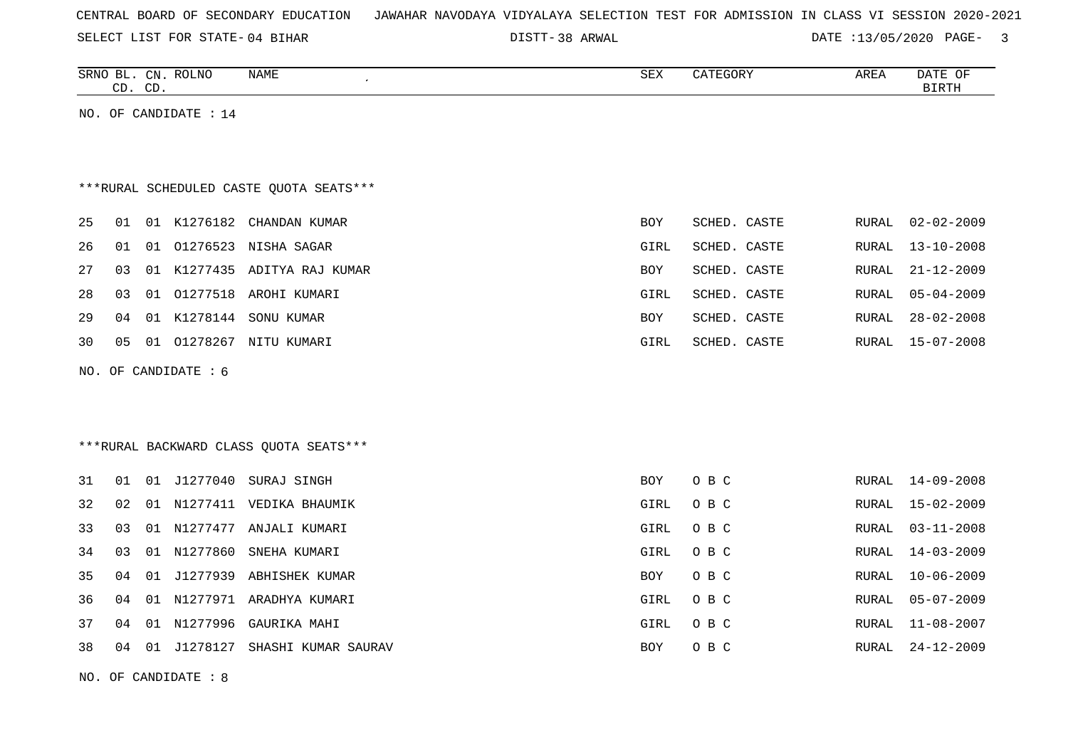|  |  |  | CENTRAL BOARD OF SECONDARY EDUCATION – JAWAHAR NAVODAYA VIDYALAYA SELECTION TEST FOR ADMISSION IN CLASS VI SESSION 2020-2021 |  |  |  |  |  |  |  |  |  |  |  |  |  |  |
|--|--|--|------------------------------------------------------------------------------------------------------------------------------|--|--|--|--|--|--|--|--|--|--|--|--|--|--|
|--|--|--|------------------------------------------------------------------------------------------------------------------------------|--|--|--|--|--|--|--|--|--|--|--|--|--|--|

SELECT LIST FOR STATE- DISTT- 04 BIHAR

38 ARWAL DATE :13/05/2020 PAGE- 3

| SRNO<br>BL   | $\cap$<br>◡ェ◥    | $DT$ NTC<br>ROLINC | <b>NAME</b> | $\sim$ m $\sim$<br>∆∟ت | $'$ $\pi$ $\pi$ $\pi$ .<br>いいしに<br>$\overline{\phantom{a}}$ | AREA | DATE<br>$\sim$ $\sim$<br>OF. |
|--------------|------------------|--------------------|-------------|------------------------|-------------------------------------------------------------|------|------------------------------|
| $\sim$<br>-- | $\sqrt{2}$<br>◡◡ |                    |             |                        |                                                             |      |                              |
|              |                  |                    |             |                        |                                                             |      |                              |

NO. OF CANDIDATE : 14

# \*\*\*RURAL SCHEDULED CASTE QUOTA SEATS\*\*\*

| 25 |    |       |             | 01 01 K1276182 CHANDAN KUMAR    | <b>BOY</b> | SCHED. CASTE |       | RURAL 02-02-2009 |
|----|----|-------|-------------|---------------------------------|------------|--------------|-------|------------------|
| 26 | 01 |       |             | 01 01276523 NISHA SAGAR         | GIRL       | SCHED. CASTE |       | RURAL 13-10-2008 |
| 27 |    |       |             | 03 01 K1277435 ADITYA RAJ KUMAR | <b>BOY</b> | SCHED. CASTE |       | RURAL 21-12-2009 |
| 28 | 03 |       |             | 01 01277518 AROHI KUMARI        | GIRL       | SCHED. CASTE |       | RURAL 05-04-2009 |
| 29 | 04 |       | 01 K1278144 | SONU KUMAR                      | <b>BOY</b> | SCHED. CASTE | RURAL | 28-02-2008       |
| 30 | 05 | . N 1 | 01278267    | NITU KUMARI                     | GIRL       | SCHED. CASTE | RURAL | 15-07-2008       |
|    |    |       |             |                                 |            |              |       |                  |

NO. OF CANDIDATE : 6

\*\*\*RURAL BACKWARD CLASS QUOTA SEATS\*\*\*

| 31 | 01 | 01  | J1277040 | SURAJ SINGH         | <b>BOY</b> | O B C |       | RURAL 14-09-2008 |
|----|----|-----|----------|---------------------|------------|-------|-------|------------------|
| 32 | 02 | 01  | N1277411 | VEDIKA BHAUMIK      | GIRL       | O B C |       | RURAL 15-02-2009 |
| 33 | 03 | 01  | N1277477 | ANJALI KUMARI       | GIRL       | O B C |       | RURAL 03-11-2008 |
| 34 | 03 | 01  | N1277860 | SNEHA KUMARI        | GIRL       | O B C |       | RURAL 14-03-2009 |
| 35 | 04 | 01  | J1277939 | ABHISHEK KUMAR      | <b>BOY</b> | O B C |       | RURAL 10-06-2009 |
| 36 | 04 | 01  | N1277971 | ARADHYA KUMARI      | GIRL       | O B C | RURAL | $05 - 07 - 2009$ |
| 37 | 04 | O 1 | N1277996 | GAURIKA MAHI        | GIRL       | O B C |       | RURAL 11-08-2007 |
| 38 | 04 | -01 | J1278127 | SHASHI KUMAR SAURAV | <b>BOY</b> | O B C | RURAL | 24-12-2009       |
|    |    |     |          |                     |            |       |       |                  |

NO. OF CANDIDATE : 8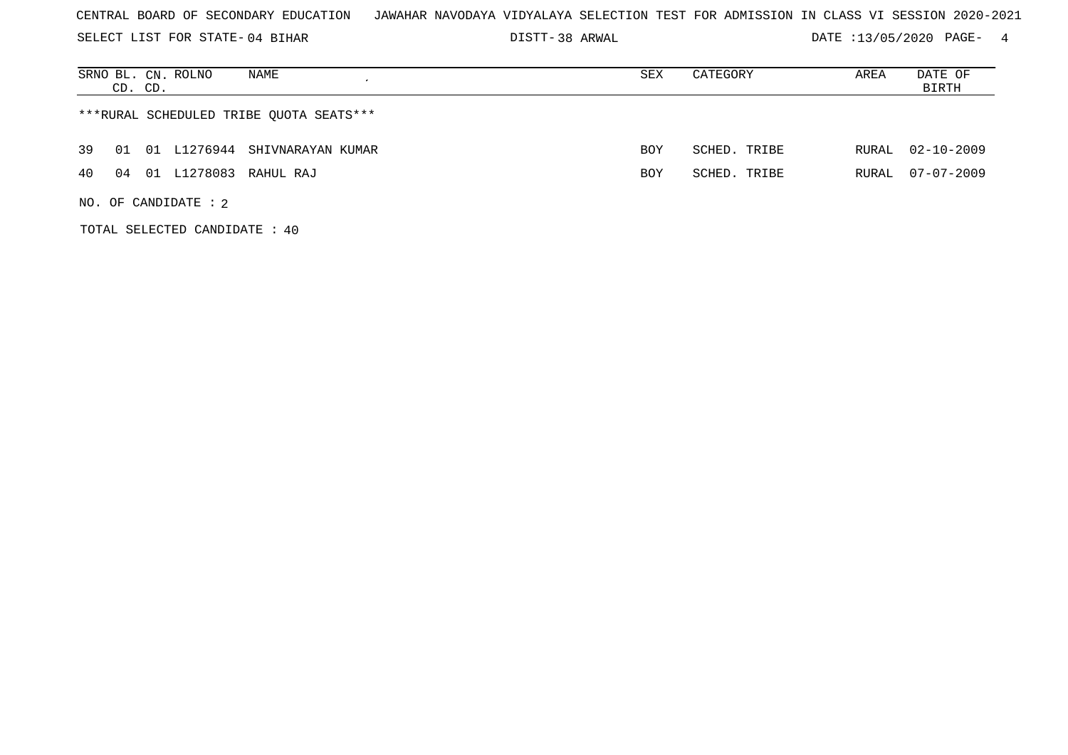SELECT LIST FOR STATE- DISTT- 04 BIHAR

DISTT-38 ARWAL 2008 2020 DATE :13/05/2020 PAGE- 4

| SRNO BL. CN. ROLNO<br>NAME<br>CD. CD.      | SEX        | CATEGORY     | AREA  | DATE OF<br>BIRTH |
|--------------------------------------------|------------|--------------|-------|------------------|
| ***RURAL SCHEDULED TRIBE OUOTA SEATS***    |            |              |       |                  |
| 01 L1276944 SHIVNARAYAN KUMAR<br>39<br>O 1 | BOY        | SCHED. TRIBE | RURAL | $02 - 10 - 2009$ |
| 01 L1278083 RAHUL RAJ<br>4 O<br>04         | <b>BOY</b> | SCHED. TRIBE | RURAL | $07 - 07 - 2009$ |
| NO. OF CANDIDATE : $2$                     |            |              |       |                  |

TOTAL SELECTED CANDIDATE : 40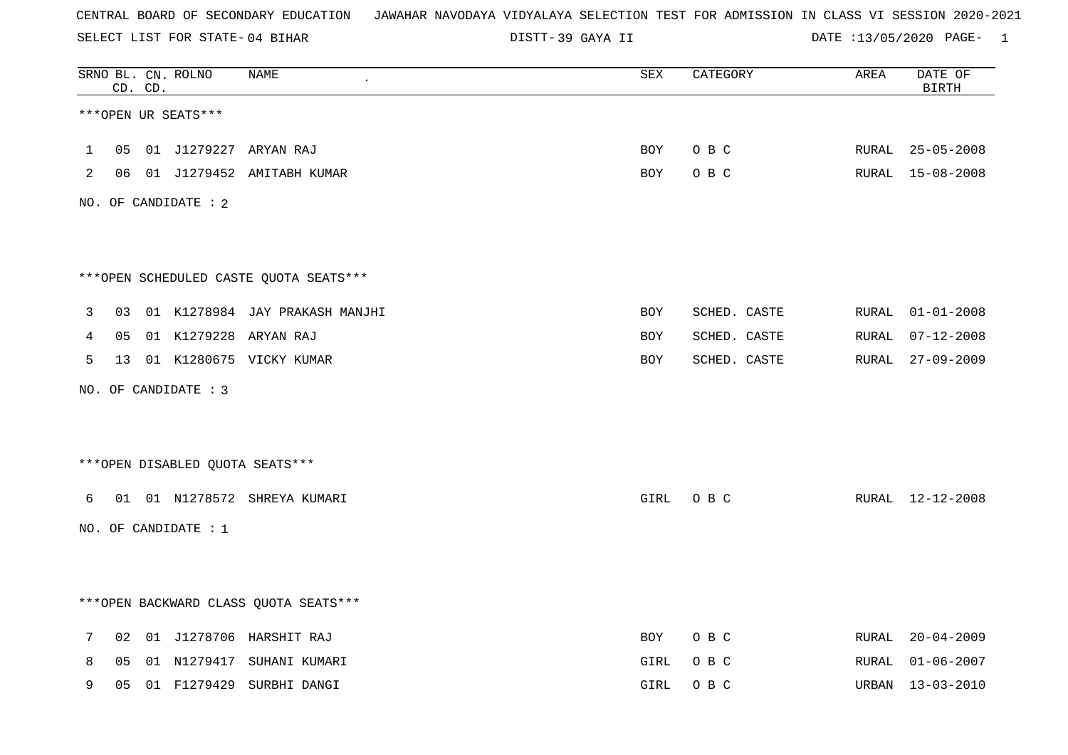SELECT LIST FOR STATE- DISTT- 04 BIHAR

39 GAYA II DATE :13/05/2020 PAGE- 1

|              |    | CD. CD. | SRNO BL. CN. ROLNO   | <b>NAME</b>                            | ${\tt SEX}$ | CATEGORY     | AREA  | DATE OF<br><b>BIRTH</b> |
|--------------|----|---------|----------------------|----------------------------------------|-------------|--------------|-------|-------------------------|
|              |    |         | ***OPEN UR SEATS***  |                                        |             |              |       |                         |
| $\mathbf{1}$ | 05 |         |                      | 01 J1279227 ARYAN RAJ                  | BOY         | O B C        | RURAL | $25 - 05 - 2008$        |
| 2            | 06 |         |                      | 01 J1279452 AMITABH KUMAR              | BOY         | O B C        |       | RURAL 15-08-2008        |
|              |    |         | NO. OF CANDIDATE : 2 |                                        |             |              |       |                         |
|              |    |         |                      | ***OPEN SCHEDULED CASTE QUOTA SEATS*** |             |              |       |                         |
| 3            | 03 |         |                      | 01 K1278984 JAY PRAKASH MANJHI         | BOY         | SCHED. CASTE | RURAL | $01 - 01 - 2008$        |
| 4            | 05 |         |                      | 01 K1279228 ARYAN RAJ                  | BOY         | SCHED. CASTE | RURAL | $07 - 12 - 2008$        |
| 5            | 13 |         |                      | 01 K1280675 VICKY KUMAR                | BOY         | SCHED. CASTE | RURAL | $27 - 09 - 2009$        |
|              |    |         | NO. OF CANDIDATE : 3 |                                        |             |              |       |                         |
|              |    |         |                      | *** OPEN DISABLED QUOTA SEATS***       |             |              |       |                         |
| 6            | 01 |         |                      | 01 N1278572 SHREYA KUMARI              | GIRL        | O B C        |       | RURAL 12-12-2008        |
|              |    |         | NO. OF CANDIDATE : 1 |                                        |             |              |       |                         |
|              |    |         |                      | *** OPEN BACKWARD CLASS QUOTA SEATS*** |             |              |       |                         |
| 7            | 02 |         |                      | 01 J1278706 HARSHIT RAJ                | BOY         | O B C        | RURAL | $20 - 04 - 2009$        |
| 8            | 05 |         |                      | 01 N1279417 SUHANI KUMARI              | GIRL        | O B C        | RURAL | $01 - 06 - 2007$        |
| 9            | 05 |         | 01 F1279429          | SURBHI DANGI                           | GIRL        | O B C        | URBAN | $13 - 03 - 2010$        |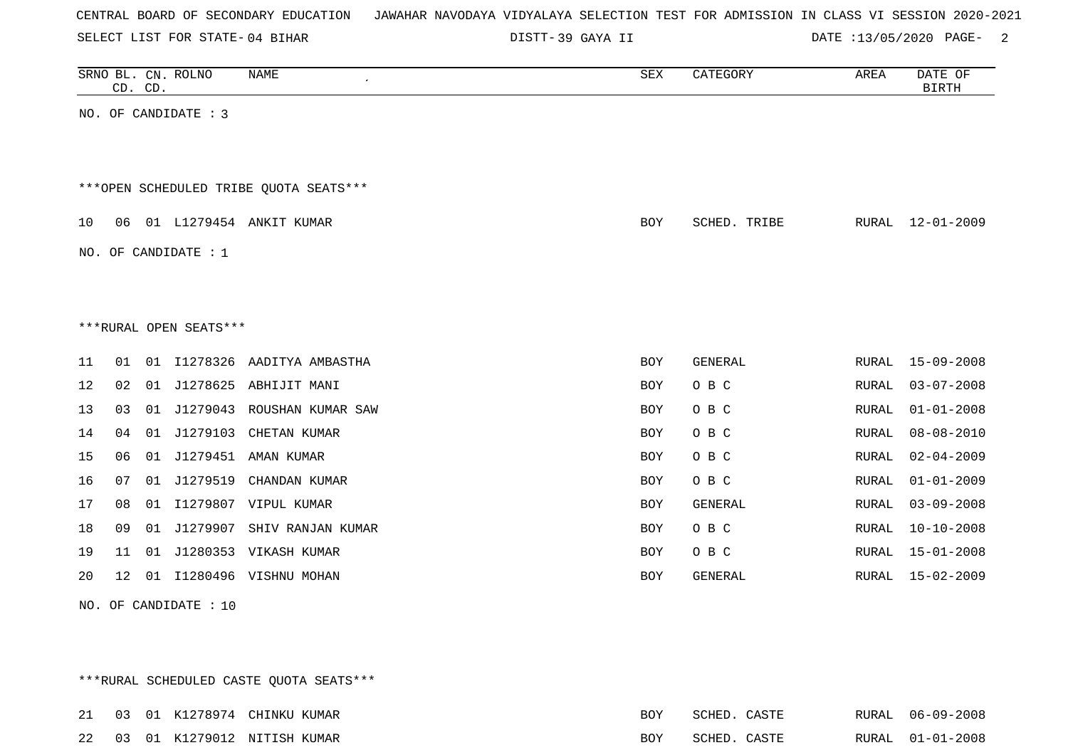| CENTRAL BOARD OF SECONDARY EDUCATION – JAWAHAR NAVODAYA VIDYALAYA SELECTION TEST FOR ADMISSION IN CLASS VI SESSION 2020-2021 |  |  |  |  |
|------------------------------------------------------------------------------------------------------------------------------|--|--|--|--|
|------------------------------------------------------------------------------------------------------------------------------|--|--|--|--|

SELECT LIST FOR STATE- DISTT- 04 BIHAR

DISTT-39 GAYA II DATE :13/05/2020 PAGE- 2

|                                        |                        | CD. CD. | SRNO BL. CN. ROLNO     | NAME<br>$\epsilon$            | SEX        | CATEGORY       | AREA         | DATE OF<br><b>BIRTH</b> |  |  |  |  |
|----------------------------------------|------------------------|---------|------------------------|-------------------------------|------------|----------------|--------------|-------------------------|--|--|--|--|
|                                        |                        |         | NO. OF CANDIDATE : 3   |                               |            |                |              |                         |  |  |  |  |
|                                        |                        |         |                        |                               |            |                |              |                         |  |  |  |  |
| ***OPEN SCHEDULED TRIBE OUOTA SEATS*** |                        |         |                        |                               |            |                |              |                         |  |  |  |  |
| 10                                     | 06                     |         |                        | 01 L1279454 ANKIT KUMAR       | <b>BOY</b> | SCHED. TRIBE   |              | RURAL 12-01-2009        |  |  |  |  |
|                                        |                        |         | NO. OF CANDIDATE : $1$ |                               |            |                |              |                         |  |  |  |  |
|                                        |                        |         |                        |                               |            |                |              |                         |  |  |  |  |
|                                        | ***RURAL OPEN SEATS*** |         |                        |                               |            |                |              |                         |  |  |  |  |
| 11                                     | 01                     |         |                        | 01 I1278326 AADITYA AMBASTHA  | BOY        | GENERAL        | RURAL        | $15 - 09 - 2008$        |  |  |  |  |
| 12                                     | 02                     | 01      | J1278625               | ABHIJIT MANI                  | BOY        | O B C          | RURAL        | $03 - 07 - 2008$        |  |  |  |  |
| 13                                     | 03                     |         |                        | 01 J1279043 ROUSHAN KUMAR SAW | <b>BOY</b> | O B C          | RURAL        | $01 - 01 - 2008$        |  |  |  |  |
| 14                                     | 04                     | 01      |                        | J1279103 CHETAN KUMAR         | <b>BOY</b> | O B C          | RURAL        | $08 - 08 - 2010$        |  |  |  |  |
| 15                                     | 06                     | 01      | J1279451               | AMAN KUMAR                    | <b>BOY</b> | O B C          | <b>RURAL</b> | $02 - 04 - 2009$        |  |  |  |  |
| 16                                     | 07                     | 01      |                        | J1279519 CHANDAN KUMAR        | BOY        | O B C          | RURAL        | $01 - 01 - 2009$        |  |  |  |  |
| 17                                     | 08                     | 01      |                        | I1279807 VIPUL KUMAR          | BOY        | <b>GENERAL</b> | RURAL        | $03 - 09 - 2008$        |  |  |  |  |
| 18                                     | 09                     |         |                        | 01 J1279907 SHIV RANJAN KUMAR | <b>BOY</b> | O B C          | RURAL        | $10 - 10 - 2008$        |  |  |  |  |
| 19                                     | 11                     | 01      |                        | J1280353 VIKASH KUMAR         | <b>BOY</b> | O B C          | RURAL        | $15 - 01 - 2008$        |  |  |  |  |
| 20                                     | $12 \,$                |         |                        | 01 I1280496 VISHNU MOHAN      | BOY        | GENERAL        | RURAL        | 15-02-2009              |  |  |  |  |
|                                        |                        |         | NO. OF CANDIDATE : 10  |                               |            |                |              |                         |  |  |  |  |

\*\*\*RURAL SCHEDULED CASTE QUOTA SEATS\*\*\*

|  |  | 21 03 01 K1278974 CHINKU KUMAR | BOY | SCHED. CASTE | RURAL 06-09-2008 |
|--|--|--------------------------------|-----|--------------|------------------|
|  |  | 22 03 01 K1279012 NITISH KUMAR | BOY | SCHED. CASTE | RURAL 01-01-2008 |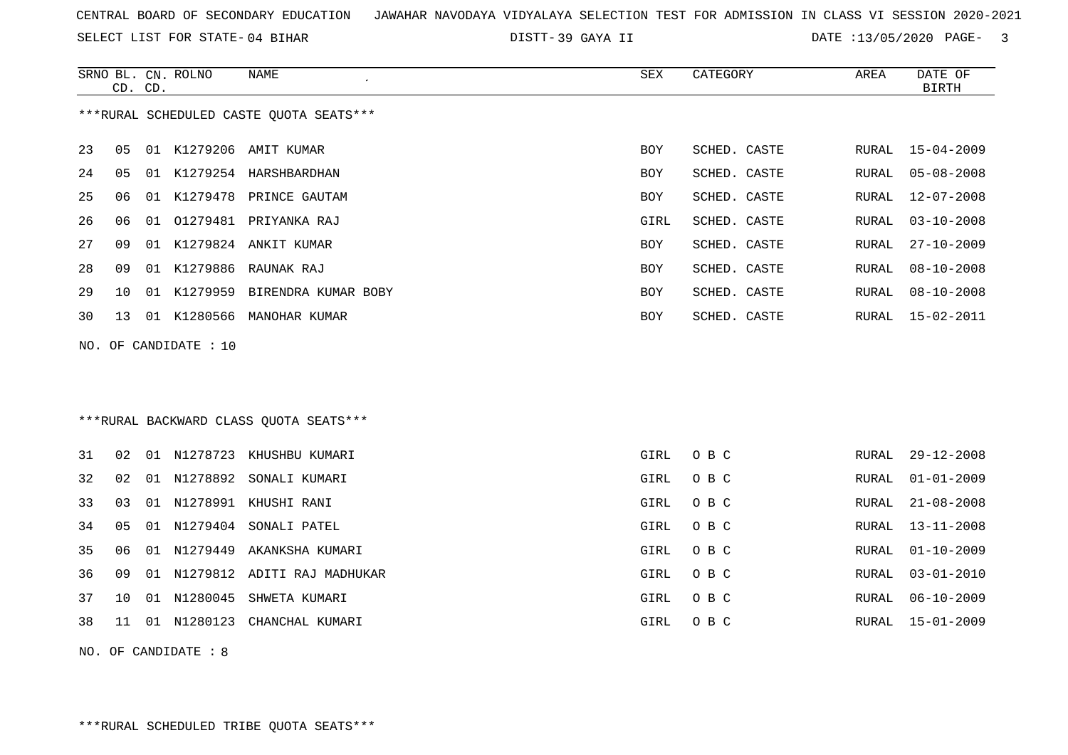|  |  |  |  |  | CENTRAL BOARD OF SECONDARY EDUCATION GUNAHAR NAVODAYA VIDYALAYA SELECTION TEST FOR ADMISSION IN CLASS VI SESSION 2020-2021 |  |  |  |  |  |  |  |  |  |  |  |  |  |
|--|--|--|--|--|----------------------------------------------------------------------------------------------------------------------------|--|--|--|--|--|--|--|--|--|--|--|--|--|
|--|--|--|--|--|----------------------------------------------------------------------------------------------------------------------------|--|--|--|--|--|--|--|--|--|--|--|--|--|

SELECT LIST FOR STATE- DISTT- 04 BIHAR

DISTT-39 GAYA II DATE :13/05/2020 PAGE- 3

|    |    | CD. CD. | SRNO BL. CN. ROLNO    | NAME                                     | SEX        | CATEGORY     | AREA         | DATE OF<br><b>BIRTH</b> |
|----|----|---------|-----------------------|------------------------------------------|------------|--------------|--------------|-------------------------|
|    |    |         |                       | *** RURAL SCHEDULED CASTE QUOTA SEATS*** |            |              |              |                         |
| 23 | 05 |         |                       | 01 K1279206 AMIT KUMAR                   | BOY        | SCHED. CASTE | RURAL        | 15-04-2009              |
| 24 | 05 |         |                       | 01 K1279254 HARSHBARDHAN                 | <b>BOY</b> | SCHED. CASTE | RURAL        | $05 - 08 - 2008$        |
| 25 | 06 |         |                       | 01 K1279478 PRINCE GAUTAM                | <b>BOY</b> | SCHED. CASTE | <b>RURAL</b> | $12 - 07 - 2008$        |
| 26 | 06 | 01      |                       | 01279481 PRIYANKA RAJ                    | GIRL       | SCHED. CASTE | RURAL        | $03 - 10 - 2008$        |
| 27 | 09 |         |                       | 01 K1279824 ANKIT KUMAR                  | BOY        | SCHED. CASTE | RURAL        | $27 - 10 - 2009$        |
| 28 | 09 |         |                       | 01 K1279886 RAUNAK RAJ                   | <b>BOY</b> | SCHED. CASTE | RURAL        | $08 - 10 - 2008$        |
| 29 | 10 |         |                       | 01 K1279959 BIRENDRA KUMAR BOBY          | BOY        | SCHED. CASTE | RURAL        | $08 - 10 - 2008$        |
| 30 | 13 |         |                       | 01 K1280566 MANOHAR KUMAR                | <b>BOY</b> | SCHED. CASTE | RURAL        | $15 - 02 - 2011$        |
|    |    |         | NO. OF CANDIDATE : 10 |                                          |            |              |              |                         |
|    |    |         |                       |                                          |            |              |              |                         |
|    |    |         |                       |                                          |            |              |              |                         |
|    |    |         |                       | ***RURAL BACKWARD CLASS OUOTA SEATS***   |            |              |              |                         |
| 31 | 02 |         |                       | 01 N1278723 KHUSHBU KUMARI               | GIRL       | O B C        | RURAL        | $29 - 12 - 2008$        |
| 32 | 02 |         |                       | 01 N1278892 SONALI KUMARI                | GIRL       | O B C        | <b>RURAL</b> | $01 - 01 - 2009$        |
| 33 | 03 |         |                       | 01 N1278991 KHUSHI RANI                  | GIRL       | O B C        | RURAL        | $21 - 08 - 2008$        |
| 34 | 05 |         |                       | 01 N1279404 SONALI PATEL                 | GIRL       | O B C        | RURAL        | $13 - 11 - 2008$        |
| 35 | 06 |         |                       | 01 N1279449 AKANKSHA KUMARI              | GIRL       | O B C        | RURAL        | $01 - 10 - 2009$        |
| 36 | 09 |         |                       | 01 N1279812 ADITI RAJ MADHUKAR           | GIRL       | O B C        | RURAL        | $03 - 01 - 2010$        |
| 37 | 10 |         |                       | 01 N1280045 SHWETA KUMARI                | GIRL       | O B C        | RURAL        | $06 - 10 - 2009$        |
| 38 | 11 |         |                       | 01 N1280123 CHANCHAL KUMARI              | GIRL       | O B C        | RURAL        | $15 - 01 - 2009$        |
|    |    |         |                       |                                          |            |              |              |                         |

NO. OF CANDIDATE : 8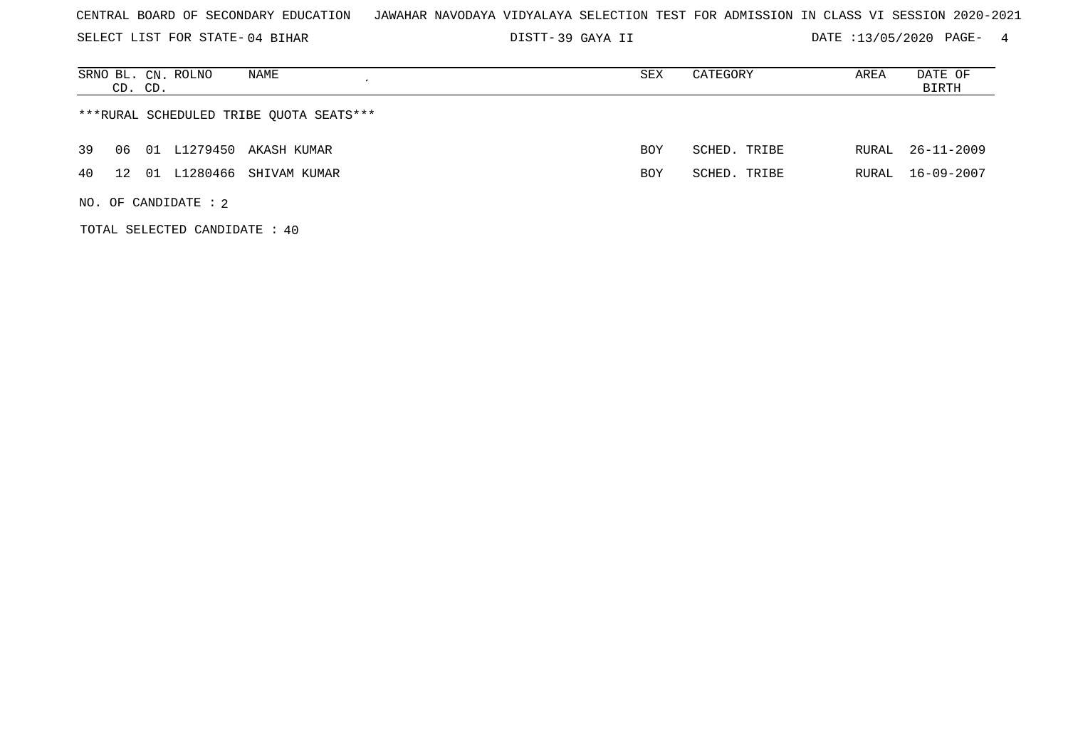SELECT LIST FOR STATE- DISTT- 04 BIHAR

39 GAYA II DATE :13/05/2020 PAGE- 4

| SRNO BL. CN. ROLNO<br>NAME<br>CD. CD.   | SEX        | CATEGORY     | AREA  | DATE OF<br>BIRTH |  |  |  |  |  |
|-----------------------------------------|------------|--------------|-------|------------------|--|--|--|--|--|
| ***RURAL SCHEDULED TRIBE OUOTA SEATS*** |            |              |       |                  |  |  |  |  |  |
| 39<br>01 L1279450 AKASH KUMAR<br>06     | BOY        | SCHED. TRIBE |       | RURAL 26-11-2009 |  |  |  |  |  |
| 01 L1280466 SHIVAM KUMAR<br>40<br>12    | <b>BOY</b> | SCHED. TRIBE | RURAL | 16-09-2007       |  |  |  |  |  |
| NO. OF CANDIDATE : $2$                  |            |              |       |                  |  |  |  |  |  |

TOTAL SELECTED CANDIDATE : 40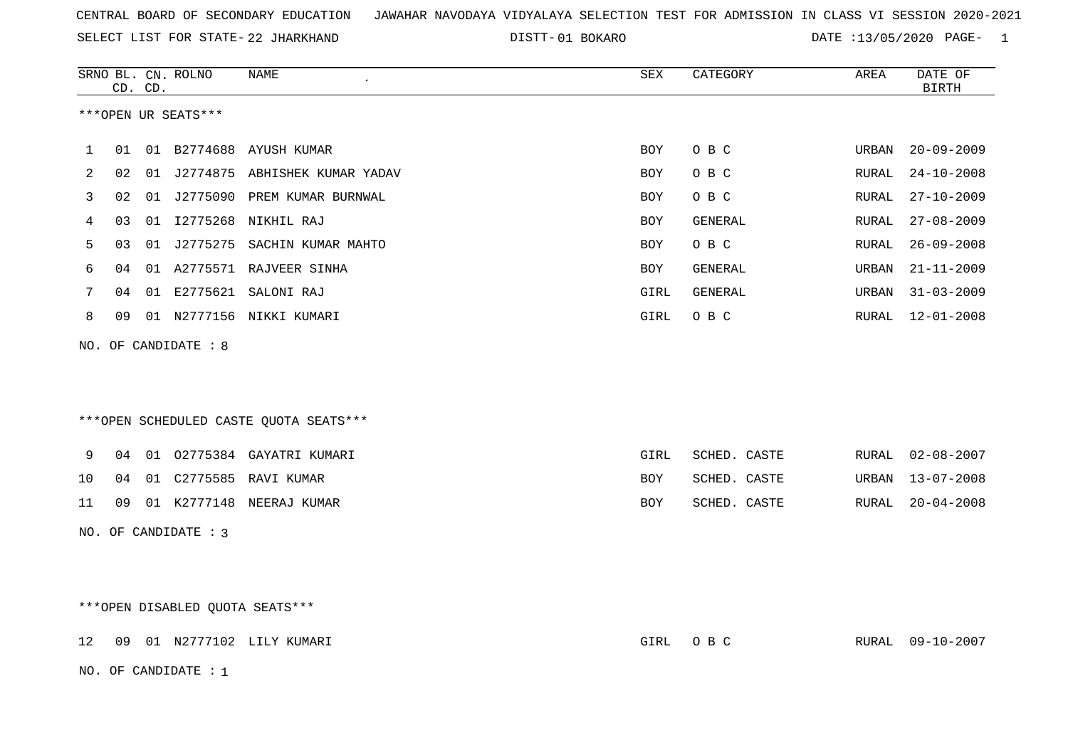SELECT LIST FOR STATE- DISTT- 22 JHARKHAND

01 BOKARO DATE :13/05/2020 PAGE- 1

|    | CD. CD. | SRNO BL. CN. ROLNO              | NAME                                   | SEX        | CATEGORY     | AREA         | DATE OF<br><b>BIRTH</b> |
|----|---------|---------------------------------|----------------------------------------|------------|--------------|--------------|-------------------------|
|    |         | ***OPEN UR SEATS***             |                                        |            |              |              |                         |
| 1  | 01      |                                 | 01 B2774688 AYUSH KUMAR                | BOY        | O B C        | URBAN        | $20 - 09 - 2009$        |
| 2  | 02      |                                 | 01 J2774875 ABHISHEK KUMAR YADAV       | <b>BOY</b> | O B C        | <b>RURAL</b> | $24 - 10 - 2008$        |
| 3  | 02      |                                 | 01 J2775090 PREM KUMAR BURNWAL         | <b>BOY</b> | O B C        | RURAL        | $27 - 10 - 2009$        |
| 4  | 03      |                                 | 01 I2775268 NIKHIL RAJ                 | BOY        | GENERAL      | RURAL        | $27 - 08 - 2009$        |
| 5  | 03      |                                 | 01 J2775275 SACHIN KUMAR MAHTO         | <b>BOY</b> | O B C        | RURAL        | $26 - 09 - 2008$        |
| 6  | 04      |                                 | 01 A2775571 RAJVEER SINHA              | BOY        | GENERAL      | URBAN        | $21 - 11 - 2009$        |
| 7  | 04      |                                 | 01 E2775621 SALONI RAJ                 | GIRL       | GENERAL      | URBAN        | $31 - 03 - 2009$        |
| 8  | 09      |                                 | 01 N2777156 NIKKI KUMARI               | GIRL       | O B C        | RURAL        | $12 - 01 - 2008$        |
|    |         | NO. OF CANDIDATE : 8            |                                        |            |              |              |                         |
|    |         |                                 |                                        |            |              |              |                         |
|    |         |                                 |                                        |            |              |              |                         |
|    |         |                                 | ***OPEN SCHEDULED CASTE QUOTA SEATS*** |            |              |              |                         |
|    |         |                                 |                                        |            |              |              |                         |
| 9  | 04      |                                 | 01 02775384 GAYATRI KUMARI             | GIRL       | SCHED. CASTE | RURAL        | $02 - 08 - 2007$        |
| 10 | 04      |                                 | 01 C2775585 RAVI KUMAR                 | <b>BOY</b> | SCHED. CASTE | URBAN        | $13 - 07 - 2008$        |
| 11 | 09      |                                 | 01 K2777148 NEERAJ KUMAR               | BOY        | SCHED. CASTE | RURAL        | $20 - 04 - 2008$        |
|    |         | NO. OF CANDIDATE : 3            |                                        |            |              |              |                         |
|    |         |                                 |                                        |            |              |              |                         |
|    |         |                                 |                                        |            |              |              |                         |
|    |         | ***OPEN DISABLED QUOTA SEATS*** |                                        |            |              |              |                         |

12 09 01 N2777102 LILY KUMARI GIRL O B C RURAL 09-10-2007

NO. OF CANDIDATE : 1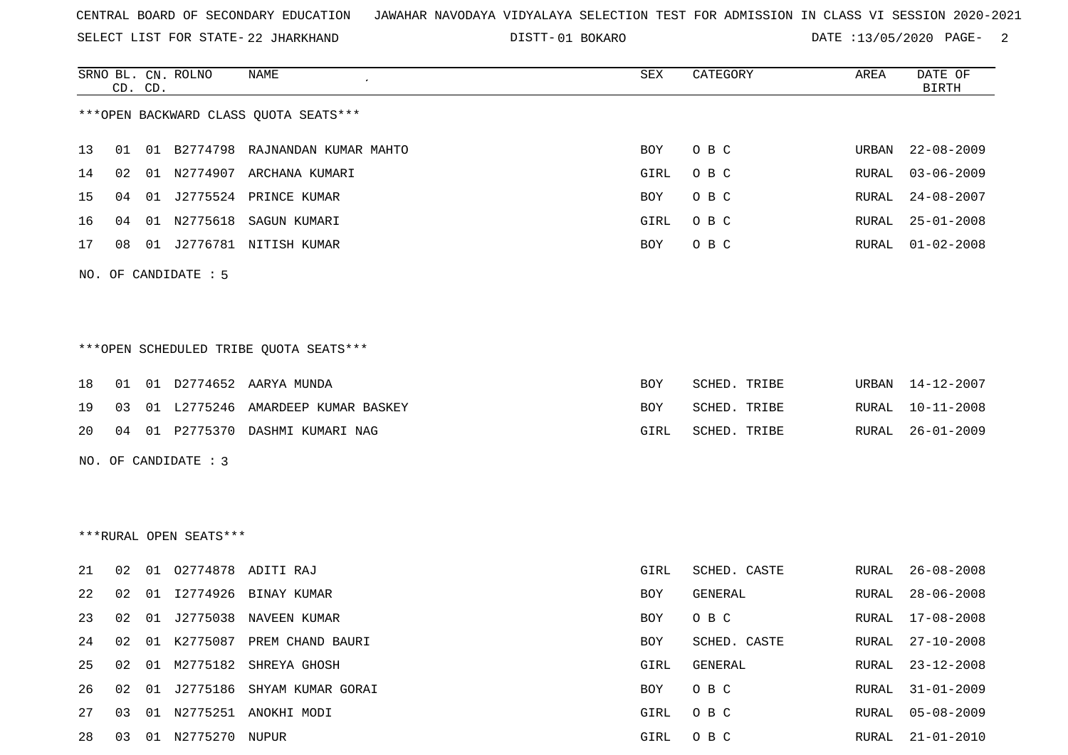SELECT LIST FOR STATE- DISTT- 22 JHARKHAND

01 BOKARO DATE :13/05/2020 PAGE- 2

|    |    | CD. CD. | SRNO BL. CN. ROLNO     | NAME                                   | SEX         | CATEGORY     | AREA         | DATE OF<br><b>BIRTH</b> |
|----|----|---------|------------------------|----------------------------------------|-------------|--------------|--------------|-------------------------|
|    |    |         |                        | *** OPEN BACKWARD CLASS QUOTA SEATS*** |             |              |              |                         |
| 13 | 01 |         |                        | 01 B2774798 RAJNANDAN KUMAR MAHTO      | BOY         | O B C        | URBAN        | $22 - 08 - 2009$        |
| 14 | 02 |         |                        | 01 N2774907 ARCHANA KUMARI             | <b>GIRL</b> | O B C        | RURAL        | $03 - 06 - 2009$        |
| 15 | 04 |         |                        | 01 J2775524 PRINCE KUMAR               | BOY         | O B C        | RURAL        | $24 - 08 - 2007$        |
| 16 | 04 |         |                        | 01 N2775618 SAGUN KUMARI               | GIRL        | O B C        | RURAL        | $25 - 01 - 2008$        |
| 17 | 08 |         |                        | 01 J2776781 NITISH KUMAR               | BOY         | O B C        | RURAL        | $01 - 02 - 2008$        |
|    |    |         | NO. OF CANDIDATE : 5   |                                        |             |              |              |                         |
|    |    |         |                        |                                        |             |              |              |                         |
|    |    |         |                        | ***OPEN SCHEDULED TRIBE QUOTA SEATS*** |             |              |              |                         |
| 18 | 01 |         |                        | 01 D2774652 AARYA MUNDA                | BOY         | SCHED. TRIBE | URBAN        | 14-12-2007              |
| 19 | 03 |         |                        | 01 L2775246 AMARDEEP KUMAR BASKEY      | <b>BOY</b>  | SCHED. TRIBE | RURAL        | $10 - 11 - 2008$        |
| 20 | 04 |         |                        | 01 P2775370 DASHMI KUMARI NAG          | GIRL        | SCHED. TRIBE | RURAL        | $26 - 01 - 2009$        |
|    |    |         | NO. OF CANDIDATE : 3   |                                        |             |              |              |                         |
|    |    |         |                        |                                        |             |              |              |                         |
|    |    |         |                        |                                        |             |              |              |                         |
|    |    |         | ***RURAL OPEN SEATS*** |                                        |             |              |              |                         |
| 21 | 02 |         |                        | 01 02774878 ADITI RAJ                  | GIRL        | SCHED. CASTE | RURAL        | $26 - 08 - 2008$        |
| 22 | 02 | 01      | I2774926               | BINAY KUMAR                            | BOY         | GENERAL      | RURAL        | $28 - 06 - 2008$        |
| 23 | 02 |         |                        | 01 J2775038 NAVEEN KUMAR               | BOY         | O B C        | RURAL        | $17 - 08 - 2008$        |
| 24 | 02 |         |                        | 01 K2775087 PREM CHAND BAURI           | <b>BOY</b>  | SCHED. CASTE | RURAL        | $27 - 10 - 2008$        |
| 25 | 02 |         |                        | 01 M2775182 SHREYA GHOSH               | GIRL        | GENERAL      | <b>RURAL</b> | $23 - 12 - 2008$        |
| 26 | 02 |         |                        | 01 J2775186 SHYAM KUMAR GORAI          | BOY         | O B C        | RURAL        | $31 - 01 - 2009$        |
| 27 | 03 |         |                        | 01 N2775251 ANOKHI MODI                | GIRL        | O B C        | RURAL        | $05 - 08 - 2009$        |
| 28 | 03 |         | 01 N2775270 NUPUR      |                                        | GIRL        | O B C        | RURAL        | $21 - 01 - 2010$        |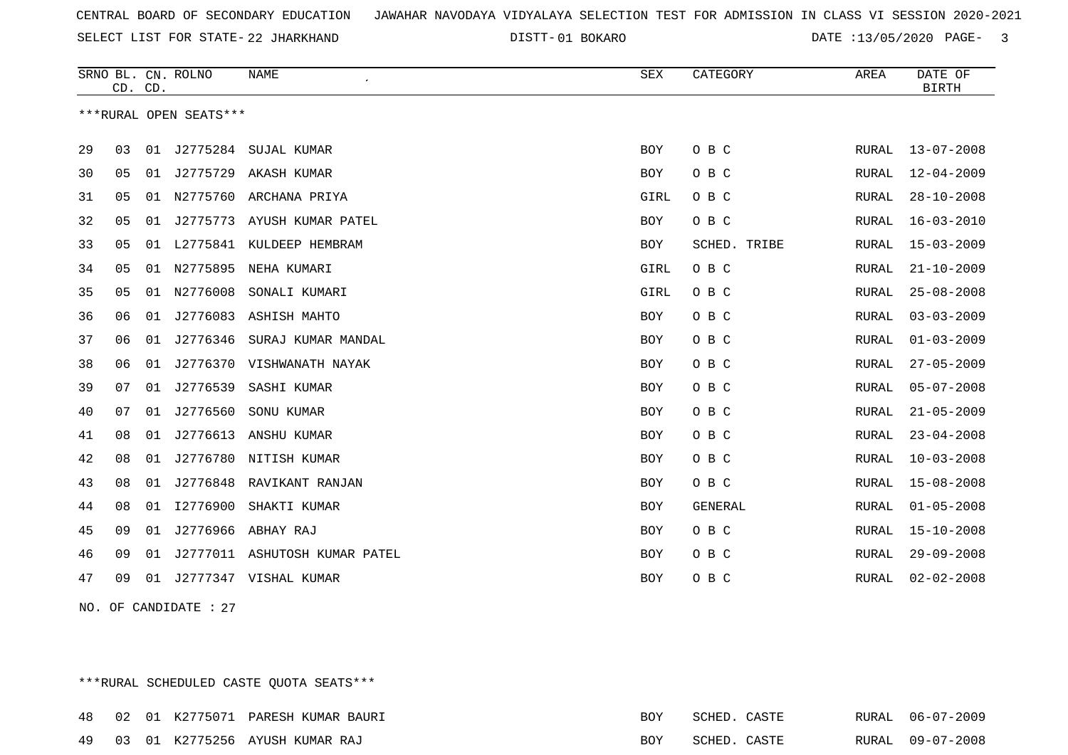SELECT LIST FOR STATE- DISTT- 22 JHARKHAND

01 BOKARO DATE :13/05/2020 PAGE- 3

|    | CD. CD. |    | SRNO BL. CN. ROLNO     | <b>NAME</b>                   | <b>SEX</b> | CATEGORY     | AREA         | DATE OF<br><b>BIRTH</b> |
|----|---------|----|------------------------|-------------------------------|------------|--------------|--------------|-------------------------|
|    |         |    | ***RURAL OPEN SEATS*** |                               |            |              |              |                         |
| 29 | 03      | 01 |                        | J2775284 SUJAL KUMAR          | BOY        | O B C        | RURAL        | $13 - 07 - 2008$        |
| 30 | 05      | 01 |                        | J2775729 AKASH KUMAR          | <b>BOY</b> | O B C        | RURAL        | $12 - 04 - 2009$        |
| 31 | 05      | 01 | N2775760               | ARCHANA PRIYA                 | GIRL       | O B C        | RURAL        | $28 - 10 - 2008$        |
| 32 | 05      | 01 | J2775773               | AYUSH KUMAR PATEL             | BOY        | O B C        | RURAL        | $16 - 03 - 2010$        |
| 33 | 05      | 01 | L2775841               | KULDEEP HEMBRAM               | <b>BOY</b> | SCHED. TRIBE | RURAL        | $15 - 03 - 2009$        |
| 34 | 05      | 01 | N2775895               | NEHA KUMARI                   | GIRL       | O B C        | RURAL        | $21 - 10 - 2009$        |
| 35 | 05      | 01 | N2776008               | SONALI KUMARI                 | GIRL       | O B C        | <b>RURAL</b> | $25 - 08 - 2008$        |
| 36 | 06      | 01 |                        | J2776083 ASHISH MAHTO         | <b>BOY</b> | O B C        | RURAL        | $03 - 03 - 2009$        |
| 37 | 06      | 01 | J2776346               | SURAJ KUMAR MANDAL            | BOY        | O B C        | RURAL        | $01 - 03 - 2009$        |
| 38 | 06      | 01 | J2776370               | VISHWANATH NAYAK              | BOY        | O B C        | RURAL        | $27 - 05 - 2009$        |
| 39 | 07      | 01 | J2776539               | SASHI KUMAR                   | <b>BOY</b> | O B C        | RURAL        | $05 - 07 - 2008$        |
| 40 | 07      | 01 | J2776560               | SONU KUMAR                    | BOY        | O B C        | RURAL        | $21 - 05 - 2009$        |
| 41 | 08      | 01 | J2776613               | ANSHU KUMAR                   | BOY        | O B C        | RURAL        | $23 - 04 - 2008$        |
| 42 | 08      | 01 | J2776780               | NITISH KUMAR                  | <b>BOY</b> | O B C        | RURAL        | $10 - 03 - 2008$        |
| 43 | 08      | 01 |                        | J2776848 RAVIKANT RANJAN      | <b>BOY</b> | O B C        | RURAL        | $15 - 08 - 2008$        |
| 44 | 08      | 01 | I2776900               | SHAKTI KUMAR                  | BOY        | GENERAL      | RURAL        | $01 - 05 - 2008$        |
| 45 | 09      | 01 | J2776966               | ABHAY RAJ                     | BOY        | O B C        | RURAL        | $15 - 10 - 2008$        |
| 46 | 09      | 01 |                        | J2777011 ASHUTOSH KUMAR PATEL | BOY        | O B C        | RURAL        | $29 - 09 - 2008$        |
| 47 | 09      | 01 |                        | J2777347 VISHAL KUMAR         | BOY        | O B C        | RURAL        | $02 - 02 - 2008$        |

NO. OF CANDIDATE : 27

\*\*\*RURAL SCHEDULED CASTE QUOTA SEATS\*\*\*

|  |  | 48 02 01 K2775071 PARESH KUMAR BAURI | BOY | SCHED. CASTE |  | RURAL 06-07-2009 |
|--|--|--------------------------------------|-----|--------------|--|------------------|
|  |  | 49 03 01 K2775256 AYUSH KUMAR RAJ    | BOY | SCHED. CASTE |  | RURAL 09-07-2008 |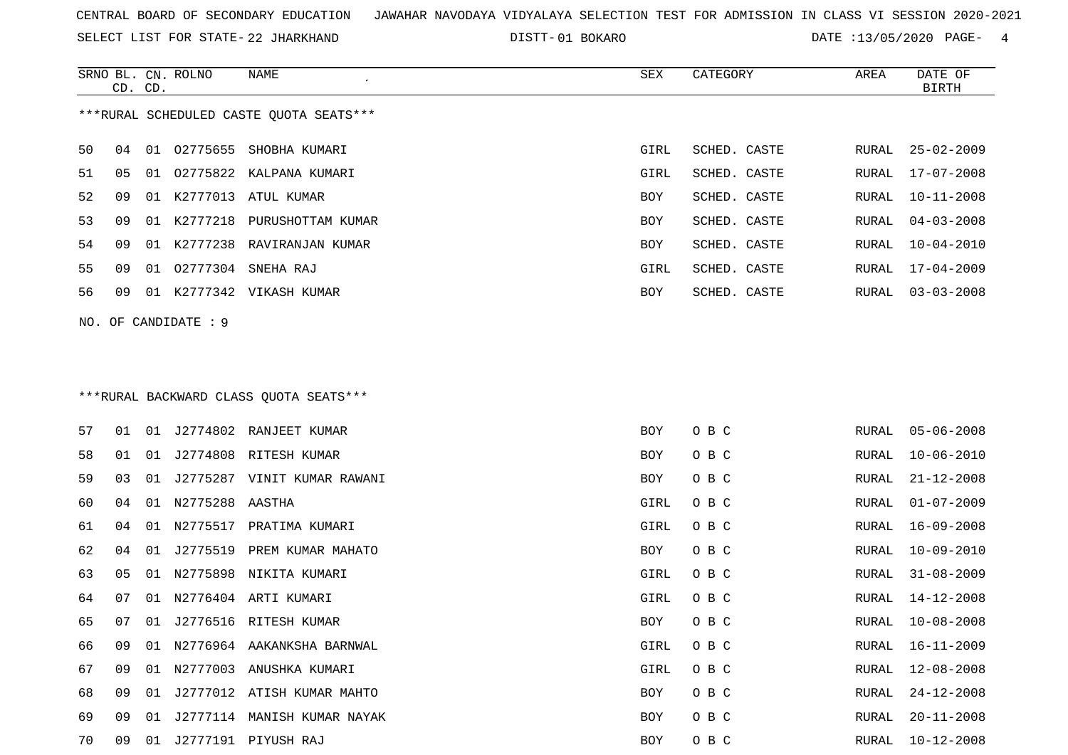SELECT LIST FOR STATE- DISTT- 22 JHARKHAND

SRNO BL. CN.

ROLNO NAME SEX CATEGORY AREA DATE OF

01 BOKARO DATE :13/05/2020 PAGE- 4

| ***RURAL SCHEDULED CASTE QUOTA SEATS***<br>50<br>SCHED. CASTE<br>04<br>01<br>02775655<br>SHOBHA KUMARI<br>GIRL<br>RURAL<br>51<br>02775822 KALPANA KUMARI<br>SCHED. CASTE<br>05<br>01<br>GIRL<br>RURAL<br>52<br>01 K2777013 ATUL KUMAR<br>09<br>BOY<br>SCHED. CASTE<br>RURAL<br>53<br>01 K2777218<br>09<br>PURUSHOTTAM KUMAR<br>BOY<br>SCHED. CASTE<br>RURAL<br>54<br>01 K2777238 RAVIRANJAN KUMAR<br>09<br>BOY<br>SCHED. CASTE<br>RURAL<br>55<br>02777304<br>SCHED. CASTE<br>09<br>01<br>SNEHA RAJ<br>GIRL<br>RURAL<br>56<br>01 K2777342 VIKASH KUMAR<br>09<br>BOY<br>SCHED. CASTE<br>RURAL<br>NO. OF CANDIDATE : 9<br>***RURAL BACKWARD CLASS QUOTA SEATS***<br>57<br>01 J2774802 RANJEET KUMAR<br>O B C<br>BOY<br>RURAL<br>01<br>58<br>J2774808 RITESH KUMAR<br>O B C<br>01<br>01<br>BOY<br>RURAL<br>59<br>01 J2775287 VINIT KUMAR RAWANI<br>O B C<br>03<br>BOY<br>RURAL<br>60<br>01 N2775288 AASTHA<br>O B C<br>GIRL<br>RURAL<br>04<br>61<br>N2775517<br>O B C<br>04<br>01<br>PRATIMA KUMARI<br>GIRL<br>RURAL<br>62<br>J2775519<br>PREM KUMAR MAHATO<br>O B C<br>04<br>01<br>BOY<br>RURAL<br>63<br>N2775898<br>O B C<br>05<br>01<br>NIKITA KUMARI<br>GIRL<br>RURAL<br>64<br>N2776404 ARTI KUMARI<br>O B C<br>07<br>01<br>GIRL<br>RURAL<br>65<br>J2776516 RITESH KUMAR<br>O B C<br>07<br>RURAL<br>01<br>BOY<br>66<br>09<br>01 N2776964 AAKANKSHA BARNWAL<br>GIRL<br>O B C<br>RURAL | <b>BIRTH</b>     |
|--------------------------------------------------------------------------------------------------------------------------------------------------------------------------------------------------------------------------------------------------------------------------------------------------------------------------------------------------------------------------------------------------------------------------------------------------------------------------------------------------------------------------------------------------------------------------------------------------------------------------------------------------------------------------------------------------------------------------------------------------------------------------------------------------------------------------------------------------------------------------------------------------------------------------------------------------------------------------------------------------------------------------------------------------------------------------------------------------------------------------------------------------------------------------------------------------------------------------------------------------------------------------------------------------------------------------------------------------------------------------------------|------------------|
|                                                                                                                                                                                                                                                                                                                                                                                                                                                                                                                                                                                                                                                                                                                                                                                                                                                                                                                                                                                                                                                                                                                                                                                                                                                                                                                                                                                      |                  |
|                                                                                                                                                                                                                                                                                                                                                                                                                                                                                                                                                                                                                                                                                                                                                                                                                                                                                                                                                                                                                                                                                                                                                                                                                                                                                                                                                                                      | $25 - 02 - 2009$ |
|                                                                                                                                                                                                                                                                                                                                                                                                                                                                                                                                                                                                                                                                                                                                                                                                                                                                                                                                                                                                                                                                                                                                                                                                                                                                                                                                                                                      | $17 - 07 - 2008$ |
|                                                                                                                                                                                                                                                                                                                                                                                                                                                                                                                                                                                                                                                                                                                                                                                                                                                                                                                                                                                                                                                                                                                                                                                                                                                                                                                                                                                      | $10 - 11 - 2008$ |
|                                                                                                                                                                                                                                                                                                                                                                                                                                                                                                                                                                                                                                                                                                                                                                                                                                                                                                                                                                                                                                                                                                                                                                                                                                                                                                                                                                                      | $04 - 03 - 2008$ |
|                                                                                                                                                                                                                                                                                                                                                                                                                                                                                                                                                                                                                                                                                                                                                                                                                                                                                                                                                                                                                                                                                                                                                                                                                                                                                                                                                                                      | $10 - 04 - 2010$ |
|                                                                                                                                                                                                                                                                                                                                                                                                                                                                                                                                                                                                                                                                                                                                                                                                                                                                                                                                                                                                                                                                                                                                                                                                                                                                                                                                                                                      | $17 - 04 - 2009$ |
|                                                                                                                                                                                                                                                                                                                                                                                                                                                                                                                                                                                                                                                                                                                                                                                                                                                                                                                                                                                                                                                                                                                                                                                                                                                                                                                                                                                      | $03 - 03 - 2008$ |
|                                                                                                                                                                                                                                                                                                                                                                                                                                                                                                                                                                                                                                                                                                                                                                                                                                                                                                                                                                                                                                                                                                                                                                                                                                                                                                                                                                                      |                  |
|                                                                                                                                                                                                                                                                                                                                                                                                                                                                                                                                                                                                                                                                                                                                                                                                                                                                                                                                                                                                                                                                                                                                                                                                                                                                                                                                                                                      |                  |
|                                                                                                                                                                                                                                                                                                                                                                                                                                                                                                                                                                                                                                                                                                                                                                                                                                                                                                                                                                                                                                                                                                                                                                                                                                                                                                                                                                                      |                  |
|                                                                                                                                                                                                                                                                                                                                                                                                                                                                                                                                                                                                                                                                                                                                                                                                                                                                                                                                                                                                                                                                                                                                                                                                                                                                                                                                                                                      | $05 - 06 - 2008$ |
|                                                                                                                                                                                                                                                                                                                                                                                                                                                                                                                                                                                                                                                                                                                                                                                                                                                                                                                                                                                                                                                                                                                                                                                                                                                                                                                                                                                      | $10 - 06 - 2010$ |
|                                                                                                                                                                                                                                                                                                                                                                                                                                                                                                                                                                                                                                                                                                                                                                                                                                                                                                                                                                                                                                                                                                                                                                                                                                                                                                                                                                                      | $21 - 12 - 2008$ |
|                                                                                                                                                                                                                                                                                                                                                                                                                                                                                                                                                                                                                                                                                                                                                                                                                                                                                                                                                                                                                                                                                                                                                                                                                                                                                                                                                                                      | $01 - 07 - 2009$ |
|                                                                                                                                                                                                                                                                                                                                                                                                                                                                                                                                                                                                                                                                                                                                                                                                                                                                                                                                                                                                                                                                                                                                                                                                                                                                                                                                                                                      | $16 - 09 - 2008$ |
|                                                                                                                                                                                                                                                                                                                                                                                                                                                                                                                                                                                                                                                                                                                                                                                                                                                                                                                                                                                                                                                                                                                                                                                                                                                                                                                                                                                      | $10 - 09 - 2010$ |
|                                                                                                                                                                                                                                                                                                                                                                                                                                                                                                                                                                                                                                                                                                                                                                                                                                                                                                                                                                                                                                                                                                                                                                                                                                                                                                                                                                                      | $31 - 08 - 2009$ |
|                                                                                                                                                                                                                                                                                                                                                                                                                                                                                                                                                                                                                                                                                                                                                                                                                                                                                                                                                                                                                                                                                                                                                                                                                                                                                                                                                                                      | $14 - 12 - 2008$ |
|                                                                                                                                                                                                                                                                                                                                                                                                                                                                                                                                                                                                                                                                                                                                                                                                                                                                                                                                                                                                                                                                                                                                                                                                                                                                                                                                                                                      | $10 - 08 - 2008$ |
|                                                                                                                                                                                                                                                                                                                                                                                                                                                                                                                                                                                                                                                                                                                                                                                                                                                                                                                                                                                                                                                                                                                                                                                                                                                                                                                                                                                      | $16 - 11 - 2009$ |
| 67<br>01 N2777003 ANUSHKA KUMARI<br>GIRL<br>O B C<br>RURAL<br>09                                                                                                                                                                                                                                                                                                                                                                                                                                                                                                                                                                                                                                                                                                                                                                                                                                                                                                                                                                                                                                                                                                                                                                                                                                                                                                                     | 12-08-2008       |
| 68<br>09<br>01 J2777012 ATISH KUMAR MAHTO<br>BOY<br>O B C<br>RURAL                                                                                                                                                                                                                                                                                                                                                                                                                                                                                                                                                                                                                                                                                                                                                                                                                                                                                                                                                                                                                                                                                                                                                                                                                                                                                                                   | $24 - 12 - 2008$ |
| 69<br>01 J2777114 MANISH KUMAR NAYAK<br>O B C<br>BOY<br>RURAL<br>09                                                                                                                                                                                                                                                                                                                                                                                                                                                                                                                                                                                                                                                                                                                                                                                                                                                                                                                                                                                                                                                                                                                                                                                                                                                                                                                  | $20 - 11 - 2008$ |
| 70<br>01 J2777191 PIYUSH RAJ<br>O B C<br>09<br>BOY<br>RURAL                                                                                                                                                                                                                                                                                                                                                                                                                                                                                                                                                                                                                                                                                                                                                                                                                                                                                                                                                                                                                                                                                                                                                                                                                                                                                                                          | $10 - 12 - 2008$ |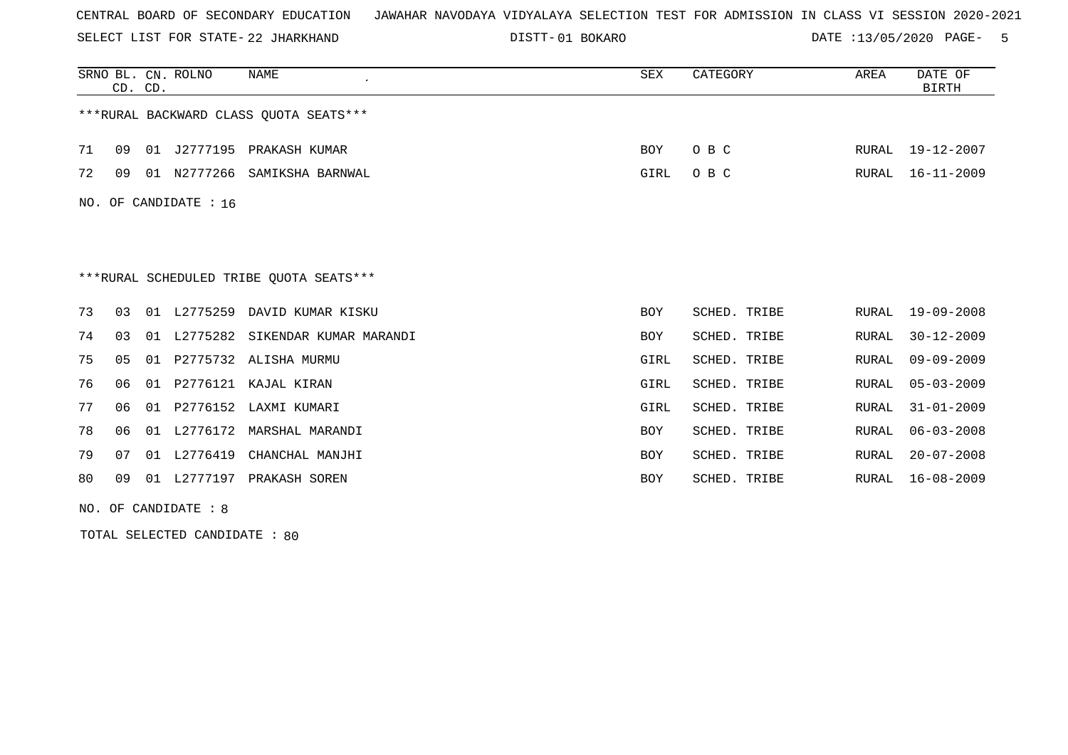SELECT LIST FOR STATE- DISTT- 22 JHARKHAND

01 BOKARO DATE :13/05/2020 PAGE- 5

|     | CD. CD.                                 |    | SRNO BL. CN. ROLNO | <b>NAME</b>                              | <b>SEX</b> | CATEGORY            | AREA         | DATE OF<br><b>BIRTH</b> |  |  |  |
|-----|-----------------------------------------|----|--------------------|------------------------------------------|------------|---------------------|--------------|-------------------------|--|--|--|
|     | *** RURAL BACKWARD CLASS QUOTA SEATS*** |    |                    |                                          |            |                     |              |                         |  |  |  |
| 71  | 09                                      | 01 |                    | J2777195 PRAKASH KUMAR                   | <b>BOY</b> | O B C               | RURAL        | 19-12-2007              |  |  |  |
| 72  | 09                                      | 01 | N2777266           | SAMIKSHA BARNWAL                         | GIRL       | O B C               | RURAL        | $16 - 11 - 2009$        |  |  |  |
| NO. |                                         |    | OF CANDIDATE : 16  |                                          |            |                     |              |                         |  |  |  |
|     |                                         |    |                    |                                          |            |                     |              |                         |  |  |  |
|     |                                         |    |                    |                                          |            |                     |              |                         |  |  |  |
|     |                                         |    |                    | *** RURAL SCHEDULED TRIBE QUOTA SEATS*** |            |                     |              |                         |  |  |  |
| 73  | 03                                      | 01 | L2775259           | DAVID KUMAR KISKU                        | <b>BOY</b> | SCHED. TRIBE        | RURAL        | $19 - 09 - 2008$        |  |  |  |
| 74  | 0 <sub>3</sub>                          | 01 | L2775282           | SIKENDAR KUMAR MARANDI                   | <b>BOY</b> | SCHED.<br>TRIBE     | RURAL        | $30 - 12 - 2009$        |  |  |  |
| 75  | 0 <sub>5</sub>                          | 01 | P2775732           | ALISHA MURMU                             | GIRL       | SCHED.<br>TRIBE     | <b>RURAL</b> | $09 - 09 - 2009$        |  |  |  |
| 76  | 06                                      | 01 | P2776121           | KAJAL KIRAN                              | GIRL       | <b>SCHED. TRIBE</b> | <b>RURAL</b> | $05 - 03 - 2009$        |  |  |  |
| 77  | 06                                      | 01 | P2776152           | LAXMI KUMARI                             | GIRL       | SCHED. TRIBE        | <b>RURAL</b> | $31 - 01 - 2009$        |  |  |  |
| 78  | 06                                      | 01 | L2776172           | MARSHAL MARANDI                          | <b>BOY</b> | SCHED. TRIBE        | RURAL        | $06 - 03 - 2008$        |  |  |  |
| 79  | 07                                      | 01 | L2776419           | CHANCHAL MANJHI                          | BOY        | SCHED. TRIBE        | RURAL        | $20 - 07 - 2008$        |  |  |  |
| 80  | 09                                      | 01 | L2777197           | PRAKASH SOREN                            | <b>BOY</b> | SCHED. TRIBE        | RURAL        | $16 - 08 - 2009$        |  |  |  |
|     |                                         |    |                    |                                          |            |                     |              |                         |  |  |  |

NO. OF CANDIDATE : 8

TOTAL SELECTED CANDIDATE : 80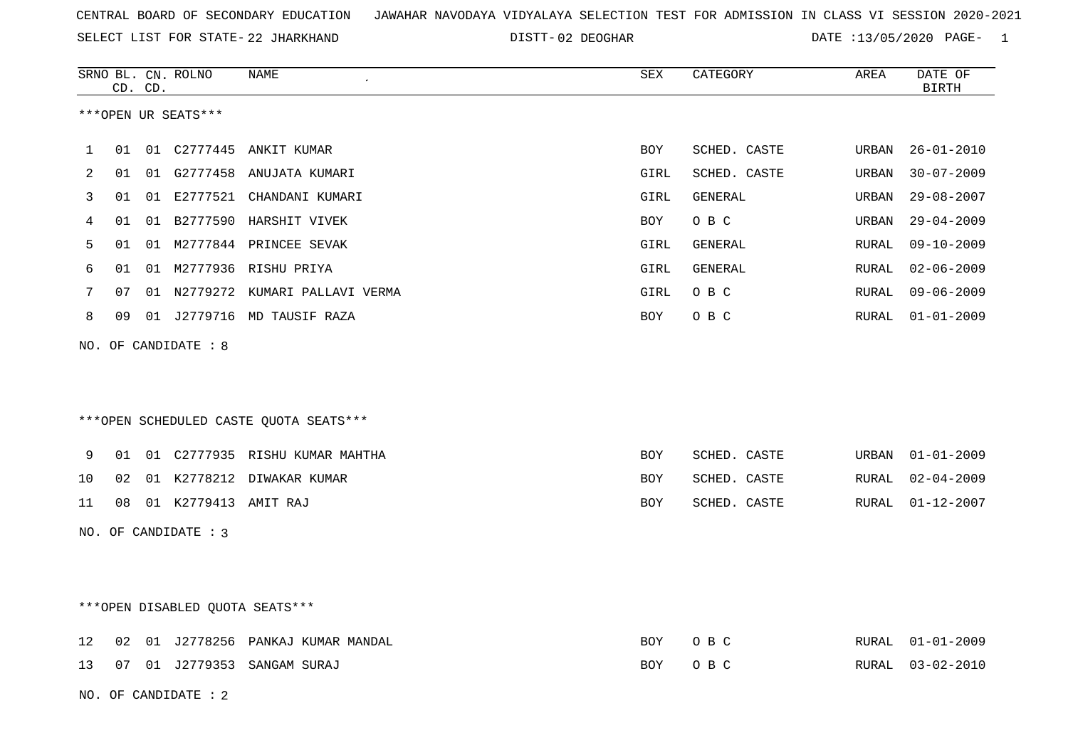SELECT LIST FOR STATE- DISTT- 22 JHARKHAND

02 DEOGHAR DATE :13/05/2020 PAGE- 1

|    |    | CD. CD. | SRNO BL. CN. ROLNO     | NAME                                   | SEX         | CATEGORY     | AREA  | DATE OF<br>BIRTH |
|----|----|---------|------------------------|----------------------------------------|-------------|--------------|-------|------------------|
|    |    |         | ***OPEN UR SEATS***    |                                        |             |              |       |                  |
| 1  | 01 |         |                        | 01 C2777445 ANKIT KUMAR                | BOY         | SCHED. CASTE | URBAN | $26 - 01 - 2010$ |
| 2  | 01 |         |                        | 01 G2777458 ANUJATA KUMARI             | GIRL        | SCHED. CASTE | URBAN | $30 - 07 - 2009$ |
| 3  | 01 | 01      |                        | E2777521 CHANDANI KUMARI               | GIRL        | GENERAL      | URBAN | $29 - 08 - 2007$ |
| 4  | 01 |         |                        | 01 B2777590 HARSHIT VIVEK              | BOY         | O B C        | URBAN | $29 - 04 - 2009$ |
| 5  | 01 |         |                        | 01 M2777844 PRINCEE SEVAK              | GIRL        | GENERAL      | RURAL | $09 - 10 - 2009$ |
| 6  | 01 |         |                        | 01 M2777936 RISHU PRIYA                | <b>GIRL</b> | GENERAL      | RURAL | $02 - 06 - 2009$ |
| 7  | 07 |         |                        | 01 N2779272 KUMARI PALLAVI VERMA       | GIRL        | O B C        | RURAL | $09 - 06 - 2009$ |
| 8  | 09 |         |                        | 01 J2779716 MD TAUSIF RAZA             | BOY         | O B C        | RURAL | $01 - 01 - 2009$ |
|    |    |         | NO. OF CANDIDATE : 8   | ***OPEN SCHEDULED CASTE QUOTA SEATS*** |             |              |       |                  |
| 9  | 01 |         |                        | 01 C2777935 RISHU KUMAR MAHTHA         | BOY         | SCHED. CASTE | URBAN | $01 - 01 - 2009$ |
| 10 | 02 |         |                        | 01 K2778212 DIWAKAR KUMAR              | <b>BOY</b>  | SCHED. CASTE | RURAL | $02 - 04 - 2009$ |
| 11 | 08 |         | 01 K2779413 AMIT RAJ   |                                        | BOY         | SCHED. CASTE | RURAL | $01 - 12 - 2007$ |
|    |    |         | NO. OF CANDIDATE : 3   |                                        |             |              |       |                  |
|    |    |         |                        | ***OPEN DISABLED QUOTA SEATS***        |             |              |       |                  |
| 12 | 02 |         |                        | 01 J2778256 PANKAJ KUMAR MANDAL        | BOY         | O B C        | RURAL | $01 - 01 - 2009$ |
| 13 | 07 |         |                        | 01 J2779353 SANGAM SURAJ               | <b>BOY</b>  | O B C        | RURAL | $03 - 02 - 2010$ |
|    |    |         | NO. OF CANDIDATE : $2$ |                                        |             |              |       |                  |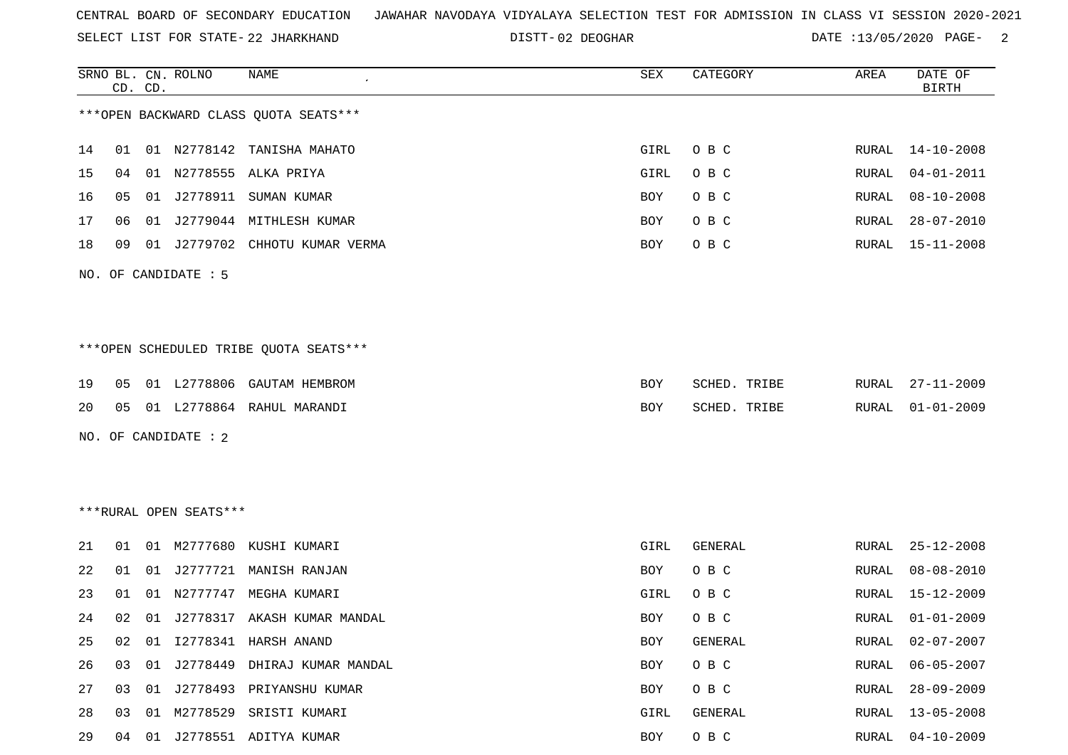SELECT LIST FOR STATE- DISTT- 22 JHARKHAND

02 DEOGHAR DATE :13/05/2020 PAGE- 2

|    |    | CD. CD. | SRNO BL. CN. ROLNO     | NAME                                   | SEX        | CATEGORY     | AREA          | DATE OF<br><b>BIRTH</b> |
|----|----|---------|------------------------|----------------------------------------|------------|--------------|---------------|-------------------------|
|    |    |         |                        | *** OPEN BACKWARD CLASS QUOTA SEATS*** |            |              |               |                         |
| 14 | 01 |         |                        | 01 N2778142 TANISHA MAHATO             | GIRL       | O B C        | RURAL         | 14-10-2008              |
| 15 | 04 | 01      |                        | N2778555 ALKA PRIYA                    | GIRL       | O B C        | RURAL         | $04 - 01 - 2011$        |
| 16 | 05 |         |                        | 01 J2778911 SUMAN KUMAR                | BOY        | O B C        | RURAL         | $08 - 10 - 2008$        |
| 17 | 06 |         |                        | 01 J2779044 MITHLESH KUMAR             | BOY        | O B C        | RURAL         | $28 - 07 - 2010$        |
| 18 | 09 |         |                        | 01 J2779702 CHHOTU KUMAR VERMA         | BOY        | O B C        | RURAL         | $15 - 11 - 2008$        |
|    |    |         | NO. OF CANDIDATE : 5   |                                        |            |              |               |                         |
|    |    |         |                        | ***OPEN SCHEDULED TRIBE QUOTA SEATS*** |            |              |               |                         |
| 19 | 05 |         |                        | 01 L2778806 GAUTAM HEMBROM             | BOY        | SCHED. TRIBE | RURAL         | $27 - 11 - 2009$        |
| 20 | 05 |         |                        | 01 L2778864 RAHUL MARANDI              | <b>BOY</b> | SCHED. TRIBE | RURAL         | $01 - 01 - 2009$        |
|    |    |         | NO. OF CANDIDATE : 2   |                                        |            |              |               |                         |
|    |    |         | ***RURAL OPEN SEATS*** |                                        |            |              |               |                         |
| 21 | 01 | 01      | M2777680               | KUSHI KUMARI                           | GIRL       | GENERAL      | RURAL         | $25 - 12 - 2008$        |
| 22 | 01 | 01      |                        | J2777721 MANISH RANJAN                 | BOY        | O B C        | RURAL         | $08 - 08 - 2010$        |
| 23 | 01 | 01      | N2777747               | MEGHA KUMARI                           | GIRL       | O B C        | RURAL         | $15 - 12 - 2009$        |
| 24 | 02 |         |                        | 01 J2778317 AKASH KUMAR MANDAL         | BOY        | O B C        | RURAL         | $01 - 01 - 2009$        |
| 25 | 02 | 01      |                        | 12778341 HARSH ANAND                   | <b>BOY</b> | GENERAL      | RURAL         | $02 - 07 - 2007$        |
| 26 | 03 |         |                        | 01 J2778449 DHIRAJ KUMAR MANDAL        | BOY        | O B C        | RURAL         | $06 - 05 - 2007$        |
| 27 | 03 |         |                        | 01 J2778493 PRIYANSHU KUMAR            | BOY        | O B C        | RURAL         | $28 - 09 - 2009$        |
| 28 | 03 | 01      |                        | M2778529 SRISTI KUMARI                 | GIRL       | GENERAL      | ${\tt RURAL}$ | $13 - 05 - 2008$        |
| 29 |    |         |                        | 04 01 J2778551 ADITYA KUMAR            | BOY        | O B C        | RURAL         | $04 - 10 - 2009$        |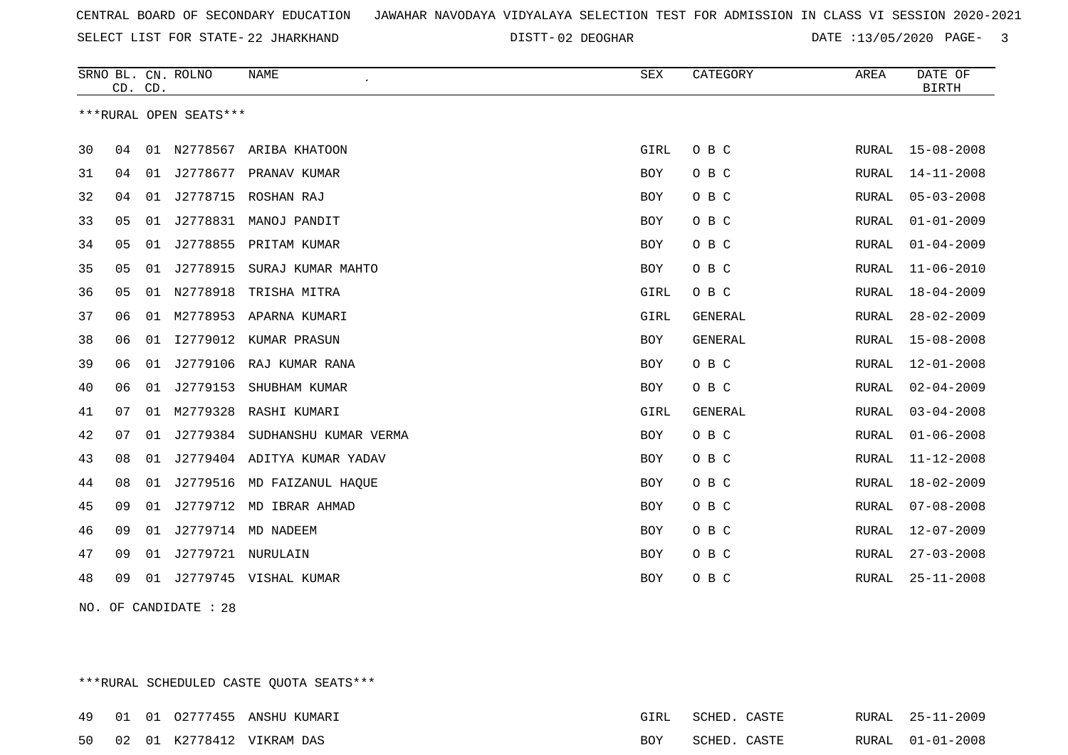SELECT LIST FOR STATE- DISTT- 22 JHARKHAND

02 DEOGHAR DATE :13/05/2020 PAGE- 3

|    | CD. CD. |    | SRNO BL. CN. ROLNO     | <b>NAME</b>                 | SEX        | CATEGORY       | AREA  | DATE OF<br><b>BIRTH</b> |
|----|---------|----|------------------------|-----------------------------|------------|----------------|-------|-------------------------|
|    |         |    | ***RURAL OPEN SEATS*** |                             |            |                |       |                         |
| 30 | 04      |    |                        | 01 N2778567 ARIBA KHATOON   | GIRL       | O B C          | RURAL | 15-08-2008              |
| 31 | 04      |    |                        | 01 J2778677 PRANAV KUMAR    | <b>BOY</b> | O B C          | RURAL | $14 - 11 - 2008$        |
| 32 | 04      | 01 | J2778715               | ROSHAN RAJ                  | BOY        | O B C          | RURAL | $05 - 03 - 2008$        |
| 33 | 05      | 01 |                        | J2778831 MANOJ PANDIT       | BOY        | O B C          | RURAL | $01 - 01 - 2009$        |
| 34 | 05      | 01 |                        | J2778855 PRITAM KUMAR       | <b>BOY</b> | O B C          | RURAL | $01 - 04 - 2009$        |
| 35 | 05      | 01 | J2778915               | SURAJ KUMAR MAHTO           | BOY        | O B C          | RURAL | $11 - 06 - 2010$        |
| 36 | 05      | 01 | N2778918               | TRISHA MITRA                | GIRL       | O B C          | RURAL | $18 - 04 - 2009$        |
| 37 | 06      | 01 |                        | M2778953 APARNA KUMARI      | GIRL       | GENERAL        | RURAL | $28 - 02 - 2009$        |
| 38 | 06      | 01 | I2779012               | KUMAR PRASUN                | BOY        | <b>GENERAL</b> | RURAL | $15 - 08 - 2008$        |
| 39 | 06      | 01 | J2779106               | RAJ KUMAR RANA              | BOY        | O B C          | RURAL | $12 - 01 - 2008$        |
| 40 | 06      | 01 | J2779153               | SHUBHAM KUMAR               | BOY        | O B C          | RURAL | $02 - 04 - 2009$        |
| 41 | 07      | 01 | M2779328               | RASHI KUMARI                | GIRL       | <b>GENERAL</b> | RURAL | $03 - 04 - 2008$        |
| 42 | 07      | 01 | J2779384               | SUDHANSHU KUMAR VERMA       | BOY        | O B C          | RURAL | $01 - 06 - 2008$        |
| 43 | 08      | 01 |                        | J2779404 ADITYA KUMAR YADAV | BOY        | O B C          | RURAL | $11 - 12 - 2008$        |
| 44 | 08      | 01 |                        | J2779516 MD FAIZANUL HAQUE  | BOY        | O B C          | RURAL | $18 - 02 - 2009$        |
| 45 | 09      | 01 |                        | J2779712 MD IBRAR AHMAD     | BOY        | O B C          | RURAL | $07 - 08 - 2008$        |
| 46 | 09      | 01 |                        | J2779714 MD NADEEM          | BOY        | O B C          | RURAL | $12 - 07 - 2009$        |
| 47 | 09      | 01 | J2779721 NURULAIN      |                             | BOY        | O B C          | RURAL | $27 - 03 - 2008$        |
| 48 | 09      | 01 |                        | J2779745 VISHAL KUMAR       | <b>BOY</b> | O B C          | RURAL | $25 - 11 - 2008$        |

NO. OF CANDIDATE : 28

\*\*\*RURAL SCHEDULED CASTE QUOTA SEATS\*\*\*

|  |  | 49      01    01   02777455   ANSHU KUMARI | GIRL | SCHED. CASTE |  | RURAL 25-11-2009 |
|--|--|--------------------------------------------|------|--------------|--|------------------|
|  |  | 50 02 01 K2778412 VIKRAM DAS               | BOY  | SCHED. CASTE |  | RURAL 01-01-2008 |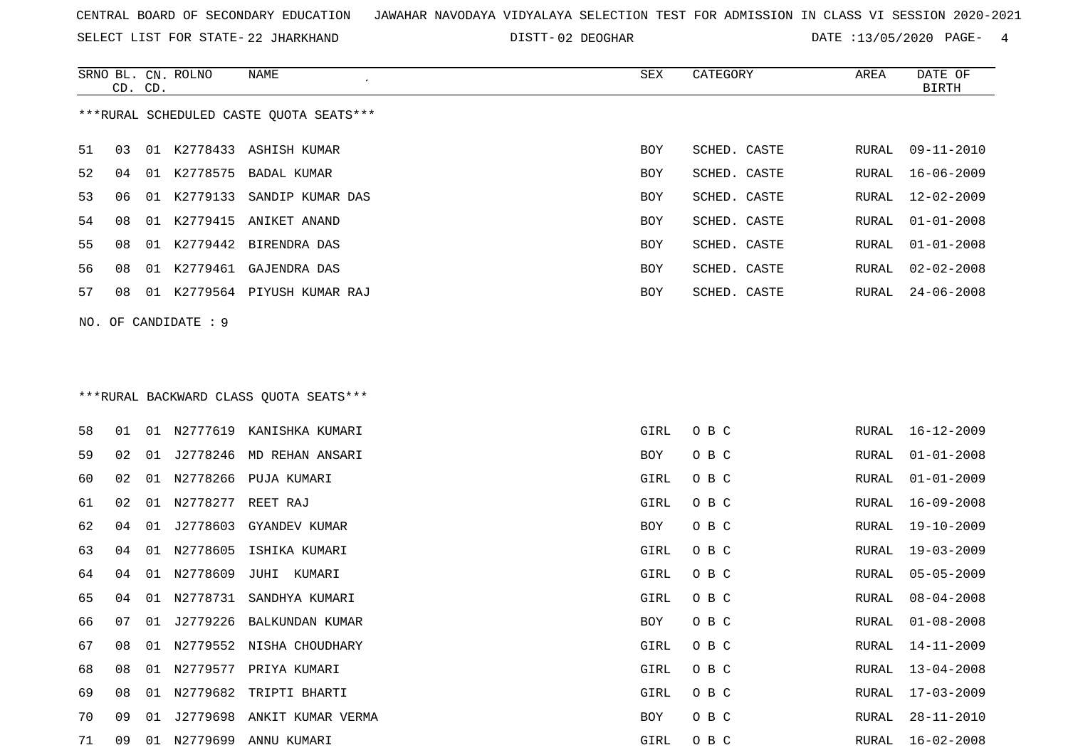SELECT LIST FOR STATE- DISTT- 22 JHARKHAND

02 DEOGHAR DATE :13/05/2020 PAGE- 4

|    |    | CD. CD. | SRNO BL. CN. ROLNO   | NAME                                    | SEX  | CATEGORY     | AREA          | DATE OF<br><b>BIRTH</b> |
|----|----|---------|----------------------|-----------------------------------------|------|--------------|---------------|-------------------------|
|    |    |         |                      | ***RURAL SCHEDULED CASTE QUOTA SEATS*** |      |              |               |                         |
| 51 | 03 |         |                      | 01 K2778433 ASHISH KUMAR                | BOY  | SCHED. CASTE | RURAL         | $09 - 11 - 2010$        |
| 52 | 04 |         |                      | 01 K2778575 BADAL KUMAR                 | BOY  | SCHED. CASTE | RURAL         | $16 - 06 - 2009$        |
| 53 | 06 |         |                      | 01 K2779133 SANDIP KUMAR DAS            | BOY  | SCHED. CASTE | <b>RURAL</b>  | $12 - 02 - 2009$        |
| 54 | 08 | 01      | K2779415             | ANIKET ANAND                            | BOY  | SCHED. CASTE | RURAL         | $01 - 01 - 2008$        |
| 55 | 08 |         |                      | 01 K2779442 BIRENDRA DAS                | BOY  | SCHED. CASTE | <b>RURAL</b>  | $01 - 01 - 2008$        |
| 56 | 08 |         |                      | 01 K2779461 GAJENDRA DAS                | BOY  | SCHED. CASTE | RURAL         | $02 - 02 - 2008$        |
| 57 | 08 |         |                      | 01 K2779564 PIYUSH KUMAR RAJ            | BOY  | SCHED. CASTE | RURAL         | $24 - 06 - 2008$        |
|    |    |         | NO. OF CANDIDATE : 9 |                                         |      |              |               |                         |
|    |    |         |                      |                                         |      |              |               |                         |
|    |    |         |                      |                                         |      |              |               |                         |
|    |    |         |                      | *** RURAL BACKWARD CLASS QUOTA SEATS*** |      |              |               |                         |
| 58 | 01 |         |                      | 01 N2777619 KANISHKA KUMARI             | GIRL | O B C        | RURAL         | $16 - 12 - 2009$        |
| 59 | 02 |         |                      | 01 J2778246 MD REHAN ANSARI             | BOY  | O B C        | RURAL         | $01 - 01 - 2008$        |
| 60 | 02 |         |                      | 01 N2778266 PUJA KUMARI                 | GIRL | O B C        | RURAL         | $01 - 01 - 2009$        |
| 61 | 02 |         | 01 N2778277          | REET RAJ                                | GIRL | O B C        | RURAL         | $16 - 09 - 2008$        |
| 62 | 04 |         |                      | 01 J2778603 GYANDEV KUMAR               | BOY  | O B C        | RURAL         | $19 - 10 - 2009$        |
| 63 | 04 |         | 01 N2778605          | ISHIKA KUMARI                           | GIRL | O B C        | ${\tt RURAL}$ | $19 - 03 - 2009$        |
| 64 | 04 |         | 01 N2778609          | JUHI KUMARI                             | GIRL | O B C        | RURAL         | $05 - 05 - 2009$        |
| 65 | 04 | 01      | N2778731             | SANDHYA KUMARI                          | GIRL | O B C        | RURAL         | $08 - 04 - 2008$        |
| 66 | 07 |         |                      | 01 J2779226 BALKUNDAN KUMAR             | BOY  | O B C        | RURAL         | $01 - 08 - 2008$        |
| 67 | 08 |         |                      | 01 N2779552 NISHA CHOUDHARY             | GIRL | O B C        |               | RURAL 14-11-2009        |
| 68 | 08 |         |                      | 01 N2779577 PRIYA KUMARI                | GIRL | O B C        | RURAL         | $13 - 04 - 2008$        |
| 69 | 08 |         |                      | 01 N2779682 TRIPTI BHARTI               | GIRL | O B C        | RURAL         | 17-03-2009              |
| 70 |    |         |                      | 09 01 J2779698 ANKIT KUMAR VERMA        | BOY  | O B C        | RURAL         | $28 - 11 - 2010$        |
| 71 |    |         |                      | 09 01 N2779699 ANNU KUMARI              | GIRL | $O$ B C      |               | RURAL 16-02-2008        |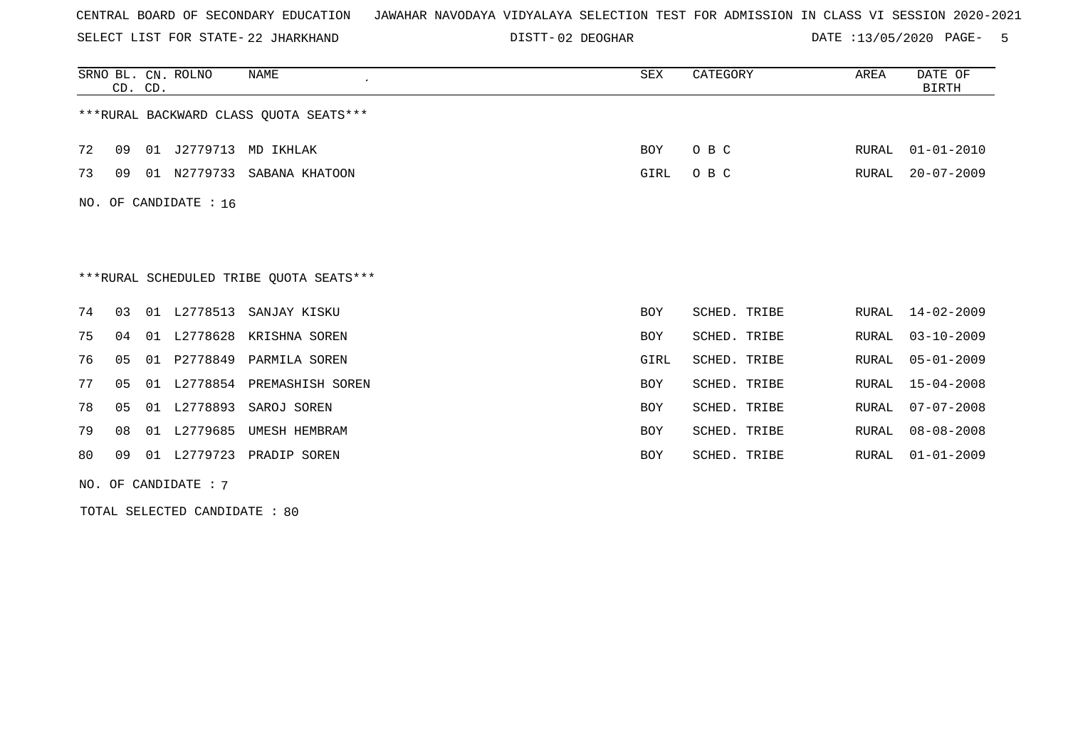SELECT LIST FOR STATE- DISTT- 22 JHARKHAND

02 DEOGHAR DATE :13/05/2020 PAGE- 5

|     | CD. CD.           |    | SRNO BL. CN. ROLNO | NAME<br>$\cdot$                         | SEX        | CATEGORY     | AREA  | DATE OF<br><b>BIRTH</b> |  |  |
|-----|-------------------|----|--------------------|-----------------------------------------|------------|--------------|-------|-------------------------|--|--|
|     |                   |    |                    | ***RURAL BACKWARD CLASS OUOTA SEATS***  |            |              |       |                         |  |  |
| 72  | 09                |    |                    | 01 J2779713 MD IKHLAK                   | BOY        | O B C        | RURAL | $01 - 01 - 2010$        |  |  |
| 73  | 09                |    |                    | 01 N2779733 SABANA KHATOON              | GIRL       | O B C        | RURAL | $20 - 07 - 2009$        |  |  |
| NO. | OF CANDIDATE : 16 |    |                    |                                         |            |              |       |                         |  |  |
|     |                   |    |                    |                                         |            |              |       |                         |  |  |
|     |                   |    |                    | ***RURAL SCHEDULED TRIBE QUOTA SEATS*** |            |              |       |                         |  |  |
| 74  | 03                |    | 01 L2778513        | SANJAY KISKU                            | <b>BOY</b> | SCHED. TRIBE | RURAL | $14 - 02 - 2009$        |  |  |
| 75  | 04                |    |                    | 01 L2778628 KRISHNA SOREN               | <b>BOY</b> | SCHED. TRIBE | RURAL | $03 - 10 - 2009$        |  |  |
| 76  | 0 <sub>5</sub>    |    | 01 P2778849        | PARMILA SOREN                           | GIRL       | SCHED. TRIBE | RURAL | $05 - 01 - 2009$        |  |  |
| 77  | 05                | 01 |                    | L2778854 PREMASHISH SOREN               | BOY        | SCHED. TRIBE | RURAL | $15 - 04 - 2008$        |  |  |
| 78  | 05                | 01 | L2778893           | SAROJ SOREN                             | <b>BOY</b> | SCHED. TRIBE | RURAL | $07 - 07 - 2008$        |  |  |
| 79  | 08                | 01 | L2779685           | UMESH HEMBRAM                           | <b>BOY</b> | SCHED. TRIBE | RURAL | $08 - 08 - 2008$        |  |  |
| 80  | 09                | 01 |                    | L2779723 PRADIP SOREN                   | BOY        | SCHED. TRIBE | RURAL | $01 - 01 - 2009$        |  |  |

NO. OF CANDIDATE : 7

TOTAL SELECTED CANDIDATE : 80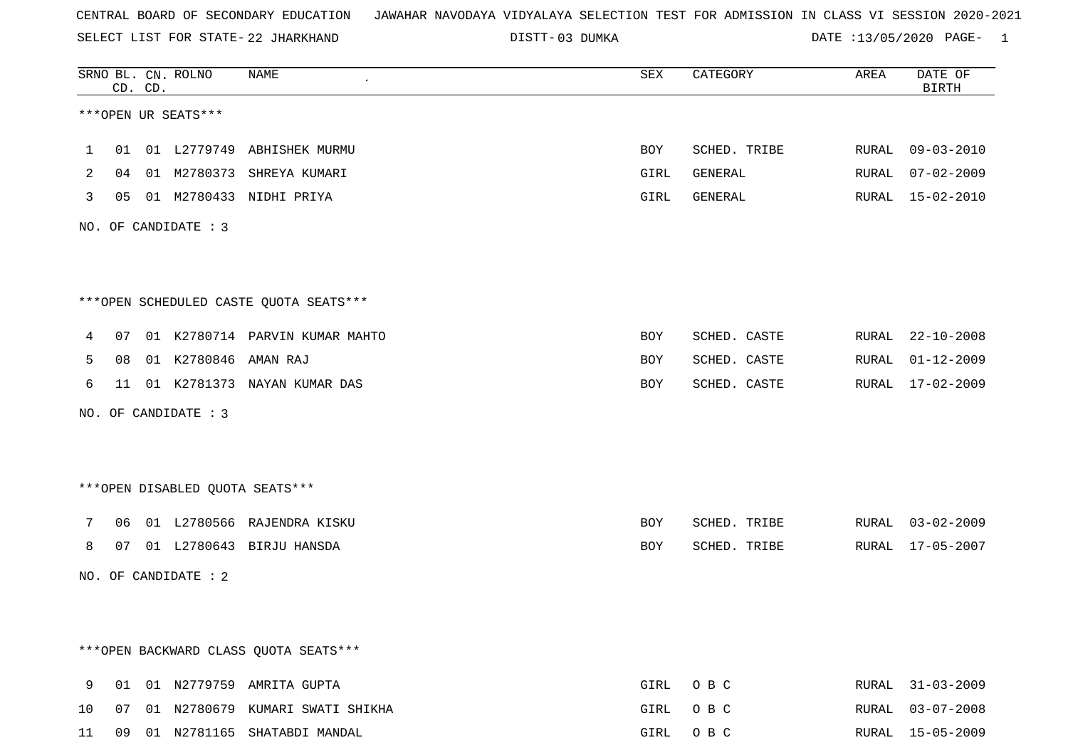SELECT LIST FOR STATE- DISTT- 22 JHARKHAND

03 DUMKA DATE :13/05/2020 PAGE- 1

|    |    | CD. CD. | SRNO BL. CN. ROLNO      | NAME<br>$\epsilon$                     | SEX  | CATEGORY     | AREA  | DATE OF<br><b>BIRTH</b> |
|----|----|---------|-------------------------|----------------------------------------|------|--------------|-------|-------------------------|
|    |    |         | ***OPEN UR SEATS***     |                                        |      |              |       |                         |
| 1  |    |         |                         | 01 01 L2779749 ABHISHEK MURMU          | BOY  | SCHED. TRIBE |       | RURAL 09-03-2010        |
| 2  |    |         |                         | 04 01 M2780373 SHREYA KUMARI           | GIRL | GENERAL      |       | RURAL 07-02-2009        |
| 3  |    |         |                         | 05 01 M2780433 NIDHI PRIYA             | GIRL | GENERAL      |       | RURAL 15-02-2010        |
|    |    |         | NO. OF CANDIDATE : 3    |                                        |      |              |       |                         |
|    |    |         |                         | ***OPEN SCHEDULED CASTE QUOTA SEATS*** |      |              |       |                         |
| 4  |    |         |                         | 07 01 K2780714 PARVIN KUMAR MAHTO      | BOY  | SCHED. CASTE |       | RURAL 22-10-2008        |
| 5  |    |         | 08 01 K2780846 AMAN RAJ |                                        | BOY  | SCHED. CASTE |       | RURAL 01-12-2009        |
| 6  |    |         |                         | 11 01 K2781373 NAYAN KUMAR DAS         | BOY  | SCHED. CASTE |       | RURAL 17-02-2009        |
|    |    |         | NO. OF CANDIDATE : 3    |                                        |      |              |       |                         |
|    |    |         |                         | ***OPEN DISABLED QUOTA SEATS***        |      |              |       |                         |
| 7  |    |         |                         | 06 01 L2780566 RAJENDRA KISKU          | BOY  | SCHED. TRIBE |       | RURAL 03-02-2009        |
| 8  |    |         |                         | 07 01 L2780643 BIRJU HANSDA            | BOY  | SCHED. TRIBE |       | RURAL 17-05-2007        |
|    |    |         | NO. OF CANDIDATE : 2    |                                        |      |              |       |                         |
|    |    |         |                         |                                        |      |              |       |                         |
|    |    |         |                         | *** OPEN BACKWARD CLASS QUOTA SEATS*** |      |              |       |                         |
| 9  |    |         |                         | 01 01 N2779759 AMRITA GUPTA            | GIRL | O B C        | RURAL | $31 - 03 - 2009$        |
| 10 | 07 |         |                         | 01 N2780679 KUMARI SWATI SHIKHA        | GIRL | O B C        | RURAL | $03 - 07 - 2008$        |
| 11 | 09 |         |                         | 01 N2781165 SHATABDI MANDAL            | GIRL | O B C        |       | RURAL 15-05-2009        |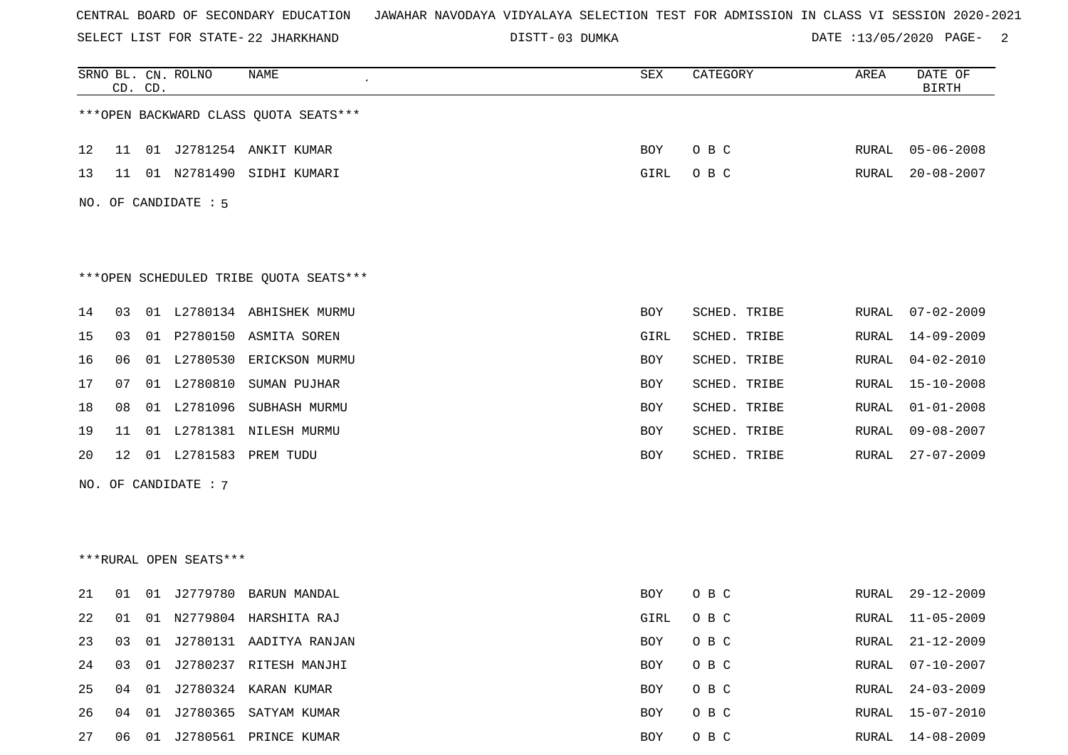SELECT LIST FOR STATE- DISTT- 22 JHARKHAND

03 DUMKA DATE :13/05/2020 PAGE- 2

|    | CD. CD. |    | SRNO BL. CN. ROLNO     | NAME                                   | ${\tt SEX}$ | CATEGORY     | AREA         | DATE OF<br><b>BIRTH</b> |
|----|---------|----|------------------------|----------------------------------------|-------------|--------------|--------------|-------------------------|
|    |         |    |                        | *** OPEN BACKWARD CLASS QUOTA SEATS*** |             |              |              |                         |
| 12 | 11      |    |                        | 01 J2781254 ANKIT KUMAR                | BOY         | O B C        | RURAL        | $05 - 06 - 2008$        |
| 13 | 11      |    | 01 N2781490            | SIDHI KUMARI                           | GIRL        | O B C        | RURAL        | $20 - 08 - 2007$        |
|    |         |    | NO. OF CANDIDATE : 5   |                                        |             |              |              |                         |
|    |         |    |                        |                                        |             |              |              |                         |
|    |         |    |                        |                                        |             |              |              |                         |
|    |         |    |                        | ***OPEN SCHEDULED TRIBE QUOTA SEATS*** |             |              |              |                         |
| 14 | 03      |    |                        | 01 L2780134 ABHISHEK MURMU             | BOY         | SCHED. TRIBE | RURAL        | $07 - 02 - 2009$        |
| 15 | 03      |    |                        | 01 P2780150 ASMITA SOREN               | GIRL        | SCHED. TRIBE | RURAL        | 14-09-2009              |
| 16 | 06      |    |                        | 01 L2780530 ERICKSON MURMU             | BOY         | SCHED. TRIBE | RURAL        | $04 - 02 - 2010$        |
| 17 | 07      |    | 01 L2780810            | SUMAN PUJHAR                           | BOY         | SCHED. TRIBE | RURAL        | $15 - 10 - 2008$        |
| 18 | 08      |    |                        | 01 L2781096 SUBHASH MURMU              | BOY         | SCHED. TRIBE | <b>RURAL</b> | $01 - 01 - 2008$        |
| 19 | 11      |    | 01 L2781381            | NILESH MURMU                           | BOY         | SCHED. TRIBE | RURAL        | $09 - 08 - 2007$        |
| 20 | 12      |    | 01 L2781583            | PREM TUDU                              | BOY         | SCHED. TRIBE | <b>RURAL</b> | $27 - 07 - 2009$        |
|    |         |    | NO. OF CANDIDATE : 7   |                                        |             |              |              |                         |
|    |         |    |                        |                                        |             |              |              |                         |
|    |         |    |                        |                                        |             |              |              |                         |
|    |         |    | ***RURAL OPEN SEATS*** |                                        |             |              |              |                         |
| 21 | 01      |    | 01 J2779780            | BARUN MANDAL                           | BOY         | O B C        | RURAL        | $29 - 12 - 2009$        |
| 22 | 01      |    |                        | 01 N2779804 HARSHITA RAJ               | GIRL        | O B C        | RURAL        | $11 - 05 - 2009$        |
| 23 | 03      |    |                        | 01 J2780131 AADITYA RANJAN             | BOY         | O B C        | <b>RURAL</b> | $21 - 12 - 2009$        |
| 24 | 03      |    |                        | 01 J2780237 RITESH MANJHI              | BOY         | O B C        | <b>RURAL</b> | $07 - 10 - 2007$        |
| 25 | 04      |    |                        | 01 J2780324 KARAN KUMAR                | BOY         | O B C        | RURAL        | $24 - 03 - 2009$        |
| 26 | 04      | 01 |                        | J2780365 SATYAM KUMAR                  | BOY         | O B C        | <b>RURAL</b> | $15 - 07 - 2010$        |
| 27 | 06      |    |                        | 01 J2780561 PRINCE KUMAR               | BOY         | O B C        | RURAL        | $14 - 08 - 2009$        |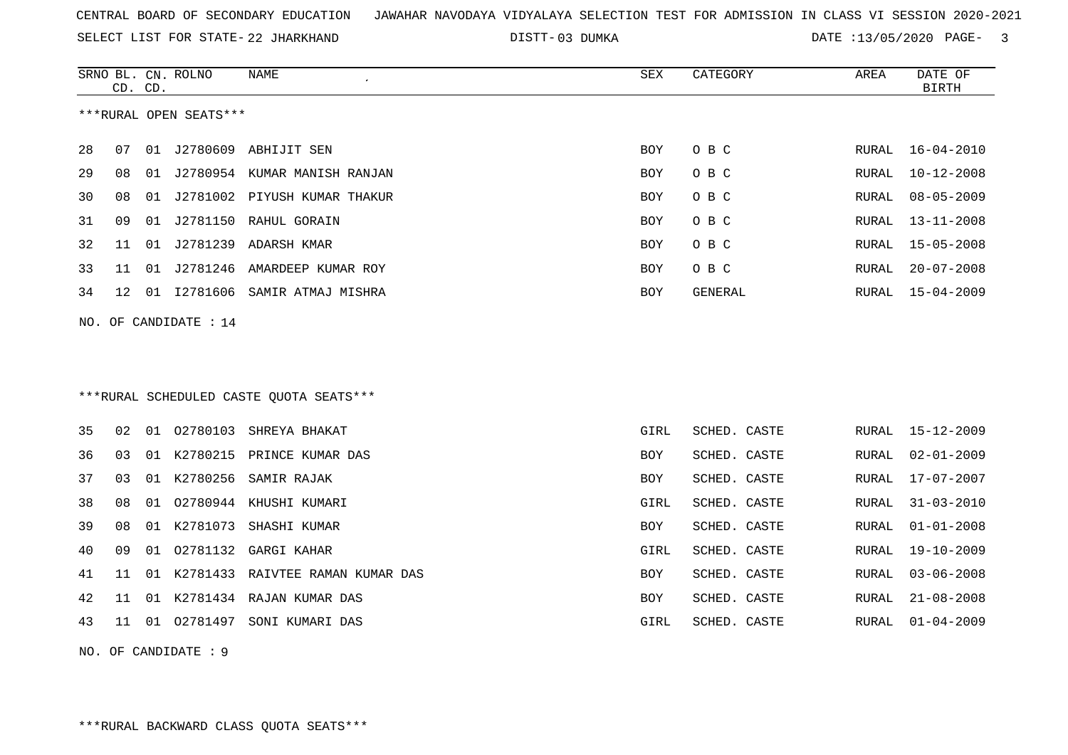SELECT LIST FOR STATE- DISTT- 22 JHARKHAND

03 DUMKA DATE :13/05/2020 PAGE- 3

|                       | CD. CD. |    | SRNO BL. CN. ROLNO     | NAME<br>$\epsilon$                      | <b>SEX</b> | CATEGORY       | AREA         | DATE OF<br><b>BIRTH</b> |
|-----------------------|---------|----|------------------------|-----------------------------------------|------------|----------------|--------------|-------------------------|
|                       |         |    | ***RURAL OPEN SEATS*** |                                         |            |                |              |                         |
| 28                    | 07      | 01 |                        | J2780609 ABHIJIT SEN                    | <b>BOY</b> | O B C          | RURAL        | $16 - 04 - 2010$        |
| 29                    | 08      | 01 |                        | J2780954 KUMAR MANISH RANJAN            | <b>BOY</b> | O B C          | RURAL        | $10 - 12 - 2008$        |
| 30                    | 08      |    |                        | 01 J2781002 PIYUSH KUMAR THAKUR         | <b>BOY</b> | O B C          | RURAL        | $08 - 05 - 2009$        |
| 31                    | 09      | 01 |                        | J2781150 RAHUL GORAIN                   | <b>BOY</b> | O B C          | RURAL        | $13 - 11 - 2008$        |
| 32                    | 11      | 01 |                        | J2781239 ADARSH KMAR                    | <b>BOY</b> | O B C          | RURAL        | $15 - 05 - 2008$        |
| 33                    | 11      | 01 |                        | J2781246 AMARDEEP KUMAR ROY             | <b>BOY</b> | O B C          | RURAL        | $20 - 07 - 2008$        |
| 34                    | 12      |    |                        | 01 I2781606 SAMIR ATMAJ MISHRA          | BOY        | <b>GENERAL</b> | RURAL        | $15 - 04 - 2009$        |
| NO. OF CANDIDATE : 14 |         |    |                        |                                         |            |                |              |                         |
|                       |         |    |                        |                                         |            |                |              |                         |
|                       |         |    |                        |                                         |            |                |              |                         |
|                       |         |    |                        | ***RURAL SCHEDULED CASTE OUOTA SEATS*** |            |                |              |                         |
| 35                    | 02      |    | 01 02780103            | SHREYA BHAKAT                           | GIRL       | SCHED. CASTE   | RURAL        | $15 - 12 - 2009$        |
| 36                    | 03      |    | 01 K2780215            | PRINCE KUMAR DAS                        | <b>BOY</b> | SCHED. CASTE   | <b>RURAL</b> | $02 - 01 - 2009$        |
| 37                    | 03      |    | 01 K2780256            | SAMIR RAJAK                             | BOY        | SCHED. CASTE   | RURAL        | $17 - 07 - 2007$        |
| 38                    | 08      | 01 |                        | 02780944 KHUSHI KUMARI                  | GIRL       | SCHED. CASTE   | RURAL        | $31 - 03 - 2010$        |
| 39                    | 08      |    | 01 K2781073            | SHASHI KUMAR                            | <b>BOY</b> | SCHED. CASTE   | RURAL        | $01 - 01 - 2008$        |
| 40                    | 09      | 01 | 02781132               | GARGI KAHAR                             | GIRL       | SCHED. CASTE   | RURAL        | $19 - 10 - 2009$        |
| 41                    | 11      |    | 01 K2781433            | RAIVTEE RAMAN KUMAR DAS                 | <b>BOY</b> | SCHED. CASTE   | RURAL        | $03 - 06 - 2008$        |
| 42                    | 11      |    |                        | 01 K2781434 RAJAN KUMAR DAS             | BOY        | SCHED. CASTE   | RURAL        | $21 - 08 - 2008$        |
| 43                    | 11      |    | 01 02781497            | SONI KUMARI DAS                         | GIRL       | SCHED. CASTE   | RURAL        | $01 - 04 - 2009$        |

NO. OF CANDIDATE : 9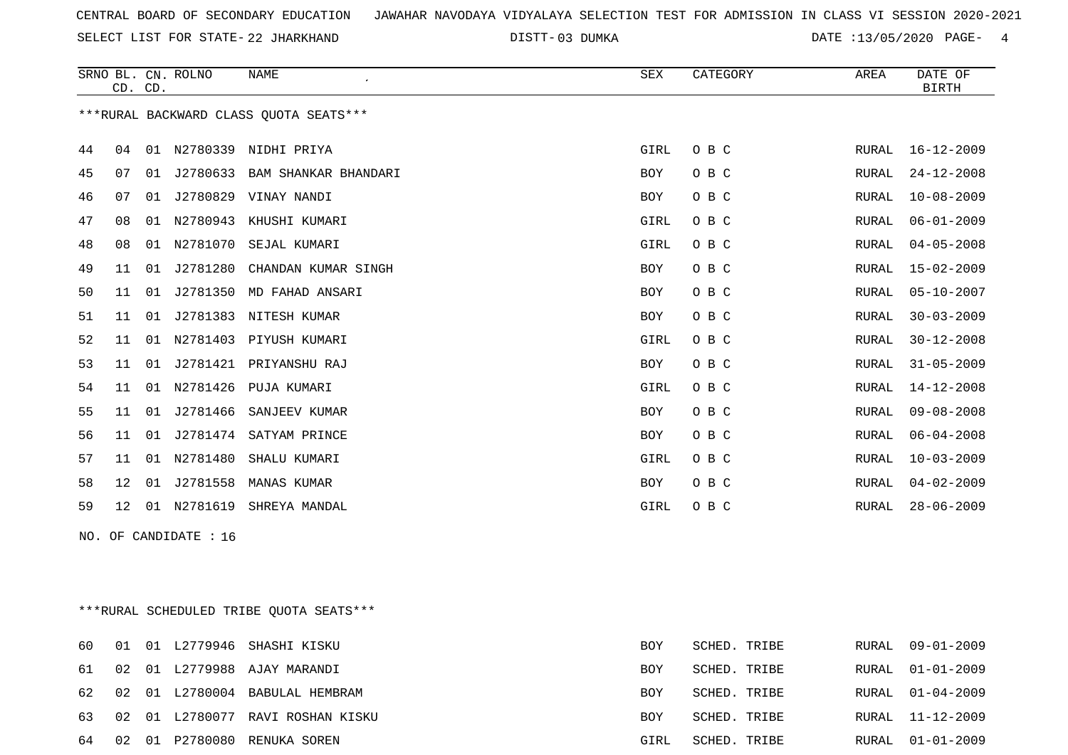SELECT LIST FOR STATE- DISTT- 22 JHARKHAND

03 DUMKA DATE :13/05/2020 PAGE- 4

|    |                 | CD. CD. | SRNO BL. CN. ROLNO    | NAME<br>$\epsilon$                      | SEX  | CATEGORY | AREA  | DATE OF<br><b>BIRTH</b> |
|----|-----------------|---------|-----------------------|-----------------------------------------|------|----------|-------|-------------------------|
|    |                 |         |                       | *** RURAL BACKWARD CLASS QUOTA SEATS*** |      |          |       |                         |
| 44 | 04              |         |                       | 01 N2780339 NIDHI PRIYA                 | GIRL | O B C    | RURAL | 16-12-2009              |
| 45 | 07              | 01      |                       | J2780633 BAM SHANKAR BHANDARI           | BOY  | O B C    | RURAL | $24 - 12 - 2008$        |
| 46 | 07              | 01      |                       | J2780829 VINAY NANDI                    | BOY  | O B C    | RURAL | $10 - 08 - 2009$        |
| 47 | 08              |         |                       | 01 N2780943 KHUSHI KUMARI               | GIRL | O B C    | RURAL | $06 - 01 - 2009$        |
| 48 | 08              |         |                       | 01 N2781070 SEJAL KUMARI                | GIRL | O B C    | RURAL | $04 - 05 - 2008$        |
| 49 | 11              | 01      | J2781280              | CHANDAN KUMAR SINGH                     | BOY  | O B C    | RURAL | $15 - 02 - 2009$        |
| 50 | 11              | 01      | J2781350              | MD FAHAD ANSARI                         | BOY  | O B C    | RURAL | $05 - 10 - 2007$        |
| 51 | 11              | 01      |                       | J2781383 NITESH KUMAR                   | BOY  | O B C    | RURAL | $30 - 03 - 2009$        |
| 52 | 11              | 01      |                       | N2781403 PIYUSH KUMARI                  | GIRL | O B C    | RURAL | $30 - 12 - 2008$        |
| 53 | 11              | 01      |                       | J2781421 PRIYANSHU RAJ                  | BOY  | O B C    | RURAL | $31 - 05 - 2009$        |
| 54 | 11              |         |                       | 01 N2781426 PUJA KUMARI                 | GIRL | O B C    | RURAL | 14-12-2008              |
| 55 | 11              | 01      | J2781466              | SANJEEV KUMAR                           | BOY  | O B C    | RURAL | $09 - 08 - 2008$        |
| 56 | 11              | 01      | J2781474              | SATYAM PRINCE                           | BOY  | O B C    | RURAL | $06 - 04 - 2008$        |
| 57 | 11              |         |                       | 01 N2781480 SHALU KUMARI                | GIRL | O B C    | RURAL | $10 - 03 - 2009$        |
| 58 | 12              | 01      | J2781558              | MANAS KUMAR                             | BOY  | O B C    | RURAL | $04 - 02 - 2009$        |
| 59 | 12 <sup>°</sup> |         |                       | 01 N2781619 SHREYA MANDAL               | GIRL | O B C    | RURAL | $28 - 06 - 2009$        |
|    |                 |         | NO. OF CANDIDATE : 16 |                                         |      |          |       |                         |
|    |                 |         |                       |                                         |      |          |       |                         |
|    |                 |         |                       |                                         |      |          |       |                         |
|    |                 |         |                       |                                         |      |          |       |                         |

\*\*\*RURAL SCHEDULED TRIBE QUOTA SEATS\*\*\*

| 60  |    |  | 01 01 L2779946 SHASHI KISKU   | BOY  | SCHED. TRIBE |       | RURAL 09-01-2009 |
|-----|----|--|-------------------------------|------|--------------|-------|------------------|
| 61  | 02 |  | 01 L2779988 AJAY MARANDI      | BOY  | SCHED. TRIBE |       | RURAL 01-01-2009 |
| 62. | 02 |  | 01 L2780004 BABULAL HEMBRAM   | BOY  | SCHED. TRIBE |       | RURAL 01-04-2009 |
| 63  | 02 |  | 01 L2780077 RAVI ROSHAN KISKU | BOY  | SCHED. TRIBE |       | RURAL 11-12-2009 |
| 64  | 02 |  | 01 P2780080 RENUKA SOREN      | GIRL | SCHED.       | TRIBE | RURAL 01-01-2009 |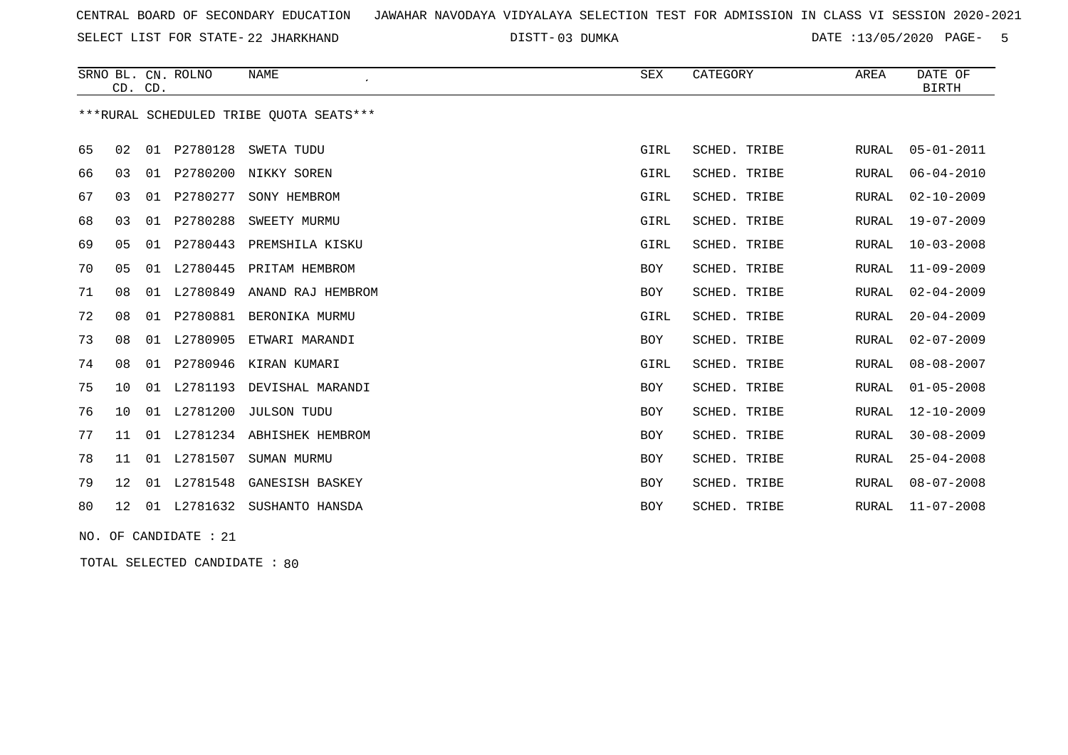SELECT LIST FOR STATE- DISTT- 22 JHARKHAND

03 DUMKA DATE :13/05/2020 PAGE- 5

|    | CD. CD.         |    | SRNO BL. CN. ROLNO | <b>NAME</b>                             | SEX        | CATEGORY     | AREA  | DATE OF<br><b>BIRTH</b> |
|----|-----------------|----|--------------------|-----------------------------------------|------------|--------------|-------|-------------------------|
|    |                 |    |                    | ***RURAL SCHEDULED TRIBE OUOTA SEATS*** |            |              |       |                         |
| 65 | 02              |    | 01 P2780128        | SWETA TUDU                              | GIRL       | SCHED. TRIBE | RURAL | $05 - 01 - 2011$        |
| 66 | 03              | 01 |                    | P2780200 NIKKY SOREN                    | GIRL       | SCHED. TRIBE | RURAL | $06 - 04 - 2010$        |
| 67 | 03              | 01 | P2780277           | SONY HEMBROM                            | GIRL       | SCHED. TRIBE | RURAL | $02 - 10 - 2009$        |
| 68 | 03              | 01 | P2780288           | SWEETY MURMU                            | GIRL       | SCHED. TRIBE | RURAL | $19 - 07 - 2009$        |
| 69 | 05              | 01 | P2780443           | PREMSHILA KISKU                         | GIRL       | SCHED. TRIBE | RURAL | $10 - 03 - 2008$        |
| 70 | 05              | 01 | L2780445           | PRITAM HEMBROM                          | <b>BOY</b> | SCHED. TRIBE | RURAL | $11 - 09 - 2009$        |
| 71 | 08              | 01 | L2780849           | ANAND RAJ HEMBROM                       | <b>BOY</b> | SCHED. TRIBE | RURAL | $02 - 04 - 2009$        |
| 72 | 08              | 01 | P2780881           | BERONIKA MURMU                          | GIRL       | SCHED. TRIBE | RURAL | $20 - 04 - 2009$        |
| 73 | 08              | 01 | L2780905           | ETWARI MARANDI                          | <b>BOY</b> | SCHED. TRIBE | RURAL | $02 - 07 - 2009$        |
| 74 | 08              | 01 | P2780946           | KIRAN KUMARI                            | GIRL       | SCHED. TRIBE | RURAL | $08 - 08 - 2007$        |
| 75 | 10              | 01 | L2781193           | DEVISHAL MARANDI                        | <b>BOY</b> | SCHED. TRIBE | RURAL | $01 - 05 - 2008$        |
| 76 | 10              |    |                    | 01 L2781200 JULSON TUDU                 | <b>BOY</b> | SCHED. TRIBE | RURAL | $12 - 10 - 2009$        |
| 77 | 11              |    |                    | 01 L2781234 ABHISHEK HEMBROM            | <b>BOY</b> | SCHED. TRIBE | RURAL | $30 - 08 - 2009$        |
| 78 | 11              |    | 01 L2781507        | SUMAN MURMU                             | <b>BOY</b> | SCHED. TRIBE | RURAL | $25 - 04 - 2008$        |
| 79 | 12 <sub>1</sub> | 01 | L2781548           | GANESISH BASKEY                         | <b>BOY</b> | SCHED. TRIBE | RURAL | $08 - 07 - 2008$        |
| 80 | 12              | 01 | L2781632           | SUSHANTO HANSDA                         | <b>BOY</b> | SCHED. TRIBE | RURAL | $11 - 07 - 2008$        |
|    |                 |    |                    |                                         |            |              |       |                         |

NO. OF CANDIDATE : 21

TOTAL SELECTED CANDIDATE : 80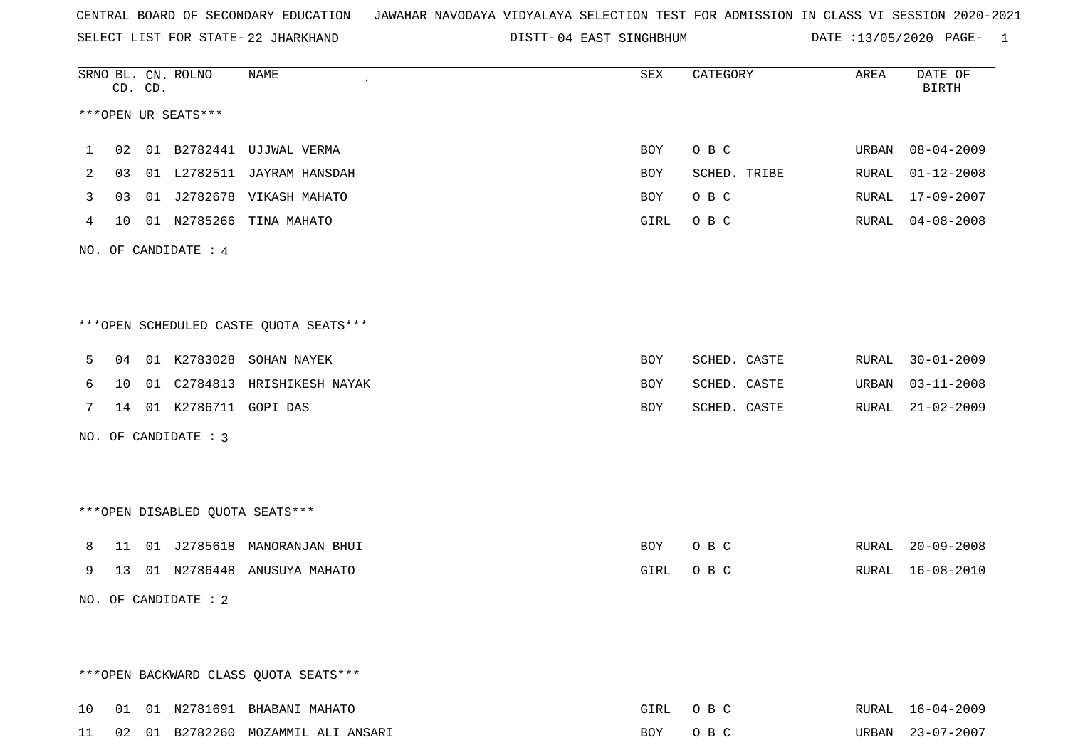SELECT LIST FOR STATE- DISTT- 22 JHARKHAND

DISTT-04 EAST SINGHBHUM DATE :13/05/2020 PAGE- 1

|    |    | CD. CD. | SRNO BL. CN. ROLNO   | NAME                                   | SEX  | CATEGORY     | AREA  | DATE OF<br><b>BIRTH</b> |
|----|----|---------|----------------------|----------------------------------------|------|--------------|-------|-------------------------|
|    |    |         | ***OPEN UR SEATS***  |                                        |      |              |       |                         |
| 1  | 02 |         |                      | 01 B2782441 UJJWAL VERMA               | BOY  | O B C        | URBAN | $08 - 04 - 2009$        |
| 2  | 03 |         |                      | 01 L2782511 JAYRAM HANSDAH             | BOY  | SCHED. TRIBE | RURAL | $01 - 12 - 2008$        |
| 3  | 03 |         |                      | 01 J2782678 VIKASH MAHATO              | BOY  | O B C        | RURAL | 17-09-2007              |
| 4  | 10 |         |                      | 01 N2785266 TINA MAHATO                | GIRL | O B C        | RURAL | $04 - 08 - 2008$        |
|    |    |         | NO. OF CANDIDATE : 4 |                                        |      |              |       |                         |
|    |    |         |                      |                                        |      |              |       |                         |
|    |    |         |                      | ***OPEN SCHEDULED CASTE QUOTA SEATS*** |      |              |       |                         |
| 5  | 04 |         |                      | 01 K2783028 SOHAN NAYEK                | BOY  | SCHED. CASTE | RURAL | $30 - 01 - 2009$        |
| 6  | 10 |         |                      | 01 C2784813 HRISHIKESH NAYAK           | BOY  | SCHED. CASTE | URBAN | $03 - 11 - 2008$        |
| 7  | 14 |         | 01 K2786711 GOPI DAS |                                        | BOY  | SCHED. CASTE | RURAL | $21 - 02 - 2009$        |
|    |    |         | NO. OF CANDIDATE : 3 |                                        |      |              |       |                         |
|    |    |         |                      |                                        |      |              |       |                         |
|    |    |         |                      | ***OPEN DISABLED QUOTA SEATS***        |      |              |       |                         |
| 8  | 11 |         | 01 J2785618          | MANORANJAN BHUI                        | BOY  | O B C        | RURAL | $20 - 09 - 2008$        |
| 9  |    |         |                      | 13 01 N2786448 ANUSUYA MAHATO          | GIRL | O B C        | RURAL | $16 - 08 - 2010$        |
|    |    |         | NO. OF CANDIDATE : 2 |                                        |      |              |       |                         |
|    |    |         |                      |                                        |      |              |       |                         |
|    |    |         |                      | *** OPEN BACKWARD CLASS QUOTA SEATS*** |      |              |       |                         |
| 10 |    |         |                      | 01 01 N2781691 BHABANI MAHATO          | GIRL | O B C        |       | RURAL 16-04-2009        |
| 11 |    |         |                      | 02 01 B2782260 MOZAMMIL ALI ANSARI     | BOY  | O B C        |       | URBAN 23-07-2007        |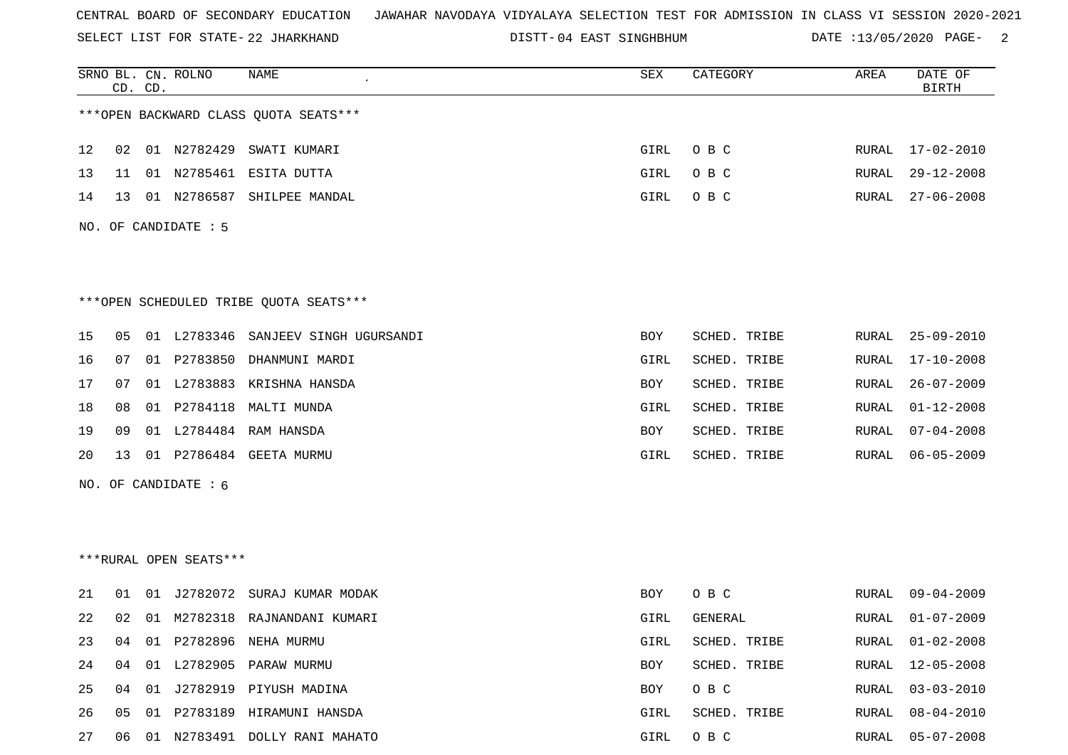SELECT LIST FOR STATE- DISTT- 22 JHARKHAND

DISTT-04 EAST SINGHBHUM DATE :13/05/2020 PAGE- 2

|    |    | CD. CD. | SRNO BL. CN. ROLNO     | NAME                                    | <b>SEX</b> | CATEGORY     | AREA  | DATE OF<br><b>BIRTH</b> |
|----|----|---------|------------------------|-----------------------------------------|------------|--------------|-------|-------------------------|
|    |    |         |                        | *** OPEN BACKWARD CLASS QUOTA SEATS *** |            |              |       |                         |
| 12 | 02 |         |                        | 01 N2782429 SWATI KUMARI                | GIRL       | O B C        | RURAL | $17 - 02 - 2010$        |
| 13 | 11 |         |                        | 01 N2785461 ESITA DUTTA                 | GIRL       | O B C        | RURAL | $29 - 12 - 2008$        |
| 14 | 13 |         |                        | 01 N2786587 SHILPEE MANDAL              | GIRL       | O B C        | RURAL | $27 - 06 - 2008$        |
|    |    |         | NO. OF CANDIDATE : 5   |                                         |            |              |       |                         |
|    |    |         |                        | ***OPEN SCHEDULED TRIBE QUOTA SEATS***  |            |              |       |                         |
| 15 | 05 |         |                        | 01 L2783346 SANJEEV SINGH UGURSANDI     | BOY        | SCHED. TRIBE | RURAL | 25-09-2010              |
| 16 | 07 |         |                        | 01 P2783850 DHANMUNI MARDI              | GIRL       | SCHED. TRIBE | RURAL | $17 - 10 - 2008$        |
| 17 | 07 |         |                        | 01 L2783883 KRISHNA HANSDA              | BOY        | SCHED. TRIBE | RURAL | $26 - 07 - 2009$        |
| 18 | 08 |         |                        | 01 P2784118 MALTI MUNDA                 | GIRL       | SCHED. TRIBE | RURAL | $01 - 12 - 2008$        |
| 19 | 09 |         |                        | 01 L2784484 RAM HANSDA                  | BOY        | SCHED. TRIBE | RURAL | $07 - 04 - 2008$        |
| 20 | 13 |         |                        | 01 P2786484 GEETA MURMU                 | GIRL       | SCHED. TRIBE | RURAL | $06 - 05 - 2009$        |
|    |    |         | NO. OF CANDIDATE : 6   |                                         |            |              |       |                         |
|    |    |         |                        |                                         |            |              |       |                         |
|    |    |         |                        |                                         |            |              |       |                         |
|    |    |         | ***RURAL OPEN SEATS*** |                                         |            |              |       |                         |
| 21 | 01 |         |                        | 01 J2782072 SURAJ KUMAR MODAK           | BOY        | O B C        | RURAL | $09 - 04 - 2009$        |
| 22 | 02 |         |                        | 01 M2782318 RAJNANDANI KUMARI           | GIRL       | GENERAL      | RURAL | $01 - 07 - 2009$        |
| 23 | 04 |         |                        | 01 P2782896 NEHA MURMU                  | GIRL       | SCHED. TRIBE | RURAL | $01 - 02 - 2008$        |
| 24 | 04 |         |                        | 01 L2782905 PARAW MURMU                 | BOY        | SCHED. TRIBE | RURAL | $12 - 05 - 2008$        |
| 25 | 04 |         |                        | 01 J2782919 PIYUSH MADINA               | BOY        | O B C        | RURAL | $03 - 03 - 2010$        |
| 26 | 05 |         |                        | 01 P2783189 HIRAMUNI HANSDA             | GIRL       | SCHED. TRIBE | RURAL | $08 - 04 - 2010$        |
| 27 | 06 |         |                        | 01 N2783491 DOLLY RANI MAHATO           | GIRL       | O B C        | RURAL | $05 - 07 - 2008$        |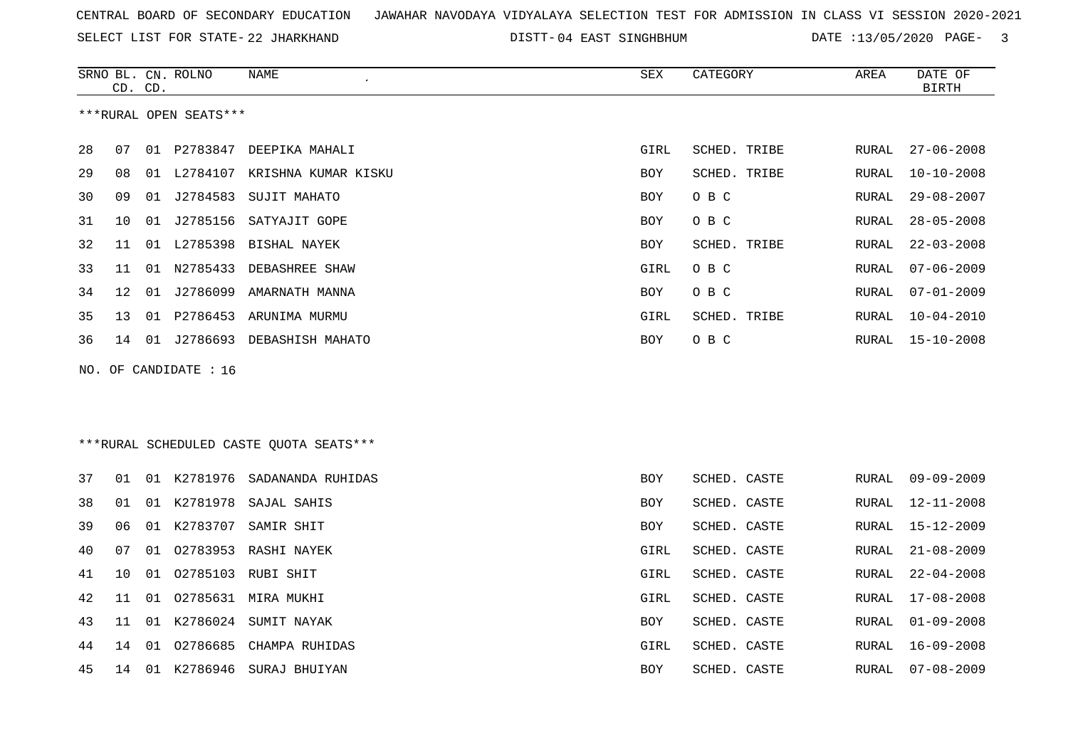SELECT LIST FOR STATE- DISTT- 22 JHARKHAND

DISTT-04 EAST SINGHBHUM DATE :13/05/2020 PAGE- 3

|    | CD. CD.                  |    | SRNO BL. CN. ROLNO | NAME                                    | SEX        | CATEGORY     | AREA         | DATE OF<br><b>BIRTH</b> |  |  |
|----|--------------------------|----|--------------------|-----------------------------------------|------------|--------------|--------------|-------------------------|--|--|
|    | ***RURAL OPEN SEATS***   |    |                    |                                         |            |              |              |                         |  |  |
| 28 | 07                       |    |                    | 01 P2783847 DEEPIKA MAHALI              | GIRL       | SCHED. TRIBE | RURAL        | $27 - 06 - 2008$        |  |  |
| 29 | 08                       |    |                    | 01 L2784107 KRISHNA KUMAR KISKU         | <b>BOY</b> | SCHED. TRIBE | RURAL        | $10 - 10 - 2008$        |  |  |
| 30 | 09                       |    |                    | 01 J2784583 SUJIT MAHATO                | <b>BOY</b> | O B C        | RURAL        | $29 - 08 - 2007$        |  |  |
| 31 | 10                       |    |                    | 01 J2785156 SATYAJIT GOPE               | <b>BOY</b> | O B C        | RURAL        | $28 - 05 - 2008$        |  |  |
| 32 | 11                       |    |                    | 01 L2785398 BISHAL NAYEK                | BOY        | SCHED. TRIBE | RURAL        | $22 - 03 - 2008$        |  |  |
| 33 | 11                       | 01 | N2785433           | DEBASHREE SHAW                          | GIRL       | O B C        | RURAL        | $07 - 06 - 2009$        |  |  |
| 34 | 12                       | 01 |                    | J2786099 AMARNATH MANNA                 | <b>BOY</b> | O B C        | RURAL        | $07 - 01 - 2009$        |  |  |
| 35 | 13                       | 01 |                    | P2786453 ARUNIMA MURMU                  | GIRL       | SCHED. TRIBE | RURAL        | $10 - 04 - 2010$        |  |  |
| 36 |                          |    |                    | 14 01 J2786693 DEBASHISH MAHATO         | BOY        | O B C        | RURAL        | 15-10-2008              |  |  |
|    | OF CANDIDATE : 16<br>NO. |    |                    |                                         |            |              |              |                         |  |  |
|    |                          |    |                    |                                         |            |              |              |                         |  |  |
|    |                          |    |                    |                                         |            |              |              |                         |  |  |
|    |                          |    |                    | ***RURAL SCHEDULED CASTE OUOTA SEATS*** |            |              |              |                         |  |  |
| 37 | 01                       |    | 01 K2781976        | SADANANDA RUHIDAS                       | <b>BOY</b> | SCHED. CASTE | RURAL        | $09 - 09 - 2009$        |  |  |
| 38 | 01                       |    |                    | 01 K2781978 SAJAL SAHIS                 | <b>BOY</b> | SCHED. CASTE | RURAL        | $12 - 11 - 2008$        |  |  |
| 39 | 06                       | 01 | K2783707           | SAMIR SHIT                              | BOY        | SCHED. CASTE | RURAL        | $15 - 12 - 2009$        |  |  |
| 40 | 07                       |    |                    | 01 02783953 RASHI NAYEK                 | GIRL       | SCHED. CASTE | RURAL        | $21 - 08 - 2009$        |  |  |
| 41 | 10                       | 01 |                    | 02785103 RUBI SHIT                      | GIRL       | SCHED. CASTE | <b>RURAL</b> | $22 - 04 - 2008$        |  |  |
| 42 | 11                       | 01 |                    | 02785631 MIRA MUKHI                     | GIRL       | SCHED. CASTE | RURAL        | $17 - 08 - 2008$        |  |  |
| 43 | 11                       | 01 | K2786024           | SUMIT NAYAK                             | BOY        | SCHED. CASTE | RURAL        | $01 - 09 - 2008$        |  |  |
| 44 | 14                       | 01 | 02786685           | CHAMPA RUHIDAS                          | GIRL       | SCHED. CASTE | RURAL        | $16 - 09 - 2008$        |  |  |
| 45 | 14                       |    |                    | 01 K2786946 SURAJ BHUIYAN               | <b>BOY</b> | SCHED. CASTE | RURAL        | $07 - 08 - 2009$        |  |  |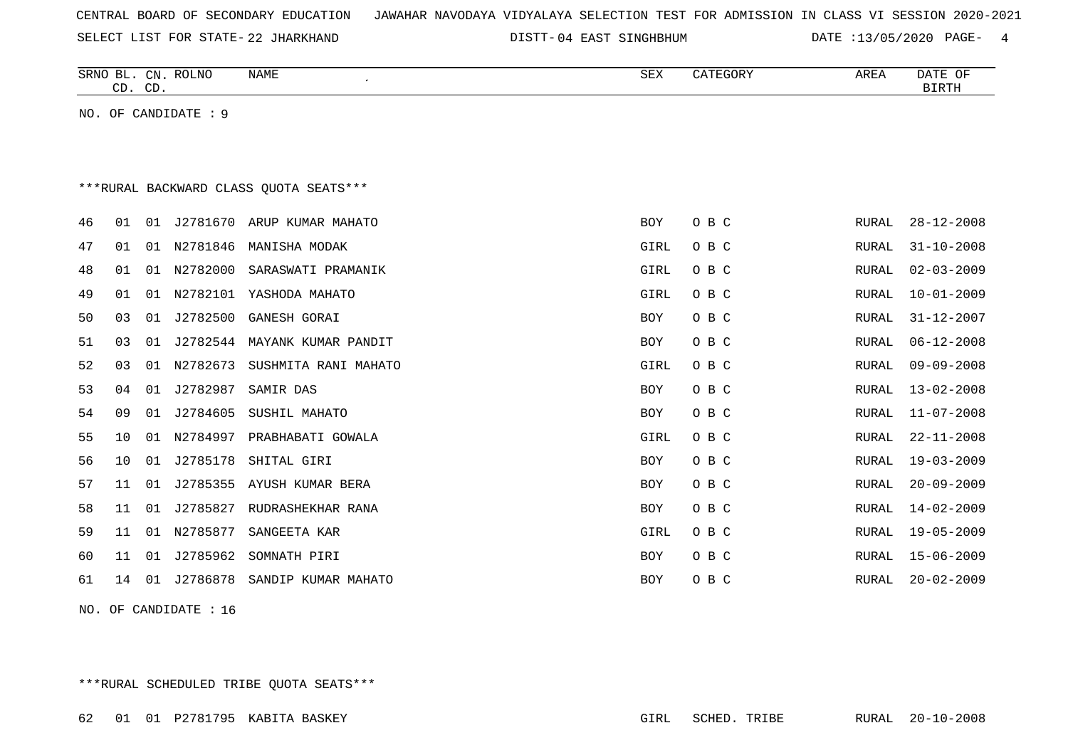| CENTRAL BOARD OF SECONDARY EDUCATION – JAWAHAR NAVODAYA VIDYALAYA SELECTION TEST FOR ADMISSION IN CLASS VI SESSION 2020-2021 |  |  |  |  |  |  |  |
|------------------------------------------------------------------------------------------------------------------------------|--|--|--|--|--|--|--|
|------------------------------------------------------------------------------------------------------------------------------|--|--|--|--|--|--|--|

SELECT LIST FOR STATE- DISTT- 22 JHARKHAND

DISTT-04 EAST SINGHBHUM DATE :13/05/2020 PAGE- 4

|    | CD. CD. |    | SRNO BL. CN. ROLNO   | NAME<br>$\bullet$                       | SEX        | CATEGORY | AREA  | DATE OF<br><b>BIRTH</b> |
|----|---------|----|----------------------|-----------------------------------------|------------|----------|-------|-------------------------|
|    |         |    | NO. OF CANDIDATE : 9 |                                         |            |          |       |                         |
|    |         |    |                      |                                         |            |          |       |                         |
|    |         |    |                      |                                         |            |          |       |                         |
|    |         |    |                      | *** RURAL BACKWARD CLASS QUOTA SEATS*** |            |          |       |                         |
| 46 | 01      | 01 | J2781670             | ARUP KUMAR MAHATO                       | <b>BOY</b> | O B C    | RURAL | $28 - 12 - 2008$        |
| 47 | 01      | 01 | N2781846             | MANISHA MODAK                           | GIRL       | O B C    | RURAL | $31 - 10 - 2008$        |
| 48 | 01      | 01 | N2782000             | SARASWATI PRAMANIK                      | GIRL       | O B C    | RURAL | $02 - 03 - 2009$        |
| 49 | 01      | 01 | N2782101             | YASHODA MAHATO                          | GIRL       | O B C    | RURAL | $10 - 01 - 2009$        |
| 50 | 03      | 01 | J2782500             | GANESH GORAI                            | BOY        | O B C    | RURAL | $31 - 12 - 2007$        |
| 51 | 03      | 01 | J2782544             | MAYANK KUMAR PANDIT                     | <b>BOY</b> | O B C    | RURAL | $06 - 12 - 2008$        |
| 52 | 03      | 01 | N2782673             | SUSHMITA RANI MAHATO                    | GIRL       | O B C    | RURAL | $09 - 09 - 2008$        |
| 53 | 04      | 01 | J2782987             | SAMIR DAS                               | <b>BOY</b> | O B C    | RURAL | $13 - 02 - 2008$        |
| 54 | 09      | 01 | J2784605             | SUSHIL MAHATO                           | <b>BOY</b> | O B C    | RURAL | $11 - 07 - 2008$        |
| 55 | 10      | 01 | N2784997             | PRABHABATI GOWALA                       | GIRL       | O B C    | RURAL | $22 - 11 - 2008$        |
| 56 | 10      | 01 | J2785178             | SHITAL GIRI                             | BOY        | O B C    | RURAL | $19 - 03 - 2009$        |
| 57 | 11      | 01 | J2785355             | AYUSH KUMAR BERA                        | <b>BOY</b> | O B C    | RURAL | $20 - 09 - 2009$        |
| 58 | 11      | 01 | J2785827             | RUDRASHEKHAR RANA                       | <b>BOY</b> | O B C    | RURAL | $14 - 02 - 2009$        |
| 59 | 11      | 01 | N2785877             | SANGEETA KAR                            | GIRL       | O B C    | RURAL | $19 - 05 - 2009$        |
| 60 | 11      | 01 | J2785962             | SOMNATH PIRI                            | <b>BOY</b> | O B C    | RURAL | $15 - 06 - 2009$        |
| 61 | 14      | 01 | J2786878             | SANDIP KUMAR MAHATO                     | <b>BOY</b> | O B C    | RURAL | $20 - 02 - 2009$        |
|    |         |    |                      |                                         |            |          |       |                         |

NO. OF CANDIDATE : 16

\*\*\*RURAL SCHEDULED TRIBE QUOTA SEATS\*\*\*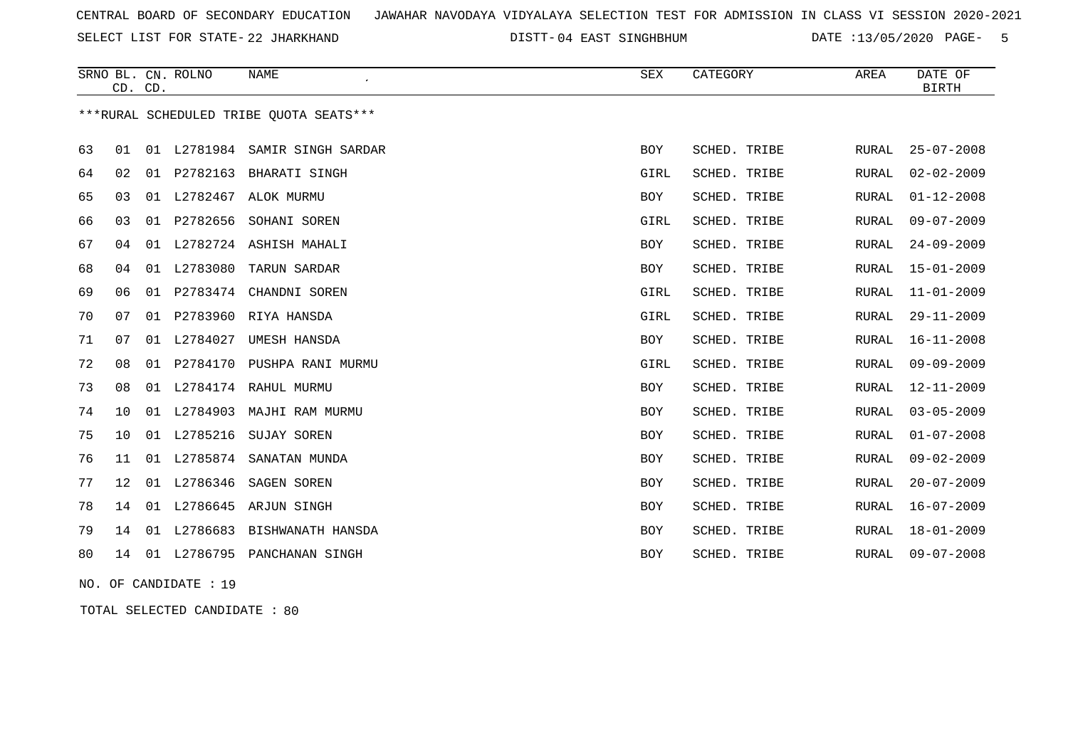SELECT LIST FOR STATE- DISTT- 22 JHARKHAND

DISTT-04 EAST SINGHBHUM DATE :13/05/2020 PAGE- 5

|    | CD. CD. |    | SRNO BL. CN. ROLNO | <b>NAME</b>                             | SEX        | CATEGORY     | AREA         | DATE OF<br><b>BIRTH</b> |
|----|---------|----|--------------------|-----------------------------------------|------------|--------------|--------------|-------------------------|
|    |         |    |                    | ***RURAL SCHEDULED TRIBE QUOTA SEATS*** |            |              |              |                         |
| 63 | 01      | 01 | L2781984           | SAMIR SINGH SARDAR                      | <b>BOY</b> | SCHED. TRIBE | RURAL        | $25 - 07 - 2008$        |
| 64 | 02      | 01 | P2782163           | BHARATI SINGH                           | GIRL       | SCHED. TRIBE | RURAL        | $02 - 02 - 2009$        |
| 65 | 03      |    |                    | 01 L2782467 ALOK MURMU                  | <b>BOY</b> | SCHED. TRIBE | <b>RURAL</b> | $01 - 12 - 2008$        |
| 66 | 03      | 01 | P2782656           | SOHANI SOREN                            | GIRL       | SCHED. TRIBE | RURAL        | $09 - 07 - 2009$        |
| 67 | 04      | 01 |                    | L2782724 ASHISH MAHALI                  | BOY        | SCHED. TRIBE | RURAL        | $24 - 09 - 2009$        |
| 68 | 04      |    | 01 L2783080        | TARUN SARDAR                            | BOY        | SCHED. TRIBE | RURAL        | $15 - 01 - 2009$        |
| 69 | 06      |    |                    | 01 P2783474 CHANDNI SOREN               | GIRL       | SCHED. TRIBE | <b>RURAL</b> | $11 - 01 - 2009$        |
| 70 | 07      |    | 01 P2783960        | RIYA HANSDA                             | GIRL       | SCHED. TRIBE | RURAL        | $29 - 11 - 2009$        |
| 71 | 07      |    | 01 L2784027        | UMESH HANSDA                            | <b>BOY</b> | SCHED. TRIBE | RURAL        | $16 - 11 - 2008$        |
| 72 | 08      | 01 |                    | P2784170 PUSHPA RANI MURMU              | GIRL       | SCHED. TRIBE | RURAL        | $09 - 09 - 2009$        |
| 73 | 08      |    |                    | 01 L2784174 RAHUL MURMU                 | <b>BOY</b> | SCHED. TRIBE | RURAL        | $12 - 11 - 2009$        |
| 74 | 10      | 01 | L2784903           | MAJHI RAM MURMU                         | <b>BOY</b> | SCHED. TRIBE | <b>RURAL</b> | $03 - 05 - 2009$        |
| 75 | 10      |    | 01 L2785216        | SUJAY SOREN                             | BOY        | SCHED. TRIBE | RURAL        | $01 - 07 - 2008$        |
| 76 | 11      |    | 01 L2785874        | SANATAN MUNDA                           | <b>BOY</b> | SCHED. TRIBE | RURAL        | $09 - 02 - 2009$        |
| 77 | 12      |    | 01 L2786346        | SAGEN SOREN                             | <b>BOY</b> | SCHED. TRIBE | RURAL        | $20 - 07 - 2009$        |
| 78 | 14      | 01 |                    | L2786645 ARJUN SINGH                    | <b>BOY</b> | SCHED. TRIBE | <b>RURAL</b> | $16 - 07 - 2009$        |
| 79 | 14      | 01 | L2786683           | BISHWANATH HANSDA                       | BOY        | SCHED. TRIBE | RURAL        | $18 - 01 - 2009$        |
| 80 | 14      |    |                    | 01 L2786795 PANCHANAN SINGH             | <b>BOY</b> | SCHED. TRIBE | RURAL        | $09 - 07 - 2008$        |

NO. OF CANDIDATE : 19

TOTAL SELECTED CANDIDATE : 80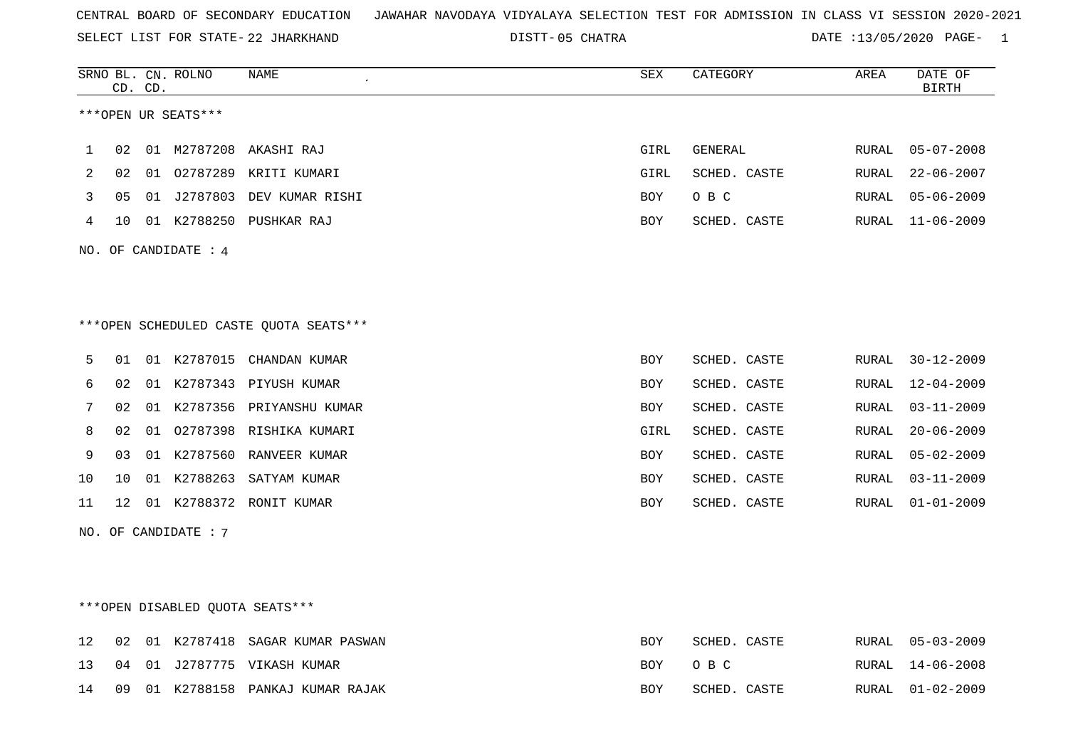SELECT LIST FOR STATE- DISTT- 22 JHARKHAND

05 CHATRA DATE :13/05/2020 PAGE- 1

|     | CD. CD. |    | SRNO BL. CN. ROLNO   | NAME<br>$\lambda$                                                   | ${\tt SEX}$ | CATEGORY     | AREA  | DATE OF<br><b>BIRTH</b> |
|-----|---------|----|----------------------|---------------------------------------------------------------------|-------------|--------------|-------|-------------------------|
|     |         |    | ***OPEN UR SEATS***  |                                                                     |             |              |       |                         |
| 1   | 02      |    |                      | 01 M2787208 AKASHI RAJ                                              | GIRL        | GENERAL      | RURAL | $05 - 07 - 2008$        |
| 2   | 02      | 01 | 02787289             | KRITI KUMARI                                                        | GIRL        | SCHED. CASTE | RURAL | $22 - 06 - 2007$        |
| 3   | 05      | 01 |                      | J2787803 DEV KUMAR RISHI                                            | BOY         | O B C        | RURAL | $05 - 06 - 2009$        |
| 4   | 10      |    |                      | 01 K2788250 PUSHKAR RAJ                                             | BOY         | SCHED. CASTE | RURAL | $11 - 06 - 2009$        |
| NO. |         |    | OF CANDIDATE : 4     |                                                                     |             |              |       |                         |
| 5   | 01      |    |                      | ***OPEN SCHEDULED CASTE QUOTA SEATS***<br>01 K2787015 CHANDAN KUMAR | BOY         | SCHED. CASTE | RURAL | $30 - 12 - 2009$        |
| 6   | 02      | 01 |                      | K2787343 PIYUSH KUMAR                                               | BOY         | SCHED. CASTE | RURAL | $12 - 04 - 2009$        |
| 7   | 02      | 01 |                      | K2787356 PRIYANSHU KUMAR                                            | BOY         | SCHED. CASTE | RURAL | $03 - 11 - 2009$        |
| 8   | 02      | 01 |                      | 02787398 RISHIKA KUMARI                                             | GIRL        | SCHED. CASTE | RURAL | $20 - 06 - 2009$        |
| 9   | 03      | 01 | K2787560             | RANVEER KUMAR                                                       | <b>BOY</b>  | SCHED. CASTE | RURAL | $05 - 02 - 2009$        |
| 10  | 10      |    |                      | 01 K2788263 SATYAM KUMAR                                            | BOY         | SCHED. CASTE | RURAL | $03 - 11 - 2009$        |
| 11  | 12      |    |                      | 01 K2788372 RONIT KUMAR                                             | <b>BOY</b>  | SCHED. CASTE | RURAL | $01 - 01 - 2009$        |
|     |         |    | NO. OF CANDIDATE : 7 |                                                                     |             |              |       |                         |

## \*\*\*OPEN DISABLED QUOTA SEATS\*\*\*

|  |  | 12 02 01 K2787418 SAGAR KUMAR PASWAN | BOY  | SCHED. CASTE | RURAL 05-03-2009 |
|--|--|--------------------------------------|------|--------------|------------------|
|  |  | 13 04 01 J2787775 VIKASH KUMAR       |      | BOY OBC      | RURAL 14-06-2008 |
|  |  | 14 09 01 K2788158 PANKAJ KUMAR RAJAK | ROY. | SCHED. CASTE | RURAL 01-02-2009 |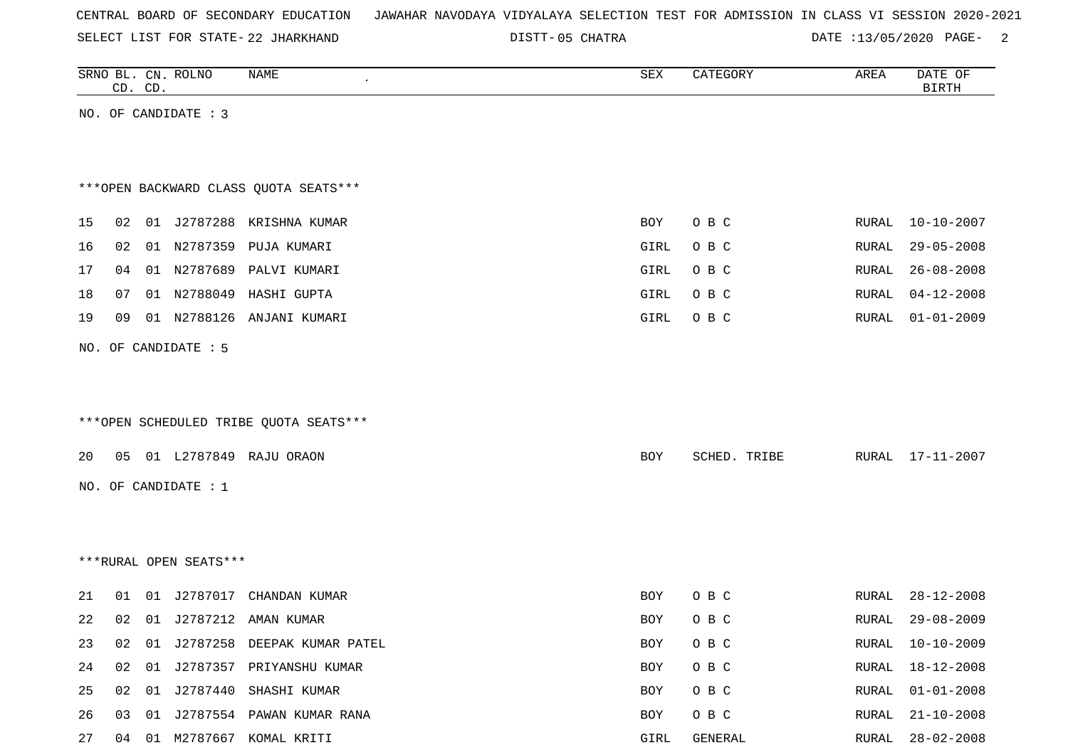|  |  |  | CENTRAL BOARD OF SECONDARY EDUCATION – JAWAHAR NAVODAYA VIDYALAYA SELECTION TEST FOR ADMISSION IN CLASS VI SESSION 2020-2021 |  |  |  |  |  |  |  |  |  |  |  |  |
|--|--|--|------------------------------------------------------------------------------------------------------------------------------|--|--|--|--|--|--|--|--|--|--|--|--|
|--|--|--|------------------------------------------------------------------------------------------------------------------------------|--|--|--|--|--|--|--|--|--|--|--|--|

SELECT LIST FOR STATE- DISTT- 22 JHARKHAND

DISTT-05 CHATRA 2000 DATE :13/05/2020 PAGE-

|    |    | CD. CD. | SRNO BL. CN. ROLNO     | NAME                                   | ${\tt SEX}$ | CATEGORY     | AREA         | DATE OF<br><b>BIRTH</b> |
|----|----|---------|------------------------|----------------------------------------|-------------|--------------|--------------|-------------------------|
|    |    |         | NO. OF CANDIDATE : 3   |                                        |             |              |              |                         |
|    |    |         |                        |                                        |             |              |              |                         |
|    |    |         |                        |                                        |             |              |              |                         |
|    |    |         |                        | *** OPEN BACKWARD CLASS QUOTA SEATS*** |             |              |              |                         |
| 15 | 02 |         |                        | 01 J2787288 KRISHNA KUMAR              | <b>BOY</b>  | O B C        | RURAL        | $10 - 10 - 2007$        |
| 16 | 02 |         | 01 N2787359            | PUJA KUMARI                            | GIRL        | O B C        | RURAL        | $29 - 05 - 2008$        |
| 17 | 04 |         |                        | 01 N2787689 PALVI KUMARI               | GIRL        | O B C        | RURAL        | $26 - 08 - 2008$        |
| 18 | 07 |         |                        | 01 N2788049 HASHI GUPTA                | GIRL        | O B C        | RURAL        | $04 - 12 - 2008$        |
| 19 | 09 |         | 01 N2788126            | ANJANI KUMARI                          | GIRL        | O B C        | RURAL        | $01 - 01 - 2009$        |
|    |    |         | NO. OF CANDIDATE : 5   |                                        |             |              |              |                         |
|    |    |         |                        |                                        |             |              |              |                         |
|    |    |         |                        |                                        |             |              |              |                         |
|    |    |         |                        | ***OPEN SCHEDULED TRIBE QUOTA SEATS*** |             |              |              |                         |
| 20 | 05 |         |                        | 01 L2787849 RAJU ORAON                 | BOY         | SCHED. TRIBE | RURAL        | 17-11-2007              |
|    |    |         |                        |                                        |             |              |              |                         |
|    |    |         | NO. OF CANDIDATE : 1   |                                        |             |              |              |                         |
|    |    |         |                        |                                        |             |              |              |                         |
|    |    |         | ***RURAL OPEN SEATS*** |                                        |             |              |              |                         |
|    |    |         |                        |                                        |             |              |              |                         |
| 21 | 01 |         |                        | 01 J2787017 CHANDAN KUMAR              | BOY         | O B C        | RURAL        | $28 - 12 - 2008$        |
| 22 | 02 |         |                        | 01 J2787212 AMAN KUMAR                 | BOY         | O B C        | RURAL        | $29 - 08 - 2009$        |
| 23 | 02 |         |                        | 01 J2787258 DEEPAK KUMAR PATEL         | BOY         | O B C        | RURAL        | $10 - 10 - 2009$        |
| 24 | 02 | 01      |                        | J2787357 PRIYANSHU KUMAR               | BOY         | O B C        | <b>RURAL</b> | $18 - 12 - 2008$        |
| 25 | 02 |         |                        | 01 J2787440 SHASHI KUMAR               | BOY         | O B C        | RURAL        | $01 - 01 - 2008$        |
| 26 | 03 |         |                        | 01 J2787554 PAWAN KUMAR RANA           | BOY         | O B C        | RURAL        | $21 - 10 - 2008$        |

27 04 01 M2787667 KOMAL KRITI GIRL GENERAL RURAL 28-02-2008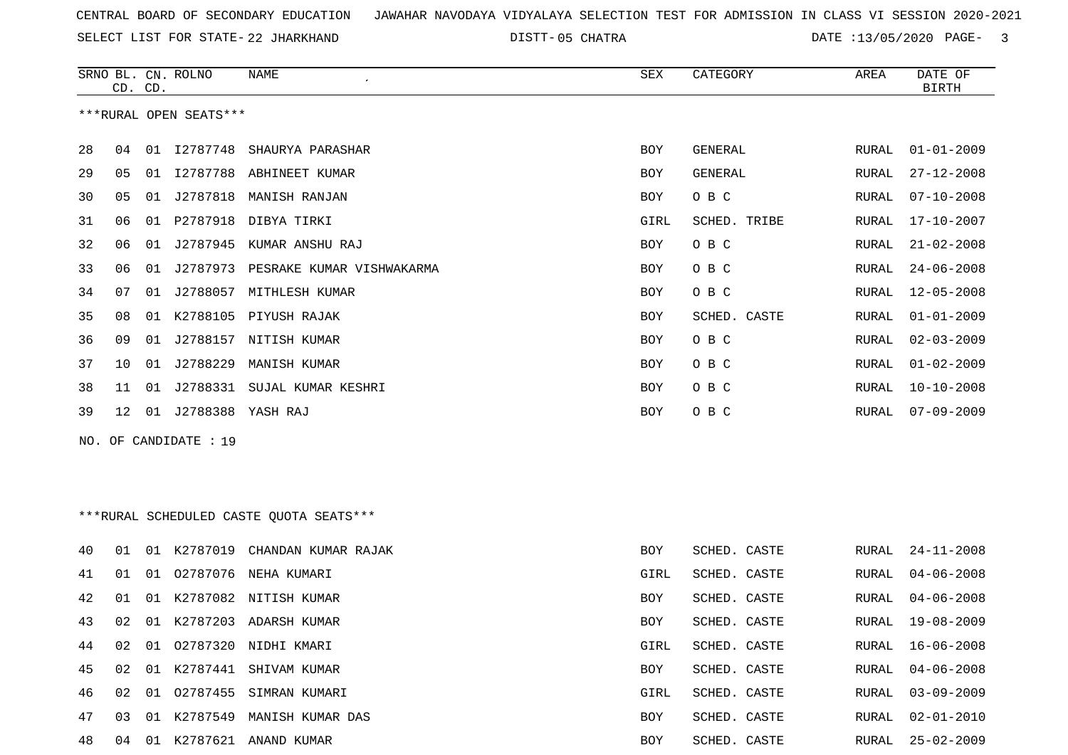SELECT LIST FOR STATE- DISTT- 22 JHARKHAND

05 CHATRA DATE :13/05/2020 PAGE- 3

| ***RURAL OPEN SEATS***<br>28<br>01 I2787748 SHAURYA PARASHAR<br><b>GENERAL</b><br>$01 - 01 - 2009$<br>04<br>BOY<br>RURAL<br>29<br>01 I2787788 ABHINEET KUMAR<br><b>GENERAL</b><br>$27 - 12 - 2008$<br>05<br>BOY<br>RURAL<br>J2787818<br>MANISH RANJAN<br>O B C<br>$07 - 10 - 2008$<br>30<br>05<br>01<br>BOY<br>RURAL<br>31<br>P2787918<br>SCHED. TRIBE<br>$17 - 10 - 2007$<br>06<br>01<br>DIBYA TIRKI<br>GIRL<br>RURAL<br>32<br>J2787945<br>O B C<br>$21 - 02 - 2008$<br>06<br>01<br>KUMAR ANSHU RAJ<br>BOY<br>RURAL<br>33<br>J2787973 PESRAKE KUMAR VISHWAKARMA<br>O B C<br>$24 - 06 - 2008$<br>06<br>01<br>BOY<br>RURAL<br>01 J2788057 MITHLESH KUMAR<br>O B C<br>$12 - 05 - 2008$<br>34<br>07<br><b>BOY</b><br>RURAL<br>35<br>08<br>K2788105 PIYUSH RAJAK<br>SCHED. CASTE<br>$01 - 01 - 2009$<br>01<br>BOY<br>RURAL<br>01 J2788157 NITISH KUMAR<br>O B C<br>$02 - 03 - 2009$<br>36<br>09<br>BOY<br>RURAL<br>01 J2788229<br>37<br>MANISH KUMAR<br>O B C<br>$01 - 02 - 2009$<br>10<br>BOY<br>RURAL<br>38<br>J2788331<br>SUJAL KUMAR KESHRI<br>O B C<br>$10 - 10 - 2008$<br>11<br>01<br>BOY<br>RURAL<br>01 J2788388 YASH RAJ<br>$07 - 09 - 2009$<br>39<br>12<br>BOY<br>O B C<br>RURAL<br>OF CANDIDATE : 19<br>NO.<br>***RURAL SCHEDULED CASTE QUOTA SEATS***<br>01 K2787019 CHANDAN KUMAR RAJAK<br>SCHED. CASTE<br>$24 - 11 - 2008$<br>40<br>BOY<br>RURAL<br>01<br>01<br>02787076<br>NEHA KUMARI<br>SCHED. CASTE<br>$04 - 06 - 2008$<br>41<br>01<br>GIRL<br>RURAL<br>42<br>01 K2787082 NITISH KUMAR<br>SCHED. CASTE<br>$04 - 06 - 2008$<br>01<br>BOY<br>RURAL<br>43<br>01 K2787203 ADARSH KUMAR<br>$19 - 08 - 2009$<br>02<br>BOY<br>SCHED. CASTE<br>RURAL<br>01 02787320 NIDHI KMARI<br>SCHED. CASTE<br>$16 - 06 - 2008$<br>02<br>RURAL<br>44<br>GIRL<br>45<br>01 K2787441 SHIVAM KUMAR<br>$04 - 06 - 2008$<br>02<br>BOY<br>SCHED. CASTE<br>RURAL<br>01 02787455 SIMRAN KUMARI<br>SCHED. CASTE<br>$03 - 09 - 2009$<br>46<br>02<br>GIRL<br>RURAL<br>47<br>01 K2787549 MANISH KUMAR DAS<br>SCHED. CASTE<br>$02 - 01 - 2010$<br>03<br>BOY<br>RURAL<br>04 01 K2787621 ANAND KUMAR<br>$25 - 02 - 2009$<br>48<br>SCHED. CASTE<br>BOY<br>RURAL | CD. CD. | SRNO BL. CN. ROLNO | NAME | SEX | CATEGORY | AREA | DATE OF<br><b>BIRTH</b> |
|-----------------------------------------------------------------------------------------------------------------------------------------------------------------------------------------------------------------------------------------------------------------------------------------------------------------------------------------------------------------------------------------------------------------------------------------------------------------------------------------------------------------------------------------------------------------------------------------------------------------------------------------------------------------------------------------------------------------------------------------------------------------------------------------------------------------------------------------------------------------------------------------------------------------------------------------------------------------------------------------------------------------------------------------------------------------------------------------------------------------------------------------------------------------------------------------------------------------------------------------------------------------------------------------------------------------------------------------------------------------------------------------------------------------------------------------------------------------------------------------------------------------------------------------------------------------------------------------------------------------------------------------------------------------------------------------------------------------------------------------------------------------------------------------------------------------------------------------------------------------------------------------------------------------------------------------------------------------------------------------------------------------------------------------------------------------------------------------------------------------------------------------|---------|--------------------|------|-----|----------|------|-------------------------|
|                                                                                                                                                                                                                                                                                                                                                                                                                                                                                                                                                                                                                                                                                                                                                                                                                                                                                                                                                                                                                                                                                                                                                                                                                                                                                                                                                                                                                                                                                                                                                                                                                                                                                                                                                                                                                                                                                                                                                                                                                                                                                                                                         |         |                    |      |     |          |      |                         |
|                                                                                                                                                                                                                                                                                                                                                                                                                                                                                                                                                                                                                                                                                                                                                                                                                                                                                                                                                                                                                                                                                                                                                                                                                                                                                                                                                                                                                                                                                                                                                                                                                                                                                                                                                                                                                                                                                                                                                                                                                                                                                                                                         |         |                    |      |     |          |      |                         |
|                                                                                                                                                                                                                                                                                                                                                                                                                                                                                                                                                                                                                                                                                                                                                                                                                                                                                                                                                                                                                                                                                                                                                                                                                                                                                                                                                                                                                                                                                                                                                                                                                                                                                                                                                                                                                                                                                                                                                                                                                                                                                                                                         |         |                    |      |     |          |      |                         |
|                                                                                                                                                                                                                                                                                                                                                                                                                                                                                                                                                                                                                                                                                                                                                                                                                                                                                                                                                                                                                                                                                                                                                                                                                                                                                                                                                                                                                                                                                                                                                                                                                                                                                                                                                                                                                                                                                                                                                                                                                                                                                                                                         |         |                    |      |     |          |      |                         |
|                                                                                                                                                                                                                                                                                                                                                                                                                                                                                                                                                                                                                                                                                                                                                                                                                                                                                                                                                                                                                                                                                                                                                                                                                                                                                                                                                                                                                                                                                                                                                                                                                                                                                                                                                                                                                                                                                                                                                                                                                                                                                                                                         |         |                    |      |     |          |      |                         |
|                                                                                                                                                                                                                                                                                                                                                                                                                                                                                                                                                                                                                                                                                                                                                                                                                                                                                                                                                                                                                                                                                                                                                                                                                                                                                                                                                                                                                                                                                                                                                                                                                                                                                                                                                                                                                                                                                                                                                                                                                                                                                                                                         |         |                    |      |     |          |      |                         |
|                                                                                                                                                                                                                                                                                                                                                                                                                                                                                                                                                                                                                                                                                                                                                                                                                                                                                                                                                                                                                                                                                                                                                                                                                                                                                                                                                                                                                                                                                                                                                                                                                                                                                                                                                                                                                                                                                                                                                                                                                                                                                                                                         |         |                    |      |     |          |      |                         |
|                                                                                                                                                                                                                                                                                                                                                                                                                                                                                                                                                                                                                                                                                                                                                                                                                                                                                                                                                                                                                                                                                                                                                                                                                                                                                                                                                                                                                                                                                                                                                                                                                                                                                                                                                                                                                                                                                                                                                                                                                                                                                                                                         |         |                    |      |     |          |      |                         |
|                                                                                                                                                                                                                                                                                                                                                                                                                                                                                                                                                                                                                                                                                                                                                                                                                                                                                                                                                                                                                                                                                                                                                                                                                                                                                                                                                                                                                                                                                                                                                                                                                                                                                                                                                                                                                                                                                                                                                                                                                                                                                                                                         |         |                    |      |     |          |      |                         |
|                                                                                                                                                                                                                                                                                                                                                                                                                                                                                                                                                                                                                                                                                                                                                                                                                                                                                                                                                                                                                                                                                                                                                                                                                                                                                                                                                                                                                                                                                                                                                                                                                                                                                                                                                                                                                                                                                                                                                                                                                                                                                                                                         |         |                    |      |     |          |      |                         |
|                                                                                                                                                                                                                                                                                                                                                                                                                                                                                                                                                                                                                                                                                                                                                                                                                                                                                                                                                                                                                                                                                                                                                                                                                                                                                                                                                                                                                                                                                                                                                                                                                                                                                                                                                                                                                                                                                                                                                                                                                                                                                                                                         |         |                    |      |     |          |      |                         |
|                                                                                                                                                                                                                                                                                                                                                                                                                                                                                                                                                                                                                                                                                                                                                                                                                                                                                                                                                                                                                                                                                                                                                                                                                                                                                                                                                                                                                                                                                                                                                                                                                                                                                                                                                                                                                                                                                                                                                                                                                                                                                                                                         |         |                    |      |     |          |      |                         |
|                                                                                                                                                                                                                                                                                                                                                                                                                                                                                                                                                                                                                                                                                                                                                                                                                                                                                                                                                                                                                                                                                                                                                                                                                                                                                                                                                                                                                                                                                                                                                                                                                                                                                                                                                                                                                                                                                                                                                                                                                                                                                                                                         |         |                    |      |     |          |      |                         |
|                                                                                                                                                                                                                                                                                                                                                                                                                                                                                                                                                                                                                                                                                                                                                                                                                                                                                                                                                                                                                                                                                                                                                                                                                                                                                                                                                                                                                                                                                                                                                                                                                                                                                                                                                                                                                                                                                                                                                                                                                                                                                                                                         |         |                    |      |     |          |      |                         |
|                                                                                                                                                                                                                                                                                                                                                                                                                                                                                                                                                                                                                                                                                                                                                                                                                                                                                                                                                                                                                                                                                                                                                                                                                                                                                                                                                                                                                                                                                                                                                                                                                                                                                                                                                                                                                                                                                                                                                                                                                                                                                                                                         |         |                    |      |     |          |      |                         |
|                                                                                                                                                                                                                                                                                                                                                                                                                                                                                                                                                                                                                                                                                                                                                                                                                                                                                                                                                                                                                                                                                                                                                                                                                                                                                                                                                                                                                                                                                                                                                                                                                                                                                                                                                                                                                                                                                                                                                                                                                                                                                                                                         |         |                    |      |     |          |      |                         |
|                                                                                                                                                                                                                                                                                                                                                                                                                                                                                                                                                                                                                                                                                                                                                                                                                                                                                                                                                                                                                                                                                                                                                                                                                                                                                                                                                                                                                                                                                                                                                                                                                                                                                                                                                                                                                                                                                                                                                                                                                                                                                                                                         |         |                    |      |     |          |      |                         |
|                                                                                                                                                                                                                                                                                                                                                                                                                                                                                                                                                                                                                                                                                                                                                                                                                                                                                                                                                                                                                                                                                                                                                                                                                                                                                                                                                                                                                                                                                                                                                                                                                                                                                                                                                                                                                                                                                                                                                                                                                                                                                                                                         |         |                    |      |     |          |      |                         |
|                                                                                                                                                                                                                                                                                                                                                                                                                                                                                                                                                                                                                                                                                                                                                                                                                                                                                                                                                                                                                                                                                                                                                                                                                                                                                                                                                                                                                                                                                                                                                                                                                                                                                                                                                                                                                                                                                                                                                                                                                                                                                                                                         |         |                    |      |     |          |      |                         |
|                                                                                                                                                                                                                                                                                                                                                                                                                                                                                                                                                                                                                                                                                                                                                                                                                                                                                                                                                                                                                                                                                                                                                                                                                                                                                                                                                                                                                                                                                                                                                                                                                                                                                                                                                                                                                                                                                                                                                                                                                                                                                                                                         |         |                    |      |     |          |      |                         |
|                                                                                                                                                                                                                                                                                                                                                                                                                                                                                                                                                                                                                                                                                                                                                                                                                                                                                                                                                                                                                                                                                                                                                                                                                                                                                                                                                                                                                                                                                                                                                                                                                                                                                                                                                                                                                                                                                                                                                                                                                                                                                                                                         |         |                    |      |     |          |      |                         |
|                                                                                                                                                                                                                                                                                                                                                                                                                                                                                                                                                                                                                                                                                                                                                                                                                                                                                                                                                                                                                                                                                                                                                                                                                                                                                                                                                                                                                                                                                                                                                                                                                                                                                                                                                                                                                                                                                                                                                                                                                                                                                                                                         |         |                    |      |     |          |      |                         |
|                                                                                                                                                                                                                                                                                                                                                                                                                                                                                                                                                                                                                                                                                                                                                                                                                                                                                                                                                                                                                                                                                                                                                                                                                                                                                                                                                                                                                                                                                                                                                                                                                                                                                                                                                                                                                                                                                                                                                                                                                                                                                                                                         |         |                    |      |     |          |      |                         |
|                                                                                                                                                                                                                                                                                                                                                                                                                                                                                                                                                                                                                                                                                                                                                                                                                                                                                                                                                                                                                                                                                                                                                                                                                                                                                                                                                                                                                                                                                                                                                                                                                                                                                                                                                                                                                                                                                                                                                                                                                                                                                                                                         |         |                    |      |     |          |      |                         |
|                                                                                                                                                                                                                                                                                                                                                                                                                                                                                                                                                                                                                                                                                                                                                                                                                                                                                                                                                                                                                                                                                                                                                                                                                                                                                                                                                                                                                                                                                                                                                                                                                                                                                                                                                                                                                                                                                                                                                                                                                                                                                                                                         |         |                    |      |     |          |      |                         |
|                                                                                                                                                                                                                                                                                                                                                                                                                                                                                                                                                                                                                                                                                                                                                                                                                                                                                                                                                                                                                                                                                                                                                                                                                                                                                                                                                                                                                                                                                                                                                                                                                                                                                                                                                                                                                                                                                                                                                                                                                                                                                                                                         |         |                    |      |     |          |      |                         |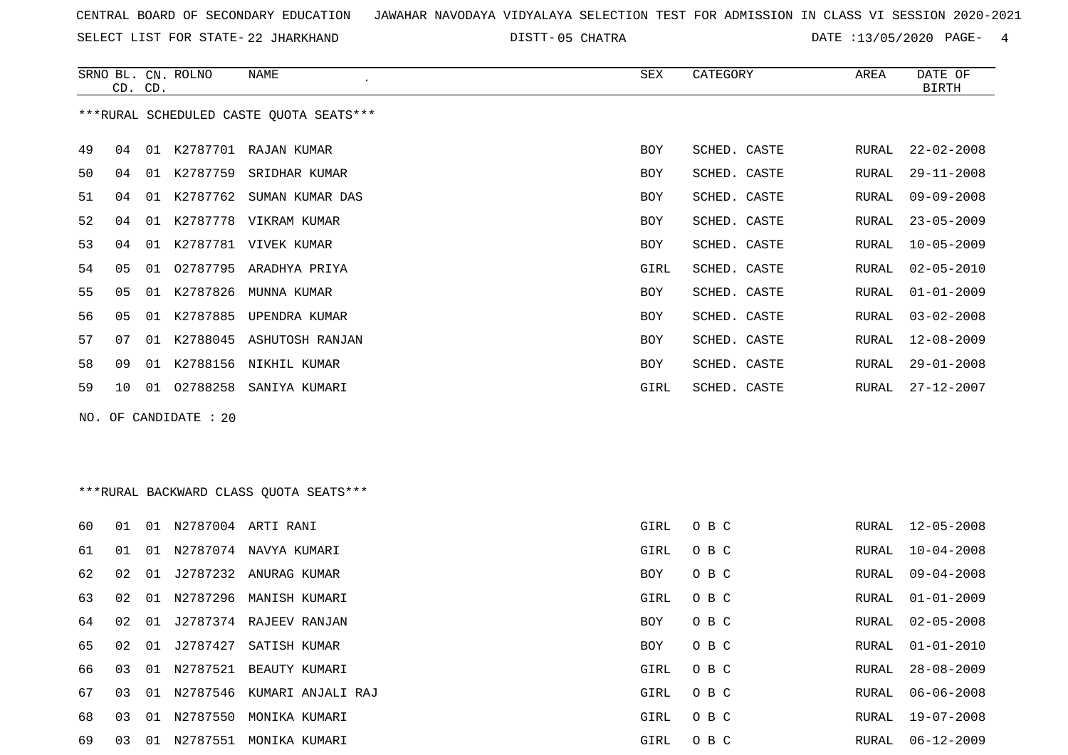SELECT LIST FOR STATE- DISTT- 22 JHARKHAND

05 CHATRA DATE :13/05/2020 PAGE- 4

|    | CD. CD.        |    | SRNO BL. CN. ROLNO      | NAME                                    | SEX        | CATEGORY     | AREA  | DATE OF<br><b>BIRTH</b> |
|----|----------------|----|-------------------------|-----------------------------------------|------------|--------------|-------|-------------------------|
|    |                |    |                         | ***RURAL SCHEDULED CASTE QUOTA SEATS*** |            |              |       |                         |
| 49 | 04             | 01 |                         | K2787701 RAJAN KUMAR                    | <b>BOY</b> | SCHED. CASTE | RURAL | $22 - 02 - 2008$        |
| 50 | 04             |    |                         | 01 K2787759 SRIDHAR KUMAR               | <b>BOY</b> | SCHED. CASTE | RURAL | $29 - 11 - 2008$        |
| 51 | 04             | 01 |                         | K2787762 SUMAN KUMAR DAS                | BOY        | SCHED. CASTE | RURAL | $09 - 09 - 2008$        |
| 52 | 04             |    |                         | 01 K2787778 VIKRAM KUMAR                | <b>BOY</b> | SCHED. CASTE | RURAL | $23 - 05 - 2009$        |
| 53 | 04             | 01 |                         | K2787781 VIVEK KUMAR                    | <b>BOY</b> | SCHED. CASTE | RURAL | $10 - 05 - 2009$        |
| 54 | 05             | 01 |                         | 02787795 ARADHYA PRIYA                  | GIRL       | SCHED. CASTE | RURAL | $02 - 05 - 2010$        |
| 55 | 0 <sub>5</sub> | 01 | K2787826                | MUNNA KUMAR                             | <b>BOY</b> | SCHED. CASTE | RURAL | $01 - 01 - 2009$        |
| 56 | 0 <sub>5</sub> | 01 | K2787885                | UPENDRA KUMAR                           | <b>BOY</b> | SCHED. CASTE | RURAL | $03 - 02 - 2008$        |
| 57 | 07             | 01 |                         | K2788045 ASHUTOSH RANJAN                | <b>BOY</b> | SCHED. CASTE | RURAL | $12 - 08 - 2009$        |
| 58 | 09             | 01 |                         | K2788156 NIKHIL KUMAR                   | <b>BOY</b> | SCHED. CASTE | RURAL | $29 - 01 - 2008$        |
| 59 | 10             |    |                         | 01 02788258 SANIYA KUMARI               | GIRL       | SCHED. CASTE | RURAL | 27-12-2007              |
|    |                |    | NO. OF CANDIDATE : $20$ |                                         |            |              |       |                         |

## \*\*\*RURAL BACKWARD CLASS QUOTA SEATS\*\*\*

| 60  | 01 | 01 | N2787004 | ARTI RANI              | GIRL | O B C | RURAL | 12-05-2008       |
|-----|----|----|----------|------------------------|------|-------|-------|------------------|
| 61  | 01 | 01 | N2787074 | NAVYA KUMARI           | GIRL | O B C | RURAL | 10-04-2008       |
| 62  | 02 | 01 |          | J2787232 ANURAG KUMAR  | BOY  | O B C | RURAL | 09-04-2008       |
| 63  | 02 | 01 | N2787296 | MANISH KUMARI          | GIRL | O B C | RURAL | 01-01-2009       |
| 64  | 02 | 01 |          | J2787374 RAJEEV RANJAN | BOY  | O B C | RURAL | 02-05-2008       |
| 65  | 02 | 01 | J2787427 | SATISH KUMAR           | BOY  | O B C | RURAL | 01-01-2010       |
| 66. | 03 | 01 | N2787521 | BEAUTY KUMARI          | GIRL | O B C | RURAL | $28 - 08 - 2009$ |
| 67  | 03 | 01 | N2787546 | KUMARI ANJALI RAJ      | GIRL | O B C |       | RURAL 06-06-2008 |
| 68  | 03 | 01 | N2787550 | MONIKA KUMARI          | GIRL | O B C | RURAL | 19-07-2008       |
| 69  | 03 | 01 | N2787551 | MONIKA KUMARI          | GIRL | O B C | RURAL | $06 - 12 - 2009$ |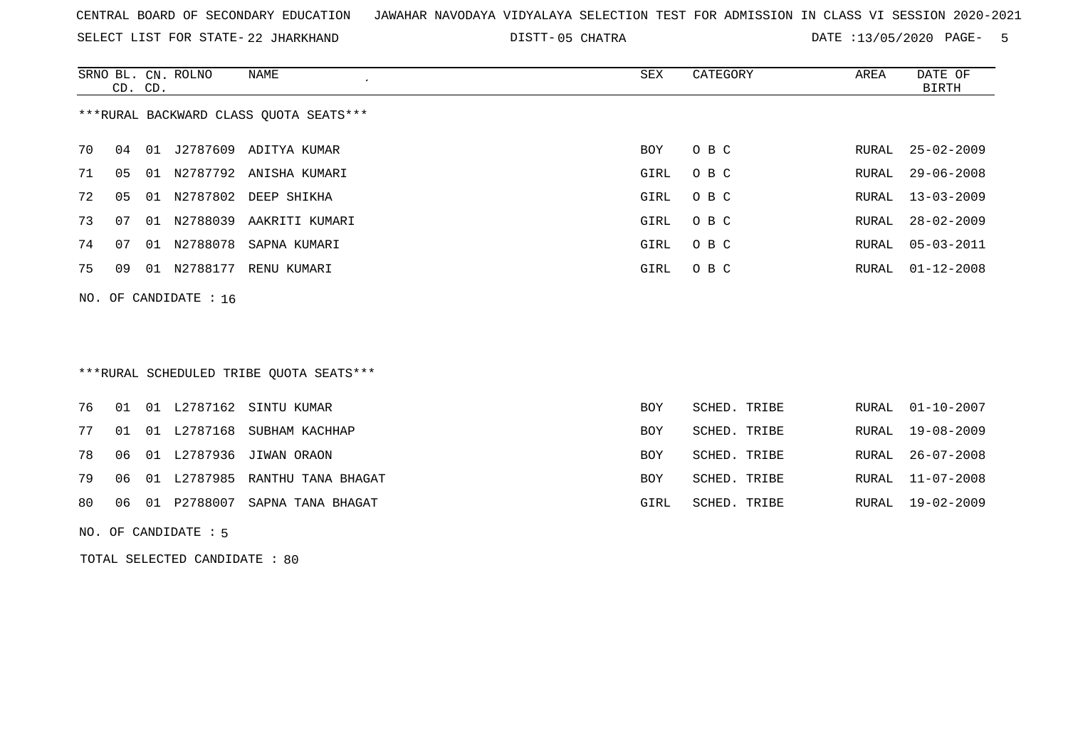SELECT LIST FOR STATE- DISTT- 22 JHARKHAND

05 CHATRA DATE :13/05/2020 PAGE- 5

|    |                                        | CD. CD. | SRNO BL. CN. ROLNO      | NAME                    | SEX  | CATEGORY | AREA  | DATE OF<br>BIRTH |  |  |  |  |  |
|----|----------------------------------------|---------|-------------------------|-------------------------|------|----------|-------|------------------|--|--|--|--|--|
|    | ***RURAL BACKWARD CLASS OUOTA SEATS*** |         |                         |                         |      |          |       |                  |  |  |  |  |  |
| 70 | 04                                     | 01      |                         | J2787609 ADITYA KUMAR   | BOY  | O B C    |       | RURAL 25-02-2009 |  |  |  |  |  |
| 71 | 05                                     | 01      |                         | N2787792 ANISHA KUMARI  | GIRL | O B C    | RURAL | $29 - 06 - 2008$ |  |  |  |  |  |
| 72 | 05                                     |         |                         | 01 N2787802 DEEP SHIKHA | GIRL | O B C    |       | RURAL 13-03-2009 |  |  |  |  |  |
| 73 | 07                                     | 01      | N2788039                | AAKRITI KUMARI          | GIRL | O B C    |       | RURAL 28-02-2009 |  |  |  |  |  |
| 74 | 07                                     |         | 01 N2788078             | SAPNA KUMARI            | GIRL | O B C    | RURAL | $05 - 03 - 2011$ |  |  |  |  |  |
| 75 | 09                                     |         | 01 N2788177             | RENU KUMARI             | GIRL | O B C    |       | RURAL 01-12-2008 |  |  |  |  |  |
|    |                                        |         | NO. OF CANDIDATE : $16$ |                         |      |          |       |                  |  |  |  |  |  |

## \*\*\*RURAL SCHEDULED TRIBE QUOTA SEATS\*\*\*

|  |  | 76 01 01 L2787162 SINTU KUMAR               | <b>BOY</b> | SCHED. TRIBE |  | RURAL 01-10-2007 |
|--|--|---------------------------------------------|------------|--------------|--|------------------|
|  |  | 77 01 01 L2787168 SUBHAM KACHHAP            | BOY        | SCHED. TRIBE |  | RURAL 19-08-2009 |
|  |  | 78  06  01  L2787936  JIWAN  ORAON          | <b>BOY</b> | SCHED. TRIBE |  | RURAL 26-07-2008 |
|  |  | 79 06 01 L2787985 RANTHU TANA BHAGAT        | <b>BOY</b> | SCHED. TRIBE |  | RURAL 11-07-2008 |
|  |  | 80   06   01   P2788007   SAPNA TANA BHAGAT | GIRL       | SCHED. TRIBE |  | RURAL 19-02-2009 |

NO. OF CANDIDATE : 5

TOTAL SELECTED CANDIDATE : 80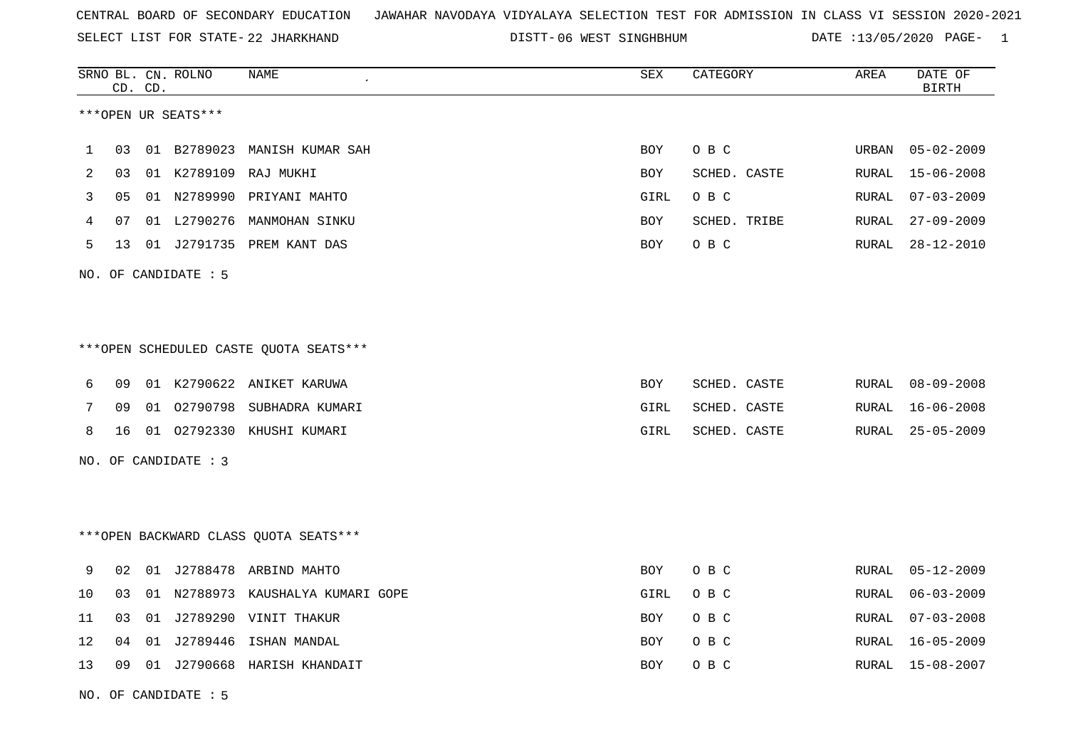SELECT LIST FOR STATE- DISTT- 22 JHARKHAND

DISTT-06 WEST SINGHBHUM **DATE** :13/05/2020 PAGE- 1

|    | CD. CD. |    | SRNO BL. CN. ROLNO   | <b>NAME</b>                             | ${\tt SEX}$ | CATEGORY     | AREA  | DATE OF<br><b>BIRTH</b> |
|----|---------|----|----------------------|-----------------------------------------|-------------|--------------|-------|-------------------------|
|    |         |    | ***OPEN UR SEATS***  |                                         |             |              |       |                         |
| 1  | 03      |    | 01 B2789023          | MANISH KUMAR SAH                        | BOY         | O B C        | URBAN | $05 - 02 - 2009$        |
| 2  | 03      |    |                      | 01 K2789109 RAJ MUKHI                   | BOY         | SCHED. CASTE | RURAL | $15 - 06 - 2008$        |
| 3  | 05      |    |                      | 01 N2789990 PRIYANI MAHTO               | GIRL        | O B C        | RURAL | $07 - 03 - 2009$        |
| 4  | 07      |    |                      | 01 L2790276 MANMOHAN SINKU              | BOY         | SCHED. TRIBE | RURAL | $27 - 09 - 2009$        |
| 5  | 13      |    |                      | 01 J2791735 PREM KANT DAS               | BOY         | O B C        | RURAL | $28 - 12 - 2010$        |
|    |         |    | NO. OF CANDIDATE : 5 |                                         |             |              |       |                         |
|    |         |    |                      |                                         |             |              |       |                         |
|    |         |    |                      | *** OPEN SCHEDULED CASTE QUOTA SEATS*** |             |              |       |                         |
| 6  | 09      |    |                      | 01 K2790622 ANIKET KARUWA               | <b>BOY</b>  | SCHED. CASTE | RURAL | $08 - 09 - 2008$        |
| 7  | 09      | 01 |                      | 02790798 SUBHADRA KUMARI                | GIRL        | SCHED. CASTE | RURAL | $16 - 06 - 2008$        |
| 8  | 16      |    |                      | 01 02792330 KHUSHI KUMARI               | GIRL        | SCHED. CASTE | RURAL | $25 - 05 - 2009$        |
|    |         |    | NO. OF CANDIDATE : 3 |                                         |             |              |       |                         |
|    |         |    |                      |                                         |             |              |       |                         |
|    |         |    |                      | *** OPEN BACKWARD CLASS QUOTA SEATS***  |             |              |       |                         |
| 9  | 02      |    |                      | 01 J2788478 ARBIND MAHTO                | BOY         | O B C        | RURAL | $05 - 12 - 2009$        |
| 10 | 03      | 01 |                      | N2788973 KAUSHALYA KUMARI GOPE          | GIRL        | O B C        | RURAL | $06 - 03 - 2009$        |
| 11 | 03      |    |                      | 01 J2789290 VINIT THAKUR                | BOY         | O B C        | RURAL | $07 - 03 - 2008$        |
| 12 | 04      | 01 | J2789446             | ISHAN MANDAL                            | BOY         | O B C        | RURAL | $16 - 05 - 2009$        |
| 13 | 09      |    |                      | 01 J2790668 HARISH KHANDAIT             | BOY         | O B C        | RURAL | 15-08-2007              |
|    |         |    |                      |                                         |             |              |       |                         |

NO. OF CANDIDATE : 5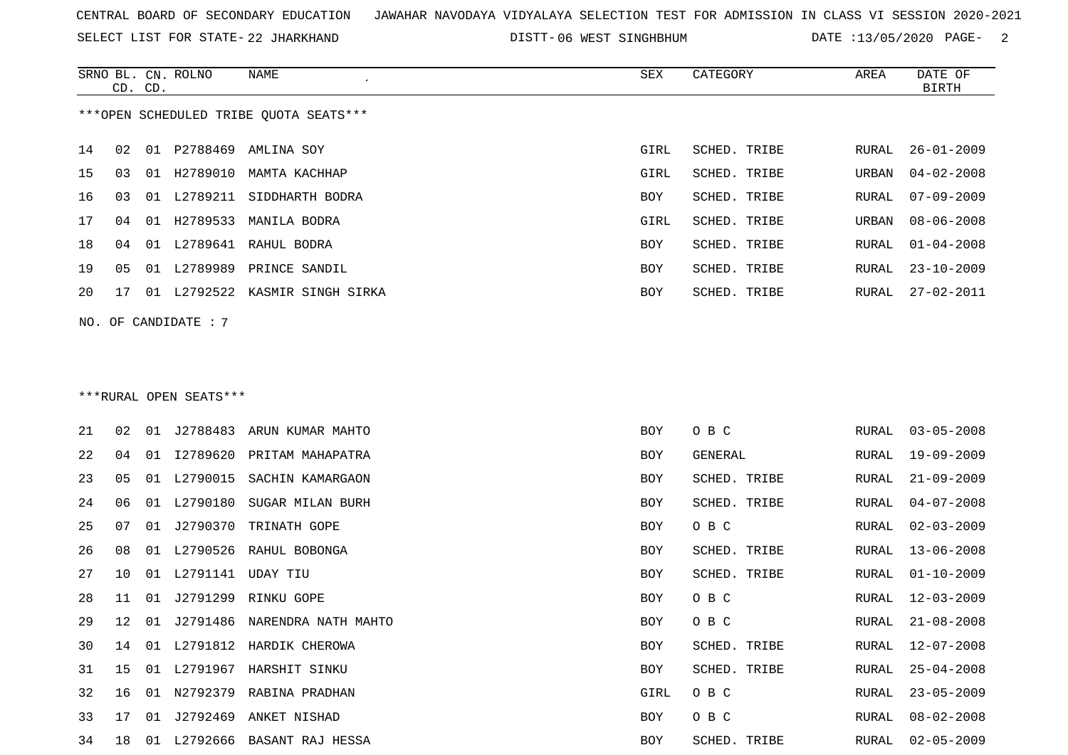SELECT LIST FOR STATE- DISTT- 22 JHARKHAND

DISTT-06 WEST SINGHBHUM DATE :13/05/2020 PAGE- 2

|    | CD. | CD. | SRNO BL. CN. ROLNO     | <b>NAME</b>                            | ${\tt SEX}$ | CATEGORY     | AREA  | DATE OF<br>BIRTH |
|----|-----|-----|------------------------|----------------------------------------|-------------|--------------|-------|------------------|
|    |     |     |                        | ***OPEN SCHEDULED TRIBE QUOTA SEATS*** |             |              |       |                  |
| 14 | 02  |     |                        | 01 P2788469 AMLINA SOY                 | GIRL        | SCHED. TRIBE | RURAL | $26 - 01 - 2009$ |
| 15 | 03  |     |                        | 01 H2789010 MAMTA KACHHAP              | GIRL        | SCHED. TRIBE | URBAN | $04 - 02 - 2008$ |
| 16 | 03  |     |                        | 01 L2789211 SIDDHARTH BODRA            | BOY         | SCHED. TRIBE | RURAL | $07 - 09 - 2009$ |
| 17 | 04  |     |                        | 01 H2789533 MANILA BODRA               | GIRL        | SCHED. TRIBE | URBAN | $08 - 06 - 2008$ |
| 18 | 04  |     |                        | 01 L2789641 RAHUL BODRA                | BOY         | SCHED. TRIBE | RURAL | $01 - 04 - 2008$ |
| 19 | 05  |     |                        | 01 L2789989 PRINCE SANDIL              | BOY         | SCHED. TRIBE | RURAL | $23 - 10 - 2009$ |
| 20 | 17  |     |                        | 01 L2792522 KASMIR SINGH SIRKA         | BOY         | SCHED. TRIBE | RURAL | $27 - 02 - 2011$ |
|    |     |     | NO. OF CANDIDATE : 7   |                                        |             |              |       |                  |
|    |     |     |                        |                                        |             |              |       |                  |
|    |     |     |                        |                                        |             |              |       |                  |
|    |     |     | ***RURAL OPEN SEATS*** |                                        |             |              |       |                  |
| 21 | 02  |     |                        | 01 J2788483 ARUN KUMAR MAHTO           | BOY         | O B C        | RURAL | $03 - 05 - 2008$ |
| 22 | 04  |     | 01 12789620            | PRITAM MAHAPATRA                       | <b>BOY</b>  | GENERAL      | RURAL | $19 - 09 - 2009$ |
| 23 | 05  |     | 01 L2790015            | SACHIN KAMARGAON                       | BOY         | SCHED. TRIBE | RURAL | $21 - 09 - 2009$ |
| 24 | 06  |     | 01 L2790180            | SUGAR MILAN BURH                       | BOY         | SCHED. TRIBE | RURAL | $04 - 07 - 2008$ |
| 25 | 07  |     | 01 J2790370            | TRINATH GOPE                           | BOY         | O B C        | RURAL | $02 - 03 - 2009$ |
| 26 | 08  |     |                        | 01 L2790526 RAHUL BOBONGA              | <b>BOY</b>  | SCHED. TRIBE | RURAL | $13 - 06 - 2008$ |
| 27 | 10  |     | 01 L2791141 UDAY TIU   |                                        | <b>BOY</b>  | SCHED. TRIBE | RURAL | $01 - 10 - 2009$ |
| 28 | 11  |     |                        | 01 J2791299 RINKU GOPE                 | BOY         | O B C        | RURAL | $12 - 03 - 2009$ |
| 29 | 12  |     |                        | 01 J2791486 NARENDRA NATH MAHTO        | BOY         | O B C        | RURAL | $21 - 08 - 2008$ |
| 30 | 14  | 01  |                        | L2791812 HARDIK CHEROWA                | BOY         | SCHED. TRIBE | RURAL | $12 - 07 - 2008$ |
| 31 | 15  |     |                        | 01 L2791967 HARSHIT SINKU              | BOY         | SCHED. TRIBE | RURAL | $25 - 04 - 2008$ |
| 32 | 16  |     |                        | 01 N2792379 RABINA PRADHAN             | GIRL        | O B C        | RURAL | $23 - 05 - 2009$ |
| 33 | 17  |     |                        | 01 J2792469 ANKET NISHAD               | BOY         | O B C        | RURAL | $08 - 02 - 2008$ |

18 01 L2792666 BASANT RAJ HESSA BOY SCHED. TRIBE RURAL 02-05-2009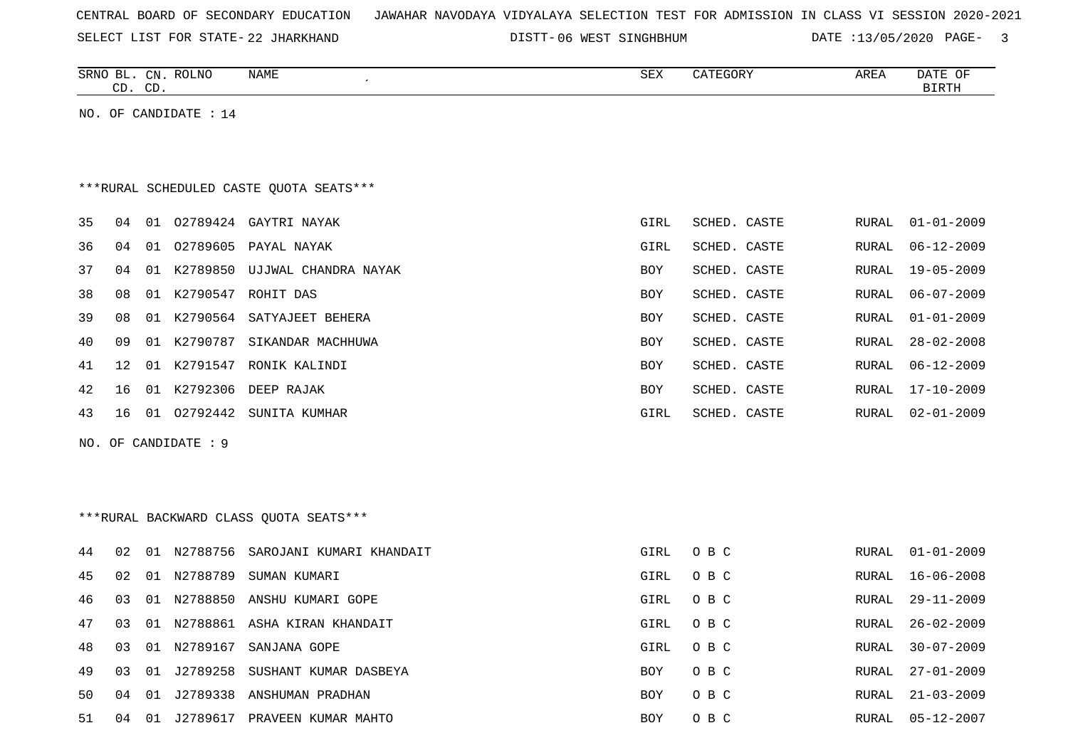| CENTRAL BOARD OF SECONDARY EDUCATION – JAWAHAR NAVODAYA VIDYALAYA SELECTION TEST FOR ADMISSION IN CLASS VI SESSION 2020-2021 |  |  |  |  |  |  |  |  |
|------------------------------------------------------------------------------------------------------------------------------|--|--|--|--|--|--|--|--|
|------------------------------------------------------------------------------------------------------------------------------|--|--|--|--|--|--|--|--|

SELECT LIST FOR STATE- DISTT- 22 JHARKHAND

DISTT-06 WEST SINGHBHUM DATE :13/05/2020 PAGE- 3

|    | CD. CD. | SRNO BL. CN. ROLNO    | NAME                                    | <b>SEX</b> | CATEGORY     | AREA         | DATE OF<br><b>BIRTH</b> |
|----|---------|-----------------------|-----------------------------------------|------------|--------------|--------------|-------------------------|
|    |         | NO. OF CANDIDATE : 14 |                                         |            |              |              |                         |
|    |         |                       |                                         |            |              |              |                         |
|    |         |                       |                                         |            |              |              |                         |
|    |         |                       | ***RURAL SCHEDULED CASTE QUOTA SEATS*** |            |              |              |                         |
| 35 | 04      |                       | 01 02789424 GAYTRI NAYAK                | GIRL       | SCHED. CASTE | RURAL        | $01 - 01 - 2009$        |
| 36 | 04      |                       | 01 02789605 PAYAL NAYAK                 | GIRL       | SCHED. CASTE | <b>RURAL</b> | $06 - 12 - 2009$        |
| 37 | 04      |                       | 01 K2789850 UJJWAL CHANDRA NAYAK        | BOY        | SCHED. CASTE | RURAL        | $19 - 05 - 2009$        |
| 38 | 08      |                       | 01 K2790547 ROHIT DAS                   | BOY        | SCHED. CASTE | RURAL        | $06 - 07 - 2009$        |
| 39 | 08      |                       | 01 K2790564 SATYAJEET BEHERA            | BOY        | SCHED. CASTE | RURAL        | $01 - 01 - 2009$        |
| 40 | 09      |                       | 01 K2790787 SIKANDAR MACHHUWA           | BOY        | SCHED. CASTE | RURAL        | $28 - 02 - 2008$        |
| 41 | 12      |                       | 01 K2791547 RONIK KALINDI               | <b>BOY</b> | SCHED. CASTE | RURAL        | $06 - 12 - 2009$        |
| 42 | 16      |                       | 01 K2792306 DEEP RAJAK                  | BOY        | SCHED. CASTE | RURAL        | $17 - 10 - 2009$        |
| 43 | 16      |                       | 01 02792442 SUNITA KUMHAR               | GIRL       | SCHED. CASTE | RURAL        | $02 - 01 - 2009$        |
|    |         | NO. OF CANDIDATE : 9  |                                         |            |              |              |                         |
|    |         |                       |                                         |            |              |              |                         |
|    |         |                       |                                         |            |              |              |                         |
|    |         |                       | ***RURAL BACKWARD CLASS QUOTA SEATS***  |            |              |              |                         |
| 44 | 02      |                       | 01 N2788756 SAROJANI KUMARI KHANDAIT    | GIRL       | O B C        | RURAL        | $01 - 01 - 2009$        |
| 45 | 02      | 01 N2788789           | SUMAN KUMARI                            | GIRL       | O B C        | RURAL        | $16 - 06 - 2008$        |
| 46 | 03      |                       | 01 N2788850 ANSHU KUMARI GOPE           | GIRL       | O B C        | RURAL        | $29 - 11 - 2009$        |
| 47 | 03      |                       | 01 N2788861 ASHA KIRAN KHANDAIT         | GIRL       | O B C        | <b>RURAL</b> | $26 - 02 - 2009$        |
| 48 | 03      | 01 N2789167           | SANJANA GOPE                            | GIRL       | O B C        | RURAL        | $30 - 07 - 2009$        |
| 49 | 03      |                       | 01 J2789258 SUSHANT KUMAR DASBEYA       | BOY        | O B C        | RURAL        | $27 - 01 - 2009$        |
| 50 | 04      |                       | 01 J2789338 ANSHUMAN PRADHAN            | <b>BOY</b> | O B C        | RURAL        | $21 - 03 - 2009$        |
| 51 |         |                       | 04 01 J2789617 PRAVEEN KUMAR MAHTO      | <b>BOY</b> | O B C        | RURAL        | $05 - 12 - 2007$        |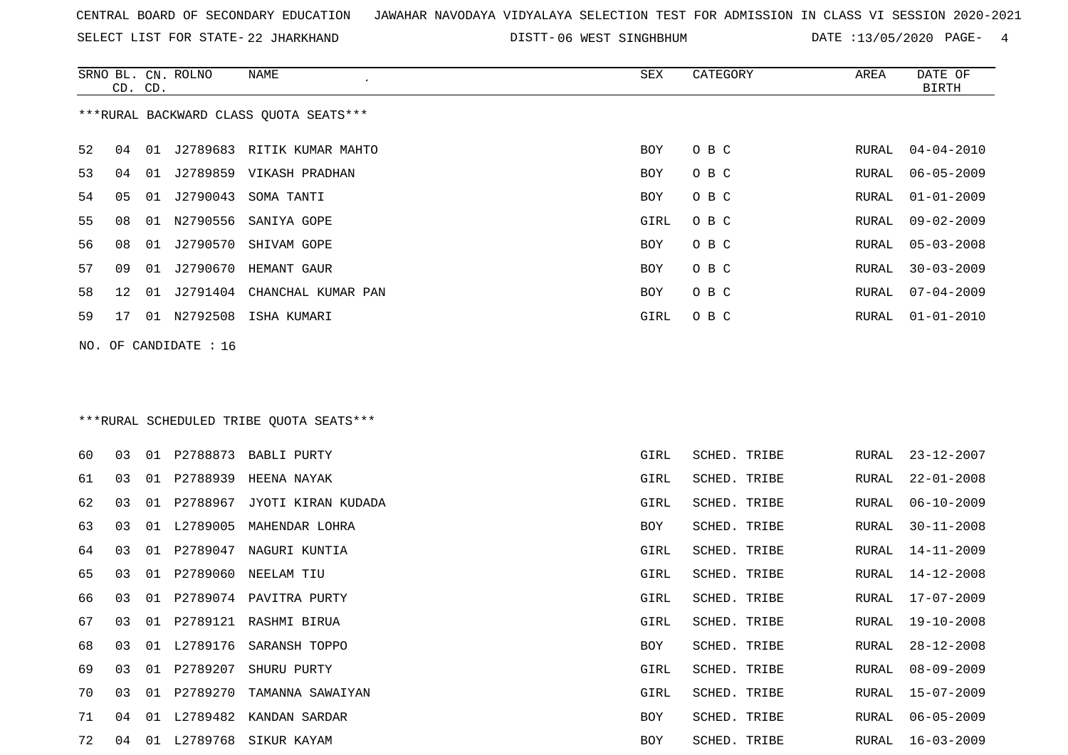SELECT LIST FOR STATE- DISTT- 22 JHARKHAND

DISTT-06 WEST SINGHBHUM DATE :13/05/2020 PAGE- 4

|    | CD. CD.         |    | SRNO BL. CN. ROLNO    | NAME                                    | SEX        | CATEGORY     | AREA  | DATE OF<br><b>BIRTH</b> |
|----|-----------------|----|-----------------------|-----------------------------------------|------------|--------------|-------|-------------------------|
|    |                 |    |                       | ***RURAL BACKWARD CLASS QUOTA SEATS***  |            |              |       |                         |
| 52 | 04              |    |                       | 01 J2789683 RITIK KUMAR MAHTO           | BOY        | O B C        | RURAL | $04 - 04 - 2010$        |
| 53 | 04              |    |                       | 01 J2789859 VIKASH PRADHAN              | <b>BOY</b> | O B C        | RURAL | $06 - 05 - 2009$        |
| 54 | 05              |    | 01 J2790043           | SOMA TANTI                              | <b>BOY</b> | O B C        | RURAL | $01 - 01 - 2009$        |
| 55 | 08              |    |                       | 01 N2790556 SANIYA GOPE                 | GIRL       | O B C        | RURAL | $09 - 02 - 2009$        |
| 56 | 08              |    |                       | 01 J2790570 SHIVAM GOPE                 | <b>BOY</b> | O B C        | RURAL | $05 - 03 - 2008$        |
| 57 | 09              |    |                       | 01 J2790670 HEMANT GAUR                 | BOY        | O B C        | RURAL | $30 - 03 - 2009$        |
| 58 | 12 <sup>°</sup> | 01 |                       | J2791404 CHANCHAL KUMAR PAN             | BOY        | O B C        | RURAL | $07 - 04 - 2009$        |
| 59 | 17              |    |                       | 01 N2792508 ISHA KUMARI                 | GIRL       | O B C        | RURAL | $01 - 01 - 2010$        |
|    |                 |    | NO. OF CANDIDATE : 16 |                                         |            |              |       |                         |
|    |                 |    |                       |                                         |            |              |       |                         |
|    |                 |    |                       |                                         |            |              |       |                         |
|    |                 |    |                       | ***RURAL SCHEDULED TRIBE OUOTA SEATS*** |            |              |       |                         |
| 60 | 03              |    |                       | 01 P2788873 BABLI PURTY                 | GIRL       | SCHED. TRIBE | RURAL | 23-12-2007              |
| 61 | 03              |    |                       | 01 P2788939 HEENA NAYAK                 | GIRL       | SCHED. TRIBE | RURAL | $22 - 01 - 2008$        |
| 62 | 03              |    |                       | 01 P2788967 JYOTI KIRAN KUDADA          | GIRL       | SCHED. TRIBE | RURAL | $06 - 10 - 2009$        |
| 63 | 03              |    | 01 L2789005           | MAHENDAR LOHRA                          | BOY        | SCHED. TRIBE | RURAL | $30 - 11 - 2008$        |
| 64 | 03              |    |                       | 01 P2789047 NAGURI KUNTIA               | GIRL       | SCHED. TRIBE | RURAL | $14 - 11 - 2009$        |
| 65 | 03              |    |                       | 01 P2789060 NEELAM TIU                  | GIRL       | SCHED. TRIBE | RURAL | $14 - 12 - 2008$        |
| 66 | 03              |    |                       | 01 P2789074 PAVITRA PURTY               | GIRL       | SCHED. TRIBE | RURAL | 17-07-2009              |
| 67 | 03              |    |                       | 01 P2789121 RASHMI BIRUA                | GIRL       | SCHED. TRIBE | RURAL | 19-10-2008              |
| 68 | 03              |    |                       | 01 L2789176 SARANSH TOPPO               | BOY        | SCHED. TRIBE | RURAL | $28 - 12 - 2008$        |
| 69 | 03              |    |                       | 01 P2789207 SHURU PURTY                 | GIRL       | SCHED. TRIBE | RURAL | $08 - 09 - 2009$        |

04 01 L2789768 SIKUR KAYAM BOY SCHED. TRIBE RURAL 16-03-2009

 03 01 P2789270 TAMANNA SAWAIYAN GIRL SCHED. TRIBE RURAL 15-07-2009 04 01 L2789482 KANDAN SARDAR BOY SCHED. TRIBE RURAL 06-05-2009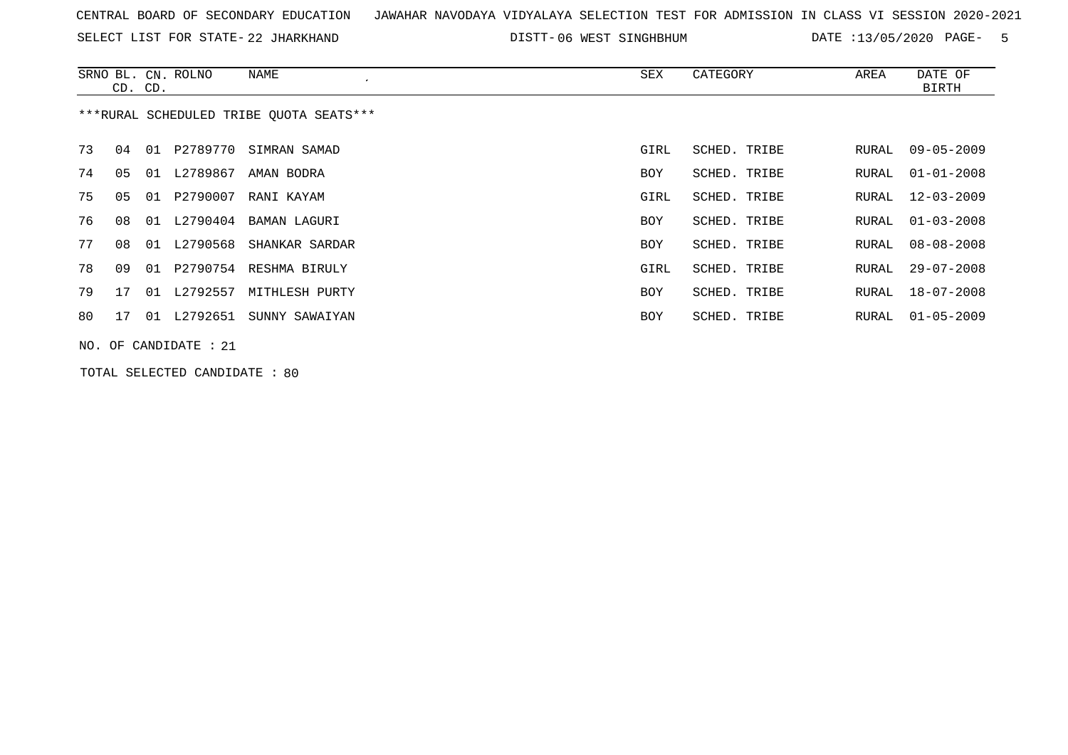| CENTRAL BOARD OF SECONDARY EDUCATION – JAWAHAR NAVODAYA VIDYALAYA SELECTION TEST FOR ADMISSION IN CLASS VI SESSION 2020-2021 |  |  |  |  |  |
|------------------------------------------------------------------------------------------------------------------------------|--|--|--|--|--|
|------------------------------------------------------------------------------------------------------------------------------|--|--|--|--|--|

SELECT LIST FOR STATE- DISTT- 22 JHARKHAND 06 WEST SINGHBHUM DATE :13/05/2020 PAGE- 5

|    | CD. CD. | SRNO BL. CN. ROLNO   | NAME                                    | SEX        | CATEGORY     | AREA  | DATE OF<br><b>BIRTH</b> |
|----|---------|----------------------|-----------------------------------------|------------|--------------|-------|-------------------------|
|    |         |                      | ***RURAL SCHEDULED TRIBE OUOTA SEATS*** |            |              |       |                         |
| 73 | 04      |                      | 01 P2789770 SIMRAN SAMAD                | GIRL       | SCHED. TRIBE | RURAL | 09-05-2009              |
| 74 | 05      | 01 L2789867          | AMAN BODRA                              | BOY        | SCHED. TRIBE | RURAL | $01 - 01 - 2008$        |
| 75 | 05      | 01 P2790007          | RANI KAYAM                              | GIRL       | SCHED. TRIBE | RURAL | $12 - 03 - 2009$        |
| 76 | 08      |                      | 01 L2790404 BAMAN LAGURI                | BOY        | SCHED. TRIBE | RURAL | $01 - 03 - 2008$        |
| 77 | 08      |                      | 01 L2790568 SHANKAR SARDAR              | BOY        | SCHED. TRIBE | RURAL | 08-08-2008              |
| 78 | 09      |                      | 01 P2790754 RESHMA BIRULY               | GIRL       | SCHED. TRIBE | RURAL | $29 - 07 - 2008$        |
| 79 | 17      | 01 L2792557          | MITHLESH PURTY                          | BOY        | SCHED. TRIBE | RURAL | 18-07-2008              |
| 80 | 17      | 01 L2792651          | SUNNY SAWAIYAN                          | <b>BOY</b> | SCHED. TRIBE | RURAL | $01 - 05 - 2009$        |
|    |         | NO. OF CANDIDATE: 21 |                                         |            |              |       |                         |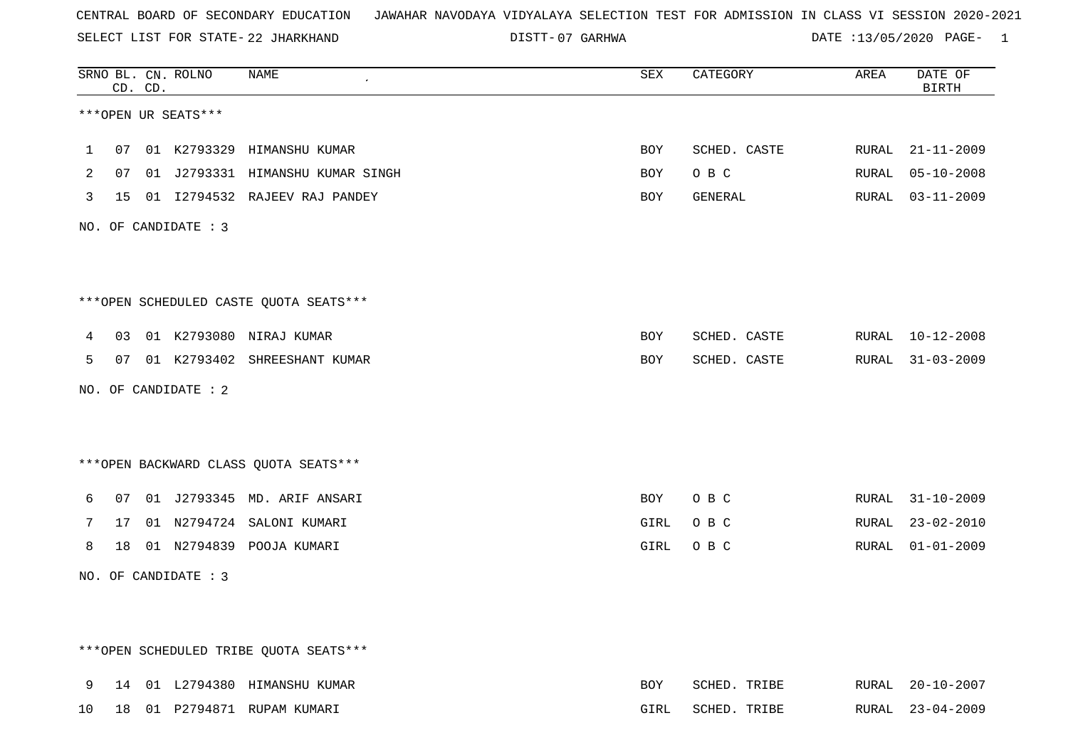SELECT LIST FOR STATE- DISTT- 22 JHARKHAND

07 GARHWA DATE :13/05/2020 PAGE- 1

|   |    | CD. CD. | SRNO BL. CN. ROLNO     | NAME                                   | SEX        | CATEGORY     | AREA  | DATE OF<br><b>BIRTH</b> |
|---|----|---------|------------------------|----------------------------------------|------------|--------------|-------|-------------------------|
|   |    |         | ***OPEN UR SEATS***    |                                        |            |              |       |                         |
| 1 | 07 |         |                        | 01 K2793329 HIMANSHU KUMAR             | <b>BOY</b> | SCHED. CASTE | RURAL | $21 - 11 - 2009$        |
| 2 | 07 |         |                        | 01 J2793331 HIMANSHU KUMAR SINGH       | <b>BOY</b> | O B C        | RURAL | $05 - 10 - 2008$        |
| 3 |    |         |                        | 15 01 I2794532 RAJEEV RAJ PANDEY       | BOY        | GENERAL      | RURAL | $03 - 11 - 2009$        |
|   |    |         | NO. OF CANDIDATE : $3$ |                                        |            |              |       |                         |
|   |    |         |                        |                                        |            |              |       |                         |
|   |    |         |                        | ***OPEN SCHEDULED CASTE QUOTA SEATS*** |            |              |       |                         |
| 4 | 03 |         |                        | 01 K2793080 NIRAJ KUMAR                | <b>BOY</b> | SCHED. CASTE | RURAL | $10 - 12 - 2008$        |
| 5 | 07 |         |                        | 01 K2793402 SHREESHANT KUMAR           | <b>BOY</b> | SCHED. CASTE | RURAL | $31 - 03 - 2009$        |
|   |    |         | NO. OF CANDIDATE : 2   |                                        |            |              |       |                         |
|   |    |         |                        |                                        |            |              |       |                         |
|   |    |         |                        | *** OPEN BACKWARD CLASS QUOTA SEATS*** |            |              |       |                         |
| 6 | 07 |         |                        | 01 J2793345 MD. ARIF ANSARI            | BOY        | O B C        |       | RURAL 31-10-2009        |
| 7 | 17 |         |                        | 01 N2794724 SALONI KUMARI              | GIRL       | O B C        | RURAL | $23 - 02 - 2010$        |
| 8 | 18 |         |                        | 01 N2794839 POOJA KUMARI               | GIRL       | O B C        | RURAL | $01 - 01 - 2009$        |
|   |    |         | NO. OF CANDIDATE : 3   |                                        |            |              |       |                         |
|   |    |         |                        |                                        |            |              |       |                         |
|   |    |         |                        | ***OPEN SCHEDULED TRIBE QUOTA SEATS*** |            |              |       |                         |
| 9 |    |         |                        | 14 01 L2794380 HIMANSHU KUMAR          | <b>BOY</b> | SCHED. TRIBE |       | RURAL 20-10-2007        |
|   |    |         |                        |                                        |            |              |       |                         |

10 18 01 P2794871 RUPAM KUMARI GIRL SCHED. TRIBE RURAL 23-04-2009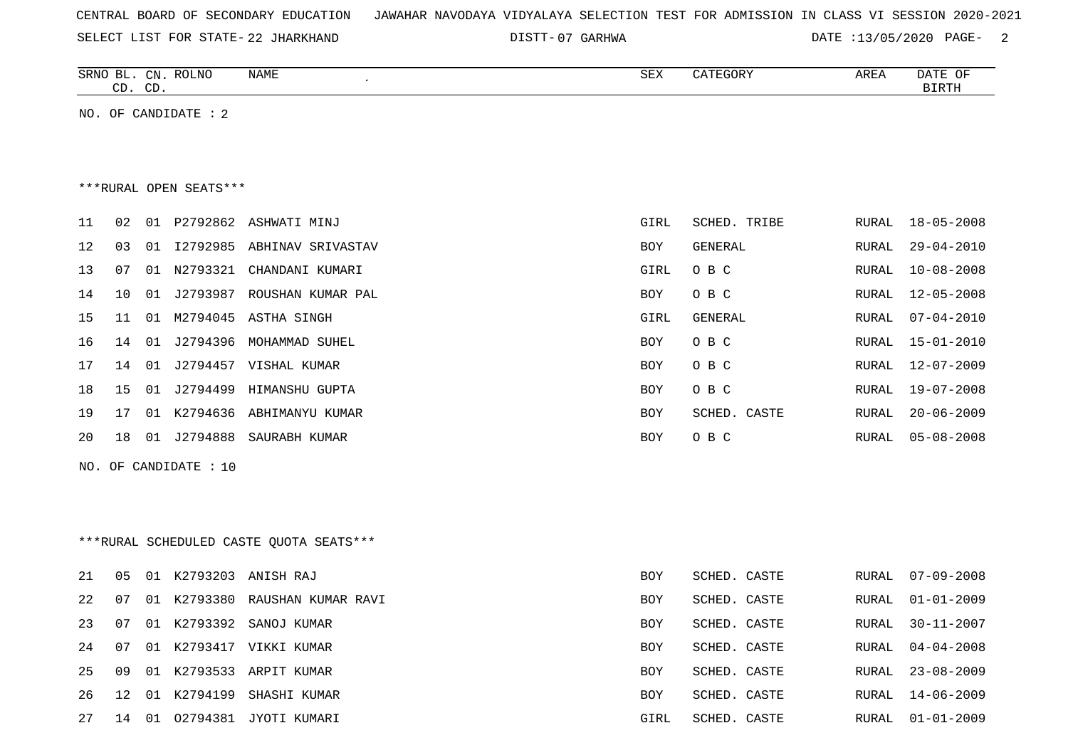| CENTRAL BOARD OF SECONDARY EDUCATION – JAWAHAR NAVODAYA VIDYALAYA SELECTION TEST FOR ADMISSION IN CLASS VI SESSION 2020-2021 |  |  |  |
|------------------------------------------------------------------------------------------------------------------------------|--|--|--|
|------------------------------------------------------------------------------------------------------------------------------|--|--|--|

SELECT LIST FOR STATE- DISTT- 22 JHARKHAND

07 GARHWA DATE :13/05/2020 PAGE- 2

| SRNO<br>ப     | CΝ             | <b>ROLNO</b> | <b>NAME</b> | $\cap$<br>ついひ | $\mathbf{m}\mathbf{a}\mathbf{a}\mathbf{b}$<br>$\sim$ $\sim$ $\sim$<br>$\overline{\phantom{a}}$<br>$\cdot$ $\cdot$ $\cdot$<br>$-200$ | ARE 2 | DATE<br>U.⊢            |
|---------------|----------------|--------------|-------------|---------------|-------------------------------------------------------------------------------------------------------------------------------------|-------|------------------------|
| $\cap$<br>. ب | $\bigcap$<br>ັ |              |             |               |                                                                                                                                     |       | $  -$<br>. ب<br>يتتخبث |

NO. OF CANDIDATE : 2

\*\*\*RURAL OPEN SEATS\*\*\*

| 11              | 02  |    |                | 01 P2792862 ASHWATI MINJ      | GIRL       | SCHED. TRIBE |       | RURAL 18-05-2008 |
|-----------------|-----|----|----------------|-------------------------------|------------|--------------|-------|------------------|
| 12.             | 03  |    |                | 01 I2792985 ABHINAV SRIVASTAV | BOY        | GENERAL      |       | RURAL 29-04-2010 |
| 13 <sup>1</sup> | 07  |    |                | 01 N2793321 CHANDANI KUMARI   | GIRL       | O B C        |       | RURAL 10-08-2008 |
| 14              | 10  |    | 01 J2793987    | ROUSHAN KUMAR PAL             | BOY        | O B C        |       | RURAL 12-05-2008 |
| 15              | -11 |    |                | 01 M2794045 ASTHA SINGH       | GIRL       | GENERAL      | RURAL | 07-04-2010       |
| 16              | 14  | 01 | J2794396       | MOHAMMAD SUHEL                | BOY        | O B C        |       | RURAL 15-01-2010 |
| 17              | 14  |    |                | 01 J2794457 VISHAL KUMAR      | BOY        | O B C        |       | RURAL 12-07-2009 |
| 18              |     |    | 15 01 J2794499 | HIMANSHU GUPTA                | BOY        | O B C        |       | RURAL 19-07-2008 |
| 19              | 17  |    |                | 01 K2794636 ABHIMANYU KUMAR   | <b>BOY</b> | SCHED. CASTE |       | RURAL 20-06-2009 |
| 20              | 18  | 01 |                | J2794888 SAURABH KUMAR        | <b>BOY</b> | O B C        |       | RURAL 05-08-2008 |
|                 |     |    |                |                               |            |              |       |                  |

NO. OF CANDIDATE : 10

\*\*\*RURAL SCHEDULED CASTE QUOTA SEATS\*\*\*

| 21    | 05    |                | 01 K2793203 ANISH RAJ          | <b>BOY</b> | SCHED. CASTE |  | RURAL 07-09-2008 |
|-------|-------|----------------|--------------------------------|------------|--------------|--|------------------|
| 2.2   | 07    |                | 01 K2793380 RAUSHAN KUMAR RAVI | <b>BOY</b> | SCHED. CASTE |  | RURAL 01-01-2009 |
| 23    |       |                | 07 01 K2793392 SANOJ KUMAR     | BOY        | SCHED. CASTE |  | RURAL 30-11-2007 |
| 24 07 |       |                | 01 K2793417 VIKKI KUMAR        | <b>BOY</b> | SCHED. CASTE |  | RURAL 04-04-2008 |
| 25    |       |                | 09 01 K2793533 ARPIT KUMAR     | <b>BOY</b> | SCHED, CASTE |  | RURAL 23-08-2009 |
| 26    |       | 12 01 K2794199 | SHASHI KUMAR                   | <b>BOY</b> | SCHED. CASTE |  | RURAL 14-06-2009 |
| 27    | 14 01 | 02794381       | JYOTI KUMARI                   | GIRL       | SCHED. CASTE |  | RURAL 01-01-2009 |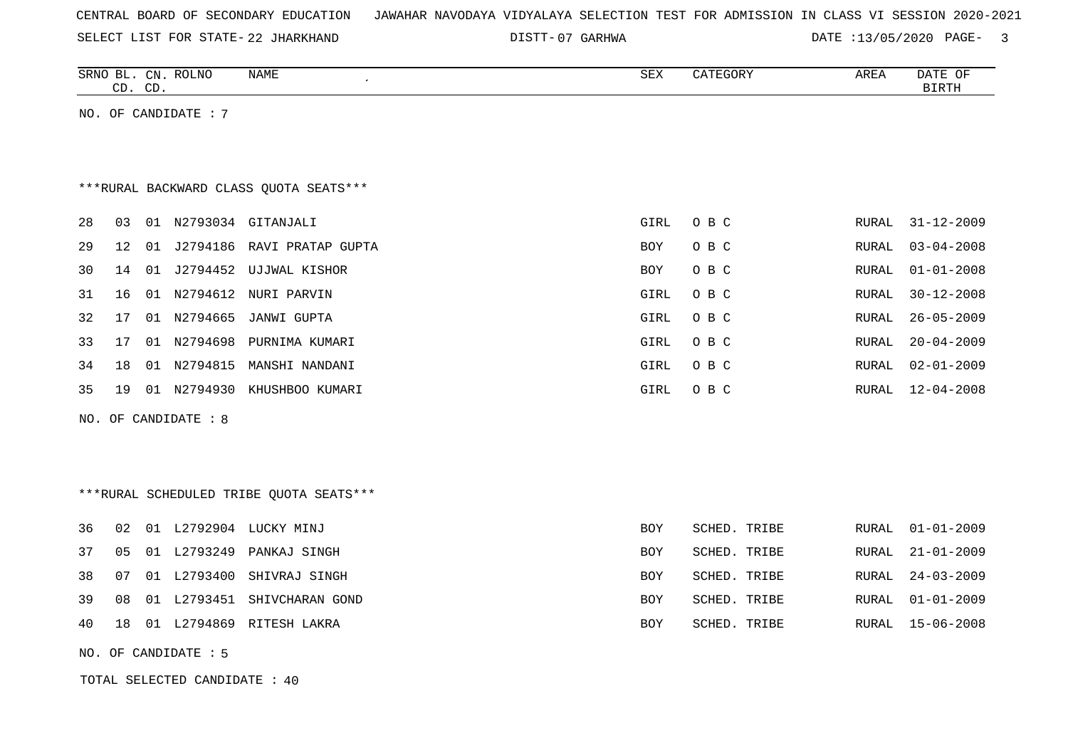| CENTRAL BOARD OF SECONDARY EDUCATION – JAWAHAR NAVODAYA VIDYALAYA SELECTION TEST FOR ADMISSION IN CLASS VI SESSION 2020-2021 |  |  |  |
|------------------------------------------------------------------------------------------------------------------------------|--|--|--|
|------------------------------------------------------------------------------------------------------------------------------|--|--|--|

SELECT LIST FOR STATE- DISTT- 22 JHARKHAND 07 GARHWA DATE :13/05/2020 PAGE- 3

|    | CD. CD. |    | SRNO BL. CN. ROLNO   | NAME                                    | ${\tt SEX}$ | CATEGORY     | AREA          | DATE OF<br><b>BIRTH</b> |
|----|---------|----|----------------------|-----------------------------------------|-------------|--------------|---------------|-------------------------|
|    |         |    | NO. OF CANDIDATE : 7 |                                         |             |              |               |                         |
|    |         |    |                      |                                         |             |              |               |                         |
|    |         |    |                      |                                         |             |              |               |                         |
|    |         |    |                      | *** RURAL BACKWARD CLASS QUOTA SEATS*** |             |              |               |                         |
| 28 | 03      |    |                      | 01 N2793034 GITANJALI                   | GIRL        | O B C        | RURAL         | $31 - 12 - 2009$        |
|    |         |    |                      |                                         |             |              |               |                         |
| 29 | 12      | 01 |                      | J2794186 RAVI PRATAP GUPTA              | BOY         | O B C        | RURAL         | $03 - 04 - 2008$        |
| 30 | 14      | 01 |                      | J2794452 UJJWAL KISHOR                  | BOY         | O B C        | RURAL         | $01 - 01 - 2008$        |
| 31 | 16      | 01 | N2794612             | NURI PARVIN                             | GIRL        | O B C        | RURAL         | $30 - 12 - 2008$        |
| 32 | 17      | 01 | N2794665             | JANWI GUPTA                             | GIRL        | O B C        | RURAL         | $26 - 05 - 2009$        |
| 33 | 17      | 01 | N2794698             | PURNIMA KUMARI                          | GIRL        | O B C        | ${\tt RURAL}$ | $20 - 04 - 2009$        |
| 34 | 18      | 01 | N2794815             | MANSHI NANDANI                          | GIRL        | O B C        | <b>RURAL</b>  | $02 - 01 - 2009$        |
| 35 | 19      |    |                      | 01 N2794930 KHUSHBOO KUMARI             | GIRL        | O B C        | RURAL         | $12 - 04 - 2008$        |
|    |         |    | NO. OF CANDIDATE : 8 |                                         |             |              |               |                         |
|    |         |    |                      |                                         |             |              |               |                         |
|    |         |    |                      |                                         |             |              |               |                         |
|    |         |    |                      | ***RURAL SCHEDULED TRIBE QUOTA SEATS*** |             |              |               |                         |
|    |         |    |                      |                                         |             |              |               |                         |
| 36 | 02      |    |                      | 01 L2792904 LUCKY MINJ                  | <b>BOY</b>  | SCHED. TRIBE | RURAL         | $01 - 01 - 2009$        |
| 37 | 05      |    |                      | 01 L2793249 PANKAJ SINGH                | BOY         | SCHED. TRIBE | RURAL         | $21 - 01 - 2009$        |
| 38 | 07      |    | 01 L2793400          | SHIVRAJ SINGH                           | BOY         | SCHED. TRIBE | RURAL         | $24 - 03 - 2009$        |
| 39 | 08      |    |                      | 01 L2793451 SHIVCHARAN GOND             | BOY         | SCHED. TRIBE | RURAL         | $01 - 01 - 2009$        |
| 40 | 18      |    |                      | 01 L2794869 RITESH LAKRA                | BOY         | SCHED. TRIBE | RURAL         | $15 - 06 - 2008$        |
|    |         |    | NO. OF CANDIDATE : 5 |                                         |             |              |               |                         |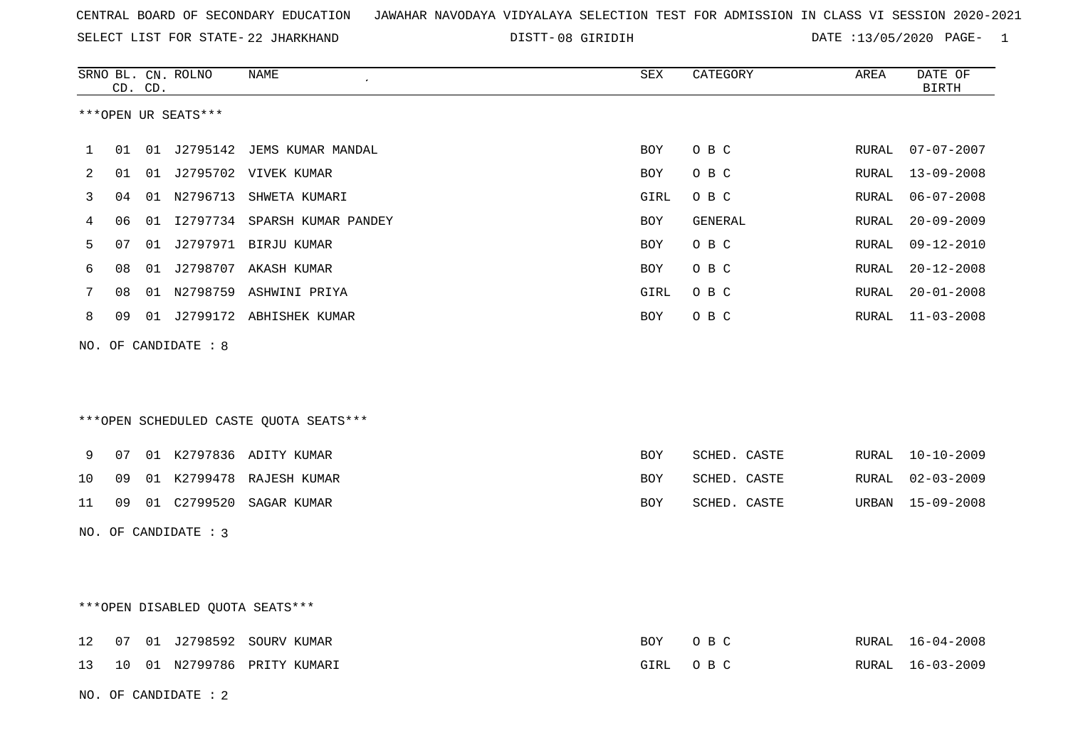SELECT LIST FOR STATE- DISTT- 22 JHARKHAND

NO. OF CANDIDATE : 2

08 GIRIDIH DATE :13/05/2020 PAGE- 1

|    | CD. CD. | SRNO BL. CN. ROLNO   | NAME                                   | ${\tt SEX}$ | CATEGORY     | AREA  | DATE OF<br><b>BIRTH</b> |
|----|---------|----------------------|----------------------------------------|-------------|--------------|-------|-------------------------|
|    |         | ***OPEN UR SEATS***  |                                        |             |              |       |                         |
| 1  | 01      |                      | 01 J2795142 JEMS KUMAR MANDAL          | <b>BOY</b>  | O B C        | RURAL | $07 - 07 - 2007$        |
| 2  | 01      |                      | 01 J2795702 VIVEK KUMAR                | BOY         | O B C        | RURAL | $13 - 09 - 2008$        |
| 3  | 04      |                      | 01 N2796713 SHWETA KUMARI              | GIRL        | O B C        | RURAL | $06 - 07 - 2008$        |
| 4  | 06      |                      | 01 I2797734 SPARSH KUMAR PANDEY        | <b>BOY</b>  | GENERAL      | RURAL | $20 - 09 - 2009$        |
| 5  | 07      |                      | 01 J2797971 BIRJU KUMAR                | BOY         | O B C        | RURAL | $09 - 12 - 2010$        |
| 6  | 08      |                      | 01 J2798707 AKASH KUMAR                | BOY         | O B C        | RURAL | $20 - 12 - 2008$        |
| 7  | 08      |                      | 01 N2798759 ASHWINI PRIYA              | GIRL        | O B C        | RURAL | $20 - 01 - 2008$        |
| 8  | 09      |                      | 01 J2799172 ABHISHEK KUMAR             | BOY         | O B C        | RURAL | 11-03-2008              |
|    |         | NO. OF CANDIDATE : 8 |                                        |             |              |       |                         |
|    |         |                      | ***OPEN SCHEDULED CASTE QUOTA SEATS*** |             |              |       |                         |
| 9  | 07      |                      | 01 K2797836 ADITY KUMAR                | <b>BOY</b>  | SCHED. CASTE | RURAL | $10 - 10 - 2009$        |
| 10 | 09      |                      | 01 K2799478 RAJESH KUMAR               | BOY         | SCHED. CASTE | RURAL | $02 - 03 - 2009$        |
| 11 | 09      |                      |                                        | BOY         | SCHED. CASTE | URBAN | $15 - 09 - 2008$        |
|    |         | NO. OF CANDIDATE : 3 |                                        |             |              |       |                         |
|    |         |                      | ***OPEN DISABLED QUOTA SEATS***        |             |              |       |                         |
| 12 | 07      |                      | 01 J2798592 SOURV KUMAR                | BOY         | O B C        |       | RURAL 16-04-2008        |
| 13 | 10      |                      | 01 N2799786 PRITY KUMARI               | GIRL        | O B C        | RURAL | $16 - 03 - 2009$        |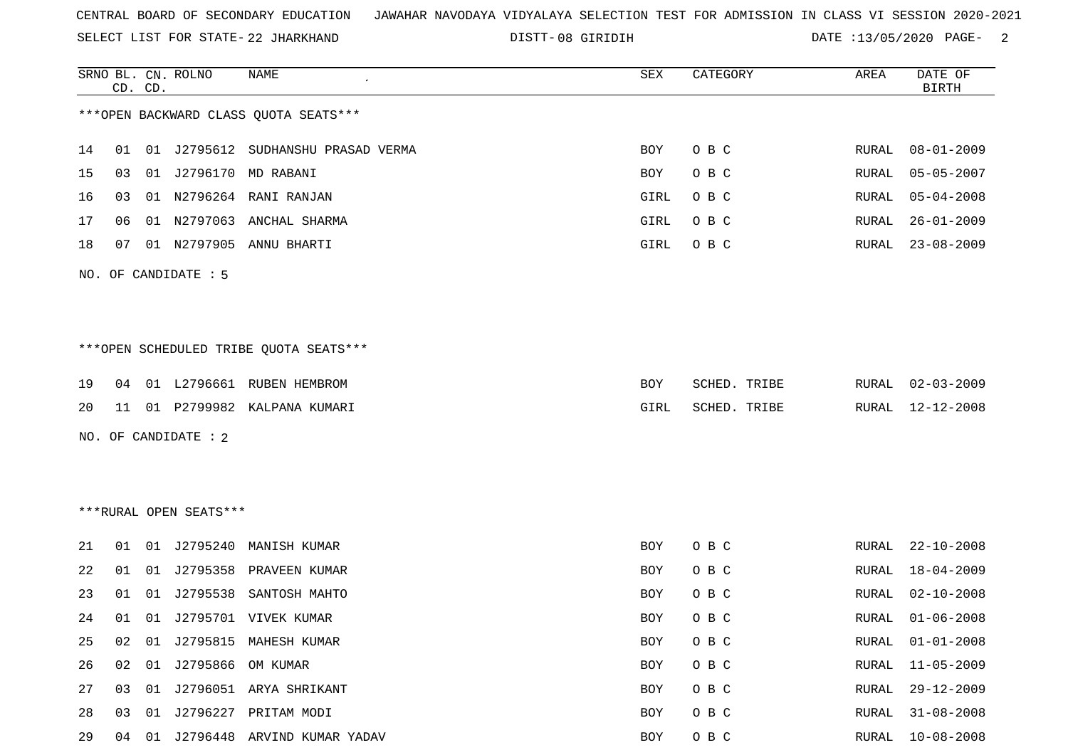SELECT LIST FOR STATE- DISTT- 22 JHARKHAND

08 GIRIDIH DATE :13/05/2020 PAGE- 2

|    |    | CD. CD. | SRNO BL. CN. ROLNO     | <b>NAME</b>                            | ${\tt SEX}$ | CATEGORY     | AREA         | DATE OF<br><b>BIRTH</b> |
|----|----|---------|------------------------|----------------------------------------|-------------|--------------|--------------|-------------------------|
|    |    |         |                        | *** OPEN BACKWARD CLASS QUOTA SEATS*** |             |              |              |                         |
| 14 | 01 |         |                        | 01 J2795612 SUDHANSHU PRASAD VERMA     | BOY         | O B C        | RURAL        | $08 - 01 - 2009$        |
| 15 | 03 |         |                        | 01 J2796170 MD RABANI                  | BOY         | O B C        | RURAL        | $05 - 05 - 2007$        |
| 16 | 03 |         |                        | 01 N2796264 RANI RANJAN                | GIRL        | O B C        | RURAL        | $05 - 04 - 2008$        |
| 17 | 06 |         |                        | 01 N2797063 ANCHAL SHARMA              | GIRL        | O B C        | RURAL        | $26 - 01 - 2009$        |
| 18 | 07 |         |                        | 01 N2797905 ANNU BHARTI                | GIRL        | O B C        | RURAL        | $23 - 08 - 2009$        |
|    |    |         | NO. OF CANDIDATE : 5   |                                        |             |              |              |                         |
|    |    |         |                        | ***OPEN SCHEDULED TRIBE QUOTA SEATS*** |             |              |              |                         |
| 19 | 04 |         |                        | 01 L2796661 RUBEN HEMBROM              | BOY         | SCHED. TRIBE | RURAL        | $02 - 03 - 2009$        |
| 20 | 11 |         |                        | 01 P2799982 KALPANA KUMARI             | GIRL        | SCHED. TRIBE | RURAL        | 12-12-2008              |
|    |    |         | NO. OF CANDIDATE : 2   |                                        |             |              |              |                         |
|    |    |         |                        |                                        |             |              |              |                         |
|    |    |         | ***RURAL OPEN SEATS*** |                                        |             |              |              |                         |
| 21 | 01 |         |                        | 01 J2795240 MANISH KUMAR               | BOY         | O B C        | RURAL        | $22 - 10 - 2008$        |
| 22 | 01 |         |                        | 01 J2795358 PRAVEEN KUMAR              | BOY         | O B C        | RURAL        | 18-04-2009              |
| 23 | 01 | 01      | J2795538               | SANTOSH MAHTO                          | BOY         | O B C        | RURAL        | $02 - 10 - 2008$        |
| 24 |    |         |                        | 01 01 J2795701 VIVEK KUMAR             | <b>BOY</b>  | O B C        | RURAL        | $01 - 06 - 2008$        |
| 25 | 02 |         |                        | 01 J2795815 MAHESH KUMAR               | BOY         | O B C        | RURAL        | $01 - 01 - 2008$        |
| 26 | 02 |         | 01 J2795866 OM KUMAR   |                                        | BOY         | O B C        | RURAL        | $11 - 05 - 2009$        |
| 27 | 03 |         |                        | 01 J2796051 ARYA SHRIKANT              | BOY         | O B C        | <b>RURAL</b> | $29 - 12 - 2009$        |
| 28 | 03 |         |                        | 01 J2796227 PRITAM MODI                | BOY         | O B C        | RURAL        | $31 - 08 - 2008$        |
| 29 |    |         |                        | 04 01 J2796448 ARVIND KUMAR YADAV      | BOY         | O B C        | RURAL        | $10 - 08 - 2008$        |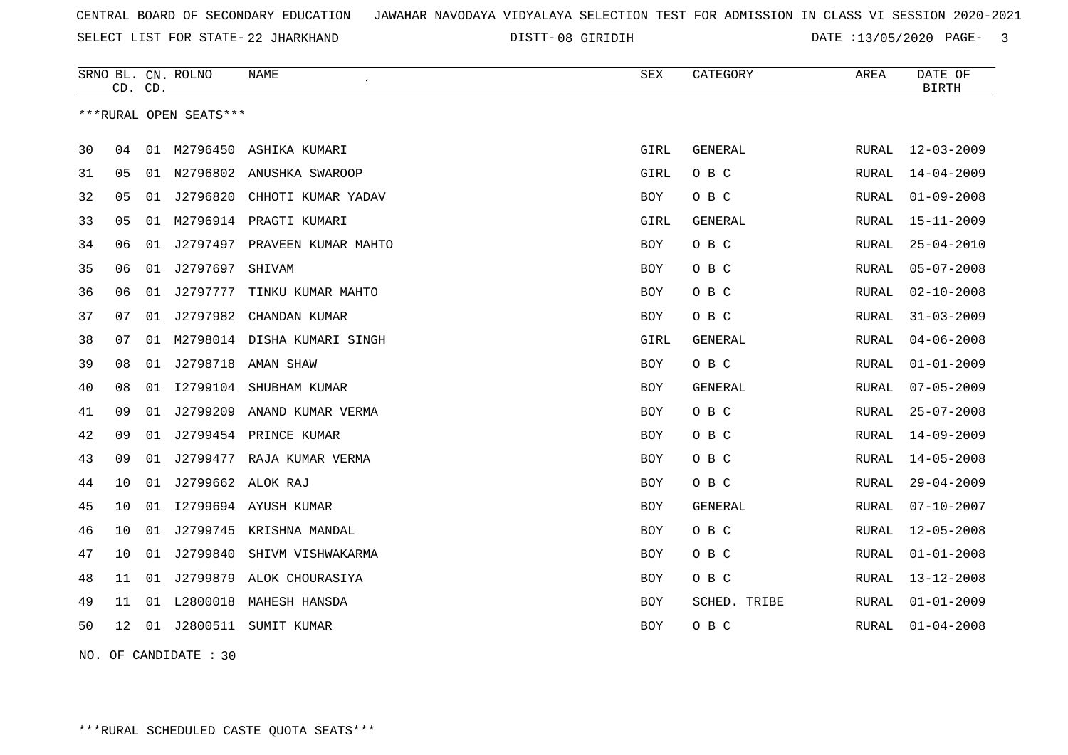SELECT LIST FOR STATE- DISTT- 22 JHARKHAND

08 GIRIDIH DATE :13/05/2020 PAGE- 3

|    | CD. CD. |    | SRNO BL. CN. ROLNO     | NAME                         | <b>SEX</b> | CATEGORY       | AREA         | DATE OF<br><b>BIRTH</b> |
|----|---------|----|------------------------|------------------------------|------------|----------------|--------------|-------------------------|
|    |         |    | ***RURAL OPEN SEATS*** |                              |            |                |              |                         |
| 30 | 04      | 01 | M2796450               | ASHIKA KUMARI                | GIRL       | GENERAL        | RURAL        | $12 - 03 - 2009$        |
| 31 | 05      | 01 | N2796802               | ANUSHKA SWAROOP              | GIRL       | O B C          | <b>RURAL</b> | $14 - 04 - 2009$        |
| 32 | 05      | 01 | J2796820               | CHHOTI KUMAR YADAV           | BOY        | O B C          | RURAL        | $01 - 09 - 2008$        |
| 33 | 05      | 01 |                        | M2796914 PRAGTI KUMARI       | GIRL       | <b>GENERAL</b> | RURAL        | $15 - 11 - 2009$        |
| 34 | 06      | 01 |                        | J2797497 PRAVEEN KUMAR MAHTO | BOY        | O B C          | RURAL        | $25 - 04 - 2010$        |
| 35 | 06      | 01 | J2797697               | SHIVAM                       | <b>BOY</b> | O B C          | RURAL        | $05 - 07 - 2008$        |
| 36 | 06      | 01 | J2797777               | TINKU KUMAR MAHTO            | BOY        | O B C          | RURAL        | $02 - 10 - 2008$        |
| 37 | 07      | 01 | J2797982               | CHANDAN KUMAR                | <b>BOY</b> | O B C          | <b>RURAL</b> | $31 - 03 - 2009$        |
| 38 | 07      | 01 |                        | M2798014 DISHA KUMARI SINGH  | GIRL       | <b>GENERAL</b> | RURAL        | $04 - 06 - 2008$        |
| 39 | 08      | 01 | J2798718               | AMAN SHAW                    | BOY        | O B C          | RURAL        | $01 - 01 - 2009$        |
| 40 | 08      | 01 | I2799104               | SHUBHAM KUMAR                | <b>BOY</b> | <b>GENERAL</b> | RURAL        | $07 - 05 - 2009$        |
| 41 | 09      | 01 | J2799209               | ANAND KUMAR VERMA            | BOY        | O B C          | RURAL        | $25 - 07 - 2008$        |
| 42 | 09      | 01 |                        | J2799454 PRINCE KUMAR        | <b>BOY</b> | O B C          | RURAL        | $14 - 09 - 2009$        |
| 43 | 09      | 01 |                        | J2799477 RAJA KUMAR VERMA    | <b>BOY</b> | O B C          | RURAL        | $14 - 05 - 2008$        |
| 44 | 10      | 01 | J2799662 ALOK RAJ      |                              | BOY        | O B C          | RURAL        | $29 - 04 - 2009$        |
| 45 | 10      | 01 |                        | 12799694 AYUSH KUMAR         | BOY        | GENERAL        | RURAL        | $07 - 10 - 2007$        |
| 46 | 10      | 01 |                        | J2799745 KRISHNA MANDAL      | BOY        | O B C          | RURAL        | $12 - 05 - 2008$        |
| 47 | 10      |    | 01 J2799840            | SHIVM VISHWAKARMA            | <b>BOY</b> | O B C          | <b>RURAL</b> | $01 - 01 - 2008$        |
| 48 | 11      | 01 | J2799879               | ALOK CHOURASIYA              | <b>BOY</b> | O B C          | RURAL        | $13 - 12 - 2008$        |
| 49 | 11      |    | 01 L2800018            | MAHESH HANSDA                | <b>BOY</b> | SCHED. TRIBE   | RURAL        | $01 - 01 - 2009$        |
| 50 | 12      | 01 | J2800511               | SUMIT KUMAR                  | BOY        | O B C          | RURAL        | $01 - 04 - 2008$        |
|    |         |    |                        |                              |            |                |              |                         |

NO. OF CANDIDATE : 30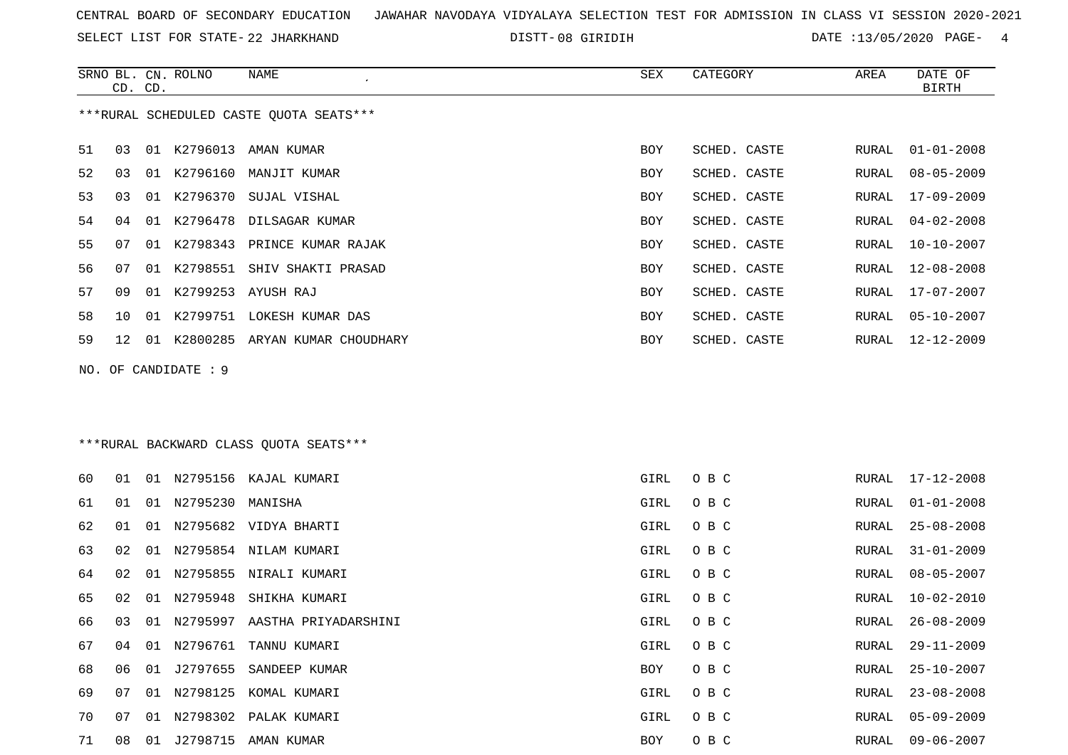SELECT LIST FOR STATE- DISTT- 22 JHARKHAND

SRNO BL. CN.

ROLNO NAME SEX CATEGORY AREA DATE OF

08 GIRIDIH DATE :13/05/2020 PAGE- 4

| ***RURAL SCHEDULED CASTE QUOTA SEATS***<br>01 K2796013 AMAN KUMAR<br>03<br>BOY<br>SCHED. CASTE<br>RURAL<br>$01 - 01 - 2008$<br>K2796160<br>$08 - 05 - 2009$<br>03<br>01<br>MANJIT KUMAR<br>SCHED. CASTE<br>RURAL<br>BOY<br>01 K2796370<br>03<br>SUJAL VISHAL<br>SCHED. CASTE<br>17-09-2009<br>BOY<br>RURAL<br>04<br>01 K2796478<br>DILSAGAR KUMAR<br>SCHED. CASTE<br>RURAL<br>$04 - 02 - 2008$<br>BOY<br>07<br>01 K2798343 PRINCE KUMAR RAJAK<br>BOY<br>SCHED. CASTE<br>${\tt RURAL}$<br>$10 - 10 - 2007$<br>K2798551<br>$12 - 08 - 2008$<br>07<br>01<br>SHIV SHAKTI PRASAD<br>SCHED. CASTE<br>RURAL<br>BOY<br>57<br>K2799253 AYUSH RAJ<br>SCHED. CASTE<br>09<br>01<br>BOY<br>RURAL<br>17-07-2007<br>SCHED. CASTE<br>10<br>01 K2799751 LOKESH KUMAR DAS<br>$05 - 10 - 2007$<br>BOY<br>RURAL<br>59<br>12-12-2009<br>12<br>01 K2800285 ARYAN KUMAR CHOUDHARY<br>BOY<br>SCHED. CASTE<br>RURAL<br>NO. OF CANDIDATE : 9<br>*** RURAL BACKWARD CLASS QUOTA SEATS***<br>01 N2795156 KAJAL KUMARI<br>O B C<br>$17 - 12 - 2008$<br>01<br>GIRL<br>RURAL<br>01 N2795230 MANISHA<br>GIRL<br>O B C<br>${\tt RURAL}$<br>$01 - 01 - 2008$<br>01<br>01<br>01<br>N2795682 VIDYA BHARTI<br>GIRL<br>O B C<br>RURAL<br>$25 - 08 - 2008$<br>02<br>01<br>N2795854 NILAM KUMARI<br>GIRL<br>O B C<br>$31 - 01 - 2009$<br>RURAL<br>02<br>N2795855 NIRALI KUMARI<br>GIRL<br>O B C<br>RURAL<br>$08 - 05 - 2007$<br>01<br>N2795948<br>02<br>01<br>SHIKHA KUMARI<br>GIRL<br>O B C<br>$10 - 02 - 2010$<br>RURAL<br>03<br>01 N2795997 AASTHA PRIYADARSHINI<br>GIRL<br>O B C<br>RURAL<br>$26 - 08 - 2009$<br>67<br>01 N2796761 TANNU KUMARI<br>GIRL<br>O B C<br>${\tt RURAL}$<br>$29 - 11 - 2009$<br>04<br>06 01 J2797655 SANDEEP KUMAR<br>BOY<br>O B C<br>$25 - 10 - 2007$<br>RURAL<br>07<br>01 N2798125 KOMAL KUMARI<br>GIRL<br>O B C<br>RURAL<br>$23 - 08 - 2008$<br>01 N2798302 PALAK KUMARI<br>GIRL<br>$05 - 09 - 2009$<br>07<br>O B C<br>RURAL<br>01 J2798715 AMAN KUMAR<br>O B C<br>$09 - 06 - 2007$<br>08<br>BOY<br>RURAL |    | CD. CD. |  |  |  |  |  |  | <b>BIRTH</b> |  |  |
|---------------------------------------------------------------------------------------------------------------------------------------------------------------------------------------------------------------------------------------------------------------------------------------------------------------------------------------------------------------------------------------------------------------------------------------------------------------------------------------------------------------------------------------------------------------------------------------------------------------------------------------------------------------------------------------------------------------------------------------------------------------------------------------------------------------------------------------------------------------------------------------------------------------------------------------------------------------------------------------------------------------------------------------------------------------------------------------------------------------------------------------------------------------------------------------------------------------------------------------------------------------------------------------------------------------------------------------------------------------------------------------------------------------------------------------------------------------------------------------------------------------------------------------------------------------------------------------------------------------------------------------------------------------------------------------------------------------------------------------------------------------------------------------------------------------------------------------------------------------------------------------------------------------------------------------------------------------------------------------------------|----|---------|--|--|--|--|--|--|--------------|--|--|
|                                                                                                                                                                                                                                                                                                                                                                                                                                                                                                                                                                                                                                                                                                                                                                                                                                                                                                                                                                                                                                                                                                                                                                                                                                                                                                                                                                                                                                                                                                                                                                                                                                                                                                                                                                                                                                                                                                                                                                                                   |    |         |  |  |  |  |  |  |              |  |  |
|                                                                                                                                                                                                                                                                                                                                                                                                                                                                                                                                                                                                                                                                                                                                                                                                                                                                                                                                                                                                                                                                                                                                                                                                                                                                                                                                                                                                                                                                                                                                                                                                                                                                                                                                                                                                                                                                                                                                                                                                   | 51 |         |  |  |  |  |  |  |              |  |  |
|                                                                                                                                                                                                                                                                                                                                                                                                                                                                                                                                                                                                                                                                                                                                                                                                                                                                                                                                                                                                                                                                                                                                                                                                                                                                                                                                                                                                                                                                                                                                                                                                                                                                                                                                                                                                                                                                                                                                                                                                   | 52 |         |  |  |  |  |  |  |              |  |  |
|                                                                                                                                                                                                                                                                                                                                                                                                                                                                                                                                                                                                                                                                                                                                                                                                                                                                                                                                                                                                                                                                                                                                                                                                                                                                                                                                                                                                                                                                                                                                                                                                                                                                                                                                                                                                                                                                                                                                                                                                   | 53 |         |  |  |  |  |  |  |              |  |  |
|                                                                                                                                                                                                                                                                                                                                                                                                                                                                                                                                                                                                                                                                                                                                                                                                                                                                                                                                                                                                                                                                                                                                                                                                                                                                                                                                                                                                                                                                                                                                                                                                                                                                                                                                                                                                                                                                                                                                                                                                   | 54 |         |  |  |  |  |  |  |              |  |  |
|                                                                                                                                                                                                                                                                                                                                                                                                                                                                                                                                                                                                                                                                                                                                                                                                                                                                                                                                                                                                                                                                                                                                                                                                                                                                                                                                                                                                                                                                                                                                                                                                                                                                                                                                                                                                                                                                                                                                                                                                   | 55 |         |  |  |  |  |  |  |              |  |  |
|                                                                                                                                                                                                                                                                                                                                                                                                                                                                                                                                                                                                                                                                                                                                                                                                                                                                                                                                                                                                                                                                                                                                                                                                                                                                                                                                                                                                                                                                                                                                                                                                                                                                                                                                                                                                                                                                                                                                                                                                   | 56 |         |  |  |  |  |  |  |              |  |  |
|                                                                                                                                                                                                                                                                                                                                                                                                                                                                                                                                                                                                                                                                                                                                                                                                                                                                                                                                                                                                                                                                                                                                                                                                                                                                                                                                                                                                                                                                                                                                                                                                                                                                                                                                                                                                                                                                                                                                                                                                   |    |         |  |  |  |  |  |  |              |  |  |
|                                                                                                                                                                                                                                                                                                                                                                                                                                                                                                                                                                                                                                                                                                                                                                                                                                                                                                                                                                                                                                                                                                                                                                                                                                                                                                                                                                                                                                                                                                                                                                                                                                                                                                                                                                                                                                                                                                                                                                                                   | 58 |         |  |  |  |  |  |  |              |  |  |
|                                                                                                                                                                                                                                                                                                                                                                                                                                                                                                                                                                                                                                                                                                                                                                                                                                                                                                                                                                                                                                                                                                                                                                                                                                                                                                                                                                                                                                                                                                                                                                                                                                                                                                                                                                                                                                                                                                                                                                                                   |    |         |  |  |  |  |  |  |              |  |  |
|                                                                                                                                                                                                                                                                                                                                                                                                                                                                                                                                                                                                                                                                                                                                                                                                                                                                                                                                                                                                                                                                                                                                                                                                                                                                                                                                                                                                                                                                                                                                                                                                                                                                                                                                                                                                                                                                                                                                                                                                   |    |         |  |  |  |  |  |  |              |  |  |
|                                                                                                                                                                                                                                                                                                                                                                                                                                                                                                                                                                                                                                                                                                                                                                                                                                                                                                                                                                                                                                                                                                                                                                                                                                                                                                                                                                                                                                                                                                                                                                                                                                                                                                                                                                                                                                                                                                                                                                                                   |    |         |  |  |  |  |  |  |              |  |  |
|                                                                                                                                                                                                                                                                                                                                                                                                                                                                                                                                                                                                                                                                                                                                                                                                                                                                                                                                                                                                                                                                                                                                                                                                                                                                                                                                                                                                                                                                                                                                                                                                                                                                                                                                                                                                                                                                                                                                                                                                   | 60 |         |  |  |  |  |  |  |              |  |  |
|                                                                                                                                                                                                                                                                                                                                                                                                                                                                                                                                                                                                                                                                                                                                                                                                                                                                                                                                                                                                                                                                                                                                                                                                                                                                                                                                                                                                                                                                                                                                                                                                                                                                                                                                                                                                                                                                                                                                                                                                   | 61 |         |  |  |  |  |  |  |              |  |  |
|                                                                                                                                                                                                                                                                                                                                                                                                                                                                                                                                                                                                                                                                                                                                                                                                                                                                                                                                                                                                                                                                                                                                                                                                                                                                                                                                                                                                                                                                                                                                                                                                                                                                                                                                                                                                                                                                                                                                                                                                   | 62 |         |  |  |  |  |  |  |              |  |  |
|                                                                                                                                                                                                                                                                                                                                                                                                                                                                                                                                                                                                                                                                                                                                                                                                                                                                                                                                                                                                                                                                                                                                                                                                                                                                                                                                                                                                                                                                                                                                                                                                                                                                                                                                                                                                                                                                                                                                                                                                   | 63 |         |  |  |  |  |  |  |              |  |  |
|                                                                                                                                                                                                                                                                                                                                                                                                                                                                                                                                                                                                                                                                                                                                                                                                                                                                                                                                                                                                                                                                                                                                                                                                                                                                                                                                                                                                                                                                                                                                                                                                                                                                                                                                                                                                                                                                                                                                                                                                   | 64 |         |  |  |  |  |  |  |              |  |  |
|                                                                                                                                                                                                                                                                                                                                                                                                                                                                                                                                                                                                                                                                                                                                                                                                                                                                                                                                                                                                                                                                                                                                                                                                                                                                                                                                                                                                                                                                                                                                                                                                                                                                                                                                                                                                                                                                                                                                                                                                   | 65 |         |  |  |  |  |  |  |              |  |  |
|                                                                                                                                                                                                                                                                                                                                                                                                                                                                                                                                                                                                                                                                                                                                                                                                                                                                                                                                                                                                                                                                                                                                                                                                                                                                                                                                                                                                                                                                                                                                                                                                                                                                                                                                                                                                                                                                                                                                                                                                   | 66 |         |  |  |  |  |  |  |              |  |  |
|                                                                                                                                                                                                                                                                                                                                                                                                                                                                                                                                                                                                                                                                                                                                                                                                                                                                                                                                                                                                                                                                                                                                                                                                                                                                                                                                                                                                                                                                                                                                                                                                                                                                                                                                                                                                                                                                                                                                                                                                   |    |         |  |  |  |  |  |  |              |  |  |
|                                                                                                                                                                                                                                                                                                                                                                                                                                                                                                                                                                                                                                                                                                                                                                                                                                                                                                                                                                                                                                                                                                                                                                                                                                                                                                                                                                                                                                                                                                                                                                                                                                                                                                                                                                                                                                                                                                                                                                                                   | 68 |         |  |  |  |  |  |  |              |  |  |
|                                                                                                                                                                                                                                                                                                                                                                                                                                                                                                                                                                                                                                                                                                                                                                                                                                                                                                                                                                                                                                                                                                                                                                                                                                                                                                                                                                                                                                                                                                                                                                                                                                                                                                                                                                                                                                                                                                                                                                                                   | 69 |         |  |  |  |  |  |  |              |  |  |
|                                                                                                                                                                                                                                                                                                                                                                                                                                                                                                                                                                                                                                                                                                                                                                                                                                                                                                                                                                                                                                                                                                                                                                                                                                                                                                                                                                                                                                                                                                                                                                                                                                                                                                                                                                                                                                                                                                                                                                                                   | 70 |         |  |  |  |  |  |  |              |  |  |
|                                                                                                                                                                                                                                                                                                                                                                                                                                                                                                                                                                                                                                                                                                                                                                                                                                                                                                                                                                                                                                                                                                                                                                                                                                                                                                                                                                                                                                                                                                                                                                                                                                                                                                                                                                                                                                                                                                                                                                                                   | 71 |         |  |  |  |  |  |  |              |  |  |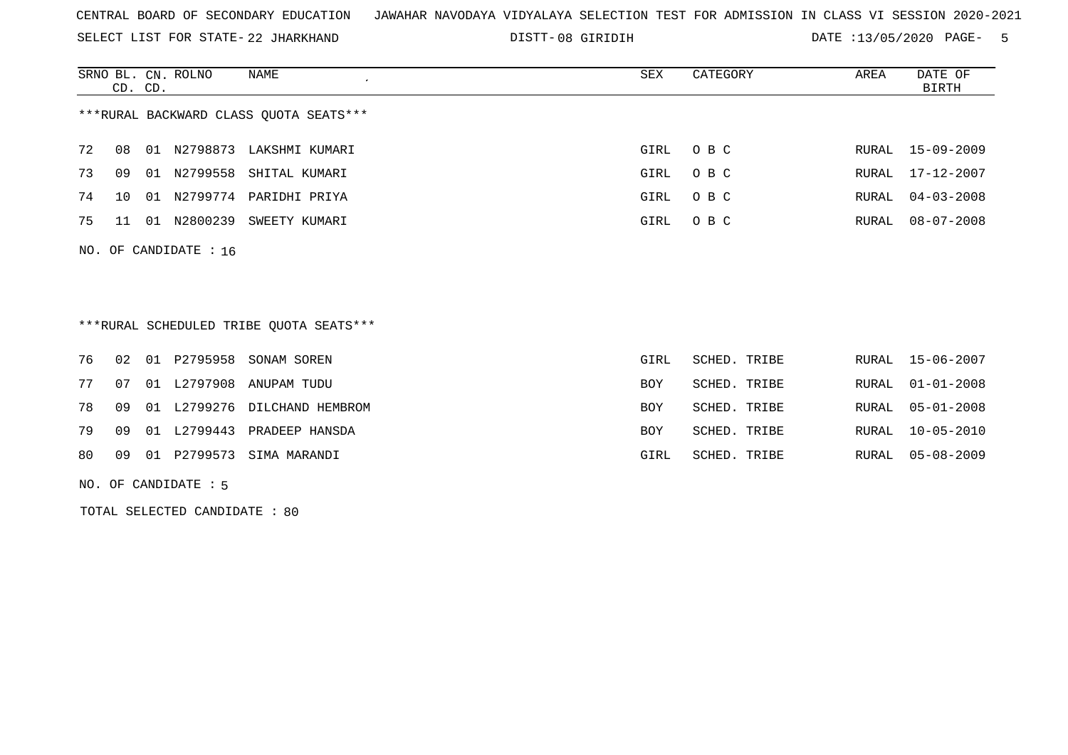SELECT LIST FOR STATE- DISTT- 22 JHARKHAND

08 GIRIDIH DATE :13/05/2020 PAGE- 5

|    | CD. CD.                                |     | SRNO BL. CN. ROLNO      | NAME           | SEX      | CATEGORY | AREA | DATE OF<br>BIRTH |  |  |
|----|----------------------------------------|-----|-------------------------|----------------|----------|----------|------|------------------|--|--|
|    | ***RURAL BACKWARD CLASS OUOTA SEATS*** |     |                         |                |          |          |      |                  |  |  |
| 72 | 08                                     | 01  | N2798873                | LAKSHMI KUMARI | GIRL OBC |          |      | RURAL 15-09-2009 |  |  |
| 73 | 09                                     | O 1 | N2799558                | SHITAL KUMARI  | GIRL     | O B C    |      | RURAL 17-12-2007 |  |  |
| 74 | $10^{-}$                               | 01  | N2799774                | PARIDHI PRIYA  | GIRL     | O B C    |      | RURAL 04-03-2008 |  |  |
| 75 | 11                                     | 01  | N2800239                | SWEETY KUMARI  | GIRL     | O B C    |      | RURAL 08-07-2008 |  |  |
|    |                                        |     | NO. OF CANDIDATE : $16$ |                |          |          |      |                  |  |  |

\*\*\*RURAL SCHEDULED TRIBE QUOTA SEATS\*\*\*

|    |  | 76 02 01 P2795958 SONAM SOREN      | GIRL       | SCHED. TRIBE |  | RURAL 15-06-2007 |
|----|--|------------------------------------|------------|--------------|--|------------------|
|    |  | 77 07 01 L2797908 ANUPAM TUDU      | BOY        | SCHED. TRIBE |  | RURAL 01-01-2008 |
|    |  | 78 09 01 L2799276 DILCHAND HEMBROM | <b>BOY</b> | SCHED. TRIBE |  | RURAL 05-01-2008 |
|    |  | 79 09 01 L2799443 PRADEEP HANSDA   | <b>BOY</b> | SCHED. TRIBE |  | RURAL 10-05-2010 |
| 80 |  | 09 01 P2799573 SIMA MARANDI        | GIRL       | SCHED. TRIBE |  | RURAL 05-08-2009 |

NO. OF CANDIDATE : 5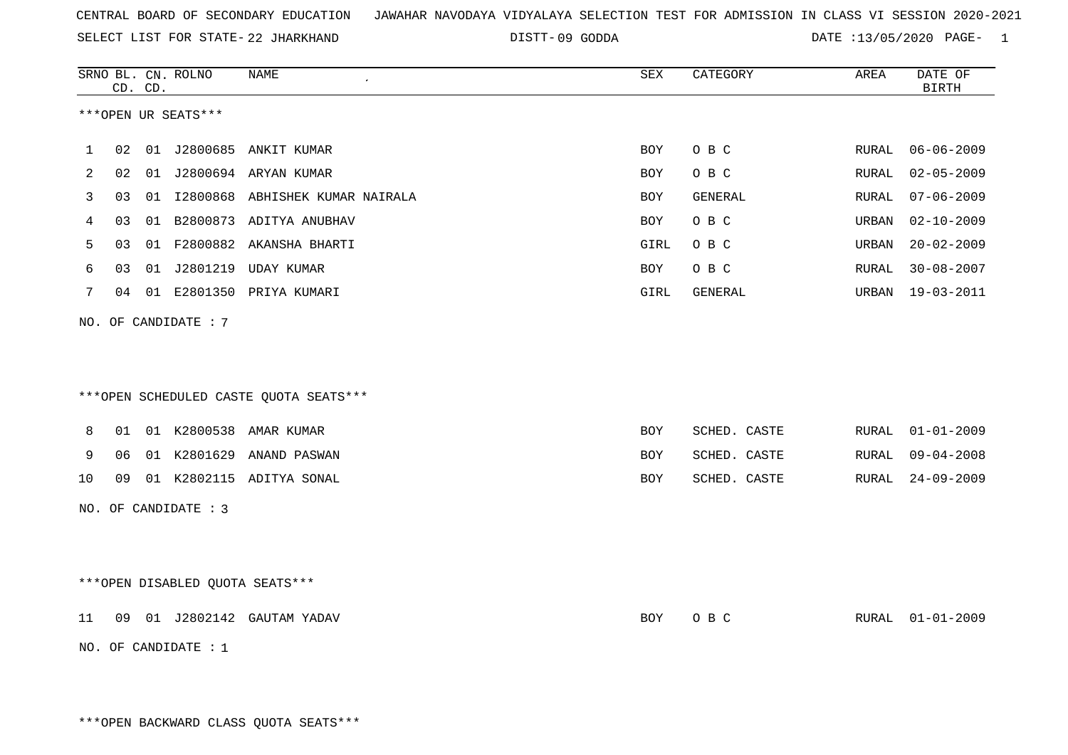SELECT LIST FOR STATE- DISTT- 22 JHARKHAND

DISTT-09 GODDA DATE :13/05/2020 PAGE- 1

|     |    | CD. CD. | SRNO BL. CN. ROLNO   | NAME                                   | SEX        | CATEGORY     | AREA  | DATE OF<br><b>BIRTH</b> |
|-----|----|---------|----------------------|----------------------------------------|------------|--------------|-------|-------------------------|
|     |    |         | ***OPEN UR SEATS***  |                                        |            |              |       |                         |
| 1   | 02 |         |                      | 01 J2800685 ANKIT KUMAR                | BOY        | O B C        | RURAL | $06 - 06 - 2009$        |
| 2   | 02 |         |                      | 01 J2800694 ARYAN KUMAR                | <b>BOY</b> | O B C        | RURAL | $02 - 05 - 2009$        |
| 3   | 03 |         |                      | 01 I2800868 ABHISHEK KUMAR NAIRALA     | BOY        | GENERAL      | RURAL | $07 - 06 - 2009$        |
| 4   | 03 |         |                      | 01 B2800873 ADITYA ANUBHAV             | BOY        | O B C        | URBAN | $02 - 10 - 2009$        |
| 5   | 03 |         |                      | 01 F2800882 AKANSHA BHARTI             | GIRL       | O B C        | URBAN | $20 - 02 - 2009$        |
| 6   | 03 |         | 01 J2801219          | <b>UDAY KUMAR</b>                      | BOY        | O B C        | RURAL | $30 - 08 - 2007$        |
| 7   |    |         |                      | 04 01 E2801350 PRIYA KUMARI            | GIRL       | GENERAL      | URBAN | 19-03-2011              |
|     |    |         | NO. OF CANDIDATE : 7 | ***OPEN SCHEDULED CASTE QUOTA SEATS*** |            |              |       |                         |
| 8   | 01 |         |                      | 01 K2800538 AMAR KUMAR                 | BOY        | SCHED. CASTE | RURAL | $01 - 01 - 2009$        |
| 9   | 06 |         | 01 K2801629          | ANAND PASWAN                           | <b>BOY</b> | SCHED. CASTE | RURAL | $09 - 04 - 2008$        |
| 10  | 09 |         |                      | 01 K2802115 ADITYA SONAL               | <b>BOY</b> | SCHED. CASTE | RURAL | $24 - 09 - 2009$        |
| NO. |    |         | OF CANDIDATE : 3     |                                        |            |              |       |                         |
|     |    |         |                      | ***OPEN DISABLED QUOTA SEATS***        |            |              |       |                         |
| 11  |    |         |                      | 09 01 J2802142 GAUTAM YADAV            | BOY        | O B C        | RURAL | $01 - 01 - 2009$        |
|     |    |         | NO. OF CANDIDATE : 1 |                                        |            |              |       |                         |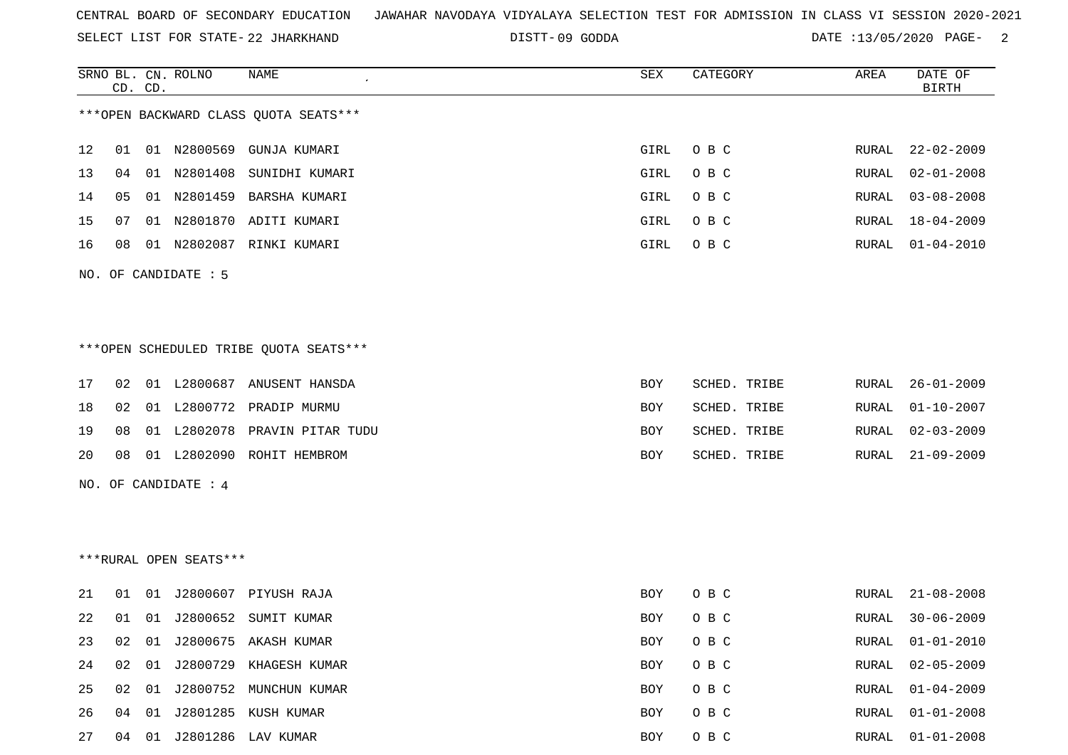SELECT LIST FOR STATE- DISTT- 22 JHARKHAND

DISTT-09 GODDA DATE :13/05/2020 PAGE- 2

|    |    | CD. CD. | SRNO BL. CN. ROLNO     | NAME                                   | SEX        | CATEGORY     | AREA  | DATE OF<br><b>BIRTH</b> |
|----|----|---------|------------------------|----------------------------------------|------------|--------------|-------|-------------------------|
|    |    |         |                        | *** OPEN BACKWARD CLASS QUOTA SEATS*** |            |              |       |                         |
| 12 | 01 |         | 01 N2800569            | GUNJA KUMARI                           | GIRL       | O B C        | RURAL | $22 - 02 - 2009$        |
| 13 | 04 |         | 01 N2801408            | SUNIDHI KUMARI                         | GIRL       | O B C        | RURAL | $02 - 01 - 2008$        |
| 14 | 05 |         |                        | 01 N2801459 BARSHA KUMARI              | GIRL       | O B C        | RURAL | $03 - 08 - 2008$        |
| 15 | 07 |         |                        | 01 N2801870 ADITI KUMARI               | GIRL       | O B C        | RURAL | $18 - 04 - 2009$        |
| 16 | 08 |         |                        | 01 N2802087 RINKI KUMARI               | GIRL       | O B C        | RURAL | $01 - 04 - 2010$        |
|    |    |         | NO. OF CANDIDATE : 5   |                                        |            |              |       |                         |
|    |    |         |                        |                                        |            |              |       |                         |
|    |    |         |                        | ***OPEN SCHEDULED TRIBE QUOTA SEATS*** |            |              |       |                         |
| 17 | 02 |         |                        | 01 L2800687 ANUSENT HANSDA             | BOY        | SCHED. TRIBE | RURAL | $26 - 01 - 2009$        |
| 18 | 02 |         |                        | 01 L2800772 PRADIP MURMU               | BOY        | SCHED. TRIBE | RURAL | $01 - 10 - 2007$        |
| 19 | 08 |         |                        | 01 L2802078 PRAVIN PITAR TUDU          | BOY        | SCHED. TRIBE | RURAL | $02 - 03 - 2009$        |
| 20 | 08 |         |                        | 01 L2802090 ROHIT HEMBROM              | <b>BOY</b> | SCHED. TRIBE | RURAL | $21 - 09 - 2009$        |
|    |    |         | NO. OF CANDIDATE : 4   |                                        |            |              |       |                         |
|    |    |         |                        |                                        |            |              |       |                         |
|    |    |         |                        |                                        |            |              |       |                         |
|    |    |         | ***RURAL OPEN SEATS*** |                                        |            |              |       |                         |
| 21 | 01 | 01      |                        | J2800607 PIYUSH RAJA                   | BOY        | O B C        | RURAL | $21 - 08 - 2008$        |
| 22 | 01 |         |                        | 01 J2800652 SUMIT KUMAR                | BOY        | O B C        | RURAL | $30 - 06 - 2009$        |
| 23 | 02 | 01      |                        | J2800675 AKASH KUMAR                   | BOY        | O B C        | RURAL | $01 - 01 - 2010$        |
| 24 | 02 | 01      |                        | J2800729 KHAGESH KUMAR                 | BOY        | O B C        | RURAL | $02 - 05 - 2009$        |
| 25 | 02 |         |                        | 01 J2800752 MUNCHUN KUMAR              | BOY        | O B C        | RURAL | $01 - 04 - 2009$        |
| 26 | 04 |         |                        | 01 J2801285 KUSH KUMAR                 | BOY        | O B C        | RURAL | $01 - 01 - 2008$        |
| 27 | 04 |         |                        | 01 J2801286 LAV KUMAR                  | BOY        | O B C        |       | RURAL 01-01-2008        |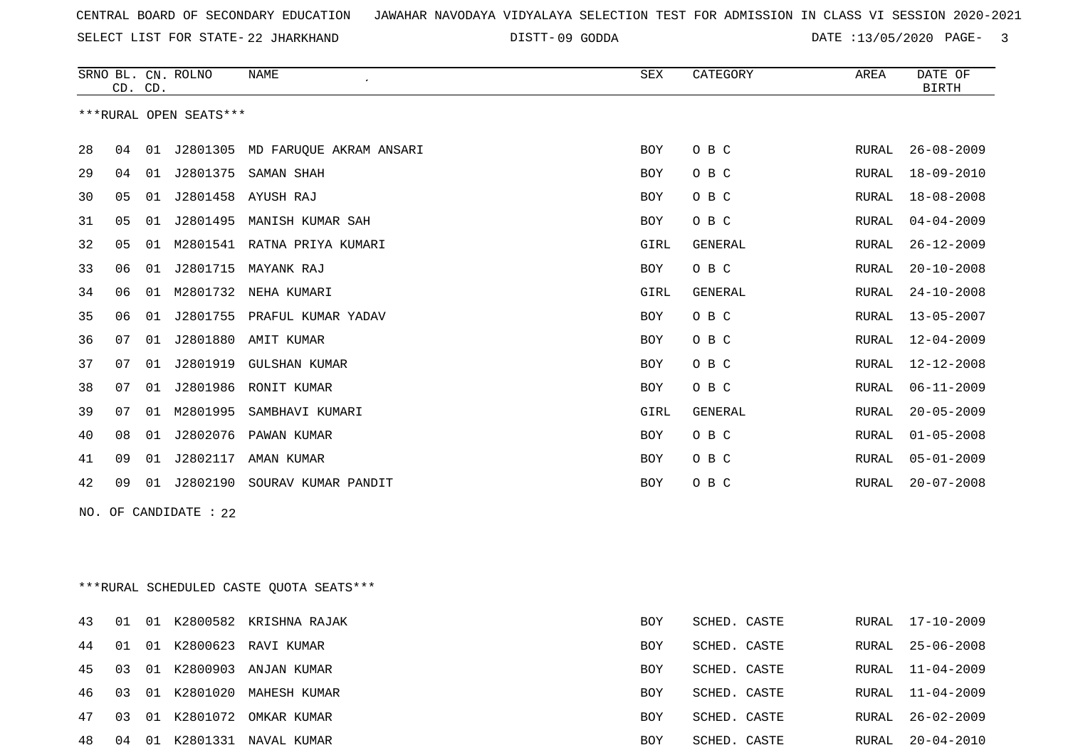SELECT LIST FOR STATE- DISTT- 22 JHARKHAND

DISTT-09 GODDA **DATE** :13/05/2020 PAGE- 3

|    |                       | CD. CD. | SRNO BL. CN. ROLNO     | <b>NAME</b>                            | SEX        | CATEGORY | AREA         | DATE OF<br><b>BIRTH</b> |
|----|-----------------------|---------|------------------------|----------------------------------------|------------|----------|--------------|-------------------------|
|    |                       |         | ***RURAL OPEN SEATS*** |                                        |            |          |              |                         |
| 28 |                       |         |                        | 04 01 J2801305 MD FARUOUE AKRAM ANSARI | <b>BOY</b> | O B C    | RURAL        | $26 - 08 - 2009$        |
| 29 | 04                    | 01      | J2801375               | SAMAN SHAH                             | <b>BOY</b> | O B C    | <b>RURAL</b> | $18 - 09 - 2010$        |
| 30 | 05                    | 01      | J2801458               | AYUSH RAJ                              | BOY        | O B C    | <b>RURAL</b> | $18 - 08 - 2008$        |
| 31 | 05                    | 01      | J2801495               | MANISH KUMAR SAH                       | BOY        | O B C    | RURAL        | $04 - 04 - 2009$        |
| 32 | 05                    | 01      |                        | M2801541 RATNA PRIYA KUMARI            | GIRL       | GENERAL  | <b>RURAL</b> | $26 - 12 - 2009$        |
| 33 | 06                    | 01      | J2801715               | MAYANK RAJ                             | BOY        | O B C    | RURAL        | $20 - 10 - 2008$        |
| 34 | 06                    | 01      | M2801732               | NEHA KUMARI                            | GIRL       | GENERAL  | <b>RURAL</b> | $24 - 10 - 2008$        |
| 35 | 06                    | 01      | J2801755               | PRAFUL KUMAR YADAV                     | <b>BOY</b> | O B C    | <b>RURAL</b> | $13 - 05 - 2007$        |
| 36 | 07                    |         |                        | 01 J2801880 AMIT KUMAR                 | BOY        | O B C    | RURAL        | $12 - 04 - 2009$        |
| 37 | 07                    | 01      | J2801919               | GULSHAN KUMAR                          | <b>BOY</b> | O B C    | <b>RURAL</b> | $12 - 12 - 2008$        |
| 38 | 07                    | 01      | J2801986               | RONIT KUMAR                            | <b>BOY</b> | O B C    | <b>RURAL</b> | $06 - 11 - 2009$        |
| 39 | 07                    | 01      | M2801995               | SAMBHAVI KUMARI                        | GIRL       | GENERAL  | RURAL        | $20 - 05 - 2009$        |
| 40 | 08                    | 01      | J2802076               | PAWAN KUMAR                            | <b>BOY</b> | O B C    | <b>RURAL</b> | $01 - 05 - 2008$        |
| 41 | 09                    | 01      | J2802117               | AMAN KUMAR                             | <b>BOY</b> | O B C    | RURAL        | $05 - 01 - 2009$        |
| 42 | 09                    | 01      | J2802190               | SOURAV KUMAR PANDIT                    | <b>BOY</b> | O B C    | RURAL        | $20 - 07 - 2008$        |
|    | NO. OF CANDIDATE : 22 |         |                        |                                        |            |          |              |                         |

\*\*\*RURAL SCHEDULED CASTE QUOTA SEATS\*\*\*

| 43 | 01  |       | 01 K2800582 KRISHNA RAJAK | <b>BOY</b> | SCHED. CASTE |       | RURAL 17-10-2009 |
|----|-----|-------|---------------------------|------------|--------------|-------|------------------|
| 44 | 01  |       | 01 K2800623 RAVI KUMAR    | <b>BOY</b> | SCHED. CASTE |       | RURAL 25-06-2008 |
| 45 | 03  |       | 01 K2800903 ANJAN KUMAR   | <b>BOY</b> | SCHED. CASTE |       | RURAL 11-04-2009 |
| 46 | 03  |       | 01 K2801020 MAHESH KUMAR  | <b>BOY</b> | SCHED. CASTE |       | RURAL 11-04-2009 |
| 47 | 0.3 |       | 01 K2801072 OMKAR KUMAR   | <b>BOY</b> | SCHED. CASTE | RURAL | 26-02-2009       |
| 48 | 04  | . O 1 | K2801331 NAVAL KUMAR      | <b>BOY</b> | SCHED. CASTE | RURAL | 20-04-2010       |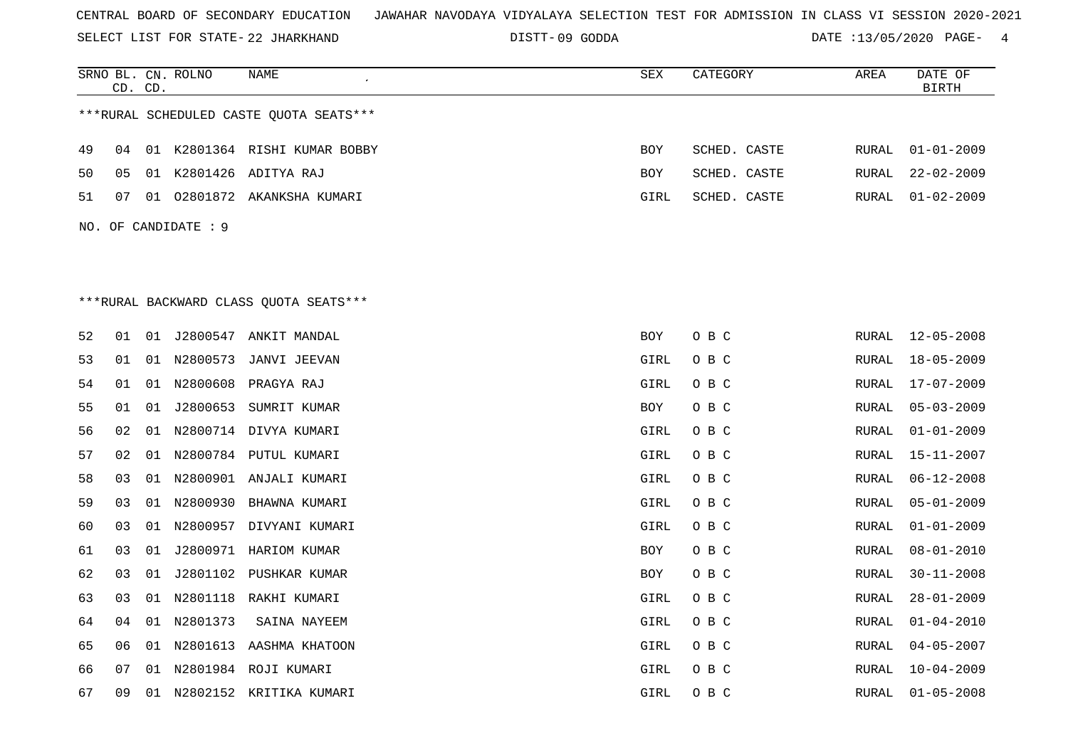SELECT LIST FOR STATE- DISTT- 22 JHARKHAND

DISTT-09 GODDA **DATE** :13/05/2020 PAGE- 4

|                      |    | CD. CD. | SRNO BL. CN. ROLNO | NAME<br>$\pmb{\cdot}$                   | <b>SEX</b> | CATEGORY     | AREA         | DATE OF<br><b>BIRTH</b> |
|----------------------|----|---------|--------------------|-----------------------------------------|------------|--------------|--------------|-------------------------|
|                      |    |         |                    | ***RURAL SCHEDULED CASTE OUOTA SEATS*** |            |              |              |                         |
|                      |    |         |                    |                                         |            |              |              |                         |
| 49                   | 04 |         |                    | 01 K2801364 RISHI KUMAR BOBBY           | <b>BOY</b> | SCHED. CASTE | <b>RURAL</b> | $01 - 01 - 2009$        |
| 50                   | 05 |         |                    | 01 K2801426 ADITYA RAJ                  | BOY        | SCHED. CASTE | RURAL        | $22 - 02 - 2009$        |
| 51                   | 07 |         |                    | 01 02801872 AKANKSHA KUMARI             | GIRL       | SCHED. CASTE | RURAL        | $01 - 02 - 2009$        |
| NO. OF CANDIDATE : 9 |    |         |                    |                                         |            |              |              |                         |
|                      |    |         |                    |                                         |            |              |              |                         |
|                      |    |         |                    |                                         |            |              |              |                         |
|                      |    |         |                    | ***RURAL BACKWARD CLASS OUOTA SEATS***  |            |              |              |                         |
| 52                   | 01 |         |                    | 01 J2800547 ANKIT MANDAL                | BOY        | O B C        | RURAL        | $12 - 05 - 2008$        |
| 53                   | 01 |         | 01 N2800573        | JANVI JEEVAN                            | GIRL       | O B C        | <b>RURAL</b> | $18 - 05 - 2009$        |
| 54                   | 01 |         | 01 N2800608        | PRAGYA RAJ                              | GIRL       | O B C        | RURAL        | $17 - 07 - 2009$        |
| 55                   | 01 | 01      | J2800653           | SUMRIT KUMAR                            | <b>BOY</b> | O B C        | <b>RURAL</b> | $05 - 03 - 2009$        |
| 56                   | 02 |         |                    | 01 N2800714 DIVYA KUMARI                | GIRL       | O B C        | RURAL        | $01 - 01 - 2009$        |
| 57                   | 02 | 01      |                    | N2800784 PUTUL KUMARI                   | GIRL       | O B C        | RURAL        | $15 - 11 - 2007$        |
| 58                   | 03 | 01      |                    | N2800901 ANJALI KUMARI                  | GIRL       | O B C        | RURAL        | $06 - 12 - 2008$        |
| 59                   | 03 |         |                    | 01 N2800930 BHAWNA KUMARI               | GIRL       | O B C        | RURAL        | $05 - 01 - 2009$        |
| 60                   | 03 |         |                    | 01 N2800957 DIVYANI KUMARI              | GIRL       | O B C        | <b>RURAL</b> | $01 - 01 - 2009$        |
| 61                   | 03 | 01      |                    | J2800971 HARIOM KUMAR                   | <b>BOY</b> | O B C        | <b>RURAL</b> | $08 - 01 - 2010$        |
| 62                   | 03 | 01      |                    | J2801102 PUSHKAR KUMAR                  | <b>BOY</b> | O B C        | RURAL        | $30 - 11 - 2008$        |
| 63                   | 03 | 01      |                    | N2801118 RAKHI KUMARI                   | GIRL       | O B C        | RURAL        | $28 - 01 - 2009$        |
| 64                   | 04 |         | 01 N2801373        | SAINA NAYEEM                            | GIRL       | O B C        | RURAL        | $01 - 04 - 2010$        |
| 65                   | 06 |         |                    | 01 N2801613 AASHMA KHATOON              | GIRL       | O B C        | RURAL        | $04 - 05 - 2007$        |
| 66                   | 07 | 01      |                    | N2801984 ROJI KUMARI                    | GIRL       | O B C        | RURAL        | $10 - 04 - 2009$        |
| 67                   | 09 |         |                    | 01 N2802152 KRITIKA KUMARI              | GIRL       | O B C        | RURAL        | $01 - 05 - 2008$        |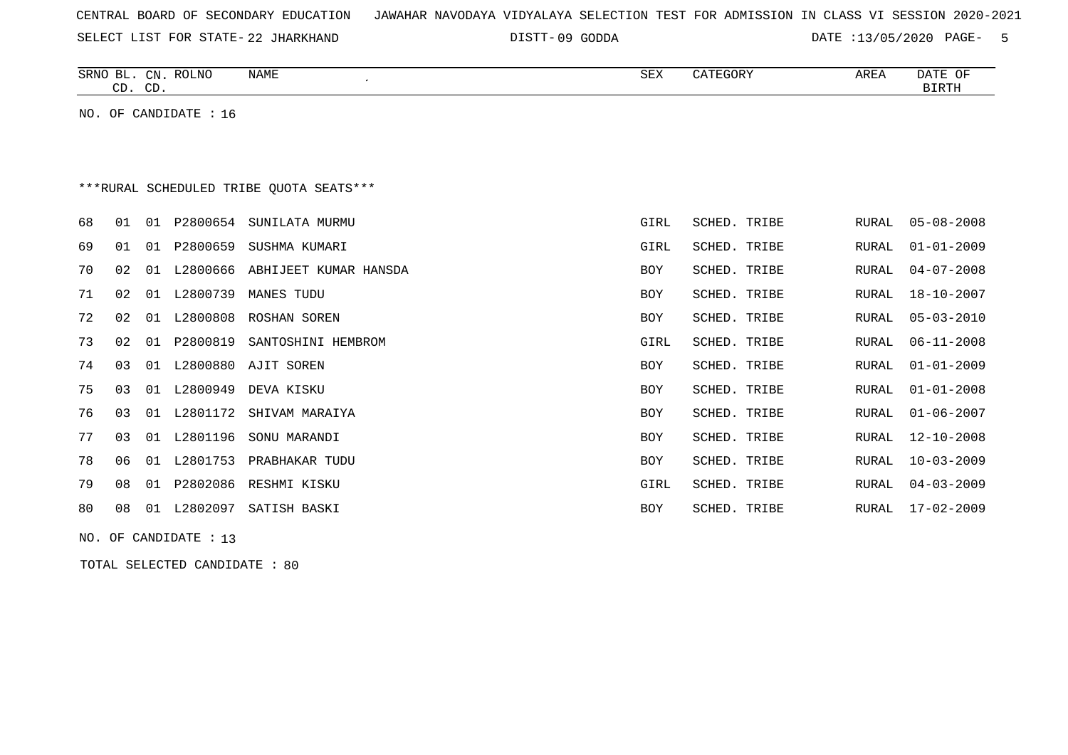| CENTRAL BOARD OF SECONDARY EDUCATION – JAWAHAR NAVODAYA VIDYALAYA SELECTION TEST FOR ADMISSION IN CLASS VI SESSION 2020-2021 |  |  |  |  |
|------------------------------------------------------------------------------------------------------------------------------|--|--|--|--|
|------------------------------------------------------------------------------------------------------------------------------|--|--|--|--|

SELECT LIST FOR STATE- DISTT- 22 JHARKHAND

09 GODDA DATE :13/05/2020 PAGE- 5

| SRNO<br>BL   | $\cap$ NT<br>ىت | $D$ $\cap$ T NT $\cap$<br><b>RULING</b> | NAME | $\sim$ m $\cdot$<br>∆∟ت | max<br>il). | <b>AREA</b> | D 3 mm<br>ΟF<br>JAI L |
|--------------|-----------------|-----------------------------------------|------|-------------------------|-------------|-------------|-----------------------|
| $\sim$<br>-- | $\cap$<br>ັ     |                                         |      |                         |             |             | זיחם דם               |
|              |                 |                                         |      |                         |             |             |                       |

NO. OF CANDIDATE : 16

# \*\*\*RURAL SCHEDULED TRIBE QUOTA SEATS\*\*\*

| 68 | 01 | 01  | P2800654 | SUNILATA MURMU        | GIRL       | SCHED. TRIBE | RURAL | $05 - 08 - 2008$ |
|----|----|-----|----------|-----------------------|------------|--------------|-------|------------------|
| 69 | 01 | 01  | P2800659 | SUSHMA KUMARI         | GIRL       | SCHED. TRIBE | RURAL | 01-01-2009       |
| 70 | 02 | O 1 | L2800666 | ABHIJEET KUMAR HANSDA | <b>BOY</b> | SCHED. TRIBE | RURAL | $04 - 07 - 2008$ |
| 71 | 02 | 01  | L2800739 | MANES TUDU            | <b>BOY</b> | SCHED. TRIBE | RURAL | 18-10-2007       |
| 72 | 02 | 01  | L2800808 | ROSHAN SOREN          | <b>BOY</b> | SCHED. TRIBE | RURAL | $05 - 03 - 2010$ |
| 73 | 02 | 01  | P2800819 | SANTOSHINI HEMBROM    | GIRL       | SCHED. TRIBE | RURAL | $06 - 11 - 2008$ |
| 74 | 03 | 01  | L2800880 | AJIT SOREN            | <b>BOY</b> | SCHED. TRIBE | RURAL | 01-01-2009       |
| 75 | 03 | 01  | L2800949 | DEVA KISKU            | <b>BOY</b> | SCHED. TRIBE | RURAL | $01 - 01 - 2008$ |
| 76 | 03 | 01  | L2801172 | SHIVAM MARAIYA        | BOY        | SCHED. TRIBE | RURAL | 01-06-2007       |
| 77 | 03 | 01  | L2801196 | SONU MARANDI          | <b>BOY</b> | SCHED. TRIBE | RURAL | $12 - 10 - 2008$ |
| 78 | 06 | 01  | L2801753 | PRABHAKAR TUDU        | BOY        | SCHED. TRIBE | RURAL | $10 - 03 - 2009$ |
| 79 | 08 | 01  | P2802086 | RESHMI KISKU          | GIRL       | SCHED. TRIBE | RURAL | $04 - 03 - 2009$ |
| 80 | 08 | 01  | L2802097 | SATISH BASKI          | <b>BOY</b> | SCHED. TRIBE | RURAL | $17 - 02 - 2009$ |
|    |    |     |          |                       |            |              |       |                  |

NO. OF CANDIDATE : 13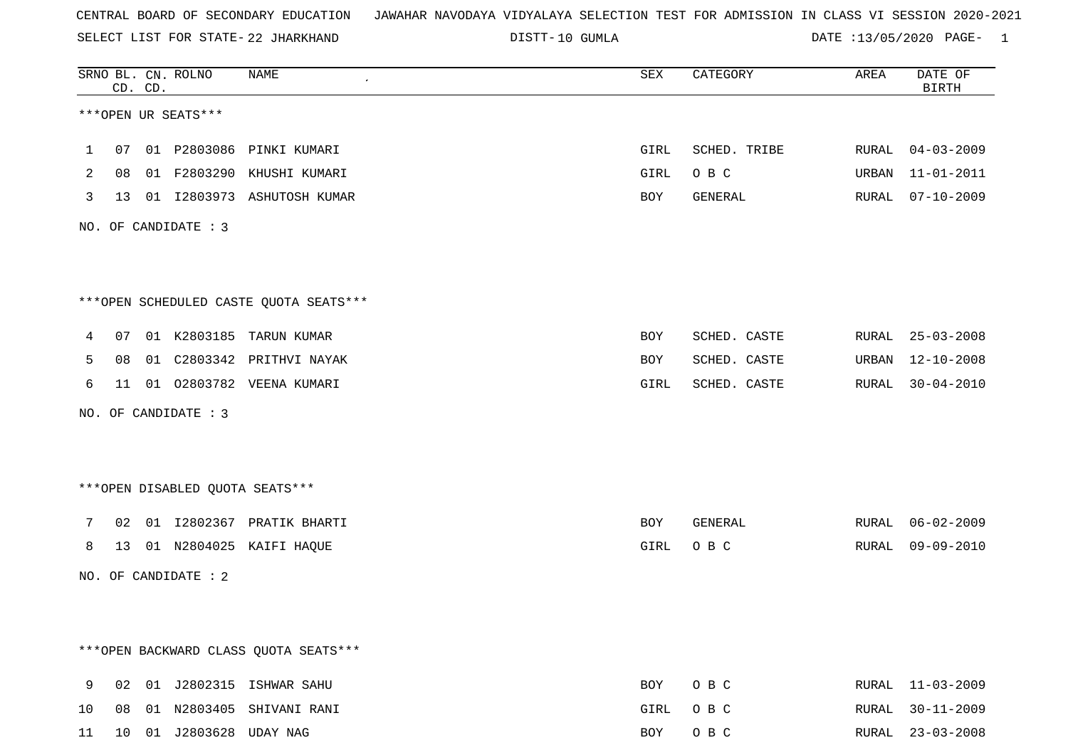SELECT LIST FOR STATE- DISTT- 22 JHARKHAND

DISTT-10 GUMLA  $\overline{DATE}$  :13/05/2020 PAGE- 1

|              |    | CD. CD. | SRNO BL. CN. ROLNO      | NAME                                   | SEX  | CATEGORY     | AREA  | DATE OF<br><b>BIRTH</b> |
|--------------|----|---------|-------------------------|----------------------------------------|------|--------------|-------|-------------------------|
|              |    |         | ***OPEN UR SEATS***     |                                        |      |              |       |                         |
| $\mathbf{1}$ |    |         |                         | 07 01 P2803086 PINKI KUMARI            | GIRL | SCHED. TRIBE |       | RURAL 04-03-2009        |
| 2            | 08 |         |                         | 01 F2803290 KHUSHI KUMARI              | GIRL | O B C        | URBAN | $11 - 01 - 2011$        |
| 3            |    |         |                         | 13 01 I2803973 ASHUTOSH KUMAR          | BOY  | GENERAL      | RURAL | 07-10-2009              |
|              |    |         | NO. OF CANDIDATE : 3    |                                        |      |              |       |                         |
|              |    |         |                         |                                        |      |              |       |                         |
|              |    |         |                         | ***OPEN SCHEDULED CASTE QUOTA SEATS*** |      |              |       |                         |
| 4            |    |         |                         | 07 01 K2803185 TARUN KUMAR             | BOY  | SCHED. CASTE |       | RURAL 25-03-2008        |
| 5            | 08 |         |                         | 01 C2803342 PRITHVI NAYAK              | BOY  | SCHED. CASTE |       | URBAN 12-10-2008        |
| 6            | 11 |         |                         | 01 02803782 VEENA KUMARI               | GIRL | SCHED. CASTE |       | RURAL 30-04-2010        |
|              |    |         | NO. OF CANDIDATE : 3    |                                        |      |              |       |                         |
|              |    |         |                         | ***OPEN DISABLED QUOTA SEATS***        |      |              |       |                         |
| 7            |    |         |                         | 02 01 I2802367 PRATIK BHARTI           | BOY  | GENERAL      |       | RURAL 06-02-2009        |
| 8            |    |         |                         | 13 01 N2804025 KAIFI HAQUE             | GIRL | O B C        |       | RURAL 09-09-2010        |
|              |    |         | NO. OF CANDIDATE : 2    |                                        |      |              |       |                         |
|              |    |         |                         |                                        |      |              |       |                         |
|              |    |         |                         | *** OPEN BACKWARD CLASS QUOTA SEATS*** |      |              |       |                         |
| 9            | 02 |         |                         | 01 J2802315 ISHWAR SAHU                | BOY  | O B C        |       | RURAL 11-03-2009        |
| 10           | 08 |         |                         | 01 N2803405 SHIVANI RANI               | GIRL | O B C        | RURAL | $30 - 11 - 2009$        |
| 11           |    |         | 10 01 J2803628 UDAY NAG |                                        | BOY  | O B C        |       | RURAL 23-03-2008        |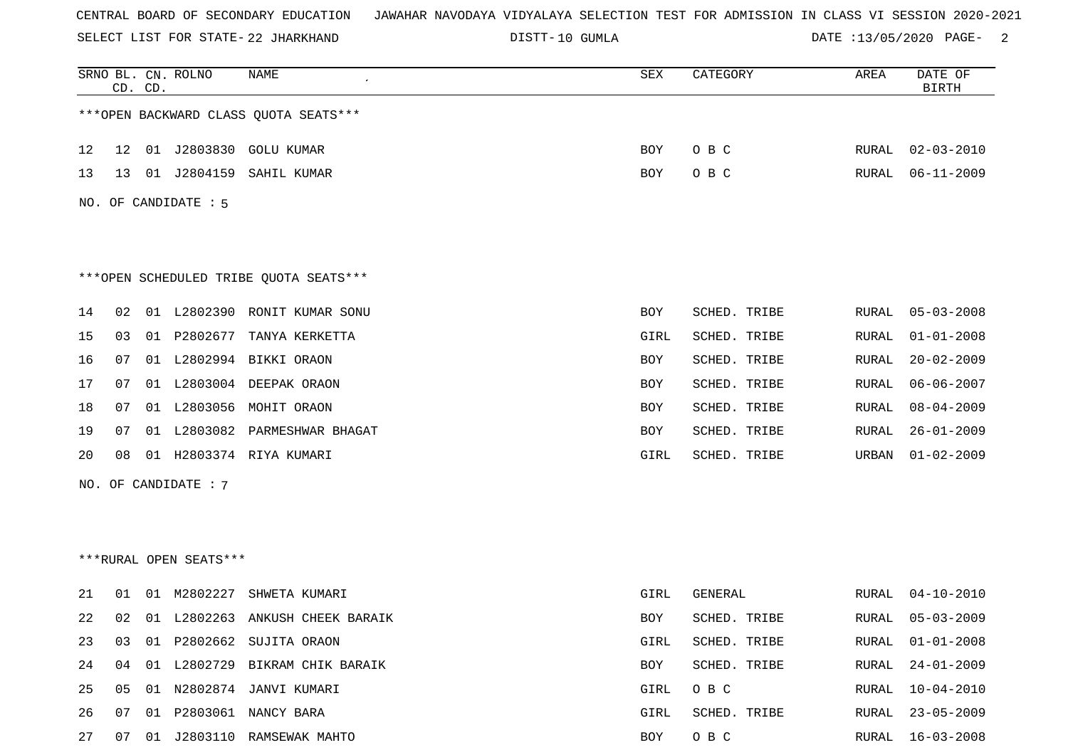SELECT LIST FOR STATE- DISTT- 22 JHARKHAND

DISTT-10 GUMLA 2 DATE :13/05/2020 PAGE- 2

|    | CD. CD. |    | SRNO BL. CN. ROLNO     | NAME                                   | SEX        | CATEGORY     | AREA  | DATE OF<br><b>BIRTH</b> |
|----|---------|----|------------------------|----------------------------------------|------------|--------------|-------|-------------------------|
|    |         |    |                        | *** OPEN BACKWARD CLASS QUOTA SEATS*** |            |              |       |                         |
| 12 | 12      |    |                        | 01 J2803830 GOLU KUMAR                 | BOY        | O B C        | RURAL | $02 - 03 - 2010$        |
| 13 | 13      |    | 01 J2804159            | SAHIL KUMAR                            | BOY        | O B C        | RURAL | $06 - 11 - 2009$        |
|    |         |    | NO. OF CANDIDATE : 5   |                                        |            |              |       |                         |
|    |         |    |                        | ***OPEN SCHEDULED TRIBE QUOTA SEATS*** |            |              |       |                         |
| 14 | 02      |    | 01 L2802390            | RONIT KUMAR SONU                       | <b>BOY</b> | SCHED. TRIBE | RURAL | $05 - 03 - 2008$        |
| 15 | 03      | 01 | P2802677               | TANYA KERKETTA                         | GIRL       | SCHED. TRIBE | RURAL | $01 - 01 - 2008$        |
| 16 | 07      |    |                        | 01 L2802994 BIKKI ORAON                | BOY        | SCHED. TRIBE | RURAL | $20 - 02 - 2009$        |
| 17 | 07      |    |                        | 01 L2803004 DEEPAK ORAON               | BOY        | SCHED. TRIBE | RURAL | $06 - 06 - 2007$        |
| 18 | 07      |    |                        | 01 L2803056 MOHIT ORAON                | BOY        | SCHED. TRIBE | RURAL | $08 - 04 - 2009$        |
| 19 | 07      |    | 01 L2803082            | PARMESHWAR BHAGAT                      | BOY        | SCHED. TRIBE | RURAL | $26 - 01 - 2009$        |
| 20 | 08      | 01 |                        | H2803374 RIYA KUMARI                   | GIRL       | SCHED. TRIBE | URBAN | $01 - 02 - 2009$        |
|    |         |    | NO. OF CANDIDATE : 7   |                                        |            |              |       |                         |
|    |         |    |                        |                                        |            |              |       |                         |
|    |         |    |                        |                                        |            |              |       |                         |
|    |         |    | ***RURAL OPEN SEATS*** |                                        |            |              |       |                         |
| 21 | 01      | 01 | M2802227               | SHWETA KUMARI                          | GIRL       | GENERAL      | RURAL | 04-10-2010              |
| 22 | 02      |    |                        | 01 L2802263 ANKUSH CHEEK BARAIK        | BOY        | SCHED. TRIBE | RURAL | $05 - 03 - 2009$        |
| 23 | 03      |    |                        | 01 P2802662 SUJITA ORAON               | GIRL       | SCHED. TRIBE | RURAL | $01 - 01 - 2008$        |
| 24 | 04      |    |                        | 01 L2802729 BIKRAM CHIK BARAIK         | BOY        | SCHED. TRIBE | RURAL | $24 - 01 - 2009$        |
| 25 | 05      |    |                        | 01 N2802874 JANVI KUMARI               | GIRL       | O B C        | RURAL | $10 - 04 - 2010$        |
| 26 | 07      | 01 |                        | P2803061 NANCY BARA                    | GIRL       | SCHED. TRIBE | RURAL | $23 - 05 - 2009$        |
| 27 | 07      |    |                        | 01 J2803110 RAMSEWAK MAHTO             | BOY        | O B C        | RURAL | $16 - 03 - 2008$        |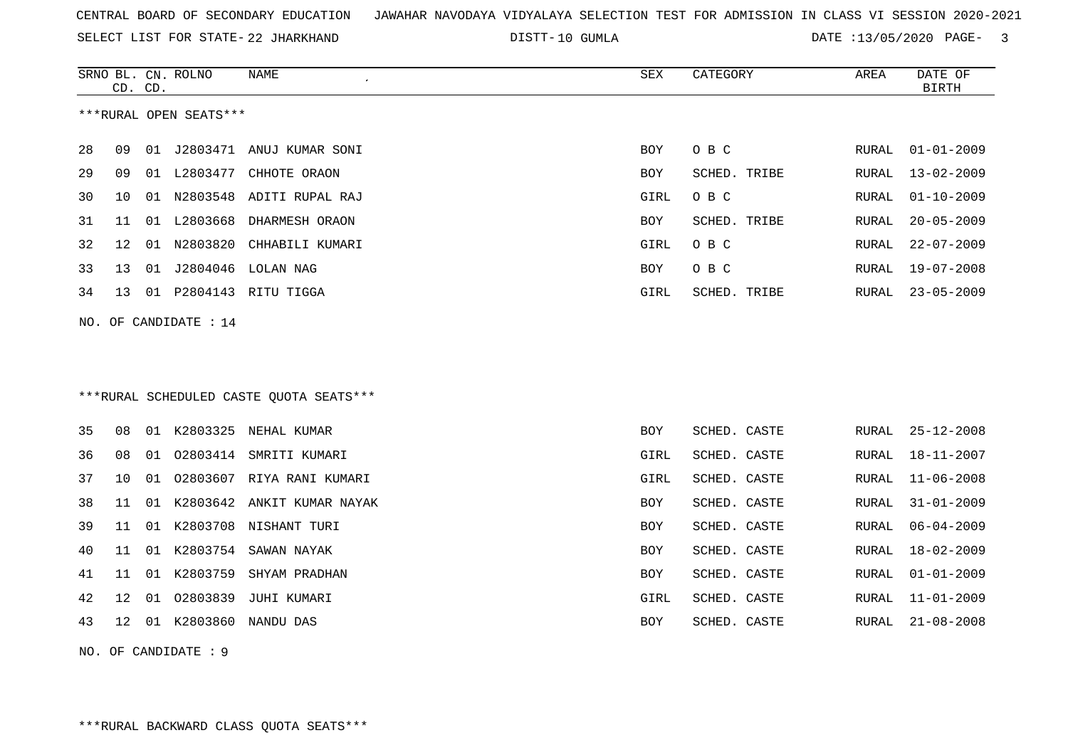SELECT LIST FOR STATE- DISTT- 22 JHARKHAND

DISTT-10 GUMLA  $\overline{DATE}$  :13/05/2020 PAGE- 3

|     | CD. CD. |    | SRNO BL. CN. ROLNO     | NAME                                     | ${\tt SEX}$ | CATEGORY     | AREA  | DATE OF<br><b>BIRTH</b> |
|-----|---------|----|------------------------|------------------------------------------|-------------|--------------|-------|-------------------------|
|     |         |    | ***RURAL OPEN SEATS*** |                                          |             |              |       |                         |
| 28  | 09      |    |                        | 01 J2803471 ANUJ KUMAR SONI              | <b>BOY</b>  | O B C        | RURAL | $01 - 01 - 2009$        |
| 29  | 09      |    | 01 L2803477            | CHHOTE ORAON                             | BOY         | SCHED. TRIBE | RURAL | $13 - 02 - 2009$        |
| 30  | 10      |    |                        | 01 N2803548 ADITI RUPAL RAJ              | GIRL        | O B C        | RURAL | $01 - 10 - 2009$        |
| 31  | 11      |    |                        | 01 L2803668 DHARMESH ORAON               | BOY         | SCHED. TRIBE | RURAL | $20 - 05 - 2009$        |
| 32  | 12      |    | 01 N2803820            | CHHABILI KUMARI                          | GIRL        | O B C        | RURAL | $22 - 07 - 2009$        |
| 33  | 13      |    |                        | 01 J2804046 LOLAN NAG                    | BOY         | O B C        | RURAL | $19 - 07 - 2008$        |
| 34  | 13      |    |                        | 01 P2804143 RITU TIGGA                   | GIRL        | SCHED. TRIBE | RURAL | $23 - 05 - 2009$        |
| NO. |         |    | OF CANDIDATE : 14      |                                          |             |              |       |                         |
|     |         |    |                        |                                          |             |              |       |                         |
|     |         |    |                        |                                          |             |              |       |                         |
|     |         |    |                        | *** RURAL SCHEDULED CASTE QUOTA SEATS*** |             |              |       |                         |
| 35  | 08      |    |                        | 01 K2803325 NEHAL KUMAR                  | <b>BOY</b>  | SCHED. CASTE | RURAL | $25 - 12 - 2008$        |
| 36  | 08      | 01 |                        | 02803414 SMRITI KUMARI                   | GIRL        | SCHED. CASTE | RURAL | 18-11-2007              |
| 37  | 10      | 01 |                        | 02803607 RIYA RANI KUMARI                | GIRL        | SCHED. CASTE | RURAL | $11 - 06 - 2008$        |
| 38  | 11      |    |                        | 01 K2803642 ANKIT KUMAR NAYAK            | BOY         | SCHED. CASTE | RURAL | $31 - 01 - 2009$        |
| 39  | 11      |    |                        | 01 K2803708 NISHANT TURI                 | BOY         | SCHED. CASTE | RURAL | $06 - 04 - 2009$        |
| 40  | 11      |    |                        | 01 K2803754 SAWAN NAYAK                  | BOY         | SCHED. CASTE | RURAL | $18 - 02 - 2009$        |
| 41  | 11      |    | 01 K2803759            | SHYAM PRADHAN                            | <b>BOY</b>  | SCHED. CASTE | RURAL | $01 - 01 - 2009$        |
| 42  | 12      | 01 |                        | 02803839 JUHI KUMARI                     | GIRL        | SCHED. CASTE | RURAL | $11 - 01 - 2009$        |
| 43  | 12      |    |                        | 01 K2803860 NANDU DAS                    | BOY         | SCHED. CASTE | RURAL | $21 - 08 - 2008$        |
|     |         |    | NO. OF CANDIDATE : 9   |                                          |             |              |       |                         |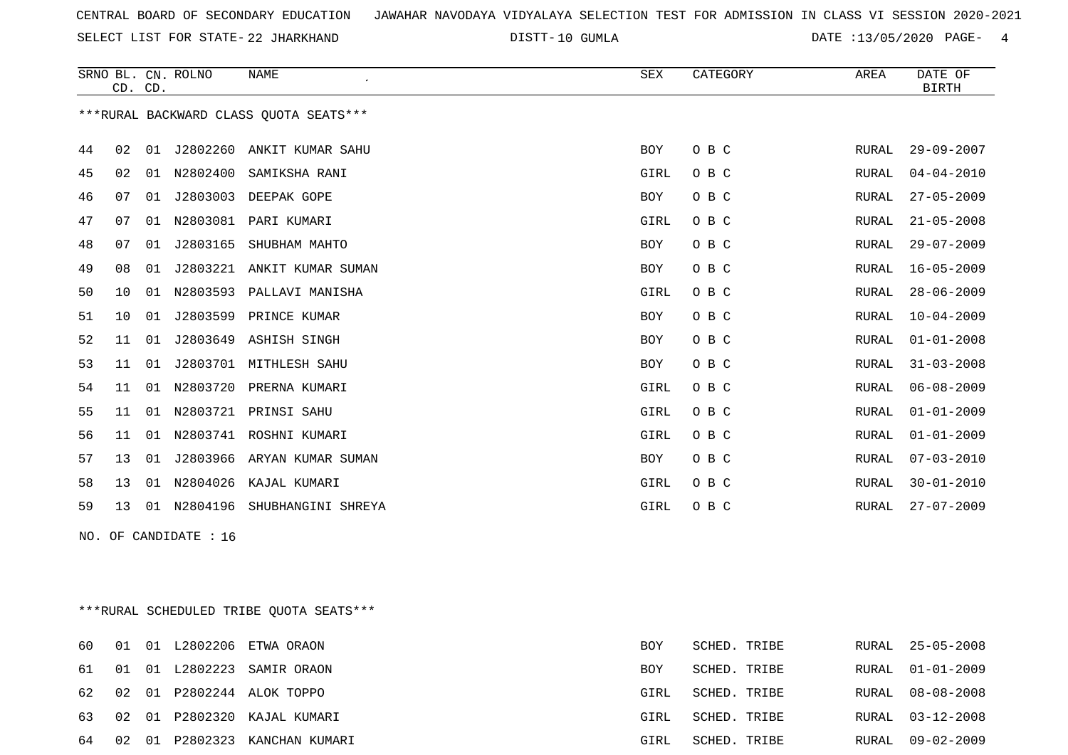SELECT LIST FOR STATE- DISTT- 22 JHARKHAND

DISTT-10 GUMLA 2000 DATE :13/05/2020 PAGE- 4

|    | CD. CD. |    | SRNO BL. CN. ROLNO    | <b>NAME</b><br>$\epsilon$              | ${\tt SEX}$ | CATEGORY | AREA         | DATE OF<br><b>BIRTH</b> |
|----|---------|----|-----------------------|----------------------------------------|-------------|----------|--------------|-------------------------|
|    |         |    |                       | ***RURAL BACKWARD CLASS OUOTA SEATS*** |             |          |              |                         |
| 44 | 02      | 01 | J2802260              | ANKIT KUMAR SAHU                       | BOY         | O B C    | RURAL        | $29 - 09 - 2007$        |
| 45 | 02      | 01 | N2802400              | SAMIKSHA RANI                          | GIRL        | O B C    | RURAL        | $04 - 04 - 2010$        |
| 46 | 07      | 01 |                       | J2803003 DEEPAK GOPE                   | BOY         | O B C    | RURAL        | $27 - 05 - 2009$        |
| 47 | 07      | 01 | N2803081              | PARI KUMARI                            | GIRL        | O B C    | RURAL        | $21 - 05 - 2008$        |
| 48 | 07      | 01 | J2803165              | SHUBHAM MAHTO                          | <b>BOY</b>  | O B C    | RURAL        | $29 - 07 - 2009$        |
| 49 | 08      | 01 |                       | J2803221 ANKIT KUMAR SUMAN             | BOY         | O B C    | RURAL        | $16 - 05 - 2009$        |
| 50 | 10      | 01 | N2803593              | PALLAVI MANISHA                        | GIRL        | O B C    | RURAL        | $28 - 06 - 2009$        |
| 51 | 10      | 01 |                       | J2803599 PRINCE KUMAR                  | <b>BOY</b>  | O B C    | <b>RURAL</b> | $10 - 04 - 2009$        |
| 52 | 11      | 01 |                       | J2803649 ASHISH SINGH                  | <b>BOY</b>  | O B C    | RURAL        | $01 - 01 - 2008$        |
| 53 | 11      | 01 |                       | J2803701 MITHLESH SAHU                 | <b>BOY</b>  | O B C    | RURAL        | $31 - 03 - 2008$        |
| 54 | 11      | 01 |                       | N2803720 PRERNA KUMARI                 | GIRL        | O B C    | RURAL        | $06 - 08 - 2009$        |
| 55 | 11      |    |                       | 01 N2803721 PRINSI SAHU                | GIRL        | O B C    | RURAL        | $01 - 01 - 2009$        |
| 56 | 11      | 01 |                       | N2803741 ROSHNI KUMARI                 | GIRL        | O B C    | <b>RURAL</b> | $01 - 01 - 2009$        |
| 57 | 13      | 01 |                       | J2803966 ARYAN KUMAR SUMAN             | <b>BOY</b>  | O B C    | <b>RURAL</b> | $07 - 03 - 2010$        |
| 58 | 13      |    |                       | 01 N2804026 KAJAL KUMARI               | GIRL        | O B C    | RURAL        | $30 - 01 - 2010$        |
| 59 | 13      |    |                       | 01 N2804196 SHUBHANGINI SHREYA         | GIRL        | O B C    | RURAL        | $27 - 07 - 2009$        |
|    |         |    | NO. OF CANDIDATE : 16 |                                        |             |          |              |                         |
|    |         |    |                       |                                        |             |          |              |                         |
|    |         |    |                       |                                        |             |          |              |                         |

\*\*\*RURAL SCHEDULED TRIBE QUOTA SEATS\*\*\*

|  |  | 60 01 01 L2802206 ETWA ORAON     | BOY  | SCHED. TRIBE |       | RURAL 25-05-2008 |
|--|--|----------------------------------|------|--------------|-------|------------------|
|  |  | 61 01 01 L2802223 SAMIR ORAON    | BOY  | SCHED. TRIBE |       | RURAL 01-01-2009 |
|  |  | 62 02 01 P2802244 ALOK TOPPO     | GIRL | SCHED. TRIBE | RURAL | 08-08-2008       |
|  |  | 63 02 01 P2802320 KAJAL KUMARI   | GIRL | SCHED. TRIBE |       | RURAL 03-12-2008 |
|  |  | 64 02 01 P2802323 KANCHAN KUMARI | GIRL | SCHED. TRIBE |       | RURAL 09-02-2009 |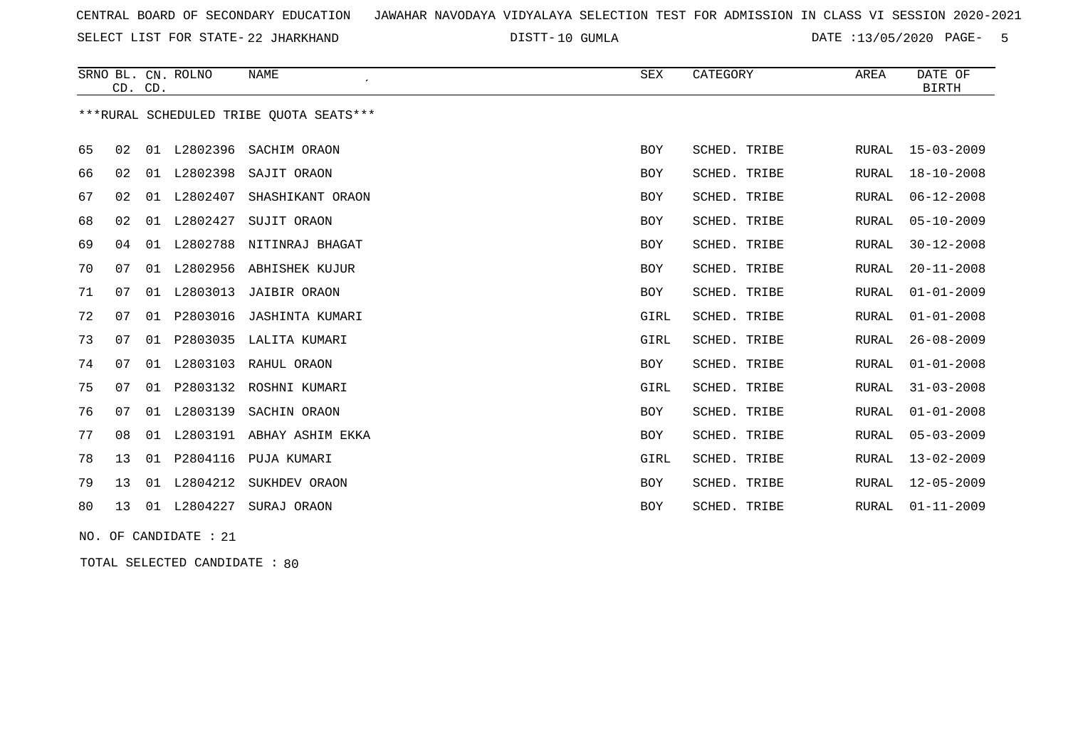SELECT LIST FOR STATE- DISTT- 22 JHARKHAND

DISTT-10 GUMLA 2000 2000 2000 DATE :13/05/2020 PAGE- 5

|    |    | CD. CD. | SRNO BL. CN. ROLNO | <b>NAME</b><br>$\epsilon$               | SEX        | CATEGORY     | AREA         | DATE OF<br>BIRTH |
|----|----|---------|--------------------|-----------------------------------------|------------|--------------|--------------|------------------|
|    |    |         |                    | ***RURAL SCHEDULED TRIBE OUOTA SEATS*** |            |              |              |                  |
| 65 | 02 | 01      | L2802396           | SACHIM ORAON                            | <b>BOY</b> | SCHED. TRIBE | RURAL        | $15 - 03 - 2009$ |
| 66 | 02 | 01      | L2802398           | SAJIT ORAON                             | BOY        | SCHED. TRIBE | <b>RURAL</b> | $18 - 10 - 2008$ |
| 67 | 02 | 01      | L2802407           | SHASHIKANT ORAON                        | BOY        | SCHED. TRIBE | <b>RURAL</b> | $06 - 12 - 2008$ |
| 68 | 02 |         | 01 L2802427        | SUJIT ORAON                             | <b>BOY</b> | SCHED. TRIBE | <b>RURAL</b> | $05 - 10 - 2009$ |
| 69 | 04 | 01      | L2802788           | NITINRAJ BHAGAT                         | <b>BOY</b> | SCHED. TRIBE | <b>RURAL</b> | $30 - 12 - 2008$ |
| 70 | 07 | 01      | L2802956           | ABHISHEK KUJUR                          | <b>BOY</b> | SCHED. TRIBE | RURAL        | $20 - 11 - 2008$ |
| 71 | 07 | 01      | L2803013           | <b>JAIBIR ORAON</b>                     | <b>BOY</b> | SCHED. TRIBE | <b>RURAL</b> | $01 - 01 - 2009$ |
| 72 | 07 | 01      | P2803016           | JASHINTA KUMARI                         | GIRL       | SCHED. TRIBE | <b>RURAL</b> | $01 - 01 - 2008$ |
| 73 | 07 | 01      | P2803035           | LALITA KUMARI                           | GIRL       | SCHED. TRIBE | RURAL        | $26 - 08 - 2009$ |
| 74 | 07 | 01      | L2803103           | RAHUL ORAON                             | <b>BOY</b> | SCHED. TRIBE | RURAL        | $01 - 01 - 2008$ |
| 75 | 07 | 01      | P2803132           | ROSHNI KUMARI                           | GIRL       | SCHED. TRIBE | <b>RURAL</b> | $31 - 03 - 2008$ |
| 76 | 07 | 01      | L2803139           | SACHIN ORAON                            | <b>BOY</b> | SCHED. TRIBE | <b>RURAL</b> | $01 - 01 - 2008$ |
| 77 | 08 | 01      |                    | L2803191 ABHAY ASHIM EKKA               | BOY        | SCHED. TRIBE | <b>RURAL</b> | $05 - 03 - 2009$ |
| 78 | 13 | 01      | P2804116           | PUJA KUMARI                             | GIRL       | SCHED. TRIBE | <b>RURAL</b> | $13 - 02 - 2009$ |
| 79 | 13 | 01      | L2804212           | SUKHDEV ORAON                           | <b>BOY</b> | SCHED. TRIBE | RURAL        | $12 - 05 - 2009$ |
| 80 | 13 | 01      | L2804227           | SURAJ ORAON                             | <b>BOY</b> | SCHED. TRIBE | <b>RURAL</b> | $01 - 11 - 2009$ |
|    |    |         |                    |                                         |            |              |              |                  |

NO. OF CANDIDATE : 21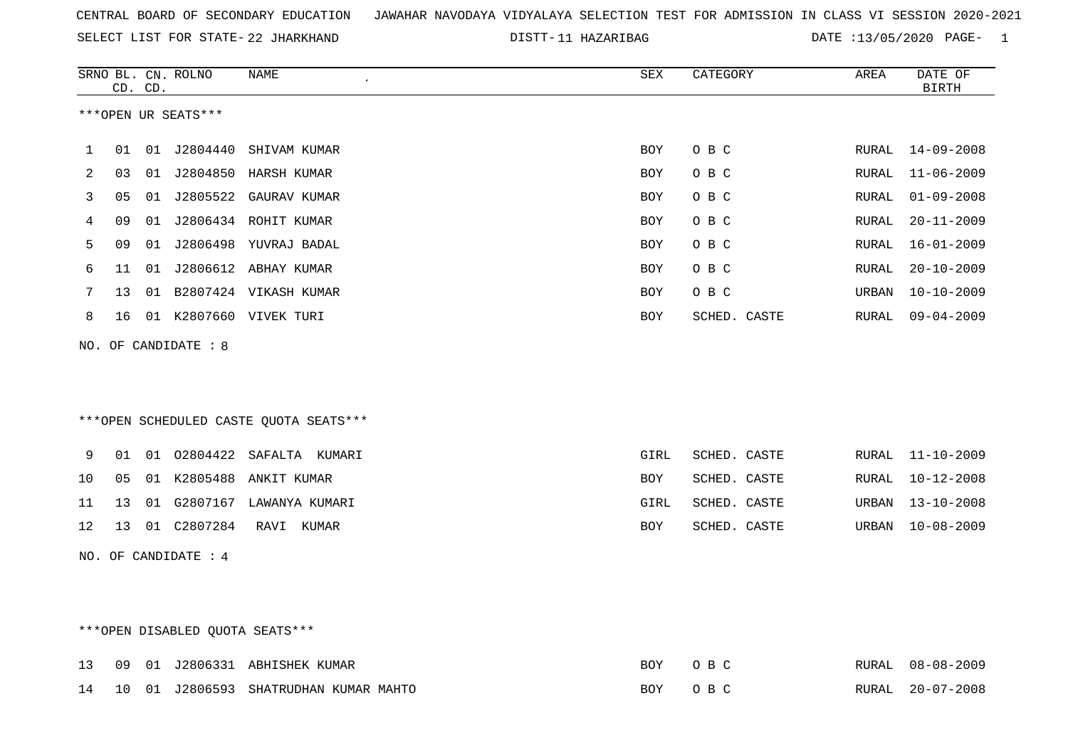|  |  |  |  | CENTRAL BOARD OF SECONDARY EDUCATION – JAWAHAR NAVODAYA VIDYALAYA SELECTION TEST FOR ADMISSION IN CLASS VI SESSION 2020-2021 |  |  |  |  |  |  |  |  |  |  |  |  |  |  |
|--|--|--|--|------------------------------------------------------------------------------------------------------------------------------|--|--|--|--|--|--|--|--|--|--|--|--|--|--|
|--|--|--|--|------------------------------------------------------------------------------------------------------------------------------|--|--|--|--|--|--|--|--|--|--|--|--|--|--|

SELECT LIST FOR STATE-22 JHARKHAND DISTT-11 HAZARIBAG DATE :13/05/2020 PAGE- 1

|     |                | CD. CD. | SRNO BL. CN. ROLNO   | <b>NAME</b>                             | <b>SEX</b> | CATEGORY     | AREA  | DATE OF<br><b>BIRTH</b> |
|-----|----------------|---------|----------------------|-----------------------------------------|------------|--------------|-------|-------------------------|
|     |                |         | ***OPEN UR SEATS***  |                                         |            |              |       |                         |
| 1   | 01             |         | 01 J2804440          | SHIVAM KUMAR                            | BOY        | O B C        | RURAL | $14 - 09 - 2008$        |
| 2   | 03             |         |                      | 01 J2804850 HARSH KUMAR                 | <b>BOY</b> | O B C        | RURAL | $11 - 06 - 2009$        |
| 3   | 05             |         |                      | 01 J2805522 GAURAV KUMAR                | BOY        | O B C        | RURAL | $01 - 09 - 2008$        |
| 4   | 09             | 01      |                      | J2806434 ROHIT KUMAR                    | BOY        | O B C        | RURAL | $20 - 11 - 2009$        |
| 5   | 09             |         |                      | 01 J2806498 YUVRAJ BADAL                | <b>BOY</b> | O B C        | RURAL | $16 - 01 - 2009$        |
| 6   | 11             | 01      |                      | J2806612 ABHAY KUMAR                    | <b>BOY</b> | O B C        | RURAL | $20 - 10 - 2009$        |
| 7   | 13             | 01      |                      | B2807424 VIKASH KUMAR                   | <b>BOY</b> | O B C        | URBAN | $10 - 10 - 2009$        |
| 8   | 16             |         |                      | 01 K2807660 VIVEK TURI                  | <b>BOY</b> | SCHED. CASTE | RURAL | $09 - 04 - 2009$        |
| NO. |                |         | OF CANDIDATE : 8     |                                         |            |              |       |                         |
|     |                |         |                      | *** OPEN SCHEDULED CASTE QUOTA SEATS*** |            |              |       |                         |
| 9   | 01             |         |                      | 01 02804422 SAFALTA KUMARI              | GIRL       | SCHED. CASTE | RURAL | $11 - 10 - 2009$        |
| 10  | 0 <sub>5</sub> |         | 01 K2805488          | ANKIT KUMAR                             | <b>BOY</b> | SCHED. CASTE | RURAL | $10 - 12 - 2008$        |
| 11  | 13             |         |                      | 01 G2807167 LAWANYA KUMARI              | GIRL       | SCHED. CASTE | URBAN | $13 - 10 - 2008$        |
| 12  | 13             |         | 01 C2807284          | RAVI KUMAR                              | <b>BOY</b> | SCHED. CASTE | URBAN | $10 - 08 - 2009$        |
|     |                |         | NO. OF CANDIDATE : 4 |                                         |            |              |       |                         |

# \*\*\*OPEN DISABLED QUOTA SEATS\*\*\*

|  |  | 13 09 01 J2806331 ABHISHEK KUMAR         | <b>BOY</b> |                          | RURAL 08-08-2009 |
|--|--|------------------------------------------|------------|--------------------------|------------------|
|  |  | 14 10 01 J2806593 SHATRUDHAN KUMAR MAHTO | BOY        | $\cdots$ $\cap$ R $\cap$ | RURAL 20-07-2008 |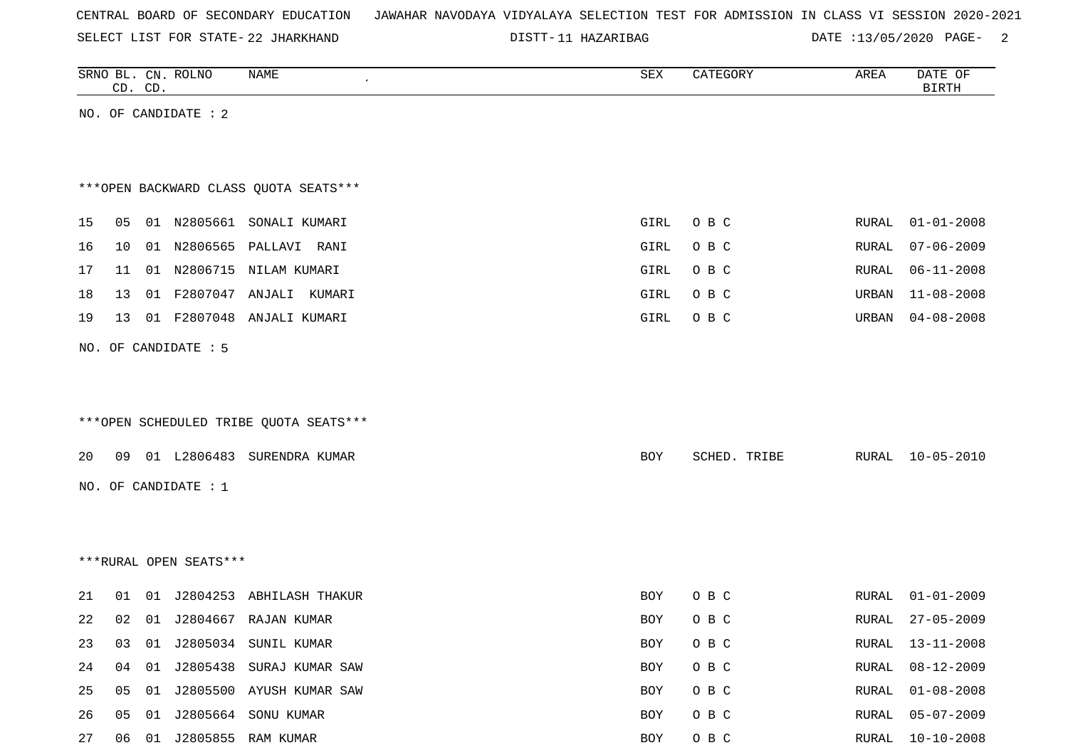|  |  |  | CENTRAL BOARD OF SECONDARY EDUCATION – JAWAHAR NAVODAYA VIDYALAYA SELECTION TEST FOR ADMISSION IN CLASS VI SESSION 2020-2021 |  |  |  |  |  |  |  |  |  |  |  |  |
|--|--|--|------------------------------------------------------------------------------------------------------------------------------|--|--|--|--|--|--|--|--|--|--|--|--|
|--|--|--|------------------------------------------------------------------------------------------------------------------------------|--|--|--|--|--|--|--|--|--|--|--|--|

SELECT LIST FOR STATE- DISTT- 22 JHARKHAND

DISTT-11 HAZARIBAG DATE :13/05/2020 PAGE- 2

|    |    | CD. CD. | SRNO BL. CN. ROLNO     | NAME                                   | ${\tt SEX}$ | CATEGORY     | AREA  | DATE OF<br><b>BIRTH</b> |
|----|----|---------|------------------------|----------------------------------------|-------------|--------------|-------|-------------------------|
|    |    |         | NO. OF CANDIDATE : 2   |                                        |             |              |       |                         |
|    |    |         |                        |                                        |             |              |       |                         |
|    |    |         |                        |                                        |             |              |       |                         |
|    |    |         |                        | ***OPEN BACKWARD CLASS QUOTA SEATS***  |             |              |       |                         |
| 15 | 05 |         |                        | 01 N2805661 SONALI KUMARI              | GIRL        | O B C        | RURAL | $01 - 01 - 2008$        |
| 16 | 10 |         | 01 N2806565            | PALLAVI RANI                           | GIRL        | O B C        | RURAL | $07 - 06 - 2009$        |
| 17 | 11 |         |                        | 01 N2806715 NILAM KUMARI               | GIRL        | O B C        | RURAL | $06 - 11 - 2008$        |
| 18 | 13 | 01      |                        | F2807047 ANJALI KUMARI                 | GIRL        | O B C        | URBAN | $11 - 08 - 2008$        |
| 19 | 13 |         |                        | 01 F2807048 ANJALI KUMARI              | GIRL        | O B C        | URBAN | $04 - 08 - 2008$        |
|    |    |         | NO. OF CANDIDATE : 5   |                                        |             |              |       |                         |
|    |    |         |                        |                                        |             |              |       |                         |
|    |    |         |                        |                                        |             |              |       |                         |
|    |    |         |                        | ***OPEN SCHEDULED TRIBE QUOTA SEATS*** |             |              |       |                         |
| 20 | 09 |         |                        | 01 L2806483 SURENDRA KUMAR             | BOY         | SCHED. TRIBE | RURAL | $10 - 05 - 2010$        |
|    |    |         |                        |                                        |             |              |       |                         |
|    |    |         | NO. OF CANDIDATE : 1   |                                        |             |              |       |                         |
|    |    |         |                        |                                        |             |              |       |                         |
|    |    |         |                        |                                        |             |              |       |                         |
|    |    |         | ***RURAL OPEN SEATS*** |                                        |             |              |       |                         |
| 21 | 01 |         |                        | 01 J2804253 ABHILASH THAKUR            | BOY         | O B C        | RURAL | $01 - 01 - 2009$        |
| 22 | 02 |         |                        | 01 J2804667 RAJAN KUMAR                | BOY         | O B C        | RURAL | $27 - 05 - 2009$        |
| 23 | 03 |         |                        | 01 J2805034 SUNIL KUMAR                | BOY         | O B C        | RURAL | $13 - 11 - 2008$        |
| 24 | 04 | 01      |                        | J2805438 SURAJ KUMAR SAW               | BOY         | O B C        | RURAL | $08 - 12 - 2009$        |
| 25 | 05 |         |                        | 01 J2805500 AYUSH KUMAR SAW            | BOY         | O B C        | RURAL | $01 - 08 - 2008$        |
| 26 | 05 |         |                        | 01 J2805664 SONU KUMAR                 | BOY         | O B C        | RURAL | $05 - 07 - 2009$        |
| 27 |    |         |                        | 06  01  J2805855  RAM KUMAR            | BOY         | $O$ B $C$    | RURAL | $10 - 10 - 2008$        |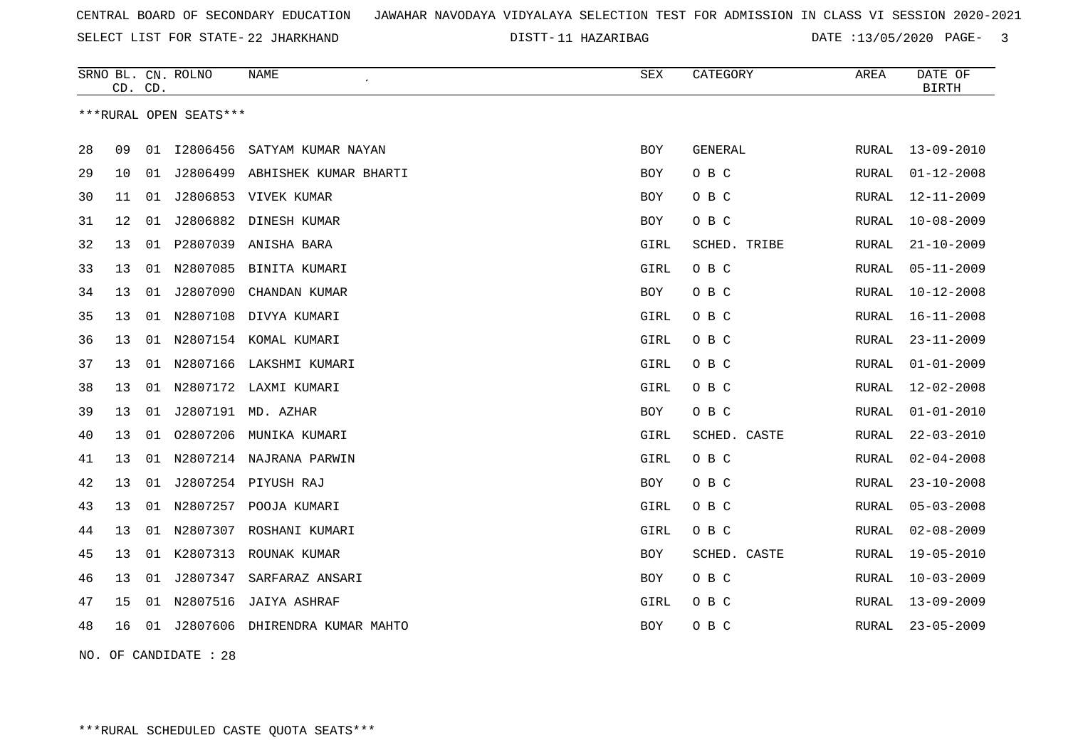SELECT LIST FOR STATE- DISTT- 22 JHARKHAND

11 HAZARIBAG DATE :13/05/2020 PAGE- 3

|    |    | CD. CD. | SRNO BL. CN. ROLNO     | <b>NAME</b>                    | SEX        | CATEGORY     | AREA         | DATE OF<br><b>BIRTH</b> |
|----|----|---------|------------------------|--------------------------------|------------|--------------|--------------|-------------------------|
|    |    |         | ***RURAL OPEN SEATS*** |                                |            |              |              |                         |
| 28 | 09 | 01      | I2806456               | SATYAM KUMAR NAYAN             | <b>BOY</b> | GENERAL      | RURAL        | $13 - 09 - 2010$        |
| 29 | 10 | 01      |                        | J2806499 ABHISHEK KUMAR BHARTI | BOY        | O B C        | RURAL        | $01 - 12 - 2008$        |
| 30 | 11 | 01      |                        | J2806853 VIVEK KUMAR           | BOY        | O B C        | RURAL        | $12 - 11 - 2009$        |
| 31 | 12 | 01      | J2806882               | DINESH KUMAR                   | <b>BOY</b> | O B C        | RURAL        | $10 - 08 - 2009$        |
| 32 | 13 |         |                        | 01 P2807039 ANISHA BARA        | GIRL       | SCHED. TRIBE | RURAL        | $21 - 10 - 2009$        |
| 33 | 13 | 01      |                        | N2807085 BINITA KUMARI         | GIRL       | O B C        | RURAL        | $05 - 11 - 2009$        |
| 34 | 13 | 01      | J2807090               | CHANDAN KUMAR                  | <b>BOY</b> | O B C        | RURAL        | $10 - 12 - 2008$        |
| 35 | 13 | 01      | N2807108               | DIVYA KUMARI                   | GIRL       | O B C        | RURAL        | $16 - 11 - 2008$        |
| 36 | 13 | 01      |                        | N2807154 KOMAL KUMARI          | GIRL       | O B C        | RURAL        | $23 - 11 - 2009$        |
| 37 | 13 | 01      |                        | N2807166 LAKSHMI KUMARI        | GIRL       | O B C        | RURAL        | $01 - 01 - 2009$        |
| 38 | 13 | 01      |                        | N2807172 LAXMI KUMARI          | GIRL       | O B C        | RURAL        | $12 - 02 - 2008$        |
| 39 | 13 | 01      |                        | J2807191 MD. AZHAR             | BOY        | O B C        | RURAL        | $01 - 01 - 2010$        |
| 40 | 13 | 01      | 02807206               | MUNIKA KUMARI                  | GIRL       | SCHED. CASTE | RURAL        | $22 - 03 - 2010$        |
| 41 | 13 | 01      |                        | N2807214 NAJRANA PARWIN        | GIRL       | O B C        | RURAL        | $02 - 04 - 2008$        |
| 42 | 13 | 01      |                        | J2807254 PIYUSH RAJ            | BOY        | O B C        | RURAL        | $23 - 10 - 2008$        |
| 43 | 13 | 01      |                        | N2807257 POOJA KUMARI          | GIRL       | O B C        | RURAL        | $05 - 03 - 2008$        |
| 44 | 13 | 01      | N2807307               | ROSHANI KUMARI                 | GIRL       | O B C        | <b>RURAL</b> | $02 - 08 - 2009$        |
| 45 | 13 | 01      | K2807313               | ROUNAK KUMAR                   | <b>BOY</b> | SCHED. CASTE | RURAL        | $19 - 05 - 2010$        |
| 46 | 13 | 01      | J2807347               | SARFARAZ ANSARI                | BOY        | O B C        | RURAL        | $10 - 03 - 2009$        |
| 47 | 15 | 01      | N2807516               | JAIYA ASHRAF                   | GIRL       | O B C        | RURAL        | $13 - 09 - 2009$        |
| 48 | 16 | 01      |                        | J2807606 DHIRENDRA KUMAR MAHTO | BOY        | O B C        | RURAL        | $23 - 05 - 2009$        |

NO. OF CANDIDATE : 28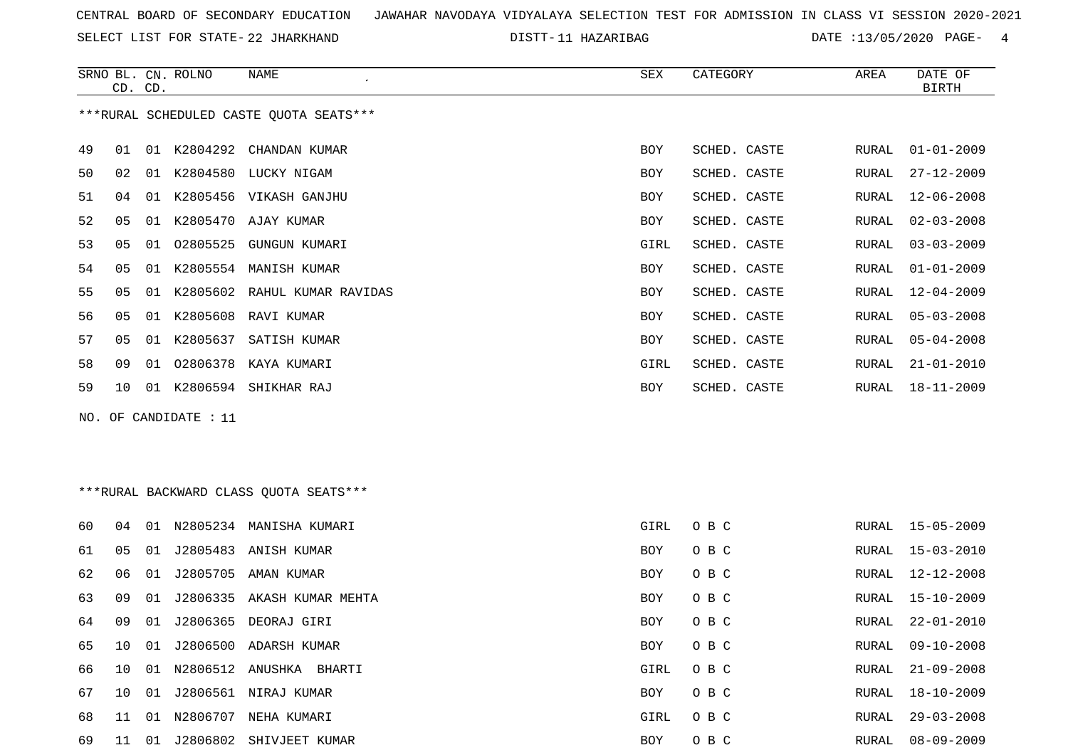SELECT LIST FOR STATE- DISTT- 22 JHARKHAND

11 HAZARIBAG DATE :13/05/2020 PAGE- 4

|    | CD. CD.         |    | SRNO BL. CN. ROLNO | NAME                                    | SEX        | CATEGORY     | AREA  | DATE OF<br>BIRTH |
|----|-----------------|----|--------------------|-----------------------------------------|------------|--------------|-------|------------------|
|    |                 |    |                    | ***RURAL SCHEDULED CASTE OUOTA SEATS*** |            |              |       |                  |
| 49 | 01              | 01 |                    | K2804292 CHANDAN KUMAR                  | <b>BOY</b> | SCHED. CASTE | RURAL | $01 - 01 - 2009$ |
| 50 | 02              | 01 |                    | K2804580 LUCKY NIGAM                    | BOY        | SCHED. CASTE | RURAL | 27-12-2009       |
| 51 | 04              | 01 |                    | K2805456 VIKASH GANJHU                  | BOY        | SCHED. CASTE | RURAL | $12 - 06 - 2008$ |
| 52 | 05              | 01 |                    | K2805470 AJAY KUMAR                     | <b>BOY</b> | SCHED. CASTE | RURAL | $02 - 03 - 2008$ |
| 53 | 0 <sub>5</sub>  | 01 | 02805525           | GUNGUN KUMARI                           | GIRL       | SCHED. CASTE | RURAL | $03 - 03 - 2009$ |
| 54 | 05              | 01 |                    | K2805554 MANISH KUMAR                   | <b>BOY</b> | SCHED. CASTE | RURAL | $01 - 01 - 2009$ |
| 55 | 05              | 01 |                    | K2805602 RAHUL KUMAR RAVIDAS            | BOY        | SCHED. CASTE | RURAL | $12 - 04 - 2009$ |
| 56 | 05              | 01 | K2805608           | RAVI KUMAR                              | <b>BOY</b> | SCHED. CASTE | RURAL | $05 - 03 - 2008$ |
| 57 | 05              | 01 | K2805637           | SATISH KUMAR                            | <b>BOY</b> | SCHED. CASTE | RURAL | $05 - 04 - 2008$ |
| 58 | 09              | 01 |                    | 02806378 KAYA KUMARI                    | GIRL       | SCHED. CASTE | RURAL | $21 - 01 - 2010$ |
| 59 | 10 <sup>°</sup> | 01 | K2806594           | SHIKHAR RAJ                             | <b>BOY</b> | SCHED. CASTE | RURAL | $18 - 11 - 2009$ |

NO. OF CANDIDATE : 11

# \*\*\*RURAL BACKWARD CLASS QUOTA SEATS\*\*\*

| 60 | 04              | 01    | N2805234 | MANISHA KUMARI       | GIRL       | O B C | RURAL | 15-05-2009       |
|----|-----------------|-------|----------|----------------------|------------|-------|-------|------------------|
| 61 | 05              | 01    | J2805483 | ANISH KUMAR          | BOY        | O B C | RURAL | 15-03-2010       |
| 62 | 06              | 01    | J2805705 | AMAN KUMAR           | <b>BOY</b> | O B C | RURAL | 12-12-2008       |
| 63 | 09              | 01    | J2806335 | AKASH KUMAR MEHTA    | <b>BOY</b> | O B C | RURAL | 15-10-2009       |
| 64 | 09              | 01    | J2806365 | DEORAJ GIRI          | <b>BOY</b> | O B C | RURAL | 22-01-2010       |
| 65 | 10              | 01    | J2806500 | ADARSH KUMAR         | <b>BOY</b> | O B C | RURAL | $09 - 10 - 2008$ |
| 66 | 10 <sup>°</sup> | . N 1 | N2806512 | ANUSHKA<br>BHARTI    | GIRL       | O B C | RURAL | $21 - 09 - 2008$ |
| 67 | 10 <sup>°</sup> | O 1   |          | J2806561 NIRAJ KUMAR | <b>BOY</b> | O B C | RURAL | $18 - 10 - 2009$ |
| 68 | 11              | 01    | N2806707 | NEHA KUMARI          | GIRL       | O B C | RURAL | $29 - 03 - 2008$ |
| 69 | 11              | 01    | J2806802 | SHIVJEET KUMAR       | <b>BOY</b> | O B C | RURAL | 08-09-2009       |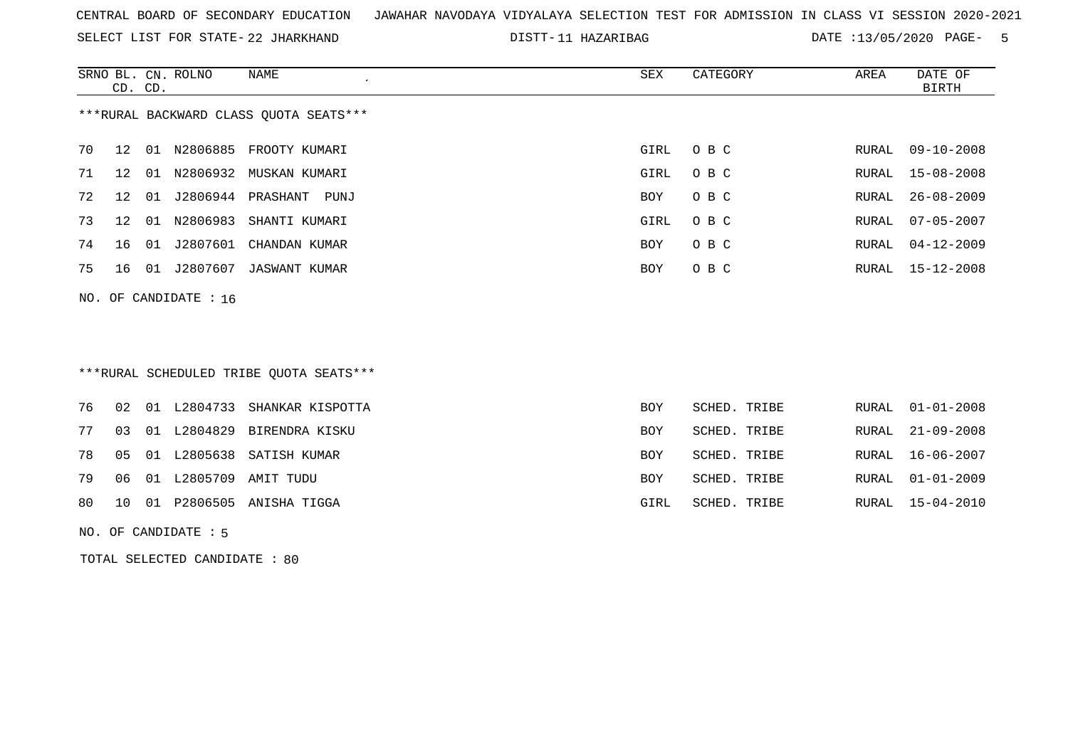SELECT LIST FOR STATE- DISTT- 22 JHARKHAND

11 HAZARIBAG DATE :13/05/2020 PAGE- 5

RURAL 16-06-2007

|    | CD. CD. |    | SRNO BL. CN. ROLNO    | <b>NAME</b><br>$\cdot$                  | SEX        | CATEGORY     | AREA  | DATE OF<br><b>BIRTH</b> |
|----|---------|----|-----------------------|-----------------------------------------|------------|--------------|-------|-------------------------|
|    |         |    |                       | *** RURAL BACKWARD CLASS QUOTA SEATS*** |            |              |       |                         |
| 70 | 12      | 01 | N2806885              | FROOTY KUMARI                           | GIRL       | O B C        | RURAL | $09 - 10 - 2008$        |
| 71 | 12      |    |                       | 01 N2806932 MUSKAN KUMARI               | GIRL       | O B C        | RURAL | $15 - 08 - 2008$        |
| 72 | 12      | 01 | J2806944              | PRASHANT<br>PUNJ                        | <b>BOY</b> | O B C        | RURAL | $26 - 08 - 2009$        |
| 73 | 12      | 01 | N2806983              | SHANTI KUMARI                           | GIRL       | O B C        | RURAL | $07 - 05 - 2007$        |
| 74 | 16      | 01 | J2807601              | CHANDAN KUMAR                           | <b>BOY</b> | O B C        | RURAL | $04 - 12 - 2009$        |
| 75 | 16      | 01 | J2807607              | JASWANT KUMAR                           | BOY        | O B C        | RURAL | $15 - 12 - 2008$        |
|    |         |    | NO. OF CANDIDATE : 16 |                                         |            |              |       |                         |
|    |         |    |                       |                                         |            |              |       |                         |
|    |         |    |                       | ***RURAL SCHEDULED TRIBE QUOTA SEATS*** |            |              |       |                         |
| 76 | 02      | 01 | L2804733              | SHANKAR KISPOTTA                        | <b>BOY</b> | SCHED. TRIBE | RURAL | $01 - 01 - 2008$        |
| 77 | 03      |    | 01 L2804829           | BIRENDRA KISKU                          | <b>BOY</b> | SCHED. TRIBE | RURAL | $21 - 09 - 2008$        |

78 05 01 L2805638 SATISH KUMAR BOY SCHED. TRIBE RURAL 16-06-2007

79 06 01 L2805709 AMIT TUDU BOY SCHED. TRIBE RURAL 01-01-2009

80 10 01 P2806505 ANISHA TIGGA GIRL SCHED. TRIBE RURAL 15-04-2010

NO. OF CANDIDATE : 5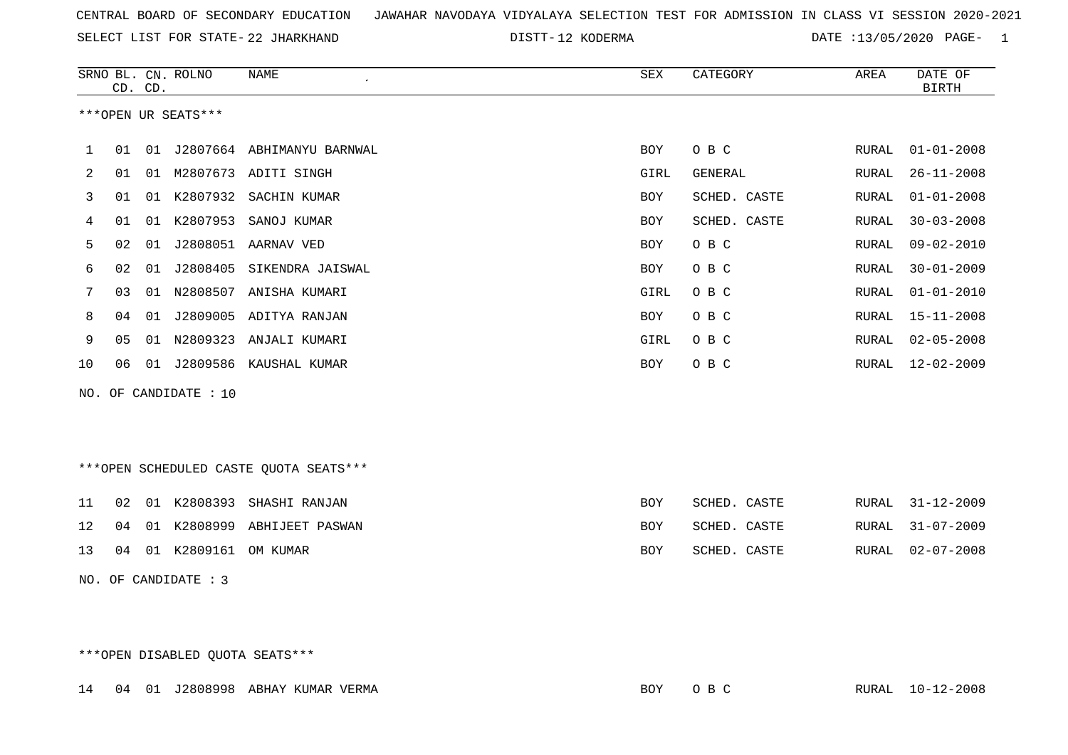SELECT LIST FOR STATE- DISTT- 22 JHARKHAND

12 KODERMA DATE :13/05/2020 PAGE- 1

|    |    | CD. CD. | SRNO BL. CN. ROLNO    | <b>NAME</b><br>$\lambda$               | SEX        | CATEGORY     | AREA          | DATE OF<br><b>BIRTH</b> |
|----|----|---------|-----------------------|----------------------------------------|------------|--------------|---------------|-------------------------|
|    |    |         | ***OPEN UR SEATS***   |                                        |            |              |               |                         |
| 1  | 01 |         |                       | 01 J2807664 ABHIMANYU BARNWAL          | BOY        | O B C        | RURAL         | $01 - 01 - 2008$        |
| 2  | 01 |         |                       | 01 M2807673 ADITI SINGH                | GIRL       | GENERAL      | RURAL         | $26 - 11 - 2008$        |
| 3  | 01 |         |                       | 01 K2807932 SACHIN KUMAR               | BOY        | SCHED. CASTE | RURAL         | $01 - 01 - 2008$        |
| 4  | 01 |         |                       | 01 K2807953 SANOJ KUMAR                | BOY        | SCHED. CASTE | RURAL         | $30 - 03 - 2008$        |
| 5  | 02 |         |                       | 01 J2808051 AARNAV VED                 | <b>BOY</b> | O B C        | RURAL         | $09 - 02 - 2010$        |
| 6  | 02 |         |                       | 01 J2808405 SIKENDRA JAISWAL           | BOY        | O B C        | RURAL         | $30 - 01 - 2009$        |
| 7  | 03 |         |                       | 01 N2808507 ANISHA KUMARI              | GIRL       | O B C        | ${\tt RURAL}$ | $01 - 01 - 2010$        |
| 8  | 04 |         |                       | 01 J2809005 ADITYA RANJAN              | <b>BOY</b> | O B C        | RURAL         | $15 - 11 - 2008$        |
| 9  | 05 |         |                       | 01 N2809323 ANJALI KUMARI              | GIRL       | O B C        | RURAL         | $02 - 05 - 2008$        |
| 10 | 06 |         |                       | 01 J2809586 KAUSHAL KUMAR              | <b>BOY</b> | O B C        |               | RURAL 12-02-2009        |
|    |    |         | NO. OF CANDIDATE : 10 |                                        |            |              |               |                         |
|    |    |         |                       |                                        |            |              |               |                         |
|    |    |         |                       |                                        |            |              |               |                         |
|    |    |         |                       | ***OPEN SCHEDULED CASTE QUOTA SEATS*** |            |              |               |                         |
| 11 | 02 |         |                       | 01 K2808393 SHASHI RANJAN              | <b>BOY</b> | SCHED. CASTE | RURAL         | $31 - 12 - 2009$        |
| 12 | 04 |         |                       | 01 K2808999 ABHIJEET PASWAN            | BOY        | SCHED. CASTE | RURAL         | $31 - 07 - 2009$        |
| 13 | 04 |         | 01 K2809161 OM KUMAR  |                                        | BOY        | SCHED. CASTE | RURAL         | $02 - 07 - 2008$        |
|    |    |         | NO. OF CANDIDATE : 3  |                                        |            |              |               |                         |
|    |    |         |                       |                                        |            |              |               |                         |
|    |    |         |                       |                                        |            |              |               |                         |

\*\*\*OPEN DISABLED QUOTA SEATS\*\*\*

14 04 01 J2808998 ABHAY KUMAR VERMA BOY O B C RURAL 10-12-2008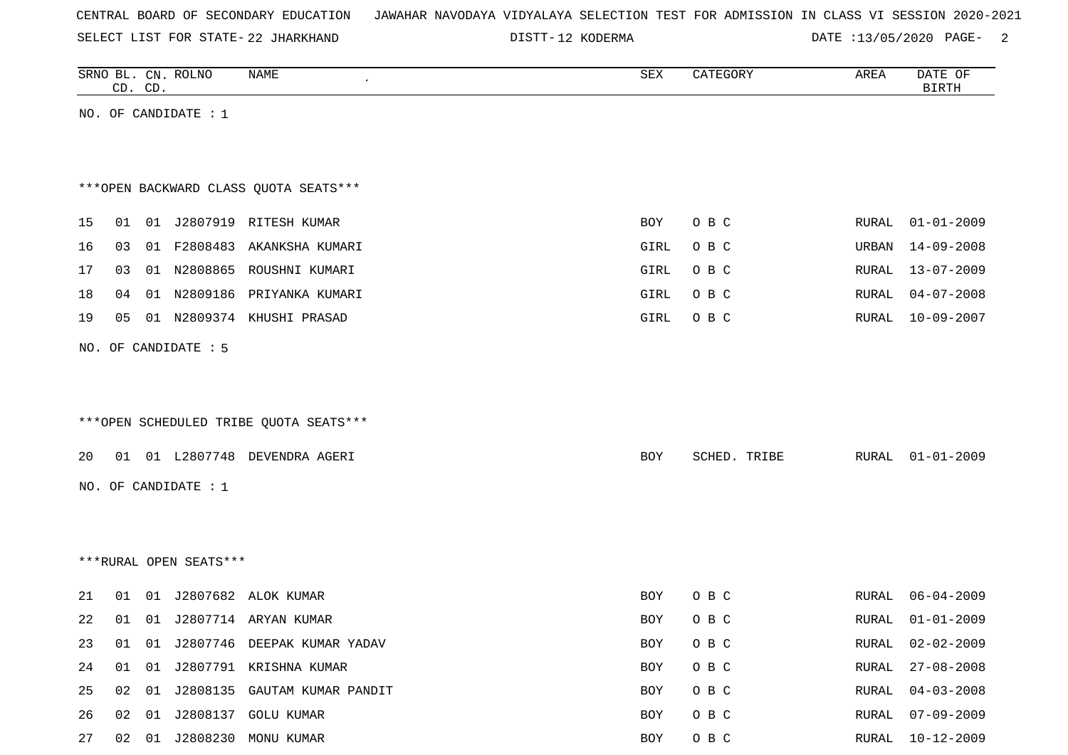|  |  |  | CENTRAL BOARD OF SECONDARY EDUCATION – JAWAHAR NAVODAYA VIDYALAYA SELECTION TEST FOR ADMISSION IN CLASS VI SESSION 2020-2021 |  |  |  |  |  |  |  |  |  |  |  |  |
|--|--|--|------------------------------------------------------------------------------------------------------------------------------|--|--|--|--|--|--|--|--|--|--|--|--|
|--|--|--|------------------------------------------------------------------------------------------------------------------------------|--|--|--|--|--|--|--|--|--|--|--|--|

SELECT LIST FOR STATE- DISTT- 22 JHARKHAND

DISTT-12 KODERMA DATE :13/05/2020 PAGE- 2

|    |    | CD. CD. | SRNO BL. CN. ROLNO     | NAME                                   | SEX        | CATEGORY     | AREA  | DATE OF<br><b>BIRTH</b> |
|----|----|---------|------------------------|----------------------------------------|------------|--------------|-------|-------------------------|
|    |    |         | NO. OF CANDIDATE : $1$ |                                        |            |              |       |                         |
|    |    |         |                        |                                        |            |              |       |                         |
|    |    |         |                        |                                        |            |              |       |                         |
|    |    |         |                        | *** OPEN BACKWARD CLASS QUOTA SEATS*** |            |              |       |                         |
| 15 | 01 |         |                        | 01 J2807919 RITESH KUMAR               | BOY        | O B C        | RURAL | $01 - 01 - 2009$        |
| 16 | 03 |         |                        | 01 F2808483 AKANKSHA KUMARI            | GIRL       | O B C        | URBAN | $14 - 09 - 2008$        |
| 17 | 03 |         |                        | 01 N2808865 ROUSHNI KUMARI             | GIRL       | O B C        | RURAL | 13-07-2009              |
| 18 | 04 |         |                        | 01 N2809186 PRIYANKA KUMARI            | GIRL       | O B C        | RURAL | $04 - 07 - 2008$        |
| 19 | 05 |         |                        | 01 N2809374 KHUSHI PRASAD              | GIRL       | O B C        | RURAL | $10 - 09 - 2007$        |
|    |    |         |                        |                                        |            |              |       |                         |
|    |    |         | NO. OF CANDIDATE : 5   |                                        |            |              |       |                         |
|    |    |         |                        |                                        |            |              |       |                         |
|    |    |         |                        | ***OPEN SCHEDULED TRIBE QUOTA SEATS*** |            |              |       |                         |
|    |    |         |                        |                                        |            |              |       |                         |
| 20 |    |         |                        | 01 01 L2807748 DEVENDRA AGERI          | BOY        | SCHED. TRIBE | RURAL | $01 - 01 - 2009$        |
|    |    |         | NO. OF CANDIDATE : 1   |                                        |            |              |       |                         |
|    |    |         |                        |                                        |            |              |       |                         |
|    |    |         |                        |                                        |            |              |       |                         |
|    |    |         | ***RURAL OPEN SEATS*** |                                        |            |              |       |                         |
|    |    |         |                        |                                        |            |              |       |                         |
| 21 | 01 |         |                        | 01 J2807682 ALOK KUMAR                 | BOY        | O B C        | RURAL | $06 - 04 - 2009$        |
| 22 |    |         |                        | 01 01 J2807714 ARYAN KUMAR             | <b>BOY</b> | O B C        | RURAL | $01 - 01 - 2009$        |
| 23 | 01 |         |                        | 01 J2807746 DEEPAK KUMAR YADAV         | <b>BOY</b> | O B C        | RURAL | $02 - 02 - 2009$        |
| 24 | 01 | 01      |                        | J2807791 KRISHNA KUMAR                 | BOY        | O B C        | RURAL | $27 - 08 - 2008$        |
| 25 | 02 |         |                        | 01 J2808135 GAUTAM KUMAR PANDIT        | BOY        | O B C        | RURAL | $04 - 03 - 2008$        |
| 26 | 02 |         |                        | 01 J2808137 GOLU KUMAR                 | BOY        | O B C        | RURAL | $07 - 09 - 2009$        |
| 27 |    |         |                        | 02 01 J2808230 MONU KUMAR              | BOY        | $O$ B $C$    |       | RURAL 10-12-2009        |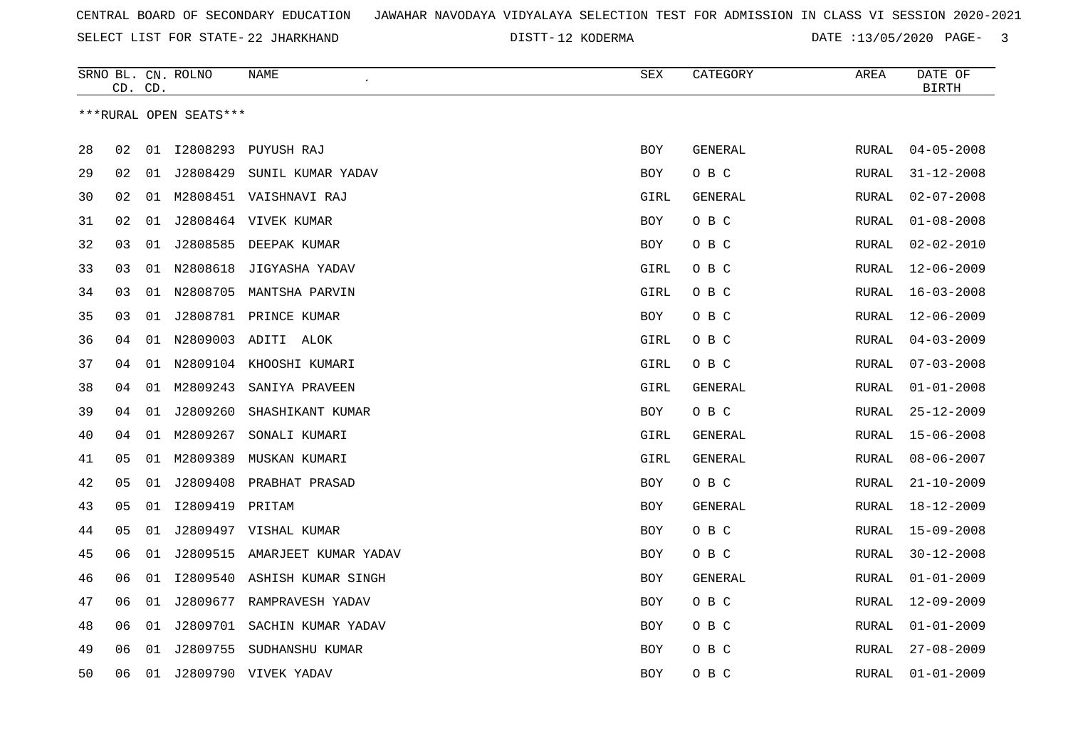SELECT LIST FOR STATE- DISTT- 22 JHARKHAND

12 KODERMA DATE :13/05/2020 PAGE- 3

|    |    | CD. CD. | SRNO BL. CN. ROLNO     | NAME                          | SEX        | CATEGORY | AREA          | DATE OF<br>$\operatorname{BIRTH}$ |
|----|----|---------|------------------------|-------------------------------|------------|----------|---------------|-----------------------------------|
|    |    |         | ***RURAL OPEN SEATS*** |                               |            |          |               |                                   |
| 28 | 02 | 01      |                        | I2808293 PUYUSH RAJ           | BOY        | GENERAL  | RURAL         | $04 - 05 - 2008$                  |
| 29 | 02 | 01      | J2808429               | SUNIL KUMAR YADAV             | BOY        | O B C    | RURAL         | $31 - 12 - 2008$                  |
| 30 | 02 | 01      |                        | M2808451 VAISHNAVI RAJ        | GIRL       | GENERAL  | RURAL         | $02 - 07 - 2008$                  |
| 31 | 02 | 01      |                        | J2808464 VIVEK KUMAR          | BOY        | O B C    | RURAL         | $01 - 08 - 2008$                  |
| 32 | 03 | 01      |                        | J2808585 DEEPAK KUMAR         | BOY        | O B C    | RURAL         | $02 - 02 - 2010$                  |
| 33 | 03 | 01      | N2808618               | JIGYASHA YADAV                | GIRL       | O B C    | RURAL         | $12 - 06 - 2009$                  |
| 34 | 03 |         |                        | 01 N2808705 MANTSHA PARVIN    | GIRL       | O B C    | RURAL         | $16 - 03 - 2008$                  |
| 35 | 03 | 01      |                        | J2808781 PRINCE KUMAR         | BOY        | O B C    | RURAL         | $12 - 06 - 2009$                  |
| 36 | 04 |         |                        | 01 N2809003 ADITI ALOK        | GIRL       | O B C    | <b>RURAL</b>  | $04 - 03 - 2009$                  |
| 37 | 04 | 01      | N2809104               | KHOOSHI KUMARI                | GIRL       | O B C    | RURAL         | $07 - 03 - 2008$                  |
| 38 | 04 | 01      | M2809243               | SANIYA PRAVEEN                | GIRL       | GENERAL  | RURAL         | $01 - 01 - 2008$                  |
| 39 | 04 | 01      | J2809260               | SHASHIKANT KUMAR              | BOY        | O B C    | <b>RURAL</b>  | $25 - 12 - 2009$                  |
| 40 | 04 | 01      | M2809267               | SONALI KUMARI                 | GIRL       | GENERAL  | RURAL         | $15 - 06 - 2008$                  |
| 41 | 05 | 01      | M2809389               | MUSKAN KUMARI                 | GIRL       | GENERAL  | RURAL         | $08 - 06 - 2007$                  |
| 42 | 05 | 01      |                        | J2809408 PRABHAT PRASAD       | <b>BOY</b> | O B C    | RURAL         | $21 - 10 - 2009$                  |
| 43 | 05 | 01      | I2809419               | PRITAM                        | <b>BOY</b> | GENERAL  | RURAL         | $18 - 12 - 2009$                  |
| 44 | 05 | 01      |                        | J2809497 VISHAL KUMAR         | BOY        | O B C    | RURAL         | $15 - 09 - 2008$                  |
| 45 | 06 | 01      |                        | J2809515 AMARJEET KUMAR YADAV | <b>BOY</b> | O B C    | ${\tt RURAL}$ | $30 - 12 - 2008$                  |
| 46 | 06 | 01      |                        | 12809540 ASHISH KUMAR SINGH   | BOY        | GENERAL  | RURAL         | $01 - 01 - 2009$                  |
| 47 | 06 | 01      | J2809677               | RAMPRAVESH YADAV              | BOY        | O B C    | RURAL         | $12 - 09 - 2009$                  |
| 48 | 06 | 01      | J2809701               | SACHIN KUMAR YADAV            | <b>BOY</b> | O B C    | RURAL         | $01 - 01 - 2009$                  |
| 49 | 06 | 01      | J2809755               | SUDHANSHU KUMAR               | <b>BOY</b> | O B C    | RURAL         | $27 - 08 - 2009$                  |
| 50 | 06 | 01      |                        | J2809790 VIVEK YADAV          | <b>BOY</b> | O B C    | <b>RURAL</b>  | $01 - 01 - 2009$                  |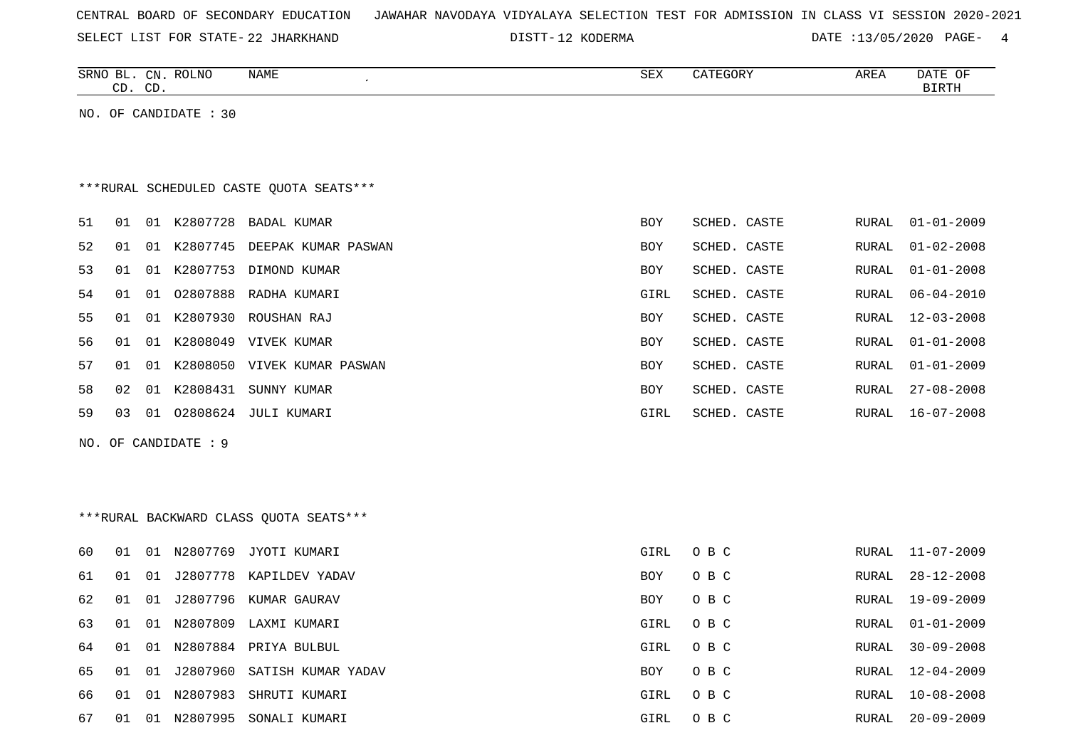| CENTRAL BOARD OF SECONDARY EDUCATION – JAWAHAR NAVODAYA VIDYALAYA SELECTION TEST FOR ADMISSION IN CLASS VI SESSION 2020-2021 |  |  |  |
|------------------------------------------------------------------------------------------------------------------------------|--|--|--|
|------------------------------------------------------------------------------------------------------------------------------|--|--|--|

SELECT LIST FOR STATE- DISTT- 22 JHARKHAND 12 KODERMA DATE :13/05/2020 PAGE- 4

|    | CD. CD. |    | SRNO BL. CN. ROLNO    | <b>NAME</b>                              | <b>SEX</b> | CATEGORY     | AREA         | DATE OF<br><b>BIRTH</b> |
|----|---------|----|-----------------------|------------------------------------------|------------|--------------|--------------|-------------------------|
|    |         |    | NO. OF CANDIDATE : 30 |                                          |            |              |              |                         |
|    |         |    |                       |                                          |            |              |              |                         |
|    |         |    |                       |                                          |            |              |              |                         |
|    |         |    |                       | *** RURAL SCHEDULED CASTE QUOTA SEATS*** |            |              |              |                         |
| 51 | 01      |    | 01 K2807728           | BADAL KUMAR                              | <b>BOY</b> | SCHED. CASTE | RURAL        | $01 - 01 - 2009$        |
| 52 | 01      |    |                       | 01 K2807745 DEEPAK KUMAR PASWAN          | BOY        | SCHED. CASTE | RURAL        | $01 - 02 - 2008$        |
| 53 | 01      |    |                       | 01 K2807753 DIMOND KUMAR                 | <b>BOY</b> | SCHED. CASTE | RURAL        | $01 - 01 - 2008$        |
| 54 | 01      | 01 |                       | 02807888 RADHA KUMARI                    | GIRL       | SCHED. CASTE | RURAL        | $06 - 04 - 2010$        |
| 55 | 01      |    |                       | 01 K2807930 ROUSHAN RAJ                  | <b>BOY</b> | SCHED. CASTE | <b>RURAL</b> | $12 - 03 - 2008$        |
| 56 | 01      |    |                       | 01 K2808049 VIVEK KUMAR                  | BOY        | SCHED. CASTE | RURAL        | $01 - 01 - 2008$        |
| 57 | 01      |    |                       | 01 K2808050 VIVEK KUMAR PASWAN           | BOY        | SCHED. CASTE | RURAL        | $01 - 01 - 2009$        |
| 58 | 02      | 01 | K2808431              | SUNNY KUMAR                              | BOY        | SCHED. CASTE | RURAL        | $27 - 08 - 2008$        |
| 59 | 03      |    |                       | 01  02808624  JULI KUMARI                | GIRL       | SCHED. CASTE | RURAL        | $16 - 07 - 2008$        |
|    |         |    | NO. OF CANDIDATE : 9  |                                          |            |              |              |                         |
|    |         |    |                       |                                          |            |              |              |                         |
|    |         |    |                       |                                          |            |              |              |                         |
|    |         |    |                       | *** RURAL BACKWARD CLASS QUOTA SEATS***  |            |              |              |                         |
| 60 | 01      |    |                       | 01 N2807769 JYOTI KUMARI                 | GIRL       | O B C        | RURAL        | $11 - 07 - 2009$        |
| 61 | 01      |    |                       | 01 J2807778 KAPILDEV YADAV               | BOY        | O B C        | RURAL        | $28 - 12 - 2008$        |
| 62 | 01      | 01 |                       | J2807796 KUMAR GAURAV                    | <b>BOY</b> | O B C        | <b>RURAL</b> | 19-09-2009              |
| 63 | 01      |    |                       | 01 N2807809 LAXMI KUMARI                 | GIRL       | O B C        | RURAL        | $01 - 01 - 2009$        |
| 64 | 01      |    |                       | 01 N2807884 PRIYA BULBUL                 | GIRL       | O B C        | RURAL        | $30 - 09 - 2008$        |
| 65 | 01      | 01 |                       | J2807960 SATISH KUMAR YADAV              | BOY        | O B C        | RURAL        | $12 - 04 - 2009$        |
| 66 | 01      |    |                       | 01 N2807983 SHRUTI KUMARI                | GIRL       | O B C        | RURAL        | $10 - 08 - 2008$        |

67 01 01 N2807995 SONALI KUMARI GIRL O B C RURAL 20-09-2009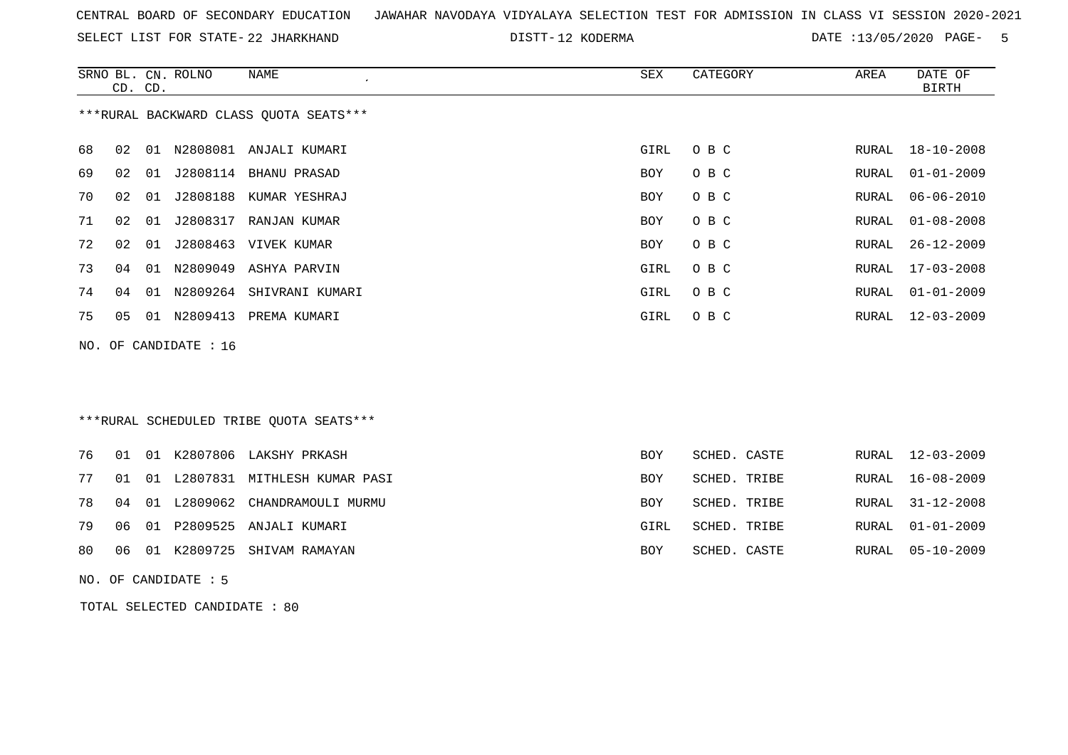|  |  |  |  | CENTRAL BOARD OF SECONDARY EDUCATION GJAWAHAR NAVODAYA VIDYALAYA SELECTION TEST FOR ADMISSION IN CLASS VI SESSION 2020-2021 |  |  |  |  |  |  |  |  |  |  |  |
|--|--|--|--|-----------------------------------------------------------------------------------------------------------------------------|--|--|--|--|--|--|--|--|--|--|--|
|--|--|--|--|-----------------------------------------------------------------------------------------------------------------------------|--|--|--|--|--|--|--|--|--|--|--|

SELECT LIST FOR STATE- DISTT- 22 JHARKHAND

12 KODERMA DATE :13/05/2020 PAGE- 5

|     | CD. CD. |    | SRNO BL. CN. ROLNO | <b>NAME</b>                             | SEX        | CATEGORY     | AREA         | DATE OF<br><b>BIRTH</b> |
|-----|---------|----|--------------------|-----------------------------------------|------------|--------------|--------------|-------------------------|
|     |         |    |                    | ***RURAL BACKWARD CLASS OUOTA SEATS***  |            |              |              |                         |
| 68  | 02      | 01 | N2808081           | ANJALI KUMARI                           | GIRL       | O B C        | <b>RURAL</b> | $18 - 10 - 2008$        |
| 69  | 02      | 01 | J2808114           | BHANU PRASAD                            | <b>BOY</b> | O B C        | <b>RURAL</b> | $01 - 01 - 2009$        |
| 70  | 02      | 01 | J2808188           | KUMAR YESHRAJ                           | <b>BOY</b> | O B C        | <b>RURAL</b> | $06 - 06 - 2010$        |
| 71  | 02      | 01 | J2808317           | RANJAN KUMAR                            | <b>BOY</b> | O B C        | <b>RURAL</b> | $01 - 08 - 2008$        |
| 72  | 02      | 01 | J2808463           | VIVEK KUMAR                             | <b>BOY</b> | O B C        | <b>RURAL</b> | $26 - 12 - 2009$        |
| 73  | 04      | 01 | N2809049           | ASHYA PARVIN                            | GIRL       | O B C        | <b>RURAL</b> | $17 - 03 - 2008$        |
| 74  | 04      | 01 | N2809264           | SHIVRANI KUMARI                         | GIRL       | O B C        | <b>RURAL</b> | $01 - 01 - 2009$        |
| 75  | 05      | 01 | N2809413           | PREMA KUMARI                            | GIRL       | O B C        | <b>RURAL</b> | $12 - 03 - 2009$        |
| NO. |         |    | OF CANDIDATE : 16  |                                         |            |              |              |                         |
|     |         |    |                    |                                         |            |              |              |                         |
|     |         |    |                    | ***RURAL SCHEDULED TRIBE QUOTA SEATS*** |            |              |              |                         |
| 76  | 01      | 01 | K2807806           | LAKSHY PRKASH                           | <b>BOY</b> | SCHED. CASTE | <b>RURAL</b> | $12 - 03 - 2009$        |
| 77  | 01      | 01 | L2807831           | MITHLESH KUMAR PASI                     | <b>BOY</b> | SCHED. TRIBE | <b>RURAL</b> | $16 - 08 - 2009$        |
| 78  | 04      | 01 | L2809062           | CHANDRAMOULI MURMU                      | <b>BOY</b> | SCHED. TRIBE | <b>RURAL</b> | $31 - 12 - 2008$        |

|  |  | 79 06 01 P2809525 ANJALI KUMARI  | GIRL | SCHED. TRIBE |  | RURAL 01-01-2009 |
|--|--|----------------------------------|------|--------------|--|------------------|
|  |  | 80 06 01 K2809725 SHIVAM RAMAYAN | BOY  | SCHED. CASTE |  | RURAL 05-10-2009 |

NO. OF CANDIDATE : 5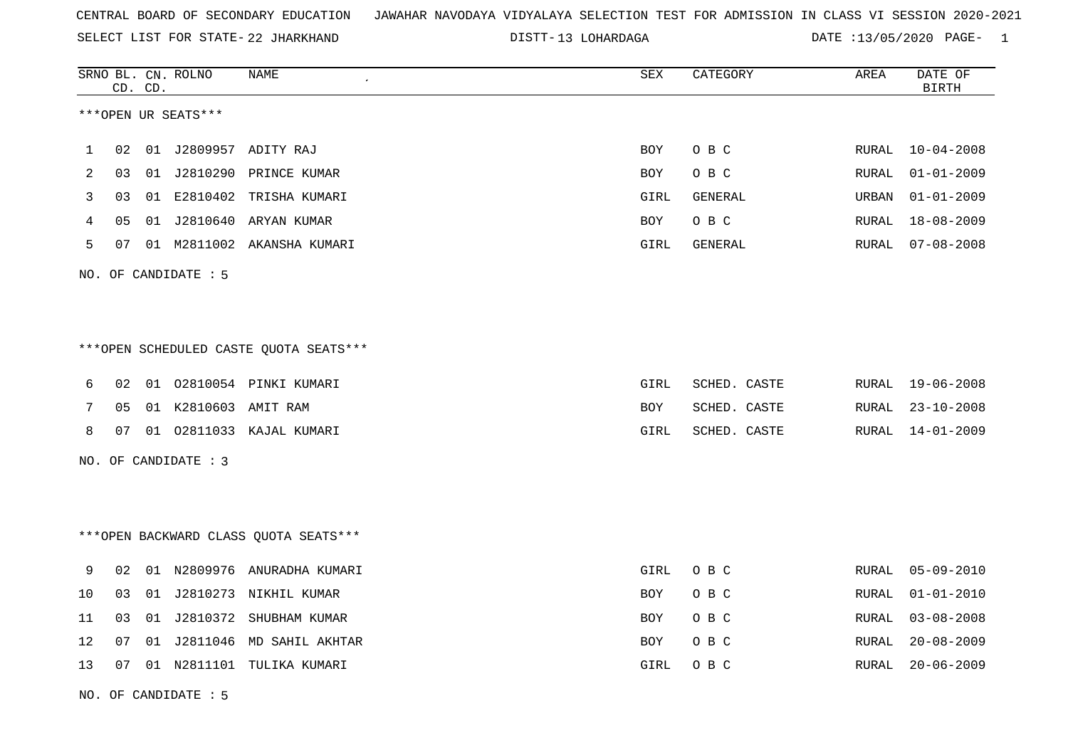SELECT LIST FOR STATE- DISTT- 22 JHARKHAND

DISTT-13 LOHARDAGA DATE :13/05/2020 PAGE- 1

|    |    | CD. CD. | SRNO BL. CN. ROLNO   | NAME                                   | SEX        | CATEGORY       | AREA  | DATE OF<br><b>BIRTH</b> |
|----|----|---------|----------------------|----------------------------------------|------------|----------------|-------|-------------------------|
|    |    |         | ***OPEN UR SEATS***  |                                        |            |                |       |                         |
| ı  | 02 | 01      |                      | J2809957 ADITY RAJ                     | <b>BOY</b> | O B C          | RURAL | $10 - 04 - 2008$        |
| 2  | 03 |         |                      | 01 J2810290 PRINCE KUMAR               | BOY        | O B C          | RURAL | $01 - 01 - 2009$        |
| 3  | 03 |         |                      | 01 E2810402 TRISHA KUMARI              | GIRL       | <b>GENERAL</b> | URBAN | $01 - 01 - 2009$        |
| 4  | 05 | 01      |                      | J2810640 ARYAN KUMAR                   | BOY        | O B C          | RURAL | $18 - 08 - 2009$        |
| 5  | 07 |         |                      | 01 M2811002 AKANSHA KUMARI             | GIRL       | GENERAL        | RURAL | $07 - 08 - 2008$        |
|    |    |         | NO. OF CANDIDATE : 5 |                                        |            |                |       |                         |
|    |    |         |                      |                                        |            |                |       |                         |
|    |    |         |                      |                                        |            |                |       |                         |
|    |    |         |                      | ***OPEN SCHEDULED CASTE QUOTA SEATS*** |            |                |       |                         |
| 6  | 02 |         |                      | 01  02810054  PINKI KUMARI             | GIRL       | SCHED. CASTE   | RURAL | $19 - 06 - 2008$        |
| 7  | 05 |         | 01 K2810603 AMIT RAM |                                        | <b>BOY</b> | SCHED. CASTE   | RURAL | $23 - 10 - 2008$        |
| 8  | 07 |         |                      | 01 02811033 KAJAL KUMARI               | GIRL       | SCHED. CASTE   | RURAL | 14-01-2009              |
|    |    |         | NO. OF CANDIDATE : 3 |                                        |            |                |       |                         |
|    |    |         |                      |                                        |            |                |       |                         |
|    |    |         |                      |                                        |            |                |       |                         |
|    |    |         |                      | *** OPEN BACKWARD CLASS QUOTA SEATS*** |            |                |       |                         |
| 9  | 02 |         |                      | 01 N2809976 ANURADHA KUMARI            | GIRL       | O B C          | RURAL | $05 - 09 - 2010$        |
| 10 | 03 | 01      | J2810273             | NIKHIL KUMAR                           | <b>BOY</b> | O B C          | RURAL | $01 - 01 - 2010$        |
| 11 | 03 | 01      |                      | J2810372 SHUBHAM KUMAR                 | <b>BOY</b> | O B C          | RURAL | $03 - 08 - 2008$        |
| 12 | 07 | 01      |                      | J2811046 MD SAHIL AKHTAR               | BOY        | O B C          | RURAL | $20 - 08 - 2009$        |
| 13 | 07 |         |                      | 01 N2811101 TULIKA KUMARI              | GIRL       | O B C          | RURAL | $20 - 06 - 2009$        |
|    |    |         |                      |                                        |            |                |       |                         |

NO. OF CANDIDATE : 5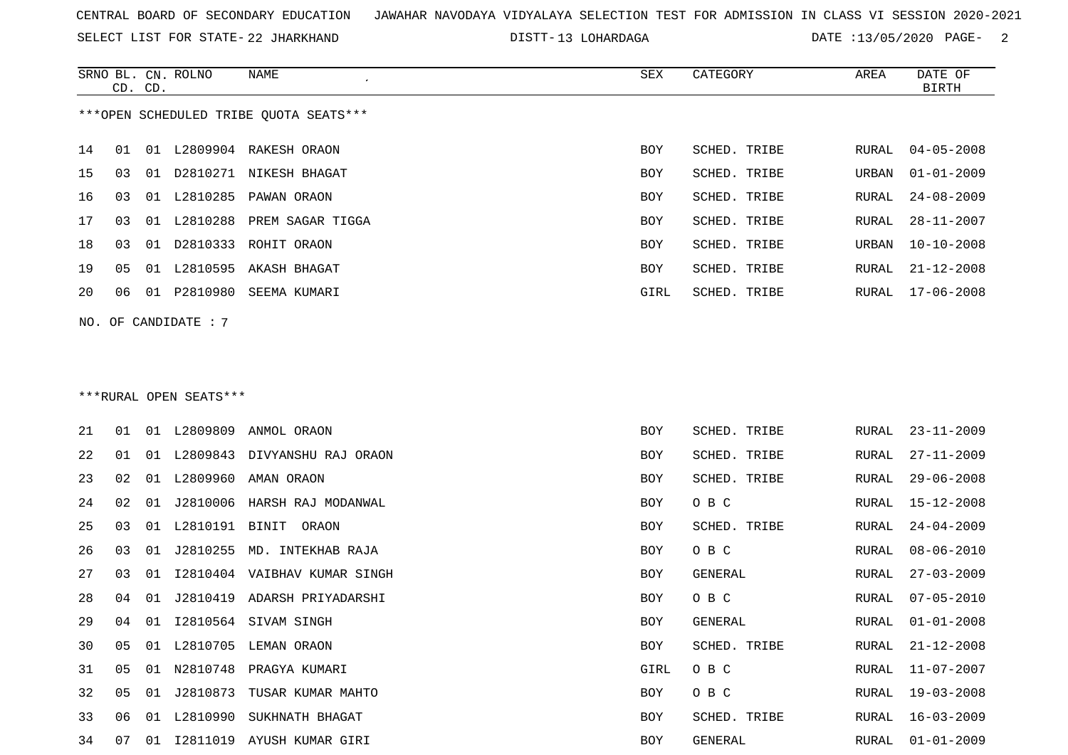SELECT LIST FOR STATE- DISTT- 22 JHARKHAND

DISTT-13 LOHARDAGA DATE :13/05/2020 PAGE- 2

|    |    | CD. CD. | SRNO BL. CN. ROLNO     | NAME                                   | <b>SEX</b> | CATEGORY     | AREA         | DATE OF<br>BIRTH |
|----|----|---------|------------------------|----------------------------------------|------------|--------------|--------------|------------------|
|    |    |         |                        | ***OPEN SCHEDULED TRIBE QUOTA SEATS*** |            |              |              |                  |
| 14 | 01 |         |                        | 01 L2809904 RAKESH ORAON               | BOY        | SCHED. TRIBE | RURAL        | $04 - 05 - 2008$ |
| 15 | 03 |         |                        | 01 D2810271 NIKESH BHAGAT              | BOY        | SCHED. TRIBE | URBAN        | $01 - 01 - 2009$ |
| 16 | 03 |         |                        | 01 L2810285 PAWAN ORAON                | BOY        | SCHED. TRIBE | RURAL        | $24 - 08 - 2009$ |
| 17 | 03 |         |                        | 01 L2810288 PREM SAGAR TIGGA           | BOY        | SCHED. TRIBE | RURAL        | $28 - 11 - 2007$ |
| 18 | 03 |         |                        | 01 D2810333 ROHIT ORAON                | BOY        | SCHED. TRIBE | URBAN        | $10 - 10 - 2008$ |
| 19 | 05 |         |                        | 01 L2810595 AKASH BHAGAT               | <b>BOY</b> | SCHED. TRIBE | RURAL        | $21 - 12 - 2008$ |
| 20 | 06 |         |                        | 01 P2810980 SEEMA KUMARI               | GIRL       | SCHED. TRIBE | RURAL        | $17 - 06 - 2008$ |
|    |    |         | NO. OF CANDIDATE : 7   |                                        |            |              |              |                  |
|    |    |         |                        |                                        |            |              |              |                  |
|    |    |         |                        |                                        |            |              |              |                  |
|    |    |         | ***RURAL OPEN SEATS*** |                                        |            |              |              |                  |
| 21 | 01 |         |                        | 01 L2809809 ANMOL ORAON                | BOY        | SCHED. TRIBE | RURAL        | $23 - 11 - 2009$ |
| 22 | 01 |         |                        | 01 L2809843 DIVYANSHU RAJ ORAON        | <b>BOY</b> | SCHED. TRIBE | <b>RURAL</b> | $27 - 11 - 2009$ |
| 23 | 02 |         |                        | 01 L2809960 AMAN ORAON                 | BOY        | SCHED. TRIBE | RURAL        | $29 - 06 - 2008$ |
| 24 | 02 |         |                        | 01 J2810006 HARSH RAJ MODANWAL         | BOY        | O B C        | RURAL        | $15 - 12 - 2008$ |
| 25 | 03 |         |                        | 01 L2810191 BINIT ORAON                | BOY        | SCHED. TRIBE | <b>RURAL</b> | $24 - 04 - 2009$ |
| 26 | 03 |         |                        | 01 J2810255 MD. INTEKHAB RAJA          | <b>BOY</b> | O B C        | <b>RURAL</b> | $08 - 06 - 2010$ |
| 27 | 03 |         |                        | 01 I2810404 VAIBHAV KUMAR SINGH        | BOY        | GENERAL      | RURAL        | $27 - 03 - 2009$ |
| 28 | 04 |         |                        | 01 J2810419 ADARSH PRIYADARSHI         | BOY        | O B C        | RURAL        | $07 - 05 - 2010$ |
| 29 | 04 |         |                        | 01 I2810564 SIVAM SINGH                | BOY        | GENERAL      | RURAL        | $01 - 01 - 2008$ |
| 30 | 05 |         |                        | 01 L2810705 LEMAN ORAON                | BOY        | SCHED. TRIBE | RURAL        | $21 - 12 - 2008$ |
| 31 | 05 |         |                        | 01 N2810748 PRAGYA KUMARI              | GIRL       | O B C        | RURAL        | $11 - 07 - 2007$ |
| 32 | 05 |         |                        | 01 J2810873 TUSAR KUMAR MAHTO          | BOY        | O B C        | <b>RURAL</b> | $19 - 03 - 2008$ |
| 33 | 06 |         |                        | 01 L2810990 SUKHNATH BHAGAT            | <b>BOY</b> | SCHED. TRIBE | <b>RURAL</b> | $16 - 03 - 2009$ |

07 01 I2811019 AYUSH KUMAR GIRI BOY GENERAL RURAL 01-01-2009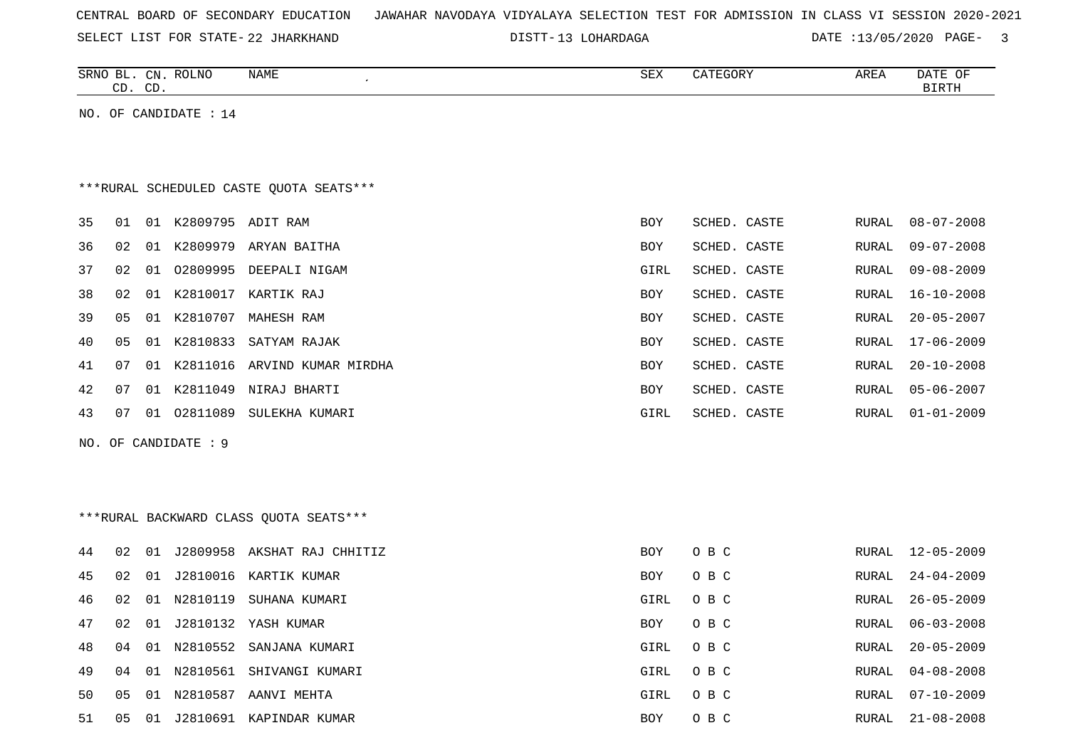|  |  |  |  | CENTRAL BOARD OF SECONDARY EDUCATION – JAWAHAR NAVODAYA VIDYALAYA SELECTION TEST FOR ADMISSION IN CLASS VI SESSION 2020-2021 |  |  |  |  |  |  |  |  |  |  |  |  |  |
|--|--|--|--|------------------------------------------------------------------------------------------------------------------------------|--|--|--|--|--|--|--|--|--|--|--|--|--|
|--|--|--|--|------------------------------------------------------------------------------------------------------------------------------|--|--|--|--|--|--|--|--|--|--|--|--|--|

SELECT LIST FOR STATE- DISTT- 22 JHARKHAND

DISTT-13 LOHARDAGA DATE :13/05/2020 PAGE- 3

|    |    | CD. CD. | SRNO BL. CN. ROLNO      | NAME                                    | SEX        | CATEGORY     | AREA          | DATE OF<br><b>BIRTH</b> |
|----|----|---------|-------------------------|-----------------------------------------|------------|--------------|---------------|-------------------------|
|    |    |         | NO. OF CANDIDATE : $14$ |                                         |            |              |               |                         |
|    |    |         |                         |                                         |            |              |               |                         |
|    |    |         |                         |                                         |            |              |               |                         |
|    |    |         |                         | ***RURAL SCHEDULED CASTE QUOTA SEATS*** |            |              |               |                         |
| 35 | 01 |         | 01 K2809795 ADIT RAM    |                                         | <b>BOY</b> | SCHED. CASTE | RURAL         | $08 - 07 - 2008$        |
| 36 | 02 |         |                         | 01 K2809979 ARYAN BAITHA                | BOY        | SCHED. CASTE | RURAL         | $09 - 07 - 2008$        |
| 37 | 02 | 01      |                         | 02809995 DEEPALI NIGAM                  | GIRL       | SCHED. CASTE | <b>RURAL</b>  | $09 - 08 - 2009$        |
| 38 | 02 | 01      |                         | K2810017 KARTIK RAJ                     | BOY        | SCHED. CASTE | RURAL         | $16 - 10 - 2008$        |
| 39 | 05 | 01      | K2810707                | MAHESH RAM                              | <b>BOY</b> | SCHED. CASTE | <b>RURAL</b>  | $20 - 05 - 2007$        |
| 40 | 05 | 01      |                         | K2810833 SATYAM RAJAK                   | <b>BOY</b> | SCHED. CASTE | <b>RURAL</b>  | $17 - 06 - 2009$        |
| 41 | 07 | 01      | K2811016                | ARVIND KUMAR MIRDHA                     | BOY        | SCHED. CASTE | <b>RURAL</b>  | $20 - 10 - 2008$        |
| 42 | 07 | 01      |                         | K2811049 NIRAJ BHARTI                   | BOY        | SCHED. CASTE | RURAL         | $05 - 06 - 2007$        |
| 43 | 07 | 01      | 02811089                | SULEKHA KUMARI                          | GIRL       | SCHED. CASTE | RURAL         | $01 - 01 - 2009$        |
|    |    |         | NO. OF CANDIDATE : 9    |                                         |            |              |               |                         |
|    |    |         |                         |                                         |            |              |               |                         |
|    |    |         |                         |                                         |            |              |               |                         |
|    |    |         |                         | *** RURAL BACKWARD CLASS QUOTA SEATS*** |            |              |               |                         |
| 44 | 02 |         |                         | 01 J2809958 AKSHAT RAJ CHHITIZ          | <b>BOY</b> | O B C        | RURAL         | 12-05-2009              |
| 45 | 02 | 01      |                         | J2810016 KARTIK KUMAR                   | <b>BOY</b> | O B C        | <b>RURAL</b>  | $24 - 04 - 2009$        |
| 46 | 02 | 01      | N2810119                | SUHANA KUMARI                           | GIRL       | O B C        | RURAL         | $26 - 05 - 2009$        |
| 47 | 02 | 01      |                         | J2810132 YASH KUMAR                     | <b>BOY</b> | O B C        | <b>RURAL</b>  | $06 - 03 - 2008$        |
| 48 | 04 | 01      |                         | N2810552 SANJANA KUMARI                 | GIRL       | O B C        | RURAL         | $20 - 05 - 2009$        |
| 49 | 04 |         |                         | 01 N2810561 SHIVANGI KUMARI             | GIRL       | O B C        | <b>RURAL</b>  | $04 - 08 - 2008$        |
| 50 | 05 | 01      |                         | N2810587 AANVI MEHTA                    | GIRL       | O B C        | RURAL         | $07 - 10 - 2009$        |
| 51 | 05 |         |                         | 01 J2810691 KAPINDAR KUMAR              | <b>BOY</b> | O B C        | ${\tt RURAL}$ | $21 - 08 - 2008$        |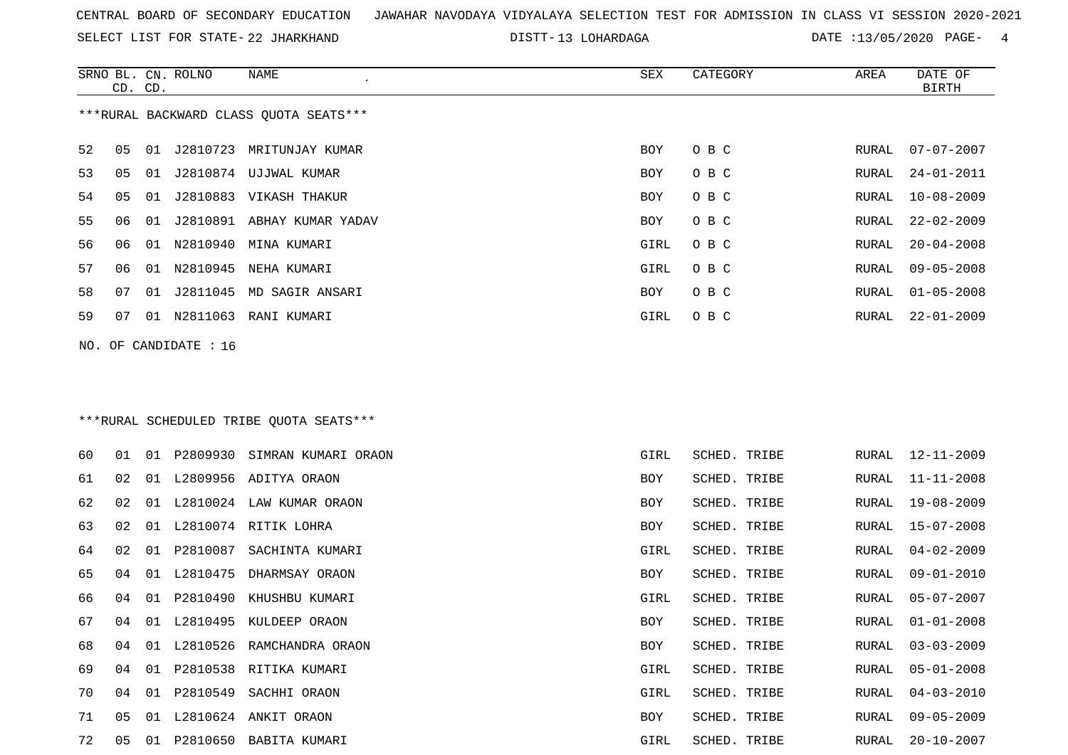SELECT LIST FOR STATE- DISTT- 22 JHARKHAND

DISTT-13 LOHARDAGA DATE :13/05/2020 PAGE- 4

|    | CD. CD. |    | SRNO BL. CN. ROLNO    | NAME                                    | SEX        | CATEGORY            | AREA  | DATE OF<br><b>BIRTH</b> |
|----|---------|----|-----------------------|-----------------------------------------|------------|---------------------|-------|-------------------------|
|    |         |    |                       | ***RURAL BACKWARD CLASS QUOTA SEATS***  |            |                     |       |                         |
| 52 | 05      |    |                       | 01 J2810723 MRITUNJAY KUMAR             | <b>BOY</b> | O B C               | RURAL | $07 - 07 - 2007$        |
| 53 | 05      |    |                       | 01 J2810874 UJJWAL KUMAR                | BOY        | O B C               | RURAL | $24 - 01 - 2011$        |
| 54 | 05      | 01 |                       | J2810883 VIKASH THAKUR                  | BOY        | O B C               | RURAL | $10 - 08 - 2009$        |
| 55 | 06      | 01 |                       | J2810891 ABHAY KUMAR YADAV              | BOY        | O B C               | RURAL | $22 - 02 - 2009$        |
| 56 | 06      | 01 | N2810940              | MINA KUMARI                             | GIRL       | O B C               | RURAL | $20 - 04 - 2008$        |
| 57 | 06      | 01 | N2810945              | NEHA KUMARI                             | GIRL       | O B C               | RURAL | $09 - 05 - 2008$        |
| 58 | 07      | 01 |                       | J2811045 MD SAGIR ANSARI                | BOY        | O B C               | RURAL | $01 - 05 - 2008$        |
| 59 | 07      |    |                       | 01 N2811063 RANI KUMARI                 | GIRL       | O B C               | RURAL | $22 - 01 - 2009$        |
|    |         |    | NO. OF CANDIDATE : 16 |                                         |            |                     |       |                         |
|    |         |    |                       |                                         |            |                     |       |                         |
|    |         |    |                       | ***RURAL SCHEDULED TRIBE QUOTA SEATS*** |            |                     |       |                         |
| 60 | 01      |    |                       | 01 P2809930 SIMRAN KUMARI ORAON         | GIRL       | SCHED. TRIBE        | RURAL | 12-11-2009              |
| 61 | 02      | 01 |                       | L2809956 ADITYA ORAON                   | BOY        | SCHED. TRIBE        | RURAL | $11 - 11 - 2008$        |
| 62 | 02      | 01 |                       | L2810024 LAW KUMAR ORAON                | BOY        | SCHED. TRIBE        | RURAL | 19-08-2009              |
| 63 | 02      |    |                       | 01 L2810074 RITIK LOHRA                 | BOY        | SCHED. TRIBE        | RURAL | $15 - 07 - 2008$        |
| 64 | 02      | 01 |                       | P2810087 SACHINTA KUMARI                | GIRL       | SCHED. TRIBE        | RURAL | $04 - 02 - 2009$        |
| 65 | 04      | 01 | L2810475              | DHARMSAY ORAON                          | BOY        | SCHED. TRIBE        | RURAL | $09 - 01 - 2010$        |
| 66 | 04      | 01 |                       | P2810490 KHUSHBU KUMARI                 | GIRL       | SCHED. TRIBE        | RURAL | $05 - 07 - 2007$        |
| 67 | 04      |    |                       | 01 L2810495 KULDEEP ORAON               | BOY        | <b>SCHED. TRIBE</b> | RURAL | $01 - 01 - 2008$        |
| 68 | 04      |    |                       | 01 L2810526 RAMCHANDRA ORAON            | BOY        | SCHED. TRIBE        | RURAL | $03 - 03 - 2009$        |
| 69 | 04.     |    |                       | 01 P2810538 RITIKA KUMARI               | GIRL       | SCHED. TRIBE        | RURAL | $05 - 01 - 2008$        |
| 70 | 04.     |    |                       | 01 P2810549 SACHHI ORAON                | GIRL       | SCHED. TRIBE        | RURAL | $04 - 03 - 2010$        |
| 71 | 05      |    |                       | 01 L2810624 ANKIT ORAON                 | BOY        | SCHED. TRIBE        | RURAL | $09 - 05 - 2009$        |
| 72 |         |    |                       | 05 01 P2810650 BABITA KUMARI            | GIRL       | SCHED. TRIBE        |       | RURAL 20-10-2007        |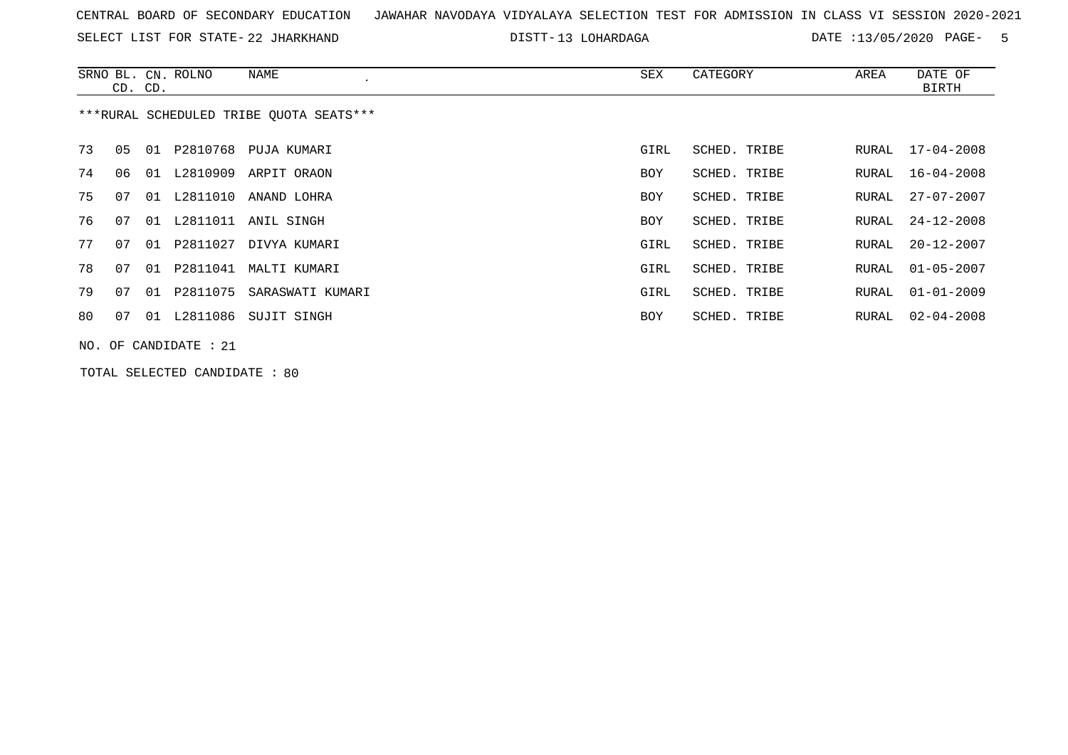SELECT LIST FOR STATE- DISTT- 22 JHARKHAND

DISTT-13 LOHARDAGA DATE :13/05/2020 PAGE- 5

|    | CD. CD. |    | SRNO BL. CN. ROLNO    | NAME                                    | SEX        | CATEGORY     | AREA  | DATE OF<br>BIRTH |
|----|---------|----|-----------------------|-----------------------------------------|------------|--------------|-------|------------------|
|    |         |    |                       | ***RURAL SCHEDULED TRIBE OUOTA SEATS*** |            |              |       |                  |
| 73 | 05      | 01 |                       | P2810768 PUJA KUMARI                    | GIRL       | SCHED. TRIBE | RURAL | 17-04-2008       |
| 74 | 06      | 01 | L2810909              | ARPIT ORAON                             | <b>BOY</b> | SCHED. TRIBE | RURAL | $16 - 04 - 2008$ |
| 75 | 07      | 01 | L2811010              | ANAND LOHRA                             | <b>BOY</b> | SCHED. TRIBE | RURAL | $27 - 07 - 2007$ |
| 76 | 07      | 01 |                       | L2811011 ANIL SINGH                     | BOY        | SCHED. TRIBE | RURAL | 24-12-2008       |
| 77 | 07      | 01 | P2811027              | DIVYA KUMARI                            | GIRL       | SCHED. TRIBE | RURAL | $20 - 12 - 2007$ |
| 78 | 07      | 01 | P2811041              | MALTI KUMARI                            | GIRL       | SCHED. TRIBE | RURAL | $01 - 05 - 2007$ |
| 79 | 07      | 01 | P2811075              | SARASWATI KUMARI                        | GIRL       | SCHED. TRIBE | RURAL | $01 - 01 - 2009$ |
| 80 | 07      |    |                       | 01 L2811086 SUJIT SINGH                 | BOY        | SCHED. TRIBE | RURAL | $02 - 04 - 2008$ |
|    |         |    | NO. OF CANDIDATE : 21 |                                         |            |              |       |                  |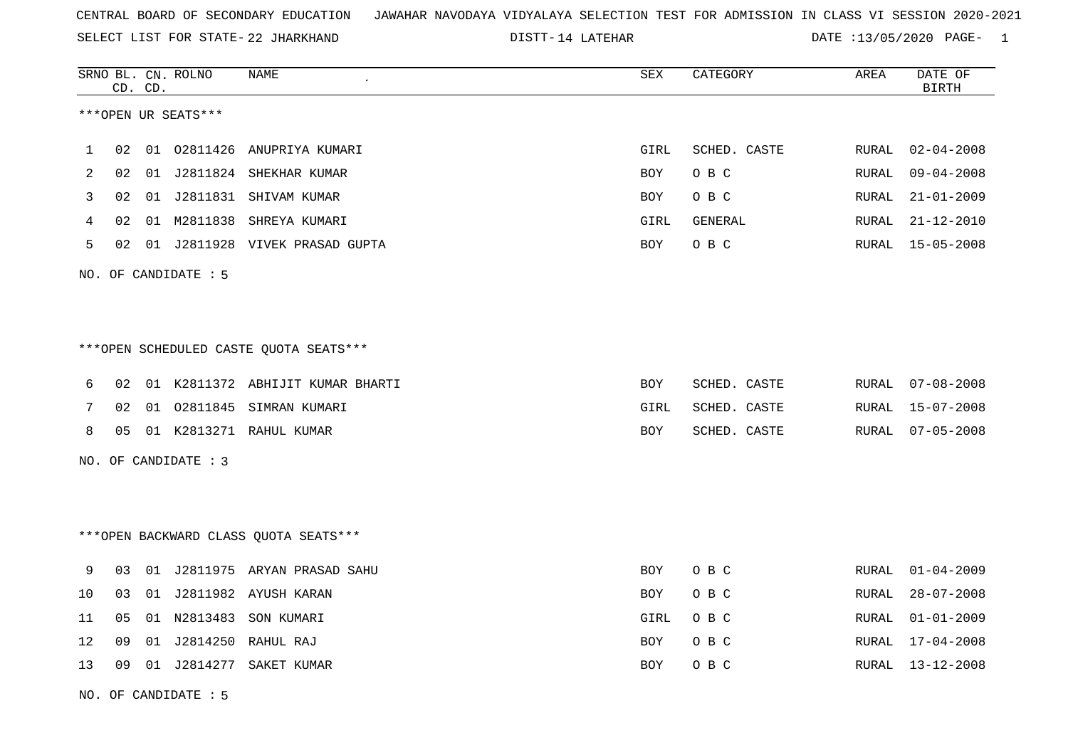| CENTRAL BOARD OF SECONDARY EDUCATION – JAWAHAR NAVODAYA VIDYALAYA SELECTION TEST FOR ADMISSION IN CLASS VI SESSION 2020-2021 |  |  |  |  |  |  |  |
|------------------------------------------------------------------------------------------------------------------------------|--|--|--|--|--|--|--|
|------------------------------------------------------------------------------------------------------------------------------|--|--|--|--|--|--|--|

SELECT LIST FOR STATE- DISTT- 22 JHARKHAND

DISTT-14 LATEHAR 2001 2002 DATE :13/05/2020 PAGE-

| 02<br>1<br>2<br>02 | ***OPEN UR SEATS***<br>01 02811426 | ANUPRIYA KUMARI<br>01 J2811824 SHEKHAR KUMAR | GIRL       | SCHED. CASTE |               |                  |
|--------------------|------------------------------------|----------------------------------------------|------------|--------------|---------------|------------------|
|                    |                                    |                                              |            |              |               |                  |
|                    |                                    |                                              |            |              | <b>RURAL</b>  | $02 - 04 - 2008$ |
|                    |                                    |                                              | BOY        | O B C        | <b>RURAL</b>  | $09 - 04 - 2008$ |
| 3<br>02            |                                    | 01 J2811831 SHIVAM KUMAR                     | BOY        | O B C        | ${\tt RURAL}$ | $21 - 01 - 2009$ |
| 02<br>4            |                                    | 01 M2811838 SHREYA KUMARI                    | GIRL       | GENERAL      | RURAL         | $21 - 12 - 2010$ |
| 5<br>02            |                                    | 01 J2811928 VIVEK PRASAD GUPTA               | BOY        | O B C        | RURAL         | $15 - 05 - 2008$ |
|                    | NO. OF CANDIDATE : 5               |                                              |            |              |               |                  |
|                    |                                    |                                              |            |              |               |                  |
|                    |                                    | ***OPEN SCHEDULED CASTE QUOTA SEATS***       |            |              |               |                  |
| 02<br>6            |                                    | 01 K2811372 ABHIJIT KUMAR BHARTI             | <b>BOY</b> | SCHED. CASTE | RURAL         | $07 - 08 - 2008$ |
| 7<br>02            | 02811845<br>01                     | SIMRAN KUMARI                                | GIRL       | SCHED. CASTE | RURAL         | $15 - 07 - 2008$ |
| 8<br>05            |                                    | 01 K2813271 RAHUL KUMAR                      | BOY        | SCHED. CASTE | RURAL         | $07 - 05 - 2008$ |
|                    | NO. OF CANDIDATE : 3               |                                              |            |              |               |                  |
|                    |                                    |                                              |            |              |               |                  |
|                    |                                    | *** OPEN BACKWARD CLASS QUOTA SEATS***       |            |              |               |                  |
| 9<br>03            |                                    | 01 J2811975 ARYAN PRASAD SAHU                | BOY        | O B C        | RURAL         | $01 - 04 - 2009$ |
| 10<br>03           | 01 J2811982                        | AYUSH KARAN                                  | <b>BOY</b> | O B C        | RURAL         | $28 - 07 - 2008$ |
| 11<br>05           | 01 N2813483                        | SON KUMARI                                   | GIRL       | O B C        | <b>RURAL</b>  | $01 - 01 - 2009$ |
| 12<br>09           | 01 J2814250                        | RAHUL RAJ                                    | BOY        | O B C        | <b>RURAL</b>  | $17 - 04 - 2008$ |
| 13<br>09           |                                    | 01 J2814277 SAKET KUMAR                      | BOY        | O B C        | RURAL         | $13 - 12 - 2008$ |

NO. OF CANDIDATE : 5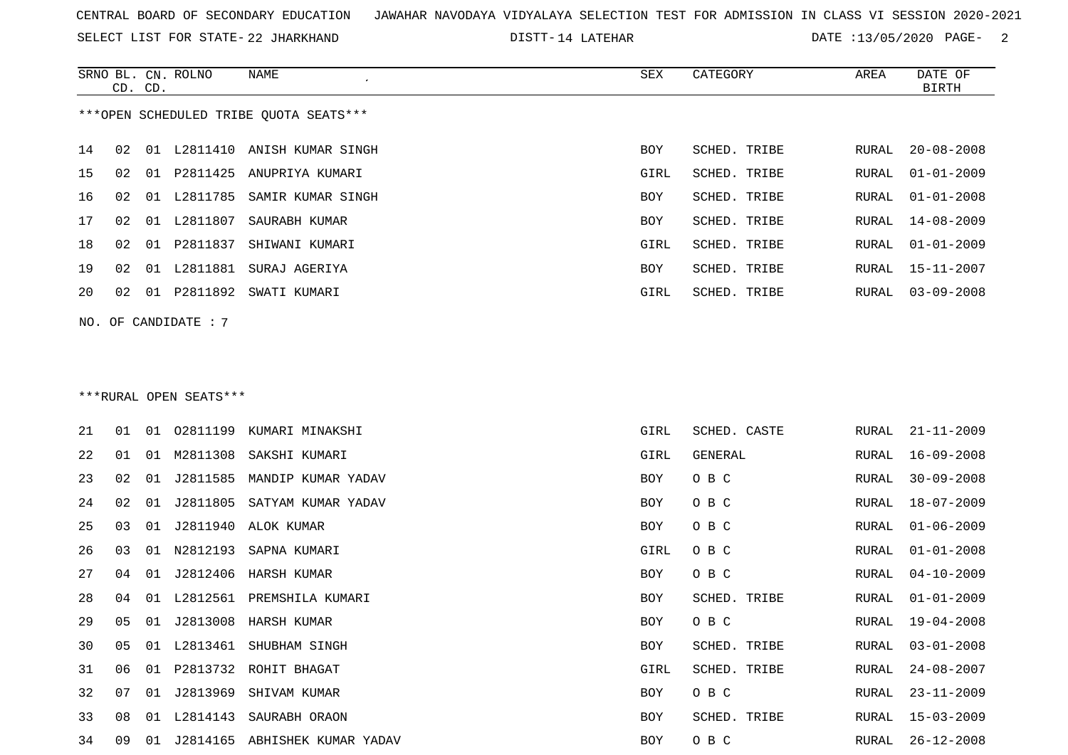SELECT LIST FOR STATE- DISTT- 22 JHARKHAND

DISTT-14 LATEHAR DATE :13/05/2020 PAGE- 2

|    | CD. CD. |    | SRNO BL. CN. ROLNO     | NAME                                   | SEX  | CATEGORY     | AREA  | DATE OF<br><b>BIRTH</b> |
|----|---------|----|------------------------|----------------------------------------|------|--------------|-------|-------------------------|
|    |         |    |                        | ***OPEN SCHEDULED TRIBE QUOTA SEATS*** |      |              |       |                         |
| 14 | 02      |    |                        | 01 L2811410 ANISH KUMAR SINGH          | BOY  | SCHED. TRIBE | RURAL | $20 - 08 - 2008$        |
| 15 | 02      | 01 |                        | P2811425 ANUPRIYA KUMARI               | GIRL | SCHED. TRIBE | RURAL | $01 - 01 - 2009$        |
| 16 | 02      | 01 | L2811785               | SAMIR KUMAR SINGH                      | BOY  | SCHED. TRIBE | RURAL | $01 - 01 - 2008$        |
| 17 | 02      |    | 01 L2811807            | SAURABH KUMAR                          | BOY  | SCHED. TRIBE | RURAL | $14 - 08 - 2009$        |
| 18 | 02      | 01 | P2811837               | SHIWANI KUMARI                         | GIRL | SCHED. TRIBE | RURAL | $01 - 01 - 2009$        |
| 19 | 02      |    | 01 L2811881            | SURAJ AGERIYA                          | BOY  | SCHED. TRIBE | RURAL | $15 - 11 - 2007$        |
| 20 | 02      | 01 | P2811892               | SWATI KUMARI                           | GIRL | SCHED. TRIBE | RURAL | $03 - 09 - 2008$        |
|    |         |    | NO. OF CANDIDATE : $7$ |                                        |      |              |       |                         |
|    |         |    |                        |                                        |      |              |       |                         |
|    |         |    |                        |                                        |      |              |       |                         |
|    |         |    | ***RURAL OPEN SEATS*** |                                        |      |              |       |                         |

| 21 | 01 | 01 |          | 02811199 KUMARI MINAKSHI | GIRL | SCHED. CASTE | RURAL | $21 - 11 - 2009$ |
|----|----|----|----------|--------------------------|------|--------------|-------|------------------|
| 22 | 01 | 01 |          | M2811308 SAKSHI KUMARI   | GIRL | GENERAL      | RURAL | $16 - 09 - 2008$ |
| 23 | 02 | 01 | J2811585 | MANDIP KUMAR YADAV       | BOY  | O B C        | RURAL | $30 - 09 - 2008$ |
| 24 | 02 | 01 | J2811805 | SATYAM KUMAR YADAV       | BOY  | O B C        | RURAL | $18 - 07 - 2009$ |
| 25 | 03 | 01 |          | J2811940 ALOK KUMAR      | BOY  | O B C        | RURAL | $01 - 06 - 2009$ |
| 26 | 03 | 01 | N2812193 | SAPNA KUMARI             | GIRL | O B C        | RURAL | $01 - 01 - 2008$ |
| 27 | 04 | 01 | J2812406 | HARSH KUMAR              | BOY  | O B C        | RURAL | $04 - 10 - 2009$ |
| 28 | 04 | 01 | L2812561 | PREMSHILA KUMARI         | BOY  | SCHED. TRIBE | RURAL | $01 - 01 - 2009$ |
| 29 | 05 | 01 |          | J2813008 HARSH KUMAR     | BOY  | O B C        | RURAL | $19 - 04 - 2008$ |
| 30 | 05 | 01 | L2813461 | SHUBHAM SINGH            | BOY  | SCHED. TRIBE | RURAL | $03 - 01 - 2008$ |
| 31 | 06 | 01 |          | P2813732 ROHIT BHAGAT    | GIRL | SCHED. TRIBE | RURAL | $24 - 08 - 2007$ |
| 32 | 07 | 01 | J2813969 | SHIVAM KUMAR             | BOY  | O B C        | RURAL | $23 - 11 - 2009$ |
| 33 | 08 | 01 | L2814143 | SAURABH ORAON            | BOY  | SCHED. TRIBE | RURAL | $15 - 03 - 2009$ |
| 34 | 09 | 01 | J2814165 | ABHISHEK KUMAR YADAV     | BOY  | O B C        | RURAL | $26 - 12 - 2008$ |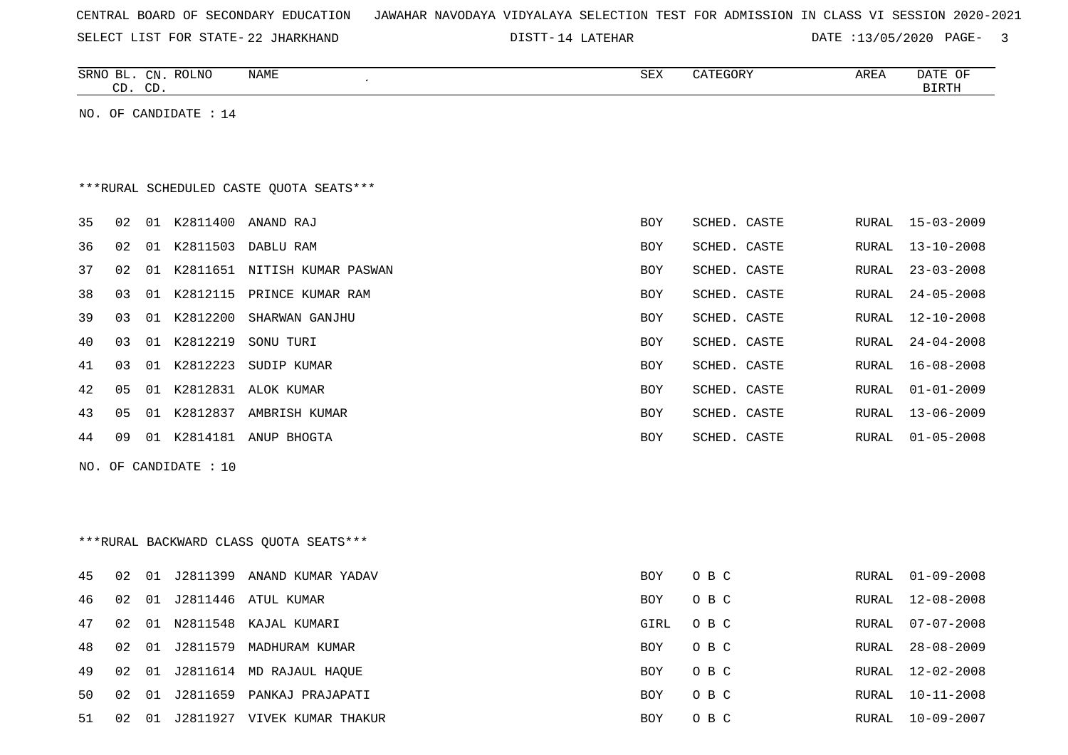| CENTRAL BOARD OF SECONDARY EDUCATION – JAWAHAR NAVODAYA VIDYALAYA SELECTION TEST FOR ADMISSION IN CLASS VI SESSION 2020-2021 |  |
|------------------------------------------------------------------------------------------------------------------------------|--|
|------------------------------------------------------------------------------------------------------------------------------|--|

SELECT LIST FOR STATE- DISTT- 22 JHARKHAND 14 LATEHAR DATE :13/05/2020 PAGE- 3

|     |    | CD. CD. | SRNO BL. CN. ROLNO    | <b>NAME</b>                             | SEX        | CATEGORY     | AREA  | DATE OF<br><b>BIRTH</b> |
|-----|----|---------|-----------------------|-----------------------------------------|------------|--------------|-------|-------------------------|
|     |    |         | NO. OF CANDIDATE : 14 |                                         |            |              |       |                         |
|     |    |         |                       |                                         |            |              |       |                         |
|     |    |         |                       |                                         |            |              |       |                         |
|     |    |         |                       | ***RURAL SCHEDULED CASTE QUOTA SEATS*** |            |              |       |                         |
| 35  | 02 |         |                       | 01 K2811400 ANAND RAJ                   | BOY        | SCHED. CASTE | RURAL | $15 - 03 - 2009$        |
| 36  | 02 |         |                       | 01 K2811503 DABLU RAM                   | BOY        | SCHED. CASTE | RURAL | $13 - 10 - 2008$        |
| 37  | 02 |         |                       | 01 K2811651 NITISH KUMAR PASWAN         | BOY        | SCHED. CASTE | RURAL | $23 - 03 - 2008$        |
| 38  | 03 |         | 01 K2812115           | PRINCE KUMAR RAM                        | BOY        | SCHED. CASTE | RURAL | $24 - 05 - 2008$        |
| 39  | 03 |         | 01 K2812200           | SHARWAN GANJHU                          | BOY        | SCHED. CASTE | RURAL | $12 - 10 - 2008$        |
| 40  | 03 |         | 01 K2812219           | SONU TURI                               | BOY        | SCHED. CASTE | RURAL | $24 - 04 - 2008$        |
| 41  | 03 |         | 01 K2812223           | SUDIP KUMAR                             | BOY        | SCHED. CASTE | RURAL | $16 - 08 - 2008$        |
| 42  | 05 |         |                       | 01 K2812831 ALOK KUMAR                  | <b>BOY</b> | SCHED. CASTE | RURAL | $01 - 01 - 2009$        |
| 43  | 05 |         |                       | 01 K2812837 AMBRISH KUMAR               | BOY        | SCHED. CASTE | RURAL | $13 - 06 - 2009$        |
| 44  | 09 |         |                       | 01 K2814181 ANUP BHOGTA                 | BOY        | SCHED. CASTE | RURAL | $01 - 05 - 2008$        |
| NO. |    |         | OF CANDIDATE : 10     |                                         |            |              |       |                         |
|     |    |         |                       |                                         |            |              |       |                         |
|     |    |         |                       |                                         |            |              |       |                         |
|     |    |         |                       | *** RURAL BACKWARD CLASS QUOTA SEATS*** |            |              |       |                         |
|     |    |         |                       |                                         |            |              |       |                         |
| 45  | 02 |         | 01 J2811399           | ANAND KUMAR YADAV                       | <b>BOY</b> | O B C        | RURAL | $01 - 09 - 2008$        |
| 46  | 02 |         | 01 J2811446           | ATUL KUMAR                              | BOY        | O B C        | RURAL | $12 - 08 - 2008$        |
| 47  | 02 |         |                       | 01 N2811548 KAJAL KUMARI                | GIRL       | O B C        | RURAL | $07 - 07 - 2008$        |
| 48  | 02 | 01      | J2811579              | MADHURAM KUMAR                          | BOY        | O B C        | RURAL | $28 - 08 - 2009$        |
| 49  | 02 |         |                       | 01 J2811614 MD RAJAUL HAQUE             | BOY        | $O$ B $C$    | RURAL | $12 - 02 - 2008$        |
| 50  | 02 |         |                       | 01 J2811659 PANKAJ PRAJAPATI            | BOY        | O B C        | RURAL | $10 - 11 - 2008$        |
| 51  | 02 |         |                       | 01 J2811927 VIVEK KUMAR THAKUR          | <b>BOY</b> | O B C        |       | RURAL 10-09-2007        |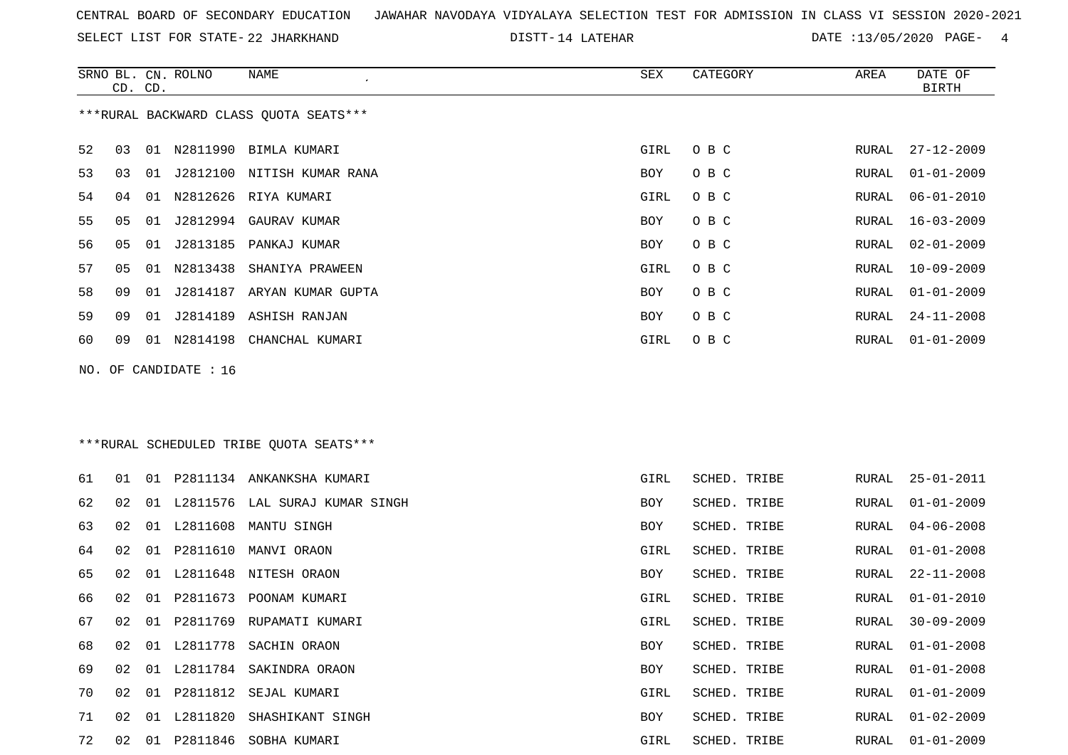SELECT LIST FOR STATE- DISTT- 22 JHARKHAND

DISTT-14 LATEHAR DATE :13/05/2020 PAGE- 4

|    | CD. | CD. | SRNO BL. CN. ROLNO    | <b>NAME</b>                             | ${\tt SEX}$ | CATEGORY     | AREA         | DATE OF<br>BIRTH |
|----|-----|-----|-----------------------|-----------------------------------------|-------------|--------------|--------------|------------------|
|    |     |     |                       | ***RURAL BACKWARD CLASS QUOTA SEATS***  |             |              |              |                  |
| 52 | 03  |     |                       | 01 N2811990 BIMLA KUMARI                | GIRL        | O B C        | RURAL        | $27 - 12 - 2009$ |
| 53 | 03  | 01  |                       | J2812100 NITISH KUMAR RANA              | BOY         | O B C        | RURAL        | $01 - 01 - 2009$ |
| 54 | 04  | 01  |                       | N2812626 RIYA KUMARI                    | GIRL        | O B C        | RURAL        | $06 - 01 - 2010$ |
| 55 | 05  | 01  |                       | J2812994 GAURAV KUMAR                   | <b>BOY</b>  | O B C        | RURAL        | $16 - 03 - 2009$ |
| 56 | 05  | 01  |                       | J2813185 PANKAJ KUMAR                   | BOY         | O B C        | RURAL        | $02 - 01 - 2009$ |
| 57 | 05  |     |                       | 01 N2813438 SHANIYA PRAWEEN             | GIRL        | O B C        | RURAL        | $10 - 09 - 2009$ |
| 58 | 09  |     |                       | 01 J2814187 ARYAN KUMAR GUPTA           | BOY         | O B C        | RURAL        | $01 - 01 - 2009$ |
| 59 | 09  | 01  |                       | J2814189 ASHISH RANJAN                  | BOY         | O B C        | RURAL        | $24 - 11 - 2008$ |
| 60 | 09  |     |                       | 01 N2814198 CHANCHAL KUMARI             | GIRL        | O B C        | RURAL        | $01 - 01 - 2009$ |
|    |     |     | NO. OF CANDIDATE : 16 |                                         |             |              |              |                  |
|    |     |     |                       |                                         |             |              |              |                  |
|    |     |     |                       |                                         |             |              |              |                  |
|    |     |     |                       | ***RURAL SCHEDULED TRIBE QUOTA SEATS*** |             |              |              |                  |
| 61 | 01  |     |                       | 01 P2811134 ANKANKSHA KUMARI            | GIRL        | SCHED. TRIBE | RURAL        | $25 - 01 - 2011$ |
| 62 | 02  |     |                       | 01 L2811576 LAL SURAJ KUMAR SINGH       | BOY         | SCHED. TRIBE | RURAL        | $01 - 01 - 2009$ |
| 63 | 02  |     |                       | 01 L2811608 MANTU SINGH                 | BOY         | SCHED. TRIBE | RURAL        | $04 - 06 - 2008$ |
| 64 | 02  | 01  | P2811610              | MANVI ORAON                             | GIRL        | SCHED. TRIBE | <b>RURAL</b> | $01 - 01 - 2008$ |
| 65 | 02  |     |                       | 01 L2811648 NITESH ORAON                | BOY         | SCHED. TRIBE | RURAL        | $22 - 11 - 2008$ |
| 66 | 02  | 01  |                       | P2811673 POONAM KUMARI                  | GIRL        | SCHED. TRIBE | RURAL        | $01 - 01 - 2010$ |
| 67 | 02  | 01  | P2811769              | RUPAMATI KUMARI                         | GIRL        | SCHED. TRIBE | RURAL        | $30 - 09 - 2009$ |
| 68 | 02  |     |                       | 01 L2811778 SACHIN ORAON                | BOY         | SCHED. TRIBE | RURAL        | $01 - 01 - 2008$ |
| 69 | 02  |     |                       | 01 L2811784 SAKINDRA ORAON              | BOY         | SCHED. TRIBE | RURAL        | $01 - 01 - 2008$ |
|    |     |     |                       |                                         |             |              |              |                  |

70 02 01 P2811812 SEJAL KUMARI GIRL SCHED. TRIBE RURAL 01-01-2009 71 02 01 L2811820 SHASHIKANT SINGH BOY SCHED. TRIBE RURAL 01-02-2009 72 02 01 P2811846 SOBHA KUMARI GIRL SCHED. TRIBE RURAL 01-01-2009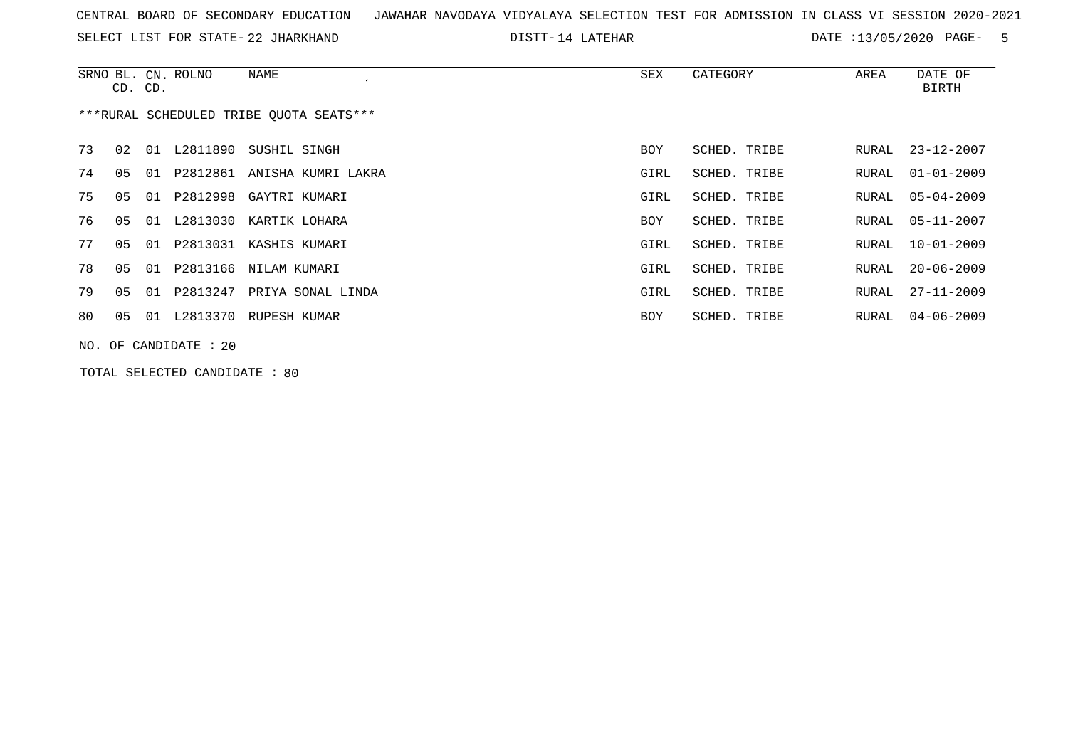SELECT LIST FOR STATE- DISTT- 22 JHARKHAND

DISTT-14 LATEHAR  $\overline{A}$  DATE :13/05/2020 PAGE- 5

|    | CD. CD. |    | SRNO BL. CN. ROLNO      | NAME                                    | SEX        | CATEGORY     | AREA  | DATE OF<br>BIRTH |
|----|---------|----|-------------------------|-----------------------------------------|------------|--------------|-------|------------------|
|    |         |    |                         | ***RURAL SCHEDULED TRIBE OUOTA SEATS*** |            |              |       |                  |
| 73 | 02      | 01 | L2811890                | SUSHIL SINGH                            | BOY        | SCHED. TRIBE | RURAL | 23-12-2007       |
| 74 | 05      | 01 |                         | P2812861 ANISHA KUMRI LAKRA             | GIRL       | SCHED. TRIBE | RURAL | $01 - 01 - 2009$ |
| 75 | 05      | 01 |                         | P2812998 GAYTRI KUMARI                  | GIRL       | SCHED. TRIBE | RURAL | $05 - 04 - 2009$ |
| 76 | 05      | 01 |                         | L2813030 KARTIK LOHARA                  | <b>BOY</b> | SCHED. TRIBE | RURAL | $05 - 11 - 2007$ |
| 77 | 05      | 01 |                         | P2813031 KASHIS KUMARI                  | GIRL       | SCHED. TRIBE | RURAL | $10 - 01 - 2009$ |
| 78 | 05      | 01 |                         | P2813166 NILAM KUMARI                   | GIRL       | SCHED. TRIBE | RURAL | $20 - 06 - 2009$ |
| 79 | 05      | 01 | P2813247                | PRIYA SONAL LINDA                       | GIRL       | SCHED. TRIBE | RURAL | $27 - 11 - 2009$ |
| 80 | 05      |    |                         | 01 L2813370 RUPESH KUMAR                | BOY        | SCHED. TRIBE | RURAL | 04-06-2009       |
|    |         |    | NO. OF CANDIDATE : $20$ |                                         |            |              |       |                  |

TOTAL SELECTED CANDIDATE : 80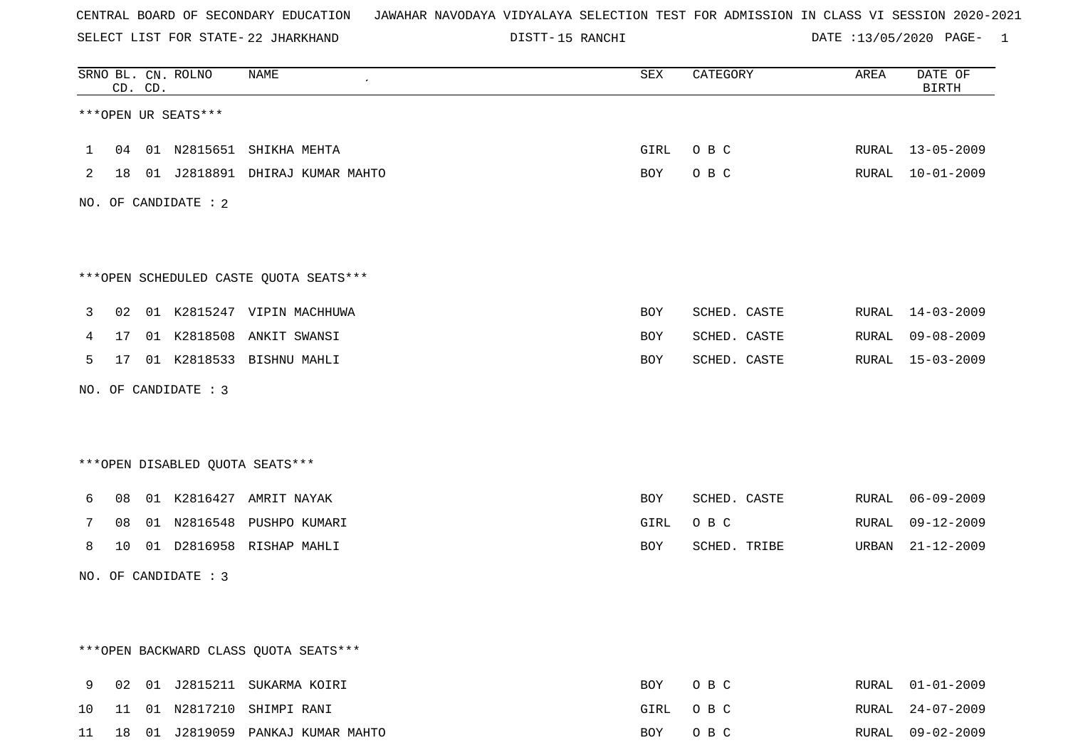SELECT LIST FOR STATE- DISTT- 22 JHARKHAND

15 RANCHI DATE :13/05/2020 PAGE- 1

|              |    | CD. CD. | SRNO BL. CN. ROLNO   | NAME                                    | SEX  | CATEGORY     | AREA  | DATE OF<br><b>BIRTH</b> |
|--------------|----|---------|----------------------|-----------------------------------------|------|--------------|-------|-------------------------|
|              |    |         | ***OPEN UR SEATS***  |                                         |      |              |       |                         |
| $\mathbf{1}$ |    |         |                      | 04 01 N2815651 SHIKHA MEHTA             | GIRL | O B C        |       | RURAL 13-05-2009        |
| 2            |    |         |                      | 18 01 J2818891 DHIRAJ KUMAR MAHTO       | BOY  | O B C        |       | RURAL 10-01-2009        |
|              |    |         | NO. OF CANDIDATE : 2 |                                         |      |              |       |                         |
|              |    |         |                      |                                         |      |              |       |                         |
|              |    |         |                      |                                         |      |              |       |                         |
|              |    |         |                      | *** OPEN SCHEDULED CASTE QUOTA SEATS*** |      |              |       |                         |
| 3            | 02 |         |                      | 01 K2815247 VIPIN MACHHUWA              | BOY  | SCHED. CASTE |       | RURAL 14-03-2009        |
| 4            | 17 |         | 01 K2818508          | ANKIT SWANSI                            | BOY  | SCHED. CASTE | RURAL | $09 - 08 - 2009$        |
| 5            | 17 |         |                      | 01 K2818533 BISHNU MAHLI                | BOY  | SCHED. CASTE | RURAL | 15-03-2009              |
|              |    |         | NO. OF CANDIDATE : 3 |                                         |      |              |       |                         |
|              |    |         |                      |                                         |      |              |       |                         |
|              |    |         |                      |                                         |      |              |       |                         |
|              |    |         |                      | *** OPEN DISABLED QUOTA SEATS***        |      |              |       |                         |
| 6            | 08 |         |                      | 01 K2816427 AMRIT NAYAK                 | BOY  | SCHED. CASTE | RURAL | $06 - 09 - 2009$        |
| 7            | 08 |         |                      | 01 N2816548 PUSHPO KUMARI               | GIRL | O B C        | RURAL | $09 - 12 - 2009$        |
| 8            | 10 |         |                      | 01 D2816958 RISHAP MAHLI                | BOY  | SCHED. TRIBE | URBAN | $21 - 12 - 2009$        |
|              |    |         | NO. OF CANDIDATE : 3 |                                         |      |              |       |                         |
|              |    |         |                      |                                         |      |              |       |                         |
|              |    |         |                      |                                         |      |              |       |                         |
|              |    |         |                      | *** OPEN BACKWARD CLASS QUOTA SEATS***  |      |              |       |                         |
| 9            | 02 |         |                      | 01 J2815211 SUKARMA KOIRI               | BOY  | O B C        |       | RURAL 01-01-2009        |
| 10           | 11 |         |                      | 01 N2817210 SHIMPI RANI                 | GIRL | O B C        |       | RURAL 24-07-2009        |

11 18 01 J2819059 PANKAJ KUMAR MAHTO BOY O B C RURAL 09-02-2009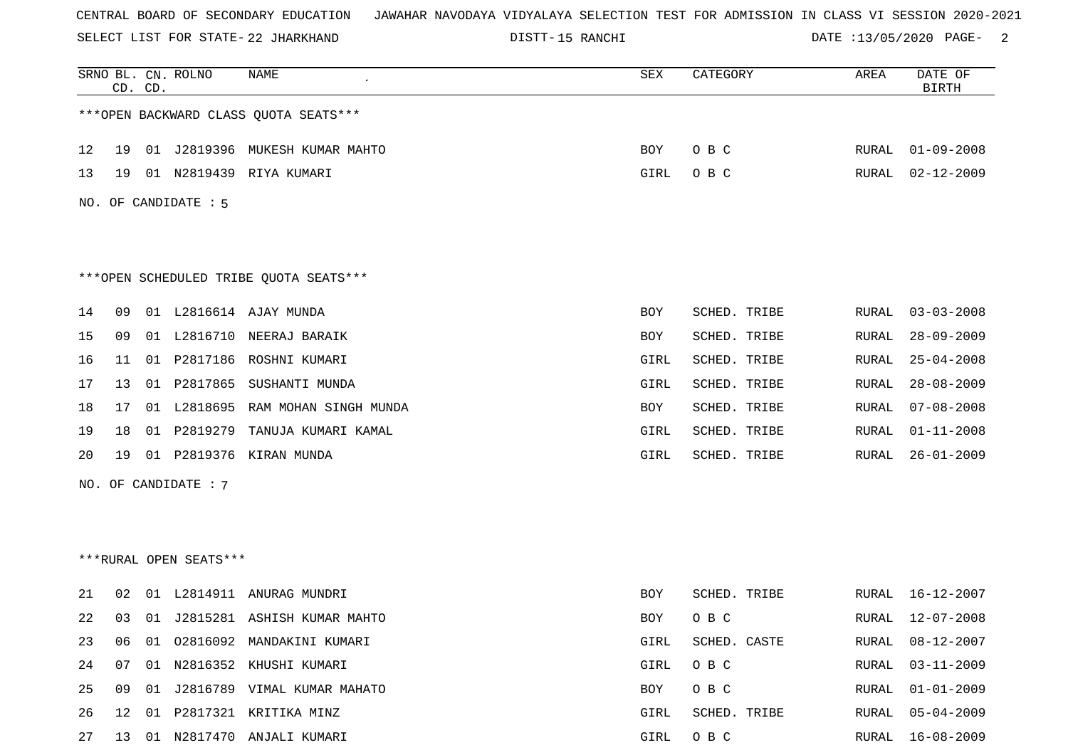SELECT LIST FOR STATE- DISTT- 22 JHARKHAND

DISTT-15 RANCHI 2 DATE :13/05/2020 PAGE- 2

|    |    | CD. CD. | SRNO BL. CN. ROLNO     | <b>NAME</b>                            | SEX        | CATEGORY     | AREA         | DATE OF<br><b>BIRTH</b> |
|----|----|---------|------------------------|----------------------------------------|------------|--------------|--------------|-------------------------|
|    |    |         |                        | *** OPEN BACKWARD CLASS QUOTA SEATS*** |            |              |              |                         |
| 12 | 19 |         |                        | 01 J2819396 MUKESH KUMAR MAHTO         | BOY        | O B C        | RURAL        | $01 - 09 - 2008$        |
| 13 | 19 |         |                        | 01 N2819439 RIYA KUMARI                | GIRL       | O B C        | RURAL        | $02 - 12 - 2009$        |
|    |    |         | NO. OF CANDIDATE : 5   |                                        |            |              |              |                         |
|    |    |         |                        |                                        |            |              |              |                         |
|    |    |         |                        | ***OPEN SCHEDULED TRIBE QUOTA SEATS*** |            |              |              |                         |
| 14 | 09 |         |                        | 01 L2816614 AJAY MUNDA                 | <b>BOY</b> | SCHED. TRIBE | RURAL        | $03 - 03 - 2008$        |
| 15 | 09 |         |                        | 01 L2816710 NEERAJ BARAIK              | BOY        | SCHED. TRIBE | RURAL        | $28 - 09 - 2009$        |
| 16 | 11 |         |                        | 01 P2817186 ROSHNI KUMARI              | GIRL       | SCHED. TRIBE | RURAL        | $25 - 04 - 2008$        |
| 17 | 13 |         | 01 P2817865            | SUSHANTI MUNDA                         | GIRL       | SCHED. TRIBE | RURAL        | $28 - 08 - 2009$        |
| 18 | 17 |         |                        | 01 L2818695 RAM MOHAN SINGH MUNDA      | BOY        | SCHED. TRIBE | RURAL        | $07 - 08 - 2008$        |
| 19 | 18 | 01      | P2819279               | TANUJA KUMARI KAMAL                    | GIRL       | SCHED. TRIBE | RURAL        | $01 - 11 - 2008$        |
| 20 | 19 | 01      |                        | P2819376 KIRAN MUNDA                   | GIRL       | SCHED. TRIBE | RURAL        | $26 - 01 - 2009$        |
|    |    |         | NO. OF CANDIDATE : 7   |                                        |            |              |              |                         |
|    |    |         |                        |                                        |            |              |              |                         |
|    |    |         |                        |                                        |            |              |              |                         |
|    |    |         | ***RURAL OPEN SEATS*** |                                        |            |              |              |                         |
| 21 | 02 |         |                        | 01 L2814911 ANURAG MUNDRI              | BOY        | SCHED. TRIBE | RURAL        | 16-12-2007              |
| 22 | 03 |         |                        | 01 J2815281 ASHISH KUMAR MAHTO         | BOY        | O B C        | RURAL        | 12-07-2008              |
| 23 | 06 |         |                        | 01 02816092 MANDAKINI KUMARI           | GIRL       | SCHED. CASTE | RURAL        | $08 - 12 - 2007$        |
| 24 | 07 |         |                        | 01 N2816352 KHUSHI KUMARI              | GIRL       | O B C        | <b>RURAL</b> | $03 - 11 - 2009$        |
| 25 | 09 |         |                        | 01 J2816789 VIMAL KUMAR MAHATO         | BOY        | O B C        | RURAL        | $01 - 01 - 2009$        |
| 26 | 12 | 01      |                        | P2817321 KRITIKA MINZ                  | GIRL       | SCHED. TRIBE | RURAL        | $05 - 04 - 2009$        |
| 27 | 13 |         |                        | 01 N2817470 ANJALI KUMARI              | GIRL       | O B C        | RURAL        | $16 - 08 - 2009$        |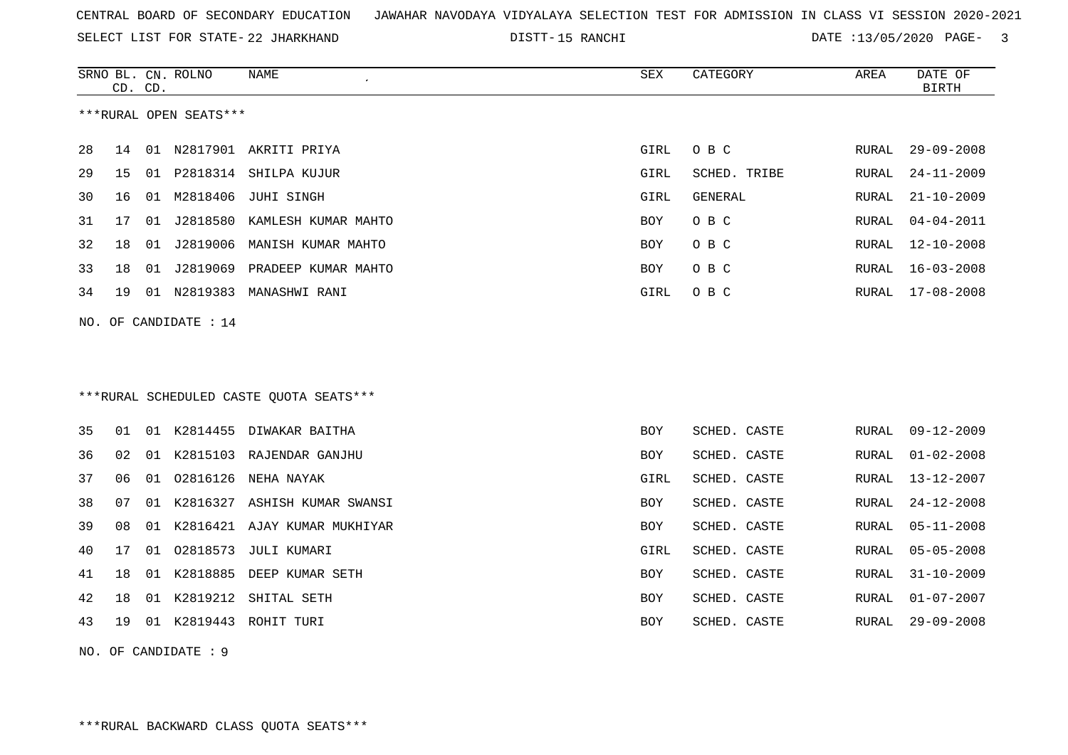SELECT LIST FOR STATE- DISTT- 22 JHARKHAND

15 RANCHI DATE :13/05/2020 PAGE- 3

|    | CD. CD. |    | SRNO BL. CN. ROLNO     | NAME                                    | <b>SEX</b> | CATEGORY     | AREA         | DATE OF<br><b>BIRTH</b> |
|----|---------|----|------------------------|-----------------------------------------|------------|--------------|--------------|-------------------------|
|    |         |    | ***RURAL OPEN SEATS*** |                                         |            |              |              |                         |
| 28 | 14      |    |                        | 01 N2817901 AKRITI PRIYA                | GIRL       | O B C        | RURAL        | $29 - 09 - 2008$        |
| 29 | 15      |    |                        | 01 P2818314 SHILPA KUJUR                | GIRL       | SCHED. TRIBE | RURAL        | $24 - 11 - 2009$        |
| 30 | 16      |    |                        | 01 M2818406 JUHI SINGH                  | GIRL       | GENERAL      | RURAL        | $21 - 10 - 2009$        |
| 31 | 17      |    |                        | 01 J2818580 KAMLESH KUMAR MAHTO         | <b>BOY</b> | O B C        | RURAL        | $04 - 04 - 2011$        |
| 32 | 18      |    |                        | 01 J2819006 MANISH KUMAR MAHTO          | BOY        | O B C        | RURAL        | $12 - 10 - 2008$        |
| 33 | 18      |    | 01 J2819069            | PRADEEP KUMAR MAHTO                     | BOY        | O B C        | RURAL        | $16 - 03 - 2008$        |
| 34 | 19      |    |                        | 01 N2819383 MANASHWI RANI               | GIRL       | O B C        | RURAL        | $17 - 08 - 2008$        |
|    |         |    | NO. OF CANDIDATE : 14  |                                         |            |              |              |                         |
|    |         |    |                        |                                         |            |              |              |                         |
|    |         |    |                        |                                         |            |              |              |                         |
|    |         |    |                        | ***RURAL SCHEDULED CASTE QUOTA SEATS*** |            |              |              |                         |
| 35 | 01      |    |                        | 01 K2814455 DIWAKAR BAITHA              | <b>BOY</b> | SCHED. CASTE | RURAL        | $09 - 12 - 2009$        |
| 36 | 02      |    |                        | 01 K2815103 RAJENDAR GANJHU             | BOY        | SCHED. CASTE | RURAL        | $01 - 02 - 2008$        |
| 37 | 06      | 01 | 02816126               | NEHA NAYAK                              | GIRL       | SCHED. CASTE | <b>RURAL</b> | $13 - 12 - 2007$        |
| 38 | 07      |    |                        | 01 K2816327 ASHISH KUMAR SWANSI         | BOY        | SCHED. CASTE | RURAL        | $24 - 12 - 2008$        |
| 39 | 08      |    |                        | 01 K2816421 AJAY KUMAR MUKHIYAR         | <b>BOY</b> | SCHED. CASTE | <b>RURAL</b> | $05 - 11 - 2008$        |
| 40 | 17      |    |                        | 01 02818573 JULI KUMARI                 | GIRL       | SCHED. CASTE | RURAL        | $05 - 05 - 2008$        |
| 41 | 18      |    |                        | 01 K2818885 DEEP KUMAR SETH             | BOY        | SCHED. CASTE | RURAL        | $31 - 10 - 2009$        |
| 42 | 18      |    |                        | 01 K2819212 SHITAL SETH                 | BOY        | SCHED. CASTE | RURAL        | $01 - 07 - 2007$        |
| 43 | 19      |    |                        | 01 K2819443 ROHIT TURI                  | <b>BOY</b> | SCHED. CASTE | RURAL        | $29 - 09 - 2008$        |
|    |         |    |                        |                                         |            |              |              |                         |

NO. OF CANDIDATE : 9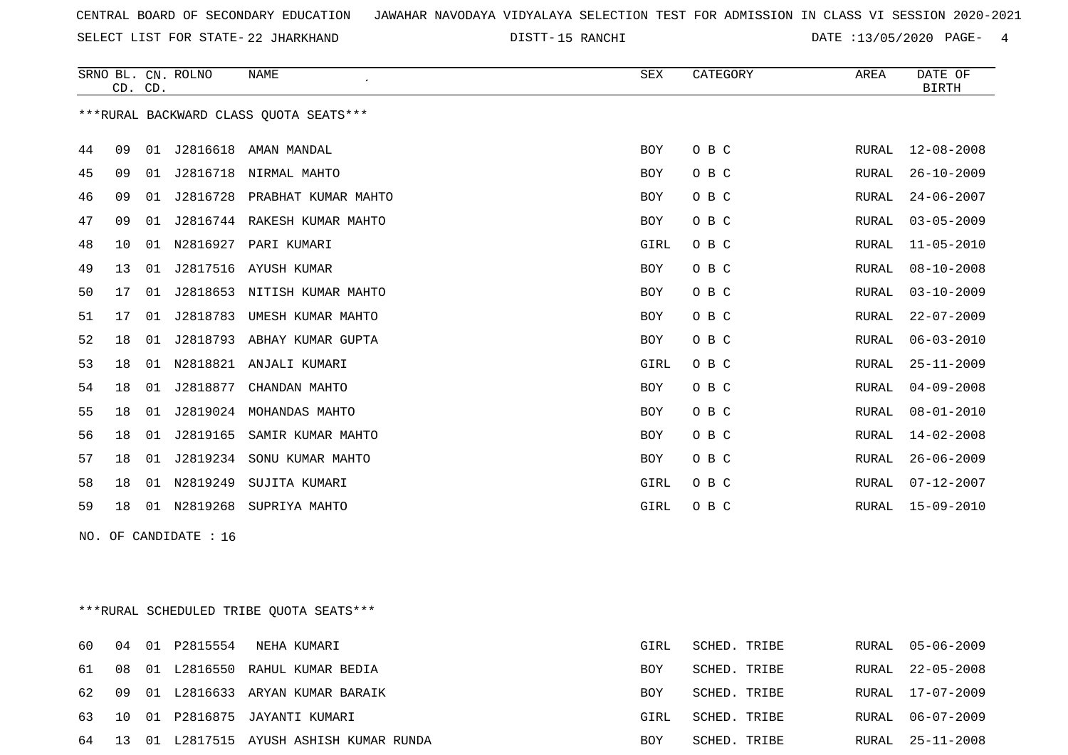SELECT LIST FOR STATE- DISTT- 22 JHARKHAND

15 RANCHI DATE :13/05/2020 PAGE- 4

|    |    | CD. CD. | SRNO BL. CN. ROLNO    | <b>NAME</b>                             | SEX        | CATEGORY | AREA         | DATE OF<br><b>BIRTH</b> |
|----|----|---------|-----------------------|-----------------------------------------|------------|----------|--------------|-------------------------|
|    |    |         |                       | *** RURAL BACKWARD CLASS QUOTA SEATS*** |            |          |              |                         |
| 44 | 09 | 01      | J2816618              | AMAN MANDAL                             | <b>BOY</b> | O B C    | RURAL        | $12 - 08 - 2008$        |
| 45 | 09 |         |                       | 01 J2816718 NIRMAL MAHTO                | <b>BOY</b> | O B C    | RURAL        | $26 - 10 - 2009$        |
| 46 | 09 | 01      | J2816728              | PRABHAT KUMAR MAHTO                     | BOY        | O B C    | RURAL        | $24 - 06 - 2007$        |
| 47 | 09 | 01      | J2816744              | RAKESH KUMAR MAHTO                      | <b>BOY</b> | O B C    | RURAL        | $03 - 05 - 2009$        |
| 48 | 10 | 01      | N2816927              | PARI KUMARI                             | GIRL       | O B C    | <b>RURAL</b> | $11 - 05 - 2010$        |
| 49 | 13 | 01      | J2817516              | AYUSH KUMAR                             | BOY        | O B C    | RURAL        | $08 - 10 - 2008$        |
| 50 | 17 | 01      |                       | J2818653 NITISH KUMAR MAHTO             | <b>BOY</b> | O B C    | RURAL        | $03 - 10 - 2009$        |
| 51 | 17 | 01      | J2818783              | UMESH KUMAR MAHTO                       | <b>BOY</b> | O B C    | RURAL        | $22 - 07 - 2009$        |
| 52 | 18 |         |                       | 01 J2818793 ABHAY KUMAR GUPTA           | BOY        | O B C    | RURAL        | $06 - 03 - 2010$        |
| 53 | 18 | 01      |                       | N2818821 ANJALI KUMARI                  | GIRL       | O B C    | RURAL        | $25 - 11 - 2009$        |
| 54 | 18 | 01      | J2818877              | CHANDAN MAHTO                           | <b>BOY</b> | O B C    | RURAL        | $04 - 09 - 2008$        |
| 55 | 18 | 01      | J2819024              | MOHANDAS MAHTO                          | BOY        | O B C    | RURAL        | $08 - 01 - 2010$        |
| 56 | 18 | 01      | J2819165              | SAMIR KUMAR MAHTO                       | BOY        | O B C    | RURAL        | $14 - 02 - 2008$        |
| 57 | 18 | 01      | J2819234              | SONU KUMAR MAHTO                        | BOY        | O B C    | RURAL        | $26 - 06 - 2009$        |
| 58 | 18 | 01      | N2819249              | SUJITA KUMARI                           | GIRL       | O B C    | <b>RURAL</b> | $07 - 12 - 2007$        |
| 59 | 18 |         |                       | 01 N2819268 SUPRIYA MAHTO               | GIRL       | O B C    | RURAL        | 15-09-2010              |
|    |    |         | NO. OF CANDIDATE : 16 |                                         |            |          |              |                         |

\*\*\*RURAL SCHEDULED TRIBE QUOTA SEATS\*\*\*

| 60. |  | NEHA KUMARI                                | GIRL       | SCHED. TRIBE | RURAL 05-06-2009 |
|-----|--|--------------------------------------------|------------|--------------|------------------|
|     |  | 61 08 01 L2816550 RAHUL KUMAR BEDIA        | <b>BOY</b> | SCHED. TRIBE | RURAL 22-05-2008 |
|     |  | 62 09 01 L2816633 ARYAN KUMAR BARAIK       | BOY        | SCHED. TRIBE | RURAL 17-07-2009 |
|     |  | 63 10 01 P2816875 JAYANTI KUMARI           | GIRL       | SCHED. TRIBE | RURAL 06-07-2009 |
|     |  | 64 13 01 L2817515 AYUSH ASHISH KUMAR RUNDA | BOY        | SCHED. TRIBE | RURAL 25-11-2008 |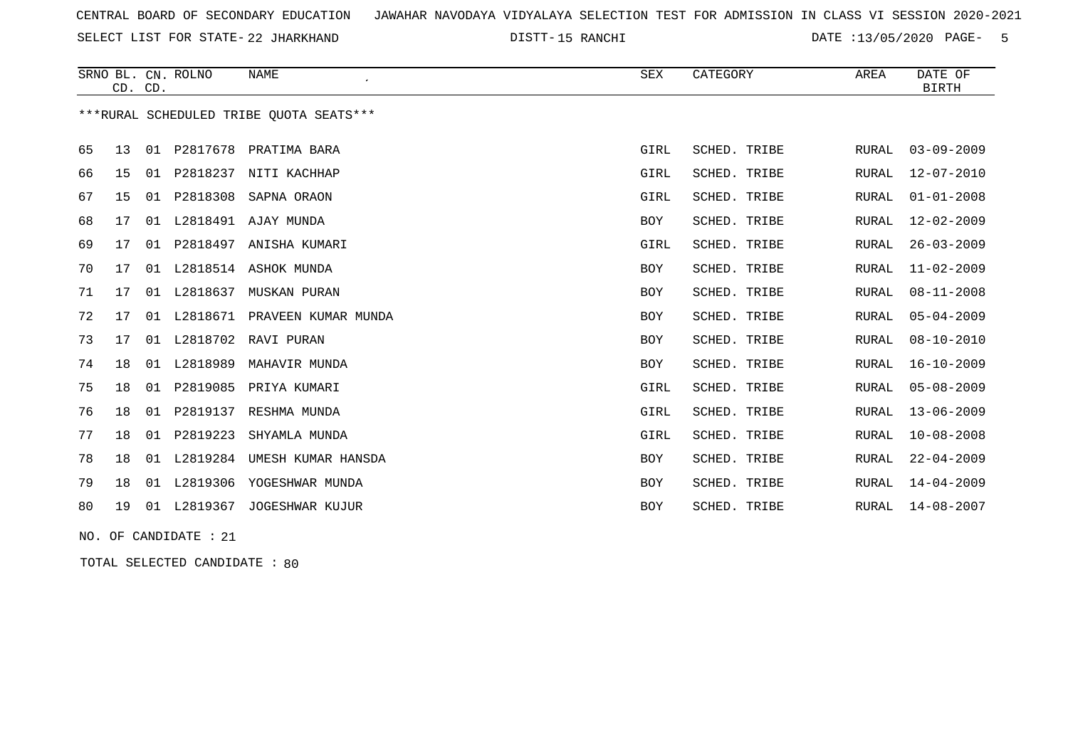SELECT LIST FOR STATE- DISTT- 22 JHARKHAND

15 RANCHI DATE :13/05/2020 PAGE- 5

|    |    | CD. CD. | SRNO BL. CN. ROLNO | NAME                                    | SEX        | CATEGORY     | AREA         | DATE OF<br><b>BIRTH</b> |
|----|----|---------|--------------------|-----------------------------------------|------------|--------------|--------------|-------------------------|
|    |    |         |                    | ***RURAL SCHEDULED TRIBE OUOTA SEATS*** |            |              |              |                         |
| 65 | 13 |         | 01 P2817678        | PRATIMA BARA                            | GIRL       | SCHED. TRIBE | RURAL        | $03 - 09 - 2009$        |
| 66 | 15 | 01      | P2818237           | NITI KACHHAP                            | GIRL       | SCHED. TRIBE | <b>RURAL</b> | $12 - 07 - 2010$        |
| 67 | 15 | 01      | P2818308           | SAPNA ORAON                             | GIRL       | SCHED. TRIBE | <b>RURAL</b> | $01 - 01 - 2008$        |
| 68 | 17 |         |                    | 01 L2818491 AJAY MUNDA                  | BOY        | SCHED. TRIBE | RURAL        | $12 - 02 - 2009$        |
| 69 | 17 |         |                    | 01 P2818497 ANISHA KUMARI               | GIRL       | SCHED. TRIBE | RURAL        | $26 - 03 - 2009$        |
| 70 | 17 |         |                    | 01 L2818514 ASHOK MUNDA                 | BOY        | SCHED. TRIBE | <b>RURAL</b> | $11 - 02 - 2009$        |
| 71 | 17 | 01      | L2818637           | MUSKAN PURAN                            | BOY        | SCHED. TRIBE | <b>RURAL</b> | $08 - 11 - 2008$        |
| 72 | 17 | 01      | L2818671           | PRAVEEN KUMAR MUNDA                     | BOY        | SCHED. TRIBE | <b>RURAL</b> | $05 - 04 - 2009$        |
| 73 | 17 | 01      | L2818702           | RAVI PURAN                              | BOY        | SCHED. TRIBE | <b>RURAL</b> | $08 - 10 - 2010$        |
| 74 | 18 | 01      | L2818989           | MAHAVIR MUNDA                           | BOY        | SCHED. TRIBE | <b>RURAL</b> | $16 - 10 - 2009$        |
| 75 | 18 | 01      | P2819085           | PRIYA KUMARI                            | GIRL       | SCHED. TRIBE | <b>RURAL</b> | $05 - 08 - 2009$        |
| 76 | 18 | 01      | P2819137           | RESHMA MUNDA                            | GIRL       | SCHED. TRIBE | <b>RURAL</b> | $13 - 06 - 2009$        |
| 77 | 18 | 01      | P2819223           | SHYAMLA MUNDA                           | GIRL       | SCHED. TRIBE | <b>RURAL</b> | $10 - 08 - 2008$        |
| 78 | 18 | 01      | L2819284           | UMESH KUMAR HANSDA                      | BOY        | SCHED. TRIBE | <b>RURAL</b> | $22 - 04 - 2009$        |
| 79 | 18 | 01      | L2819306           | YOGESHWAR MUNDA                         | BOY        | SCHED. TRIBE | <b>RURAL</b> | $14 - 04 - 2009$        |
| 80 | 19 |         |                    | 01 L2819367 JOGESHWAR KUJUR             | <b>BOY</b> | SCHED. TRIBE | RURAL        | $14 - 08 - 2007$        |

NO. OF CANDIDATE : 21

TOTAL SELECTED CANDIDATE : 80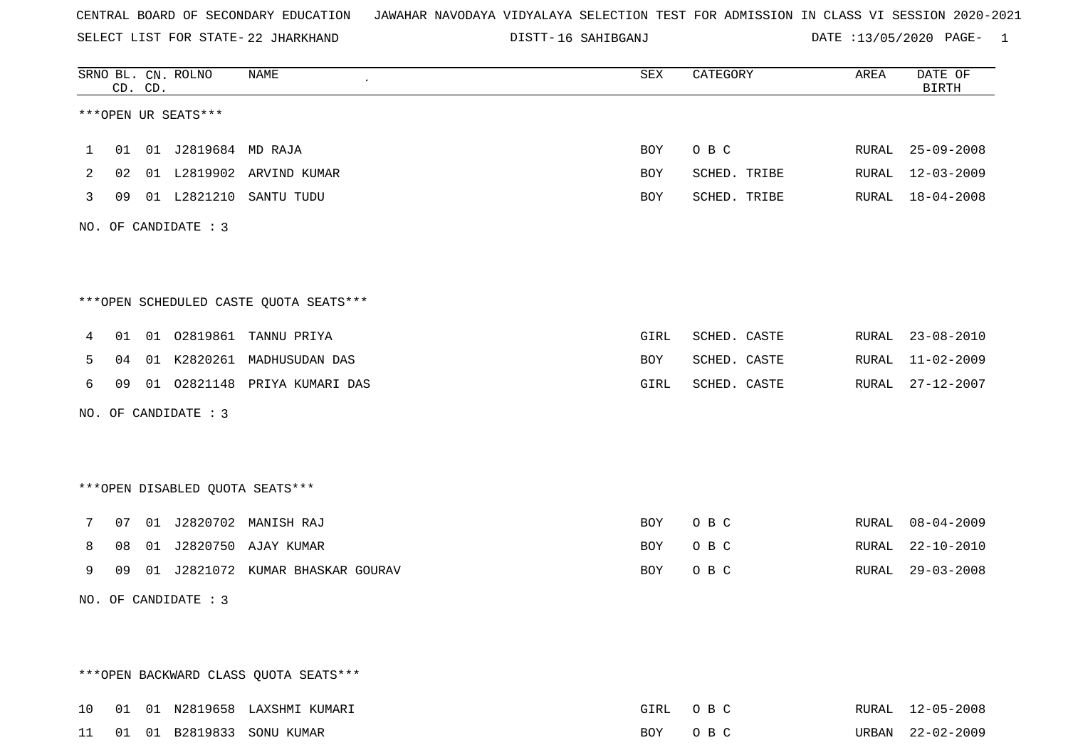SELECT LIST FOR STATE- DISTT- 22 JHARKHAND

16 SAHIBGANJ DATE :13/05/2020 PAGE- 1

|              | CD. CD. | SRNO BL. CN. ROLNO     | NAME                                    | SEX  | CATEGORY     | AREA  | DATE OF<br><b>BIRTH</b> |
|--------------|---------|------------------------|-----------------------------------------|------|--------------|-------|-------------------------|
|              |         | ***OPEN UR SEATS***    |                                         |      |              |       |                         |
| $\mathbf{1}$ |         | 01 01 J2819684 MD RAJA |                                         | BOY  | O B C        |       | RURAL 25-09-2008        |
| 2            |         |                        | 02 01 L2819902 ARVIND KUMAR             | BOY  | SCHED. TRIBE |       | RURAL 12-03-2009        |
| 3            |         |                        | 09 01 L2821210 SANTU TUDU               | BOY  | SCHED. TRIBE |       | RURAL 18-04-2008        |
|              |         | NO. OF CANDIDATE : 3   |                                         |      |              |       |                         |
|              |         |                        |                                         |      |              |       |                         |
|              |         |                        | *** OPEN SCHEDULED CASTE QUOTA SEATS*** |      |              |       |                         |
| 4            |         |                        | 01 01 02819861 TANNU PRIYA              | GIRL | SCHED. CASTE |       | RURAL 23-08-2010        |
| 5            |         |                        | 04 01 K2820261 MADHUSUDAN DAS           | BOY  | SCHED. CASTE |       | RURAL 11-02-2009        |
| 6            |         |                        | 09 01 02821148 PRIYA KUMARI DAS         | GIRL | SCHED. CASTE |       | RURAL 27-12-2007        |
|              |         | NO. OF CANDIDATE : $3$ |                                         |      |              |       |                         |
|              |         |                        |                                         |      |              |       |                         |
|              |         |                        | ***OPEN DISABLED QUOTA SEATS***         |      |              |       |                         |
| 7            |         |                        | 07 01 J2820702 MANISH RAJ               | BOY  | O B C        | RURAL | $08 - 04 - 2009$        |
| 8            |         |                        | 08 01 J2820750 AJAY KUMAR               | BOY  | O B C        | RURAL | $22 - 10 - 2010$        |
| 9            |         |                        | 09 01 J2821072 KUMAR BHASKAR GOURAV     | BOY  | O B C        | RURAL | $29 - 03 - 2008$        |
|              |         | NO. OF CANDIDATE : 3   |                                         |      |              |       |                         |
|              |         |                        |                                         |      |              |       |                         |
|              |         |                        |                                         |      |              |       |                         |
|              |         |                        | *** OPEN BACKWARD CLASS QUOTA SEATS***  |      |              |       |                         |
| 10           |         |                        | 01 01 N2819658 LAXSHMI KUMARI           | GIRL | O B C        |       | RURAL 12-05-2008        |

11 01 01 B2819833 SONU KUMAR BOY O B C URBAN 22-02-2009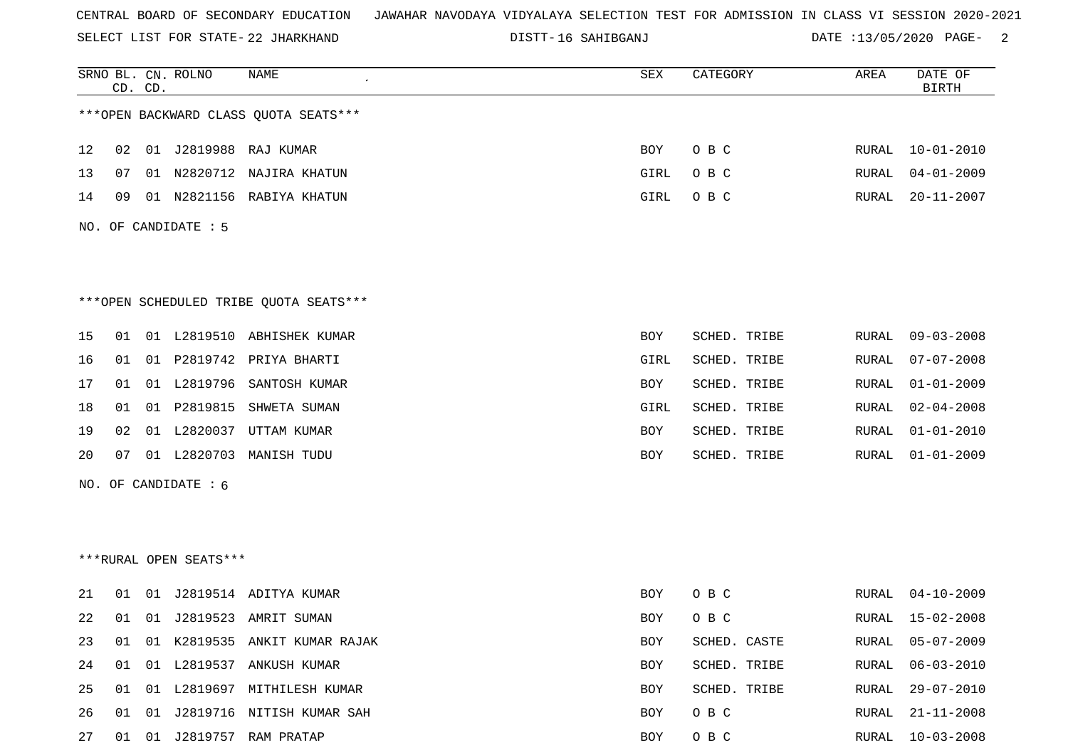SELECT LIST FOR STATE- DISTT- 22 JHARKHAND

16 SAHIBGANJ DATE :13/05/2020 PAGE- 2

|    |    | CD. CD. | SRNO BL. CN. ROLNO     | <b>NAME</b>                            | ${\tt SEX}$ | CATEGORY     | AREA  | DATE OF<br><b>BIRTH</b> |
|----|----|---------|------------------------|----------------------------------------|-------------|--------------|-------|-------------------------|
|    |    |         |                        | *** OPEN BACKWARD CLASS QUOTA SEATS*** |             |              |       |                         |
| 12 | 02 |         |                        | 01 J2819988 RAJ KUMAR                  | BOY         | O B C        | RURAL | $10 - 01 - 2010$        |
| 13 | 07 |         |                        | 01 N2820712 NAJIRA KHATUN              | GIRL        | O B C        | RURAL | $04 - 01 - 2009$        |
| 14 | 09 |         |                        | 01 N2821156 RABIYA KHATUN              | GIRL        | O B C        | RURAL | $20 - 11 - 2007$        |
|    |    |         | NO. OF CANDIDATE : 5   |                                        |             |              |       |                         |
|    |    |         |                        |                                        |             |              |       |                         |
|    |    |         |                        | ***OPEN SCHEDULED TRIBE QUOTA SEATS*** |             |              |       |                         |
| 15 | 01 |         |                        | 01 L2819510 ABHISHEK KUMAR             | BOY         | SCHED. TRIBE | RURAL | $09 - 03 - 2008$        |
| 16 | 01 |         |                        | 01 P2819742 PRIYA BHARTI               | GIRL        | SCHED. TRIBE | RURAL | $07 - 07 - 2008$        |
| 17 | 01 |         | 01 L2819796            | SANTOSH KUMAR                          | BOY         | SCHED. TRIBE | RURAL | $01 - 01 - 2009$        |
| 18 | 01 |         |                        | 01 P2819815 SHWETA SUMAN               | GIRL        | SCHED. TRIBE | RURAL | $02 - 04 - 2008$        |
| 19 | 02 |         |                        | 01 L2820037 UTTAM KUMAR                | BOY         | SCHED. TRIBE | RURAL | $01 - 01 - 2010$        |
| 20 | 07 |         |                        | 01 L2820703 MANISH TUDU                | BOY         | SCHED. TRIBE | RURAL | $01 - 01 - 2009$        |
|    |    |         | NO. OF CANDIDATE : 6   |                                        |             |              |       |                         |
|    |    |         |                        |                                        |             |              |       |                         |
|    |    |         |                        |                                        |             |              |       |                         |
|    |    |         | ***RURAL OPEN SEATS*** |                                        |             |              |       |                         |
| 21 | 01 |         |                        | 01 J2819514 ADITYA KUMAR               | BOY         | O B C        | RURAL | $04 - 10 - 2009$        |
| 22 |    |         |                        | 01 01 J2819523 AMRIT SUMAN             | BOY         | O B C        | RURAL | $15 - 02 - 2008$        |
| 23 | 01 |         |                        | 01 K2819535 ANKIT KUMAR RAJAK          | BOY         | SCHED. CASTE | RURAL | $05 - 07 - 2009$        |
| 24 | 01 |         |                        | 01 L2819537 ANKUSH KUMAR               | BOY         | SCHED. TRIBE | RURAL | $06 - 03 - 2010$        |
| 25 | 01 |         |                        | 01 L2819697 MITHILESH KUMAR            | BOY         | SCHED. TRIBE | RURAL | $29 - 07 - 2010$        |
| 26 | 01 |         |                        | 01 J2819716 NITISH KUMAR SAH           | BOY         | O B C        | RURAL | $21 - 11 - 2008$        |
| 27 | 01 |         |                        | 01 J2819757 RAM PRATAP                 | BOY         | O B C        | RURAL | $10 - 03 - 2008$        |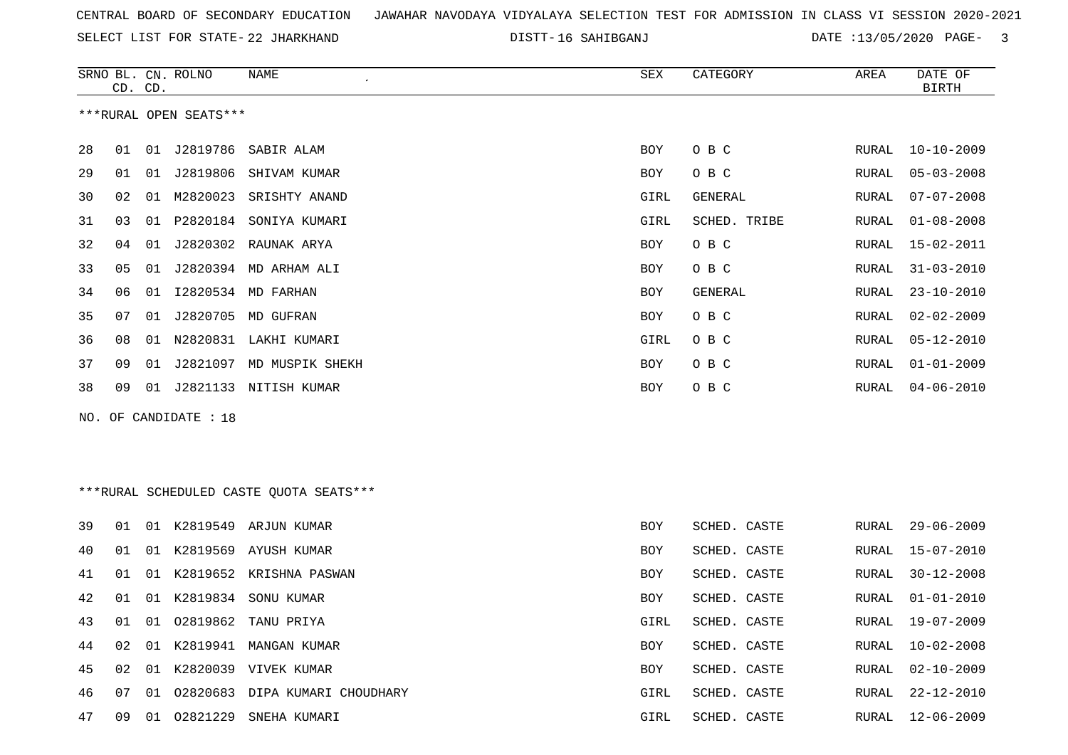SELECT LIST FOR STATE- DISTT- 22 JHARKHAND

16 SAHIBGANJ DATE :13/05/2020 PAGE- 3

|    |    | CD. CD. | SRNO BL. CN. ROLNO     | NAME                                    | SEX        | CATEGORY       | AREA  | DATE OF<br><b>BIRTH</b> |
|----|----|---------|------------------------|-----------------------------------------|------------|----------------|-------|-------------------------|
|    |    |         | ***RURAL OPEN SEATS*** |                                         |            |                |       |                         |
| 28 | 01 |         | 01 J2819786            | SABIR ALAM                              | BOY        | O B C          | RURAL | $10 - 10 - 2009$        |
| 29 | 01 |         |                        | 01 J2819806 SHIVAM KUMAR                | BOY        | O B C          | RURAL | $05 - 03 - 2008$        |
| 30 | 02 | 01      | M2820023               | SRISHTY ANAND                           | GIRL       | <b>GENERAL</b> | RURAL | $07 - 07 - 2008$        |
| 31 | 03 | 01      |                        | P2820184 SONIYA KUMARI                  | GIRL       | SCHED. TRIBE   | RURAL | $01 - 08 - 2008$        |
| 32 | 04 | 01      |                        | J2820302 RAUNAK ARYA                    | BOY        | O B C          | RURAL | $15 - 02 - 2011$        |
| 33 | 05 | 01      |                        | J2820394 MD ARHAM ALI                   | BOY        | O B C          | RURAL | $31 - 03 - 2010$        |
| 34 | 06 | 01      |                        | 12820534 MD FARHAN                      | BOY        | GENERAL        | RURAL | $23 - 10 - 2010$        |
| 35 | 07 | 01      |                        | J2820705 MD GUFRAN                      | BOY        | O B C          | RURAL | $02 - 02 - 2009$        |
| 36 | 08 |         |                        | 01 N2820831 LAKHI KUMARI                | GIRL       | O B C          | RURAL | $05 - 12 - 2010$        |
| 37 | 09 | 01      |                        | J2821097 MD MUSPIK SHEKH                | BOY        | O B C          | RURAL | $01 - 01 - 2009$        |
| 38 | 09 |         |                        | 01 J2821133 NITISH KUMAR                | BOY        | O B C          | RURAL | $04 - 06 - 2010$        |
|    |    |         | NO. OF CANDIDATE : 18  |                                         |            |                |       |                         |
|    |    |         |                        |                                         |            |                |       |                         |
|    |    |         |                        |                                         |            |                |       |                         |
|    |    |         |                        | ***RURAL SCHEDULED CASTE QUOTA SEATS*** |            |                |       |                         |
| 39 | 01 |         |                        | 01 K2819549 ARJUN KUMAR                 | <b>BOY</b> | SCHED. CASTE   | RURAL | $29 - 06 - 2009$        |
| 40 | 01 |         |                        | 01 K2819569 AYUSH KUMAR                 | BOY        | SCHED. CASTE   | RURAL | $15 - 07 - 2010$        |
| 41 | 01 | 01      |                        | K2819652 KRISHNA PASWAN                 | BOY        | SCHED. CASTE   | RURAL | $30 - 12 - 2008$        |
| 42 | 01 | 01      |                        | K2819834 SONU KUMAR                     | BOY        | SCHED. CASTE   | RURAL | $01 - 01 - 2010$        |
| 43 | 01 | 01      | 02819862               | TANU PRIYA                              | GIRL       | SCHED. CASTE   | RURAL | $19 - 07 - 2009$        |
| 44 | 02 |         |                        | 01 K2819941 MANGAN KUMAR                | BOY        | SCHED. CASTE   | RURAL | $10 - 02 - 2008$        |
| 45 | 02 |         |                        | 01 K2820039 VIVEK KUMAR                 | BOY        | SCHED. CASTE   | RURAL | $02 - 10 - 2009$        |
| 46 | 07 |         |                        | 01 02820683 DIPA KUMARI CHOUDHARY       | GIRL       | SCHED. CASTE   | RURAL | $22 - 12 - 2010$        |
| 47 | 09 |         |                        | 01 02821229 SNEHA KUMARI                | GIRL       | SCHED. CASTE   | RURAL | $12 - 06 - 2009$        |
|    |    |         |                        |                                         |            |                |       |                         |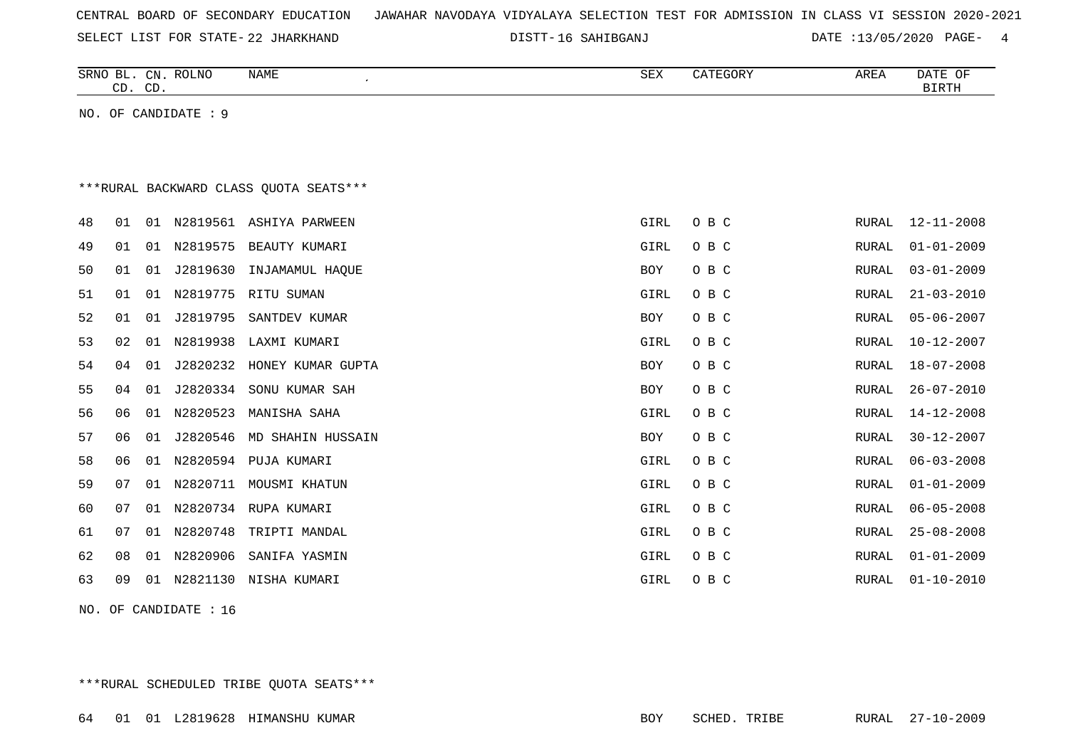|  |  |  | CENTRAL BOARD OF SECONDARY EDUCATION – JAWAHAR NAVODAYA VIDYALAYA SELECTION TEST FOR ADMISSION IN CLASS VI SESSION 2020-2021 |  |  |  |  |  |  |  |  |  |  |  |  |  |  |
|--|--|--|------------------------------------------------------------------------------------------------------------------------------|--|--|--|--|--|--|--|--|--|--|--|--|--|--|
|--|--|--|------------------------------------------------------------------------------------------------------------------------------|--|--|--|--|--|--|--|--|--|--|--|--|--|--|

SELECT LIST FOR STATE- DISTT- 22 JHARKHAND

16 SAHIBGANJ DATE :13/05/2020 PAGE- 4

|    | CD. CD. |    | SRNO BL. CN. ROLNO   | <b>NAME</b>                             | ${\tt SEX}$ | CATEGORY | AREA         | DATE OF<br><b>BIRTH</b> |
|----|---------|----|----------------------|-----------------------------------------|-------------|----------|--------------|-------------------------|
|    |         |    | NO. OF CANDIDATE : 9 |                                         |             |          |              |                         |
|    |         |    |                      |                                         |             |          |              |                         |
|    |         |    |                      |                                         |             |          |              |                         |
|    |         |    |                      | *** RURAL BACKWARD CLASS QUOTA SEATS*** |             |          |              |                         |
| 48 | 01      |    |                      | 01 N2819561 ASHIYA PARWEEN              | GIRL        | O B C    | RURAL        | $12 - 11 - 2008$        |
| 49 | 01      | 01 |                      | N2819575 BEAUTY KUMARI                  | GIRL        | O B C    | RURAL        | $01 - 01 - 2009$        |
| 50 | 01      | 01 | J2819630             | INJAMAMUL HAQUE                         | BOY         | O B C    | RURAL        | $03 - 01 - 2009$        |
| 51 | 01      | 01 | N2819775             | RITU SUMAN                              | GIRL        | O B C    | <b>RURAL</b> | $21 - 03 - 2010$        |
| 52 | 01      | 01 | J2819795             | SANTDEV KUMAR                           | <b>BOY</b>  | O B C    | <b>RURAL</b> | $05 - 06 - 2007$        |
| 53 | 02      | 01 | N2819938             | LAXMI KUMARI                            | GIRL        | O B C    | RURAL        | $10 - 12 - 2007$        |
| 54 | 04      | 01 | J2820232             | HONEY KUMAR GUPTA                       | <b>BOY</b>  | O B C    | <b>RURAL</b> | $18 - 07 - 2008$        |
| 55 | 04      | 01 |                      | J2820334 SONU KUMAR SAH                 | <b>BOY</b>  | O B C    | RURAL        | $26 - 07 - 2010$        |
| 56 | 06      | 01 | N2820523             | MANISHA SAHA                            | GIRL        | O B C    | RURAL        | $14 - 12 - 2008$        |
| 57 | 06      | 01 | J2820546             | MD SHAHIN HUSSAIN                       | <b>BOY</b>  | O B C    | <b>RURAL</b> | $30 - 12 - 2007$        |
| 58 | 06      | 01 |                      | N2820594 PUJA KUMARI                    | GIRL        | O B C    | RURAL        | $06 - 03 - 2008$        |
| 59 | 07      | 01 | N2820711             | MOUSMI KHATUN                           | GIRL        | O B C    | RURAL        | $01 - 01 - 2009$        |
| 60 | 07      | 01 | N2820734             | RUPA KUMARI                             | GIRL        | O B C    | RURAL        | $06 - 05 - 2008$        |
| 61 | 07      | 01 | N2820748             | TRIPTI MANDAL                           | GIRL        | O B C    | RURAL        | $25 - 08 - 2008$        |
| 62 | 08      | 01 | N2820906             | SANIFA YASMIN                           | GIRL        | O B C    | RURAL        | $01 - 01 - 2009$        |
| 63 | 09      | 01 | N2821130             | NISHA KUMARI                            | GIRL        | O B C    | RURAL        | $01 - 10 - 2010$        |
|    |         |    |                      |                                         |             |          |              |                         |

NO. OF CANDIDATE : 16

\*\*\*RURAL SCHEDULED TRIBE QUOTA SEATS\*\*\*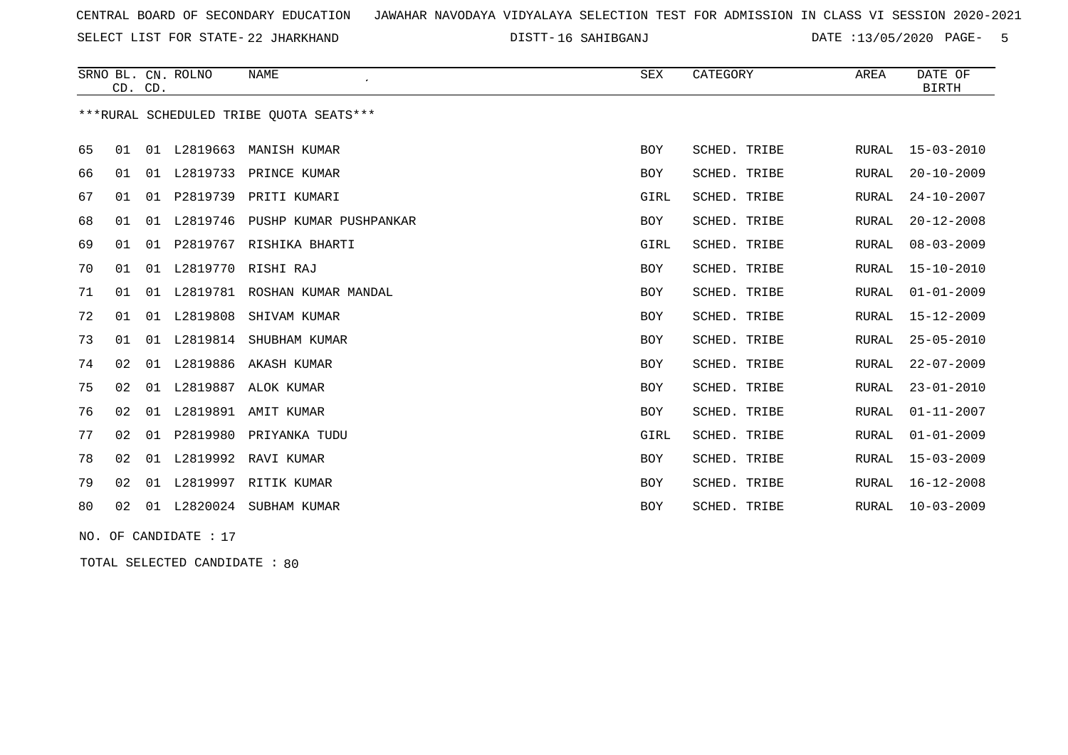SELECT LIST FOR STATE- DISTT- 22 JHARKHAND

16 SAHIBGANJ DATE :13/05/2020 PAGE- 5

|    | CD. CD. |    | SRNO BL. CN. ROLNO | NAME<br>$\epsilon$                      | SEX        | CATEGORY     | AREA         | DATE OF<br><b>BIRTH</b> |
|----|---------|----|--------------------|-----------------------------------------|------------|--------------|--------------|-------------------------|
|    |         |    |                    | ***RURAL SCHEDULED TRIBE QUOTA SEATS*** |            |              |              |                         |
| 65 | 01      |    |                    | 01 L2819663 MANISH KUMAR                | <b>BOY</b> | SCHED. TRIBE | RURAL        | $15 - 03 - 2010$        |
| 66 | 01      | 01 |                    | L2819733 PRINCE KUMAR                   | <b>BOY</b> | SCHED. TRIBE | RURAL        | $20 - 10 - 2009$        |
| 67 | 01      |    |                    | 01 P2819739 PRITI KUMARI                | GIRL       | SCHED. TRIBE | RURAL        | $24 - 10 - 2007$        |
| 68 | 01      |    |                    | 01 L2819746 PUSHP KUMAR PUSHPANKAR      | <b>BOY</b> | SCHED. TRIBE | RURAL        | $20 - 12 - 2008$        |
| 69 | 01      | 01 | P2819767           | RISHIKA BHARTI                          | GIRL       | SCHED. TRIBE | RURAL        | $08 - 03 - 2009$        |
| 70 | 01      | 01 | L2819770           | RISHI RAJ                               | <b>BOY</b> | SCHED. TRIBE | RURAL        | $15 - 10 - 2010$        |
| 71 | 01      | 01 | L2819781           | ROSHAN KUMAR MANDAL                     | <b>BOY</b> | SCHED. TRIBE | RURAL        | $01 - 01 - 2009$        |
| 72 | 01      |    | 01 L2819808        | SHIVAM KUMAR                            | <b>BOY</b> | SCHED. TRIBE | RURAL        | $15 - 12 - 2009$        |
| 73 | 01      |    | 01 L2819814        | SHUBHAM KUMAR                           | <b>BOY</b> | SCHED. TRIBE | RURAL        | $25 - 05 - 2010$        |
| 74 | 02      | 01 | L2819886           | AKASH KUMAR                             | <b>BOY</b> | SCHED. TRIBE | RURAL        | $22 - 07 - 2009$        |
| 75 | 02      | 01 | L2819887           | ALOK KUMAR                              | <b>BOY</b> | SCHED. TRIBE | RURAL        | $23 - 01 - 2010$        |
| 76 | 02      | 01 | L2819891           | AMIT KUMAR                              | <b>BOY</b> | SCHED. TRIBE | <b>RURAL</b> | $01 - 11 - 2007$        |
| 77 | 02      | 01 |                    | P2819980 PRIYANKA TUDU                  | GIRL       | SCHED. TRIBE | RURAL        | $01 - 01 - 2009$        |
| 78 | 02      |    | 01 L2819992        | RAVI KUMAR                              | <b>BOY</b> | SCHED. TRIBE | <b>RURAL</b> | $15 - 03 - 2009$        |
| 79 | 02      | 01 | L2819997           | RITIK KUMAR                             | <b>BOY</b> | SCHED. TRIBE | RURAL        | $16 - 12 - 2008$        |
| 80 | 02      | 01 | L2820024           | SUBHAM KUMAR                            | <b>BOY</b> | SCHED. TRIBE | RURAL        | $10 - 03 - 2009$        |

NO. OF CANDIDATE : 17

TOTAL SELECTED CANDIDATE : 80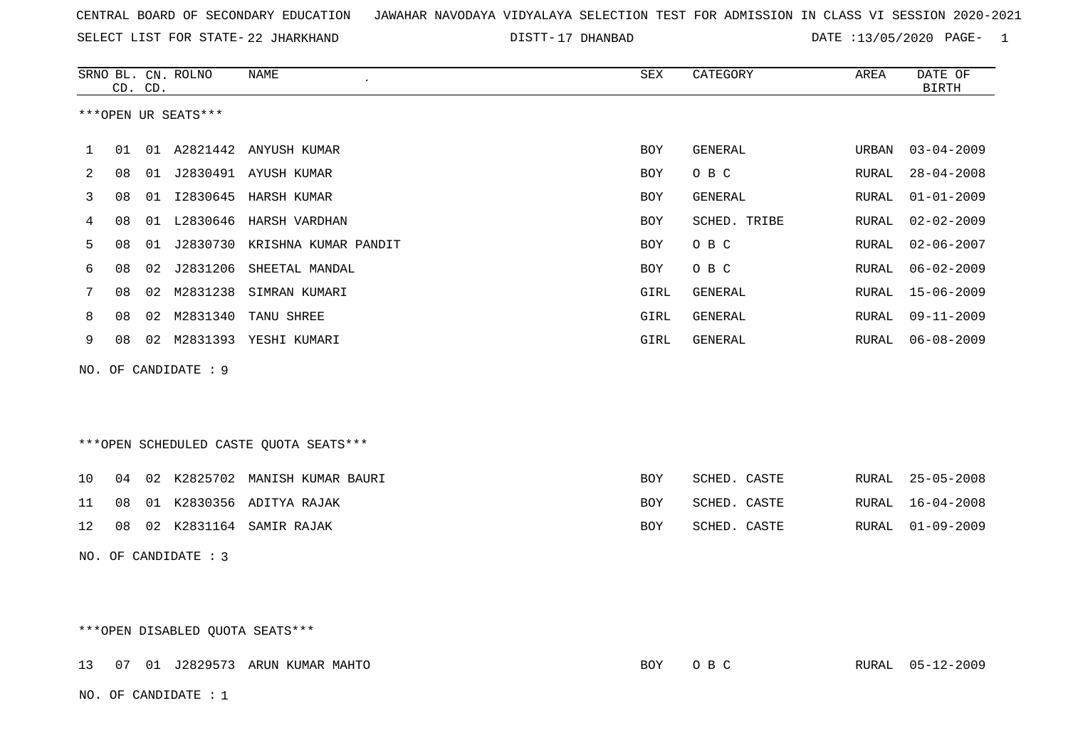SELECT LIST FOR STATE- DISTT- 22 JHARKHAND

17 DHANBAD DATE :13/05/2020 PAGE- 1

|     |    | CD. CD. | SRNO BL. CN. ROLNO   | <b>NAME</b>                            | ${\tt SEX}$ | CATEGORY       | AREA         | DATE OF<br><b>BIRTH</b> |
|-----|----|---------|----------------------|----------------------------------------|-------------|----------------|--------------|-------------------------|
|     |    |         | ***OPEN UR SEATS***  |                                        |             |                |              |                         |
| 1   | 01 |         |                      | 01 A2821442 ANYUSH KUMAR               | <b>BOY</b>  | GENERAL        | URBAN        | $03 - 04 - 2009$        |
| 2   | 08 |         |                      | 01 J2830491 AYUSH KUMAR                | <b>BOY</b>  | O B C          | RURAL        | $28 - 04 - 2008$        |
| 3   | 08 |         |                      | 01 I2830645 HARSH KUMAR                | BOY         | <b>GENERAL</b> | RURAL        | $01 - 01 - 2009$        |
| 4   | 08 |         | 01 L2830646          | HARSH VARDHAN                          | BOY         | SCHED. TRIBE   | RURAL        | $02 - 02 - 2009$        |
| 5   | 08 |         |                      | 01 J2830730 KRISHNA KUMAR PANDIT       | BOY         | O B C          | RURAL        | $02 - 06 - 2007$        |
| 6   | 08 |         |                      | 02 J2831206 SHEETAL MANDAL             | BOY         | O B C          | RURAL        | $06 - 02 - 2009$        |
| 7   | 08 | 02      | M2831238             | SIMRAN KUMARI                          | GIRL        | <b>GENERAL</b> | RURAL        | $15 - 06 - 2009$        |
| 8   | 08 | 02      | M2831340             | TANU SHREE                             | GIRL        | GENERAL        | <b>RURAL</b> | $09 - 11 - 2009$        |
| 9   | 08 |         |                      | 02 M2831393 YESHI KUMARI               | GIRL        | GENERAL        | RURAL        | $06 - 08 - 2009$        |
| NO. |    |         | OF CANDIDATE : 9     |                                        |             |                |              |                         |
|     |    |         |                      |                                        |             |                |              |                         |
|     |    |         |                      |                                        |             |                |              |                         |
|     |    |         |                      | ***OPEN SCHEDULED CASTE QUOTA SEATS*** |             |                |              |                         |
| 10  | 04 |         |                      | 02 K2825702 MANISH KUMAR BAURI         | BOY         | SCHED. CASTE   | RURAL        | $25 - 05 - 2008$        |
| 11  | 08 |         |                      | 01 K2830356 ADITYA RAJAK               | <b>BOY</b>  | SCHED. CASTE   | RURAL        | $16 - 04 - 2008$        |
| 12  | 08 |         |                      | 02 K2831164 SAMIR RAJAK                | BOY         | SCHED. CASTE   | RURAL        | $01 - 09 - 2009$        |
|     |    |         | NO. OF CANDIDATE : 3 |                                        |             |                |              |                         |

\*\*\*OPEN DISABLED QUOTA SEATS\*\*\*

|  |                        | 13 07 01 J2829573 ARUN KUMAR MAHTO | BOY | $O$ B C | RURAL 05-12-2009 |
|--|------------------------|------------------------------------|-----|---------|------------------|
|  | NO. OF CANDIDATE : $1$ |                                    |     |         |                  |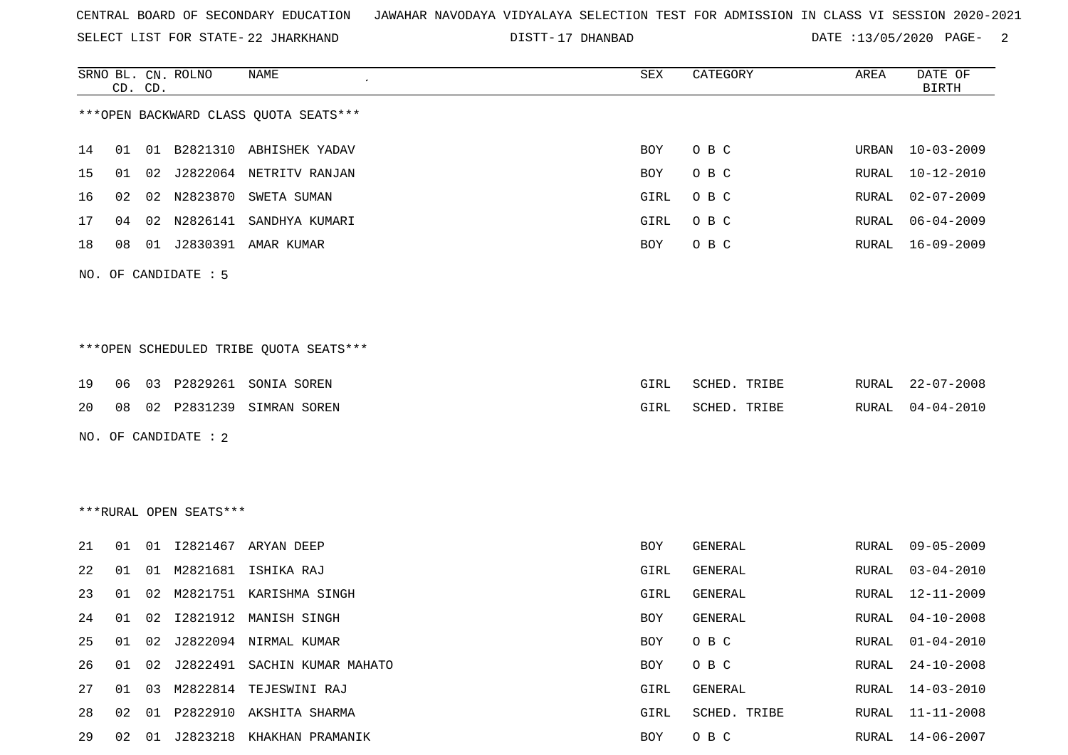SELECT LIST FOR STATE- DISTT- 22 JHARKHAND

17 DHANBAD DATE :13/05/2020 PAGE- 2

|    | CD. CD. |    | SRNO BL. CN. ROLNO     | NAME                                    | SEX        | CATEGORY       | AREA  | DATE OF<br><b>BIRTH</b> |
|----|---------|----|------------------------|-----------------------------------------|------------|----------------|-------|-------------------------|
|    |         |    |                        | *** OPEN BACKWARD CLASS QUOTA SEATS***  |            |                |       |                         |
| 14 |         |    |                        | 01 01 B2821310 ABHISHEK YADAV           | BOY        | O B C          | URBAN | $10 - 03 - 2009$        |
| 15 |         |    |                        | 01 02 J2822064 NETRITV RANJAN           | <b>BOY</b> | O B C          | RURAL | $10 - 12 - 2010$        |
| 16 | 02      |    | 02 N2823870            | SWETA SUMAN                             | GIRL       | O B C          | RURAL | $02 - 07 - 2009$        |
| 17 | 04      | 02 |                        | N2826141 SANDHYA KUMARI                 | GIRL       | O B C          | RURAL | $06 - 04 - 2009$        |
| 18 | 08      |    |                        | 01 J2830391 AMAR KUMAR                  | BOY        | O B C          | RURAL | 16-09-2009              |
|    |         |    | NO. OF CANDIDATE : 5   |                                         |            |                |       |                         |
|    |         |    |                        |                                         |            |                |       |                         |
|    |         |    |                        |                                         |            |                |       |                         |
|    |         |    |                        | *** OPEN SCHEDULED TRIBE QUOTA SEATS*** |            |                |       |                         |
| 19 | 06      |    |                        | 03 P2829261 SONIA SOREN                 | GIRL       | SCHED. TRIBE   | RURAL | 22-07-2008              |
| 20 | 08      |    |                        | 02 P2831239 SIMRAN SOREN                | GIRL       | SCHED. TRIBE   | RURAL | $04 - 04 - 2010$        |
|    |         |    | NO. OF CANDIDATE : 2   |                                         |            |                |       |                         |
|    |         |    |                        |                                         |            |                |       |                         |
|    |         |    |                        |                                         |            |                |       |                         |
|    |         |    | ***RURAL OPEN SEATS*** |                                         |            |                |       |                         |
| 21 |         |    |                        | 01 01 I2821467 ARYAN DEEP               | BOY        | GENERAL        | RURAL | $09 - 05 - 2009$        |
| 22 | 01      | 01 |                        | M2821681 ISHIKA RAJ                     | GIRL       | <b>GENERAL</b> | RURAL | $03 - 04 - 2010$        |
| 23 | 01      | 02 |                        | M2821751 KARISHMA SINGH                 | GIRL       | <b>GENERAL</b> | RURAL | 12-11-2009              |
| 24 | 01      | 02 |                        | I2821912 MANISH SINGH                   | BOY        | <b>GENERAL</b> | RURAL | $04 - 10 - 2008$        |
|    |         |    |                        | 25 01 02 J2822094 NIRMAL KUMAR          |            | BOY OBC        |       | RURAL 01-04-2010        |
| 26 |         |    |                        | 01 02 J2822491 SACHIN KUMAR MAHATO      | BOY        | O B C          | RURAL | $24 - 10 - 2008$        |
| 27 |         |    |                        | 01 03 M2822814 TEJESWINI RAJ            | GIRL       | GENERAL        | RURAL | 14-03-2010              |
| 28 |         |    |                        | 02 01 P2822910 AKSHITA SHARMA           | GIRL       | SCHED. TRIBE   |       | RURAL 11-11-2008        |
| 29 |         |    |                        | 02 01 J2823218 KHAKHAN PRAMANIK         | BOY        | O B C          | RURAL | $14 - 06 - 2007$        |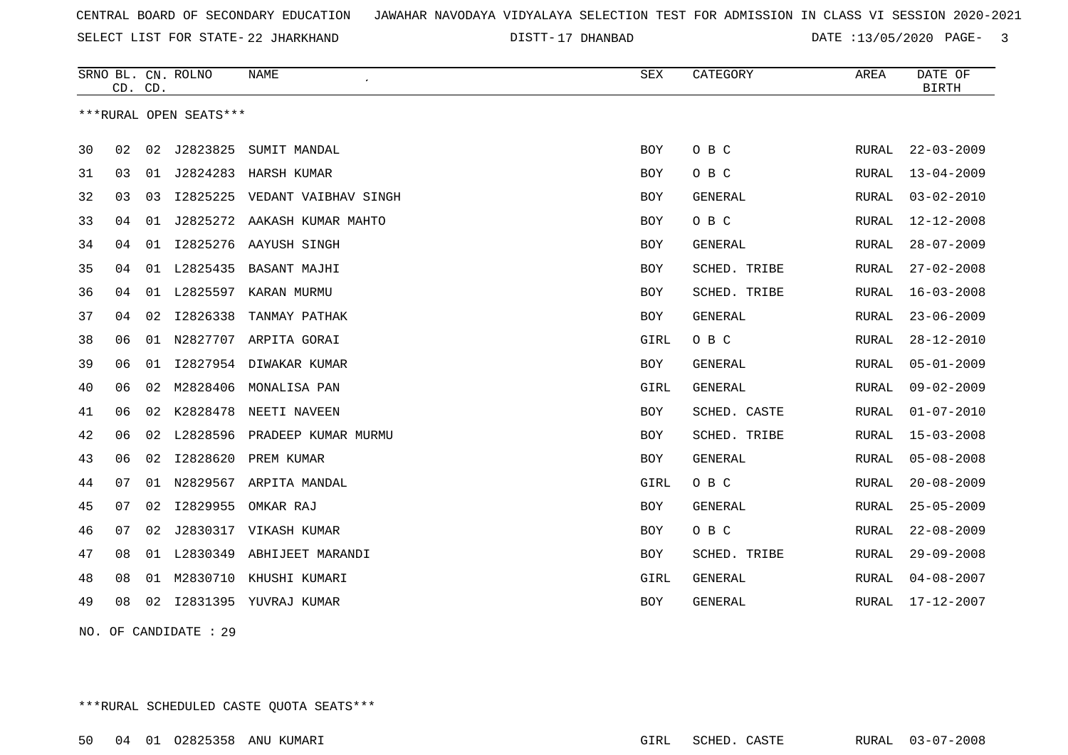SELECT LIST FOR STATE- DISTT- 22 JHARKHAND

17 DHANBAD DATE :13/05/2020 PAGE- 3

|    | CD. CD. |    | SRNO BL. CN. ROLNO     | <b>NAME</b>            | <b>SEX</b> | CATEGORY     | AREA         | DATE OF<br><b>BIRTH</b> |
|----|---------|----|------------------------|------------------------|------------|--------------|--------------|-------------------------|
|    |         |    | ***RURAL OPEN SEATS*** |                        |            |              |              |                         |
| 30 | 02      | 02 | J2823825               | SUMIT MANDAL           | <b>BOY</b> | O B C        | RURAL        | $22 - 03 - 2009$        |
| 31 | 03      | 01 | J2824283               | HARSH KUMAR            | <b>BOY</b> | O B C        | RURAL        | $13 - 04 - 2009$        |
| 32 | 03      | 03 | I2825225               | VEDANT VAIBHAV SINGH   | BOY        | GENERAL      | RURAL        | $03 - 02 - 2010$        |
| 33 | 04      | 01 | J2825272               | AAKASH KUMAR MAHTO     | BOY        | O B C        | RURAL        | $12 - 12 - 2008$        |
| 34 | 04      | 01 | I2825276               | AAYUSH SINGH           | BOY        | GENERAL      | RURAL        | $28 - 07 - 2009$        |
| 35 | 04      | 01 | L2825435               | BASANT MAJHI           | BOY        | SCHED. TRIBE | RURAL        | $27 - 02 - 2008$        |
| 36 | 04      | 01 | L2825597               | KARAN MURMU            | BOY        | SCHED. TRIBE | RURAL        | $16 - 03 - 2008$        |
| 37 | 04      | 02 | I2826338               | TANMAY PATHAK          | <b>BOY</b> | GENERAL      | RURAL        | $23 - 06 - 2009$        |
| 38 | 06      | 01 |                        | N2827707 ARPITA GORAI  | GIRL       | O B C        | RURAL        | $28 - 12 - 2010$        |
| 39 | 06      | 01 |                        | I2827954 DIWAKAR KUMAR | <b>BOY</b> | GENERAL      | <b>RURAL</b> | $05 - 01 - 2009$        |
| 40 | 06      | 02 | M2828406               | MONALISA PAN           | GIRL       | GENERAL      | <b>RURAL</b> | $09 - 02 - 2009$        |
| 41 | 06      | 02 | K2828478               | NEETI NAVEEN           | <b>BOY</b> | SCHED. CASTE | RURAL        | $01 - 07 - 2010$        |
| 42 | 06      | 02 | L2828596               | PRADEEP KUMAR MURMU    | BOY        | SCHED. TRIBE | RURAL        | $15 - 03 - 2008$        |
| 43 | 06      | 02 | I2828620               | PREM KUMAR             | BOY        | GENERAL      | RURAL        | $05 - 08 - 2008$        |
| 44 | 07      | 01 | N2829567               | ARPITA MANDAL          | GIRL       | O B C        | <b>RURAL</b> | $20 - 08 - 2009$        |
| 45 | 07      | 02 | I2829955               | OMKAR RAJ              | BOY        | GENERAL      | RURAL        | $25 - 05 - 2009$        |
| 46 | 07      | 02 |                        | J2830317 VIKASH KUMAR  | BOY        | O B C        | RURAL        | $22 - 08 - 2009$        |
| 47 | 08      | 01 | L2830349               | ABHIJEET MARANDI       | BOY        | SCHED. TRIBE | RURAL        | $29 - 09 - 2008$        |
| 48 | 08      | 01 | M2830710               | KHUSHI KUMARI          | GIRL       | GENERAL      | RURAL        | $04 - 08 - 2007$        |
| 49 | 08      | 02 |                        | 12831395 YUVRAJ KUMAR  | <b>BOY</b> | GENERAL      | <b>RURAL</b> | 17-12-2007              |

NO. OF CANDIDATE : 29

\*\*\*RURAL SCHEDULED CASTE QUOTA SEATS\*\*\*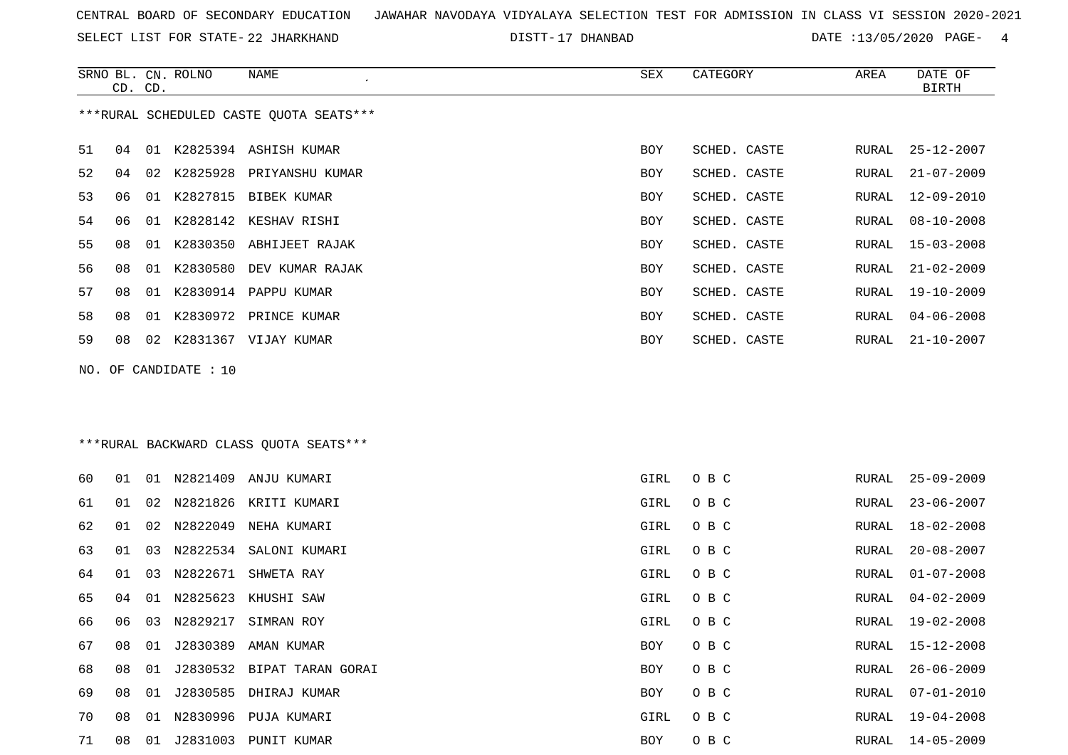SELECT LIST FOR STATE- DISTT- 22 JHARKHAND

17 DHANBAD DATE :13/05/2020 PAGE- 4

|    | CD. CD. |    | SRNO BL. CN. ROLNO | NAME                                    | SEX        | CATEGORY     | AREA  | DATE OF<br><b>BIRTH</b> |
|----|---------|----|--------------------|-----------------------------------------|------------|--------------|-------|-------------------------|
|    |         |    |                    | ***RURAL SCHEDULED CASTE QUOTA SEATS*** |            |              |       |                         |
| 51 | 04      |    |                    | 01 K2825394 ASHISH KUMAR                | <b>BOY</b> | SCHED. CASTE | RURAL | 25-12-2007              |
| 52 | 04      |    |                    | 02 K2825928 PRIYANSHU KUMAR             | BOY        | SCHED. CASTE | RURAL | $21 - 07 - 2009$        |
| 53 | 06      |    | 01 K2827815        | BIBEK KUMAR                             | BOY        | SCHED. CASTE | RURAL | $12 - 09 - 2010$        |
| 54 | 06      | 01 |                    | K2828142 KESHAV RISHI                   | <b>BOY</b> | SCHED. CASTE | RURAL | $08 - 10 - 2008$        |
| 55 | 08      | 01 | K2830350           | ABHIJEET RAJAK                          | BOY        | SCHED. CASTE | RURAL | $15 - 03 - 2008$        |
| 56 | 08      |    | 01 K2830580        | DEV KUMAR RAJAK                         | BOY        | SCHED. CASTE | RURAL | $21 - 02 - 2009$        |
| 57 | 08      |    |                    | 01 K2830914 PAPPU KUMAR                 | BOY        | SCHED. CASTE | RURAL | $19 - 10 - 2009$        |
| 58 | 08      |    |                    | 01 K2830972 PRINCE KUMAR                | BOY        | SCHED. CASTE | RURAL | $04 - 06 - 2008$        |
| 59 | 08      |    |                    | 02 K2831367 VIJAY KUMAR                 | BOY        | SCHED. CASTE | RURAL | 21-10-2007              |
|    |         |    |                    | *** RURAL BACKWARD CLASS QUOTA SEATS*** |            |              |       |                         |
| 60 | 01      |    |                    | 01 N2821409 ANJU KUMARI                 | GIRL       | O B C        | RURAL | $25 - 09 - 2009$        |
| 61 | 01      | 02 | N2821826           | KRITI KUMARI                            | GIRL       | O B C        | RURAL | $23 - 06 - 2007$        |
| 62 | 01      | 02 | N2822049           | NEHA KUMARI                             | GIRL       | O B C        | RURAL | $18 - 02 - 2008$        |
| 63 | 01      | 03 |                    | N2822534 SALONI KUMARI                  | GIRL       | O B C        | RURAL | $20 - 08 - 2007$        |
| 64 | 01      | 03 | N2822671           | SHWETA RAY                              | GIRL       | O B C        | RURAL | $01 - 07 - 2008$        |
| 65 | 04      | 01 | N2825623           | KHUSHI SAW                              | GIRL       | O B C        | RURAL | $04 - 02 - 2009$        |
| 66 | 06      |    |                    | 03 N2829217 SIMRAN ROY                  | GIRL       | O B C        | RURAL | $19 - 02 - 2008$        |
| 67 | 08      |    |                    | 01 J2830389 AMAN KUMAR                  | BOY        | O B C        | RURAL | $15 - 12 - 2008$        |
| 68 | 08      |    |                    | 01 J2830532 BIPAT TARAN GORAI           | BOY        | O B C        | RURAL | $26 - 06 - 2009$        |
| 69 | 08      |    |                    | 01 J2830585 DHIRAJ KUMAR                | BOY        | O B C        | RURAL | $07 - 01 - 2010$        |
| 70 | 08      |    |                    | 01 N2830996 PUJA KUMARI                 | GIRL       | O B C        | RURAL | 19-04-2008              |
| 71 | 08      |    |                    | 01 J2831003 PUNIT KUMAR                 | BOY        | O B C        |       | RURAL 14-05-2009        |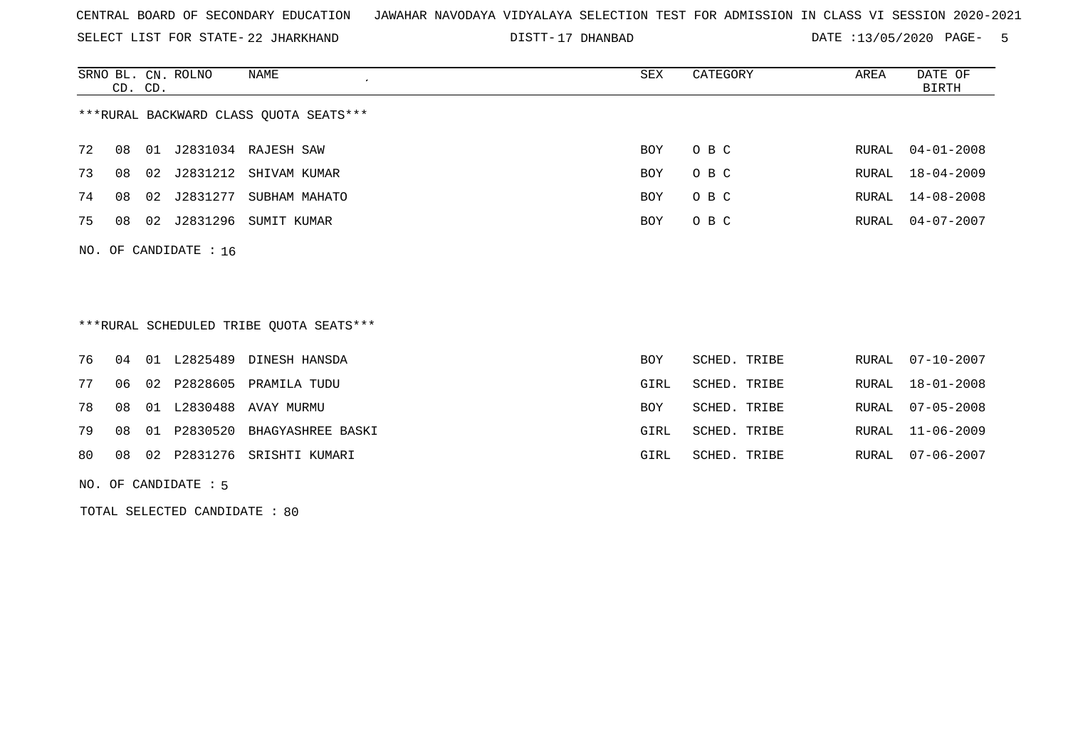SELECT LIST FOR STATE- DISTT- 22 JHARKHAND

17 DHANBAD DATE :13/05/2020 PAGE- 5

|                                        | CD. CD. |    | SRNO BL. CN. ROLNO      | NAME                  | SEX        | CATEGORY | AREA  | DATE OF<br>BIRTH |
|----------------------------------------|---------|----|-------------------------|-----------------------|------------|----------|-------|------------------|
| ***RURAL BACKWARD CLASS OUOTA SEATS*** |         |    |                         |                       |            |          |       |                  |
| 72                                     | 08      | 01 |                         | J2831034 RAJESH SAW   | <b>BOY</b> | O B C    | RURAL | $04 - 01 - 2008$ |
| 73                                     | 08      | 02 |                         | J2831212 SHIVAM KUMAR | BOY        | O B C    | RURAL | 18-04-2009       |
| 74                                     | 08      | 02 | J2831277                | SUBHAM MAHATO         | BOY        | O B C    | RURAL | 14-08-2008       |
| 75                                     | 08      | 02 | J2831296                | SUMIT KUMAR           | BOY        | O B C    | RURAL | 04-07-2007       |
|                                        |         |    | NO. OF CANDIDATE : $16$ |                       |            |          |       |                  |

\*\*\*RURAL SCHEDULED TRIBE QUOTA SEATS\*\*\*

|    |  | 76 04 01 L2825489 DINESH HANSDA     | BOY        | SCHED. TRIBE | RURAL 07-10-2007 |
|----|--|-------------------------------------|------------|--------------|------------------|
| 77 |  | 06 02 P2828605 PRAMILA TUDU         | GIRL       | SCHED. TRIBE | RURAL 18-01-2008 |
|    |  | 78 08 01 L2830488 AVAY MURMU        | <b>BOY</b> | SCHED. TRIBE | RURAL 07-05-2008 |
|    |  | 79 08 01 P2830520 BHAGYASHREE BASKI | GIRL       | SCHED. TRIBE | RURAL 11-06-2009 |
|    |  | 80 08 02 P2831276 SRISHTI KUMARI    | GIRL       | SCHED. TRIBE | RURAL 07-06-2007 |

NO. OF CANDIDATE : 5

TOTAL SELECTED CANDIDATE : 80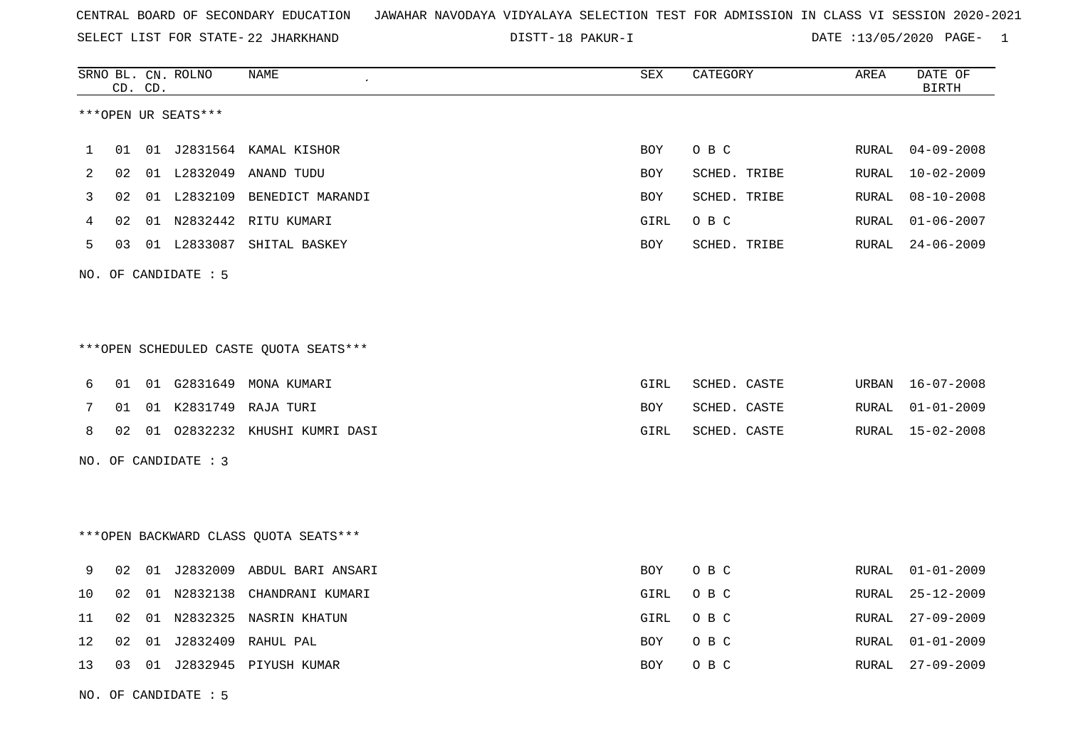SELECT LIST FOR STATE- DISTT- 22 JHARKHAND

NO. OF CANDIDATE : 5

DISTT-18 PAKUR-I DATE :13/05/2020 PAGE- 1

|    |                 | CD. CD. | SRNO BL. CN. ROLNO   | <b>NAME</b>                            | SEX        | CATEGORY     | AREA  | DATE OF<br><b>BIRTH</b> |
|----|-----------------|---------|----------------------|----------------------------------------|------------|--------------|-------|-------------------------|
|    |                 |         | ***OPEN UR SEATS***  |                                        |            |              |       |                         |
| 1  | 01              |         |                      | 01 J2831564 KAMAL KISHOR               | <b>BOY</b> | O B C        | RURAL | $04 - 09 - 2008$        |
| 2  | 02 <sub>o</sub> |         |                      | 01 L2832049 ANAND TUDU                 | <b>BOY</b> | SCHED. TRIBE | RURAL | $10 - 02 - 2009$        |
| 3  | 02              |         |                      | 01 L2832109 BENEDICT MARANDI           | BOY        | SCHED. TRIBE | RURAL | $08 - 10 - 2008$        |
| 4  | 02              |         |                      | 01 N2832442 RITU KUMARI                | GIRL       | O B C        | RURAL | $01 - 06 - 2007$        |
| 5  | 03              |         |                      | 01 L2833087 SHITAL BASKEY              | BOY        | SCHED. TRIBE | RURAL | $24 - 06 - 2009$        |
|    |                 |         | NO. OF CANDIDATE : 5 |                                        |            |              |       |                         |
|    |                 |         |                      |                                        |            |              |       |                         |
|    |                 |         |                      | ***OPEN SCHEDULED CASTE QUOTA SEATS*** |            |              |       |                         |
| 6  | 01              |         |                      | 01 G2831649 MONA KUMARI                | GIRL       | SCHED. CASTE |       | URBAN 16-07-2008        |
| 7  | 01              |         |                      | 01 K2831749 RAJA TURI                  | <b>BOY</b> | SCHED. CASTE | RURAL | $01 - 01 - 2009$        |
| 8  |                 |         |                      | 02 01 02832232 KHUSHI KUMRI DASI       | GIRL       | SCHED. CASTE |       | RURAL 15-02-2008        |
|    |                 |         | NO. OF CANDIDATE : 3 |                                        |            |              |       |                         |
|    |                 |         |                      |                                        |            |              |       |                         |
|    |                 |         |                      | *** OPEN BACKWARD CLASS QUOTA SEATS*** |            |              |       |                         |
| 9  | 02              |         |                      | 01 J2832009 ABDUL BARI ANSARI          | <b>BOY</b> | O B C        | RURAL | $01 - 01 - 2009$        |
| 10 | 02              |         | 01 N2832138          | CHANDRANI KUMARI                       | GIRL       | O B C        | RURAL | $25 - 12 - 2009$        |
| 11 | 02              |         |                      | 01 N2832325 NASRIN KHATUN              | GIRL       | O B C        | RURAL | $27 - 09 - 2009$        |
| 12 | 02              |         |                      | 01 J2832409 RAHUL PAL                  | <b>BOY</b> | O B C        | RURAL | $01 - 01 - 2009$        |
| 13 |                 |         |                      | 03 01 J2832945 PIYUSH KUMAR            | BOY        | O B C        | RURAL | $27 - 09 - 2009$        |
|    |                 |         |                      |                                        |            |              |       |                         |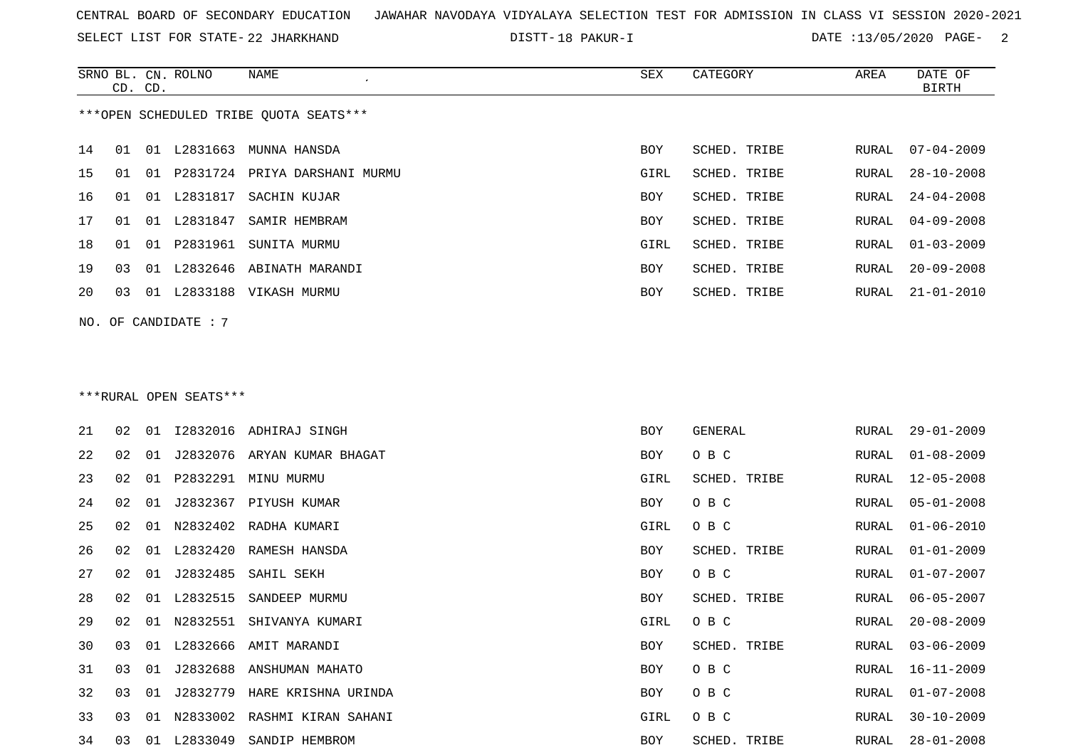SELECT LIST FOR STATE- DISTT- 22 JHARKHAND

18 PAKUR-I DATE :13/05/2020 PAGE- 2

|    |                                        |  | SRNO BL. CN. ROLNO     | NAME<br>$\epsilon$               | SEX  | CATEGORY     | AREA  | DATE OF          |  |  |  |
|----|----------------------------------------|--|------------------------|----------------------------------|------|--------------|-------|------------------|--|--|--|
|    | CD. CD.                                |  |                        |                                  |      |              |       | BIRTH            |  |  |  |
|    | ***OPEN SCHEDULED TRIBE QUOTA SEATS*** |  |                        |                                  |      |              |       |                  |  |  |  |
|    |                                        |  |                        |                                  |      |              |       |                  |  |  |  |
| 14 | 01                                     |  | 01 L2831663            | MUNNA HANSDA                     | BOY  | SCHED. TRIBE | RURAL | $07 - 04 - 2009$ |  |  |  |
| 15 | 01                                     |  |                        | 01 P2831724 PRIYA DARSHANI MURMU | GIRL | SCHED. TRIBE | RURAL | 28-10-2008       |  |  |  |
| 16 | 01                                     |  |                        | 01 L2831817 SACHIN KUJAR         | BOY  | SCHED. TRIBE | RURAL | $24 - 04 - 2008$ |  |  |  |
| 17 | 01                                     |  | 01 L2831847            | SAMIR HEMBRAM                    | BOY  | SCHED. TRIBE | RURAL | $04 - 09 - 2008$ |  |  |  |
| 18 | 01                                     |  |                        | 01 P2831961 SUNITA MURMU         | GIRL | SCHED. TRIBE | RURAL | $01 - 03 - 2009$ |  |  |  |
| 19 | 03                                     |  |                        | 01 L2832646 ABINATH MARANDI      | BOY  | SCHED. TRIBE | RURAL | $20 - 09 - 2008$ |  |  |  |
| 20 | 03                                     |  |                        | 01 L2833188 VIKASH MURMU         | BOY  | SCHED. TRIBE | RURAL | $21 - 01 - 2010$ |  |  |  |
|    |                                        |  | NO. OF CANDIDATE : $7$ |                                  |      |              |       |                  |  |  |  |
|    |                                        |  |                        |                                  |      |              |       |                  |  |  |  |
|    |                                        |  |                        |                                  |      |              |       |                  |  |  |  |
|    |                                        |  |                        |                                  |      |              |       |                  |  |  |  |
|    | ***RURAL OPEN SEATS***                 |  |                        |                                  |      |              |       |                  |  |  |  |

| 21 | 02 | 01  | I2832016 | ADHIRAJ SINGH                | <b>BOY</b> | GENERAL      | RURAL | $29 - 01 - 2009$ |
|----|----|-----|----------|------------------------------|------------|--------------|-------|------------------|
| 22 | 02 | 01  | J2832076 | ARYAN KUMAR BHAGAT           | BOY        | O B C        | RURAL | $01 - 08 - 2009$ |
| 23 | 02 | 01  | P2832291 | MINU MURMU                   | GIRL       | SCHED. TRIBE | RURAL | $12 - 05 - 2008$ |
| 24 | 02 | 01  | J2832367 | PIYUSH KUMAR                 | BOY        | O B C        | RURAL | $05 - 01 - 2008$ |
| 25 | 02 | 01  |          | N2832402 RADHA KUMARI        | GIRL       | O B C        | RURAL | $01 - 06 - 2010$ |
| 26 | 02 | 01  | L2832420 | RAMESH HANSDA                | BOY        | SCHED. TRIBE | RURAL | $01 - 01 - 2009$ |
| 27 | 02 | 01  | J2832485 | SAHIL SEKH                   | BOY        | O B C        | RURAL | $01 - 07 - 2007$ |
| 28 | 02 | 01  | L2832515 | SANDEEP MURMU                | BOY        | SCHED. TRIBE | RURAL | $06 - 05 - 2007$ |
| 29 | 02 | 01  | N2832551 | SHIVANYA KUMARI              | GIRL       | O B C        | RURAL | $20 - 08 - 2009$ |
| 30 | 03 | O 1 | L2832666 | AMIT MARANDI                 | <b>BOY</b> | SCHED. TRIBE | RURAL | $03 - 06 - 2009$ |
| 31 | 03 | 01  | J2832688 | ANSHUMAN MAHATO              | BOY        | O B C        | RURAL | 16-11-2009       |
| 32 | 03 | 01  | J2832779 | HARE KRISHNA URINDA          | BOY        | O B C        | RURAL | $01 - 07 - 2008$ |
| 33 | 03 | 01  |          | N2833002 RASHMI KIRAN SAHANI | GIRL       | O B C        | RURAL | $30 - 10 - 2009$ |
| 34 | 03 | 01  | L2833049 | SANDIP HEMBROM               | BOY        | SCHED. TRIBE | RURAL | $28 - 01 - 2008$ |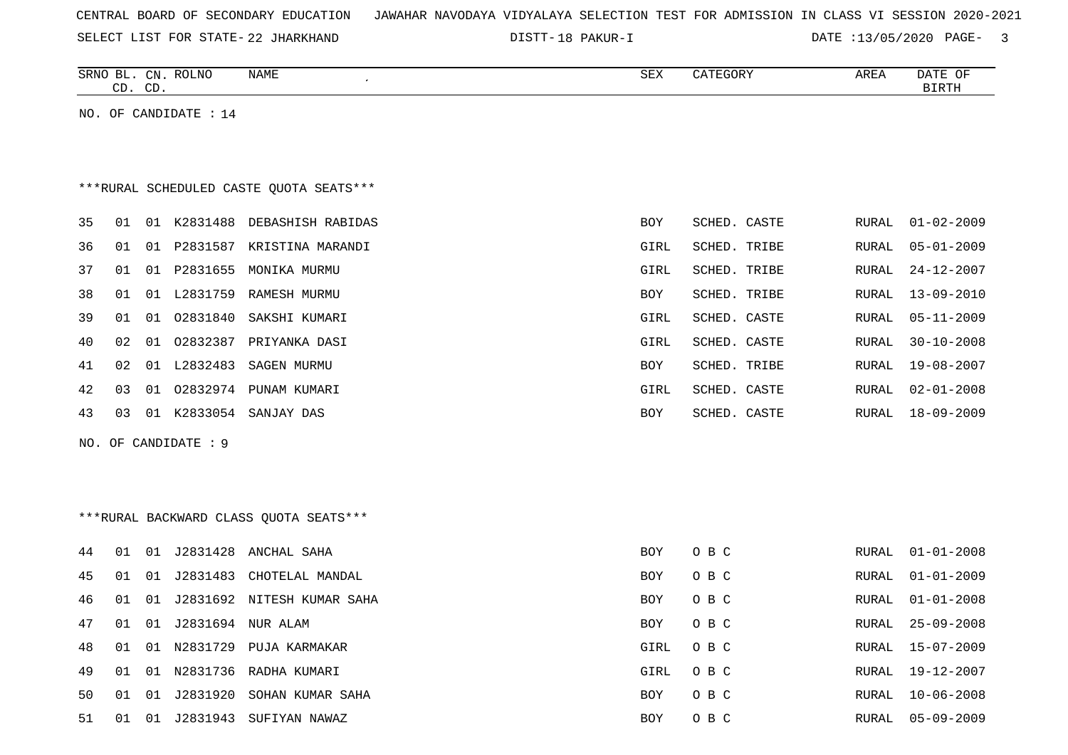| CENTRAL BOARD OF SECONDARY EDUCATION – JAWAHAR NAVODAYA VIDYALAYA SELECTION TEST FOR ADMISSION IN CLASS VI SESSION 2020-2021 |
|------------------------------------------------------------------------------------------------------------------------------|
|------------------------------------------------------------------------------------------------------------------------------|

SELECT LIST FOR STATE- DISTT- 22 JHARKHAND

DISTT-18 PAKUR-I 2000 DATE :13/05/2020 PAGE- 3

|    |    | CD. CD. | SRNO BL. CN. ROLNO    | NAME                                    | SEX  | CATEGORY     | AREA         | DATE OF<br><b>BIRTH</b> |
|----|----|---------|-----------------------|-----------------------------------------|------|--------------|--------------|-------------------------|
|    |    |         | NO. OF CANDIDATE : 14 |                                         |      |              |              |                         |
|    |    |         |                       |                                         |      |              |              |                         |
|    |    |         |                       |                                         |      |              |              |                         |
|    |    |         |                       | ***RURAL SCHEDULED CASTE QUOTA SEATS*** |      |              |              |                         |
| 35 | 01 |         |                       | 01 K2831488 DEBASHISH RABIDAS           | BOY  | SCHED. CASTE | RURAL        | $01 - 02 - 2009$        |
| 36 | 01 |         |                       | 01 P2831587 KRISTINA MARANDI            | GIRL | SCHED. TRIBE | <b>RURAL</b> | $05 - 01 - 2009$        |
| 37 | 01 |         | 01 P2831655           | MONIKA MURMU                            | GIRL | SCHED. TRIBE | <b>RURAL</b> | $24 - 12 - 2007$        |
| 38 | 01 |         |                       | 01 L2831759 RAMESH MURMU                | BOY  | SCHED. TRIBE | <b>RURAL</b> | $13 - 09 - 2010$        |
| 39 | 01 |         | 01 02831840           | SAKSHI KUMARI                           | GIRL | SCHED. CASTE | <b>RURAL</b> | $05 - 11 - 2009$        |
| 40 | 02 |         | 01 02832387           | PRIYANKA DASI                           | GIRL | SCHED. CASTE | <b>RURAL</b> | $30 - 10 - 2008$        |
| 41 | 02 |         | 01 L2832483           | SAGEN MURMU                             | BOY  | SCHED. TRIBE | RURAL        | $19 - 08 - 2007$        |
| 42 | 03 |         |                       | 01 02832974 PUNAM KUMARI                | GIRL | SCHED. CASTE | <b>RURAL</b> | $02 - 01 - 2008$        |
| 43 | 03 |         |                       | 01 K2833054 SANJAY DAS                  | BOY  | SCHED. CASTE | RURAL        | $18 - 09 - 2009$        |
|    |    |         | NO. OF CANDIDATE : 9  |                                         |      |              |              |                         |
|    |    |         |                       |                                         |      |              |              |                         |
|    |    |         |                       |                                         |      |              |              |                         |
|    |    |         |                       | ***RURAL BACKWARD CLASS QUOTA SEATS***  |      |              |              |                         |
|    |    |         |                       |                                         |      |              |              |                         |
| 44 | 01 |         |                       | 01 J2831428 ANCHAL SAHA                 | BOY  | O B C        | RURAL        | $01 - 01 - 2008$        |
| 45 | 01 | 01      |                       | J2831483 CHOTELAL MANDAL                | BOY  | O B C        | RURAL        | $01 - 01 - 2009$        |
| 46 | 01 |         |                       | 01 J2831692 NITESH KUMAR SAHA           | BOY  | O B C        | RURAL        | $01 - 01 - 2008$        |
| 47 | 01 | 01      |                       | J2831694 NUR ALAM                       | BOY  | O B C        | <b>RURAL</b> | $25 - 09 - 2008$        |
| 48 | 01 |         |                       | 01 N2831729 PUJA KARMAKAR               | GIRL | O B C        | <b>RURAL</b> | $15 - 07 - 2009$        |
| 49 | 01 |         |                       | 01 N2831736 RADHA KUMARI                | GIRL | O B C        | RURAL        | $19 - 12 - 2007$        |
| 50 | 01 |         |                       | 01 J2831920 SOHAN KUMAR SAHA            | BOY  | O B C        | RURAL        | $10 - 06 - 2008$        |

51 01 01 J2831943 SUFIYAN NAWAZ BOY O B C RURAL 05-09-2009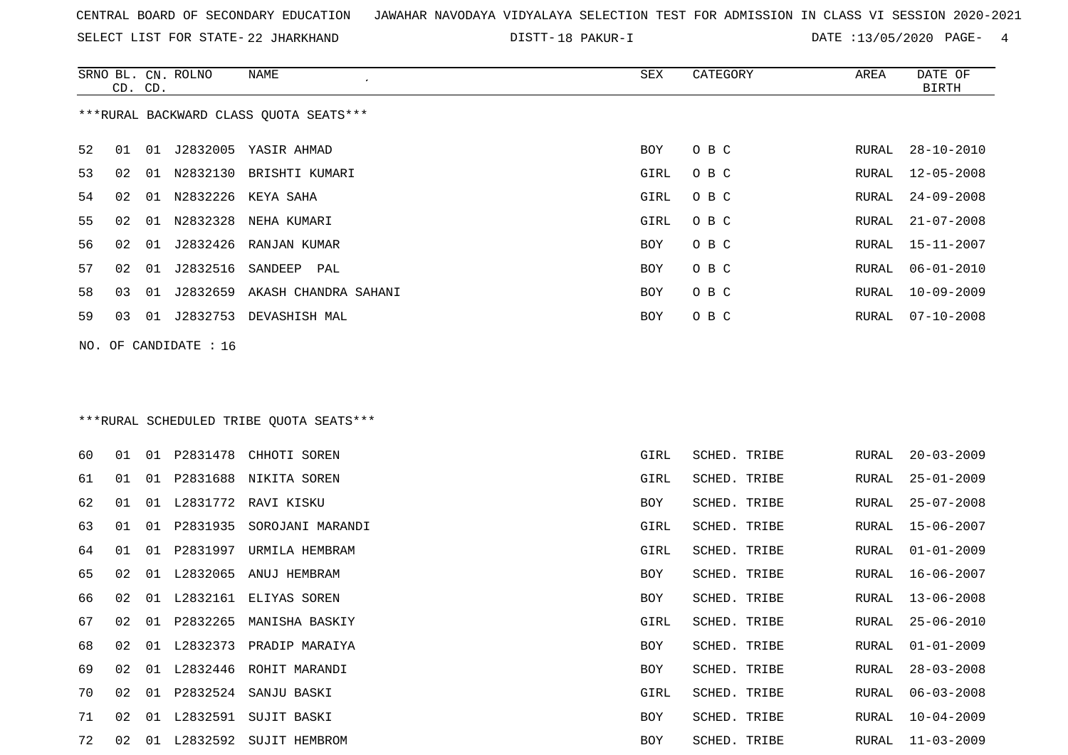SELECT LIST FOR STATE- DISTT- 22 JHARKHAND

DISTT-18 PAKUR-I 2010 2020 DATE :13/05/2020 PAGE- 4

|    | CD. CD.                                |    | SRNO BL. CN. ROLNO      | NAME                             | SEX  | CATEGORY | AREA  | DATE OF<br>BIRTH |  |  |  |
|----|----------------------------------------|----|-------------------------|----------------------------------|------|----------|-------|------------------|--|--|--|
|    | ***RURAL BACKWARD CLASS OUOTA SEATS*** |    |                         |                                  |      |          |       |                  |  |  |  |
| 52 | 01                                     |    |                         | 01 J2832005 YASIR AHMAD          | BOY  | O B C    | RURAL | 28-10-2010       |  |  |  |
| 53 | 02                                     | 01 |                         | N2832130 BRISHTI KUMARI          | GIRL | O B C    | RURAL | 12-05-2008       |  |  |  |
| 54 | 02                                     | 01 |                         | N2832226 KEYA SAHA               | GIRL | O B C    | RURAL | $24 - 09 - 2008$ |  |  |  |
| 55 | 02                                     | 01 |                         | N2832328 NEHA KUMARI             | GIRL | O B C    | RURAL | $21 - 07 - 2008$ |  |  |  |
| 56 | 02                                     | 01 |                         | J2832426 RANJAN KUMAR            | BOY  | O B C    | RURAL | 15-11-2007       |  |  |  |
| 57 | 02                                     | 01 | J2832516 SANDEEP        | PAL                              | BOY  | O B C    | RURAL | $06 - 01 - 2010$ |  |  |  |
| 58 | 03                                     |    |                         | 01 J2832659 AKASH CHANDRA SAHANI | BOY  | O B C    | RURAL | $10 - 09 - 2009$ |  |  |  |
| 59 | 03                                     |    | 01 J2832753             | DEVASHISH MAL                    | BOY  | O B C    | RURAL | $07 - 10 - 2008$ |  |  |  |
|    |                                        |    | NO. OF CANDIDATE : $16$ |                                  |      |          |       |                  |  |  |  |

# \*\*\*RURAL SCHEDULED TRIBE QUOTA SEATS\*\*\*

| 60 | 01 | 01 |          | P2831478 CHHOTI SOREN  | GIRL       | SCHED. TRIBE | RURAL | $20 - 03 - 2009$ |
|----|----|----|----------|------------------------|------------|--------------|-------|------------------|
| 61 | 01 | 01 |          | P2831688 NIKITA SOREN  | GIRL       | SCHED. TRIBE | RURAL | $25 - 01 - 2009$ |
| 62 | 01 | 01 |          | L2831772 RAVI KISKU    | BOY        | SCHED. TRIBE | RURAL | 25-07-2008       |
| 63 | 01 | 01 | P2831935 | SOROJANI MARANDI       | GIRL       | SCHED. TRIBE |       | RURAL 15-06-2007 |
| 64 | 01 | 01 | P2831997 | URMILA HEMBRAM         | GIRL       | SCHED. TRIBE | RURAL | $01 - 01 - 2009$ |
| 65 | 02 | 01 | L2832065 | ANUJ HEMBRAM           | BOY        | SCHED. TRIBE | RURAL | 16-06-2007       |
| 66 | 02 | 01 |          | L2832161 ELIYAS SOREN  | BOY        | SCHED. TRIBE | RURAL | $13 - 06 - 2008$ |
| 67 | 02 | 01 | P2832265 | MANISHA BASKIY         | GIRL       | SCHED. TRIBE | RURAL | $25 - 06 - 2010$ |
| 68 | 02 | 01 | L2832373 | PRADIP MARAIYA         | <b>BOY</b> | SCHED. TRIBE | RURAL | $01 - 01 - 2009$ |
| 69 | 02 | 01 | L2832446 | ROHIT MARANDI          | BOY        | SCHED. TRIBE | RURAL | $28 - 03 - 2008$ |
| 70 | 02 | 01 | P2832524 | SANJU BASKI            | GIRL       | SCHED. TRIBE | RURAL | $06 - 03 - 2008$ |
| 71 | 02 | 01 | L2832591 | SUJIT BASKI            | <b>BOY</b> | SCHED. TRIBE | RURAL | $10 - 04 - 2009$ |
| 72 | 02 | 01 |          | L2832592 SUJIT HEMBROM | <b>BOY</b> | SCHED. TRIBE | RURAL | $11 - 03 - 2009$ |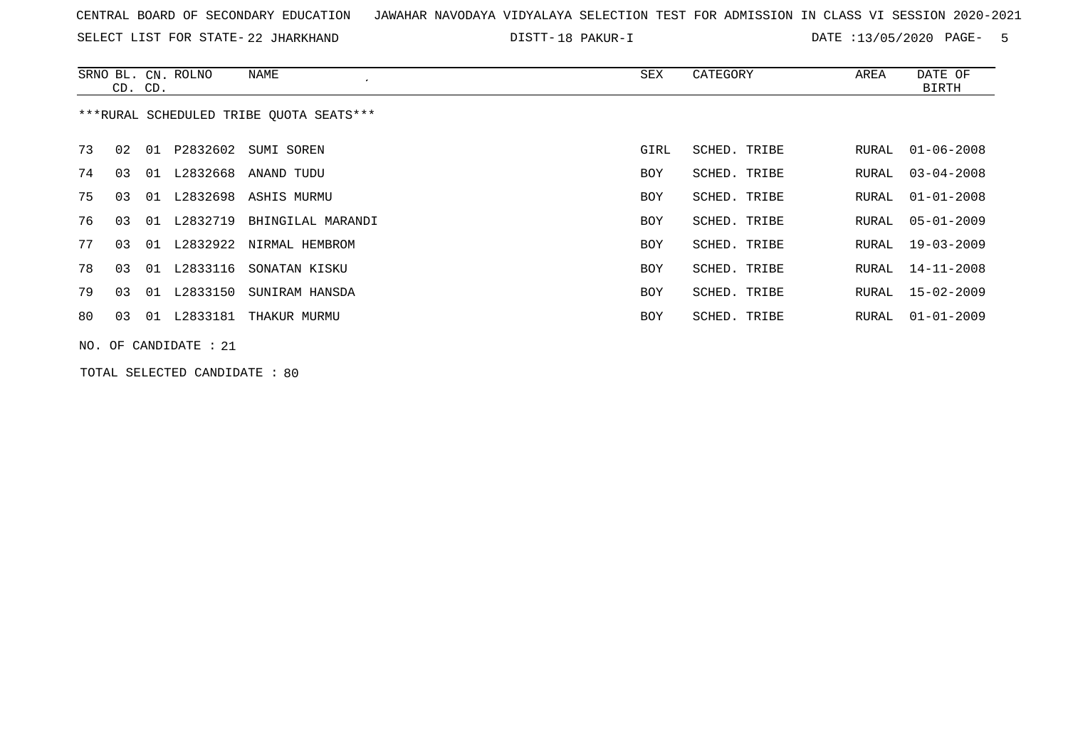SELECT LIST FOR STATE- DISTT- 22 JHARKHAND

18 PAKUR-I DATE :13/05/2020 PAGE- 5

|    | CD. CD. |    | SRNO BL. CN. ROLNO      | NAME                                    | SEX  | CATEGORY     | AREA  | DATE OF<br>BIRTH |
|----|---------|----|-------------------------|-----------------------------------------|------|--------------|-------|------------------|
|    |         |    |                         | ***RURAL SCHEDULED TRIBE OUOTA SEATS*** |      |              |       |                  |
| 73 | 02      |    |                         | 01 P2832602 SUMI SOREN                  | GIRL | SCHED. TRIBE | RURAL | 01-06-2008       |
| 74 | 03      | 01 | L2832668                | ANAND TUDU                              | BOY  | SCHED. TRIBE | RURAL | $03 - 04 - 2008$ |
| 75 | 03      |    |                         | 01 L2832698 ASHIS MURMU                 | BOY  | SCHED. TRIBE | RURAL | $01 - 01 - 2008$ |
| 76 | 03      |    | 01 L2832719             | BHINGILAL MARANDI                       | BOY  | SCHED. TRIBE | RURAL | 05-01-2009       |
| 77 | 03      |    |                         | 01 L2832922 NIRMAL HEMBROM              | BOY  | SCHED. TRIBE | RURAL | 19-03-2009       |
| 78 | 03      |    | 01 L2833116             | SONATAN KISKU                           | BOY  | SCHED. TRIBE | RURAL | 14-11-2008       |
| 79 | 03      | 01 | L2833150                | SUNIRAM HANSDA                          | BOY  | SCHED. TRIBE | RURAL | 15-02-2009       |
| 80 | 03      | 01 | L2833181                | THAKUR MURMU                            | BOY  | SCHED. TRIBE | RURAL | $01 - 01 - 2009$ |
|    |         |    | $NO.$ OF CANDIDATE : 21 |                                         |      |              |       |                  |

TOTAL SELECTED CANDIDATE : 80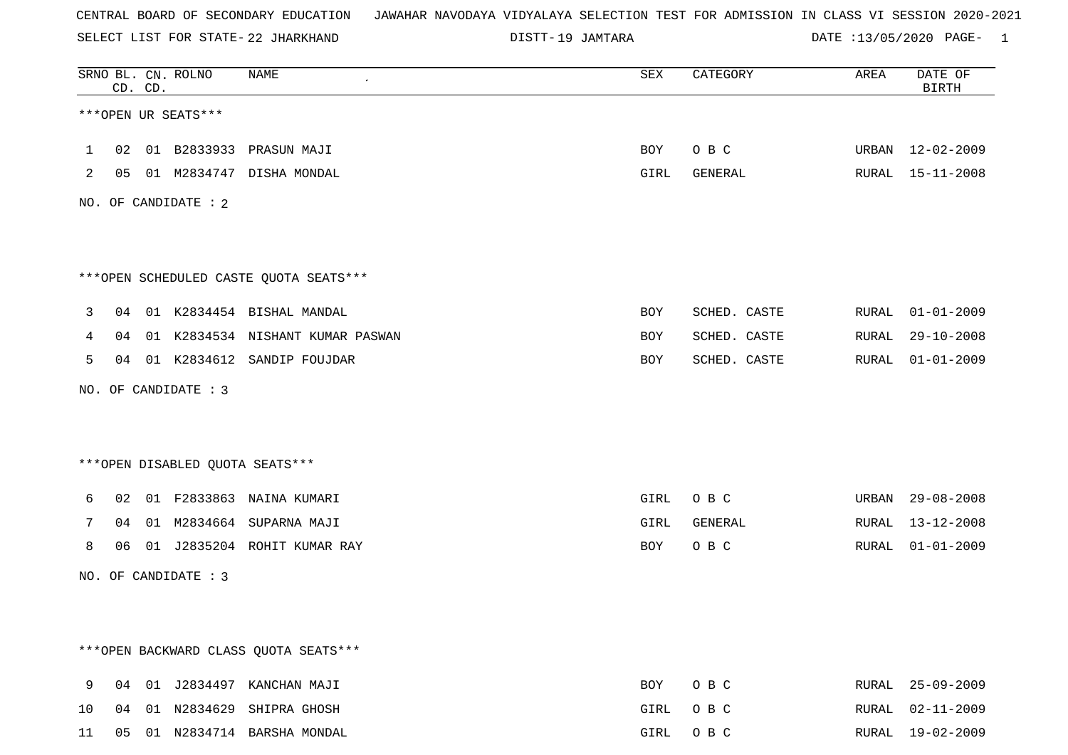SELECT LIST FOR STATE- DISTT- 22 JHARKHAND

19 JAMTARA DATE :13/05/2020 PAGE- 1

|         |    | CD. CD. | SRNO BL. CN. ROLNO   | NAME                                   | SEX  | CATEGORY     | AREA  | DATE OF<br><b>BIRTH</b> |
|---------|----|---------|----------------------|----------------------------------------|------|--------------|-------|-------------------------|
|         |    |         | ***OPEN UR SEATS***  |                                        |      |              |       |                         |
| $\perp$ |    |         |                      | 02  01  B2833933  PRASUN MAJI          | BOY  | O B C        |       | URBAN 12-02-2009        |
| 2       |    |         |                      | 05 01 M2834747 DISHA MONDAL            | GIRL | GENERAL      |       | RURAL 15-11-2008        |
|         |    |         | NO. OF CANDIDATE : 2 |                                        |      |              |       |                         |
|         |    |         |                      |                                        |      |              |       |                         |
|         |    |         |                      | ***OPEN SCHEDULED CASTE QUOTA SEATS*** |      |              |       |                         |
| 3       |    |         |                      | 04 01 K2834454 BISHAL MANDAL           | BOY  | SCHED. CASTE | RURAL | $01 - 01 - 2009$        |
| 4       | 04 |         |                      | 01 K2834534 NISHANT KUMAR PASWAN       | BOY  | SCHED. CASTE | RURAL | $29 - 10 - 2008$        |
| 5       |    |         |                      | 04 01 K2834612 SANDIP FOUJDAR          | BOY  | SCHED. CASTE | RURAL | $01 - 01 - 2009$        |
|         |    |         | NO. OF CANDIDATE : 3 |                                        |      |              |       |                         |
|         |    |         |                      |                                        |      |              |       |                         |
|         |    |         |                      | *** OPEN DISABLED QUOTA SEATS***       |      |              |       |                         |
| 6       |    |         |                      | 02 01 F2833863 NAINA KUMARI            | GIRL | O B C        | URBAN | 29-08-2008              |
| 7       | 04 |         |                      | 01 M2834664 SUPARNA MAJI               | GIRL | GENERAL      | RURAL | 13-12-2008              |
| 8       | 06 |         |                      | 01 J2835204 ROHIT KUMAR RAY            | BOY  | O B C        | RURAL | $01 - 01 - 2009$        |
|         |    |         | NO. OF CANDIDATE : 3 |                                        |      |              |       |                         |
|         |    |         |                      |                                        |      |              |       |                         |
|         |    |         |                      |                                        |      |              |       |                         |
|         |    |         |                      | *** OPEN BACKWARD CLASS QUOTA SEATS*** |      |              |       |                         |
| 9       |    |         |                      | 04 01 J2834497 KANCHAN MAJI            | BOY  | O B C        | RURAL | $25 - 09 - 2009$        |
| 10      | 04 |         |                      | 01 N2834629 SHIPRA GHOSH               | GIRL | O B C        | RURAL | $02 - 11 - 2009$        |
| 11      |    |         |                      | 05 01 N2834714 BARSHA MONDAL           | GIRL | O B C        |       | RURAL 19-02-2009        |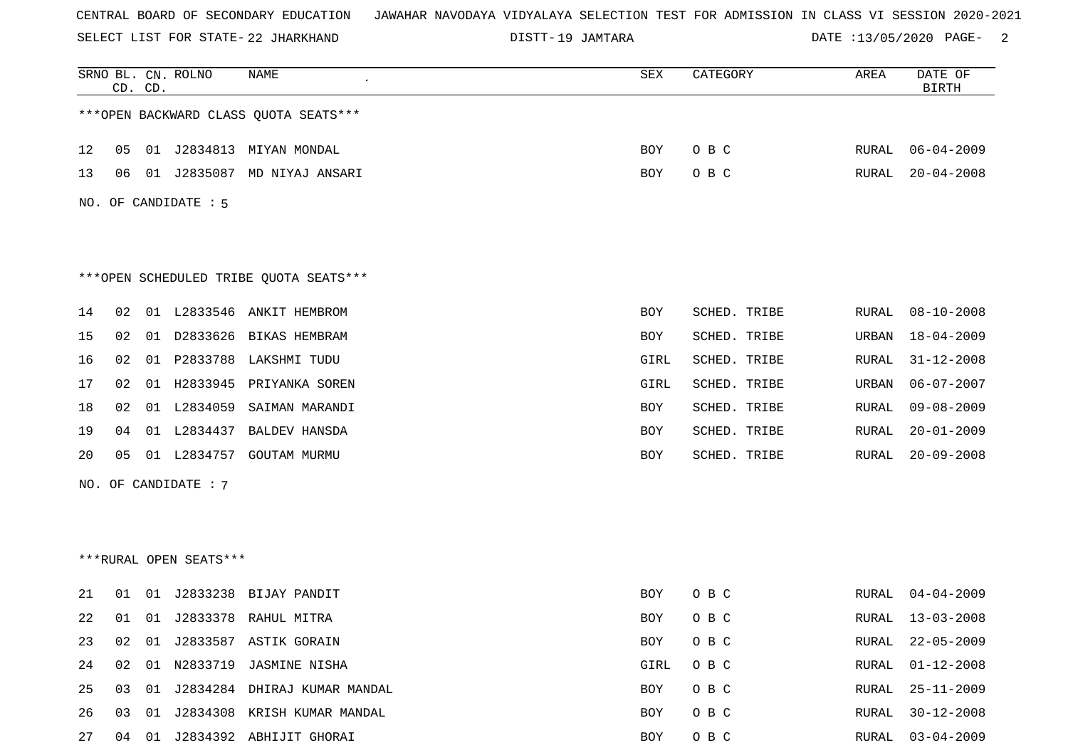SELECT LIST FOR STATE- DISTT- 22 JHARKHAND

19 JAMTARA DATE :13/05/2020 PAGE- 2

|    |    | CD. CD. | SRNO BL. CN. ROLNO     | NAME                                   | ${\tt SEX}$ | CATEGORY     | AREA         | DATE OF<br><b>BIRTH</b> |
|----|----|---------|------------------------|----------------------------------------|-------------|--------------|--------------|-------------------------|
|    |    |         |                        | *** OPEN BACKWARD CLASS QUOTA SEATS*** |             |              |              |                         |
| 12 | 05 |         |                        | 01 J2834813 MIYAN MONDAL               | BOY         | O B C        | RURAL        | $06 - 04 - 2009$        |
| 13 | 06 |         |                        | 01 J2835087 MD NIYAJ ANSARI            | BOY         | O B C        | RURAL        | $20 - 04 - 2008$        |
|    |    |         | NO. OF CANDIDATE : 5   |                                        |             |              |              |                         |
|    |    |         |                        | ***OPEN SCHEDULED TRIBE QUOTA SEATS*** |             |              |              |                         |
| 14 | 02 |         | 01 L2833546            | ANKIT HEMBROM                          | BOY         | SCHED. TRIBE | RURAL        | $08 - 10 - 2008$        |
| 15 | 02 |         | 01 D2833626            | BIKAS HEMBRAM                          | BOY         | SCHED. TRIBE | URBAN        | 18-04-2009              |
| 16 | 02 |         | 01 P2833788            | LAKSHMI TUDU                           | GIRL        | SCHED. TRIBE | RURAL        | $31 - 12 - 2008$        |
| 17 | 02 |         | 01 H2833945            | PRIYANKA SOREN                         | GIRL        | SCHED. TRIBE | URBAN        | $06 - 07 - 2007$        |
| 18 | 02 |         | 01 L2834059            | SAIMAN MARANDI                         | BOY         | SCHED. TRIBE | <b>RURAL</b> | $09 - 08 - 2009$        |
| 19 | 04 |         | 01 L2834437            | <b>BALDEV HANSDA</b>                   | BOY         | SCHED. TRIBE | RURAL        | $20 - 01 - 2009$        |
| 20 | 05 |         | 01 L2834757            | <b>GOUTAM MURMU</b>                    | BOY         | SCHED. TRIBE | <b>RURAL</b> | $20 - 09 - 2008$        |
|    |    |         | NO. OF CANDIDATE : 7   |                                        |             |              |              |                         |
|    |    |         |                        |                                        |             |              |              |                         |
|    |    |         |                        |                                        |             |              |              |                         |
|    |    |         | ***RURAL OPEN SEATS*** |                                        |             |              |              |                         |
| 21 | 01 | 01      | J2833238               | BIJAY PANDIT                           | BOY         | O B C        | RURAL        | $04 - 04 - 2009$        |
| 22 | 01 |         |                        | 01 J2833378 RAHUL MITRA                | BOY         | O B C        | RURAL        | 13-03-2008              |
| 23 | 02 |         |                        | 01 J2833587 ASTIK GORAIN               | <b>BOY</b>  | O B C        | <b>RURAL</b> | $22 - 05 - 2009$        |
| 24 | 02 |         | 01 N2833719            | JASMINE NISHA                          | GIRL        | O B C        | RURAL        | $01 - 12 - 2008$        |
| 25 | 03 |         |                        | 01 J2834284 DHIRAJ KUMAR MANDAL        | BOY         | O B C        | RURAL        | $25 - 11 - 2009$        |
| 26 | 03 | 01      | J2834308               | KRISH KUMAR MANDAL                     | BOY         | O B C        | <b>RURAL</b> | $30 - 12 - 2008$        |
| 27 | 04 | 01      |                        | J2834392 ABHIJIT GHORAI                | BOY         | O B C        | RURAL        | $03 - 04 - 2009$        |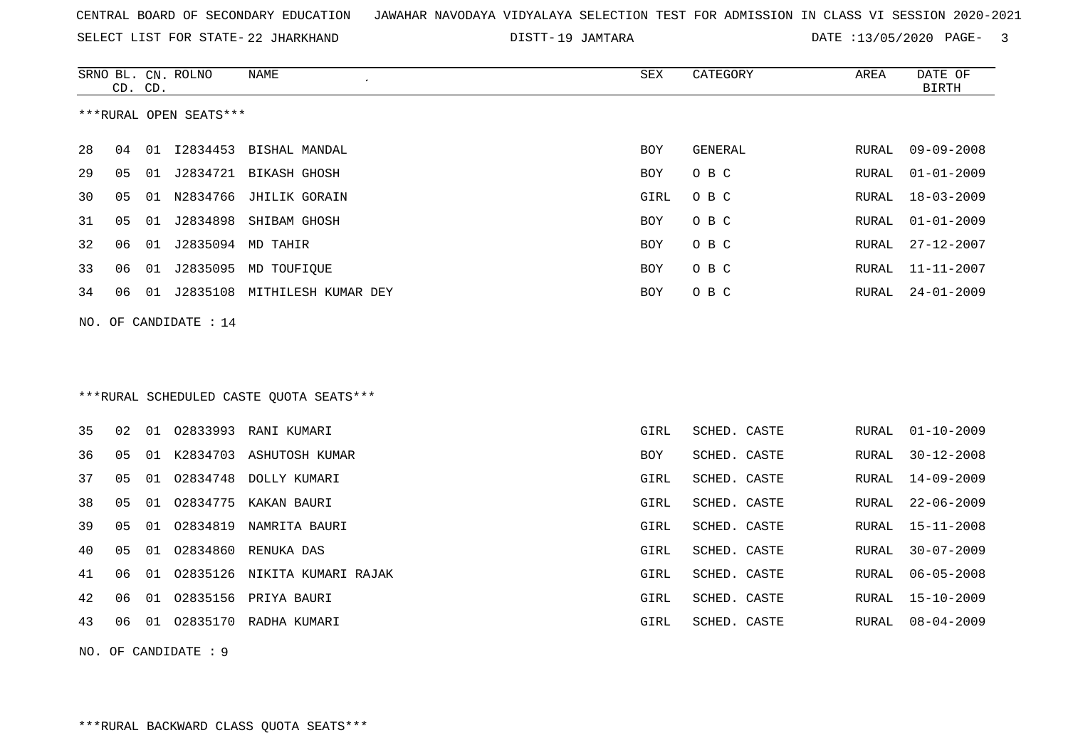SELECT LIST FOR STATE- DISTT- 22 JHARKHAND

19 JAMTARA DATE :13/05/2020 PAGE- 3

|    |    | CD. CD. | SRNO BL. CN. ROLNO     | NAME                                     | SEX        | CATEGORY     | AREA         | DATE OF<br><b>BIRTH</b> |
|----|----|---------|------------------------|------------------------------------------|------------|--------------|--------------|-------------------------|
|    |    |         | ***RURAL OPEN SEATS*** |                                          |            |              |              |                         |
| 28 | 04 |         |                        | 01 I2834453 BISHAL MANDAL                | <b>BOY</b> | GENERAL      | RURAL        | $09 - 09 - 2008$        |
| 29 | 05 | 01      |                        | J2834721 BIKASH GHOSH                    | BOY        | O B C        | RURAL        | $01 - 01 - 2009$        |
| 30 | 05 | 01      | N2834766               | JHILIK GORAIN                            | GIRL       | O B C        | RURAL        | $18 - 03 - 2009$        |
| 31 | 05 | 01      |                        | J2834898 SHIBAM GHOSH                    | BOY        | O B C        | RURAL        | $01 - 01 - 2009$        |
| 32 | 06 | 01      | J2835094 MD TAHIR      |                                          | <b>BOY</b> | O B C        | <b>RURAL</b> | $27 - 12 - 2007$        |
| 33 | 06 | 01      |                        | J2835095 MD TOUFIQUE                     | BOY        | O B C        | RURAL        | $11 - 11 - 2007$        |
| 34 | 06 | 01      |                        | J2835108 MITHILESH KUMAR DEY             | BOY        | O B C        | RURAL        | $24 - 01 - 2009$        |
|    |    |         | NO. OF CANDIDATE : 14  |                                          |            |              |              |                         |
|    |    |         |                        |                                          |            |              |              |                         |
|    |    |         |                        |                                          |            |              |              |                         |
|    |    |         |                        | *** RURAL SCHEDULED CASTE QUOTA SEATS*** |            |              |              |                         |
| 35 | 02 | 01      | 02833993               | RANI KUMARI                              | GIRL       | SCHED. CASTE | <b>RURAL</b> | $01 - 10 - 2009$        |
| 36 | 05 | 01      | K2834703               | ASHUTOSH KUMAR                           | <b>BOY</b> | SCHED. CASTE | RURAL        | $30 - 12 - 2008$        |
| 37 | 05 | 01      | 02834748               | DOLLY KUMARI                             | GIRL       | SCHED. CASTE | RURAL        | $14 - 09 - 2009$        |
| 38 | 05 | 01      | 02834775               | KAKAN BAURI                              | GIRL       | SCHED. CASTE | <b>RURAL</b> | $22 - 06 - 2009$        |
| 39 | 05 | 01      | 02834819               | NAMRITA BAURI                            | GIRL       | SCHED. CASTE | RURAL        | $15 - 11 - 2008$        |
| 40 | 05 | 01      | 02834860               | RENUKA DAS                               | GIRL       | SCHED. CASTE | <b>RURAL</b> | $30 - 07 - 2009$        |
| 41 | 06 | 01      | 02835126               | NIKITA KUMARI RAJAK                      | GIRL       | SCHED. CASTE | RURAL        | $06 - 05 - 2008$        |
| 42 | 06 | 01      |                        | 02835156 PRIYA BAURI                     | GIRL       | SCHED. CASTE | <b>RURAL</b> | $15 - 10 - 2009$        |
| 43 | 06 | 01      |                        | 02835170 RADHA KUMARI                    | GIRL       | SCHED. CASTE | RURAL        | $08 - 04 - 2009$        |
|    |    |         |                        |                                          |            |              |              |                         |

NO. OF CANDIDATE : 9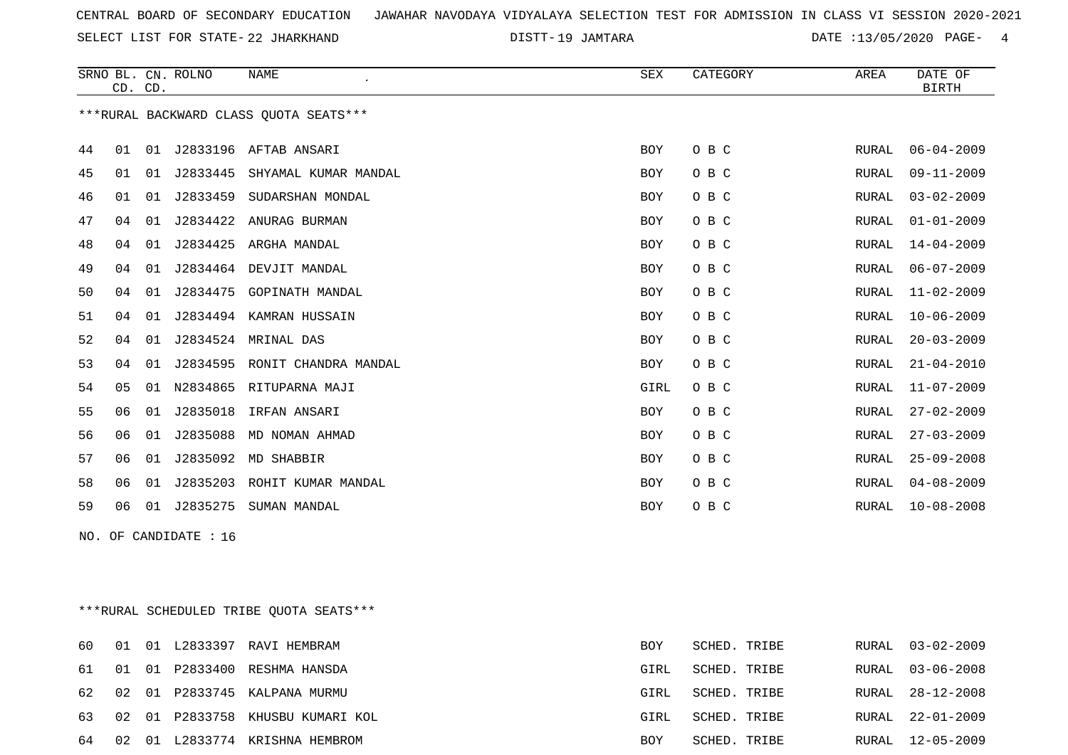SELECT LIST FOR STATE- DISTT- 22 JHARKHAND

DISTT-19 JAMTARA 2001 2012 13/05/2020 PAGE- 4

|    |    | CD. CD. | SRNO BL. CN. ROLNO    | <b>NAME</b><br>$\epsilon$               | SEX  | CATEGORY | AREA         | DATE OF<br><b>BIRTH</b> |
|----|----|---------|-----------------------|-----------------------------------------|------|----------|--------------|-------------------------|
|    |    |         |                       | *** RURAL BACKWARD CLASS QUOTA SEATS*** |      |          |              |                         |
| 44 | 01 | 01      |                       | J2833196 AFTAB ANSARI                   | BOY  | O B C    | RURAL        | $06 - 04 - 2009$        |
| 45 | 01 | 01      | J2833445              | SHYAMAL KUMAR MANDAL                    | BOY  | O B C    | <b>RURAL</b> | $09 - 11 - 2009$        |
| 46 | 01 | 01      | J2833459              | SUDARSHAN MONDAL                        | BOY  | O B C    | RURAL        | $03 - 02 - 2009$        |
| 47 | 04 | 01      | J2834422              | ANURAG BURMAN                           | BOY  | O B C    | <b>RURAL</b> | $01 - 01 - 2009$        |
| 48 | 04 | 01      | J2834425              | ARGHA MANDAL                            | BOY  | O B C    | RURAL        | $14 - 04 - 2009$        |
| 49 | 04 | 01      |                       | J2834464 DEVJIT MANDAL                  | BOY  | O B C    | RURAL        | $06 - 07 - 2009$        |
| 50 | 04 | 01      | J2834475              | GOPINATH MANDAL                         | BOY  | O B C    | <b>RURAL</b> | $11 - 02 - 2009$        |
| 51 | 04 | 01      |                       | J2834494 KAMRAN HUSSAIN                 | BOY  | O B C    | <b>RURAL</b> | $10 - 06 - 2009$        |
| 52 | 04 | 01      |                       | J2834524 MRINAL DAS                     | BOY  | O B C    | RURAL        | $20 - 03 - 2009$        |
| 53 | 04 | 01      |                       | J2834595 RONIT CHANDRA MANDAL           | BOY  | O B C    | RURAL        | $21 - 04 - 2010$        |
| 54 | 05 | 01      | N2834865              | RITUPARNA MAJI                          | GIRL | O B C    | <b>RURAL</b> | $11 - 07 - 2009$        |
| 55 | 06 | 01      | J2835018              | IRFAN ANSARI                            | BOY  | O B C    | RURAL        | $27 - 02 - 2009$        |
| 56 | 06 | 01      | J2835088              | MD NOMAN AHMAD                          | BOY  | O B C    | RURAL        | $27 - 03 - 2009$        |
| 57 | 06 | 01      | J2835092              | MD SHABBIR                              | BOY  | O B C    | <b>RURAL</b> | $25 - 09 - 2008$        |
| 58 | 06 | 01      | J2835203              | ROHIT KUMAR MANDAL                      | BOY  | O B C    | <b>RURAL</b> | $04 - 08 - 2009$        |
| 59 | 06 |         |                       | 01 J2835275 SUMAN MANDAL                | BOY  | O B C    | RURAL        | $10 - 08 - 2008$        |
|    |    |         | NO. OF CANDIDATE : 16 |                                         |      |          |              |                         |

\*\*\*RURAL SCHEDULED TRIBE QUOTA SEATS\*\*\*

| 60.   |  | 01 01 L2833397 RAVI HEMBRAM         | BOY  | SCHED. TRIBE | RURAL 03-02-2009 |
|-------|--|-------------------------------------|------|--------------|------------------|
|       |  | 61 01 01 P2833400 RESHMA HANSDA     | GIRL | SCHED. TRIBE | RURAL 03-06-2008 |
|       |  | 62 02 01 P2833745 KALPANA MURMU     | GIRL | SCHED. TRIBE | RURAL 28-12-2008 |
|       |  | 63 02 01 P2833758 KHUSBU KUMARI KOL | GIRL | SCHED. TRIBE | RURAL 22-01-2009 |
| 64 02 |  | 01 L2833774 KRISHNA HEMBROM         | BOY  | SCHED. TRIBE | RURAL 12-05-2009 |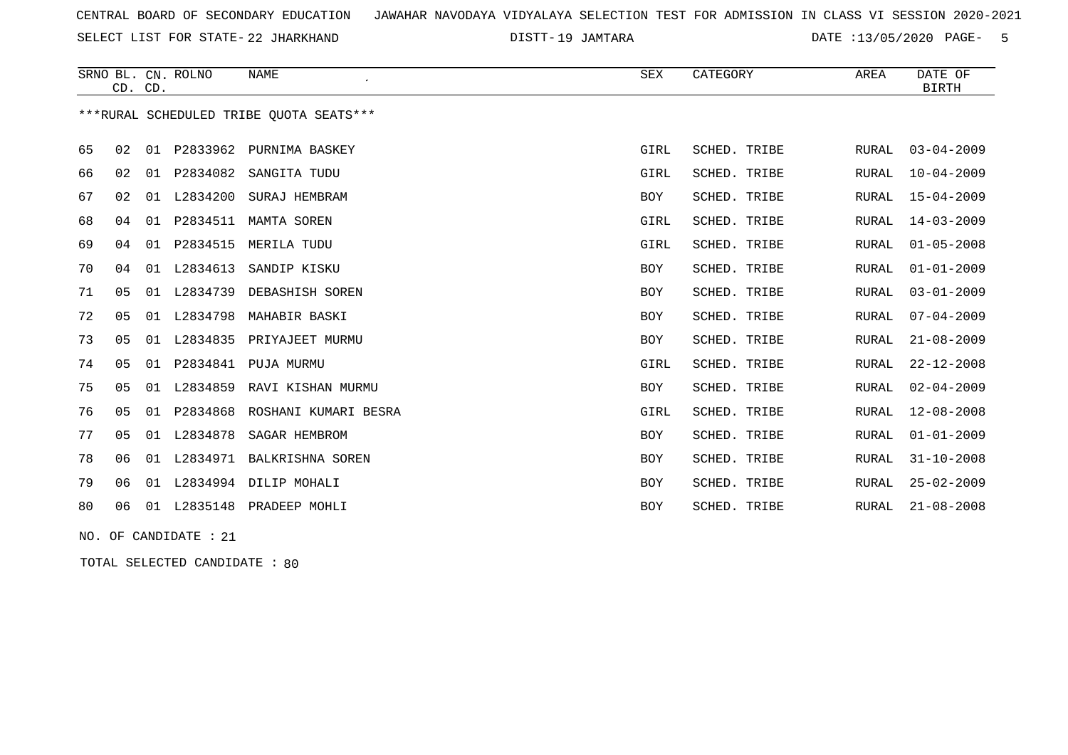SELECT LIST FOR STATE- DISTT- 22 JHARKHAND

19 JAMTARA DATE :13/05/2020 PAGE- 5

|    |                | CD. CD. | SRNO BL. CN. ROLNO | <b>NAME</b>                             | SEX        | CATEGORY     | AREA         | DATE OF<br><b>BIRTH</b> |
|----|----------------|---------|--------------------|-----------------------------------------|------------|--------------|--------------|-------------------------|
|    |                |         |                    | ***RURAL SCHEDULED TRIBE OUOTA SEATS*** |            |              |              |                         |
| 65 | 02             |         |                    | 01 P2833962 PURNIMA BASKEY              | GIRL       | SCHED. TRIBE | RURAL        | $03 - 04 - 2009$        |
| 66 | 02             |         | 01 P2834082        | SANGITA TUDU                            | GIRL       | SCHED. TRIBE | RURAL        | $10 - 04 - 2009$        |
| 67 | 02             |         | 01 L2834200        | SURAJ HEMBRAM                           | BOY        | SCHED. TRIBE | <b>RURAL</b> | $15 - 04 - 2009$        |
| 68 | 04             |         | 01 P2834511        | MAMTA SOREN                             | GIRL       | SCHED. TRIBE | <b>RURAL</b> | $14 - 03 - 2009$        |
| 69 | 04             |         | 01 P2834515        | MERILA TUDU                             | GIRL       | SCHED. TRIBE | <b>RURAL</b> | $01 - 05 - 2008$        |
| 70 | 04             |         | 01 L2834613        | SANDIP KISKU                            | BOY        | SCHED. TRIBE | <b>RURAL</b> | $01 - 01 - 2009$        |
| 71 | 05             | 01      | L2834739           | DEBASHISH SOREN                         | <b>BOY</b> | SCHED. TRIBE | RURAL        | $03 - 01 - 2009$        |
| 72 | 0 <sub>5</sub> | 01      | L2834798           | MAHABIR BASKI                           | <b>BOY</b> | SCHED. TRIBE | <b>RURAL</b> | $07 - 04 - 2009$        |
| 73 | 0 <sub>5</sub> | 01      | L2834835           | PRIYAJEET MURMU                         | <b>BOY</b> | SCHED. TRIBE | <b>RURAL</b> | $21 - 08 - 2009$        |
| 74 | 05             |         | 01 P2834841        | PUJA MURMU                              | GIRL       | SCHED. TRIBE | RURAL        | $22 - 12 - 2008$        |
| 75 | 0 <sub>5</sub> |         | 01 L2834859        | RAVI KISHAN MURMU                       | <b>BOY</b> | SCHED. TRIBE | <b>RURAL</b> | $02 - 04 - 2009$        |
| 76 | 05             |         | 01 P2834868        | ROSHANI KUMARI BESRA                    | GIRL       | SCHED. TRIBE | RURAL        | $12 - 08 - 2008$        |
| 77 | 05             | 01      | L2834878           | SAGAR HEMBROM                           | BOY        | SCHED. TRIBE | RURAL        | $01 - 01 - 2009$        |
| 78 | 06             | 01      | L2834971           | BALKRISHNA SOREN                        | BOY        | SCHED. TRIBE | <b>RURAL</b> | $31 - 10 - 2008$        |
| 79 | 06             | 01      |                    | L2834994 DILIP MOHALI                   | <b>BOY</b> | SCHED. TRIBE | <b>RURAL</b> | $25 - 02 - 2009$        |
| 80 | 06             |         | 01 L2835148        | PRADEEP MOHLI                           | <b>BOY</b> | SCHED. TRIBE | <b>RURAL</b> | $21 - 08 - 2008$        |

NO. OF CANDIDATE : 21

TOTAL SELECTED CANDIDATE : 80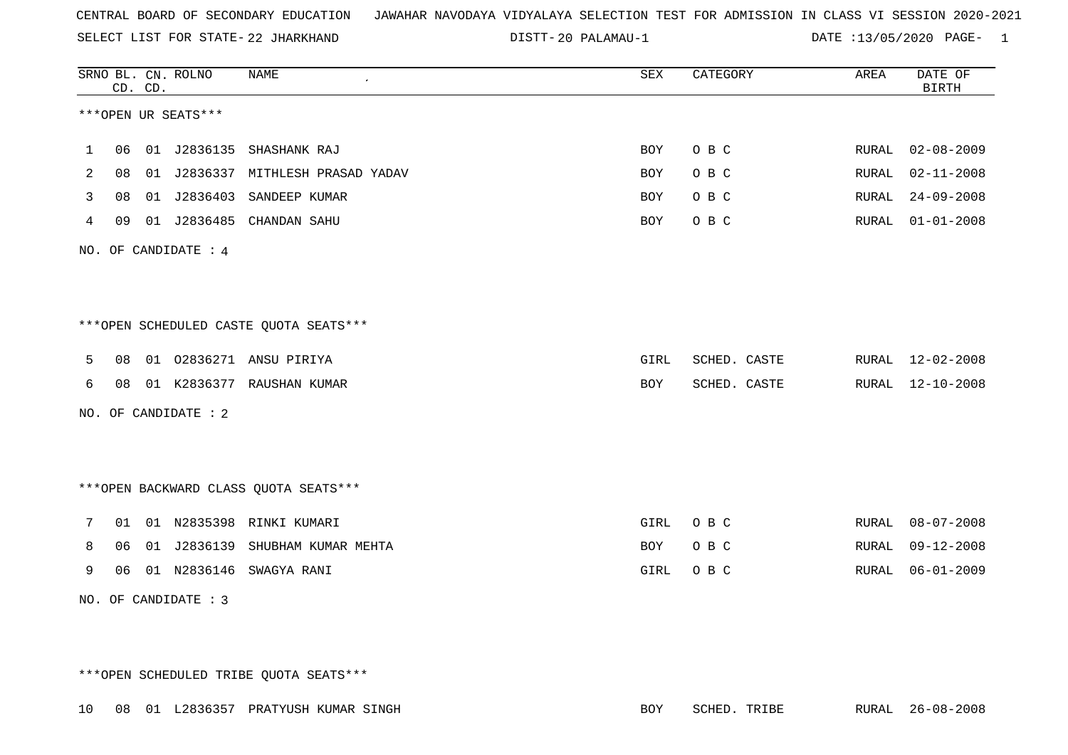SELECT LIST FOR STATE- DISTT- 22 JHARKHAND

20 PALAMAU-1 DATE :13/05/2020 PAGE- 1

|   |    | CD. CD. | SRNO BL. CN. ROLNO   | <b>NAME</b>                             | ${\tt SEX}$ | CATEGORY     | AREA  | DATE OF<br><b>BIRTH</b> |
|---|----|---------|----------------------|-----------------------------------------|-------------|--------------|-------|-------------------------|
|   |    |         | ***OPEN UR SEATS***  |                                         |             |              |       |                         |
| 1 | 06 |         |                      | 01 J2836135 SHASHANK RAJ                | <b>BOY</b>  | O B C        | RURAL | $02 - 08 - 2009$        |
| 2 | 08 |         |                      | 01 J2836337 MITHLESH PRASAD YADAV       | <b>BOY</b>  | O B C        | RURAL | $02 - 11 - 2008$        |
| 3 | 08 |         |                      | 01 J2836403 SANDEEP KUMAR               | <b>BOY</b>  | O B C        | RURAL | $24 - 09 - 2008$        |
| 4 | 09 |         |                      | 01 J2836485 CHANDAN SAHU                | <b>BOY</b>  | O B C        | RURAL | $01 - 01 - 2008$        |
|   |    |         | NO. OF CANDIDATE : 4 |                                         |             |              |       |                         |
|   |    |         |                      |                                         |             |              |       |                         |
|   |    |         |                      | ***OPEN SCHEDULED CASTE QUOTA SEATS***  |             |              |       |                         |
| 5 | 08 |         |                      | 01 02836271 ANSU PIRIYA                 | GIRL        | SCHED. CASTE |       | RURAL 12-02-2008        |
| 6 | 08 |         |                      | 01 K2836377 RAUSHAN KUMAR               | BOY         | SCHED. CASTE | RURAL | $12 - 10 - 2008$        |
|   |    |         | NO. OF CANDIDATE : 2 |                                         |             |              |       |                         |
|   |    |         |                      |                                         |             |              |       |                         |
|   |    |         |                      | *** OPEN BACKWARD CLASS QUOTA SEATS *** |             |              |       |                         |
| 7 |    |         |                      | 01 01 N2835398 RINKI KUMARI             | GIRL        | O B C        | RURAL | $08 - 07 - 2008$        |
| 8 | 06 |         |                      | 01 J2836139 SHUBHAM KUMAR MEHTA         | BOY         | O B C        | RURAL | $09 - 12 - 2008$        |
| 9 | 06 |         |                      | 01 N2836146 SWAGYA RANI                 | GIRL        | O B C        | RURAL | $06 - 01 - 2009$        |
|   |    |         | NO. OF CANDIDATE : 3 |                                         |             |              |       |                         |

\*\*\*OPEN SCHEDULED TRIBE QUOTA SEATS\*\*\*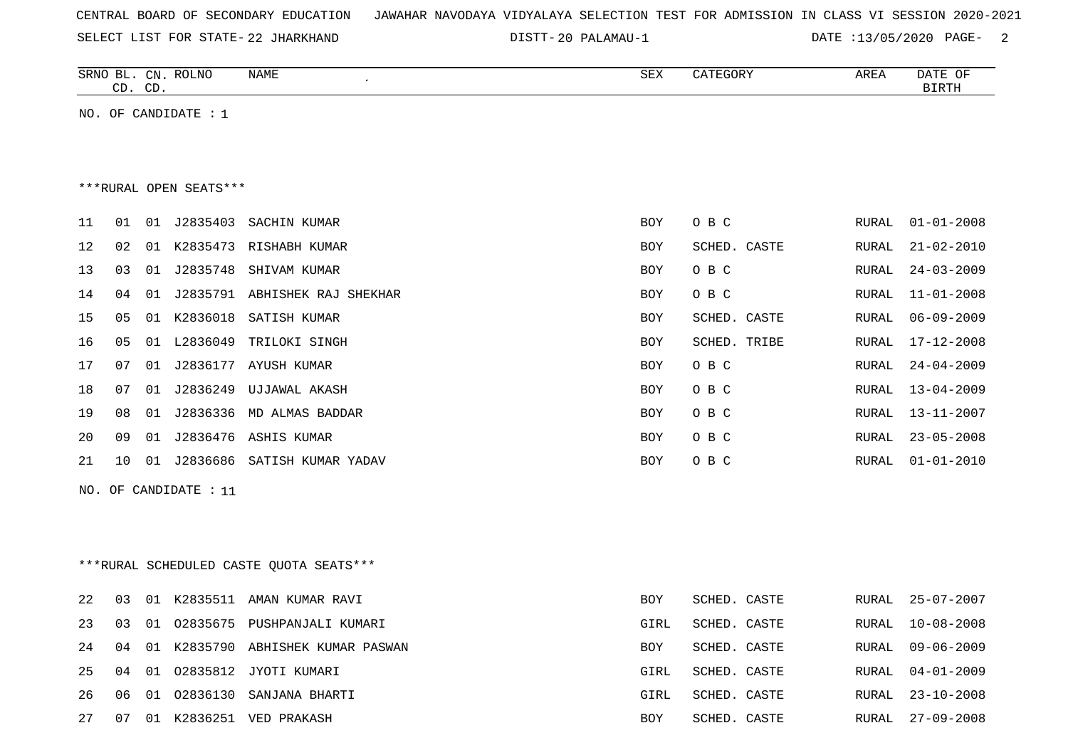|  |  |  | CENTRAL BOARD OF SECONDARY EDUCATION – JAWAHAR NAVODAYA VIDYALAYA SELECTION TEST FOR ADMISSION IN CLASS VI SESSION 2020-2021 |  |  |  |  |  |  |  |  |  |  |  |  |  |  |
|--|--|--|------------------------------------------------------------------------------------------------------------------------------|--|--|--|--|--|--|--|--|--|--|--|--|--|--|
|--|--|--|------------------------------------------------------------------------------------------------------------------------------|--|--|--|--|--|--|--|--|--|--|--|--|--|--|

SELECT LIST FOR STATE- 22 JHARKHAND

DISTT-20 PALAMAU-1

DATE :13/05/2020 PAGE- 2

|    |    | CD. CD. | SRNO BL. CN. ROLNO     | NAME                                    | SEX        | CATEGORY     | AREA         | DATE OF<br><b>BIRTH</b> |
|----|----|---------|------------------------|-----------------------------------------|------------|--------------|--------------|-------------------------|
|    |    |         | NO. OF CANDIDATE : 1   |                                         |            |              |              |                         |
|    |    |         |                        |                                         |            |              |              |                         |
|    |    |         |                        |                                         |            |              |              |                         |
|    |    |         | ***RURAL OPEN SEATS*** |                                         |            |              |              |                         |
| 11 | 01 |         |                        | 01 J2835403 SACHIN KUMAR                | BOY        | O B C        | RURAL        | $01 - 01 - 2008$        |
| 12 | 02 |         |                        | 01 K2835473 RISHABH KUMAR               | BOY        | SCHED. CASTE | RURAL        | $21 - 02 - 2010$        |
| 13 | 03 |         |                        | 01 J2835748 SHIVAM KUMAR                | BOY        | O B C        | RURAL        | $24 - 03 - 2009$        |
| 14 | 04 |         |                        | 01 J2835791 ABHISHEK RAJ SHEKHAR        | BOY        | O B C        | RURAL        | $11 - 01 - 2008$        |
| 15 | 05 |         |                        | 01 K2836018 SATISH KUMAR                | BOY        | SCHED. CASTE | RURAL        | $06 - 09 - 2009$        |
| 16 | 05 |         | 01 L2836049            | TRILOKI SINGH                           | BOY        | SCHED. TRIBE | RURAL        | $17 - 12 - 2008$        |
| 17 | 07 |         |                        | 01 J2836177 AYUSH KUMAR                 | BOY        | O B C        | RURAL        | $24 - 04 - 2009$        |
| 18 | 07 |         | 01 J2836249            | UJJAWAL AKASH                           | BOY        | O B C        | RURAL        | $13 - 04 - 2009$        |
| 19 | 08 | 01      |                        | J2836336 MD ALMAS BADDAR                | BOY        | O B C        | <b>RURAL</b> | 13-11-2007              |
| 20 | 09 | 01      |                        | J2836476 ASHIS KUMAR                    | BOY        | O B C        | RURAL        | $23 - 05 - 2008$        |
| 21 | 10 |         |                        | 01 J2836686 SATISH KUMAR YADAV          | BOY        | O B C        | RURAL        | $01 - 01 - 2010$        |
|    |    |         | NO. OF CANDIDATE : 11  |                                         |            |              |              |                         |
|    |    |         |                        |                                         |            |              |              |                         |
|    |    |         |                        |                                         |            |              |              |                         |
|    |    |         |                        | ***RURAL SCHEDULED CASTE QUOTA SEATS*** |            |              |              |                         |
| 22 | 03 |         |                        | 01 K2835511 AMAN KUMAR RAVI             | <b>BOY</b> | SCHED. CASTE | RURAL        | $25 - 07 - 2007$        |
| 23 | 03 | 01      |                        | 02835675 PUSHPANJALI KUMARI             | GIRL       | SCHED. CASTE | RURAL        | $10 - 08 - 2008$        |
| 24 |    |         |                        | 04 01 K2835790 ABHISHEK KUMAR PASWAN    | BOY        | SCHED. CASTE |              | RURAL 09-06-2009        |
| 25 | 04 |         |                        | 01 02835812 JYOTI KUMARI                | GIRL       | SCHED. CASTE | RURAL        | $04 - 01 - 2009$        |
| 26 | 06 |         |                        | 01 02836130 SANJANA BHARTI              | GIRL       | SCHED. CASTE | RURAL        | $23 - 10 - 2008$        |
| 27 | 07 |         |                        | 01 K2836251 VED PRAKASH                 | BOY        | SCHED. CASTE | RURAL        | $27 - 09 - 2008$        |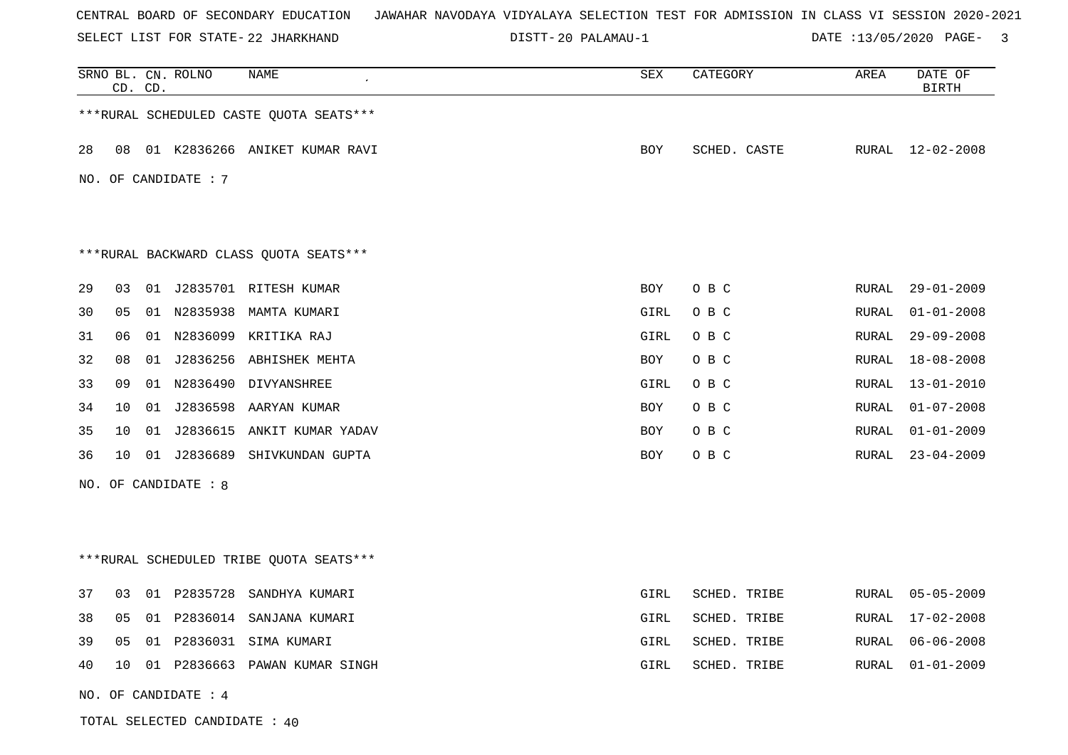SELECT LIST FOR STATE- DISTT- 22 JHARKHAND

20 PALAMAU-1 DATE :13/05/2020 PAGE- 3

|    | CD. CD. |    | SRNO BL. CN. ROLNO   | NAME                                    | SEX        | CATEGORY     | AREA  | DATE OF<br><b>BIRTH</b> |
|----|---------|----|----------------------|-----------------------------------------|------------|--------------|-------|-------------------------|
|    |         |    |                      | ***RURAL SCHEDULED CASTE QUOTA SEATS*** |            |              |       |                         |
| 28 | 08      |    |                      | 01 K2836266 ANIKET KUMAR RAVI           | BOY        | SCHED. CASTE |       | RURAL 12-02-2008        |
|    |         |    | NO. OF CANDIDATE : 7 |                                         |            |              |       |                         |
|    |         |    |                      | *** RURAL BACKWARD CLASS QUOTA SEATS*** |            |              |       |                         |
| 29 | 03      |    |                      | 01 J2835701 RITESH KUMAR                | BOY        | O B C        | RURAL | $29 - 01 - 2009$        |
| 30 | 05      |    | 01 N2835938          | MAMTA KUMARI                            | GIRL       | O B C        | RURAL | $01 - 01 - 2008$        |
| 31 | 06      |    |                      | 01 N2836099 KRITIKA RAJ                 | GIRL       | O B C        | RURAL | $29 - 09 - 2008$        |
| 32 | 08      | 01 | J2836256             | ABHISHEK MEHTA                          | BOY        | O B C        | RURAL | $18 - 08 - 2008$        |
| 33 | 09      |    |                      | 01 N2836490 DIVYANSHREE                 | GIRL       | O B C        | RURAL | $13 - 01 - 2010$        |
| 34 | 10      | 01 |                      | J2836598 AARYAN KUMAR                   | <b>BOY</b> | O B C        | RURAL | $01 - 07 - 2008$        |
| 35 | 10      |    |                      | 01 J2836615 ANKIT KUMAR YADAV           | BOY        | O B C        | RURAL | $01 - 01 - 2009$        |
| 36 | 10      |    |                      | 01 J2836689 SHIVKUNDAN GUPTA            | BOY        | O B C        | RURAL | $23 - 04 - 2009$        |
|    |         |    | NO. OF CANDIDATE : 8 |                                         |            |              |       |                         |
|    |         |    |                      |                                         |            |              |       |                         |
|    |         |    |                      | ***RURAL SCHEDULED TRIBE QUOTA SEATS*** |            |              |       |                         |
| 37 | 03      |    | 01 P2835728          | SANDHYA KUMARI                          | GIRL       | SCHED. TRIBE | RURAL | $05 - 05 - 2009$        |
| 38 | 05      | 01 |                      | P2836014 SANJANA KUMARI                 | GIRL       | SCHED. TRIBE | RURAL | 17-02-2008              |
| 39 | 05      | 01 |                      | P2836031 SIMA KUMARI                    | GIRL       | SCHED. TRIBE | RURAL | $06 - 06 - 2008$        |
| 40 | 10      |    |                      | 01 P2836663 PAWAN KUMAR SINGH           | GIRL       | SCHED. TRIBE | RURAL | $01 - 01 - 2009$        |
|    |         |    | NO. OF CANDIDATE : 4 |                                         |            |              |       |                         |

TOTAL SELECTED CANDIDATE : 40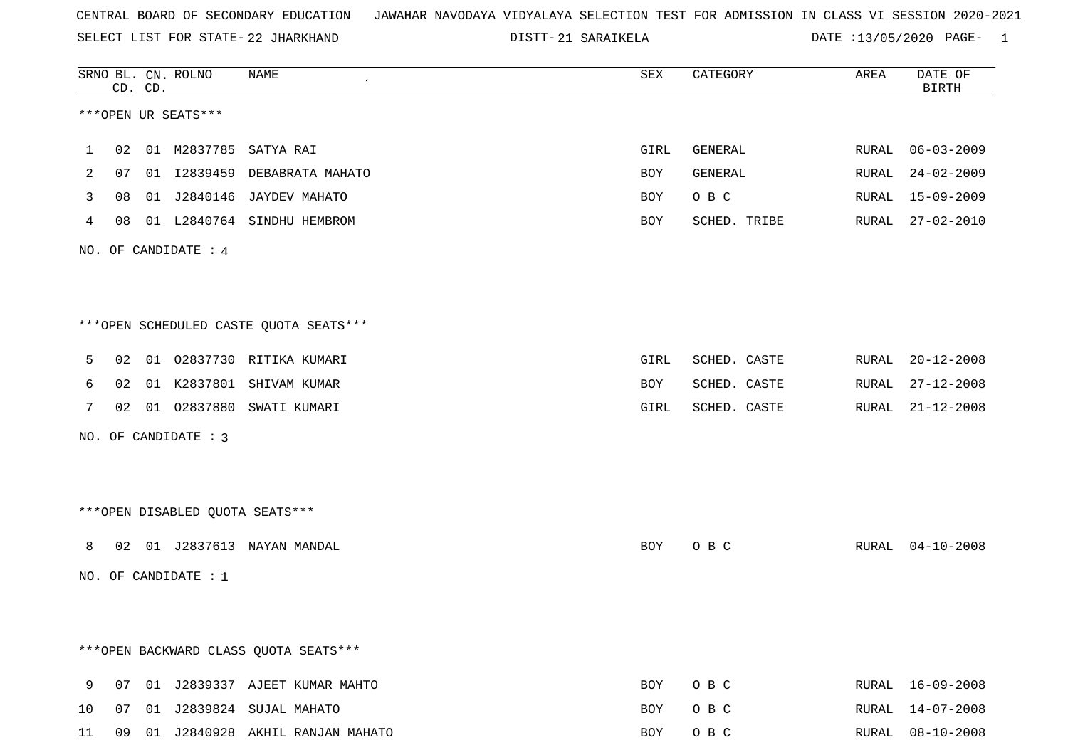SELECT LIST FOR STATE- DISTT- 22 JHARKHAND

|    |    | CD. CD. | SRNO BL. CN. ROLNO   | NAME                                   | SEX  | CATEGORY     | AREA  | DATE OF<br><b>BIRTH</b> |
|----|----|---------|----------------------|----------------------------------------|------|--------------|-------|-------------------------|
|    |    |         | ***OPEN UR SEATS***  |                                        |      |              |       |                         |
| 1  | 02 |         |                      | 01 M2837785 SATYA RAI                  | GIRL | GENERAL      | RURAL | $06 - 03 - 2009$        |
| 2  | 07 |         | 01 I2839459          | DEBABRATA MAHATO                       | BOY  | GENERAL      | RURAL | $24 - 02 - 2009$        |
| 3  | 08 |         |                      | 01 J2840146 JAYDEV MAHATO              | BOY  | O B C        | RURAL | $15 - 09 - 2009$        |
| 4  | 08 |         |                      | 01 L2840764 SINDHU HEMBROM             | BOY  | SCHED. TRIBE |       | RURAL 27-02-2010        |
|    |    |         | NO. OF CANDIDATE : 4 |                                        |      |              |       |                         |
|    |    |         |                      |                                        |      |              |       |                         |
|    |    |         |                      | ***OPEN SCHEDULED CASTE QUOTA SEATS*** |      |              |       |                         |
| 5  | 02 |         |                      | 01 02837730 RITIKA KUMARI              | GIRL | SCHED. CASTE | RURAL | $20 - 12 - 2008$        |
| 6  | 02 |         |                      | 01 K2837801 SHIVAM KUMAR               | BOY  | SCHED. CASTE | RURAL | $27 - 12 - 2008$        |
| 7  |    |         |                      | 02 01 02837880 SWATI KUMARI            | GIRL | SCHED. CASTE | RURAL | $21 - 12 - 2008$        |
|    |    |         | NO. OF CANDIDATE : 3 |                                        |      |              |       |                         |
|    |    |         |                      |                                        |      |              |       |                         |
|    |    |         |                      | *** OPEN DISABLED QUOTA SEATS***       |      |              |       |                         |
| 8  |    |         |                      | 02 01 J2837613 NAYAN MANDAL            | BOY  | O B C        | RURAL | $04 - 10 - 2008$        |
|    |    |         | NO. OF CANDIDATE : 1 |                                        |      |              |       |                         |
|    |    |         |                      |                                        |      |              |       |                         |
|    |    |         |                      | *** OPEN BACKWARD CLASS QUOTA SEATS*** |      |              |       |                         |
| 9  |    |         |                      | 07 01 J2839337 AJEET KUMAR MAHTO       | BOY  | O B C        |       | RURAL 16-09-2008        |
| 10 | 07 |         |                      | 01 J2839824 SUJAL MAHATO               | BOY  | O B C        |       | RURAL 14-07-2008        |
| 11 |    |         |                      | 09 01 J2840928 AKHIL RANJAN MAHATO     | BOY  | O B C        |       | RURAL 08-10-2008        |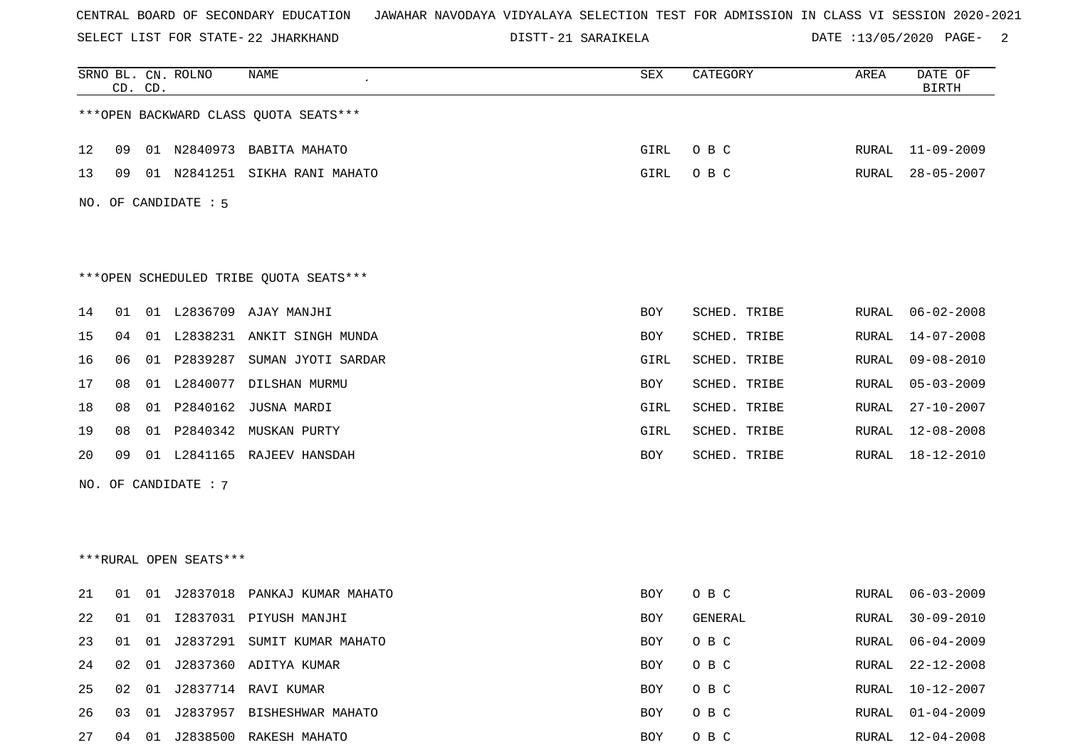SELECT LIST FOR STATE- DISTT- 22 JHARKHAND

|    |    | CD. CD. | SRNO BL. CN. ROLNO     | NAME                                   | SEX  | CATEGORY     | AREA         | DATE OF<br><b>BIRTH</b> |
|----|----|---------|------------------------|----------------------------------------|------|--------------|--------------|-------------------------|
|    |    |         |                        | *** OPEN BACKWARD CLASS QUOTA SEATS*** |      |              |              |                         |
| 12 | 09 |         |                        | 01 N2840973 BABITA MAHATO              | GIRL | O B C        | RURAL        | 11-09-2009              |
| 13 | 09 |         | 01 N2841251            | SIKHA RANI MAHATO                      | GIRL | O B C        | RURAL        | $28 - 05 - 2007$        |
|    |    |         | NO. OF CANDIDATE : 5   |                                        |      |              |              |                         |
|    |    |         |                        | ***OPEN SCHEDULED TRIBE QUOTA SEATS*** |      |              |              |                         |
| 14 | 01 |         |                        | 01 L2836709 AJAY MANJHI                | BOY  | SCHED. TRIBE | RURAL        | $06 - 02 - 2008$        |
| 15 | 04 | 01      |                        | L2838231 ANKIT SINGH MUNDA             | BOY  | SCHED. TRIBE | RURAL        | 14-07-2008              |
| 16 | 06 |         | 01 P2839287            | SUMAN JYOTI SARDAR                     | GIRL | SCHED. TRIBE | RURAL        | $09 - 08 - 2010$        |
| 17 | 08 | 01      | L2840077               | DILSHAN MURMU                          | BOY  | SCHED. TRIBE | RURAL        | $05 - 03 - 2009$        |
| 18 | 08 |         |                        | 01 P2840162 JUSNA MARDI                | GIRL | SCHED. TRIBE | RURAL        | $27 - 10 - 2007$        |
| 19 | 08 | 01      | P2840342               | MUSKAN PURTY                           | GIRL | SCHED. TRIBE | RURAL        | $12 - 08 - 2008$        |
| 20 | 09 | 01      |                        | L2841165 RAJEEV HANSDAH                | BOY  | SCHED. TRIBE | RURAL        | 18-12-2010              |
|    |    |         | NO. OF CANDIDATE : 7   |                                        |      |              |              |                         |
|    |    |         |                        |                                        |      |              |              |                         |
|    |    |         |                        |                                        |      |              |              |                         |
|    |    |         | ***RURAL OPEN SEATS*** |                                        |      |              |              |                         |
| 21 | 01 | 01      |                        | J2837018 PANKAJ KUMAR MAHATO           | BOY  | O B C        | RURAL        | $06 - 03 - 2009$        |
| 22 | 01 |         |                        | 01 I2837031 PIYUSH MANJHI              | BOY  | GENERAL      | RURAL        | $30 - 09 - 2010$        |
| 23 | 01 | 01      |                        | J2837291 SUMIT KUMAR MAHATO            | BOY  | O B C        | RURAL        | $06 - 04 - 2009$        |
| 24 | 02 | 01      |                        | J2837360 ADITYA KUMAR                  | BOY  | O B C        | RURAL        | $22 - 12 - 2008$        |
| 25 | 02 |         |                        | 01 J2837714 RAVI KUMAR                 | BOY  | O B C        | RURAL        | $10 - 12 - 2007$        |
| 26 | 03 | 01      |                        | J2837957 BISHESHWAR MAHATO             | BOY  | O B C        | <b>RURAL</b> | $01 - 04 - 2009$        |
| 27 | 04 | 01      |                        | J2838500 RAKESH MAHATO                 | BOY  | O B C        | RURAL        | $12 - 04 - 2008$        |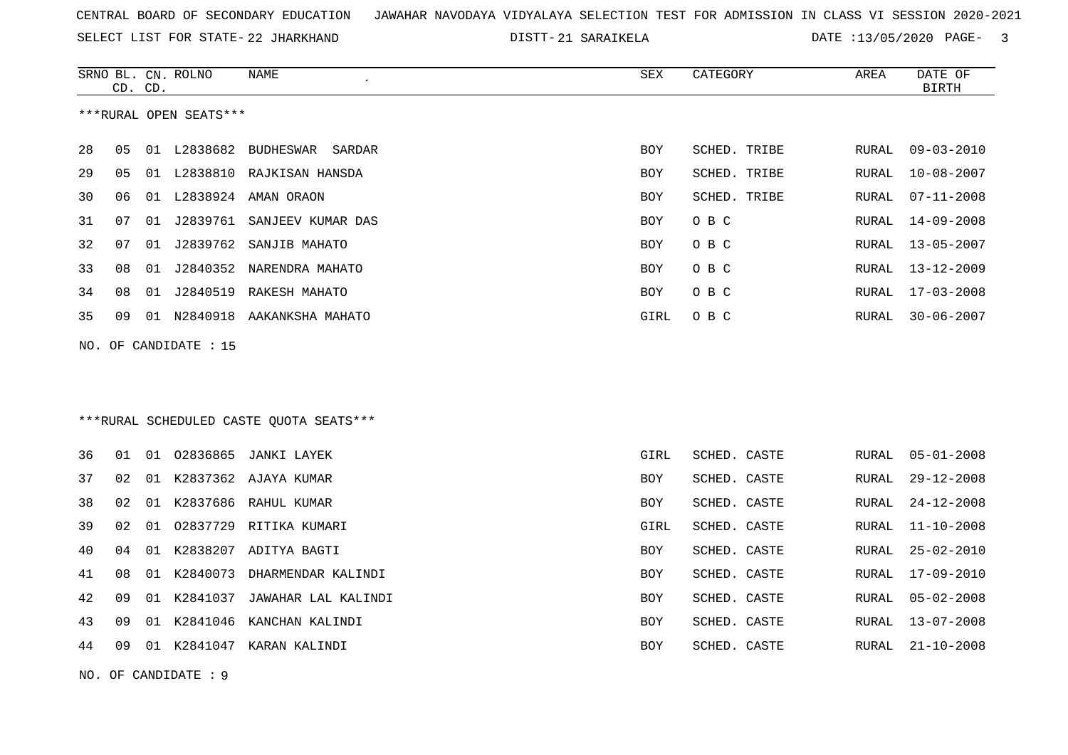SELECT LIST FOR STATE- DISTT- 22 JHARKHAND

|    | CD. CD. |    | SRNO BL. CN. ROLNO     | NAME                                     | SEX        | CATEGORY     | AREA         | DATE OF<br><b>BIRTH</b> |
|----|---------|----|------------------------|------------------------------------------|------------|--------------|--------------|-------------------------|
|    |         |    | ***RURAL OPEN SEATS*** |                                          |            |              |              |                         |
| 28 | 05      |    |                        | 01 L2838682 BUDHESWAR SARDAR             | <b>BOY</b> | SCHED. TRIBE | RURAL        | $09 - 03 - 2010$        |
| 29 | 05      |    |                        | 01 L2838810 RAJKISAN HANSDA              | <b>BOY</b> | SCHED. TRIBE | RURAL        | $10 - 08 - 2007$        |
| 30 | 06      | 01 |                        | L2838924 AMAN ORAON                      | <b>BOY</b> | SCHED. TRIBE | RURAL        | $07 - 11 - 2008$        |
| 31 | 07      |    |                        | 01 J2839761 SANJEEV KUMAR DAS            | <b>BOY</b> | O B C        | RURAL        | $14 - 09 - 2008$        |
| 32 | 07      | 01 | J2839762               | SANJIB MAHATO                            | BOY        | O B C        | RURAL        | $13 - 05 - 2007$        |
| 33 | 08      | 01 |                        | J2840352 NARENDRA MAHATO                 | <b>BOY</b> | O B C        | RURAL        | 13-12-2009              |
| 34 | 08      | 01 | J2840519               | RAKESH MAHATO                            | BOY        | O B C        | RURAL        | $17 - 03 - 2008$        |
| 35 | 09      |    |                        | 01 N2840918 AAKANKSHA MAHATO             | GIRL       | O B C        | RURAL        | $30 - 06 - 2007$        |
|    |         |    | NO. OF CANDIDATE : 15  |                                          |            |              |              |                         |
|    |         |    |                        |                                          |            |              |              |                         |
|    |         |    |                        | *** RURAL SCHEDULED CASTE QUOTA SEATS*** |            |              |              |                         |
| 36 | 01      |    |                        | 01 02836865 JANKI LAYEK                  | GIRL       | SCHED. CASTE | RURAL        | $05 - 01 - 2008$        |
| 37 | 02      |    |                        | 01 K2837362 AJAYA KUMAR                  | BOY        | SCHED. CASTE | RURAL        | $29 - 12 - 2008$        |
| 38 | 02      |    |                        | 01 K2837686 RAHUL KUMAR                  | BOY        | SCHED. CASTE | RURAL        | $24 - 12 - 2008$        |
| 39 | 02      |    |                        | 01 02837729 RITIKA KUMARI                | GIRL       | SCHED. CASTE | <b>RURAL</b> | $11 - 10 - 2008$        |
| 40 | 04      | 01 |                        | K2838207 ADITYA BAGTI                    | BOY        | SCHED. CASTE | RURAL        | $25 - 02 - 2010$        |
| 41 | 08      | 01 | K2840073               | DHARMENDAR KALINDI                       | <b>BOY</b> | SCHED. CASTE | RURAL        | $17 - 09 - 2010$        |
| 42 | 09      | 01 |                        | K2841037 JAWAHAR LAL KALINDI             | BOY        | SCHED. CASTE | RURAL        | $05 - 02 - 2008$        |
| 43 | 09      | 01 | K2841046               | KANCHAN KALINDI                          | BOY        | SCHED. CASTE | RURAL        | $13 - 07 - 2008$        |
| 44 | 09      |    |                        | 01 K2841047 KARAN KALINDI                | BOY        | SCHED. CASTE | RURAL        | $21 - 10 - 2008$        |
|    |         |    | NO. OF CANDIDATE: 9    |                                          |            |              |              |                         |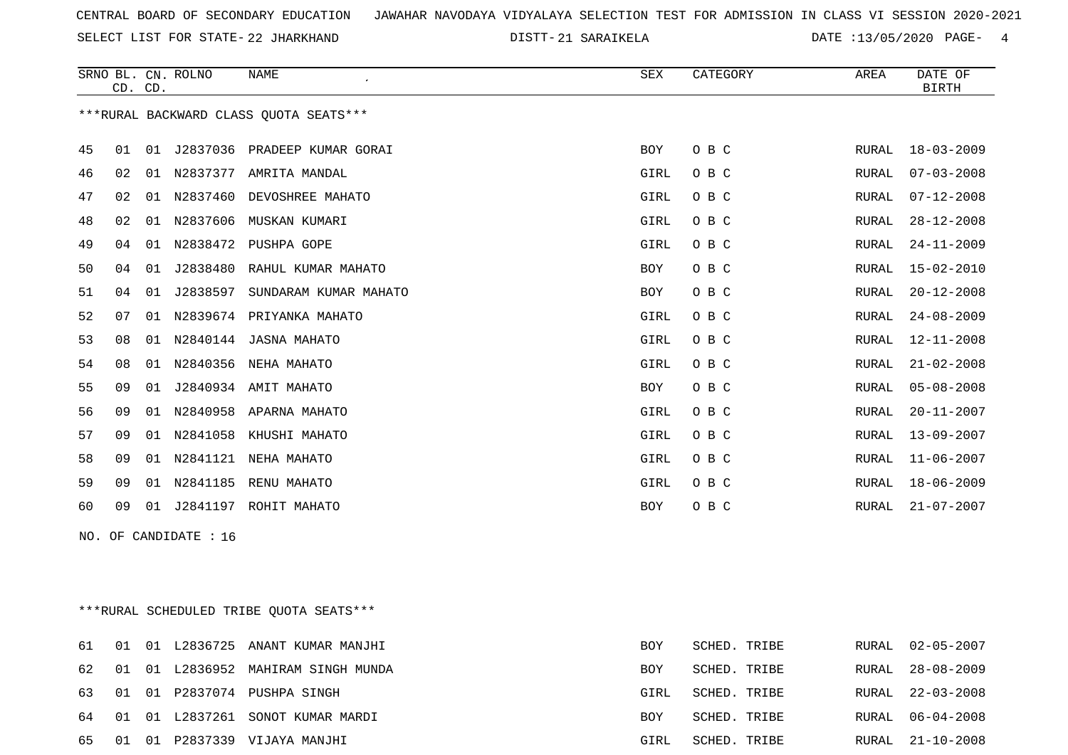SELECT LIST FOR STATE- DISTT- 22 JHARKHAND

|    |    | CD. CD. | SRNO BL. CN. ROLNO    | <b>NAME</b><br>$\cdot$                  | SEX        | CATEGORY | AREA         | DATE OF<br><b>BIRTH</b> |
|----|----|---------|-----------------------|-----------------------------------------|------------|----------|--------------|-------------------------|
|    |    |         |                       | ***RURAL BACKWARD CLASS OUOTA SEATS***  |            |          |              |                         |
| 45 | 01 |         |                       | 01 J2837036 PRADEEP KUMAR GORAI         | <b>BOY</b> | O B C    | RURAL        | $18 - 03 - 2009$        |
| 46 | 02 |         |                       | 01 N2837377 AMRITA MANDAL               | GIRL       | O B C    | RURAL        | $07 - 03 - 2008$        |
| 47 | 02 |         | 01 N2837460           | DEVOSHREE MAHATO                        | GIRL       | O B C    | <b>RURAL</b> | $07 - 12 - 2008$        |
| 48 | 02 |         |                       | 01 N2837606 MUSKAN KUMARI               | GIRL       | O B C    | <b>RURAL</b> | $28 - 12 - 2008$        |
| 49 | 04 | 01      |                       | N2838472 PUSHPA GOPE                    | GIRL       | O B C    | <b>RURAL</b> | $24 - 11 - 2009$        |
| 50 | 04 | 01      | J2838480              | RAHUL KUMAR MAHATO                      | BOY        | O B C    | <b>RURAL</b> | $15 - 02 - 2010$        |
| 51 | 04 | 01      | J2838597              | SUNDARAM KUMAR MAHATO                   | BOY        | O B C    | <b>RURAL</b> | $20 - 12 - 2008$        |
| 52 | 07 |         |                       | 01 N2839674 PRIYANKA MAHATO             | GIRL       | O B C    | <b>RURAL</b> | $24 - 08 - 2009$        |
| 53 | 08 |         |                       | 01 N2840144 JASNA MAHATO                | GIRL       | O B C    | RURAL        | 12-11-2008              |
| 54 | 08 | 01      | N2840356              | NEHA MAHATO                             | GIRL       | O B C    | <b>RURAL</b> | $21 - 02 - 2008$        |
| 55 | 09 | 01      |                       | J2840934 AMIT MAHATO                    | BOY        | O B C    | <b>RURAL</b> | $05 - 08 - 2008$        |
| 56 | 09 |         |                       | 01 N2840958 APARNA MAHATO               | GIRL       | O B C    | RURAL        | $20 - 11 - 2007$        |
| 57 | 09 |         |                       | 01 N2841058 KHUSHI MAHATO               | GIRL       | O B C    | RURAL        | $13 - 09 - 2007$        |
| 58 | 09 |         |                       | 01 N2841121 NEHA MAHATO                 | GIRL       | O B C    | <b>RURAL</b> | $11 - 06 - 2007$        |
| 59 | 09 |         | 01 N2841185           | RENU MAHATO                             | GIRL       | O B C    | RURAL        | $18 - 06 - 2009$        |
| 60 | 09 |         |                       | 01 J2841197 ROHIT MAHATO                | BOY        | O B C    | RURAL        | $21 - 07 - 2007$        |
|    |    |         | NO. OF CANDIDATE : 16 |                                         |            |          |              |                         |
|    |    |         |                       | ***RURAL SCHEDULED TRIBE QUOTA SEATS*** |            |          |              |                         |

|  |  | 61 01 01 L2836725 ANANT KUMAR MANJHI  | BOY        | SCHED. TRIBE | RURAL 02-05-2007 |
|--|--|---------------------------------------|------------|--------------|------------------|
|  |  | 62 01 01 L2836952 MAHIRAM SINGH MUNDA | BOY        | SCHED. TRIBE | RURAL 28-08-2009 |
|  |  | 63 01 01 P2837074 PUSHPA SINGH        | GIRL       | SCHED. TRIBE | RURAL 22-03-2008 |
|  |  | 64 01 01 L2837261 SONOT KUMAR MARDI   | <b>BOY</b> | SCHED. TRIBE | RURAL 06-04-2008 |
|  |  | 65 01 01 P2837339 VIJAYA MANJHI       | GIRL       | SCHED. TRIBE | RURAL 21-10-2008 |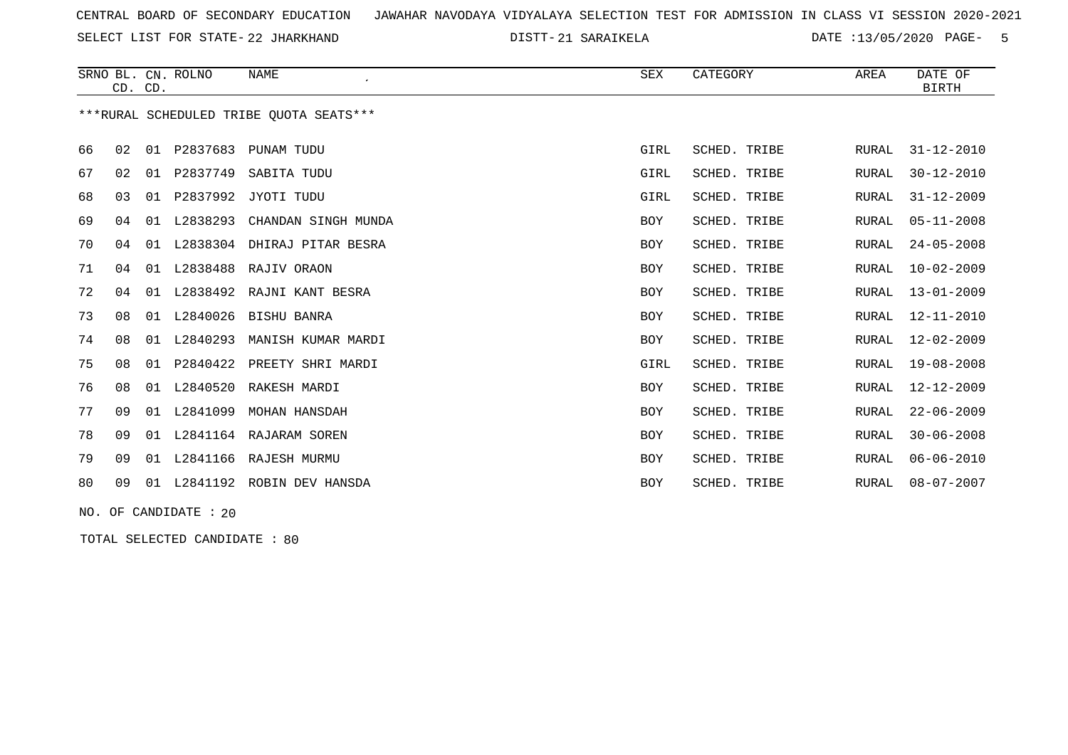SELECT LIST FOR STATE- DISTT- 22 JHARKHAND

21 SARAIKELA DATE :13/05/2020 PAGE- 5

|    | CD. CD. |    | SRNO BL. CN. ROLNO | <b>NAME</b><br>$\cdot$                  | <b>SEX</b> | CATEGORY     | AREA         | DATE OF<br><b>BIRTH</b> |
|----|---------|----|--------------------|-----------------------------------------|------------|--------------|--------------|-------------------------|
|    |         |    |                    | ***RURAL SCHEDULED TRIBE OUOTA SEATS*** |            |              |              |                         |
| 66 | 02      | 01 | P2837683           | PUNAM TUDU                              | GIRL       | SCHED. TRIBE | <b>RURAL</b> | $31 - 12 - 2010$        |
| 67 | 02      | 01 | P2837749           | SABITA TUDU                             | GIRL       | SCHED. TRIBE | RURAL        | $30 - 12 - 2010$        |
| 68 | 03      | 01 | P2837992           | JYOTI TUDU                              | GIRL       | SCHED. TRIBE | RURAL        | $31 - 12 - 2009$        |
| 69 | 04      | 01 | L2838293           | CHANDAN SINGH MUNDA                     | <b>BOY</b> | SCHED. TRIBE | RURAL        | $05 - 11 - 2008$        |
| 70 | 04      | 01 | L2838304           | DHIRAJ PITAR BESRA                      | <b>BOY</b> | SCHED. TRIBE | RURAL        | $24 - 05 - 2008$        |
| 71 | 04      | 01 | L2838488           | RAJIV ORAON                             | <b>BOY</b> | SCHED. TRIBE | RURAL        | $10 - 02 - 2009$        |
| 72 | 04      | 01 | L2838492           | RAJNI KANT BESRA                        | <b>BOY</b> | SCHED. TRIBE | RURAL        | $13 - 01 - 2009$        |
| 73 | 08      | 01 | L2840026           | <b>BISHU BANRA</b>                      | <b>BOY</b> | SCHED. TRIBE | RURAL        | $12 - 11 - 2010$        |
| 74 | 08      | 01 | L2840293           | MANISH KUMAR MARDI                      | <b>BOY</b> | SCHED. TRIBE | RURAL        | $12 - 02 - 2009$        |
| 75 | 08      | 01 | P2840422           | PREETY SHRI MARDI                       | GIRL       | SCHED. TRIBE | RURAL        | $19 - 08 - 2008$        |
| 76 | 08      | 01 | L2840520           | RAKESH MARDI                            | <b>BOY</b> | SCHED. TRIBE | RURAL        | $12 - 12 - 2009$        |
| 77 | 09      | 01 | L2841099           | MOHAN HANSDAH                           | <b>BOY</b> | SCHED. TRIBE | RURAL        | $22 - 06 - 2009$        |
| 78 | 09      | 01 |                    | L2841164 RAJARAM SOREN                  | <b>BOY</b> | SCHED. TRIBE | RURAL        | $30 - 06 - 2008$        |
| 79 | 09      | 01 | L2841166           | RAJESH MURMU                            | <b>BOY</b> | SCHED. TRIBE | RURAL        | $06 - 06 - 2010$        |
| 80 | 09      | 01 | L2841192           | ROBIN DEV HANSDA                        | BOY        | SCHED. TRIBE | RURAL        | $08 - 07 - 2007$        |

NO. OF CANDIDATE : 20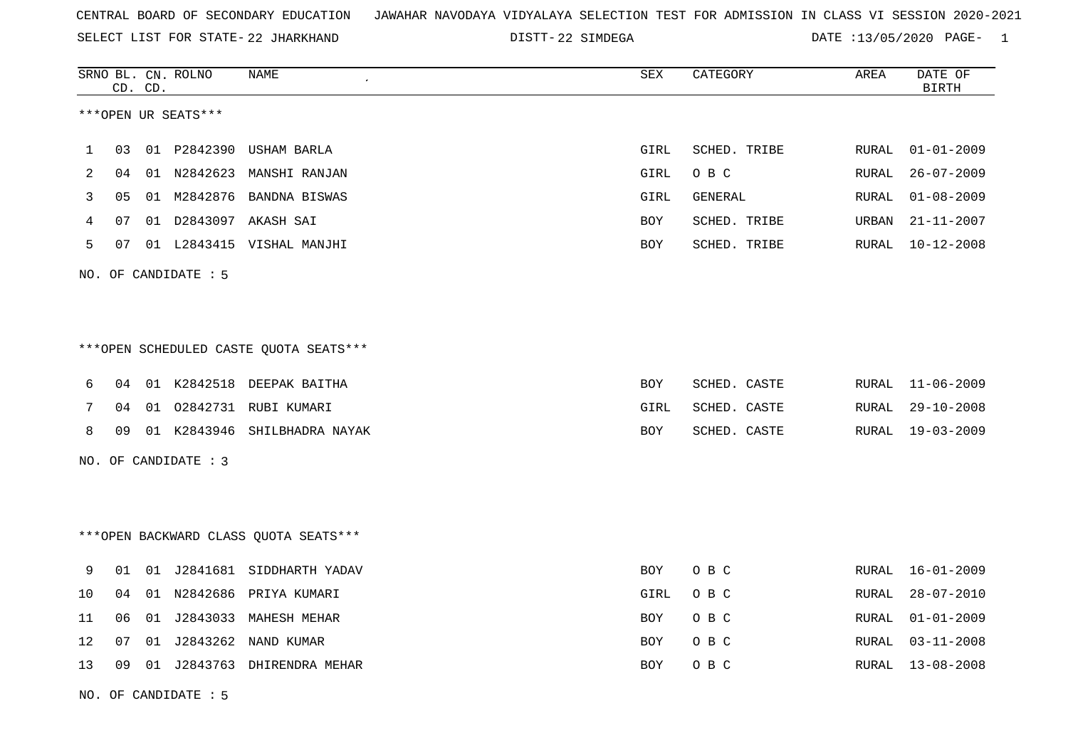| CENTRAL BOARD OF SECONDARY EDUCATION – JAWAHAR NAVODAYA VIDYALAYA SELECTION TEST FOR ADMISSION IN CLASS VI SESSION 2020-2021 |  |  |  |  |  |  |  |
|------------------------------------------------------------------------------------------------------------------------------|--|--|--|--|--|--|--|
|------------------------------------------------------------------------------------------------------------------------------|--|--|--|--|--|--|--|

SELECT LIST FOR STATE- DISTT- 22 JHARKHAND

DISTT-22 SIMDEGA DATE :13/05/2020 PAGE- 1

|    |    | CD. CD. | SRNO BL. CN. ROLNO   | <b>NAME</b>                            | ${\tt SEX}$ | CATEGORY     | AREA         | DATE OF<br><b>BIRTH</b> |
|----|----|---------|----------------------|----------------------------------------|-------------|--------------|--------------|-------------------------|
|    |    |         | ***OPEN UR SEATS***  |                                        |             |              |              |                         |
| 1  | 03 |         | 01 P2842390          | USHAM BARLA                            | GIRL        | SCHED. TRIBE | <b>RURAL</b> | $01 - 01 - 2009$        |
| 2  | 04 |         |                      | 01 N2842623 MANSHI RANJAN              | GIRL        | O B C        | RURAL        | $26 - 07 - 2009$        |
| 3  | 05 |         | 01 M2842876          | BANDNA BISWAS                          | GIRL        | GENERAL      | RURAL        | $01 - 08 - 2009$        |
| 4  | 07 |         |                      | 01 D2843097 AKASH SAI                  | BOY         | SCHED. TRIBE | URBAN        | $21 - 11 - 2007$        |
| 5  | 07 |         |                      | 01 L2843415 VISHAL MANJHI              | BOY         | SCHED. TRIBE | RURAL        | $10 - 12 - 2008$        |
|    |    |         | NO. OF CANDIDATE : 5 |                                        |             |              |              |                         |
|    |    |         |                      |                                        |             |              |              |                         |
|    |    |         |                      | ***OPEN SCHEDULED CASTE QUOTA SEATS*** |             |              |              |                         |
| 6  | 04 |         |                      | 01 K2842518 DEEPAK BAITHA              | BOY         | SCHED. CASTE | RURAL        | $11 - 06 - 2009$        |
| 7  | 04 | 01      | 02842731             | RUBI KUMARI                            | GIRL        | SCHED. CASTE | RURAL        | $29 - 10 - 2008$        |
| 8  | 09 |         | 01 K2843946          | SHILBHADRA NAYAK                       | BOY         | SCHED. CASTE | RURAL        | $19 - 03 - 2009$        |
|    |    |         | NO. OF CANDIDATE : 3 |                                        |             |              |              |                         |
|    |    |         |                      |                                        |             |              |              |                         |
|    |    |         |                      | *** OPEN BACKWARD CLASS QUOTA SEATS*** |             |              |              |                         |
| 9  | 01 |         |                      | 01 J2841681 SIDDHARTH YADAV            | BOY         | O B C        | RURAL        | $16 - 01 - 2009$        |
| 10 | 04 | 01      | N2842686             | PRIYA KUMARI                           | GIRL        | O B C        | RURAL        | $28 - 07 - 2010$        |
| 11 | 06 | 01      |                      | J2843033 MAHESH MEHAR                  | BOY         | O B C        | RURAL        | $01 - 01 - 2009$        |
| 12 | 07 | 01      | J2843262             | NAND KUMAR                             | BOY         | O B C        | RURAL        | $03 - 11 - 2008$        |
| 13 | 09 |         |                      | 01 J2843763 DHIRENDRA MEHAR            | BOY         | O B C        | RURAL        | $13 - 08 - 2008$        |
|    |    |         |                      |                                        |             |              |              |                         |

NO. OF CANDIDATE : 5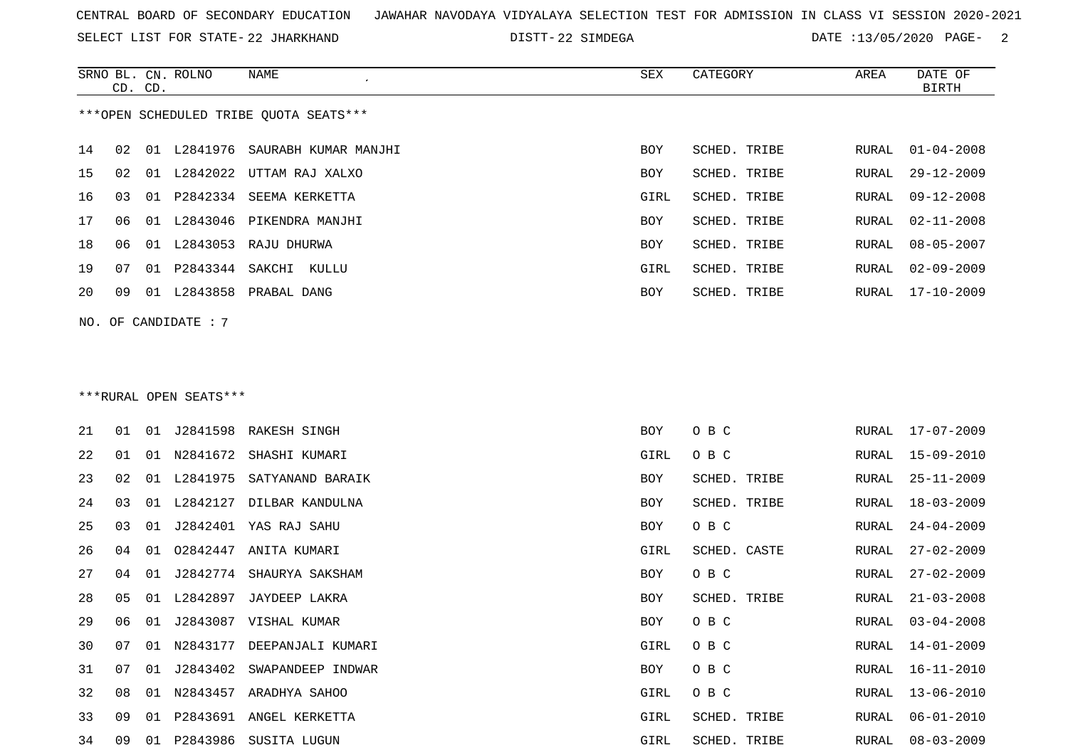SELECT LIST FOR STATE- DISTT- 22 JHARKHAND

22 SIMDEGA DATE :13/05/2020 PAGE- 2

|    |    | CD. CD. | SRNO BL. CN. ROLNO     | NAME                                   | SEX  | CATEGORY     | AREA  | DATE OF<br><b>BIRTH</b> |
|----|----|---------|------------------------|----------------------------------------|------|--------------|-------|-------------------------|
|    |    |         |                        | ***OPEN SCHEDULED TRIBE QUOTA SEATS*** |      |              |       |                         |
|    |    |         |                        | 01 L2841976 SAURABH KUMAR MANJHI       |      | SCHED. TRIBE |       | $01 - 04 - 2008$        |
| 14 | 02 |         |                        |                                        | BOY  |              | RURAL |                         |
| 15 | 02 |         |                        | 01 L2842022 UTTAM RAJ XALXO            | BOY  | SCHED. TRIBE | RURAL | $29 - 12 - 2009$        |
| 16 | 03 |         |                        | 01 P2842334 SEEMA KERKETTA             | GIRL | SCHED. TRIBE | RURAL | $09 - 12 - 2008$        |
| 17 | 06 |         |                        | 01 L2843046 PIKENDRA MANJHI            | BOY  | SCHED. TRIBE | RURAL | $02 - 11 - 2008$        |
| 18 | 06 |         |                        | 01 L2843053 RAJU DHURWA                | BOY  | SCHED. TRIBE | RURAL | $08 - 05 - 2007$        |
| 19 | 07 |         |                        | 01 P2843344 SAKCHI KULLU               | GIRL | SCHED. TRIBE | RURAL | $02 - 09 - 2009$        |
| 20 | 09 |         |                        | 01 L2843858 PRABAL DANG                | BOY  | SCHED. TRIBE | RURAL | $17 - 10 - 2009$        |
|    |    |         | NO. OF CANDIDATE: 7    |                                        |      |              |       |                         |
|    |    |         |                        |                                        |      |              |       |                         |
|    |    |         |                        |                                        |      |              |       |                         |
|    |    |         | ***RURAL OPEN SEATS*** |                                        |      |              |       |                         |
| 21 | 01 |         |                        | 01 J2841598 RAKESH SINGH               | BOY  | O B C        | RURAL | 17-07-2009              |
| 22 | 01 |         |                        | 01 N2841672 SHASHI KUMARI              | GIRL | O B C        | RURAL | 15-09-2010              |
| 23 | 02 |         | 01 L2841975            | SATYANAND BARAIK                       | BOY  | SCHED. TRIBE | RURAL | $25 - 11 - 2009$        |
| 24 | 03 |         |                        | 01 L2842127 DILBAR KANDULNA            | BOY  | SCHED. TRIBE | RURAL | $18 - 03 - 2009$        |
| 25 | 03 |         |                        | 01 J2842401 YAS RAJ SAHU               | BOY  | O B C        | RURAL | $24 - 04 - 2009$        |
| 26 | 04 | 01      | 02842447               | ANITA KUMARI                           | GIRL | SCHED. CASTE | RURAL | $27 - 02 - 2009$        |
| 27 | 04 |         |                        | 01 J2842774 SHAURYA SAKSHAM            | BOY  | O B C        | RURAL | $27 - 02 - 2009$        |
| 28 | 05 |         | 01 L2842897            | JAYDEEP LAKRA                          | BOY  | SCHED. TRIBE | RURAL | $21 - 03 - 2008$        |
| 29 | 06 |         |                        | 01 J2843087 VISHAL KUMAR               | BOY  | O B C        | RURAL | $03 - 04 - 2008$        |
| 30 | 07 |         |                        | 01 N2843177 DEEPANJALI KUMARI          | GIRL | O B C        | RURAL | $14 - 01 - 2009$        |
|    |    |         |                        |                                        |      |              |       |                         |
| 31 | 07 |         | 01 J2843402            | SWAPANDEEP INDWAR                      | BOY  | O B C        | RURAL | $16 - 11 - 2010$        |
| 32 | 08 |         |                        | 01 N2843457 ARADHYA SAHOO              | GIRL | O B C        | RURAL | $13 - 06 - 2010$        |
| 33 | 09 |         |                        | 01 P2843691 ANGEL KERKETTA             | GIRL | SCHED. TRIBE | RURAL | $06 - 01 - 2010$        |
| 34 | 09 |         |                        | 01 P2843986 SUSITA LUGUN               | GIRL | SCHED. TRIBE |       | RURAL 08-03-2009        |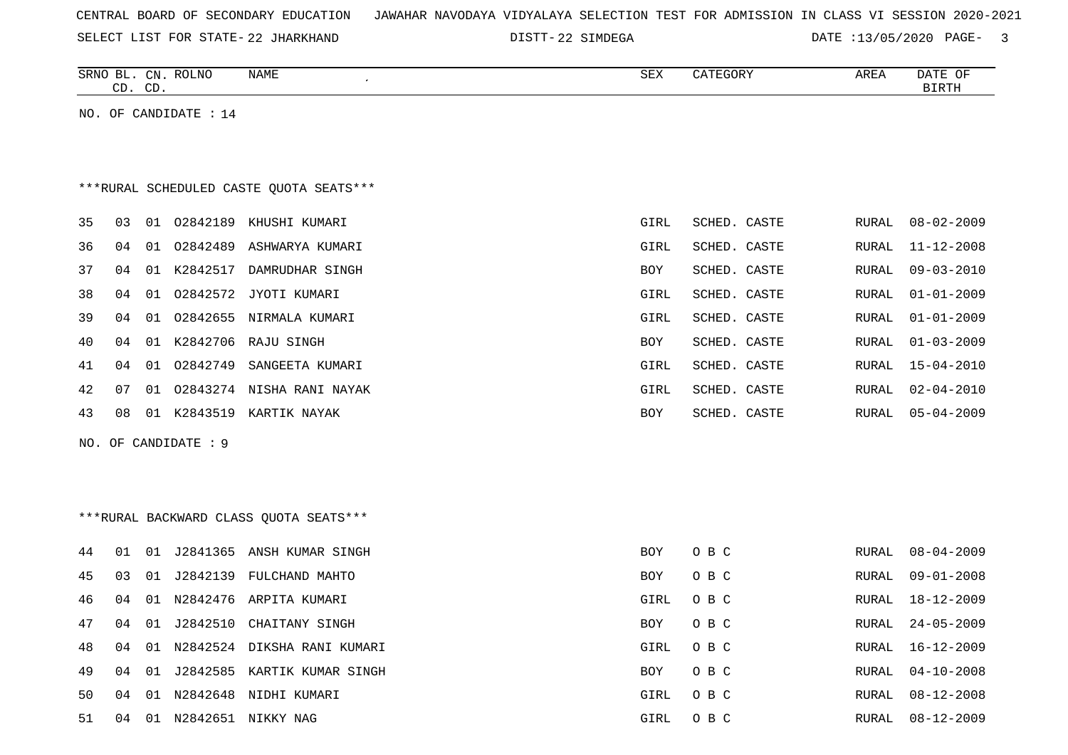| CENTRAL BOARD OF SECONDARY EDUCATION – JAWAHAR NAVODAYA VIDYALAYA SELECTION TEST FOR ADMISSION IN CLASS VI SESSION 2020-2021 |  |  |  |  |  |  |  |  |  |  |  |  |  |  |  |  |  |
|------------------------------------------------------------------------------------------------------------------------------|--|--|--|--|--|--|--|--|--|--|--|--|--|--|--|--|--|
|------------------------------------------------------------------------------------------------------------------------------|--|--|--|--|--|--|--|--|--|--|--|--|--|--|--|--|--|

SELECT LIST FOR STATE- DISTT- 22 JHARKHAND

DISTT-22 SIMDEGA DATE :13/05/2020 PAGE- 3

| ROLNO<br>SRNO<br>ВL<br>$\cap$ | <b>NAME</b> | <b>SEX</b> | T200T<br>∸ | י הם ת<br>ARLA | DATE<br>$\sim$ $\sim$<br>- 92 |
|-------------------------------|-------------|------------|------------|----------------|-------------------------------|
| $\cap$<br>$\sim$<br>ىب<br>ىت  |             |            |            |                | TDTT                          |
|                               |             |            |            |                |                               |

NO. OF CANDIDATE : 14

# \*\*\*RURAL SCHEDULED CASTE QUOTA SEATS\*\*\*

| 35 | 03 | O 1   | 02842189 | KHUSHI KUMARI    | GIRL       | SCHED, CASTE | RURAL | $08 - 02 - 2009$ |
|----|----|-------|----------|------------------|------------|--------------|-------|------------------|
| 36 | 04 | 01    | 02842489 | ASHWARYA KUMARI  | GIRL       | SCHED. CASTE | RURAL | $11 - 12 - 2008$ |
| 37 | 04 | 01    | K2842517 | DAMRUDHAR SINGH  | <b>BOY</b> | SCHED. CASTE | RURAL | $09 - 03 - 2010$ |
| 38 | 04 | 01    | 02842572 | JYOTI KUMARI     | GIRL       | SCHED. CASTE | RURAL | 01-01-2009       |
| 39 | 04 | O 1   | 02842655 | NIRMALA KUMARI   | GIRL       | SCHED. CASTE |       | RURAL 01-01-2009 |
| 40 | 04 | 01    | K2842706 | RAJU SINGH       | BOY        | SCHED. CASTE | RURAL | $01 - 03 - 2009$ |
| 41 | 04 | 01    | 02842749 | SANGEETA KUMARI  | GIRL       | SCHED. CASTE |       | RURAL 15-04-2010 |
| 42 | 07 | 01    | 02843274 | NISHA RANI NAYAK | GIRL       | SCHED. CASTE | RURAL | $02 - 04 - 2010$ |
| 43 | 08 | . N 1 | K2843519 | KARTIK NAYAK     | <b>BOY</b> | SCHED. CASTE | RURAL | 05-04-2009       |
|    |    |       |          |                  |            |              |       |                  |

NO. OF CANDIDATE : 9

# \*\*\*RURAL BACKWARD CLASS QUOTA SEATS\*\*\*

| 44 | 01  | 01 |             | J2841365 ANSH KUMAR SINGH      | BOY        | O B C | RURAL | 08-04-2009       |
|----|-----|----|-------------|--------------------------------|------------|-------|-------|------------------|
| 45 | 03  |    | 01 J2842139 | FULCHAND MAHTO                 | <b>BOY</b> | O B C | RURAL | 09-01-2008       |
| 46 | 04  |    |             | 01 N2842476 ARPITA KUMARI      | GIRL       | O B C |       | RURAL 18-12-2009 |
| 47 | 04  |    |             | 01 J2842510 CHAITANY SINGH     | BOY        | O B C |       | RURAL 24-05-2009 |
| 48 | 04  |    |             | 01 N2842524 DIKSHA RANI KUMARI | GIRL       | O B C |       | RURAL 16-12-2009 |
| 49 | 04  |    |             | 01 J2842585 KARTIK KUMAR SINGH | <b>BOY</b> | O B C |       | RURAL 04-10-2008 |
| 50 | 04  |    | 01 N2842648 | NIDHI KUMARI                   | GIRL       | O B C |       | RURAL 08-12-2008 |
| 51 | 04. |    | 01 N2842651 | NIKKY NAG                      | GIRL       | O B C |       | RURAL 08-12-2009 |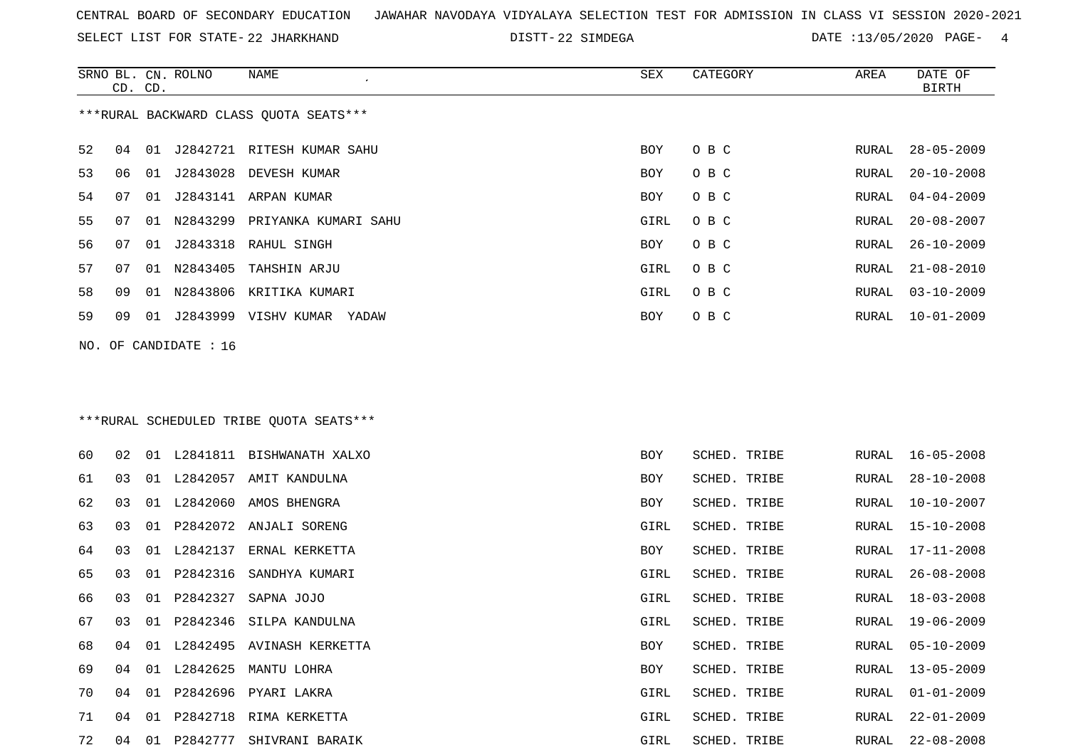SELECT LIST FOR STATE- DISTT- 22 JHARKHAND

22 SIMDEGA DATE :13/05/2020 PAGE- 4

|    | CD. CD. |    | SRNO BL. CN. ROLNO      | NAME<br>$\epsilon$                     | SEX  | CATEGORY | AREA  | DATE OF<br><b>BIRTH</b> |
|----|---------|----|-------------------------|----------------------------------------|------|----------|-------|-------------------------|
|    |         |    |                         | ***RURAL BACKWARD CLASS QUOTA SEATS*** |      |          |       |                         |
| 52 | 04      |    |                         | 01 J2842721 RITESH KUMAR SAHU          | BOY  | O B C    | RURAL | $28 - 05 - 2009$        |
| 53 | 06      |    |                         | 01 J2843028 DEVESH KUMAR               | BOY  | O B C    | RURAL | $20 - 10 - 2008$        |
| 54 | 07      |    |                         | 01 J2843141 ARPAN KUMAR                | BOY  | O B C    | RURAL | $04 - 04 - 2009$        |
| 55 | 07      |    |                         | 01 N2843299 PRIYANKA KUMARI SAHU       | GIRL | O B C    | RURAL | $20 - 08 - 2007$        |
| 56 | 07      |    |                         | 01 J2843318 RAHUL SINGH                | BOY  | O B C    | RURAL | $26 - 10 - 2009$        |
| 57 | 07      | 01 |                         | N2843405 TAHSHIN ARJU                  | GIRL | O B C    | RURAL | $21 - 08 - 2010$        |
| 58 | 09      | 01 |                         | N2843806 KRITIKA KUMARI                | GIRL | O B C    | RURAL | $03 - 10 - 2009$        |
| 59 | 09      |    |                         | 01 J2843999 VISHV KUMAR YADAW          | BOY  | O B C    | RURAL | $10 - 01 - 2009$        |
|    |         |    | NO. OF CANDIDATE : $16$ |                                        |      |          |       |                         |
|    |         |    |                         |                                        |      |          |       |                         |
|    |         |    |                         |                                        |      |          |       |                         |

### \*\*\*RURAL SCHEDULED TRIBE QUOTA SEATS\*\*\*

| 60 | 02 | 01 |          | L2841811 BISHWANATH XALXO | BOY  | SCHED. TRIBE |       | RURAL 16-05-2008 |
|----|----|----|----------|---------------------------|------|--------------|-------|------------------|
| 61 | 03 | 01 |          | L2842057 AMIT KANDULNA    | BOY  | SCHED. TRIBE | RURAL | 28-10-2008       |
| 62 | 03 | 01 |          | L2842060 AMOS BHENGRA     | BOY  | SCHED. TRIBE | RURAL | 10-10-2007       |
| 63 | 03 | 01 |          | P2842072 ANJALI SORENG    | GIRL | SCHED. TRIBE | RURAL | 15-10-2008       |
| 64 | 03 | 01 | L2842137 | ERNAL KERKETTA            | BOY  | SCHED. TRIBE | RURAL | 17-11-2008       |
| 65 | 03 | 01 | P2842316 | SANDHYA KUMARI            | GIRL | SCHED. TRIBE | RURAL | $26 - 08 - 2008$ |
| 66 | 03 | 01 | P2842327 | SAPNA JOJO                | GIRL | SCHED. TRIBE | RURAL | 18-03-2008       |
| 67 | 03 | 01 |          | P2842346 SILPA KANDULNA   | GIRL | SCHED. TRIBE | RURAL | 19-06-2009       |
| 68 | 04 | 01 | L2842495 | AVINASH KERKETTA          | BOY  | SCHED. TRIBE | RURAL | $05 - 10 - 2009$ |
| 69 | 04 | 01 | L2842625 | MANTU LOHRA               | BOY  | SCHED. TRIBE | RURAL | $13 - 05 - 2009$ |
| 70 | 04 | 01 | P2842696 | PYARI LAKRA               | GIRL | SCHED. TRIBE | RURAL | $01 - 01 - 2009$ |
| 71 | 04 | 01 | P2842718 | RIMA KERKETTA             | GIRL | SCHED. TRIBE | RURAL | $22 - 01 - 2009$ |
| 72 | 04 | 01 | P2842777 | SHIVRANI BARAIK           | GIRL | SCHED. TRIBE | RURAL | $22 - 08 - 2008$ |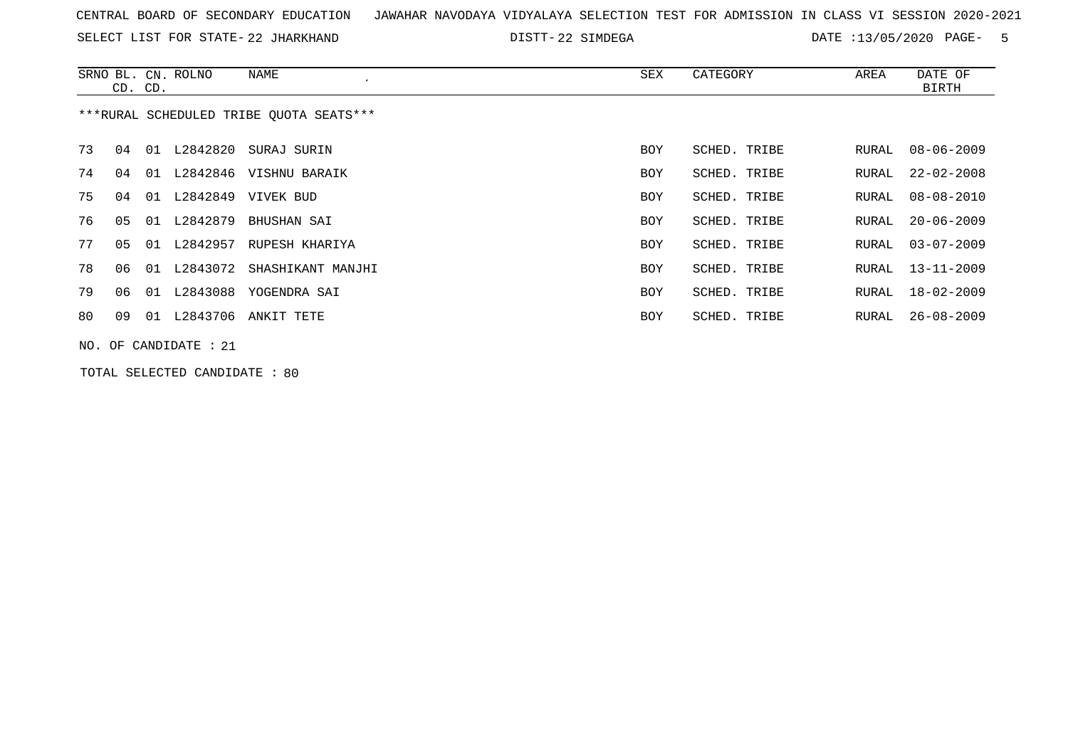SELECT LIST FOR STATE- DISTT- 22 JHARKHAND

DISTT-22 SIMDEGA **DATE** :13/05/2020 PAGE- 5

|    | CD. CD. |    | SRNO BL. CN. ROLNO       | NAME<br>$\cdot$                         | SEX        | CATEGORY     | AREA  | DATE OF<br>BIRTH |
|----|---------|----|--------------------------|-----------------------------------------|------------|--------------|-------|------------------|
|    |         |    |                          | ***RURAL SCHEDULED TRIBE OUOTA SEATS*** |            |              |       |                  |
| 73 | 04      |    | 01 L2842820              | SURAJ SURIN                             | <b>BOY</b> | SCHED. TRIBE | RURAL | $08 - 06 - 2009$ |
| 74 | 04      | 01 |                          | L2842846 VISHNU BARAIK                  | <b>BOY</b> | SCHED. TRIBE | RURAL | $22 - 02 - 2008$ |
| 75 | 04      |    | 01 L2842849              | VIVEK BUD                               | <b>BOY</b> | SCHED. TRIBE | RURAL | 08-08-2010       |
| 76 | 05      |    | 01 L2842879              | BHUSHAN SAI                             | <b>BOY</b> | SCHED. TRIBE | RURAL | $20 - 06 - 2009$ |
| 77 | 05      |    | 01 L2842957              | RUPESH KHARIYA                          | <b>BOY</b> | SCHED. TRIBE | RURAL | $03 - 07 - 2009$ |
| 78 | 06      |    |                          | 01 L2843072 SHASHIKANT MANJHI           | BOY        | SCHED. TRIBE | RURAL | $13 - 11 - 2009$ |
| 79 | 06      |    |                          | 01 L2843088 YOGENDRA SAI                | <b>BOY</b> | SCHED. TRIBE | RURAL | $18 - 02 - 2009$ |
| 80 | 09      |    |                          | 01 L2843706 ANKIT TETE                  | <b>BOY</b> | SCHED. TRIBE | RURAL | $26 - 08 - 2009$ |
|    |         |    | NO. OF CANDIDATE<br>: 21 |                                         |            |              |       |                  |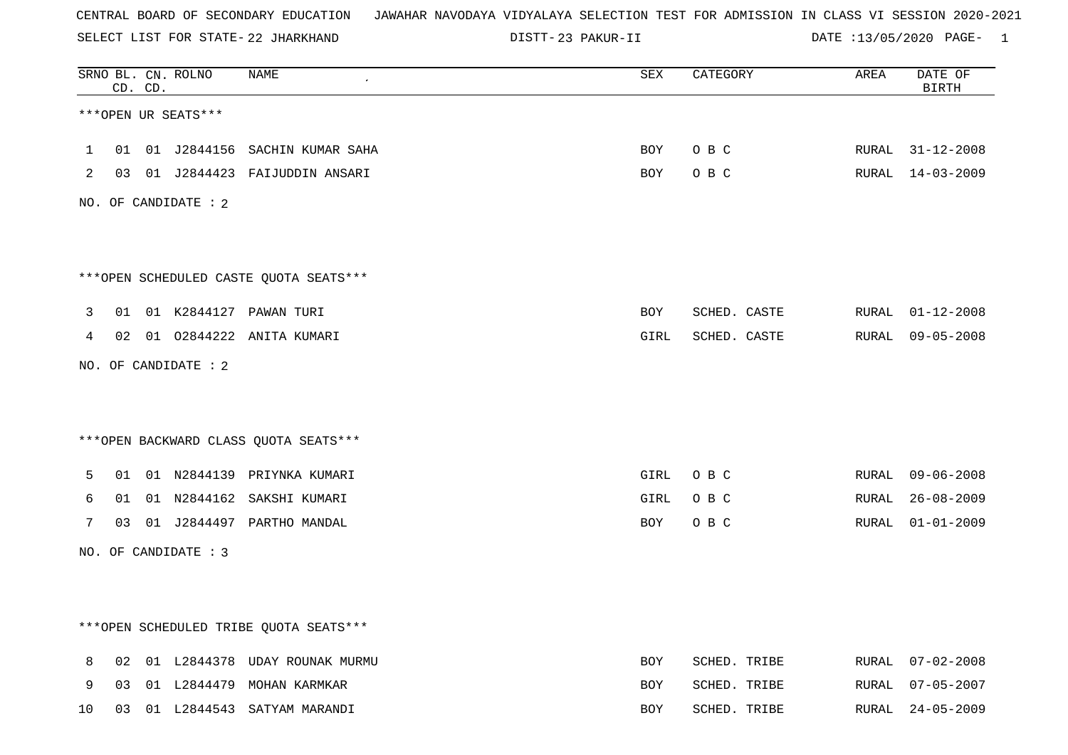SELECT LIST FOR STATE- DISTT- 22 JHARKHAND

23 PAKUR-II DATE :13/05/2020 PAGE- 1

|              |    | CD. CD. | SRNO BL. CN. ROLNO   | NAME                                    | <b>SEX</b> | CATEGORY     | AREA  | DATE OF<br><b>BIRTH</b> |
|--------------|----|---------|----------------------|-----------------------------------------|------------|--------------|-------|-------------------------|
|              |    |         | ***OPEN UR SEATS***  |                                         |            |              |       |                         |
| $\mathbf{1}$ | 01 |         |                      | 01 J2844156 SACHIN KUMAR SAHA           | BOY        | O B C        |       | RURAL 31-12-2008        |
| 2            |    |         |                      | 03 01 J2844423 FAIJUDDIN ANSARI         | BOY        | O B C        |       | RURAL 14-03-2009        |
|              |    |         | NO. OF CANDIDATE : 2 |                                         |            |              |       |                         |
|              |    |         |                      |                                         |            |              |       |                         |
|              |    |         |                      | *** OPEN SCHEDULED CASTE QUOTA SEATS*** |            |              |       |                         |
| 3            | 01 |         |                      | 01 K2844127 PAWAN TURI                  | BOY        | SCHED. CASTE |       | RURAL 01-12-2008        |
| 4            |    |         |                      | 02 01 02844222 ANITA KUMARI             | GIRL       | SCHED. CASTE |       | RURAL 09-05-2008        |
|              |    |         | NO. OF CANDIDATE : 2 |                                         |            |              |       |                         |
|              |    |         |                      |                                         |            |              |       |                         |
|              |    |         |                      | *** OPEN BACKWARD CLASS QUOTA SEATS***  |            |              |       |                         |
| 5            | 01 |         |                      | 01 N2844139 PRIYNKA KUMARI              | GIRL       | O B C        |       | RURAL 09-06-2008        |
| 6            | 01 |         |                      | 01 N2844162 SAKSHI KUMARI               | GIRL       | O B C        | RURAL | $26 - 08 - 2009$        |
| 7            |    |         |                      | 03 01 J2844497 PARTHO MANDAL            | BOY        | O B C        |       | RURAL 01-01-2009        |
|              |    |         | NO. OF CANDIDATE : 3 |                                         |            |              |       |                         |
|              |    |         |                      |                                         |            |              |       |                         |
|              |    |         |                      |                                         |            |              |       |                         |
|              |    |         |                      | ***OPEN SCHEDULED TRIBE QUOTA SEATS***  |            |              |       |                         |
| 8            | 02 |         |                      | 01 L2844378 UDAY ROUNAK MURMU           | <b>BOY</b> | SCHED. TRIBE |       | RURAL 07-02-2008        |
| 9            | 03 |         |                      | 01 L2844479 MOHAN KARMKAR               | BOY        | SCHED. TRIBE | RURAL | $07 - 05 - 2007$        |
| 10           | 03 |         |                      | 01 L2844543 SATYAM MARANDI              | <b>BOY</b> | SCHED. TRIBE | RURAL | $24 - 05 - 2009$        |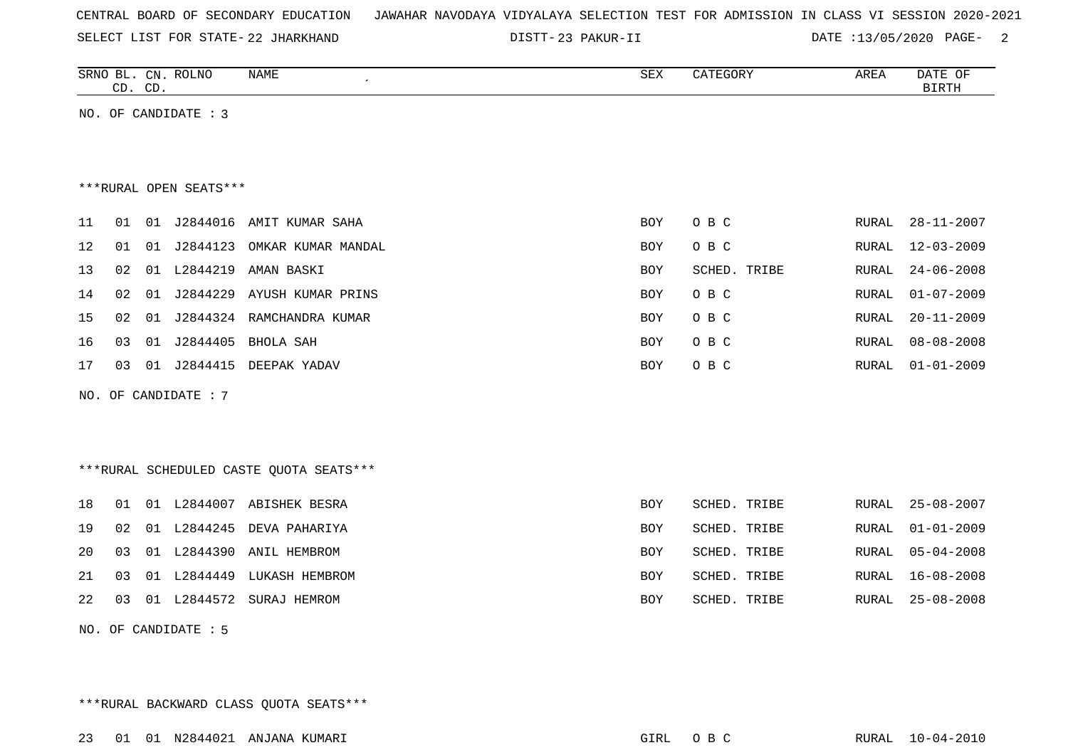| CENTRAL BOARD OF SECONDARY EDUCATION – JAWAHAR NAVODAYA VIDYALAYA SELECTION TEST FOR ADMISSION IN CLASS VI SESSION 2020-2021 |  |  |  |  |  |  |  |
|------------------------------------------------------------------------------------------------------------------------------|--|--|--|--|--|--|--|
|------------------------------------------------------------------------------------------------------------------------------|--|--|--|--|--|--|--|

SELECT LIST FOR STATE- DISTT- 22 JHARKHAND

23 PAKUR-II DATE :13/05/2020 PAGE- 2

|    |    | CD. CD. | SRNO BL. CN. ROLNO     | <b>NAME</b>                             | <b>SEX</b> | CATEGORY     | AREA         | DATE OF<br><b>BIRTH</b> |
|----|----|---------|------------------------|-----------------------------------------|------------|--------------|--------------|-------------------------|
|    |    |         | NO. OF CANDIDATE : 3   |                                         |            |              |              |                         |
|    |    |         |                        |                                         |            |              |              |                         |
|    |    |         |                        |                                         |            |              |              |                         |
|    |    |         | ***RURAL OPEN SEATS*** |                                         |            |              |              |                         |
| 11 | 01 |         |                        | 01 J2844016 AMIT KUMAR SAHA             | <b>BOY</b> | O B C        | RURAL        | $28 - 11 - 2007$        |
| 12 | 01 |         |                        | 01 J2844123 OMKAR KUMAR MANDAL          | <b>BOY</b> | O B C        | <b>RURAL</b> | $12 - 03 - 2009$        |
| 13 | 02 |         | 01 L2844219            | AMAN BASKI                              | <b>BOY</b> | SCHED. TRIBE | <b>RURAL</b> | $24 - 06 - 2008$        |
| 14 | 02 | 01      | J2844229               | AYUSH KUMAR PRINS                       | <b>BOY</b> | O B C        | <b>RURAL</b> | $01 - 07 - 2009$        |
| 15 | 02 |         |                        | 01 J2844324 RAMCHANDRA KUMAR            | BOY        | O B C        | <b>RURAL</b> | $20 - 11 - 2009$        |
| 16 | 03 | 01      | J2844405               | BHOLA SAH                               | <b>BOY</b> | O B C        | <b>RURAL</b> | $08 - 08 - 2008$        |
| 17 | 03 |         |                        | 01 J2844415 DEEPAK YADAV                | <b>BOY</b> | O B C        | <b>RURAL</b> | $01 - 01 - 2009$        |
|    |    |         | NO. OF CANDIDATE : 7   |                                         |            |              |              |                         |
|    |    |         |                        |                                         |            |              |              |                         |
|    |    |         |                        |                                         |            |              |              |                         |
|    |    |         |                        | ***RURAL SCHEDULED CASTE QUOTA SEATS*** |            |              |              |                         |
| 18 | 01 |         |                        | 01 L2844007 ABISHEK BESRA               | <b>BOY</b> | SCHED. TRIBE | <b>RURAL</b> | $25 - 08 - 2007$        |
| 19 | 02 |         | 01 L2844245            | DEVA PAHARIYA                           | <b>BOY</b> | SCHED. TRIBE | <b>RURAL</b> | $01 - 01 - 2009$        |
| 20 | 03 |         |                        | 01 L2844390 ANIL HEMBROM                | <b>BOY</b> | SCHED. TRIBE | <b>RURAL</b> | $05 - 04 - 2008$        |
| 21 | 03 |         |                        | 01 L2844449 LUKASH HEMBROM              | <b>BOY</b> | SCHED. TRIBE | <b>RURAL</b> | $16 - 08 - 2008$        |
| 22 | 03 |         | 01 L2844572            | SURAJ HEMROM                            | <b>BOY</b> | SCHED. TRIBE | <b>RURAL</b> | $25 - 08 - 2008$        |

NO. OF CANDIDATE : 5

\*\*\*RURAL BACKWARD CLASS QUOTA SEATS\*\*\*

23 01 01 N2844021 ANJANA KUMARI GIRL O B C RURAL 10-04-2010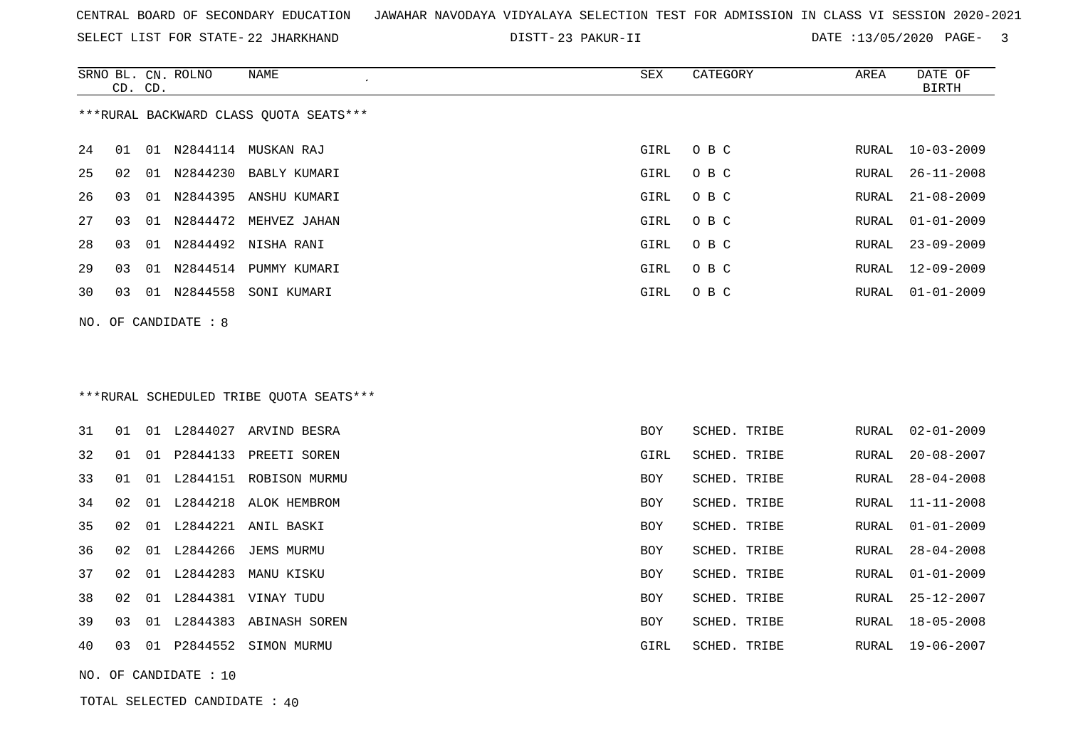|  |  |  |  | CENTRAL BOARD OF SECONDARY EDUCATION GJAWAHAR NAVODAYA VIDYALAYA SELECTION TEST FOR ADMISSION IN CLASS VI SESSION 2020-2021 |  |  |  |  |  |  |  |  |  |  |  |  |  |  |  |
|--|--|--|--|-----------------------------------------------------------------------------------------------------------------------------|--|--|--|--|--|--|--|--|--|--|--|--|--|--|--|
|--|--|--|--|-----------------------------------------------------------------------------------------------------------------------------|--|--|--|--|--|--|--|--|--|--|--|--|--|--|--|

SELECT LIST FOR STATE- DISTT- 22 JHARKHAND

23 PAKUR-II DATE :13/05/2020 PAGE- 3

|    |         | SRNO BL. CN. ROLNO     | NAME<br>$\epsilon$                     | SEX  | CATEGORY | AREA  | DATE OF          |
|----|---------|------------------------|----------------------------------------|------|----------|-------|------------------|
|    | CD. CD. |                        |                                        |      |          |       | BIRTH            |
|    |         |                        | ***RURAL BACKWARD CLASS OUOTA SEATS*** |      |          |       |                  |
| 24 | 01      |                        | 01 N2844114 MUSKAN RAJ                 | GIRL | O B C    | RURAL | 10-03-2009       |
| 25 | 02      |                        | 01 N2844230 BABLY KUMARI               | GIRL | O B C    | RURAL | 26-11-2008       |
| 26 | 03      |                        | 01 N2844395 ANSHU KUMARI               | GIRL | O B C    | RURAL | 21-08-2009       |
| 27 | 03      |                        | 01 N2844472 MEHVEZ JAHAN               | GIRL | O B C    | RURAL | $01 - 01 - 2009$ |
| 28 | 03      |                        | 01 N2844492 NISHA RANI                 | GIRL | O B C    | RURAL | $23 - 09 - 2009$ |
| 29 | 03      | 01 N2844514            | PUMMY KUMARI                           | GIRL | O B C    | RURAL | 12-09-2009       |
| 30 | 03      | 01 N2844558            | SONI KUMARI                            | GIRL | O B C    | RURAL | 01-01-2009       |
|    |         | NO. OF CANDIDATE $: 8$ |                                        |      |          |       |                  |
|    |         |                        |                                        |      |          |       |                  |

# \*\*\*RURAL SCHEDULED TRIBE QUOTA SEATS\*\*\*

| 31 | O 1 | 01    | L2844027 | ARVIND BESRA         | BOY        | SCHED. TRIBE | RURAL | $02 - 01 - 2009$ |
|----|-----|-------|----------|----------------------|------------|--------------|-------|------------------|
| 32 | 01  | O 1   | P2844133 | PREETI SOREN         | GIRL       | SCHED. TRIBE | RURAL | $20 - 08 - 2007$ |
| 33 | 01  | 01    | L2844151 | ROBISON MURMU        | <b>BOY</b> | SCHED. TRIBE | RURAL | $28 - 04 - 2008$ |
| 34 | 02  | . በ 1 | L2844218 | ALOK HEMBROM         | <b>BOY</b> | SCHED. TRIBE | RURAL | 11-11-2008       |
| 35 | 02  | 01    | L2844221 | ANIL BASKI           | BOY        | SCHED. TRIBE | RURAL | $01 - 01 - 2009$ |
| 36 | 02  | 01    | L2844266 | JEMS MURMU           | <b>BOY</b> | SCHED. TRIBE | RURAL | $28 - 04 - 2008$ |
| 37 | 02  | 01    | L2844283 | MANU KISKU           | <b>BOY</b> | SCHED. TRIBE | RURAL | $01 - 01 - 2009$ |
| 38 | 02  | 01    | L2844381 | VINAY TUDU           | <b>BOY</b> | SCHED. TRIBE | RURAL | $25 - 12 - 2007$ |
| 39 | 03  | . በ 1 | L2844383 | ABINASH SOREN        | <b>BOY</b> | SCHED. TRIBE | RURAL | 18-05-2008       |
| 40 | 03  | 01    |          | P2844552 SIMON MURMU | GIRL       | SCHED. TRIBE | RURAL | 19-06-2007       |

NO. OF CANDIDATE : 10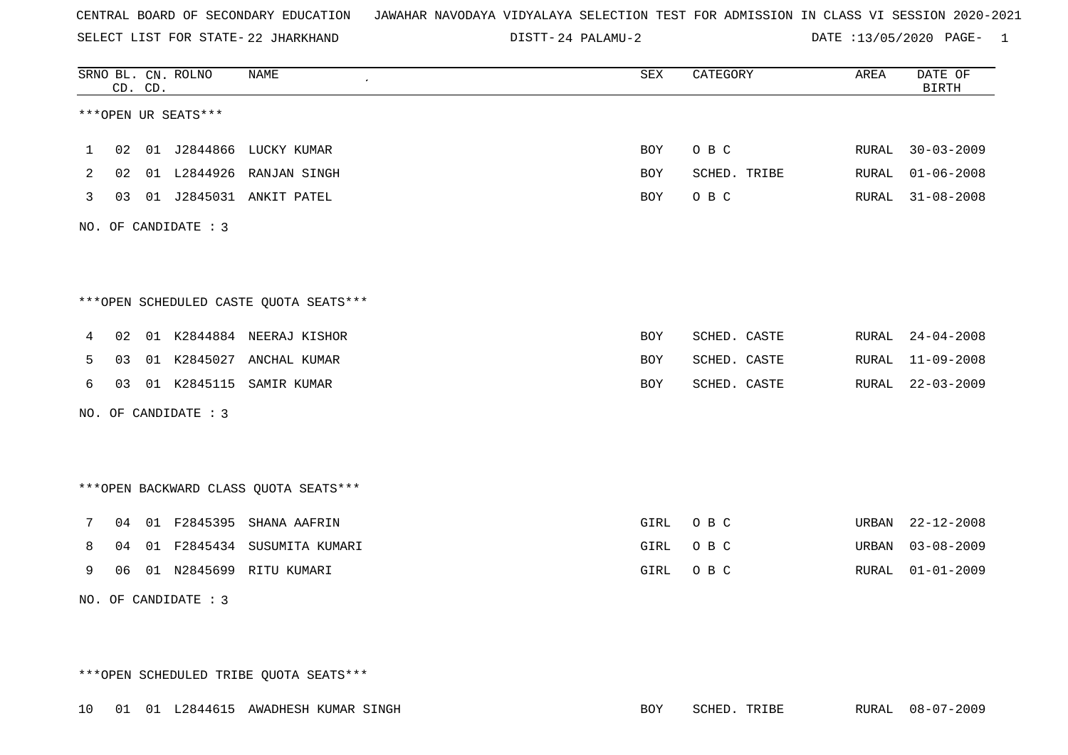SELECT LIST FOR STATE- DISTT- 22 JHARKHAND

24 PALAMU-2 DATE :13/05/2020 PAGE- 1

|   |    | CD. CD. | SRNO BL. CN. ROLNO   | <b>NAME</b>                            | SEX        | CATEGORY     | AREA  | DATE OF<br>BIRTH |
|---|----|---------|----------------------|----------------------------------------|------------|--------------|-------|------------------|
|   |    |         | ***OPEN UR SEATS***  |                                        |            |              |       |                  |
| 1 |    |         |                      | 02 01 J2844866 LUCKY KUMAR             | BOY        | O B C        |       | RURAL 30-03-2009 |
| 2 | 02 |         |                      | 01 L2844926 RANJAN SINGH               | BOY        | SCHED. TRIBE | RURAL | $01 - 06 - 2008$ |
| 3 | 03 |         |                      | 01 J2845031 ANKIT PATEL                | BOY        | O B C        | RURAL | $31 - 08 - 2008$ |
|   |    |         | NO. OF CANDIDATE : 3 |                                        |            |              |       |                  |
|   |    |         |                      |                                        |            |              |       |                  |
|   |    |         |                      | ***OPEN SCHEDULED CASTE QUOTA SEATS*** |            |              |       |                  |
| 4 |    |         |                      | 02 01 K2844884 NEERAJ KISHOR           | BOY        | SCHED. CASTE | RURAL | $24 - 04 - 2008$ |
| 5 | 03 |         |                      | 01 K2845027 ANCHAL KUMAR               | BOY        | SCHED. CASTE | RURAL | $11 - 09 - 2008$ |
| 6 |    |         |                      | 03 01 K2845115 SAMIR KUMAR             | <b>BOY</b> | SCHED. CASTE | RURAL | $22 - 03 - 2009$ |
|   |    |         | NO. OF CANDIDATE : 3 |                                        |            |              |       |                  |
|   |    |         |                      |                                        |            |              |       |                  |
|   |    |         |                      | *** OPEN BACKWARD CLASS QUOTA SEATS*** |            |              |       |                  |
| 7 |    |         |                      | 04 01 F2845395 SHANA AAFRIN            | GIRL       | O B C        | URBAN | $22 - 12 - 2008$ |
| 8 | 04 |         |                      | 01 F2845434 SUSUMITA KUMARI            | GIRL       | O B C        | URBAN | $03 - 08 - 2009$ |
| 9 | 06 |         |                      | 01 N2845699 RITU KUMARI                | GIRL       | O B C        | RURAL | $01 - 01 - 2009$ |
|   |    |         | NO. OF CANDIDATE : 3 |                                        |            |              |       |                  |

\*\*\*OPEN SCHEDULED TRIBE QUOTA SEATS\*\*\*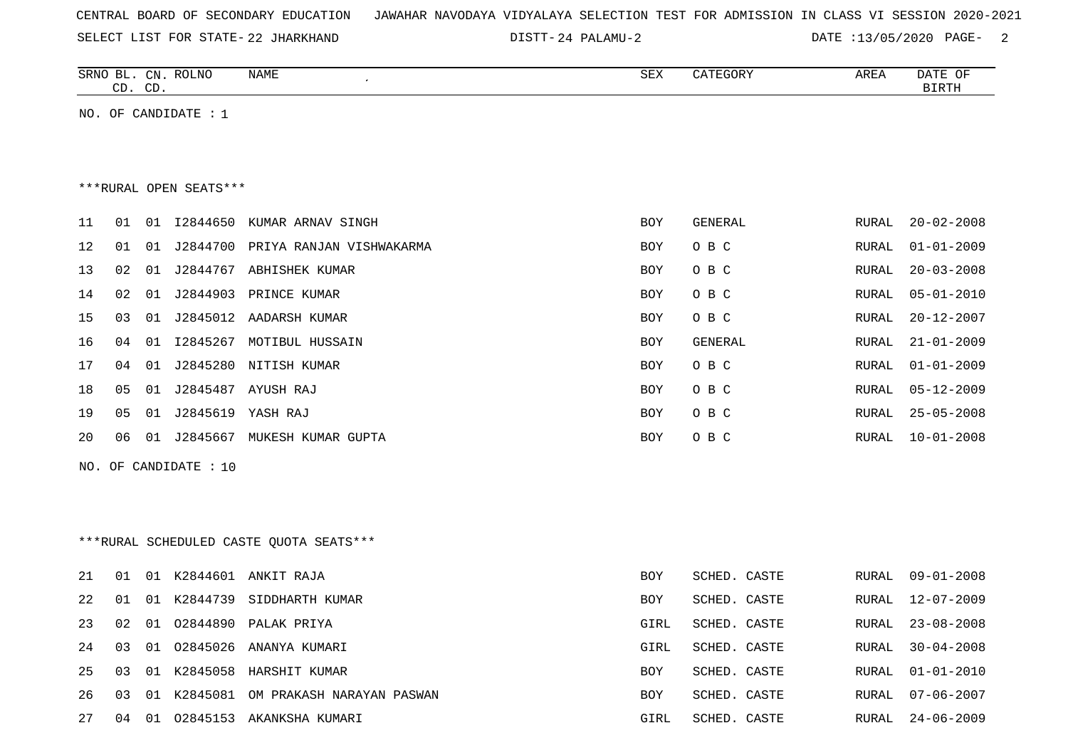|  |  |  |  | CENTRAL BOARD OF SECONDARY EDUCATION – JAWAHAR NAVODAYA VIDYALAYA SELECTION TEST FOR ADMISSION IN CLASS VI SESSION 2020-2021 |  |  |  |  |  |  |  |  |  |  |  |  |  |  |
|--|--|--|--|------------------------------------------------------------------------------------------------------------------------------|--|--|--|--|--|--|--|--|--|--|--|--|--|--|
|--|--|--|--|------------------------------------------------------------------------------------------------------------------------------|--|--|--|--|--|--|--|--|--|--|--|--|--|--|

SELECT LIST FOR STATE- DISTT- 22 JHARKHAND

24 PALAMU-2 DATE :13/05/2020 PAGE- 2

| ROLNC<br>SRNO<br>$\mathcal{C}N$<br>$\sim$ | NAME | SEX | GUR | א החרי<br>ARLA | DATE<br>OF |
|-------------------------------------------|------|-----|-----|----------------|------------|
| $\cap$ T<br>∼<br>◡◡<br>ىت                 |      |     |     |                | חס         |

NO. OF CANDIDATE : 1

#### \*\*\*RURAL OPEN SEATS\*\*\*

| 11 | 01 | . O 1 | I2844650 | KUMAR ARNAV SINGH        | <b>BOY</b> | GENERAL | RURAL | $20 - 02 - 2008$ |
|----|----|-------|----------|--------------------------|------------|---------|-------|------------------|
| 12 | 01 | 01    | J2844700 | PRIYA RANJAN VISHWAKARMA | <b>BOY</b> | O B C   | RURAL | $01 - 01 - 2009$ |
| 13 | 02 | 01    | J2844767 | ABHISHEK KUMAR           | <b>BOY</b> | O B C   | RURAL | $20 - 03 - 2008$ |
| 14 | 02 | 01    | J2844903 | PRINCE KUMAR             | <b>BOY</b> | O B C   | RURAL | 05-01-2010       |
| 15 | 03 | . N 1 | J2845012 | AADARSH KUMAR            | <b>BOY</b> | O B C   | RURAL | $20 - 12 - 2007$ |
| 16 | 04 | . N 1 | I2845267 | MOTIBUL HUSSAIN          | BOY        | GENERAL | RURAL | $21 - 01 - 2009$ |
| 17 | 04 | O 1   | J2845280 | NITISH KUMAR             | <b>BOY</b> | O B C   | RURAL | 01-01-2009       |
| 18 | 05 | 01    | J2845487 | AYUSH RAJ                | <b>BOY</b> | O B C   | RURAL | $05 - 12 - 2009$ |
| 19 | 05 | -01   | J2845619 | YASH RAJ                 | <b>BOY</b> | O B C   | RURAL | $25 - 05 - 2008$ |
| 20 | 06 | . N 1 | J2845667 | MUKESH KUMAR GUPTA       | BOY        | O B C   | RURAL | $10 - 01 - 2008$ |
|    |    |       |          |                          |            |         |       |                  |

NO. OF CANDIDATE : 10

\*\*\*RURAL SCHEDULED CASTE QUOTA SEATS\*\*\*

| 21  | 01             |      |          | 01 K2844601 ANKIT RAJA      | <b>BOY</b> | SCHED. CASTE |  | RURAL 09-01-2008 |
|-----|----------------|------|----------|-----------------------------|------------|--------------|--|------------------|
| 2.2 | 01             |      |          | 01 K2844739 SIDDHARTH KUMAR | <b>BOY</b> | SCHED. CASTE |  | RURAL 12-07-2009 |
| 23  | 02             |      |          | 01 02844890 PALAK PRIYA     | GIRL       | SCHED. CASTE |  | RURAL 23-08-2008 |
| 2.4 | 0 <sub>3</sub> |      |          | 01 02845026 ANANYA KUMARI   | GIRL       | SCHED. CASTE |  | RURAL 30-04-2008 |
| 25  | 03             |      |          | 01 K2845058 HARSHIT KUMAR   | BOY.       | SCHED. CASTE |  | RURAL 01-01-2010 |
| 26  | 03 01          |      | K2845081 | OM PRAKASH NARAYAN PASWAN   | <b>BOY</b> | SCHED. CASTE |  | RURAL 07-06-2007 |
| 27  | 04             | - 01 | 02845153 | AKANKSHA KUMARI             | GIRL       | SCHED. CASTE |  | RURAL 24-06-2009 |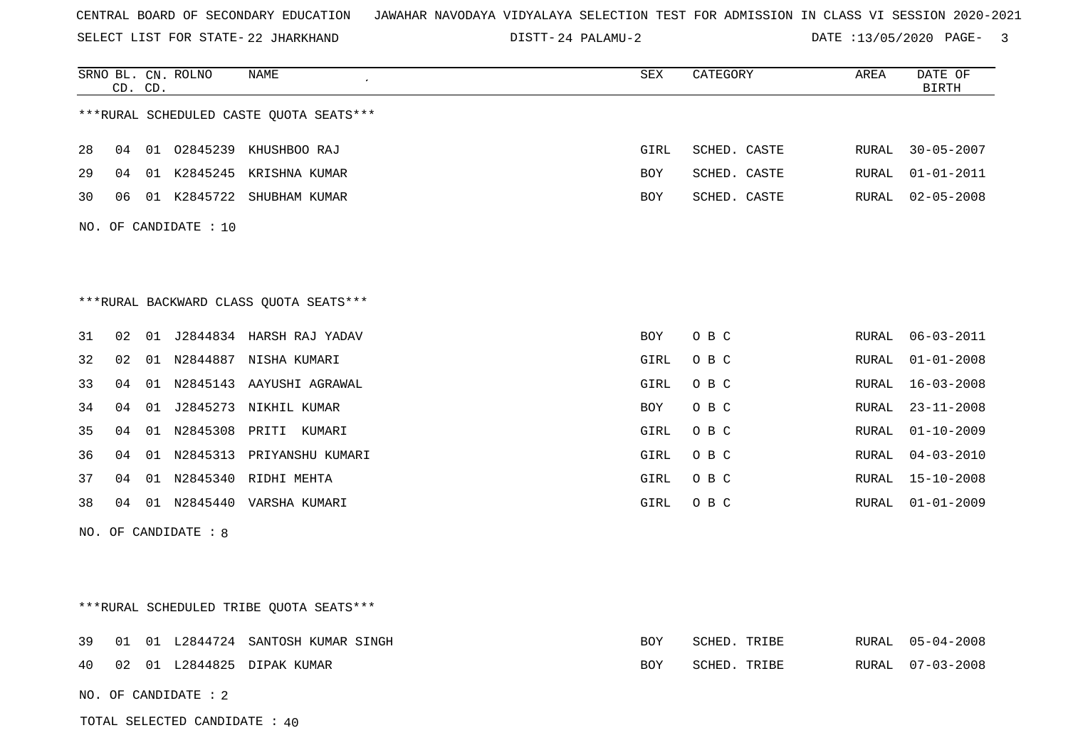SELECT LIST FOR STATE- DISTT- 22 JHARKHAND

24 PALAMU-2 DATE :13/05/2020 PAGE- 3

|    |                 | CD. CD. | SRNO BL. CN. ROLNO    | NAME                                    | SEX        | CATEGORY     | AREA  | DATE OF<br><b>BIRTH</b> |
|----|-----------------|---------|-----------------------|-----------------------------------------|------------|--------------|-------|-------------------------|
|    |                 |         |                       | ***RURAL SCHEDULED CASTE QUOTA SEATS*** |            |              |       |                         |
| 28 | 04              |         |                       | 01 02845239 KHUSHBOO RAJ                | GIRL       | SCHED. CASTE | RURAL | $30 - 05 - 2007$        |
| 29 | 04              |         |                       | 01 K2845245 KRISHNA KUMAR               | BOY        | SCHED. CASTE | RURAL | $01 - 01 - 2011$        |
| 30 | 06              |         |                       | 01 K2845722 SHUBHAM KUMAR               | BOY        | SCHED. CASTE | RURAL | $02 - 05 - 2008$        |
|    |                 |         | NO. OF CANDIDATE : 10 |                                         |            |              |       |                         |
|    |                 |         |                       |                                         |            |              |       |                         |
|    |                 |         |                       |                                         |            |              |       |                         |
|    |                 |         |                       | ***RURAL BACKWARD CLASS QUOTA SEATS***  |            |              |       |                         |
| 31 | 02              |         |                       | 01 J2844834 HARSH RAJ YADAV             | <b>BOY</b> | O B C        | RURAL | $06 - 03 - 2011$        |
| 32 | 02 <sub>o</sub> |         |                       | 01 N2844887 NISHA KUMARI                | GIRL       | O B C        | RURAL | $01 - 01 - 2008$        |
| 33 | 04              |         |                       | 01 N2845143 AAYUSHI AGRAWAL             | GIRL       | O B C        | RURAL | $16 - 03 - 2008$        |
| 34 | 04              |         |                       | 01 J2845273 NIKHIL KUMAR                | BOY        | O B C        | RURAL | $23 - 11 - 2008$        |
| 35 | 04              |         |                       | 01 N2845308 PRITI KUMARI                | GIRL       | O B C        | RURAL | $01 - 10 - 2009$        |
| 36 | 04              |         |                       | 01 N2845313 PRIYANSHU KUMARI            | GIRL       | O B C        | RURAL | $04 - 03 - 2010$        |
| 37 | 04              |         |                       | 01 N2845340 RIDHI MEHTA                 | GIRL       | O B C        | RURAL | $15 - 10 - 2008$        |
| 38 |                 |         |                       | 04 01 N2845440 VARSHA KUMARI            | GIRL       | O B C        | RURAL | $01 - 01 - 2009$        |
|    |                 |         | NO. OF CANDIDATE : 8  |                                         |            |              |       |                         |
|    |                 |         |                       |                                         |            |              |       |                         |
|    |                 |         |                       |                                         |            |              |       |                         |
|    |                 |         |                       | ***RURAL SCHEDULED TRIBE QUOTA SEATS*** |            |              |       |                         |
| 39 | 01              |         |                       | 01 L2844724 SANTOSH KUMAR SINGH         | <b>BOY</b> | SCHED. TRIBE | RURAL | $05 - 04 - 2008$        |
| 40 |                 |         |                       | 02 01 L2844825 DIPAK KUMAR              | BOY        | SCHED. TRIBE | RURAL | $07 - 03 - 2008$        |
|    |                 |         | NO. OF CANDIDATE : 2  |                                         |            |              |       |                         |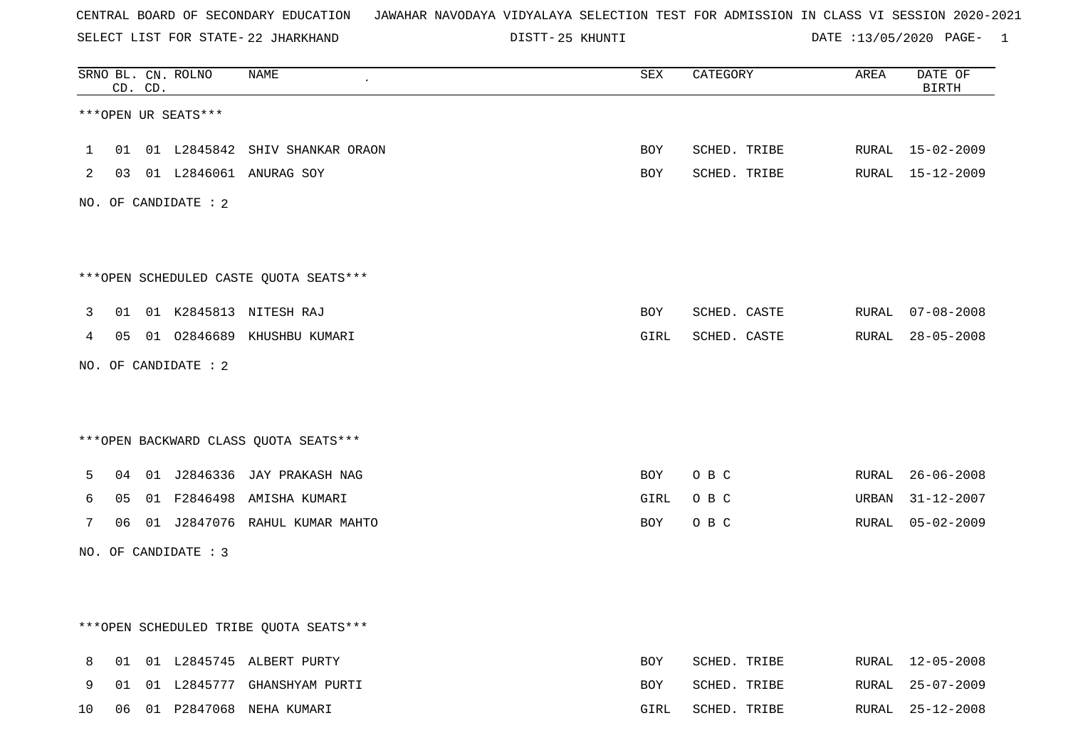SELECT LIST FOR STATE- DISTT- 22 JHARKHAND

25 KHUNTI DATE :13/05/2020 PAGE- 1

|              |    | CD. CD. | SRNO BL. CN. ROLNO   | <b>NAME</b>                            | ${\tt SEX}$ | CATEGORY     | AREA  | DATE OF<br><b>BIRTH</b> |
|--------------|----|---------|----------------------|----------------------------------------|-------------|--------------|-------|-------------------------|
|              |    |         | ***OPEN UR SEATS***  |                                        |             |              |       |                         |
| $\mathbf{1}$ |    |         |                      | 01 01 L2845842 SHIV SHANKAR ORAON      | <b>BOY</b>  | SCHED. TRIBE |       | RURAL 15-02-2009        |
| 2            |    |         |                      | 03 01 L2846061 ANURAG SOY              | BOY         | SCHED. TRIBE | RURAL | 15-12-2009              |
|              |    |         | NO. OF CANDIDATE : 2 |                                        |             |              |       |                         |
|              |    |         |                      | ***OPEN SCHEDULED CASTE QUOTA SEATS*** |             |              |       |                         |
| 3            | 01 |         |                      | 01 K2845813 NITESH RAJ                 | BOY         | SCHED. CASTE |       | RURAL 07-08-2008        |
| 4            |    |         |                      | 05 01 02846689 KHUSHBU KUMARI          | GIRL        | SCHED. CASTE |       | RURAL 28-05-2008        |
|              |    |         | NO. OF CANDIDATE : 2 |                                        |             |              |       |                         |
|              |    |         |                      | *** OPEN BACKWARD CLASS QUOTA SEATS*** |             |              |       |                         |
| 5            | 04 |         |                      | 01 J2846336 JAY PRAKASH NAG            | BOY         | O B C        | RURAL | $26 - 06 - 2008$        |
| 6            | 05 |         |                      | 01 F2846498 AMISHA KUMARI              | GIRL        | O B C        | URBAN | $31 - 12 - 2007$        |
| 7            | 06 |         |                      | 01 J2847076 RAHUL KUMAR MAHTO          | BOY         | O B C        | RURAL | $05 - 02 - 2009$        |
|              |    |         | NO. OF CANDIDATE : 3 |                                        |             |              |       |                         |
|              |    |         |                      |                                        |             |              |       |                         |
|              |    |         |                      | ***OPEN SCHEDULED TRIBE QUOTA SEATS*** |             |              |       |                         |
| 8            |    |         |                      | 01 01 L2845745 ALBERT PURTY            | BOY         | SCHED. TRIBE | RURAL | 12-05-2008              |
| 9            | 01 |         |                      | 01 L2845777 GHANSHYAM PURTI            | BOY         | SCHED. TRIBE | RURAL | $25 - 07 - 2009$        |
| 10           | 06 |         |                      | 01 P2847068 NEHA KUMARI                | GIRL        | SCHED. TRIBE | RURAL | $25 - 12 - 2008$        |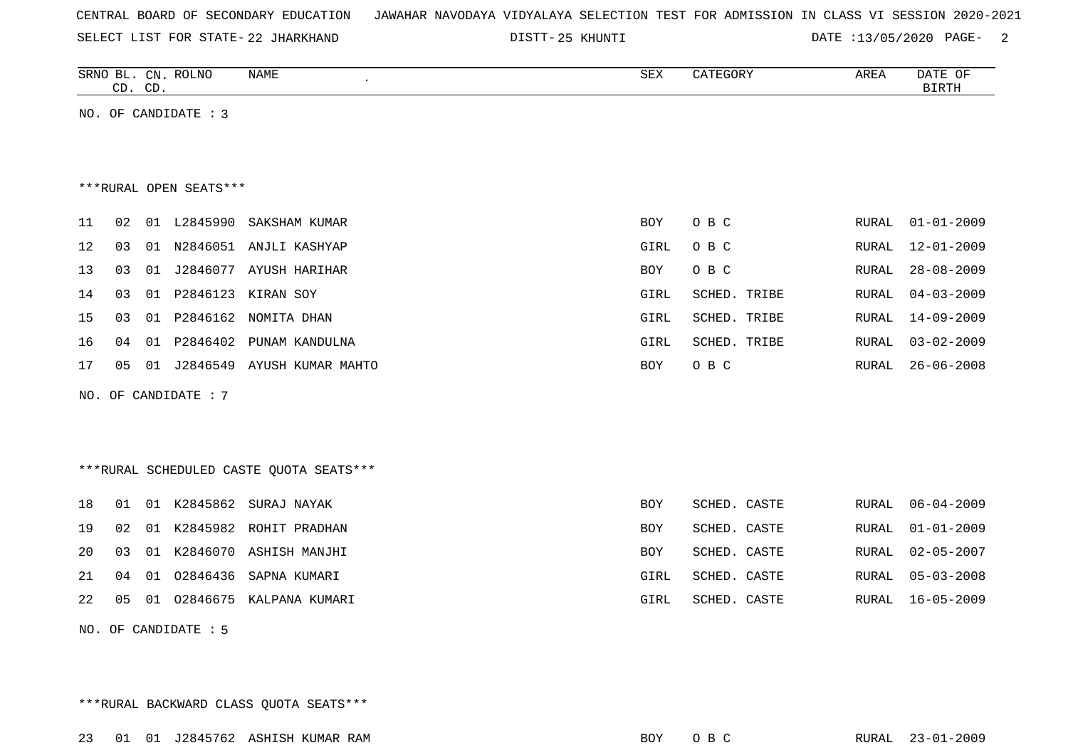| CENTRAL BOARD OF SECONDARY EDUCATION – JAWAHAR NAVODAYA VIDYALAYA SELECTION TEST FOR ADMISSION IN CLASS VI SESSION 2020-2021 |  |  |  |  |  |  |  |
|------------------------------------------------------------------------------------------------------------------------------|--|--|--|--|--|--|--|
|------------------------------------------------------------------------------------------------------------------------------|--|--|--|--|--|--|--|

SELECT LIST FOR STATE- DISTT- 22 JHARKHAND

25 KHUNTI DATE :13/05/2020 PAGE- 2

|    | CD. CD. |    | SRNO BL. CN. ROLNO     | <b>NAME</b>                             | <b>SEX</b> | CATEGORY     | AREA  | DATE OF<br><b>BIRTH</b> |
|----|---------|----|------------------------|-----------------------------------------|------------|--------------|-------|-------------------------|
|    |         |    | NO. OF CANDIDATE : 3   |                                         |            |              |       |                         |
|    |         |    |                        |                                         |            |              |       |                         |
|    |         |    |                        |                                         |            |              |       |                         |
|    |         |    | ***RURAL OPEN SEATS*** |                                         |            |              |       |                         |
| 11 | 02      |    | 01 L2845990            | SAKSHAM KUMAR                           | BOY        | O B C        | RURAL | $01 - 01 - 2009$        |
| 12 | 03      |    |                        | 01 N2846051 ANJLI KASHYAP               | GIRL       | O B C        | RURAL | $12 - 01 - 2009$        |
| 13 | 03      | 01 |                        | J2846077 AYUSH HARIHAR                  | <b>BOY</b> | O B C        | RURAL | $28 - 08 - 2009$        |
| 14 | 03      |    |                        | 01 P2846123 KIRAN SOY                   | GIRL       | SCHED. TRIBE | RURAL | $04 - 03 - 2009$        |
| 15 | 03      |    |                        | 01 P2846162 NOMITA DHAN                 | GIRL       | SCHED. TRIBE | RURAL | $14 - 09 - 2009$        |
| 16 | 04      |    |                        | 01 P2846402 PUNAM KANDULNA              | GIRL       | SCHED. TRIBE | RURAL | $03 - 02 - 2009$        |
| 17 | 05      | 01 |                        | J2846549 AYUSH KUMAR MAHTO              | <b>BOY</b> | O B C        | RURAL | $26 - 06 - 2008$        |
|    |         |    | NO. OF CANDIDATE : 7   |                                         |            |              |       |                         |
|    |         |    |                        |                                         |            |              |       |                         |
|    |         |    |                        |                                         |            |              |       |                         |
|    |         |    |                        | ***RURAL SCHEDULED CASTE QUOTA SEATS*** |            |              |       |                         |
| 18 | 01      |    | 01 K2845862            | SURAJ NAYAK                             | <b>BOY</b> | SCHED. CASTE | RURAL | $06 - 04 - 2009$        |
| 19 | 02      |    |                        | 01 K2845982 ROHIT PRADHAN               | <b>BOY</b> | SCHED. CASTE | RURAL | $01 - 01 - 2009$        |
| 20 | 03      | 01 |                        | K2846070 ASHISH MANJHI                  | <b>BOY</b> | SCHED. CASTE | RURAL | $02 - 05 - 2007$        |
| 21 | 04      | 01 | 02846436               | SAPNA KUMARI                            | GIRL       | SCHED. CASTE | RURAL | $05 - 03 - 2008$        |
| 22 | 05      | 01 |                        | 02846675 KALPANA KUMARI                 | GIRL       | SCHED. CASTE | RURAL | $16 - 05 - 2009$        |

NO. OF CANDIDATE : 5

\*\*\*RURAL BACKWARD CLASS QUOTA SEATS\*\*\*

23 01 01 J2845762 ASHISH KUMAR RAM BOY O B C RURAL 23-01-2009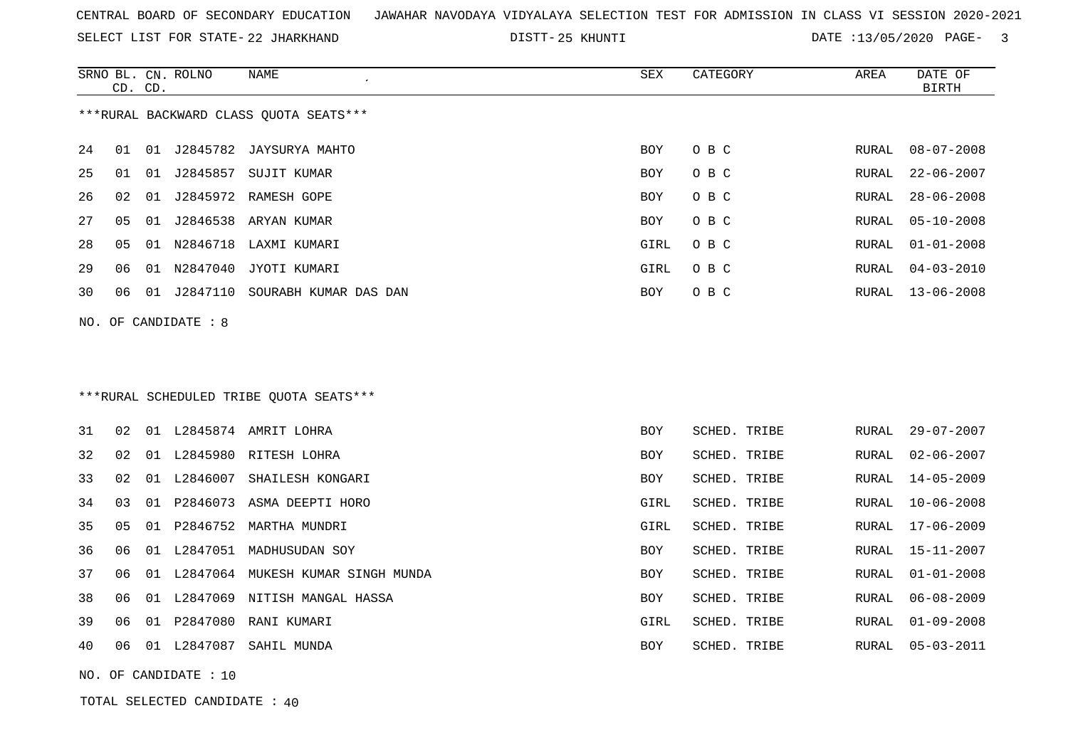SELECT LIST FOR STATE- DISTT- 22 JHARKHAND

25 KHUNTI DATE :13/05/2020 PAGE- 3

SCHED. TRIBE RURAL 01-01-2008

SCHED. TRIBE RURAL 06-08-2009

|     |    | CD. CD. | SRNO BL. CN. ROLNO | <b>NAME</b>                              | <b>SEX</b> | CATEGORY     | AREA  | DATE OF<br><b>BIRTH</b> |
|-----|----|---------|--------------------|------------------------------------------|------------|--------------|-------|-------------------------|
|     |    |         |                    | *** RURAL BACKWARD CLASS QUOTA SEATS***  |            |              |       |                         |
| 24  | 01 | 01      | J2845782           | JAYSURYA MAHTO                           | <b>BOY</b> | O B C        | RURAL | $08 - 07 - 2008$        |
| 25  | 01 | 01      | J2845857           | SUJIT KUMAR                              | <b>BOY</b> | O B C        | RURAL | $22 - 06 - 2007$        |
| 26  | 02 | 01      | J2845972           | RAMESH GOPE                              | <b>BOY</b> | O B C        | RURAL | $28 - 06 - 2008$        |
| 27  | 05 | 01      |                    | J2846538 ARYAN KUMAR                     | BOY        | O B C        | RURAL | $05 - 10 - 2008$        |
| 28  | 05 |         |                    | 01 N2846718 LAXMI KUMARI                 | GIRL       | O B C        | RURAL | $01 - 01 - 2008$        |
| 29  | 06 |         | 01 N2847040        | JYOTI KUMARI                             | GIRL       | O B C        | RURAL | $04 - 03 - 2010$        |
| 30  | 06 | 01      | J2847110           | SOURABH KUMAR DAS DAN                    | <b>BOY</b> | O B C        | RURAL | $13 - 06 - 2008$        |
| NO. |    |         | OF CANDIDATE : 8   |                                          |            |              |       |                         |
|     |    |         |                    |                                          |            |              |       |                         |
|     |    |         |                    |                                          |            |              |       |                         |
|     |    |         |                    | *** RURAL SCHEDULED TRIBE QUOTA SEATS*** |            |              |       |                         |
|     |    |         |                    |                                          |            |              |       |                         |
| 31  | 02 |         |                    | 01 L2845874 AMRIT LOHRA                  | <b>BOY</b> | SCHED. TRIBE | RURAL | $29 - 07 - 2007$        |
| 32  | 02 |         |                    | 01 L2845980 RITESH LOHRA                 | <b>BOY</b> | SCHED. TRIBE | RURAL | $02 - 06 - 2007$        |
| 33  | 02 | 01      | L2846007           | SHAILESH KONGARI                         | <b>BOY</b> | SCHED. TRIBE | RURAL | $14 - 05 - 2009$        |
| 34  | 03 |         |                    | 01 P2846073 ASMA DEEPTI HORO             | GIRL       | SCHED. TRIBE | RURAL | $10 - 06 - 2008$        |
| 35  | 05 | 01      | P2846752           | MARTHA MUNDRI                            | GIRL       | SCHED. TRIBE | RURAL | $17 - 06 - 2009$        |
| 36  | 06 |         |                    | 01 L2847051 MADHUSUDAN SOY               | <b>BOY</b> | SCHED. TRIBE | RURAL | $15 - 11 - 2007$        |

37 06 01 L2847064 MUKESH KUMAR SINGH MUNDA BOY SCHED. TRIBE ROY

38 06 01 L2847069 NITISH MANGAL HASSA SCHED. TRIBE ROY

39 06 01 P2847080 RANI KUMARI GIRL SCHED. TRIBE RURAL 01-09-2008

40 06 01 L2847087 SAHIL MUNDA BOY SCHED. TRIBE RURAL 05-03-2011

NO. OF CANDIDATE : 10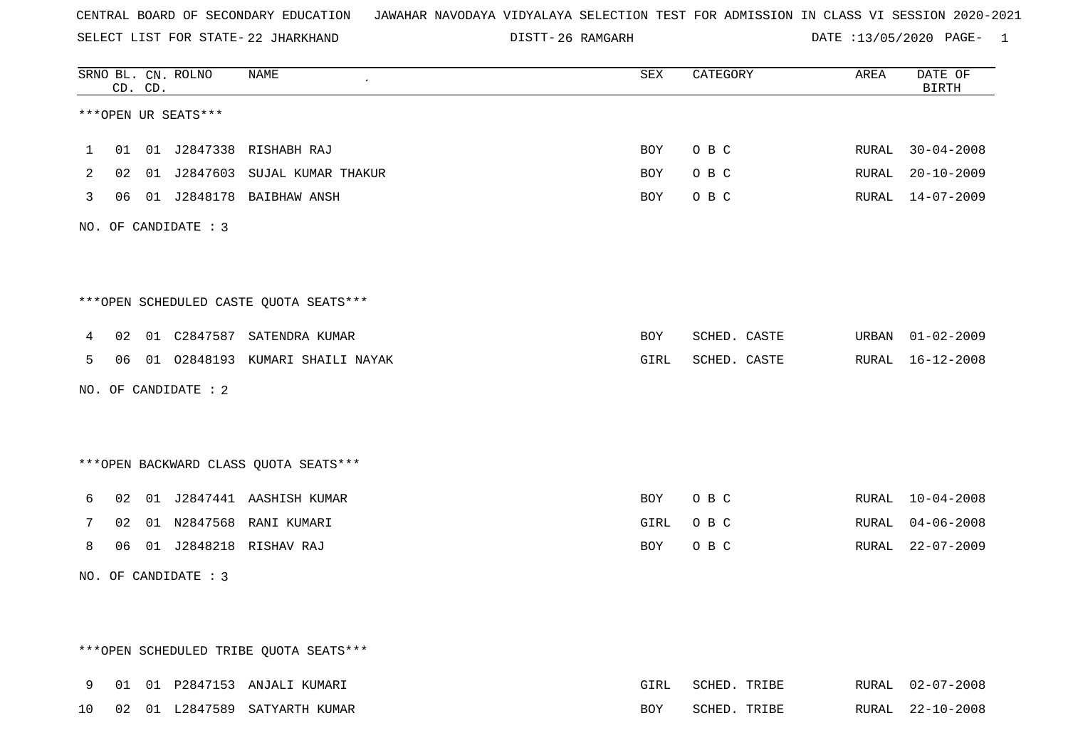SELECT LIST FOR STATE- DISTT- 22 JHARKHAND

26 RAMGARH DATE :13/05/2020 PAGE- 1

|                |    | CD. CD. | SRNO BL. CN. ROLNO   | NAME                                    | <b>SEX</b> | CATEGORY     | AREA  | DATE OF<br><b>BIRTH</b> |
|----------------|----|---------|----------------------|-----------------------------------------|------------|--------------|-------|-------------------------|
|                |    |         | ***OPEN UR SEATS***  |                                         |            |              |       |                         |
| 1              | 01 |         |                      | 01 J2847338 RISHABH RAJ                 | BOY        | O B C        | RURAL | $30 - 04 - 2008$        |
| $\overline{2}$ |    |         |                      | 02 01 J2847603 SUJAL KUMAR THAKUR       | BOY        | O B C        | RURAL | $20 - 10 - 2009$        |
| 3              | 06 |         |                      | 01 J2848178 BAIBHAW ANSH                | BOY        | O B C        | RURAL | $14 - 07 - 2009$        |
|                |    |         | NO. OF CANDIDATE : 3 |                                         |            |              |       |                         |
|                |    |         |                      |                                         |            |              |       |                         |
|                |    |         |                      | ***OPEN SCHEDULED CASTE QUOTA SEATS***  |            |              |       |                         |
| 4              | 02 |         |                      | 01 C2847587 SATENDRA KUMAR              | BOY        | SCHED. CASTE | URBAN | $01 - 02 - 2009$        |
| 5              |    |         |                      | 06 01 02848193 KUMARI SHAILI NAYAK      | GIRL       | SCHED. CASTE | RURAL | 16-12-2008              |
|                |    |         | NO. OF CANDIDATE : 2 |                                         |            |              |       |                         |
|                |    |         |                      |                                         |            |              |       |                         |
|                |    |         |                      | *** OPEN BACKWARD CLASS QUOTA SEATS *** |            |              |       |                         |
| 6              |    |         |                      | 02 01 J2847441 AASHISH KUMAR            | BOY        | O B C        |       | RURAL 10-04-2008        |
| 7              | 02 |         |                      | 01 N2847568 RANI KUMARI                 | GIRL       | O B C        | RURAL | $04 - 06 - 2008$        |
| 8              | 06 |         |                      | 01 J2848218 RISHAV RAJ                  | BOY        | O B C        | RURAL | 22-07-2009              |
|                |    |         | NO. OF CANDIDATE : 3 |                                         |            |              |       |                         |
|                |    |         |                      |                                         |            |              |       |                         |
|                |    |         |                      | ***OPEN SCHEDULED TRIBE QUOTA SEATS***  |            |              |       |                         |
|                |    |         |                      |                                         |            |              |       |                         |
| 9              |    |         |                      | 01 01 P2847153 ANJALI KUMARI            | GIRL       | SCHED. TRIBE |       | RURAL 02-07-2008        |

10 02 01 L2847589 SATYARTH KUMAR BOY SCHED. TRIBE RURAL 22-10-2008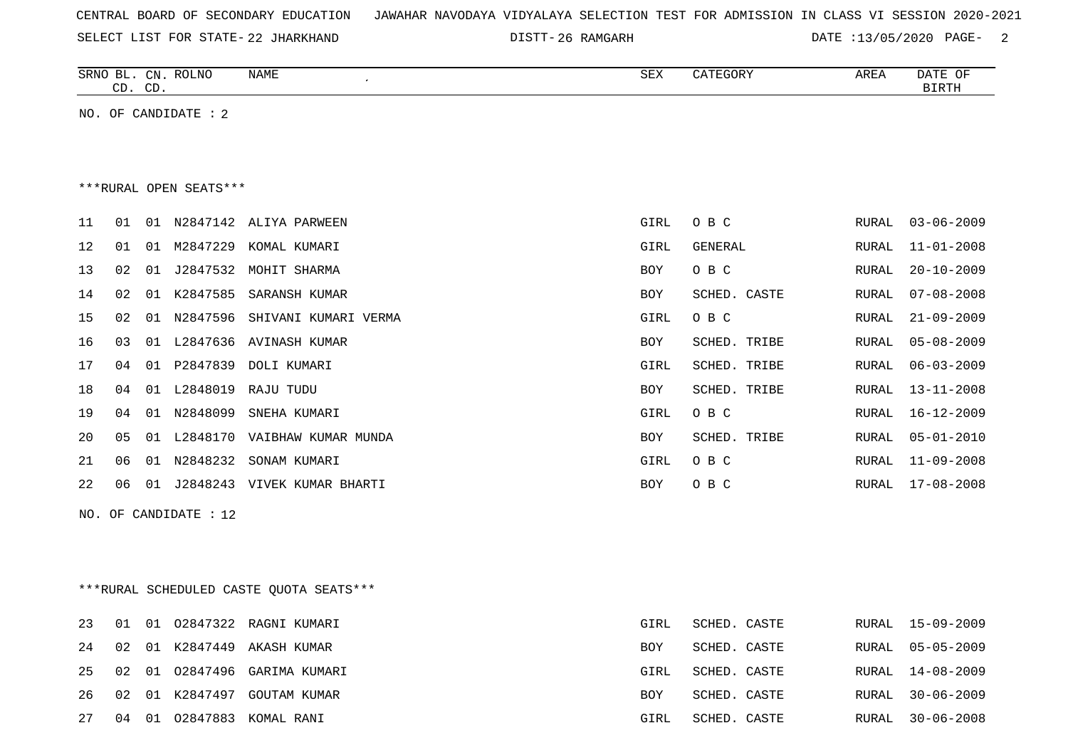| CENTRAL BOARD OF SECONDARY EDUCATION – JAWAHAR NAVODAYA VIDYALAYA SELECTION TEST FOR ADMISSION IN CLASS VI SESSION 2020-2021 |  |  |  |
|------------------------------------------------------------------------------------------------------------------------------|--|--|--|
|------------------------------------------------------------------------------------------------------------------------------|--|--|--|

SELECT LIST FOR STATE- DISTT- 22 JHARKHAND 26 RAMGARH DATE :13/05/2020 PAGE- 2

|    |    | CD. CD. | SRNO BL. CN. ROLNO     | <b>NAME</b><br>$\pmb{\cdot}$   | ${\tt SEX}$ | CATEGORY     | AREA          | DATE OF<br><b>BIRTH</b> |
|----|----|---------|------------------------|--------------------------------|-------------|--------------|---------------|-------------------------|
|    |    |         | NO. OF CANDIDATE : 2   |                                |             |              |               |                         |
|    |    |         |                        |                                |             |              |               |                         |
|    |    |         |                        |                                |             |              |               |                         |
|    |    |         | ***RURAL OPEN SEATS*** |                                |             |              |               |                         |
| 11 | 01 | 01      |                        | N2847142 ALIYA PARWEEN         | GIRL        | O B C        | RURAL         | $03 - 06 - 2009$        |
| 12 | 01 | 01      | M2847229               | KOMAL KUMARI                   | GIRL        | GENERAL      | ${\tt RURAL}$ | $11 - 01 - 2008$        |
| 13 | 02 | 01      | J2847532               | MOHIT SHARMA                   | BOY         | $O$ B $C$    | RURAL         | $20 - 10 - 2009$        |
| 14 | 02 | 01      | K2847585               | SARANSH KUMAR                  | BOY         | SCHED. CASTE | RURAL         | $07 - 08 - 2008$        |
| 15 | 02 | 01      | N2847596               | SHIVANI KUMARI VERMA           | GIRL        | O B C        | RURAL         | $21 - 09 - 2009$        |
| 16 | 03 | 01      | L2847636               | AVINASH KUMAR                  | BOY         | SCHED. TRIBE | RURAL         | $05 - 08 - 2009$        |
| 17 | 04 | 01      | P2847839               | DOLI KUMARI                    | GIRL        | SCHED. TRIBE | RURAL         | $06 - 03 - 2009$        |
| 18 | 04 | 01      | L2848019               | RAJU TUDU                      | BOY         | SCHED. TRIBE | RURAL         | $13 - 11 - 2008$        |
| 19 | 04 | 01      | N2848099               | SNEHA KUMARI                   | GIRL        | O B C        | RURAL         | $16 - 12 - 2009$        |
| 20 | 05 | 01      |                        | L2848170 VAIBHAW KUMAR MUNDA   | BOY         | SCHED. TRIBE | RURAL         | $05 - 01 - 2010$        |
| 21 | 06 | 01      | N2848232               | SONAM KUMARI                   | GIRL        | O B C        | RURAL         | $11 - 09 - 2008$        |
| 22 | 06 |         |                        | 01 J2848243 VIVEK KUMAR BHARTI | BOY         | O B C        | RURAL         | $17 - 08 - 2008$        |
|    |    |         | NO. OF CANDIDATE : 12  |                                |             |              |               |                         |
|    |    |         |                        |                                |             |              |               |                         |
|    |    |         |                        |                                |             |              |               |                         |
|    | .  |         |                        | --------                       |             |              |               |                         |

|  | ***RURAL SCHEDULED CASTE QUOTA SEATS*** |  |  |  |
|--|-----------------------------------------|--|--|--|
|--|-----------------------------------------|--|--|--|

|  |  | 23 01 01 02847322 RAGNI KUMARI  | GIRL       | SCHED. CASTE | RURAL 15-09-2009 |
|--|--|---------------------------------|------------|--------------|------------------|
|  |  | 24 02 01 K2847449 AKASH KUMAR   | BOY        | SCHED. CASTE | RURAL 05-05-2009 |
|  |  | 25 02 01 02847496 GARIMA KUMARI | GIRL       | SCHED. CASTE | RURAL 14-08-2009 |
|  |  | 26 02 01 K2847497 GOUTAM KUMAR  | <b>BOY</b> | SCHED. CASTE | RURAL 30-06-2009 |
|  |  | 27 04 01 02847883 KOMAL RANI    | GIRL       | SCHED. CASTE | RURAL 30-06-2008 |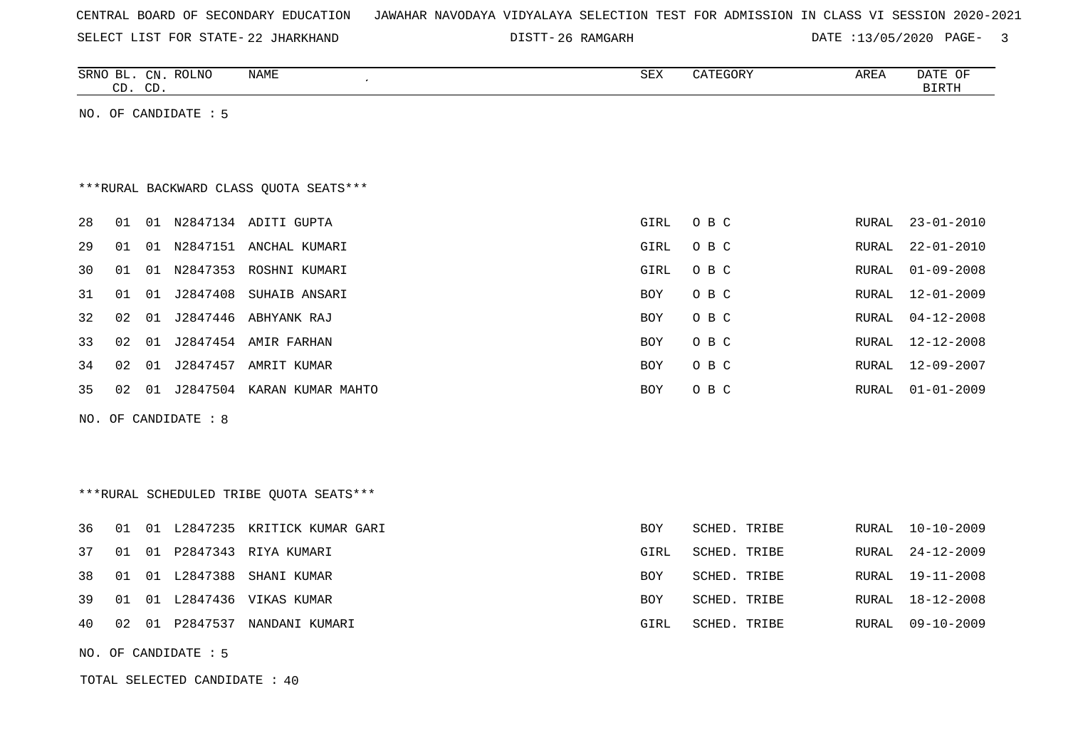| CENTRAL BOARD OF SECONDARY EDUCATION – JAWAHAR NAVODAYA VIDYALAYA SELECTION TEST FOR ADMISSION IN CLASS VI SESSION 2020-2021 |  |
|------------------------------------------------------------------------------------------------------------------------------|--|
|------------------------------------------------------------------------------------------------------------------------------|--|

SELECT LIST FOR STATE- DISTT- 22 JHARKHAND

DISTT-26 RAMGARH DATE :13/05/2020 PAGE- 3

| SRNO BL. CN. ROLNO | CD. CD. |                               | NAME                                    | SEX        | CATEGORY     | AREA  | DATE OF<br><b>BIRTH</b> |
|--------------------|---------|-------------------------------|-----------------------------------------|------------|--------------|-------|-------------------------|
|                    |         | NO. OF CANDIDATE : 5          |                                         |            |              |       |                         |
|                    |         |                               |                                         |            |              |       |                         |
|                    |         |                               | *** RURAL BACKWARD CLASS QUOTA SEATS*** |            |              |       |                         |
|                    |         |                               |                                         |            |              |       |                         |
| 28<br>01           |         |                               | 01 N2847134 ADITI GUPTA                 | GIRL       | O B C        | RURAL | $23 - 01 - 2010$        |
| 29<br>01           |         |                               | 01 N2847151 ANCHAL KUMARI               | GIRL       | O B C        | RURAL | $22 - 01 - 2010$        |
| 30<br>01           |         |                               | 01 N2847353 ROSHNI KUMARI               | GIRL       | O B C        | RURAL | $01 - 09 - 2008$        |
| 31<br>01           |         |                               | 01 J2847408 SUHAIB ANSARI               | <b>BOY</b> | O B C        | RURAL | $12 - 01 - 2009$        |
| 32<br>02           | 01      |                               | J2847446 ABHYANK RAJ                    | <b>BOY</b> | O B C        | RURAL | $04 - 12 - 2008$        |
| 33<br>02           |         |                               | 01 J2847454 AMIR FARHAN                 | <b>BOY</b> | O B C        | RURAL | $12 - 12 - 2008$        |
| 02<br>34           | 01      |                               | J2847457 AMRIT KUMAR                    | BOY        | O B C        | RURAL | $12 - 09 - 2007$        |
| 35<br>02           |         |                               | 01 J2847504 KARAN KUMAR MAHTO           | <b>BOY</b> | O B C        | RURAL | $01 - 01 - 2009$        |
|                    |         | NO. OF CANDIDATE : 8          |                                         |            |              |       |                         |
|                    |         |                               |                                         |            |              |       |                         |
|                    |         |                               |                                         |            |              |       |                         |
|                    |         |                               | ***RURAL SCHEDULED TRIBE QUOTA SEATS*** |            |              |       |                         |
| 36<br>01           |         |                               | 01 L2847235 KRITICK KUMAR GARI          | <b>BOY</b> | SCHED. TRIBE | RURAL | $10 - 10 - 2009$        |
| 37<br>01           |         |                               | 01 P2847343 RIYA KUMARI                 | GIRL       | SCHED. TRIBE | RURAL | $24 - 12 - 2009$        |
| 38<br>01           |         | 01 L2847388                   | SHANI KUMAR                             | <b>BOY</b> | SCHED. TRIBE | RURAL | $19 - 11 - 2008$        |
| 39<br>01           |         |                               | 01 L2847436 VIKAS KUMAR                 | <b>BOY</b> | SCHED. TRIBE | RURAL | 18-12-2008              |
| 40<br>02           |         |                               | 01 P2847537 NANDANI KUMARI              | GIRL       | SCHED. TRIBE | RURAL | $09 - 10 - 2009$        |
|                    |         | NO. OF CANDIDATE : 5          |                                         |            |              |       |                         |
|                    |         | TOTAL SELECTED CANDIDATE : 40 |                                         |            |              |       |                         |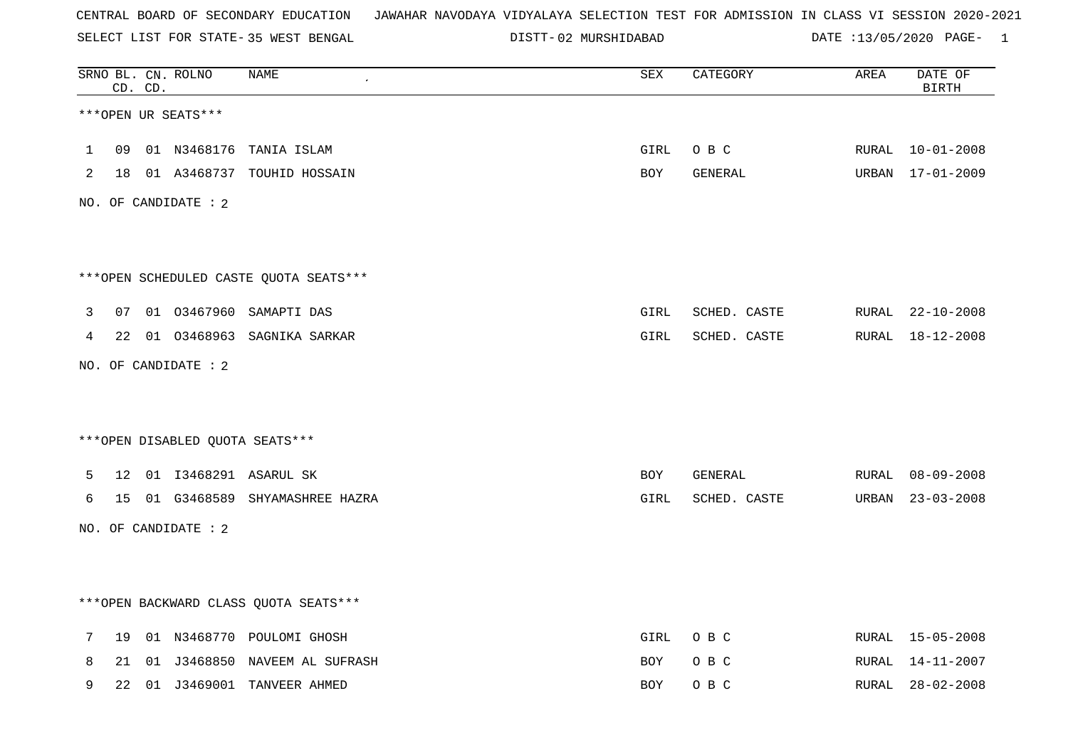SELECT LIST FOR STATE- DISTT- 35 WEST BENGAL

02 MURSHIDABAD DATE :13/05/2020 PAGE- 1

|   |    | CD. CD. | SRNO BL. CN. ROLNO   | <b>NAME</b>                            | ${\tt SEX}$ | CATEGORY     | AREA  | DATE OF<br><b>BIRTH</b> |
|---|----|---------|----------------------|----------------------------------------|-------------|--------------|-------|-------------------------|
|   |    |         | ***OPEN UR SEATS***  |                                        |             |              |       |                         |
| 1 | 09 |         |                      | 01 N3468176 TANIA ISLAM                | GIRL        | O B C        | RURAL | $10 - 01 - 2008$        |
| 2 |    |         |                      | 18 01 A3468737 TOUHID HOSSAIN          | BOY         | GENERAL      |       | URBAN 17-01-2009        |
|   |    |         | NO. OF CANDIDATE : 2 |                                        |             |              |       |                         |
|   |    |         |                      | ***OPEN SCHEDULED CASTE QUOTA SEATS*** |             |              |       |                         |
| 3 | 07 |         |                      | 01 03467960 SAMAPTI DAS                | GIRL        | SCHED. CASTE |       | RURAL 22-10-2008        |
| 4 |    |         |                      | 22 01 03468963 SAGNIKA SARKAR          | GIRL        | SCHED. CASTE | RURAL | $18 - 12 - 2008$        |
|   |    |         | NO. OF CANDIDATE : 2 |                                        |             |              |       |                         |
|   |    |         |                      |                                        |             |              |       |                         |
|   |    |         |                      | ***OPEN DISABLED QUOTA SEATS***        |             |              |       |                         |
| 5 |    |         |                      | 12 01 I3468291 ASARUL SK               | <b>BOY</b>  | GENERAL      | RURAL | 08-09-2008              |
| 6 | 15 |         |                      | 01 G3468589 SHYAMASHREE HAZRA          | GIRL        | SCHED. CASTE | URBAN | $23 - 03 - 2008$        |
|   |    |         | NO. OF CANDIDATE : 2 |                                        |             |              |       |                         |
|   |    |         |                      |                                        |             |              |       |                         |
|   |    |         |                      | *** OPEN BACKWARD CLASS QUOTA SEATS*** |             |              |       |                         |
| 7 |    |         |                      | 19 01 N3468770 POULOMI GHOSH           | GIRL        | O B C        | RURAL | 15-05-2008              |
| 8 | 21 |         |                      | 01 J3468850 NAVEEM AL SUFRASH          | <b>BOY</b>  | O B C        | RURAL | 14-11-2007              |
| 9 | 22 |         |                      | 01 J3469001 TANVEER AHMED              | <b>BOY</b>  | O B C        | RURAL | $28 - 02 - 2008$        |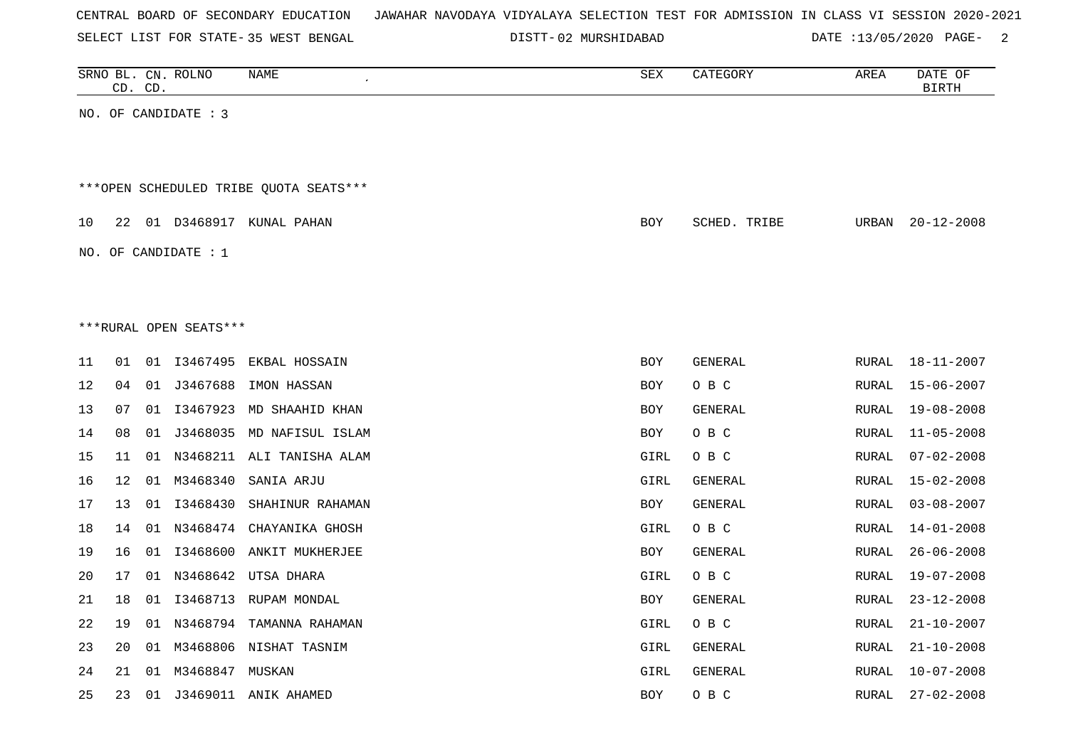| CENTRAL BOARD OF SECONDARY EDUCATION – JAWAHAR NAVODAYA VIDYALAYA SELECTION TEST FOR ADMISSION IN CLASS VI SESSION 2020-2021 |  |  |
|------------------------------------------------------------------------------------------------------------------------------|--|--|
|------------------------------------------------------------------------------------------------------------------------------|--|--|

SELECT LIST FOR STATE- DISTT- 35 WEST BENGAL

02 MURSHIDABAD DATE :13/05/2020 PAGE- 2

|    |                                        | CD. CD. | SRNO BL. CN. ROLNO     | NAME                         | SEX        | CATEGORY     | AREA  | DATE OF<br><b>BIRTH</b> |  |  |  |  |  |  |
|----|----------------------------------------|---------|------------------------|------------------------------|------------|--------------|-------|-------------------------|--|--|--|--|--|--|
|    |                                        |         | NO. OF CANDIDATE : 3   |                              |            |              |       |                         |  |  |  |  |  |  |
|    |                                        |         |                        |                              |            |              |       |                         |  |  |  |  |  |  |
|    | ***OPEN SCHEDULED TRIBE QUOTA SEATS*** |         |                        |                              |            |              |       |                         |  |  |  |  |  |  |
|    |                                        |         |                        |                              |            |              |       |                         |  |  |  |  |  |  |
| 10 |                                        |         |                        | 22 01 D3468917 KUNAL PAHAN   | BOY        | SCHED. TRIBE | URBAN | $20 - 12 - 2008$        |  |  |  |  |  |  |
|    |                                        |         | NO. OF CANDIDATE : 1   |                              |            |              |       |                         |  |  |  |  |  |  |
|    |                                        |         |                        |                              |            |              |       |                         |  |  |  |  |  |  |
|    |                                        |         |                        |                              |            |              |       |                         |  |  |  |  |  |  |
|    |                                        |         | ***RURAL OPEN SEATS*** |                              |            |              |       |                         |  |  |  |  |  |  |
| 11 | 01                                     |         |                        | 01 I3467495 EKBAL HOSSAIN    | <b>BOY</b> | GENERAL      | RURAL | $18 - 11 - 2007$        |  |  |  |  |  |  |
| 12 | 04                                     |         | 01 J3467688            | IMON HASSAN                  | <b>BOY</b> | O B C        | RURAL | $15 - 06 - 2007$        |  |  |  |  |  |  |
| 13 | 07                                     | 01      | I3467923               | MD SHAAHID KHAN              | <b>BOY</b> | GENERAL      | RURAL | $19 - 08 - 2008$        |  |  |  |  |  |  |
| 14 | 08                                     |         |                        | 01 J3468035 MD NAFISUL ISLAM | <b>BOY</b> | O B C        | RURAL | $11 - 05 - 2008$        |  |  |  |  |  |  |
| 15 | 11                                     | 01      |                        | N3468211 ALI TANISHA ALAM    | GIRL       | O B C        | RURAL | $07 - 02 - 2008$        |  |  |  |  |  |  |
| 16 | 12                                     | 01      | M3468340               | SANIA ARJU                   | GIRL       | GENERAL      | RURAL | $15 - 02 - 2008$        |  |  |  |  |  |  |
| 17 | 13                                     |         | 01 13468430            | SHAHINUR RAHAMAN             | BOY        | GENERAL      | RURAL | $03 - 08 - 2007$        |  |  |  |  |  |  |
| 18 | 14                                     | 01      |                        | N3468474 CHAYANIKA GHOSH     | GIRL       | O B C        | RURAL | $14 - 01 - 2008$        |  |  |  |  |  |  |
| 19 | 16                                     | 01      |                        | 13468600 ANKIT MUKHERJEE     | BOY        | GENERAL      | RURAL | $26 - 06 - 2008$        |  |  |  |  |  |  |
| 20 | 17                                     | 01      |                        | N3468642 UTSA DHARA          | GIRL       | O B C        | RURAL | 19-07-2008              |  |  |  |  |  |  |
| 21 | 18                                     | 01      |                        | I3468713 RUPAM MONDAL        | BOY        | GENERAL      | RURAL | $23 - 12 - 2008$        |  |  |  |  |  |  |
| 22 | 19                                     |         |                        | 01 N3468794 TAMANNA RAHAMAN  | GIRL       | O B C        | RURAL | $21 - 10 - 2007$        |  |  |  |  |  |  |
| 23 | 20                                     | 01      |                        | M3468806 NISHAT TASNIM       | GIRL       | GENERAL      | RURAL | $21 - 10 - 2008$        |  |  |  |  |  |  |
| 24 | 21                                     | 01      | M3468847 MUSKAN        |                              | GIRL       | GENERAL      | RURAL | $10 - 07 - 2008$        |  |  |  |  |  |  |
| 25 | 23                                     | 01      |                        | J3469011 ANIK AHAMED         | <b>BOY</b> | O B C        | RURAL | $27 - 02 - 2008$        |  |  |  |  |  |  |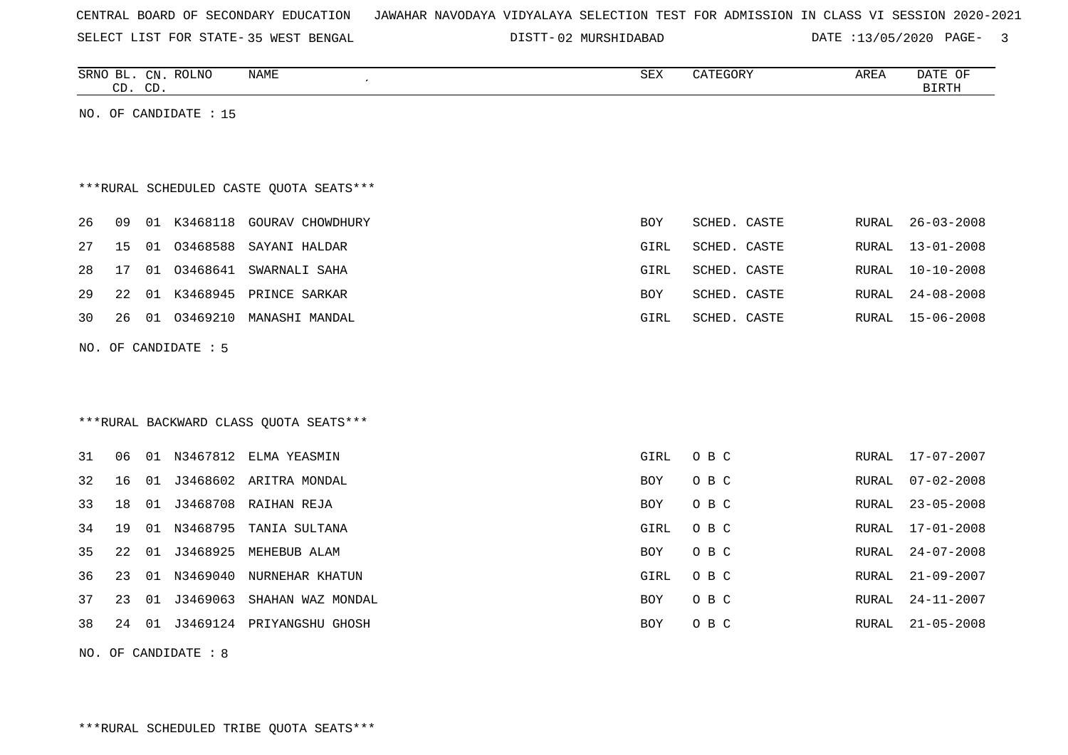| CENTRAL BOARD OF SECONDARY EDUCATION – JAWAHAR NAVODAYA VIDYALAYA SELECTION TEST FOR ADMISSION IN CLASS VI SESSION 2020-2021 |
|------------------------------------------------------------------------------------------------------------------------------|
|------------------------------------------------------------------------------------------------------------------------------|

SELECT LIST FOR STATE- DISTT- 35 WEST BENGAL

02 MURSHIDABAD DATE :13/05/2020 PAGE- 3

|    | CD. CD. |    | SRNO BL. CN. ROLNO    | NAME                                    | SEX  | CATEGORY     | AREA  | DATE OF<br>BIRTH |
|----|---------|----|-----------------------|-----------------------------------------|------|--------------|-------|------------------|
|    |         |    | NO. OF CANDIDATE : 15 |                                         |      |              |       |                  |
|    |         |    |                       |                                         |      |              |       |                  |
|    |         |    |                       |                                         |      |              |       |                  |
|    |         |    |                       | ***RURAL SCHEDULED CASTE QUOTA SEATS*** |      |              |       |                  |
| 26 | 09      | 01 |                       | K3468118 GOURAV CHOWDHURY               | BOY  | SCHED. CASTE | RURAL | $26 - 03 - 2008$ |
| 27 | 15      |    |                       | 01 03468588 SAYANI HALDAR               | GIRL | SCHED. CASTE | RURAL | $13 - 01 - 2008$ |
| 28 | 17      | 01 | 03468641              | SWARNALI SAHA                           | GIRL | SCHED. CASTE | RURAL | $10 - 10 - 2008$ |
| 29 | 22      |    |                       | 01 K3468945 PRINCE SARKAR               | BOY  | SCHED. CASTE | RURAL | $24 - 08 - 2008$ |
| 30 | 26      |    | 01 03469210           | MANASHI MANDAL                          | GIRL | SCHED. CASTE | RURAL | $15 - 06 - 2008$ |
|    |         |    | NO. OF CANDIDATE : 5  |                                         |      |              |       |                  |
|    |         |    |                       |                                         |      |              |       |                  |
|    |         |    |                       |                                         |      |              |       |                  |
|    |         |    |                       | *** RURAL BACKWARD CLASS QUOTA SEATS*** |      |              |       |                  |

| 31 | 06 | -01   | N3467812 | ELMA YEASMIN      | GIRL       | O B C | RURAL | 17-07-2007       |
|----|----|-------|----------|-------------------|------------|-------|-------|------------------|
| 32 | 16 | 01    | J3468602 | ARITRA MONDAL     | BOY        | O B C | RURAL | 07-02-2008       |
| 33 | 18 | 01    | J3468708 | RAIHAN REJA       | <b>BOY</b> | O B C | RURAL | 23-05-2008       |
| 34 | 19 | -01   | N3468795 | TANIA SULTANA     | GIRL       | O B C | RURAL | 17-01-2008       |
| 35 | 22 | 01    | J3468925 | MEHEBUB ALAM      | <b>BOY</b> | O B C | RURAL | 24-07-2008       |
| 36 | 23 | . N 1 | N3469040 | NURNEHAR KHATUN   | GIRL       | O B C | RURAL | 21-09-2007       |
| 37 | 23 | O 1   | J3469063 | SHAHAN WAZ MONDAL | <b>BOY</b> | O B C | RURAL | 24-11-2007       |
| 38 | 24 | -01   | J3469124 | PRIYANGSHU GHOSH  | BOY        | O B C | RURAL | $21 - 05 - 2008$ |

NO. OF CANDIDATE : 8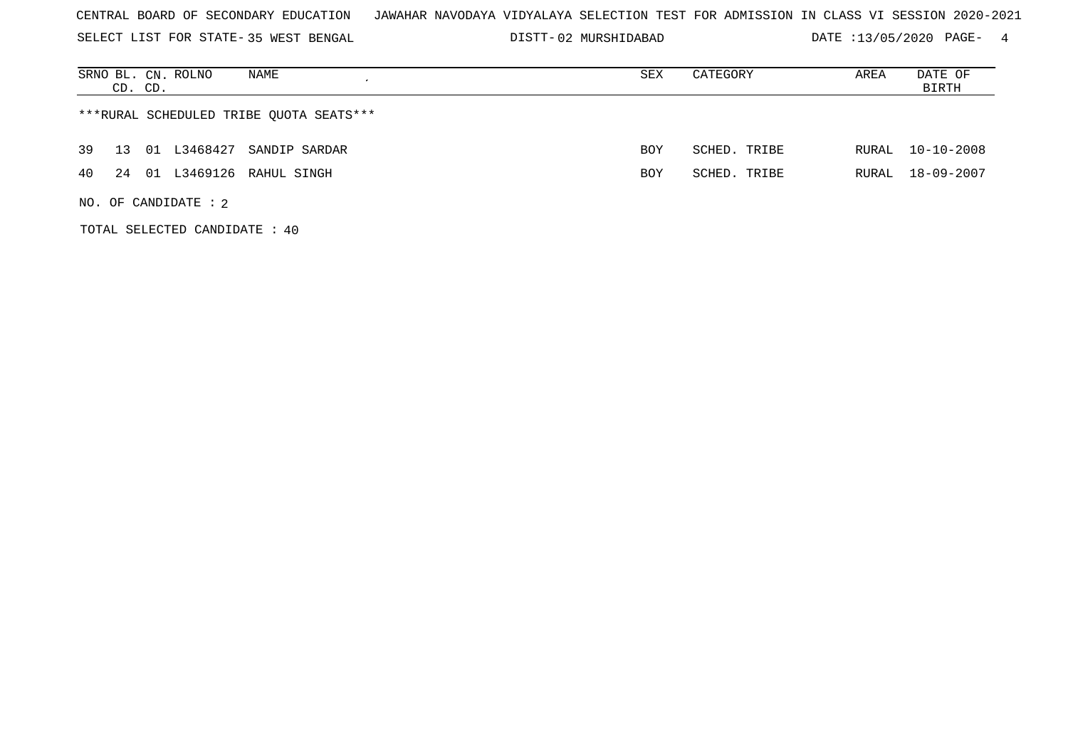SELECT LIST FOR STATE- DISTT- 35 WEST BENGAL

02 MURSHIDABAD DATE :13/05/2020 PAGE- 4

| NAME<br>SRNO BL. CN. ROLNO<br>CD. CD.       | SEX | CATEGORY     | AREA  | DATE OF<br>BIRTH |
|---------------------------------------------|-----|--------------|-------|------------------|
| ***RURAL SCHEDULED TRIBE QUOTA SEATS***     |     |              |       |                  |
| 39<br>L3468427<br>01<br>SANDIP SARDAR<br>13 | BOY | SCHED. TRIBE | RURAL | $10 - 10 - 2008$ |
| 01 L3469126 RAHUL SINGH<br>40<br>24         | BOY | SCHED. TRIBE | RURAL | 18-09-2007       |
| NO. OF CANDIDATE : $2$                      |     |              |       |                  |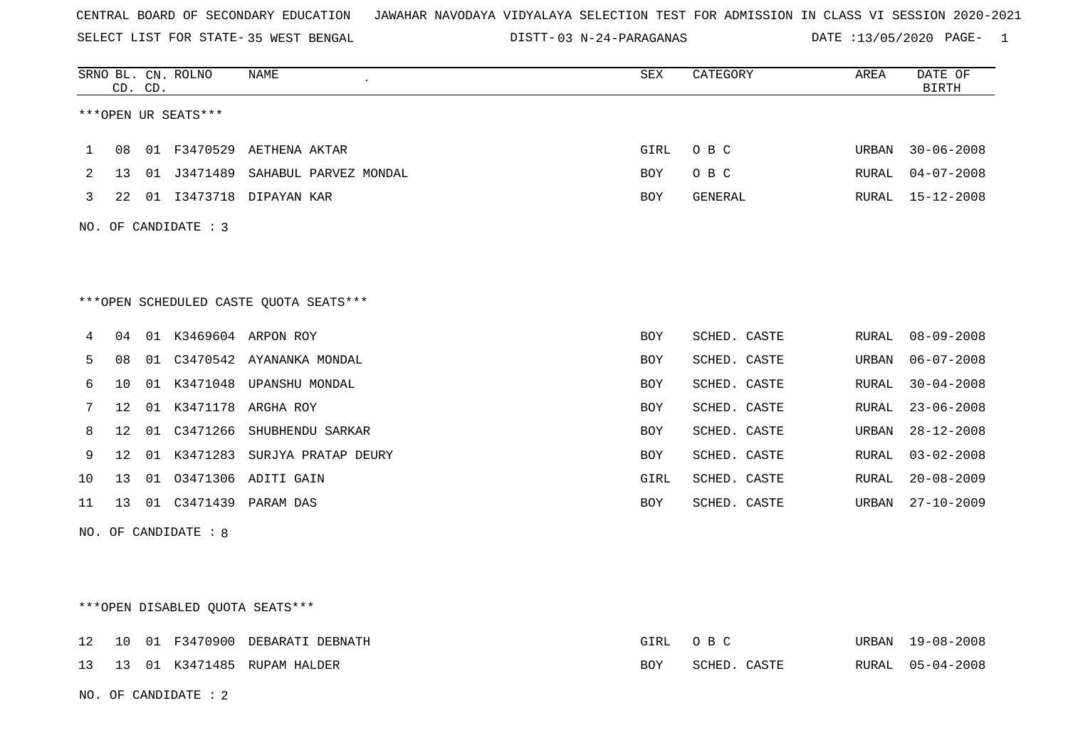SELECT LIST FOR STATE- DISTT- 35 WEST BENGAL

03 N-24-PARAGANAS DATE :13/05/2020 PAGE- 1

|    |                   | CD. CD. | SRNO BL. CN. ROLNO              | <b>NAME</b>                            | SEX        | CATEGORY     | AREA         | DATE OF<br><b>BIRTH</b> |
|----|-------------------|---------|---------------------------------|----------------------------------------|------------|--------------|--------------|-------------------------|
|    |                   |         | ***OPEN UR SEATS***             |                                        |            |              |              |                         |
| 1  | 08                |         |                                 | 01 F3470529 AETHENA AKTAR              | GIRL       | O B C        | URBAN        | $30 - 06 - 2008$        |
| 2  | 13                |         |                                 | 01 J3471489 SAHABUL PARVEZ MONDAL      | <b>BOY</b> | O B C        | RURAL        | $04 - 07 - 2008$        |
| 3  | 22                |         |                                 | 01 I3473718 DIPAYAN KAR                | <b>BOY</b> | GENERAL      | RURAL        | $15 - 12 - 2008$        |
|    |                   |         | NO. OF CANDIDATE : 3            |                                        |            |              |              |                         |
|    |                   |         |                                 |                                        |            |              |              |                         |
|    |                   |         |                                 | ***OPEN SCHEDULED CASTE QUOTA SEATS*** |            |              |              |                         |
| 4  | 04                |         |                                 | 01 K3469604 ARPON ROY                  | <b>BOY</b> | SCHED. CASTE | RURAL        | $08 - 09 - 2008$        |
| 5  | 08                |         |                                 | 01 C3470542 AYANANKA MONDAL            | BOY        | SCHED. CASTE | URBAN        | $06 - 07 - 2008$        |
| 6  | 10                |         |                                 | 01 K3471048 UPANSHU MONDAL             | <b>BOY</b> | SCHED. CASTE | RURAL        | $30 - 04 - 2008$        |
| 7  | $12 \overline{ }$ |         |                                 | 01 K3471178 ARGHA ROY                  | <b>BOY</b> | SCHED. CASTE | <b>RURAL</b> | $23 - 06 - 2008$        |
| 8  | 12                |         | 01 C3471266                     | SHUBHENDU SARKAR                       | BOY        | SCHED. CASTE | URBAN        | $28 - 12 - 2008$        |
| 9  | 12 <sup>°</sup>   |         |                                 | 01 K3471283 SURJYA PRATAP DEURY        | <b>BOY</b> | SCHED. CASTE | RURAL        | $03 - 02 - 2008$        |
| 10 | 13                |         |                                 | 01 03471306 ADITI GAIN                 | GIRL       | SCHED. CASTE | RURAL        | $20 - 08 - 2009$        |
| 11 | 13                |         |                                 | 01 C3471439 PARAM DAS                  | BOY        | SCHED. CASTE | URBAN        | $27 - 10 - 2009$        |
|    |                   |         | NO. OF CANDIDATE $: 8$          |                                        |            |              |              |                         |
|    |                   |         |                                 |                                        |            |              |              |                         |
|    |                   |         |                                 |                                        |            |              |              |                         |
|    |                   |         | ***OPEN DISABLED OUOTA SEATS*** |                                        |            |              |              |                         |

|  |  | 12   10   01   F3470900   DEBARATI   DEBNATH | GIRL OBC |              | URBAN 19-08-2008 |
|--|--|----------------------------------------------|----------|--------------|------------------|
|  |  | 13   13   01   K3471485   RUPAM   HALDER     | BOY      | SCHED. CASTE | RURAL 05-04-2008 |

NO. OF CANDIDATE : 2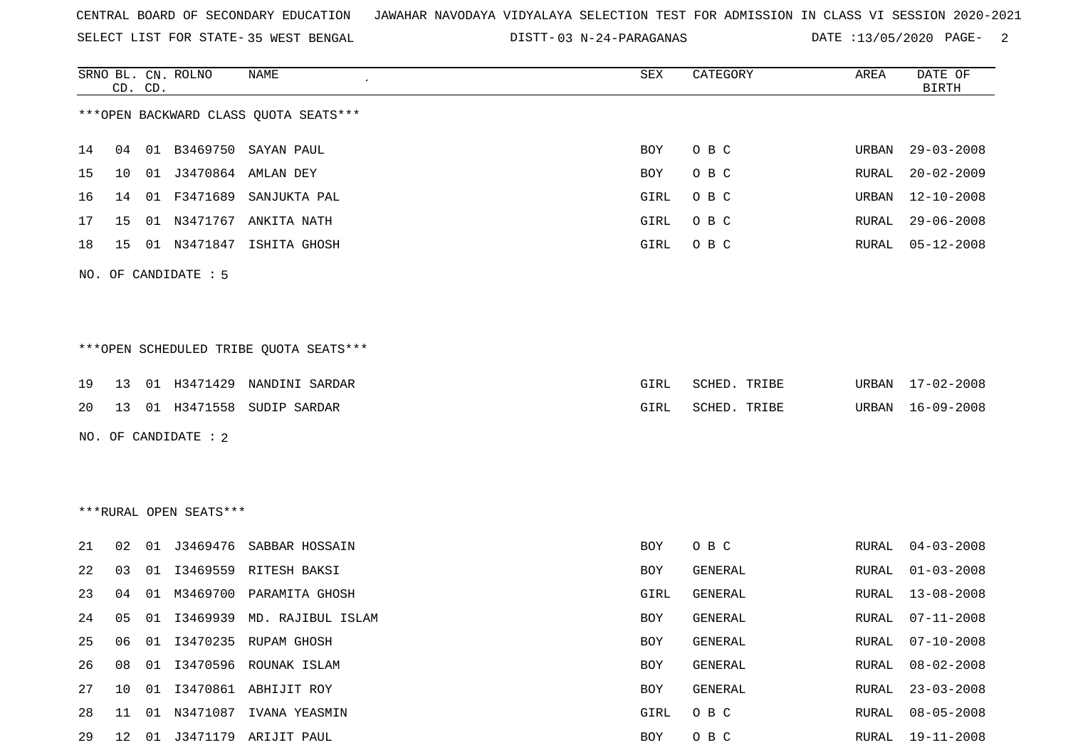SELECT LIST FOR STATE- DISTT- 35 WEST BENGAL

03 N-24-PARAGANAS DATE :13/05/2020 PAGE- 2

|    |    | CD. CD. | SRNO BL. CN. ROLNO     | NAME                                    | SEX        | CATEGORY       | AREA         | DATE OF<br><b>BIRTH</b> |
|----|----|---------|------------------------|-----------------------------------------|------------|----------------|--------------|-------------------------|
|    |    |         |                        | *** OPEN BACKWARD CLASS QUOTA SEATS***  |            |                |              |                         |
| 14 |    |         |                        | 04  01  B3469750  SAYAN  PAUL           | BOY        | O B C          | URBAN        | $29 - 03 - 2008$        |
| 15 | 10 |         | 01 J3470864            | AMLAN DEY                               | BOY        | O B C          | RURAL        | $20 - 02 - 2009$        |
| 16 | 14 | 01      | F3471689               | SANJUKTA PAL                            | GIRL       | O B C          | URBAN        | $12 - 10 - 2008$        |
| 17 | 15 | 01      | N3471767               | ANKITA NATH                             | GIRL       | O B C          | RURAL        | $29 - 06 - 2008$        |
| 18 | 15 |         | 01 N3471847            | ISHITA GHOSH                            | GIRL       | O B C          | RURAL        | $05 - 12 - 2008$        |
|    |    |         | NO. OF CANDIDATE : 5   |                                         |            |                |              |                         |
|    |    |         |                        |                                         |            |                |              |                         |
|    |    |         |                        | *** OPEN SCHEDULED TRIBE QUOTA SEATS*** |            |                |              |                         |
| 19 | 13 |         | 01 H3471429            | NANDINI SARDAR                          | GIRL       | SCHED. TRIBE   | URBAN        | 17-02-2008              |
| 20 | 13 |         |                        | 01 H3471558 SUDIP SARDAR                | GIRL       | SCHED. TRIBE   | URBAN        | $16 - 09 - 2008$        |
|    |    |         | NO. OF CANDIDATE : 2   |                                         |            |                |              |                         |
|    |    |         |                        |                                         |            |                |              |                         |
|    |    |         |                        |                                         |            |                |              |                         |
|    |    |         | ***RURAL OPEN SEATS*** |                                         |            |                |              |                         |
| 21 | 02 | 01      |                        | J3469476 SABBAR HOSSAIN                 | BOY        | O B C          | RURAL        | $04 - 03 - 2008$        |
| 22 | 03 | 01      | I3469559               | RITESH BAKSI                            | <b>BOY</b> | GENERAL        | RURAL        | $01 - 03 - 2008$        |
| 23 | 04 | 01      | M3469700               | PARAMITA GHOSH                          | GIRL       | <b>GENERAL</b> | RURAL        | $13 - 08 - 2008$        |
| 24 | 05 | 01      |                        | I3469939 MD. RAJIBUL ISLAM              | BOY        | GENERAL        | RURAL        | $07 - 11 - 2008$        |
| 25 | 06 | 01      |                        | I3470235 RUPAM GHOSH                    | BOY        | GENERAL        | <b>RURAL</b> | $07 - 10 - 2008$        |
| 26 | 08 | 01      |                        | I3470596 ROUNAK ISLAM                   | BOY        | GENERAL        | RURAL        | $08 - 02 - 2008$        |
| 27 | 10 |         |                        | 01 I3470861 ABHIJIT ROY                 | BOY        | GENERAL        | RURAL        | $23 - 03 - 2008$        |
| 28 | 11 |         |                        | 01 N3471087 IVANA YEASMIN               | GIRL       | O B C          | RURAL        | $08 - 05 - 2008$        |
| 29 | 12 |         |                        | 01 J3471179 ARIJIT PAUL                 | BOY        | O B C          | RURAL        | $19 - 11 - 2008$        |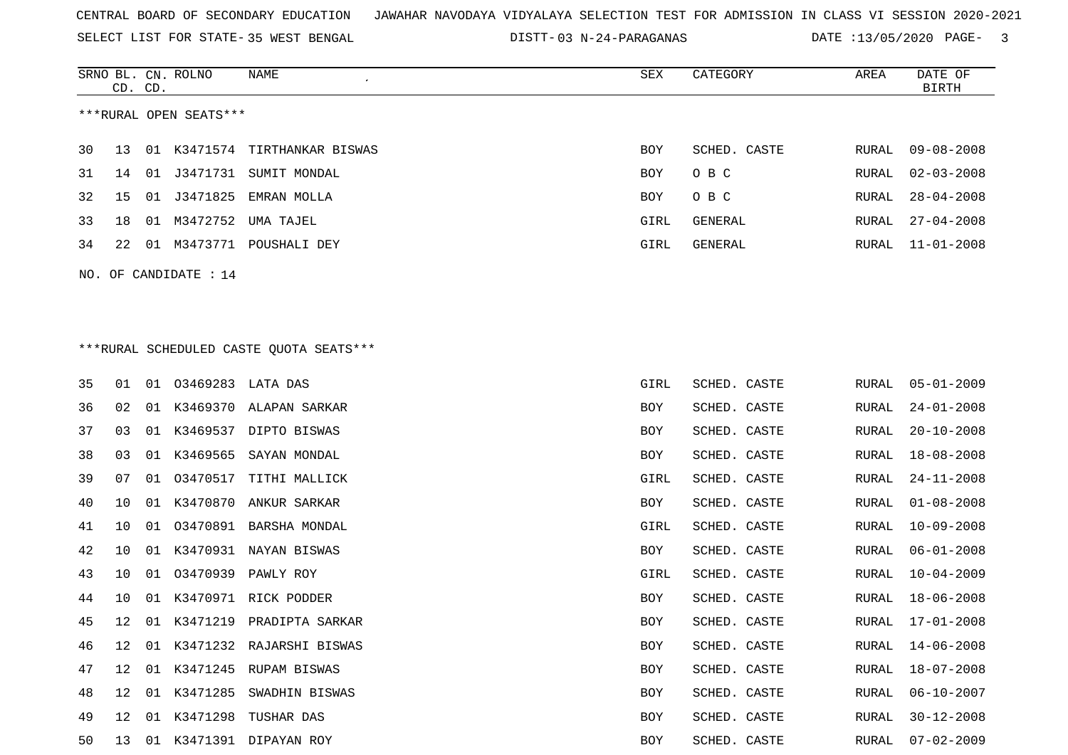SELECT LIST FOR STATE- DISTT- 35 WEST BENGAL

03 N-24-PARAGANAS DATE :13/05/2020 PAGE- 3

RURAL 30-12-2008

|    |    | CD. CD. | SRNO BL. CN. ROLNO      | NAME                                    | SEX        | CATEGORY     | AREA         | DATE OF<br><b>BIRTH</b> |
|----|----|---------|-------------------------|-----------------------------------------|------------|--------------|--------------|-------------------------|
|    |    |         | ***RURAL OPEN SEATS***  |                                         |            |              |              |                         |
| 30 | 13 |         |                         | 01 K3471574 TIRTHANKAR BISWAS           | <b>BOY</b> | SCHED. CASTE | RURAL        | $09 - 08 - 2008$        |
| 31 | 14 | 01      | J3471731                | SUMIT MONDAL                            | BOY        | O B C        | RURAL        | $02 - 03 - 2008$        |
| 32 | 15 |         |                         | 01 J3471825 EMRAN MOLLA                 | BOY        | O B C        | RURAL        | $28 - 04 - 2008$        |
| 33 | 18 |         |                         | 01 M3472752 UMA TAJEL                   | GIRL       | GENERAL      | RURAL        | $27 - 04 - 2008$        |
| 34 | 22 |         |                         | 01 M3473771 POUSHALI DEY                | GIRL       | GENERAL      | RURAL        | $11 - 01 - 2008$        |
|    |    |         | NO. OF CANDIDATE : $14$ |                                         |            |              |              |                         |
|    |    |         |                         |                                         |            |              |              |                         |
|    |    |         |                         |                                         |            |              |              |                         |
|    |    |         |                         | ***RURAL SCHEDULED CASTE QUOTA SEATS*** |            |              |              |                         |
| 35 | 01 |         | 01 03469283 LATA DAS    |                                         | GIRL       | SCHED. CASTE | RURAL        | $05 - 01 - 2009$        |
| 36 | 02 |         |                         | 01 K3469370 ALAPAN SARKAR               | BOY        | SCHED. CASTE | RURAL        | $24 - 01 - 2008$        |
| 37 | 03 |         |                         | 01 K3469537 DIPTO BISWAS                | BOY        | SCHED. CASTE | <b>RURAL</b> | $20 - 10 - 2008$        |
| 38 | 03 |         |                         | 01 K3469565 SAYAN MONDAL                | <b>BOY</b> | SCHED. CASTE | <b>RURAL</b> | $18 - 08 - 2008$        |
| 39 | 07 |         |                         | 01 03470517 TITHI MALLICK               | GIRL       | SCHED. CASTE | RURAL        | $24 - 11 - 2008$        |
| 40 | 10 | 01      |                         | K3470870 ANKUR SARKAR                   | BOY        | SCHED. CASTE | <b>RURAL</b> | $01 - 08 - 2008$        |
| 41 | 10 | 01      |                         | 03470891 BARSHA MONDAL                  | GIRL       | SCHED. CASTE | RURAL        | $10 - 09 - 2008$        |
| 42 | 10 | 01      |                         | K3470931 NAYAN BISWAS                   | BOY        | SCHED. CASTE | RURAL        | $06 - 01 - 2008$        |
| 43 | 10 |         |                         | 01 03470939 PAWLY ROY                   | GIRL       | SCHED. CASTE | <b>RURAL</b> | $10 - 04 - 2009$        |
| 44 | 10 |         |                         | 01 K3470971 RICK PODDER                 | BOY        | SCHED. CASTE | RURAL        | $18 - 06 - 2008$        |
| 45 | 12 | 01      |                         | K3471219 PRADIPTA SARKAR                | BOY        | SCHED. CASTE | RURAL        | $17 - 01 - 2008$        |
| 46 | 12 |         |                         | 01 K3471232 RAJARSHI BISWAS             | BOY        | SCHED. CASTE | RURAL        | $14 - 06 - 2008$        |
| 47 | 12 |         |                         | 01 K3471245 RUPAM BISWAS                | BOY        | SCHED. CASTE | RURAL        | $18 - 07 - 2008$        |
| 48 | 12 |         |                         | 01 K3471285 SWADHIN BISWAS              | <b>BOY</b> | SCHED. CASTE | RURAL        | $06 - 10 - 2007$        |

49 12 01 K3471298 TUSHAR DAS BOY SCHED. CASTE

50 13 01 K3471391 DIPAYAN ROY BOY SCHED. CASTE RURAL 07-02-2009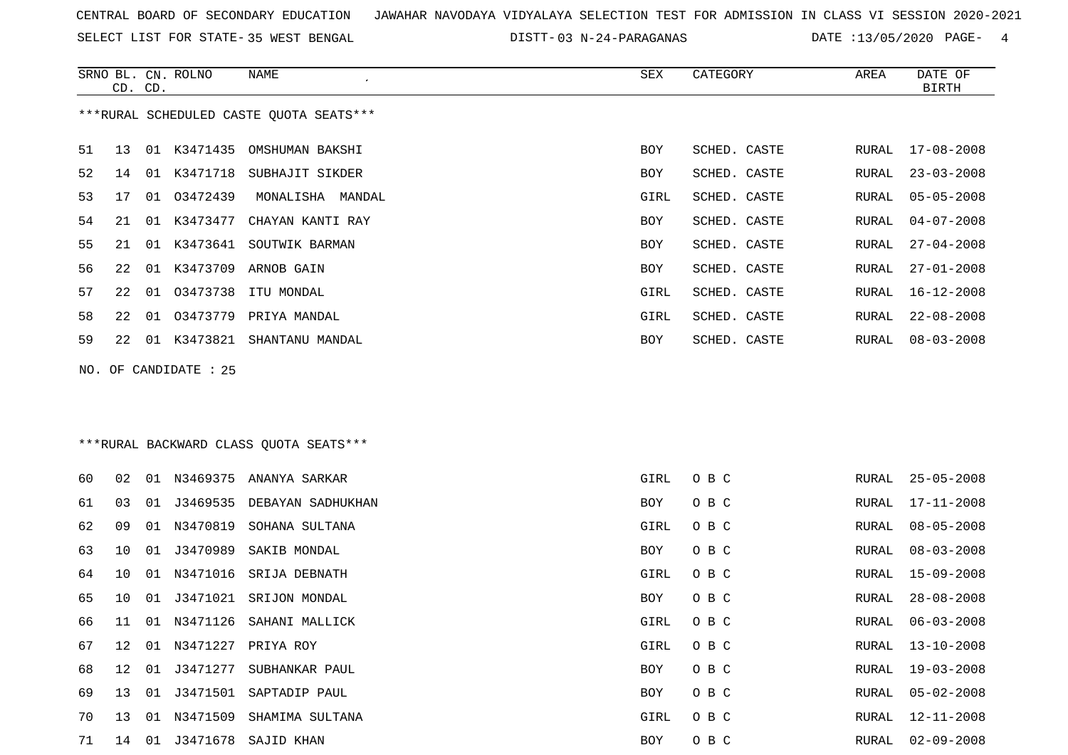SELECT LIST FOR STATE- DISTT- 35 WEST BENGAL

03 N-24-PARAGANAS DATE :13/05/2020 PAGE- 4

|    | CD. CD. |    | SRNO BL. CN. ROLNO    | NAME                                    | SEX  | CATEGORY     | AREA          | DATE OF<br><b>BIRTH</b> |
|----|---------|----|-----------------------|-----------------------------------------|------|--------------|---------------|-------------------------|
|    |         |    |                       | ***RURAL SCHEDULED CASTE QUOTA SEATS*** |      |              |               |                         |
| 51 | 13      |    | 01 K3471435           | OMSHUMAN BAKSHI                         | BOY  | SCHED. CASTE | RURAL         | $17 - 08 - 2008$        |
| 52 | 14      |    | 01 K3471718           | SUBHAJIT SIKDER                         | BOY  | SCHED. CASTE | RURAL         | $23 - 03 - 2008$        |
| 53 | 17      | 01 | 03472439              | MONALISHA MANDAL                        | GIRL | SCHED. CASTE | RURAL         | $05 - 05 - 2008$        |
| 54 | 21      | 01 | K3473477              | CHAYAN KANTI RAY                        | BOY  | SCHED. CASTE | RURAL         | $04 - 07 - 2008$        |
| 55 | 21      | 01 | K3473641              | SOUTWIK BARMAN                          | BOY  | SCHED. CASTE | RURAL         | $27 - 04 - 2008$        |
| 56 | 22      | 01 | K3473709              | ARNOB GAIN                              | BOY  | SCHED. CASTE | RURAL         | $27 - 01 - 2008$        |
| 57 | 22      | 01 | 03473738              | ITU MONDAL                              | GIRL | SCHED. CASTE | RURAL         | $16 - 12 - 2008$        |
| 58 | 22      | 01 | 03473779              | PRIYA MANDAL                            | GIRL | SCHED. CASTE | RURAL         | $22 - 08 - 2008$        |
| 59 | 22      |    |                       | 01 K3473821 SHANTANU MANDAL             | BOY  | SCHED. CASTE | RURAL         | $08 - 03 - 2008$        |
|    |         |    | NO. OF CANDIDATE : 25 |                                         |      |              |               |                         |
|    |         |    |                       |                                         |      |              |               |                         |
|    |         |    |                       |                                         |      |              |               |                         |
|    |         |    |                       | *** RURAL BACKWARD CLASS QUOTA SEATS*** |      |              |               |                         |
| 60 | 02      | 01 |                       | N3469375 ANANYA SARKAR                  | GIRL | O B C        | RURAL         | $25 - 05 - 2008$        |
| 61 | 03      | 01 | J3469535              | DEBAYAN SADHUKHAN                       | BOY  | O B C        | RURAL         | $17 - 11 - 2008$        |
| 62 | 09      | 01 | N3470819              | SOHANA SULTANA                          | GIRL | O B C        | RURAL         | $08 - 05 - 2008$        |
| 63 | 10      | 01 | J3470989              | SAKIB MONDAL                            | BOY  | O B C        | RURAL         | $08 - 03 - 2008$        |
| 64 | 10      | 01 | N3471016              | SRIJA DEBNATH                           | GIRL | O B C        | RURAL         | $15 - 09 - 2008$        |
| 65 | 10      | 01 | J3471021              | SRIJON MONDAL                           | BOY  | O B C        | RURAL         | $28 - 08 - 2008$        |
| 66 | 11      |    |                       | 01 N3471126 SAHANI MALLICK              | GIRL | O B C        | RURAL         | $06 - 03 - 2008$        |
| 67 | 12      |    |                       | 01 N3471227 PRIYA ROY                   | GIRL | O B C        | ${\tt RURAL}$ | $13 - 10 - 2008$        |
| 68 | 12      | 01 | J3471277              | SUBHANKAR PAUL                          | BOY  | O B C        | RURAL         | $19 - 03 - 2008$        |
| 69 | 13      | 01 | J3471501              | SAPTADIP PAUL                           | BOY  | O B C        | RURAL         | $05 - 02 - 2008$        |
| 70 | 13      |    | 01 N3471509           | SHAMIMA SULTANA                         | GIRL | O B C        | RURAL         | 12-11-2008              |
| 71 |         |    |                       | 14 01 J3471678 SAJID KHAN               | BOY  | O B C        | RURAL         | $02 - 09 - 2008$        |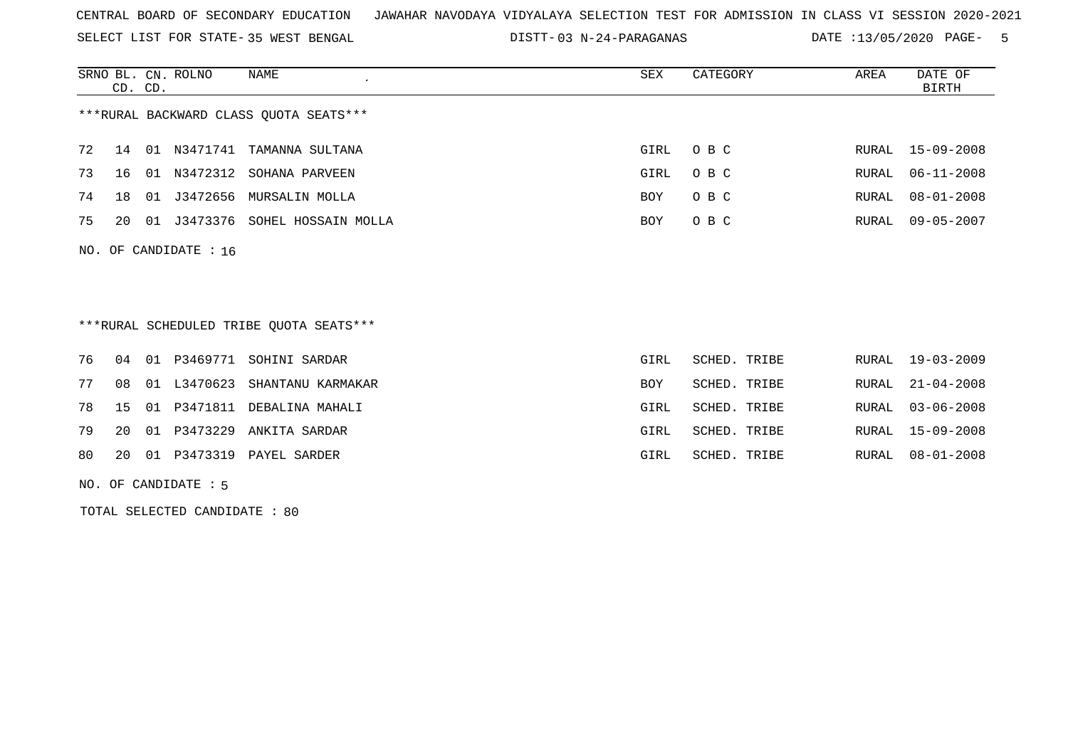SELECT LIST FOR STATE- DISTT- 35 WEST BENGAL

03 N-24-PARAGANAS DATE :13/05/2020 PAGE- 5

|    | CD. CD. |    | SRNO BL. CN. ROLNO    | NAME                                   | SEX        | CATEGORY | AREA  | DATE OF<br>BIRTH |
|----|---------|----|-----------------------|----------------------------------------|------------|----------|-------|------------------|
|    |         |    |                       | ***RURAL BACKWARD CLASS QUOTA SEATS*** |            |          |       |                  |
| 72 | 14 01   |    | N3471741              | TAMANNA SULTANA                        | GIRL       | O B C    |       | RURAL 15-09-2008 |
| 73 | 16      | 01 | N3472312              | SOHANA PARVEEN                         | GIRL       | O B C    |       | RURAL 06-11-2008 |
| 74 | 18      | 01 | J3472656              | MURSALIN MOLLA                         | <b>BOY</b> | O B C    | RURAL | $08 - 01 - 2008$ |
| 75 | 20      | 01 | J3473376              | SOHEL HOSSAIN MOLLA                    | <b>BOY</b> | O B C    | RURAL | 09-05-2007       |
|    |         |    | NO. OF CANDIDATE : 16 |                                        |            |          |       |                  |

\*\*\*RURAL SCHEDULED TRIBE QUOTA SEATS\*\*\*

|    |  | 76 04 01 P3469771 SOHINI SARDAR   | GIRL       | SCHED. TRIBE | RURAL 19-03-2009 |
|----|--|-----------------------------------|------------|--------------|------------------|
| 77 |  | 08 01 L3470623 SHANTANU KARMAKAR  | <b>BOY</b> | SCHED. TRIBE | RURAL 21-04-2008 |
|    |  | 78 15 01 P3471811 DEBALINA MAHALI | GIRL       | SCHED. TRIBE | RURAL 03-06-2008 |
|    |  | 79 20 01 P3473229 ANKITA SARDAR   | GIRL       | SCHED. TRIBE | RURAL 15-09-2008 |
|    |  | 80 20 01 P3473319 PAYEL SARDER    | GIRL       | SCHED. TRIBE | RURAL 08-01-2008 |

NO. OF CANDIDATE : 5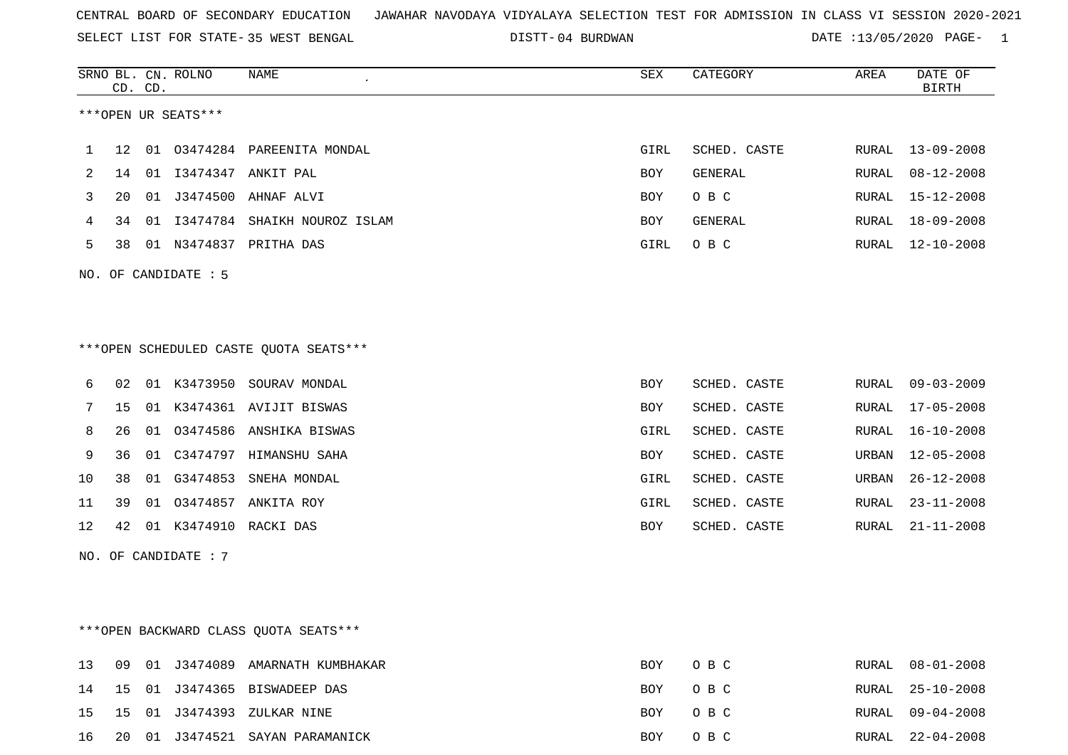SELECT LIST FOR STATE- DISTT- 35 WEST BENGAL

04 BURDWAN DATE :13/05/2020 PAGE- 1

|              |         | CD. CD. | SRNO BL. CN. ROLNO   | <b>NAME</b>                            | SEX        | CATEGORY       | AREA  | DATE OF<br><b>BIRTH</b> |
|--------------|---------|---------|----------------------|----------------------------------------|------------|----------------|-------|-------------------------|
|              |         |         | ***OPEN UR SEATS***  |                                        |            |                |       |                         |
| $\mathbf{1}$ | $12 \,$ | 01      |                      | 03474284 PAREENITA MONDAL              | GIRL       | SCHED. CASTE   | RURAL | $13 - 09 - 2008$        |
| 2            | 14      | 01      |                      | I3474347 ANKIT PAL                     | <b>BOY</b> | <b>GENERAL</b> | RURAL | $08 - 12 - 2008$        |
| 3            | 20      |         | 01 J3474500          | AHNAF ALVI                             | <b>BOY</b> | O B C          | RURAL | $15 - 12 - 2008$        |
| 4            | 34      |         |                      | 01 I3474784 SHAIKH NOUROZ ISLAM        | <b>BOY</b> | GENERAL        | RURAL | $18 - 09 - 2008$        |
| 5            | 38      |         |                      | 01 N3474837 PRITHA DAS                 | GIRL       | O B C          | RURAL | 12-10-2008              |
|              |         |         | NO. OF CANDIDATE : 5 |                                        |            |                |       |                         |
|              |         |         |                      |                                        |            |                |       |                         |
|              |         |         |                      | ***OPEN SCHEDULED CASTE QUOTA SEATS*** |            |                |       |                         |
| 6            | 02      |         |                      | 01 K3473950 SOURAV MONDAL              | <b>BOY</b> | SCHED. CASTE   | RURAL | $09 - 03 - 2009$        |
| 7            | 15      |         |                      | 01 K3474361 AVIJIT BISWAS              | <b>BOY</b> | SCHED. CASTE   | RURAL | $17 - 05 - 2008$        |
| 8            | 26      | 01      |                      | 03474586 ANSHIKA BISWAS                | GIRL       | SCHED. CASTE   | RURAL | $16 - 10 - 2008$        |
| 9            | 36      | 01      |                      | C3474797 HIMANSHU SAHA                 | <b>BOY</b> | SCHED. CASTE   | URBAN | $12 - 05 - 2008$        |
| 10           | 38      |         | 01 G3474853          | SNEHA MONDAL                           | GIRL       | SCHED. CASTE   | URBAN | $26 - 12 - 2008$        |
| 11           | 39      | 01      | 03474857             | ANKITA ROY                             | GIRL       | SCHED. CASTE   | RURAL | $23 - 11 - 2008$        |
| 12           | 42      |         |                      | 01 K3474910 RACKI DAS                  | <b>BOY</b> | SCHED. CASTE   | RURAL | $21 - 11 - 2008$        |
|              |         |         | NO. OF CANDIDATE : 7 |                                        |            |                |       |                         |

# \*\*\*OPEN BACKWARD CLASS QUOTA SEATS\*\*\*

|  |  | 16 20 01 J3474521 SAYAN PARAMANICK        | BOY OBC | RURAL 22-04-2008 |
|--|--|-------------------------------------------|---------|------------------|
|  |  | 15   15   01   J3474393   ZULKAR   NINE   | BOY OBC | RURAL 09-04-2008 |
|  |  | 14   15   01   J3474365   BISWADEEP   DAS | BOY OBC | RURAL 25-10-2008 |
|  |  | 13 09 01 J3474089 AMARNATH KUMBHAKAR      | BOY OBC | RURAL 08-01-2008 |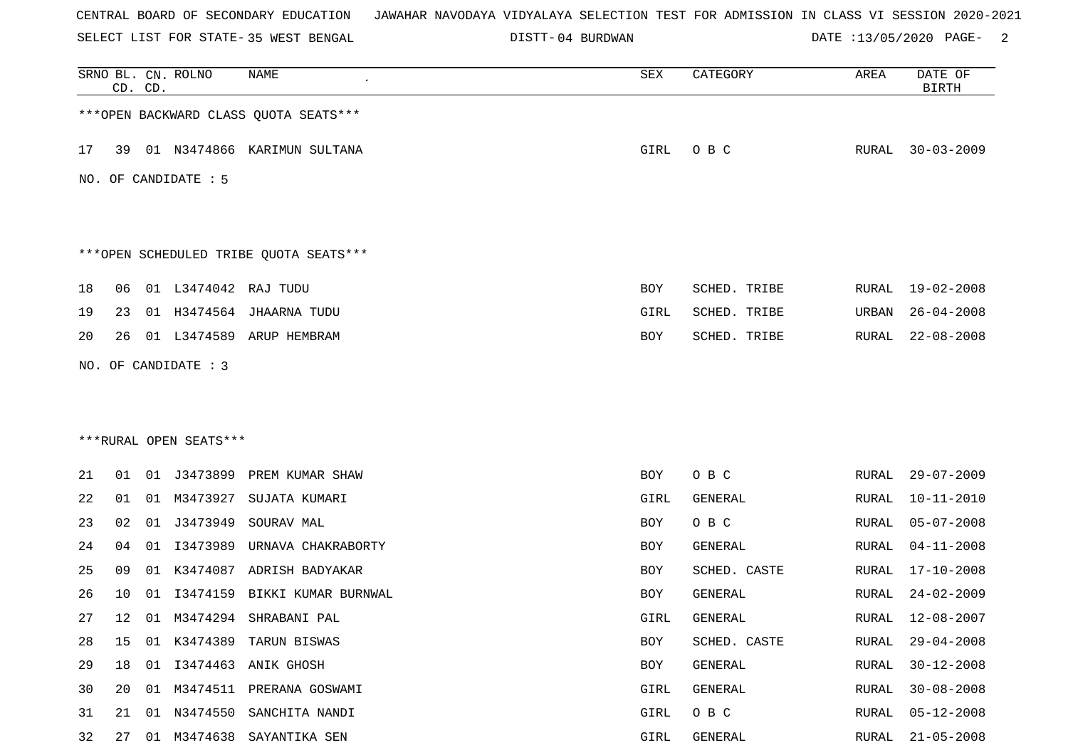SELECT LIST FOR STATE- DISTT- 35 WEST BENGAL

04 BURDWAN DATE :13/05/2020 PAGE- 2

|    |    | CD. CD. | SRNO BL. CN. ROLNO     | NAME                                   | SEX  | CATEGORY     | AREA         | DATE OF<br><b>BIRTH</b> |
|----|----|---------|------------------------|----------------------------------------|------|--------------|--------------|-------------------------|
|    |    |         |                        | *** OPEN BACKWARD CLASS QUOTA SEATS*** |      |              |              |                         |
| 17 | 39 |         |                        | 01 N3474866 KARIMUN SULTANA            | GIRL | O B C        |              | RURAL 30-03-2009        |
|    |    |         | NO. OF CANDIDATE : 5   |                                        |      |              |              |                         |
|    |    |         |                        | ***OPEN SCHEDULED TRIBE QUOTA SEATS*** |      |              |              |                         |
| 18 | 06 |         | 01 L3474042            | RAJ TUDU                               | BOY  | SCHED. TRIBE | RURAL        | 19-02-2008              |
| 19 | 23 |         |                        | 01 H3474564 JHAARNA TUDU               | GIRL | SCHED. TRIBE | URBAN        | $26 - 04 - 2008$        |
| 20 | 26 |         |                        | 01 L3474589 ARUP HEMBRAM               | BOY  | SCHED. TRIBE | RURAL        | $22 - 08 - 2008$        |
|    |    |         | NO. OF CANDIDATE : 3   |                                        |      |              |              |                         |
|    |    |         |                        |                                        |      |              |              |                         |
|    |    |         |                        |                                        |      |              |              |                         |
|    |    |         | ***RURAL OPEN SEATS*** |                                        |      |              |              |                         |
| 21 | 01 |         | 01 J3473899            | PREM KUMAR SHAW                        | BOY  | O B C        | RURAL        | $29 - 07 - 2009$        |
| 22 | 01 |         | 01 M3473927            | SUJATA KUMARI                          | GIRL | GENERAL      | RURAL        | $10 - 11 - 2010$        |
| 23 | 02 | 01      | J3473949               | SOURAV MAL                             | BOY  | O B C        | <b>RURAL</b> | $05 - 07 - 2008$        |
| 24 | 04 | 01      | I3473989               | URNAVA CHAKRABORTY                     | BOY  | GENERAL      | RURAL        | $04 - 11 - 2008$        |
| 25 | 09 | 01      | K3474087               | ADRISH BADYAKAR                        | BOY  | SCHED. CASTE | RURAL        | $17 - 10 - 2008$        |
| 26 | 10 | 01      | I3474159               | BIKKI KUMAR BURNWAL                    | BOY  | GENERAL      | RURAL        | $24 - 02 - 2009$        |
| 27 | 12 |         |                        | 01 M3474294 SHRABANI PAL               | GIRL | GENERAL      | RURAL        | 12-08-2007              |
| 28 | 15 |         |                        | 01 K3474389 TARUN BISWAS               | BOY  | SCHED. CASTE | <b>RURAL</b> | $29 - 04 - 2008$        |
| 29 | 18 |         |                        | 01 I3474463 ANIK GHOSH                 | BOY  | GENERAL      | RURAL        | $30 - 12 - 2008$        |
| 30 | 20 |         |                        | 01 M3474511 PRERANA GOSWAMI            | GIRL | GENERAL      | RURAL        | $30 - 08 - 2008$        |
| 31 | 21 | 01      | N3474550               | SANCHITA NANDI                         | GIRL | O B C        | <b>RURAL</b> | $05 - 12 - 2008$        |
| 32 | 27 |         | 01 M3474638            | SAYANTIKA SEN                          | GIRL | GENERAL      | RURAL        | $21 - 05 - 2008$        |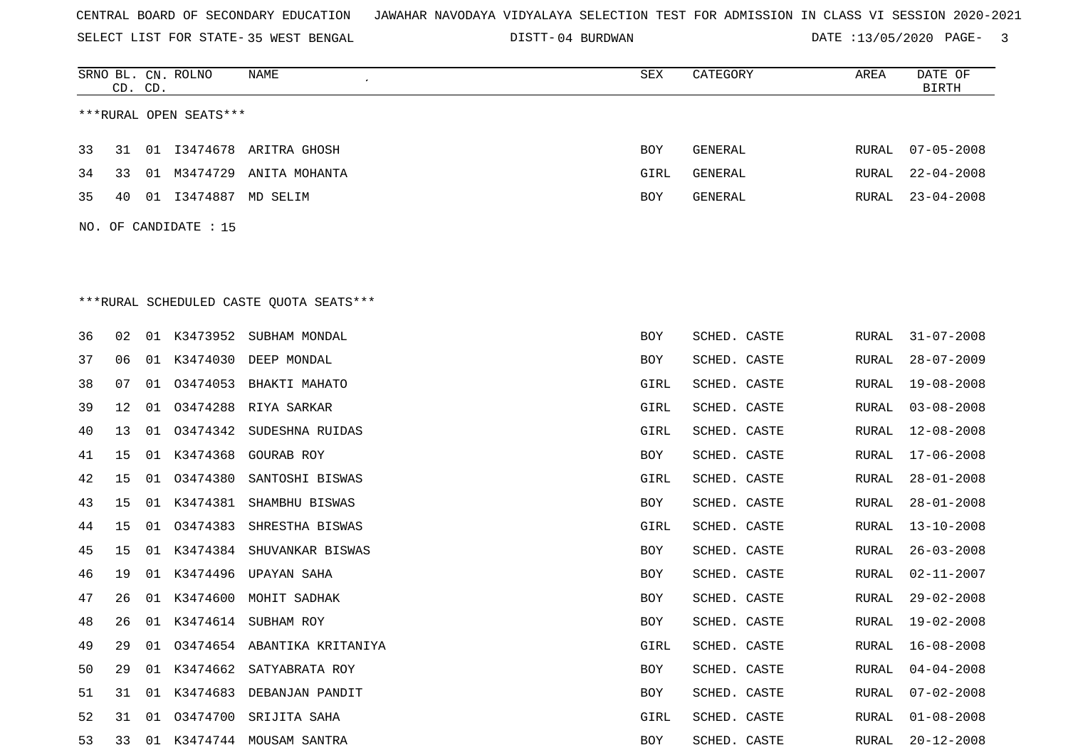SELECT LIST FOR STATE- DISTT- 35 WEST BENGAL

04 BURDWAN DATE :13/05/2020 PAGE- 3

|    | CD. CD. |    | SRNO BL. CN. ROLNO     | NAME<br>$\epsilon$                       | SEX  | CATEGORY       | AREA  | DATE OF<br><b>BIRTH</b> |
|----|---------|----|------------------------|------------------------------------------|------|----------------|-------|-------------------------|
|    |         |    | ***RURAL OPEN SEATS*** |                                          |      |                |       |                         |
| 33 | 31      | 01 |                        | I3474678 ARITRA GHOSH                    | BOY  | <b>GENERAL</b> | RURAL | $07 - 05 - 2008$        |
| 34 | 33      |    | 01 M3474729            | ANITA MOHANTA                            | GIRL | GENERAL        | RURAL | $22 - 04 - 2008$        |
| 35 | 40      |    | 01 I3474887 MD SELIM   |                                          | BOY  | GENERAL        | RURAL | $23 - 04 - 2008$        |
|    |         |    | NO. OF CANDIDATE : 15  |                                          |      |                |       |                         |
|    |         |    |                        |                                          |      |                |       |                         |
|    |         |    |                        |                                          |      |                |       |                         |
|    |         |    |                        | *** RURAL SCHEDULED CASTE QUOTA SEATS*** |      |                |       |                         |
| 36 | 02      |    |                        | 01 K3473952 SUBHAM MONDAL                | BOY  | SCHED. CASTE   | RURAL | $31 - 07 - 2008$        |
| 37 | 06      | 01 |                        | K3474030 DEEP MONDAL                     | BOY  | SCHED. CASTE   | RURAL | $28 - 07 - 2009$        |
| 38 | 07      |    |                        | 01 03474053 BHAKTI MAHATO                | GIRL | SCHED. CASTE   | RURAL | 19-08-2008              |
| 39 | 12      | 01 | 03474288               | RIYA SARKAR                              | GIRL | SCHED. CASTE   | RURAL | $03 - 08 - 2008$        |
| 40 | 13      | 01 | 03474342               | SUDESHNA RUIDAS                          | GIRL | SCHED. CASTE   | RURAL | $12 - 08 - 2008$        |
| 41 | 15      |    | 01 K3474368            | GOURAB ROY                               | BOY  | SCHED. CASTE   | RURAL | $17 - 06 - 2008$        |
| 42 | 15      | 01 | 03474380               | SANTOSHI BISWAS                          | GIRL | SCHED. CASTE   | RURAL | $28 - 01 - 2008$        |
| 43 | 15      |    | 01 K3474381            | SHAMBHU BISWAS                           | BOY  | SCHED. CASTE   | RURAL | $28 - 01 - 2008$        |
| 44 | 15      | 01 | 03474383               | SHRESTHA BISWAS                          | GIRL | SCHED. CASTE   | RURAL | $13 - 10 - 2008$        |
| 45 | 15      |    |                        | 01 K3474384 SHUVANKAR BISWAS             | BOY  | SCHED. CASTE   | RURAL | $26 - 03 - 2008$        |
| 46 | 19      | 01 | K3474496               | UPAYAN SAHA                              | BOY  | SCHED. CASTE   | RURAL | $02 - 11 - 2007$        |
| 47 | 26      | 01 | K3474600               | MOHIT SADHAK                             | BOY  | SCHED. CASTE   | RURAL | $29 - 02 - 2008$        |
| 48 | 26      |    |                        | 01 K3474614 SUBHAM ROY                   | BOY  | SCHED. CASTE   | RURAL | $19 - 02 - 2008$        |
| 49 | 29      |    |                        | 01 03474654 ABANTIKA KRITANIYA           | GIRL | SCHED. CASTE   | RURAL | $16 - 08 - 2008$        |
| 50 | 29      |    |                        | 01 K3474662 SATYABRATA ROY               | BOY  | SCHED. CASTE   | RURAL | $04 - 04 - 2008$        |
| 51 | 31      |    |                        | 01 K3474683 DEBANJAN PANDIT              | BOY  | SCHED. CASTE   | RURAL | $07 - 02 - 2008$        |
| 52 | 31      |    |                        | 01 03474700 SRIJITA SAHA                 | GIRL | SCHED. CASTE   | RURAL | $01 - 08 - 2008$        |
| 53 | 33      |    |                        | 01 K3474744 MOUSAM SANTRA                | BOY  | SCHED. CASTE   | RURAL | $20 - 12 - 2008$        |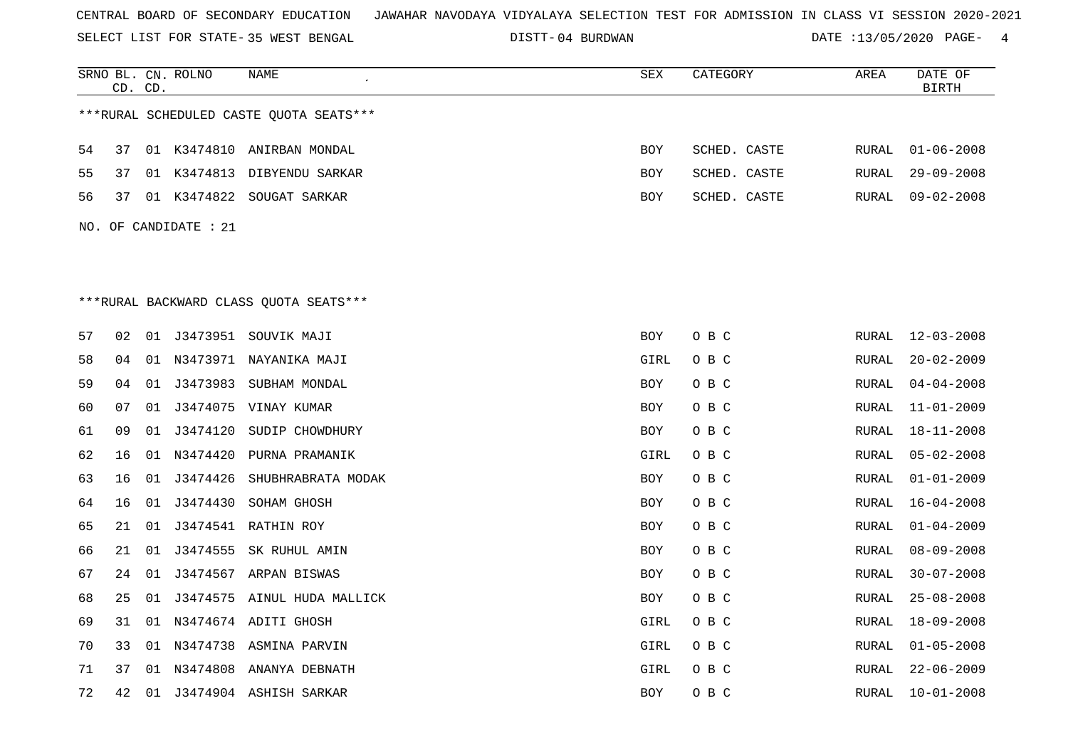SELECT LIST FOR STATE- DISTT- 35 WEST BENGAL

04 BURDWAN DATE :13/05/2020 PAGE- 4

|    |    | CD. CD. | SRNO BL. CN. ROLNO    | NAME                                    | ${\tt SEX}$ | CATEGORY     | AREA         | DATE OF<br><b>BIRTH</b> |
|----|----|---------|-----------------------|-----------------------------------------|-------------|--------------|--------------|-------------------------|
|    |    |         |                       | ***RURAL SCHEDULED CASTE OUOTA SEATS*** |             |              |              |                         |
| 54 | 37 |         |                       | 01 K3474810 ANIRBAN MONDAL              | <b>BOY</b>  | SCHED. CASTE | RURAL        | $01 - 06 - 2008$        |
| 55 | 37 |         |                       | 01 K3474813 DIBYENDU SARKAR             | BOY         | SCHED. CASTE | RURAL        | $29 - 09 - 2008$        |
| 56 | 37 |         |                       | 01 K3474822 SOUGAT SARKAR               | BOY         | SCHED. CASTE | RURAL        | $09 - 02 - 2008$        |
|    |    |         | NO. OF CANDIDATE : 21 |                                         |             |              |              |                         |
|    |    |         |                       |                                         |             |              |              |                         |
|    |    |         |                       |                                         |             |              |              |                         |
|    |    |         |                       | ***RURAL BACKWARD CLASS QUOTA SEATS***  |             |              |              |                         |
| 57 | 02 |         |                       | 01 J3473951 SOUVIK MAJI                 | BOY         | O B C        | RURAL        | $12 - 03 - 2008$        |
| 58 | 04 |         |                       | 01 N3473971 NAYANIKA MAJI               | GIRL        | O B C        | RURAL        | $20 - 02 - 2009$        |
| 59 | 04 | 01      | J3473983              | SUBHAM MONDAL                           | BOY         | O B C        | RURAL        | $04 - 04 - 2008$        |
| 60 | 07 |         |                       | 01 J3474075 VINAY KUMAR                 | <b>BOY</b>  | O B C        | RURAL        | $11 - 01 - 2009$        |
| 61 | 09 |         | 01 J3474120           | SUDIP CHOWDHURY                         | BOY         | O B C        | RURAL        | $18 - 11 - 2008$        |
| 62 | 16 | 01      | N3474420              | PURNA PRAMANIK                          | GIRL        | O B C        | <b>RURAL</b> | $05 - 02 - 2008$        |
| 63 | 16 | 01      | J3474426              | SHUBHRABRATA MODAK                      | BOY         | O B C        | RURAL        | $01 - 01 - 2009$        |
| 64 | 16 | 01      | J3474430              | SOHAM GHOSH                             | BOY         | O B C        | RURAL        | $16 - 04 - 2008$        |
| 65 | 21 | 01      |                       | J3474541 RATHIN ROY                     | BOY         | O B C        | RURAL        | $01 - 04 - 2009$        |
| 66 | 21 | 01      |                       | J3474555 SK RUHUL AMIN                  | BOY         | O B C        | RURAL        | $08 - 09 - 2008$        |
| 67 | 24 | 01      |                       | J3474567 ARPAN BISWAS                   | BOY         | O B C        | RURAL        | $30 - 07 - 2008$        |
| 68 | 25 |         |                       | 01 J3474575 AINUL HUDA MALLICK          | BOY         | O B C        | RURAL        | $25 - 08 - 2008$        |
| 69 | 31 |         |                       | 01 N3474674 ADITI GHOSH                 | GIRL        | O B C        | RURAL        | 18-09-2008              |
| 70 | 33 | 01      |                       | N3474738 ASMINA PARVIN                  | GIRL        | O B C        | RURAL        | $01 - 05 - 2008$        |
| 71 | 37 |         |                       | 01 N3474808 ANANYA DEBNATH              | GIRL        | O B C        | RURAL        | $22 - 06 - 2009$        |
| 72 | 42 |         |                       | 01 J3474904 ASHISH SARKAR               | <b>BOY</b>  | O B C        |              | RURAL 10-01-2008        |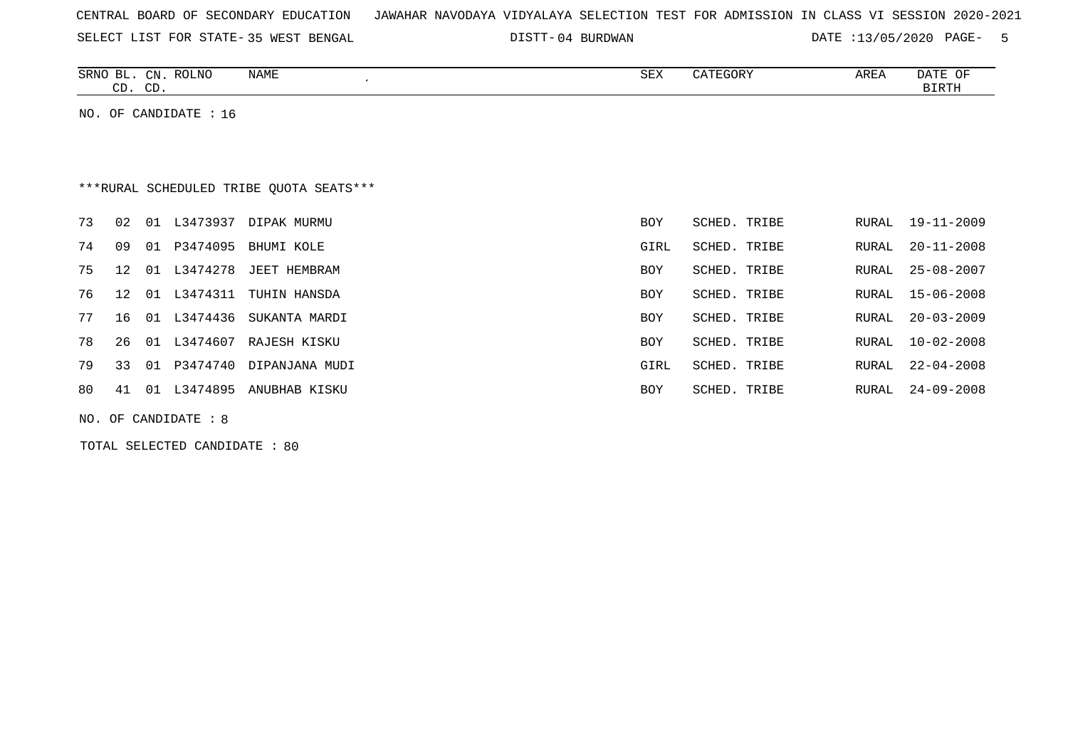| CENTRAL BOARD OF SECONDARY EDUCATION – JAWAHAR NAVODAYA VIDYALAYA SELECTION TEST FOR ADMISSION IN CLASS VI SESSION 2020-2021 |  |
|------------------------------------------------------------------------------------------------------------------------------|--|
|------------------------------------------------------------------------------------------------------------------------------|--|

SELECT LIST FOR STATE- DISTT- 35 WEST BENGAL

04 BURDWAN DATE :13/05/2020 PAGE- 5

| <b>ROLNO</b><br><b>SRNC</b><br>CN<br>⊐∟<br>$\sim$ | 57757<br>INAME | SEX | ᅐ뮤<br>ARLA | $\sim$<br>DATE<br>U™ |
|---------------------------------------------------|----------------|-----|------------|----------------------|
| $\cap$<br>$\cap$<br>$\sim$<br>س                   |                |     |            | FDML.                |

NO. OF CANDIDATE : 16

# \*\*\*RURAL SCHEDULED TRIBE QUOTA SEATS\*\*\*

| 73 | 02              | 01             | L3473937 | DIPAK MURMU    | <b>BOY</b> | SCHED. TRIBE | RURAL | 19-11-2009       |
|----|-----------------|----------------|----------|----------------|------------|--------------|-------|------------------|
| 74 | 09              | 01             | P3474095 | BHUMI KOLE     | GIRL       | SCHED. TRIBE | RURAL | 20-11-2008       |
| 75 | 12 <sub>1</sub> | O 1            | L3474278 | JEET HEMBRAM   | <b>BOY</b> | SCHED. TRIBE | RURAL | 25-08-2007       |
| 76 | 12 01           |                | L3474311 | TUHIN HANSDA   | <b>BOY</b> | SCHED, TRIBE |       | RURAL 15-06-2008 |
| 77 | 16              | 01             | L3474436 | SUKANTA MARDI  | <b>BOY</b> | SCHED. TRIBE | RURAL | $20 - 03 - 2009$ |
| 78 | 26              | $\bigcirc$ 0.1 | L3474607 | RAJESH KISKU   | <b>BOY</b> | SCHED. TRIBE | RURAL | $10 - 02 - 2008$ |
| 79 | 33              | O 1            | P3474740 | DIPANJANA MUDI | GIRL       | SCHED. TRIBE | RURAL | $22 - 04 - 2008$ |
| 80 | 41              | O 1            | L3474895 | ANUBHAB KISKU  | <b>BOY</b> | SCHED. TRIBE | RURAL | $24 - 09 - 2008$ |
|    |                 |                |          |                |            |              |       |                  |

NO. OF CANDIDATE : 8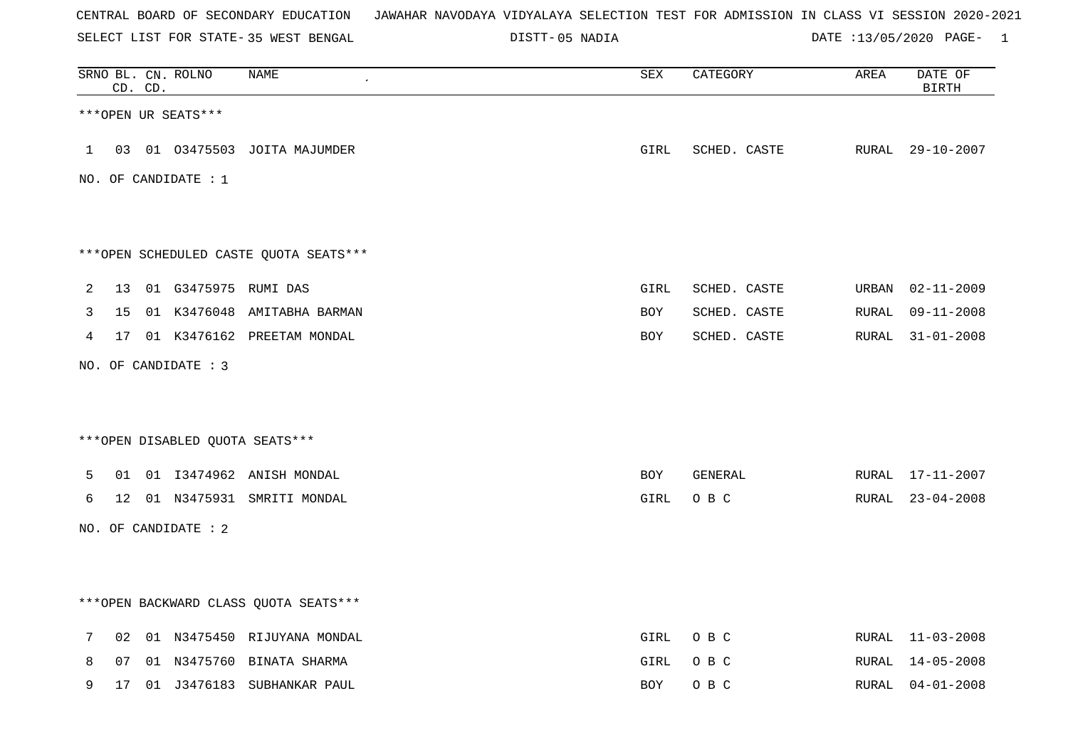SELECT LIST FOR STATE- DISTT- 35 WEST BENGAL

05 NADIA DATE :13/05/2020 PAGE- 1

|              |                 | CD. CD. | SRNO BL. CN. ROLNO               | NAME                                    | $\overline{\mathtt{SEX}}$ | CATEGORY     | AREA  | DATE OF<br><b>BIRTH</b> |
|--------------|-----------------|---------|----------------------------------|-----------------------------------------|---------------------------|--------------|-------|-------------------------|
|              |                 |         | ***OPEN UR SEATS***              |                                         |                           |              |       |                         |
| $\mathbf{1}$ |                 |         |                                  | 03 01 03475503 JOITA MAJUMDER           | GIRL                      | SCHED. CASTE |       | RURAL 29-10-2007        |
|              |                 |         | NO. OF CANDIDATE : $1$           |                                         |                           |              |       |                         |
|              |                 |         |                                  |                                         |                           |              |       |                         |
|              |                 |         |                                  | ***OPEN SCHEDULED CASTE QUOTA SEATS***  |                           |              |       |                         |
| 2            | 13 <sup>°</sup> |         | 01 G3475975 RUMI DAS             |                                         | <b>GIRL</b>               | SCHED. CASTE | URBAN | $02 - 11 - 2009$        |
| 3            | 15              |         |                                  | 01 K3476048 AMITABHA BARMAN             | BOY                       | SCHED. CASTE | RURAL | $09 - 11 - 2008$        |
| 4            | 17              |         |                                  | 01 K3476162 PREETAM MONDAL              | <b>BOY</b>                | SCHED. CASTE | RURAL | $31 - 01 - 2008$        |
|              |                 |         | NO. OF CANDIDATE : 3             |                                         |                           |              |       |                         |
|              |                 |         |                                  |                                         |                           |              |       |                         |
|              |                 |         | *** OPEN DISABLED QUOTA SEATS*** |                                         |                           |              |       |                         |
| 5            |                 |         |                                  | 01 01 I3474962 ANISH MONDAL             | BOY                       | GENERAL      |       | RURAL 17-11-2007        |
| 6            |                 |         |                                  | 12 01 N3475931 SMRITI MONDAL            | GIRL                      | O B C        |       | RURAL 23-04-2008        |
|              |                 |         | NO. OF CANDIDATE : 2             |                                         |                           |              |       |                         |
|              |                 |         |                                  |                                         |                           |              |       |                         |
|              |                 |         |                                  | *** OPEN BACKWARD CLASS QUOTA SEATS *** |                           |              |       |                         |
| 7            | 02              |         |                                  | 01 N3475450 RIJUYANA MONDAL             | GIRL                      | O B C        |       | RURAL 11-03-2008        |
| 8            | 07              |         |                                  | 01 N3475760 BINATA SHARMA               | GIRL                      | O B C        | RURAL | 14-05-2008              |
| 9            | 17              |         |                                  | 01 J3476183 SUBHANKAR PAUL              | BOY                       | O B C        |       | RURAL 04-01-2008        |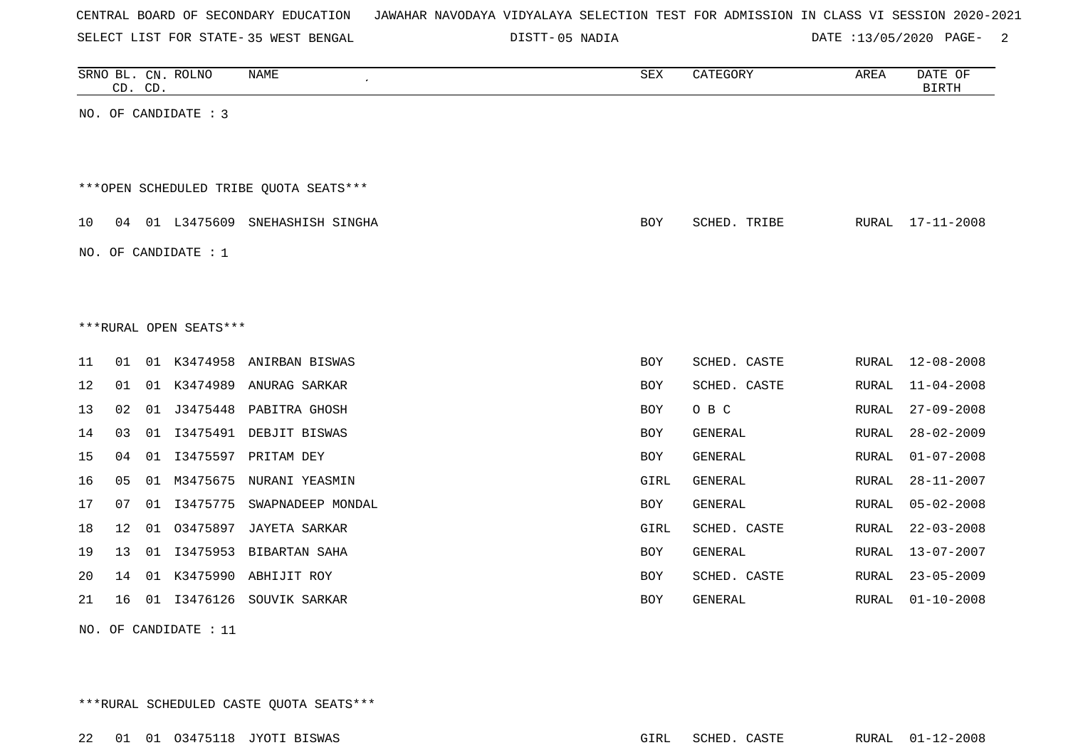|  |  |  |  | CENTRAL BOARD OF SECONDARY EDUCATION – JAWAHAR NAVODAYA VIDYALAYA SELECTION TEST FOR ADMISSION IN CLASS VI SESSION 2020-2021 |  |  |  |  |  |  |  |  |  |  |  |  |  |  |
|--|--|--|--|------------------------------------------------------------------------------------------------------------------------------|--|--|--|--|--|--|--|--|--|--|--|--|--|--|
|--|--|--|--|------------------------------------------------------------------------------------------------------------------------------|--|--|--|--|--|--|--|--|--|--|--|--|--|--|

SELECT LIST FOR STATE- DISTT- 35 WEST BENGAL

05 NADIA DATE :13/05/2020 PAGE- 2

|    | CD. CD. |    | SRNO BL. CN. ROLNO     | NAME                                   | SEX        | CATEGORY       | AREA          | DATE OF<br><b>BIRTH</b> |
|----|---------|----|------------------------|----------------------------------------|------------|----------------|---------------|-------------------------|
|    |         |    | NO. OF CANDIDATE : 3   |                                        |            |                |               |                         |
|    |         |    |                        |                                        |            |                |               |                         |
|    |         |    |                        | ***OPEN SCHEDULED TRIBE QUOTA SEATS*** |            |                |               |                         |
|    |         |    |                        |                                        |            |                |               |                         |
| 10 |         |    |                        | 04 01 L3475609 SNEHASHISH SINGHA       | <b>BOY</b> | SCHED. TRIBE   |               | RURAL 17-11-2008        |
|    |         |    | NO. OF CANDIDATE : 1   |                                        |            |                |               |                         |
|    |         |    |                        |                                        |            |                |               |                         |
|    |         |    |                        |                                        |            |                |               |                         |
|    |         |    | ***RURAL OPEN SEATS*** |                                        |            |                |               |                         |
| 11 | 01      |    |                        | 01 K3474958 ANIRBAN BISWAS             | BOY        | SCHED. CASTE   | RURAL         | $12 - 08 - 2008$        |
| 12 | 01      |    |                        | 01 K3474989 ANURAG SARKAR              | <b>BOY</b> | SCHED. CASTE   | RURAL         | $11 - 04 - 2008$        |
| 13 | 02      | 01 | J3475448               | PABITRA GHOSH                          | <b>BOY</b> | O B C          | RURAL         | $27 - 09 - 2008$        |
| 14 | 03      | 01 |                        | I3475491 DEBJIT BISWAS                 | <b>BOY</b> | GENERAL        | <b>RURAL</b>  | $28 - 02 - 2009$        |
| 15 | 04      | 01 |                        | I3475597 PRITAM DEY                    | BOY        | GENERAL        | <b>RURAL</b>  | $01 - 07 - 2008$        |
| 16 | 05      | 01 | M3475675               | NURANI YEASMIN                         | GIRL       | GENERAL        | RURAL         | $28 - 11 - 2007$        |
| 17 | 07      | 01 | I3475775               | SWAPNADEEP MONDAL                      | <b>BOY</b> | GENERAL        | <b>RURAL</b>  | $05 - 02 - 2008$        |
| 18 | 12      |    | 01 03475897            | JAYETA SARKAR                          | GIRL       | SCHED. CASTE   | ${\tt RURAL}$ | $22 - 03 - 2008$        |
| 19 | 13      | 01 | I3475953               | BIBARTAN SAHA                          | BOY        | <b>GENERAL</b> | RURAL         | $13 - 07 - 2007$        |
| 20 | 14      | 01 | K3475990               | ABHIJIT ROY                            | BOY        | SCHED. CASTE   | RURAL         | $23 - 05 - 2009$        |
| 21 | 16      |    |                        | 01 I3476126 SOUVIK SARKAR              | BOY        | GENERAL        | RURAL         | $01 - 10 - 2008$        |
|    |         |    |                        |                                        |            |                |               |                         |

NO. OF CANDIDATE : 11

\*\*\*RURAL SCHEDULED CASTE QUOTA SEATS\*\*\*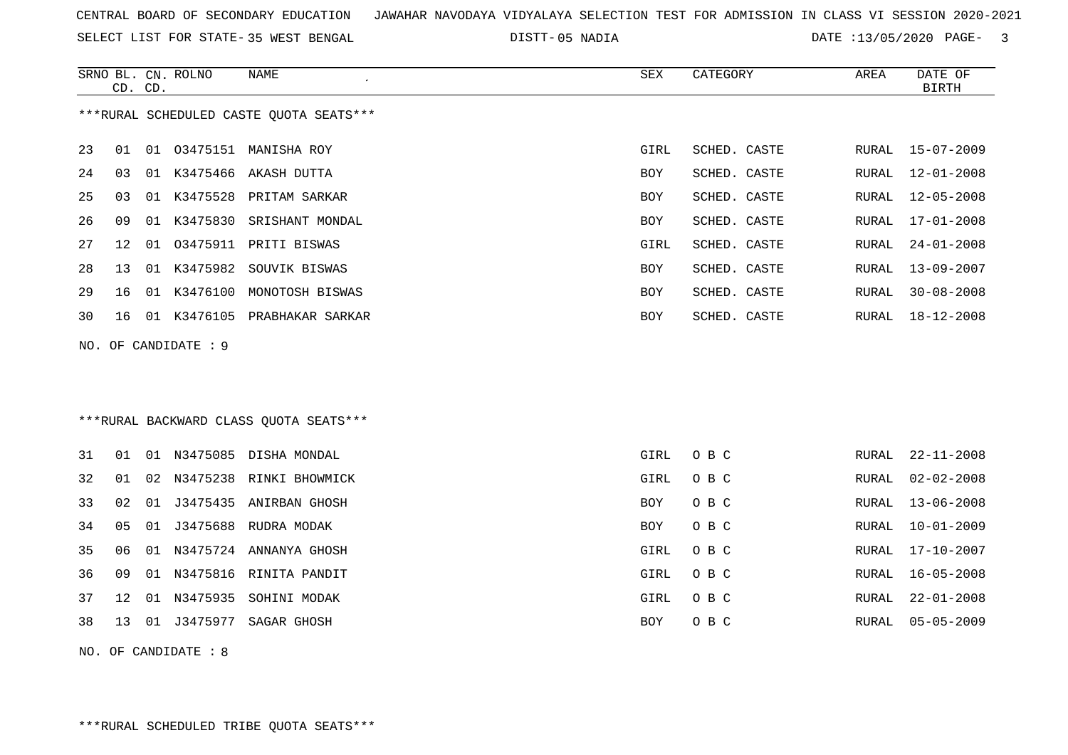SELECT LIST FOR STATE- DISTT- 35 WEST BENGAL

05 NADIA DATE :13/05/2020 PAGE- 3

|     | CD. CD. |    | SRNO BL. CN. ROLNO | <b>NAME</b>                             | <b>SEX</b> | CATEGORY     | AREA         | DATE OF<br><b>BIRTH</b> |
|-----|---------|----|--------------------|-----------------------------------------|------------|--------------|--------------|-------------------------|
|     |         |    |                    | ***RURAL SCHEDULED CASTE QUOTA SEATS*** |            |              |              |                         |
| 23  | 01      | 01 |                    | 03475151 MANISHA ROY                    | GIRL       | SCHED. CASTE | RURAL        | $15 - 07 - 2009$        |
| 24  | 03      |    |                    | 01 K3475466 AKASH DUTTA                 | BOY        | SCHED. CASTE | RURAL        | $12 - 01 - 2008$        |
| 25  | 03      |    |                    | 01 K3475528 PRITAM SARKAR               | BOY        | SCHED. CASTE | RURAL        | $12 - 05 - 2008$        |
| 26  | 09      |    | 01 K3475830        | SRISHANT MONDAL                         | <b>BOY</b> | SCHED. CASTE | RURAL        | $17 - 01 - 2008$        |
| 27  | 12      | 01 |                    | 03475911 PRITI BISWAS                   | GIRL       | SCHED. CASTE | RURAL        | $24 - 01 - 2008$        |
| 28  | 13      | 01 | K3475982           | SOUVIK BISWAS                           | BOY        | SCHED. CASTE | <b>RURAL</b> | $13 - 09 - 2007$        |
| 29  | 16      |    |                    | 01 K3476100 MONOTOSH BISWAS             | <b>BOY</b> | SCHED. CASTE | RURAL        | $30 - 08 - 2008$        |
| 30  | 16      |    |                    | 01 K3476105 PRABHAKAR SARKAR            | <b>BOY</b> | SCHED. CASTE | RURAL        | $18 - 12 - 2008$        |
| NO. |         |    | OF CANDIDATE : 9   |                                         |            |              |              |                         |
|     |         |    |                    |                                         |            |              |              |                         |
|     |         |    |                    |                                         |            |              |              |                         |
|     |         |    |                    | *** RURAL BACKWARD CLASS QUOTA SEATS*** |            |              |              |                         |
| 31  | 01      |    |                    | 01 N3475085 DISHA MONDAL                | GIRL       | O B C        | RURAL        | $22 - 11 - 2008$        |
| 32  | 01      | 02 |                    | N3475238 RINKI BHOWMICK                 | GIRL       | O B C        | RURAL        | $02 - 02 - 2008$        |
| 33  | 02      | 01 |                    | J3475435 ANIRBAN GHOSH                  | BOY        | O B C        | RURAL        | $13 - 06 - 2008$        |
| 34  | 05      | 01 |                    | J3475688 RUDRA MODAK                    | BOY        | O B C        | RURAL        | $10 - 01 - 2009$        |
| 35  | 06      |    |                    | 01 N3475724 ANNANYA GHOSH               | GIRL       | O B C        | RURAL        | $17 - 10 - 2007$        |
| 36  | 09      |    |                    | 01 N3475816 RINITA PANDIT               | GIRL       | O B C        | RURAL        | $16 - 05 - 2008$        |
| 37  | 12      |    |                    | 01 N3475935 SOHINI MODAK                | GIRL       | O B C        | RURAL        | $22 - 01 - 2008$        |
| 38  | 13      |    |                    | 01 J3475977 SAGAR GHOSH                 | BOY        | O B C        | <b>RURAL</b> | $05 - 05 - 2009$        |
|     |         |    |                    |                                         |            |              |              |                         |

NO. OF CANDIDATE : 8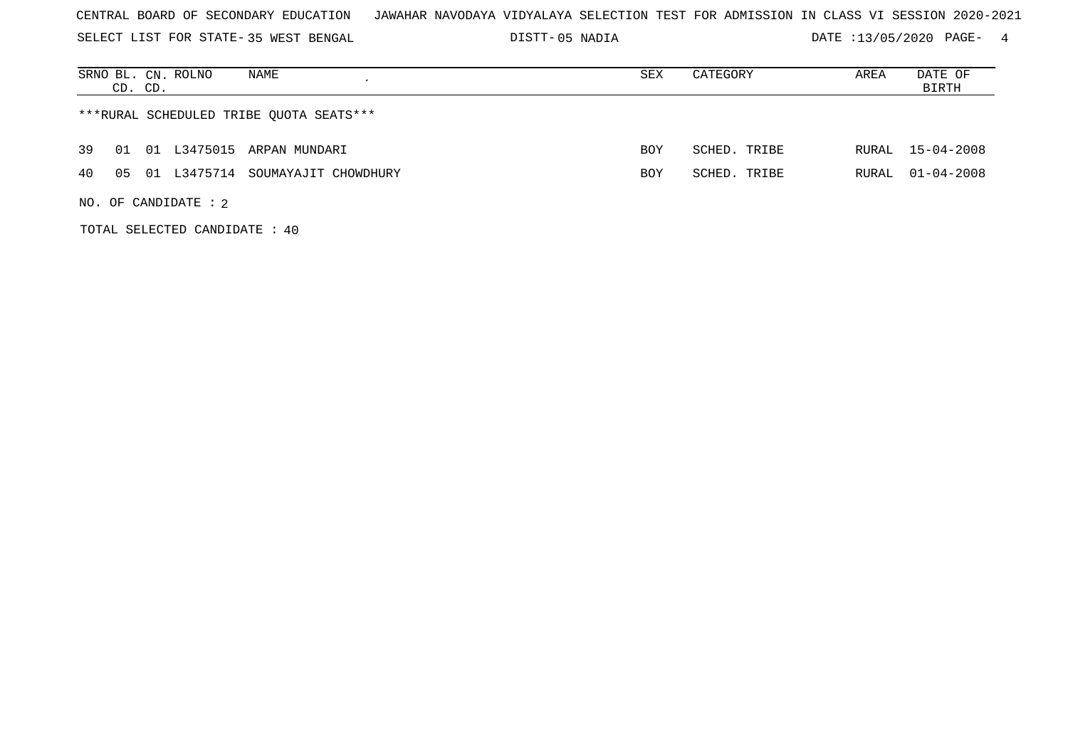SELECT LIST FOR STATE- DISTT- 35 WEST BENGAL

05 NADIA DATE :13/05/2020 PAGE- 4

| SRNO BL. CN. ROLNO<br>NAME<br>CD. CD.        | SEX        | CATEGORY     | AREA  | DATE OF<br>BIRTH |
|----------------------------------------------|------------|--------------|-------|------------------|
| ***RURAL SCHEDULED TRIBE OUOTA SEATS***      |            |              |       |                  |
| 39<br>01 L3475015 ARPAN MUNDARI<br>01        | <b>BOY</b> | SCHED. TRIBE |       | RURAL 15-04-2008 |
| 40<br>05 01 L3475714<br>SOUMAYAJIT CHOWDHURY | <b>BOY</b> | SCHED. TRIBE | RURAL | $01 - 04 - 2008$ |
| NO. OF CANDIDATE : $2$                       |            |              |       |                  |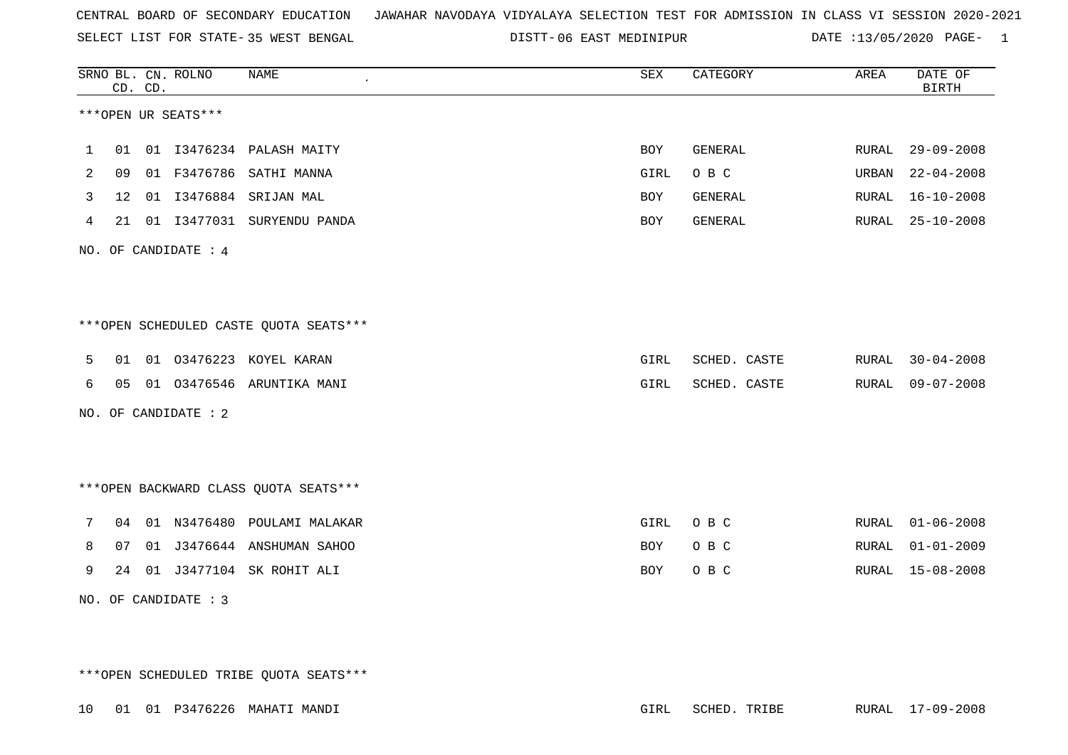SELECT LIST FOR STATE- DISTT- 35 WEST BENGAL

DISTT-06 EAST MEDINIPUR **DATE** :13/05/2020 PAGE- 1

|   |                 | CD. CD. | SRNO BL. CN. ROLNO   | <b>NAME</b>                            | SEX        | CATEGORY     | AREA  | DATE OF<br><b>BIRTH</b> |
|---|-----------------|---------|----------------------|----------------------------------------|------------|--------------|-------|-------------------------|
|   |                 |         | ***OPEN UR SEATS***  |                                        |            |              |       |                         |
| 1 |                 |         |                      | 01 01 I3476234 PALASH MAITY            | <b>BOY</b> | GENERAL      | RURAL | $29 - 09 - 2008$        |
| 2 | 09              |         |                      | 01 F3476786 SATHI MANNA                | GIRL       | O B C        | URBAN | $22 - 04 - 2008$        |
| 3 | 12 <sup>°</sup> |         |                      | 01 I3476884 SRIJAN MAL                 | <b>BOY</b> | GENERAL      | RURAL | $16 - 10 - 2008$        |
| 4 |                 |         |                      | 21 01 I3477031 SURYENDU PANDA          | <b>BOY</b> | GENERAL      | RURAL | $25 - 10 - 2008$        |
|   |                 |         | NO. OF CANDIDATE : 4 |                                        |            |              |       |                         |
|   |                 |         |                      |                                        |            |              |       |                         |
|   |                 |         |                      | ***OPEN SCHEDULED CASTE QUOTA SEATS*** |            |              |       |                         |
| 5 |                 |         |                      | 01 01 03476223 KOYEL KARAN             | GIRL       | SCHED. CASTE | RURAL | $30 - 04 - 2008$        |
| 6 |                 |         |                      | 05 01 03476546 ARUNTIKA MANI           | GIRL       | SCHED. CASTE | RURAL | $09 - 07 - 2008$        |
|   |                 |         | NO. OF CANDIDATE : 2 |                                        |            |              |       |                         |
|   |                 |         |                      |                                        |            |              |       |                         |
|   |                 |         |                      | *** OPEN BACKWARD CLASS QUOTA SEATS*** |            |              |       |                         |
| 7 |                 |         |                      | 04 01 N3476480 POULAMI MALAKAR         | GIRL       | O B C        | RURAL | $01 - 06 - 2008$        |
| 8 | 07              |         |                      | 01 J3476644 ANSHUMAN SAHOO             | <b>BOY</b> | O B C        | RURAL | $01 - 01 - 2009$        |
| 9 |                 |         |                      | 24 01 J3477104 SK ROHIT ALI            | <b>BOY</b> | O B C        |       | RURAL 15-08-2008        |
|   |                 |         | NO. OF CANDIDATE : 3 |                                        |            |              |       |                         |

\*\*\*OPEN SCHEDULED TRIBE QUOTA SEATS\*\*\*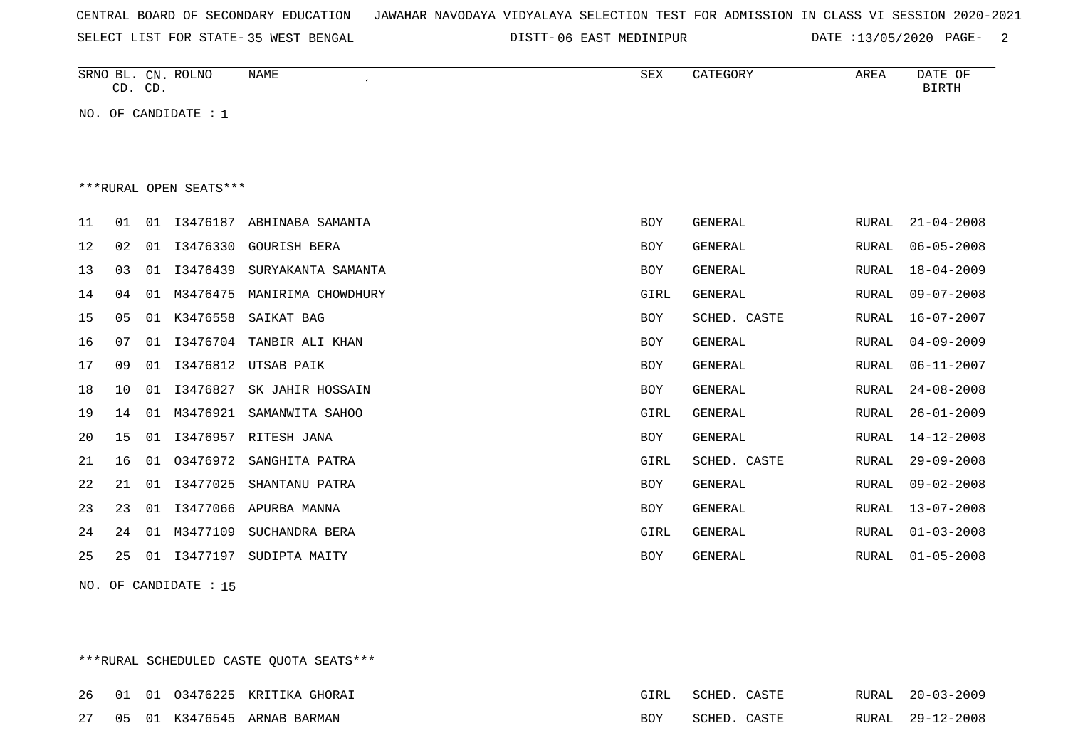| CENTRAL BOARD OF SECONDARY EDUCATION – JAWAHAR NAVODAYA VIDYALAYA SELECTION TEST FOR ADMISSION IN CLASS VI SESSION 2020-2021 |
|------------------------------------------------------------------------------------------------------------------------------|
|------------------------------------------------------------------------------------------------------------------------------|

SELECT LIST FOR STATE- DISTT- 35 WEST BENGAL 06 EAST MEDINIPUR DATE :13/05/2020 PAGE- 2

|    |                | CD. CD. | SRNO BL. CN. ROLNO     | <b>NAME</b><br>$\epsilon$ | ${\tt SEX}$ | CATEGORY       | AREA         | DATE OF<br><b>BIRTH</b> |
|----|----------------|---------|------------------------|---------------------------|-------------|----------------|--------------|-------------------------|
|    |                |         | NO. OF CANDIDATE : 1   |                           |             |                |              |                         |
|    |                |         |                        |                           |             |                |              |                         |
|    |                |         | ***RURAL OPEN SEATS*** |                           |             |                |              |                         |
|    |                |         |                        |                           |             |                |              |                         |
| 11 | 01             | 01      | I3476187               | ABHINABA SAMANTA          | <b>BOY</b>  | GENERAL        | RURAL        | $21 - 04 - 2008$        |
| 12 | 02             | 01      | I3476330               | <b>GOURISH BERA</b>       | <b>BOY</b>  | <b>GENERAL</b> | <b>RURAL</b> | $06 - 05 - 2008$        |
| 13 | 03             | 01      | I3476439               | SURYAKANTA SAMANTA        | <b>BOY</b>  | <b>GENERAL</b> | <b>RURAL</b> | $18 - 04 - 2009$        |
| 14 | 04             | 01      | M3476475               | MANIRIMA CHOWDHURY        | <b>GIRL</b> | <b>GENERAL</b> | <b>RURAL</b> | $09 - 07 - 2008$        |
| 15 | 0 <sub>5</sub> | 01      | K3476558               | SAIKAT BAG                | <b>BOY</b>  | SCHED. CASTE   | <b>RURAL</b> | $16 - 07 - 2007$        |
| 16 | 07             | 01      | I3476704               | TANBIR ALI KHAN           | <b>BOY</b>  | <b>GENERAL</b> | <b>RURAL</b> | $04 - 09 - 2009$        |
| 17 | 09             | 01      | I3476812               | UTSAB PAIK                | <b>BOY</b>  | <b>GENERAL</b> | <b>RURAL</b> | $06 - 11 - 2007$        |
| 18 | 10             | 01      | I3476827               | SK JAHIR HOSSAIN          | <b>BOY</b>  | <b>GENERAL</b> | <b>RURAL</b> | $24 - 08 - 2008$        |
| 19 | 14             | 01      | M3476921               | SAMANWITA SAHOO           | GIRL        | GENERAL        | <b>RURAL</b> | $26 - 01 - 2009$        |
| 20 | 15             | 01      | I3476957               | RITESH JANA               | <b>BOY</b>  | <b>GENERAL</b> | <b>RURAL</b> | $14 - 12 - 2008$        |
| 21 | 16             | 01      | 03476972               | SANGHITA PATRA            | GIRL        | SCHED. CASTE   | <b>RURAL</b> | $29 - 09 - 2008$        |
| 22 | 21             | 01      | I3477025               | SHANTANU PATRA            | BOY         | <b>GENERAL</b> | <b>RURAL</b> | $09 - 02 - 2008$        |
| 23 | 23             | 01      | I3477066               | APURBA MANNA              | <b>BOY</b>  | <b>GENERAL</b> | <b>RURAL</b> | $13 - 07 - 2008$        |
| 24 | 24             | 01      | M3477109               | SUCHANDRA BERA            | GIRL        | <b>GENERAL</b> | <b>RURAL</b> | $01 - 03 - 2008$        |
| 25 | 25             | 01      | I3477197               | SUDIPTA MAITY             | <b>BOY</b>  | <b>GENERAL</b> | <b>RURAL</b> | $01 - 05 - 2008$        |

NO. OF CANDIDATE : 15

\*\*\*RURAL SCHEDULED CASTE QUOTA SEATS\*\*\*

|  |  |                                | GIRL | SCHED. CASTE |  | RURAL 20-03-2009 |
|--|--|--------------------------------|------|--------------|--|------------------|
|  |  | 27 05 01 K3476545 ARNAB BARMAN | BOY  | SCHED. CASTE |  | RURAL 29-12-2008 |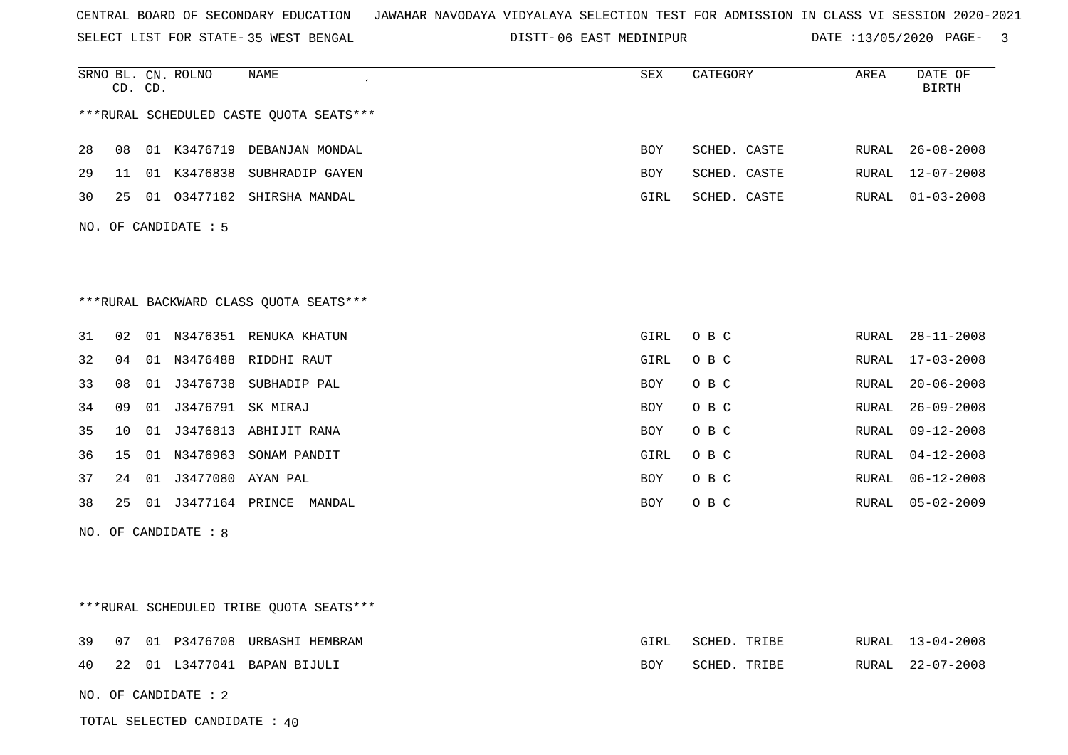SELECT LIST FOR STATE- DISTT- 35 WEST BENGAL

06 EAST MEDINIPUR DATE :13/05/2020 PAGE- 3

|    |    | CD. CD. | SRNO BL. CN. ROLNO      | NAME                                    | SEX  | CATEGORY     | AREA  | DATE OF<br><b>BIRTH</b> |
|----|----|---------|-------------------------|-----------------------------------------|------|--------------|-------|-------------------------|
|    |    |         |                         | ***RURAL SCHEDULED CASTE QUOTA SEATS*** |      |              |       |                         |
| 28 |    |         |                         | 08 01 K3476719 DEBANJAN MONDAL          | BOY  | SCHED. CASTE | RURAL | $26 - 08 - 2008$        |
| 29 |    |         |                         | 11 01 K3476838 SUBHRADIP GAYEN          | BOY  | SCHED. CASTE | RURAL | 12-07-2008              |
| 30 |    |         |                         | 25 01 03477182 SHIRSHA MANDAL           | GIRL | SCHED. CASTE | RURAL | $01 - 03 - 2008$        |
|    |    |         | NO. OF CANDIDATE : 5    |                                         |      |              |       |                         |
|    |    |         |                         |                                         |      |              |       |                         |
|    |    |         |                         |                                         |      |              |       |                         |
|    |    |         |                         | ***RURAL BACKWARD CLASS OUOTA SEATS***  |      |              |       |                         |
| 31 | 02 |         |                         | 01 N3476351 RENUKA KHATUN               | GIRL | O B C        |       | RURAL 28-11-2008        |
| 32 | 04 |         |                         | 01 N3476488 RIDDHI RAUT                 | GIRL | O B C        | RURAL | $17 - 03 - 2008$        |
| 33 | 08 |         |                         | 01 J3476738 SUBHADIP PAL                | BOY  | O B C        | RURAL | $20 - 06 - 2008$        |
| 34 | 09 |         | 01 J3476791 SK MIRAJ    |                                         | BOY  | O B C        | RURAL | $26 - 09 - 2008$        |
| 35 | 10 |         |                         | 01 J3476813 ABHIJIT RANA                | BOY  | O B C        | RURAL | $09 - 12 - 2008$        |
| 36 | 15 |         |                         | 01 N3476963 SONAM PANDIT                | GIRL | O B C        | RURAL | $04 - 12 - 2008$        |
| 37 |    |         | 24 01 J3477080 AYAN PAL |                                         | BOY  | O B C        | RURAL | $06 - 12 - 2008$        |
| 38 |    |         |                         | 25 01 J3477164 PRINCE MANDAL            | BOY  | O B C        | RURAL | $05 - 02 - 2009$        |
|    |    |         | NO. OF CANDIDATE : 8    |                                         |      |              |       |                         |
|    |    |         |                         |                                         |      |              |       |                         |
|    |    |         |                         |                                         |      |              |       |                         |
|    |    |         |                         | ***RURAL SCHEDULED TRIBE QUOTA SEATS*** |      |              |       |                         |
| 39 |    |         |                         | 07 01 P3476708 URBASHI HEMBRAM          | GIRL | SCHED. TRIBE | RURAL | $13 - 04 - 2008$        |
| 40 |    |         |                         | 22 01 L3477041 BAPAN BIJULI             | BOY  | SCHED. TRIBE | RURAL | 22-07-2008              |
|    |    |         | NO. OF CANDIDATE : 2    |                                         |      |              |       |                         |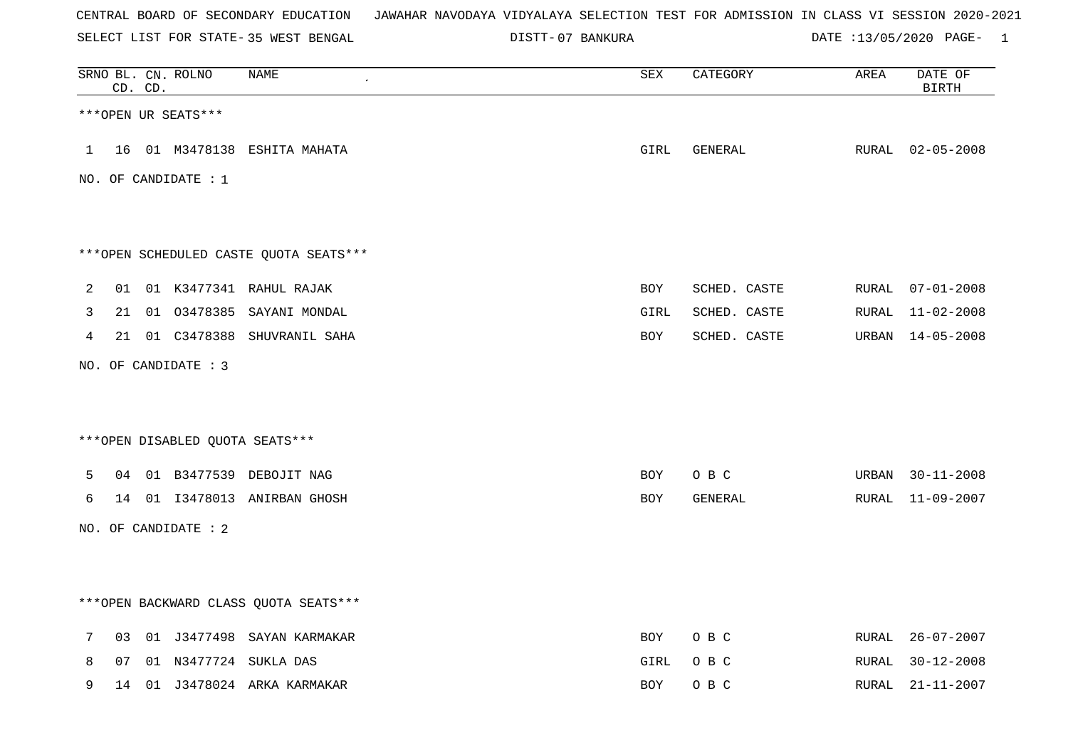| CENTRAL BOARD OF SECONDARY EDUCATION – JAWAHAR NAVODAYA VIDYALAYA SELECTION TEST FOR ADMISSION IN CLASS VI SESSION 2020-2021 |  |
|------------------------------------------------------------------------------------------------------------------------------|--|
|------------------------------------------------------------------------------------------------------------------------------|--|

SELECT LIST FOR STATE- DISTT- 35 WEST BENGAL 07 BANKURA DATE :13/05/2020 PAGE- 1

|              |    | CD. CD. | SRNO BL. CN. ROLNO   | <b>NAME</b>                            | $\overline{\mathtt{SEX}}$ | CATEGORY     | AREA  | DATE OF<br>$\operatorname{BIRTH}$ |
|--------------|----|---------|----------------------|----------------------------------------|---------------------------|--------------|-------|-----------------------------------|
|              |    |         | ***OPEN UR SEATS***  |                                        |                           |              |       |                                   |
| $\mathbf{1}$ |    |         |                      | 16 01 M3478138 ESHITA MAHATA           | GIRL                      | GENERAL      |       | RURAL 02-05-2008                  |
|              |    |         | NO. OF CANDIDATE : 1 |                                        |                           |              |       |                                   |
|              |    |         |                      | ***OPEN SCHEDULED CASTE QUOTA SEATS*** |                           |              |       |                                   |
| 2            |    |         |                      | 01 01 K3477341 RAHUL RAJAK             | BOY                       | SCHED. CASTE | RURAL | $07 - 01 - 2008$                  |
| 3            | 21 |         |                      | 01 03478385 SAYANI MONDAL              | GIRL                      | SCHED. CASTE |       | RURAL 11-02-2008                  |
| 4            |    |         |                      | 21 01 C3478388 SHUVRANIL SAHA          | BOY                       | SCHED. CASTE |       | URBAN 14-05-2008                  |
|              |    |         | NO. OF CANDIDATE : 3 |                                        |                           |              |       |                                   |
|              |    |         |                      | ***OPEN DISABLED QUOTA SEATS***        |                           |              |       |                                   |
| 5            |    |         |                      | 04 01 B3477539 DEBOJIT NAG             | BOY                       | O B C        |       | URBAN 30-11-2008                  |
| 6            |    |         |                      | 14 01 13478013 ANIRBAN GHOSH           | BOY                       | GENERAL      |       | RURAL 11-09-2007                  |
|              |    |         | NO. OF CANDIDATE : 2 |                                        |                           |              |       |                                   |
|              |    |         |                      | *** OPEN BACKWARD CLASS QUOTA SEATS*** |                           |              |       |                                   |
| 7            | 03 |         |                      | 01 J3477498 SAYAN KARMAKAR             | BOY                       | O B C        | RURAL | $26 - 07 - 2007$                  |
| 8            | 07 |         |                      | 01 N3477724 SUKLA DAS                  | GIRL                      | O B C        | RURAL | $30 - 12 - 2008$                  |
| 9            | 14 |         |                      | 01 J3478024 ARKA KARMAKAR              | BOY                       | O B C        | RURAL | $21 - 11 - 2007$                  |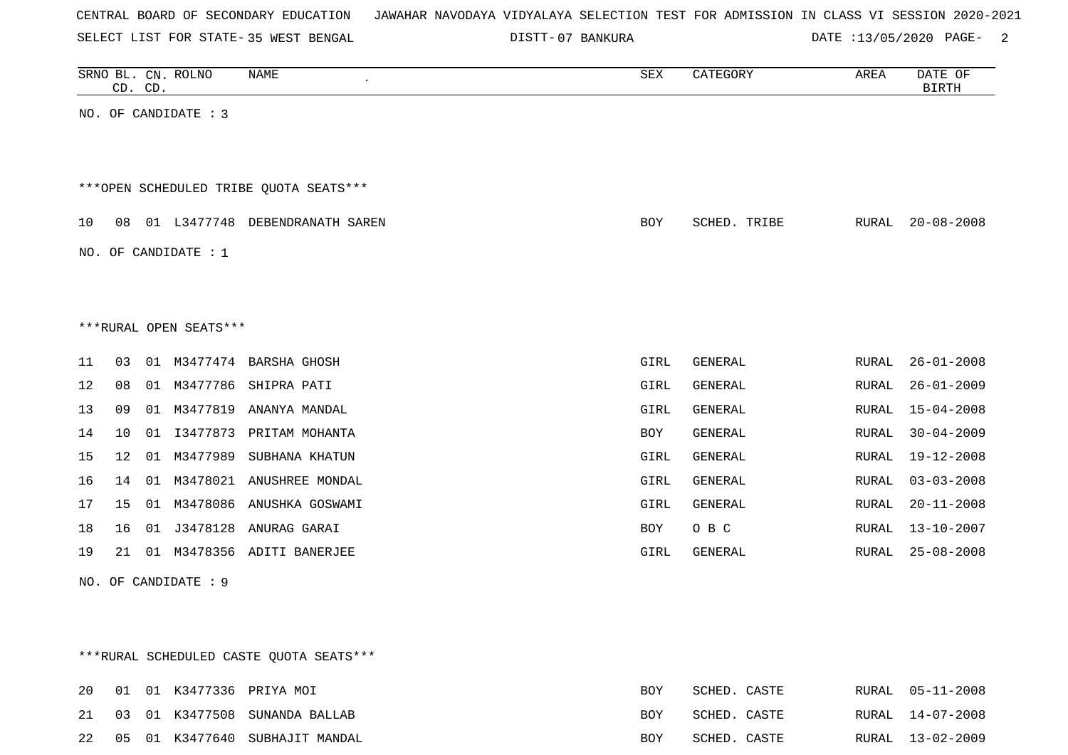|  |  |  |  | CENTRAL BOARD OF SECONDARY EDUCATION – JAWAHAR NAVODAYA VIDYALAYA SELECTION TEST FOR ADMISSION IN CLASS VI SESSION 2020-2021 |  |  |  |  |  |  |  |  |  |  |  |  |  |
|--|--|--|--|------------------------------------------------------------------------------------------------------------------------------|--|--|--|--|--|--|--|--|--|--|--|--|--|
|--|--|--|--|------------------------------------------------------------------------------------------------------------------------------|--|--|--|--|--|--|--|--|--|--|--|--|--|

SELECT LIST FOR STATE-35 WEST BENGAL

35 WEST BENGAL 07 BANKURA DATE :13/05/2020 PAGE- 2

|                      | SRNO BL. CN. ROLNO<br>CD. CD. |                        | <b>NAME</b>                            | ${\tt SEX}$ | CATEGORY       | AREA         | DATE OF<br><b>BIRTH</b> |
|----------------------|-------------------------------|------------------------|----------------------------------------|-------------|----------------|--------------|-------------------------|
| NO. OF CANDIDATE : 3 |                               |                        |                                        |             |                |              |                         |
|                      |                               |                        |                                        |             |                |              |                         |
|                      |                               |                        | ***OPEN SCHEDULED TRIBE QUOTA SEATS*** |             |                |              |                         |
| 10<br>08             |                               |                        | 01 L3477748 DEBENDRANATH SAREN         | <b>BOY</b>  | SCHED. TRIBE   | RURAL        | $20 - 08 - 2008$        |
| NO. OF CANDIDATE : 1 |                               |                        |                                        |             |                |              |                         |
|                      |                               |                        |                                        |             |                |              |                         |
|                      |                               | ***RURAL OPEN SEATS*** |                                        |             |                |              |                         |
| 11<br>03             | 01                            | M3477474               | BARSHA GHOSH                           | GIRL        | GENERAL        | RURAL        | $26 - 01 - 2008$        |
| 12<br>08             | 01                            | M3477786               | SHIPRA PATI                            | GIRL        | GENERAL        | RURAL        | $26 - 01 - 2009$        |
| 13<br>09             | 01                            | M3477819               | ANANYA MANDAL                          | GIRL        | <b>GENERAL</b> | RURAL        | $15 - 04 - 2008$        |
| 14<br>10             | 01                            |                        | I3477873 PRITAM MOHANTA                | BOY         | GENERAL        | RURAL        | $30 - 04 - 2009$        |
| 15<br>$12 \,$        | 01                            | M3477989               | SUBHANA KHATUN                         | GIRL        | GENERAL        | RURAL        | $19 - 12 - 2008$        |
| 16<br>14             | 01                            | M3478021               | ANUSHREE MONDAL                        | GIRL        | <b>GENERAL</b> | <b>RURAL</b> | $03 - 03 - 2008$        |
| 17<br>15             | 01                            | M3478086               | ANUSHKA GOSWAMI                        | GIRL        | GENERAL        | RURAL        | $20 - 11 - 2008$        |
| 18<br>16             | 01                            | J3478128               | ANURAG GARAI                           | BOY         | O B C          | RURAL        | $13 - 10 - 2007$        |
| 19<br>21             |                               |                        | 01 M3478356 ADITI BANERJEE             | GIRL        | GENERAL        | <b>RURAL</b> | $25 - 08 - 2008$        |
| NO. OF CANDIDATE : 9 |                               |                        |                                        |             |                |              |                         |

\*\*\*RURAL SCHEDULED CASTE QUOTA SEATS\*\*\*

|  |  |                                   | <b>BOY</b> | SCHED. CASTE | RURAL 05-11-2008 |
|--|--|-----------------------------------|------------|--------------|------------------|
|  |  | 21 03 01 K3477508 SUNANDA BALLAB  | <b>BOY</b> | SCHED. CASTE | RURAL 14-07-2008 |
|  |  | 22 05 01 K3477640 SUBHAJIT MANDAL | <b>BOY</b> | SCHED. CASTE | RURAL 13-02-2009 |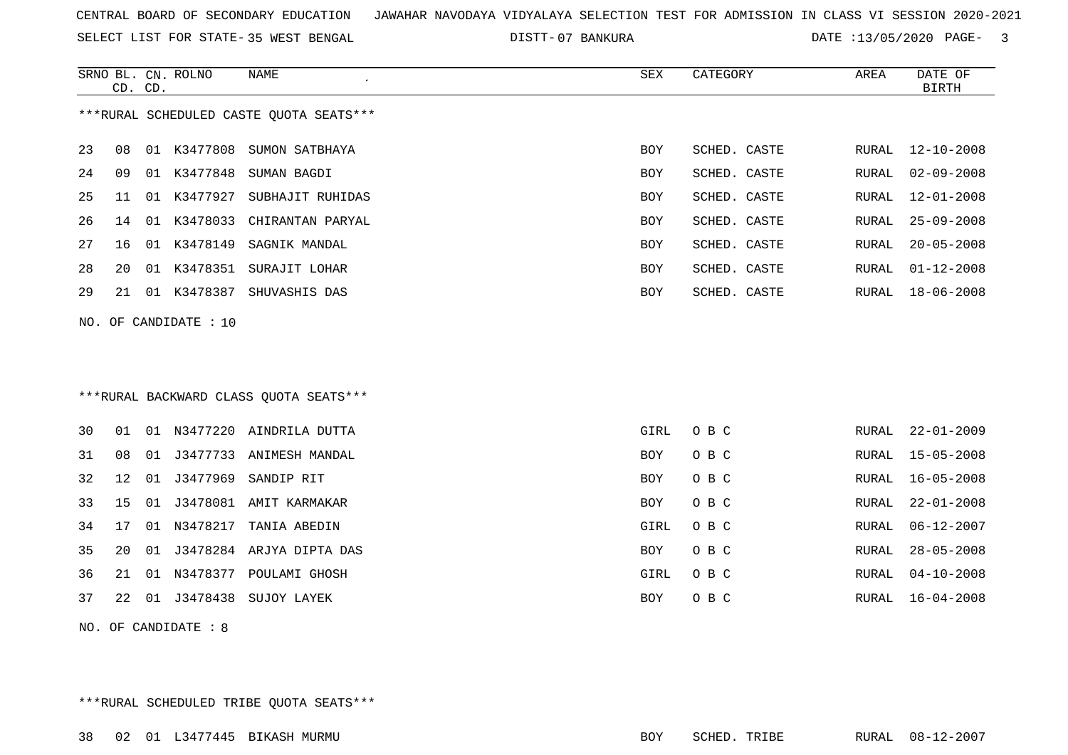SELECT LIST FOR STATE- DISTT- 35 WEST BENGAL

07 BANKURA DATE :13/05/2020 PAGE- 3

|     | CD. CD. |    | SRNO BL. CN. ROLNO    | <b>NAME</b>                              | <b>SEX</b> | CATEGORY     | AREA  | DATE OF<br><b>BIRTH</b> |
|-----|---------|----|-----------------------|------------------------------------------|------------|--------------|-------|-------------------------|
|     |         |    |                       | *** RURAL SCHEDULED CASTE QUOTA SEATS*** |            |              |       |                         |
| 23  | 08      |    | 01 K3477808           | SUMON SATBHAYA                           | <b>BOY</b> | SCHED. CASTE | RURAL | $12 - 10 - 2008$        |
| 24  | 09      |    | 01 K3477848           | SUMAN BAGDI                              | <b>BOY</b> | SCHED. CASTE | RURAL | $02 - 09 - 2008$        |
| 25  | 11      |    |                       | 01 K3477927 SUBHAJIT RUHIDAS             | <b>BOY</b> | SCHED. CASTE | RURAL | $12 - 01 - 2008$        |
| 26  | 14      |    | 01 K3478033           | CHIRANTAN PARYAL                         | BOY        | SCHED. CASTE | RURAL | $25 - 09 - 2008$        |
| 27  | 16      |    |                       | 01 K3478149 SAGNIK MANDAL                | BOY        | SCHED. CASTE | RURAL | $20 - 05 - 2008$        |
| 28  | 20      |    |                       | 01 K3478351 SURAJIT LOHAR                | BOY        | SCHED. CASTE | RURAL | $01 - 12 - 2008$        |
| 29  | 21      |    |                       | 01 K3478387 SHUVASHIS DAS                | BOY        | SCHED. CASTE | RURAL | $18 - 06 - 2008$        |
|     |         |    | NO. OF CANDIDATE : 10 |                                          |            |              |       |                         |
|     |         |    |                       |                                          |            |              |       |                         |
|     |         |    |                       |                                          |            |              |       |                         |
|     |         |    |                       | *** RURAL BACKWARD CLASS QUOTA SEATS***  |            |              |       |                         |
| 30  | 01      |    |                       | 01 N3477220 AINDRILA DUTTA               | GIRL       | O B C        | RURAL | $22 - 01 - 2009$        |
| 31  | 08      | 01 |                       | J3477733 ANIMESH MANDAL                  | BOY        | O B C        | RURAL | $15 - 05 - 2008$        |
| 32  | 12      |    |                       | 01 J3477969 SANDIP RIT                   | BOY        | O B C        | RURAL | $16 - 05 - 2008$        |
| 33  | 15      | 01 |                       | J3478081 AMIT KARMAKAR                   | BOY        | O B C        | RURAL | $22 - 01 - 2008$        |
| 34  | 17      |    |                       | 01 N3478217 TANIA ABEDIN                 | GIRL       | O B C        | RURAL | $06 - 12 - 2007$        |
| 35  | 20      |    |                       | 01 J3478284 ARJYA DIPTA DAS              | BOY        | O B C        | RURAL | $28 - 05 - 2008$        |
| 36  | 21      |    |                       | 01 N3478377 POULAMI GHOSH                | GIRL       | O B C        | RURAL | $04 - 10 - 2008$        |
| 37  | 22      |    |                       | 01 J3478438 SUJOY LAYEK                  | BOY        | O B C        | RURAL | $16 - 04 - 2008$        |
| NO. |         |    | OF CANDIDATE : 8      |                                          |            |              |       |                         |

\*\*\*RURAL SCHEDULED TRIBE QUOTA SEATS\*\*\*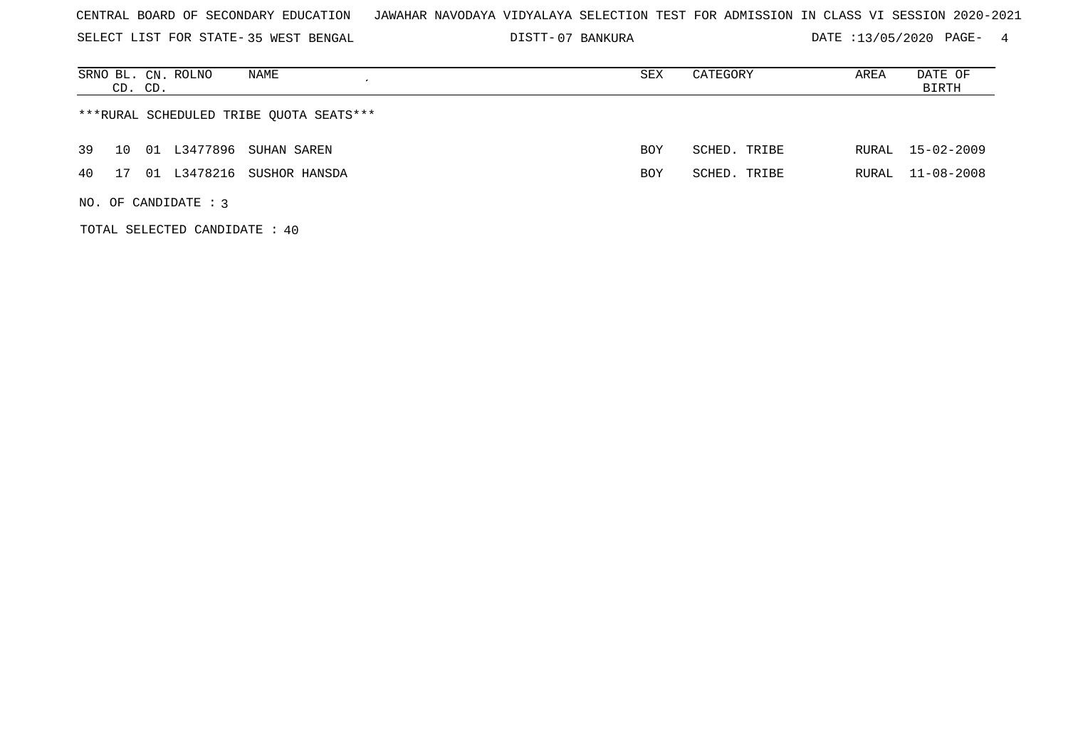| CENTRAL BOARD OF SECONDARY EDUCATION – JAWAHAR NAVODAYA VIDYALAYA SELECTION TEST FOR ADMISSION IN CLASS VI SESSION 2020-2021 |  |
|------------------------------------------------------------------------------------------------------------------------------|--|
|------------------------------------------------------------------------------------------------------------------------------|--|

SELECT LIST FOR STATE- DISTT- 35 WEST BENGAL 07 BANKURA DATE :13/05/2020 PAGE- 4

| SRNO BL. CN. ROLNO<br>NAME<br>CD. CD.   | SEX        | CATEGORY     | AREA  | DATE OF<br>BIRTH |  |  |  |  |  |
|-----------------------------------------|------------|--------------|-------|------------------|--|--|--|--|--|
| ***RURAL SCHEDULED TRIBE QUOTA SEATS*** |            |              |       |                  |  |  |  |  |  |
| 01 L3477896<br>SUHAN SAREN<br>39<br>10  | BOY        | SCHED. TRIBE |       | RURAL 15-02-2009 |  |  |  |  |  |
| 01 L3478216 SUSHOR HANSDA<br>40<br>17   | <b>BOY</b> | SCHED. TRIBE | RURAL | 11-08-2008       |  |  |  |  |  |
| NO. OF CANDIDATE : $3$                  |            |              |       |                  |  |  |  |  |  |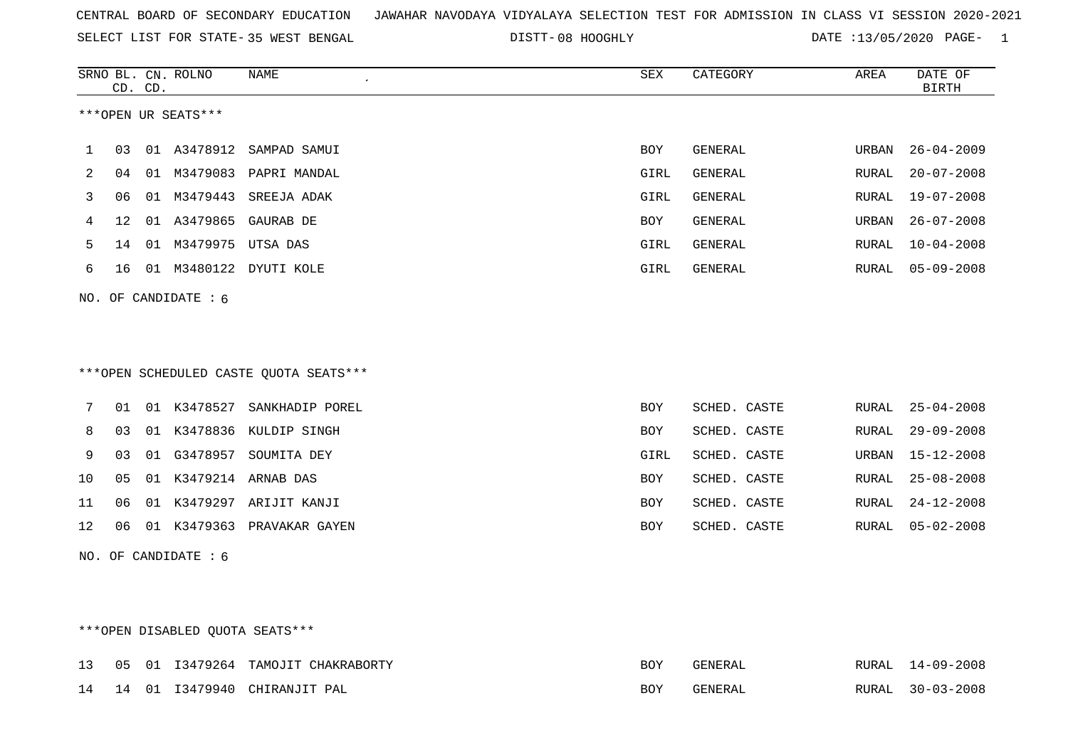| CENTRAL BOARD OF SECONDARY EDUCATION – JAWAHAR NAVODAYA VIDYALAYA SELECTION TEST FOR ADMISSION IN CLASS VI SESSION 2020-2021 |  |
|------------------------------------------------------------------------------------------------------------------------------|--|
|------------------------------------------------------------------------------------------------------------------------------|--|

SELECT LIST FOR STATE- DISTT- 35 WEST BENGAL 08 HOOGHLY DATE :13/05/2020 PAGE- 1

|    |                   | CD. CD. | SRNO BL. CN. ROLNO     | <b>NAME</b><br>$\pmb{\cdot}$           | <b>SEX</b> | CATEGORY       | AREA         | DATE OF<br><b>BIRTH</b> |
|----|-------------------|---------|------------------------|----------------------------------------|------------|----------------|--------------|-------------------------|
|    |                   |         | ***OPEN UR SEATS***    |                                        |            |                |              |                         |
| 1  | 03                |         | 01 A3478912            | SAMPAD SAMUI                           | <b>BOY</b> | GENERAL        | URBAN        | $26 - 04 - 2009$        |
| 2  | 04                | 01      | M3479083               | PAPRI MANDAL                           | GIRL       | <b>GENERAL</b> | <b>RURAL</b> | $20 - 07 - 2008$        |
| 3  | 06                |         | 01 M3479443            | SREEJA ADAK                            | GIRL       | <b>GENERAL</b> | RURAL        | $19 - 07 - 2008$        |
| 4  | $12 \overline{ }$ |         | 01 A3479865            | GAURAB DE                              | <b>BOY</b> | GENERAL        | URBAN        | $26 - 07 - 2008$        |
| 5  | 14                |         | 01 M3479975 UTSA DAS   |                                        | GIRL       | GENERAL        | RURAL        | $10 - 04 - 2008$        |
| 6  | 16                |         | 01 M3480122            | DYUTI KOLE                             | GIRL       | <b>GENERAL</b> | RURAL        | $05 - 09 - 2008$        |
|    |                   |         | NO. OF CANDIDATE $: 6$ |                                        |            |                |              |                         |
|    |                   |         |                        |                                        |            |                |              |                         |
|    |                   |         |                        |                                        |            |                |              |                         |
|    |                   |         |                        | ***OPEN SCHEDULED CASTE QUOTA SEATS*** |            |                |              |                         |
| 7  | 01                |         |                        | 01 K3478527 SANKHADIP POREL            | BOY        | SCHED. CASTE   | RURAL        | $25 - 04 - 2008$        |
| 8  | 03                |         |                        | 01 K3478836 KULDIP SINGH               | <b>BOY</b> | SCHED. CASTE   | RURAL        | $29 - 09 - 2008$        |
| 9  | 03                | 01      | G3478957               | SOUMITA DEY                            | GIRL       | SCHED. CASTE   | URBAN        | $15 - 12 - 2008$        |
|    |                   |         |                        |                                        |            |                |              |                         |
| 10 | 05                | 01      |                        | K3479214 ARNAB DAS                     | BOY        | SCHED. CASTE   | RURAL        | $25 - 08 - 2008$        |
| 11 | 06                |         |                        | 01 K3479297 ARIJIT KANJI               | BOY        | SCHED. CASTE   | RURAL        | $24 - 12 - 2008$        |
| 12 | 06                |         |                        | 01 K3479363 PRAVAKAR GAYEN             | BOY        | SCHED. CASTE   | RURAL        | $05 - 02 - 2008$        |
|    |                   |         | NO. OF CANDIDATE : 6   |                                        |            |                |              |                         |

## \*\*\*OPEN DISABLED QUOTA SEATS\*\*\*

|  |  | 13 05 01 13479264 TAMOJIT CHAKRABORTY | BOY | GENERAL | RURAL 14-09-2008 |
|--|--|---------------------------------------|-----|---------|------------------|
|  |  | 14 14 01 13479940 CHIRANJIT PAL       | BOY | GENERAL | RURAL 30-03-2008 |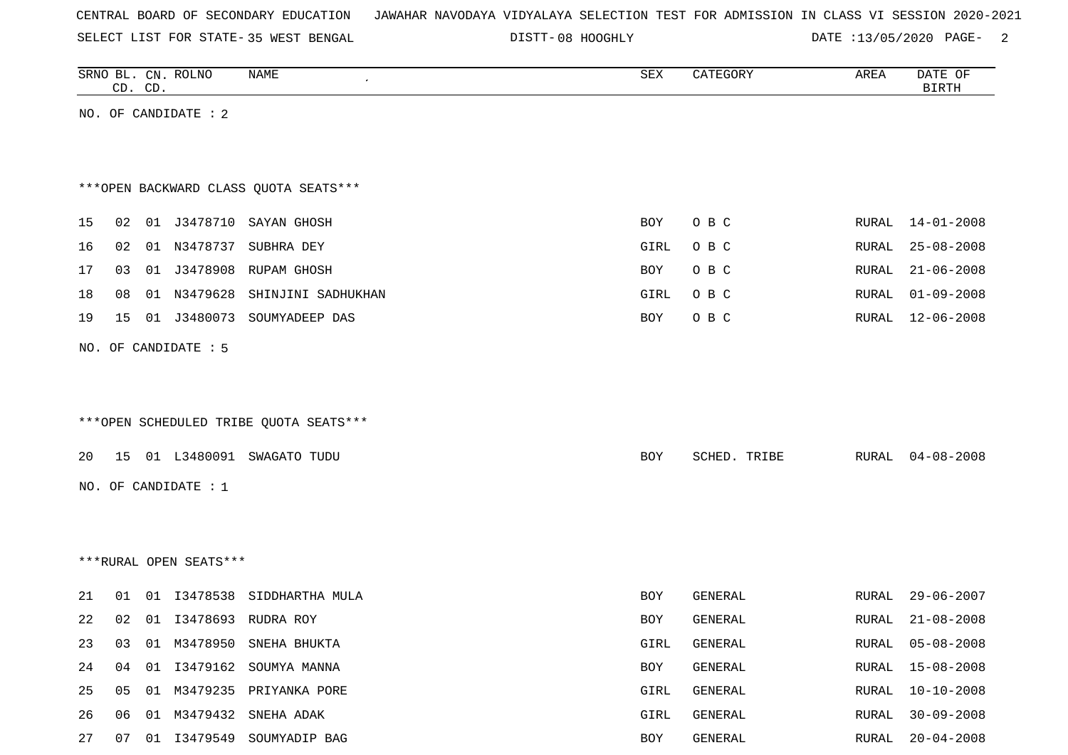| CENTRAL BOARD OF SECONDARY EDUCATION – JAWAHAR NAVODAYA VIDYALAYA SELECTION TEST FOR ADMISSION IN CLASS VI SESSION 2020-2021 |  |
|------------------------------------------------------------------------------------------------------------------------------|--|
|------------------------------------------------------------------------------------------------------------------------------|--|

SELECT LIST FOR STATE- DISTT- 35 WEST BENGAL

DISTT-08 HOOGHLY DATE :13/05/2020 PAGE- 2

|    |    | CD. CD. | SRNO BL. CN. ROLNO     | <b>NAME</b>                            | ${\tt SEX}$ | CATEGORY     | AREA         | DATE OF<br><b>BIRTH</b> |
|----|----|---------|------------------------|----------------------------------------|-------------|--------------|--------------|-------------------------|
|    |    |         | NO. OF CANDIDATE : 2   |                                        |             |              |              |                         |
|    |    |         |                        |                                        |             |              |              |                         |
|    |    |         |                        |                                        |             |              |              |                         |
|    |    |         |                        | *** OPEN BACKWARD CLASS QUOTA SEATS*** |             |              |              |                         |
| 15 | 02 |         |                        | 01 J3478710 SAYAN GHOSH                | <b>BOY</b>  | O B C        | RURAL        | $14 - 01 - 2008$        |
| 16 | 02 |         |                        | 01 N3478737 SUBHRA DEY                 | GIRL        | O B C        | <b>RURAL</b> | $25 - 08 - 2008$        |
| 17 | 03 |         |                        | 01 J3478908 RUPAM GHOSH                | BOY         | O B C        | RURAL        | $21 - 06 - 2008$        |
| 18 | 08 |         | 01 N3479628            | SHINJINI SADHUKHAN                     | GIRL        | O B C        | RURAL        | $01 - 09 - 2008$        |
| 19 | 15 |         |                        | 01 J3480073 SOUMYADEEP DAS             | BOY         | O B C        | RURAL        | $12 - 06 - 2008$        |
|    |    |         | NO. OF CANDIDATE : 5   |                                        |             |              |              |                         |
|    |    |         |                        |                                        |             |              |              |                         |
|    |    |         |                        |                                        |             |              |              |                         |
|    |    |         |                        | ***OPEN SCHEDULED TRIBE QUOTA SEATS*** |             |              |              |                         |
| 20 |    |         |                        | 15 01 L3480091 SWAGATO TUDU            | BOY         | SCHED. TRIBE | RURAL        | $04 - 08 - 2008$        |
|    |    |         | NO. OF CANDIDATE : 1   |                                        |             |              |              |                         |
|    |    |         |                        |                                        |             |              |              |                         |
|    |    |         |                        |                                        |             |              |              |                         |
|    |    |         | ***RURAL OPEN SEATS*** |                                        |             |              |              |                         |
| 21 | 01 |         |                        | 01 I3478538 SIDDHARTHA MULA            | BOY         | GENERAL      | RURAL        | $29 - 06 - 2007$        |
| 22 | 02 |         |                        | 01 I3478693 RUDRA ROY                  | BOY         | GENERAL      | <b>RURAL</b> | $21 - 08 - 2008$        |
| 23 | 03 |         |                        | 01 M3478950 SNEHA BHUKTA               | GIRL        | GENERAL      | RURAL        | $05 - 08 - 2008$        |
| 24 | 04 |         |                        | 01 I3479162 SOUMYA MANNA               | BOY         | GENERAL      | RURAL        | $15 - 08 - 2008$        |
| 25 | 05 |         |                        | 01 M3479235 PRIYANKA PORE              | GIRL        | GENERAL      | RURAL        | $10 - 10 - 2008$        |
| 26 | 06 |         |                        | 01 M3479432 SNEHA ADAK                 | GIRL        | GENERAL      | RURAL        | $30 - 09 - 2008$        |
| 27 | 07 |         |                        | 01 I3479549 SOUMYADIP BAG              | BOY         | GENERAL      | RURAL        | $20 - 04 - 2008$        |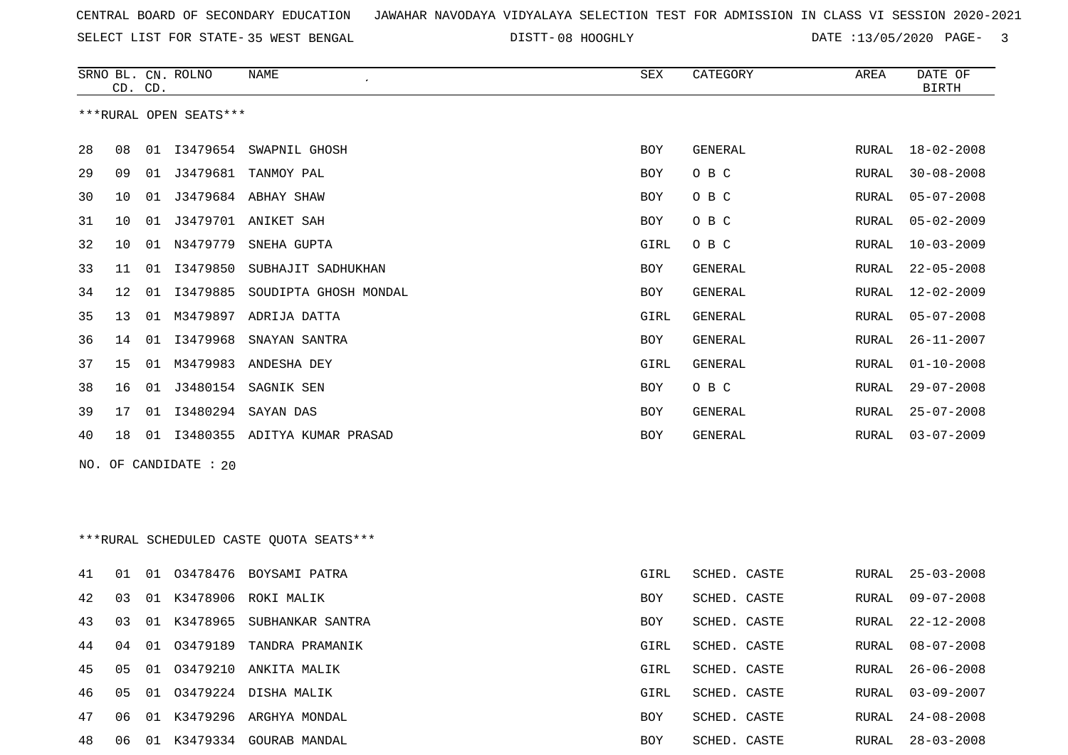SELECT LIST FOR STATE- DISTT- 35 WEST BENGAL

DISTT-08 HOOGHLY **DATE** :13/05/2020 PAGE- 3

|    |    | CD. CD. | SRNO BL. CN. ROLNO     | NAME                                     | SEX  | CATEGORY     | AREA  | DATE OF<br><b>BIRTH</b> |
|----|----|---------|------------------------|------------------------------------------|------|--------------|-------|-------------------------|
|    |    |         | ***RURAL OPEN SEATS*** |                                          |      |              |       |                         |
| 28 | 08 |         |                        | 01 I3479654 SWAPNIL GHOSH                | BOY  | GENERAL      | RURAL | 18-02-2008              |
| 29 | 09 |         | 01 J3479681            | TANMOY PAL                               | BOY  | O B C        | RURAL | $30 - 08 - 2008$        |
| 30 | 10 | 01      |                        | J3479684 ABHAY SHAW                      | BOY  | O B C        | RURAL | $05 - 07 - 2008$        |
| 31 | 10 | 01      |                        | J3479701 ANIKET SAH                      | BOY  | O B C        | RURAL | $05 - 02 - 2009$        |
| 32 | 10 |         | 01 N3479779            | SNEHA GUPTA                              | GIRL | O B C        | RURAL | $10 - 03 - 2009$        |
| 33 | 11 |         | 01 13479850            | SUBHAJIT SADHUKHAN                       | BOY  | GENERAL      | RURAL | $22 - 05 - 2008$        |
| 34 | 12 | 01      | I3479885               | SOUDIPTA GHOSH MONDAL                    | BOY  | GENERAL      | RURAL | $12 - 02 - 2009$        |
| 35 | 13 |         |                        | 01 M3479897 ADRIJA DATTA                 | GIRL | GENERAL      | RURAL | $05 - 07 - 2008$        |
| 36 | 14 |         | 01 13479968            | SNAYAN SANTRA                            | BOY  | GENERAL      | RURAL | $26 - 11 - 2007$        |
| 37 | 15 |         |                        | 01 M3479983 ANDESHA DEY                  | GIRL | GENERAL      | RURAL | $01 - 10 - 2008$        |
| 38 | 16 | 01      | J3480154               | SAGNIK SEN                               | BOY  | O B C        | RURAL | $29 - 07 - 2008$        |
| 39 | 17 | 01      | I3480294               | SAYAN DAS                                | BOY  | GENERAL      | RURAL | $25 - 07 - 2008$        |
| 40 | 18 |         |                        | 01 I3480355 ADITYA KUMAR PRASAD          | BOY  | GENERAL      | RURAL | $03 - 07 - 2009$        |
|    |    |         | NO. OF CANDIDATE : 20  |                                          |      |              |       |                         |
|    |    |         |                        |                                          |      |              |       |                         |
|    |    |         |                        | *** RURAL SCHEDULED CASTE QUOTA SEATS*** |      |              |       |                         |
| 41 | 01 | 01      |                        | 03478476 BOYSAMI PATRA                   | GIRL | SCHED. CASTE | RURAL | $25 - 03 - 2008$        |
| 42 | 03 |         |                        | 01 K3478906 ROKI MALIK                   | BOY  | SCHED. CASTE | RURAL | $09 - 07 - 2008$        |
| 43 | 03 |         |                        | 01 K3478965 SUBHANKAR SANTRA             | BOY  | SCHED. CASTE | RURAL | $22 - 12 - 2008$        |
| 44 | 04 |         |                        | 01 03479189 TANDRA PRAMANIK              | GIRL | SCHED. CASTE |       | RURAL 08-07-2008        |
| 45 | 05 |         |                        | 01 03479210 ANKITA MALIK                 | GIRL | SCHED. CASTE | RURAL | $26 - 06 - 2008$        |
| 46 | 05 |         |                        | 01 03479224 DISHA MALIK                  | GIRL | SCHED. CASTE | RURAL | $03 - 09 - 2007$        |
| 47 | 06 |         |                        | 01 K3479296 ARGHYA MONDAL                | BOY  | SCHED. CASTE | RURAL | 24-08-2008              |
| 48 |    |         |                        | 06  01  K3479334  GOURAB MANDAL          | BOY  | SCHED. CASTE |       | RURAL 28-03-2008        |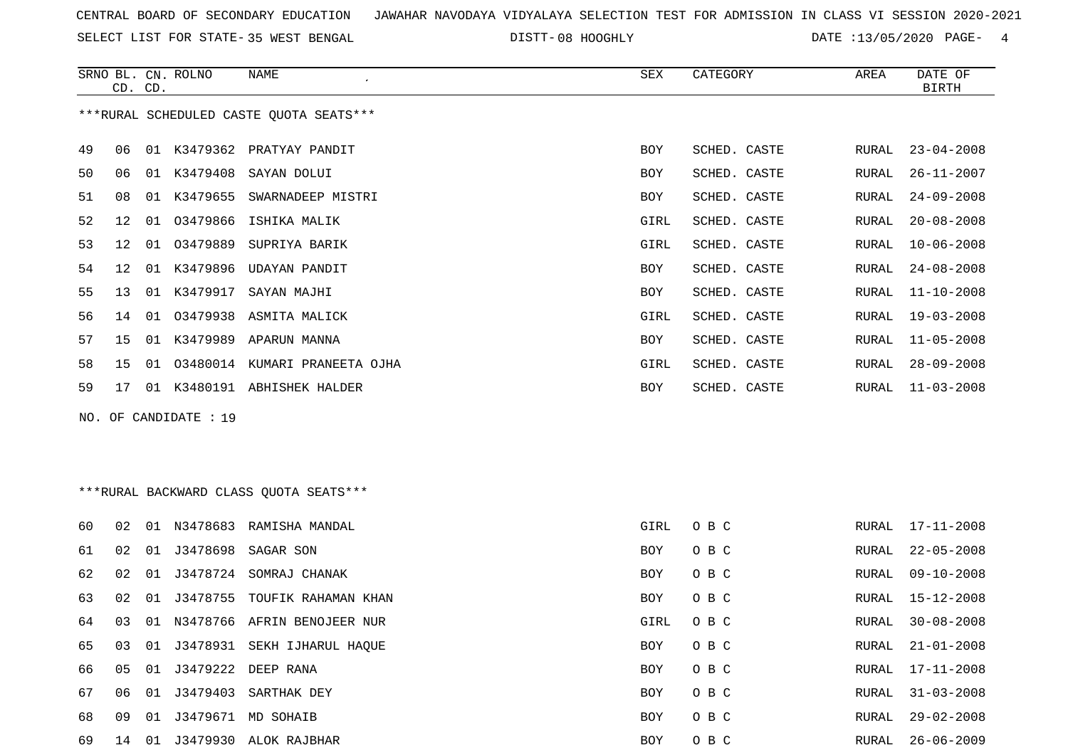SELECT LIST FOR STATE- DISTT- 35 WEST BENGAL

DISTT-08 HOOGHLY **DATE** :13/05/2020 PAGE- 4

|    | CD. CD.                                 |    | SRNO BL. CN. ROLNO   | NAME                             | SEX        | CATEGORY     | AREA  | DATE OF<br><b>BIRTH</b> |  |  |
|----|-----------------------------------------|----|----------------------|----------------------------------|------------|--------------|-------|-------------------------|--|--|
|    | ***RURAL SCHEDULED CASTE QUOTA SEATS*** |    |                      |                                  |            |              |       |                         |  |  |
| 49 | 06                                      | 01 |                      | K3479362 PRATYAY PANDIT          | <b>BOY</b> | SCHED. CASTE | RURAL | $23 - 04 - 2008$        |  |  |
| 50 | 06                                      |    |                      | 01 K3479408 SAYAN DOLUI          | <b>BOY</b> | SCHED. CASTE | RURAL | $26 - 11 - 2007$        |  |  |
| 51 | 08                                      | 01 | K3479655             | SWARNADEEP MISTRI                | <b>BOY</b> | SCHED. CASTE | RURAL | $24 - 09 - 2008$        |  |  |
| 52 | 12                                      |    |                      | 01 03479866 ISHIKA MALIK         | GIRL       | SCHED. CASTE | RURAL | $20 - 08 - 2008$        |  |  |
| 53 | 12                                      | 01 | 03479889             | SUPRIYA BARIK                    | GIRL       | SCHED. CASTE | RURAL | $10 - 06 - 2008$        |  |  |
| 54 | 12                                      |    |                      | 01 K3479896 UDAYAN PANDIT        | <b>BOY</b> | SCHED. CASTE | RURAL | $24 - 08 - 2008$        |  |  |
| 55 | 13                                      |    | 01 K3479917          | SAYAN MAJHI                      | <b>BOY</b> | SCHED. CASTE | RURAL | $11 - 10 - 2008$        |  |  |
| 56 | 14                                      |    |                      | 01 03479938 ASMITA MALICK        | GIRL       | SCHED. CASTE | RURAL | $19 - 03 - 2008$        |  |  |
| 57 | 15                                      |    |                      | 01 K3479989 APARUN MANNA         | BOY        | SCHED. CASTE | RURAL | $11 - 05 - 2008$        |  |  |
| 58 | 15                                      |    |                      | 01 03480014 KUMARI PRANEETA OJHA | GIRL       | SCHED. CASTE | RURAL | $28 - 09 - 2008$        |  |  |
| 59 | 17                                      |    |                      | 01 K3480191 ABHISHEK HALDER      | <b>BOY</b> | SCHED. CASTE | RURAL | $11 - 03 - 2008$        |  |  |
|    |                                         |    | NO. OF CANDIDATE: 19 |                                  |            |              |       |                         |  |  |

\*\*\*RURAL BACKWARD CLASS QUOTA SEATS\*\*\*

| 60 | 02   | 01 | N3478683 | RAMISHA MANDAL                 | GIRL       | O B C | RURAL | 17-11-2008       |
|----|------|----|----------|--------------------------------|------------|-------|-------|------------------|
| 61 | 02   | 01 |          | J3478698 SAGAR SON             | BOY        | O B C | RURAL | $22 - 05 - 2008$ |
| 62 | 02   | 01 | J3478724 | SOMRAJ CHANAK                  | BOY        | O B C | RURAL | 09-10-2008       |
| 63 | O 2. | 01 | 13478755 | TOUFIK RAHAMAN KHAN            | <b>BOY</b> | O B C | RURAL | 15-12-2008       |
| 64 | 03   |    |          | 01 N3478766 AFRIN BENOJEER NUR | GIRL       | O B C | RURAL | $30 - 08 - 2008$ |
| 65 | 03   |    |          | 01 J3478931 SEKH IJHARUL HAQUE | <b>BOY</b> | O B C | RURAL | $21 - 01 - 2008$ |
| 66 | 05   | 01 |          | J3479222 DEEP RANA             | <b>BOY</b> | O B C | RURAL | $17 - 11 - 2008$ |
| 67 | 06   | 01 | J3479403 | SARTHAK DEY                    | BOY        | O B C | RURAL | $31 - 03 - 2008$ |
| 68 | 09   | 01 | J3479671 | MD SOHAIB                      | BOY        | O B C | RURAL | 29-02-2008       |
| 69 | 14   | 01 | J3479930 | ALOK RAJBHAR                   | <b>BOY</b> | O B C | RURAL | $26 - 06 - 2009$ |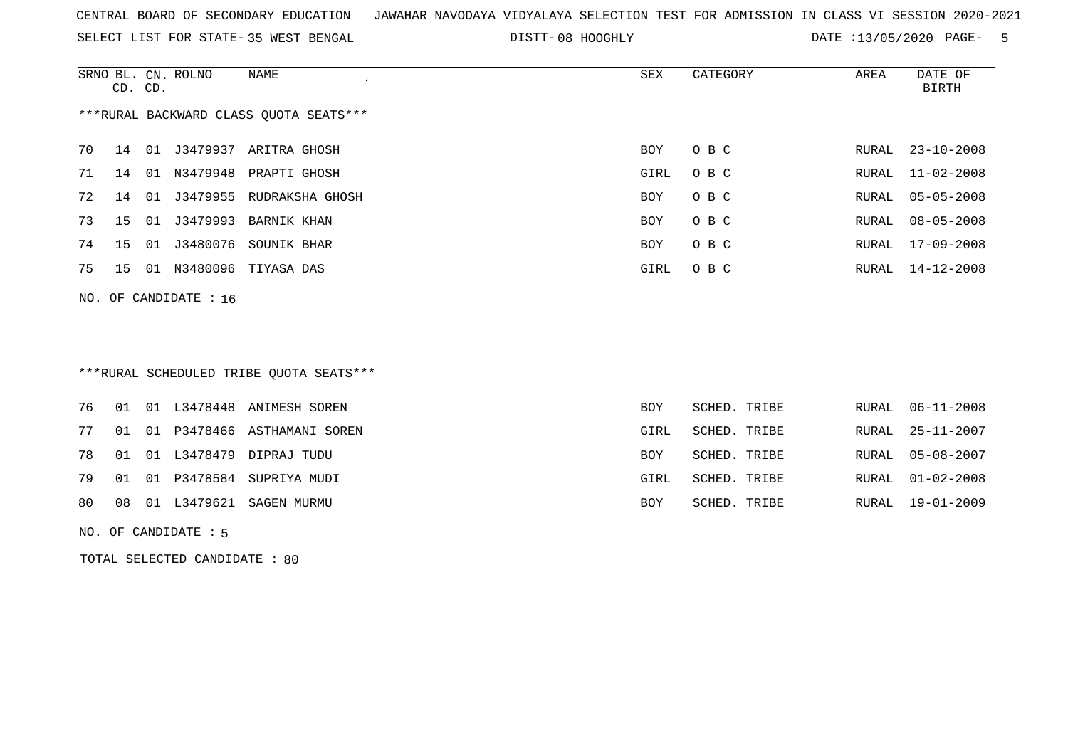SELECT LIST FOR STATE- DISTT- 35 WEST BENGAL

DISTT-08 HOOGHLY **DATE** :13/05/2020 PAGE- 5

|                                        | CD. CD. |    | SRNO BL. CN. ROLNO    | NAME                     | SEX        | CATEGORY | AREA  | DATE OF<br>BIRTH |  |
|----------------------------------------|---------|----|-----------------------|--------------------------|------------|----------|-------|------------------|--|
| ***RURAL BACKWARD CLASS OUOTA SEATS*** |         |    |                       |                          |            |          |       |                  |  |
| 70                                     | 14      | 01 |                       | J3479937 ARITRA GHOSH    | BOY.       | O B C    | RURAL | $23 - 10 - 2008$ |  |
| 71                                     | 14      |    |                       | 01 N3479948 PRAPTI GHOSH | GIRL       | O B C    |       | RURAL 11-02-2008 |  |
| 72                                     | 14      | 01 | J3479955              | RUDRAKSHA GHOSH          | <b>BOY</b> | O B C    | RURAL | 05-05-2008       |  |
| 73                                     | 15      |    | 01 J3479993           | BARNIK KHAN              | <b>BOY</b> | O B C    | RURAL | $08 - 05 - 2008$ |  |
| 74                                     | 15      | 01 | J3480076              | SOUNIK BHAR              | <b>BOY</b> | O B C    | RURAL | 17-09-2008       |  |
| 75                                     | 15      | 01 |                       | N3480096 TIYASA DAS      | GIRL       | O B C    |       | RURAL 14-12-2008 |  |
|                                        |         |    | NO. OF CANDIDATE : 16 |                          |            |          |       |                  |  |

# \*\*\*RURAL SCHEDULED TRIBE QUOTA SEATS\*\*\*

|  |  | 76 01 01 L3478448 ANIMESH SOREN   | <b>BOY</b> | SCHED. TRIBE |  | RURAL 06-11-2008 |
|--|--|-----------------------------------|------------|--------------|--|------------------|
|  |  | 77 01 01 P3478466 ASTHAMANI SOREN | GIRL       | SCHED. TRIBE |  | RURAL 25-11-2007 |
|  |  | 78 01 01 L3478479 DIPRAJ TUDU     | <b>BOY</b> | SCHED. TRIBE |  | RURAL 05-08-2007 |
|  |  | 79 01 01 P3478584 SUPRIYA MUDI    | GIRL       | SCHED. TRIBE |  | RURAL 01-02-2008 |
|  |  | 80 08 01 L3479621 SAGEN MURMU     | <b>BOY</b> | SCHED. TRIBE |  | RURAL 19-01-2009 |
|  |  |                                   |            |              |  |                  |

#### NO. OF CANDIDATE : 5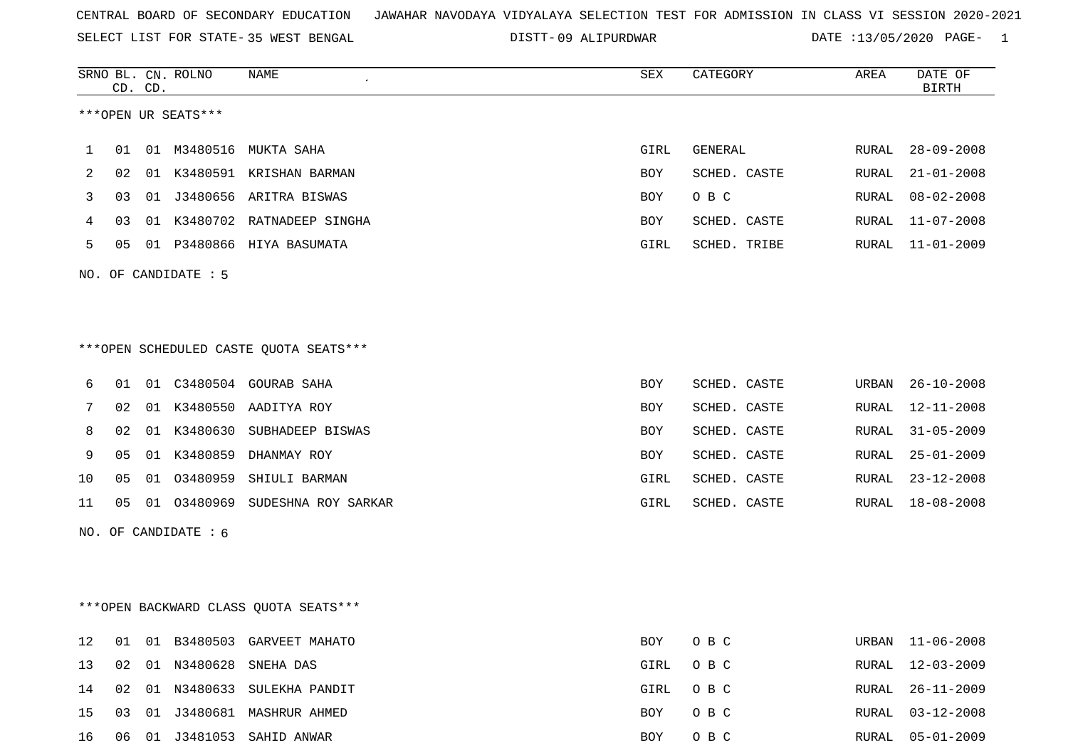SELECT LIST FOR STATE- DISTT- 35 WEST BENGAL

09 ALIPURDWAR DATE :13/05/2020 PAGE- 1

|    |    | CD. CD. | SRNO BL. CN. ROLNO     | NAME                                   | SEX        | CATEGORY     | AREA  | DATE OF<br><b>BIRTH</b> |
|----|----|---------|------------------------|----------------------------------------|------------|--------------|-------|-------------------------|
|    |    |         | ***OPEN UR SEATS***    |                                        |            |              |       |                         |
| 1  |    |         |                        | 01 01 M3480516 MUKTA SAHA              | GIRL       | GENERAL      | RURAL | $28 - 09 - 2008$        |
| 2  |    |         |                        | 02 01 K3480591 KRISHAN BARMAN          | BOY        | SCHED. CASTE | RURAL | $21 - 01 - 2008$        |
| 3  | 03 |         |                        | 01 J3480656 ARITRA BISWAS              | BOY        | O B C        | RURAL | $08 - 02 - 2008$        |
| 4  | 03 |         |                        | 01 K3480702 RATNADEEP SINGHA           | BOY        | SCHED. CASTE | RURAL | $11 - 07 - 2008$        |
| 5  |    |         |                        | 05 01 P3480866 HIYA BASUMATA           | GIRL       | SCHED. TRIBE |       | RURAL 11-01-2009        |
|    |    |         | NO. OF CANDIDATE : 5   |                                        |            |              |       |                         |
|    |    |         |                        |                                        |            |              |       |                         |
|    |    |         |                        | ***OPEN SCHEDULED CASTE QUOTA SEATS*** |            |              |       |                         |
| 6  |    |         |                        | 01 01 C3480504 GOURAB SAHA             | BOY        | SCHED. CASTE | URBAN | $26 - 10 - 2008$        |
| 7  | 02 |         |                        | 01 K3480550 AADITYA ROY                | BOY        | SCHED. CASTE | RURAL | 12-11-2008              |
| 8  | 02 |         |                        | 01 K3480630 SUBHADEEP BISWAS           | BOY        | SCHED. CASTE | RURAL | $31 - 05 - 2009$        |
| 9  | 05 |         |                        | 01 K3480859 DHANMAY ROY                | BOY        | SCHED. CASTE | RURAL | $25 - 01 - 2009$        |
| 10 | 05 |         |                        | 01 03480959 SHIULI BARMAN              | GIRL       | SCHED. CASTE | RURAL | $23 - 12 - 2008$        |
| 11 |    |         |                        | 05 01 03480969 SUDESHNA ROY SARKAR     | GIRL       | SCHED. CASTE | RURAL | 18-08-2008              |
|    |    |         | NO. OF CANDIDATE $: 6$ |                                        |            |              |       |                         |
|    |    |         |                        |                                        |            |              |       |                         |
|    |    |         |                        | *** OPEN BACKWARD CLASS QUOTA SEATS*** |            |              |       |                         |
| 12 |    |         |                        | 01 01 B3480503 GARVEET MAHATO          | BOY        | O B C        |       | URBAN 11-06-2008        |
| 13 |    |         |                        | 02 01 N3480628 SNEHA DAS               | GIRL       | O B C        |       | RURAL 12-03-2009        |
| 14 | 02 |         |                        | 01 N3480633 SULEKHA PANDIT             | GIRL       | O B C        | RURAL | $26 - 11 - 2009$        |
| 15 |    |         |                        | 03 01 J3480681 MASHRUR AHMED           | <b>BOY</b> | O B C        | RURAL | $03 - 12 - 2008$        |

16 06 01 J3481053 SAHID ANWAR BOY O B C RURAL 05-01-2009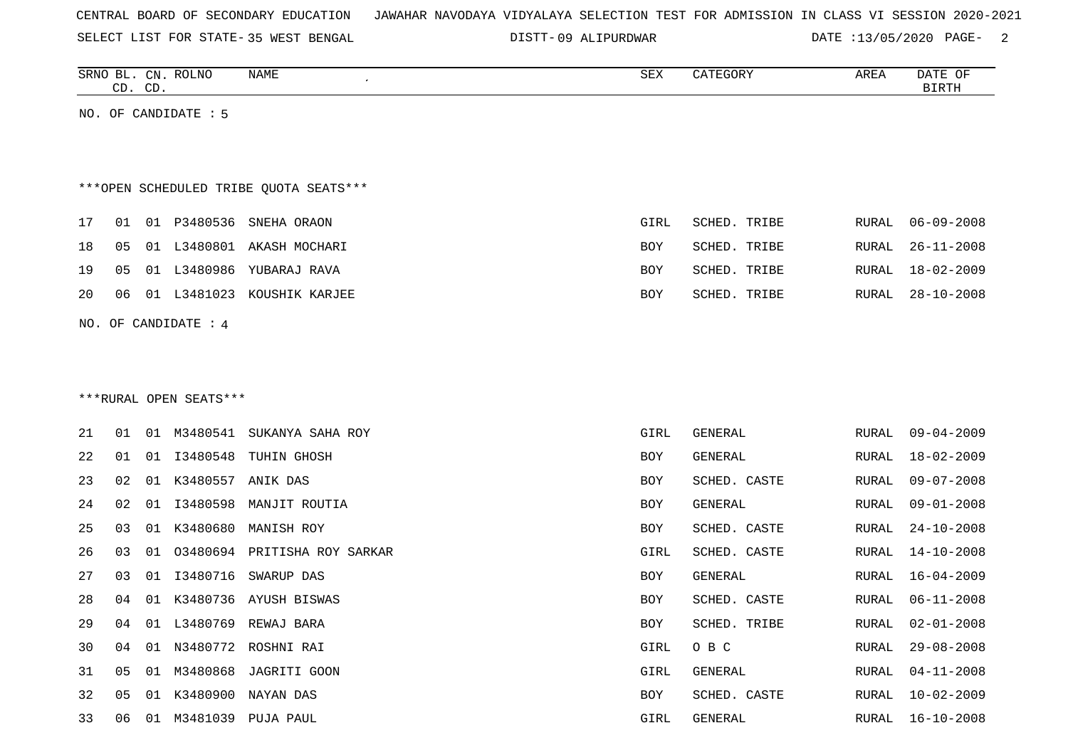| CENTRAL BOARD OF SECONDARY EDUCATION – JAWAHAR NAVODAYA VIDYALAYA SELECTION TEST FOR ADMISSION IN CLASS VI SESSION 2020-2021 |  |  |
|------------------------------------------------------------------------------------------------------------------------------|--|--|
|------------------------------------------------------------------------------------------------------------------------------|--|--|

SELECT LIST FOR STATE- DISTT- 35 WEST BENGAL

09 ALIPURDWAR DATE :13/05/2020 PAGE- 2

| SRNO<br>NAME<br>CEV<br><b>ROLNO</b><br>: תתר<br>$\sim$ $\sim$<br>$\bigcap_{\tau}$<br>DAIF<br>U™<br>ARLI<br>Δ⊔Δ<br>ີ<br>$\sim$<br>$\sim$<br>$\sim$ |    |     |  |  |  |  |
|---------------------------------------------------------------------------------------------------------------------------------------------------|----|-----|--|--|--|--|
|                                                                                                                                                   |    |     |  |  |  |  |
|                                                                                                                                                   | ىد | ر__ |  |  |  |  |

NO. OF CANDIDATE : 5

# \*\*\*OPEN SCHEDULED TRIBE QUOTA SEATS\*\*\*

|  |  | 17 01 01 P3480536 SNEHA ORAON    | GIRL       | SCHED. TRIBE |  | RURAL 06-09-2008 |
|--|--|----------------------------------|------------|--------------|--|------------------|
|  |  | 18 05 01 L3480801 AKASH MOCHARI  | BOY        | SCHED. TRIBE |  | RURAL 26-11-2008 |
|  |  | 19 05 01 L3480986 YUBARAJ RAVA   | BOY        | SCHED. TRIBE |  | RURAL 18-02-2009 |
|  |  | 20 06 01 L3481023 KOUSHIK KARJEE | <b>BOY</b> | SCHED. TRIBE |  | RURAL 28-10-2008 |
|  |  |                                  |            |              |  |                  |

#### NO. OF CANDIDATE : 4

#### \*\*\*RURAL OPEN SEATS\*\*\*

| 21 | 01             | O 1 | M3480541 | SUKANYA SAHA ROY             | GIRL | GENERAL      | RURAL | $09 - 04 - 2009$ |
|----|----------------|-----|----------|------------------------------|------|--------------|-------|------------------|
| 22 | 01             | O 1 | I3480548 | TUHIN GHOSH                  | BOY  | GENERAL      | RURAL | 18-02-2009       |
| 23 | 02             | 01  | K3480557 | ANIK DAS                     | BOY  | SCHED. CASTE | RURAL | $09 - 07 - 2008$ |
| 24 | 02             | 01  | I3480598 | MANJIT ROUTIA                | BOY  | GENERAL      | RURAL | $09 - 01 - 2008$ |
| 25 | 03             | 01  | K3480680 | MANISH ROY                   | BOY  | SCHED. CASTE | RURAL | $24 - 10 - 2008$ |
| 26 | 03             | 01  |          | 03480694 PRITISHA ROY SARKAR | GIRL | SCHED. CASTE | RURAL | 14-10-2008       |
| 27 | 03             | 01  | I3480716 | SWARUP DAS                   | BOY  | GENERAL      | RURAL | 16-04-2009       |
| 28 | 04             | 01  |          | K3480736 AYUSH BISWAS        | BOY  | SCHED. CASTE | RURAL | $06 - 11 - 2008$ |
| 29 | 04             | 01  | L3480769 | REWAJ BARA                   | BOY  | SCHED. TRIBE | RURAL | $02 - 01 - 2008$ |
| 30 | 04             | O 1 |          | N3480772 ROSHNI RAI          | GIRL | O B C        | RURAL | $29 - 08 - 2008$ |
| 31 | 05             | 01  |          | M3480868 JAGRITI GOON        | GIRL | GENERAL      | RURAL | $04 - 11 - 2008$ |
| 32 | 0 <sub>5</sub> | 01  | K3480900 | NAYAN DAS                    | BOY  | SCHED. CASTE | RURAL | $10 - 02 - 2009$ |
| 33 | 06             | 01  | M3481039 | PUJA PAUL                    | GIRL | GENERAL      | RURAL | $16 - 10 - 2008$ |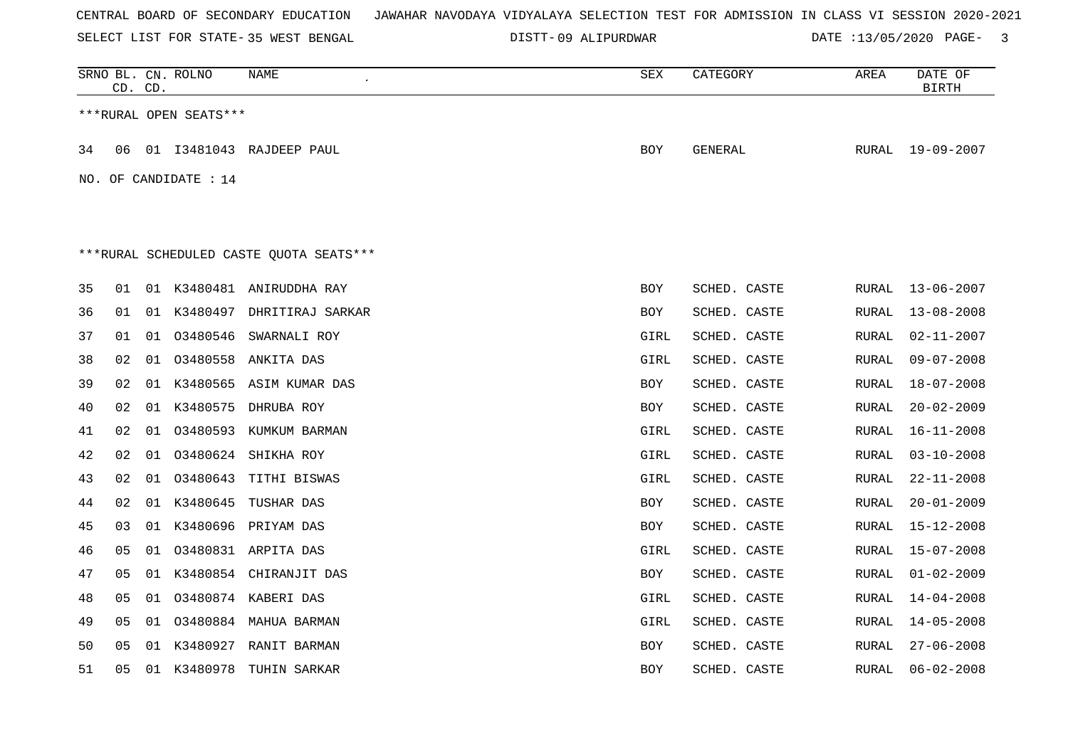SELECT LIST FOR STATE- DISTT- 35 WEST BENGAL

09 ALIPURDWAR DATE :13/05/2020 PAGE- 3

|    | CD. CD. |    | SRNO BL. CN. ROLNO      | NAME                                    | ${\tt SEX}$ | CATEGORY     | AREA  | DATE OF<br><b>BIRTH</b> |
|----|---------|----|-------------------------|-----------------------------------------|-------------|--------------|-------|-------------------------|
|    |         |    | ***RURAL OPEN SEATS***  |                                         |             |              |       |                         |
| 34 | 06      |    |                         | 01 I3481043 RAJDEEP PAUL                | <b>BOY</b>  | GENERAL      |       | RURAL 19-09-2007        |
|    |         |    | NO. OF CANDIDATE : $14$ |                                         |             |              |       |                         |
|    |         |    |                         |                                         |             |              |       |                         |
|    |         |    |                         |                                         |             |              |       |                         |
|    |         |    |                         | ***RURAL SCHEDULED CASTE QUOTA SEATS*** |             |              |       |                         |
| 35 | 01      |    |                         | 01 K3480481 ANIRUDDHA RAY               | BOY         | SCHED. CASTE | RURAL | 13-06-2007              |
| 36 | 01      |    |                         | 01 K3480497 DHRITIRAJ SARKAR            | <b>BOY</b>  | SCHED. CASTE | RURAL | $13 - 08 - 2008$        |
| 37 | 01      |    |                         | 01 03480546 SWARNALI ROY                | GIRL        | SCHED. CASTE | RURAL | $02 - 11 - 2007$        |
| 38 | 02      | 01 | 03480558                | ANKITA DAS                              | GIRL        | SCHED. CASTE | RURAL | $09 - 07 - 2008$        |
| 39 | 02      |    |                         | 01 K3480565 ASIM KUMAR DAS              | <b>BOY</b>  | SCHED. CASTE | RURAL | $18 - 07 - 2008$        |
| 40 | 02      | 01 | K3480575                | DHRUBA ROY                              | BOY         | SCHED. CASTE | RURAL | $20 - 02 - 2009$        |
| 41 | 02      | 01 |                         | 03480593 KUMKUM BARMAN                  | GIRL        | SCHED. CASTE | RURAL | $16 - 11 - 2008$        |
| 42 | 02      | 01 |                         | 03480624 SHIKHA ROY                     | GIRL        | SCHED. CASTE | RURAL | $03 - 10 - 2008$        |
| 43 | 02      | 01 |                         | 03480643 TITHI BISWAS                   | GIRL        | SCHED. CASTE | RURAL | $22 - 11 - 2008$        |
| 44 | 02      | 01 | K3480645                | TUSHAR DAS                              | BOY         | SCHED. CASTE | RURAL | $20 - 01 - 2009$        |
| 45 | 03      |    |                         | 01 K3480696 PRIYAM DAS                  | <b>BOY</b>  | SCHED. CASTE | RURAL | $15 - 12 - 2008$        |
| 46 | 05      |    |                         | 01 03480831 ARPITA DAS                  | GIRL        | SCHED. CASTE | RURAL | 15-07-2008              |
| 47 | 05      |    |                         | 01 K3480854 CHIRANJIT DAS               | <b>BOY</b>  | SCHED. CASTE | RURAL | $01 - 02 - 2009$        |
| 48 | 05      |    |                         | 01 03480874 KABERI DAS                  | GIRL        | SCHED. CASTE | RURAL | $14 - 04 - 2008$        |
| 49 | 05      | 01 |                         | 03480884 MAHUA BARMAN                   | GIRL        | SCHED. CASTE | RURAL | $14 - 05 - 2008$        |
| 50 | 05      | 01 |                         | K3480927 RANIT BARMAN                   | <b>BOY</b>  | SCHED. CASTE | RURAL | $27 - 06 - 2008$        |
| 51 | 05      |    | 01 K3480978             | TUHIN SARKAR                            | <b>BOY</b>  | SCHED. CASTE | RURAL | $06 - 02 - 2008$        |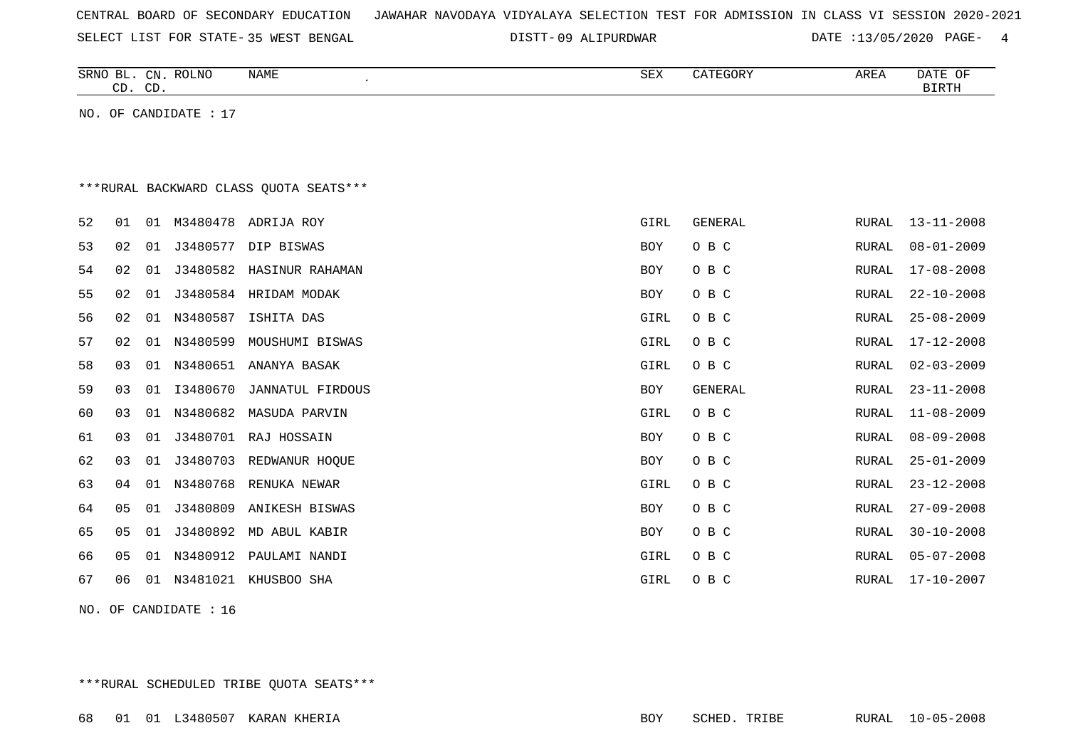|  |  |  | CENTRAL BOARD OF SECONDARY EDUCATION – JAWAHAR NAVODAYA VIDYALAYA SELECTION TEST FOR ADMISSION IN CLASS VI SESSION 2020-2021 |  |  |  |  |  |  |  |  |  |  |  |  |  |  |
|--|--|--|------------------------------------------------------------------------------------------------------------------------------|--|--|--|--|--|--|--|--|--|--|--|--|--|--|
|--|--|--|------------------------------------------------------------------------------------------------------------------------------|--|--|--|--|--|--|--|--|--|--|--|--|--|--|

SELECT LIST FOR STATE- DISTT- 35 WEST BENGAL

09 ALIPURDWAR DATE :13/05/2020 PAGE- 4

| <b>SRNO</b><br>ىن | <b>ROLNO</b><br>CN | NAME | C <sub>II</sub><br>ついひ | CATEGORY | AREA | DATE<br>ΟF   |
|-------------------|--------------------|------|------------------------|----------|------|--------------|
| $\cap$<br>. .     | $\cap$<br>ັ        |      |                        |          |      | <b>BIRTH</b> |

NO. OF CANDIDATE : 17

## \*\*\*RURAL BACKWARD CLASS QUOTA SEATS\*\*\*

| 53<br>54<br>55<br>56 | 02<br>02<br>02 | 01<br>01 | J3480582 | J3480577 DIP BISWAS    | BOY        | O B C   | RURAL | $08 - 01 - 2009$ |
|----------------------|----------------|----------|----------|------------------------|------------|---------|-------|------------------|
|                      |                |          |          |                        |            |         |       |                  |
|                      |                |          |          | HASINUR RAHAMAN        | <b>BOY</b> | O B C   | RURAL | $17 - 08 - 2008$ |
|                      |                | 01       |          | J3480584 HRIDAM MODAK  | BOY        | O B C   | RURAL | $22 - 10 - 2008$ |
|                      | 02             | 01       | N3480587 | ISHITA DAS             | GIRL       | O B C   | RURAL | $25 - 08 - 2009$ |
| 57                   | 02             | 01       | N3480599 | MOUSHUMI BISWAS        | GIRL       | O B C   | RURAL | $17 - 12 - 2008$ |
| 58                   | 03             | 01       |          | N3480651 ANANYA BASAK  | GIRL       | O B C   | RURAL | $02 - 03 - 2009$ |
| 59                   | 03             | 01       | I3480670 | JANNATUL FIRDOUS       | BOY        | GENERAL | RURAL | $23 - 11 - 2008$ |
| 60                   | 03             | 01       |          | N3480682 MASUDA PARVIN | GIRL       | O B C   | RURAL | $11 - 08 - 2009$ |
| 61                   | 03             | 01       |          | J3480701 RAJ HOSSAIN   | BOY        | O B C   | RURAL | $08 - 09 - 2008$ |
| 62                   | 03             | 01       | J3480703 | REDWANUR HOQUE         | BOY        | O B C   | RURAL | $25 - 01 - 2009$ |
| 63                   | 04             | 01       |          | N3480768 RENUKA NEWAR  | GIRL       | O B C   | RURAL | $23 - 12 - 2008$ |
| 64                   | 05             | 01       | J3480809 | ANIKESH BISWAS         | BOY        | O B C   | RURAL | $27 - 09 - 2008$ |
| 65                   | 05             | 01       |          | J3480892 MD ABUL KABIR | <b>BOY</b> | O B C   | RURAL | $30 - 10 - 2008$ |
| 66                   | 05             | 01       |          | N3480912 PAULAMI NANDI | GIRL       | O B C   | RURAL | $05 - 07 - 2008$ |
| 67                   | 06             | 01       | N3481021 | KHUSBOO SHA            | GIRL       | O B C   | RURAL | $17 - 10 - 2007$ |
|                      |                |          |          |                        |            |         |       |                  |

NO. OF CANDIDATE : 16

\*\*\*RURAL SCHEDULED TRIBE QUOTA SEATS\*\*\*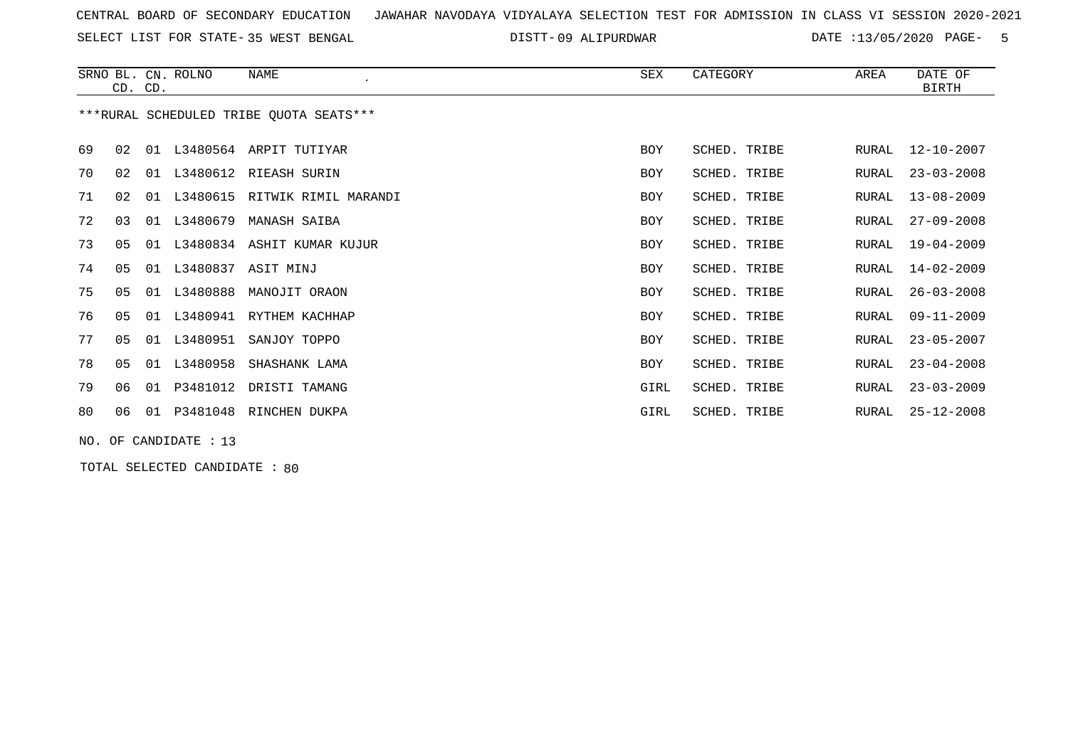SELECT LIST FOR STATE- DISTT- 35 WEST BENGAL

09 ALIPURDWAR DATE :13/05/2020 PAGE- 5

|    | CD. CD.        |    | SRNO BL. CN. ROLNO    | NAME                                    | SEX        | CATEGORY     | AREA         | DATE OF<br><b>BIRTH</b> |
|----|----------------|----|-----------------------|-----------------------------------------|------------|--------------|--------------|-------------------------|
|    |                |    |                       | ***RURAL SCHEDULED TRIBE OUOTA SEATS*** |            |              |              |                         |
| 69 | 02             | 01 |                       | L3480564 ARPIT TUTIYAR                  | <b>BOY</b> | SCHED. TRIBE | RURAL        | 12-10-2007              |
| 70 | 02             |    |                       | 01 L3480612 RIEASH SURIN                | <b>BOY</b> | SCHED. TRIBE | RURAL        | $23 - 03 - 2008$        |
| 71 | 02             | 01 | L3480615              | RITWIK RIMIL MARANDI                    | <b>BOY</b> | SCHED. TRIBE | RURAL        | $13 - 08 - 2009$        |
| 72 | 03             | 01 | L3480679              | MANASH SAIBA                            | BOY        | SCHED. TRIBE | RURAL        | $27 - 09 - 2008$        |
| 73 | 05             |    |                       | 01 L3480834 ASHIT KUMAR KUJUR           | BOY        | SCHED. TRIBE | RURAL        | $19 - 04 - 2009$        |
| 74 | 0 <sub>5</sub> | 01 | L3480837              | ASIT MINJ                               | <b>BOY</b> | SCHED. TRIBE | <b>RURAL</b> | $14 - 02 - 2009$        |
| 75 | 05             | 01 | L3480888              | MANOJIT ORAON                           | <b>BOY</b> | SCHED. TRIBE | RURAL        | $26 - 03 - 2008$        |
| 76 | 05             |    | 01 L3480941           | RYTHEM KACHHAP                          | <b>BOY</b> | SCHED. TRIBE | RURAL        | $09 - 11 - 2009$        |
| 77 | 05             | 01 | L3480951              | SANJOY TOPPO                            | <b>BOY</b> | SCHED. TRIBE | RURAL        | $23 - 05 - 2007$        |
| 78 | 0 <sub>5</sub> | 01 | L3480958              | SHASHANK LAMA                           | <b>BOY</b> | SCHED. TRIBE | RURAL        | $23 - 04 - 2008$        |
| 79 | 06             | 01 |                       | P3481012 DRISTI TAMANG                  | GIRL       | SCHED. TRIBE | RURAL        | $23 - 03 - 2009$        |
| 80 | 06             | 01 | P3481048              | RINCHEN DUKPA                           | GIRL       | SCHED. TRIBE | RURAL        | $25 - 12 - 2008$        |
|    |                |    | NO. OF CANDIDATE : 13 |                                         |            |              |              |                         |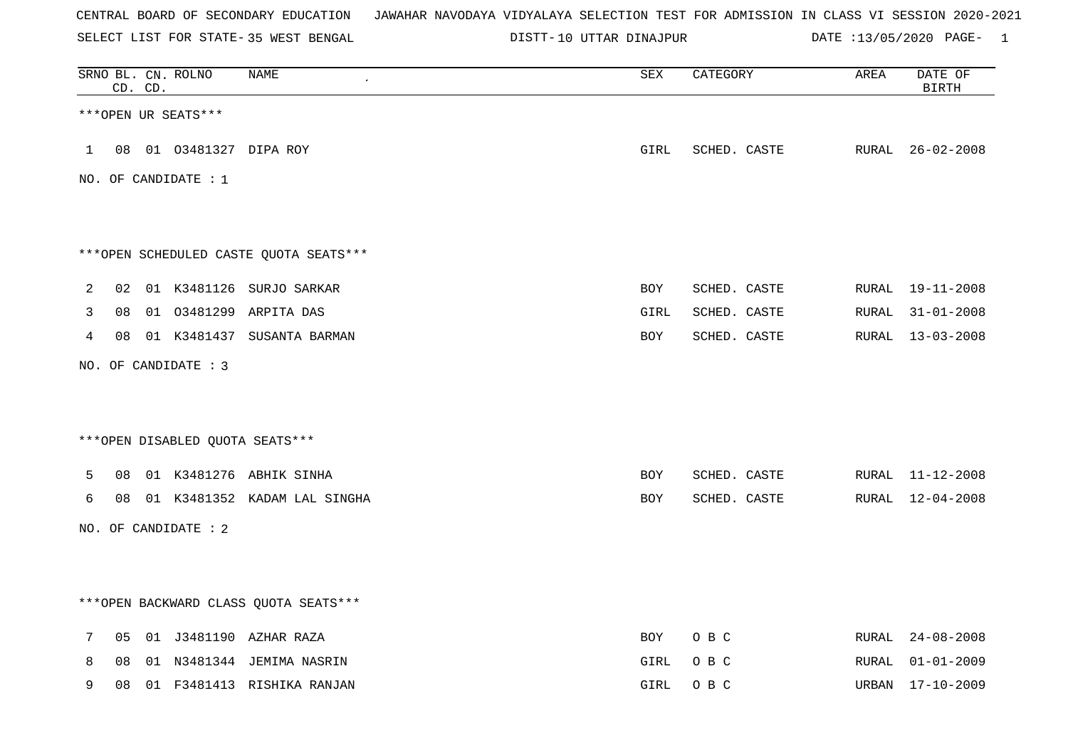SELECT LIST FOR STATE- DISTT- 35 WEST BENGAL

10 UTTAR DINAJPUR DATE :13/05/2020 PAGE- 1

|   |    | CD. CD. | SRNO BL. CN. ROLNO        | <b>NAME</b>                            | ${\tt SEX}$ | CATEGORY     | AREA  | DATE OF<br><b>BIRTH</b> |
|---|----|---------|---------------------------|----------------------------------------|-------------|--------------|-------|-------------------------|
|   |    |         | ***OPEN UR SEATS***       |                                        |             |              |       |                         |
|   |    |         | 1 08 01 03481327 DIPA ROY |                                        | <b>GIRL</b> | SCHED. CASTE |       | RURAL 26-02-2008        |
|   |    |         | NO. OF CANDIDATE : $1$    |                                        |             |              |       |                         |
|   |    |         |                           | ***OPEN SCHEDULED CASTE QUOTA SEATS*** |             |              |       |                         |
| 2 |    |         |                           | 02 01 K3481126 SURJO SARKAR            | BOY         | SCHED. CASTE | RURAL | 19-11-2008              |
| 3 | 08 |         |                           | 01 03481299 ARPITA DAS                 | GIRL        | SCHED. CASTE | RURAL | $31 - 01 - 2008$        |
| 4 |    |         |                           | 08 01 K3481437 SUSANTA BARMAN          | BOY         | SCHED. CASTE |       | RURAL 13-03-2008        |
|   |    |         | NO. OF CANDIDATE : 3      |                                        |             |              |       |                         |
|   |    |         |                           | *** OPEN DISABLED QUOTA SEATS***       |             |              |       |                         |
| 5 |    |         |                           | 08 01 K3481276 ABHIK SINHA             | BOY         | SCHED. CASTE |       | RURAL 11-12-2008        |
| 6 |    |         |                           | 08 01 K3481352 KADAM LAL SINGHA        | BOY         | SCHED. CASTE | RURAL | 12-04-2008              |
|   |    |         | NO. OF CANDIDATE : 2      |                                        |             |              |       |                         |
|   |    |         |                           | *** OPEN BACKWARD CLASS QUOTA SEATS*** |             |              |       |                         |
| 7 | 05 |         |                           | 01 J3481190 AZHAR RAZA                 | BOY         | O B C        | RURAL | $24 - 08 - 2008$        |
| 8 | 08 |         |                           | 01 N3481344 JEMIMA NASRIN              | GIRL        | O B C        | RURAL | 01-01-2009              |
| 9 | 08 |         |                           | 01 F3481413 RISHIKA RANJAN             | GIRL        | O B C        | URBAN | 17-10-2009              |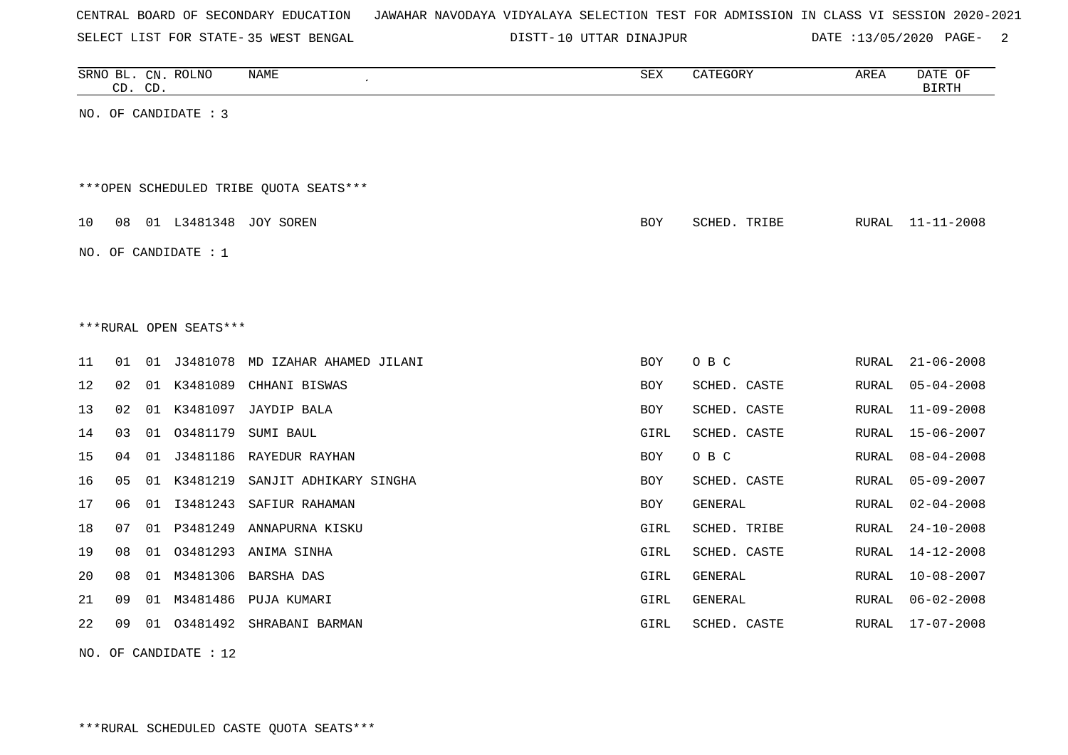| CENTRAL BOARD OF SECONDARY EDUCATION – JAWAHAR NAVODAYA VIDYALAYA SELECTION TEST FOR ADMISSION IN CLASS VI SESSION 2020-2021 |  |  |  |  |
|------------------------------------------------------------------------------------------------------------------------------|--|--|--|--|
|------------------------------------------------------------------------------------------------------------------------------|--|--|--|--|

SELECT LIST FOR STATE- DISTT- 35 WEST BENGAL 10 UTTAR DINAJPUR DATE :13/05/2020 PAGE- 2

|      | CD. CD. |    | SRNO BL. CN. ROLNO     | <b>NAME</b>                            | <b>SEX</b> | CATEGORY     | AREA         | DATE OF<br><b>BIRTH</b> |
|------|---------|----|------------------------|----------------------------------------|------------|--------------|--------------|-------------------------|
|      |         |    | NO. OF CANDIDATE : 3   |                                        |            |              |              |                         |
|      |         |    |                        |                                        |            |              |              |                         |
|      |         |    |                        | ***OPEN SCHEDULED TRIBE OUOTA SEATS*** |            |              |              |                         |
| 10   | 08      |    | 01 L3481348            | JOY SOREN                              | BOY        | SCHED. TRIBE | <b>RURAL</b> | $11 - 11 - 2008$        |
|      |         |    | NO. OF CANDIDATE : 1   |                                        |            |              |              |                         |
|      |         |    |                        |                                        |            |              |              |                         |
|      |         |    | ***RURAL OPEN SEATS*** |                                        |            |              |              |                         |
| 11   | 01      |    | 01 J3481078            | MD IZAHAR AHAMED JILANI                | BOY        | O B C        | <b>RURAL</b> | $21 - 06 - 2008$        |
| 12   | 02      |    | 01 K3481089            | CHHANI BISWAS                          | BOY        | SCHED. CASTE | <b>RURAL</b> | $05 - 04 - 2008$        |
| 13   | 02      |    | 01 K3481097            | <b>JAYDIP BALA</b>                     | BOY        | SCHED. CASTE | <b>RURAL</b> | $11 - 09 - 2008$        |
| 14   | 03      | 01 | 03481179               | SUMI BAUL                              | GIRL       | SCHED. CASTE | <b>RURAL</b> | $15 - 06 - 2007$        |
| 15   | 04      | 01 | J3481186               | RAYEDUR RAYHAN                         | BOY        | O B C        | <b>RURAL</b> | $08 - 04 - 2008$        |
| 16   | 05      | 01 | K3481219               | SANJIT ADHIKARY SINGHA                 | BOY        | SCHED. CASTE | <b>RURAL</b> | $05 - 09 - 2007$        |
| $17$ | 06      | 01 | I3481243               | SAFIUR RAHAMAN                         | <b>BOY</b> | GENERAL      | <b>RURAL</b> | $02 - 04 - 2008$        |
| 18   | 07      | 01 | P3481249               | ANNAPURNA KISKU                        | GIRL       | SCHED. TRIBE | <b>RURAL</b> | $24 - 10 - 2008$        |
| 19   | 08      | 01 | 03481293               | ANIMA SINHA                            | GIRL       | SCHED. CASTE | <b>RURAL</b> | $14 - 12 - 2008$        |
| 20   | 08      | 01 | M3481306               | <b>BARSHA DAS</b>                      | GIRL       | GENERAL      | <b>RURAL</b> | $10 - 08 - 2007$        |
| 21   | 09      |    | 01 M3481486            | PUJA KUMARI                            | GIRL       | GENERAL      | <b>RURAL</b> | $06 - 02 - 2008$        |
| 22   | 09      | 01 | 03481492               | SHRABANI BARMAN                        | GIRL       | SCHED. CASTE | <b>RURAL</b> | $17 - 07 - 2008$        |
|      |         |    |                        |                                        |            |              |              |                         |

NO. OF CANDIDATE : 12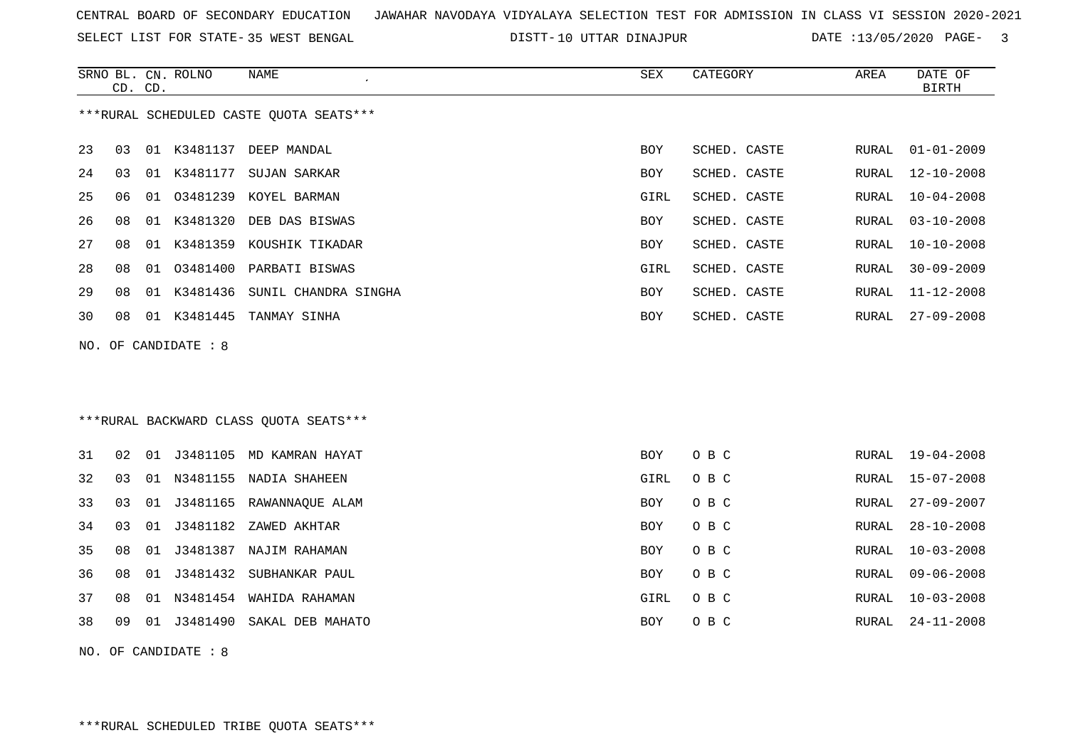SELECT LIST FOR STATE- DISTT- 35 WEST BENGAL

DISTT-10 UTTAR DINAJPUR DATE :13/05/2020 PAGE- 3

|     | CD. CD. |    | SRNO BL. CN. ROLNO | NAME                                    | SEX        | CATEGORY     | AREA          | DATE OF<br><b>BIRTH</b> |
|-----|---------|----|--------------------|-----------------------------------------|------------|--------------|---------------|-------------------------|
|     |         |    |                    | ***RURAL SCHEDULED CASTE OUOTA SEATS*** |            |              |               |                         |
| 23  | 03      |    |                    | 01 K3481137 DEEP MANDAL                 | <b>BOY</b> | SCHED. CASTE | RURAL         | $01 - 01 - 2009$        |
| 24  | 03      | 01 | K3481177           | SUJAN SARKAR                            | BOY        | SCHED. CASTE | RURAL         | $12 - 10 - 2008$        |
| 25  | 06      |    |                    | 01 03481239 KOYEL BARMAN                | GIRL       | SCHED. CASTE | RURAL         | $10 - 04 - 2008$        |
| 26  | 08      |    |                    | 01 K3481320 DEB DAS BISWAS              | BOY        | SCHED. CASTE | RURAL         | $03 - 10 - 2008$        |
| 27  | 08      |    |                    | 01 K3481359 KOUSHIK TIKADAR             | BOY        | SCHED. CASTE | RURAL         | $10 - 10 - 2008$        |
| 28  | 08      |    |                    | 01 03481400 PARBATI BISWAS              | GIRL       | SCHED. CASTE | RURAL         | $30 - 09 - 2009$        |
| 29  | 08      |    |                    | 01 K3481436 SUNIL CHANDRA SINGHA        | BOY        | SCHED. CASTE | <b>RURAL</b>  | $11 - 12 - 2008$        |
| 30  | 08      |    | 01 K3481445        | TANMAY SINHA                            | BOY        | SCHED. CASTE | RURAL         | $27 - 09 - 2008$        |
| NO. |         |    | OF CANDIDATE : 8   |                                         |            |              |               |                         |
|     |         |    |                    |                                         |            |              |               |                         |
|     |         |    |                    |                                         |            |              |               |                         |
|     |         |    |                    | *** RURAL BACKWARD CLASS QUOTA SEATS*** |            |              |               |                         |
| 31  | 02      |    |                    | 01 J3481105 MD KAMRAN HAYAT             | BOY        | O B C        | RURAL         | 19-04-2008              |
| 32  | 03      |    |                    | 01 N3481155 NADIA SHAHEEN               | GIRL       | O B C        | ${\tt RURAL}$ | $15 - 07 - 2008$        |
| 33  | 03      |    |                    | 01 J3481165 RAWANNAQUE ALAM             | BOY        | O B C        | RURAL         | $27 - 09 - 2007$        |
| 34  | 03      | 01 | J3481182           | ZAWED AKHTAR                            | BOY        | O B C        | RURAL         | $28 - 10 - 2008$        |
| 35  | 08      |    |                    | 01 J3481387 NAJIM RAHAMAN               | BOY        | O B C        | RURAL         | $10 - 03 - 2008$        |
| 36  | 08      | 01 | J3481432           | SUBHANKAR PAUL                          | <b>BOY</b> | O B C        | RURAL         | $09 - 06 - 2008$        |
| 37  | 08      | 01 |                    | N3481454 WAHIDA RAHAMAN                 | GIRL       | O B C        | RURAL         | $10 - 03 - 2008$        |
| 38  | 09      |    |                    | 01 J3481490 SAKAL DEB MAHATO            | BOY        | O B C        | RURAL         | $24 - 11 - 2008$        |
|     |         |    |                    |                                         |            |              |               |                         |

NO. OF CANDIDATE : 8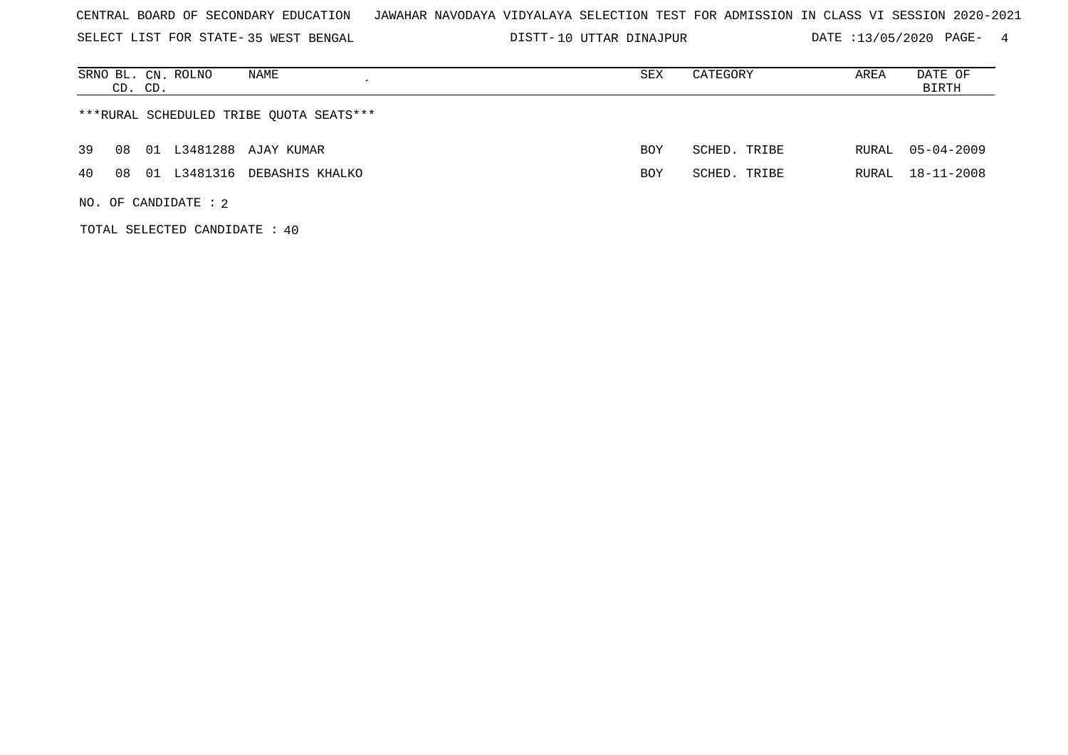SELECT LIST FOR STATE- DISTT- 35 WEST BENGAL

10 UTTAR DINAJPUR DATE :13/05/2020 PAGE- 4

| NAME<br>SRNO BL. CN. ROLNO<br>CD. CD.   | SEX        | CATEGORY     | AREA  | DATE OF<br>BIRTH |
|-----------------------------------------|------------|--------------|-------|------------------|
| ***RURAL SCHEDULED TRIBE QUOTA SEATS*** |            |              |       |                  |
| 01 L3481288 AJAY KUMAR<br>39<br>08      | <b>BOY</b> | SCHED. TRIBE | RURAL | $05 - 04 - 2009$ |
| 40<br>01 L3481316 DEBASHIS KHALKO<br>08 | <b>BOY</b> | SCHED. TRIBE | RURAL | 18-11-2008       |
| NO. OF CANDIDATE : $2$                  |            |              |       |                  |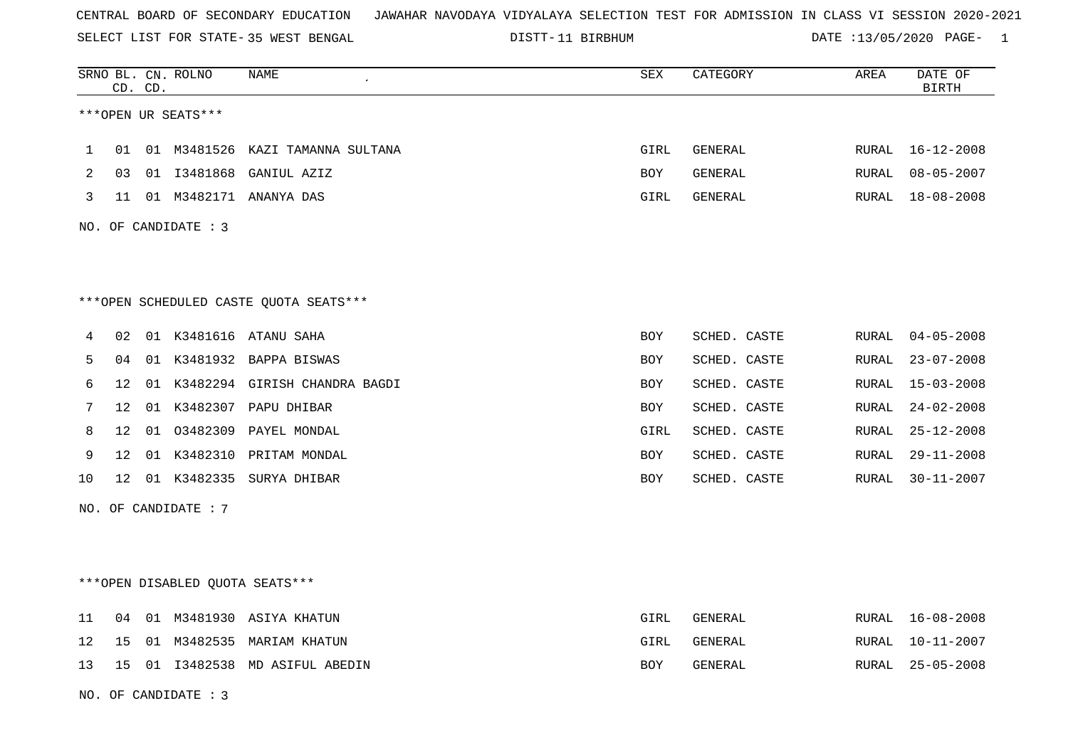SELECT LIST FOR STATE- DISTT- 35 WEST BENGAL

|    |                 | CD. CD. | SRNO BL. CN. ROLNO     | NAME                                   | SEX        | CATEGORY     | AREA  | DATE OF<br><b>BIRTH</b> |
|----|-----------------|---------|------------------------|----------------------------------------|------------|--------------|-------|-------------------------|
|    |                 |         | ***OPEN UR SEATS***    |                                        |            |              |       |                         |
| 1  | 01              |         |                        | 01 M3481526 KAZI TAMANNA SULTANA       | GIRL       | GENERAL      | RURAL | 16-12-2008              |
| 2  |                 |         |                        | 03 01 I3481868 GANIUL AZIZ             | BOY        | GENERAL      | RURAL | $08 - 05 - 2007$        |
| 3  |                 |         |                        | 11 01 M3482171 ANANYA DAS              | GIRL       | GENERAL      |       | RURAL 18-08-2008        |
|    |                 |         | NO. OF CANDIDATE : 3   |                                        |            |              |       |                         |
|    |                 |         |                        |                                        |            |              |       |                         |
|    |                 |         |                        | ***OPEN SCHEDULED CASTE QUOTA SEATS*** |            |              |       |                         |
| 4  | 02              |         |                        | 01 K3481616 ATANU SAHA                 | BOY        | SCHED. CASTE | RURAL | $04 - 05 - 2008$        |
| 5  | 04              |         |                        | 01 K3481932 BAPPA BISWAS               | BOY        | SCHED. CASTE | RURAL | $23 - 07 - 2008$        |
| 6  | 12 <sup>°</sup> |         |                        | 01 K3482294 GIRISH CHANDRA BAGDI       | BOY        | SCHED. CASTE | RURAL | $15 - 03 - 2008$        |
| 7  | 12              |         |                        | 01 K3482307 PAPU DHIBAR                | <b>BOY</b> | SCHED. CASTE | RURAL | $24 - 02 - 2008$        |
| 8  | 12              |         |                        | 01 03482309 PAYEL MONDAL               | GIRL       | SCHED. CASTE | RURAL | $25 - 12 - 2008$        |
| 9  | 12              |         |                        | 01 K3482310 PRITAM MONDAL              | BOY        | SCHED. CASTE | RURAL | $29 - 11 - 2008$        |
| 10 | 12              |         |                        | 01 K3482335 SURYA DHIBAR               | BOY        | SCHED. CASTE |       | RURAL 30-11-2007        |
|    |                 |         | NO. OF CANDIDATE : $7$ |                                        |            |              |       |                         |
|    |                 |         |                        |                                        |            |              |       |                         |
|    |                 |         |                        |                                        |            |              |       |                         |
|    |                 |         |                        | ***OPEN DISABLED QUOTA SEATS***        |            |              |       |                         |
| 11 | 04              |         |                        | 01 M3481930 ASIYA KHATUN               | GIRL       | GENERAL      |       | RURAL 16-08-2008        |
| 12 | 15              |         |                        | 01 M3482535 MARIAM KHATUN              | GIRL       | GENERAL      | RURAL | 10-11-2007              |
| 13 | 15              |         |                        | 01 I3482538 MD ASIFUL ABEDIN           | <b>BOY</b> | GENERAL      |       | RURAL 25-05-2008        |
|    |                 |         | NO. OF CANDIDATE : 3   |                                        |            |              |       |                         |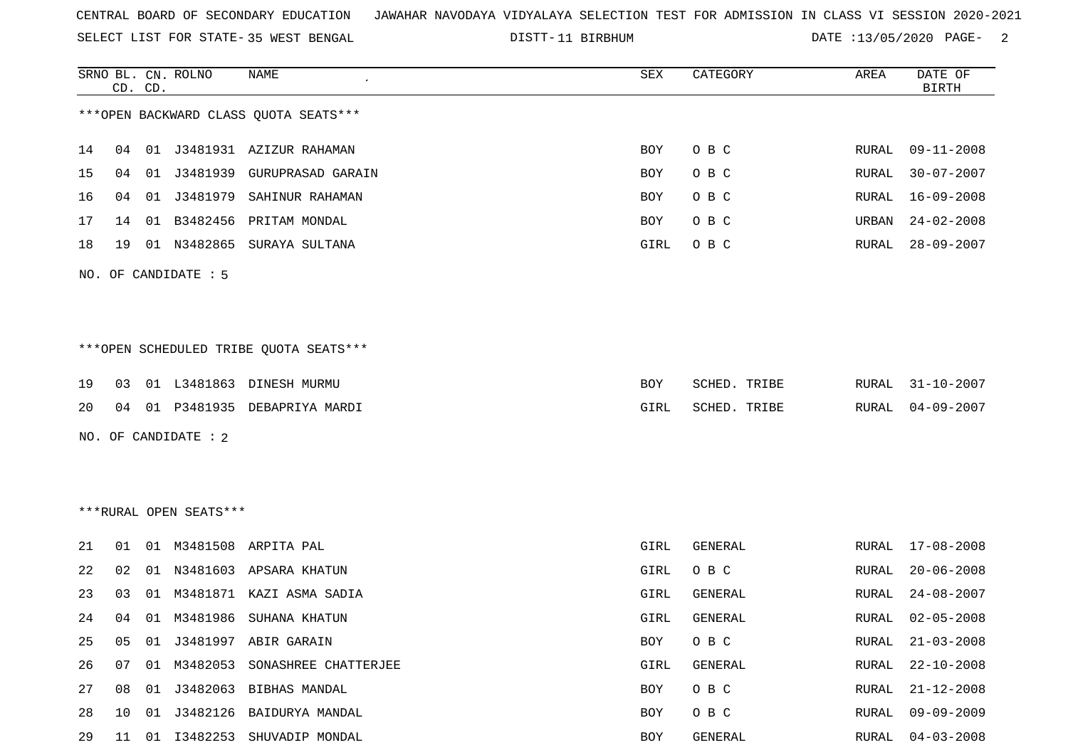SELECT LIST FOR STATE- DISTT- 35 WEST BENGAL

|    |    | CD. CD. | SRNO BL. CN. ROLNO     | NAME                                    | SEX  | CATEGORY     | AREA          | DATE OF<br><b>BIRTH</b> |
|----|----|---------|------------------------|-----------------------------------------|------|--------------|---------------|-------------------------|
|    |    |         |                        | *** OPEN BACKWARD CLASS QUOTA SEATS***  |      |              |               |                         |
| 14 |    |         |                        | 04 01 J3481931 AZIZUR RAHAMAN           | BOY  | O B C        | RURAL         | $09 - 11 - 2008$        |
| 15 | 04 | 01      | J3481939               | GURUPRASAD GARAIN                       | BOY  | O B C        | RURAL         | $30 - 07 - 2007$        |
| 16 | 04 | 01      | J3481979               | SAHINUR RAHAMAN                         | BOY  | O B C        | ${\tt RURAL}$ | $16 - 09 - 2008$        |
| 17 | 14 | 01      | B3482456               | PRITAM MONDAL                           | BOY  | O B C        | URBAN         | $24 - 02 - 2008$        |
| 18 | 19 |         | 01 N3482865            | SURAYA SULTANA                          | GIRL | O B C        | RURAL         | $28 - 09 - 2007$        |
|    |    |         | NO. OF CANDIDATE : 5   |                                         |      |              |               |                         |
|    |    |         |                        |                                         |      |              |               |                         |
|    |    |         |                        | *** OPEN SCHEDULED TRIBE QUOTA SEATS*** |      |              |               |                         |
| 19 | 03 |         |                        | 01 L3481863 DINESH MURMU                | BOY  | SCHED. TRIBE | RURAL         | $31 - 10 - 2007$        |
| 20 |    |         |                        | 04 01 P3481935 DEBAPRIYA MARDI          | GIRL | SCHED. TRIBE | RURAL         | $04 - 09 - 2007$        |
|    |    |         | NO. OF CANDIDATE : 2   |                                         |      |              |               |                         |
|    |    |         |                        |                                         |      |              |               |                         |
|    |    |         |                        |                                         |      |              |               |                         |
|    |    |         | ***RURAL OPEN SEATS*** |                                         |      |              |               |                         |
| 21 | 01 |         |                        | 01 M3481508 ARPITA PAL                  | GIRL | GENERAL      | RURAL         | $17 - 08 - 2008$        |
| 22 | 02 | 01      | N3481603               | APSARA KHATUN                           | GIRL | O B C        | RURAL         | $20 - 06 - 2008$        |
| 23 | 03 | 01      | M3481871               | KAZI ASMA SADIA                         | GIRL | GENERAL      | RURAL         | $24 - 08 - 2007$        |
| 24 | 04 |         |                        | 01 M3481986 SUHANA KHATUN               | GIRL | GENERAL      | RURAL         | $02 - 05 - 2008$        |
| 25 | 05 | 01      |                        | J3481997 ABIR GARAIN                    | BOY  | O B C        | <b>RURAL</b>  | $21 - 03 - 2008$        |
| 26 | 07 | 01      |                        | M3482053 SONASHREE CHATTERJEE           | GIRL | GENERAL      | RURAL         | $22 - 10 - 2008$        |
| 27 | 08 |         |                        | 01 J3482063 BIBHAS MANDAL               | BOY  | O B C        | RURAL         | $21 - 12 - 2008$        |
| 28 | 10 |         |                        | 01 J3482126 BAIDURYA MANDAL             | BOY  | O B C        | RURAL         | $09 - 09 - 2009$        |
| 29 | 11 |         |                        | 01 I3482253 SHUVADIP MONDAL             | BOY  | GENERAL      | RURAL         | $04 - 03 - 2008$        |
|    |    |         |                        |                                         |      |              |               |                         |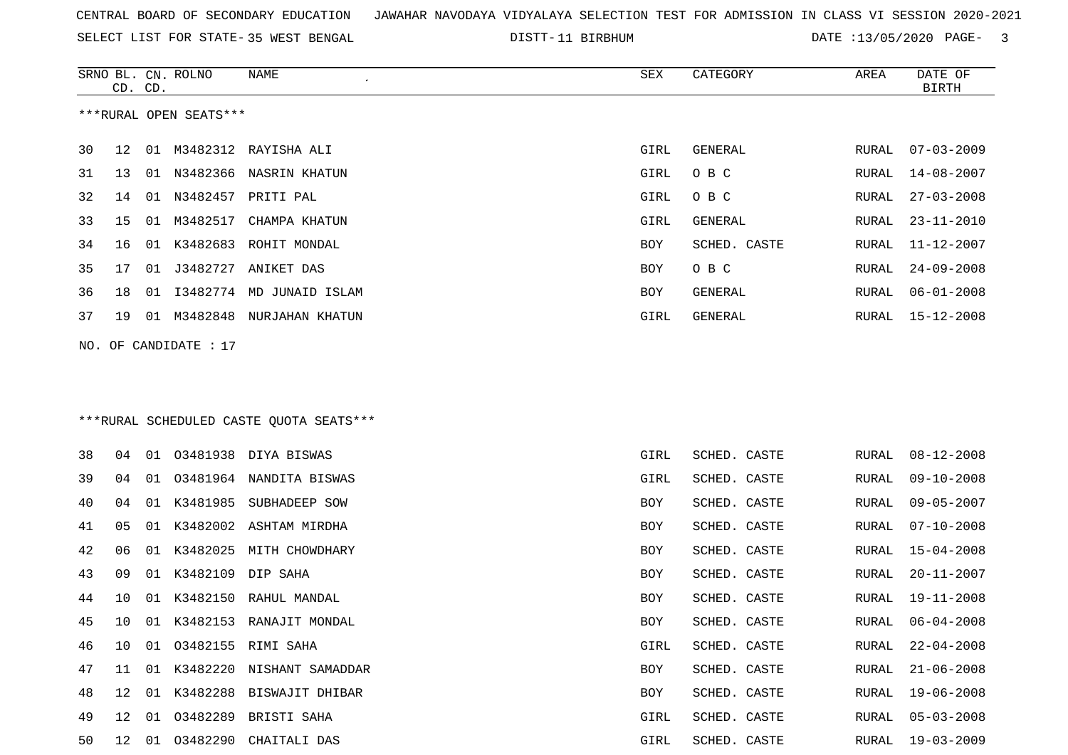SELECT LIST FOR STATE- DISTT- 35 WEST BENGAL

|     | CD. CD. |    | SRNO BL. CN. ROLNO     | NAME                                    | SEX         | CATEGORY       | AREA         | DATE OF<br><b>BIRTH</b> |
|-----|---------|----|------------------------|-----------------------------------------|-------------|----------------|--------------|-------------------------|
|     |         |    | ***RURAL OPEN SEATS*** |                                         |             |                |              |                         |
| 30  | 12      |    |                        | 01 M3482312 RAYISHA ALI                 | <b>GIRL</b> | <b>GENERAL</b> | RURAL        | $07 - 03 - 2009$        |
| 31  | 13      | 01 |                        | N3482366 NASRIN KHATUN                  | GIRL        | O B C          | RURAL        | $14 - 08 - 2007$        |
| 32  | 14      | 01 |                        | N3482457 PRITI PAL                      | GIRL        | O B C          | RURAL        | $27 - 03 - 2008$        |
| 33  | 15      | 01 | M3482517               | CHAMPA KHATUN                           | GIRL        | GENERAL        | RURAL        | $23 - 11 - 2010$        |
| 34  | 16      |    |                        | 01 K3482683 ROHIT MONDAL                | BOY         | SCHED. CASTE   | RURAL        | $11 - 12 - 2007$        |
| 35  | 17      | 01 | J3482727               | ANIKET DAS                              | BOY         | O B C          | RURAL        | $24 - 09 - 2008$        |
| 36  | 18      | 01 |                        | I3482774 MD JUNAID ISLAM                | BOY         | <b>GENERAL</b> | RURAL        | $06 - 01 - 2008$        |
| 37  | 19      |    |                        | 01 M3482848 NURJAHAN KHATUN             | GIRL        | <b>GENERAL</b> | RURAL        | $15 - 12 - 2008$        |
| NO. |         |    | OF CANDIDATE : 17      |                                         |             |                |              |                         |
|     |         |    |                        |                                         |             |                |              |                         |
|     |         |    |                        |                                         |             |                |              |                         |
|     |         |    |                        | ***RURAL SCHEDULED CASTE QUOTA SEATS*** |             |                |              |                         |
| 38  | 04      | 01 | 03481938               | DIYA BISWAS                             | GIRL        | SCHED. CASTE   | RURAL        | $08 - 12 - 2008$        |
| 39  | 04      | 01 | 03481964               | NANDITA BISWAS                          | GIRL        | SCHED. CASTE   | RURAL        | $09 - 10 - 2008$        |
| 40  | 04      |    | 01 K3481985            | SUBHADEEP SOW                           | BOY         | SCHED. CASTE   | RURAL        | $09 - 05 - 2007$        |
| 41  | 05      |    |                        | 01 K3482002 ASHTAM MIRDHA               | BOY         | SCHED. CASTE   | RURAL        | $07 - 10 - 2008$        |
| 42  | 06      | 01 | K3482025               | MITH CHOWDHARY                          | BOY         | SCHED. CASTE   | RURAL        | $15 - 04 - 2008$        |
| 43  | 09      |    | 01 K3482109            | DIP SAHA                                | BOY         | SCHED. CASTE   | RURAL        | $20 - 11 - 2007$        |
| 44  | 10      | 01 | K3482150               | RAHUL MANDAL                            | BOY         | SCHED. CASTE   | <b>RURAL</b> | $19 - 11 - 2008$        |
| 45  | 10      |    |                        | 01 K3482153 RANAJIT MONDAL              | BOY         | SCHED. CASTE   | RURAL        | $06 - 04 - 2008$        |
| 46  | 10      |    |                        | 01 03482155 RIMI SAHA                   | GIRL        | SCHED. CASTE   | RURAL        | $22 - 04 - 2008$        |
| 47  | 11      |    |                        | 01 K3482220 NISHANT SAMADDAR            | BOY         | SCHED. CASTE   | RURAL        | $21 - 06 - 2008$        |
| 48  |         |    |                        | 12 01 K3482288 BISWAJIT DHIBAR          | BOY         | SCHED. CASTE   | RURAL        | 19-06-2008              |
| 49  | 12      |    |                        | 01 03482289 BRISTI SAHA                 | GIRL        | SCHED. CASTE   | RURAL        | $05 - 03 - 2008$        |
| 50  | 12      |    |                        | 01 03482290 CHAITALI DAS                | GIRL        | SCHED. CASTE   | RURAL        | $19 - 03 - 2009$        |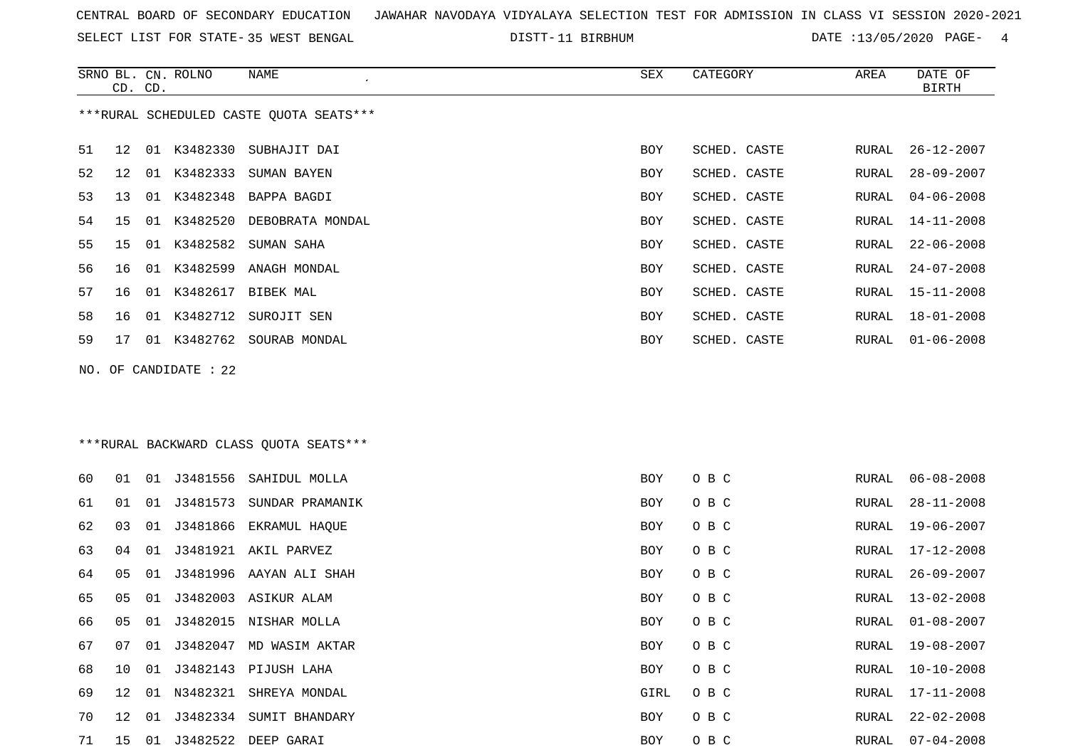SELECT LIST FOR STATE- DISTT- 35 WEST BENGAL

SRNO BL. CN.

ROLNO NAME SEX CATEGORY AREA DATE OF

|    | CD. CD. |    |                       |                                         |      |              |       | BIRTH            |
|----|---------|----|-----------------------|-----------------------------------------|------|--------------|-------|------------------|
|    |         |    |                       | ***RURAL SCHEDULED CASTE QUOTA SEATS*** |      |              |       |                  |
| 51 | 12      |    | 01 K3482330           | SUBHAJIT DAI                            | BOY  | SCHED. CASTE | RURAL | $26 - 12 - 2007$ |
| 52 | 12      | 01 | K3482333              | SUMAN BAYEN                             | BOY  | SCHED. CASTE | RURAL | $28 - 09 - 2007$ |
| 53 | 13      | 01 | K3482348              | BAPPA BAGDI                             | BOY  | SCHED. CASTE | RURAL | $04 - 06 - 2008$ |
| 54 | 15      | 01 | K3482520              | DEBOBRATA MONDAL                        | BOY  | SCHED. CASTE | RURAL | 14-11-2008       |
| 55 | 15      | 01 | K3482582              | SUMAN SAHA                              | BOY  | SCHED. CASTE | RURAL | $22 - 06 - 2008$ |
| 56 | 16      | 01 | K3482599              | ANAGH MONDAL                            | BOY  | SCHED. CASTE | RURAL | $24 - 07 - 2008$ |
| 57 | 16      |    |                       | 01 K3482617 BIBEK MAL                   | BOY  | SCHED. CASTE | RURAL | 15-11-2008       |
| 58 | 16      |    |                       | 01 K3482712 SUROJIT SEN                 | BOY  | SCHED. CASTE | RURAL | $18 - 01 - 2008$ |
| 59 | 17      |    |                       | 01 K3482762 SOURAB MONDAL               | BOY  | SCHED. CASTE | RURAL | $01 - 06 - 2008$ |
|    |         |    | NO. OF CANDIDATE : 22 |                                         |      |              |       |                  |
|    |         |    |                       |                                         |      |              |       |                  |
|    |         |    |                       |                                         |      |              |       |                  |
|    |         |    |                       | *** RURAL BACKWARD CLASS QUOTA SEATS*** |      |              |       |                  |
| 60 | 01      | 01 |                       | J3481556 SAHIDUL MOLLA                  | BOY  | O B C        | RURAL | $06 - 08 - 2008$ |
| 61 | 01      | 01 |                       | J3481573 SUNDAR PRAMANIK                | BOY  | O B C        | RURAL | $28 - 11 - 2008$ |
| 62 | 03      | 01 | J3481866              | EKRAMUL HAQUE                           | BOY  | O B C        | RURAL | 19-06-2007       |
| 63 | 04      | 01 |                       | J3481921 AKIL PARVEZ                    | BOY  | O B C        | RURAL | 17-12-2008       |
| 64 | 05      | 01 |                       | J3481996 AAYAN ALI SHAH                 | BOY  | O B C        | RURAL | $26 - 09 - 2007$ |
| 65 | 05      | 01 |                       | J3482003 ASIKUR ALAM                    | BOY  | O B C        | RURAL | $13 - 02 - 2008$ |
| 66 | 05      | 01 | J3482015              | NISHAR MOLLA                            | BOY  | O B C        | RURAL | $01 - 08 - 2007$ |
| 67 | 07      | 01 |                       | J3482047 MD WASIM AKTAR                 | BOY  | O B C        | RURAL | $19 - 08 - 2007$ |
| 68 |         |    |                       | 10 01 J3482143 PIJUSH LAHA              | BOY  | O B C        |       | RURAL 10-10-2008 |
| 69 |         |    |                       | 12 01 N3482321 SHREYA MONDAL            | GIRL | O B C        |       | RURAL 17-11-2008 |
| 70 |         |    |                       | 12 01 J3482334 SUMIT BHANDARY           | BOY  | O B C        | RURAL | $22 - 02 - 2008$ |
| 71 |         |    |                       | 15 01 J3482522 DEEP GARAI               | BOY  | O B C        |       | RURAL 07-04-2008 |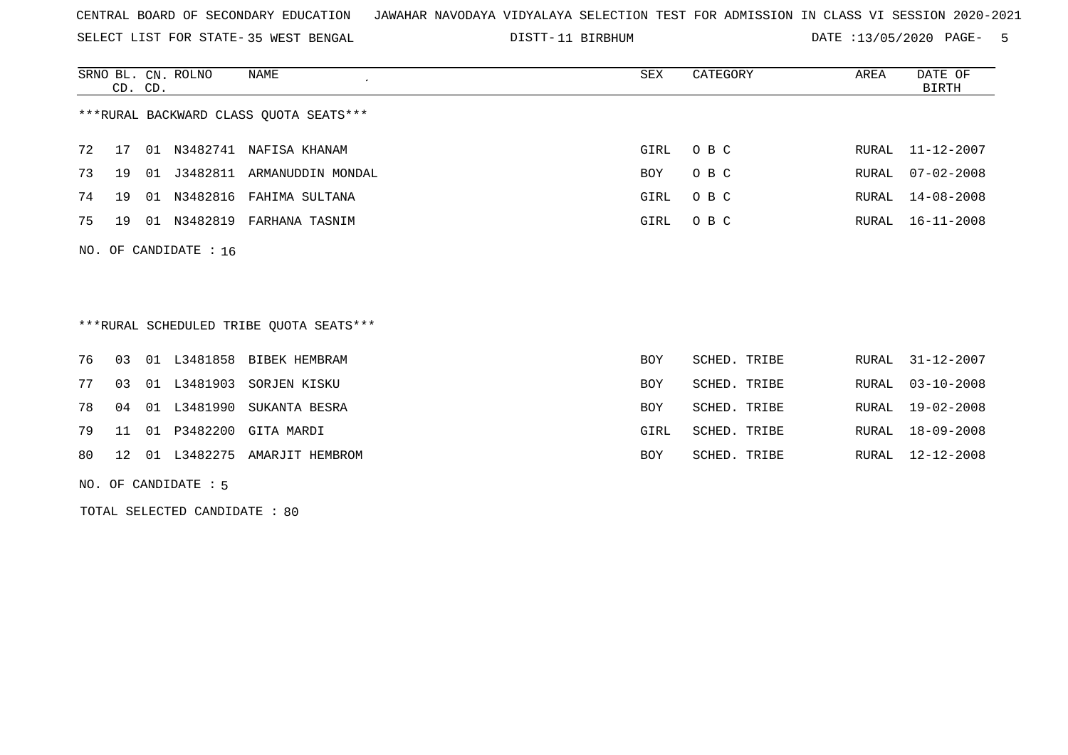SELECT LIST FOR STATE- DISTT- 35 WEST BENGAL

DISTT-11 BIRBHUM **DATE** :13/05/2020 PAGE- 5

| SRNO BL. CN. ROLNO                     | CD. CD. |          | NAME<br>$\cdot$   | SEX  | CATEGORY | AREA  | DATE OF<br>BIRTH |  |  |  |
|----------------------------------------|---------|----------|-------------------|------|----------|-------|------------------|--|--|--|
| ***RURAL BACKWARD CLASS QUOTA SEATS*** |         |          |                   |      |          |       |                  |  |  |  |
| 72<br>17                               | 01      | N3482741 | NAFISA KHANAM     | GIRL | O B C    |       | RURAL 11-12-2007 |  |  |  |
| 73<br>19                               | 01      | J3482811 | ARMANUDDIN MONDAL | BOY  | O B C    | RURAL | 07-02-2008       |  |  |  |
| 74<br>19                               | 01      | N3482816 | FAHIMA SULTANA    | GIRL | O B C    | RURAL | $14 - 08 - 2008$ |  |  |  |
| 75<br>19                               | 01      | N3482819 | FARHANA TASNIM    | GIRL | O B C    |       | RURAL 16-11-2008 |  |  |  |
| NO. OF CANDIDATE : $16$                |         |          |                   |      |          |       |                  |  |  |  |
| $+$ ++ $n$                             |         |          |                   |      |          |       |                  |  |  |  |

\*\*\*RURAL SCHEDULED TRIBE QUOTA SEATS\*\*\*

|  |  | 76 03 01 L3481858 BIBEK HEMBRAM   | BOY        | SCHED. TRIBE | RURAL 31-12-2007 |
|--|--|-----------------------------------|------------|--------------|------------------|
|  |  | 77 03 01 L3481903 SORJEN KISKU    | <b>BOY</b> | SCHED. TRIBE | RURAL 03-10-2008 |
|  |  | 78 04 01 L3481990 SUKANTA BESRA   | <b>BOY</b> | SCHED. TRIBE | RURAL 19-02-2008 |
|  |  | 79 11 01 P3482200 GITA MARDI      | GIRL       | SCHED. TRIBE | RURAL 18-09-2008 |
|  |  | 80 12 01 L3482275 AMARJIT HEMBROM | BOY        | SCHED. TRIBE | RURAL 12-12-2008 |

NO. OF CANDIDATE : 5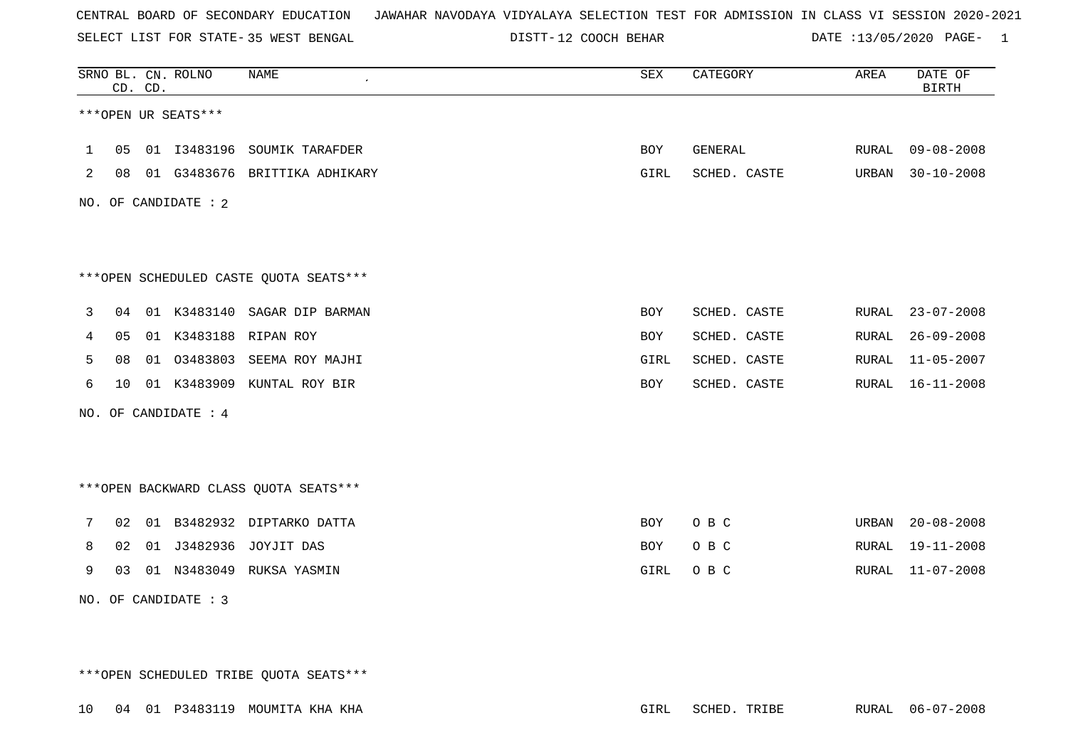SELECT LIST FOR STATE- DISTT- 35 WEST BENGAL

DISTT-12 COOCH BEHAR DATE :13/05/2020 PAGE- 1

|   |    | CD. CD. | SRNO BL. CN. ROLNO   | <b>NAME</b>                            | SEX         | CATEGORY     | AREA  | DATE OF<br><b>BIRTH</b> |
|---|----|---------|----------------------|----------------------------------------|-------------|--------------|-------|-------------------------|
|   |    |         | ***OPEN UR SEATS***  |                                        |             |              |       |                         |
| 1 | 05 |         |                      | 01 I3483196 SOUMIK TARAFDER            | BOY         | GENERAL      | RURAL | $09 - 08 - 2008$        |
| 2 | 08 |         |                      | 01 G3483676 BRITTIKA ADHIKARY          | GIRL        | SCHED. CASTE | URBAN | $30 - 10 - 2008$        |
|   |    |         | NO. OF CANDIDATE : 2 |                                        |             |              |       |                         |
|   |    |         |                      |                                        |             |              |       |                         |
|   |    |         |                      |                                        |             |              |       |                         |
|   |    |         |                      | ***OPEN SCHEDULED CASTE QUOTA SEATS*** |             |              |       |                         |
| 3 | 04 |         |                      | 01 K3483140 SAGAR DIP BARMAN           | BOY         | SCHED. CASTE | RURAL | $23 - 07 - 2008$        |
| 4 | 05 |         |                      | 01 K3483188 RIPAN ROY                  | BOY         | SCHED. CASTE | RURAL | $26 - 09 - 2008$        |
| 5 | 08 | 01      | 03483803             | SEEMA ROY MAJHI                        | <b>GIRL</b> | SCHED. CASTE | RURAL | $11 - 05 - 2007$        |
| 6 | 10 |         | 01 K3483909          | KUNTAL ROY BIR                         | BOY         | SCHED. CASTE | RURAL | $16 - 11 - 2008$        |
|   |    |         | NO. OF CANDIDATE : 4 |                                        |             |              |       |                         |
|   |    |         |                      |                                        |             |              |       |                         |
|   |    |         |                      |                                        |             |              |       |                         |
|   |    |         |                      | *** OPEN BACKWARD CLASS QUOTA SEATS*** |             |              |       |                         |
| 7 | 02 | 01      |                      | B3482932 DIPTARKO DATTA                | <b>BOY</b>  | O B C        | URBAN | $20 - 08 - 2008$        |
| 8 | 02 | 01      | J3482936             | JOYJIT DAS                             | <b>BOY</b>  | O B C        | RURAL | $19 - 11 - 2008$        |
| 9 | 03 |         |                      | 01 N3483049 RUKSA YASMIN               | GIRL        | O B C        | RURAL | $11 - 07 - 2008$        |
|   |    |         | NO. OF CANDIDATE : 3 |                                        |             |              |       |                         |

\*\*\*OPEN SCHEDULED TRIBE QUOTA SEATS\*\*\*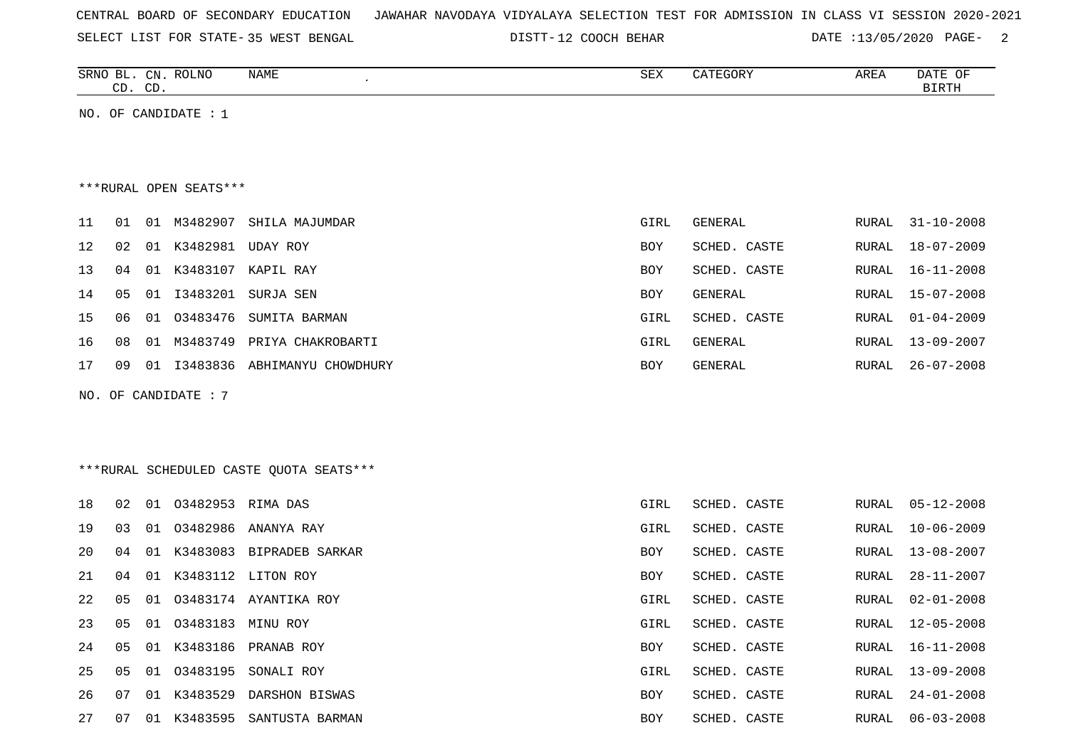| CENTRAL BOARD OF SECONDARY EDUCATION – JAWAHAR NAVODAYA VIDYALAYA SELECTION TEST FOR ADMISSION IN CLASS VI SESSION 2020-2021 |
|------------------------------------------------------------------------------------------------------------------------------|
|------------------------------------------------------------------------------------------------------------------------------|

SELECT LIST FOR STATE- DISTT- 35 WEST BENGAL

DISTT-12 COOCH BEHAR DATE :13/05/2020 PAGE- 2

| SRNO<br>ᆸ    | CN          | $DAT$ $\Lambda T$<br>RULINU | NAME | CDU<br>ついて | $\sqrt{2}$<br>コレコレコル | <b>AREA</b><br>$\cdots$ | DATE<br>◡   |
|--------------|-------------|-----------------------------|------|------------|----------------------|-------------------------|-------------|
| $\sim$<br>ىت | $\cap$<br>ັ |                             |      |            |                      |                         | .<br>------ |
|              |             |                             |      |            |                      |                         |             |

NO. OF CANDIDATE : 1

#### \*\*\*RURAL OPEN SEATS\*\*\*

| 11              | 01        | 01    | M3482907 | SHILA MAJUMDAR      | GIRL       | GENERAL      |       | RURAL 31-10-2008 |
|-----------------|-----------|-------|----------|---------------------|------------|--------------|-------|------------------|
| 12 <sub>1</sub> | 02        | 01    | K3482981 | UDAY ROY            | <b>BOY</b> | SCHED. CASTE | RURAL | 18-07-2009       |
| 13 <sup>1</sup> | 04        | 01    | K3483107 | KAPIL RAY           | <b>BOY</b> | SCHED. CASTE | RURAL | 16-11-2008       |
| 14              | 05        | 01    | I3483201 | SURJA SEN           | <b>BOY</b> | GENERAL      | RURAL | 15-07-2008       |
| 15              | 06        | . O 1 | 03483476 | SUMITA BARMAN       | GIRL       | SCHED. CASTE | RURAL | 01-04-2009       |
| 16              | 08        | 01    | M3483749 | PRIYA CHAKROBARTI   | GIRL       | GENERAL      | RURAL | 13-09-2007       |
| 17              | <u>በዓ</u> | . O 1 | I3483836 | ABHIMANYU CHOWDHURY | <b>BOY</b> | GENERAL      | RURAL | 26-07-2008       |
|                 |           |       |          |                     |            |              |       |                  |

NO. OF CANDIDATE : 7

## \*\*\*RURAL SCHEDULED CASTE QUOTA SEATS\*\*\*

| 18     | 02 | 01 03482953 RIMA DAS |                             | GIRL       | SCHED. CASTE | RURAL | $05 - 12 - 2008$ |
|--------|----|----------------------|-----------------------------|------------|--------------|-------|------------------|
| 19     | 03 |                      | 01 03482986 ANANYA RAY      | GIRL       | SCHED. CASTE | RURAL | $10 - 06 - 2009$ |
| 20     | 04 | 01 K3483083          | BIPRADEB SARKAR             | BOY        | SCHED. CASTE | RURAL | 13-08-2007       |
| 21     | 04 |                      | 01 K3483112 LITON ROY       | <b>BOY</b> | SCHED. CASTE | RURAL | 28-11-2007       |
| 22     | 05 |                      | 01 03483174 AYANTIKA ROY    | GIRL       | SCHED. CASTE | RURAL | 02-01-2008       |
| 23     | 05 | 01 03483183          | MINU ROY                    | GIRL       | SCHED. CASTE | RURAL | $12 - 05 - 2008$ |
| 2.4    |    |                      | 05 01 K3483186 PRANAB ROY   | <b>BOY</b> | SCHED. CASTE | RURAL | $16 - 11 - 2008$ |
| $25 -$ | 05 |                      | 01 03483195 SONALI ROY      | GIRL       | SCHED. CASTE | RURAL | 13-09-2008       |
| 26     | 07 | 01 K3483529          | DARSHON BISWAS              | <b>BOY</b> | SCHED. CASTE | RURAL | 24-01-2008       |
| 27     | 07 |                      | 01 K3483595 SANTUSTA BARMAN | <b>BOY</b> | SCHED. CASTE | RURAL | 06-03-2008       |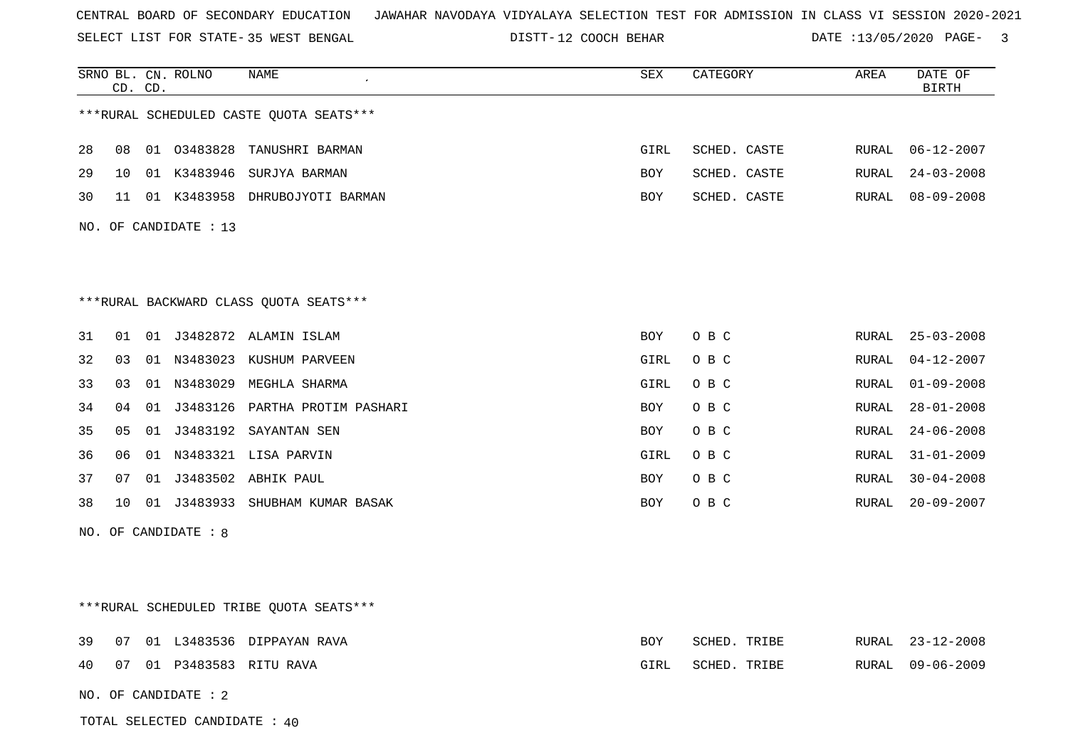SELECT LIST FOR STATE- DISTT- 35 WEST BENGAL

DISTT-12 COOCH BEHAR DATE :13/05/2020 PAGE- 3

|    | CD. | CD. | SRNO BL. CN. ROLNO    | NAME                                    | SEX        | CATEGORY     | AREA  | DATE OF<br><b>BIRTH</b> |
|----|-----|-----|-----------------------|-----------------------------------------|------------|--------------|-------|-------------------------|
|    |     |     |                       | ***RURAL SCHEDULED CASTE QUOTA SEATS*** |            |              |       |                         |
| 28 | 08  |     | 01 03483828           | TANUSHRI BARMAN                         | GIRL       | SCHED. CASTE | RURAL | $06 - 12 - 2007$        |
| 29 | 10  |     |                       | 01 K3483946 SURJYA BARMAN               | BOY        | SCHED. CASTE | RURAL | $24 - 03 - 2008$        |
| 30 | 11  |     |                       | 01 K3483958 DHRUBOJYOTI BARMAN          | BOY        | SCHED. CASTE | RURAL | $08 - 09 - 2008$        |
|    |     |     | NO. OF CANDIDATE : 13 |                                         |            |              |       |                         |
|    |     |     |                       |                                         |            |              |       |                         |
|    |     |     |                       |                                         |            |              |       |                         |
|    |     |     |                       | *** RURAL BACKWARD CLASS QUOTA SEATS*** |            |              |       |                         |
| 31 | 01  |     |                       | 01 J3482872 ALAMIN ISLAM                | BOY        | O B C        | RURAL | $25 - 03 - 2008$        |
| 32 | 03  |     |                       | 01 N3483023 KUSHUM PARVEEN              | GIRL       | O B C        | RURAL | $04 - 12 - 2007$        |
| 33 | 03  |     |                       | 01 N3483029 MEGHLA SHARMA               | GIRL       | O B C        | RURAL | $01 - 09 - 2008$        |
| 34 | 04  | 01  |                       | J3483126 PARTHA PROTIM PASHARI          | <b>BOY</b> | O B C        | RURAL | $28 - 01 - 2008$        |
| 35 | 05  |     |                       | 01 J3483192 SAYANTAN SEN                | BOY        | O B C        | RURAL | $24 - 06 - 2008$        |
| 36 | 06  |     |                       | 01 N3483321 LISA PARVIN                 | GIRL       | O B C        | RURAL | $31 - 01 - 2009$        |
| 37 | 07  |     |                       | 01 J3483502 ABHIK PAUL                  | BOY        | O B C        | RURAL | $30 - 04 - 2008$        |
| 38 | 10  |     |                       | 01 J3483933 SHUBHAM KUMAR BASAK         | BOY        | O B C        | RURAL | $20 - 09 - 2007$        |
|    |     |     | NO. OF CANDIDATE : 8  |                                         |            |              |       |                         |
|    |     |     |                       |                                         |            |              |       |                         |
|    |     |     |                       |                                         |            |              |       |                         |
|    |     |     |                       | ***RURAL SCHEDULED TRIBE OUOTA SEATS*** |            |              |       |                         |
| 39 | 07  |     |                       | 01 L3483536 DIPPAYAN RAVA               | <b>BOY</b> | SCHED. TRIBE | RURAL | $23 - 12 - 2008$        |
| 40 | 07  |     |                       | 01 P3483583 RITU RAVA                   | GIRL       | SCHED. TRIBE | RURAL | $09 - 06 - 2009$        |
|    |     |     | NO. OF CANDIDATE : 2  |                                         |            |              |       |                         |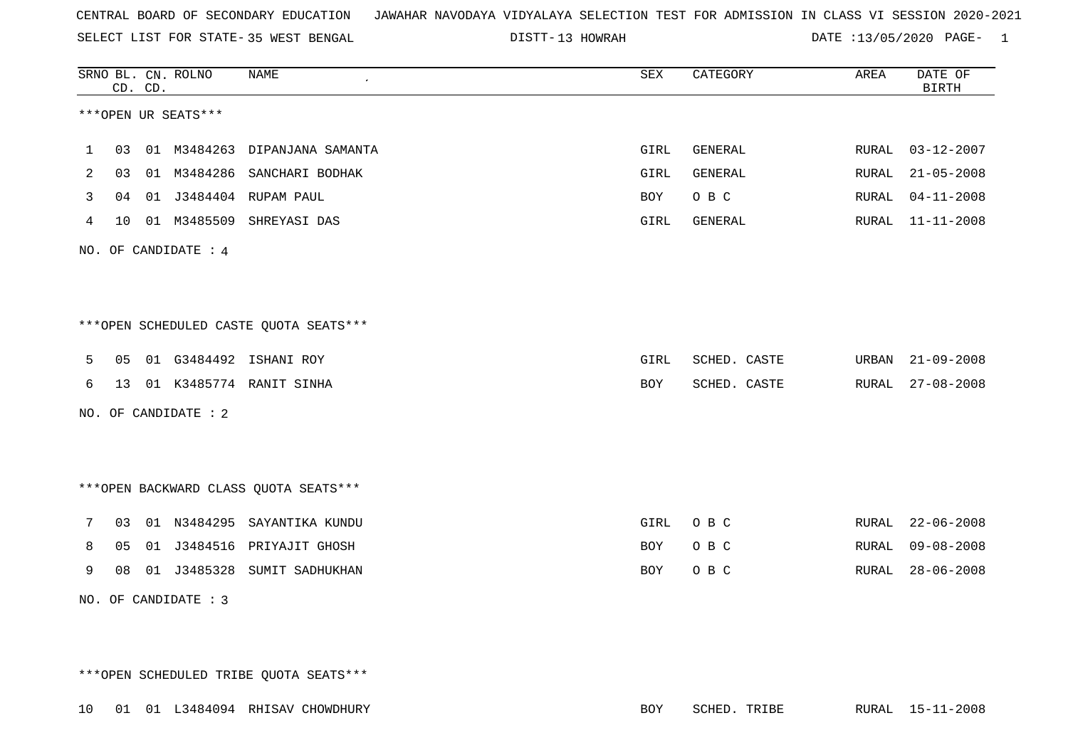SELECT LIST FOR STATE- DISTT- 35 WEST BENGAL

13 HOWRAH DATE :13/05/2020 PAGE- 1

|   |    | CD. CD. | SRNO BL. CN. ROLNO   | <b>NAME</b>                            | <b>SEX</b> | CATEGORY       | AREA         | DATE OF<br><b>BIRTH</b> |
|---|----|---------|----------------------|----------------------------------------|------------|----------------|--------------|-------------------------|
|   |    |         | ***OPEN UR SEATS***  |                                        |            |                |              |                         |
| 1 | 03 |         |                      | 01 M3484263 DIPANJANA SAMANTA          | GIRL       | GENERAL        | RURAL        | $03 - 12 - 2007$        |
| 2 | 03 |         | 01 M3484286          | SANCHARI BODHAK                        | GIRL       | <b>GENERAL</b> | RURAL        | $21 - 05 - 2008$        |
| 3 | 04 |         |                      | 01 J3484404 RUPAM PAUL                 | BOY        | O B C          | RURAL        | $04 - 11 - 2008$        |
| 4 | 10 |         |                      | 01 M3485509 SHREYASI DAS               | GIRL       | GENERAL        | RURAL        | $11 - 11 - 2008$        |
|   |    |         | NO. OF CANDIDATE : 4 |                                        |            |                |              |                         |
|   |    |         |                      |                                        |            |                |              |                         |
|   |    |         |                      |                                        |            |                |              |                         |
|   |    |         |                      | ***OPEN SCHEDULED CASTE QUOTA SEATS*** |            |                |              |                         |
| 5 | 05 |         |                      | 01 G3484492 ISHANI ROY                 | GIRL       | SCHED. CASTE   | URBAN        | $21 - 09 - 2008$        |
| 6 | 13 |         |                      | 01 K3485774 RANIT SINHA                | BOY        | SCHED. CASTE   | RURAL        | $27 - 08 - 2008$        |
|   |    |         | NO. OF CANDIDATE : 2 |                                        |            |                |              |                         |
|   |    |         |                      |                                        |            |                |              |                         |
|   |    |         |                      |                                        |            |                |              |                         |
|   |    |         |                      | *** OPEN BACKWARD CLASS QUOTA SEATS*** |            |                |              |                         |
| 7 | 03 |         |                      | 01 N3484295 SAYANTIKA KUNDU            | GIRL       | O B C          | RURAL        | $22 - 06 - 2008$        |
| 8 | 05 |         |                      | 01 J3484516 PRIYAJIT GHOSH             | BOY        | O B C          | RURAL        | $09 - 08 - 2008$        |
| 9 | 08 |         | 01 J3485328          | SUMIT SADHUKHAN                        | <b>BOY</b> | O B C          | <b>RURAL</b> | $28 - 06 - 2008$        |
|   |    |         | NO. OF CANDIDATE : 3 |                                        |            |                |              |                         |

\*\*\*OPEN SCHEDULED TRIBE QUOTA SEATS\*\*\*

10 01 01 L3484094 RHISAV CHOWDHURY BOY SCHED. TRIBE RURAL 15-11-2008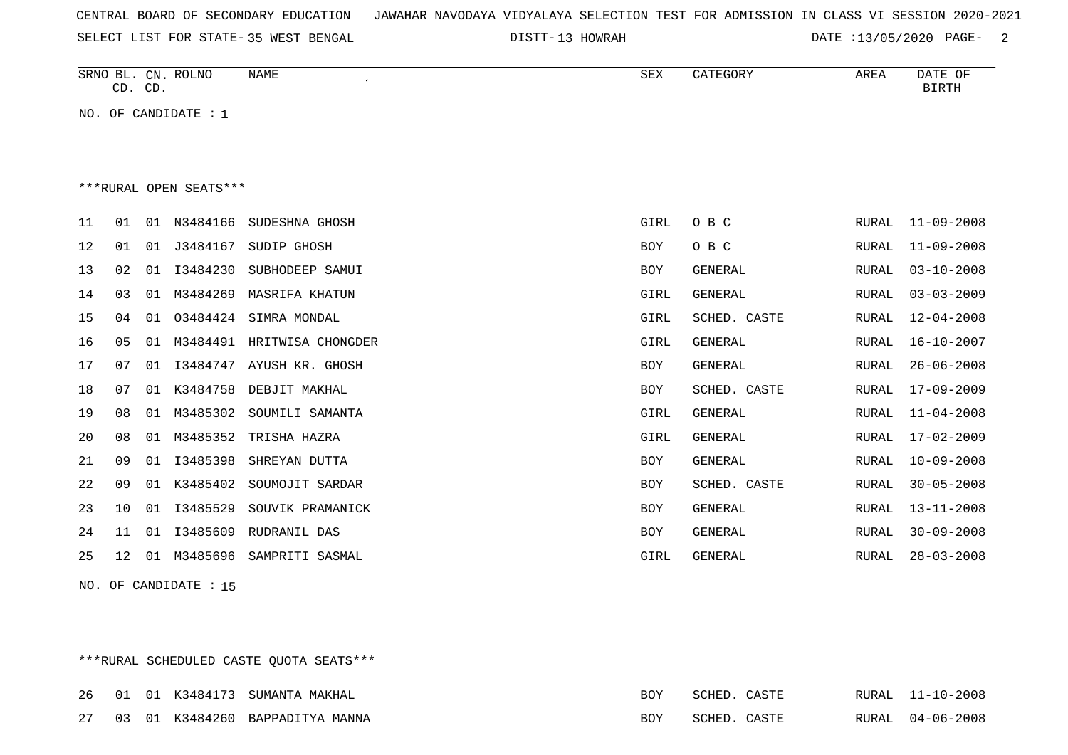| CENTRAL BOARD OF SECONDARY EDUCATION – JAWAHAR NAVODAYA VIDYALAYA SELECTION TEST FOR ADMISSION IN CLASS VI SESSION 2020-2021 |  |
|------------------------------------------------------------------------------------------------------------------------------|--|
|------------------------------------------------------------------------------------------------------------------------------|--|

SELECT LIST FOR STATE- DISTT- 35 WEST BENGAL

DISTT-13 HOWRAH DATE :13/05/2020 PAGE- 2

|    | CD. CD. |    | SRNO BL. CN. ROLNO     | <b>NAME</b>                | <b>SEX</b>  | CATEGORY       | AREA         | DATE OF<br><b>BIRTH</b> |
|----|---------|----|------------------------|----------------------------|-------------|----------------|--------------|-------------------------|
|    |         |    | NO. OF CANDIDATE $: 1$ |                            |             |                |              |                         |
|    |         |    |                        |                            |             |                |              |                         |
|    |         |    |                        |                            |             |                |              |                         |
|    |         |    | ***RURAL OPEN SEATS*** |                            |             |                |              |                         |
| 11 | 01      |    | 01 N3484166            | SUDESHNA GHOSH             | GIRL        | O B C          | RURAL        | $11 - 09 - 2008$        |
| 12 | 01      | 01 | J3484167               | SUDIP GHOSH                | <b>BOY</b>  | O B C          | RURAL        | $11 - 09 - 2008$        |
| 13 | 02      | 01 | I3484230               | SUBHODEEP SAMUI            | BOY         | <b>GENERAL</b> | <b>RURAL</b> | $03 - 10 - 2008$        |
| 14 | 03      | 01 | M3484269               | <b>MASRIFA KHATUN</b>      | <b>GIRL</b> | <b>GENERAL</b> | <b>RURAL</b> | $03 - 03 - 2009$        |
| 15 | 04      | 01 | 03484424               | SIMRA MONDAL               | GIRL        | SCHED. CASTE   | RURAL        | $12 - 04 - 2008$        |
| 16 | 05      | 01 |                        | M3484491 HRITWISA CHONGDER | <b>GIRL</b> | <b>GENERAL</b> | RURAL        | $16 - 10 - 2007$        |
| 17 | 07      | 01 | I3484747               | AYUSH KR. GHOSH            | <b>BOY</b>  | <b>GENERAL</b> | RURAL        | $26 - 06 - 2008$        |
| 18 | 07      | 01 | K3484758               | DEBJIT MAKHAL              | BOY         | SCHED. CASTE   | RURAL        | $17 - 09 - 2009$        |
| 19 | 08      | 01 | M3485302               | SOUMILI SAMANTA            | GIRL        | <b>GENERAL</b> | <b>RURAL</b> | $11 - 04 - 2008$        |
| 20 | 08      | 01 | M3485352               | TRISHA HAZRA               | <b>GIRL</b> | <b>GENERAL</b> | <b>RURAL</b> | $17 - 02 - 2009$        |
| 21 | 09      | 01 | I3485398               | SHREYAN DUTTA              | <b>BOY</b>  | GENERAL        | RURAL        | $10 - 09 - 2008$        |
| 22 | 09      | 01 | K3485402               | SOUMOJIT SARDAR            | <b>BOY</b>  | SCHED. CASTE   | RURAL        | $30 - 05 - 2008$        |
| 23 | 10      | 01 | I3485529               | SOUVIK PRAMANICK           | <b>BOY</b>  | <b>GENERAL</b> | <b>RURAL</b> | $13 - 11 - 2008$        |
| 24 | 11      | 01 | I3485609               | RUDRANIL DAS               | <b>BOY</b>  | <b>GENERAL</b> | RURAL        | $30 - 09 - 2008$        |
| 25 | 12      | 01 | M3485696               | SAMPRITI SASMAL            | <b>GIRL</b> | <b>GENERAL</b> | RURAL        | $28 - 03 - 2008$        |

NO. OF CANDIDATE : 15

\*\*\*RURAL SCHEDULED CASTE QUOTA SEATS\*\*\*

|  |  | 26 01 01 K3484173 SUMANTA MAKHAL   | BOY | SCHED.       | C A CTF      |       | RURAL 11-10-2008 |
|--|--|------------------------------------|-----|--------------|--------------|-------|------------------|
|  |  | 27 03 01 K3484260 BAPPADITYA MANNA | BOY | <b>SURLA</b> | <b>CACTE</b> | RURAL | $04 - 06 - 2008$ |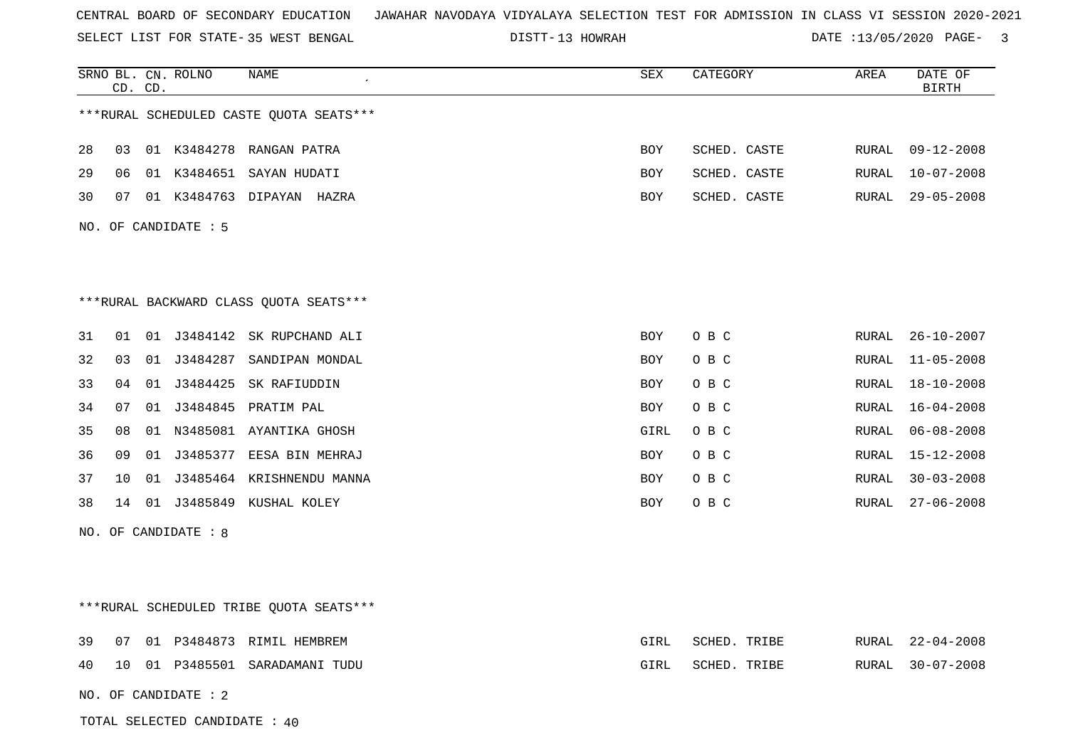| CENTRAL BOARD OF SECONDARY EDUCATION – JAWAHAR NAVODAYA VIDYALAYA SELECTION TEST FOR ADMISSION IN CLASS VI SESSION 2020-2021 |  |  |  |  |  |  |  |
|------------------------------------------------------------------------------------------------------------------------------|--|--|--|--|--|--|--|
|------------------------------------------------------------------------------------------------------------------------------|--|--|--|--|--|--|--|

SELECT LIST FOR STATE- DISTT- 35 WEST BENGAL 13 HOWRAH DATE :13/05/2020 PAGE- 3

|    |    | CD. CD. | SRNO BL. CN. ROLNO     | NAME                                     | SEX        | CATEGORY     | AREA  | DATE OF<br>BIRTH |
|----|----|---------|------------------------|------------------------------------------|------------|--------------|-------|------------------|
|    |    |         |                        | ***RURAL SCHEDULED CASTE QUOTA SEATS***  |            |              |       |                  |
| 28 | 03 |         |                        | 01 K3484278 RANGAN PATRA                 | <b>BOY</b> | SCHED. CASTE | RURAL | $09 - 12 - 2008$ |
| 29 | 06 |         |                        | 01 K3484651 SAYAN HUDATI                 | BOY        | SCHED. CASTE | RURAL | $10 - 07 - 2008$ |
| 30 | 07 |         |                        | 01 K3484763 DIPAYAN HAZRA                | <b>BOY</b> | SCHED. CASTE | RURAL | $29 - 05 - 2008$ |
|    |    |         | NO. OF CANDIDATE: 5    |                                          |            |              |       |                  |
|    |    |         |                        |                                          |            |              |       |                  |
|    |    |         |                        |                                          |            |              |       |                  |
|    |    |         |                        | ***RURAL BACKWARD CLASS QUOTA SEATS***   |            |              |       |                  |
| 31 | 01 |         |                        | 01 J3484142 SK RUPCHAND ALI              | BOY        | O B C        | RURAL | $26 - 10 - 2007$ |
| 32 | 03 |         |                        | 01 J3484287 SANDIPAN MONDAL              | BOY        | O B C        | RURAL | $11 - 05 - 2008$ |
| 33 | 04 | 01      |                        | J3484425 SK RAFIUDDIN                    | BOY        | O B C        | RURAL | $18 - 10 - 2008$ |
| 34 | 07 |         |                        | 01 J3484845 PRATIM PAL                   | BOY        | O B C        | RURAL | $16 - 04 - 2008$ |
| 35 | 08 |         |                        | 01 N3485081 AYANTIKA GHOSH               | GIRL       | O B C        | RURAL | $06 - 08 - 2008$ |
| 36 | 09 | 01      |                        | J3485377 EESA BIN MEHRAJ                 | <b>BOY</b> | O B C        | RURAL | $15 - 12 - 2008$ |
| 37 | 10 |         |                        | 01 J3485464 KRISHNENDU MANNA             | BOY        | O B C        | RURAL | $30 - 03 - 2008$ |
| 38 | 14 |         |                        | 01 J3485849 KUSHAL KOLEY                 | BOY        | O B C        | RURAL | $27 - 06 - 2008$ |
|    |    |         | NO. OF CANDIDATE : 8   |                                          |            |              |       |                  |
|    |    |         |                        |                                          |            |              |       |                  |
|    |    |         |                        |                                          |            |              |       |                  |
|    |    |         |                        | *** RURAL SCHEDULED TRIBE QUOTA SEATS*** |            |              |       |                  |
| 39 | 07 |         |                        | 01 P3484873 RIMIL HEMBREM                | GIRL       | SCHED. TRIBE | RURAL | 22-04-2008       |
| 40 | 10 |         |                        | 01 P3485501 SARADAMANI TUDU              | GIRL       | SCHED. TRIBE | RURAL | $30 - 07 - 2008$ |
|    |    |         | NO. OF CANDIDATE : $2$ |                                          |            |              |       |                  |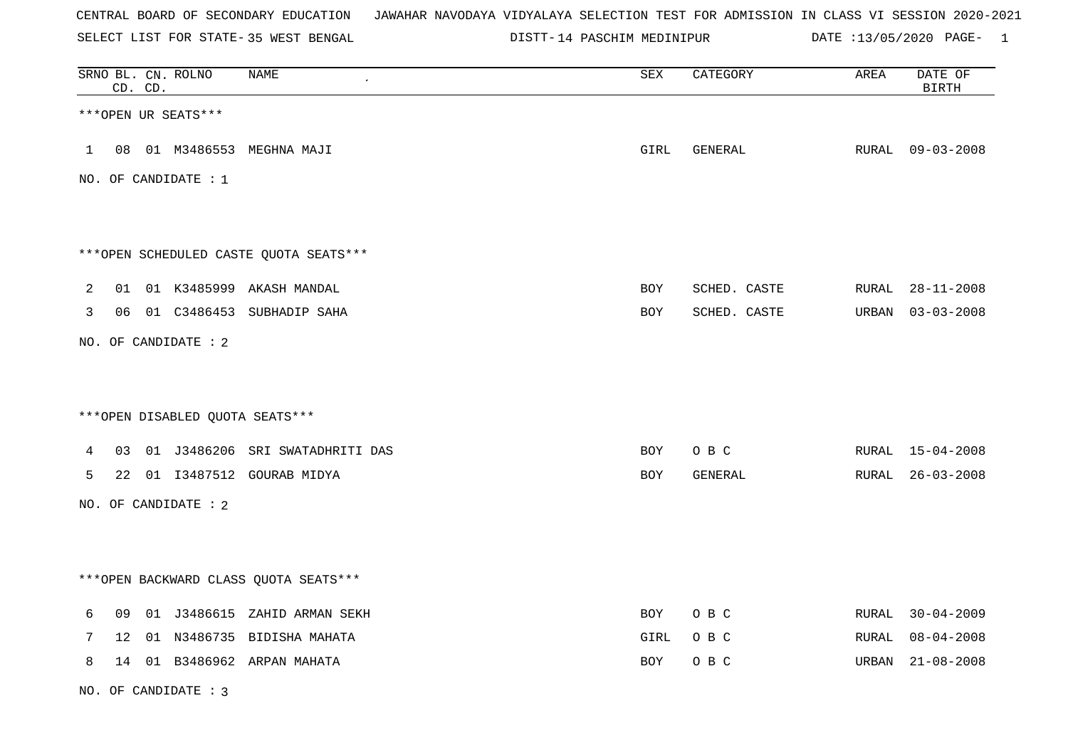SELECT LIST FOR STATE- DISTT- 35 WEST BENGAL

NO. OF CANDIDATE : 3

14 PASCHIM MEDINIPUR DATE :13/05/2020 PAGE- 1

|              | CD. CD.         | SRNO BL. CN. ROLNO     | NAME                                   | ${\tt SEX}$ | CATEGORY     | AREA  | DATE OF<br>$\operatorname{BIRTH}$ |
|--------------|-----------------|------------------------|----------------------------------------|-------------|--------------|-------|-----------------------------------|
|              |                 | ***OPEN UR SEATS***    |                                        |             |              |       |                                   |
| $\mathbf{1}$ |                 |                        | 08 01 M3486553 MEGHNA MAJI             | GIRL        | GENERAL      |       | RURAL 09-03-2008                  |
|              |                 | NO. OF CANDIDATE : $1$ |                                        |             |              |       |                                   |
|              |                 |                        | ***OPEN SCHEDULED CASTE QUOTA SEATS*** |             |              |       |                                   |
| 2            |                 |                        | 01 01 K3485999 AKASH MANDAL            | <b>BOY</b>  | SCHED. CASTE |       | RURAL 28-11-2008                  |
| 3            |                 |                        | 06 01 C3486453 SUBHADIP SAHA           | BOY         | SCHED. CASTE | URBAN | $03 - 03 - 2008$                  |
|              |                 | NO. OF CANDIDATE : 2   |                                        |             |              |       |                                   |
|              |                 |                        | *** OPEN DISABLED QUOTA SEATS***       |             |              |       |                                   |
| 4            |                 |                        | 03 01 J3486206 SRI SWATADHRITI DAS     | BOY         | O B C        |       | RURAL 15-04-2008                  |
| 5            |                 |                        | 22 01 I3487512 GOURAB MIDYA            | BOY         | GENERAL      | RURAL | $26 - 03 - 2008$                  |
|              |                 | NO. OF CANDIDATE : 2   |                                        |             |              |       |                                   |
|              |                 |                        | *** OPEN BACKWARD CLASS QUOTA SEATS*** |             |              |       |                                   |
| 6            |                 |                        | 09 01 J3486615 ZAHID ARMAN SEKH        | BOY         | O B C        |       | RURAL 30-04-2009                  |
| 7            | 12 <sub>2</sub> |                        | 01 N3486735 BIDISHA MAHATA             | GIRL        | O B C        | RURAL | $08 - 04 - 2008$                  |
| 8            |                 |                        | 14 01 B3486962 ARPAN MAHATA            | BOY         | O B C        | URBAN | 21-08-2008                        |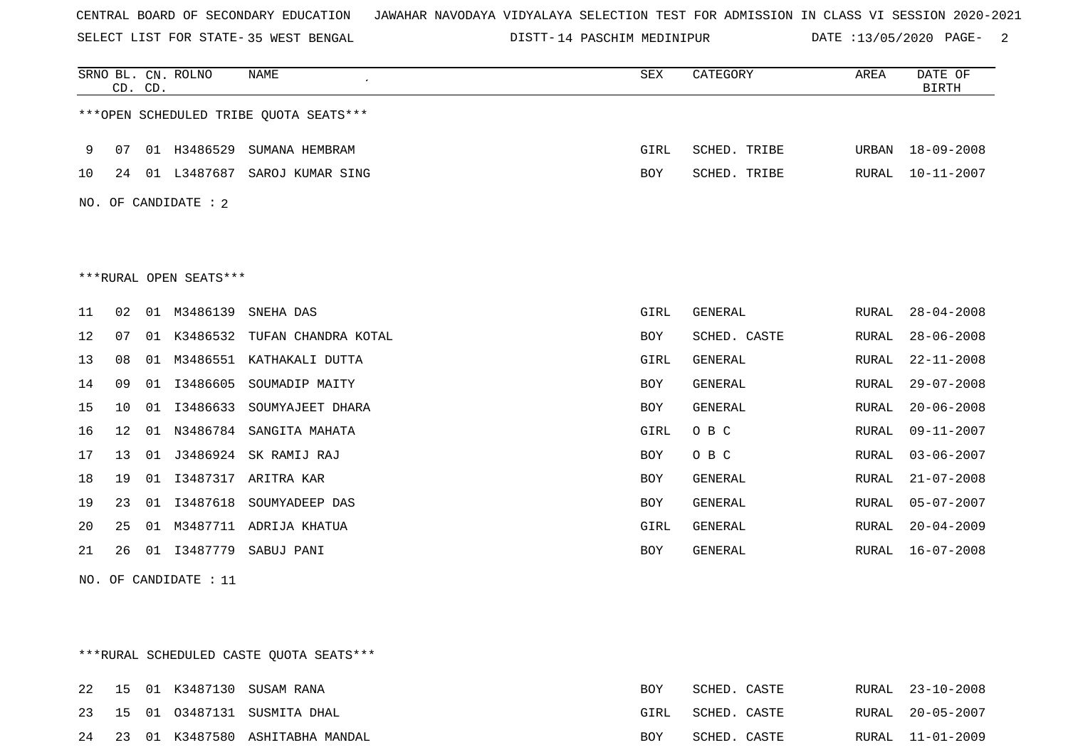SELECT LIST FOR STATE- DISTT- 35 WEST BENGAL

14 PASCHIM MEDINIPUR DATE :13/05/2020 PAGE- 2

|    |    | CD. CD. | SRNO BL. CN. ROLNO     | <b>NAME</b>                            | <b>SEX</b> | CATEGORY       | AREA         | DATE OF<br><b>BIRTH</b> |
|----|----|---------|------------------------|----------------------------------------|------------|----------------|--------------|-------------------------|
|    |    |         |                        | ***OPEN SCHEDULED TRIBE QUOTA SEATS*** |            |                |              |                         |
| 9  | 07 | 01      | H3486529               | SUMANA HEMBRAM                         | GIRL       | SCHED. TRIBE   | URBAN        | $18 - 09 - 2008$        |
| 10 | 24 |         | 01 L3487687            | SAROJ KUMAR SING                       | BOY        | SCHED. TRIBE   | RURAL        | $10 - 11 - 2007$        |
|    |    |         | NO. OF CANDIDATE : 2   |                                        |            |                |              |                         |
|    |    |         |                        |                                        |            |                |              |                         |
|    |    |         |                        |                                        |            |                |              |                         |
|    |    |         | ***RURAL OPEN SEATS*** |                                        |            |                |              |                         |
| 11 | 02 | 01      | M3486139               | SNEHA DAS                              | GIRL       | GENERAL        | RURAL        | $28 - 04 - 2008$        |
| 12 | 07 | 01      | K3486532               | TUFAN CHANDRA KOTAL                    | <b>BOY</b> | SCHED. CASTE   | RURAL        | $28 - 06 - 2008$        |
| 13 | 08 | 01      | M3486551               | KATHAKALI DUTTA                        | GIRL       | GENERAL        | RURAL        | $22 - 11 - 2008$        |
| 14 | 09 | 01      | I3486605               | SOUMADIP MAITY                         | BOY        | <b>GENERAL</b> | <b>RURAL</b> | $29 - 07 - 2008$        |
| 15 | 10 | 01      | I3486633               | SOUMYAJEET DHARA                       | BOY        | GENERAL        | RURAL        | $20 - 06 - 2008$        |
| 16 | 12 | 01      | N3486784               | SANGITA MAHATA                         | GIRL       | O B C          | RURAL        | $09 - 11 - 2007$        |
| 17 | 13 | 01      | J3486924               | SK RAMIJ RAJ                           | BOY        | O B C          | RURAL        | $03 - 06 - 2007$        |
| 18 | 19 | 01      | I3487317               | ARITRA KAR                             | BOY        | <b>GENERAL</b> | RURAL        | $21 - 07 - 2008$        |
| 19 | 23 | 01      | I3487618               | SOUMYADEEP DAS                         | <b>BOY</b> | <b>GENERAL</b> | <b>RURAL</b> | $05 - 07 - 2007$        |
| 20 | 25 | 01      | M3487711               | ADRIJA KHATUA                          | GIRL       | <b>GENERAL</b> | RURAL        | $20 - 04 - 2009$        |
| 21 | 26 | 01      | I3487779               | SABUJ PANI                             | <b>BOY</b> | <b>GENERAL</b> | RURAL        | $16 - 07 - 2008$        |

NO. OF CANDIDATE : 11

\*\*\*RURAL SCHEDULED CASTE QUOTA SEATS\*\*\*

|  |  | 22 15 01 K3487130 SUSAM RANA       | BOY        | SCHED. CASTE |  | RURAL 23-10-2008 |
|--|--|------------------------------------|------------|--------------|--|------------------|
|  |  | 23 15 01 03487131 SUSMITA DHAL     | GIRL       | SCHED. CASTE |  | RURAL 20-05-2007 |
|  |  | 24 23 01 K3487580 ASHITABHA MANDAL | <b>BOY</b> | SCHED. CASTE |  | RURAL 11-01-2009 |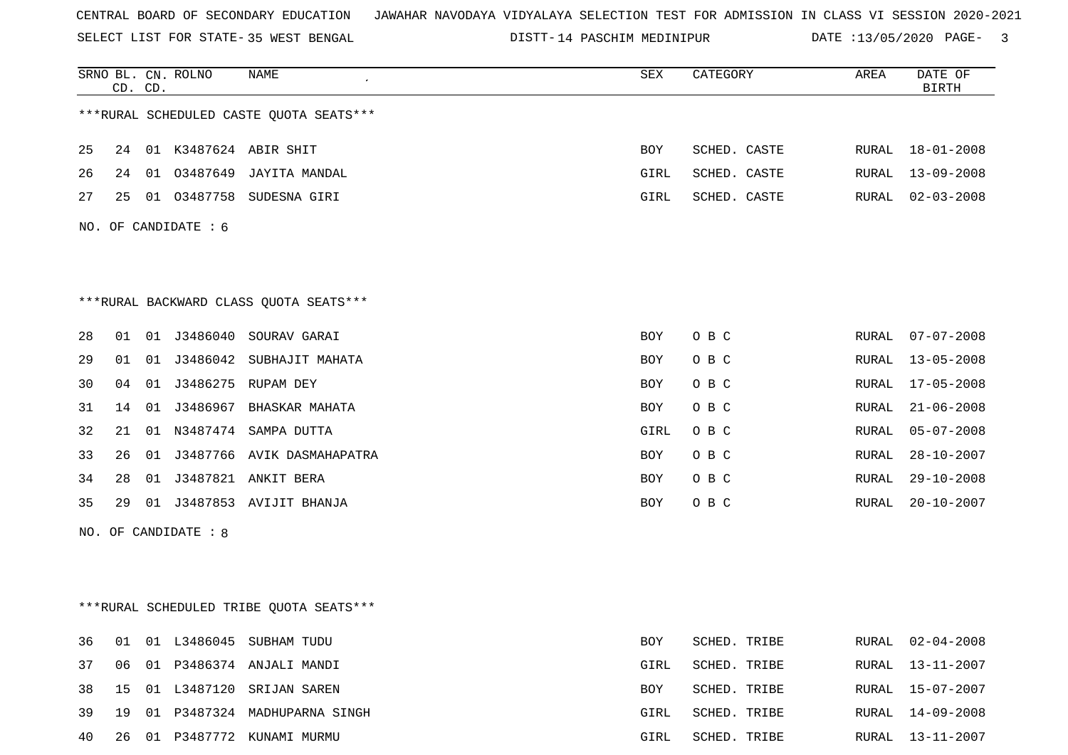SELECT LIST FOR STATE- DISTT- 35 WEST BENGAL

14 PASCHIM MEDINIPUR DATE :13/05/2020 PAGE- 3

|    |    | CD. CD. | SRNO BL. CN. ROLNO     | <b>NAME</b>                              | SEX        | CATEGORY     | AREA  | DATE OF<br><b>BIRTH</b> |
|----|----|---------|------------------------|------------------------------------------|------------|--------------|-------|-------------------------|
|    |    |         |                        | *** RURAL SCHEDULED CASTE QUOTA SEATS*** |            |              |       |                         |
| 25 |    |         |                        | 24 01 K3487624 ABIR SHIT                 | BOY        | SCHED. CASTE | RURAL | $18 - 01 - 2008$        |
| 26 |    |         |                        | 24 01 03487649 JAYITA MANDAL             | GIRL       | SCHED. CASTE | RURAL | $13 - 09 - 2008$        |
| 27 | 25 |         |                        | 01 03487758 SUDESNA GIRI                 | GIRL       | SCHED. CASTE | RURAL | $02 - 03 - 2008$        |
|    |    |         | NO. OF CANDIDATE $: 6$ |                                          |            |              |       |                         |
|    |    |         |                        |                                          |            |              |       |                         |
|    |    |         |                        | *** RURAL BACKWARD CLASS QUOTA SEATS***  |            |              |       |                         |
| 28 |    |         |                        | 01  01  J3486040  SOURAV GARAI           | BOY        | O B C        | RURAL | $07 - 07 - 2008$        |
| 29 | 01 |         |                        | 01 J3486042 SUBHAJIT MAHATA              | BOY        | O B C        | RURAL | $13 - 05 - 2008$        |
| 30 | 04 |         |                        | 01 J3486275 RUPAM DEY                    | BOY        | O B C        | RURAL | $17 - 05 - 2008$        |
| 31 | 14 |         |                        | 01 J3486967 BHASKAR MAHATA               | BOY        | O B C        | RURAL | $21 - 06 - 2008$        |
| 32 | 21 |         |                        | 01 N3487474 SAMPA DUTTA                  | GIRL       | O B C        | RURAL | $05 - 07 - 2008$        |
| 33 | 26 |         |                        | 01 J3487766 AVIK DASMAHAPATRA            | BOY        | O B C        | RURAL | $28 - 10 - 2007$        |
| 34 | 28 |         |                        | 01 J3487821 ANKIT BERA                   | BOY        | O B C        | RURAL | $29 - 10 - 2008$        |
| 35 |    |         |                        | 29 01 J3487853 AVIJIT BHANJA             | BOY        | O B C        | RURAL | $20 - 10 - 2007$        |
|    |    |         | NO. OF CANDIDATE : 8   |                                          |            |              |       |                         |
|    |    |         |                        |                                          |            |              |       |                         |
|    |    |         |                        | ***RURAL SCHEDULED TRIBE QUOTA SEATS***  |            |              |       |                         |
| 36 | 01 |         |                        | 01 L3486045 SUBHAM TUDU                  | <b>BOY</b> | SCHED. TRIBE | RURAL | $02 - 04 - 2008$        |
| 37 | 06 |         |                        | 01 P3486374 ANJALI MANDI                 | GIRL       | SCHED. TRIBE | RURAL | $13 - 11 - 2007$        |
| 38 | 15 |         |                        | 01 L3487120 SRIJAN SAREN                 | BOY        | SCHED. TRIBE | RURAL | $15 - 07 - 2007$        |
| 39 |    |         |                        | 19 01 P3487324 MADHUPARNA SINGH          | GIRL       | SCHED. TRIBE | RURAL | 14-09-2008              |
| 40 |    |         |                        | 26 01 P3487772 KUNAMI MURMU              | GIRL       | SCHED. TRIBE |       | RURAL 13-11-2007        |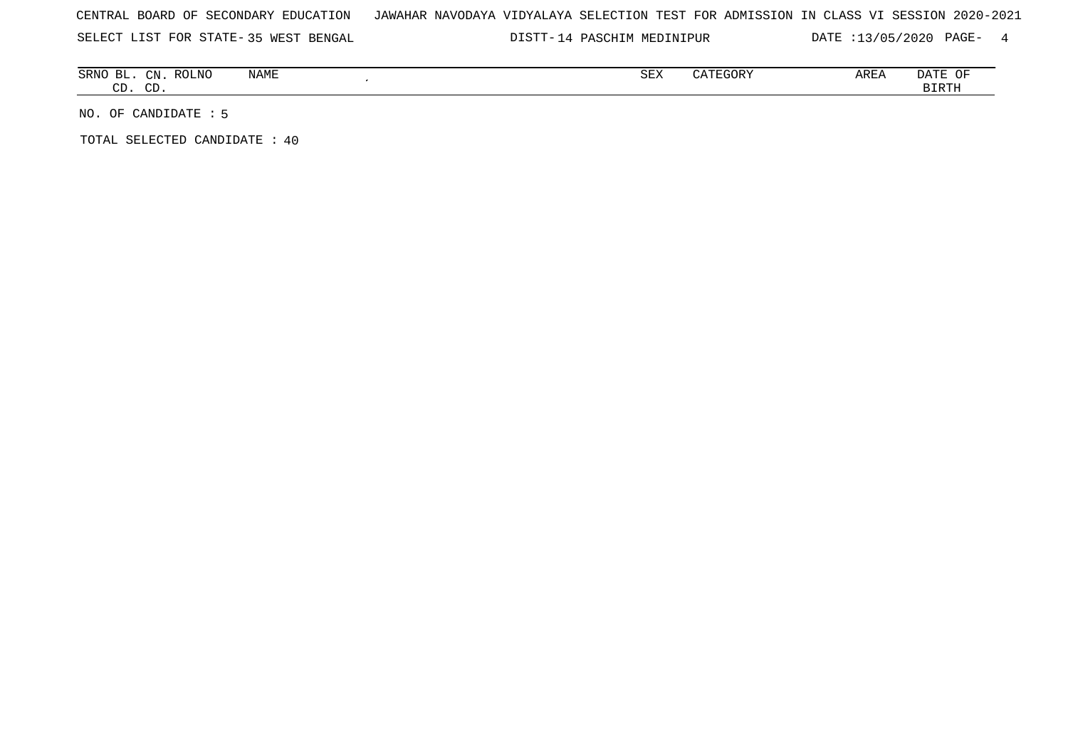SELECT LIST FOR STATE- DISTT- 35 WEST BENGAL

DISTT-14 PASCHIM MEDINIPUR DATE :13/05/2020 PAGE- 4

| ВL<br>SRNO    | $\cap$<br>$-11$ | <b>ROLNO</b> | NAME | $\alpha$ msz<br>∆ײַכ | $\Box \cap \cap \Box$<br>- 100 | AREA | DATE<br>$\cup$ |
|---------------|-----------------|--------------|------|----------------------|--------------------------------|------|----------------|
| $\sim$<br>. س | $\cap$<br>ັ     |              |      |                      |                                |      | BIRTH          |

NO. OF CANDIDATE : 5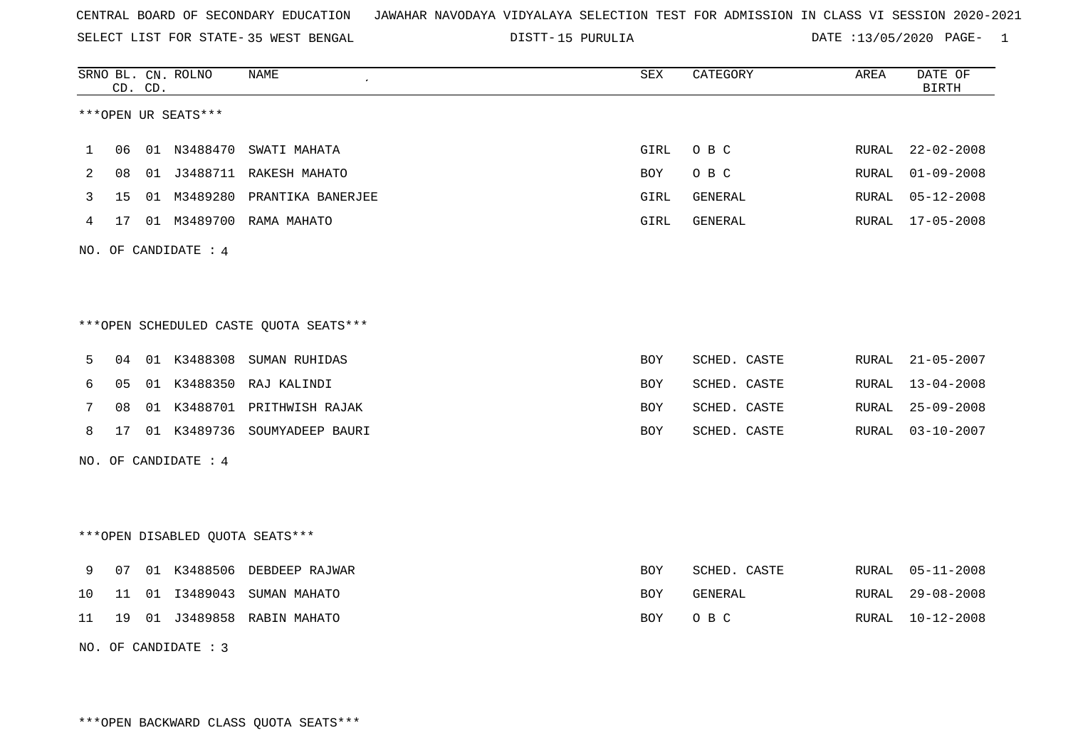SELECT LIST FOR STATE- DISTT- 35 WEST BENGAL

15 PURULIA DATE :13/05/2020 PAGE- 1

|    |                                        | CD. CD. | SRNO BL. CN. ROLNO               | <b>NAME</b>                   | SEX        | CATEGORY     | AREA          | DATE OF<br><b>BIRTH</b> |  |  |  |
|----|----------------------------------------|---------|----------------------------------|-------------------------------|------------|--------------|---------------|-------------------------|--|--|--|
|    |                                        |         | ***OPEN UR SEATS***              |                               |            |              |               |                         |  |  |  |
| 1  | 06                                     |         | 01 N3488470                      | SWATI MAHATA                  | GIRL       | O B C        | RURAL         | $22 - 02 - 2008$        |  |  |  |
| 2  | 08                                     |         |                                  | 01 J3488711 RAKESH MAHATO     | BOY        | O B C        | ${\tt RURAL}$ | $01 - 09 - 2008$        |  |  |  |
| 3  | 15                                     |         |                                  | 01 M3489280 PRANTIKA BANERJEE | GIRL       | GENERAL      | RURAL         | $05 - 12 - 2008$        |  |  |  |
| 4  | 17                                     |         |                                  | 01 M3489700 RAMA MAHATO       | GIRL       | GENERAL      | RURAL         | $17 - 05 - 2008$        |  |  |  |
|    |                                        |         | NO. OF CANDIDATE : 4             |                               |            |              |               |                         |  |  |  |
|    | ***OPEN SCHEDULED CASTE QUOTA SEATS*** |         |                                  |                               |            |              |               |                         |  |  |  |
| 5  | 04                                     |         | 01 K3488308                      | SUMAN RUHIDAS                 | BOY        | SCHED. CASTE | RURAL         | $21 - 05 - 2007$        |  |  |  |
| 6  | 05                                     |         | 01 K3488350                      | RAJ KALINDI                   | <b>BOY</b> | SCHED. CASTE | RURAL         | $13 - 04 - 2008$        |  |  |  |
| 7  | 08                                     |         |                                  | 01 K3488701 PRITHWISH RAJAK   | BOY        | SCHED. CASTE | RURAL         | $25 - 09 - 2008$        |  |  |  |
| 8  | 17                                     |         |                                  | 01 K3489736 SOUMYADEEP BAURI  | BOY        | SCHED. CASTE | RURAL         | $03 - 10 - 2007$        |  |  |  |
|    |                                        |         | NO. OF CANDIDATE : 4             |                               |            |              |               |                         |  |  |  |
|    |                                        |         | *** OPEN DISABLED QUOTA SEATS*** |                               |            |              |               |                         |  |  |  |
| 9  | 07                                     |         |                                  | 01 K3488506 DEBDEEP RAJWAR    | <b>BOY</b> | SCHED. CASTE | RURAL         | $05 - 11 - 2008$        |  |  |  |
| 10 | 11                                     |         |                                  | 01 I3489043 SUMAN MAHATO      | <b>BOY</b> | GENERAL      | RURAL         | $29 - 08 - 2008$        |  |  |  |
| 11 | 19                                     |         |                                  | 01 J3489858 RABIN MAHATO      | <b>BOY</b> | O B C        | RURAL         | $10 - 12 - 2008$        |  |  |  |

NO. OF CANDIDATE : 3

\*\*\*OPEN BACKWARD CLASS QUOTA SEATS\*\*\*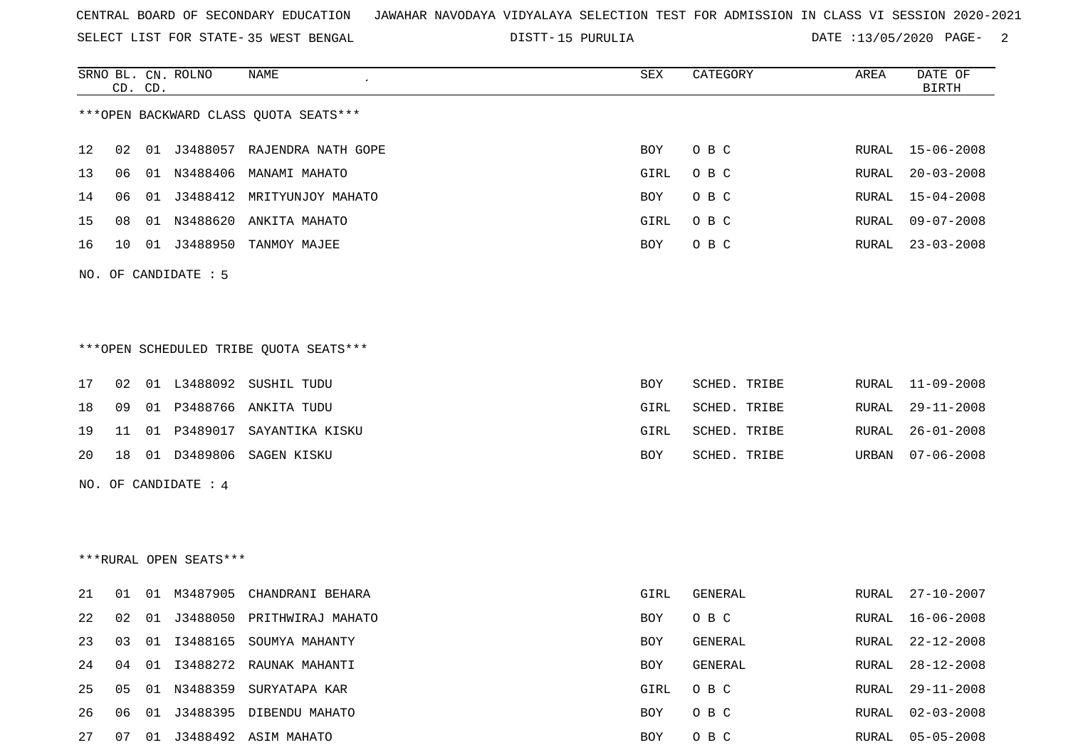SELECT LIST FOR STATE- DISTT- 35 WEST BENGAL

15 PURULIA DATE :13/05/2020 PAGE- 2

RURAL 02-03-2008

|    | CD. CD. | SRNO BL. CN. ROLNO     | <b>NAME</b>                            | SEX        | CATEGORY       | AREA  | DATE OF<br><b>BIRTH</b> |
|----|---------|------------------------|----------------------------------------|------------|----------------|-------|-------------------------|
|    |         |                        | *** OPEN BACKWARD CLASS QUOTA SEATS*** |            |                |       |                         |
| 12 | 02      |                        | 01 J3488057 RAJENDRA NATH GOPE         | BOY        | O B C          | RURAL | $15 - 06 - 2008$        |
| 13 | 06      |                        | 01 N3488406 MANAMI MAHATO              | GIRL       | O B C          | RURAL | $20 - 03 - 2008$        |
| 14 | 06      |                        | 01 J3488412 MRITYUNJOY MAHATO          | BOY        | O B C          | RURAL | $15 - 04 - 2008$        |
| 15 | 08      |                        | 01 N3488620 ANKITA MAHATO              | GIRL       | O B C          | RURAL | $09 - 07 - 2008$        |
| 16 | 10      |                        | 01 J3488950 TANMOY MAJEE               | BOY        | O B C          | RURAL | $23 - 03 - 2008$        |
|    |         | NO. OF CANDIDATE : 5   |                                        |            |                |       |                         |
|    |         |                        |                                        |            |                |       |                         |
|    |         |                        | ***OPEN SCHEDULED TRIBE OUOTA SEATS*** |            |                |       |                         |
| 17 | 02      |                        | 01 L3488092 SUSHIL TUDU                | BOY        | SCHED. TRIBE   | RURAL | $11 - 09 - 2008$        |
| 18 | 09      |                        | 01 P3488766 ANKITA TUDU                | GIRL       | SCHED. TRIBE   | RURAL | $29 - 11 - 2008$        |
| 19 | 11      |                        | 01 P3489017 SAYANTIKA KISKU            | GIRL       | SCHED. TRIBE   | RURAL | $26 - 01 - 2008$        |
| 20 | 18      | 01 D3489806            | SAGEN KISKU                            | BOY        | SCHED. TRIBE   | URBAN | $07 - 06 - 2008$        |
|    |         | NO. OF CANDIDATE : 4   |                                        |            |                |       |                         |
|    |         |                        |                                        |            |                |       |                         |
|    |         | ***RURAL OPEN SEATS*** |                                        |            |                |       |                         |
| 21 | 01      |                        | 01 M3487905 CHANDRANI BEHARA           | GIRL       | GENERAL        | RURAL | $27 - 10 - 2007$        |
| 22 | 02      |                        | 01 J3488050 PRITHWIRAJ MAHATO          | <b>BOY</b> | O B C          | RURAL | $16 - 06 - 2008$        |
| 23 | 03      | 01 13488165            | SOUMYA MAHANTY                         | <b>BOY</b> | <b>GENERAL</b> | RURAL | $22 - 12 - 2008$        |

24 04 01 I3488272 RAUNAK MAHANTI BOY GENERAL RURAL 28-12-2008 25 05 01 N3488359 SURYATAPA KAR GIRL O B C RURAL 29-11-2008

27 07 01 J3488492 ASIM MAHATO BOY O B C RURAL 05-05-2008

26 06 01 J3488395 DIBENDU MAHATO **BOY** O B C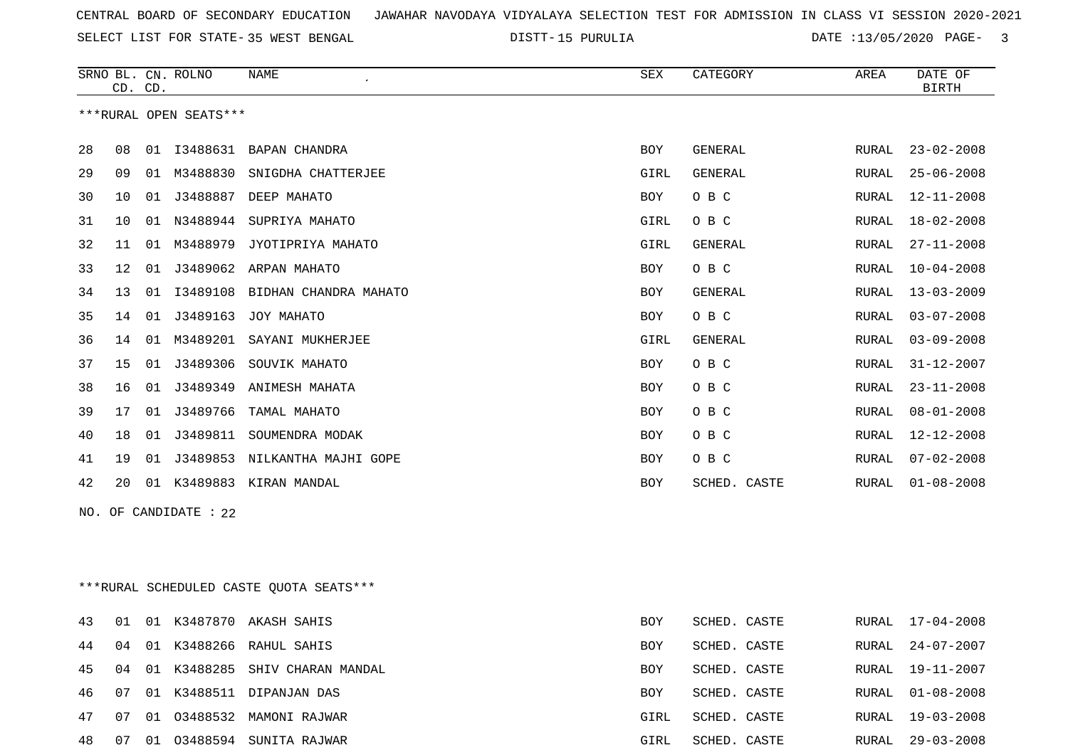SELECT LIST FOR STATE- DISTT- 35 WEST BENGAL

15 PURULIA DATE :13/05/2020 PAGE- 3

|    | CD. CD.           |    | SRNO BL. CN. ROLNO     | NAME<br>SEX<br>CATEGORY |            |                | AREA  | DATE OF<br><b>BIRTH</b> |
|----|-------------------|----|------------------------|-------------------------|------------|----------------|-------|-------------------------|
|    |                   |    | ***RURAL OPEN SEATS*** |                         |            |                |       |                         |
| 28 | 08                | 01 | I3488631               | BAPAN CHANDRA           | <b>BOY</b> | <b>GENERAL</b> | RURAL | $23 - 02 - 2008$        |
| 29 | 09                | 01 | M3488830               | SNIGDHA CHATTERJEE      | GIRL       | <b>GENERAL</b> | RURAL | $25 - 06 - 2008$        |
| 30 | 10                | 01 | J3488887               | DEEP MAHATO             | <b>BOY</b> | O B C          | RURAL | $12 - 11 - 2008$        |
| 31 | 10                | 01 | N3488944               | SUPRIYA MAHATO          | GIRL       | O B C          | RURAL | $18 - 02 - 2008$        |
| 32 | 11                | 01 | M3488979               | JYOTIPRIYA MAHATO       | GIRL       | <b>GENERAL</b> | RURAL | $27 - 11 - 2008$        |
| 33 | $12 \overline{ }$ | 01 | J3489062               | ARPAN MAHATO            | <b>BOY</b> | O B C          | RURAL | $10 - 04 - 2008$        |
| 34 | 13                | 01 | I3489108               | BIDHAN CHANDRA MAHATO   | <b>BOY</b> | <b>GENERAL</b> | RURAL | $13 - 03 - 2009$        |
| 35 | 14                | 01 | J3489163               | JOY MAHATO              | <b>BOY</b> | O B C          | RURAL | $03 - 07 - 2008$        |
| 36 | 14                | 01 | M3489201               | SAYANI MUKHERJEE        | GIRL       | <b>GENERAL</b> | RURAL | $03 - 09 - 2008$        |
| 37 | 15                | 01 | J3489306               | SOUVIK MAHATO           | <b>BOY</b> | O B C          | RURAL | $31 - 12 - 2007$        |
| 38 | 16                | 01 | J3489349               | ANIMESH MAHATA          | <b>BOY</b> | O B C          | RURAL | $23 - 11 - 2008$        |
| 39 | 17                | 01 | J3489766               | TAMAL MAHATO            | <b>BOY</b> | O B C          | RURAL | $08 - 01 - 2008$        |
| 40 | 18                | 01 | J3489811               | SOUMENDRA MODAK         | <b>BOY</b> | O B C          | RURAL | $12 - 12 - 2008$        |
| 41 | 19                | 01 | J3489853               | NILKANTHA MAJHI GOPE    | <b>BOY</b> | O B C          | RURAL | $07 - 02 - 2008$        |
| 42 | 20                | 01 | K3489883               | KIRAN MANDAL            | <b>BOY</b> | SCHED. CASTE   | RURAL | $01 - 08 - 2008$        |

NO. OF CANDIDATE : 22

\*\*\*RURAL SCHEDULED CASTE QUOTA SEATS\*\*\*

| 43  | 01 |    | 01 K3487870 | AKASH SAHIS              | <b>BOY</b> | SCHED. CASTE |       | RURAL 17-04-2008 |
|-----|----|----|-------------|--------------------------|------------|--------------|-------|------------------|
| 44  | 04 | 01 |             | K3488266 RAHUL SAHIS     | <b>BOY</b> | SCHED. CASTE | RURAL | 24-07-2007       |
| 45  | 04 | 01 | K3488285    | SHIV CHARAN MANDAL       | BOY        | SCHED. CASTE |       | RURAL 19-11-2007 |
| 46  | 07 |    |             | 01 K3488511 DIPANJAN DAS | BOY        | SCHED. CASTE |       | RURAL 01-08-2008 |
| 47  | 07 | 01 |             | 03488532 MAMONI RAJWAR   | GIRL       | SCHED. CASTE |       | RURAL 19-03-2008 |
| 48. | 07 | 01 |             | 03488594 SUNITA RAJWAR   | GIRL       | SCHED. CASTE | RURAL | 29-03-2008       |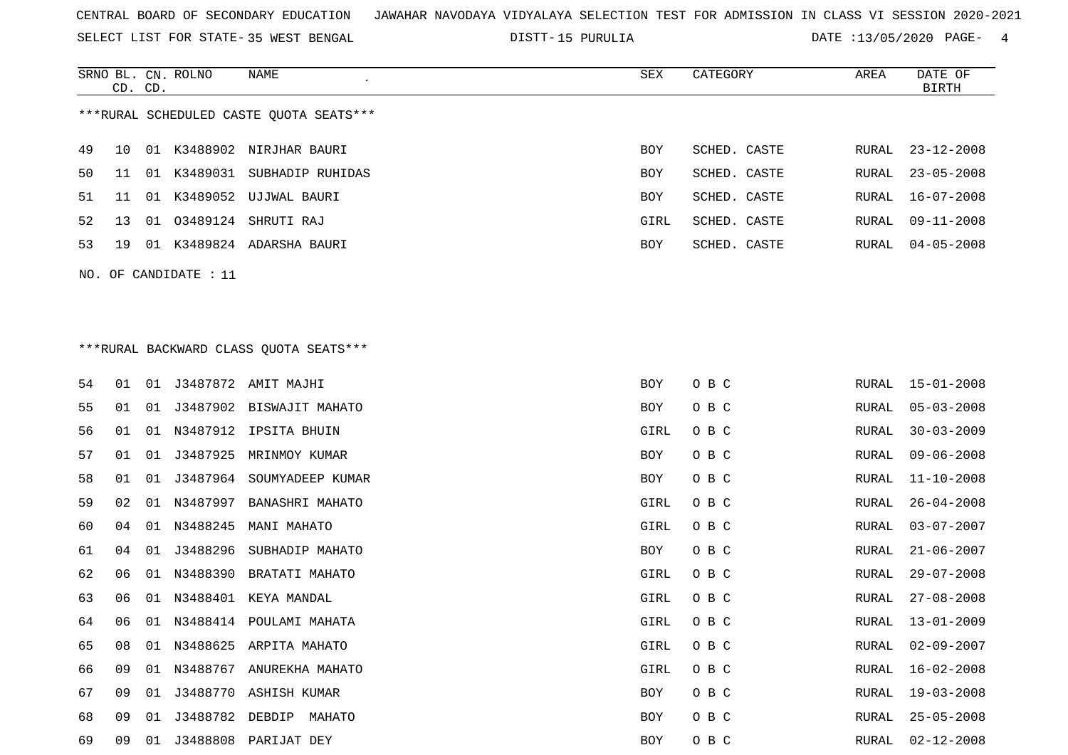SELECT LIST FOR STATE- DISTT- 35 WEST BENGAL

SRNO BL. CN.

ROLNO NAME SEX CATEGORY AREA DATE OF

15 PURULIA DATE :13/05/2020 PAGE- 4

|                                         | CD. CD. |    |                       |                                         |      |              |  |       | <b>BIRTH</b>     |  |  |  |
|-----------------------------------------|---------|----|-----------------------|-----------------------------------------|------|--------------|--|-------|------------------|--|--|--|
| ***RURAL SCHEDULED CASTE QUOTA SEATS*** |         |    |                       |                                         |      |              |  |       |                  |  |  |  |
| 49                                      | 10      |    |                       | 01 K3488902 NIRJHAR BAURI               | BOY  | SCHED. CASTE |  | RURAL | $23 - 12 - 2008$ |  |  |  |
| 50                                      | 11      |    |                       | 01 K3489031 SUBHADIP RUHIDAS            | BOY  | SCHED. CASTE |  | RURAL | $23 - 05 - 2008$ |  |  |  |
| 51                                      | 11      |    |                       | 01 K3489052 UJJWAL BAURI                | BOY  | SCHED. CASTE |  | RURAL | $16 - 07 - 2008$ |  |  |  |
| 52                                      | 13      |    |                       | 01 03489124 SHRUTI RAJ                  | GIRL | SCHED. CASTE |  | RURAL | $09 - 11 - 2008$ |  |  |  |
| 53                                      | 19      |    |                       | 01 K3489824 ADARSHA BAURI               | BOY  | SCHED. CASTE |  | RURAL | $04 - 05 - 2008$ |  |  |  |
|                                         |         |    | NO. OF CANDIDATE : 11 |                                         |      |              |  |       |                  |  |  |  |
|                                         |         |    |                       |                                         |      |              |  |       |                  |  |  |  |
|                                         |         |    |                       |                                         |      |              |  |       |                  |  |  |  |
|                                         |         |    |                       | *** RURAL BACKWARD CLASS QUOTA SEATS*** |      |              |  |       |                  |  |  |  |
|                                         |         |    |                       |                                         |      |              |  |       |                  |  |  |  |
| 54                                      | 01      |    |                       | 01 J3487872 AMIT MAJHI                  | BOY  | O B C        |  | RURAL | $15 - 01 - 2008$ |  |  |  |
| 55                                      | 01      |    |                       | 01 J3487902 BISWAJIT MAHATO             | BOY  | O B C        |  | RURAL | $05 - 03 - 2008$ |  |  |  |
| 56                                      | 01      | 01 | N3487912              | IPSITA BHUIN                            | GIRL | O B C        |  | RURAL | $30 - 03 - 2009$ |  |  |  |
| 57                                      | 01      | 01 | J3487925              | MRINMOY KUMAR                           | BOY  | O B C        |  | RURAL | $09 - 06 - 2008$ |  |  |  |
| 58                                      | 01      | 01 | J3487964              | SOUMYADEEP KUMAR                        | BOY  | O B C        |  | RURAL | $11 - 10 - 2008$ |  |  |  |
| 59                                      | 02      | 01 | N3487997              | BANASHRI MAHATO                         | GIRL | O B C        |  | RURAL | $26 - 04 - 2008$ |  |  |  |
| 60                                      | 04      | 01 | N3488245              | MANI MAHATO                             | GIRL | O B C        |  | RURAL | $03 - 07 - 2007$ |  |  |  |
| 61                                      | 04      | 01 | J3488296              | SUBHADIP MAHATO                         | BOY  | O B C        |  | RURAL | $21 - 06 - 2007$ |  |  |  |
| 62                                      | 06      | 01 | N3488390              | BRATATI MAHATO                          | GIRL | O B C        |  | RURAL | $29 - 07 - 2008$ |  |  |  |
| 63                                      | 06      | 01 | N3488401              | KEYA MANDAL                             | GIRL | O B C        |  | RURAL | $27 - 08 - 2008$ |  |  |  |
| 64                                      | 06      | 01 |                       | N3488414 POULAMI MAHATA                 | GIRL | O B C        |  | RURAL | $13 - 01 - 2009$ |  |  |  |
| 65                                      | 08      |    |                       | 01 N3488625 ARPITA MAHATO               | GIRL | O B C        |  | RURAL | $02 - 09 - 2007$ |  |  |  |
| 66                                      | 09      |    |                       | 01 N3488767 ANUREKHA MAHATO             | GIRL | O B C        |  | RURAL | 16-02-2008       |  |  |  |
| 67                                      | 09      |    |                       | 01 J3488770 ASHISH KUMAR                | BOY  | O B C        |  | RURAL | $19 - 03 - 2008$ |  |  |  |
| 68                                      | 09      | 01 | J3488782              | DEBDIP MAHATO                           | BOY  | O B C        |  | RURAL | $25 - 05 - 2008$ |  |  |  |
| 69                                      | 09      |    |                       | 01 J3488808 PARIJAT DEY                 | BOY  | O B C        |  | RURAL | $02 - 12 - 2008$ |  |  |  |
|                                         |         |    |                       |                                         |      |              |  |       |                  |  |  |  |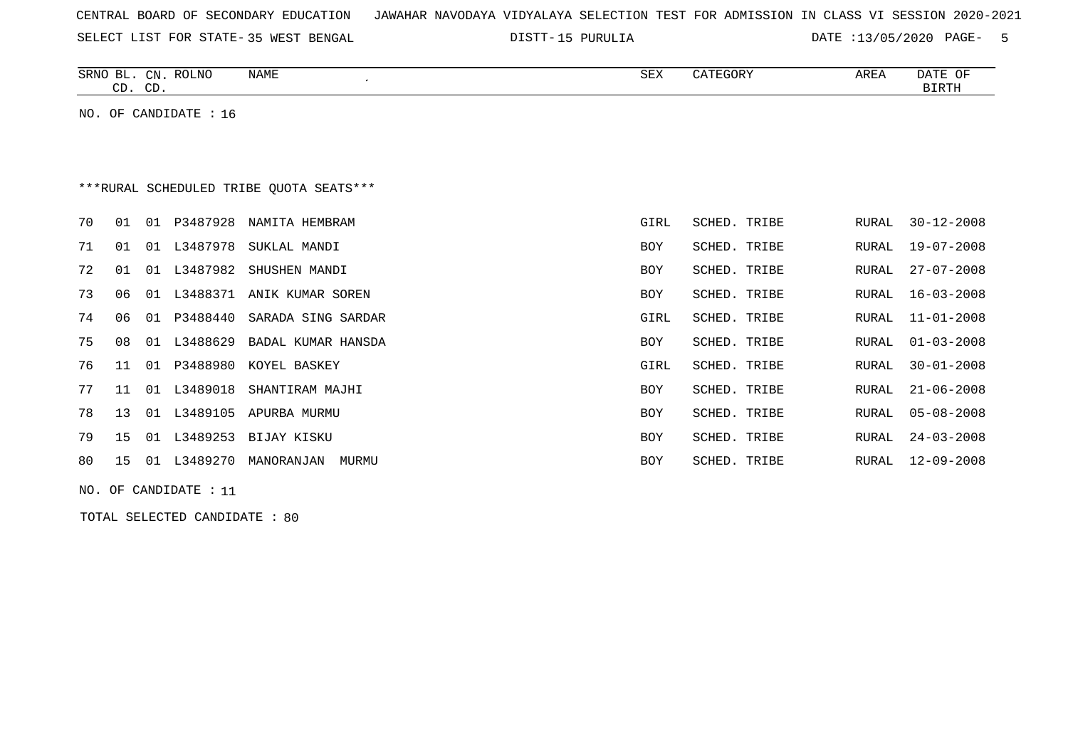| CENTRAL BOARD OF SECONDARY EDUCATION – JAWAHAR NAVODAYA VIDYALAYA SELECTION TEST FOR ADMISSION IN CLASS VI SESSION 2020-2021 |  |
|------------------------------------------------------------------------------------------------------------------------------|--|
|------------------------------------------------------------------------------------------------------------------------------|--|

15 PURULIA DATE :13/05/2020 PAGE- 5

| SRNO<br>BL.<br>$\mathbb{C}N$ | ROLNO | <b>NAME</b> | SEX | CATEGORY | AREA | DATE<br>ΟF |
|------------------------------|-------|-------------|-----|----------|------|------------|
|                              |       |             |     |          |      |            |
| $\cap$<br>$\cap$<br>ىب<br>ີ  |       |             |     |          |      | RTRTH      |
|                              |       |             |     |          |      |            |

NO. OF CANDIDATE : 16

# \*\*\*RURAL SCHEDULED TRIBE QUOTA SEATS\*\*\*

| 70 |       |     | 01 01 P3487928 | NAMITA HEMBRAM              | GIRL       | SCHED. TRIBE | RURAL | 30-12-2008       |
|----|-------|-----|----------------|-----------------------------|------------|--------------|-------|------------------|
| 71 | 01    | 01  | L3487978       | SUKLAL MANDI                | BOY        | SCHED. TRIBE | RURAL | 19-07-2008       |
| 72 | 01    | 01  | L3487982       | SHUSHEN MANDI               | BOY        | SCHED. TRIBE | RURAL | 27-07-2008       |
| 73 | 06    | 01  | L3488371       | ANIK KUMAR SOREN            | BOY        | SCHED. TRIBE | RURAL | 16-03-2008       |
| 74 | 06    | 01  |                | P3488440 SARADA SING SARDAR | GIRL       | SCHED. TRIBE | RURAL | 11-01-2008       |
| 75 | 08    | 01  | L3488629       | BADAL KUMAR HANSDA          | <b>BOY</b> | SCHED. TRIBE | RURAL | $01 - 03 - 2008$ |
| 76 | 11 01 |     | P3488980       | KOYEL BASKEY                | GIRL       | SCHED. TRIBE | RURAL | $30 - 01 - 2008$ |
| 77 | 11    | 01  | L3489018       | SHANTIRAM MAJHI             | BOY        | SCHED. TRIBE | RURAL | $21 - 06 - 2008$ |
| 78 | 13    | 01  | L3489105       | APURBA MURMU                | BOY        | SCHED. TRIBE | RURAL | 05-08-2008       |
| 79 | 15    | 01  | L3489253       | BIJAY KISKU                 | BOY        | SCHED. TRIBE | RURAL | $24 - 03 - 2008$ |
| 80 | 15    | O 1 | L3489270       | MANORANJAN<br>MURMU         | <b>BOY</b> | SCHED. TRIBE | RURAL | 12-09-2008       |
|    |       |     |                |                             |            |              |       |                  |

NO. OF CANDIDATE : 11

TOTAL SELECTED CANDIDATE : 80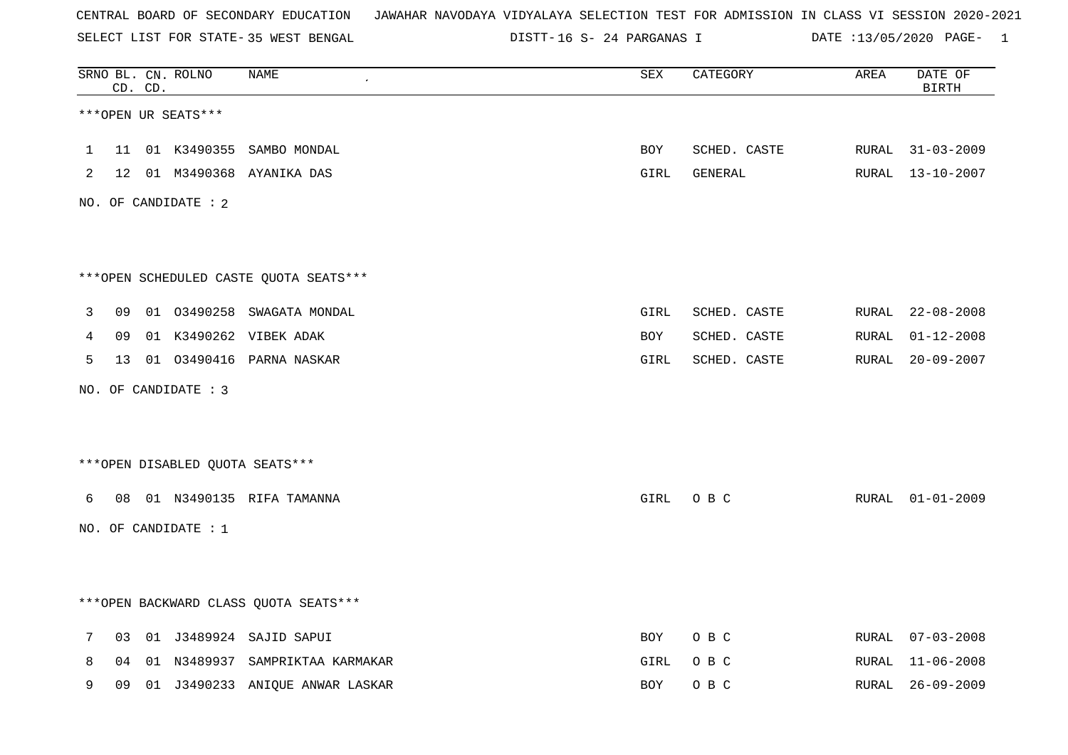SELECT LIST FOR STATE- DISTT- 35 WEST BENGAL

16 S- 24 PARGANAS I DATE :13/05/2020 PAGE- 1

|              |    | CD. CD. | SRNO BL. CN. ROLNO   | <b>NAME</b>                             | <b>SEX</b> | CATEGORY     | AREA  | DATE OF<br><b>BIRTH</b> |
|--------------|----|---------|----------------------|-----------------------------------------|------------|--------------|-------|-------------------------|
|              |    |         | ***OPEN UR SEATS***  |                                         |            |              |       |                         |
| $\mathbf{1}$ | 11 |         |                      | 01 K3490355 SAMBO MONDAL                | BOY        | SCHED. CASTE |       | RURAL 31-03-2009        |
| 2            |    |         |                      | 12 01 M3490368 AYANIKA DAS              | GIRL       | GENERAL      |       | RURAL 13-10-2007        |
|              |    |         | NO. OF CANDIDATE : 2 |                                         |            |              |       |                         |
|              |    |         |                      | ***OPEN SCHEDULED CASTE QUOTA SEATS***  |            |              |       |                         |
| 3            | 09 |         |                      | 01 03490258 SWAGATA MONDAL              | GIRL       | SCHED. CASTE |       | RURAL 22-08-2008        |
| 4            | 09 |         |                      | 01 K3490262 VIBEK ADAK                  | BOY        | SCHED. CASTE | RURAL | $01 - 12 - 2008$        |
| 5            | 13 |         |                      | 01 03490416 PARNA NASKAR                | GIRL       | SCHED. CASTE | RURAL | $20 - 09 - 2007$        |
|              |    |         | NO. OF CANDIDATE : 3 |                                         |            |              |       |                         |
|              |    |         |                      | ***OPEN DISABLED QUOTA SEATS***         |            |              |       |                         |
| 6            | 08 |         |                      | 01 N3490135 RIFA TAMANNA                | GIRL       | O B C        |       | RURAL 01-01-2009        |
|              |    |         | NO. OF CANDIDATE : 1 |                                         |            |              |       |                         |
|              |    |         |                      | *** OPEN BACKWARD CLASS QUOTA SEATS *** |            |              |       |                         |
| 7            | 03 |         |                      | 01 J3489924 SAJID SAPUI                 | BOY        | O B C        |       | RURAL 07-03-2008        |
| 8            | 04 |         |                      | 01 N3489937 SAMPRIKTAA KARMAKAR         | GIRL       | O B C        |       | RURAL 11-06-2008        |
| 9            | 09 |         |                      | 01 J3490233 ANIOUE ANWAR LASKAR         | <b>BOY</b> | O B C        |       | RURAL 26-09-2009        |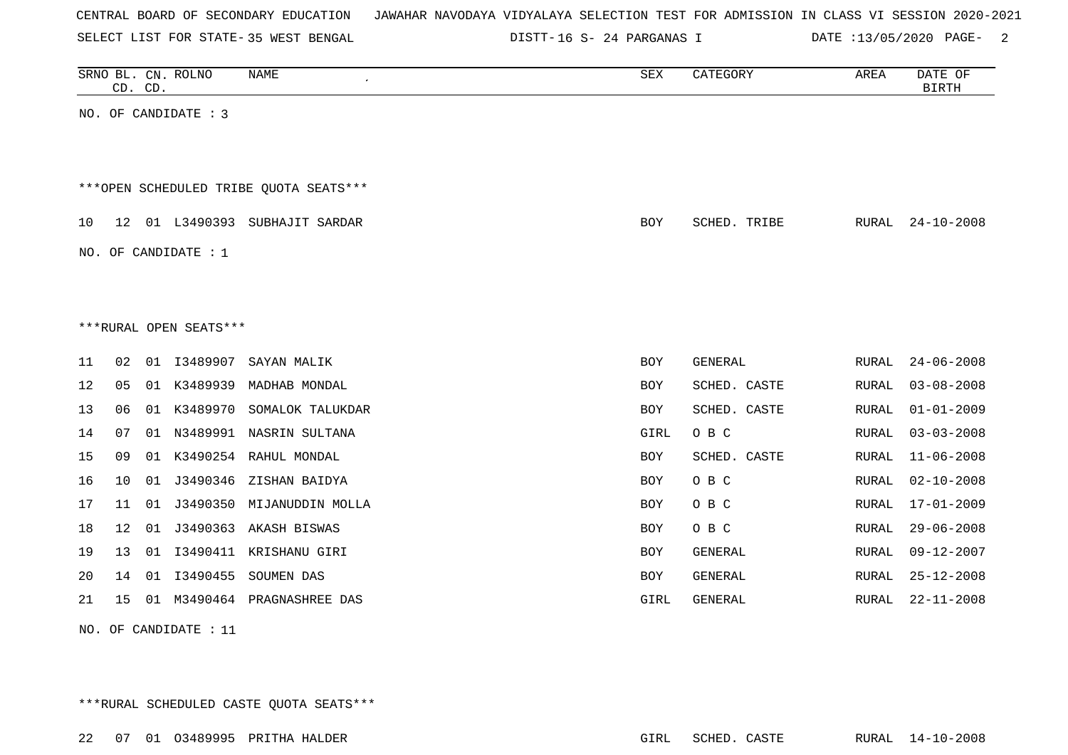|  |  | CENTRAL BOARD OF SECONDARY EDUCATION |  |  |  | JAWAHAR NAVODAYA VIDYALAYA SELECTION TEST FOR ADMISSION IN CLASS VI SESSION 2020-2021 |  |  |  |
|--|--|--------------------------------------|--|--|--|---------------------------------------------------------------------------------------|--|--|--|
|  |  |                                      |  |  |  |                                                                                       |  |  |  |

16 S- 24 PARGANAS I DATE :13/05/2020 PAGE- 2

|    | CD. CD. |    | SRNO BL. CN. ROLNO     | NAME                                   | SEX        | CATEGORY       | AREA         | DATE OF<br><b>BIRTH</b> |
|----|---------|----|------------------------|----------------------------------------|------------|----------------|--------------|-------------------------|
|    |         |    | NO. OF CANDIDATE : 3   |                                        |            |                |              |                         |
|    |         |    |                        | ***OPEN SCHEDULED TRIBE QUOTA SEATS*** |            |                |              |                         |
| 10 | 12      |    |                        | 01 L3490393 SUBHAJIT SARDAR            | <b>BOY</b> | SCHED. TRIBE   | RURAL        | $24 - 10 - 2008$        |
|    |         |    | NO. OF CANDIDATE : $1$ |                                        |            |                |              |                         |
|    |         |    |                        |                                        |            |                |              |                         |
|    |         |    | ***RURAL OPEN SEATS*** |                                        |            |                |              |                         |
| 11 | 02      |    | 01 13489907            | SAYAN MALIK                            | <b>BOY</b> | GENERAL        | RURAL        | $24 - 06 - 2008$        |
| 12 | 05      | 01 | K3489939               | MADHAB MONDAL                          | <b>BOY</b> | SCHED. CASTE   | <b>RURAL</b> | $03 - 08 - 2008$        |
| 13 | 06      |    | 01 K3489970            | SOMALOK TALUKDAR                       | <b>BOY</b> | SCHED. CASTE   | RURAL        | $01 - 01 - 2009$        |
| 14 | 07      | 01 |                        | N3489991 NASRIN SULTANA                | GIRL       | O B C          | RURAL        | $03 - 03 - 2008$        |
| 15 | 09      |    | 01 K3490254            | RAHUL MONDAL                           | BOY        | SCHED. CASTE   | RURAL        | $11 - 06 - 2008$        |
| 16 | 10      | 01 |                        | J3490346 ZISHAN BAIDYA                 | <b>BOY</b> | O B C          | RURAL        | $02 - 10 - 2008$        |
| 17 | 11      | 01 | J3490350               | MIJANUDDIN MOLLA                       | BOY        | O B C          | RURAL        | $17 - 01 - 2009$        |
| 18 | 12      | 01 | J3490363               | AKASH BISWAS                           | <b>BOY</b> | O B C          | RURAL        | $29 - 06 - 2008$        |
| 19 | 13      | 01 | I3490411               | KRISHANU GIRI                          | BOY        | <b>GENERAL</b> | <b>RURAL</b> | $09 - 12 - 2007$        |
| 20 | 14      |    | 01 13490455            | SOUMEN DAS                             | BOY        | <b>GENERAL</b> | RURAL        | $25 - 12 - 2008$        |
| 21 | 15      | 01 | M3490464               | PRAGNASHREE DAS                        | GIRL       | GENERAL        | <b>RURAL</b> | $22 - 11 - 2008$        |
|    |         |    |                        |                                        |            |                |              |                         |

NO. OF CANDIDATE : 11

\*\*\*RURAL SCHEDULED CASTE QUOTA SEATS\*\*\*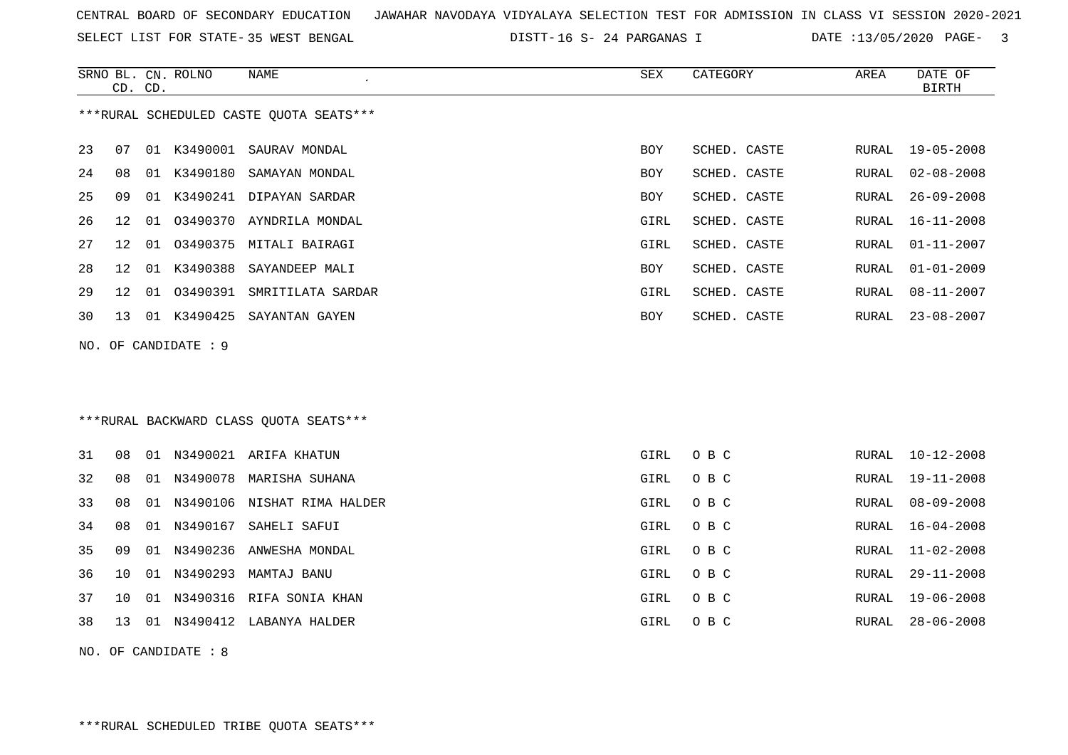|  |  | CENTRAL BOARD OF SECONDARY EDUCATION – JAWAHAR NAVODAYA VIDYALAYA SELECTION TEST FOR ADMISSION IN CLASS VI SESSION 2020-2021 |  |  |  |  |  |  |  |
|--|--|------------------------------------------------------------------------------------------------------------------------------|--|--|--|--|--|--|--|
|  |  |                                                                                                                              |  |  |  |  |  |  |  |

SELECT LIST FOR STATE- DISTT- 35 WEST BENGAL 16 S- 24 PARGANAS I DATE :13/05/2020 PAGE- 3

|    |    | CD. CD. | SRNO BL. CN. ROLNO   | NAME                                    | SEX        | CATEGORY     | AREA         | DATE OF<br><b>BIRTH</b> |
|----|----|---------|----------------------|-----------------------------------------|------------|--------------|--------------|-------------------------|
|    |    |         |                      | ***RURAL SCHEDULED CASTE QUOTA SEATS*** |            |              |              |                         |
|    |    |         |                      |                                         |            |              |              |                         |
| 23 | 07 |         | 01 K3490001          | SAURAV MONDAL                           | <b>BOY</b> | SCHED. CASTE | <b>RURAL</b> | $19 - 05 - 2008$        |
| 24 | 08 | 01      | K3490180             | SAMAYAN MONDAL                          | BOY        | SCHED. CASTE | RURAL        | $02 - 08 - 2008$        |
| 25 | 09 | 01      | K3490241             | DIPAYAN SARDAR                          | BOY        | SCHED. CASTE | <b>RURAL</b> | $26 - 09 - 2008$        |
| 26 | 12 | 01      |                      | 03490370 AYNDRILA MONDAL                | GIRL       | SCHED. CASTE | RURAL        | $16 - 11 - 2008$        |
| 27 | 12 | 01      | 03490375             | MITALI BAIRAGI                          | GIRL       | SCHED. CASTE | RURAL        | $01 - 11 - 2007$        |
| 28 | 12 | 01      | K3490388             | SAYANDEEP MALI                          | BOY        | SCHED. CASTE | RURAL        | $01 - 01 - 2009$        |
| 29 | 12 | 01      | 03490391             | SMRITILATA SARDAR                       | GIRL       | SCHED. CASTE | RURAL        | $08 - 11 - 2007$        |
| 30 | 13 | 01      | K3490425             | SAYANTAN GAYEN                          | BOY        | SCHED. CASTE | RURAL        | $23 - 08 - 2007$        |
|    |    |         | NO. OF CANDIDATE : 9 |                                         |            |              |              |                         |
|    |    |         |                      |                                         |            |              |              |                         |
|    |    |         |                      |                                         |            |              |              |                         |
|    |    |         |                      | ***RURAL BACKWARD CLASS OUOTA SEATS***  |            |              |              |                         |
|    |    |         |                      |                                         |            |              |              |                         |
| 31 | 08 |         |                      | 01 N3490021 ARIFA KHATUN                | GIRL       | O B C        | RURAL        | $10 - 12 - 2008$        |
| 32 | 08 |         |                      | 01 N3490078 MARISHA SUHANA              | GIRL       | O B C        | RURAL        | $19 - 11 - 2008$        |
| 33 | 08 |         |                      | 01 N3490106 NISHAT RIMA HALDER          | GIRL       | O B C        | <b>RURAL</b> | $08 - 09 - 2008$        |
| 34 | 08 |         | 01 N3490167          | SAHELI SAFUI                            | GIRL       | O B C        | <b>RURAL</b> | $16 - 04 - 2008$        |
| 35 | 09 |         |                      | 01 N3490236 ANWESHA MONDAL              | GIRL       | O B C        | RURAL        | $11 - 02 - 2008$        |
| 36 | 10 |         |                      | 01 N3490293 MAMTAJ BANU                 | GIRL       | O B C        | RURAL        | $29 - 11 - 2008$        |
| 37 | 10 |         |                      | 01 N3490316 RIFA SONIA KHAN             | GIRL       | O B C        | RURAL        | $19 - 06 - 2008$        |
| 38 | 13 |         |                      | 01 N3490412 LABANYA HALDER              | GIRL       | O B C        | <b>RURAL</b> | $28 - 06 - 2008$        |
|    |    |         | NO. OF CANDIDATE : 8 |                                         |            |              |              |                         |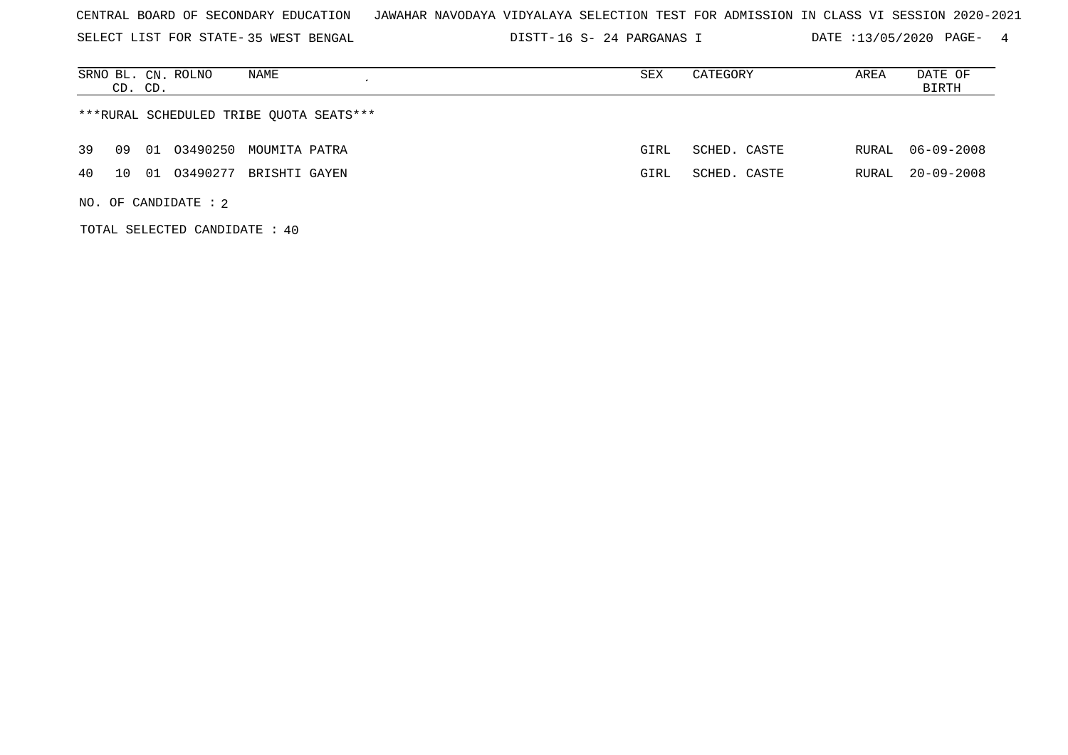| CENTRAL BOARD OF SECONDARY EDUCATION – JAWAHAR NAVODAYA VIDYALAYA SELECTION TEST FOR ADMISSION IN CLASS VI SESSION 2020-2021 |  |
|------------------------------------------------------------------------------------------------------------------------------|--|
|------------------------------------------------------------------------------------------------------------------------------|--|

SELECT LIST FOR STATE- DISTT- 35 WEST BENGAL 16 S- 24 PARGANAS I DATE :13/05/2020 PAGE- 4

|                                         | CD. CD. |    | SRNO BL. CN. ROLNO     | NAME          |  | SEX  | CATEGORY     | AREA  | DATE OF<br>BIRTH |
|-----------------------------------------|---------|----|------------------------|---------------|--|------|--------------|-------|------------------|
| ***RURAL SCHEDULED TRIBE QUOTA SEATS*** |         |    |                        |               |  |      |              |       |                  |
| 39                                      | 09      | 01 | 03490250 MOUMITA PATRA |               |  | GIRL | SCHED. CASTE | RURAL | 06-09-2008       |
| 4 O                                     | 1 O     | 01 | 03490277               | BRISHTI GAYEN |  | GIRL | SCHED. CASTE | RURAL | $20 - 09 - 2008$ |
|                                         |         |    | NO. OF CANDIDATE : $2$ |               |  |      |              |       |                  |

TOTAL SELECTED CANDIDATE : 40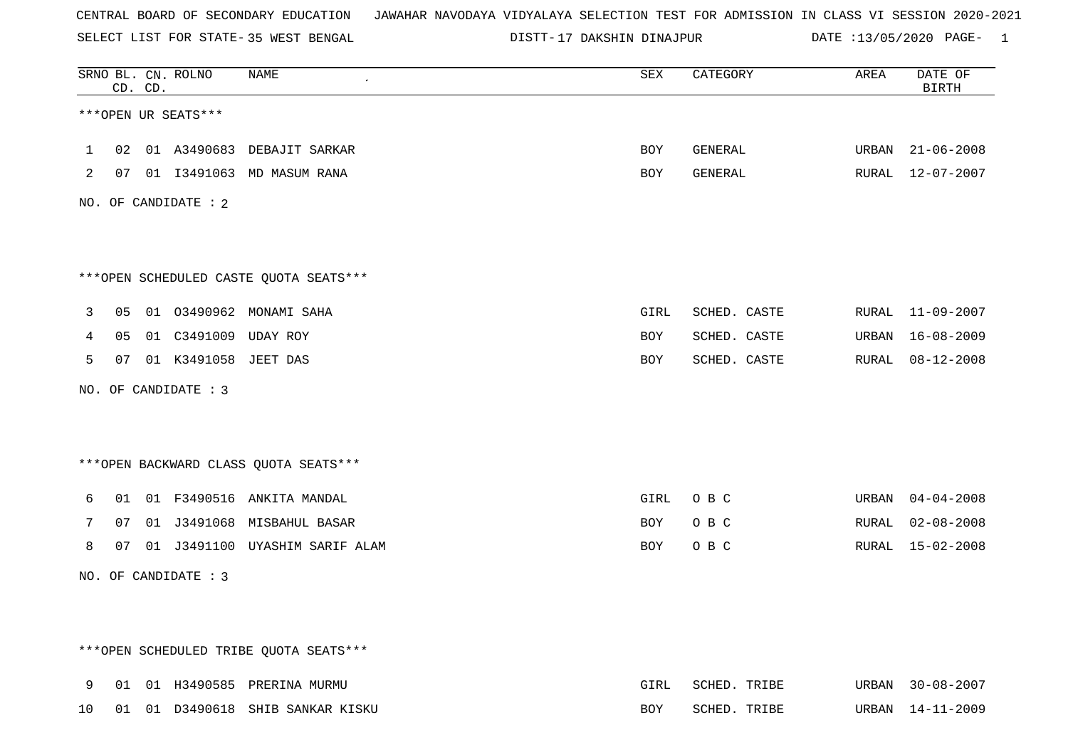SELECT LIST FOR STATE- DISTT- 35 WEST BENGAL

17 DAKSHIN DINAJPUR DATE :13/05/2020 PAGE- 1

|              |    | CD. CD. | SRNO BL. CN. ROLNO      | NAME                                   | SEX  | CATEGORY     | AREA  | DATE OF<br><b>BIRTH</b> |
|--------------|----|---------|-------------------------|----------------------------------------|------|--------------|-------|-------------------------|
|              |    |         | ***OPEN UR SEATS***     |                                        |      |              |       |                         |
| $\mathbf{1}$ | 02 |         |                         | 01 A3490683 DEBAJIT SARKAR             | BOY  | GENERAL      | URBAN | $21 - 06 - 2008$        |
| 2            |    |         |                         | 07 01 I3491063 MD MASUM RANA           | BOY  | GENERAL      |       | RURAL 12-07-2007        |
|              |    |         | NO. OF CANDIDATE : 2    |                                        |      |              |       |                         |
|              |    |         |                         |                                        |      |              |       |                         |
|              |    |         |                         | ***OPEN SCHEDULED CASTE QUOTA SEATS*** |      |              |       |                         |
| 3            | 05 |         |                         | 01 03490962 MONAMI SAHA                | GIRL | SCHED. CASTE | RURAL | 11-09-2007              |
| 4            | 05 |         | 01 C3491009 UDAY ROY    |                                        | BOY  | SCHED. CASTE | URBAN | 16-08-2009              |
| 5            |    |         | 07 01 K3491058 JEET DAS |                                        | BOY  | SCHED. CASTE | RURAL | 08-12-2008              |
|              |    |         | NO. OF CANDIDATE : 3    |                                        |      |              |       |                         |
|              |    |         |                         |                                        |      |              |       |                         |
|              |    |         |                         |                                        |      |              |       |                         |
|              |    |         |                         | *** OPEN BACKWARD CLASS QUOTA SEATS*** |      |              |       |                         |
| 6            | 01 |         |                         | 01 F3490516 ANKITA MANDAL              | GIRL | O B C        | URBAN | $04 - 04 - 2008$        |
| 7            | 07 |         |                         | 01 J3491068 MISBAHUL BASAR             | BOY  | O B C        | RURAL | $02 - 08 - 2008$        |
| 8            | 07 |         |                         | 01 J3491100 UYASHIM SARIF ALAM         | BOY  | O B C        | RURAL | 15-02-2008              |
|              |    |         | NO. OF CANDIDATE : 3    |                                        |      |              |       |                         |
|              |    |         |                         |                                        |      |              |       |                         |
|              |    |         |                         |                                        |      |              |       |                         |
|              |    |         |                         | ***OPEN SCHEDULED TRIBE QUOTA SEATS*** |      |              |       |                         |
| 9            | 01 |         |                         | 01 H3490585 PRERINA MURMU              | GIRL | SCHED. TRIBE |       | URBAN 30-08-2007        |
| 10           |    |         |                         | 01 01 D3490618 SHIB SANKAR KISKU       | BOY  | SCHED. TRIBE |       | URBAN 14-11-2009        |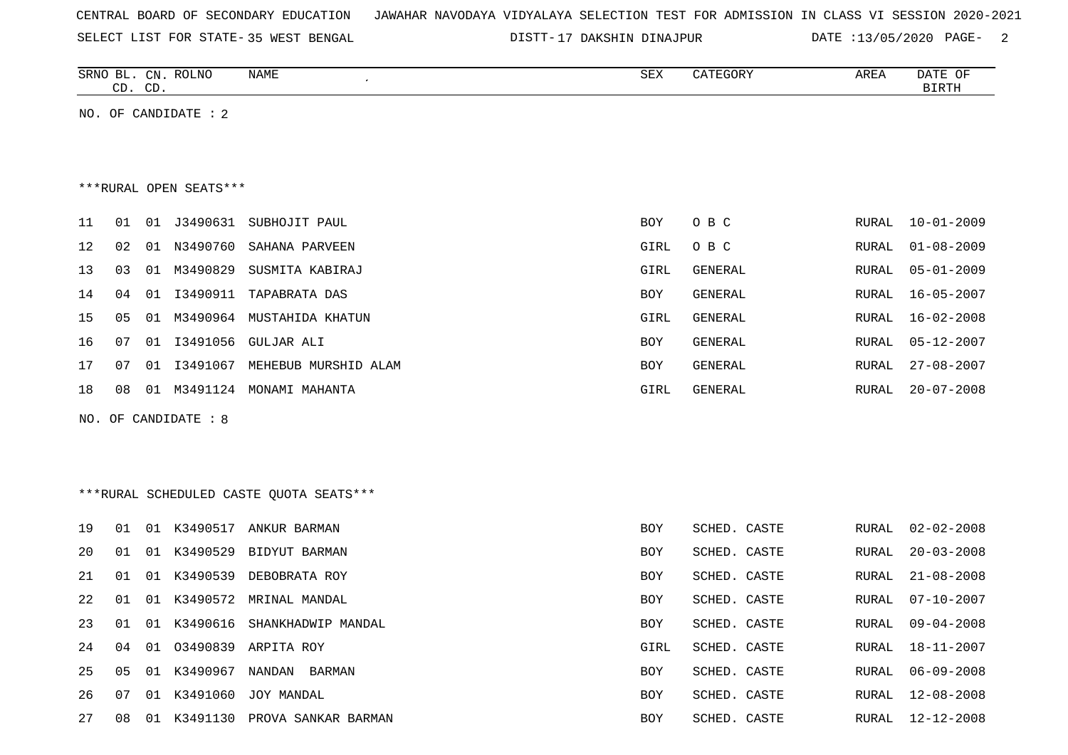| CENTRAL BOARD OF SECONDARY EDUCATION – JAWAHAR NAVODAYA VIDYALAYA SELECTION TEST FOR ADMISSION IN CLASS VI SESSION 2020-2021 |  |  |  |  |  |
|------------------------------------------------------------------------------------------------------------------------------|--|--|--|--|--|
|------------------------------------------------------------------------------------------------------------------------------|--|--|--|--|--|

DISTT-17 DAKSHIN DINAJPUR DATE :13/05/2020 PAGE- 2

|    | CD. CD. |    | SRNO BL. CN. ROLNO     | NAME                                    | SEX        | CATEGORY       | AREA         | DATE OF<br><b>BIRTH</b> |
|----|---------|----|------------------------|-----------------------------------------|------------|----------------|--------------|-------------------------|
|    |         |    | NO. OF CANDIDATE : 2   |                                         |            |                |              |                         |
|    |         |    |                        |                                         |            |                |              |                         |
|    |         |    |                        |                                         |            |                |              |                         |
|    |         |    | ***RURAL OPEN SEATS*** |                                         |            |                |              |                         |
| 11 | 01      |    |                        | 01 J3490631 SUBHOJIT PAUL               | <b>BOY</b> | O B C          | RURAL        | $10 - 01 - 2009$        |
| 12 | 02      |    | 01 N3490760            | SAHANA PARVEEN                          | GIRL       | O B C          | RURAL        | $01 - 08 - 2009$        |
| 13 | 03      |    | 01 M3490829            | SUSMITA KABIRAJ                         | GIRL       | GENERAL        | RURAL        | $05 - 01 - 2009$        |
| 14 | 04      | 01 | I3490911               | TAPABRATA DAS                           | <b>BOY</b> | <b>GENERAL</b> | RURAL        | $16 - 05 - 2007$        |
| 15 | 05      |    |                        | 01 M3490964 MUSTAHIDA KHATUN            | GIRL       | GENERAL        | RURAL        | $16 - 02 - 2008$        |
| 16 | 07      |    | 01 13491056            | GULJAR ALI                              | <b>BOY</b> | <b>GENERAL</b> | RURAL        | $05 - 12 - 2007$        |
| 17 | 07      |    |                        | 01 I3491067 MEHEBUB MURSHID ALAM        | BOY        | GENERAL        | RURAL        | $27 - 08 - 2007$        |
| 18 | 08      |    |                        | 01 M3491124 MONAMI MAHANTA              | GIRL       | GENERAL        | RURAL        | $20 - 07 - 2008$        |
|    |         |    | NO. OF CANDIDATE : 8   |                                         |            |                |              |                         |
|    |         |    |                        |                                         |            |                |              |                         |
|    |         |    |                        |                                         |            |                |              |                         |
|    |         |    |                        | ***RURAL SCHEDULED CASTE OUOTA SEATS*** |            |                |              |                         |
| 19 | 01      |    |                        | 01 K3490517 ANKUR BARMAN                | <b>BOY</b> | SCHED. CASTE   | RURAL        | $02 - 02 - 2008$        |
| 20 | 01      |    | 01 K3490529            | BIDYUT BARMAN                           | <b>BOY</b> | SCHED. CASTE   | <b>RURAL</b> | $20 - 03 - 2008$        |
| 21 | 01      |    |                        | 01 K3490539 DEBOBRATA ROY               | BOY        | SCHED. CASTE   | RURAL        | $21 - 08 - 2008$        |
| 22 | 01      |    |                        | 01 K3490572 MRINAL MANDAL               | BOY        | SCHED. CASTE   | RURAL        | $07 - 10 - 2007$        |
| 23 | 01      |    | 01 K3490616            | SHANKHADWIP MANDAL                      | <b>BOY</b> | SCHED. CASTE   | <b>RURAL</b> | $09 - 04 - 2008$        |
| 24 | 04      |    | 01 03490839            | ARPITA ROY                              | GIRL       | SCHED. CASTE   | RURAL        | 18-11-2007              |
| 25 | 05      |    |                        | 01 K3490967 NANDAN BARMAN               | BOY        | SCHED. CASTE   | RURAL        | $06 - 09 - 2008$        |
| 26 | 07      |    | 01 K3491060            | JOY MANDAL                              | BOY        | SCHED. CASTE   | RURAL        | $12 - 08 - 2008$        |
| 27 | 08      |    |                        | 01 K3491130 PROVA SANKAR BARMAN         | BOY        | SCHED. CASTE   | RURAL        | 12-12-2008              |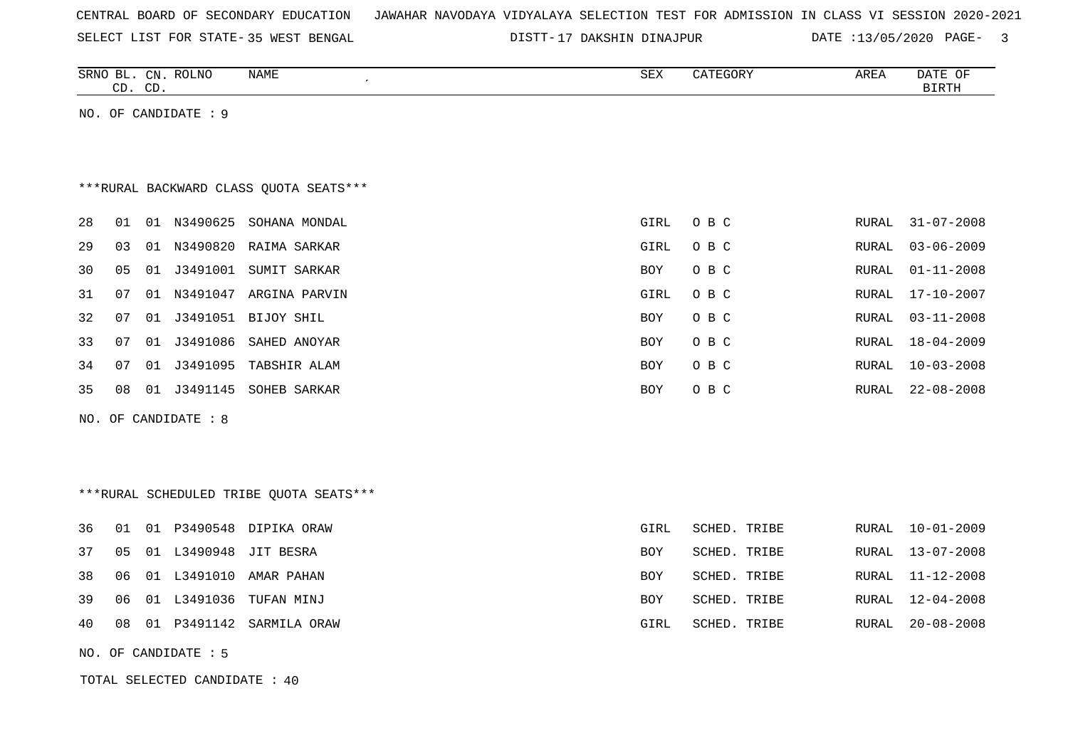| CENTRAL BOARD OF SECONDARY EDUCATION – JAWAHAR NAVODAYA VIDYALAYA SELECTION TEST FOR ADMISSION IN CLASS VI SESSION 2020-2021 |  |
|------------------------------------------------------------------------------------------------------------------------------|--|
|------------------------------------------------------------------------------------------------------------------------------|--|

SELECT LIST FOR STATE- DISTT- 35 WEST BENGAL 17 DAKSHIN DINAJPUR DATE :13/05/2020 PAGE- 3

|                                         | CD. CD. |  | SRNO BL. CN. ROLNO            | NAME                                     | SEX        | CATEGORY     | AREA         | DATE OF<br><b>BIRTH</b> |  |  |  |
|-----------------------------------------|---------|--|-------------------------------|------------------------------------------|------------|--------------|--------------|-------------------------|--|--|--|
|                                         |         |  | NO. OF CANDIDATE : 9          |                                          |            |              |              |                         |  |  |  |
|                                         |         |  |                               |                                          |            |              |              |                         |  |  |  |
|                                         |         |  |                               |                                          |            |              |              |                         |  |  |  |
| *** RURAL BACKWARD CLASS QUOTA SEATS*** |         |  |                               |                                          |            |              |              |                         |  |  |  |
| 28                                      | 01      |  |                               | 01 N3490625 SOHANA MONDAL                | GIRL       | O B C        | RURAL        | $31 - 07 - 2008$        |  |  |  |
| 29                                      | 03      |  |                               | 01 N3490820 RAIMA SARKAR                 | GIRL       | O B C        | RURAL        | $03 - 06 - 2009$        |  |  |  |
| 30                                      | 05      |  | 01 J3491001                   | SUMIT SARKAR                             | BOY        | O B C        | <b>RURAL</b> | $01 - 11 - 2008$        |  |  |  |
| 31                                      | 07      |  |                               | 01 N3491047 ARGINA PARVIN                | GIRL       | O B C        | RURAL        | $17 - 10 - 2007$        |  |  |  |
| 32                                      | 07      |  |                               | 01 J3491051 BIJOY SHIL                   | <b>BOY</b> | O B C        | <b>RURAL</b> | $03 - 11 - 2008$        |  |  |  |
| 33                                      | 07      |  | 01 J3491086                   | SAHED ANOYAR                             | <b>BOY</b> | O B C        | RURAL        | $18 - 04 - 2009$        |  |  |  |
| 34                                      | 07      |  | 01 J3491095                   | TABSHIR ALAM                             | BOY        | O B C        | RURAL        | $10 - 03 - 2008$        |  |  |  |
| 35                                      | 08      |  |                               | 01 J3491145 SOHEB SARKAR                 | <b>BOY</b> | O B C        | RURAL        | $22 - 08 - 2008$        |  |  |  |
|                                         |         |  | NO. OF CANDIDATE : 8          |                                          |            |              |              |                         |  |  |  |
|                                         |         |  |                               |                                          |            |              |              |                         |  |  |  |
|                                         |         |  |                               |                                          |            |              |              |                         |  |  |  |
|                                         |         |  |                               | *** RURAL SCHEDULED TRIBE QUOTA SEATS*** |            |              |              |                         |  |  |  |
| 36                                      | 01      |  |                               | 01 P3490548 DIPIKA ORAW                  | GIRL       | SCHED. TRIBE | RURAL        | $10 - 01 - 2009$        |  |  |  |
| 37                                      | 05      |  | 01 L3490948                   | JIT BESRA                                | BOY        | SCHED. TRIBE | RURAL        | $13 - 07 - 2008$        |  |  |  |
| 38                                      | 06      |  |                               | 01 L3491010 AMAR PAHAN                   | <b>BOY</b> | SCHED. TRIBE | RURAL        | $11 - 12 - 2008$        |  |  |  |
| 39                                      | 06      |  | 01 L3491036                   | TUFAN MINJ                               | BOY        | SCHED. TRIBE | RURAL        | $12 - 04 - 2008$        |  |  |  |
| 40                                      | 08      |  |                               | 01 P3491142 SARMILA ORAW                 | GIRL       | SCHED. TRIBE | RURAL        | $20 - 08 - 2008$        |  |  |  |
|                                         |         |  | NO. OF CANDIDATE : 5          |                                          |            |              |              |                         |  |  |  |
|                                         |         |  | TOTAL SELECTED CANDIDATE : 40 |                                          |            |              |              |                         |  |  |  |
|                                         |         |  |                               |                                          |            |              |              |                         |  |  |  |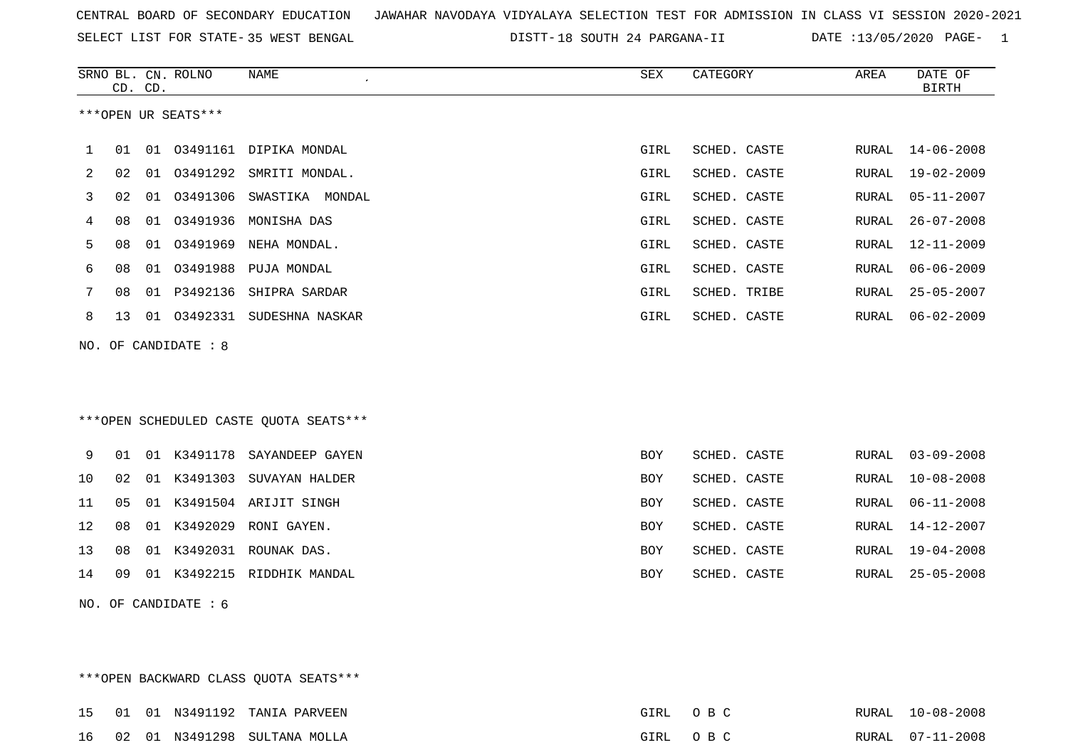SELECT LIST FOR STATE- DISTT- 35 WEST BENGAL

\*\*\*OPEN BACKWARD CLASS QUOTA SEATS\*\*\*

18 SOUTH 24 PARGANA-II DATE :13/05/2020 PAGE- 1

|                |    | CD. CD. | SRNO BL. CN. ROLNO   | <b>NAME</b><br>$\epsilon$              | ${\tt SEX}$ | CATEGORY     | AREA  | DATE OF<br><b>BIRTH</b> |
|----------------|----|---------|----------------------|----------------------------------------|-------------|--------------|-------|-------------------------|
|                |    |         | ***OPEN UR SEATS***  |                                        |             |              |       |                         |
|                |    |         |                      |                                        |             |              |       |                         |
| 1              | 01 |         |                      | 01 03491161 DIPIKA MONDAL              | GIRL        | SCHED. CASTE | RURAL | $14 - 06 - 2008$        |
| $\overline{2}$ | 02 | 01      | 03491292             | SMRITI MONDAL.                         | GIRL        | SCHED. CASTE | RURAL | $19 - 02 - 2009$        |
| 3              | 02 | 01      |                      | 03491306 SWASTIKA MONDAL               | GIRL        | SCHED. CASTE | RURAL | $05 - 11 - 2007$        |
| 4              | 08 | 01      |                      | 03491936 MONISHA DAS                   | GIRL        | SCHED. CASTE | RURAL | $26 - 07 - 2008$        |
| 5              | 08 | 01      |                      | 03491969 NEHA MONDAL.                  | GIRL        | SCHED. CASTE | RURAL | $12 - 11 - 2009$        |
| 6              | 08 | 01      |                      | 03491988 PUJA MONDAL                   | GIRL        | SCHED. CASTE | RURAL | $06 - 06 - 2009$        |
| 7              | 08 |         |                      | 01 P3492136 SHIPRA SARDAR              | GIRL        | SCHED. TRIBE | RURAL | $25 - 05 - 2007$        |
| 8              | 13 |         |                      | 01 03492331 SUDESHNA NASKAR            | GIRL        | SCHED. CASTE | RURAL | $06 - 02 - 2009$        |
|                |    |         | NO. OF CANDIDATE : 8 |                                        |             |              |       |                         |
|                |    |         |                      |                                        |             |              |       |                         |
|                |    |         |                      |                                        |             |              |       |                         |
|                |    |         |                      | ***OPEN SCHEDULED CASTE QUOTA SEATS*** |             |              |       |                         |
|                |    |         |                      |                                        |             |              |       |                         |
| 9              | 01 |         |                      | 01 K3491178 SAYANDEEP GAYEN            | <b>BOY</b>  | SCHED. CASTE | RURAL | $03 - 09 - 2008$        |
| 10             | 02 | 01      |                      | K3491303 SUVAYAN HALDER                | BOY         | SCHED. CASTE | RURAL | $10 - 08 - 2008$        |
| 11             | 05 |         |                      | 01 K3491504 ARIJIT SINGH               | BOY         | SCHED. CASTE | RURAL | $06 - 11 - 2008$        |
| 12             | 08 | 01      | K3492029             | RONI GAYEN.                            | BOY         | SCHED. CASTE | RURAL | $14 - 12 - 2007$        |
| 13             | 08 |         |                      | 01 K3492031 ROUNAK DAS.                | <b>BOY</b>  | SCHED. CASTE | RURAL | $19 - 04 - 2008$        |
| 14             | 09 |         |                      | 01 K3492215 RIDDHIK MANDAL             | BOY         | SCHED. CASTE | RURAL | $25 - 05 - 2008$        |
|                |    |         | NO. OF CANDIDATE : 6 |                                        |             |              |       |                         |
|                |    |         |                      |                                        |             |              |       |                         |
|                |    |         |                      |                                        |             |              |       |                         |

15 01 01 N3491192 TANIA PARVEEN GIRL O B C RURAL 10-08-2008 16 02 01 N3491298 SULTANA MOLLA GIRL O B C RURAL 07-11-2008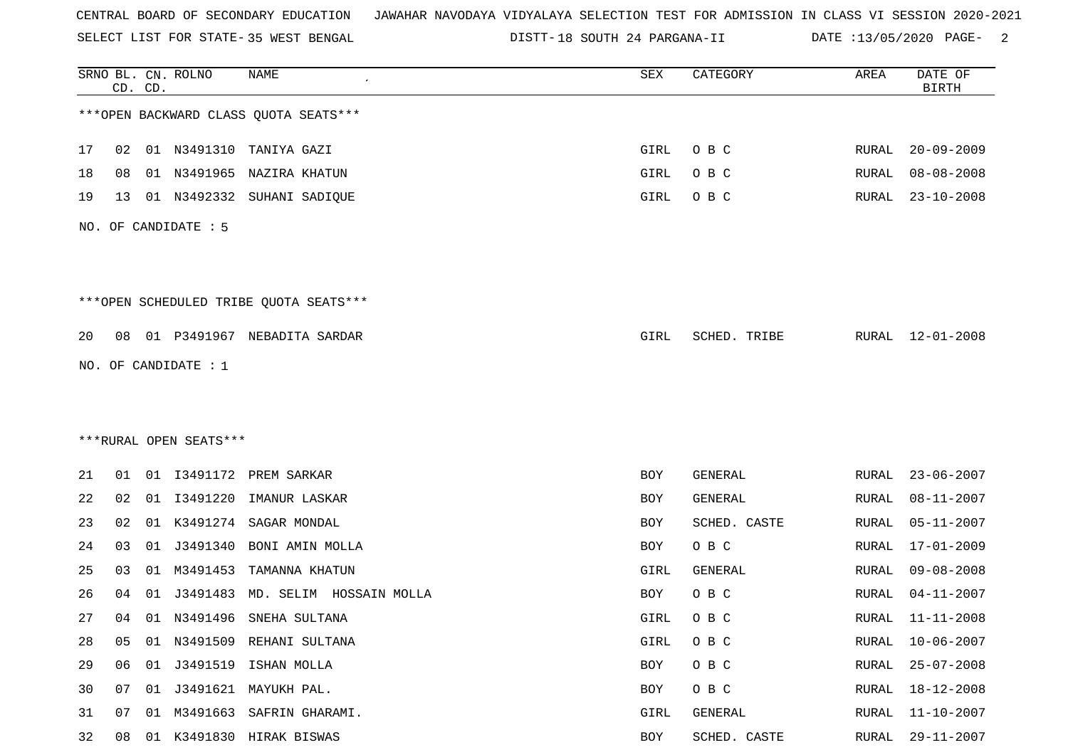SELECT LIST FOR STATE- DISTT- 35 WEST BENGAL

DISTT-18 SOUTH 24 PARGANA-II DATE :13/05/2020 PAGE- 2

|    |    | CD. CD. | SRNO BL. CN. ROLNO     | <b>NAME</b>                            | ${\tt SEX}$ | CATEGORY     | AREA  | DATE OF<br><b>BIRTH</b> |
|----|----|---------|------------------------|----------------------------------------|-------------|--------------|-------|-------------------------|
|    |    |         |                        | *** OPEN BACKWARD CLASS QUOTA SEATS*** |             |              |       |                         |
| 17 | 02 |         |                        | 01 N3491310 TANIYA GAZI                | GIRL        | O B C        | RURAL | $20 - 09 - 2009$        |
| 18 | 08 | 01      | N3491965               | NAZIRA KHATUN                          | GIRL        | O B C        | RURAL | $08 - 08 - 2008$        |
| 19 | 13 |         |                        | 01 N3492332 SUHANI SADIQUE             | GIRL        | O B C        | RURAL | $23 - 10 - 2008$        |
|    |    |         | NO. OF CANDIDATE : 5   |                                        |             |              |       |                         |
|    |    |         |                        | ***OPEN SCHEDULED TRIBE QUOTA SEATS*** |             |              |       |                         |
| 20 | 08 |         |                        | 01 P3491967 NEBADITA SARDAR            | GIRL        | SCHED. TRIBE |       | RURAL 12-01-2008        |
|    |    |         | NO. OF CANDIDATE : 1   |                                        |             |              |       |                         |
|    |    |         |                        |                                        |             |              |       |                         |
|    |    |         |                        |                                        |             |              |       |                         |
|    |    |         | ***RURAL OPEN SEATS*** |                                        |             |              |       |                         |
| 21 | 01 |         |                        | 01 I3491172 PREM SARKAR                | BOY         | GENERAL      | RURAL | $23 - 06 - 2007$        |
| 22 | 02 |         | 01 13491220            | IMANUR LASKAR                          | BOY         | GENERAL      | RURAL | $08 - 11 - 2007$        |
| 23 | 02 |         | 01 K3491274            | SAGAR MONDAL                           | BOY         | SCHED. CASTE | RURAL | $05 - 11 - 2007$        |
| 24 | 03 | 01      | J3491340               | BONI AMIN MOLLA                        | BOY         | O B C        | RURAL | $17 - 01 - 2009$        |
| 25 | 03 | 01      | M3491453               | TAMANNA KHATUN                         | GIRL        | GENERAL      | RURAL | $09 - 08 - 2008$        |
| 26 | 04 | 01      | J3491483               | MD. SELIM HOSSAIN MOLLA                | BOY         | O B C        | RURAL | $04 - 11 - 2007$        |
| 27 | 04 |         | 01 N3491496            | SNEHA SULTANA                          | GIRL        | O B C        | RURAL | $11 - 11 - 2008$        |
| 28 | 05 | 01      |                        | N3491509 REHANI SULTANA                | GIRL        | O B C        | RURAL | $10 - 06 - 2007$        |
| 29 | 06 |         |                        | 01 J3491519 ISHAN MOLLA                | BOY         | O B C        | RURAL | $25 - 07 - 2008$        |
| 30 | 07 |         |                        | 01 J3491621 MAYUKH PAL.                | BOY         | O B C        | RURAL | 18-12-2008              |
| 31 | 07 | 01      | M3491663               | SAFRIN GHARAMI.                        | GIRL        | GENERAL      | RURAL | $11 - 10 - 2007$        |
| 32 | 08 |         |                        | 01 K3491830 HIRAK BISWAS               | BOY         | SCHED. CASTE | RURAL | $29 - 11 - 2007$        |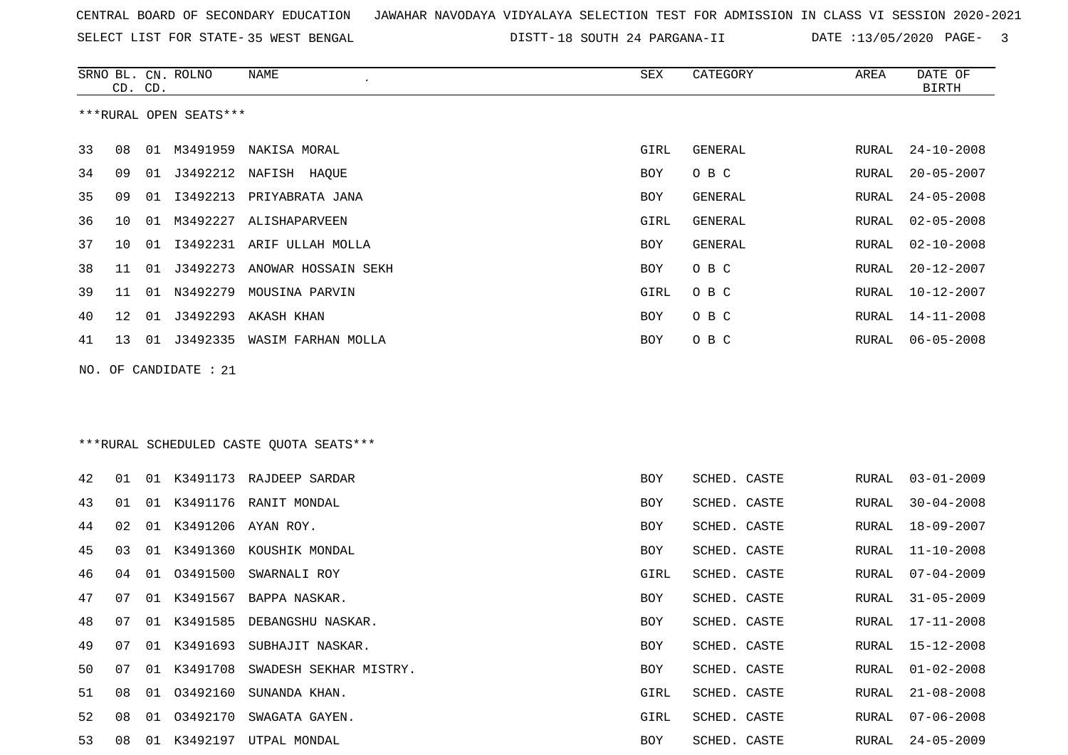SELECT LIST FOR STATE- DISTT- 35 WEST BENGAL

18 SOUTH 24 PARGANA-II DATE :13/05/2020 PAGE- 3

 $\overline{\phantom{a}}$ 

| ***RURAL OPEN SEATS***<br>33<br>01 M3491959 NAKISA MORAL<br>GENERAL<br>08<br>GIRL<br>RURAL<br>34<br>01 J3492212 NAFISH HAQUE<br>O B C<br>09<br>BOY<br>RURAL<br>35<br>13492213 PRIYABRATA JANA<br>09<br>01<br>BOY<br>GENERAL<br>RURAL<br>36<br>M3492227<br>GIRL<br><b>GENERAL</b><br>10<br>01<br>ALISHAPARVEEN<br>RURAL<br>37<br>I3492231<br><b>GENERAL</b><br>10<br>01<br>ARIF ULLAH MOLLA<br>BOY<br>RURAL<br>O B C<br>38<br>J3492273<br>ANOWAR HOSSAIN SEKH<br>11<br>01<br>BOY<br>RURAL<br>39<br>N3492279 MOUSINA PARVIN<br>O B C<br>01<br>GIRL<br>RURAL<br>11<br>01<br>J3492293<br>AKASH KHAN<br>O B C<br>40<br>12<br>BOY<br>RURAL<br>01 J3492335 WASIM FARHAN MOLLA<br>O B C<br>41<br>13<br>BOY<br>RURAL<br>NO. OF CANDIDATE : 21<br>***RURAL SCHEDULED CASTE QUOTA SEATS***<br>42<br>01 K3491173 RAJDEEP SARDAR<br>SCHED. CASTE<br>01<br>BOY<br>RURAL<br>43<br>K3491176<br>RANIT MONDAL<br>SCHED. CASTE<br>01<br>01<br>BOY<br>RURAL<br>44<br>01<br>K3491206<br>AYAN ROY.<br>SCHED. CASTE<br>02<br>BOY<br>RURAL<br>45<br>K3491360 KOUSHIK MONDAL<br>SCHED. CASTE<br>03<br>01<br>RURAL<br>BOY<br>46<br>04<br>01<br>03491500<br>SWARNALI ROY<br>SCHED. CASTE<br>GIRL<br>RURAL<br>K3491567<br>47<br>07<br>01<br>BAPPA NASKAR.<br>BOY<br>SCHED. CASTE<br>RURAL<br>48<br>01 K3491585<br>DEBANGSHU NASKAR.<br>07<br>BOY<br>SCHED. CASTE<br>RURAL<br>49<br>01 K3491693<br>SCHED. CASTE<br>07<br>SUBHAJIT NASKAR.<br>RURAL<br>BOY<br>50<br>07<br>K3491708<br>SWADESH SEKHAR MISTRY.<br><b>BOY</b><br>SCHED. CASTE<br>RURAL<br>01<br>03492160<br>51<br>08<br>SUNANDA KHAN.<br>GIRL<br>SCHED. CASTE<br>RURAL<br>01<br>52<br>03492170<br>GIRL<br>08<br>SWAGATA GAYEN.<br>SCHED. CASTE<br>RURAL<br>01 |    | CD. CD. | SRNO BL. CN. ROLNO | NAME | SEX | CATEGORY     | AREA  | DATE OF<br><b>BIRTH</b> |
|----------------------------------------------------------------------------------------------------------------------------------------------------------------------------------------------------------------------------------------------------------------------------------------------------------------------------------------------------------------------------------------------------------------------------------------------------------------------------------------------------------------------------------------------------------------------------------------------------------------------------------------------------------------------------------------------------------------------------------------------------------------------------------------------------------------------------------------------------------------------------------------------------------------------------------------------------------------------------------------------------------------------------------------------------------------------------------------------------------------------------------------------------------------------------------------------------------------------------------------------------------------------------------------------------------------------------------------------------------------------------------------------------------------------------------------------------------------------------------------------------------------------------------------------------------------------------------------------------------------------------------------------------------------------------------------------|----|---------|--------------------|------|-----|--------------|-------|-------------------------|
|                                                                                                                                                                                                                                                                                                                                                                                                                                                                                                                                                                                                                                                                                                                                                                                                                                                                                                                                                                                                                                                                                                                                                                                                                                                                                                                                                                                                                                                                                                                                                                                                                                                                                              |    |         |                    |      |     |              |       |                         |
|                                                                                                                                                                                                                                                                                                                                                                                                                                                                                                                                                                                                                                                                                                                                                                                                                                                                                                                                                                                                                                                                                                                                                                                                                                                                                                                                                                                                                                                                                                                                                                                                                                                                                              |    |         |                    |      |     |              |       | $24 - 10 - 2008$        |
|                                                                                                                                                                                                                                                                                                                                                                                                                                                                                                                                                                                                                                                                                                                                                                                                                                                                                                                                                                                                                                                                                                                                                                                                                                                                                                                                                                                                                                                                                                                                                                                                                                                                                              |    |         |                    |      |     |              |       | $20 - 05 - 2007$        |
|                                                                                                                                                                                                                                                                                                                                                                                                                                                                                                                                                                                                                                                                                                                                                                                                                                                                                                                                                                                                                                                                                                                                                                                                                                                                                                                                                                                                                                                                                                                                                                                                                                                                                              |    |         |                    |      |     |              |       | $24 - 05 - 2008$        |
|                                                                                                                                                                                                                                                                                                                                                                                                                                                                                                                                                                                                                                                                                                                                                                                                                                                                                                                                                                                                                                                                                                                                                                                                                                                                                                                                                                                                                                                                                                                                                                                                                                                                                              |    |         |                    |      |     |              |       | $02 - 05 - 2008$        |
|                                                                                                                                                                                                                                                                                                                                                                                                                                                                                                                                                                                                                                                                                                                                                                                                                                                                                                                                                                                                                                                                                                                                                                                                                                                                                                                                                                                                                                                                                                                                                                                                                                                                                              |    |         |                    |      |     |              |       | $02 - 10 - 2008$        |
|                                                                                                                                                                                                                                                                                                                                                                                                                                                                                                                                                                                                                                                                                                                                                                                                                                                                                                                                                                                                                                                                                                                                                                                                                                                                                                                                                                                                                                                                                                                                                                                                                                                                                              |    |         |                    |      |     |              |       | $20 - 12 - 2007$        |
|                                                                                                                                                                                                                                                                                                                                                                                                                                                                                                                                                                                                                                                                                                                                                                                                                                                                                                                                                                                                                                                                                                                                                                                                                                                                                                                                                                                                                                                                                                                                                                                                                                                                                              |    |         |                    |      |     |              |       | $10 - 12 - 2007$        |
|                                                                                                                                                                                                                                                                                                                                                                                                                                                                                                                                                                                                                                                                                                                                                                                                                                                                                                                                                                                                                                                                                                                                                                                                                                                                                                                                                                                                                                                                                                                                                                                                                                                                                              |    |         |                    |      |     |              |       | $14 - 11 - 2008$        |
|                                                                                                                                                                                                                                                                                                                                                                                                                                                                                                                                                                                                                                                                                                                                                                                                                                                                                                                                                                                                                                                                                                                                                                                                                                                                                                                                                                                                                                                                                                                                                                                                                                                                                              |    |         |                    |      |     |              |       | $06 - 05 - 2008$        |
|                                                                                                                                                                                                                                                                                                                                                                                                                                                                                                                                                                                                                                                                                                                                                                                                                                                                                                                                                                                                                                                                                                                                                                                                                                                                                                                                                                                                                                                                                                                                                                                                                                                                                              |    |         |                    |      |     |              |       |                         |
|                                                                                                                                                                                                                                                                                                                                                                                                                                                                                                                                                                                                                                                                                                                                                                                                                                                                                                                                                                                                                                                                                                                                                                                                                                                                                                                                                                                                                                                                                                                                                                                                                                                                                              |    |         |                    |      |     |              |       |                         |
|                                                                                                                                                                                                                                                                                                                                                                                                                                                                                                                                                                                                                                                                                                                                                                                                                                                                                                                                                                                                                                                                                                                                                                                                                                                                                                                                                                                                                                                                                                                                                                                                                                                                                              |    |         |                    |      |     |              |       |                         |
|                                                                                                                                                                                                                                                                                                                                                                                                                                                                                                                                                                                                                                                                                                                                                                                                                                                                                                                                                                                                                                                                                                                                                                                                                                                                                                                                                                                                                                                                                                                                                                                                                                                                                              |    |         |                    |      |     |              |       |                         |
|                                                                                                                                                                                                                                                                                                                                                                                                                                                                                                                                                                                                                                                                                                                                                                                                                                                                                                                                                                                                                                                                                                                                                                                                                                                                                                                                                                                                                                                                                                                                                                                                                                                                                              |    |         |                    |      |     |              |       | $03 - 01 - 2009$        |
|                                                                                                                                                                                                                                                                                                                                                                                                                                                                                                                                                                                                                                                                                                                                                                                                                                                                                                                                                                                                                                                                                                                                                                                                                                                                                                                                                                                                                                                                                                                                                                                                                                                                                              |    |         |                    |      |     |              |       | $30 - 04 - 2008$        |
|                                                                                                                                                                                                                                                                                                                                                                                                                                                                                                                                                                                                                                                                                                                                                                                                                                                                                                                                                                                                                                                                                                                                                                                                                                                                                                                                                                                                                                                                                                                                                                                                                                                                                              |    |         |                    |      |     |              |       | $18 - 09 - 2007$        |
|                                                                                                                                                                                                                                                                                                                                                                                                                                                                                                                                                                                                                                                                                                                                                                                                                                                                                                                                                                                                                                                                                                                                                                                                                                                                                                                                                                                                                                                                                                                                                                                                                                                                                              |    |         |                    |      |     |              |       | $11 - 10 - 2008$        |
|                                                                                                                                                                                                                                                                                                                                                                                                                                                                                                                                                                                                                                                                                                                                                                                                                                                                                                                                                                                                                                                                                                                                                                                                                                                                                                                                                                                                                                                                                                                                                                                                                                                                                              |    |         |                    |      |     |              |       | $07 - 04 - 2009$        |
|                                                                                                                                                                                                                                                                                                                                                                                                                                                                                                                                                                                                                                                                                                                                                                                                                                                                                                                                                                                                                                                                                                                                                                                                                                                                                                                                                                                                                                                                                                                                                                                                                                                                                              |    |         |                    |      |     |              |       | $31 - 05 - 2009$        |
|                                                                                                                                                                                                                                                                                                                                                                                                                                                                                                                                                                                                                                                                                                                                                                                                                                                                                                                                                                                                                                                                                                                                                                                                                                                                                                                                                                                                                                                                                                                                                                                                                                                                                              |    |         |                    |      |     |              |       | $17 - 11 - 2008$        |
|                                                                                                                                                                                                                                                                                                                                                                                                                                                                                                                                                                                                                                                                                                                                                                                                                                                                                                                                                                                                                                                                                                                                                                                                                                                                                                                                                                                                                                                                                                                                                                                                                                                                                              |    |         |                    |      |     |              |       | $15 - 12 - 2008$        |
|                                                                                                                                                                                                                                                                                                                                                                                                                                                                                                                                                                                                                                                                                                                                                                                                                                                                                                                                                                                                                                                                                                                                                                                                                                                                                                                                                                                                                                                                                                                                                                                                                                                                                              |    |         |                    |      |     |              |       | $01 - 02 - 2008$        |
|                                                                                                                                                                                                                                                                                                                                                                                                                                                                                                                                                                                                                                                                                                                                                                                                                                                                                                                                                                                                                                                                                                                                                                                                                                                                                                                                                                                                                                                                                                                                                                                                                                                                                              |    |         |                    |      |     |              |       | $21 - 08 - 2008$        |
|                                                                                                                                                                                                                                                                                                                                                                                                                                                                                                                                                                                                                                                                                                                                                                                                                                                                                                                                                                                                                                                                                                                                                                                                                                                                                                                                                                                                                                                                                                                                                                                                                                                                                              |    |         |                    |      |     |              |       | $07 - 06 - 2008$        |
| 01 K3492197 UTPAL MONDAL                                                                                                                                                                                                                                                                                                                                                                                                                                                                                                                                                                                                                                                                                                                                                                                                                                                                                                                                                                                                                                                                                                                                                                                                                                                                                                                                                                                                                                                                                                                                                                                                                                                                     | 53 | 08      |                    |      | BOY | SCHED. CASTE | RURAL | $24 - 05 - 2009$        |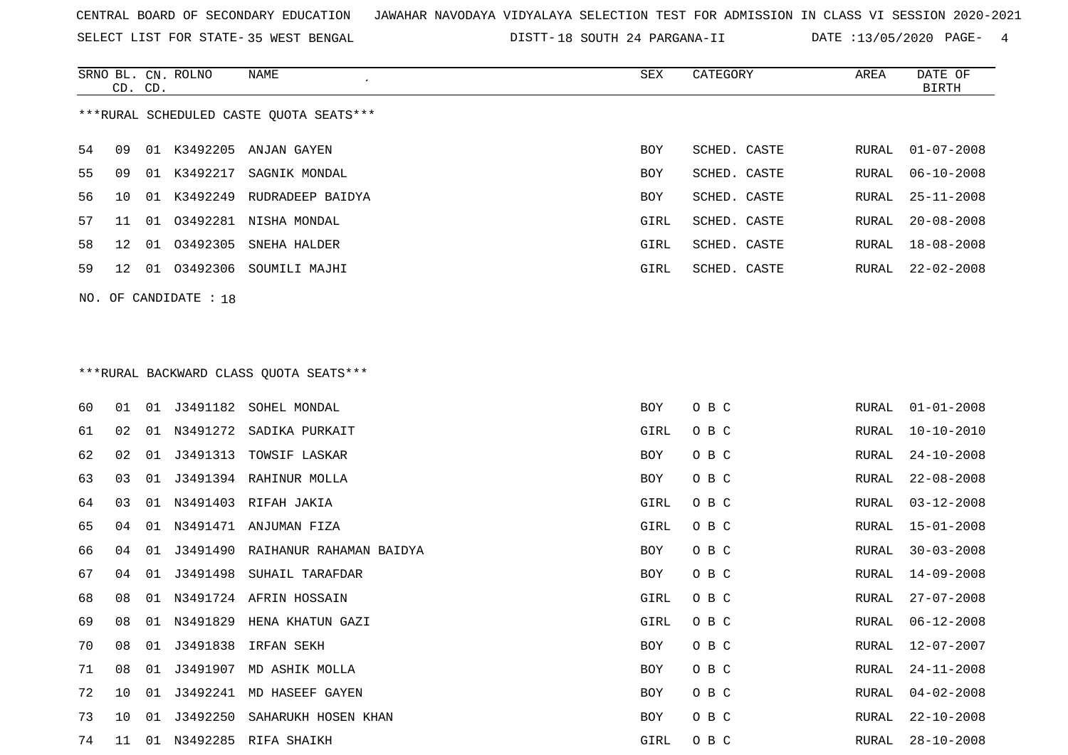SELECT LIST FOR STATE- DISTT- 35 WEST BENGAL

18 SOUTH 24 PARGANA-II DATE :13/05/2020 PAGE- 4

|                                         | CD. CD.         |    | SRNO BL. CN. ROLNO      | NAME<br>$\epsilon$                     | SEX        | CATEGORY     | AREA  | DATE OF<br>BIRTH |  |  |  |
|-----------------------------------------|-----------------|----|-------------------------|----------------------------------------|------------|--------------|-------|------------------|--|--|--|
| ***RURAL SCHEDULED CASTE QUOTA SEATS*** |                 |    |                         |                                        |            |              |       |                  |  |  |  |
| 54                                      | 09              |    |                         | 01 K3492205 ANJAN GAYEN                | <b>BOY</b> | SCHED. CASTE | RURAL | $01 - 07 - 2008$ |  |  |  |
| 55                                      | 09              | 01 | K3492217                | SAGNIK MONDAL                          | <b>BOY</b> | SCHED. CASTE | RURAL | $06 - 10 - 2008$ |  |  |  |
| 56                                      | 10              | 01 |                         | K3492249 RUDRADEEP BAIDYA              | BOY        | SCHED. CASTE | RURAL | $25 - 11 - 2008$ |  |  |  |
| 57                                      | 11              | 01 |                         | 03492281 NISHA MONDAL                  | GIRL       | SCHED. CASTE | RURAL | $20 - 08 - 2008$ |  |  |  |
| 58                                      | 12              | 01 | 03492305                | SNEHA HALDER                           | GIRL       | SCHED. CASTE | RURAL | $18 - 08 - 2008$ |  |  |  |
| 59                                      | 12 <sup>°</sup> |    |                         | 01 03492306 SOUMILI MAJHI              | GIRL       | SCHED. CASTE | RURAL | $22 - 02 - 2008$ |  |  |  |
|                                         |                 |    | NO. OF CANDIDATE : $18$ |                                        |            |              |       |                  |  |  |  |
|                                         |                 |    |                         | ***RURAL BACKWARD CLASS QUOTA SEATS*** |            |              |       |                  |  |  |  |
| 60                                      | 01              |    |                         | 01 J3491182 SOHEL MONDAL               | BOY        | O B C        | RURAL | $01 - 01 - 2008$ |  |  |  |

| 61 | 02 | 01 |             | N3491272 SADIKA PURKAIT          | GIRL | O B C | RURAL | $10 - 10 - 2010$ |
|----|----|----|-------------|----------------------------------|------|-------|-------|------------------|
| 62 | 02 | 01 | J3491313    | TOWSIF LASKAR                    | BOY  | O B C | RURAL | $24 - 10 - 2008$ |
| 63 | 03 | 01 |             | J3491394 RAHINUR MOLLA           | BOY  | O B C | RURAL | $22 - 08 - 2008$ |
| 64 | 03 | 01 |             | N3491403 RIFAH JAKIA             | GIRL | O B C | RURAL | $03 - 12 - 2008$ |
| 65 | 04 |    | 01 N3491471 | ANJUMAN FIZA                     | GIRL | O B C | RURAL | $15 - 01 - 2008$ |
| 66 | 04 | 01 |             | J3491490 RAIHANUR RAHAMAN BAIDYA | BOY  | O B C | RURAL | $30 - 03 - 2008$ |
| 67 | 04 | 01 | J3491498    | SUHAIL TARAFDAR                  | BOY  | O B C | RURAL | $14 - 09 - 2008$ |
| 68 | 08 | 01 |             | N3491724 AFRIN HOSSAIN           | GIRL | O B C | RURAL | $27 - 07 - 2008$ |
| 69 | 08 | 01 | N3491829    | HENA KHATUN GAZI                 | GIRL | O B C | RURAL | $06 - 12 - 2008$ |
| 70 | 08 | 01 | J3491838    | IRFAN SEKH                       | BOY  | O B C | RURAL | $12 - 07 - 2007$ |
| 71 | 08 | 01 | J3491907    | MD ASHIK MOLLA                   | BOY  | O B C | RURAL | $24 - 11 - 2008$ |
| 72 | 10 | 01 | J3492241    | MD HASEEF GAYEN                  | BOY  | O B C | RURAL | $04 - 02 - 2008$ |
| 73 | 10 | 01 | J3492250    | SAHARUKH HOSEN KHAN              | BOY  | O B C | RURAL | $22 - 10 - 2008$ |
| 74 | 11 | 01 |             | N3492285 RIFA SHAIKH             | GIRL | O B C | RURAL | $28 - 10 - 2008$ |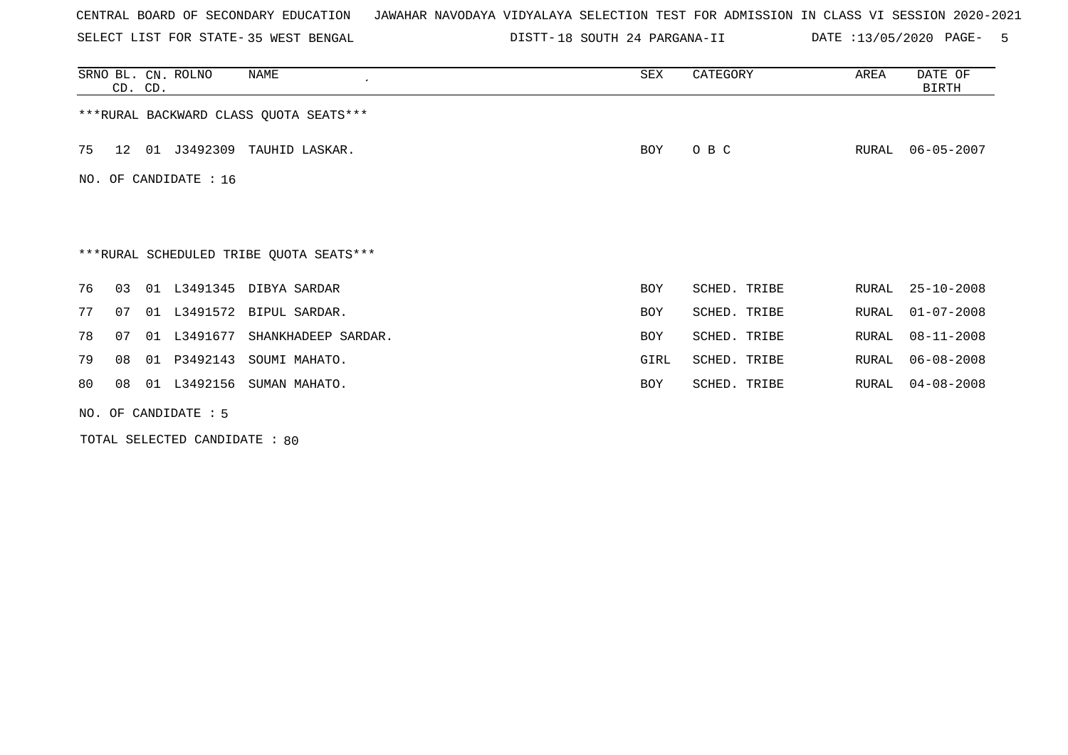SELECT LIST FOR STATE- DISTT- 35 WEST BENGAL

DISTT-18 SOUTH 24 PARGANA-II DATE :13/05/2020 PAGE- 5

| SRNO BL. CN. ROLNO                      | CD. CD.               |                      | NAME                            | SEX        | CATEGORY     | AREA  | DATE OF<br>BIRTH |  |  |  |  |  |
|-----------------------------------------|-----------------------|----------------------|---------------------------------|------------|--------------|-------|------------------|--|--|--|--|--|
| *** RURAL BACKWARD CLASS QUOTA SEATS*** |                       |                      |                                 |            |              |       |                  |  |  |  |  |  |
| 75<br>12                                |                       | 01 J3492309          | TAUHID LASKAR.                  | BOY        | O B C        | RURAL | $06 - 05 - 2007$ |  |  |  |  |  |
|                                         | NO. OF CANDIDATE : 16 |                      |                                 |            |              |       |                  |  |  |  |  |  |
|                                         |                       |                      |                                 |            |              |       |                  |  |  |  |  |  |
| ***RURAL SCHEDULED TRIBE QUOTA SEATS*** |                       |                      |                                 |            |              |       |                  |  |  |  |  |  |
| 76<br>03                                |                       |                      | 01 L3491345 DIBYA SARDAR        | <b>BOY</b> | SCHED. TRIBE | RURAL | 25-10-2008       |  |  |  |  |  |
| 77<br>07                                |                       |                      | 01 L3491572 BIPUL SARDAR.       | <b>BOY</b> | SCHED. TRIBE | RURAL | $01 - 07 - 2008$ |  |  |  |  |  |
| 78<br>07                                |                       |                      | 01 L3491677 SHANKHADEEP SARDAR. | <b>BOY</b> | SCHED. TRIBE | RURAL | $08 - 11 - 2008$ |  |  |  |  |  |
| 79<br>08                                | 01                    | P3492143             | SOUMI MAHATO.                   | GIRL       | SCHED. TRIBE | RURAL | $06 - 08 - 2008$ |  |  |  |  |  |
| 80<br>08                                |                       |                      | 01 L3492156 SUMAN MAHATO.       | BOY        | SCHED. TRIBE | RURAL | $04 - 08 - 2008$ |  |  |  |  |  |
|                                         |                       | NO. OF CANDIDATE : 5 |                                 |            |              |       |                  |  |  |  |  |  |

TOTAL SELECTED CANDIDATE : 80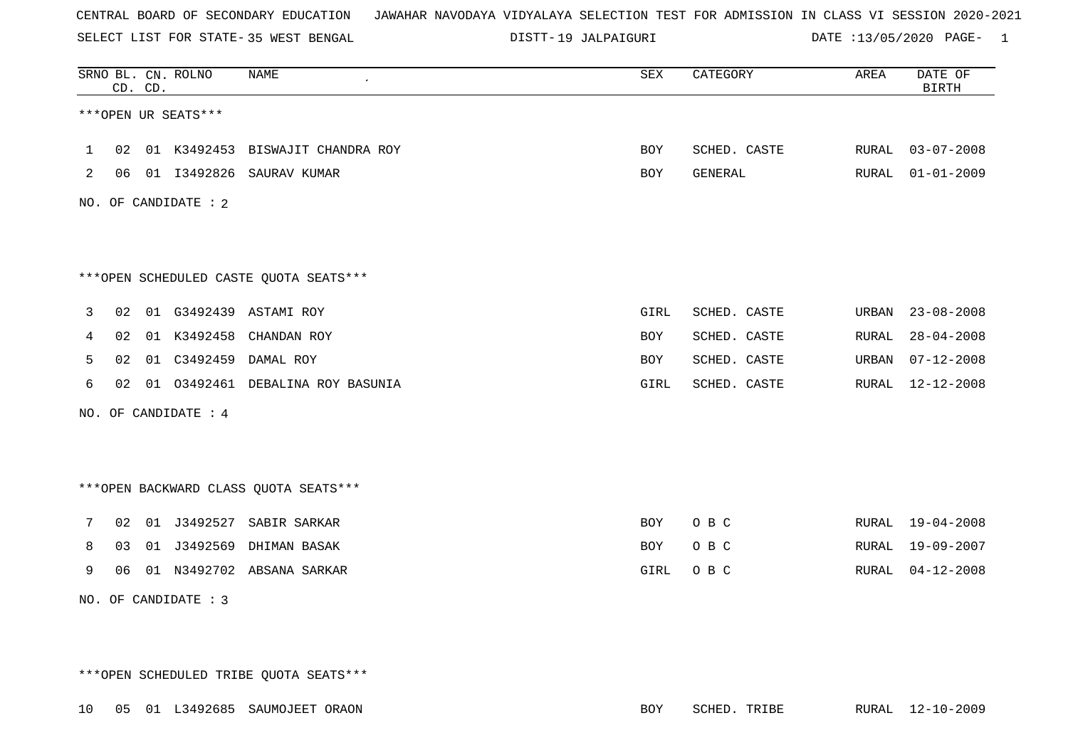SELECT LIST FOR STATE- DISTT- 35 WEST BENGAL

19 JALPAIGURI DATE :13/05/2020 PAGE- 1

|   |                     | CD. CD. | SRNO BL. CN. ROLNO   | <b>NAME</b>                            | ${\tt SEX}$ | CATEGORY     | AREA  | DATE OF<br><b>BIRTH</b> |  |  |  |  |  |
|---|---------------------|---------|----------------------|----------------------------------------|-------------|--------------|-------|-------------------------|--|--|--|--|--|
|   | ***OPEN UR SEATS*** |         |                      |                                        |             |              |       |                         |  |  |  |  |  |
| 1 | 02                  |         |                      | 01 K3492453 BISWAJIT CHANDRA ROY       | <b>BOY</b>  | SCHED. CASTE | RURAL | $03 - 07 - 2008$        |  |  |  |  |  |
| 2 | 06                  |         | 01 13492826          | SAURAV KUMAR                           | <b>BOY</b>  | GENERAL      | RURAL | $01 - 01 - 2009$        |  |  |  |  |  |
|   |                     |         | NO. OF CANDIDATE : 2 |                                        |             |              |       |                         |  |  |  |  |  |
|   |                     |         |                      |                                        |             |              |       |                         |  |  |  |  |  |
|   |                     |         |                      | ***OPEN SCHEDULED CASTE QUOTA SEATS*** |             |              |       |                         |  |  |  |  |  |
| 3 | 02                  |         |                      | 01 G3492439 ASTAMI ROY                 | GIRL        | SCHED. CASTE | URBAN | $23 - 08 - 2008$        |  |  |  |  |  |
| 4 | 02                  | 01      | K3492458             | CHANDAN ROY                            | <b>BOY</b>  | SCHED. CASTE | RURAL | $28 - 04 - 2008$        |  |  |  |  |  |
| 5 | 02                  | 01      | C3492459             | DAMAL ROY                              | <b>BOY</b>  | SCHED. CASTE | URBAN | $07 - 12 - 2008$        |  |  |  |  |  |
| 6 | 02 <sub>o</sub>     |         |                      | 01 03492461 DEBALINA ROY BASUNIA       | GIRL        | SCHED. CASTE | RURAL | $12 - 12 - 2008$        |  |  |  |  |  |
|   |                     |         | NO. OF CANDIDATE : 4 |                                        |             |              |       |                         |  |  |  |  |  |
|   |                     |         |                      |                                        |             |              |       |                         |  |  |  |  |  |
|   |                     |         |                      | *** OPEN BACKWARD CLASS QUOTA SEATS*** |             |              |       |                         |  |  |  |  |  |
| 7 | 02                  |         | 01 J3492527          | SABIR SARKAR                           | <b>BOY</b>  | O B C        |       | RURAL 19-04-2008        |  |  |  |  |  |
| 8 | 03                  | 01      | J3492569             | DHIMAN BASAK                           | BOY         | O B C        | RURAL | 19-09-2007              |  |  |  |  |  |
| 9 | 06                  |         |                      | 01 N3492702 ABSANA SARKAR              | GIRL        | O B C        | RURAL | $04 - 12 - 2008$        |  |  |  |  |  |
|   |                     |         | NO. OF CANDIDATE : 3 |                                        |             |              |       |                         |  |  |  |  |  |

\*\*\*OPEN SCHEDULED TRIBE QUOTA SEATS\*\*\*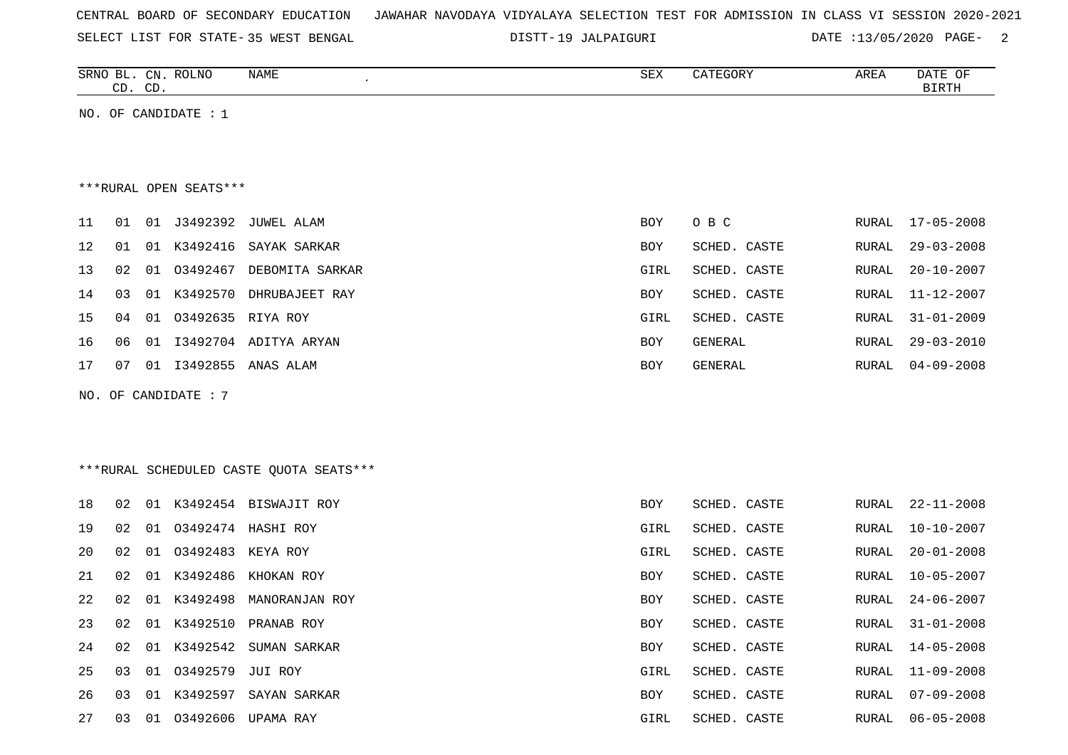|  |  |  |  | CENTRAL BOARD OF SECONDARY EDUCATION – JAWAHAR NAVODAYA VIDYALAYA SELECTION TEST FOR ADMISSION IN CLASS VI SESSION 2020-2021 |  |  |  |  |  |  |  |  |  |  |  |  |  |  |
|--|--|--|--|------------------------------------------------------------------------------------------------------------------------------|--|--|--|--|--|--|--|--|--|--|--|--|--|--|
|--|--|--|--|------------------------------------------------------------------------------------------------------------------------------|--|--|--|--|--|--|--|--|--|--|--|--|--|--|

19 JALPAIGURI DATE :13/05/2020 PAGE- 2

|    | CD. CD.                |    | SRNO BL. CN. ROLNO     | NAME                                    | ${\tt SEX}$ | CATEGORY       | AREA         | DATE OF<br><b>BIRTH</b> |  |  |  |  |  |  |
|----|------------------------|----|------------------------|-----------------------------------------|-------------|----------------|--------------|-------------------------|--|--|--|--|--|--|
|    |                        |    | NO. OF CANDIDATE : $1$ |                                         |             |                |              |                         |  |  |  |  |  |  |
|    |                        |    |                        |                                         |             |                |              |                         |  |  |  |  |  |  |
|    | ***RURAL OPEN SEATS*** |    |                        |                                         |             |                |              |                         |  |  |  |  |  |  |
|    |                        |    |                        |                                         |             |                |              |                         |  |  |  |  |  |  |
| 11 | 01                     | 01 |                        | J3492392 JUWEL ALAM                     | <b>BOY</b>  | O B C          | RURAL        | $17 - 05 - 2008$        |  |  |  |  |  |  |
| 12 | 01                     | 01 | K3492416               | SAYAK SARKAR                            | BOY         | SCHED. CASTE   | RURAL        | $29 - 03 - 2008$        |  |  |  |  |  |  |
| 13 | 02                     | 01 |                        | 03492467 DEBOMITA SARKAR                | GIRL        | SCHED. CASTE   | RURAL        | $20 - 10 - 2007$        |  |  |  |  |  |  |
| 14 | 03                     | 01 | K3492570               | DHRUBAJEET RAY                          | BOY         | SCHED. CASTE   | RURAL        | $11 - 12 - 2007$        |  |  |  |  |  |  |
| 15 | 04                     | 01 | 03492635 RIYA ROY      |                                         | GIRL        | SCHED. CASTE   | RURAL        | $31 - 01 - 2009$        |  |  |  |  |  |  |
| 16 | 06                     | 01 |                        | I3492704 ADITYA ARYAN                   | <b>BOY</b>  | <b>GENERAL</b> | <b>RURAL</b> | $29 - 03 - 2010$        |  |  |  |  |  |  |
| 17 | 07                     | 01 | I3492855               | ANAS ALAM                               | BOY         | GENERAL        | RURAL        | $04 - 09 - 2008$        |  |  |  |  |  |  |
|    |                        |    | NO. OF CANDIDATE : 7   |                                         |             |                |              |                         |  |  |  |  |  |  |
|    |                        |    |                        |                                         |             |                |              |                         |  |  |  |  |  |  |
|    |                        |    |                        |                                         |             |                |              |                         |  |  |  |  |  |  |
|    |                        |    |                        | ***RURAL SCHEDULED CASTE QUOTA SEATS*** |             |                |              |                         |  |  |  |  |  |  |
| 18 | 02                     | 01 |                        | K3492454 BISWAJIT ROY                   | <b>BOY</b>  | SCHED. CASTE   | RURAL        | $22 - 11 - 2008$        |  |  |  |  |  |  |
|    |                        |    |                        |                                         |             |                |              |                         |  |  |  |  |  |  |
| 19 | 02                     | 01 |                        | 03492474 HASHI ROY                      | GIRL        | SCHED. CASTE   | RURAL        | $10 - 10 - 2007$        |  |  |  |  |  |  |
| 20 | 02                     | 01 | 03492483               | KEYA ROY                                | GIRL        | SCHED. CASTE   | RURAL        | $20 - 01 - 2008$        |  |  |  |  |  |  |
| 21 | 02                     | 01 | K3492486               | KHOKAN ROY                              | <b>BOY</b>  | SCHED. CASTE   | RURAL        | $10 - 05 - 2007$        |  |  |  |  |  |  |
| 22 | 02                     | 01 | K3492498               | MANORANJAN ROY                          | <b>BOY</b>  | SCHED. CASTE   | RURAL        | $24 - 06 - 2007$        |  |  |  |  |  |  |
| 23 | 02                     |    |                        | 01 K3492510 PRANAB ROY                  | <b>BOY</b>  | SCHED. CASTE   | RURAL        | $31 - 01 - 2008$        |  |  |  |  |  |  |

24 02 01 K3492542 SUMAN SARKAR BOY SCHED. CASTE RURAL 14-05-2008

25 03 01 O3492579 JUI ROY GIRL SCHED. CASTE RURAL 11-09-2008

26 03 01 K3492597 SAYAN SARKAR BOY SCHED. CASTE RURAL 07-09-2008

27 03 01 O3492606 UPAMA RAY GIRL SCHED. CASTE RURAL 06-05-2008